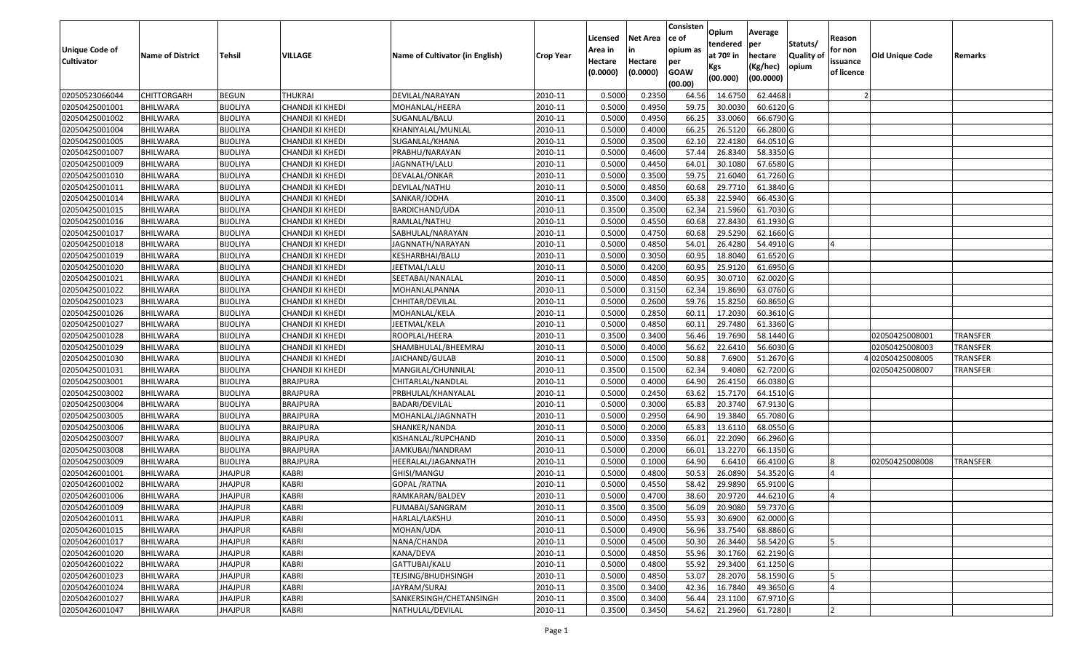|                                  |                                    |                                  |                              |                                             |                    |                  |                  | Consisten        | Opium              | Average                |                  |            |                 |                 |
|----------------------------------|------------------------------------|----------------------------------|------------------------------|---------------------------------------------|--------------------|------------------|------------------|------------------|--------------------|------------------------|------------------|------------|-----------------|-----------------|
|                                  |                                    |                                  |                              |                                             |                    | Licensed         | <b>Net Area</b>  | ce of            | tendered           | per                    | Statuts/         | Reason     |                 |                 |
| <b>Unique Code of</b>            | <b>Name of District</b>            | <b>Tehsil</b>                    | VILLAGE                      | Name of Cultivator (in English)             | <b>Crop Year</b>   | Area in          | in               | opium as         | at $70°$ in        | hectare                | <b>Quality o</b> | for non    | Old Unique Code | Remarks         |
| <b>Cultivator</b>                |                                    |                                  |                              |                                             |                    | Hectare          | Hectare          | per              | Kgs                | (Kg/hec)               | opium            | issuance   |                 |                 |
|                                  |                                    |                                  |                              |                                             |                    | (0.0000)         | (0.0000)         | <b>GOAW</b>      | (00.000)           | (00.0000)              |                  | of licence |                 |                 |
| 02050523066044                   | CHITTORGARH                        | <b>BEGUN</b>                     | <b>THUKRAI</b>               | DEVILAL/NARAYAN                             | 2010-11            | 0.5000           | 0.2350           | (00.00)<br>64.56 | 14.675             | 62.4468                |                  |            |                 |                 |
| 02050425001001                   | <b>BHILWARA</b>                    | <b>BIJOLIYA</b>                  | CHANDJI KI KHEDI             | MOHANLAL/HEERA                              | 2010-11            | 0.5000           | 0.4950           | 59.75            | 30.0030            | 60.6120G               |                  |            |                 |                 |
| 02050425001002                   | BHILWARA                           | <b>BIJOLIYA</b>                  | CHANDJI KI KHEDI             | SUGANLAL/BALU                               | 2010-11            | 0.5000           | 0.4950           | 66.25            | 33.0060            | 66.6790 G              |                  |            |                 |                 |
| 02050425001004                   | <b>BHILWARA</b>                    | <b>BIJOLIYA</b>                  | CHANDJI KI KHEDI             | KHANIYALAL/MUNLAL                           | 2010-11            | 0.5000           | 0.4000           | 66.25            | 26.5120            | 66.2800 G              |                  |            |                 |                 |
| 02050425001005                   | BHILWARA                           | <b>BIJOLIYA</b>                  | CHANDJI KI KHEDI             | SUGANLAL/KHANA                              | 2010-11            | 0.5000           | 0.3500           | 62.10            | 22.418             | 64.0510 G              |                  |            |                 |                 |
| 02050425001007                   | <b>BHILWARA</b>                    | <b>BIJOLIYA</b>                  | CHANDJI KI KHEDI             | PRABHU/NARAYAN                              | 2010-11            | 0.5000           | 0.4600           | 57.44            | 26.8340            | 58.3350 G              |                  |            |                 |                 |
| 02050425001009                   | BHILWARA                           | <b>BIJOLIYA</b>                  | CHANDJI KI KHEDI             | JAGNNATH/LALU                               | 2010-11            | 0.5000           | 0.4450           | 64.0             | 30.108             | 67.6580 G              |                  |            |                 |                 |
| 02050425001010                   | <b>BHILWARA</b>                    | <b>BIJOLIYA</b>                  | CHANDJI KI KHEDI             | DEVALAL/ONKAR                               | 2010-11            | 0.5000           | 0.3500           | 59.75            | 21.6040            | 61.7260 G              |                  |            |                 |                 |
| 02050425001011                   | BHILWARA                           | <b>BIJOLIYA</b>                  | CHANDJI KI KHEDI             | DEVILAL/NATHU                               | 2010-11            | 0.5000           | 0.4850           | 60.68            | 29.771             | 61.3840 G              |                  |            |                 |                 |
| 02050425001014                   | <b>BHILWARA</b>                    | <b>BIJOLIYA</b>                  | CHANDJI KI KHEDI             | SANKAR/JODHA                                | 2010-11            | 0.3500           | 0.3400           | 65.38            | 22.5940            | 66.4530 G              |                  |            |                 |                 |
| 02050425001015                   | BHILWARA                           | <b>BIJOLIYA</b>                  | CHANDJI KI KHEDI             | BARDICHAND/UDA                              | 2010-11            | 0.3500           | 0.3500           | 62.34            | 21.5960            | 61.7030 G              |                  |            |                 |                 |
| 02050425001016                   | <b>BHILWARA</b>                    | <b>BIJOLIYA</b>                  | CHANDJI KI KHEDI             | RAMLAL/NATHU                                | 2010-11            | 0.5000           | 0.4550           | 60.68            | 27.8430            | 61.1930 G              |                  |            |                 |                 |
| 02050425001017                   | <b>BHILWARA</b>                    | <b>BIJOLIYA</b>                  | CHANDJI KI KHEDI             | SABHULAL/NARAYAN                            | 2010-11            | 0.5000           | 0.4750           | 60.68            | 29.5290            | 62.1660 G              |                  |            |                 |                 |
| 02050425001018                   | <b>BHILWARA</b>                    | <b>BIJOLIYA</b>                  | CHANDJI KI KHEDI             | JAGNNATH/NARAYAN                            | 2010-11            | 0.5000           | 0.4850           | 54.01            | 26.4280            | 54.4910 G              |                  |            |                 |                 |
| 02050425001019                   | BHILWARA                           | <b>BIJOLIYA</b>                  | CHANDJI KI KHEDI             | KESHARBHAI/BALU                             | 2010-11            | 0.5000           | 0.3050           | 60.95            | 18.8040            | 61.6520G               |                  |            |                 |                 |
| 02050425001020                   | <b>BHILWARA</b>                    | <b>BIJOLIYA</b>                  | CHANDJI KI KHEDI             | JEETMAL/LALU                                | 2010-11            | 0.5000           | 0.4200           | 60.95            | 25.9120            | 61.6950 G              |                  |            |                 |                 |
| 02050425001021                   | <b>BHILWARA</b>                    | <b>BIJOLIYA</b>                  | CHANDJI KI KHEDI             | SEETABAI/NANALAL                            | 2010-11            | 0.5000           | 0.4850           | 60.95            | 30.0710            | 62.0020G               |                  |            |                 |                 |
| 02050425001022                   | <b>BHILWARA</b>                    | <b>BIJOLIYA</b>                  | CHANDJI KI KHEDI             | MOHANLALPANNA                               | 2010-11            | 0.5000           | 0.3150           | 62.34            | 19.8690            | 63.0760 G              |                  |            |                 |                 |
| 02050425001023                   | <b>BHILWARA</b>                    | <b>BIJOLIYA</b>                  | CHANDJI KI KHEDI             | CHHITAR/DEVILAL                             | 2010-11            | 0.5000           | 0.2600           | 59.76            | 15.8250            | 60.8650 G              |                  |            |                 |                 |
| 02050425001026                   | BHILWARA                           | <b>BIJOLIYA</b>                  | CHANDJI KI KHEDI             | MOHANLAL/KELA                               | 2010-11            | 0.5000           | 0.2850           | 60.1             | 17.2030            | 60.3610 G              |                  |            |                 |                 |
| 02050425001027                   | <b>BHILWARA</b>                    | <b>BIJOLIYA</b>                  | CHANDJI KI KHEDI             | JEETMAL/KELA                                | 2010-11            | 0.5000           | 0.4850           | 60.1             | 29.7480            | 61.3360 G              |                  |            |                 |                 |
| 02050425001028                   | <b>BHILWARA</b>                    | <b>BIJOLIYA</b>                  | CHANDJI KI KHEDI             | ROOPLAL/HEERA                               | 2010-11            | 0.3500           | 0.3400           | 56.46            | 19.7690            | 58.1440 G              |                  |            | 02050425008001  | TRANSFER        |
| 02050425001029                   | <b>BHILWARA</b>                    | <b>BIJOLIYA</b>                  | CHANDJI KI KHEDI             | SHAMBHULAL/BHEEMRAJ                         | 2010-11            | 0.5000           | 0.4000           | 56.62            | 22.6410            | 56.6030 G              |                  |            | 02050425008003  | <b>TRANSFER</b> |
| 02050425001030                   | <b>BHILWARA</b>                    | <b>BIJOLIYA</b>                  | CHANDJI KI KHEDI             | JAICHAND/GULAB                              | 2010-11            | 0.5000           | 0.1500           | 50.88            | 7.6900             | 51.2670 G              |                  |            | 102050425008005 | <b>TRANSFER</b> |
| 02050425001031                   | <b>BHILWARA</b>                    | <b>BIJOLIYA</b>                  | CHANDJI KI KHEDI             | MANGILAL/CHUNNILAL                          | 2010-11            | 0.3500           | 0.1500           | 62.34            | 9.4080             | 62.7200 G              |                  |            | 02050425008007  | <b>TRANSFER</b> |
| 02050425003001                   | BHILWARA                           | <b>BIJOLIYA</b>                  | <b>BRAJPURA</b>              | CHITARLAL/NANDLAL                           | 2010-11            | 0.5000           | 0.4000           | 64.90            | 26.415             | 66.0380 G              |                  |            |                 |                 |
| 02050425003002                   | <b>BHILWARA</b>                    | <b>BIJOLIYA</b>                  | <b>BRAJPURA</b>              | PRBHULAL/KHANYALAL                          | 2010-11            | 0.5000           | 0.2450           | 63.62            | 15.7170            | 64.1510 G              |                  |            |                 |                 |
| 02050425003004                   | BHILWARA                           | <b>BIJOLIYA</b>                  | <b>BRAJPURA</b>              | BADARI/DEVILAL                              | 2010-11            | 0.5000           | 0.3000           | 65.83            | 20.3740            | 67.9130 G              |                  |            |                 |                 |
| 02050425003005                   | <b>BHILWARA</b>                    | <b>BIJOLIYA</b>                  | <b>BRAJPURA</b>              | MOHANLAL/JAGNNATH                           | 2010-11            | 0.5000           | 0.2950           | 64.90            | 19.3840            | 65.7080 G              |                  |            |                 |                 |
| 02050425003006                   | BHILWARA                           | <b>BIJOLIYA</b>                  | <b>BRAJPURA</b>              | SHANKER/NANDA                               | 2010-11            | 0.5000           | 0.2000           | 65.83            | 13.6110            | 68.0550 G              |                  |            |                 |                 |
| 02050425003007                   | BHILWARA                           | <b>BIJOLIYA</b>                  | <b>BRAJPURA</b>              | KISHANLAL/RUPCHAND                          | 2010-11            | 0.5000           | 0.3350           | 66.0             | 22.2090            | 66.2960 G              |                  |            |                 |                 |
| 02050425003008                   | BHILWARA                           | <b>BIJOLIYA</b>                  | <b>BRAJPURA</b>              | JAMKUBAI/NANDRAM                            | 2010-11            | 0.5000           | 0.2000           | 66.0             | 13.2270            | 66.1350 G              |                  |            |                 |                 |
| 02050425003009                   | <b>BHILWARA</b>                    | <b>BIJOLIYA</b>                  | <b>BRAJPURA</b>              | HEERALAL/JAGANNATH                          | 2010-11            | 0.5000           | 0.1000           | 64.90            | 6.6410             | 66.4100 G              |                  |            | 02050425008008  | <b>TRANSFER</b> |
| 02050426001001                   | BHILWARA                           | <b>JHAJPUR</b>                   | <b>KABRI</b>                 | GHISI/MANGU                                 | 2010-11            | 0.5000           | 0.4800           | 50.53            | 26.0890            | 54.3520 G              |                  |            |                 |                 |
| 02050426001002                   | <b>BHILWARA</b>                    | <b>JHAJPUR</b>                   | <b>KABRI</b>                 | <b>GOPAL/RATNA</b>                          | 2010-11            | 0.500            | 0.4550           | 58.42            | 29.9890            | 65.9100 G              |                  |            |                 |                 |
| 02050426001006                   | <b>BHILWARA</b>                    | <b>JHAJPUR</b>                   | <b>KABRI</b>                 | RAMKARAN/BALDEV                             | 2010-11            | 0.5000           | 0.4700           | 38.60            | 20.9720            | 44.6210 G              |                  |            |                 |                 |
| 02050426001009                   | <b>BHILWARA</b>                    | <b>JHAJPUR</b>                   | <b>KABRI</b>                 | FUMABAI/SANGRAM                             | 2010-11            | 0.3500           | 0.3500           | 56.09            | 20.9080            | 59.7370 G              |                  |            |                 |                 |
| 02050426001011                   | <b>BHILWARA</b>                    | <b>JHAJPUR</b>                   | <b>KABRI</b>                 | HARLAL/LAKSHU                               | 2010-11            | 0.5000           | 0.4950           | 55.93            | 30.6900            | 62.0000 G              |                  |            |                 |                 |
| 02050426001015                   | <b>BHILWARA</b>                    | <b>JHAJPUR</b>                   | <b>KABRI</b>                 | MOHAN/UDA                                   | 2010-11            | 0.5000           | 0.4900           | 56.96            | 33.7540            | 68.8860 G              |                  |            |                 |                 |
| 02050426001017                   | <b>BHILWARA</b>                    | <b>JHAJPUR</b>                   | <b>KABRI</b>                 | NANA/CHANDA                                 | 2010-11            | 0.5000           | 0.4500           | 50.30            | 26.3440            | 58.5420 G              |                  | 15         |                 |                 |
| 02050426001020<br>02050426001022 | <b>BHILWARA</b><br><b>BHILWARA</b> | <b>JHAJPUR</b><br><b>JHAJPUR</b> | <b>KABRI</b><br><b>KABRI</b> | KANA/DEVA<br>GATTUBAI/KALU                  | 2010-11<br>2010-11 | 0.5000<br>0.5000 | 0.4850<br>0.4800 | 55.96<br>55.92   | 30.1760<br>29.3400 | 62.2190 G<br>61.1250 G |                  |            |                 |                 |
| 02050426001023                   |                                    | <b>JHAJPUR</b>                   | <b>KABRI</b>                 | TEJSING/BHUDHSINGH                          |                    | 0.5000           | 0.4850           |                  | 28.2070            | 58.1590 G              |                  |            |                 |                 |
| 02050426001024                   | <b>BHILWARA</b>                    | <b>JHAJPUR</b>                   | <b>KABRI</b>                 |                                             | 2010-11<br>2010-11 | 0.3500           | 0.3400           | 53.07<br>42.36   | 16.7840            | 49.3650 G              |                  |            |                 |                 |
| 02050426001027                   | <b>BHILWARA</b>                    |                                  |                              | JAYRAM/SURAJ                                |                    | 0.3500           | 0.3400           | 56.44            | 23.1100            | 67.9710 G              |                  |            |                 |                 |
| 02050426001047                   | <b>BHILWARA</b>                    | <b>JHAJPUR</b>                   | <b>KABRI</b>                 | SANKERSINGH/CHETANSINGH<br>NATHULAL/DEVILAL | 2010-11            |                  |                  |                  | 21.2960            | 61.7280                |                  |            |                 |                 |
|                                  | <b>BHILWARA</b>                    | <b>JHAJPUR</b>                   | KABRI                        |                                             | 2010-11            | 0.3500           | 0.3450           | 54.62            |                    |                        |                  |            |                 |                 |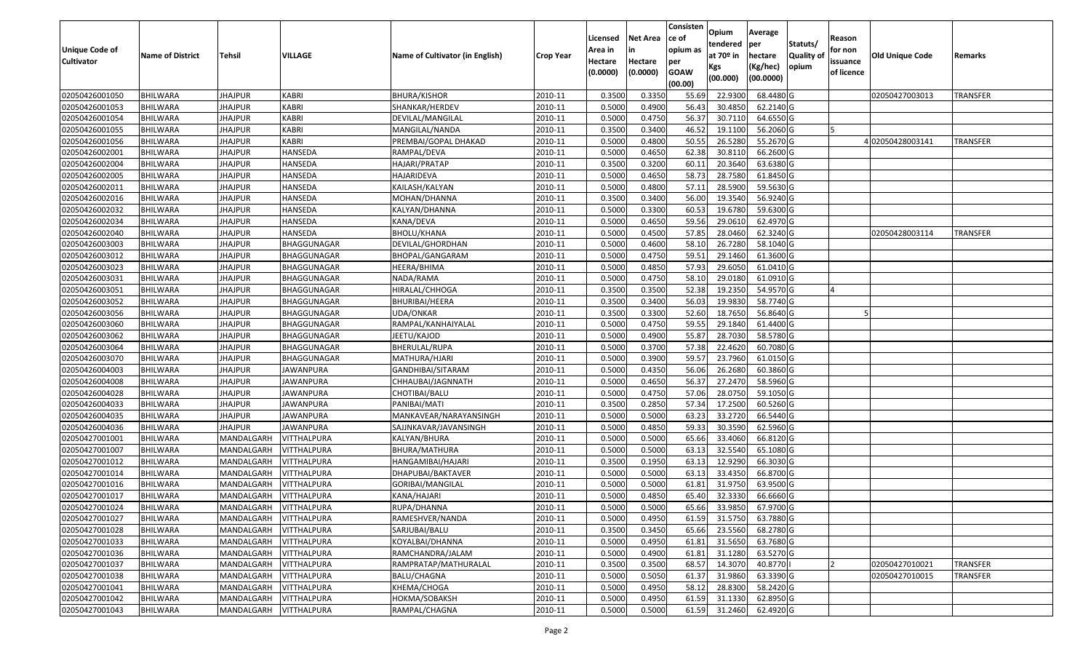| Unique Code of<br><b>Cultivator</b> | <b>Name of District</b> | Tehsil                 | VILLAGE            | Name of Cultivator (in English) | Crop Year | Licensed<br>Area in<br>Hectare | <b>Net Area</b><br>in<br>Hectare | Consisten<br>ce of<br>opium as<br>per | Opium<br>tendered<br>at $70°$ in<br>Kgs | Average<br>per<br>hectare<br>(Kg/hec) | Statuts/<br>Quality of<br>opium | Reason<br>for non<br>issuance | <b>Old Unique Code</b> | Remarks        |
|-------------------------------------|-------------------------|------------------------|--------------------|---------------------------------|-----------|--------------------------------|----------------------------------|---------------------------------------|-----------------------------------------|---------------------------------------|---------------------------------|-------------------------------|------------------------|----------------|
|                                     |                         |                        |                    |                                 |           | (0.0000)                       | (0.0000)                         | <b>GOAW</b><br>(00.00)                | (00.000)                                | (00.0000)                             |                                 | of licence                    |                        |                |
| 02050426001050                      | <b>BHILWARA</b>         | <b>JHAJPUR</b>         | KABRI              | <b>BHURA/KISHOR</b>             | 2010-11   | 0.3500                         | 0.3350                           | 55.69                                 | 22.9300                                 | 68.4480 G                             |                                 |                               | 02050427003013         | TRANSFER       |
| 02050426001053                      | <b>BHILWARA</b>         | <b>JHAJPUR</b>         | KABRI              | SHANKAR/HERDEV                  | 2010-11   | 0.5000                         | 0.4900                           | 56.43                                 | 30.4850                                 | 62.2140 G                             |                                 |                               |                        |                |
| 02050426001054                      | <b>BHILWARA</b>         | JHAJPUR                | KABRI              | DEVILAL/MANGILAL                | 2010-11   | 0.5000                         | 0.4750                           | 56.37                                 | 30.7110                                 | 64.6550 G                             |                                 |                               |                        |                |
| 02050426001055                      | <b>BHILWARA</b>         | <b>JHAJPUR</b>         | KABRI              | MANGILAL/NANDA                  | 2010-11   | 0.3500                         | 0.3400                           | 46.52                                 | 19.1100                                 | 56.2060 G                             |                                 | I٢                            |                        |                |
| 02050426001056                      | BHILWARA                | <b>JHAJPUR</b>         | KABRI              | PREMBAI/GOPAL DHAKAD            | 2010-11   | 0.5000                         | 0.4800                           | 50.55                                 | 26.5280                                 | 55.2670 G                             |                                 |                               | 402050428003141        | <b>RANSFER</b> |
| 02050426002001                      | <b>BHILWARA</b>         | <b>JHAJPUR</b>         | HANSEDA            | RAMPAL/DEVA                     | 2010-11   | 0.5000                         | 0.4650                           | 62.38                                 | 30.8110                                 | 66.2600 G                             |                                 |                               |                        |                |
| 02050426002004                      | <b>BHILWARA</b>         | <b>JHAJPUR</b>         | HANSEDA            | HAJARI/PRATAP                   | 2010-11   | 0.3500                         | 0.3200                           | 60.1                                  | 20.3640                                 | 63.6380 G                             |                                 |                               |                        |                |
| 02050426002005                      | <b>BHILWARA</b>         | <b>JHAJPUR</b>         | HANSEDA            | HAJARIDEVA                      | 2010-11   | 0.5000                         | 0.4650                           | 58.7                                  | 28.7580                                 | 61.8450 G                             |                                 |                               |                        |                |
| 02050426002011                      | <b>BHILWARA</b>         | <b>JHAJPUR</b>         | HANSEDA            | KAILASH/KALYAN                  | 2010-11   | 0.5000                         | 0.4800                           | 57.1                                  | 28.5900                                 | 59.5630 G                             |                                 |                               |                        |                |
| 02050426002016                      | <b>BHILWARA</b>         | <b>JHAJPUR</b>         | HANSEDA            | MOHAN/DHANNA                    | 2010-11   | 0.3500                         | 0.3400                           | 56.00                                 | 19.3540                                 | 56.9240 G                             |                                 |                               |                        |                |
| 02050426002032                      | <b>BHILWARA</b>         | <b>JHAJPUR</b>         | HANSEDA            | KALYAN/DHANNA                   | 2010-11   | 0.5000                         | 0.3300                           | 60.53                                 | 19.6780                                 | 59.6300 G                             |                                 |                               |                        |                |
| 02050426002034                      | <b>BHILWARA</b>         | <b>JHAJPUR</b>         | HANSEDA            | KANA/DEVA                       | 2010-11   | 0.5000                         | 0.4650                           | 59.56                                 | 29.0610                                 | 62.4970 G                             |                                 |                               |                        |                |
| 02050426002040                      | <b>BHILWARA</b>         | <b>JHAJPUR</b>         | <b>HANSEDA</b>     | <b>BHOLU/KHANA</b>              | 2010-11   | 0.5000                         | 0.4500                           | 57.85                                 | 28.0460                                 | 62.3240 G                             |                                 |                               | 02050428003114         | TRANSFER       |
| 02050426003003                      | <b>BHILWARA</b>         | <b>JHAJPUR</b>         | BHAGGUNAGAR        | DEVILAL/GHORDHAN                | 2010-11   | 0.5000                         | 0.4600                           | 58.1                                  | 26.7280                                 | 58.1040 G                             |                                 |                               |                        |                |
| 02050426003012                      | <b>BHILWARA</b>         | JHAJPUR                | BHAGGUNAGAR        | BHOPAL/GANGARAM                 | 2010-11   | 0.5000                         | 0.4750                           | 59.5                                  | 29.1460                                 | 61.3600 G                             |                                 |                               |                        |                |
| 02050426003023                      | <b>BHILWARA</b>         | <b>JHAJPUR</b>         | BHAGGUNAGAR        | HEERA/BHIMA                     | 2010-11   | 0.5000                         | 0.4850                           | 57.93                                 | 29.6050                                 | 61.0410 G                             |                                 |                               |                        |                |
| 02050426003031                      | <b>BHILWARA</b>         | <b>JHAJPUR</b>         | BHAGGUNAGAR        | NADA/RAMA                       | 2010-11   | 0.5000                         | 0.4750                           | 58.10                                 | 29.0180                                 | 61.0910 G                             |                                 |                               |                        |                |
| 02050426003051                      | <b>BHILWARA</b>         | <b>JHAJPUR</b>         | BHAGGUNAGAR        | HIRALAL/CHHOGA                  | 2010-11   | 0.3500                         | 0.3500                           | 52.38                                 | 19.2350                                 | 54.9570 G                             |                                 |                               |                        |                |
| 02050426003052                      | <b>BHILWARA</b>         | JHAJPUR                | BHAGGUNAGAR        | BHURIBAI/HEERA                  | 2010-11   | 0.3500                         | 0.3400                           | 56.03                                 | 19.9830                                 | 58.7740 G                             |                                 |                               |                        |                |
| 02050426003056                      | <b>BHILWARA</b>         | <b>JHAJPUR</b>         | BHAGGUNAGAR        | UDA/ONKAR                       | 2010-11   | 0.3500                         | 0.3300                           | 52.60                                 | 18.7650                                 | 56.8640 G                             |                                 |                               |                        |                |
| 02050426003060                      | <b>BHILWARA</b>         | <b>JHAJPUR</b>         | BHAGGUNAGAR        | RAMPAL/KANHAIYALAL              | 2010-11   | 0.5000                         | 0.4750                           | 59.55                                 | 29.1840                                 | 61.4400 G                             |                                 |                               |                        |                |
| 02050426003062                      | <b>BHILWARA</b>         | <b>JHAJPUR</b>         | BHAGGUNAGAR        | JEETU/KAJOD                     | 2010-11   | 0.5000                         | 0.4900                           | 55.87                                 | 28.7030                                 | 58.5780 G                             |                                 |                               |                        |                |
| 02050426003064                      | <b>BHILWARA</b>         | JHAJPUR                | BHAGGUNAGAR        | BHERULAL/RUPA                   | 2010-11   | 0.5000                         | 0.3700                           | 57.38                                 | 22.4620                                 | 60.7080 G                             |                                 |                               |                        |                |
| 02050426003070                      | <b>BHILWARA</b>         | <b>JHAJPUR</b>         | BHAGGUNAGAR        | MATHURA/HJARI                   | 2010-11   | 0.5000                         | 0.3900                           | 59.57                                 | 23.7960                                 | 61.0150 G                             |                                 |                               |                        |                |
| 02050426004003                      | <b>BHILWARA</b>         | <b>JHAJPUR</b>         | <b>JAWANPURA</b>   | GANDHIBAI/SITARAM               | 2010-11   | 0.5000                         | 0.4350                           | 56.06                                 | 26.2680                                 | 60.3860 G                             |                                 |                               |                        |                |
| 02050426004008                      | <b>BHILWARA</b>         | <b>JHAJPUR</b>         | JAWANPURA          | CHHAUBAI/JAGNNATH               | 2010-11   | 0.5000                         | 0.4650                           | 56.37                                 | 27.2470                                 | 58.5960 G                             |                                 |                               |                        |                |
| 02050426004028                      | <b>BHILWARA</b>         | <b>JHAJPUR</b>         | JAWANPURA          | CHOTIBAI/BALU                   | 2010-11   | 0.5000                         | 0.4750                           | 57.06                                 | 28.0750                                 | 59.1050 G                             |                                 |                               |                        |                |
| 02050426004033                      | <b>BHILWARA</b>         | JHAJPUR                | JAWANPURA          | PANIBAI/MATI                    | 2010-11   | 0.3500                         | 0.2850                           | 57.34                                 | 17.2500                                 | 60.5260 G                             |                                 |                               |                        |                |
| 02050426004035                      | <b>BHILWARA</b>         | <b>JHAJPUR</b>         | <b>JAWANPURA</b>   | MANKAVEAR/NARAYANSINGH          | 2010-11   | 0.5000                         | 0.5000                           | 63.2                                  | 33.2720                                 | 66.5440 G                             |                                 |                               |                        |                |
| 02050426004036                      | <b>BHILWARA</b>         | <b>JHAJPUR</b>         | JAWANPURA          | SAJJNKAVAR/JAVANSINGH           | 2010-11   | 0.5000                         | 0.4850                           | 59.3                                  | 30.3590                                 | 62.5960 G                             |                                 |                               |                        |                |
| 02050427001001                      | <b>BHILWARA</b>         | MANDALGARH             | VITTHALPURA        | KALYAN/BHURA                    | 2010-11   | 0.5000                         | 0.5000                           | 65.66                                 | 33.4060                                 | 66.8120 G                             |                                 |                               |                        |                |
| 02050427001007                      | <b>BHILWARA</b>         | MANDALGARH             | VITTHALPURA        | BHURA/MATHURA                   | 2010-11   | 0.5000                         | 0.5000                           | 63.1                                  | 32.5540                                 | 65.1080 G                             |                                 |                               |                        |                |
| 02050427001012                      | <b>BHILWARA</b>         | MANDALGARH             | <b>VITTHALPURA</b> | HANGAMIBAI/HAJARI               | 2010-11   | 0.3500                         | 0.1950                           | 63.1                                  | 12.9290                                 | 66.3030 G                             |                                 |                               |                        |                |
| 02050427001014                      | BHILWARA                | MANDALGARH             | VITTHALPURA        | DHAPUBAI/BAKTAVER               | 2010-11   | 0.5000                         | 0.5000                           | 63.13                                 | 33.4350                                 | 66.8700 G                             |                                 |                               |                        |                |
| 02050427001016                      | <b>BHILWARA</b>         | MANDALGARH             | VITTHALPURA        | GORIBAI/MANGILAL                | 2010-11   | 0.5000                         | 0.5000                           | 61.81                                 | 31.975                                  | 63.9500 G                             |                                 |                               |                        |                |
| 02050427001017                      | <b>BHILWARA</b>         | MANDALGARH             | VITTHALPURA        | KANA/HAJARI                     | 2010-11   | 0.5000                         | 0.4850                           | 65.40                                 | 32.3330                                 | 66.6660 G                             |                                 |                               |                        |                |
| 02050427001024                      | <b>BHILWARA</b>         | MANDALGARH VITTHALPURA |                    | RUPA/DHANNA                     | 2010-11   | 0.5000                         | 0.5000                           | 65.66                                 | 33.9850                                 | 67.9700 G                             |                                 |                               |                        |                |
| 02050427001027                      | <b>BHILWARA</b>         | MANDALGARH             | <b>VITTHALPURA</b> | RAMESHVER/NANDA                 | 2010-11   | 0.5000                         | 0.4950                           | 61.59                                 | 31.5750                                 | 63.7880 G                             |                                 |                               |                        |                |
| 02050427001028                      | <b>BHILWARA</b>         | MANDALGARH             | <b>VITTHALPURA</b> | SARJUBAI/BALU                   | 2010-11   | 0.3500                         | 0.3450                           | 65.66                                 | 23.5560                                 | 68.2780 G                             |                                 |                               |                        |                |
| 02050427001033                      | <b>BHILWARA</b>         | MANDALGARH             | <b>VITTHALPURA</b> | KOYALBAI/DHANNA                 | 2010-11   | 0.5000                         | 0.4950                           | 61.81                                 | 31.5650                                 | 63.7680 G                             |                                 |                               |                        |                |
| 02050427001036                      | <b>BHILWARA</b>         | MANDALGARH             | <b>VITTHALPURA</b> | RAMCHANDRA/JALAM                | 2010-11   | 0.5000                         | 0.4900                           | 61.81                                 | 31.1280                                 | 63.5270 G                             |                                 |                               |                        |                |
| 02050427001037                      | <b>BHILWARA</b>         | MANDALGARH             | <b>VITTHALPURA</b> | RAMPRATAP/MATHURALAL            | 2010-11   | 0.3500                         | 0.3500                           | 68.57                                 | 14.3070                                 | 40.8770                               |                                 | 12                            | 02050427010021         | TRANSFER       |
| 02050427001038                      | <b>BHILWARA</b>         | MANDALGARH             | <b>VITTHALPURA</b> | BALU/CHAGNA                     | 2010-11   | 0.5000                         | 0.5050                           | 61.37                                 | 31.9860                                 | 63.3390 G                             |                                 |                               | 02050427010015         | TRANSFER       |
| 02050427001041                      | <b>BHILWARA</b>         | MANDALGARH             | VITTHALPURA        | KHEMA/CHOGA                     | 2010-11   | 0.5000                         | 0.4950                           | 58.12                                 | 28.8300                                 | 58.2420 G                             |                                 |                               |                        |                |
| 02050427001042                      | <b>BHILWARA</b>         | MANDALGARH             | VITTHALPURA        | HOKMA/SOBAKSH                   | 2010-11   | 0.5000                         | 0.4950                           | 61.59                                 | 31.1330                                 | 62.8950 G                             |                                 |                               |                        |                |
| 02050427001043                      | <b>BHILWARA</b>         | MANDALGARH             | <b>VITTHALPURA</b> | RAMPAL/CHAGNA                   | 2010-11   | 0.5000                         | 0.5000                           | 61.59                                 | 31.2460                                 | 62.4920 G                             |                                 |                               |                        |                |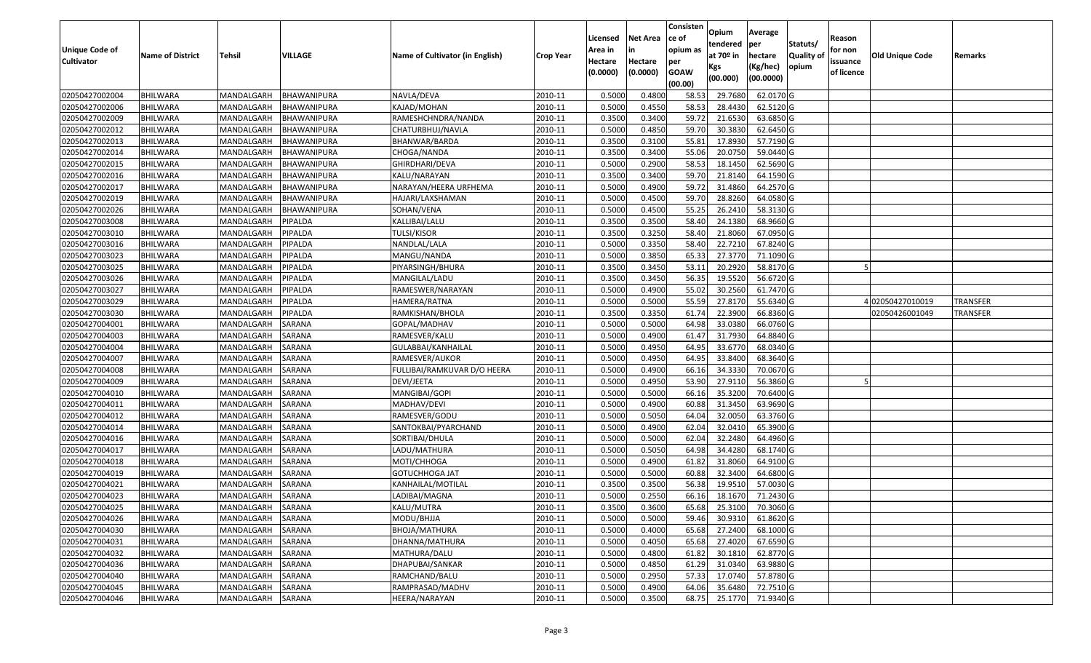| <b>Unique Code of</b><br><b>Cultivator</b> | <b>Name of District</b> | <b>Tehsil</b>     | VILLAGE            | Name of Cultivator (in English) | <b>Crop Year</b> | Licensed<br>Area in<br>Hectare<br>(0.0000) | <b>Net Area</b><br>in<br>Hectare<br>(0.0000) | Consisten<br>ce of<br>opium as<br>per<br><b>GOAW</b><br>(00.00) | Opium<br>tendered<br>at $70°$ in<br>Kgs<br>(00.000) | Average<br>per<br>hectare<br>(Kg/hec)<br>(00.0000) | Statuts/<br>Quality of<br>opium | Reason<br>for non<br>issuance<br>of licence | <b>Old Unique Code</b> | Remarks         |
|--------------------------------------------|-------------------------|-------------------|--------------------|---------------------------------|------------------|--------------------------------------------|----------------------------------------------|-----------------------------------------------------------------|-----------------------------------------------------|----------------------------------------------------|---------------------------------|---------------------------------------------|------------------------|-----------------|
| 02050427002004                             | <b>BHILWARA</b>         | MANDALGARH        | BHAWANIPURA        | NAVLA/DEVA                      | 2010-11          | 0.5000                                     | 0.4800                                       | 58.53                                                           | 29.768                                              | 62.0170 G                                          |                                 |                                             |                        |                 |
| 02050427002006                             | <b>BHILWARA</b>         | MANDALGARH        | BHAWANIPURA        | KAJAD/MOHAN                     | 2010-11          | 0.5000                                     | 0.4550                                       | 58.53                                                           | 28.4430                                             | 62.5120 G                                          |                                 |                                             |                        |                 |
| 02050427002009                             | BHILWARA                | MANDALGARH        | BHAWANIPURA        | RAMESHCHNDRA/NANDA              | 2010-11          | 0.3500                                     | 0.3400                                       | 59.72                                                           | 21.6530                                             | 63.6850 G                                          |                                 |                                             |                        |                 |
| 02050427002012                             | <b>BHILWARA</b>         | MANDALGARH        | <b>BHAWANIPURA</b> | CHATURBHUJ/NAVLA                | 2010-11          | 0.5000                                     | 0.4850                                       | 59.70                                                           | 30.3830                                             | 62.6450 G                                          |                                 |                                             |                        |                 |
| 02050427002013                             | <b>BHILWARA</b>         | MANDALGARH        | BHAWANIPURA        | BHANWAR/BARDA                   | 2010-11          | 0.3500                                     | 0.3100                                       | 55.81                                                           | 17.8930                                             | 57.7190 G                                          |                                 |                                             |                        |                 |
| 02050427002014                             | <b>BHILWARA</b>         | MANDALGARH        | <b>BHAWANIPURA</b> | CHOGA/NANDA                     | 2010-11          | 0.3500                                     | 0.3400                                       | 55.06                                                           | 20.075                                              | 59.0440 G                                          |                                 |                                             |                        |                 |
| 02050427002015                             | BHILWARA                | MANDALGARH        | BHAWANIPURA        | GHIRDHARI/DEVA                  | 2010-11          | 0.5000                                     | 0.2900                                       | 58.53                                                           | 18.1450                                             | 62.5690 G                                          |                                 |                                             |                        |                 |
| 02050427002016                             | <b>BHILWARA</b>         | MANDALGARH        | BHAWANIPURA        | KALU/NARAYAN                    | 2010-11          | 0.3500                                     | 0.3400                                       | 59.70                                                           | 21.8140                                             | 64.1590 G                                          |                                 |                                             |                        |                 |
| 02050427002017                             | <b>BHILWARA</b>         | MANDALGARH        | BHAWANIPURA        | NARAYAN/HEERA URFHEMA           | 2010-11          | 0.5000                                     | 0.4900                                       | 59.72                                                           | 31.4860                                             | 64.2570 G                                          |                                 |                                             |                        |                 |
| 02050427002019                             | <b>BHILWARA</b>         | MANDALGARH        | BHAWANIPURA        | HAJARI/LAXSHAMAN                | 2010-11          | 0.500                                      | 0.4500                                       | 59.70                                                           | 28.8260                                             | 64.0580 G                                          |                                 |                                             |                        |                 |
| 02050427002026                             | <b>BHILWARA</b>         | MANDALGARH        | BHAWANIPURA        | SOHAN/VENA                      | 2010-11          | 0.5000                                     | 0.4500                                       | 55.25                                                           | 26.2410                                             | 58.3130 G                                          |                                 |                                             |                        |                 |
| 02050427003008                             | <b>BHILWARA</b>         | MANDALGARH        | PIPALDA            | KALLIBAI/LALU                   | 2010-11          | 0.3500                                     | 0.3500                                       | 58.40                                                           | 24.1380                                             | 68.9660 G                                          |                                 |                                             |                        |                 |
| 02050427003010                             | <b>BHILWARA</b>         | MANDALGARH        | PIPALDA            | TULSI/KISOR                     | 2010-11          | 0.3500                                     | 0.3250                                       | 58.40                                                           | 21.8060                                             | 67.0950 G                                          |                                 |                                             |                        |                 |
| 02050427003016                             | BHILWARA                | MANDALGARH        | PIPALDA            | NANDLAL/LALA                    | 2010-11          | 0.5000                                     | 0.3350                                       | 58.40                                                           | 22.721                                              | 67.8240 G                                          |                                 |                                             |                        |                 |
| 02050427003023                             | <b>BHILWARA</b>         | MANDALGARH        | PIPALDA            | MANGU/NANDA                     | 2010-11          | 0.5000                                     | 0.3850                                       | 65.33                                                           | 27.3770                                             | 71.1090 G                                          |                                 |                                             |                        |                 |
| 02050427003025                             | <b>BHILWARA</b>         | MANDALGARH        | PIPALDA            | PIYARSINGH/BHURA                | 2010-11          | 0.3500                                     | 0.3450                                       | 53.1                                                            | 20.2920                                             | 58.8170 G                                          |                                 |                                             |                        |                 |
| 02050427003026                             | <b>BHILWARA</b>         | MANDALGARH        | PIPALDA            | MANGILAL/LADU                   | 2010-11          | 0.3500                                     | 0.3450                                       | 56.35                                                           | 19.5520                                             | 56.6720 G                                          |                                 |                                             |                        |                 |
| 02050427003027                             | <b>BHILWARA</b>         | MANDALGARH        | PIPALDA            | RAMESWER/NARAYAN                | 2010-11          | 0.5000                                     | 0.4900                                       | 55.02                                                           | 30.2560                                             | 61.7470 G                                          |                                 |                                             |                        |                 |
| 02050427003029                             | <b>BHILWARA</b>         | MANDALGARH        | PIPALDA            | HAMERA/RATNA                    | 2010-11          | 0.5000                                     | 0.5000                                       | 55.59                                                           | 27.8170                                             | 55.6340 G                                          |                                 |                                             | 402050427010019        | <b>TRANSFER</b> |
| 02050427003030                             | BHILWARA                | MANDALGARH        | PIPALDA            | RAMKISHAN/BHOLA                 | 2010-11          | 0.3500                                     | 0.3350                                       | 61.74                                                           | 22.3900                                             | 66.8360 G                                          |                                 |                                             | 02050426001049         | <b>TRANSFER</b> |
| 02050427004001                             | <b>BHILWARA</b>         | MANDALGARH        | SARANA             | GOPAL/MADHAV                    | 2010-11          | 0.5000                                     | 0.5000                                       | 64.98                                                           | 33.0380                                             | 66.0760 G                                          |                                 |                                             |                        |                 |
| 02050427004003                             | <b>BHILWARA</b>         | MANDALGARH        | SARANA             | RAMESVER/KALU                   | 2010-11          | 0.5000                                     | 0.4900                                       | 61.47                                                           | 31.7930                                             | 64.8840 G                                          |                                 |                                             |                        |                 |
| 02050427004004                             | <b>BHILWARA</b>         | MANDALGARH        | SARANA             | GULABBAI/KANHAILAL              | 2010-11          | 0.5000                                     | 0.4950                                       | 64.95                                                           | 33.6770                                             | 68.0340 G                                          |                                 |                                             |                        |                 |
| 02050427004007                             | BHILWARA                | MANDALGARH        | SARANA             | RAMESVER/AUKOR                  | 2010-11          | 0.5000                                     | 0.4950                                       | 64.95                                                           | 33.8400                                             | 68.3640 G                                          |                                 |                                             |                        |                 |
| 02050427004008                             | <b>BHILWARA</b>         | MANDALGARH        | SARANA             | FULLIBAI/RAMKUVAR D/O HEERA     | 2010-11          | 0.5000                                     | 0.4900                                       | 66.16                                                           | 34.333                                              | 70.0670 G                                          |                                 |                                             |                        |                 |
| 02050427004009                             | <b>BHILWARA</b>         | MANDALGARH        | <b>SARANA</b>      | DEVI/JEETA                      | 2010-11          | 0.5000                                     | 0.4950                                       | 53.90                                                           | 27.9110                                             | 56.3860 G                                          |                                 |                                             |                        |                 |
| 02050427004010                             | <b>BHILWARA</b>         | MANDALGARH        | SARANA             | MANGIBAI/GOPI                   | 2010-11          | 0.5000                                     | 0.5000                                       | 66.16                                                           | 35.3200                                             | 70.6400 G                                          |                                 |                                             |                        |                 |
| 02050427004011                             | BHILWARA                | MANDALGARH        | SARANA             | MADHAV/DEVI                     | 2010-11          | 0.5000                                     | 0.4900                                       | 60.88                                                           | 31.3450                                             | 63.9690 G                                          |                                 |                                             |                        |                 |
| 02050427004012                             | <b>BHILWARA</b>         | MANDALGARH        | SARANA             | RAMESVER/GODU                   | 2010-11          | 0.5000                                     | 0.5050                                       | 64.04                                                           | 32.0050                                             | 63.3760 G                                          |                                 |                                             |                        |                 |
| 02050427004014                             | <b>BHILWARA</b>         | MANDALGARH        | SARANA             | SANTOKBAI/PYARCHAND             | 2010-11          | 0.5000                                     | 0.4900                                       | 62.04                                                           | 32.0410                                             | 65.3900 G                                          |                                 |                                             |                        |                 |
| 02050427004016                             | <b>BHILWARA</b>         | MANDALGARH        | <b>SARANA</b>      | SORTIBAI/DHULA                  | 2010-11          | 0.5000                                     | 0.5000                                       | 62.04                                                           | 32.2480                                             | 64.4960 G                                          |                                 |                                             |                        |                 |
| 02050427004017                             | BHILWARA                | MANDALGARH        | <b>SARANA</b>      | LADU/MATHURA                    | 2010-11          | 0.5000                                     | 0.5050                                       | 64.98                                                           | 34.4280                                             | 68.1740 G                                          |                                 |                                             |                        |                 |
| 02050427004018                             | <b>BHILWARA</b>         | MANDALGARH        | SARANA             | MOTI/CHHOGA                     | 2010-11          | 0.5000                                     | 0.4900                                       | 61.82                                                           | 31.8060                                             | 64.9100 G                                          |                                 |                                             |                        |                 |
| 02050427004019                             | <b>BHILWARA</b>         | MANDALGARH        | <b>SARANA</b>      | GOTUCHHOGA JAT                  | 2010-11          | 0.5000                                     | 0.5000                                       | 60.88                                                           | 32.3400                                             | 64.6800 G                                          |                                 |                                             |                        |                 |
| 02050427004021                             | <b>BHILWARA</b>         | MANDALGARH        | <b>SARANA</b>      | KANHAILAL/MOTILAL               | 2010-11          | 0.350                                      | 0.3500                                       | 56.38                                                           | 19.951                                              | 57.0030 G                                          |                                 |                                             |                        |                 |
| 02050427004023                             | <b>BHILWARA</b>         | MANDALGARH        | <b>SARANA</b>      | LADIBAI/MAGNA                   | 2010-11          | 0.5000                                     | 0.2550                                       | 66.16                                                           | 18.1670                                             | 71.2430 G                                          |                                 |                                             |                        |                 |
| 02050427004025                             | <b>BHILWARA</b>         | MANDALGARH SARANA |                    | KALU/MUTRA                      | 2010-11          | 0.3500                                     | 0.3600                                       | 65.68                                                           | 25.3100                                             | 70.3060 G                                          |                                 |                                             |                        |                 |
| 02050427004026                             | <b>BHILWARA</b>         | MANDALGARH        | SARANA             | MODU/BHJJA                      | 2010-11          | 0.5000                                     | 0.5000                                       | 59.46                                                           | 30.9310                                             | 61.8620 G                                          |                                 |                                             |                        |                 |
| 02050427004030                             | <b>BHILWARA</b>         | MANDALGARH        | SARANA             | BHOJA/MATHURA                   | 2010-11          | 0.5000                                     | 0.4000                                       | 65.68                                                           | 27.2400                                             | 68.1000 G                                          |                                 |                                             |                        |                 |
| 02050427004031                             | <b>BHILWARA</b>         | MANDALGARH        | SARANA             | DHANNA/MATHURA                  | 2010-11          | 0.5000                                     | 0.4050                                       | 65.68                                                           | 27.4020                                             | 67.6590 G                                          |                                 |                                             |                        |                 |
| 02050427004032                             | <b>BHILWARA</b>         | MANDALGARH        | <b>SARANA</b>      | MATHURA/DALU                    | 2010-11          | 0.5000                                     | 0.4800                                       | 61.82                                                           | 30.1810                                             | 62.8770 G                                          |                                 |                                             |                        |                 |
| 02050427004036                             | <b>BHILWARA</b>         | MANDALGARH        | <b>SARANA</b>      | DHAPUBAI/SANKAR                 | 2010-11          | 0.5000                                     | 0.4850                                       | 61.29                                                           | 31.0340                                             | 63.9880 G                                          |                                 |                                             |                        |                 |
| 02050427004040                             | <b>BHILWARA</b>         | MANDALGARH        | SARANA             | RAMCHAND/BALU                   | 2010-11          | 0.5000                                     | 0.2950                                       | 57.33                                                           | 17.0740                                             | 57.8780 G                                          |                                 |                                             |                        |                 |
| 02050427004045                             | <b>BHILWARA</b>         | MANDALGARH        | <b>SARANA</b>      | RAMPRASAD/MADHV                 | 2010-11          | 0.5000                                     | 0.4900                                       | 64.06                                                           | 35.6480                                             | 72.7510 G                                          |                                 |                                             |                        |                 |
| 02050427004046                             | <b>BHILWARA</b>         | MANDALGARH        | SARANA             | HEERA/NARAYAN                   | 2010-11          | 0.5000                                     | 0.3500                                       | 68.75                                                           | 25.1770                                             | 71.9340 G                                          |                                 |                                             |                        |                 |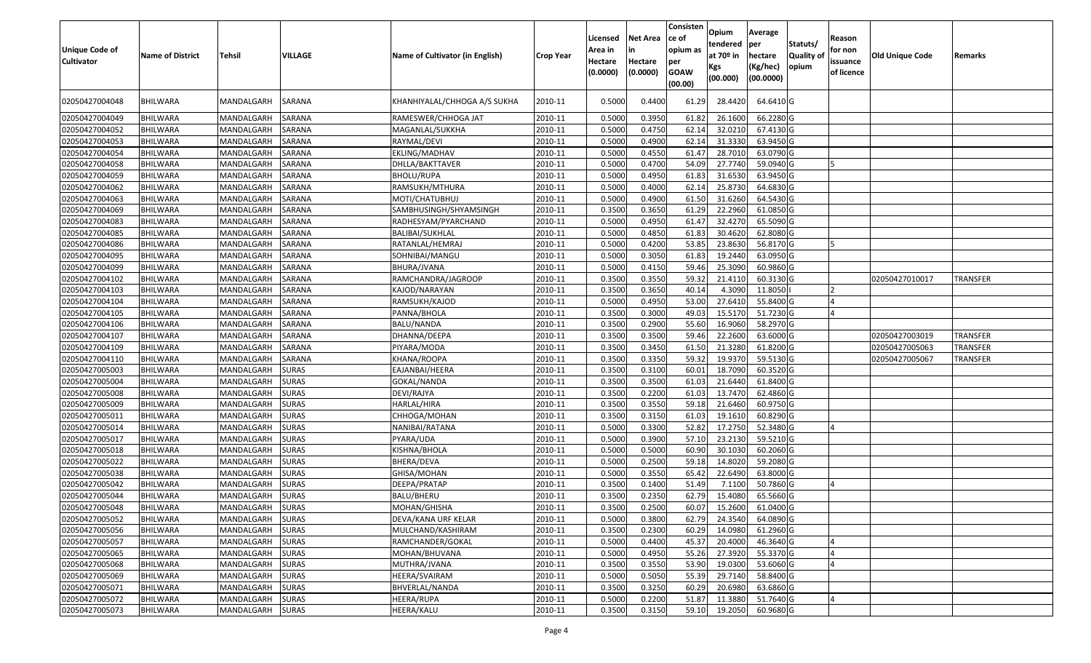| <b>Unique Code of</b><br><b>Cultivator</b> | <b>Name of District</b> | <b>Tehsil</b>    | VILLAGE       | Name of Cultivator (in English) | <b>Crop Year</b> | Licensed<br>Area in<br>Hectare<br>(0.0000) | <b>Net Area</b><br>in<br>Hectare<br>(0.0000) | Consisten<br>ce of<br>opium as<br>per<br><b>GOAW</b><br>(00.00) | Opium<br>tendered<br>at $70°$ in<br>Kgs<br>(00.000) | Average<br>per<br>hectare<br>(Kg/hec)<br>(00.0000) | Statuts/<br>Quality of<br>opium | Reason<br>for non<br>issuance<br>of licence | <b>Old Unique Code</b> | Remarks         |
|--------------------------------------------|-------------------------|------------------|---------------|---------------------------------|------------------|--------------------------------------------|----------------------------------------------|-----------------------------------------------------------------|-----------------------------------------------------|----------------------------------------------------|---------------------------------|---------------------------------------------|------------------------|-----------------|
| 02050427004048                             | <b>BHILWARA</b>         | MANDALGARH       | <b>SARANA</b> | KHANHIYALAL/CHHOGA A/S SUKHA    | 2010-11          | 0.5000                                     | 0.4400                                       | 61.29                                                           | 28.4420                                             | 64.6410 G                                          |                                 |                                             |                        |                 |
| 02050427004049                             | BHILWARA                | MANDALGARH       | SARANA        | RAMESWER/CHHOGA JAT             | 2010-11          | 0.5000                                     | 0.3950                                       | 61.82                                                           | 26.1600                                             | 66.2280 G                                          |                                 |                                             |                        |                 |
| 02050427004052                             | <b>BHILWARA</b>         | MANDALGARH       | SARANA        | MAGANLAL/SUKKHA                 | 2010-11          | 0.5000                                     | 0.4750                                       | 62.14                                                           | 32.0210                                             | 67.4130 G                                          |                                 |                                             |                        |                 |
| 02050427004053                             | <b>BHILWARA</b>         | MANDALGARH       | <b>SARANA</b> | RAYMAL/DEVI                     | 2010-11          | 0.5000                                     | 0.4900                                       | 62.14                                                           | 31.3330                                             | 63.9450 G                                          |                                 |                                             |                        |                 |
| 02050427004054                             | <b>BHILWARA</b>         | MANDALGARH       | SARANA        | EKLING/MADHAV                   | 2010-11          | 0.5000                                     | 0.4550                                       | 61.47                                                           | 28.7010                                             | 63.0790 G                                          |                                 |                                             |                        |                 |
| 02050427004058                             | BHILWARA                | MANDALGARH       | SARANA        | DHLLA/BAKTTAVER                 | 2010-11          | 0.5000                                     | 0.4700                                       | 54.09                                                           | 27.7740                                             | 59.0940 G                                          |                                 |                                             |                        |                 |
| 02050427004059                             | <b>BHILWARA</b>         | MANDALGARH       | SARANA        | <b>BHOLU/RUPA</b>               | 2010-11          | 0.5000                                     | 0.4950                                       | 61.83                                                           | 31.6530                                             | 63.9450 G                                          |                                 |                                             |                        |                 |
| 02050427004062                             | <b>BHILWARA</b>         | MANDALGARH       | SARANA        | RAMSUKH/MTHURA                  | 2010-11          | 0.5000                                     | 0.4000                                       | 62.1                                                            | 25.8730                                             | 64.6830 G                                          |                                 |                                             |                        |                 |
| 02050427004063                             | <b>BHILWARA</b>         | MANDALGARH       | SARANA        | MOTI/CHATUBHUJ                  | 2010-11          | 0.5000                                     | 0.4900                                       | 61.50                                                           | 31.6260                                             | 64.5430 G                                          |                                 |                                             |                        |                 |
| 02050427004069                             | <b>BHILWARA</b>         | MANDALGARH       | SARANA        | SAMBHUSINGH/SHYAMSINGH          | 2010-11          | 0.3500                                     | 0.3650                                       | 61.29                                                           | 22.2960                                             | 61.0850 G                                          |                                 |                                             |                        |                 |
| 02050427004083                             | <b>BHILWARA</b>         | MANDALGARH       | SARANA        | RADHESYAM/PYARCHAND             | 2010-11          | 0.5000                                     | 0.4950                                       | 61.47                                                           | 32.4270                                             | 65.5090 G                                          |                                 |                                             |                        |                 |
| 02050427004085                             | <b>BHILWARA</b>         | MANDALGARH       | SARANA        | <b>BALIBAI/SUKHLAL</b>          | 2010-11          | 0.5000                                     | 0.4850                                       | 61.83                                                           | 30.4620                                             | 62.8080 G                                          |                                 |                                             |                        |                 |
| 02050427004086                             | <b>BHILWARA</b>         | MANDALGARH       | SARANA        | RATANLAL/HEMRAJ                 | 2010-11          | 0.5000                                     | 0.4200                                       | 53.85                                                           | 23.8630                                             | 56.8170 G                                          |                                 |                                             |                        |                 |
| 02050427004095                             | <b>BHILWARA</b>         | MANDALGARH       | SARANA        | SOHNIBAI/MANGU                  | 2010-11          | 0.5000                                     | 0.3050                                       | 61.83                                                           | 19.2440                                             | 63.0950 G                                          |                                 |                                             |                        |                 |
| 02050427004099                             | <b>BHILWARA</b>         | MANDALGARH       | SARANA        | BHURA/JVANA                     | 2010-11          | 0.5000                                     | 0.4150                                       | 59.46                                                           | 25.3090                                             | 60.9860 G                                          |                                 |                                             |                        |                 |
| 02050427004102                             | <b>BHILWARA</b>         | MANDALGARH       | SARANA        | RAMCHANDRA/JAGROOP              | 2010-11          | 0.3500                                     | 0.3550                                       | 59.32                                                           | 21.4110                                             | 60.3130 G                                          |                                 |                                             | 02050427010017         | <b>TRANSFER</b> |
| 02050427004103                             | <b>BHILWARA</b>         | MANDALGARH       | SARANA        | KAJOD/NARAYAN                   | 2010-11          | 0.3500                                     | 0.3650                                       | 40.14                                                           | 4.3090                                              | 11.8050                                            |                                 |                                             |                        |                 |
| 02050427004104                             | <b>BHILWARA</b>         | MANDALGARH       | SARANA        | RAMSUKH/KAJOD                   | 2010-11          | 0.5000                                     | 0.4950                                       | 53.00                                                           | 27.6410                                             | 55.8400 G                                          |                                 |                                             |                        |                 |
| 02050427004105                             | BHILWARA                | MANDALGARH       | SARANA        | PANNA/BHOLA                     | 2010-11          | 0.3500                                     | 0.3000                                       | 49.03                                                           | 15.5170                                             | 51.7230 G                                          |                                 |                                             |                        |                 |
| 02050427004106                             | <b>BHILWARA</b>         | MANDALGARH       | SARANA        | <b>BALU/NANDA</b>               | 2010-11          | 0.3500                                     | 0.2900                                       | 55.60                                                           | 16.9060                                             | 58.2970 G                                          |                                 |                                             |                        |                 |
| 02050427004107                             | <b>BHILWARA</b>         | MANDALGARH       | SARANA        | DHANNA/DEEPA                    | 2010-11          | 0.3500                                     | 0.3500                                       | 59.46                                                           | 22.2600                                             | 63.6000 G                                          |                                 |                                             | 02050427003019         | <b>TRANSFER</b> |
| 02050427004109                             | <b>BHILWARA</b>         | MANDALGARH       | SARANA        | PIYARA/MODA                     | 2010-11          | 0.3500                                     | 0.3450                                       | 61.50                                                           | 21.3280                                             | 61.8200 G                                          |                                 |                                             | 02050427005063         | <b>TRANSFER</b> |
| 02050427004110                             | BHILWARA                | MANDALGARH       | SARANA        | KHANA/ROOPA                     | 2010-11          | 0.3500                                     | 0.3350                                       | 59.32                                                           | 19.9370                                             | 59.5130 G                                          |                                 |                                             | 02050427005067         | TRANSFER        |
| 02050427005003                             | <b>BHILWARA</b>         | MANDALGARH       | <b>SURAS</b>  | EAJANBAI/HEERA                  | 2010-11          | 0.3500                                     | 0.3100                                       | 60.01                                                           | 18.7090                                             | 60.3520 G                                          |                                 |                                             |                        |                 |
| 02050427005004                             | <b>BHILWARA</b>         | MANDALGARH       | <b>SURAS</b>  | GOKAL/NANDA                     | 2010-11          | 0.3500                                     | 0.3500                                       | 61.03                                                           | 21.6440                                             | 61.8400 G                                          |                                 |                                             |                        |                 |
| 02050427005008                             | <b>BHILWARA</b>         | MANDALGARH       | <b>SURAS</b>  | DEVI/RAJYA                      | 2010-11          | 0.3500                                     | 0.2200                                       | 61.03                                                           | 13.7470                                             | 62.4860 G                                          |                                 |                                             |                        |                 |
| 02050427005009                             | <b>BHILWARA</b>         | MANDALGARH       | <b>SURAS</b>  | HARLAL/HIRA                     | 2010-11          | 0.3500                                     | 0.3550                                       | 59.18                                                           | 21.6460                                             | 60.9750 G                                          |                                 |                                             |                        |                 |
| 02050427005011                             | <b>BHILWARA</b>         | MANDALGARH       | <b>SURAS</b>  | CHHOGA/MOHAN                    | 2010-11          | 0.3500                                     | 0.3150                                       | 61.03                                                           | 19.1610                                             | 60.8290 G                                          |                                 |                                             |                        |                 |
| 02050427005014                             | <b>BHILWARA</b>         | MANDALGARH       | <b>SURAS</b>  | NANIBAI/RATANA                  | 2010-11          | 0.5000                                     | 0.3300                                       | 52.82                                                           | 17.2750                                             | 52.3480 G                                          |                                 |                                             |                        |                 |
| 02050427005017                             | <b>BHILWARA</b>         | MANDALGARH       | <b>SURAS</b>  | PYARA/UDA                       | 2010-11          | 0.5000                                     | 0.3900                                       | 57.10                                                           | 23.2130                                             | 59.5210 G                                          |                                 |                                             |                        |                 |
| 02050427005018                             | BHILWARA                | MANDALGARH       | <b>SURAS</b>  | KISHNA/BHOLA                    | 2010-11          | 0.5000                                     | 0.5000                                       | 60.90                                                           | 30.1030                                             | 60.2060 G                                          |                                 |                                             |                        |                 |
| 02050427005022                             | BHILWARA                | MANDALGARH       | <b>SURAS</b>  | BHERA/DEVA                      | 2010-11          | 0.5000                                     | 0.2500                                       | 59.18                                                           | 14.8020                                             | 59.2080 G                                          |                                 |                                             |                        |                 |
| 02050427005038                             | <b>BHILWARA</b>         | MANDALGARH       | <b>SURAS</b>  | GHISA/MOHAN                     | 2010-11          | 0.5000                                     | 0.3550                                       | 65.42                                                           | 22.6490                                             | 63.8000 G                                          |                                 |                                             |                        |                 |
| 02050427005042                             | BHILWARA                | MANDALGARH       | <b>SURAS</b>  | DEEPA/PRATAP                    | 2010-11          | 0.350                                      | 0.1400                                       | 51.49                                                           | 7.1100                                              | 50.7860 G                                          |                                 |                                             |                        |                 |
| 02050427005044                             | <b>BHILWARA</b>         | MANDALGARH       | <b>SURAS</b>  | BALU/BHERU                      | 2010-11          | 0.3500                                     | 0.2350                                       | 62.79                                                           | 15.4080                                             | 65.5660 G                                          |                                 |                                             |                        |                 |
| 02050427005048                             | <b>BHILWARA</b>         | MANDALGARH SURAS |               | MOHAN/GHISHA                    | 2010-11          | 0.3500                                     | 0.2500                                       | 60.07                                                           | 15.2600                                             | 61.0400 G                                          |                                 |                                             |                        |                 |
| 02050427005052                             | <b>BHILWARA</b>         | MANDALGARH       | <b>SURAS</b>  | DEVA/KANA URF KELAR             | 2010-11          | 0.5000                                     | 0.3800                                       | 62.79                                                           | 24.3540                                             | 64.0890 G                                          |                                 |                                             |                        |                 |
| 02050427005056                             | <b>BHILWARA</b>         | MANDALGARH       | <b>SURAS</b>  | MULCHAND/KASHIRAM               | 2010-11          | 0.3500                                     | 0.2300                                       | 60.29                                                           | 14.0980                                             | 61.2960 G                                          |                                 |                                             |                        |                 |
| 02050427005057                             | <b>BHILWARA</b>         | MANDALGARH       | <b>SURAS</b>  | RAMCHANDER/GOKAL                | 2010-11          | 0.5000                                     | 0.4400                                       | 45.37                                                           | 20.4000                                             | 46.3640 G                                          |                                 |                                             |                        |                 |
| 02050427005065                             | <b>BHILWARA</b>         | MANDALGARH       | <b>SURAS</b>  | MOHAN/BHUVANA                   | 2010-11          | 0.5000                                     | 0.4950                                       | 55.26                                                           | 27.3920                                             | 55.3370 G                                          |                                 |                                             |                        |                 |
| 02050427005068                             | <b>BHILWARA</b>         | MANDALGARH       | <b>SURAS</b>  | MUTHRA/JVANA                    | 2010-11          | 0.3500                                     | 0.3550                                       | 53.90                                                           | 19.0300                                             | 53.6060 G                                          |                                 |                                             |                        |                 |
| 02050427005069                             | <b>BHILWARA</b>         | MANDALGARH       | <b>SURAS</b>  | HEERA/SVAIRAM                   | 2010-11          | 0.5000                                     | 0.5050                                       | 55.39                                                           | 29.7140                                             | 58.8400 G                                          |                                 |                                             |                        |                 |
| 02050427005071                             | <b>BHILWARA</b>         | MANDALGARH       | <b>SURAS</b>  | BHVERLAL/NANDA                  | 2010-11          | 0.3500                                     | 0.3250                                       | 60.29                                                           | 20.6980                                             | 63.6860 G                                          |                                 |                                             |                        |                 |
| 02050427005072                             | BHILWARA                | MANDALGARH       | <b>SURAS</b>  | HEERA/RUPA                      | 2010-11          | 0.5000                                     | 0.2200                                       | 51.87                                                           | 11.3880                                             | 51.7640 G                                          |                                 |                                             |                        |                 |
| 02050427005073                             | <b>BHILWARA</b>         | MANDALGARH       | <b>SURAS</b>  | HEERA/KALU                      | 2010-11          | 0.3500                                     | 0.3150                                       | 59.10                                                           | 19.2050                                             | 60.9680 G                                          |                                 |                                             |                        |                 |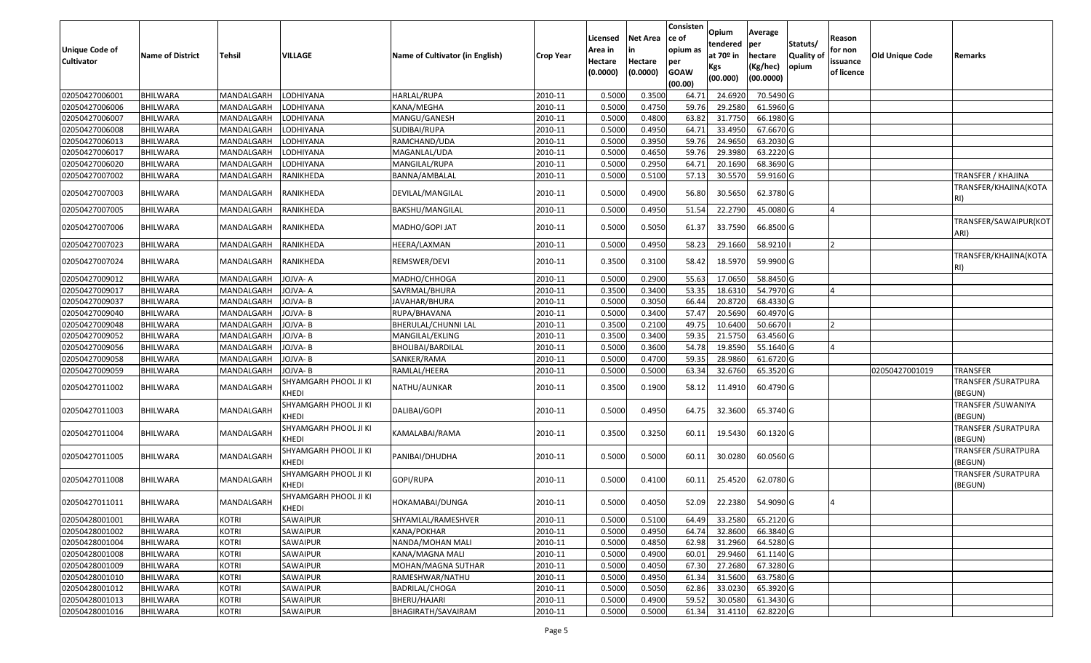| <b>Unique Code of</b><br><b>Cultivator</b> | <b>Name of District</b> | <b>Tehsil</b> | VILLAGE                               | Name of Cultivator (in English) | <b>Crop Year</b> | Licensed<br>Area in<br>Hectare | <b>Net Area</b><br>in<br>Hectare | Consisten<br>ce of<br>opium as<br>per | Opium<br>tendered<br>at 70 <sup>o</sup> in | Average<br>per<br>hectare | Statuts/<br><b>Quality o</b> | Reason<br>for non<br>issuance | <b>Old Unique Code</b> | Remarks                                |
|--------------------------------------------|-------------------------|---------------|---------------------------------------|---------------------------------|------------------|--------------------------------|----------------------------------|---------------------------------------|--------------------------------------------|---------------------------|------------------------------|-------------------------------|------------------------|----------------------------------------|
|                                            |                         |               |                                       |                                 |                  | (0.0000)                       | (0.0000)                         | <b>GOAW</b><br>(00.00)                | Kgs<br>(00.000)                            | (Kg/hec)<br>(00.0000)     | opium                        | of licence                    |                        |                                        |
| 02050427006001                             | <b>BHILWARA</b>         | MANDALGARH    | LODHIYANA                             | HARLAL/RUPA                     | 2010-11          | 0.5000                         | 0.3500                           | 64.7                                  | 24.692                                     | 70.5490 G                 |                              |                               |                        |                                        |
| 02050427006006                             | <b>BHILWARA</b>         | MANDALGARH    | LODHIYANA                             | KANA/MEGHA                      | 2010-11          | 0.5000                         | 0.4750                           | 59.76                                 | 29.2580                                    | 61.5960 G                 |                              |                               |                        |                                        |
| 02050427006007                             | BHILWARA                | MANDALGARH    | LODHIYANA                             | MANGU/GANESH                    | 2010-11          | 0.5000                         | 0.4800                           | 63.82                                 | 31.775                                     | 66.1980 G                 |                              |                               |                        |                                        |
| 02050427006008                             | <b>BHILWARA</b>         | MANDALGARH    | LODHIYANA                             | SUDIBAI/RUPA                    | 2010-11          | 0.5000                         | 0.4950                           | 64.7                                  | 33.495                                     | 67.6670 G                 |                              |                               |                        |                                        |
| 02050427006013                             | <b>BHILWARA</b>         | MANDALGARH    | LODHIYANA                             | RAMCHAND/UDA                    | 2010-11          | 0.5000                         | 0.3950                           | 59.76                                 | 24.965                                     | 63.2030 G                 |                              |                               |                        |                                        |
| 02050427006017                             | <b>BHILWARA</b>         | MANDALGARH    | LODHIYANA                             | MAGANLAL/UDA                    | 2010-11          | 0.5000                         | 0.4650                           | 59.76                                 | 29.3980                                    | 63.2220 G                 |                              |                               |                        |                                        |
| 02050427006020                             | BHILWARA                | MANDALGARH    | LODHIYANA                             | MANGILAL/RUPA                   | 2010-11          | 0.5000                         | 0.2950                           | 64.7                                  | 20.1690                                    | 68.3690 G                 |                              |                               |                        |                                        |
| 02050427007002                             | <b>BHILWARA</b>         | MANDALGARH    | RANIKHEDA                             | BANNA/AMBALAL                   | 2010-11          | 0.5000                         | 0.5100                           | 57.13                                 | 30.5570                                    | 59.9160 G                 |                              |                               |                        | TRANSFER / KHAJINA                     |
| 02050427007003                             | BHILWARA                | MANDALGARH    | RANIKHEDA                             | DEVILAL/MANGILAL                | 2010-11          | 0.5000                         | 0.4900                           | 56.80                                 | 30.5650                                    | 62.3780 G                 |                              |                               |                        | TRANSFER/KHAJINA(KOTA<br>RI)           |
| 02050427007005                             | BHILWARA                | MANDALGARH    | RANIKHEDA                             | BAKSHU/MANGILAL                 | 2010-11          | 0.5000                         | 0.4950                           | 51.54                                 | 22.2790                                    | 45.0080G                  |                              | $\Delta$                      |                        |                                        |
| 02050427007006                             | <b>BHILWARA</b>         | MANDALGARH    | RANIKHEDA                             | MADHO/GOPI JAT                  | 2010-11          | 0.5000                         | 0.5050                           | 61.37                                 | 33.7590                                    | 66.8500 G                 |                              |                               |                        | TRANSFER/SAWAIPUR(KOT<br>ARI)          |
| 02050427007023                             | BHILWARA                | MANDALGARH    | RANIKHEDA                             | HEERA/LAXMAN                    | 2010-11          | 0.500                          | 0.4950                           | 58.23                                 | 29.1660                                    | 58.9210                   |                              | <b>2</b>                      |                        |                                        |
| 02050427007024                             | BHILWARA                | MANDALGARH    | RANIKHEDA                             | REMSWER/DEVI                    | 2010-11          | 0.3500                         | 0.3100                           | 58.42                                 | 18.5970                                    | 59.9900 G                 |                              |                               |                        | TRANSFER/KHAJINA(KOTA<br>RI)           |
| 02050427009012                             | <b>BHILWARA</b>         | MANDALGARH    | JOJVA-A                               | MADHO/CHHOGA                    | 2010-11          | 0.5000                         | 0.2900                           | 55.63                                 | 17.065                                     | 58.8450 G                 |                              |                               |                        |                                        |
| 02050427009017                             | <b>BHILWARA</b>         | MANDALGARH    | JOJVA-A                               | SAVRMAL/BHURA                   | 2010-11          | 0.3500                         | 0.3400                           | 53.35                                 | 18.631                                     | 54.7970 G                 |                              |                               |                        |                                        |
| 02050427009037                             | <b>BHILWARA</b>         | MANDALGARH    | JOJVA-B                               | JAVAHAR/BHURA                   | 2010-11          | 0.5000                         | 0.3050                           | 66.44                                 | 20.8720                                    | 68.4330 G                 |                              |                               |                        |                                        |
| 02050427009040                             | BHILWARA                | MANDALGARH    | JOJVA-B                               | RUPA/BHAVANA                    | 2010-11          | 0.5000                         | 0.3400                           | 57.47                                 | 20.5690                                    | 60.4970 G                 |                              |                               |                        |                                        |
| 02050427009048                             | <b>BHILWARA</b>         | MANDALGARH    | JOJVA-B                               | BHERULAL/CHUNNI LAL             | 2010-11          | 0.3500                         | 0.2100                           | 49.75                                 | 10.6400                                    | 50.6670                   |                              |                               |                        |                                        |
| 02050427009052                             | <b>BHILWARA</b>         | MANDALGARH    | JOJVA-B                               | MANGILAL/EKLING                 | 2010-11          | 0.3500                         | 0.3400                           | 59.35                                 | 21.575                                     | 63.4560 G                 |                              |                               |                        |                                        |
| 02050427009056                             | <b>BHILWARA</b>         | MANDALGARH    | JOJVA-B                               | BHOLIBAI/BARDILAL               | 2010-11          | 0.5000                         | 0.3600                           | 54.78                                 | 19.8590                                    | 55.1640 G                 |                              |                               |                        |                                        |
| 02050427009058                             | BHILWARA                | MANDALGARH    | JOJVA-B                               | SANKER/RAMA                     | 2010-11          | 0.5000                         | 0.4700                           | 59.35                                 | 28.9860                                    | 61.6720 G                 |                              |                               |                        |                                        |
| 02050427009059                             | <b>BHILWARA</b>         | MANDALGARH    | JOJVA-B                               | RAMLAL/HEERA                    | 2010-11          | 0.500                          | 0.5000                           | 63.34                                 | 32.6760                                    | 65.3520 G                 |                              |                               | 02050427001019         | <b>TRANSFER</b>                        |
| 02050427011002                             | <b>BHILWARA</b>         | MANDALGARH    | SHYAMGARH PHOOL JI KI<br><b>KHEDI</b> | NATHU/AUNKAR                    | 2010-11          | 0.3500                         | 0.1900                           | 58.12                                 | 11.4910                                    | 60.4790 G                 |                              |                               |                        | <b>TRANSFER / SURATPURA</b><br>(BEGUN) |
| 02050427011003                             | <b>BHILWARA</b>         | MANDALGARH    | SHYAMGARH PHOOL JI KI<br><b>KHEDI</b> | DALIBAI/GOPI                    | 2010-11          | 0.5000                         | 0.4950                           | 64.75                                 | 32.3600                                    | 65.3740 G                 |                              |                               |                        | TRANSFER / SUWANIYA<br>(BEGUN)         |
| 02050427011004                             | <b>BHILWARA</b>         | MANDALGARH    | SHYAMGARH PHOOL JI KI<br><b>KHEDI</b> | KAMALABAI/RAMA                  | 2010-11          | 0.3500                         | 0.3250                           | 60.11                                 | 19.5430                                    | 60.1320 G                 |                              |                               |                        | TRANSFER / SURATPURA<br>(BEGUN)        |
| 02050427011005                             | <b>BHILWARA</b>         | MANDALGARH    | SHYAMGARH PHOOL JI KI<br><b>KHEDI</b> | PANIBAI/DHUDHA                  | 2010-11          | 0.5000                         | 0.5000                           | 60.11                                 | 30.0280                                    | 60.0560 G                 |                              |                               |                        | <b>TRANSFER / SURATPURA</b><br>(BEGUN) |
| 02050427011008                             | BHILWARA                | MANDALGARH    | SHYAMGARH PHOOL JI KI<br>KHEDI        | GOPI/RUPA                       | 2010-11          | 0.5000                         | 0.4100                           | 60.11                                 | 25.4520                                    | 62.0780 G                 |                              |                               |                        | <b>TRANSFER / SURATPURA</b><br>(BEGUN) |
| 02050427011011                             | BHILWARA                | MANDALGARH    | SHYAMGARH PHOOL JI KI<br>KHEDI        | HOKAMABAI/DUNGA                 | 2010-11          | 0.5000                         | 0.4050                           | 52.09                                 | 22.2380                                    | 54.9090 G                 |                              |                               |                        |                                        |
| 02050428001001                             | <b>BHILWARA</b>         | <b>KOTRI</b>  | SAWAIPUR                              | SHYAMLAL/RAMESHVER              | 2010-11          | 0.5000                         | 0.5100                           | 64.49                                 | 33.2580                                    | 65.2120 G                 |                              |                               |                        |                                        |
| 02050428001002                             | <b>BHILWARA</b>         | <b>KOTRI</b>  | SAWAIPUR                              | KANA/POKHAR                     | 2010-11          | 0.5000                         | 0.4950                           | 64.74                                 | 32.8600                                    | 66.3840 G                 |                              |                               |                        |                                        |
| 02050428001004                             | <b>BHILWARA</b>         | <b>KOTRI</b>  | SAWAIPUR                              | NANDA/MOHAN MALI                | 2010-11          | 0.5000                         | 0.4850                           | 62.98                                 | 31.2960                                    | 64.5280 G                 |                              |                               |                        |                                        |
| 02050428001008                             | BHILWARA                | <b>KOTRI</b>  | SAWAIPUR                              | KANA/MAGNA MALI                 | 2010-11          | 0.5000                         | 0.4900                           | 60.01                                 | 29.9460                                    | 61.1140 G                 |                              |                               |                        |                                        |
| 02050428001009                             | <b>BHILWARA</b>         | <b>KOTRI</b>  | SAWAIPUR                              | MOHAN/MAGNA SUTHAR              | 2010-11          | 0.5000                         | 0.4050                           | 67.30                                 | 27.2680                                    | 67.3280 G                 |                              |                               |                        |                                        |
| 02050428001010                             | <b>BHILWARA</b>         | <b>KOTRI</b>  | SAWAIPUR                              | RAMESHWAR/NATHU                 | 2010-11          | 0.5000                         | 0.4950                           | 61.34                                 | 31.5600                                    | 63.7580 G                 |                              |                               |                        |                                        |
| 02050428001012                             | <b>BHILWARA</b>         | <b>KOTRI</b>  | SAWAIPUR                              | BADRILAL/CHOGA                  | 2010-11          | 0.5000                         | 0.5050                           | 62.86                                 | 33.0230                                    | 65.3920 G                 |                              |                               |                        |                                        |
| 02050428001013                             | <b>BHILWARA</b>         | <b>KOTRI</b>  | SAWAIPUR                              | BHERU/HAJARI                    | 2010-11          | 0.5000                         | 0.4900                           | 59.52                                 | 30.0580                                    | 61.3430 G                 |                              |                               |                        |                                        |
| 02050428001016                             | <b>BHILWARA</b>         | <b>KOTRI</b>  | SAWAIPUR                              | BHAGIRATH/SAVAIRAM              | 2010-11          | 0.5000                         | 0.5000                           | 61.34                                 | 31.4110                                    | 62.8220 G                 |                              |                               |                        |                                        |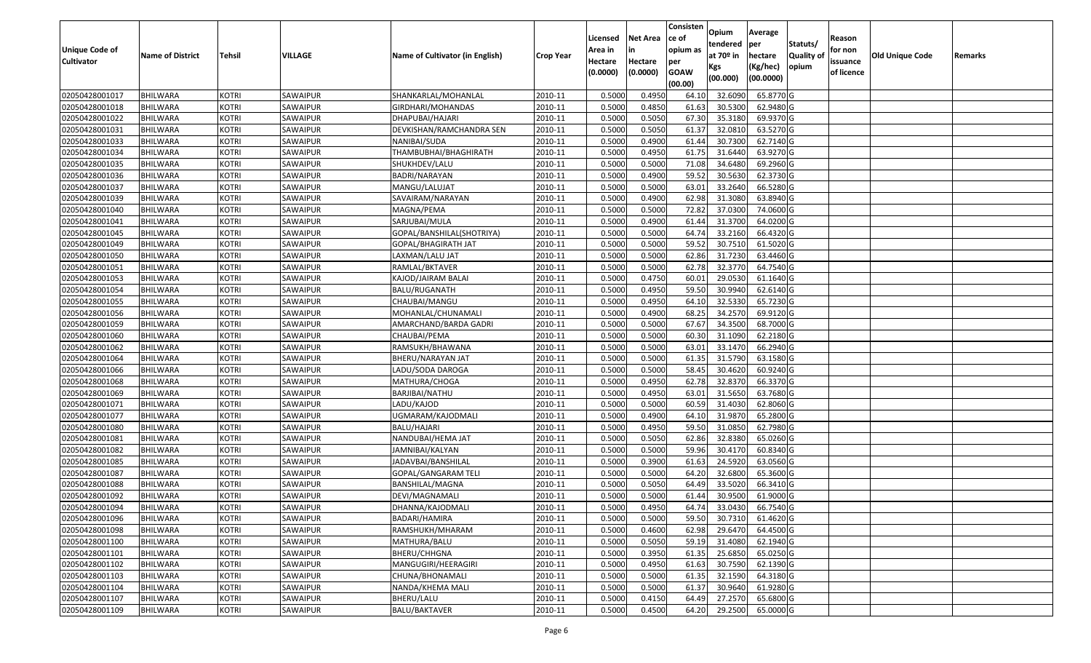|                       |                         |               |          |                                 |                  |          |                 | Consisten   | Opium         | Average                |                  |            |                 |         |
|-----------------------|-------------------------|---------------|----------|---------------------------------|------------------|----------|-----------------|-------------|---------------|------------------------|------------------|------------|-----------------|---------|
|                       |                         |               |          |                                 |                  | Licensed | <b>Net Area</b> | lce of      | tendered      | per                    | Statuts/         | Reason     |                 |         |
| <b>Unique Code of</b> | <b>Name of District</b> | <b>Tehsil</b> | VILLAGE  | Name of Cultivator (in English) | <b>Crop Year</b> | Area in  |                 | opium as    | at $70°$ in   | hectare                | <b>Quality o</b> | for non    | Old Unique Code | Remarks |
| <b>Cultivator</b>     |                         |               |          |                                 |                  | Hectare  | Hectare         | per         | Kgs           | (Kg/hec)               | opium            | issuance   |                 |         |
|                       |                         |               |          |                                 |                  | (0.0000) | (0.0000)        | <b>GOAW</b> | (00.000)      | (00.0000)              |                  | of licence |                 |         |
|                       |                         |               |          |                                 |                  |          |                 | (00.00)     |               |                        |                  |            |                 |         |
| 02050428001017        | <b>BHILWARA</b>         | <b>KOTRI</b>  | SAWAIPUR | SHANKARLAL/MOHANLAL             | 2010-11          | 0.5000   | 0.4950          | 64.10       | 32.609        | 65.8770 G              |                  |            |                 |         |
| 02050428001018        | <b>BHILWARA</b>         | <b>KOTRI</b>  | SAWAIPUR | GIRDHARI/MOHANDAS               | 2010-11          | 0.5000   | 0.4850          | 61.63       | 30.5300       | 62.9480 G              |                  |            |                 |         |
| 02050428001022        | BHILWARA                | <b>KOTRI</b>  | SAWAIPUR | DHAPUBAI/HAJARI                 | 2010-11          | 0.5000   | 0.5050          | 67.30       | 35.3180       | 69.9370 G              |                  |            |                 |         |
| 02050428001031        | <b>BHILWARA</b>         | <b>KOTRI</b>  | SAWAIPUR | DEVKISHAN/RAMCHANDRA SEN        | 2010-11          | 0.5000   | 0.5050          | 61.37       | 32.0810       | 63.5270 G              |                  |            |                 |         |
| 02050428001033        | BHILWARA                | <b>KOTRI</b>  | SAWAIPUR | NANIBAI/SUDA                    | 2010-11          | 0.5000   | 0.4900          | 61.44       | 30.7300       | 62.7140 G<br>63.9270 G |                  |            |                 |         |
| 02050428001034        | <b>BHILWARA</b>         | <b>KOTRI</b>  | SAWAIPUR | THAMBUBHAI/BHAGHIRATH           | 2010-11          | 0.5000   | 0.4950          | 61.75       | 31.6440       |                        |                  |            |                 |         |
| 02050428001035        | BHILWARA                | <b>KOTRI</b>  | SAWAIPUR | SHUKHDEV/LALU                   | 2010-11          | 0.5000   | 0.5000          | 71.08       | 34.6480       | 69.2960 G              |                  |            |                 |         |
| 02050428001036        | <b>BHILWARA</b>         | <b>KOTRI</b>  | SAWAIPUR | BADRI/NARAYAN                   | 2010-11          | 0.5000   | 0.4900          | 59.52       | 30.5630       | 62.3730 G              |                  |            |                 |         |
| 02050428001037        | <b>BHILWARA</b>         | <b>KOTRI</b>  | SAWAIPUR | MANGU/LALUJAT                   | 2010-11          | 0.5000   | 0.5000          | 63.01       | 33.2640       | 66.5280 G              |                  |            |                 |         |
| 02050428001039        | <b>BHILWARA</b>         | <b>KOTRI</b>  | SAWAIPUR | SAVAIRAM/NARAYAN                | 2010-11          | 0.5000   | 0.4900          | 62.98       | 31.3080       | 63.8940 G              |                  |            |                 |         |
| 02050428001040        | <b>BHILWARA</b>         | <b>KOTRI</b>  | SAWAIPUR | MAGNA/PEMA                      | 2010-11          | 0.5000   | 0.5000          | 72.82       | 37.0300       | 74.0600G               |                  |            |                 |         |
| 02050428001041        | <b>BHILWARA</b>         | <b>KOTRI</b>  | SAWAIPUR | SARJUBAI/MULA                   | 2010-11          | 0.5000   | 0.4900          | 61.44       | 31.3700       | 64.0200 G              |                  |            |                 |         |
| 02050428001045        | <b>BHILWARA</b>         | <b>KOTRI</b>  | SAWAIPUR | GOPAL/BANSHILAL(SHOTRIYA)       | 2010-11          | 0.5000   | 0.5000          | 64.74       | 33.2160       | 66.4320 G              |                  |            |                 |         |
| 02050428001049        | <b>BHILWARA</b>         | <b>KOTRI</b>  | SAWAIPUR | GOPAL/BHAGIRATH JAT             | 2010-11          | 0.5000   | 0.5000          | 59.52       | 30.7510       | 61.5020G               |                  |            |                 |         |
| 02050428001050        | BHILWARA                | <b>KOTRI</b>  | SAWAIPUR | LAXMAN/LALU JAT                 | 2010-11          | 0.5000   | 0.5000          | 62.86       | 31.7230       | 63.4460 G              |                  |            |                 |         |
| 02050428001051        | <b>BHILWARA</b>         | <b>KOTRI</b>  | SAWAIPUR | RAMLAL/BKTAVER                  | 2010-11          | 0.5000   | 0.5000          | 62.78       | 32.3770       | 64.7540 G              |                  |            |                 |         |
| 02050428001053        | <b>BHILWARA</b>         | <b>KOTRI</b>  | SAWAIPUR | KAJOD/JAIRAM BALAI              | 2010-11          | 0.5000   | 0.4750          | 60.01       | 29.0530       | 61.1640 G              |                  |            |                 |         |
| 02050428001054        | BHILWARA                | <b>KOTRI</b>  | SAWAIPUR | BALU/RUGANATH                   | 2010-11          | 0.5000   | 0.4950          | 59.50       | 30.9940       | 62.6140 G              |                  |            |                 |         |
| 02050428001055        | <b>BHILWARA</b>         | <b>KOTRI</b>  | SAWAIPUR | CHAUBAI/MANGU                   | 2010-11          | 0.5000   | 0.4950          | 64.10       | 32.5330       | 65.7230 G              |                  |            |                 |         |
| 02050428001056        | BHILWARA                | <b>KOTRI</b>  | SAWAIPUR | MOHANLAL/CHUNAMALI              | 2010-11          | 0.5000   | 0.4900          | 68.25       | 34.2570       | 69.9120 G              |                  |            |                 |         |
| 02050428001059        | <b>BHILWARA</b>         | <b>KOTRI</b>  | SAWAIPUR | AMARCHAND/BARDA GADRI           | 2010-11          | 0.5000   | 0.5000          | 67.67       | 34.3500       | 68.7000 G              |                  |            |                 |         |
| 02050428001060        | <b>BHILWARA</b>         | <b>KOTRI</b>  | SAWAIPUR | CHAUBAI/PEMA                    | 2010-11          | 0.500    | 0.5000          | 60.30       | 31.109        | 62.2180 G              |                  |            |                 |         |
| 02050428001062        | <b>BHILWARA</b>         | <b>KOTRI</b>  | SAWAIPUR | RAMSUKH/BHAWANA                 | 2010-11          | 0.5000   | 0.5000          | 63.01       | 33.1470       | 66.2940 G              |                  |            |                 |         |
| 02050428001064        | <b>BHILWARA</b>         | <b>KOTRI</b>  | SAWAIPUR | BHERU/NARAYAN JAT               | 2010-11          | 0.5000   | 0.5000          | 61.35       | 31.5790       | 63.1580 G              |                  |            |                 |         |
| 02050428001066        | <b>BHILWARA</b>         | <b>KOTRI</b>  | SAWAIPUR | LADU/SODA DAROGA                | 2010-11          | 0.5000   | 0.5000          | 58.45       | 30.4620       | 60.9240 G              |                  |            |                 |         |
| 02050428001068        | BHILWARA                | <b>KOTRI</b>  | SAWAIPUR | MATHURA/CHOGA                   | 2010-11          | 0.5000   | 0.4950          | 62.78       | 32.8370       | 66.3370 G              |                  |            |                 |         |
| 02050428001069        | <b>BHILWARA</b>         | <b>KOTRI</b>  | SAWAIPUR | BARJIBAI/NATHU                  | 2010-11          | 0.5000   | 0.4950          | 63.01       | 31.5650       | 63.7680 G              |                  |            |                 |         |
| 02050428001071        | BHILWARA                | <b>KOTRI</b>  | SAWAIPUR | LADU/KAJOD                      | 2010-11          | 0.5000   | 0.5000          | 60.59       | 31.4030       | 62.8060 G              |                  |            |                 |         |
| 02050428001077        | <b>BHILWARA</b>         | <b>KOTRI</b>  | SAWAIPUR | JGMARAM/KAJODMALI               | 2010-11          | 0.5000   | 0.4900          | 64.10       | 31.9870       | 65.2800 G              |                  |            |                 |         |
| 02050428001080        | <b>BHILWARA</b>         | <b>KOTRI</b>  | SAWAIPUR | BALU/HAJARI                     | 2010-11          | 0.5000   | 0.4950          | 59.50       | 31.085        | 62.7980 G              |                  |            |                 |         |
| 02050428001081        | <b>BHILWARA</b>         | <b>KOTRI</b>  | SAWAIPUR | NANDUBAI/HEMA JAT               | 2010-11          | 0.5000   | 0.5050          | 62.86       | 32.8380       | 65.0260 G              |                  |            |                 |         |
| 02050428001082        | BHILWARA                | <b>KOTRI</b>  | SAWAIPUR | JAMNIBAI/KALYAN                 | 2010-11          | 0.5000   | 0.5000          | 59.9        | 30.4170       | 60.8340 G              |                  |            |                 |         |
| 02050428001085        | <b>BHILWARA</b>         | <b>KOTRI</b>  | SAWAIPUR | JADAVBAI/BANSHILAL              | 2010-11          | 0.5000   | 0.3900          | 61.63       | 24.5920       | 63.0560 G              |                  |            |                 |         |
| 02050428001087        | BHILWARA                | <b>KOTRI</b>  | SAWAIPUR | GOPAL/GANGARAM TELI             | 2010-11          | 0.5000   | 0.5000          | 64.20       | 32.6800       | 65.3600 G              |                  |            |                 |         |
| 02050428001088        | BHILWARA                | <b>KOTRI</b>  | SAWAIPUR | BANSHILAL/MAGNA                 | 2010-11          | 0.500    | 0.5050          | 64.49       | 33.5020       | 66.3410 G              |                  |            |                 |         |
| 02050428001092        | <b>BHILWARA</b>         | <b>KOTRI</b>  | SAWAIPUR | DEVI/MAGNAMALI                  | 2010-11          | 0.5000   | 0.5000          | 61.44       | 30.9500       | 61.9000G               |                  |            |                 |         |
| 02050428001094        | <b>BHILWARA</b>         | <b>KOTRI</b>  | SAWAIPUR | DHANNA/KAJODMALI                | 2010-11          | 0.5000   | 0.4950          |             | 64.74 33.0430 | 66.7540 G              |                  |            |                 |         |
| 02050428001096        | <b>BHILWARA</b>         | <b>KOTRI</b>  | SAWAIPUR | BADARI/HAMIRA                   | 2010-11          | 0.5000   | 0.5000          | 59.50       | 30.7310       | 61.4620 G              |                  |            |                 |         |
| 02050428001098        | <b>BHILWARA</b>         | <b>KOTRI</b>  | SAWAIPUR | RAMSHUKH/MHARAM                 | 2010-11          | 0.5000   | 0.4600          | 62.98       | 29.6470       | 64.4500 G              |                  |            |                 |         |
| 02050428001100        | <b>BHILWARA</b>         | <b>KOTRI</b>  | SAWAIPUR | MATHURA/BALU                    | 2010-11          | 0.5000   | 0.5050          | 59.19       | 31.4080       | 62.1940 G              |                  |            |                 |         |
| 02050428001101        | <b>BHILWARA</b>         | <b>KOTRI</b>  | SAWAIPUR | BHERU/CHHGNA                    | 2010-11          | 0.5000   | 0.3950          | 61.35       | 25.6850       | 65.0250 G              |                  |            |                 |         |
| 02050428001102        | <b>BHILWARA</b>         | <b>KOTRI</b>  | SAWAIPUR | MANGUGIRI/HEERAGIRI             | 2010-11          | 0.5000   | 0.4950          | 61.63       | 30.7590       | 62.1390 G              |                  |            |                 |         |
| 02050428001103        | <b>BHILWARA</b>         | <b>KOTRI</b>  | SAWAIPUR | CHUNA/BHONAMALI                 | 2010-11          | 0.5000   | 0.5000          | 61.35       | 32.1590       | 64.3180 G              |                  |            |                 |         |
| 02050428001104        | <b>BHILWARA</b>         | <b>KOTRI</b>  | SAWAIPUR | NANDA/KHEMA MALI                | 2010-11          | 0.5000   | 0.5000          | 61.37       | 30.9640       | 61.9280 G              |                  |            |                 |         |
| 02050428001107        | <b>BHILWARA</b>         | <b>KOTRI</b>  | SAWAIPUR | BHERU/LALU                      | 2010-11          | 0.5000   | 0.4150          | 64.49       | 27.2570       | 65.6800 G              |                  |            |                 |         |
| 02050428001109        | <b>BHILWARA</b>         | <b>KOTRI</b>  | SAWAIPUR | BALU/BAKTAVER                   | 2010-11          | 0.5000   | 0.4500          | 64.20       | 29.2500       | 65.0000 G              |                  |            |                 |         |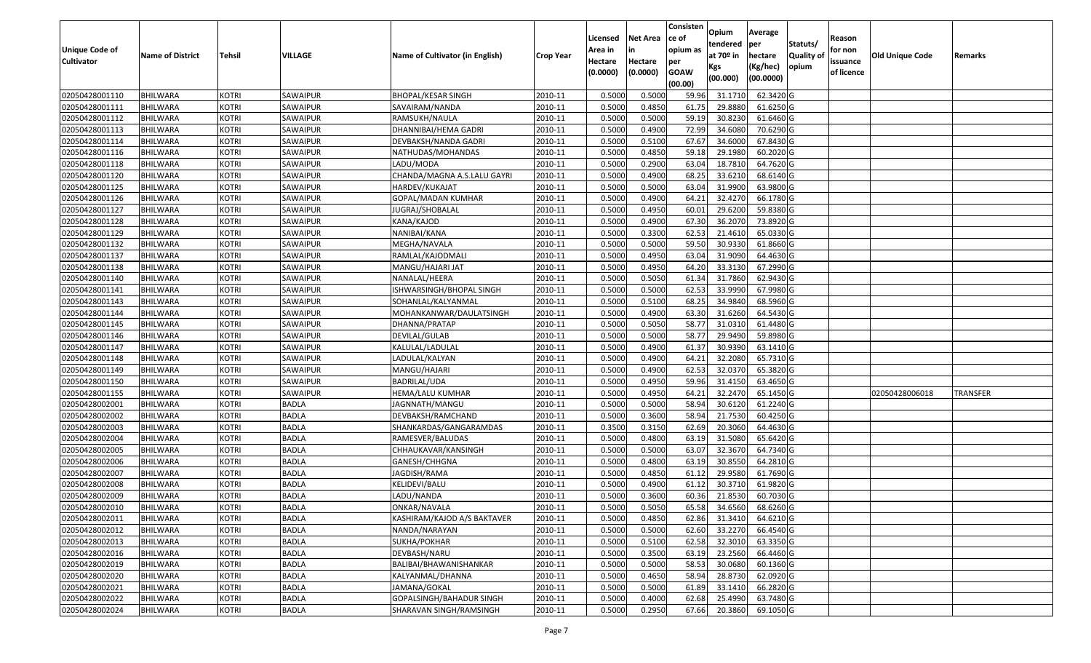|                   |                         |               |              |                                 |                        |          |                 | Consisten              | Opium         | Average   |                  |            |                        |          |
|-------------------|-------------------------|---------------|--------------|---------------------------------|------------------------|----------|-----------------|------------------------|---------------|-----------|------------------|------------|------------------------|----------|
|                   |                         |               |              |                                 |                        | Licensed | <b>Net Area</b> | ce of                  | tendered      | per       | Statuts/         | Reason     |                        |          |
| Unique Code of    | <b>Name of District</b> | <b>Tehsil</b> | VILLAGE      | Name of Cultivator (in English) | <b>Crop Year</b>       | Area in  |                 | opium as               | at $70°$ in   | hectare   | <b>Quality o</b> | for non    | <b>Old Unique Code</b> | Remarks  |
| <b>Cultivator</b> |                         |               |              |                                 |                        | Hectare  | Hectare         | per                    | Kgs           | (Kg/hec)  | opium            | issuance   |                        |          |
|                   |                         |               |              |                                 |                        | (0.0000) | (0.0000)        | <b>GOAW</b><br>(00.00) | (00.000)      | (00.0000) |                  | of licence |                        |          |
| 02050428001110    | <b>BHILWARA</b>         | <b>KOTRI</b>  | SAWAIPUR     | <b>BHOPAL/KESAR SINGH</b>       | 2010-11                | 0.5000   | 0.5000          | 59.96                  | 31.171        | 62.3420 G |                  |            |                        |          |
| 02050428001111    | <b>BHILWARA</b>         | <b>KOTRI</b>  | SAWAIPUR     | SAVAIRAM/NANDA                  | 2010-11                | 0.5000   | 0.4850          | 61.75                  | 29.8880       | 61.6250 G |                  |            |                        |          |
| 02050428001112    | BHILWARA                | <b>KOTRI</b>  | SAWAIPUR     | RAMSUKH/NAULA                   | 2010-11                | 0.5000   | 0.5000          | 59.19                  | 30.823        | 61.6460 G |                  |            |                        |          |
| 02050428001113    | <b>BHILWARA</b>         | <b>KOTRI</b>  | SAWAIPUR     | DHANNIBAI/HEMA GADRI            | 2010-11                | 0.5000   | 0.4900          | 72.99                  | 34.6080       | 70.6290 G |                  |            |                        |          |
| 02050428001114    | BHILWARA                | <b>KOTRI</b>  | SAWAIPUR     | DEVBAKSH/NANDA GADRI            | 2010-11                | 0.5000   | 0.5100          | 67.67                  | 34.600        | 67.8430 G |                  |            |                        |          |
| 02050428001116    | <b>BHILWARA</b>         | <b>KOTRI</b>  | SAWAIPUR     | NATHUDAS/MOHANDAS               | 2010-11                | 0.5000   | 0.4850          | 59.18                  | 29.1980       | 60.2020 G |                  |            |                        |          |
| 02050428001118    | BHILWARA                | <b>KOTRI</b>  | SAWAIPUR     | LADU/MODA                       | 2010-11                | 0.5000   | 0.2900          | 63.04                  | 18.781        | 64.7620 G |                  |            |                        |          |
| 02050428001120    | <b>BHILWARA</b>         | <b>KOTRI</b>  | SAWAIPUR     | CHANDA/MAGNA A.S.LALU GAYRI     | 2010-11                | 0.5000   | 0.4900          | 68.25                  | 33.6210       | 68.6140 G |                  |            |                        |          |
| 02050428001125    | <b>BHILWARA</b>         | <b>KOTRI</b>  | SAWAIPUR     | HARDEV/KUKAJAT                  | 2010-11                | 0.5000   | 0.5000          | 63.04                  | 31.9900       | 63.9800 G |                  |            |                        |          |
| 02050428001126    | <b>BHILWARA</b>         | <b>KOTRI</b>  | SAWAIPUR     | GOPAL/MADAN KUMHAR              | 2010-11                | 0.5000   | 0.4900          | 64.21                  | 32.4270       | 66.1780 G |                  |            |                        |          |
| 02050428001127    | BHILWARA                | <b>KOTRI</b>  | SAWAIPUR     | JUGRAJ/SHOBALAL                 | 2010-11                | 0.5000   | 0.4950          | 60.01                  | 29.6200       | 59.8380 G |                  |            |                        |          |
| 02050428001128    | <b>BHILWARA</b>         | <b>KOTRI</b>  | SAWAIPUR     | KANA/KAJOD                      | 2010-11                | 0.5000   | 0.4900          | 67.30                  | 36.2070       | 73.8920 G |                  |            |                        |          |
| 02050428001129    | <b>BHILWARA</b>         | <b>KOTRI</b>  | SAWAIPUR     | NANIBAI/KANA                    | 2010-11                | 0.5000   | 0.3300          | 62.53                  | 21.4610       | 65.0330 G |                  |            |                        |          |
| 02050428001132    | <b>BHILWARA</b>         | <b>KOTRI</b>  | SAWAIPUR     | MEGHA/NAVALA                    | 2010-11                | 0.5000   | 0.5000          | 59.50                  | 30.9330       | 61.8660 G |                  |            |                        |          |
| 02050428001137    | BHILWARA                | <b>KOTRI</b>  | SAWAIPUR     | RAMLAL/KAJODMALI                | 2010-11                | 0.5000   | 0.4950          | 63.04                  | 31.9090       | 64.4630 G |                  |            |                        |          |
| 02050428001138    | <b>BHILWARA</b>         | <b>KOTRI</b>  | SAWAIPUR     | MANGU/HAJARI JAT                | 2010-11                | 0.5000   | 0.4950          | 64.20                  | 33.3130       | 67.2990 G |                  |            |                        |          |
| 02050428001140    | <b>BHILWARA</b>         | <b>KOTRI</b>  | SAWAIPUR     | NANALAL/HEERA                   | 2010-11                | 0.5000   | 0.5050          | 61.34                  | 31.7860       | 62.9430 G |                  |            |                        |          |
| 02050428001141    | BHILWARA                | <b>KOTRI</b>  | SAWAIPUR     | ISHWARSINGH/BHOPAL SINGH        | 2010-11                | 0.5000   | 0.5000          | 62.53                  | 33.9990       | 67.9980 G |                  |            |                        |          |
| 02050428001143    | <b>BHILWARA</b>         | <b>KOTRI</b>  | SAWAIPUR     | SOHANLAL/KALYANMAL              | 2010-11                | 0.500    | 0.5100          | 68.25                  | 34.9840       | 68.5960 G |                  |            |                        |          |
| 02050428001144    | BHILWARA                | <b>KOTRI</b>  | SAWAIPUR     | MOHANKANWAR/DAULATSINGH         | 2010-11                | 0.5000   | 0.4900          | 63.30                  | 31.6260       | 64.5430 G |                  |            |                        |          |
| 02050428001145    | <b>BHILWARA</b>         | <b>KOTRI</b>  | SAWAIPUR     | DHANNA/PRATAP                   | 2010-11                | 0.5000   | 0.5050          | 58.77                  | 31.031        | 61.4480 G |                  |            |                        |          |
| 02050428001146    | <b>BHILWARA</b>         | <b>KOTRI</b>  | SAWAIPUR     | DEVILAL/GULAB                   | 2010-11                | 0.500    | 0.5000          | 58.77                  | 29.9490       | 59.8980 G |                  |            |                        |          |
| 02050428001147    | <b>BHILWARA</b>         | <b>KOTRI</b>  | SAWAIPUR     | KALULAL/LADULAL                 | 2010-11                | 0.5000   | 0.4900          | 61.37                  | 30.9390       | 63.1410 G |                  |            |                        |          |
| 02050428001148    | <b>BHILWARA</b>         | <b>KOTRI</b>  | SAWAIPUR     | LADULAL/KALYAN                  | 2010-11                | 0.5000   | 0.4900          | 64.2                   | 32.2080       | 65.7310 G |                  |            |                        |          |
| 02050428001149    | <b>BHILWARA</b>         | <b>KOTRI</b>  | SAWAIPUR     | MANGU/HAJARI                    | 2010-11                | 0.5000   | 0.4900          | 62.53                  | 32.037        | 65.3820 G |                  |            |                        |          |
| 02050428001150    | BHILWARA                | <b>KOTRI</b>  | SAWAIPUR     | <b>BADRILAL/UDA</b>             | 2010-11                | 0.5000   | 0.4950          | 59.96                  | 31.415        | 63.4650 G |                  |            |                        |          |
| 02050428001155    | <b>BHILWARA</b>         | <b>KOTRI</b>  | SAWAIPUR     | HEMA/LALU KUMHAR                | 2010-11                | 0.5000   | 0.4950          | 64.21                  | 32.2470       | 65.1450 G |                  |            | 02050428006018         | TRANSFER |
| 02050428002001    | BHILWARA                | <b>KOTRI</b>  | <b>BADLA</b> | JAGNNATH/MANGU                  | 2010-11                | 0.5000   | 0.5000          | 58.94                  | 30.6120       | 61.2240 G |                  |            |                        |          |
| 02050428002002    | <b>BHILWARA</b>         | <b>KOTRI</b>  | <b>BADLA</b> | DEVBAKSH/RAMCHAND               | 2010-11                | 0.5000   | 0.3600          | 58.94                  | 21.7530       | 60.4250 G |                  |            |                        |          |
| 02050428002003    | <b>BHILWARA</b>         | <b>KOTRI</b>  | <b>BADLA</b> | SHANKARDAS/GANGARAMDAS          | 2010-11                | 0.3500   | 0.3150          | 62.69                  | 20.3060       | 64.4630 G |                  |            |                        |          |
| 02050428002004    | BHILWARA                | <b>KOTRI</b>  | <b>BADLA</b> | RAMESVER/BALUDAS                | 2010-11                | 0.5000   | 0.4800          | 63.19                  | 31.5080       | 65.6420 G |                  |            |                        |          |
| 02050428002005    | BHILWARA                | <b>KOTRI</b>  | <b>BADLA</b> | CHHAUKAVAR/KANSINGH             | 2010-11                | 0.5000   | 0.5000          | 63.07                  | 32.3670       | 64.7340 G |                  |            |                        |          |
| 02050428002006    | <b>BHILWARA</b>         | <b>KOTRI</b>  | <b>BADLA</b> | GANESH/CHHGNA                   | 2010-11                | 0.5000   | 0.4800          | 63.19                  | 30.8550       | 64.2810 G |                  |            |                        |          |
| 02050428002007    | BHILWARA                | <b>KOTRI</b>  | <b>BADLA</b> | JAGDISH/RAMA                    | 2010-11                | 0.5000   | 0.4850          | 61.12                  | 29.9580       | 61.7690 G |                  |            |                        |          |
| 02050428002008    | BHILWARA                | <b>KOTRI</b>  | <b>BADLA</b> | KELIDEVI/BALU                   | 2010-11                | 0.500    | 0.4900          | 61.1                   | 30.371        | 61.9820 G |                  |            |                        |          |
| 02050428002009    | <b>BHILWARA</b>         | <b>KOTRI</b>  | <b>BADLA</b> | LADU/NANDA                      | 2010-11                | 0.5000   | 0.3600          | 60.36                  | 21.8530       | 60.7030 G |                  |            |                        |          |
| 02050428002010    | <b>BHILWARA</b>         | <b>KOTRI</b>  | <b>BADLA</b> | ONKAR/NAVALA                    | $\overline{2010} - 11$ | 0.5000   | 0.5050          |                        | 65.58 34.6560 | 68.6260 G |                  |            |                        |          |
| 02050428002011    | <b>BHILWARA</b>         | <b>KOTRI</b>  | <b>BADLA</b> | KASHIRAM/KAJOD A/S BAKTAVER     | 2010-11                | 0.5000   | 0.4850          | 62.86                  | 31.3410       | 64.6210 G |                  |            |                        |          |
| 02050428002012    | <b>BHILWARA</b>         | <b>KOTRI</b>  | <b>BADLA</b> | NANDA/NARAYAN                   | 2010-11                | 0.5000   | 0.5000          | 62.60                  | 33.2270       | 66.4540 G |                  |            |                        |          |
| 02050428002013    | <b>BHILWARA</b>         | <b>KOTRI</b>  | <b>BADLA</b> | SUKHA/POKHAR                    | 2010-11                | 0.5000   | 0.5100          | 62.58                  | 32.3010       | 63.3350 G |                  |            |                        |          |
| 02050428002016    | <b>BHILWARA</b>         | <b>KOTRI</b>  | <b>BADLA</b> | DEVBASH/NARU                    | 2010-11                | 0.5000   | 0.3500          | 63.19                  | 23.2560       | 66.4460 G |                  |            |                        |          |
| 02050428002019    | <b>BHILWARA</b>         | <b>KOTRI</b>  | <b>BADLA</b> | BALIBAI/BHAWANISHANKAR          | 2010-11                | 0.5000   | 0.5000          | 58.53                  | 30.0680       | 60.1360 G |                  |            |                        |          |
| 02050428002020    | <b>BHILWARA</b>         | <b>KOTRI</b>  | <b>BADLA</b> | KALYANMAL/DHANNA                | 2010-11                | 0.5000   | 0.4650          | 58.94                  | 28.8730       | 62.0920 G |                  |            |                        |          |
| 02050428002021    | <b>BHILWARA</b>         | <b>KOTRI</b>  | <b>BADLA</b> | JAMANA/GOKAL                    | 2010-11                | 0.5000   | 0.5000          | 61.89                  | 33.1410       | 66.2820 G |                  |            |                        |          |
| 02050428002022    | <b>BHILWARA</b>         | <b>KOTRI</b>  | <b>BADLA</b> | GOPALSINGH/BAHADUR SINGH        | 2010-11                | 0.5000   | 0.4000          | 62.68                  | 25.4990       | 63.7480 G |                  |            |                        |          |
| 02050428002024    | <b>BHILWARA</b>         | <b>KOTRI</b>  | <b>BADLA</b> | SHARAVAN SINGH/RAMSINGH         | 2010-11                | 0.5000   | 0.2950          | 67.66                  | 20.3860       | 69.1050 G |                  |            |                        |          |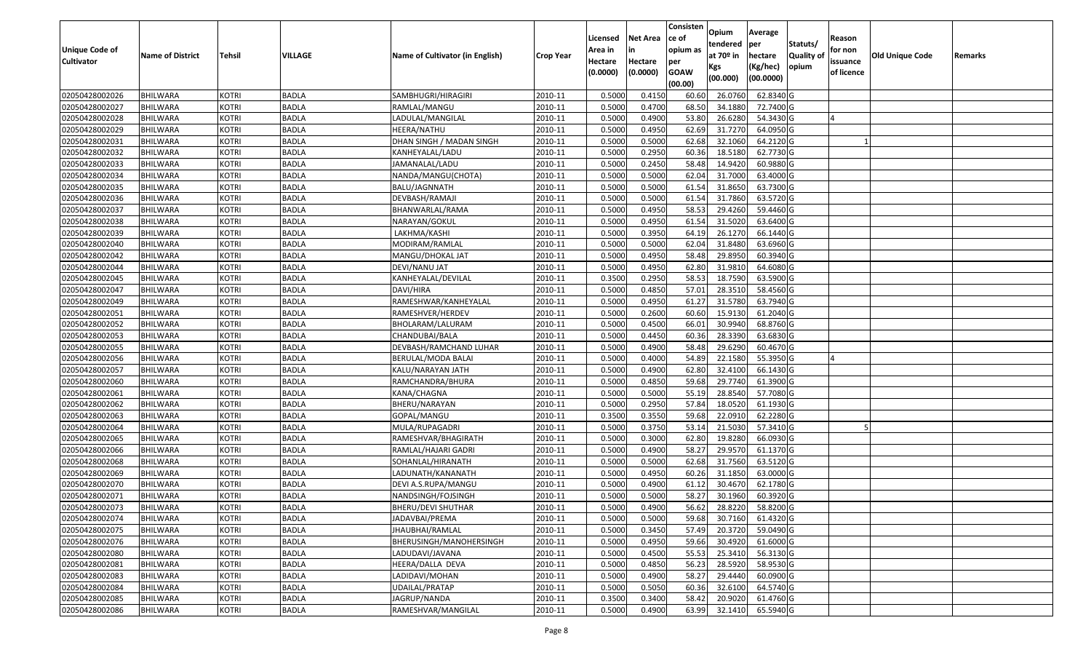| Unique Code of<br><b>Cultivator</b> | <b>Name of District</b> | <b>Tehsil</b> | VILLAGE      | Name of Cultivator (in English) | <b>Crop Year</b> | Licensed<br>Area in<br>Hectare<br>(0.0000) | <b>Net Area</b><br>in<br>Hectare<br>(0.0000) | Consisten<br>ce of<br>opium as<br>per<br><b>GOAW</b><br>(00.00) | Opium<br>tendered<br>at $70°$ in<br>Kgs<br>(00.000) | Average<br>per<br>hectare<br>(Kg/hec)<br>(00.0000) | Statuts/<br>Quality of<br>opium | Reason<br>for non<br>issuance<br>of licence | <b>Old Unique Code</b> | Remarks |
|-------------------------------------|-------------------------|---------------|--------------|---------------------------------|------------------|--------------------------------------------|----------------------------------------------|-----------------------------------------------------------------|-----------------------------------------------------|----------------------------------------------------|---------------------------------|---------------------------------------------|------------------------|---------|
| 02050428002026                      | <b>BHILWARA</b>         | <b>KOTRI</b>  | <b>BADLA</b> | SAMBHUGRI/HIRAGIRI              | 2010-11          | 0.5000                                     | 0.4150                                       | 60.60                                                           | 26.0760                                             | 62.8340 G                                          |                                 |                                             |                        |         |
| 02050428002027                      | <b>BHILWARA</b>         | <b>KOTRI</b>  | <b>BADLA</b> | RAMLAL/MANGU                    | 2010-11          | 0.5000                                     | 0.4700                                       | 68.50                                                           | 34.1880                                             | 72.7400 G                                          |                                 |                                             |                        |         |
| 02050428002028                      | BHILWARA                | <b>KOTRI</b>  | <b>BADLA</b> | LADULAL/MANGILAL                | 2010-11          | 0.5000                                     | 0.4900                                       | 53.80                                                           | 26.6280                                             | 54.3430 G                                          |                                 |                                             |                        |         |
| 02050428002029                      | <b>BHILWARA</b>         | <b>KOTRI</b>  | <b>BADLA</b> | HEERA/NATHU                     | 2010-11          | 0.5000                                     | 0.4950                                       | 62.69                                                           | 31.7270                                             | 64.0950 G                                          |                                 |                                             |                        |         |
| 02050428002031                      | <b>BHILWARA</b>         | <b>KOTRI</b>  | <b>BADLA</b> | DHAN SINGH / MADAN SINGH        | 2010-11          | 0.5000                                     | 0.5000                                       | 62.68                                                           | 32.1060                                             | $64.2120$ G                                        |                                 |                                             |                        |         |
| 02050428002032                      | BHILWARA                | <b>KOTRI</b>  | <b>BADLA</b> | KANHEYALAL/LADU                 | 2010-11          | 0.5000                                     | 0.2950                                       | 60.36                                                           | 18.5180                                             | 62.7730 G                                          |                                 |                                             |                        |         |
| 02050428002033                      | <b>BHILWARA</b>         | <b>KOTRI</b>  | <b>BADLA</b> | JAMANALAL/LADU                  | 2010-11          | 0.5000                                     | 0.2450                                       | 58.48                                                           | 14.9420                                             | 60.9880 G                                          |                                 |                                             |                        |         |
| 02050428002034                      | <b>BHILWARA</b>         | <b>KOTRI</b>  | <b>BADLA</b> | NANDA/MANGU(CHOTA)              | 2010-11          | 0.5000                                     | 0.5000                                       | 62.04                                                           | 31.7000                                             | 63.4000 G                                          |                                 |                                             |                        |         |
| 02050428002035                      | BHILWARA                | <b>KOTRI</b>  | <b>BADLA</b> | BALU/JAGNNATH                   | 2010-11          | 0.5000                                     | 0.5000                                       | 61.54                                                           | 31.8650                                             | 63.7300 G                                          |                                 |                                             |                        |         |
| 02050428002036                      | <b>BHILWARA</b>         | <b>KOTRI</b>  | <b>BADLA</b> | DEVBASH/RAMAJI                  | 2010-11          | 0.5000                                     | 0.5000                                       | 61.54                                                           | 31.7860                                             | 63.5720 G                                          |                                 |                                             |                        |         |
| 02050428002037                      | <b>BHILWARA</b>         | <b>KOTRI</b>  | <b>BADLA</b> | BHANWARLAL/RAMA                 | 2010-11          | 0.5000                                     | 0.4950                                       | 58.53                                                           | 29.4260                                             | 59.4460 G                                          |                                 |                                             |                        |         |
| 02050428002038                      | <b>BHILWARA</b>         | <b>KOTRI</b>  | <b>BADLA</b> | NARAYAN/GOKUL                   | 2010-11          | 0.5000                                     | 0.4950                                       | 61.54                                                           | 31.5020                                             | 63.6400 G                                          |                                 |                                             |                        |         |
| 02050428002039                      | <b>BHILWARA</b>         | <b>KOTRI</b>  | <b>BADLA</b> | LAKHMA/KASHI                    | 2010-11          | 0.5000                                     | 0.3950                                       | 64.19                                                           | 26.1270                                             | 66.1440 G                                          |                                 |                                             |                        |         |
| 02050428002040                      | <b>BHILWARA</b>         | <b>KOTRI</b>  | <b>BADLA</b> | MODIRAM/RAMLAL                  | 2010-11          | 0.5000                                     | 0.5000                                       | 62.04                                                           | 31.8480                                             | 63.6960 G                                          |                                 |                                             |                        |         |
| 02050428002042                      | BHILWARA                | <b>KOTRI</b>  | <b>BADLA</b> | MANGU/DHOKAL JAT                | 2010-11          | 0.5000                                     | 0.4950                                       | 58.48                                                           | 29.8950                                             | 60.3940 G                                          |                                 |                                             |                        |         |
| 02050428002044                      | <b>BHILWARA</b>         | <b>KOTRI</b>  | <b>BADLA</b> | DEVI/NANU JAT                   | 2010-11          | 0.5000                                     | 0.4950                                       | 62.80                                                           | 31.981                                              | 64.6080 G                                          |                                 |                                             |                        |         |
| 02050428002045                      | <b>BHILWARA</b>         | <b>KOTRI</b>  | <b>BADLA</b> | KANHEYALAL/DEVILAL              | 2010-11          | 0.3500                                     | 0.2950                                       | 58.53                                                           | 18.7590                                             | 63.5900 G                                          |                                 |                                             |                        |         |
| 02050428002047                      | <b>BHILWARA</b>         | <b>KOTRI</b>  | <b>BADLA</b> | DAVI/HIRA                       | 2010-11          | 0.5000                                     | 0.4850                                       | 57.01                                                           | 28.3510                                             | 58.4560 G                                          |                                 |                                             |                        |         |
| 02050428002049                      | BHILWARA                | <b>KOTRI</b>  | <b>BADLA</b> | RAMESHWAR/KANHEYALAL            | 2010-11          | 0.5000                                     | 0.4950                                       | 61.27                                                           | 31.5780                                             | 63.7940 G                                          |                                 |                                             |                        |         |
| 02050428002051                      | <b>BHILWARA</b>         | <b>KOTRI</b>  | <b>BADLA</b> | RAMESHVER/HERDEV                | 2010-11          | 0.5000                                     | 0.2600                                       | 60.60                                                           | 15.9130                                             | 61.2040 G                                          |                                 |                                             |                        |         |
| 02050428002052                      | <b>BHILWARA</b>         | <b>KOTRI</b>  | <b>BADLA</b> | BHOLARAM/LALURAM                | 2010-11          | 0.5000                                     | 0.4500                                       | 66.01                                                           | 30.9940                                             | 68.8760 G                                          |                                 |                                             |                        |         |
| 02050428002053                      | <b>BHILWARA</b>         | <b>KOTRI</b>  | <b>BADLA</b> | CHANDUBAI/BALA                  | 2010-11          | 0.5000                                     | 0.4450                                       | 60.36                                                           | 28.3390                                             | 63.6830 G                                          |                                 |                                             |                        |         |
| 02050428002055                      | BHILWARA                | <b>KOTRI</b>  | <b>BADLA</b> | DEVBASH/RAMCHAND LUHAR          | 2010-11          | 0.5000                                     | 0.4900                                       | 58.48                                                           | 29.6290                                             | 60.4670 G                                          |                                 |                                             |                        |         |
| 02050428002056                      | BHILWARA                | <b>KOTRI</b>  | <b>BADLA</b> | BERULAL/MODA BALAI              | 2010-11          | 0.5000                                     | 0.4000                                       | 54.89                                                           | 22.1580                                             | 55.3950 G                                          |                                 |                                             |                        |         |
| 02050428002057                      | <b>BHILWARA</b>         | <b>KOTRI</b>  | <b>BADLA</b> | KALU/NARAYAN JATH               | 2010-11          | 0.5000                                     | 0.4900                                       | 62.80                                                           | 32.4100                                             | 66.1430 G                                          |                                 |                                             |                        |         |
| 02050428002060                      | BHILWARA                | <b>KOTRI</b>  | <b>BADLA</b> | RAMCHANDRA/BHURA                | 2010-11          | 0.5000                                     | 0.4850                                       | 59.68                                                           | 29.7740                                             | 61.3900 G                                          |                                 |                                             |                        |         |
| 02050428002061                      | <b>BHILWARA</b>         | <b>KOTRI</b>  | <b>BADLA</b> | KANA/CHAGNA                     | 2010-11          | 0.5000                                     | 0.5000                                       | 55.19                                                           | 28.8540                                             | 57.7080 G                                          |                                 |                                             |                        |         |
| 02050428002062                      | BHILWARA                | <b>KOTRI</b>  | <b>BADLA</b> | BHERU/NARAYAN                   | 2010-11          | 0.5000                                     | 0.2950                                       | 57.84                                                           | 18.0520                                             | 61.1930 G                                          |                                 |                                             |                        |         |
| 02050428002063                      | <b>BHILWARA</b>         | <b>KOTRI</b>  | <b>BADLA</b> | GOPAL/MANGU                     | 2010-11          | 0.3500                                     | 0.3550                                       | 59.68                                                           | 22.0910                                             | 62.2280 G                                          |                                 |                                             |                        |         |
| 02050428002064                      | BHILWARA                | <b>KOTRI</b>  | <b>BADLA</b> | MULA/RUPAGADRI                  | 2010-11          | 0.5000                                     | 0.3750                                       | 53.14                                                           | 21.5030                                             | $\overline{57.3410}$ G                             |                                 |                                             |                        |         |
| 02050428002065                      | <b>BHILWARA</b>         | <b>KOTRI</b>  | <b>BADLA</b> | RAMESHVAR/BHAGIRATH             | 2010-11          | 0.5000                                     | 0.3000                                       | 62.80                                                           | 19.8280                                             | 66.0930 G                                          |                                 |                                             |                        |         |
| 02050428002066                      | BHILWARA                | <b>KOTRI</b>  | <b>BADLA</b> | RAMLAL/HAJARI GADRI             | 2010-11          | 0.5000                                     | 0.4900                                       | 58.27                                                           | 29.9570                                             | 61.1370 G                                          |                                 |                                             |                        |         |
| 02050428002068                      | <b>BHILWARA</b>         | <b>KOTRI</b>  | <b>BADLA</b> | SOHANLAL/HIRANATH               | 2010-11          | 0.5000                                     | 0.5000                                       | 62.68                                                           | 31.7560                                             | 63.5120G                                           |                                 |                                             |                        |         |
| 02050428002069                      | <b>BHILWARA</b>         | <b>KOTRI</b>  | <b>BADLA</b> | LADUNATH/KANANATH               | 2010-11          | 0.5000                                     | 0.4950                                       | 60.26                                                           | 31.1850                                             | 63.0000G                                           |                                 |                                             |                        |         |
| 02050428002070                      | <b>BHILWARA</b>         | <b>KOTRI</b>  | <b>BADLA</b> | DEVI A.S.RUPA/MANGU             | 2010-11          | 0.5000                                     | 0.4900                                       | 61.12                                                           | 30.467                                              | 62.1780 G                                          |                                 |                                             |                        |         |
| 02050428002071                      | <b>BHILWARA</b>         | <b>KOTRI</b>  | <b>BADLA</b> | NANDSINGH/FOJSINGH              | 2010-11          | 0.5000                                     | 0.5000                                       | 58.27                                                           | 30.1960                                             | 60.3920 G                                          |                                 |                                             |                        |         |
| 02050428002073                      | <b>BHILWARA</b>         | KOTRI         | <b>BADLA</b> | BHERU/DEVI SHUTHAR              | 2010-11          | 0.5000                                     | 0.4900                                       | 56.62                                                           | 28.8220                                             | 58.8200 G                                          |                                 |                                             |                        |         |
| 02050428002074                      | <b>BHILWARA</b>         | <b>KOTRI</b>  | <b>BADLA</b> | JADAVBAI/PREMA                  | 2010-11          | 0.5000                                     | 0.5000                                       | 59.68                                                           | 30.7160                                             | 61.4320 G                                          |                                 |                                             |                        |         |
| 02050428002075                      | <b>BHILWARA</b>         | <b>KOTRI</b>  | <b>BADLA</b> | JHAUBHAI/RAMLAL                 | 2010-11          | 0.5000                                     | 0.3450                                       | 57.49                                                           | 20.3720                                             | 59.0490 G                                          |                                 |                                             |                        |         |
| 02050428002076                      | BHILWARA                | <b>KOTRI</b>  | <b>BADLA</b> | BHERUSINGH/MANOHERSINGH         | 2010-11          | 0.5000                                     | 0.4950                                       | 59.66                                                           | 30.4920                                             | 61.6000 G                                          |                                 |                                             |                        |         |
| 02050428002080                      | <b>BHILWARA</b>         | <b>KOTRI</b>  | <b>BADLA</b> | LADUDAVI/JAVANA                 | 2010-11          | 0.5000                                     | 0.4500                                       | 55.53                                                           | 25.3410                                             | 56.3130 G                                          |                                 |                                             |                        |         |
| 02050428002081                      | <b>BHILWARA</b>         | <b>KOTRI</b>  | <b>BADLA</b> | HEERA/DALLA DEVA                | 2010-11          | 0.5000                                     | 0.4850                                       | 56.23                                                           | 28.5920                                             | 58.9530 G                                          |                                 |                                             |                        |         |
| 02050428002083                      | <b>BHILWARA</b>         | <b>KOTRI</b>  | <b>BADLA</b> | LADIDAVI/MOHAN                  | 2010-11          | 0.5000                                     | 0.4900                                       | 58.27                                                           | 29.4440                                             | 60.0900 G                                          |                                 |                                             |                        |         |
| 02050428002084                      | <b>BHILWARA</b>         | <b>KOTRI</b>  | <b>BADLA</b> | UDAILAL/PRATAP                  | 2010-11          | 0.5000                                     | 0.5050                                       | 60.36                                                           | 32.6100                                             | 64.5740 G                                          |                                 |                                             |                        |         |
| 02050428002085                      | <b>BHILWARA</b>         | <b>KOTRI</b>  | <b>BADLA</b> | JAGRUP/NANDA                    | 2010-11          | 0.3500                                     | 0.3400                                       | 58.42                                                           | 20.9020                                             | 61.4760 G                                          |                                 |                                             |                        |         |
| 02050428002086                      | BHILWARA                | <b>KOTRI</b>  | <b>BADLA</b> | RAMESHVAR/MANGILAL              | 2010-11          | 0.5000                                     | 0.4900                                       | 63.99                                                           | 32.1410                                             | 65.5940 G                                          |                                 |                                             |                        |         |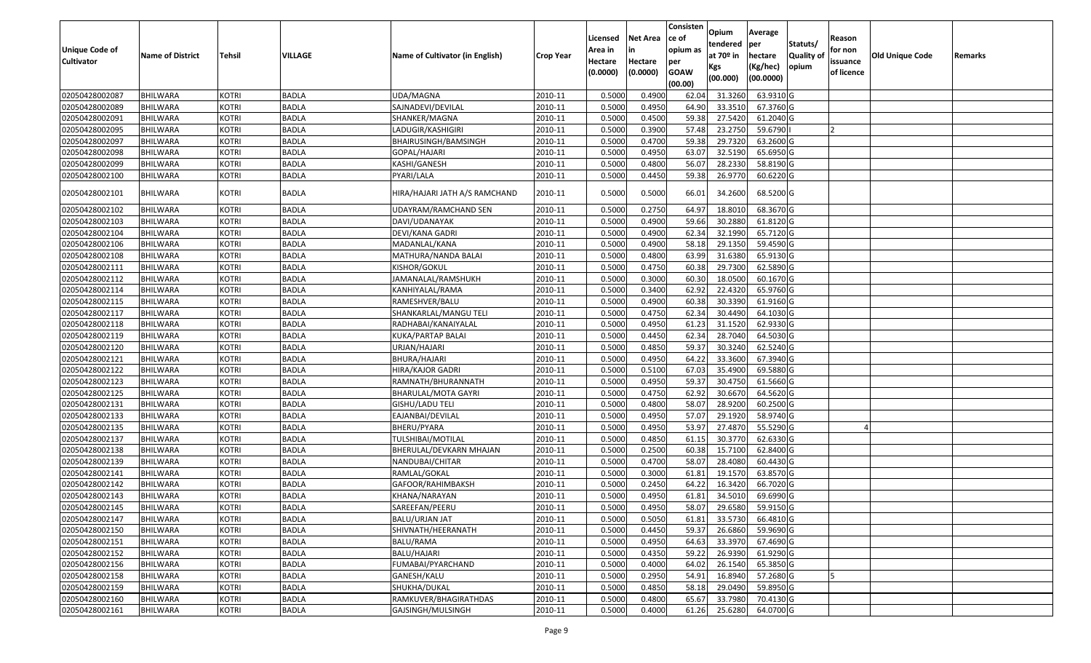|                   |                         |               |              |                                 |                  |          |                 | Consisten        | Opium         | Average   |                  |            |                 |         |
|-------------------|-------------------------|---------------|--------------|---------------------------------|------------------|----------|-----------------|------------------|---------------|-----------|------------------|------------|-----------------|---------|
|                   |                         |               |              |                                 |                  | Licensed | <b>Net Area</b> | ce of            | tendered      | per       | Statuts/         | Reason     |                 |         |
| Unique Code of    | <b>Name of District</b> | <b>Tehsil</b> | VILLAGE      | Name of Cultivator (in English) | <b>Crop Year</b> | Area in  |                 | opium as         | at $70°$ in   | hectare   | <b>Quality o</b> | for non    | Old Unique Code | Remarks |
| <b>Cultivator</b> |                         |               |              |                                 |                  | Hectare  | Hectare         | per              | Kgs           | (Kg/hec)  | opium            | issuance   |                 |         |
|                   |                         |               |              |                                 |                  | (0.0000) | (0.0000)        | <b>GOAW</b>      | (00.000)      | (00.0000) |                  | of licence |                 |         |
| 02050428002087    | <b>BHILWARA</b>         | <b>KOTRI</b>  | <b>BADLA</b> | UDA/MAGNA                       | 2010-11          | 0.5000   | 0.4900          | (00.00)<br>62.04 | 31.3260       | 63.9310 G |                  |            |                 |         |
| 02050428002089    | <b>BHILWARA</b>         | <b>KOTRI</b>  | <b>BADLA</b> | SAJNADEVI/DEVILAL               | 2010-11          | 0.5000   | 0.4950          | 64.90            | 33.3510       | 67.3760 G |                  |            |                 |         |
| 02050428002091    | BHILWARA                | <b>KOTRI</b>  | <b>BADLA</b> | SHANKER/MAGNA                   | 2010-11          | 0.5000   | 0.4500          | 59.38            | 27.5420       | 61.2040 G |                  |            |                 |         |
| 02050428002095    | <b>BHILWARA</b>         | <b>KOTRI</b>  | <b>BADLA</b> | LADUGIR/KASHIGIRI               | 2010-11          | 0.5000   | 0.3900          | 57.48            | 23.2750       | 59.6790   |                  |            |                 |         |
| 02050428002097    | BHILWARA                | <b>KOTRI</b>  | <b>BADLA</b> | BHAIRUSINGH/BAMSINGH            | 2010-11          | 0.5000   | 0.4700          | 59.38            | 29.7320       | 63.2600 G |                  |            |                 |         |
| 02050428002098    | <b>BHILWARA</b>         | <b>KOTRI</b>  | <b>BADLA</b> | GOPAL/HAJARI                    | 2010-11          | 0.5000   | 0.4950          | 63.07            | 32.5190       | 65.6950 G |                  |            |                 |         |
| 02050428002099    | BHILWARA                | <b>KOTRI</b>  | <b>BADLA</b> | KASHI/GANESH                    | 2010-11          | 0.5000   | 0.4800          | 56.07            | 28.2330       | 58.8190 G |                  |            |                 |         |
| 02050428002100    | <b>BHILWARA</b>         | <b>KOTRI</b>  | <b>BADLA</b> | PYARI/LALA                      | 2010-11          | 0.5000   | 0.4450          | 59.38            | 26.9770       | 60.6220 G |                  |            |                 |         |
|                   |                         |               |              |                                 |                  |          |                 |                  |               |           |                  |            |                 |         |
| 02050428002101    | BHILWARA                | <b>KOTRI</b>  | <b>BADLA</b> | HIRA/HAJARI JATH A/S RAMCHAND   | 2010-11          | 0.5000   | 0.5000          | 66.01            | 34.2600       | 68.5200 G |                  |            |                 |         |
| 02050428002102    | BHILWARA                | <b>KOTRI</b>  | <b>BADLA</b> | UDAYRAM/RAMCHAND SEN            | 2010-11          | 0.5000   | 0.2750          | 64.97            | 18.8010       | 68.3670 G |                  |            |                 |         |
| 02050428002103    | BHILWARA                | <b>KOTRI</b>  | <b>BADLA</b> | DAVI/UDANAYAK                   | 2010-11          | 0.5000   | 0.4900          | 59.66            | 30.2880       | 61.8120G  |                  |            |                 |         |
| 02050428002104    | <b>BHILWARA</b>         | <b>KOTRI</b>  | <b>BADLA</b> | DEVI/KANA GADRI                 | 2010-11          | 0.5000   | 0.4900          | 62.34            | 32.1990       | 65.7120 G |                  |            |                 |         |
| 02050428002106    | <b>BHILWARA</b>         | <b>KOTRI</b>  | <b>BADLA</b> | MADANLAL/KANA                   | 2010-11          | 0.5000   | 0.4900          | 58.18            | 29.1350       | 59.4590 G |                  |            |                 |         |
| 02050428002108    | BHILWARA                | <b>KOTRI</b>  | <b>BADLA</b> | MATHURA/NANDA BALAI             | 2010-11          | 0.5000   | 0.4800          | 63.99            | 31.6380       | 65.9130 G |                  |            |                 |         |
| 02050428002111    | <b>BHILWARA</b>         | <b>KOTRI</b>  | <b>BADLA</b> | KISHOR/GOKUL                    | 2010-11          | 0.5000   | 0.4750          | 60.38            | 29.7300       | 62.5890 G |                  |            |                 |         |
| 02050428002112    | <b>BHILWARA</b>         | <b>KOTRI</b>  | <b>BADLA</b> | JAMANALAL/RAMSHUKH              | 2010-11          | 0.5000   | 0.3000          | 60.30            | 18.0500       | 60.1670 G |                  |            |                 |         |
| 02050428002114    | BHILWARA                | <b>KOTRI</b>  | <b>BADLA</b> | KANHIYALAL/RAMA                 | 2010-11          | 0.500    | 0.3400          | 62.92            | 22.4320       | 65.9760 G |                  |            |                 |         |
| 02050428002115    | <b>BHILWARA</b>         | <b>KOTRI</b>  | <b>BADLA</b> | RAMESHVER/BALU                  | 2010-11          | 0.5000   | 0.4900          | 60.38            | 30.3390       | 61.9160 G |                  |            |                 |         |
| 02050428002117    | BHILWARA                | <b>KOTRI</b>  | <b>BADLA</b> | SHANKARLAL/MANGU TELI           | 2010-11          | 0.5000   | 0.4750          | 62.34            | 30.4490       | 64.1030 G |                  |            |                 |         |
| 02050428002118    | <b>BHILWARA</b>         | <b>KOTRI</b>  | <b>BADLA</b> | RADHABAI/KANAIYALAL             | 2010-11          | 0.5000   | 0.4950          | 61.23            | 31.1520       | 62.9330 G |                  |            |                 |         |
| 02050428002119    | BHILWARA                | <b>KOTRI</b>  | <b>BADLA</b> | KUKA/PARTAP BALAI               | 2010-11          | 0.5000   | 0.4450          | 62.34            | 28.7040       | 64.5030 G |                  |            |                 |         |
| 02050428002120    | BHILWARA                | <b>KOTRI</b>  | <b>BADLA</b> | URJAN/HAJARI                    | 2010-11          | 0.5000   | 0.4850          | 59.37            | 30.3240       | 62.5240 G |                  |            |                 |         |
| 02050428002121    | BHILWARA                | <b>KOTRI</b>  | <b>BADLA</b> | BHURA/HAJARI                    | 2010-11          | 0.5000   | 0.4950          | 64.22            | 33.3600       | 67.3940 G |                  |            |                 |         |
| 02050428002122    | <b>BHILWARA</b>         | <b>KOTRI</b>  | <b>BADLA</b> | HIRA/KAJOR GADRI                | 2010-11          | 0.5000   | 0.5100          | 67.03            | 35.4900       | 69.5880 G |                  |            |                 |         |
| 02050428002123    | BHILWARA                | <b>KOTRI</b>  | <b>BADLA</b> | RAMNATH/BHURANNATH              | 2010-11          | 0.5000   | 0.4950          | 59.37            | 30.475        | 61.5660G  |                  |            |                 |         |
| 02050428002125    | <b>BHILWARA</b>         | <b>KOTRI</b>  | <b>BADLA</b> | BHARULAL/MOTA GAYRI             | 2010-11          | 0.5000   | 0.4750          | 62.92            | 30.6670       | 64.5620 G |                  |            |                 |         |
| 02050428002131    | BHILWARA                | <b>KOTRI</b>  | <b>BADLA</b> | GISHU/LADU TELI                 | 2010-11          | 0.5000   | 0.4800          | 58.07            | 28.9200       | 60.2500 G |                  |            |                 |         |
| 02050428002133    | <b>BHILWARA</b>         | <b>KOTRI</b>  | <b>BADLA</b> | EAJANBAI/DEVILAL                | 2010-11          | 0.5000   | 0.4950          | 57.07            | 29.1920       | 58.9740 G |                  |            |                 |         |
| 02050428002135    | BHILWARA                | <b>KOTRI</b>  | <b>BADLA</b> | BHERU/PYARA                     | 2010-11          | 0.5000   | 0.4950          | 53.97            | 27.4870       | 55.5290 G |                  |            |                 |         |
| 02050428002137    | BHILWARA                | <b>KOTRI</b>  | <b>BADLA</b> | TULSHIBAI/MOTILAL               | 2010-11          | 0.5000   | 0.4850          | 61.15            | 30.3770       | 62.6330 G |                  |            |                 |         |
| 02050428002138    | BHILWARA                | <b>KOTRI</b>  | <b>BADLA</b> | BHERULAL/DEVKARN MHAJAN         | 2010-11          | 0.5000   | 0.2500          | 60.38            | 15.7100       | 62.8400 G |                  |            |                 |         |
| 02050428002139    | <b>BHILWARA</b>         | <b>KOTRI</b>  | <b>BADLA</b> | NANDUBAI/CHITAR                 | 2010-11          | 0.5000   | 0.4700          | 58.07            | 28.4080       | 60.4430 G |                  |            |                 |         |
| 02050428002141    | BHILWARA                | <b>KOTRI</b>  | <b>BADLA</b> | RAMLAL/GOKAL                    | 2010-11          | 0.5000   | 0.3000          | 61.81            | 19.1570       | 63.8570 G |                  |            |                 |         |
| 02050428002142    | BHILWARA                | <b>KOTRI</b>  | <b>BADLA</b> | GAFOOR/RAHIMBAKSH               | 2010-11          | 0.500    | 0.2450          | 64.22            | 16.3420       | 66.7020 G |                  |            |                 |         |
| 02050428002143    | BHILWARA                | <b>KOTRI</b>  | <b>BADLA</b> | KHANA/NARAYAN                   | 2010-11          | 0.5000   | 0.4950          | 61.81            | 34.5010       | 69.6990 G |                  |            |                 |         |
| 02050428002145    | <b>BHILWARA</b>         | <b>KOTRI</b>  | <b>BADLA</b> | SAREEFAN/PEERU                  | 2010-11          | 0.5000   | 0.4950          |                  | 58.07 29.6580 | 59.9150 G |                  |            |                 |         |
| 02050428002147    | <b>BHILWARA</b>         | <b>KOTRI</b>  | <b>BADLA</b> | BALU/URJAN JAT                  | 2010-11          | 0.5000   | 0.5050          | 61.81            | 33.5730       | 66.4810 G |                  |            |                 |         |
| 02050428002150    | <b>BHILWARA</b>         | <b>KOTRI</b>  | <b>BADLA</b> | SHIVNATH/HEERANATH              | 2010-11          | 0.5000   | 0.4450          | 59.37            | 26.6860       | 59.9690 G |                  |            |                 |         |
| 02050428002151    | <b>BHILWARA</b>         | <b>KOTRI</b>  | <b>BADLA</b> | BALU/RAMA                       | 2010-11          | 0.5000   | 0.4950          | 64.63            | 33.3970       | 67.4690 G |                  |            |                 |         |
| 02050428002152    | <b>BHILWARA</b>         | <b>KOTRI</b>  | <b>BADLA</b> | BALU/HAJARI                     | 2010-11          | 0.5000   | 0.4350          | 59.22            | 26.9390       | 61.9290 G |                  |            |                 |         |
| 02050428002156    | <b>BHILWARA</b>         | <b>KOTRI</b>  | <b>BADLA</b> | FUMABAI/PYARCHAND               | 2010-11          | 0.5000   | 0.4000          | 64.02            | 26.1540       | 65.3850 G |                  |            |                 |         |
| 02050428002158    | <b>BHILWARA</b>         | <b>KOTRI</b>  | <b>BADLA</b> | GANESH/KALU                     | 2010-11          | 0.5000   | 0.2950          | 54.91            | 16.8940       | 57.2680 G |                  |            |                 |         |
| 02050428002159    | <b>BHILWARA</b>         | <b>KOTRI</b>  | <b>BADLA</b> | SHUKHA/DUKAL                    | 2010-11          | 0.5000   | 0.4850          | 58.18            | 29.0490       | 59.8950 G |                  |            |                 |         |
| 02050428002160    | <b>BHILWARA</b>         | <b>KOTRI</b>  | <b>BADLA</b> | RAMKUVER/BHAGIRATHDAS           | 2010-11          | 0.5000   | 0.4800          | 65.67            | 33.7980       | 70.4130 G |                  |            |                 |         |
| 02050428002161    | <b>BHILWARA</b>         | <b>KOTRI</b>  | <b>BADLA</b> | GAJSINGH/MULSINGH               | 2010-11          | 0.5000   | 0.4000          | 61.26            | 25.6280       | 64.0700 G |                  |            |                 |         |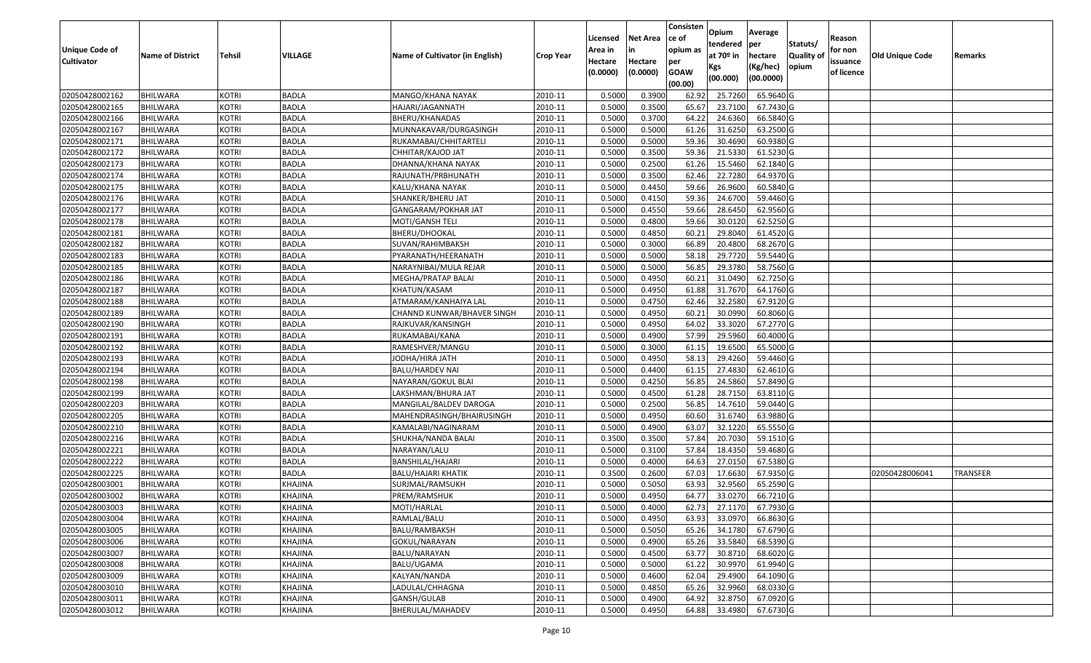|                                  |                                    |                              |                              |                                         |                    |                  |                  | Consisten      | Opium              | Average                |                  |            |                        |                 |
|----------------------------------|------------------------------------|------------------------------|------------------------------|-----------------------------------------|--------------------|------------------|------------------|----------------|--------------------|------------------------|------------------|------------|------------------------|-----------------|
|                                  |                                    |                              |                              |                                         |                    | Licensed         | <b>Net Area</b>  | ce of          | tendered           | per                    | Statuts/         | Reason     |                        |                 |
| Unique Code of                   | <b>Name of District</b>            | <b>Tehsil</b>                | VILLAGE                      | Name of Cultivator (in English)         | <b>Crop Year</b>   | Area in          |                  | opium as       | at $70°$ in        | hectare                | <b>Quality o</b> | for non    | <b>Old Unique Code</b> | Remarks         |
| <b>Cultivator</b>                |                                    |                              |                              |                                         |                    | Hectare          | Hectare          | per            | Kgs                | (Kg/hec)               | opium            | issuance   |                        |                 |
|                                  |                                    |                              |                              |                                         |                    | (0.0000)         | (0.0000)         | <b>GOAW</b>    | (00.000)           | (00.0000)              |                  | of licence |                        |                 |
|                                  |                                    |                              |                              |                                         |                    |                  |                  | (00.00)        |                    |                        |                  |            |                        |                 |
| 02050428002162                   | <b>BHILWARA</b>                    | <b>KOTRI</b>                 | <b>BADLA</b>                 | MANGO/KHANA NAYAK                       | 2010-11            | 0.5000           | 0.3900           | 62.92          | 25.7260            | 65.9640 G              |                  |            |                        |                 |
| 02050428002165<br>02050428002166 | <b>BHILWARA</b>                    | <b>KOTRI</b><br><b>KOTRI</b> | <b>BADLA</b><br><b>BADLA</b> | HAJARI/JAGANNATH                        | 2010-11<br>2010-11 | 0.5000<br>0.5000 | 0.3500<br>0.3700 | 65.67<br>64.22 | 23.7100<br>24.6360 | 67.7430 G<br>66.5840 G |                  |            |                        |                 |
| 02050428002167                   | <b>BHILWARA</b><br><b>BHILWARA</b> | <b>KOTRI</b>                 | <b>BADLA</b>                 | BHERU/KHANADAS<br>MUNNAKAVAR/DURGASINGH | 2010-11            | 0.5000           | 0.5000           | 61.26          | 31.6250            | 63.2500 G              |                  |            |                        |                 |
| 02050428002171                   | BHILWARA                           | <b>KOTRI</b>                 | <b>BADLA</b>                 | RUKAMABAI/CHHITARTELI                   | 2010-11            | 0.5000           | 0.5000           | 59.36          | 30.4690            | 60.9380 G              |                  |            |                        |                 |
| 02050428002172                   | <b>BHILWARA</b>                    | <b>KOTRI</b>                 | <b>BADLA</b>                 | CHHITAR/KAJOD JAT                       | 2010-11            | 0.5000           | 0.3500           | 59.36          | 21.5330            | 61.5230 G              |                  |            |                        |                 |
| 02050428002173                   | BHILWARA                           | <b>KOTRI</b>                 | <b>BADLA</b>                 | DHANNA/KHANA NAYAK                      | 2010-11            | 0.5000           | 0.2500           | 61.26          | 15.5460            | 62.1840 G              |                  |            |                        |                 |
| 02050428002174                   | <b>BHILWARA</b>                    | <b>KOTRI</b>                 | <b>BADLA</b>                 | RAJUNATH/PRBHUNATH                      | 2010-11            | 0.5000           | 0.3500           | 62.46          | 22.7280            | 64.9370 G              |                  |            |                        |                 |
| 02050428002175                   | <b>BHILWARA</b>                    | <b>KOTRI</b>                 | <b>BADLA</b>                 | KALU/KHANA NAYAK                        | 2010-11            | 0.5000           | 0.4450           | 59.66          | 26.9600            | 60.5840 G              |                  |            |                        |                 |
| 02050428002176                   | <b>BHILWARA</b>                    | <b>KOTRI</b>                 | <b>BADLA</b>                 | SHANKER/BHERU JAT                       | 2010-11            | 0.5000           | 0.4150           | 59.36          | 24.6700            | 59.4460 G              |                  |            |                        |                 |
| 02050428002177                   | BHILWARA                           | <b>KOTRI</b>                 | <b>BADLA</b>                 | GANGARAM/POKHAR JAT                     | 2010-11            | 0.5000           | 0.4550           | 59.66          | 28.6450            | 62.9560 G              |                  |            |                        |                 |
| 02050428002178                   | <b>BHILWARA</b>                    | <b>KOTRI</b>                 | <b>BADLA</b>                 | MOTI/GANSH TELI                         | 2010-11            | 0.5000           | 0.4800           | 59.66          | 30.0120            | 62.5250 G              |                  |            |                        |                 |
| 02050428002181                   | <b>BHILWARA</b>                    | <b>KOTRI</b>                 | <b>BADLA</b>                 | BHERU/DHOOKAL                           | 2010-11            | 0.5000           | 0.4850           | 60.21          | 29.8040            | 61.4520 G              |                  |            |                        |                 |
| 02050428002182                   | <b>BHILWARA</b>                    | <b>KOTRI</b>                 | <b>BADLA</b>                 | SUVAN/RAHIMBAKSH                        | 2010-11            | 0.5000           | 0.3000           | 66.89          | 20.4800            | 68.2670 G              |                  |            |                        |                 |
| 02050428002183                   | BHILWARA                           | <b>KOTRI</b>                 | <b>BADLA</b>                 | PYARANATH/HEERANATH                     | 2010-11            | 0.5000           | 0.5000           | 58.18          | 29.7720            | 59.5440 G              |                  |            |                        |                 |
| 02050428002185                   | <b>BHILWARA</b>                    | <b>KOTRI</b>                 | <b>BADLA</b>                 | NARAYNIBAI/MULA REJAR                   | 2010-11            | 0.5000           | 0.5000           | 56.85          | 29.3780            | 58.7560 G              |                  |            |                        |                 |
| 02050428002186                   | <b>BHILWARA</b>                    | <b>KOTRI</b>                 | <b>BADLA</b>                 | MEGHA/PRATAP BALAI                      | 2010-11            | 0.5000           | 0.4950           | 60.21          | 31.0490            | 62.7250 G              |                  |            |                        |                 |
| 02050428002187                   | BHILWARA                           | <b>KOTRI</b>                 | <b>BADLA</b>                 | KHATUN/KASAM                            | 2010-11            | 0.5000           | 0.4950           | 61.88          | 31.7670            | 64.1760 G              |                  |            |                        |                 |
| 02050428002188                   | <b>BHILWARA</b>                    | <b>KOTRI</b>                 | <b>BADLA</b>                 | ATMARAM/KANHAIYA LAL                    | 2010-11            | 0.5000           | 0.4750           | 62.46          | 32.2580            | 67.9120 G              |                  |            |                        |                 |
| 02050428002189                   | BHILWARA                           | <b>KOTRI</b>                 | <b>BADLA</b>                 | CHANND KUNWAR/BHAVER SINGH              | 2010-11            | 0.5000           | 0.4950           | 60.2           | 30.0990            | 60.8060 G              |                  |            |                        |                 |
| 02050428002190                   | <b>BHILWARA</b>                    | <b>KOTRI</b>                 | <b>BADLA</b>                 | RAJKUVAR/KANSINGH                       | 2010-11            | 0.5000           | 0.4950           | 64.02          | 33.3020            | 67.2770 G              |                  |            |                        |                 |
| 02050428002191                   | <b>BHILWARA</b>                    | <b>KOTRI</b>                 | <b>BADLA</b>                 | RUKAMABAI/KANA                          | 2010-11            | 0.5000           | 0.4900           | 57.99          | 29.5960            | 60.4000 G              |                  |            |                        |                 |
| 02050428002192                   | <b>BHILWARA</b>                    | <b>KOTRI</b>                 | <b>BADLA</b>                 | RAMESHVER/MANGU                         | 2010-11            | 0.5000           | 0.3000           | 61.15          | 19.6500            | 65.5000G               |                  |            |                        |                 |
| 02050428002193                   | <b>BHILWARA</b>                    | <b>KOTRI</b>                 | <b>BADLA</b>                 | JODHA/HIRA JATH                         | 2010-11            | 0.5000           | 0.4950           | 58.1           | 29.4260            | 59.4460 G              |                  |            |                        |                 |
| 02050428002194                   | <b>BHILWARA</b>                    | <b>KOTRI</b>                 | <b>BADLA</b>                 | <b>BALU/HARDEV NAI</b>                  | 2010-11            | 0.5000           | 0.4400           | 61.15          | 27.4830            | 62.4610 G              |                  |            |                        |                 |
| 02050428002198                   | BHILWARA                           | <b>KOTRI</b>                 | <b>BADLA</b>                 | NAYARAN/GOKUL BLAI                      | 2010-11            | 0.5000           | 0.4250           | 56.85          | 24.5860            | 57.8490 G              |                  |            |                        |                 |
| 02050428002199                   | <b>BHILWARA</b>                    | <b>KOTRI</b>                 | <b>BADLA</b>                 | LAKSHMAN/BHURA JAT                      | 2010-11            | 0.5000           | 0.4500           | 61.28          | 28.7150            | 63.8110G               |                  |            |                        |                 |
| 02050428002203                   | BHILWARA                           | <b>KOTRI</b>                 | <b>BADLA</b>                 | MANGILAL/BALDEV DAROGA                  | 2010-11            | 0.5000           | 0.2500           | 56.85          | 14.7610            | 59.0440 G              |                  |            |                        |                 |
| 02050428002205                   | <b>BHILWARA</b>                    | <b>KOTRI</b>                 | <b>BADLA</b>                 | MAHENDRASINGH/BHAIRUSINGH               | 2010-11            | 0.5000           | 0.4950           | 60.60          | 31.6740            | 63.9880 G              |                  |            |                        |                 |
| 02050428002210                   | <b>BHILWARA</b>                    | <b>KOTRI</b>                 | <b>BADLA</b>                 | KAMALABI/NAGINARAM                      | 2010-11            | 0.5000           | 0.4900           | 63.07          | 32.1220            | 65.5550 G              |                  |            |                        |                 |
| 02050428002216                   | <b>BHILWARA</b>                    | <b>KOTRI</b>                 | <b>BADLA</b>                 | SHUKHA/NANDA BALAI                      | 2010-11            | 0.3500           | 0.3500           | 57.84          | 20.7030            | 59.1510G               |                  |            |                        |                 |
| 02050428002221                   | BHILWARA                           | <b>KOTRI</b>                 | <b>BADLA</b>                 | NARAYAN/LALU                            | 2010-11            | 0.5000           | 0.3100           | 57.84          | 18.4350            | 59.4680 G              |                  |            |                        |                 |
| 02050428002222                   | <b>BHILWARA</b>                    | <b>KOTRI</b>                 | <b>BADLA</b>                 | BANSHILAL/HAJARI                        | 2010-11            | 0.5000           | 0.4000           | 64.63          | 27.015             | 67.5380 G              |                  |            |                        |                 |
| 02050428002225                   | BHILWARA                           | <b>KOTRI</b>                 | <b>BADLA</b>                 | BALU/HAJARI KHATIK                      | 2010-11            | 0.3500           | 0.2600           | 67.03          | 17.6630            | 67.9350 G              |                  |            | 02050428006041         | <b>TRANSFER</b> |
| 02050428003001                   | BHILWARA                           | <b>KOTRI</b>                 | <b>KHAJINA</b>               | SURJMAL/RAMSUKH                         | 2010-11            | 0.500            | 0.5050           | 63.93          | 32.9560            | 65.2590 G              |                  |            |                        |                 |
| 02050428003002                   | <b>BHILWARA</b>                    | <b>KOTRI</b>                 | KHAJINA                      | PREM/RAMSHUK                            | 2010-11            | 0.5000           | 0.4950           | 64.77          | 33.0270            | 66.7210 G              |                  |            |                        |                 |
| 02050428003003                   | <b>BHILWARA</b>                    | <b>KOTRI</b>                 | KHAJINA                      | MOTI/HARLAL                             | 2010-11            | 0.5000           | 0.4000           |                | 62.73 27.1170      | 67.7930 G              |                  |            |                        |                 |
| 02050428003004                   | <b>BHILWARA</b>                    | <b>KOTRI</b>                 | KHAJINA                      | RAMLAL/BALU                             | 2010-11            | 0.5000           | 0.4950           | 63.93          | 33.0970            | 66.8630 G              |                  |            |                        |                 |
| 02050428003005                   | <b>BHILWARA</b>                    | <b>KOTRI</b>                 | KHAJINA                      | BALU/RAMBAKSH                           | 2010-11            | 0.5000           | 0.5050           | 65.26          | 34.1780            | 67.6790 G              |                  |            |                        |                 |
| 02050428003006                   | <b>BHILWARA</b>                    | <b>KOTRI</b>                 | KHAJINA                      | GOKUL/NARAYAN                           | 2010-11            | 0.5000           | 0.4900           | 65.26          | 33.5840            | 68.5390 G              |                  |            |                        |                 |
| 02050428003007                   | <b>BHILWARA</b>                    | <b>KOTRI</b>                 | KHAJINA                      | BALU/NARAYAN                            | 2010-11            | 0.5000           | 0.4500           | 63.77          | 30.8710            | 68.6020 G              |                  |            |                        |                 |
| 02050428003008                   | <b>BHILWARA</b>                    | <b>KOTRI</b>                 | <b>KHAJINA</b>               | BALU/UGAMA                              | 2010-11            | 0.5000           | 0.5000           | 61.22          | 30.9970            | 61.9940 G              |                  |            |                        |                 |
| 02050428003009                   | <b>BHILWARA</b>                    | <b>KOTRI</b>                 | KHAJINA                      | KALYAN/NANDA                            | 2010-11            | 0.5000           | 0.4600           | 62.04          | 29.4900            | 64.1090 G              |                  |            |                        |                 |
| 02050428003010                   | <b>BHILWARA</b>                    | <b>KOTRI</b>                 | KHAJINA                      | LADULAL/CHHAGNA                         | 2010-11            | 0.5000           | 0.4850           | 65.26          | 32.9960            | 68.0330 G              |                  |            |                        |                 |
| 02050428003011                   | <b>BHILWARA</b>                    | <b>KOTRI</b>                 | KHAJINA                      | GANSH/GULAB                             | 2010-11            | 0.5000           | 0.4900           | 64.92          | 32.8750            | 67.0920 G              |                  |            |                        |                 |
| 02050428003012                   | <b>BHILWARA</b>                    | <b>KOTRI</b>                 | <b>KHAJINA</b>               | BHERULAL/MAHADEV                        | 2010-11            | 0.5000           | 0.4950           | 64.88          | 33.4980            | 67.6730 G              |                  |            |                        |                 |
|                                  |                                    |                              |                              |                                         |                    |                  |                  |                |                    |                        |                  |            |                        |                 |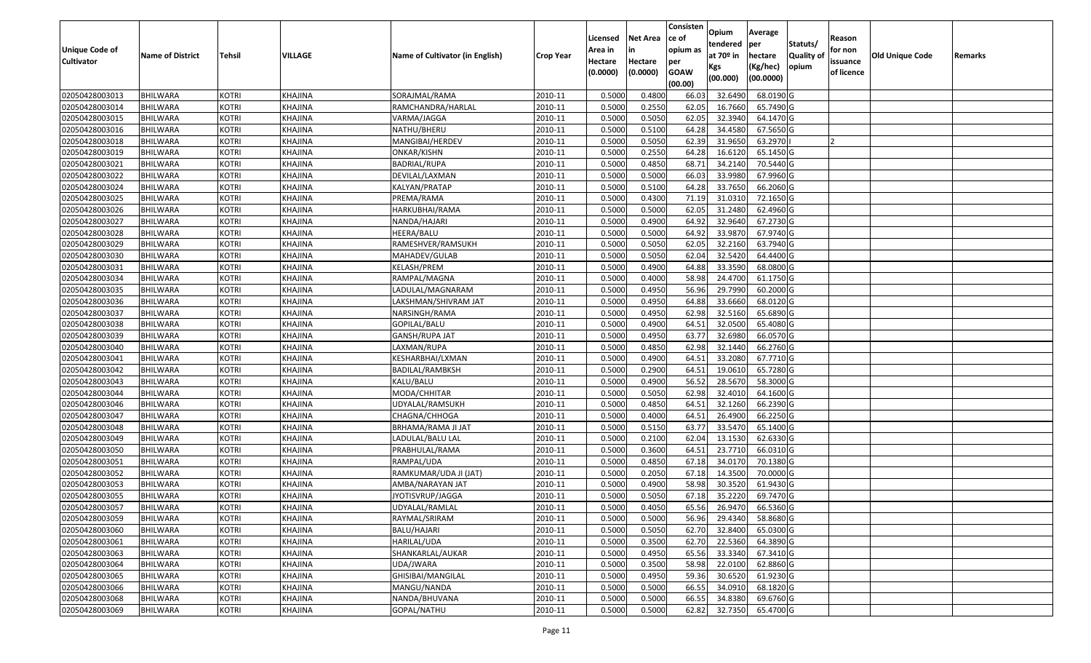| Unique Code of<br>Cultivator | <b>Name of District</b> | Tehsil       | <b>VILLAGE</b> | Name of Cultivator (in English) | <b>Crop Year</b> | Licensed<br>Area in<br>Hectare<br>(0.0000) | Net Area<br>Hectare<br>(0.0000) | Consisten<br>ce of<br>opium as<br>per<br><b>GOAW</b><br>(00.00) | Opium<br>tendered<br>at 70º in<br>Kgs<br>(00.000) | Average<br>per<br>hectare<br>(Kg/hec)<br>(00.0000) | Statuts/<br>Quality of<br>opium | Reason<br>for non<br>issuance<br>of licence | Old Unique Code | Remarks |
|------------------------------|-------------------------|--------------|----------------|---------------------------------|------------------|--------------------------------------------|---------------------------------|-----------------------------------------------------------------|---------------------------------------------------|----------------------------------------------------|---------------------------------|---------------------------------------------|-----------------|---------|
| 02050428003013               | <b>BHILWARA</b>         | <b>KOTRI</b> | <b>KHAJINA</b> | SORAJMAL/RAMA                   | 2010-11          | 0.5000                                     | 0.4800                          | 66.03                                                           | 32.6490                                           | 68.0190 G                                          |                                 |                                             |                 |         |
| 02050428003014               | <b>BHILWARA</b>         | <b>KOTRI</b> | <b>KHAJINA</b> | RAMCHANDRA/HARLAL               | 2010-11          | 0.5000                                     | 0.2550                          | 62.05                                                           | 16.7660                                           | 65.7490 G                                          |                                 |                                             |                 |         |
| 02050428003015               | BHILWARA                | <b>KOTRI</b> | <b>KHAJINA</b> | VARMA/JAGGA                     | 2010-11          | 0.5000                                     | 0.5050                          | 62.05                                                           | 32.3940                                           | 64.1470 G                                          |                                 |                                             |                 |         |
| 02050428003016               | <b>BHILWARA</b>         | <b>KOTRI</b> | <b>KHAJINA</b> | NATHU/BHERU                     | 2010-11          | 0.5000                                     | 0.5100                          | 64.28                                                           | 34.4580                                           | 67.5650 G                                          |                                 |                                             |                 |         |
| 02050428003018               | <b>BHILWARA</b>         | <b>KOTRI</b> | <b>KHAJINA</b> | MANGIBAI/HERDEV                 | 2010-11          | 0.5000                                     | 0.5050                          | 62.39                                                           | 31.9650                                           | 63.2970                                            |                                 |                                             |                 |         |
| 02050428003019               | <b>BHILWARA</b>         | <b>KOTRI</b> | <b>KHAJINA</b> | ONKAR/KISHN                     | 2010-11          | 0.5000                                     | 0.2550                          | 64.28                                                           | 16.6120                                           | 65.1450 G                                          |                                 |                                             |                 |         |
| 02050428003021               | <b>BHILWARA</b>         | <b>KOTRI</b> | <b>KHAJINA</b> | BADRIAL/RUPA                    | 2010-11          | 0.5000                                     | 0.4850                          | 68.71                                                           | 34.2140                                           | 70.5440 G                                          |                                 |                                             |                 |         |
| 02050428003022               | <b>BHILWARA</b>         | <b>KOTRI</b> | <b>KHAJINA</b> | DEVILAL/LAXMAN                  | 2010-11          | 0.5000                                     | 0.5000                          | 66.03                                                           | 33.9980                                           | 67.9960 G                                          |                                 |                                             |                 |         |
| 02050428003024               | <b>BHILWARA</b>         | <b>KOTRI</b> | <b>KHAJINA</b> | KALYAN/PRATAP                   | 2010-11          | 0.5000                                     | 0.5100                          | 64.28                                                           | 33.7650                                           | 66.2060 G                                          |                                 |                                             |                 |         |
| 02050428003025               | <b>BHILWARA</b>         | <b>KOTRI</b> | <b>KHAJINA</b> | PREMA/RAMA                      | 2010-11          | 0.5000                                     | 0.4300                          | 71.19                                                           | 31.0310                                           | 72.1650 G                                          |                                 |                                             |                 |         |
| 02050428003026               | <b>BHILWARA</b>         | <b>KOTRI</b> | <b>KHAJINA</b> | HARKUBHAI/RAMA                  | 2010-11          | 0.5000                                     | 0.5000                          | 62.05                                                           | 31.2480                                           | 62.4960 G                                          |                                 |                                             |                 |         |
| 02050428003027               | <b>BHILWARA</b>         | <b>KOTRI</b> | <b>KHAJINA</b> | NANDA/HAJARI                    | 2010-11          | 0.5000                                     | 0.4900                          | 64.92                                                           | 32.9640                                           | 67.2730 G                                          |                                 |                                             |                 |         |
| 02050428003028               | <b>BHILWARA</b>         | <b>KOTRI</b> | <b>KHAJINA</b> | HEERA/BALU                      | 2010-11          | 0.5000                                     | 0.5000                          | 64.92                                                           | 33.9870                                           | 67.9740 G                                          |                                 |                                             |                 |         |
| 02050428003029               | <b>BHILWARA</b>         | <b>KOTRI</b> | <b>KHAJINA</b> | RAMESHVER/RAMSUKH               | 2010-11          | 0.5000                                     | 0.5050                          | 62.05                                                           | 32.2160                                           | 63.7940 G                                          |                                 |                                             |                 |         |
| 02050428003030               | <b>BHILWARA</b>         | <b>KOTRI</b> | <b>KHAJINA</b> | MAHADEV/GULAB                   | 2010-11          | 0.5000                                     | 0.5050                          | 62.04                                                           | 32.5420                                           | 64.4400 G                                          |                                 |                                             |                 |         |
| 02050428003031               | <b>BHILWARA</b>         | <b>KOTRI</b> | <b>KHAJINA</b> | KELASH/PREM                     | 2010-11          | 0.5000                                     | 0.4900                          | 64.88                                                           | 33.3590                                           | 68.0800 G                                          |                                 |                                             |                 |         |
| 02050428003034               | <b>BHILWARA</b>         | <b>KOTRI</b> | <b>KHAJINA</b> | RAMPAL/MAGNA                    | 2010-11          | 0.5000                                     | 0.4000                          | 58.98                                                           | 24.4700                                           | 61.1750 G                                          |                                 |                                             |                 |         |
| 02050428003035               | <b>BHILWARA</b>         | <b>KOTRI</b> | <b>KHAJINA</b> | LADULAL/MAGNARAM                | 2010-11          | 0.5000                                     | 0.4950                          | 56.96                                                           | 29.7990                                           | 60.2000 G                                          |                                 |                                             |                 |         |
| 02050428003036               | <b>BHILWARA</b>         | <b>KOTRI</b> | <b>KHAJINA</b> | LAKSHMAN/SHIVRAM JAT            | 2010-11          | 0.5000                                     | 0.4950                          | 64.88                                                           | 33.6660                                           | 68.0120 G                                          |                                 |                                             |                 |         |
| 02050428003037               | <b>BHILWARA</b>         | <b>KOTRI</b> | <b>KHAJINA</b> | NARSINGH/RAMA                   | 2010-11          | 0.5000                                     | 0.4950                          | 62.98                                                           | 32.5160                                           | 65.6890 G                                          |                                 |                                             |                 |         |
| 02050428003038               | <b>BHILWARA</b>         | <b>KOTRI</b> | <b>KHAJINA</b> | GOPILAL/BALU                    | 2010-11          | 0.5000                                     | 0.4900                          | 64.51                                                           | 32.0500                                           | 65.4080 G                                          |                                 |                                             |                 |         |
| 02050428003039               | <b>BHILWARA</b>         | <b>KOTRI</b> | <b>KHAJINA</b> | GANSH/RUPA JAT                  | 2010-11          | 0.5000                                     | 0.4950                          | 63.77                                                           | 32.6980                                           | 66.0570 G                                          |                                 |                                             |                 |         |
| 02050428003040               | <b>BHILWARA</b>         | <b>KOTRI</b> | <b>KHAJINA</b> | LAXMAN/RUPA                     | 2010-11          | 0.5000                                     | 0.4850                          | 62.98                                                           | 32.1440                                           | 66.2760 G                                          |                                 |                                             |                 |         |
| 02050428003041               | <b>BHILWARA</b>         | <b>KOTRI</b> | <b>KHAJINA</b> | KESHARBHAI/LXMAN                | 2010-11          | 0.5000                                     | 0.4900                          | 64.51                                                           | 33.2080                                           | 67.7710 G                                          |                                 |                                             |                 |         |
| 02050428003042               | <b>BHILWARA</b>         | <b>KOTRI</b> | <b>KHAJINA</b> | <b>BADILAL/RAMBKSH</b>          | 2010-11          | 0.5000                                     | 0.2900                          | 64.51                                                           | 19.0610                                           | 65.7280 G                                          |                                 |                                             |                 |         |
| 02050428003043               | <b>BHILWARA</b>         | <b>KOTRI</b> | <b>KHAJINA</b> | KALU/BALU                       | 2010-11          | 0.5000                                     | 0.4900                          | 56.52                                                           | 28.5670                                           | 58.3000 G                                          |                                 |                                             |                 |         |
| 02050428003044               | <b>BHILWARA</b>         | <b>KOTRI</b> | <b>KHAJINA</b> | MODA/CHHITAR                    | 2010-11          | 0.5000                                     | 0.5050                          | 62.98                                                           | 32.4010                                           | 64.1600 G                                          |                                 |                                             |                 |         |
| 02050428003046               | <b>BHILWARA</b>         | <b>KOTRI</b> | <b>KHAJINA</b> | UDYALAL/RAMSUKH                 | 2010-11          | 0.5000                                     | 0.4850                          | 64.51                                                           | 32.1260                                           | 66.2390 G                                          |                                 |                                             |                 |         |
| 02050428003047               | <b>BHILWARA</b>         | <b>KOTRI</b> | <b>KHAJINA</b> | CHAGNA/CHHOGA                   | 2010-11          | 0.5000                                     | 0.4000                          | 64.51                                                           | 26.4900                                           | 66.2250 G                                          |                                 |                                             |                 |         |
| 02050428003048               | <b>BHILWARA</b>         | <b>KOTRI</b> | <b>KHAJINA</b> | <b>BRHAMA/RAMA JI JAT</b>       | 2010-11          | 0.5000                                     | 0.5150                          | 63.77                                                           | 33.5470                                           | 65.1400 G                                          |                                 |                                             |                 |         |
| 02050428003049               | <b>BHILWARA</b>         | <b>KOTRI</b> | <b>KHAJINA</b> | LADULAL/BALU LAL                | 2010-11          | 0.5000                                     | 0.2100                          | 62.04                                                           | 13.1530                                           | 62.6330 G                                          |                                 |                                             |                 |         |
| 02050428003050               | <b>BHILWARA</b>         | <b>KOTRI</b> | <b>KHAJINA</b> | PRABHULAL/RAMA                  | 2010-11          | 0.5000                                     | 0.3600                          | 64.51                                                           | 23.7710                                           | 66.0310 G                                          |                                 |                                             |                 |         |
| 02050428003051               | <b>BHILWARA</b>         | <b>KOTRI</b> | <b>KHAJINA</b> | RAMPAL/UDA                      | 2010-11          | 0.5000                                     | 0.4850                          | 67.18                                                           | 34.0170                                           | 70.1380 G                                          |                                 |                                             |                 |         |
| 02050428003052               | <b>BHILWARA</b>         | <b>KOTRI</b> | <b>KHAJINA</b> | RAMKUMAR/UDA JI (JAT)           | 2010-11          | 0.5000                                     | 0.2050                          | 67.18                                                           | 14.3500                                           | 70.0000 G                                          |                                 |                                             |                 |         |
| 02050428003053               | <b>BHILWARA</b>         | KOTRI        | <b>KHAJINA</b> | AMBA/NARAYAN JAT                | 2010-11          | 0.5000                                     | 0.4900                          | 58.98                                                           | 30.3520                                           | 61.9430 G                                          |                                 |                                             |                 |         |
| 02050428003055               | <b>BHILWARA</b>         | <b>KOTRI</b> | <b>KHAJINA</b> | JYOTISVRUP/JAGGA                | 2010-11          | 0.5000                                     | 0.5050                          | 67.18                                                           | 35.2220                                           | 69.7470 G                                          |                                 |                                             |                 |         |
| 02050428003057               | BHILWARA                | <b>KOTRI</b> | <b>KHAJINA</b> | UDYALAL/RAMLAL                  | 2010-11          | 0.5000                                     | 0.4050                          | 65.56                                                           | 26.9470                                           | 66.5360 G                                          |                                 |                                             |                 |         |
| 02050428003059               | <b>BHILWARA</b>         | <b>KOTRI</b> | KHAJINA        | RAYMAL/SRIRAM                   | 2010-11          | 0.5000                                     | 0.5000                          | 56.96                                                           | 29.4340                                           | 58.8680 G                                          |                                 |                                             |                 |         |
| 02050428003060               | <b>BHILWARA</b>         | <b>KOTRI</b> | KHAJINA        | BALU/HAJARI                     | 2010-11          | 0.5000                                     | 0.5050                          | 62.70                                                           | 32.8400                                           | 65.0300 G                                          |                                 |                                             |                 |         |
| 02050428003061               | <b>BHILWARA</b>         | <b>KOTRI</b> | KHAJINA        | HARILAL/UDA                     | 2010-11          | 0.5000                                     | 0.3500                          | 62.70                                                           | 22.5360                                           | 64.3890 G                                          |                                 |                                             |                 |         |
| 02050428003063               | <b>BHILWARA</b>         | <b>KOTRI</b> | <b>KHAJINA</b> | SHANKARLAL/AUKAR                | 2010-11          | 0.5000                                     | 0.4950                          | 65.56                                                           | 33.3340                                           | 67.3410 G                                          |                                 |                                             |                 |         |
| 02050428003064               | <b>BHILWARA</b>         | <b>KOTRI</b> | <b>KHAJINA</b> | UDA/JWARA                       | 2010-11          | 0.5000                                     | 0.3500                          | 58.98                                                           | 22.0100                                           | 62.8860 G                                          |                                 |                                             |                 |         |
| 02050428003065               | <b>BHILWARA</b>         | <b>KOTRI</b> | KHAJINA        | GHISIBAI/MANGILAL               | 2010-11          | 0.5000                                     | 0.4950                          | 59.36                                                           | 30.6520                                           | 61.9230 G                                          |                                 |                                             |                 |         |
| 02050428003066               | <b>BHILWARA</b>         | <b>KOTRI</b> | KHAJINA        | MANGU/NANDA                     | 2010-11          | 0.5000                                     | 0.5000                          | 66.55                                                           | 34.0910                                           | 68.1820 G                                          |                                 |                                             |                 |         |
| 02050428003068               | <b>BHILWARA</b>         | <b>KOTRI</b> | <b>KHAJINA</b> | NANDA/BHUVANA                   | 2010-11          | 0.5000                                     | 0.5000                          | 66.55                                                           | 34.8380                                           | 69.6760 G                                          |                                 |                                             |                 |         |
| 02050428003069               | BHILWARA                | <b>KOTRI</b> | <b>KHAJINA</b> | GOPAL/NATHU                     | 2010-11          | 0.5000                                     | 0.5000                          | 62.82                                                           | 32.7350                                           | 65.4700 G                                          |                                 |                                             |                 |         |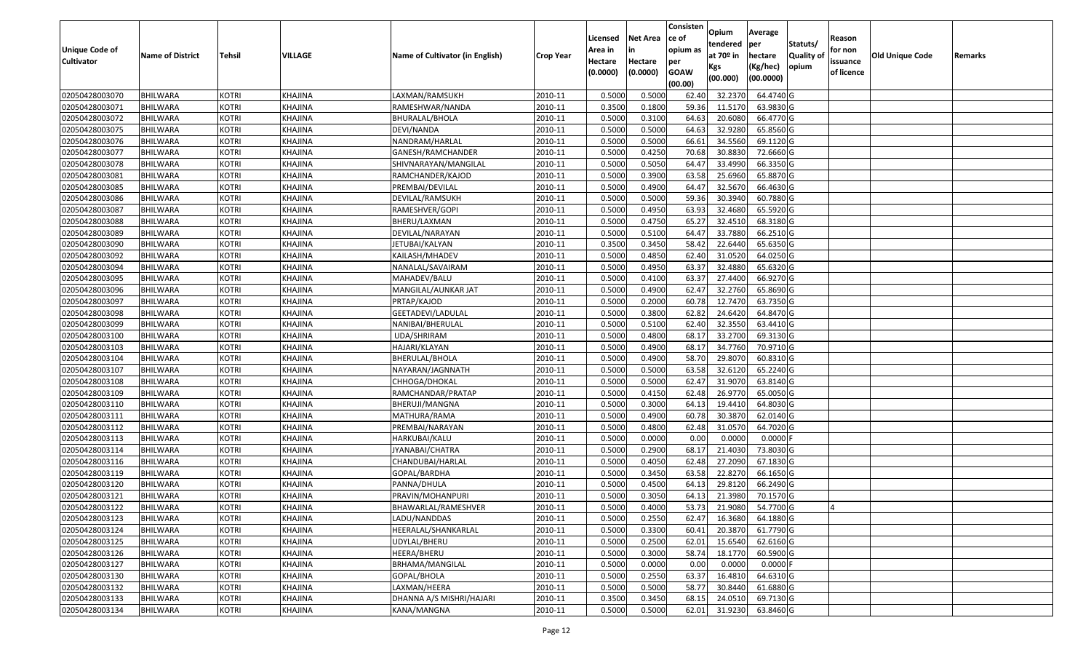| Unique Code of<br>Cultivator | <b>Name of District</b> | Tehsil       | <b>VILLAGE</b> | Name of Cultivator (in English) | <b>Crop Year</b> | Licensed<br>Area in<br>Hectare<br>(0.0000) | Net Area<br>Hectare<br>(0.0000) | Consisten<br>ce of<br>opium as<br>per<br><b>GOAW</b><br>(00.00) | Opium<br>tendered<br>at 70 <sup>o</sup> in<br>Kgs<br>(00.000) | Average<br>per<br>hectare<br>(Kg/hec)<br>(00.0000) | Statuts/<br>Quality of<br>opium | Reason<br>for non<br>issuance<br>of licence | Old Unique Code | Remarks |
|------------------------------|-------------------------|--------------|----------------|---------------------------------|------------------|--------------------------------------------|---------------------------------|-----------------------------------------------------------------|---------------------------------------------------------------|----------------------------------------------------|---------------------------------|---------------------------------------------|-----------------|---------|
| 02050428003070               | <b>BHILWARA</b>         | <b>KOTRI</b> | <b>KHAJINA</b> | LAXMAN/RAMSUKH                  | 2010-11          | 0.5000                                     | 0.5000                          | 62.40                                                           | 32.2370                                                       | 64.4740 G                                          |                                 |                                             |                 |         |
| 02050428003071               | <b>BHILWARA</b>         | <b>KOTRI</b> | <b>KHAJINA</b> | RAMESHWAR/NANDA                 | 2010-11          | 0.3500                                     | 0.1800                          | 59.36                                                           | 11.5170                                                       | 63.9830 G                                          |                                 |                                             |                 |         |
| 02050428003072               | BHILWARA                | <b>KOTRI</b> | <b>KHAJINA</b> | <b>BHURALAL/BHOLA</b>           | 2010-11          | 0.5000                                     | 0.3100                          | 64.63                                                           | 20.6080                                                       | 66.4770 G                                          |                                 |                                             |                 |         |
| 02050428003075               | <b>BHILWARA</b>         | <b>KOTRI</b> | <b>KHAJINA</b> | DEVI/NANDA                      | 2010-11          | 0.5000                                     | 0.5000                          | 64.63                                                           | 32.9280                                                       | 65.8560 G                                          |                                 |                                             |                 |         |
| 02050428003076               | <b>BHILWARA</b>         | <b>KOTRI</b> | <b>KHAJINA</b> | NANDRAM/HARLAL                  | 2010-11          | 0.5000                                     | 0.5000                          | 66.61                                                           | 34.5560                                                       | 69.1120 G                                          |                                 |                                             |                 |         |
| 02050428003077               | <b>BHILWARA</b>         | <b>KOTRI</b> | <b>KHAJINA</b> | GANESH/RAMCHANDER               | 2010-11          | 0.5000                                     | 0.4250                          | 70.68                                                           | 30.8830                                                       | 72.6660 G                                          |                                 |                                             |                 |         |
| 02050428003078               | BHILWARA                | <b>KOTRI</b> | <b>KHAJINA</b> | SHIVNARAYAN/MANGILAL            | 2010-11          | 0.5000                                     | 0.5050                          | 64.47                                                           | 33.4990                                                       | 66.3350 G                                          |                                 |                                             |                 |         |
| 02050428003081               | <b>BHILWARA</b>         | <b>KOTRI</b> | <b>KHAJINA</b> | RAMCHANDER/KAJOD                | 2010-11          | 0.5000                                     | 0.3900                          | 63.58                                                           | 25.6960                                                       | 65.8870 G                                          |                                 |                                             |                 |         |
| 02050428003085               | <b>BHILWARA</b>         | <b>KOTRI</b> | <b>KHAJINA</b> | PREMBAI/DEVILAL                 | 2010-11          | 0.5000                                     | 0.4900                          | 64.47                                                           | 32.5670                                                       | 66.4630 G                                          |                                 |                                             |                 |         |
| 02050428003086               | <b>BHILWARA</b>         | <b>KOTRI</b> | <b>KHAJINA</b> | DEVILAL/RAMSUKH                 | 2010-11          | 0.5000                                     | 0.5000                          | 59.36                                                           | 30.3940                                                       | 60.7880 G                                          |                                 |                                             |                 |         |
| 02050428003087               | <b>BHILWARA</b>         | <b>KOTRI</b> | <b>KHAJINA</b> | RAMESHVER/GOPI                  | 2010-11          | 0.5000                                     | 0.4950                          | 63.93                                                           | 32.4680                                                       | 65.5920 G                                          |                                 |                                             |                 |         |
| 02050428003088               | <b>BHILWARA</b>         | <b>KOTRI</b> | <b>KHAJINA</b> | BHERU/LAXMAN                    | 2010-11          | 0.5000                                     | 0.4750                          | 65.27                                                           | 32.4510                                                       | 68.3180 G                                          |                                 |                                             |                 |         |
| 02050428003089               | <b>BHILWARA</b>         | <b>KOTRI</b> | <b>KHAJINA</b> | DEVILAL/NARAYAN                 | 2010-11          | 0.5000                                     | 0.5100                          | 64.47                                                           | 33.7880                                                       | 66.2510 G                                          |                                 |                                             |                 |         |
| 02050428003090               | <b>BHILWARA</b>         | <b>KOTRI</b> | <b>KHAJINA</b> | JETUBAI/KALYAN                  | 2010-11          | 0.3500                                     | 0.3450                          | 58.42                                                           | 22.6440                                                       | 65.6350 G                                          |                                 |                                             |                 |         |
| 02050428003092               | <b>BHILWARA</b>         | <b>KOTRI</b> | <b>KHAJINA</b> | KAILASH/MHADEV                  | 2010-11          | 0.5000                                     | 0.4850                          | 62.40                                                           | 31.0520                                                       | 64.0250 G                                          |                                 |                                             |                 |         |
| 02050428003094               | <b>BHILWARA</b>         | <b>KOTRI</b> | <b>KHAJINA</b> | NANALAL/SAVAIRAM                | 2010-11          | 0.5000                                     | 0.4950                          | 63.37                                                           | 32.4880                                                       | 65.6320 G                                          |                                 |                                             |                 |         |
| 02050428003095               | <b>BHILWARA</b>         | <b>KOTRI</b> | <b>KHAJINA</b> | MAHADEV/BALU                    | 2010-11          | 0.5000                                     | 0.4100                          | 63.37                                                           | 27.4400                                                       | 66.9270 G                                          |                                 |                                             |                 |         |
| 02050428003096               | <b>BHILWARA</b>         | <b>KOTRI</b> | <b>KHAJINA</b> | MANGILAL/AUNKAR JAT             | 2010-11          | 0.5000                                     | 0.4900                          | 62.47                                                           | 32.2760                                                       | 65.8690 G                                          |                                 |                                             |                 |         |
| 02050428003097               | <b>BHILWARA</b>         | <b>KOTRI</b> | <b>KHAJINA</b> | PRTAP/KAJOD                     | 2010-11          | 0.5000                                     | 0.2000                          | 60.78                                                           | 12.7470                                                       | 63.7350 G                                          |                                 |                                             |                 |         |
| 02050428003098               | <b>BHILWARA</b>         | <b>KOTRI</b> | <b>KHAJINA</b> | GEETADEVI/LADULAL               | 2010-11          | 0.5000                                     | 0.3800                          | 62.82                                                           | 24.6420                                                       | 64.8470 G                                          |                                 |                                             |                 |         |
| 02050428003099               | <b>BHILWARA</b>         | <b>KOTRI</b> | <b>KHAJINA</b> | NANIBAI/BHERULAL                | 2010-11          | 0.5000                                     | 0.5100                          | 62.40                                                           | 32.3550                                                       | 63.4410 G                                          |                                 |                                             |                 |         |
| 02050428003100               | <b>BHILWARA</b>         | <b>KOTRI</b> | <b>KHAJINA</b> | UDA/SHRIRAM                     | 2010-11          | 0.5000                                     | 0.4800                          | 68.17                                                           | 33.2700                                                       | 69.3130 G                                          |                                 |                                             |                 |         |
| 02050428003103               | <b>BHILWARA</b>         | <b>KOTRI</b> | <b>KHAJINA</b> | HAJARI/KLAYAN                   | 2010-11          | 0.5000                                     | 0.4900                          | 68.17                                                           | 34.7760                                                       | 70.9710 G                                          |                                 |                                             |                 |         |
| 02050428003104               | <b>BHILWARA</b>         | <b>KOTRI</b> | <b>KHAJINA</b> | <b>BHERULAL/BHOLA</b>           | 2010-11          | 0.5000                                     | 0.4900                          | 58.70                                                           | 29.8070                                                       | 60.8310 G                                          |                                 |                                             |                 |         |
| 02050428003107               | <b>BHILWARA</b>         | <b>KOTRI</b> | <b>KHAJINA</b> | NAYARAN/JAGNNATH                | 2010-11          | 0.5000                                     | 0.5000                          | 63.58                                                           | 32.6120                                                       | 65.2240 G                                          |                                 |                                             |                 |         |
| 02050428003108               | <b>BHILWARA</b>         | <b>KOTRI</b> | <b>KHAJINA</b> | CHHOGA/DHOKAL                   | 2010-11          | 0.5000                                     | 0.5000                          | 62.47                                                           | 31.9070                                                       | 63.8140 G                                          |                                 |                                             |                 |         |
| 02050428003109               | <b>BHILWARA</b>         | <b>KOTRI</b> | <b>KHAJINA</b> | RAMCHANDAR/PRATAP               | 2010-11          | 0.5000                                     | 0.4150                          | 62.48                                                           | 26.9770                                                       | 65.0050 G                                          |                                 |                                             |                 |         |
| 02050428003110               | <b>BHILWARA</b>         | <b>KOTRI</b> | <b>KHAJINA</b> | <b>BHERUJI/MANGNA</b>           | 2010-11          | 0.5000                                     | 0.3000                          | 64.13                                                           | 19.4410                                                       | 64.8030 G                                          |                                 |                                             |                 |         |
| 02050428003111               | <b>BHILWARA</b>         | <b>KOTRI</b> | <b>KHAJINA</b> | MATHURA/RAMA                    | 2010-11          | 0.5000                                     | 0.4900                          | 60.78                                                           | 30.3870                                                       | 62.0140 G                                          |                                 |                                             |                 |         |
| 02050428003112               | <b>BHILWARA</b>         | <b>KOTRI</b> | <b>KHAJINA</b> | PREMBAI/NARAYAN                 | 2010-11          | 0.5000                                     | 0.4800                          | 62.48                                                           | 31.0570                                                       | 64.7020 G                                          |                                 |                                             |                 |         |
| 02050428003113               | <b>BHILWARA</b>         | <b>KOTRI</b> | <b>KHAJINA</b> | HARKUBAI/KALU                   | 2010-11          | 0.5000                                     | 0.0000                          | 0.00                                                            | 0.0000                                                        | 0.0000                                             |                                 |                                             |                 |         |
| 02050428003114               | <b>BHILWARA</b>         | <b>KOTRI</b> | <b>KHAJINA</b> | JYANABAI/CHATRA                 | 2010-11          | 0.5000                                     | 0.2900                          | 68.17                                                           | 21.4030                                                       | 73.8030 G                                          |                                 |                                             |                 |         |
| 02050428003116               | <b>BHILWARA</b>         | <b>KOTRI</b> | <b>KHAJINA</b> | CHANDUBAI/HARLAL                | 2010-11          | 0.5000                                     | 0.4050                          | 62.48                                                           | 27.2090                                                       | 67.1830 G                                          |                                 |                                             |                 |         |
| 02050428003119               | <b>BHILWARA</b>         | <b>KOTRI</b> | <b>KHAJINA</b> | GOPAL/BARDHA                    | 2010-11          | 0.5000                                     | 0.3450                          | 63.58                                                           | 22.8270                                                       | 66.1650 G                                          |                                 |                                             |                 |         |
| 02050428003120               | <b>BHILWARA</b>         | KOTRI        | <b>KHAJINA</b> | PANNA/DHULA                     | 2010-11          | 0.5000                                     | 0.4500                          | 64.13                                                           | 29.8120                                                       | 66.2490 G                                          |                                 |                                             |                 |         |
| 02050428003121               | <b>BHILWARA</b>         | <b>KOTRI</b> | <b>KHAJINA</b> | PRAVIN/MOHANPURI                | 2010-11          | 0.5000                                     | 0.3050                          | 64.13                                                           | 21.3980                                                       | 70.1570 G                                          |                                 |                                             |                 |         |
| 02050428003122               | BHILWARA                | <b>KOTRI</b> | <b>KHAJINA</b> | BHAWARLAL/RAMESHVER             | 2010-11          | 0.5000                                     | 0.4000                          |                                                                 | 53.73 21.9080                                                 | 54.7700G                                           |                                 |                                             |                 |         |
| 02050428003123               | <b>BHILWARA</b>         | <b>KOTRI</b> | <b>KHAJINA</b> | LADU/NANDDAS                    | 2010-11          | 0.5000                                     | 0.2550                          | 62.47                                                           | 16.3680                                                       | 64.1880 G                                          |                                 |                                             |                 |         |
| 02050428003124               | <b>BHILWARA</b>         | <b>KOTRI</b> | KHAJINA        | HEERALAL/SHANKARLAL             | 2010-11          | 0.5000                                     | 0.3300                          | 60.41                                                           | 20.3870                                                       | 61.7790 G                                          |                                 |                                             |                 |         |
| 02050428003125               | <b>BHILWARA</b>         | <b>KOTRI</b> | KHAJINA        | UDYLAL/BHERU                    | 2010-11          | 0.5000                                     | 0.2500                          | 62.01                                                           | 15.6540                                                       | 62.6160 G                                          |                                 |                                             |                 |         |
| 02050428003126               | <b>BHILWARA</b>         | <b>KOTRI</b> | <b>KHAJINA</b> | HEERA/BHERU                     | 2010-11          | 0.5000                                     | 0.3000                          | 58.74                                                           | 18.1770                                                       | 60.5900 G                                          |                                 |                                             |                 |         |
| 02050428003127               | <b>BHILWARA</b>         | <b>KOTRI</b> | <b>KHAJINA</b> | <b>BRHAMA/MANGILAL</b>          | 2010-11          | 0.5000                                     | 0.0000                          | 0.00                                                            | 0.0000                                                        | 0.0000                                             |                                 |                                             |                 |         |
| 02050428003130               | <b>BHILWARA</b>         | <b>KOTRI</b> | KHAJINA        | GOPAL/BHOLA                     | 2010-11          | 0.5000                                     | 0.2550                          | 63.37                                                           | 16.4810                                                       | 64.6310 G                                          |                                 |                                             |                 |         |
| 02050428003132               | <b>BHILWARA</b>         | <b>KOTRI</b> | <b>KHAJINA</b> | LAXMAN/HEERA                    | 2010-11          | 0.5000                                     | 0.5000                          | 58.77                                                           | 30.8440                                                       | 61.6880 G                                          |                                 |                                             |                 |         |
| 02050428003133               | <b>BHILWARA</b>         | <b>KOTRI</b> | <b>KHAJINA</b> | DHANNA A/S MISHRI/HAJARI        | 2010-11          | 0.3500                                     | 0.3450                          | 68.15                                                           | 24.0510                                                       | 69.7130 G                                          |                                 |                                             |                 |         |
| 02050428003134               | <b>BHILWARA</b>         | <b>KOTRI</b> | <b>KHAJINA</b> | KANA/MANGNA                     | 2010-11          | 0.5000                                     | 0.5000                          | 62.01                                                           | 31.9230                                                       | 63.8460 G                                          |                                 |                                             |                 |         |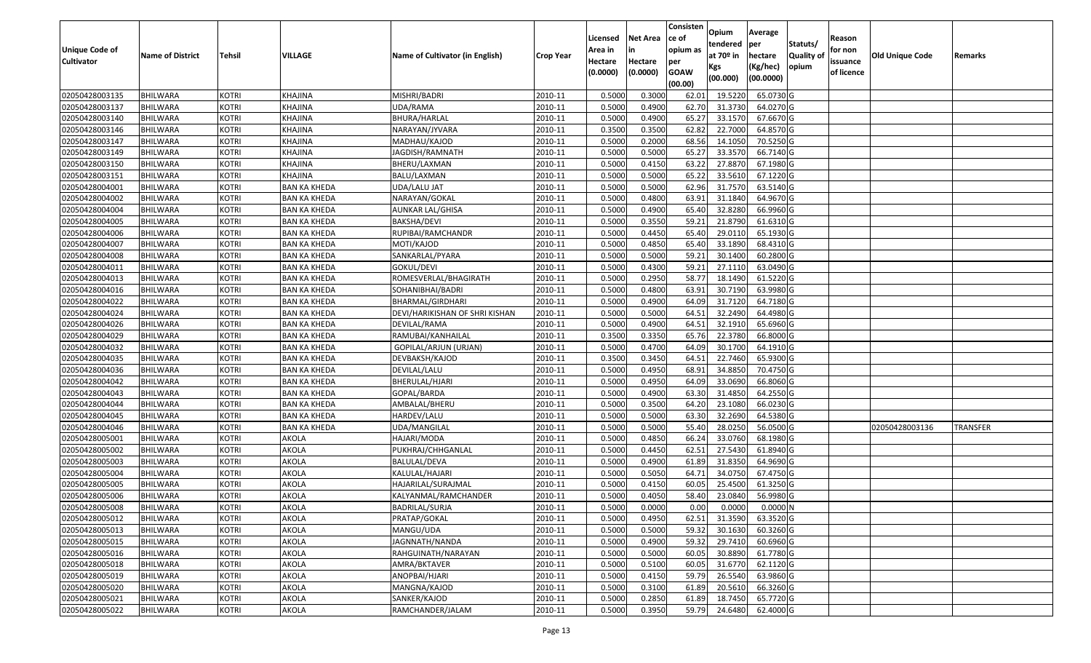| Unique Code of<br>Cultivator | <b>Name of District</b> | Tehsil       | <b>VILLAGE</b>      | Name of Cultivator (in English) | <b>Crop Year</b> | Licensed<br>Area in<br>Hectare<br>(0.0000) | Net Area<br>Hectare<br>(0.0000) | Consisten<br>ce of<br>opium as<br>per<br><b>GOAW</b><br>(00.00) | Opium<br>tendered<br>at 70º in<br>Kgs<br>(00.000) | Average<br>per<br>hectare<br>(Kg/hec)<br>(00.0000) | Statuts/<br>Quality of<br>opium | Reason<br>for non<br>issuance<br>of licence | Old Unique Code | Remarks  |
|------------------------------|-------------------------|--------------|---------------------|---------------------------------|------------------|--------------------------------------------|---------------------------------|-----------------------------------------------------------------|---------------------------------------------------|----------------------------------------------------|---------------------------------|---------------------------------------------|-----------------|----------|
| 02050428003135               | <b>BHILWARA</b>         | <b>KOTRI</b> | <b>KHAJINA</b>      | MISHRI/BADRI                    | 2010-11          | 0.5000                                     | 0.3000                          | 62.01                                                           | 19.5220                                           | 65.0730 G                                          |                                 |                                             |                 |          |
| 02050428003137               | <b>BHILWARA</b>         | <b>KOTRI</b> | <b>KHAJINA</b>      | UDA/RAMA                        | 2010-11          | 0.5000                                     | 0.4900                          | 62.70                                                           | 31.3730                                           | 64.0270 G                                          |                                 |                                             |                 |          |
| 02050428003140               | <b>BHILWARA</b>         | <b>KOTRI</b> | <b>KHAJINA</b>      | <b>BHURA/HARLAL</b>             | 2010-11          | 0.5000                                     | 0.4900                          | 65.27                                                           | 33.1570                                           | 67.6670 G                                          |                                 |                                             |                 |          |
| 02050428003146               | <b>BHILWARA</b>         | <b>KOTRI</b> | <b>KHAJINA</b>      | NARAYAN/JYVARA                  | 2010-11          | 0.3500                                     | 0.3500                          | 62.82                                                           | 22.7000                                           | 64.8570 G                                          |                                 |                                             |                 |          |
| 02050428003147               | <b>BHILWARA</b>         | <b>KOTRI</b> | <b>KHAJINA</b>      | MADHAU/KAJOD                    | 2010-11          | 0.5000                                     | 0.2000                          | 68.56                                                           | 14.1050                                           | 70.5250 G                                          |                                 |                                             |                 |          |
| 02050428003149               | <b>BHILWARA</b>         | <b>KOTRI</b> | <b>KHAJINA</b>      | JAGDISH/RAMNATH                 | 2010-11          | 0.5000                                     | 0.5000                          | 65.27                                                           | 33.3570                                           | 66.7140 G                                          |                                 |                                             |                 |          |
| 02050428003150               | <b>BHILWARA</b>         | <b>KOTRI</b> | <b>KHAJINA</b>      | BHERU/LAXMAN                    | 2010-11          | 0.5000                                     | 0.4150                          | 63.22                                                           | 27.8870                                           | 67.1980 G                                          |                                 |                                             |                 |          |
| 02050428003151               | <b>BHILWARA</b>         | <b>KOTRI</b> | <b>KHAJINA</b>      | BALU/LAXMAN                     | 2010-11          | 0.5000                                     | 0.5000                          | 65.22                                                           | 33.5610                                           | 67.1220 G                                          |                                 |                                             |                 |          |
| 02050428004001               | <b>BHILWARA</b>         | <b>KOTRI</b> | <b>BAN KA KHEDA</b> | UDA/LALU JAT                    | 2010-11          | 0.5000                                     | 0.5000                          | 62.96                                                           | 31.7570                                           | 63.5140 G                                          |                                 |                                             |                 |          |
| 02050428004002               | <b>BHILWARA</b>         | <b>KOTRI</b> | <b>BAN KA KHEDA</b> | NARAYAN/GOKAL                   | 2010-11          | 0.5000                                     | 0.4800                          | 63.91                                                           | 31.1840                                           | 64.9670 G                                          |                                 |                                             |                 |          |
| 02050428004004               | <b>BHILWARA</b>         | <b>KOTRI</b> | <b>BAN KA KHEDA</b> | AUNKAR LAL/GHISA                | 2010-11          | 0.5000                                     | 0.4900                          | 65.40                                                           | 32.8280                                           | 66.9960 G                                          |                                 |                                             |                 |          |
| 02050428004005               | <b>BHILWARA</b>         | <b>KOTRI</b> | <b>BAN KA KHEDA</b> | <b>BAKSHA/DEVI</b>              | 2010-11          | 0.5000                                     | 0.3550                          | 59.21                                                           | 21.8790                                           | 61.6310 G                                          |                                 |                                             |                 |          |
| 02050428004006               | <b>BHILWARA</b>         | <b>KOTRI</b> | <b>BAN KA KHEDA</b> | RUPIBAI/RAMCHANDR               | 2010-11          | 0.5000                                     | 0.4450                          | 65.40                                                           | 29.0110                                           | 65.1930 G                                          |                                 |                                             |                 |          |
| 02050428004007               | <b>BHILWARA</b>         | <b>KOTRI</b> | <b>BAN KA KHEDA</b> | MOTI/KAJOD                      | 2010-11          | 0.5000                                     | 0.4850                          | 65.40                                                           | 33.1890                                           | 68.4310 G                                          |                                 |                                             |                 |          |
| 02050428004008               | <b>BHILWARA</b>         | <b>KOTRI</b> | <b>BAN KA KHEDA</b> | SANKARLAL/PYARA                 | 2010-11          | 0.5000                                     | 0.5000                          | 59.21                                                           | 30.1400                                           | 60.2800 G                                          |                                 |                                             |                 |          |
| 02050428004011               | <b>BHILWARA</b>         | <b>KOTRI</b> | <b>BAN KA KHEDA</b> | <b>GOKUL/DEVI</b>               | 2010-11          | 0.5000                                     | 0.4300                          | 59.21                                                           | 27.1110                                           | 63.0490 G                                          |                                 |                                             |                 |          |
| 02050428004013               | <b>BHILWARA</b>         | <b>KOTRI</b> | <b>BAN KA KHEDA</b> | ROMESVERLAL/BHAGIRATH           | 2010-11          | 0.5000                                     | 0.2950                          | 58.77                                                           | 18.1490                                           | 61.5220 G                                          |                                 |                                             |                 |          |
| 02050428004016               | <b>BHILWARA</b>         | <b>KOTRI</b> | <b>BAN KA KHEDA</b> | SOHANIBHAI/BADRI                | 2010-11          | 0.5000                                     | 0.4800                          | 63.91                                                           | 30.7190                                           | 63.9980 G                                          |                                 |                                             |                 |          |
| 02050428004022               | <b>BHILWARA</b>         | <b>KOTRI</b> | <b>BAN KA KHEDA</b> | BHARMAL/GIRDHARI                | 2010-11          | 0.5000                                     | 0.4900                          | 64.09                                                           | 31.7120                                           | 64.7180 G                                          |                                 |                                             |                 |          |
| 02050428004024               | <b>BHILWARA</b>         | <b>KOTRI</b> | <b>BAN KA KHEDA</b> | DEVI/HARIKISHAN OF SHRI KISHAN  | 2010-11          | 0.5000                                     | 0.5000                          | 64.51                                                           | 32.2490                                           | 64.4980 G                                          |                                 |                                             |                 |          |
| 02050428004026               | <b>BHILWARA</b>         | <b>KOTRI</b> | <b>BAN KA KHEDA</b> | DEVILAL/RAMA                    | 2010-11          | 0.5000                                     | 0.4900                          | 64.51                                                           | 32.1910                                           | 65.6960 G                                          |                                 |                                             |                 |          |
| 02050428004029               | <b>BHILWARA</b>         | <b>KOTRI</b> | <b>BAN KA KHEDA</b> | RAMUBAI/KANHAILAL               | 2010-11          | 0.3500                                     | 0.3350                          | 65.76                                                           | 22.3780                                           | 66.8000 G                                          |                                 |                                             |                 |          |
| 02050428004032               | <b>BHILWARA</b>         | <b>KOTRI</b> | <b>BAN KA KHEDA</b> | GOPILAL/ARJUN (URJAN)           | 2010-11          | 0.5000                                     | 0.4700                          | 64.09                                                           | 30.1700                                           | 64.1910 G                                          |                                 |                                             |                 |          |
| 02050428004035               | <b>BHILWARA</b>         | <b>KOTRI</b> | <b>BAN KA KHEDA</b> | DEVBAKSH/KAJOD                  | 2010-11          | 0.3500                                     | 0.3450                          | 64.51                                                           | 22.7460                                           | 65.9300 G                                          |                                 |                                             |                 |          |
| 02050428004036               | <b>BHILWARA</b>         | <b>KOTRI</b> | <b>BAN KA KHEDA</b> | DEVILAL/LALU                    | 2010-11          | 0.5000                                     | 0.4950                          | 68.91                                                           | 34.8850                                           | 70.4750 G                                          |                                 |                                             |                 |          |
| 02050428004042               | <b>BHILWARA</b>         | <b>KOTRI</b> | <b>BAN KA KHEDA</b> | BHERULAL/HJARI                  | 2010-11          | 0.5000                                     | 0.4950                          | 64.09                                                           | 33.0690                                           | 66.8060 G                                          |                                 |                                             |                 |          |
| 02050428004043               | <b>BHILWARA</b>         | <b>KOTRI</b> | <b>BAN KA KHEDA</b> | GOPAL/BARDA                     | 2010-11          | 0.5000                                     | 0.4900                          | 63.30                                                           | 31.4850                                           | 64.2550 G                                          |                                 |                                             |                 |          |
| 02050428004044               | <b>BHILWARA</b>         | <b>KOTRI</b> | <b>BAN KA KHEDA</b> | AMBALAL/BHERU                   | 2010-11          | 0.5000                                     | 0.3500                          | 64.20                                                           | 23.1080                                           | 66.0230 G                                          |                                 |                                             |                 |          |
| 02050428004045               | <b>BHILWARA</b>         | <b>KOTRI</b> | <b>BAN KA KHEDA</b> | HARDEV/LALU                     | 2010-11          | 0.5000                                     | 0.5000                          | 63.30                                                           | 32.2690                                           | 64.5380 G                                          |                                 |                                             |                 |          |
| 02050428004046               | <b>BHILWARA</b>         | <b>KOTRI</b> | <b>BAN KA KHEDA</b> | UDA/MANGILAL                    | 2010-11          | 0.5000                                     | 0.5000                          | 55.40                                                           | 28.0250                                           | 56.0500 G                                          |                                 |                                             | 02050428003136  | TRANSFER |
| 02050428005001               | <b>BHILWARA</b>         | <b>KOTRI</b> | <b>AKOLA</b>        | HAJARI/MODA                     | 2010-11          | 0.5000                                     | 0.4850                          | 66.24                                                           | 33.0760                                           | 68.1980 G                                          |                                 |                                             |                 |          |
| 02050428005002               | <b>BHILWARA</b>         | <b>KOTRI</b> | <b>AKOLA</b>        | PUKHRAJ/CHHGANLAL               | 2010-11          | 0.5000                                     | 0.4450                          | 62.51                                                           | 27.5430                                           | 61.8940 G                                          |                                 |                                             |                 |          |
| 02050428005003               | <b>BHILWARA</b>         | <b>KOTRI</b> | <b>AKOLA</b>        | <b>BALULAL/DEVA</b>             | 2010-11          | 0.5000                                     | 0.4900                          | 61.89                                                           | 31.8350                                           | 64.9690 G                                          |                                 |                                             |                 |          |
| 02050428005004               | <b>BHILWARA</b>         | <b>KOTRI</b> | <b>AKOLA</b>        | KALULAL/HAJARI                  | 2010-11          | 0.5000                                     | 0.5050                          | 64.71                                                           | 34.0750                                           | 67.4750 G                                          |                                 |                                             |                 |          |
| 02050428005005               | <b>BHILWARA</b>         | KOTRI        | AKOLA               | HAJARILAL/SURAJMAL              | 2010-11          | 0.5000                                     | 0.4150                          | 60.05                                                           | 25.4500                                           | 61.3250 G                                          |                                 |                                             |                 |          |
| 02050428005006               | <b>BHILWARA</b>         | <b>KOTRI</b> | <b>AKOLA</b>        | KALYANMAL/RAMCHANDER            | 2010-11          | 0.5000                                     | 0.4050                          | 58.40                                                           | 23.0840                                           | 56.9980 G                                          |                                 |                                             |                 |          |
| 02050428005008               | BHILWARA                | <b>KOTRI</b> | <b>AKOLA</b>        | BADRILAL/SURJA                  | 2010-11          | 0.5000                                     | 0.0000                          | 0.00                                                            | 0.0000                                            | 0.0000N                                            |                                 |                                             |                 |          |
| 02050428005012               | <b>BHILWARA</b>         | <b>KOTRI</b> | <b>AKOLA</b>        | PRATAP/GOKAL                    | 2010-11          | 0.5000                                     | 0.4950                          | 62.51                                                           | 31.3590                                           | 63.3520 G                                          |                                 |                                             |                 |          |
| 02050428005013               | <b>BHILWARA</b>         | <b>KOTRI</b> | <b>AKOLA</b>        | MANGU/UDA                       | 2010-11          | 0.5000                                     | 0.5000                          | 59.32                                                           | 30.1630                                           | 60.3260 G                                          |                                 |                                             |                 |          |
| 02050428005015               | <b>BHILWARA</b>         | <b>KOTRI</b> | <b>AKOLA</b>        | JAGNNATH/NANDA                  | 2010-11          | 0.5000                                     | 0.4900                          | 59.32                                                           | 29.7410                                           | 60.6960 G                                          |                                 |                                             |                 |          |
| 02050428005016               | <b>BHILWARA</b>         | <b>KOTRI</b> | <b>AKOLA</b>        | RAHGUINATH/NARAYAN              | 2010-11          | 0.5000                                     | 0.5000                          | 60.05                                                           | 30.8890                                           | 61.7780 G                                          |                                 |                                             |                 |          |
| 02050428005018               | <b>BHILWARA</b>         | <b>KOTRI</b> | <b>AKOLA</b>        | AMRA/BKTAVER                    | 2010-11          | 0.5000                                     | 0.5100                          | 60.05                                                           | 31.6770                                           | 62.1120 G                                          |                                 |                                             |                 |          |
| 02050428005019               | <b>BHILWARA</b>         | <b>KOTRI</b> | <b>AKOLA</b>        | ANOPBAI/HJARI                   | 2010-11          | 0.5000                                     | 0.4150                          | 59.79                                                           | 26.5540                                           | 63.9860 G                                          |                                 |                                             |                 |          |
| 02050428005020               | <b>BHILWARA</b>         | <b>KOTRI</b> | <b>AKOLA</b>        | MANGNA/KAJOD                    | 2010-11          | 0.5000                                     | 0.3100                          | 61.89                                                           | 20.5610                                           | 66.3260 G                                          |                                 |                                             |                 |          |
| 02050428005021               | <b>BHILWARA</b>         | <b>KOTRI</b> | <b>AKOLA</b>        | SANKER/KAJOD                    | 2010-11          | 0.5000                                     | 0.2850                          | 61.89                                                           | 18.7450                                           | 65.7720 G                                          |                                 |                                             |                 |          |
| 02050428005022               | BHILWARA                | <b>KOTRI</b> | AKOLA               | RAMCHANDER/JALAM                | 2010-11          | 0.5000                                     | 0.3950                          | 59.79                                                           | 24.6480                                           | 62.4000 G                                          |                                 |                                             |                 |          |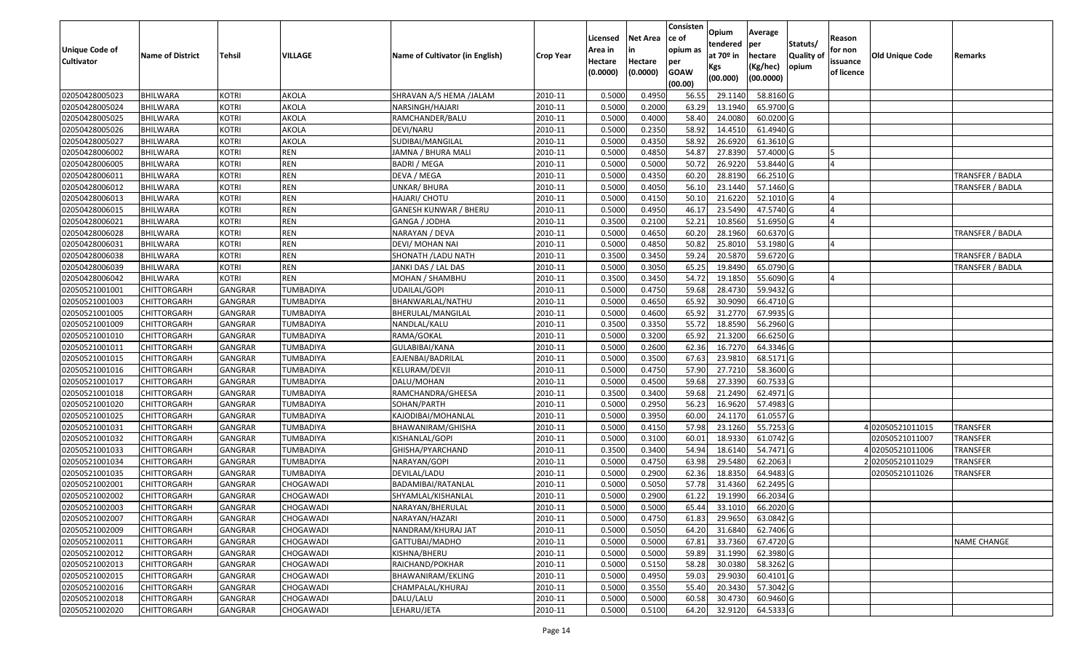|                       |                         |               |            |                                 |           | Licensed | <b>Net Area</b> | Consisten<br>ce of     | Opium           | Average               |                   | Reason     |                        |                    |
|-----------------------|-------------------------|---------------|------------|---------------------------------|-----------|----------|-----------------|------------------------|-----------------|-----------------------|-------------------|------------|------------------------|--------------------|
| <b>Unique Code of</b> |                         |               |            |                                 |           | Area in  | in              | opium as               | tendered        | <b>per</b>            | Statuts/          | for non    |                        |                    |
| <b>Cultivator</b>     | <b>Name of District</b> | <b>Tehsil</b> | VILLAGE    | Name of Cultivator (in English) | Crop Year | Hectare  | Hectare         | per                    | at 70º in       | hectare               | <b>Quality of</b> | issuance   | <b>Old Unique Code</b> | Remarks            |
|                       |                         |               |            |                                 |           | (0.0000) | (0.0000)        | <b>GOAW</b><br>(00.00) | Kgs<br>(00.000) | (Kg/hec)<br>(00.0000) | opium             | of licence |                        |                    |
| 02050428005023        | <b>BHILWARA</b>         | KOTRI         | AKOLA      | SHRAVAN A/S HEMA /JALAM         | 2010-11   | 0.5000   | 0.4950          | 56.55                  | 29.1140         | 58.8160 G             |                   |            |                        |                    |
| 02050428005024        | <b>BHILWARA</b>         | KOTRI         | AKOLA      | NARSINGH/HAJARI                 | 2010-11   | 0.5000   | 0.2000          | 63.29                  | 13.1940         | 65.9700 G             |                   |            |                        |                    |
| 02050428005025        | <b>BHILWARA</b>         | KOTRI         | AKOLA      | RAMCHANDER/BALU                 | 2010-11   | 0.5000   | 0.4000          | 58.40                  | 24.0080         | 60.0200 G             |                   |            |                        |                    |
| 02050428005026        | <b>BHILWARA</b>         | KOTRI         | AKOLA      | DEVI/NARU                       | 2010-11   | 0.5000   | 0.2350          | 58.92                  | 14.4510         | 61.4940 G             |                   |            |                        |                    |
| 02050428005027        | <b>BHILWARA</b>         | <b>KOTRI</b>  | AKOLA      | SUDIBAI/MANGILAL                | 2010-11   | 0.5000   | 0.4350          | 58.92                  | 26.6920         | 61.3610 G             |                   |            |                        |                    |
| 02050428006002        | <b>BHILWARA</b>         | KOTRI         | REN        | JAMNA / BHURA MALI              | 2010-11   | 0.5000   | 0.4850          | 54.87                  | 27.8390         | 57.4000 G             |                   |            |                        |                    |
| 02050428006005        | BHILWARA                | <b>KOTRI</b>  | <b>REN</b> | <b>BADRI / MEGA</b>             | 2010-11   | 0.5000   | 0.5000          | 50.7                   | 26.9220         | 53.8440 G             |                   |            |                        |                    |
| 02050428006011        | <b>BHILWARA</b>         | KOTRI         | <b>REN</b> | DEVA / MEGA                     | 2010-11   | 0.5000   | 0.4350          | 60.20                  | 28.8190         | 66.2510 G             |                   |            |                        | TRANSFER / BADLA   |
| 02050428006012        | <b>BHILWARA</b>         | <b>KOTRI</b>  | REN        | <b>UNKAR/ BHURA</b>             | 2010-11   | 0.5000   | 0.4050          | 56.10                  | 23.1440         | 57.1460 G             |                   |            |                        | TRANSFER / BADLA   |
| 02050428006013        | <b>BHILWARA</b>         | <b>KOTRI</b>  | REN        | HAJARI/ CHOTU                   | 2010-11   | 0.5000   | 0.4150          | 50.10                  | 21.6220         | 52.1010 G             |                   |            |                        |                    |
| 02050428006015        | <b>BHILWARA</b>         | <b>KOTRI</b>  | <b>REN</b> | <b>GANESH KUNWAR / BHERU</b>    | 2010-11   | 0.5000   | 0.4950          | 46.17                  | 23.5490         | 47.5740 G             |                   | 4          |                        |                    |
| 02050428006021        | <b>BHILWARA</b>         | <b>KOTRI</b>  | <b>REN</b> | GANGA / JODHA                   | 2010-11   | 0.3500   | 0.2100          | 52.21                  | 10.8560         | 51.6950 G             |                   | IΔ         |                        |                    |
| 02050428006028        | <b>BHILWARA</b>         | <b>KOTRI</b>  | <b>REN</b> | NARAYAN / DEVA                  | 2010-11   | 0.5000   | 0.4650          | 60.20                  | 28.1960         | 60.6370 G             |                   |            |                        | TRANSFER / BADLA   |
| 02050428006031        | <b>BHILWARA</b>         | <b>KOTRI</b>  | REN        | DEVI/ MOHAN NAI                 | 2010-11   | 0.5000   | 0.4850          | 50.82                  | 25.8010         | 53.1980 G             |                   |            |                        |                    |
| 02050428006038        | <b>BHILWARA</b>         | KOTRI         | REN        | SHONATH / LADU NATH             | 2010-11   | 0.3500   | 0.3450          | 59.24                  | 20.5870         | 59.6720 G             |                   |            |                        | TRANSFER / BADLA   |
| 02050428006039        | <b>BHILWARA</b>         | <b>KOTRI</b>  | <b>REN</b> | JANKI DAS / LAL DAS             | 2010-11   | 0.5000   | 0.3050          | 65.25                  | 19.8490         | 65.0790 G             |                   |            |                        | TRANSFER / BADLA   |
| 02050428006042        | <b>BHILWARA</b>         | KOTRI         | REN        | MOHAN / SHAMBHU                 | 2010-11   | 0.3500   | 0.3450          | 54.72                  | 19.1850         | 55.6090 G             |                   |            |                        |                    |
| 02050521001001        | <b>CHITTORGARH</b>      | GANGRAR       | TUMBADIYA  | UDAILAL/GOPI                    | 2010-11   | 0.5000   | 0.4750          | 59.68                  | 28.4730         | 59.9432 G             |                   |            |                        |                    |
| 02050521001003        | <b>CHITTORGARH</b>      | GANGRAR       | TUMBADIYA  | BHANWARLAL/NATHU                | 2010-11   | 0.5000   | 0.4650          | 65.92                  | 30.9090         | 66.4710 G             |                   |            |                        |                    |
| 02050521001005        | <b>CHITTORGARH</b>      | GANGRAR       | TUMBADIYA  | BHERULAL/MANGILAL               | 2010-11   | 0.5000   | 0.4600          | 65.92                  | 31.2770         | 67.9935 G             |                   |            |                        |                    |
| 02050521001009        | <b>CHITTORGARH</b>      | GANGRAR       | TUMBADIYA  | NANDLAL/KALU                    | 2010-11   | 0.3500   | 0.3350          | 55.72                  | 18.8590         | 56.2960 G             |                   |            |                        |                    |
| 02050521001010        | <b>CHITTORGARH</b>      | GANGRAR       | TUMBADIYA  | RAMA/GOKAL                      | 2010-11   | 0.5000   | 0.3200          | 65.92                  | 21.3200         | 66.6250 G             |                   |            |                        |                    |
| 02050521001011        | <b>CHITTORGARH</b>      | GANGRAR       | TUMBADIYA  | GULABIBAI/KANA                  | 2010-11   | 0.5000   | 0.2600          | 62.36                  | 16.7270         | 64.3346 G             |                   |            |                        |                    |
| 02050521001015        | <b>CHITTORGARH</b>      | GANGRAR       | TUMBADIYA  | EAJENBAI/BADRILAL               | 2010-11   | 0.5000   | 0.3500          | 67.63                  | 23.9810         | 68.5171 G             |                   |            |                        |                    |
| 02050521001016        | <b>CHITTORGARH</b>      | GANGRAR       | TUMBADIYA  | KELURAM/DEVJI                   | 2010-11   | 0.5000   | 0.4750          | 57.90                  | 27.7210         | 58.3600 G             |                   |            |                        |                    |
| 02050521001017        | <b>CHITTORGARH</b>      | GANGRAR       | TUMBADIYA  | DALU/MOHAN                      | 2010-11   | 0.5000   | 0.4500          | 59.68                  | 27.3390         | 60.7533 G             |                   |            |                        |                    |
| 02050521001018        | <b>CHITTORGARH</b>      | GANGRAR       | TUMBADIYA  | RAMCHANDRA/GHEESA               | 2010-11   | 0.3500   | 0.3400          | 59.68                  | 21.2490         | 62.4971 G             |                   |            |                        |                    |
| 02050521001020        | <b>CHITTORGARH</b>      | GANGRAR       | TUMBADIYA  | SOHAN/PARTH                     | 2010-11   | 0.5000   | 0.2950          | 56.23                  | 16.9620         | 57.4983 G             |                   |            |                        |                    |
| 02050521001025        | <b>CHITTORGARH</b>      | GANGRAR       | TUMBADIYA  | KAJODIBAI/MOHANLAL              | 2010-11   | 0.5000   | 0.3950          | 60.00                  | 24.1170         | 61.0557 G             |                   |            |                        |                    |
| 02050521001031        | <b>CHITTORGARH</b>      | GANGRAR       | TUMBADIYA  | BHAWANIRAM/GHISHA               | 2010-11   | 0.5000   | 0.4150          | 57.98                  | 23.1260         | 55.7253 G             |                   |            | 402050521011015        | <b>TRANSFER</b>    |
| 02050521001032        | <b>CHITTORGARH</b>      | GANGRAR       | TUMBADIYA  | KISHANLAL/GOPI                  | 2010-11   | 0.5000   | 0.3100          | 60.01                  | 18.9330         | 61.0742 G             |                   |            | 02050521011007         | <b>TRANSFER</b>    |
| 02050521001033        | <b>CHITTORGARH</b>      | GANGRAR       | TUMBADIYA  | GHISHA/PYARCHAND                | 2010-11   | 0.3500   | 0.3400          | 54.94                  | 18.6140         | 54.7471 G             |                   |            | 402050521011006        | TRANSFER           |
| 02050521001034        | <b>CHITTORGARH</b>      | GANGRAR       | TUMBADIYA  | NARAYAN/GOPI                    | 2010-11   | 0.5000   | 0.4750          | 63.98                  | 29.5480         | 62.2063               |                   |            | 202050521011029        | <b>TRANSFER</b>    |
| 02050521001035        | <b>CHITTORGARH</b>      | GANGRAR       | TUMBADIYA  | DEVILAL/LADU                    | 2010-11   | 0.5000   | 0.2900          | 62.36                  | 18.8350         | 64.9483 G             |                   |            | 02050521011026         | <b>TRANSFER</b>    |
| 02050521002001        | CHITTORGARH             | GANGRAR       | CHOGAWADI  | BADAMIBAI/RATANLAL              | 2010-11   | 0.5000   | 0.5050          | 57.78                  | 31.4360         | 62.2495 G             |                   |            |                        |                    |
| 02050521002002        | <b>CHITTORGARH</b>      | GANGRAR       | CHOGAWADI  | SHYAMLAL/KISHANLAL              | 2010-11   | 0.5000   | 0.2900          | 61.22                  | 19.1990         | 66.2034 G             |                   |            |                        |                    |
| 02050521002003        | CHITTORGARH             | GANGRAR       | CHOGAWADI  | NARAYAN/BHERULAL                | 2010-11   | 0.5000   | 0.5000          | 65.44                  | 33.1010         | 66.2020 G             |                   |            |                        |                    |
| 02050521002007        | <b>CHITTORGARH</b>      | GANGRAR       | CHOGAWADI  | NARAYAN/HAZARI                  | 2010-11   | 0.5000   | 0.4750          | 61.83                  | 29.9650         | 63.0842 G             |                   |            |                        |                    |
| 02050521002009        | CHITTORGARH             | GANGRAR       | CHOGAWADI  | NANDRAM/KHURAJ JAT              | 2010-11   | 0.5000   | 0.5050          | 64.20                  | 31.6840         | 62.7406 G             |                   |            |                        |                    |
| 02050521002011        | <b>CHITTORGARH</b>      | GANGRAR       | CHOGAWADI  | GATTUBAI/MADHO                  | 2010-11   | 0.5000   | 0.5000          | 67.81                  | 33.7360         | 67.4720 G             |                   |            |                        | <b>NAME CHANGE</b> |
| 02050521002012        | <b>CHITTORGARH</b>      | GANGRAR       | CHOGAWADI  | KISHNA/BHERU                    | 2010-11   | 0.5000   | 0.5000          | 59.89                  | 31.1990         | 62.3980 G             |                   |            |                        |                    |
| 02050521002013        | <b>CHITTORGARH</b>      | GANGRAR       | CHOGAWADI  | RAICHAND/POKHAR                 | 2010-11   | 0.5000   | 0.5150          | 58.28                  | 30.0380         | 58.3262 G             |                   |            |                        |                    |
| 02050521002015        | <b>CHITTORGARH</b>      | GANGRAR       | CHOGAWADI  | BHAWANIRAM/EKLING               | 2010-11   | 0.5000   | 0.4950          | 59.03                  | 29.9030         | 60.4101 G             |                   |            |                        |                    |
| 02050521002016        | <b>CHITTORGARH</b>      | GANGRAR       | CHOGAWADI  | CHAMPALAL/KHURAJ                | 2010-11   | 0.5000   | 0.3550          | 55.40                  | 20.3430         | 57.3042 G             |                   |            |                        |                    |
| 02050521002018        | <b>CHITTORGARH</b>      | GANGRAR       | CHOGAWADI  | DALU/LALU                       | 2010-11   | 0.5000   | 0.5000          | 60.58                  | 30.4730         | 60.9460 G             |                   |            |                        |                    |
| 02050521002020        | <b>CHITTORGARH</b>      | GANGRAR       | CHOGAWADI  | LEHARU/JETA                     | 2010-11   | 0.5000   | 0.5100          | 64.20                  | 32.9120         | 64.5333 G             |                   |            |                        |                    |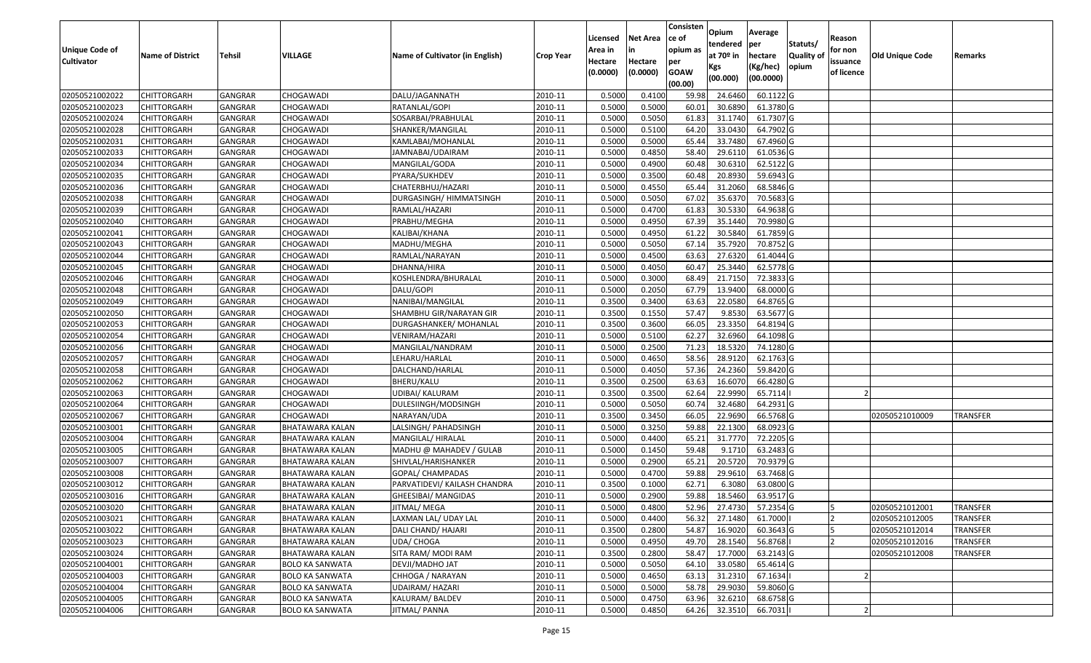|                       |                         |                |                        |                                 |                  |          |                 | Consisten   | Opium       | Average                 |                  |                |                 |                 |
|-----------------------|-------------------------|----------------|------------------------|---------------------------------|------------------|----------|-----------------|-------------|-------------|-------------------------|------------------|----------------|-----------------|-----------------|
|                       |                         |                |                        |                                 |                  | Licensed | <b>Net Area</b> | ce of       | tendered    | per                     | Statuts/         | Reason         |                 |                 |
| <b>Unique Code of</b> | <b>Name of District</b> | <b>Tehsil</b>  | VILLAGE                | Name of Cultivator (in English) | <b>Crop Year</b> | Area in  |                 | opium as    | at $70°$ in | hectare                 | <b>Quality o</b> | for non        | Old Unique Code | Remarks         |
| <b>Cultivator</b>     |                         |                |                        |                                 |                  | Hectare  | Hectare         | per         | Kgs         | (Kg/hec)                | opium            | issuance       |                 |                 |
|                       |                         |                |                        |                                 |                  | (0.0000) | (0.0000)        | <b>GOAW</b> | (00.000)    | (00.0000)               |                  | of licence     |                 |                 |
|                       |                         |                |                        |                                 |                  |          |                 | (00.00)     |             |                         |                  |                |                 |                 |
| 02050521002022        | CHITTORGARH             | GANGRAR        | CHOGAWADI              | DALU/JAGANNATH                  | 2010-11          | 0.5000   | 0.4100          | 59.98       | 24.6460     | $60.1122$ G             |                  |                |                 |                 |
| 02050521002023        | CHITTORGARH             | GANGRAR        | CHOGAWADI              | RATANLAL/GOPI                   | 2010-11          | 0.5000   | 0.5000          | 60.0        | 30.6890     | 61.3780 G               |                  |                |                 |                 |
| 02050521002024        | CHITTORGARH             | GANGRAR        | CHOGAWADI              | SOSARBAI/PRABHULAL              | 2010-11          | 0.5000   | 0.5050          | 61.83       | 31.1740     | 61.7307 G               |                  |                |                 |                 |
| 02050521002028        | <b>CHITTORGARH</b>      | <b>GANGRAR</b> | CHOGAWADI              | SHANKER/MANGILAL                | 2010-11          | 0.5000   | 0.5100          | 64.20       | 33.0430     | 64.7902 G               |                  |                |                 |                 |
| 02050521002031        | CHITTORGARH             | GANGRAR        | CHOGAWADI              | KAMLABAI/MOHANLAL               | 2010-11          | 0.5000   | 0.5000          | 65.44       | 33.7480     | 67.4960 G               |                  |                |                 |                 |
| 02050521002033        | CHITTORGARH             | GANGRAR        | CHOGAWADI              | JAMNABAI/UDAIRAM                | 2010-11          | 0.5000   | 0.4850          | 58.40       | 29.6110     | 61.0536 G               |                  |                |                 |                 |
| 02050521002034        | CHITTORGARH             | GANGRAR        | CHOGAWADI              | MANGILAL/GODA                   | 2010-11          | 0.5000   | 0.4900          | 60.48       | 30.631      | 62.5122 G               |                  |                |                 |                 |
| 02050521002035        | CHITTORGARH             | <b>GANGRAR</b> | CHOGAWADI              | PYARA/SUKHDEV                   | 2010-11          | 0.5000   | 0.3500          | 60.48       | 20.8930     | 59.6943 G               |                  |                |                 |                 |
| 02050521002036        | CHITTORGARH             | GANGRAR        | CHOGAWADI              | CHATERBHUJ/HAZARI               | 2010-11          | 0.5000   | 0.4550          | 65.44       | 31.2060     | 68.5846 G               |                  |                |                 |                 |
| 02050521002038        | CHITTORGARH             | GANGRAR        | CHOGAWADI              | DURGASINGH/ HIMMATSINGH         | 2010-11          | 0.5000   | 0.5050          | 67.02       | 35.6370     | 70.5683 G               |                  |                |                 |                 |
| 02050521002039        | CHITTORGARH             | GANGRAR        | CHOGAWADI              | RAMLAL/HAZARI                   | 2010-11          | 0.5000   | 0.4700          | 61.83       | 30.5330     | 64.9638 G               |                  |                |                 |                 |
| 02050521002040        | <b>CHITTORGARH</b>      | GANGRAR        | CHOGAWADI              | PRABHU/MEGHA                    | 2010-11          | 0.5000   | 0.4950          | 67.39       | 35.1440     | 70.9980 G               |                  |                |                 |                 |
| 02050521002041        | <b>CHITTORGARH</b>      | <b>GANGRAR</b> | CHOGAWADI              | KALIBAI/KHANA                   | 2010-11          | 0.5000   | 0.4950          | 61.22       | 30.5840     | 61.7859 G               |                  |                |                 |                 |
| 02050521002043        | CHITTORGARH             | GANGRAR        | CHOGAWADI              | MADHU/MEGHA                     | 2010-11          | 0.5000   | 0.5050          | 67.14       | 35.7920     | 70.8752 G               |                  |                |                 |                 |
| 02050521002044        | CHITTORGARH             | <b>GANGRAR</b> | CHOGAWADI              | RAMLAL/NARAYAN                  | 2010-11          | 0.5000   | 0.4500          | 63.63       | 27.6320     | 61.4044 G               |                  |                |                 |                 |
| 02050521002045        | <b>CHITTORGARH</b>      | <b>GANGRAR</b> | CHOGAWADI              | DHANNA/HIRA                     | 2010-11          | 0.5000   | 0.4050          | 60.47       | 25.3440     | 62.5778 G               |                  |                |                 |                 |
| 02050521002046        | CHITTORGARH             | <b>GANGRAR</b> | CHOGAWADI              | KOSHLENDRA/BHURALAL             | 2010-11          | 0.5000   | 0.3000          | 68.49       | 21.715      | 72.3833 G               |                  |                |                 |                 |
| 02050521002048        | CHITTORGARH             | GANGRAR        | CHOGAWADI              | DALU/GOPI                       | 2010-11          | 0.5000   | 0.2050          | 67.79       | 13.9400     | 68.0000 G               |                  |                |                 |                 |
| 02050521002049        | CHITTORGARH             | GANGRAR        | CHOGAWADI              | NANIBAI/MANGILAL                | 2010-11          | 0.3500   | 0.3400          | 63.63       | 22.0580     | 64.8765 G               |                  |                |                 |                 |
| 02050521002050        | CHITTORGARH             | GANGRAR        | CHOGAWADI              | SHAMBHU GIR/NARAYAN GIR         | 2010-11          | 0.3500   | 0.1550          | 57.47       | 9.853       | 63.5677 G               |                  |                |                 |                 |
| 02050521002053        | CHITTORGARH             | <b>GANGRAR</b> | CHOGAWADI              | DURGASHANKER/ MOHANLAL          | 2010-11          | 0.3500   | 0.3600          | 66.05       | 23.3350     | 64.8194 G               |                  |                |                 |                 |
| 02050521002054        | CHITTORGARH             | GANGRAR        | CHOGAWADI              | VENIRAM/HAZARI                  | 2010-11          | 0.500    | 0.5100          | 62.27       | 32.6960     | 64.1098 G               |                  |                |                 |                 |
| 02050521002056        | CHITTORGARH             | GANGRAR        | CHOGAWADI              | MANGILAL/NANDRAM                | 2010-11          | 0.5000   | 0.2500          | 71.23       | 18.5320     | 74.1280 G               |                  |                |                 |                 |
| 02050521002057        | CHITTORGARH             | <b>GANGRAR</b> | CHOGAWADI              | LEHARU/HARLAL                   | 2010-11          | 0.5000   | 0.4650          | 58.56       | 28.9120     | 62.1763 G               |                  |                |                 |                 |
| 02050521002058        | CHITTORGARH             | <b>GANGRAR</b> | CHOGAWADI              | DALCHAND/HARLAL                 | 2010-11          | 0.5000   | 0.4050          | 57.36       | 24.2360     | 59.8420 G               |                  |                |                 |                 |
| 02050521002062        | CHITTORGARH             | GANGRAR        | CHOGAWADI              | BHERU/KALU                      | 2010-11          | 0.3500   | 0.2500          | 63.63       | 16.6070     | 66.4280 G               |                  |                |                 |                 |
| 02050521002063        | CHITTORGARH             | GANGRAR        | CHOGAWADI              | UDIBAI/ KALURAM                 | 2010-11          | 0.3500   | 0.3500          | 62.64       | 22.9990     | 65.7114                 |                  |                |                 |                 |
| 02050521002064        | CHITTORGARH             | GANGRAR        | CHOGAWADI              | DULESIINGH/MODSINGH             | 2010-11          | 0.5000   | 0.5050          | 60.74       | 32.4680     | 64.2931 G               |                  |                |                 |                 |
| 02050521002067        | CHITTORGARH             | <b>GANGRAR</b> | CHOGAWADI              | NARAYAN/UDA                     | 2010-11          | 0.3500   | 0.3450          | 66.05       | 22.9690     | 66.5768 G               |                  |                | 02050521010009  | <b>TRANSFER</b> |
| 02050521003001        | CHITTORGARH             | <b>GANGRAR</b> | BHATAWARA KALAN        | LALSINGH/ PAHADSINGH            | 2010-11          | 0.5000   | 0.3250          | 59.88       | 22.1300     | 68.0923 G               |                  |                |                 |                 |
| 02050521003004        | CHITTORGARH             | GANGRAR        | BHATAWARA KALAN        | MANGILAL/ HIRALAL               | 2010-11          | 0.5000   | 0.4400          | 65.21       | 31.7770     | 72.2205 G               |                  |                |                 |                 |
| 02050521003005        | CHITTORGARH             | GANGRAR        | BHATAWARA KALAN        | MADHU @ MAHADEV / GULAB         | 2010-11          | 0.5000   | 0.1450          | 59.48       | 9.1710      | 63.2483 G               |                  |                |                 |                 |
| 02050521003007        | CHITTORGARH             | <b>GANGRAR</b> | BHATAWARA KALAN        | SHIVLAL/HARISHANKER             | 2010-11          | 0.5000   | 0.2900          | 65.21       | 20.5720     | 70.9379 G               |                  |                |                 |                 |
| 02050521003008        | CHITTORGARH             | GANGRAR        | BHATAWARA KALAN        | GOPAL/ CHAMPADAS                | 2010-11          | 0.5000   | 0.4700          | 59.88       | 29.9610     | 63.7468 G               |                  |                |                 |                 |
| 02050521003012        | CHITTORGARH             | GANGRAR        | BHATAWARA KALAN        | PARVATIDEVI/ KAILASH CHANDRA    | 2010-11          | 0.350    | 0.1000          | 62.7        | 6.3080      | 63.0800 G               |                  |                |                 |                 |
| 02050521003016        | CHITTORGARH             | GANGRAR        | BHATAWARA KALAN        | GHEESIBAI/ MANGIDAS             | 2010-11          | 0.5000   | 0.2900          | 59.88       | 18.5460     | 63.9517 G               |                  |                |                 |                 |
| 02050521003020        | CHITTORGARH             | <b>GANGRAR</b> | <b>BHATAWARA KALAN</b> | JITMAL/ MEGA                    | 2010-11          | 0.5000   | 0.4800          |             |             | 52.96 27.4730 57.2354 G |                  | I5             | 02050521012001  | <b>TRANSFER</b> |
| 02050521003021        | CHITTORGARH             | <b>GANGRAR</b> | BHATAWARA KALAN        | LAXMAN LAL/ UDAY LAL            | 2010-11          | 0.5000   | 0.4400          | 56.32       | 27.1480     | 61.7000                 |                  | $\overline{2}$ | 02050521012005  | <b>TRANSFER</b> |
| 02050521003022        | <b>CHITTORGARH</b>      | <b>GANGRAR</b> | BHATAWARA KALAN        | DALI CHAND/ HAJARI              | 2010-11          | 0.3500   | 0.2800          | 54.87       | 16.9020     | 60.3643 G               |                  |                | 02050521012014  | <b>TRANSFER</b> |
| 02050521003023        | <b>CHITTORGARH</b>      | <b>GANGRAR</b> | BHATAWARA KALAN        | UDA/ CHOGA                      | 2010-11          | 0.5000   | 0.4950          | 49.70       | 28.1540     | 56.8768                 |                  | $\overline{2}$ | 02050521012016  | <b>TRANSFER</b> |
| 02050521003024        | <b>CHITTORGARH</b>      | <b>GANGRAR</b> | BHATAWARA KALAN        | SITA RAM/ MODI RAM              | 2010-11          | 0.3500   | 0.2800          | 58.47       | 17.7000     | 63.2143 G               |                  |                | 02050521012008  | <b>TRANSFER</b> |
| 02050521004001        | <b>CHITTORGARH</b>      | <b>GANGRAR</b> | <b>BOLO KA SANWATA</b> | DEVJI/MADHO JAT                 | 2010-11          | 0.5000   | 0.5050          | 64.10       | 33.0580     | 65.4614 G               |                  |                |                 |                 |
| 02050521004003        | <b>CHITTORGARH</b>      | <b>GANGRAR</b> | <b>BOLO KA SANWATA</b> | CHHOGA / NARAYAN                | 2010-11          | 0.5000   | 0.4650          | 63.13       | 31.2310     | 67.1634                 |                  |                |                 |                 |
| 02050521004004        | CHITTORGARH             | <b>GANGRAR</b> | <b>BOLO KA SANWATA</b> | UDAIRAM/ HAZARI                 | 2010-11          | 0.5000   | 0.5000          | 58.78       | 29.9030     | 59.8060 G               |                  |                |                 |                 |
| 02050521004005        | CHITTORGARH             | <b>GANGRAR</b> | <b>BOLO KA SANWATA</b> | KALURAM/BALDEV                  | 2010-11          | 0.5000   | 0.4750          | 63.96       | 32.6210     | 68.6758 G               |                  |                |                 |                 |
| 02050521004006        | <b>CHITTORGARH</b>      | <b>GANGRAR</b> | <b>BOLO KA SANWATA</b> | JITMAL/ PANNA                   | 2010-11          | 0.5000   | 0.4850          | 64.26       | 32.3510     | 66.7031                 |                  |                |                 |                 |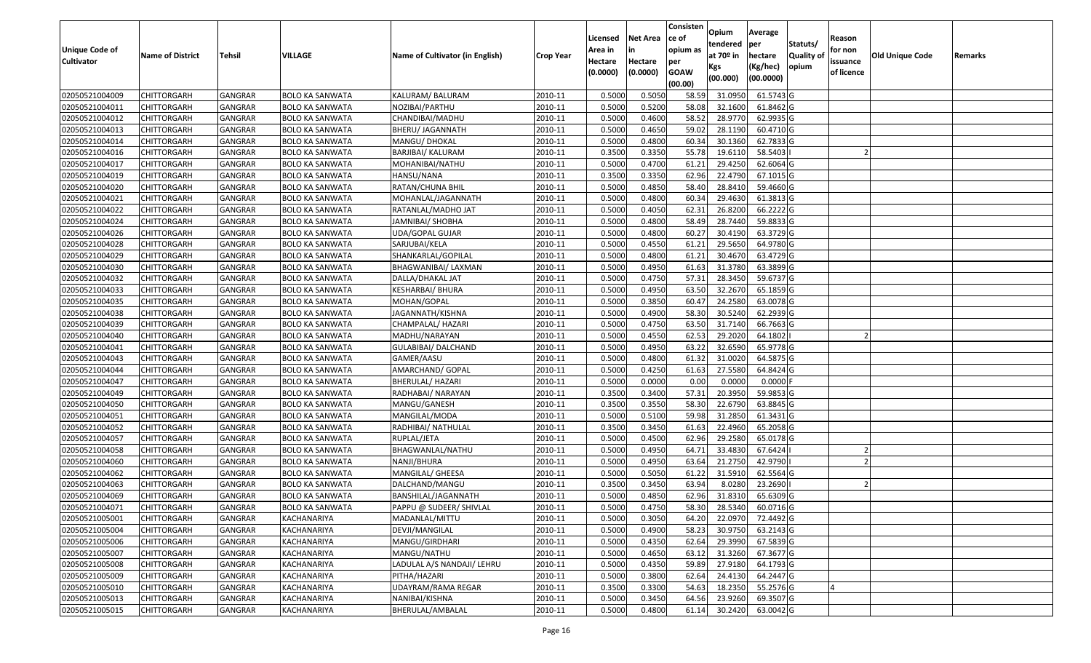| <b>Unique Code of</b>            |                                          |                           |                                                  |                                               |                    | Licensed<br>Area in | <b>Net Area</b><br>in | Consisten<br>ce of<br>opium as | Opium<br>tendered            | Average<br>per                   | Statuts/            | Reason<br>for non      |                 |         |
|----------------------------------|------------------------------------------|---------------------------|--------------------------------------------------|-----------------------------------------------|--------------------|---------------------|-----------------------|--------------------------------|------------------------------|----------------------------------|---------------------|------------------------|-----------------|---------|
| <b>Cultivator</b>                | <b>Name of District</b>                  | <b>Tehsil</b>             | VILLAGE                                          | Name of Cultivator (in English)               | <b>Crop Year</b>   | Hectare<br>(0.0000) | Hectare<br>(0.0000)   | per<br><b>GOAW</b>             | at 70º in<br>Kgs<br>(00.000) | hectare<br>(Kg/hec)<br>(00.0000) | Quality of<br>opium | issuance<br>of licence | Old Unique Code | Remarks |
|                                  |                                          |                           |                                                  |                                               |                    |                     |                       | (00.00)                        |                              |                                  |                     |                        |                 |         |
| 02050521004009                   | <b>CHITTORGARH</b>                       | <b>GANGRAR</b>            | <b>BOLO KA SANWATA</b>                           | KALURAM/BALURAM                               | 2010-11            | 0.5000              | 0.5050                | 58.59                          | 31.0950                      | 61.5743 G                        |                     |                        |                 |         |
| 02050521004011                   | <b>CHITTORGARH</b>                       | GANGRAR                   | <b>BOLO KA SANWATA</b>                           | NOZIBAI/PARTHU                                | 2010-11            | 0.5000              | 0.5200                | 58.08                          | 32.1600                      | 61.8462 G                        |                     |                        |                 |         |
| 02050521004012<br>02050521004013 | <b>CHITTORGARH</b><br><b>CHITTORGARH</b> | GANGRAR<br><b>GANGRAR</b> | BOLO KA SANWATA<br><b>BOLO KA SANWATA</b>        | CHANDIBAI/MADHU<br><b>BHERU/ JAGANNATH</b>    | 2010-11<br>2010-11 | 0.5000<br>0.5000    | 0.4600<br>0.4650      | 58.52<br>59.02                 | 28.9770<br>28.1190           | 62.9935 G<br>60.4710 G           |                     |                        |                 |         |
|                                  |                                          |                           |                                                  |                                               |                    | 0.5000              |                       |                                |                              |                                  |                     |                        |                 |         |
| 02050521004014<br>02050521004016 | <b>CHITTORGARH</b><br><b>CHITTORGARH</b> | GANGRAR<br><b>GANGRAR</b> | <b>BOLO KA SANWATA</b><br><b>BOLO KA SANWATA</b> | MANGU/ DHOKAL<br>BARJIBAI/ KALURAM            | 2010-11<br>2010-11 | 0.3500              | 0.4800<br>0.3350      | 60.34<br>55.78                 | 30.1360<br>19.6110           | 62.7833 G<br>58.5403             |                     |                        |                 |         |
| 02050521004017                   |                                          | GANGRAR                   | <b>BOLO KA SANWATA</b>                           |                                               | 2010-11            | 0.5000              | 0.4700                | 61.21                          | 29.4250                      | 62.6064 G                        |                     |                        |                 |         |
| 02050521004019                   | CHITTORGARH<br><b>CHITTORGARH</b>        | GANGRAR                   | <b>BOLO KA SANWATA</b>                           | MOHANIBAI/NATHU<br>HANSU/NANA                 | 2010-11            | 0.3500              | 0.3350                | 62.96                          | 22.4790                      | 67.1015 G                        |                     |                        |                 |         |
| 02050521004020                   | <b>CHITTORGARH</b>                       | GANGRAR                   | <b>BOLO KA SANWATA</b>                           | RATAN/CHUNA BHIL                              | 2010-11            | 0.5000              | 0.4850                | 58.40                          | 28.8410                      | 59.4660 G                        |                     |                        |                 |         |
| 02050521004021                   | <b>CHITTORGARH</b>                       | GANGRAR                   | <b>BOLO KA SANWATA</b>                           | MOHANLAL/JAGANNATH                            | 2010-11            | 0.5000              | 0.4800                | 60.34                          | 29.4630                      | 61.3813 G                        |                     |                        |                 |         |
| 02050521004022                   | <b>CHITTORGARH</b>                       | GANGRAR                   | <b>BOLO KA SANWATA</b>                           |                                               | 2010-11            | 0.5000              | 0.4050                | 62.31                          | 26.8200                      | 66.2222 G                        |                     |                        |                 |         |
| 02050521004024                   | <b>CHITTORGARH</b>                       | GANGRAR                   | <b>BOLO KA SANWATA</b>                           | RATANLAL/MADHO JAT<br><b>JAMNIBAI/ SHOBHA</b> | 2010-11            | 0.5000              | 0.4800                | 58.49                          | 28.7440                      | 59.8833 G                        |                     |                        |                 |         |
|                                  |                                          |                           | <b>BOLO KA SANWATA</b>                           |                                               |                    | 0.5000              | 0.4800                | 60.27                          | 30.4190                      | 63.3729 G                        |                     |                        |                 |         |
| 02050521004026<br>02050521004028 | <b>CHITTORGARH</b>                       | GANGRAR<br>GANGRAR        |                                                  | UDA/GOPAL GUJAR                               | 2010-11<br>2010-11 | 0.5000              | 0.4550                | 61.21                          | 29.5650                      | 64.9780 G                        |                     |                        |                 |         |
| 02050521004029                   | <b>CHITTORGARH</b>                       |                           | <b>BOLO KA SANWATA</b>                           | SARJUBAI/KELA                                 |                    | 0.5000              | 0.4800                | 61.21                          | 30.4670                      |                                  |                     |                        |                 |         |
|                                  | CHITTORGARH                              | GANGRAR                   | <b>BOLO KA SANWATA</b>                           | SHANKARLAL/GOPILAL                            | 2010-11<br>2010-11 | 0.5000              | 0.4950                | 61.63                          | 31.3780                      | 63.4729 G<br>63.3899 G           |                     |                        |                 |         |
| 02050521004030                   | <b>CHITTORGARH</b>                       | GANGRAR                   | <b>BOLO KA SANWATA</b>                           | BHAGWANIBAI/ LAXMAN<br>DALLA/DHAKAL JAT       |                    | 0.5000              | 0.4750                | 57.31                          | 28.3450                      | 59.6737 G                        |                     |                        |                 |         |
| 02050521004032                   | <b>CHITTORGARH</b>                       | GANGRAR                   | <b>BOLO KA SANWATA</b>                           |                                               | 2010-11            | 0.5000              |                       | 63.50                          | 32.2670                      | 65.1859 G                        |                     |                        |                 |         |
| 02050521004033                   | <b>CHITTORGARH</b>                       | GANGRAR                   | <b>BOLO KA SANWATA</b>                           | KESHARBAI/ BHURA                              | 2010-11            |                     | 0.4950                |                                |                              |                                  |                     |                        |                 |         |
| 02050521004035                   | <b>CHITTORGARH</b>                       | GANGRAR                   | <b>BOLO KA SANWATA</b>                           | MOHAN/GOPAL                                   | 2010-11            | 0.5000              | 0.3850                | 60.47                          | 24.2580                      | 63.0078 G                        |                     |                        |                 |         |
| 02050521004038                   | <b>CHITTORGARH</b>                       | <b>GANGRAR</b>            | <b>BOLO KA SANWATA</b>                           | JAGANNATH/KISHNA                              | 2010-11            | 0.5000              | 0.4900                | 58.30                          | 30.5240                      | 62.2939 G<br>66.7663 G           |                     |                        |                 |         |
| 02050521004039                   | <b>CHITTORGARH</b>                       | GANGRAR                   | <b>BOLO KA SANWATA</b>                           | CHAMPALAL/ HAZARI                             | 2010-11            | 0.5000              | 0.4750                | 63.50                          | 31.7140                      |                                  |                     |                        |                 |         |
| 02050521004040                   | CHITTORGARH                              | GANGRAR                   | <b>BOLO KA SANWATA</b>                           | MADHU/NARAYAN                                 | 2010-11            | 0.5000              | 0.4550                | 62.53                          | 29.2020                      | 64.1802                          |                     |                        |                 |         |
| 02050521004041                   | <b>CHITTORGARH</b>                       | GANGRAR                   | <b>BOLO KA SANWATA</b>                           | GULABIBAI/ DALCHAND                           | 2010-11            | 0.5000              | 0.4950                | 63.22                          | 32.6590                      | 65.9778 G                        |                     |                        |                 |         |
| 02050521004043                   | <b>CHITTORGARH</b>                       | GANGRAR                   | <b>BOLO KA SANWATA</b>                           | GAMER/AASU                                    | 2010-11            | 0.5000              | 0.4800                | 61.32                          | 31.0020                      | 64.5875 G                        |                     |                        |                 |         |
| 02050521004044                   | <b>CHITTORGARH</b>                       | GANGRAR                   | <b>BOLO KA SANWATA</b>                           | AMARCHAND/ GOPAL                              | 2010-11            | 0.5000              | 0.4250                | 61.63                          | 27.5580                      | 64.8424 G                        |                     |                        |                 |         |
| 02050521004047                   | <b>CHITTORGARH</b>                       | GANGRAR                   | <b>BOLO KA SANWATA</b>                           | BHERULAL/ HAZARI                              | 2010-11            | 0.5000              | 0.0000                | 0.00                           | 0.0000                       | 0.0000                           |                     |                        |                 |         |
| 02050521004049                   | <b>CHITTORGARH</b>                       | GANGRAR                   | <b>BOLO KA SANWATA</b>                           | RADHABAI/ NARAYAN                             | 2010-11            | 0.3500              | 0.3400                | 57.31                          | 20.3950                      | 59.9853 G                        |                     |                        |                 |         |
| 02050521004050                   | <b>CHITTORGARH</b>                       | GANGRAR                   | <b>BOLO KA SANWATA</b>                           | MANGU/GANESH                                  | 2010-11            | 0.3500              | 0.3550                | 58.30                          | 22.6790                      | 63.8845 G                        |                     |                        |                 |         |
| 02050521004051                   | <b>CHITTORGARH</b>                       | <b>GANGRAR</b>            | <b>BOLO KA SANWATA</b>                           | MANGILAL/MODA                                 | 2010-11            | 0.5000              | 0.5100                | 59.98                          | 31.2850                      | 61.3431 G                        |                     |                        |                 |         |
| 02050521004052                   | <b>CHITTORGARH</b>                       | <b>GANGRAR</b>            | <b>BOLO KA SANWATA</b>                           | RADHIBAI/ NATHULAL                            | 2010-11            | 0.3500              | 0.3450                | 61.63                          | 22.4960                      | 65.2058 G                        |                     |                        |                 |         |
| 02050521004057                   | <b>CHITTORGARH</b>                       | GANGRAR                   | <b>BOLO KA SANWATA</b>                           | RUPLAL/JETA                                   | 2010-11            | 0.5000              | 0.4500                | 62.96                          | 29.2580                      | 65.0178 G                        |                     |                        |                 |         |
| 02050521004058                   | CHITTORGARH                              | GANGRAR                   | BOLO KA SANWATA                                  | BHAGWANLAL/NATHU                              | 2010-11            | 0.5000              | 0.4950                | 64.7                           | 33.4830                      | 67.6424                          |                     |                        |                 |         |
| 02050521004060                   | <b>CHITTORGARH</b>                       | GANGRAR                   | <b>BOLO KA SANWATA</b>                           | NANJI/BHURA                                   | 2010-11            | 0.5000              | 0.4950                | 63.64                          | 21.2750                      | 42.9790                          |                     |                        |                 |         |
| 02050521004062                   | <b>CHITTORGARH</b>                       | GANGRAR                   | <b>BOLO KA SANWATA</b>                           | MANGILAL/ GHEESA                              | 2010-11            | 0.5000              | 0.5050                | 61.22                          | 31.5910                      | 62.5564 G                        |                     |                        |                 |         |
| 02050521004063                   | <b>CHITTORGARH</b>                       | GANGRAR                   | <b>BOLO KA SANWATA</b>                           | DALCHAND/MANGU                                | 2010-11            | 0.3500              | 0.3450                | 63.94                          | 8.0280                       | 23.2690                          |                     |                        |                 |         |
| 02050521004069                   | <b>CHITTORGARH</b>                       | GANGRAR                   | <b>BOLO KA SANWATA</b>                           | BANSHILAL/JAGANNATH                           | 2010-11            | 0.5000              | 0.4850                | 62.96                          | 31.8310                      | 65.6309 G                        |                     |                        |                 |         |
| 02050521004071                   | <b>CHITTORGARH</b>                       | GANGRAR                   | <b>BOLO KA SANWATA</b>                           | PAPPU @ SUDEER/ SHIVLAL                       | 2010-11            | 0.5000              | 0.4750                | 58.30                          | 28.5340                      | 60.0716 G                        |                     |                        |                 |         |
| 02050521005001                   | <b>CHITTORGARH</b>                       | GANGRAR                   | KACHANARIYA                                      | MADANLAL/MITTU                                | 2010-11            | 0.5000              | 0.3050                | 64.20                          | 22.0970                      | 72.4492 G                        |                     |                        |                 |         |
| 02050521005004                   | <b>CHITTORGARH</b>                       | GANGRAR                   | KACHANARIYA                                      | DEVJI/MANGILAL                                | 2010-11            | 0.5000              | 0.4900                | 58.23                          | 30.9750                      | 63.2143 G                        |                     |                        |                 |         |
| 02050521005006                   | <b>CHITTORGARH</b>                       | GANGRAR                   | KACHANARIYA                                      | MANGU/GIRDHARI                                | 2010-11            | 0.5000              | 0.4350                | 62.64                          | 29.3990                      | 67.5839 G                        |                     |                        |                 |         |
| 02050521005007                   | <b>CHITTORGARH</b>                       | GANGRAR                   | KACHANARIYA                                      | MANGU/NATHU                                   | 2010-11            | 0.5000              | 0.4650                | 63.12                          | 31.3260                      | 67.3677 G                        |                     |                        |                 |         |
| 02050521005008                   | <b>CHITTORGARH</b>                       | <b>GANGRAR</b>            | KACHANARIYA                                      | LADULAL A/S NANDAJI/ LEHRU                    | 2010-11            | 0.5000              | 0.4350                | 59.89                          | 27.9180                      | 64.1793 G                        |                     |                        |                 |         |
| 02050521005009                   | <b>CHITTORGARH</b>                       | GANGRAR                   | KACHANARIYA                                      | PITHA/HAZARI                                  | 2010-11            | 0.5000              | 0.3800                | 62.64                          | 24.4130                      | 64.2447 G                        |                     |                        |                 |         |
| 02050521005010                   | <b>CHITTORGARH</b>                       | GANGRAR                   | KACHANARIYA                                      | UDAYRAM/RAMA REGAR                            | 2010-11            | 0.3500              | 0.3300                | 54.63                          | 18.2350                      | 55.2576 G                        |                     |                        |                 |         |
| 02050521005013                   | <b>CHITTORGARH</b>                       | GANGRAR                   | KACHANARIYA                                      | NANIBAI/KISHNA                                | 2010-11            | 0.5000              | 0.3450                | 64.56                          | 23.9260                      | 69.3507 G                        |                     |                        |                 |         |
| 02050521005015                   | <b>CHITTORGARH</b>                       | GANGRAR                   | KACHANARIYA                                      | BHERULAL/AMBALAL                              | 2010-11            | 0.5000              | 0.4800                | 61.14                          | 30.2420                      | 63.0042 G                        |                     |                        |                 |         |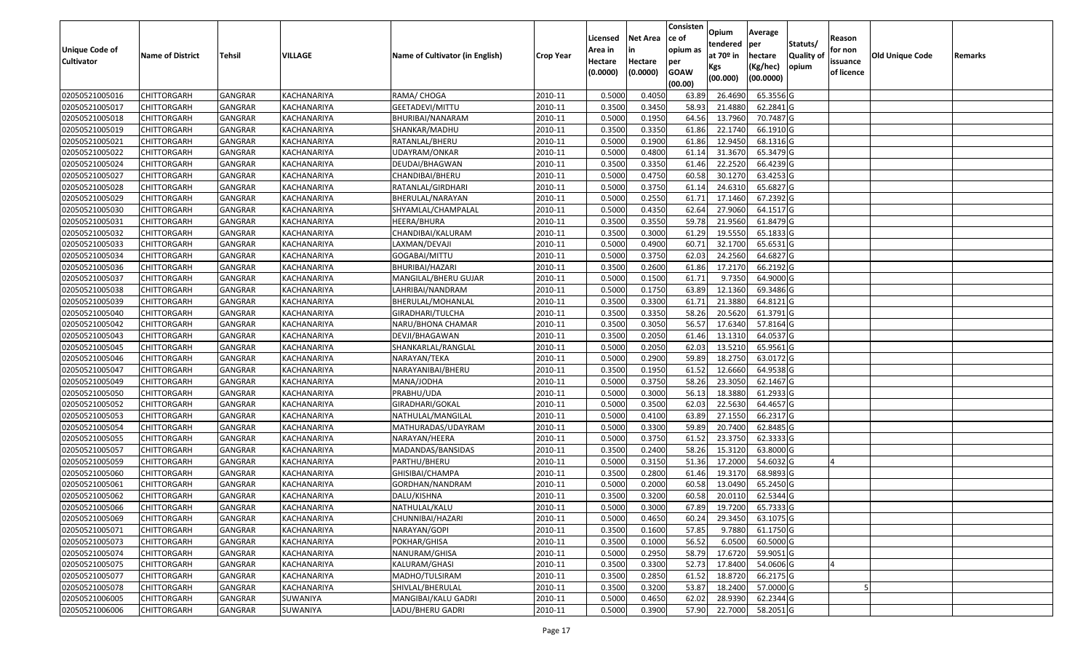|                       |                         |                |             |                                 |                  | Licensed | <b>Net Area</b> | Consisten<br>ce of     | Opium<br>tendered | Average<br>per | Statuts/         | Reason     |                 |         |
|-----------------------|-------------------------|----------------|-------------|---------------------------------|------------------|----------|-----------------|------------------------|-------------------|----------------|------------------|------------|-----------------|---------|
| <b>Unique Code of</b> | <b>Name of District</b> | Tehsil         | VILLAGE     | Name of Cultivator (in English) | <b>Crop Year</b> | Area in  | in              | opium as               | at 70º in         | hectare        | <b>Quality o</b> | for non    | Old Unique Code | Remarks |
| <b>Cultivator</b>     |                         |                |             |                                 |                  | Hectare  | Hectare         | per                    | Kgs               | (Kg/hec)       | opium            | issuance   |                 |         |
|                       |                         |                |             |                                 |                  | (0.0000) | (0.0000)        | <b>GOAW</b><br>(00.00) | (00.000)          | (00.0000)      |                  | of licence |                 |         |
| 02050521005016        | <b>CHITTORGARH</b>      | GANGRAR        | KACHANARIYA | RAMA/ CHOGA                     | 2010-11          | 0.5000   | 0.4050          | 63.89                  | 26.4690           | 65.3556 G      |                  |            |                 |         |
| 02050521005017        | <b>CHITTORGARH</b>      | GANGRAR        | KACHANARIYA | GEETADEVI/MITTU                 | 2010-11          | 0.3500   | 0.3450          | 58.93                  | 21.4880           | 62.2841 G      |                  |            |                 |         |
| 02050521005018        | <b>CHITTORGARH</b>      | GANGRAR        | KACHANARIYA | BHURIBAI/NANARAM                | 2010-11          | 0.5000   | 0.1950          | 64.56                  | 13.7960           | 70.7487 G      |                  |            |                 |         |
| 02050521005019        | <b>CHITTORGARH</b>      | <b>GANGRAR</b> | KACHANARIYA | SHANKAR/MADHU                   | 2010-11          | 0.3500   | 0.3350          | 61.86                  | 22.1740           | 66.1910 G      |                  |            |                 |         |
| 02050521005021        | <b>CHITTORGARH</b>      | GANGRAR        | KACHANARIYA | RATANLAL/BHERU                  | 2010-11          | 0.5000   | 0.1900          | 61.86                  | 12.9450           | 68.1316 G      |                  |            |                 |         |
| 02050521005022        | <b>CHITTORGARH</b>      | <b>GANGRAR</b> | KACHANARIYA | UDAYRAM/ONKAR                   | 2010-11          | 0.5000   | 0.4800          | 61.14                  | 31.3670           | 65.3479 G      |                  |            |                 |         |
| 02050521005024        | CHITTORGARH             | GANGRAR        | KACHANARIYA | DEUDAI/BHAGWAN                  | 2010-11          | 0.3500   | 0.3350          | 61.46                  | 22.2520           | 66.4239 G      |                  |            |                 |         |
| 02050521005027        | <b>CHITTORGARH</b>      | GANGRAR        | KACHANARIYA | CHANDIBAI/BHERU                 | 2010-11          | 0.5000   | 0.4750          | 60.58                  | 30.1270           | 63.4253 G      |                  |            |                 |         |
| 02050521005028        | <b>CHITTORGARH</b>      | GANGRAR        | KACHANARIYA | RATANLAL/GIRDHARI               | 2010-11          | 0.5000   | 0.3750          | 61.1                   | 24.6310           | 65.6827 G      |                  |            |                 |         |
| 02050521005029        | <b>CHITTORGARH</b>      | <b>GANGRAR</b> | KACHANARIYA | BHERULAL/NARAYAN                | 2010-11          | 0.5000   | 0.2550          | 61.7                   | 17.1460           | 67.2392 G      |                  |            |                 |         |
| 02050521005030        | <b>CHITTORGARH</b>      | GANGRAR        | KACHANARIYA | SHYAMLAL/CHAMPALAL              | 2010-11          | 0.5000   | 0.4350          | 62.64                  | 27.9060           | 64.1517 G      |                  |            |                 |         |
| 02050521005031        | <b>CHITTORGARH</b>      | GANGRAR        | KACHANARIYA | HEERA/BHURA                     | 2010-11          | 0.3500   | 0.3550          | 59.78                  | 21.9560           | 61.8479 G      |                  |            |                 |         |
| 02050521005032        | <b>CHITTORGARH</b>      | GANGRAR        | KACHANARIYA | CHANDIBAI/KALURAM               | 2010-11          | 0.3500   | 0.3000          | 61.29                  | 19.5550           | 65.1833 G      |                  |            |                 |         |
| 02050521005033        | <b>CHITTORGARH</b>      | GANGRAR        | KACHANARIYA | LAXMAN/DEVAJI                   | 2010-11          | 0.5000   | 0.4900          | 60.7                   | 32.1700           | 65.6531 G      |                  |            |                 |         |
| 02050521005034        | CHITTORGARH             | GANGRAR        | KACHANARIYA | GOGABAI/MITTU                   | 2010-11          | 0.5000   | 0.3750          | 62.03                  | 24.2560           | 64.6827 G      |                  |            |                 |         |
| 02050521005036        | <b>CHITTORGARH</b>      | GANGRAR        | KACHANARIYA | BHURIBAI/HAZARI                 | 2010-11          | 0.3500   | 0.2600          | 61.86                  | 17.2170           | 66.2192 G      |                  |            |                 |         |
| 02050521005037        | <b>CHITTORGARH</b>      | GANGRAR        | KACHANARIYA | MANGILAL/BHERU GUJAR            | 2010-11          | 0.5000   | 0.1500          | 61.71                  | 9.7350            | 64.9000 G      |                  |            |                 |         |
| 02050521005038        | <b>CHITTORGARH</b>      | GANGRAR        | KACHANARIYA | LAHRIBAI/NANDRAM                | 2010-11          | 0.5000   | 0.1750          | 63.89                  | 12.1360           | 69.3486 G      |                  |            |                 |         |
| 02050521005039        | <b>CHITTORGARH</b>      | GANGRAR        | KACHANARIYA | BHERULAL/MOHANLAL               | 2010-11          | 0.3500   | 0.3300          | 61.71                  | 21.3880           | 64.8121 G      |                  |            |                 |         |
| 02050521005040        | <b>CHITTORGARH</b>      | <b>GANGRAR</b> | KACHANARIYA | GIRADHARI/TULCHA                | 2010-11          | 0.3500   | 0.3350          | 58.26                  | 20.5620           | 61.3791 G      |                  |            |                 |         |
| 02050521005042        | <b>CHITTORGARH</b>      | GANGRAR        | KACHANARIYA | NARU/BHONA CHAMAR               | 2010-11          | 0.3500   | 0.3050          | 56.57                  | 17.6340           | 57.8164 G      |                  |            |                 |         |
| 02050521005043        | <b>CHITTORGARH</b>      | GANGRAR        | KACHANARIYA | DEVJI/BHAGAWAN                  | 2010-11          | 0.3500   | 0.2050          | 61.46                  | 13.1310           | 64.0537 G      |                  |            |                 |         |
| 02050521005045        | <b>CHITTORGARH</b>      | GANGRAR        | KACHANARIYA | SHANKARLAL/RANGLAL              | 2010-11          | 0.5000   | 0.2050          | 62.03                  | 13.5210           | 65.9561 G      |                  |            |                 |         |
| 02050521005046        | <b>CHITTORGARH</b>      | GANGRAR        | KACHANARIYA | NARAYAN/TEKA                    | 2010-11          | 0.5000   | 0.2900          | 59.89                  | 18.2750           | 63.0172 G      |                  |            |                 |         |
| 02050521005047        | <b>CHITTORGARH</b>      | <b>GANGRAR</b> | KACHANARIYA | NARAYANIBAI/BHERU               | 2010-11          | 0.3500   | 0.1950          | 61.52                  | 12.6660           | 64.9538 G      |                  |            |                 |         |
| 02050521005049        | <b>CHITTORGARH</b>      | GANGRAR        | KACHANARIYA | MANA/JODHA                      | 2010-11          | 0.5000   | 0.3750          | 58.26                  | 23.3050           | 62.1467 G      |                  |            |                 |         |
| 02050521005050        | <b>CHITTORGARH</b>      | <b>GANGRAR</b> | KACHANARIYA | PRABHU/UDA                      | 2010-11          | 0.5000   | 0.3000          | 56.13                  | 18.3880           | 61.2933 G      |                  |            |                 |         |
| 02050521005052        | <b>CHITTORGARH</b>      | GANGRAR        | KACHANARIYA | GIRADHARI/GOKAL                 | 2010-11          | 0.5000   | 0.3500          | 62.03                  | 22.5630           | 64.4657 G      |                  |            |                 |         |
| 02050521005053        | <b>CHITTORGARH</b>      | <b>GANGRAR</b> | KACHANARIYA | NATHULAL/MANGILAL               | 2010-11          | 0.5000   | 0.4100          | 63.89                  | 27.1550           | 66.2317 G      |                  |            |                 |         |
| 02050521005054        | <b>CHITTORGARH</b>      | <b>GANGRAR</b> | KACHANARIYA | MATHURADAS/UDAYRAM              | 2010-11          | 0.5000   | 0.3300          | 59.89                  | 20.7400           | 62.8485 G      |                  |            |                 |         |
| 02050521005055        | <b>CHITTORGARH</b>      | GANGRAR        | KACHANARIYA | NARAYAN/HEERA                   | 2010-11          | 0.5000   | 0.3750          | 61.52                  | 23.3750           | 62.3333 G      |                  |            |                 |         |
| 02050521005057        | CHITTORGARH             | GANGRAR        | KACHANARIYA | MADANDAS/BANSIDAS               | 2010-11          | 0.3500   | 0.2400          | 58.26                  | 15.3120           | 63.8000 G      |                  |            |                 |         |
| 02050521005059        | <b>CHITTORGARH</b>      | GANGRAR        | KACHANARIYA | PARTHU/BHERU                    | 2010-11          | 0.5000   | 0.3150          | 51.36                  | 17.2000           | 54.6032 G      |                  |            |                 |         |
| 02050521005060        | <b>CHITTORGARH</b>      | GANGRAR        | KACHANARIYA | GHISIBAI/CHAMPA                 | 2010-11          | 0.3500   | 0.2800          | 61.46                  | 19.3170           | 68.9893 G      |                  |            |                 |         |
| 02050521005061        | CHITTORGARH             | GANGRAR        | KACHANARIYA | GORDHAN/NANDRAM                 | 2010-11          | 0.5000   | 0.2000          | 60.58                  | 13.0490           | 65.2450 G      |                  |            |                 |         |
| 02050521005062        | <b>CHITTORGARH</b>      | GANGRAR        | KACHANARIYA | DALU/KISHNA                     | 2010-11          | 0.3500   | 0.3200          | 60.58                  | 20.0110           | 62.5344 G      |                  |            |                 |         |
| 02050521005066        | <b>CHITTORGARH</b>      | GANGRAR        | KACHANARIYA | NATHULAL/KALU                   | 2010-11          | 0.5000   | 0.3000          | 67.89                  | 19.7200           | 65.7333 G      |                  |            |                 |         |
| 02050521005069        | <b>CHITTORGARH</b>      | <b>GANGRAR</b> | KACHANARIYA | CHUNNIBAI/HAZARI                | 2010-11          | 0.5000   | 0.4650          | 60.24                  | 29.3450           | 63.1075 G      |                  |            |                 |         |
| 02050521005071        | <b>CHITTORGARH</b>      | GANGRAR        | KACHANARIYA | NARAYAN/GOPI                    | 2010-11          | 0.3500   | 0.1600          | 57.85                  | 9.7880            | 61.1750 G      |                  |            |                 |         |
| 02050521005073        | <b>CHITTORGARH</b>      | GANGRAR        | KACHANARIYA | POKHAR/GHISA                    | 2010-11          | 0.3500   | 0.1000          | 56.52                  | 6.0500            | 60.5000 G      |                  |            |                 |         |
| 02050521005074        | <b>CHITTORGARH</b>      | GANGRAR        | KACHANARIYA | NANURAM/GHISA                   | 2010-11          | 0.5000   | 0.2950          | 58.79                  | 17.6720           | 59.9051G       |                  |            |                 |         |
| 02050521005075        | <b>CHITTORGARH</b>      | <b>GANGRAR</b> | KACHANARIYA | KALURAM/GHASI                   | 2010-11          | 0.3500   | 0.3300          | 52.73                  | 17.8400           | 54.0606 G      |                  |            |                 |         |
| 02050521005077        | <b>CHITTORGARH</b>      | GANGRAR        | KACHANARIYA | MADHO/TULSIRAM                  | 2010-11          | 0.3500   | 0.2850          | 61.52                  | 18.8720           | 66.2175 G      |                  |            |                 |         |
| 02050521005078        | <b>CHITTORGARH</b>      | GANGRAR        | KACHANARIYA | SHIVLAL/BHERULAL                | 2010-11          | 0.3500   | 0.3200          | 53.87                  | 18.2400           | 57.0000 G      |                  |            |                 |         |
| 02050521006005        | <b>CHITTORGARH</b>      | GANGRAR        | SUWANIYA    | MANGIBAI/KALU GADRI             | 2010-11          | 0.5000   | 0.4650          | 62.02                  | 28.9390           | 62.2344 G      |                  |            |                 |         |
| 02050521006006        | <b>CHITTORGARH</b>      | GANGRAR        | SUWANIYA    | LADU/BHERU GADRI                | 2010-11          | 0.5000   | 0.3900          | 57.90                  | 22.7000           | 58.2051 G      |                  |            |                 |         |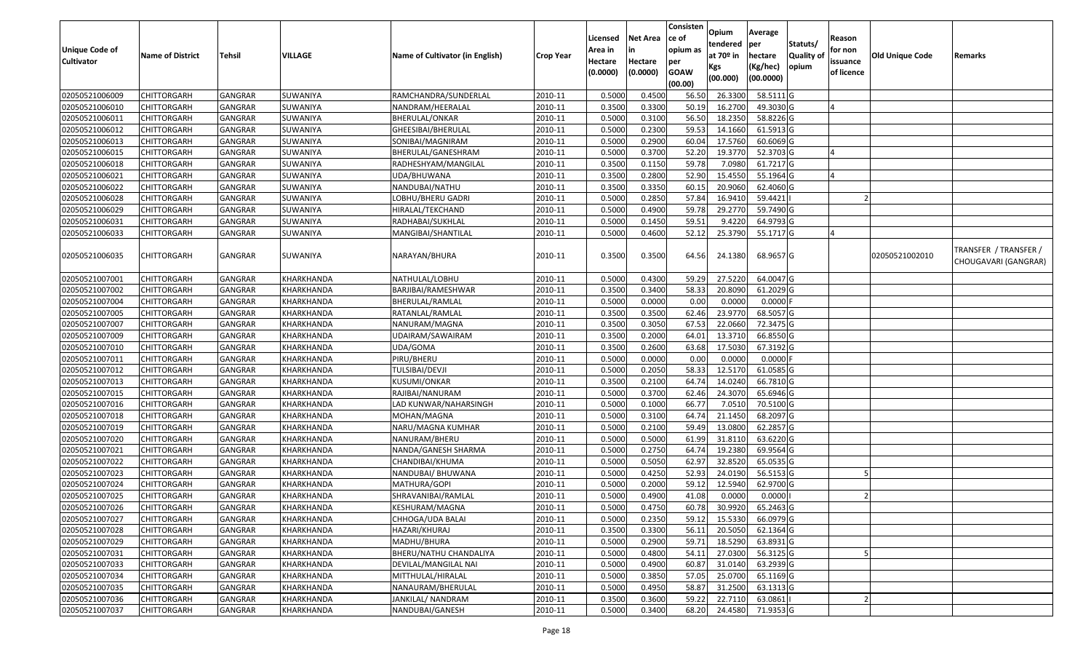|                       |                         |                |            |                                 |                  |          |                 | Consisten          | Opium         | Average     |                  |            |                 |                       |
|-----------------------|-------------------------|----------------|------------|---------------------------------|------------------|----------|-----------------|--------------------|---------------|-------------|------------------|------------|-----------------|-----------------------|
|                       |                         |                |            |                                 |                  | Licensed | <b>Net Area</b> | ce of              | tendered      | per         | Statuts/         | Reason     |                 |                       |
| <b>Unique Code of</b> | <b>Name of District</b> | <b>Tehsil</b>  | VILLAGE    | Name of Cultivator (in English) | <b>Crop Year</b> | Area in  |                 | opium as           | at $70°$ in   | hectare     | <b>Quality o</b> | for non    | Old Unique Code | Remarks               |
| <b>Cultivator</b>     |                         |                |            |                                 |                  | Hectare  | Hectare         | per<br><b>GOAW</b> | Kgs           | (Kg/hec)    | opium            | issuance   |                 |                       |
|                       |                         |                |            |                                 |                  | (0.0000) | (0.0000)        | (00.00)            | (00.000)      | (00.0000)   |                  | of licence |                 |                       |
| 02050521006009        | <b>CHITTORGARH</b>      | GANGRAR        | SUWANIYA   | RAMCHANDRA/SUNDERLAL            | 2010-11          | 0.5000   | 0.4500          | 56.50              | 26.3300       | 58.5111 G   |                  |            |                 |                       |
| 02050521006010        | CHITTORGARH             | GANGRAR        | SUWANIYA   | NANDRAM/HEERALAL                | 2010-11          | 0.3500   | 0.3300          | 50.19              | 16.2700       | 49.3030 G   |                  |            |                 |                       |
| 02050521006011        | <b>CHITTORGARH</b>      | GANGRAR        | SUWANIYA   | BHERULAL/ONKAR                  | 2010-11          | 0.5000   | 0.3100          | 56.50              | 18.2350       | 58.8226 G   |                  |            |                 |                       |
| 02050521006012        | <b>CHITTORGARH</b>      | <b>GANGRAR</b> | SUWANIYA   | GHEESIBAI/BHERULAL              | 2010-11          | 0.5000   | 0.2300          | 59.53              | 14.1660       | 61.5913 G   |                  |            |                 |                       |
| 02050521006013        | CHITTORGARH             | GANGRAR        | SUWANIYA   | SONIBAI/MAGNIRAM                | 2010-11          | 0.5000   | 0.2900          | 60.04              | 17.5760       | 60.6069 G   |                  |            |                 |                       |
| 02050521006015        | <b>CHITTORGARH</b>      | GANGRAR        | SUWANIYA   | BHERULAL/GANESHRAM              | 2010-11          | 0.5000   | 0.3700          | 52.20              | 19.3770       | 52.3703 G   |                  |            |                 |                       |
| 02050521006018        | CHITTORGARH             | GANGRAR        | SUWANIYA   | RADHESHYAM/MANGILAL             | 2010-11          | 0.3500   | 0.1150          | 59.78              | 7.0980        | 61.7217 G   |                  |            |                 |                       |
| 02050521006021        | CHITTORGARH             | GANGRAR        | SUWANIYA   | UDA/BHUWANA                     | 2010-11          | 0.3500   | 0.2800          | 52.90              | 15.4550       | 55.1964 G   |                  |            |                 |                       |
| 02050521006022        | CHITTORGARH             | GANGRAR        | SUWANIYA   | NANDUBAI/NATHU                  | 2010-11          | 0.3500   | 0.3350          | 60.1               | 20.9060       | 62.4060 G   |                  |            |                 |                       |
| 02050521006028        | CHITTORGARH             | GANGRAR        | SUWANIYA   | LOBHU/BHERU GADRI               | 2010-11          | 0.5000   | 0.2850          | 57.84              | 16.9410       | 59.4421     |                  |            |                 |                       |
| 02050521006029        | CHITTORGARH             | GANGRAR        | SUWANIYA   | HIRALAL/TEKCHAND                | 2010-11          | 0.5000   | 0.4900          | 59.78              | 29.2770       | 59.7490 G   |                  |            |                 |                       |
| 02050521006031        | <b>CHITTORGARH</b>      | <b>GANGRAR</b> | SUWANIYA   | RADHABAI/SUKHLAL                | 2010-11          | 0.5000   | 0.1450          | 59.51              | 9.4220        | 64.9793 G   |                  |            |                 |                       |
| 02050521006033        | CHITTORGARH             | GANGRAR        | SUWANIYA   | MANGIBAI/SHANTILAL              | 2010-11          | 0.5000   | 0.4600          | 52.12              | 25.3790       | 55.1717 G   |                  |            |                 |                       |
|                       |                         |                |            |                                 |                  |          |                 |                    |               |             |                  |            |                 | TRANSFER / TRANSFER / |
| 02050521006035        | CHITTORGARH             | GANGRAR        | SUWANIYA   | NARAYAN/BHURA                   | 2010-11          | 0.3500   | 0.3500          | 64.56              | 24.1380       | 68.9657 G   |                  |            | 02050521002010  | CHOUGAVARI (GANGRAR)  |
|                       |                         |                |            |                                 |                  |          |                 |                    |               |             |                  |            |                 |                       |
| 02050521007001        | <b>CHITTORGARH</b>      | GANGRAR        | KHARKHANDA | NATHULAL/LOBHU                  | 2010-11          | 0.5000   | 0.4300          | 59.29              | 27.5220       | 64.0047 G   |                  |            |                 |                       |
| 02050521007002        | <b>CHITTORGARH</b>      | GANGRAR        | KHARKHANDA | BARJIBAI/RAMESHWAR              | 2010-11          | 0.3500   | 0.3400          | 58.33              | 20.8090       | 61.2029 G   |                  |            |                 |                       |
| 02050521007004        | CHITTORGARH             | GANGRAR        | KHARKHANDA | BHERULAL/RAMLAL                 | 2010-11          | 0.500    | 0.0000          | 0.00               | 0.0000        | 0.0000      |                  |            |                 |                       |
| 02050521007005        | CHITTORGARH             | GANGRAR        | KHARKHANDA | RATANLAL/RAMLAL                 | 2010-11          | 0.3500   | 0.3500          | 62.46              | 23.9770       | 68.5057 G   |                  |            |                 |                       |
| 02050521007007        | <b>CHITTORGARH</b>      | GANGRAR        | KHARKHANDA | NANURAM/MAGNA                   | 2010-11          | 0.3500   | 0.3050          | 67.53              | 22.0660       | 72.3475 G   |                  |            |                 |                       |
| 02050521007009        | <b>CHITTORGARH</b>      | GANGRAR        | KHARKHANDA | UDAIRAM/SAWAIRAM                | 2010-11          | 0.3500   | 0.2000          | 64.01              | 13.3710       | 66.8550 G   |                  |            |                 |                       |
| 02050521007010        | <b>CHITTORGARH</b>      | GANGRAR        | KHARKHANDA | UDA/GOMA                        | 2010-11          | 0.3500   | 0.2600          | 63.68              | 17.5030       | 67.3192 G   |                  |            |                 |                       |
| 02050521007011        | CHITTORGARH             | GANGRAR        | KHARKHANDA | PIRU/BHERU                      | 2010-11          | 0.5000   | 0.0000          | 0.00               | 0.0000        | 0.0000      |                  |            |                 |                       |
| 02050521007012        | <b>CHITTORGARH</b>      | <b>GANGRAR</b> | KHARKHANDA | TULSIBAI/DEVJI                  | 2010-11          | 0.5000   | 0.2050          | 58.33              | 12.5170       | 61.0585 G   |                  |            |                 |                       |
| 02050521007013        | CHITTORGARH             | GANGRAR        | KHARKHANDA | KUSUMI/ONKAR                    | 2010-11          | 0.3500   | 0.2100          | 64.74              | 14.0240       | 66.7810 G   |                  |            |                 |                       |
| 02050521007015        | CHITTORGARH             | GANGRAR        | KHARKHANDA | RAJIBAI/NANURAM                 | 2010-11          | 0.5000   | 0.3700          | 62.46              | 24.3070       | 65.6946 G   |                  |            |                 |                       |
| 02050521007016        | CHITTORGARH             | GANGRAR        | KHARKHANDA | LAD KUNWAR/NAHARSINGH           | 2010-11          | 0.5000   | 0.1000          | 66.77              | 7.051         | 70.5100G    |                  |            |                 |                       |
| 02050521007018        | <b>CHITTORGARH</b>      | GANGRAR        | KHARKHANDA | MOHAN/MAGNA                     | 2010-11          | 0.5000   | 0.3100          | 64.74              | 21.1450       | 68.2097 G   |                  |            |                 |                       |
| 02050521007019        | CHITTORGARH             | GANGRAR        | KHARKHANDA | NARU/MAGNA KUMHAR               | 2010-11          | 0.5000   | 0.2100          | 59.49              | 13.0800       | 62.2857 G   |                  |            |                 |                       |
| 02050521007020        | CHITTORGARH             | GANGRAR        | KHARKHANDA | NANURAM/BHERU                   | 2010-11          | 0.5000   | 0.5000          | 61.99              | 31.8110       | 63.6220 G   |                  |            |                 |                       |
| 02050521007021        | CHITTORGARH             | GANGRAR        | KHARKHANDA | NANDA/GANESH SHARMA             | 2010-11          | 0.5000   | 0.2750          | 64.7               | 19.2380       | 69.9564 G   |                  |            |                 |                       |
| 02050521007022        | CHITTORGARH             | GANGRAR        | KHARKHANDA | CHANDIBAI/KHUMA                 | 2010-11          | 0.5000   | 0.5050          | 62.97              | 32.8520       | 65.0535 G   |                  |            |                 |                       |
| 02050521007023        | <b>CHITTORGARH</b>      | <b>GANGRAR</b> | KHARKHANDA | NANDUBAI/ BHUWANA               | 2010-11          | 0.5000   | 0.4250          | 52.93              | 24.0190       | 56.5153 G   |                  |            |                 |                       |
| 02050521007024        | <b>CHITTORGARH</b>      | GANGRAR        | KHARKHANDA | MATHURA/GOPI                    | 2010-11          | 0.500    | 0.2000          | 59.12              | 12.5940       | 62.9700 G   |                  |            |                 |                       |
| 02050521007025        | <b>CHITTORGARH</b>      | GANGRAR        | KHARKHANDA | SHRAVANIBAI/RAMLAL              | 2010-11          | 0.5000   | 0.4900          | 41.08              | 0.0000        | 0.0000      |                  |            |                 |                       |
| 02050521007026        | <b>CHITTORGARH</b>      | GANGRAR        | KHARKHANDA | KESHURAM/MAGNA                  | 2010-11          | 0.5000   | 0.4750          |                    | 60.78 30.9920 | 65.2463 G   |                  |            |                 |                       |
| 02050521007027        | <b>CHITTORGARH</b>      | <b>GANGRAR</b> | KHARKHANDA | CHHOGA/UDA BALAI                | 2010-11          | 0.5000   | 0.2350          | 59.12              | 15.5330       | 66.0979 G   |                  |            |                 |                       |
| 02050521007028        | <b>CHITTORGARH</b>      | GANGRAR        | KHARKHANDA | HAZARI/KHURAJ                   | 2010-11          | 0.3500   | 0.3300          | 56.11              | 20.5050       | 62.1364 G   |                  |            |                 |                       |
| 02050521007029        | <b>CHITTORGARH</b>      | GANGRAR        | KHARKHANDA | MADHU/BHURA                     | 2010-11          | 0.5000   | 0.2900          | 59.71              | 18.5290       | $63.8931$ G |                  |            |                 |                       |
| 02050521007031        | CHITTORGARH             | GANGRAR        | KHARKHANDA | BHERU/NATHU CHANDALIYA          | 2010-11          | 0.5000   | 0.4800          | 54.11              | 27.0300       | 56.3125 G   |                  |            |                 |                       |
| 02050521007033        | <b>CHITTORGARH</b>      | GANGRAR        | KHARKHANDA | DEVILAL/MANGILAL NAI            | 2010-11          | 0.5000   | 0.4900          | 60.87              | 31.0140       | 63.2939 G   |                  |            |                 |                       |
| 02050521007034        | <b>CHITTORGARH</b>      | GANGRAR        | KHARKHANDA | MITTHULAL/HIRALAL               | 2010-11          | 0.5000   | 0.3850          | 57.05              | 25.0700       | 65.1169 G   |                  |            |                 |                       |
| 02050521007035        | <b>CHITTORGARH</b>      | GANGRAR        | KHARKHANDA | NANAURAM/BHERULAL               | 2010-11          | 0.5000   | 0.4950          | 58.87              | 31.2500       | 63.1313 G   |                  |            |                 |                       |
| 02050521007036        | <b>CHITTORGARH</b>      | GANGRAR        | KHARKHANDA | JANKILAL/ NANDRAM               | 2010-11          | 0.3500   | 0.3600          | 59.22              | 22.7110       | 63.0861     |                  |            |                 |                       |
| 02050521007037        | <b>CHITTORGARH</b>      | GANGRAR        | KHARKHANDA | NANDUBAI/GANESH                 | 2010-11          | 0.5000   | 0.3400          | 68.20              | 24.4580       | 71.9353 G   |                  |            |                 |                       |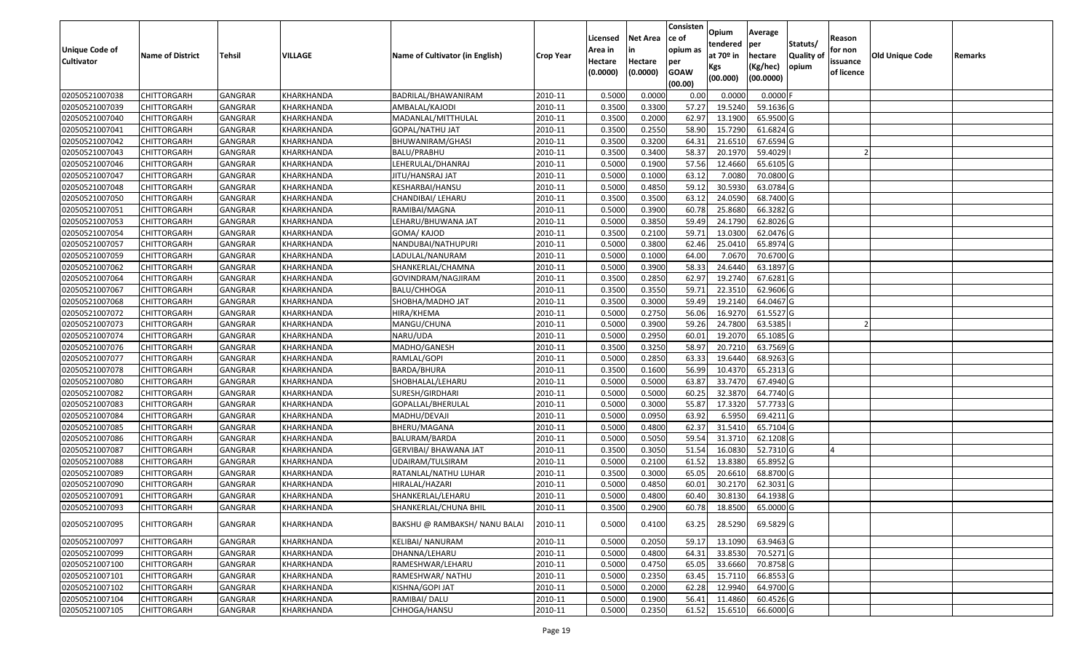| (00.0000)<br>(00.000)<br>(00.00)<br>GANGRAR<br>BADRILAL/BHAWANIRAM<br>0.5000<br>0.0000<br>0.0000<br>0.0000<br>02050521007038<br><b>CHITTORGARH</b><br>KHARKHANDA<br>2010-11<br>0.00<br>02050521007039<br>0.3500<br>0.3300<br>57.27<br>19.5240<br>59.1636 G<br><b>CHITTORGARH</b><br>GANGRAR<br>KHARKHANDA<br>AMBALAL/KAJODI<br>2010-11<br>62.97<br>0.3500<br>0.2000<br>13.1900<br>65.9500 G<br>02050521007040<br><b>CHITTORGARH</b><br>GANGRAR<br>2010-11<br>KHARKHANDA<br>MADANLAL/MITTHULAL<br>0.2550<br>15.7290<br>02050521007041<br><b>CHITTORGARH</b><br><b>GANGRAR</b><br>KHARKHANDA<br>2010-11<br>0.3500<br>58.90<br>61.6824 G<br>GOPAL/NATHU JAT<br>02050521007042<br>2010-11<br>0.3500<br>0.3200<br>21.6510<br>67.6594 G<br><b>CHITTORGARH</b><br>GANGRAR<br>KHARKHANDA<br>BHUWANIRAM/GHASI<br>64.3<br>0.3500<br>58.37<br>20.1970<br>02050521007043<br><b>GANGRAR</b><br>2010-11<br>0.3400<br>59.4029<br><b>CHITTORGARH</b><br>KHARKHANDA<br>BALU/PRABHU<br>57.56<br>0.5000<br>0.1900<br>12.4660<br>02050521007046<br>GANGRAR<br>2010-11<br>65.6105 G<br>CHITTORGARH<br>KHARKHANDA<br>LEHERULAL/DHANRAJ<br>02050521007047<br>GANGRAR<br>KHARKHANDA<br>JITU/HANSRAJ JAT<br>2010-11<br>0.5000<br>0.1000<br>63.12<br>7.0080<br>70.0800 G<br><b>CHITTORGARH</b><br>30.5930<br>02050521007048<br>GANGRAR<br>KESHARBAI/HANSU<br>2010-11<br>0.5000<br>0.4850<br>59.12<br>63.0784 G<br><b>CHITTORGARH</b><br>KHARKHANDA<br>02050521007050<br>GANGRAR<br>2010-11<br>0.3500<br>0.3500<br>63.12<br>24.0590<br>68.7400 G<br><b>CHITTORGARH</b><br>KHARKHANDA<br>CHANDIBAI/ LEHARU<br>0.5000<br>0.3900<br>GANGRAR<br>2010-11<br>60.78<br>25.8680<br>66.3282 G<br>02050521007051<br><b>CHITTORGARH</b><br>KHARKHANDA<br>RAMIBAI/MAGNA<br>02050521007053<br>GANGRAR<br>KHARKHANDA<br>2010-11<br>0.5000<br>0.3850<br>59.49<br>24.1790<br>62.8026 G<br><b>CHITTORGARH</b><br>LEHARU/BHUWANA JAT<br>0.3500<br>59.71<br>13.0300<br>02050521007054<br>GANGRAR<br>0.2100<br>62.0476 G<br><b>CHITTORGARH</b><br>KHARKHANDA<br>GOMA/KAJOD<br>2010-11<br>02050521007057<br>GANGRAR<br>2010-11<br>0.5000<br>0.3800<br>62.46<br>25.0410<br>65.8974 G<br><b>CHITTORGARH</b><br>KHARKHANDA<br>NANDUBAI/NATHUPURI<br>0.5000<br>0.1000<br>64.00<br>7.0670<br>02050521007059<br>GANGRAR<br>KHARKHANDA<br>2010-11<br>70.6700 G<br>CHITTORGARH<br>LADULAL/NANURAM<br>0.3900<br>58.33<br>02050521007062<br>2010-11<br>0.5000<br>24.6440<br>63.1897 G<br><b>CHITTORGARH</b><br>GANGRAR<br>KHARKHANDA<br>SHANKERLAL/CHAMNA<br>0.3500<br>0.2850<br>19.2740<br>02050521007064<br>62.97<br>67.6281 G<br><b>CHITTORGARH</b><br>GANGRAR<br>KHARKHANDA<br>GOVINDRAM/NAGJIRAM<br>2010-11<br>02050521007067<br>0.3500<br>0.3550<br>59.7<br>22.3510<br>62.9606 G<br><b>CHITTORGARH</b><br>GANGRAR<br>KHARKHANDA<br>BALU/CHHOGA<br>2010-11<br>0.3500<br>19.2140<br>02050521007068<br>0.3000<br>59.49<br>64.0467 G<br><b>CHITTORGARH</b><br>GANGRAR<br>KHARKHANDA<br>SHOBHA/MADHO JAT<br>2010-11<br>2010-11<br>0.5000<br>0.2750<br>56.06<br>16.9270<br>61.5527 G<br>02050521007072<br><b>CHITTORGARH</b><br><b>GANGRAR</b><br>KHARKHANDA<br>HIRA/KHEMA<br>0.5000<br>0.3900<br>59.26<br>24.7800<br>02050521007073<br>MANGU/CHUNA<br>2010-11<br>63.5385<br><b>CHITTORGARH</b><br>GANGRAR<br>KHARKHANDA<br>02050521007074<br>0.5000<br>0.2950<br>60.01<br>19.2070<br>65.1085 G<br><b>CHITTORGARH</b><br>GANGRAR<br>KHARKHANDA<br>NARU/UDA<br>2010-11<br>02050521007076<br>0.3500<br>0.3250<br>58.97<br>20.7210<br>63.7569 G<br><b>CHITTORGARH</b><br>GANGRAR<br>KHARKHANDA<br>MADHO/GANESH<br>2010-11<br>0.5000<br>0.2850<br>63.33<br>19.6440<br>68.9263 G<br>02050521007077<br><b>CHITTORGARH</b><br>GANGRAR<br>KHARKHANDA<br>RAMLAL/GOPI<br>2010-11<br>02050521007078<br><b>GANGRAR</b><br>BARDA/BHURA<br>2010-11<br>0.3500<br>0.1600<br>56.99<br>10.4370<br>65.2313 G<br><b>CHITTORGARH</b><br>KHARKHANDA<br>02050521007080<br>2010-11<br>0.5000<br>0.5000<br>63.87<br>33.7470<br>67.4940 G<br><b>CHITTORGARH</b><br>GANGRAR<br>KHARKHANDA<br>SHOBHALAL/LEHARU<br>02050521007082<br><b>GANGRAR</b><br>2010-11<br>0.5000<br>0.5000<br>60.25<br>32.3870<br>64.7740 G<br><b>CHITTORGARH</b><br>KHARKHANDA<br>SURESH/GIRDHARI<br>0.5000<br>0.3000<br>55.87<br>17.3320<br>57.7733 G<br>02050521007083<br><b>CHITTORGARH</b><br>GANGRAR<br>KHARKHANDA<br>GOPALLAL/BHERULAL<br>2010-11<br>02050521007084<br><b>CHITTORGARH</b><br><b>GANGRAR</b><br>2010-11<br>0.5000<br>0.0950<br>63.92<br>6.5950<br>69.4211 G<br>KHARKHANDA<br>MADHU/DEVAJI<br>02050521007085<br><b>GANGRAR</b><br>BHERU/MAGANA<br>2010-11<br>0.5000<br>0.4800<br>62.37<br>31.5410<br>65.7104 G<br><b>CHITTORGARH</b><br>KHARKHANDA<br>0.5000<br>31.3710<br>02050521007086<br>GANGRAR<br>2010-11<br>0.5050<br>59.54<br>62.1208 G<br><b>CHITTORGARH</b><br>KHARKHANDA<br>BALURAM/BARDA<br>0.3500<br>0.3050<br>51.54<br>16.0830<br>52.7310 G<br>02050521007087<br>GANGRAR<br>KHARKHANDA<br><b>GERVIBAI/ BHAWANA JAT</b><br>2010-11<br>CHITTORGARH<br>02050521007088<br>GANGRAR<br>2010-11<br>0.5000<br>0.2100<br>61.52<br>13.8380<br>65.8952 G<br><b>CHITTORGARH</b><br>KHARKHANDA<br>UDAIRAM/TULSIRAM<br><b>GANGRAR</b><br>0.3500<br>0.3000<br>20.6610<br>68.8700 G<br>02050521007089<br><b>CHITTORGARH</b><br>KHARKHANDA<br>RATANLAL/NATHU LUHAR<br>2010-11<br>65.05<br>02050521007090<br>GANGRAR<br>HIRALAL/HAZARI<br>0.5000<br>0.4850<br>60.0<br>30.2170<br>62.3031 G<br>CHITTORGARH<br>KHARKHANDA<br>2010-11<br>0.5000<br>0.4800<br>60.40<br>30.8130<br>64.1938 G<br>02050521007091<br><b>CHITTORGARH</b><br>GANGRAR<br>2010-11<br>KHARKHANDA<br>SHANKERLAL/LEHARU<br>2010-11<br>0.3500<br>18.8500<br>65.0000G<br>02050521007093<br><b>CHITTORGARH</b><br><b>GANGRAR</b><br>KHARKHANDA<br>SHANKERLAL/CHUNA BHIL<br>0.2900<br>60.78<br>28.5290<br>02050521007095<br><b>CHITTORGARH</b><br><b>GANGRAR</b><br>KHARKHANDA<br>BAKSHU @ RAMBAKSH/ NANU BALAI<br>2010-11<br>0.5000<br>0.4100<br>63.25<br>69.5829 G<br>02050521007097<br><b>CHITTORGARH</b><br><b>GANGRAR</b><br>KHARKHANDA<br>KELIBAI/ NANURAM<br>2010-11<br>0.5000<br>0.2050<br>59.17<br>13.1090<br>63.9463 G<br>70.5271 G<br>GANGRAR<br>2010-11<br>0.5000<br>0.4800<br>64.31<br>33.8530<br>02050521007099<br><b>CHITTORGARH</b><br>KHARKHANDA<br>DHANNA/LEHARU<br>0.4750<br>33.6660<br>70.8758 G<br>02050521007100<br><b>CHITTORGARH</b><br>KHARKHANDA<br>RAMESHWAR/LEHARU<br>2010-11<br>0.5000<br>65.05<br>GANGRAR<br>66.8553 G<br>02050521007101<br>RAMESHWAR/ NATHU<br>2010-11<br>0.5000<br>0.2350<br>15.7110<br><b>CHITTORGARH</b><br>GANGRAR<br>KHARKHANDA<br>63.45<br>12.9940<br>02050521007102<br>0.5000<br>0.2000<br>62.28<br>64.9700 G<br><b>CHITTORGARH</b><br>GANGRAR<br>KHARKHANDA<br>KISHNA/GOPI JAT<br>2010-11<br>60.4526 G<br>0.5000<br>0.1900<br>56.41<br>11.4860<br>02050521007104<br><b>CHITTORGARH</b><br>GANGRAR<br>KHARKHANDA<br>RAMIBAI/ DALU<br>2010-11 | <b>Unique Code of</b><br><b>Cultivator</b> | <b>Name of District</b> | Tehsil  | VILLAGE    | Name of Cultivator (in English) | <b>Crop Year</b> | Licensed<br>Area in<br>Hectare | <b>Net Area</b><br>in<br>Hectare | Consisten<br>lce of<br>opium as<br>per | Opium<br>tendered<br>at 70º in<br>Kgs | Average<br>per<br>hectare<br>(Kg/hec) | Statuts/<br><b>Quality o</b><br>opium | Reason<br>for non<br>issuance | Old Unique Code | Remarks |
|-------------------------------------------------------------------------------------------------------------------------------------------------------------------------------------------------------------------------------------------------------------------------------------------------------------------------------------------------------------------------------------------------------------------------------------------------------------------------------------------------------------------------------------------------------------------------------------------------------------------------------------------------------------------------------------------------------------------------------------------------------------------------------------------------------------------------------------------------------------------------------------------------------------------------------------------------------------------------------------------------------------------------------------------------------------------------------------------------------------------------------------------------------------------------------------------------------------------------------------------------------------------------------------------------------------------------------------------------------------------------------------------------------------------------------------------------------------------------------------------------------------------------------------------------------------------------------------------------------------------------------------------------------------------------------------------------------------------------------------------------------------------------------------------------------------------------------------------------------------------------------------------------------------------------------------------------------------------------------------------------------------------------------------------------------------------------------------------------------------------------------------------------------------------------------------------------------------------------------------------------------------------------------------------------------------------------------------------------------------------------------------------------------------------------------------------------------------------------------------------------------------------------------------------------------------------------------------------------------------------------------------------------------------------------------------------------------------------------------------------------------------------------------------------------------------------------------------------------------------------------------------------------------------------------------------------------------------------------------------------------------------------------------------------------------------------------------------------------------------------------------------------------------------------------------------------------------------------------------------------------------------------------------------------------------------------------------------------------------------------------------------------------------------------------------------------------------------------------------------------------------------------------------------------------------------------------------------------------------------------------------------------------------------------------------------------------------------------------------------------------------------------------------------------------------------------------------------------------------------------------------------------------------------------------------------------------------------------------------------------------------------------------------------------------------------------------------------------------------------------------------------------------------------------------------------------------------------------------------------------------------------------------------------------------------------------------------------------------------------------------------------------------------------------------------------------------------------------------------------------------------------------------------------------------------------------------------------------------------------------------------------------------------------------------------------------------------------------------------------------------------------------------------------------------------------------------------------------------------------------------------------------------------------------------------------------------------------------------------------------------------------------------------------------------------------------------------------------------------------------------------------------------------------------------------------------------------------------------------------------------------------------------------------------------------------------------------------------------------------------------------------------------------------------------------------------------------------------------------------------------------------------------------------------------------------------------------------------------------------------------------------------------------------------------------------------------------------------------------------------------------------------------------------------------------------------------------------------------------------------------------------------------------------------------------------------------------------------------------------------------------------------------------------------------------------------------------------------------------------------------------------------------------------------------------------------------------------------------------------------------------------------------------------------------------------------------------------------------------------------------------------------------------------------------------------------------------------------------------------------------------------------------------------------------------------------------------------------------------------------------------------------------------------------------------------------------------------------------------------------------------------------------------------------------------------------------------------------------------------------|--------------------------------------------|-------------------------|---------|------------|---------------------------------|------------------|--------------------------------|----------------------------------|----------------------------------------|---------------------------------------|---------------------------------------|---------------------------------------|-------------------------------|-----------------|---------|
|                                                                                                                                                                                                                                                                                                                                                                                                                                                                                                                                                                                                                                                                                                                                                                                                                                                                                                                                                                                                                                                                                                                                                                                                                                                                                                                                                                                                                                                                                                                                                                                                                                                                                                                                                                                                                                                                                                                                                                                                                                                                                                                                                                                                                                                                                                                                                                                                                                                                                                                                                                                                                                                                                                                                                                                                                                                                                                                                                                                                                                                                                                                                                                                                                                                                                                                                                                                                                                                                                                                                                                                                                                                                                                                                                                                                                                                                                                                                                                                                                                                                                                                                                                                                                                                                                                                                                                                                                                                                                                                                                                                                                                                                                                                                                                                                                                                                                                                                                                                                                                                                                                                                                                                                                                                                                                                                                                                                                                                                                                                                                                                                                                                                                                                                                                                                                                                                                                                                                                                                                                                                                                                                                                                                                                                                                                                                                                                                                                                                                                                                                                                                                                                                                                                                                                                                                                                                   |                                            |                         |         |            |                                 |                  | (0.0000)                       | (0.0000)                         | <b>GOAW</b>                            |                                       |                                       |                                       | of licence                    |                 |         |
|                                                                                                                                                                                                                                                                                                                                                                                                                                                                                                                                                                                                                                                                                                                                                                                                                                                                                                                                                                                                                                                                                                                                                                                                                                                                                                                                                                                                                                                                                                                                                                                                                                                                                                                                                                                                                                                                                                                                                                                                                                                                                                                                                                                                                                                                                                                                                                                                                                                                                                                                                                                                                                                                                                                                                                                                                                                                                                                                                                                                                                                                                                                                                                                                                                                                                                                                                                                                                                                                                                                                                                                                                                                                                                                                                                                                                                                                                                                                                                                                                                                                                                                                                                                                                                                                                                                                                                                                                                                                                                                                                                                                                                                                                                                                                                                                                                                                                                                                                                                                                                                                                                                                                                                                                                                                                                                                                                                                                                                                                                                                                                                                                                                                                                                                                                                                                                                                                                                                                                                                                                                                                                                                                                                                                                                                                                                                                                                                                                                                                                                                                                                                                                                                                                                                                                                                                                                                   |                                            |                         |         |            |                                 |                  |                                |                                  |                                        |                                       |                                       |                                       |                               |                 |         |
|                                                                                                                                                                                                                                                                                                                                                                                                                                                                                                                                                                                                                                                                                                                                                                                                                                                                                                                                                                                                                                                                                                                                                                                                                                                                                                                                                                                                                                                                                                                                                                                                                                                                                                                                                                                                                                                                                                                                                                                                                                                                                                                                                                                                                                                                                                                                                                                                                                                                                                                                                                                                                                                                                                                                                                                                                                                                                                                                                                                                                                                                                                                                                                                                                                                                                                                                                                                                                                                                                                                                                                                                                                                                                                                                                                                                                                                                                                                                                                                                                                                                                                                                                                                                                                                                                                                                                                                                                                                                                                                                                                                                                                                                                                                                                                                                                                                                                                                                                                                                                                                                                                                                                                                                                                                                                                                                                                                                                                                                                                                                                                                                                                                                                                                                                                                                                                                                                                                                                                                                                                                                                                                                                                                                                                                                                                                                                                                                                                                                                                                                                                                                                                                                                                                                                                                                                                                                   |                                            |                         |         |            |                                 |                  |                                |                                  |                                        |                                       |                                       |                                       |                               |                 |         |
|                                                                                                                                                                                                                                                                                                                                                                                                                                                                                                                                                                                                                                                                                                                                                                                                                                                                                                                                                                                                                                                                                                                                                                                                                                                                                                                                                                                                                                                                                                                                                                                                                                                                                                                                                                                                                                                                                                                                                                                                                                                                                                                                                                                                                                                                                                                                                                                                                                                                                                                                                                                                                                                                                                                                                                                                                                                                                                                                                                                                                                                                                                                                                                                                                                                                                                                                                                                                                                                                                                                                                                                                                                                                                                                                                                                                                                                                                                                                                                                                                                                                                                                                                                                                                                                                                                                                                                                                                                                                                                                                                                                                                                                                                                                                                                                                                                                                                                                                                                                                                                                                                                                                                                                                                                                                                                                                                                                                                                                                                                                                                                                                                                                                                                                                                                                                                                                                                                                                                                                                                                                                                                                                                                                                                                                                                                                                                                                                                                                                                                                                                                                                                                                                                                                                                                                                                                                                   |                                            |                         |         |            |                                 |                  |                                |                                  |                                        |                                       |                                       |                                       |                               |                 |         |
|                                                                                                                                                                                                                                                                                                                                                                                                                                                                                                                                                                                                                                                                                                                                                                                                                                                                                                                                                                                                                                                                                                                                                                                                                                                                                                                                                                                                                                                                                                                                                                                                                                                                                                                                                                                                                                                                                                                                                                                                                                                                                                                                                                                                                                                                                                                                                                                                                                                                                                                                                                                                                                                                                                                                                                                                                                                                                                                                                                                                                                                                                                                                                                                                                                                                                                                                                                                                                                                                                                                                                                                                                                                                                                                                                                                                                                                                                                                                                                                                                                                                                                                                                                                                                                                                                                                                                                                                                                                                                                                                                                                                                                                                                                                                                                                                                                                                                                                                                                                                                                                                                                                                                                                                                                                                                                                                                                                                                                                                                                                                                                                                                                                                                                                                                                                                                                                                                                                                                                                                                                                                                                                                                                                                                                                                                                                                                                                                                                                                                                                                                                                                                                                                                                                                                                                                                                                                   |                                            |                         |         |            |                                 |                  |                                |                                  |                                        |                                       |                                       |                                       |                               |                 |         |
|                                                                                                                                                                                                                                                                                                                                                                                                                                                                                                                                                                                                                                                                                                                                                                                                                                                                                                                                                                                                                                                                                                                                                                                                                                                                                                                                                                                                                                                                                                                                                                                                                                                                                                                                                                                                                                                                                                                                                                                                                                                                                                                                                                                                                                                                                                                                                                                                                                                                                                                                                                                                                                                                                                                                                                                                                                                                                                                                                                                                                                                                                                                                                                                                                                                                                                                                                                                                                                                                                                                                                                                                                                                                                                                                                                                                                                                                                                                                                                                                                                                                                                                                                                                                                                                                                                                                                                                                                                                                                                                                                                                                                                                                                                                                                                                                                                                                                                                                                                                                                                                                                                                                                                                                                                                                                                                                                                                                                                                                                                                                                                                                                                                                                                                                                                                                                                                                                                                                                                                                                                                                                                                                                                                                                                                                                                                                                                                                                                                                                                                                                                                                                                                                                                                                                                                                                                                                   |                                            |                         |         |            |                                 |                  |                                |                                  |                                        |                                       |                                       |                                       |                               |                 |         |
|                                                                                                                                                                                                                                                                                                                                                                                                                                                                                                                                                                                                                                                                                                                                                                                                                                                                                                                                                                                                                                                                                                                                                                                                                                                                                                                                                                                                                                                                                                                                                                                                                                                                                                                                                                                                                                                                                                                                                                                                                                                                                                                                                                                                                                                                                                                                                                                                                                                                                                                                                                                                                                                                                                                                                                                                                                                                                                                                                                                                                                                                                                                                                                                                                                                                                                                                                                                                                                                                                                                                                                                                                                                                                                                                                                                                                                                                                                                                                                                                                                                                                                                                                                                                                                                                                                                                                                                                                                                                                                                                                                                                                                                                                                                                                                                                                                                                                                                                                                                                                                                                                                                                                                                                                                                                                                                                                                                                                                                                                                                                                                                                                                                                                                                                                                                                                                                                                                                                                                                                                                                                                                                                                                                                                                                                                                                                                                                                                                                                                                                                                                                                                                                                                                                                                                                                                                                                   |                                            |                         |         |            |                                 |                  |                                |                                  |                                        |                                       |                                       |                                       |                               |                 |         |
|                                                                                                                                                                                                                                                                                                                                                                                                                                                                                                                                                                                                                                                                                                                                                                                                                                                                                                                                                                                                                                                                                                                                                                                                                                                                                                                                                                                                                                                                                                                                                                                                                                                                                                                                                                                                                                                                                                                                                                                                                                                                                                                                                                                                                                                                                                                                                                                                                                                                                                                                                                                                                                                                                                                                                                                                                                                                                                                                                                                                                                                                                                                                                                                                                                                                                                                                                                                                                                                                                                                                                                                                                                                                                                                                                                                                                                                                                                                                                                                                                                                                                                                                                                                                                                                                                                                                                                                                                                                                                                                                                                                                                                                                                                                                                                                                                                                                                                                                                                                                                                                                                                                                                                                                                                                                                                                                                                                                                                                                                                                                                                                                                                                                                                                                                                                                                                                                                                                                                                                                                                                                                                                                                                                                                                                                                                                                                                                                                                                                                                                                                                                                                                                                                                                                                                                                                                                                   |                                            |                         |         |            |                                 |                  |                                |                                  |                                        |                                       |                                       |                                       |                               |                 |         |
|                                                                                                                                                                                                                                                                                                                                                                                                                                                                                                                                                                                                                                                                                                                                                                                                                                                                                                                                                                                                                                                                                                                                                                                                                                                                                                                                                                                                                                                                                                                                                                                                                                                                                                                                                                                                                                                                                                                                                                                                                                                                                                                                                                                                                                                                                                                                                                                                                                                                                                                                                                                                                                                                                                                                                                                                                                                                                                                                                                                                                                                                                                                                                                                                                                                                                                                                                                                                                                                                                                                                                                                                                                                                                                                                                                                                                                                                                                                                                                                                                                                                                                                                                                                                                                                                                                                                                                                                                                                                                                                                                                                                                                                                                                                                                                                                                                                                                                                                                                                                                                                                                                                                                                                                                                                                                                                                                                                                                                                                                                                                                                                                                                                                                                                                                                                                                                                                                                                                                                                                                                                                                                                                                                                                                                                                                                                                                                                                                                                                                                                                                                                                                                                                                                                                                                                                                                                                   |                                            |                         |         |            |                                 |                  |                                |                                  |                                        |                                       |                                       |                                       |                               |                 |         |
|                                                                                                                                                                                                                                                                                                                                                                                                                                                                                                                                                                                                                                                                                                                                                                                                                                                                                                                                                                                                                                                                                                                                                                                                                                                                                                                                                                                                                                                                                                                                                                                                                                                                                                                                                                                                                                                                                                                                                                                                                                                                                                                                                                                                                                                                                                                                                                                                                                                                                                                                                                                                                                                                                                                                                                                                                                                                                                                                                                                                                                                                                                                                                                                                                                                                                                                                                                                                                                                                                                                                                                                                                                                                                                                                                                                                                                                                                                                                                                                                                                                                                                                                                                                                                                                                                                                                                                                                                                                                                                                                                                                                                                                                                                                                                                                                                                                                                                                                                                                                                                                                                                                                                                                                                                                                                                                                                                                                                                                                                                                                                                                                                                                                                                                                                                                                                                                                                                                                                                                                                                                                                                                                                                                                                                                                                                                                                                                                                                                                                                                                                                                                                                                                                                                                                                                                                                                                   |                                            |                         |         |            |                                 |                  |                                |                                  |                                        |                                       |                                       |                                       |                               |                 |         |
|                                                                                                                                                                                                                                                                                                                                                                                                                                                                                                                                                                                                                                                                                                                                                                                                                                                                                                                                                                                                                                                                                                                                                                                                                                                                                                                                                                                                                                                                                                                                                                                                                                                                                                                                                                                                                                                                                                                                                                                                                                                                                                                                                                                                                                                                                                                                                                                                                                                                                                                                                                                                                                                                                                                                                                                                                                                                                                                                                                                                                                                                                                                                                                                                                                                                                                                                                                                                                                                                                                                                                                                                                                                                                                                                                                                                                                                                                                                                                                                                                                                                                                                                                                                                                                                                                                                                                                                                                                                                                                                                                                                                                                                                                                                                                                                                                                                                                                                                                                                                                                                                                                                                                                                                                                                                                                                                                                                                                                                                                                                                                                                                                                                                                                                                                                                                                                                                                                                                                                                                                                                                                                                                                                                                                                                                                                                                                                                                                                                                                                                                                                                                                                                                                                                                                                                                                                                                   |                                            |                         |         |            |                                 |                  |                                |                                  |                                        |                                       |                                       |                                       |                               |                 |         |
|                                                                                                                                                                                                                                                                                                                                                                                                                                                                                                                                                                                                                                                                                                                                                                                                                                                                                                                                                                                                                                                                                                                                                                                                                                                                                                                                                                                                                                                                                                                                                                                                                                                                                                                                                                                                                                                                                                                                                                                                                                                                                                                                                                                                                                                                                                                                                                                                                                                                                                                                                                                                                                                                                                                                                                                                                                                                                                                                                                                                                                                                                                                                                                                                                                                                                                                                                                                                                                                                                                                                                                                                                                                                                                                                                                                                                                                                                                                                                                                                                                                                                                                                                                                                                                                                                                                                                                                                                                                                                                                                                                                                                                                                                                                                                                                                                                                                                                                                                                                                                                                                                                                                                                                                                                                                                                                                                                                                                                                                                                                                                                                                                                                                                                                                                                                                                                                                                                                                                                                                                                                                                                                                                                                                                                                                                                                                                                                                                                                                                                                                                                                                                                                                                                                                                                                                                                                                   |                                            |                         |         |            |                                 |                  |                                |                                  |                                        |                                       |                                       |                                       |                               |                 |         |
|                                                                                                                                                                                                                                                                                                                                                                                                                                                                                                                                                                                                                                                                                                                                                                                                                                                                                                                                                                                                                                                                                                                                                                                                                                                                                                                                                                                                                                                                                                                                                                                                                                                                                                                                                                                                                                                                                                                                                                                                                                                                                                                                                                                                                                                                                                                                                                                                                                                                                                                                                                                                                                                                                                                                                                                                                                                                                                                                                                                                                                                                                                                                                                                                                                                                                                                                                                                                                                                                                                                                                                                                                                                                                                                                                                                                                                                                                                                                                                                                                                                                                                                                                                                                                                                                                                                                                                                                                                                                                                                                                                                                                                                                                                                                                                                                                                                                                                                                                                                                                                                                                                                                                                                                                                                                                                                                                                                                                                                                                                                                                                                                                                                                                                                                                                                                                                                                                                                                                                                                                                                                                                                                                                                                                                                                                                                                                                                                                                                                                                                                                                                                                                                                                                                                                                                                                                                                   |                                            |                         |         |            |                                 |                  |                                |                                  |                                        |                                       |                                       |                                       |                               |                 |         |
|                                                                                                                                                                                                                                                                                                                                                                                                                                                                                                                                                                                                                                                                                                                                                                                                                                                                                                                                                                                                                                                                                                                                                                                                                                                                                                                                                                                                                                                                                                                                                                                                                                                                                                                                                                                                                                                                                                                                                                                                                                                                                                                                                                                                                                                                                                                                                                                                                                                                                                                                                                                                                                                                                                                                                                                                                                                                                                                                                                                                                                                                                                                                                                                                                                                                                                                                                                                                                                                                                                                                                                                                                                                                                                                                                                                                                                                                                                                                                                                                                                                                                                                                                                                                                                                                                                                                                                                                                                                                                                                                                                                                                                                                                                                                                                                                                                                                                                                                                                                                                                                                                                                                                                                                                                                                                                                                                                                                                                                                                                                                                                                                                                                                                                                                                                                                                                                                                                                                                                                                                                                                                                                                                                                                                                                                                                                                                                                                                                                                                                                                                                                                                                                                                                                                                                                                                                                                   |                                            |                         |         |            |                                 |                  |                                |                                  |                                        |                                       |                                       |                                       |                               |                 |         |
|                                                                                                                                                                                                                                                                                                                                                                                                                                                                                                                                                                                                                                                                                                                                                                                                                                                                                                                                                                                                                                                                                                                                                                                                                                                                                                                                                                                                                                                                                                                                                                                                                                                                                                                                                                                                                                                                                                                                                                                                                                                                                                                                                                                                                                                                                                                                                                                                                                                                                                                                                                                                                                                                                                                                                                                                                                                                                                                                                                                                                                                                                                                                                                                                                                                                                                                                                                                                                                                                                                                                                                                                                                                                                                                                                                                                                                                                                                                                                                                                                                                                                                                                                                                                                                                                                                                                                                                                                                                                                                                                                                                                                                                                                                                                                                                                                                                                                                                                                                                                                                                                                                                                                                                                                                                                                                                                                                                                                                                                                                                                                                                                                                                                                                                                                                                                                                                                                                                                                                                                                                                                                                                                                                                                                                                                                                                                                                                                                                                                                                                                                                                                                                                                                                                                                                                                                                                                   |                                            |                         |         |            |                                 |                  |                                |                                  |                                        |                                       |                                       |                                       |                               |                 |         |
|                                                                                                                                                                                                                                                                                                                                                                                                                                                                                                                                                                                                                                                                                                                                                                                                                                                                                                                                                                                                                                                                                                                                                                                                                                                                                                                                                                                                                                                                                                                                                                                                                                                                                                                                                                                                                                                                                                                                                                                                                                                                                                                                                                                                                                                                                                                                                                                                                                                                                                                                                                                                                                                                                                                                                                                                                                                                                                                                                                                                                                                                                                                                                                                                                                                                                                                                                                                                                                                                                                                                                                                                                                                                                                                                                                                                                                                                                                                                                                                                                                                                                                                                                                                                                                                                                                                                                                                                                                                                                                                                                                                                                                                                                                                                                                                                                                                                                                                                                                                                                                                                                                                                                                                                                                                                                                                                                                                                                                                                                                                                                                                                                                                                                                                                                                                                                                                                                                                                                                                                                                                                                                                                                                                                                                                                                                                                                                                                                                                                                                                                                                                                                                                                                                                                                                                                                                                                   |                                            |                         |         |            |                                 |                  |                                |                                  |                                        |                                       |                                       |                                       |                               |                 |         |
|                                                                                                                                                                                                                                                                                                                                                                                                                                                                                                                                                                                                                                                                                                                                                                                                                                                                                                                                                                                                                                                                                                                                                                                                                                                                                                                                                                                                                                                                                                                                                                                                                                                                                                                                                                                                                                                                                                                                                                                                                                                                                                                                                                                                                                                                                                                                                                                                                                                                                                                                                                                                                                                                                                                                                                                                                                                                                                                                                                                                                                                                                                                                                                                                                                                                                                                                                                                                                                                                                                                                                                                                                                                                                                                                                                                                                                                                                                                                                                                                                                                                                                                                                                                                                                                                                                                                                                                                                                                                                                                                                                                                                                                                                                                                                                                                                                                                                                                                                                                                                                                                                                                                                                                                                                                                                                                                                                                                                                                                                                                                                                                                                                                                                                                                                                                                                                                                                                                                                                                                                                                                                                                                                                                                                                                                                                                                                                                                                                                                                                                                                                                                                                                                                                                                                                                                                                                                   |                                            |                         |         |            |                                 |                  |                                |                                  |                                        |                                       |                                       |                                       |                               |                 |         |
|                                                                                                                                                                                                                                                                                                                                                                                                                                                                                                                                                                                                                                                                                                                                                                                                                                                                                                                                                                                                                                                                                                                                                                                                                                                                                                                                                                                                                                                                                                                                                                                                                                                                                                                                                                                                                                                                                                                                                                                                                                                                                                                                                                                                                                                                                                                                                                                                                                                                                                                                                                                                                                                                                                                                                                                                                                                                                                                                                                                                                                                                                                                                                                                                                                                                                                                                                                                                                                                                                                                                                                                                                                                                                                                                                                                                                                                                                                                                                                                                                                                                                                                                                                                                                                                                                                                                                                                                                                                                                                                                                                                                                                                                                                                                                                                                                                                                                                                                                                                                                                                                                                                                                                                                                                                                                                                                                                                                                                                                                                                                                                                                                                                                                                                                                                                                                                                                                                                                                                                                                                                                                                                                                                                                                                                                                                                                                                                                                                                                                                                                                                                                                                                                                                                                                                                                                                                                   |                                            |                         |         |            |                                 |                  |                                |                                  |                                        |                                       |                                       |                                       |                               |                 |         |
|                                                                                                                                                                                                                                                                                                                                                                                                                                                                                                                                                                                                                                                                                                                                                                                                                                                                                                                                                                                                                                                                                                                                                                                                                                                                                                                                                                                                                                                                                                                                                                                                                                                                                                                                                                                                                                                                                                                                                                                                                                                                                                                                                                                                                                                                                                                                                                                                                                                                                                                                                                                                                                                                                                                                                                                                                                                                                                                                                                                                                                                                                                                                                                                                                                                                                                                                                                                                                                                                                                                                                                                                                                                                                                                                                                                                                                                                                                                                                                                                                                                                                                                                                                                                                                                                                                                                                                                                                                                                                                                                                                                                                                                                                                                                                                                                                                                                                                                                                                                                                                                                                                                                                                                                                                                                                                                                                                                                                                                                                                                                                                                                                                                                                                                                                                                                                                                                                                                                                                                                                                                                                                                                                                                                                                                                                                                                                                                                                                                                                                                                                                                                                                                                                                                                                                                                                                                                   |                                            |                         |         |            |                                 |                  |                                |                                  |                                        |                                       |                                       |                                       |                               |                 |         |
|                                                                                                                                                                                                                                                                                                                                                                                                                                                                                                                                                                                                                                                                                                                                                                                                                                                                                                                                                                                                                                                                                                                                                                                                                                                                                                                                                                                                                                                                                                                                                                                                                                                                                                                                                                                                                                                                                                                                                                                                                                                                                                                                                                                                                                                                                                                                                                                                                                                                                                                                                                                                                                                                                                                                                                                                                                                                                                                                                                                                                                                                                                                                                                                                                                                                                                                                                                                                                                                                                                                                                                                                                                                                                                                                                                                                                                                                                                                                                                                                                                                                                                                                                                                                                                                                                                                                                                                                                                                                                                                                                                                                                                                                                                                                                                                                                                                                                                                                                                                                                                                                                                                                                                                                                                                                                                                                                                                                                                                                                                                                                                                                                                                                                                                                                                                                                                                                                                                                                                                                                                                                                                                                                                                                                                                                                                                                                                                                                                                                                                                                                                                                                                                                                                                                                                                                                                                                   |                                            |                         |         |            |                                 |                  |                                |                                  |                                        |                                       |                                       |                                       |                               |                 |         |
|                                                                                                                                                                                                                                                                                                                                                                                                                                                                                                                                                                                                                                                                                                                                                                                                                                                                                                                                                                                                                                                                                                                                                                                                                                                                                                                                                                                                                                                                                                                                                                                                                                                                                                                                                                                                                                                                                                                                                                                                                                                                                                                                                                                                                                                                                                                                                                                                                                                                                                                                                                                                                                                                                                                                                                                                                                                                                                                                                                                                                                                                                                                                                                                                                                                                                                                                                                                                                                                                                                                                                                                                                                                                                                                                                                                                                                                                                                                                                                                                                                                                                                                                                                                                                                                                                                                                                                                                                                                                                                                                                                                                                                                                                                                                                                                                                                                                                                                                                                                                                                                                                                                                                                                                                                                                                                                                                                                                                                                                                                                                                                                                                                                                                                                                                                                                                                                                                                                                                                                                                                                                                                                                                                                                                                                                                                                                                                                                                                                                                                                                                                                                                                                                                                                                                                                                                                                                   |                                            |                         |         |            |                                 |                  |                                |                                  |                                        |                                       |                                       |                                       |                               |                 |         |
|                                                                                                                                                                                                                                                                                                                                                                                                                                                                                                                                                                                                                                                                                                                                                                                                                                                                                                                                                                                                                                                                                                                                                                                                                                                                                                                                                                                                                                                                                                                                                                                                                                                                                                                                                                                                                                                                                                                                                                                                                                                                                                                                                                                                                                                                                                                                                                                                                                                                                                                                                                                                                                                                                                                                                                                                                                                                                                                                                                                                                                                                                                                                                                                                                                                                                                                                                                                                                                                                                                                                                                                                                                                                                                                                                                                                                                                                                                                                                                                                                                                                                                                                                                                                                                                                                                                                                                                                                                                                                                                                                                                                                                                                                                                                                                                                                                                                                                                                                                                                                                                                                                                                                                                                                                                                                                                                                                                                                                                                                                                                                                                                                                                                                                                                                                                                                                                                                                                                                                                                                                                                                                                                                                                                                                                                                                                                                                                                                                                                                                                                                                                                                                                                                                                                                                                                                                                                   |                                            |                         |         |            |                                 |                  |                                |                                  |                                        |                                       |                                       |                                       |                               |                 |         |
|                                                                                                                                                                                                                                                                                                                                                                                                                                                                                                                                                                                                                                                                                                                                                                                                                                                                                                                                                                                                                                                                                                                                                                                                                                                                                                                                                                                                                                                                                                                                                                                                                                                                                                                                                                                                                                                                                                                                                                                                                                                                                                                                                                                                                                                                                                                                                                                                                                                                                                                                                                                                                                                                                                                                                                                                                                                                                                                                                                                                                                                                                                                                                                                                                                                                                                                                                                                                                                                                                                                                                                                                                                                                                                                                                                                                                                                                                                                                                                                                                                                                                                                                                                                                                                                                                                                                                                                                                                                                                                                                                                                                                                                                                                                                                                                                                                                                                                                                                                                                                                                                                                                                                                                                                                                                                                                                                                                                                                                                                                                                                                                                                                                                                                                                                                                                                                                                                                                                                                                                                                                                                                                                                                                                                                                                                                                                                                                                                                                                                                                                                                                                                                                                                                                                                                                                                                                                   |                                            |                         |         |            |                                 |                  |                                |                                  |                                        |                                       |                                       |                                       |                               |                 |         |
|                                                                                                                                                                                                                                                                                                                                                                                                                                                                                                                                                                                                                                                                                                                                                                                                                                                                                                                                                                                                                                                                                                                                                                                                                                                                                                                                                                                                                                                                                                                                                                                                                                                                                                                                                                                                                                                                                                                                                                                                                                                                                                                                                                                                                                                                                                                                                                                                                                                                                                                                                                                                                                                                                                                                                                                                                                                                                                                                                                                                                                                                                                                                                                                                                                                                                                                                                                                                                                                                                                                                                                                                                                                                                                                                                                                                                                                                                                                                                                                                                                                                                                                                                                                                                                                                                                                                                                                                                                                                                                                                                                                                                                                                                                                                                                                                                                                                                                                                                                                                                                                                                                                                                                                                                                                                                                                                                                                                                                                                                                                                                                                                                                                                                                                                                                                                                                                                                                                                                                                                                                                                                                                                                                                                                                                                                                                                                                                                                                                                                                                                                                                                                                                                                                                                                                                                                                                                   |                                            |                         |         |            |                                 |                  |                                |                                  |                                        |                                       |                                       |                                       |                               |                 |         |
|                                                                                                                                                                                                                                                                                                                                                                                                                                                                                                                                                                                                                                                                                                                                                                                                                                                                                                                                                                                                                                                                                                                                                                                                                                                                                                                                                                                                                                                                                                                                                                                                                                                                                                                                                                                                                                                                                                                                                                                                                                                                                                                                                                                                                                                                                                                                                                                                                                                                                                                                                                                                                                                                                                                                                                                                                                                                                                                                                                                                                                                                                                                                                                                                                                                                                                                                                                                                                                                                                                                                                                                                                                                                                                                                                                                                                                                                                                                                                                                                                                                                                                                                                                                                                                                                                                                                                                                                                                                                                                                                                                                                                                                                                                                                                                                                                                                                                                                                                                                                                                                                                                                                                                                                                                                                                                                                                                                                                                                                                                                                                                                                                                                                                                                                                                                                                                                                                                                                                                                                                                                                                                                                                                                                                                                                                                                                                                                                                                                                                                                                                                                                                                                                                                                                                                                                                                                                   |                                            |                         |         |            |                                 |                  |                                |                                  |                                        |                                       |                                       |                                       |                               |                 |         |
|                                                                                                                                                                                                                                                                                                                                                                                                                                                                                                                                                                                                                                                                                                                                                                                                                                                                                                                                                                                                                                                                                                                                                                                                                                                                                                                                                                                                                                                                                                                                                                                                                                                                                                                                                                                                                                                                                                                                                                                                                                                                                                                                                                                                                                                                                                                                                                                                                                                                                                                                                                                                                                                                                                                                                                                                                                                                                                                                                                                                                                                                                                                                                                                                                                                                                                                                                                                                                                                                                                                                                                                                                                                                                                                                                                                                                                                                                                                                                                                                                                                                                                                                                                                                                                                                                                                                                                                                                                                                                                                                                                                                                                                                                                                                                                                                                                                                                                                                                                                                                                                                                                                                                                                                                                                                                                                                                                                                                                                                                                                                                                                                                                                                                                                                                                                                                                                                                                                                                                                                                                                                                                                                                                                                                                                                                                                                                                                                                                                                                                                                                                                                                                                                                                                                                                                                                                                                   |                                            |                         |         |            |                                 |                  |                                |                                  |                                        |                                       |                                       |                                       |                               |                 |         |
|                                                                                                                                                                                                                                                                                                                                                                                                                                                                                                                                                                                                                                                                                                                                                                                                                                                                                                                                                                                                                                                                                                                                                                                                                                                                                                                                                                                                                                                                                                                                                                                                                                                                                                                                                                                                                                                                                                                                                                                                                                                                                                                                                                                                                                                                                                                                                                                                                                                                                                                                                                                                                                                                                                                                                                                                                                                                                                                                                                                                                                                                                                                                                                                                                                                                                                                                                                                                                                                                                                                                                                                                                                                                                                                                                                                                                                                                                                                                                                                                                                                                                                                                                                                                                                                                                                                                                                                                                                                                                                                                                                                                                                                                                                                                                                                                                                                                                                                                                                                                                                                                                                                                                                                                                                                                                                                                                                                                                                                                                                                                                                                                                                                                                                                                                                                                                                                                                                                                                                                                                                                                                                                                                                                                                                                                                                                                                                                                                                                                                                                                                                                                                                                                                                                                                                                                                                                                   |                                            |                         |         |            |                                 |                  |                                |                                  |                                        |                                       |                                       |                                       |                               |                 |         |
|                                                                                                                                                                                                                                                                                                                                                                                                                                                                                                                                                                                                                                                                                                                                                                                                                                                                                                                                                                                                                                                                                                                                                                                                                                                                                                                                                                                                                                                                                                                                                                                                                                                                                                                                                                                                                                                                                                                                                                                                                                                                                                                                                                                                                                                                                                                                                                                                                                                                                                                                                                                                                                                                                                                                                                                                                                                                                                                                                                                                                                                                                                                                                                                                                                                                                                                                                                                                                                                                                                                                                                                                                                                                                                                                                                                                                                                                                                                                                                                                                                                                                                                                                                                                                                                                                                                                                                                                                                                                                                                                                                                                                                                                                                                                                                                                                                                                                                                                                                                                                                                                                                                                                                                                                                                                                                                                                                                                                                                                                                                                                                                                                                                                                                                                                                                                                                                                                                                                                                                                                                                                                                                                                                                                                                                                                                                                                                                                                                                                                                                                                                                                                                                                                                                                                                                                                                                                   |                                            |                         |         |            |                                 |                  |                                |                                  |                                        |                                       |                                       |                                       |                               |                 |         |
|                                                                                                                                                                                                                                                                                                                                                                                                                                                                                                                                                                                                                                                                                                                                                                                                                                                                                                                                                                                                                                                                                                                                                                                                                                                                                                                                                                                                                                                                                                                                                                                                                                                                                                                                                                                                                                                                                                                                                                                                                                                                                                                                                                                                                                                                                                                                                                                                                                                                                                                                                                                                                                                                                                                                                                                                                                                                                                                                                                                                                                                                                                                                                                                                                                                                                                                                                                                                                                                                                                                                                                                                                                                                                                                                                                                                                                                                                                                                                                                                                                                                                                                                                                                                                                                                                                                                                                                                                                                                                                                                                                                                                                                                                                                                                                                                                                                                                                                                                                                                                                                                                                                                                                                                                                                                                                                                                                                                                                                                                                                                                                                                                                                                                                                                                                                                                                                                                                                                                                                                                                                                                                                                                                                                                                                                                                                                                                                                                                                                                                                                                                                                                                                                                                                                                                                                                                                                   |                                            |                         |         |            |                                 |                  |                                |                                  |                                        |                                       |                                       |                                       |                               |                 |         |
|                                                                                                                                                                                                                                                                                                                                                                                                                                                                                                                                                                                                                                                                                                                                                                                                                                                                                                                                                                                                                                                                                                                                                                                                                                                                                                                                                                                                                                                                                                                                                                                                                                                                                                                                                                                                                                                                                                                                                                                                                                                                                                                                                                                                                                                                                                                                                                                                                                                                                                                                                                                                                                                                                                                                                                                                                                                                                                                                                                                                                                                                                                                                                                                                                                                                                                                                                                                                                                                                                                                                                                                                                                                                                                                                                                                                                                                                                                                                                                                                                                                                                                                                                                                                                                                                                                                                                                                                                                                                                                                                                                                                                                                                                                                                                                                                                                                                                                                                                                                                                                                                                                                                                                                                                                                                                                                                                                                                                                                                                                                                                                                                                                                                                                                                                                                                                                                                                                                                                                                                                                                                                                                                                                                                                                                                                                                                                                                                                                                                                                                                                                                                                                                                                                                                                                                                                                                                   |                                            |                         |         |            |                                 |                  |                                |                                  |                                        |                                       |                                       |                                       |                               |                 |         |
|                                                                                                                                                                                                                                                                                                                                                                                                                                                                                                                                                                                                                                                                                                                                                                                                                                                                                                                                                                                                                                                                                                                                                                                                                                                                                                                                                                                                                                                                                                                                                                                                                                                                                                                                                                                                                                                                                                                                                                                                                                                                                                                                                                                                                                                                                                                                                                                                                                                                                                                                                                                                                                                                                                                                                                                                                                                                                                                                                                                                                                                                                                                                                                                                                                                                                                                                                                                                                                                                                                                                                                                                                                                                                                                                                                                                                                                                                                                                                                                                                                                                                                                                                                                                                                                                                                                                                                                                                                                                                                                                                                                                                                                                                                                                                                                                                                                                                                                                                                                                                                                                                                                                                                                                                                                                                                                                                                                                                                                                                                                                                                                                                                                                                                                                                                                                                                                                                                                                                                                                                                                                                                                                                                                                                                                                                                                                                                                                                                                                                                                                                                                                                                                                                                                                                                                                                                                                   |                                            |                         |         |            |                                 |                  |                                |                                  |                                        |                                       |                                       |                                       |                               |                 |         |
|                                                                                                                                                                                                                                                                                                                                                                                                                                                                                                                                                                                                                                                                                                                                                                                                                                                                                                                                                                                                                                                                                                                                                                                                                                                                                                                                                                                                                                                                                                                                                                                                                                                                                                                                                                                                                                                                                                                                                                                                                                                                                                                                                                                                                                                                                                                                                                                                                                                                                                                                                                                                                                                                                                                                                                                                                                                                                                                                                                                                                                                                                                                                                                                                                                                                                                                                                                                                                                                                                                                                                                                                                                                                                                                                                                                                                                                                                                                                                                                                                                                                                                                                                                                                                                                                                                                                                                                                                                                                                                                                                                                                                                                                                                                                                                                                                                                                                                                                                                                                                                                                                                                                                                                                                                                                                                                                                                                                                                                                                                                                                                                                                                                                                                                                                                                                                                                                                                                                                                                                                                                                                                                                                                                                                                                                                                                                                                                                                                                                                                                                                                                                                                                                                                                                                                                                                                                                   |                                            |                         |         |            |                                 |                  |                                |                                  |                                        |                                       |                                       |                                       |                               |                 |         |
|                                                                                                                                                                                                                                                                                                                                                                                                                                                                                                                                                                                                                                                                                                                                                                                                                                                                                                                                                                                                                                                                                                                                                                                                                                                                                                                                                                                                                                                                                                                                                                                                                                                                                                                                                                                                                                                                                                                                                                                                                                                                                                                                                                                                                                                                                                                                                                                                                                                                                                                                                                                                                                                                                                                                                                                                                                                                                                                                                                                                                                                                                                                                                                                                                                                                                                                                                                                                                                                                                                                                                                                                                                                                                                                                                                                                                                                                                                                                                                                                                                                                                                                                                                                                                                                                                                                                                                                                                                                                                                                                                                                                                                                                                                                                                                                                                                                                                                                                                                                                                                                                                                                                                                                                                                                                                                                                                                                                                                                                                                                                                                                                                                                                                                                                                                                                                                                                                                                                                                                                                                                                                                                                                                                                                                                                                                                                                                                                                                                                                                                                                                                                                                                                                                                                                                                                                                                                   |                                            |                         |         |            |                                 |                  |                                |                                  |                                        |                                       |                                       |                                       |                               |                 |         |
|                                                                                                                                                                                                                                                                                                                                                                                                                                                                                                                                                                                                                                                                                                                                                                                                                                                                                                                                                                                                                                                                                                                                                                                                                                                                                                                                                                                                                                                                                                                                                                                                                                                                                                                                                                                                                                                                                                                                                                                                                                                                                                                                                                                                                                                                                                                                                                                                                                                                                                                                                                                                                                                                                                                                                                                                                                                                                                                                                                                                                                                                                                                                                                                                                                                                                                                                                                                                                                                                                                                                                                                                                                                                                                                                                                                                                                                                                                                                                                                                                                                                                                                                                                                                                                                                                                                                                                                                                                                                                                                                                                                                                                                                                                                                                                                                                                                                                                                                                                                                                                                                                                                                                                                                                                                                                                                                                                                                                                                                                                                                                                                                                                                                                                                                                                                                                                                                                                                                                                                                                                                                                                                                                                                                                                                                                                                                                                                                                                                                                                                                                                                                                                                                                                                                                                                                                                                                   |                                            |                         |         |            |                                 |                  |                                |                                  |                                        |                                       |                                       |                                       |                               |                 |         |
|                                                                                                                                                                                                                                                                                                                                                                                                                                                                                                                                                                                                                                                                                                                                                                                                                                                                                                                                                                                                                                                                                                                                                                                                                                                                                                                                                                                                                                                                                                                                                                                                                                                                                                                                                                                                                                                                                                                                                                                                                                                                                                                                                                                                                                                                                                                                                                                                                                                                                                                                                                                                                                                                                                                                                                                                                                                                                                                                                                                                                                                                                                                                                                                                                                                                                                                                                                                                                                                                                                                                                                                                                                                                                                                                                                                                                                                                                                                                                                                                                                                                                                                                                                                                                                                                                                                                                                                                                                                                                                                                                                                                                                                                                                                                                                                                                                                                                                                                                                                                                                                                                                                                                                                                                                                                                                                                                                                                                                                                                                                                                                                                                                                                                                                                                                                                                                                                                                                                                                                                                                                                                                                                                                                                                                                                                                                                                                                                                                                                                                                                                                                                                                                                                                                                                                                                                                                                   |                                            |                         |         |            |                                 |                  |                                |                                  |                                        |                                       |                                       |                                       |                               |                 |         |
|                                                                                                                                                                                                                                                                                                                                                                                                                                                                                                                                                                                                                                                                                                                                                                                                                                                                                                                                                                                                                                                                                                                                                                                                                                                                                                                                                                                                                                                                                                                                                                                                                                                                                                                                                                                                                                                                                                                                                                                                                                                                                                                                                                                                                                                                                                                                                                                                                                                                                                                                                                                                                                                                                                                                                                                                                                                                                                                                                                                                                                                                                                                                                                                                                                                                                                                                                                                                                                                                                                                                                                                                                                                                                                                                                                                                                                                                                                                                                                                                                                                                                                                                                                                                                                                                                                                                                                                                                                                                                                                                                                                                                                                                                                                                                                                                                                                                                                                                                                                                                                                                                                                                                                                                                                                                                                                                                                                                                                                                                                                                                                                                                                                                                                                                                                                                                                                                                                                                                                                                                                                                                                                                                                                                                                                                                                                                                                                                                                                                                                                                                                                                                                                                                                                                                                                                                                                                   |                                            |                         |         |            |                                 |                  |                                |                                  |                                        |                                       |                                       |                                       |                               |                 |         |
|                                                                                                                                                                                                                                                                                                                                                                                                                                                                                                                                                                                                                                                                                                                                                                                                                                                                                                                                                                                                                                                                                                                                                                                                                                                                                                                                                                                                                                                                                                                                                                                                                                                                                                                                                                                                                                                                                                                                                                                                                                                                                                                                                                                                                                                                                                                                                                                                                                                                                                                                                                                                                                                                                                                                                                                                                                                                                                                                                                                                                                                                                                                                                                                                                                                                                                                                                                                                                                                                                                                                                                                                                                                                                                                                                                                                                                                                                                                                                                                                                                                                                                                                                                                                                                                                                                                                                                                                                                                                                                                                                                                                                                                                                                                                                                                                                                                                                                                                                                                                                                                                                                                                                                                                                                                                                                                                                                                                                                                                                                                                                                                                                                                                                                                                                                                                                                                                                                                                                                                                                                                                                                                                                                                                                                                                                                                                                                                                                                                                                                                                                                                                                                                                                                                                                                                                                                                                   |                                            |                         |         |            |                                 |                  |                                |                                  |                                        |                                       |                                       |                                       |                               |                 |         |
|                                                                                                                                                                                                                                                                                                                                                                                                                                                                                                                                                                                                                                                                                                                                                                                                                                                                                                                                                                                                                                                                                                                                                                                                                                                                                                                                                                                                                                                                                                                                                                                                                                                                                                                                                                                                                                                                                                                                                                                                                                                                                                                                                                                                                                                                                                                                                                                                                                                                                                                                                                                                                                                                                                                                                                                                                                                                                                                                                                                                                                                                                                                                                                                                                                                                                                                                                                                                                                                                                                                                                                                                                                                                                                                                                                                                                                                                                                                                                                                                                                                                                                                                                                                                                                                                                                                                                                                                                                                                                                                                                                                                                                                                                                                                                                                                                                                                                                                                                                                                                                                                                                                                                                                                                                                                                                                                                                                                                                                                                                                                                                                                                                                                                                                                                                                                                                                                                                                                                                                                                                                                                                                                                                                                                                                                                                                                                                                                                                                                                                                                                                                                                                                                                                                                                                                                                                                                   |                                            |                         |         |            |                                 |                  |                                |                                  |                                        |                                       |                                       |                                       |                               |                 |         |
|                                                                                                                                                                                                                                                                                                                                                                                                                                                                                                                                                                                                                                                                                                                                                                                                                                                                                                                                                                                                                                                                                                                                                                                                                                                                                                                                                                                                                                                                                                                                                                                                                                                                                                                                                                                                                                                                                                                                                                                                                                                                                                                                                                                                                                                                                                                                                                                                                                                                                                                                                                                                                                                                                                                                                                                                                                                                                                                                                                                                                                                                                                                                                                                                                                                                                                                                                                                                                                                                                                                                                                                                                                                                                                                                                                                                                                                                                                                                                                                                                                                                                                                                                                                                                                                                                                                                                                                                                                                                                                                                                                                                                                                                                                                                                                                                                                                                                                                                                                                                                                                                                                                                                                                                                                                                                                                                                                                                                                                                                                                                                                                                                                                                                                                                                                                                                                                                                                                                                                                                                                                                                                                                                                                                                                                                                                                                                                                                                                                                                                                                                                                                                                                                                                                                                                                                                                                                   |                                            |                         |         |            |                                 |                  |                                |                                  |                                        |                                       |                                       |                                       |                               |                 |         |
|                                                                                                                                                                                                                                                                                                                                                                                                                                                                                                                                                                                                                                                                                                                                                                                                                                                                                                                                                                                                                                                                                                                                                                                                                                                                                                                                                                                                                                                                                                                                                                                                                                                                                                                                                                                                                                                                                                                                                                                                                                                                                                                                                                                                                                                                                                                                                                                                                                                                                                                                                                                                                                                                                                                                                                                                                                                                                                                                                                                                                                                                                                                                                                                                                                                                                                                                                                                                                                                                                                                                                                                                                                                                                                                                                                                                                                                                                                                                                                                                                                                                                                                                                                                                                                                                                                                                                                                                                                                                                                                                                                                                                                                                                                                                                                                                                                                                                                                                                                                                                                                                                                                                                                                                                                                                                                                                                                                                                                                                                                                                                                                                                                                                                                                                                                                                                                                                                                                                                                                                                                                                                                                                                                                                                                                                                                                                                                                                                                                                                                                                                                                                                                                                                                                                                                                                                                                                   |                                            |                         |         |            |                                 |                  |                                |                                  |                                        |                                       |                                       |                                       |                               |                 |         |
|                                                                                                                                                                                                                                                                                                                                                                                                                                                                                                                                                                                                                                                                                                                                                                                                                                                                                                                                                                                                                                                                                                                                                                                                                                                                                                                                                                                                                                                                                                                                                                                                                                                                                                                                                                                                                                                                                                                                                                                                                                                                                                                                                                                                                                                                                                                                                                                                                                                                                                                                                                                                                                                                                                                                                                                                                                                                                                                                                                                                                                                                                                                                                                                                                                                                                                                                                                                                                                                                                                                                                                                                                                                                                                                                                                                                                                                                                                                                                                                                                                                                                                                                                                                                                                                                                                                                                                                                                                                                                                                                                                                                                                                                                                                                                                                                                                                                                                                                                                                                                                                                                                                                                                                                                                                                                                                                                                                                                                                                                                                                                                                                                                                                                                                                                                                                                                                                                                                                                                                                                                                                                                                                                                                                                                                                                                                                                                                                                                                                                                                                                                                                                                                                                                                                                                                                                                                                   |                                            |                         |         |            |                                 |                  |                                |                                  |                                        |                                       |                                       |                                       |                               |                 |         |
|                                                                                                                                                                                                                                                                                                                                                                                                                                                                                                                                                                                                                                                                                                                                                                                                                                                                                                                                                                                                                                                                                                                                                                                                                                                                                                                                                                                                                                                                                                                                                                                                                                                                                                                                                                                                                                                                                                                                                                                                                                                                                                                                                                                                                                                                                                                                                                                                                                                                                                                                                                                                                                                                                                                                                                                                                                                                                                                                                                                                                                                                                                                                                                                                                                                                                                                                                                                                                                                                                                                                                                                                                                                                                                                                                                                                                                                                                                                                                                                                                                                                                                                                                                                                                                                                                                                                                                                                                                                                                                                                                                                                                                                                                                                                                                                                                                                                                                                                                                                                                                                                                                                                                                                                                                                                                                                                                                                                                                                                                                                                                                                                                                                                                                                                                                                                                                                                                                                                                                                                                                                                                                                                                                                                                                                                                                                                                                                                                                                                                                                                                                                                                                                                                                                                                                                                                                                                   |                                            |                         |         |            |                                 |                  |                                |                                  |                                        |                                       |                                       |                                       |                               |                 |         |
|                                                                                                                                                                                                                                                                                                                                                                                                                                                                                                                                                                                                                                                                                                                                                                                                                                                                                                                                                                                                                                                                                                                                                                                                                                                                                                                                                                                                                                                                                                                                                                                                                                                                                                                                                                                                                                                                                                                                                                                                                                                                                                                                                                                                                                                                                                                                                                                                                                                                                                                                                                                                                                                                                                                                                                                                                                                                                                                                                                                                                                                                                                                                                                                                                                                                                                                                                                                                                                                                                                                                                                                                                                                                                                                                                                                                                                                                                                                                                                                                                                                                                                                                                                                                                                                                                                                                                                                                                                                                                                                                                                                                                                                                                                                                                                                                                                                                                                                                                                                                                                                                                                                                                                                                                                                                                                                                                                                                                                                                                                                                                                                                                                                                                                                                                                                                                                                                                                                                                                                                                                                                                                                                                                                                                                                                                                                                                                                                                                                                                                                                                                                                                                                                                                                                                                                                                                                                   |                                            |                         |         |            |                                 |                  |                                |                                  |                                        |                                       |                                       |                                       |                               |                 |         |
|                                                                                                                                                                                                                                                                                                                                                                                                                                                                                                                                                                                                                                                                                                                                                                                                                                                                                                                                                                                                                                                                                                                                                                                                                                                                                                                                                                                                                                                                                                                                                                                                                                                                                                                                                                                                                                                                                                                                                                                                                                                                                                                                                                                                                                                                                                                                                                                                                                                                                                                                                                                                                                                                                                                                                                                                                                                                                                                                                                                                                                                                                                                                                                                                                                                                                                                                                                                                                                                                                                                                                                                                                                                                                                                                                                                                                                                                                                                                                                                                                                                                                                                                                                                                                                                                                                                                                                                                                                                                                                                                                                                                                                                                                                                                                                                                                                                                                                                                                                                                                                                                                                                                                                                                                                                                                                                                                                                                                                                                                                                                                                                                                                                                                                                                                                                                                                                                                                                                                                                                                                                                                                                                                                                                                                                                                                                                                                                                                                                                                                                                                                                                                                                                                                                                                                                                                                                                   |                                            |                         |         |            |                                 |                  |                                |                                  |                                        |                                       |                                       |                                       |                               |                 |         |
|                                                                                                                                                                                                                                                                                                                                                                                                                                                                                                                                                                                                                                                                                                                                                                                                                                                                                                                                                                                                                                                                                                                                                                                                                                                                                                                                                                                                                                                                                                                                                                                                                                                                                                                                                                                                                                                                                                                                                                                                                                                                                                                                                                                                                                                                                                                                                                                                                                                                                                                                                                                                                                                                                                                                                                                                                                                                                                                                                                                                                                                                                                                                                                                                                                                                                                                                                                                                                                                                                                                                                                                                                                                                                                                                                                                                                                                                                                                                                                                                                                                                                                                                                                                                                                                                                                                                                                                                                                                                                                                                                                                                                                                                                                                                                                                                                                                                                                                                                                                                                                                                                                                                                                                                                                                                                                                                                                                                                                                                                                                                                                                                                                                                                                                                                                                                                                                                                                                                                                                                                                                                                                                                                                                                                                                                                                                                                                                                                                                                                                                                                                                                                                                                                                                                                                                                                                                                   |                                            |                         |         |            |                                 |                  |                                |                                  |                                        |                                       |                                       |                                       |                               |                 |         |
|                                                                                                                                                                                                                                                                                                                                                                                                                                                                                                                                                                                                                                                                                                                                                                                                                                                                                                                                                                                                                                                                                                                                                                                                                                                                                                                                                                                                                                                                                                                                                                                                                                                                                                                                                                                                                                                                                                                                                                                                                                                                                                                                                                                                                                                                                                                                                                                                                                                                                                                                                                                                                                                                                                                                                                                                                                                                                                                                                                                                                                                                                                                                                                                                                                                                                                                                                                                                                                                                                                                                                                                                                                                                                                                                                                                                                                                                                                                                                                                                                                                                                                                                                                                                                                                                                                                                                                                                                                                                                                                                                                                                                                                                                                                                                                                                                                                                                                                                                                                                                                                                                                                                                                                                                                                                                                                                                                                                                                                                                                                                                                                                                                                                                                                                                                                                                                                                                                                                                                                                                                                                                                                                                                                                                                                                                                                                                                                                                                                                                                                                                                                                                                                                                                                                                                                                                                                                   | 02050521007105                             | <b>CHITTORGARH</b>      | GANGRAR | KHARKHANDA | CHHOGA/HANSU                    | 2010-11          | 0.5000                         | 0.2350                           | 61.52                                  | 15.6510                               | 66.6000 G                             |                                       |                               |                 |         |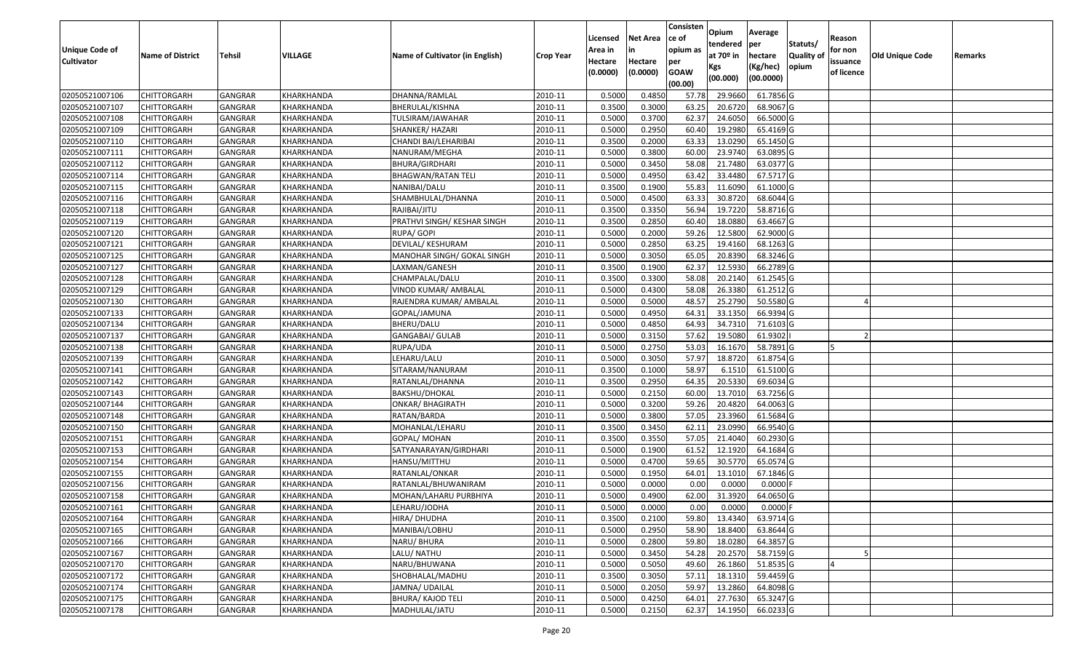|                                  |                                          |                           |                          |                                 |                    | Licensed         | <b>Net Area</b>  | Consisten<br>ce of     | Opium<br>tendered  | Average<br>per         | Statuts/   | Reason     |                 |         |
|----------------------------------|------------------------------------------|---------------------------|--------------------------|---------------------------------|--------------------|------------------|------------------|------------------------|--------------------|------------------------|------------|------------|-----------------|---------|
| <b>Unique Code of</b>            | <b>Name of District</b>                  | Tehsil                    | VILLAGE                  | Name of Cultivator (in English) | <b>Crop Year</b>   | Area in          | in               | opium as               | at 70º in          | hectare                | Quality of | for non    | Old Unique Code | Remarks |
| <b>Cultivator</b>                |                                          |                           |                          |                                 |                    | Hectare          | Hectare          | per                    | Kgs                | (Kg/hec)               | opium      | issuance   |                 |         |
|                                  |                                          |                           |                          |                                 |                    | (0.0000)         | (0.0000)         | <b>GOAW</b><br>(00.00) | (00.000)           | (00.0000)              |            | of licence |                 |         |
| 02050521007106                   | <b>CHITTORGARH</b>                       | GANGRAR                   | KHARKHANDA               | DHANNA/RAMLAL                   | 2010-11            | 0.5000           | 0.4850           | 57.78                  | 29.9660            | 61.7856 G              |            |            |                 |         |
| 02050521007107                   | CHITTORGARH                              | GANGRAR                   | KHARKHANDA               | BHERULAL/KISHNA                 | 2010-11            | 0.3500           | 0.3000           | 63.25                  | 20.6720            | 68.9067 G              |            |            |                 |         |
| 02050521007108                   | <b>CHITTORGARH</b>                       | GANGRAR                   | KHARKHANDA               | TULSIRAM/JAWAHAR                | 2010-11            | 0.5000           | 0.3700           | 62.37                  | 24.6050            | 66.5000 G              |            |            |                 |         |
| 02050521007109                   | <b>CHITTORGARH</b>                       | <b>GANGRAR</b>            | KHARKHANDA               | SHANKER/ HAZARI                 | 2010-11            | 0.5000           | 0.2950           | 60.40                  | 19.2980            | 65.4169 G              |            |            |                 |         |
| 02050521007110                   | <b>CHITTORGARH</b>                       | GANGRAR                   | KHARKHANDA               | CHANDI BAI/LEHARIBAI            | 2010-11            | 0.3500           | 0.2000           | 63.33                  | 13.0290            | 65.1450 G              |            |            |                 |         |
| 02050521007111                   | <b>CHITTORGARH</b>                       | <b>GANGRAR</b>            | KHARKHANDA               | NANURAM/MEGHA                   | 2010-11            | 0.5000           | 0.3800           | 60.00                  | 23.9740            | 63.0895 G              |            |            |                 |         |
| 02050521007112                   | CHITTORGARH                              | GANGRAR                   | KHARKHANDA               | BHURA/GIRDHARI                  | 2010-11            | 0.5000           | 0.3450           | 58.08                  | 21.7480            | 63.0377 G              |            |            |                 |         |
| 02050521007114                   | <b>CHITTORGARH</b>                       | GANGRAR                   | KHARKHANDA               | <b>BHAGWAN/RATAN TELI</b>       | 2010-11            | 0.5000           | 0.4950           | 63.42                  | 33.4480            | 67.5717 G              |            |            |                 |         |
| 02050521007115                   | <b>CHITTORGARH</b>                       | GANGRAR                   | KHARKHANDA               | NANIBAI/DALU                    | 2010-11            | 0.3500           | 0.1900           | 55.83                  | 11.6090            | 61.1000 G              |            |            |                 |         |
| 02050521007116                   | <b>CHITTORGARH</b>                       | GANGRAR                   | KHARKHANDA               | SHAMBHULAL/DHANNA               | 2010-11            | 0.5000           | 0.4500           | 63.33                  | 30.8720            | 68.6044 G              |            |            |                 |         |
| 02050521007118                   | <b>CHITTORGARH</b>                       | GANGRAR                   | KHARKHANDA               | RAJIBAI/JITU                    | 2010-11            | 0.3500           | 0.3350           | 56.94                  | 19.7220            | 58.8716 G              |            |            |                 |         |
| 02050521007119                   | <b>CHITTORGARH</b>                       | GANGRAR                   | KHARKHANDA               | PRATHVI SINGH/ KESHAR SINGH     | 2010-11            | 0.3500           | 0.2850           | 60.40                  | 18.0880            | 63.4667 G              |            |            |                 |         |
| 02050521007120                   | <b>CHITTORGARH</b>                       | GANGRAR                   | KHARKHANDA               | RUPA/ GOPI                      | 2010-11            | 0.5000           | 0.2000           | 59.26                  | 12.5800            | 62.9000 G              |            |            |                 |         |
| 02050521007121                   | <b>CHITTORGARH</b>                       | GANGRAR                   | KHARKHANDA               | DEVILAL/ KESHURAM               | 2010-11            | 0.5000           | 0.2850           | 63.25                  | 19.4160            | 68.1263 G              |            |            |                 |         |
| 02050521007125                   | CHITTORGARH                              | GANGRAR                   | KHARKHANDA               | MANOHAR SINGH/ GOKAL SINGH      | 2010-11            | 0.5000           | 0.3050           | 65.05                  | 20.8390            | 68.3246 G              |            |            |                 |         |
| 02050521007127                   | <b>CHITTORGARH</b>                       | GANGRAR                   | KHARKHANDA               | LAXMAN/GANESH                   | 2010-11            | 0.3500           | 0.1900           | 62.37                  | 12.5930            | 66.2789 G              |            |            |                 |         |
| 02050521007128                   | <b>CHITTORGARH</b>                       | GANGRAR                   | KHARKHANDA               | CHAMPALAL/DALU                  | 2010-11            | 0.3500           | 0.3300           | 58.08                  | 20.2140            | 61.2545 G              |            |            |                 |         |
| 02050521007129                   | <b>CHITTORGARH</b>                       | GANGRAR                   | KHARKHANDA               | VINOD KUMAR/ AMBALAL            | 2010-11            | 0.5000           | 0.4300           | 58.08                  | 26.3380            | 61.2512 G              |            |            |                 |         |
| 02050521007130                   | <b>CHITTORGARH</b>                       | GANGRAR                   | KHARKHANDA               | RAJENDRA KUMAR/ AMBALAL         | 2010-11            | 0.5000           | 0.5000           | 48.57                  | 25.2790            | 50.5580 G              |            |            |                 |         |
| 02050521007133                   | <b>CHITTORGARH</b>                       | <b>GANGRAR</b>            | KHARKHANDA               | GOPAL/JAMUNA                    | 2010-11            | 0.5000           | 0.4950           | 64.3                   | 33.1350            | 66.9394 G              |            |            |                 |         |
| 02050521007134                   | <b>CHITTORGARH</b>                       | GANGRAR                   | KHARKHANDA               | BHERU/DALU                      | 2010-11            | 0.5000           | 0.4850           | 64.93                  | 34.7310            | 71.6103 G              |            |            |                 |         |
| 02050521007137                   | CHITTORGARH                              | GANGRAR                   | KHARKHANDA               | GANGABAI/ GULAB                 | 2010-11            | 0.5000           | 0.3150           | 57.62                  | 19.5080            | 61.9302                |            |            |                 |         |
| 02050521007138                   | <b>CHITTORGARH</b>                       | GANGRAR                   | KHARKHANDA               | RUPA/UDA                        | 2010-11            | 0.5000           | 0.2750           | 53.03                  | 16.1670            | 58.7891 G              |            |            |                 |         |
| 02050521007139                   | <b>CHITTORGARH</b>                       | GANGRAR                   | KHARKHANDA               | LEHARU/LALU                     | 2010-11            | 0.5000           | 0.3050           | 57.97                  | 18.8720            | 61.8754 G              |            |            |                 |         |
| 02050521007141                   | <b>CHITTORGARH</b>                       | GANGRAR                   | KHARKHANDA               | SITARAM/NANURAM                 | 2010-11            | 0.3500           | 0.1000           | 58.97                  | 6.1510             | 61.5100 G              |            |            |                 |         |
| 02050521007142                   | <b>CHITTORGARH</b>                       | GANGRAR                   | KHARKHANDA               | RATANLAL/DHANNA                 | 2010-11            | 0.3500           | 0.2950           | 64.35                  | 20.5330            | 69.6034 G              |            |            |                 |         |
| 02050521007143                   | <b>CHITTORGARH</b>                       | GANGRAR                   | KHARKHANDA               | BAKSHU/DHOKAL                   | 2010-11            | 0.5000           | 0.2150           | 60.00                  | 13.7010            | 63.7256 G              |            |            |                 |         |
| 02050521007144                   | <b>CHITTORGARH</b>                       | GANGRAR                   | KHARKHANDA               | ONKAR/ BHAGIRATH                | 2010-11            | 0.5000           | 0.3200           | 59.26                  | 20.4820            | 64.0063 G              |            |            |                 |         |
| 02050521007148                   | <b>CHITTORGARH</b>                       | <b>GANGRAR</b>            | KHARKHANDA               | RATAN/BARDA                     | 2010-11            | 0.5000           | 0.3800           | 57.05                  | 23.3960            | 61.5684 G              |            |            |                 |         |
| 02050521007150                   | <b>CHITTORGARH</b>                       | <b>GANGRAR</b>            | KHARKHANDA               | MOHANLAL/LEHARU                 | 2010-11            | 0.3500           | 0.3450           | 62.11                  | 23.0990            | 66.9540 G              |            |            |                 |         |
| 02050521007151                   | <b>CHITTORGARH</b>                       | GANGRAR                   | KHARKHANDA               | GOPAL/ MOHAN                    | 2010-11            | 0.3500           | 0.3550           | 57.0                   | 21.4040            | 60.2930 G              |            |            |                 |         |
| 02050521007153                   | CHITTORGARH                              | GANGRAR                   | KHARKHANDA               | SATYANARAYAN/GIRDHARI           | 2010-11            | 0.5000           | 0.1900           | 61.52                  | 12.1920            | 64.1684 G              |            |            |                 |         |
| 02050521007154                   | <b>CHITTORGARH</b>                       | GANGRAR                   | KHARKHANDA               | HANSU/MITTHU                    | 2010-11            | 0.5000           | 0.4700           | 59.65                  | 30.5770            | 65.0574 G              |            |            |                 |         |
| 02050521007155                   | <b>CHITTORGARH</b>                       | GANGRAR                   | KHARKHANDA               | RATANLAL/ONKAR                  | 2010-11            | 0.5000           | 0.1950           | 64.01                  | 13.1010            | 67.1846 G              |            |            |                 |         |
| 02050521007156                   | <b>CHITTORGARH</b>                       | GANGRAR                   | KHARKHANDA               | RATANLAL/BHUWANIRAM             | 2010-11            | 0.5000           | 0.0000           | 0.00                   | 0.0000             | 0.0000                 |            |            |                 |         |
| 02050521007158                   | <b>CHITTORGARH</b>                       | GANGRAR                   | KHARKHANDA               | MOHAN/LAHARU PURBHIYA           | 2010-11            | 0.5000           | 0.4900           | 62.00                  | 31.3920            | 64.0650 G              |            |            |                 |         |
| 02050521007161                   | <b>CHITTORGARH</b>                       | GANGRAR                   | KHARKHANDA               | LEHARU/JODHA                    | 2010-11            | 0.5000           | 0.0000           | 0.00                   | 0.0000             | $0.0000$ F             |            |            |                 |         |
| 02050521007164                   | <b>CHITTORGARH</b>                       | <b>GANGRAR</b>            | KHARKHANDA               | HIRA/ DHUDHA                    | 2010-11            | 0.3500           | 0.2100           | 59.80                  | 13.4340            | 63.9714 G              |            |            |                 |         |
| 02050521007165                   | CHITTORGARH                              | GANGRAR                   | KHARKHANDA               | MANIBAI/LOBHU                   | 2010-11            | 0.5000           | 0.2950           | 58.90                  | 18.8400            | 63.8644 G              |            |            |                 |         |
| 02050521007166<br>02050521007167 | <b>CHITTORGARH</b>                       | GANGRAR                   | KHARKHANDA               | NARU/ BHURA                     | 2010-11            | 0.5000           | 0.2800           | 59.80                  | 18.0280            | 64.3857 G              |            |            |                 |         |
|                                  | <b>CHITTORGARH</b><br><b>CHITTORGARH</b> | GANGRAR<br><b>GANGRAR</b> | KHARKHANDA<br>KHARKHANDA | LALU/ NATHU<br>NARU/BHUWANA     | 2010-11            | 0.5000<br>0.5000 | 0.3450<br>0.5050 | 54.28<br>49.60         | 20.2570<br>26.1860 | 58.7159 G<br>51.8535 G |            |            |                 |         |
| 02050521007170<br>02050521007172 |                                          |                           | KHARKHANDA               | SHOBHALAL/MADHU                 | 2010-11            | 0.3500           | 0.3050           |                        | 18.1310            | 59.4459 G              |            |            |                 |         |
| 02050521007174                   | <b>CHITTORGARH</b><br><b>CHITTORGARH</b> | GANGRAR<br>GANGRAR        | KHARKHANDA               | JAMNA/ UDAILAL                  | 2010-11<br>2010-11 | 0.5000           | 0.2050           | 57.11<br>59.97         | 13.2860            | 64.8098 G              |            |            |                 |         |
| 02050521007175                   | <b>CHITTORGARH</b>                       | GANGRAR                   | KHARKHANDA               | <b>BHURA/ KAJOD TELI</b>        | 2010-11            | 0.5000           | 0.4250           | 64.01                  | 27.7630            | 65.3247 G              |            |            |                 |         |
| 02050521007178                   | <b>CHITTORGARH</b>                       | GANGRAR                   | KHARKHANDA               | MADHULAL/JATU                   | 2010-11            | 0.5000           | 0.2150           | 62.37                  | 14.1950            | 66.0233 G              |            |            |                 |         |
|                                  |                                          |                           |                          |                                 |                    |                  |                  |                        |                    |                        |            |            |                 |         |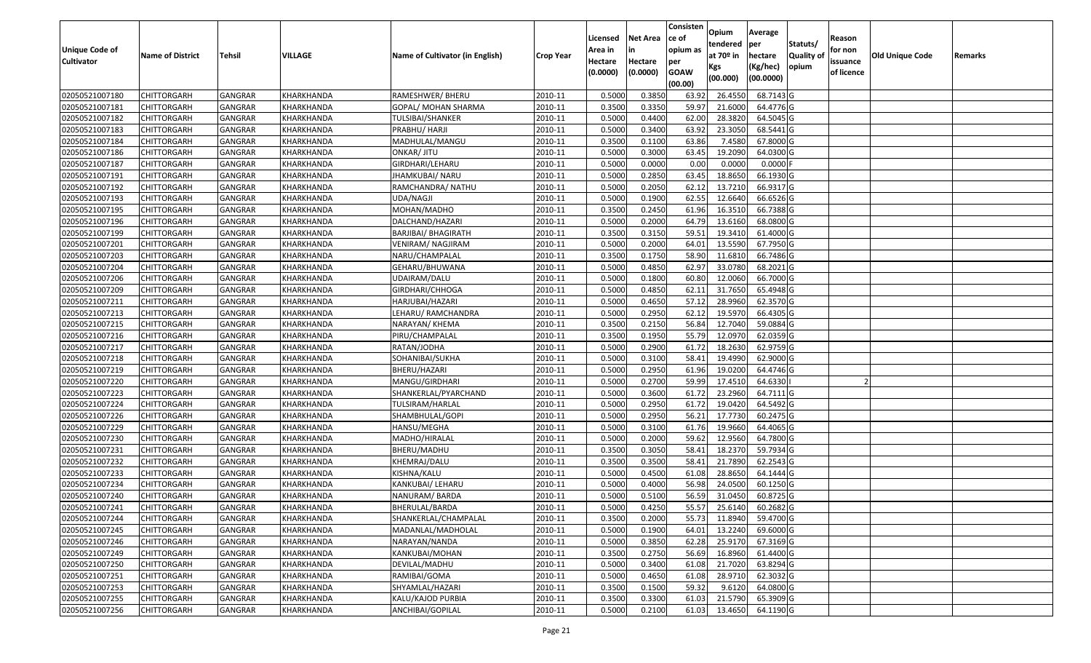| <b>Unique Code of</b> |                         |                |            |                                 |                  | Licensed<br>Area in | <b>Net Area</b><br>in | Consisten<br>ce of<br>opium as | Opium<br>tendered | Average<br>per      | Statuts/                  | Reason<br>for non      |                 |         |
|-----------------------|-------------------------|----------------|------------|---------------------------------|------------------|---------------------|-----------------------|--------------------------------|-------------------|---------------------|---------------------------|------------------------|-----------------|---------|
| <b>Cultivator</b>     | <b>Name of District</b> | Tehsil         | VILLAGE    | Name of Cultivator (in English) | <b>Crop Year</b> | Hectare<br>(0.0000) | Hectare<br>(0.0000)   | per<br><b>GOAW</b>             | at 70º in<br>Kgs  | hectare<br>(Kg/hec) | <b>Quality o</b><br>opium | issuance<br>of licence | Old Unique Code | Remarks |
|                       |                         |                |            |                                 |                  |                     |                       | (00.00)                        | (00.000)          | (00.0000)           |                           |                        |                 |         |
| 02050521007180        | <b>CHITTORGARH</b>      | GANGRAR        | KHARKHANDA | RAMESHWER/ BHERU                | 2010-11          | 0.5000              | 0.3850                | 63.92                          | 26.4550           | 68.7143 G           |                           |                        |                 |         |
| 02050521007181        | <b>CHITTORGARH</b>      | GANGRAR        | KHARKHANDA | GOPAL/ MOHAN SHARMA             | 2010-11          | 0.3500              | 0.3350                | 59.97                          | 21.6000           | 64.4776 G           |                           |                        |                 |         |
| 02050521007182        | <b>CHITTORGARH</b>      | GANGRAR        | KHARKHANDA | TULSIBAI/SHANKER                | 2010-11          | 0.5000              | 0.4400                | 62.00                          | 28.3820           | 64.5045 G           |                           |                        |                 |         |
| 02050521007183        | <b>CHITTORGARH</b>      | <b>GANGRAR</b> | KHARKHANDA | PRABHU/ HARJI                   | 2010-11          | 0.5000              | 0.3400                | 63.92                          | 23.3050           | 68.5441 G           |                           |                        |                 |         |
| 02050521007184        | <b>CHITTORGARH</b>      | GANGRAR        | KHARKHANDA | MADHULAL/MANGU                  | 2010-11          | 0.3500              | 0.1100                | 63.86                          | 7.4580            | 67.8000 G           |                           |                        |                 |         |
| 02050521007186        | <b>CHITTORGARH</b>      | <b>GANGRAR</b> | KHARKHANDA | ONKAR/ JITU                     | 2010-11          | 0.5000              | 0.3000                | 63.45                          | 19.2090           | 64.0300 G           |                           |                        |                 |         |
| 02050521007187        | CHITTORGARH             | GANGRAR        | KHARKHANDA | GIRDHARI/LEHARU                 | 2010-11          | 0.5000              | 0.0000                | 0.00                           | 0.0000            | 0.0000              |                           |                        |                 |         |
| 02050521007191        | <b>CHITTORGARH</b>      | GANGRAR        | KHARKHANDA | IHAMKUBAI/NARU                  | 2010-11          | 0.5000              | 0.2850                | 63.45                          | 18.8650           | 66.1930 G           |                           |                        |                 |         |
| 02050521007192        | <b>CHITTORGARH</b>      | GANGRAR        | KHARKHANDA | RAMCHANDRA/ NATHU               | 2010-11          | 0.5000              | 0.2050                | 62.12                          | 13.7210           | 66.9317 G           |                           |                        |                 |         |
| 02050521007193        | <b>CHITTORGARH</b>      | GANGRAR        | KHARKHANDA | UDA/NAGJI                       | 2010-11          | 0.5000              | 0.1900                | 62.55                          | 12.6640           | 66.6526 G           |                           |                        |                 |         |
| 02050521007195        | <b>CHITTORGARH</b>      | GANGRAR        | KHARKHANDA | MOHAN/MADHO                     | 2010-11          | 0.3500              | 0.2450                | 61.96                          | 16.3510           | 66.7388 G           |                           |                        |                 |         |
| 02050521007196        | <b>CHITTORGARH</b>      | GANGRAR        | KHARKHANDA | DALCHAND/HAZARI                 | 2010-11          | 0.5000              | 0.2000                | 64.79                          | 13.6160           | 68.0800 G           |                           |                        |                 |         |
| 02050521007199        | <b>CHITTORGARH</b>      | GANGRAR        | KHARKHANDA | <b>BARJIBAI/ BHAGIRATH</b>      | 2010-11          | 0.3500              | 0.3150                | 59.51                          | 19.3410           | 61.4000 G           |                           |                        |                 |         |
| 02050521007201        | <b>CHITTORGARH</b>      | GANGRAR        | KHARKHANDA | VENIRAM/ NAGJIRAM               | 2010-11          | 0.5000              | 0.2000                | 64.01                          | 13.5590           | 67.7950 G           |                           |                        |                 |         |
| 02050521007203        | CHITTORGARH             | GANGRAR        | KHARKHANDA | NARU/CHAMPALAL                  | 2010-11          | 0.3500              | 0.1750                | 58.90                          | 11.6810           | 66.7486 G           |                           |                        |                 |         |
| 02050521007204        | <b>CHITTORGARH</b>      | GANGRAR        | KHARKHANDA | GEHARU/BHUWANA                  | 2010-11          | 0.5000              | 0.4850                | 62.97                          | 33.0780           | 68.2021 G           |                           |                        |                 |         |
| 02050521007206        | <b>CHITTORGARH</b>      | GANGRAR        | KHARKHANDA | UDAIRAM/DALU                    | 2010-11          | 0.5000              | 0.1800                | 60.80                          | 12.0060           | 66.7000 G           |                           |                        |                 |         |
| 02050521007209        | <b>CHITTORGARH</b>      | GANGRAR        | KHARKHANDA | GIRDHARI/CHHOGA                 | 2010-11          | 0.5000              | 0.4850                | 62.1                           | 31.7650           | 65.4948 G           |                           |                        |                 |         |
| 02050521007211        | <b>CHITTORGARH</b>      | GANGRAR        | KHARKHANDA | HARJUBAI/HAZARI                 | 2010-11          | 0.5000              | 0.4650                | 57.12                          | 28.9960           | 62.3570 G           |                           |                        |                 |         |
| 02050521007213        | <b>CHITTORGARH</b>      | <b>GANGRAR</b> | KHARKHANDA | LEHARU/RAMCHANDRA               | 2010-11          | 0.5000              | 0.2950                | 62.12                          | 19.5970           | 66.4305 G           |                           |                        |                 |         |
| 02050521007215        | <b>CHITTORGARH</b>      | GANGRAR        | KHARKHANDA | NARAYAN/ KHEMA                  | 2010-11          | 0.3500              | 0.2150                | 56.84                          | 12.7040           | 59.0884 G           |                           |                        |                 |         |
| 02050521007216        | <b>CHITTORGARH</b>      | GANGRAR        | KHARKHANDA | PIRU/CHAMPALAL                  | 2010-11          | 0.3500              | 0.1950                | 55.79                          | 12.0970           | 62.0359 G           |                           |                        |                 |         |
| 02050521007217        | <b>CHITTORGARH</b>      | GANGRAR        | KHARKHANDA | RATAN/JODHA                     | 2010-11          | 0.5000              | 0.2900                | 61.72                          | 18.2630           | 62.9759 G           |                           |                        |                 |         |
| 02050521007218        | <b>CHITTORGARH</b>      | GANGRAR        | KHARKHANDA | SOHANIBAI/SUKHA                 | 2010-11          | 0.5000              | 0.3100                | 58.41                          | 19.4990           | 62.9000 G           |                           |                        |                 |         |
| 02050521007219        | <b>CHITTORGARH</b>      | GANGRAR        | KHARKHANDA | BHERU/HAZARI                    | 2010-11          | 0.5000              | 0.2950                | 61.96                          | 19.0200           | 64.4746 G           |                           |                        |                 |         |
| 02050521007220        | <b>CHITTORGARH</b>      | GANGRAR        | KHARKHANDA | MANGU/GIRDHARI                  | 2010-11          | 0.5000              | 0.2700                | 59.99                          | 17.4510           | 64.6330             |                           |                        |                 |         |
| 02050521007223        | <b>CHITTORGARH</b>      | GANGRAR        | KHARKHANDA | SHANKERLAL/PYARCHAND            | 2010-11          | 0.5000              | 0.3600                | 61.72                          | 23.2960           | 64.7111 G           |                           |                        |                 |         |
| 02050521007224        | <b>CHITTORGARH</b>      | GANGRAR        | KHARKHANDA | TULSIRAM/HARLAL                 | 2010-11          | 0.5000              | 0.2950                | 61.72                          | 19.0420           | 64.5492 G           |                           |                        |                 |         |
| 02050521007226        | <b>CHITTORGARH</b>      | <b>GANGRAR</b> | KHARKHANDA | SHAMBHULAL/GOPI                 | 2010-11          | 0.5000              | 0.2950                | 56.21                          | 17.7730           | 60.2475 G           |                           |                        |                 |         |
| 02050521007229        | <b>CHITTORGARH</b>      | <b>GANGRAR</b> | KHARKHANDA | HANSU/MEGHA                     | 2010-11          | 0.5000              | 0.3100                | 61.76                          | 19.9660           | 64.4065 G           |                           |                        |                 |         |
| 02050521007230        | <b>CHITTORGARH</b>      | GANGRAR        | KHARKHANDA | MADHO/HIRALAL                   | 2010-11          | 0.5000              | 0.2000                | 59.62                          | 12.9560           | 64.7800 G           |                           |                        |                 |         |
| 02050521007231        | CHITTORGARH             | GANGRAR        | KHARKHANDA | BHERU/MADHU                     | 2010-11          | 0.3500              | 0.3050                | 58.4                           | 18.2370           | 59.7934 G           |                           |                        |                 |         |
| 02050521007232        | <b>CHITTORGARH</b>      | GANGRAR        | KHARKHANDA | KHEMRAJ/DALU                    | 2010-11          | 0.3500              | 0.3500                | 58.4                           | 21.7890           | 62.2543 G           |                           |                        |                 |         |
| 02050521007233        | <b>CHITTORGARH</b>      | GANGRAR        | KHARKHANDA | KISHNA/KALU                     | 2010-11          | 0.5000              | 0.4500                | 61.08                          | 28.8650           | 64.1444 G           |                           |                        |                 |         |
| 02050521007234        | CHITTORGARH             | GANGRAR        | KHARKHANDA | KANKUBAI/ LEHARU                | 2010-11          | 0.5000              | 0.4000                | 56.98                          | 24.0500           | 60.1250 G           |                           |                        |                 |         |
| 02050521007240        | <b>CHITTORGARH</b>      | GANGRAR        | KHARKHANDA | NANURAM/ BARDA                  | 2010-11          | 0.5000              | 0.5100                | 56.59                          | 31.0450           | 60.8725 G           |                           |                        |                 |         |
| 02050521007241        | <b>CHITTORGARH</b>      | GANGRAR        | KHARKHANDA | BHERULAL/BARDA                  | 2010-11          | 0.5000              | 0.4250                |                                | 55.57 25.6140     | 60.2682 G           |                           |                        |                 |         |
| 02050521007244        | <b>CHITTORGARH</b>      | GANGRAR        | KHARKHANDA | SHANKERLAL/CHAMPALAL            | 2010-11          | 0.3500              | 0.2000                | 55.73                          | 11.8940           | 59.4700 G           |                           |                        |                 |         |
| 02050521007245        | <b>CHITTORGARH</b>      | GANGRAR        | KHARKHANDA | MADANLAL/MADHOLAL               | 2010-11          | 0.5000              | 0.1900                | 64.01                          | 13.2240           | 69.6000 G           |                           |                        |                 |         |
| 02050521007246        | <b>CHITTORGARH</b>      | GANGRAR        | KHARKHANDA | NARAYAN/NANDA                   | 2010-11          | 0.5000              | 0.3850                | 62.28                          | 25.9170           | 67.3169 G           |                           |                        |                 |         |
| 02050521007249        | <b>CHITTORGARH</b>      | GANGRAR        | KHARKHANDA | KANKUBAI/MOHAN                  | 2010-11          | 0.3500              | 0.2750                | 56.69                          | 16.8960           | 61.4400 G           |                           |                        |                 |         |
| 02050521007250        | <b>CHITTORGARH</b>      | <b>GANGRAR</b> | KHARKHANDA | DEVILAL/MADHU                   | 2010-11          | 0.5000              | 0.3400                | 61.08                          | 21.7020           | 63.8294 G           |                           |                        |                 |         |
| 02050521007251        | <b>CHITTORGARH</b>      | GANGRAR        | KHARKHANDA | RAMIBAI/GOMA                    | 2010-11          | 0.5000              | 0.4650                | 61.08                          | 28.9710           | 62.3032 G           |                           |                        |                 |         |
| 02050521007253        | <b>CHITTORGARH</b>      | GANGRAR        | KHARKHANDA | SHYAMLAL/HAZARI                 | 2010-11          | 0.3500              | 0.1500                | 59.32                          | 9.6120            | 64.0800 G           |                           |                        |                 |         |
| 02050521007255        | <b>CHITTORGARH</b>      | GANGRAR        | KHARKHANDA | KALU/KAJOD PURBIA               | 2010-11          | 0.3500              | 0.3300                | 61.03                          | 21.5790           | 65.3909 G           |                           |                        |                 |         |
| 02050521007256        | <b>CHITTORGARH</b>      | GANGRAR        | KHARKHANDA | ANCHIBAI/GOPILAL                | 2010-11          | 0.5000              | 0.2100                | 61.03                          | 13.4650           | 64.1190 G           |                           |                        |                 |         |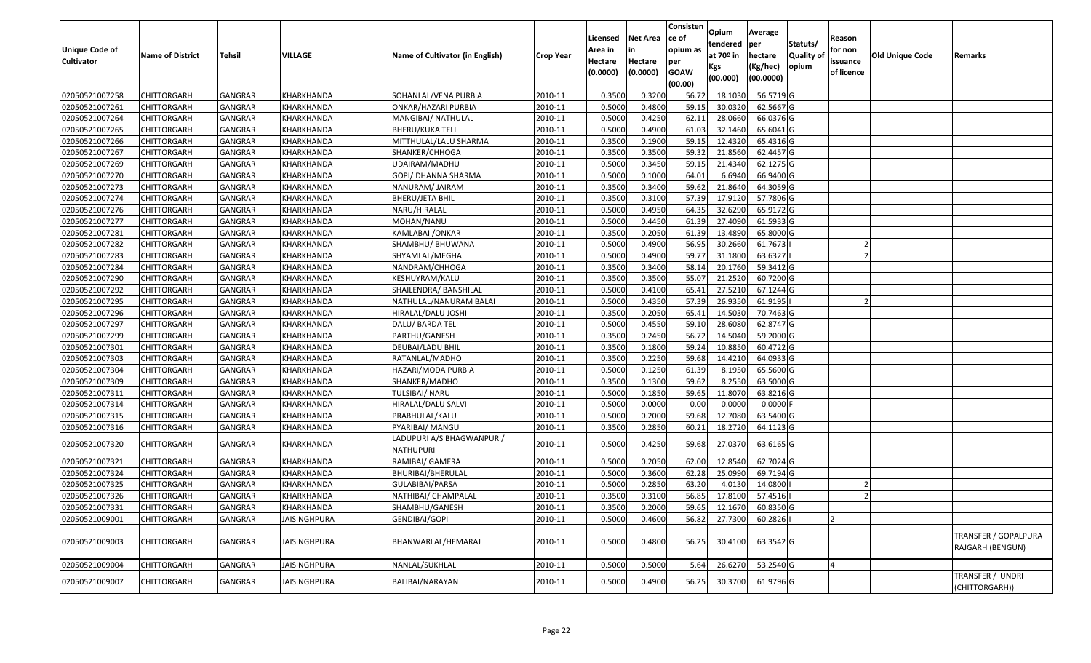| <b>Unique Code of</b><br><b>Cultivator</b> | <b>Name of District</b> | Tehsil         | VILLAGE             | Name of Cultivator (in English)               | <b>Crop Year</b> | Licensed<br>Area in<br>Hectare<br>(0.0000) | Net Area<br>in<br>Hectare<br>(0.0000) | Consisten<br>ce of<br>opium as<br>per<br><b>GOAW</b><br>(00.00) | Opium<br>tendered<br>at 70º in<br>Kgs<br>(00.000) | Average<br> per<br>hectare<br>(Kg/hec)<br>(00.0000) | Statuts/<br><b>Quality of</b><br>opium | Reason<br>for non<br>issuance<br>of licence | <b>Old Unique Code</b> | Remarks                                  |
|--------------------------------------------|-------------------------|----------------|---------------------|-----------------------------------------------|------------------|--------------------------------------------|---------------------------------------|-----------------------------------------------------------------|---------------------------------------------------|-----------------------------------------------------|----------------------------------------|---------------------------------------------|------------------------|------------------------------------------|
| 02050521007258                             | <b>CHITTORGARH</b>      | <b>GANGRAR</b> | KHARKHANDA          | SOHANLAL/VENA PURBIA                          | 2010-11          | 0.3500                                     | 0.320                                 | 56.72                                                           | 18.1030                                           | 56.5719 G                                           |                                        |                                             |                        |                                          |
| 02050521007261                             | <b>CHITTORGARH</b>      | <b>GANGRAR</b> | KHARKHANDA          | ONKAR/HAZARI PURBIA                           | 2010-11          | 0.5000                                     | 0.4800                                | 59.15                                                           | 30.0320                                           | 62.5667 G                                           |                                        |                                             |                        |                                          |
| 02050521007264                             | CHITTORGARH             | GANGRAR        | KHARKHANDA          | MANGIBAI/ NATHULAL                            | 2010-11          | 0.5000                                     | 0.4250                                | 62.11                                                           | 28.0660                                           | 66.0376 G                                           |                                        |                                             |                        |                                          |
| 02050521007265                             | <b>CHITTORGARH</b>      | <b>GANGRAR</b> | KHARKHANDA          | <b>BHERU/KUKA TELI</b>                        | 2010-11          | 0.5000                                     | 0.4900                                | 61.03                                                           | 32.1460                                           | 65.6041 G                                           |                                        |                                             |                        |                                          |
| 02050521007266                             | <b>CHITTORGARH</b>      | <b>GANGRAR</b> | KHARKHANDA          | MITTHULAL/LALU SHARMA                         | 2010-11          | 0.3500                                     | 0.1900                                | 59.15                                                           | 12.4320                                           | 65.4316 G                                           |                                        |                                             |                        |                                          |
| 02050521007267                             | <b>CHITTORGARH</b>      | <b>GANGRAR</b> | KHARKHANDA          | SHANKER/CHHOGA                                | 2010-11          | 0.3500                                     | 0.3500                                | 59.32                                                           | 21.8560                                           | 62.4457 G                                           |                                        |                                             |                        |                                          |
| 02050521007269                             | CHITTORGARH             | GANGRAR        | KHARKHANDA          | UDAIRAM/MADHU                                 | 2010-11          | 0.5000                                     | 0.3450                                | 59.15                                                           | 21.4340                                           | 62.1275 G                                           |                                        |                                             |                        |                                          |
| 02050521007270                             | <b>CHITTORGARH</b>      | GANGRAR        | KHARKHANDA          | GOPI/ DHANNA SHARMA                           | 2010-11          | 0.5000                                     | 0.1000                                | 64.01                                                           | 6.6940                                            | 66.9400 G                                           |                                        |                                             |                        |                                          |
| 02050521007273                             | <b>CHITTORGARH</b>      | GANGRAR        | KHARKHANDA          | NANURAM/ JAIRAM                               | 2010-11          | 0.3500                                     | 0.3400                                | 59.62                                                           | 21.8640                                           | 64.3059 G                                           |                                        |                                             |                        |                                          |
| 02050521007274                             | CHITTORGARH             | <b>GANGRAR</b> | KHARKHANDA          | BHERU/JETA BHIL                               | 2010-11          | 0.3500                                     | 0.3100                                | 57.39                                                           | 17.9120                                           | 57.7806 G                                           |                                        |                                             |                        |                                          |
| 02050521007276                             | CHITTORGARH             | GANGRAR        | KHARKHANDA          | NARU/HIRALAL                                  | 2010-11          | 0.5000                                     | 0.4950                                | 64.35                                                           | 32.6290                                           | 65.9172 G                                           |                                        |                                             |                        |                                          |
| 02050521007277                             | CHITTORGARH             | <b>GANGRAR</b> | KHARKHANDA          | MOHAN/NANU                                    | 2010-11          | 0.5000                                     | 0.4450                                | 61.39                                                           | 27.4090                                           | 61.5933 G                                           |                                        |                                             |                        |                                          |
| 02050521007281                             | CHITTORGARH             | GANGRAR        | KHARKHANDA          | KAMLABAI / ONKAR                              | 2010-11          | 0.3500                                     | 0.2050                                | 61.39                                                           | 13.4890                                           | 65.8000 G                                           |                                        |                                             |                        |                                          |
| 02050521007282                             | CHITTORGARH             | <b>GANGRAR</b> | KHARKHANDA          | SHAMBHU/BHUWANA                               | 2010-11          | 0.5000                                     | 0.4900                                | 56.95                                                           | 30.2660                                           | 61.7673                                             |                                        |                                             |                        |                                          |
| 02050521007283                             | CHITTORGARH             | GANGRAR        | KHARKHANDA          | SHYAMLAL/MEGHA                                | 2010-11          | 0.5000                                     | 0.4900                                | 59.77                                                           | 31.1800                                           | 63.6327                                             |                                        |                                             |                        |                                          |
| 02050521007284                             | CHITTORGARH             | GANGRAR        | KHARKHANDA          | NANDRAM/CHHOGA                                | 2010-11          | 0.3500                                     | 0.3400                                | 58.1                                                            | 20.1760                                           | 59.3412 G                                           |                                        |                                             |                        |                                          |
| 02050521007290                             | CHITTORGARH             | GANGRAR        | KHARKHANDA          | KESHUYRAM/KALU                                | 2010-11          | 0.3500                                     | 0.3500                                | 55.07                                                           | 21.2520                                           | 60.7200 G                                           |                                        |                                             |                        |                                          |
| 02050521007292                             | <b>CHITTORGARH</b>      | GANGRAR        | KHARKHANDA          | SHAILENDRA/ BANSHILAL                         | 2010-11          | 0.5000                                     | 0.4100                                | 65.41                                                           | 27.5210                                           | 67.1244 G                                           |                                        |                                             |                        |                                          |
| 02050521007295                             | CHITTORGARH             | <b>GANGRAR</b> | KHARKHANDA          | NATHULAL/NANURAM BALAI                        | 2010-11          | 0.5000                                     | 0.4350                                | 57.39                                                           | 26.9350                                           | 61.9195                                             |                                        |                                             |                        |                                          |
| 02050521007296                             | CHITTORGARH             | GANGRAR        | KHARKHANDA          | HIRALAL/DALU JOSHI                            | 2010-11          | 0.3500                                     | 0.2050                                | 65.41                                                           | 14.5030                                           | 70.7463 G                                           |                                        |                                             |                        |                                          |
| 02050521007297                             | <b>CHITTORGARH</b>      | <b>GANGRAR</b> | KHARKHANDA          | DALU/ BARDA TELI                              | 2010-11          | 0.5000                                     | 0.4550                                | 59.10                                                           | 28.6080                                           | 62.8747 G                                           |                                        |                                             |                        |                                          |
| 02050521007299                             | CHITTORGARH             | GANGRAR        | KHARKHANDA          | PARTHU/GANESH                                 | 2010-11          | 0.3500                                     | 0.2450                                | 56.72                                                           | 14.5040                                           | 59.2000 G                                           |                                        |                                             |                        |                                          |
| 02050521007301                             | CHITTORGARH             | GANGRAR        | KHARKHANDA          | DEUBAI/LADU BHIL                              | 2010-11          | 0.3500                                     | 0.1800                                | 59.24                                                           | 10.8850                                           | 60.4722 G                                           |                                        |                                             |                        |                                          |
| 02050521007303                             | CHITTORGARH             | GANGRAR        | KHARKHANDA          | RATANLAL/MADHO                                | 2010-11          | 0.3500                                     | 0.2250                                | 59.68                                                           | 14.4210                                           | 64.0933 G                                           |                                        |                                             |                        |                                          |
| 02050521007304                             | <b>CHITTORGARH</b>      | GANGRAR        | KHARKHANDA          | HAZARI/MODA PURBIA                            | 2010-11          | 0.5000                                     | 0.1250                                | 61.39                                                           | 8.1950                                            | 65.5600 G                                           |                                        |                                             |                        |                                          |
| 02050521007309                             | CHITTORGARH             | GANGRAR        | KHARKHANDA          | SHANKER/MADHO                                 | 2010-11          | 0.3500                                     | 0.1300                                | 59.62                                                           | 8.2550                                            | 63.5000 G                                           |                                        |                                             |                        |                                          |
| 02050521007311                             | CHITTORGARH             | <b>GANGRAR</b> | KHARKHANDA          | TULSIBAI/ NARU                                | 2010-11          | 0.5000                                     | 0.1850                                | 59.65                                                           | 11.8070                                           | 63.8216 G                                           |                                        |                                             |                        |                                          |
| 02050521007314                             | CHITTORGARH             | GANGRAR        | KHARKHANDA          | HIRALAL/DALU SALVI                            | 2010-11          | 0.5000                                     | 0.0000                                | 0.00                                                            | 0.0000                                            | $0.0000$ F                                          |                                        |                                             |                        |                                          |
| 02050521007315                             | <b>CHITTORGARH</b>      | <b>GANGRAR</b> | KHARKHANDA          | PRABHULAL/KALU                                | 2010-11          | 0.5000                                     | 0.2000                                | 59.68                                                           | 12.7080                                           | 63.5400 G                                           |                                        |                                             |                        |                                          |
| 02050521007316                             | <b>CHITTORGARH</b>      | <b>GANGRAR</b> | KHARKHANDA          | PYARIBAI/ MANGU                               | 2010-11          | 0.3500                                     | 0.2850                                | 60.21                                                           | 18.2720                                           | 64.1123 G                                           |                                        |                                             |                        |                                          |
| 02050521007320                             | CHITTORGARH             | GANGRAR        | KHARKHANDA          | LADUPURI A/S BHAGWANPURI/<br><b>NATHUPURI</b> | 2010-11          | 0.5000                                     | 0.4250                                | 59.68                                                           | 27.0370                                           | 63.6165 G                                           |                                        |                                             |                        |                                          |
| 02050521007321                             | CHITTORGARH             | GANGRAR        | KHARKHANDA          | RAMIBAI/ GAMERA                               | 2010-11          | 0.5000                                     | 0.2050                                | 62.00                                                           | 12.8540                                           | 62.7024 G                                           |                                        |                                             |                        |                                          |
| 02050521007324                             | CHITTORGARH             | GANGRAR        | KHARKHANDA          | BHURIBAI/BHERULAL                             | 2010-11          | 0.5000                                     | 0.3600                                | 62.28                                                           | 25.0990                                           | 69.7194 G                                           |                                        |                                             |                        |                                          |
| 02050521007325                             | CHITTORGARH             | GANGRAR        | KHARKHANDA          | GULABIBAI/PARSA                               | 2010-11          | 0.5000                                     | 0.2850                                | 63.20                                                           | 4.0130                                            | 14.0800                                             |                                        |                                             |                        |                                          |
| 02050521007326                             | CHITTORGARH             | GANGRAR        | KHARKHANDA          | NATHIBAI/ CHAMPALAL                           | 2010-11          | 0.3500                                     | 0.3100                                | 56.85                                                           | 17.8100                                           | 57.4516                                             |                                        |                                             |                        |                                          |
| 02050521007331                             | <b>CHITTORGARH</b>      | GANGRAR        | KHARKHANDA          | SHAMBHU/GANESH                                | 2010-11          | 0.3500                                     | 0.2000                                | 59.65                                                           | 12.1670                                           | 60.8350 G                                           |                                        |                                             |                        |                                          |
| 02050521009001                             | <b>CHITTORGARH</b>      | <b>GANGRAR</b> | JAISINGHPURA        | GENDIBAI/GOPI                                 | 2010-11          | 0.5000                                     | 0.4600                                | 56.82                                                           | 27.7300                                           | 60.2826                                             |                                        | ١C                                          |                        |                                          |
| 02050521009003                             | <b>CHITTORGARH</b>      | <b>GANGRAR</b> | JAISINGHPURA        | BHANWARLAL/HEMARAJ                            | 2010-11          | 0.5000                                     | 0.4800                                | 56.25                                                           | 30.4100                                           | 63.3542 G                                           |                                        |                                             |                        | TRANSFER / GOPALPURA<br>RAJGARH (BENGUN) |
| 02050521009004                             | <b>CHITTORGARH</b>      | <b>GANGRAR</b> | <b>JAISINGHPURA</b> | NANLAL/SUKHLAL                                | 2010-11          | 0.5000                                     | 0.5000                                | 5.64                                                            | 26.6270                                           | 53.2540 G                                           |                                        | ۱A                                          |                        |                                          |
| 02050521009007                             | <b>CHITTORGARH</b>      | <b>GANGRAR</b> | <b>JAISINGHPURA</b> | BALIBAI/NARAYAN                               | 2010-11          | 0.5000                                     | 0.4900                                | 56.25                                                           | 30.3700                                           | 61.9796 G                                           |                                        |                                             |                        | TRANSFER / UNDRI<br>(CHITTORGARH))       |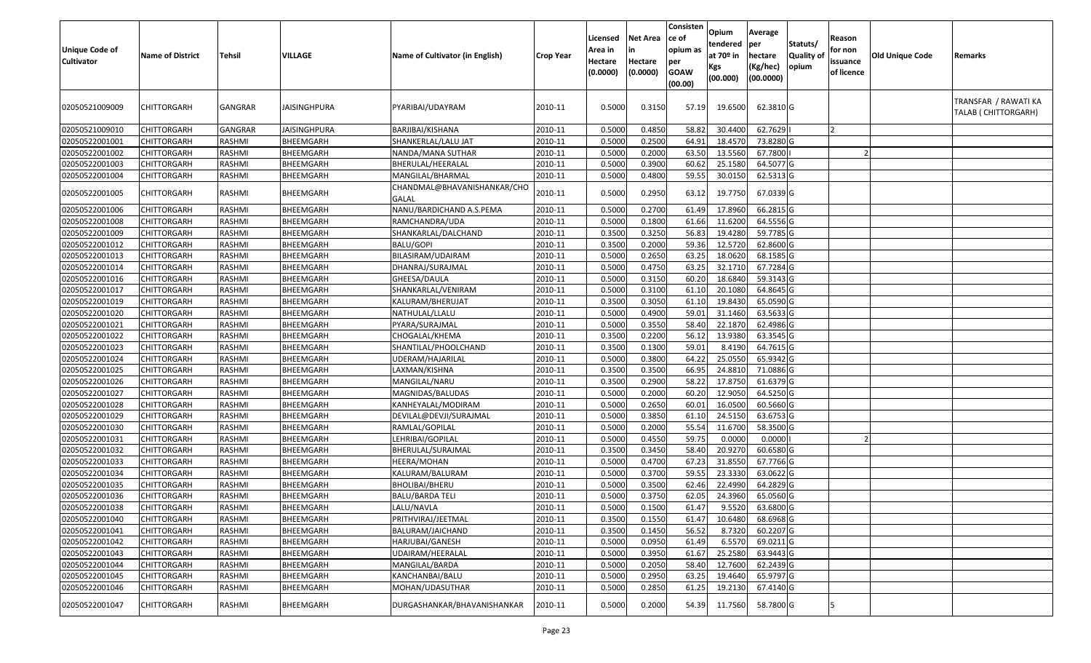| Unique Code of<br><b>Cultivator</b> | <b>Name of District</b> | Tehsil         | <b>VILLAGE</b>      | Name of Cultivator (in English)             | <b>Crop Year</b> | Licensed<br>Area in<br>Hectare<br>(0.0000) | <b>Net Area</b><br>Hectare<br>(0.0000) | Consisten<br>ce of<br>opium as<br>per<br><b>GOAW</b><br>(00.00) | Opium<br>tendered  per<br>at $70°$ in<br>Kgs<br>(00.000) | Average<br>hectare<br>(Kg/hec)<br>(00.0000) | Statuts/<br>Quality of<br>opium | Reason<br>for non<br>issuance<br>of licence | <b>Old Unique Code</b> | Remarks                                      |
|-------------------------------------|-------------------------|----------------|---------------------|---------------------------------------------|------------------|--------------------------------------------|----------------------------------------|-----------------------------------------------------------------|----------------------------------------------------------|---------------------------------------------|---------------------------------|---------------------------------------------|------------------------|----------------------------------------------|
| 02050521009009                      | CHITTORGARH             | GANGRAR        | JAISINGHPURA        | PYARIBAI/UDAYRAM                            | 2010-11          | 0.5000                                     | 0.3150                                 | 57.19                                                           | 19.6500                                                  | 62.3810 G                                   |                                 |                                             |                        | TRANSFAR / RAWATI KA<br>TALAB ( CHITTORGARH) |
| 02050521009010                      | CHITTORGARH             | <b>GANGRAR</b> | <b>JAISINGHPURA</b> | BARJIBAI/KISHANA                            | 2010-11          | 0.500                                      | 0.4850                                 | 58.82                                                           | 30.4400                                                  | 62.7629                                     |                                 | $\mathsf{L}$                                |                        |                                              |
| 02050522001001                      | CHITTORGARH             | <b>RASHMI</b>  | BHEEMGARH           | SHANKERLAL/LALU JAT                         | 2010-11          | 0.5000                                     | 0.2500                                 | 64.91                                                           | 18.4570                                                  | 73.8280 G                                   |                                 |                                             |                        |                                              |
| 02050522001002                      | CHITTORGARH             | <b>RASHMI</b>  | BHEEMGARH           | NANDA/MANA SUTHAR                           | 2010-11          | 0.5000                                     | 0.2000                                 | 63.50                                                           | 13.5560                                                  | 67.7800                                     |                                 |                                             |                        |                                              |
| 02050522001003                      | CHITTORGARH             | RASHMI         | BHEEMGARH           | BHERULAL/HEERALAL                           | 2010-11          | 0.5000                                     | 0.3900                                 | 60.62                                                           | 25.1580                                                  | 64.5077 G                                   |                                 |                                             |                        |                                              |
| 02050522001004                      | CHITTORGARH             | <b>RASHMI</b>  | BHEEMGARH           | MANGILAL/BHARMAL                            | 2010-11          | 0.5000                                     | 0.4800                                 | 59.55                                                           | 30.0150                                                  | 62.5313 G                                   |                                 |                                             |                        |                                              |
| 02050522001005                      | CHITTORGARH             | RASHMI         | BHEEMGARH           | CHANDMAL@BHAVANISHANKAR/CHO<br><b>GALAL</b> | 2010-11          | 0.5000                                     | 0.2950                                 | 63.12                                                           | 19.7750                                                  | 67.0339 G                                   |                                 |                                             |                        |                                              |
| 02050522001006                      | CHITTORGARH             | RASHMI         | BHEEMGARH           | NANU/BARDICHAND A.S.PEMA                    | 2010-11          | 0.5000                                     | 0.2700                                 | 61.49                                                           | 17.8960                                                  | 66.2815 G                                   |                                 |                                             |                        |                                              |
| 02050522001008                      | CHITTORGARH             | RASHMI         | BHEEMGARH           | RAMCHANDRA/UDA                              | 2010-11          | 0.5000                                     | 0.1800                                 | 61.66                                                           | 11.6200                                                  | 64.5556 G                                   |                                 |                                             |                        |                                              |
| 02050522001009                      | <b>CHITTORGARH</b>      | RASHMI         | BHEEMGARH           | SHANKARLAL/DALCHAND                         | 2010-11          | 0.3500                                     | 0.3250                                 | 56.83                                                           | 19.4280                                                  | 59.7785 G                                   |                                 |                                             |                        |                                              |
| 02050522001012                      | <b>CHITTORGARH</b>      | RASHMI         | BHEEMGARH           | <b>BALU/GOPI</b>                            | 2010-11          | 0.3500                                     | 0.2000                                 | 59.36                                                           | 12.5720                                                  | 62.8600 G                                   |                                 |                                             |                        |                                              |
| 02050522001013                      | CHITTORGARH             | RASHMI         | BHEEMGARH           | BILASIRAM/UDAIRAM                           | 2010-11          | 0.5000                                     | 0.2650                                 | 63.25                                                           | 18.0620                                                  | 68.1585 G                                   |                                 |                                             |                        |                                              |
| 02050522001014                      | CHITTORGARH             | RASHMI         | BHEEMGARH           | DHANRAJ/SURAJMAL                            | 2010-11          | 0.5000                                     | 0.4750                                 | 63.25                                                           | 32.1710                                                  | 67.7284 G                                   |                                 |                                             |                        |                                              |
| 02050522001016                      | CHITTORGARH             | RASHMI         | BHEEMGARH           | GHEESA/DAULA                                | 2010-11          | 0.5000                                     | 0.3150                                 | 60.20                                                           | 18.6840                                                  | 59.3143 G                                   |                                 |                                             |                        |                                              |
| 02050522001017                      | CHITTORGARH             | RASHMI         | BHEEMGARH           | SHANKARLAL/VENIRAM                          | 2010-11          | 0.5000                                     | 0.3100                                 | 61.10                                                           | 20.1080                                                  | 64.8645 G                                   |                                 |                                             |                        |                                              |
| 02050522001019                      | CHITTORGARH             | RASHMI         | BHEEMGARH           | KALURAM/BHERUJAT                            | 2010-11          | 0.3500                                     | 0.3050                                 | 61.10                                                           | 19.8430                                                  | 65.0590 G                                   |                                 |                                             |                        |                                              |
| 02050522001020                      | CHITTORGARH             | RASHMI         | BHEEMGARH           | NATHULAL/LLALU                              | 2010-11          | 0.5000                                     | 0.4900                                 | 59.01                                                           | 31.1460                                                  | 63.5633 G                                   |                                 |                                             |                        |                                              |
| 02050522001021                      | <b>CHITTORGARH</b>      | RASHMI         | BHEEMGARH           | PYARA/SURAJMAL                              | 2010-11          | 0.5000                                     | 0.3550                                 | 58.40                                                           | 22.1870                                                  | 62.4986 G                                   |                                 |                                             |                        |                                              |
| 02050522001022                      | CHITTORGARH             | RASHMI         | BHEEMGARH           | CHOGALAL/KHEMA                              | 2010-11          | 0.3500                                     | 0.2200                                 | 56.12                                                           | 13.9380                                                  | 63.3545 G                                   |                                 |                                             |                        |                                              |
| 02050522001023                      | CHITTORGARH             | RASHMI         | BHEEMGARH           | SHANTILAL/PHOOLCHAND                        | 2010-11          | 0.3500                                     | 0.1300                                 | 59.01                                                           | 8.4190                                                   | 64.7615 G                                   |                                 |                                             |                        |                                              |
| 02050522001024                      | CHITTORGARH             | RASHMI         | BHEEMGARH           | UDERAM/HAJARILAL                            | 2010-11          | 0.5000                                     | 0.3800                                 | 64.22                                                           | 25.0550                                                  | 65.9342 G                                   |                                 |                                             |                        |                                              |
| 02050522001025                      | CHITTORGARH             | RASHMI         | BHEEMGARH           | LAXMAN/KISHNA                               | 2010-11          | 0.3500                                     | 0.3500                                 | 66.95                                                           | 24.8810                                                  | 71.0886 G                                   |                                 |                                             |                        |                                              |
| 02050522001026                      | CHITTORGARH             | RASHMI         | BHEEMGARH           | MANGILAL/NARU                               | 2010-11          | 0.3500                                     | 0.2900                                 | 58.22                                                           | 17.8750                                                  | 61.6379 G                                   |                                 |                                             |                        |                                              |
| 02050522001027                      | CHITTORGARH             | <b>RASHMI</b>  | BHEEMGARH           | MAGNIDAS/BALUDAS                            | 2010-11          | 0.5000                                     | 0.2000                                 | 60.20                                                           | 12.9050                                                  | 64.5250 G                                   |                                 |                                             |                        |                                              |
| 02050522001028                      | CHITTORGARH             | RASHMI         | BHEEMGARH           | KANHEYALAL/MODIRAM                          | 2010-11          | 0.5000                                     | 0.2650                                 | 60.01                                                           | 16.0500                                                  | 60.5660 G                                   |                                 |                                             |                        |                                              |
| 02050522001029                      | CHITTORGARH             | <b>RASHMI</b>  | BHEEMGARH           | DEVILAL@DEVJI/SURAJMAL                      | 2010-11          | 0.5000                                     | 0.3850                                 | 61.10                                                           | 24.5150                                                  | 63.6753 G                                   |                                 |                                             |                        |                                              |
| 02050522001030                      | CHITTORGARH             | <b>RASHMI</b>  | BHEEMGARH           | RAMLAL/GOPILAL                              | 2010-11          | 0.5000                                     | 0.2000                                 | 55.54                                                           | 11.6700                                                  | 58.3500 G                                   |                                 |                                             |                        |                                              |
| 02050522001031                      | CHITTORGARH             | <b>RASHMI</b>  | BHEEMGARH           | LEHRIBAI/GOPILAL                            | 2010-11          | 0.5000                                     | 0.4550                                 | 59.75                                                           | 0.0000                                                   | 0.0000                                      |                                 |                                             |                        |                                              |
| 02050522001032                      | CHITTORGARH             | <b>RASHMI</b>  | BHEEMGARH           | <b>BHERULAL/SURAJMAL</b>                    | 2010-11          | 0.3500                                     | 0.3450                                 | 58.40                                                           | 20.9270                                                  | 60.6580 G                                   |                                 |                                             |                        |                                              |
| 02050522001033                      | CHITTORGARH             | <b>RASHMI</b>  | BHEEMGARH           | HEERA/MOHAN                                 | 2010-11          | 0.5000                                     | 0.4700                                 | 67.23                                                           | 31.8550                                                  | 67.7766 G                                   |                                 |                                             |                        |                                              |
| 02050522001034                      | CHITTORGARH             | RASHMI         | BHEEMGARH           | KALURAM/BALURAM                             | 2010-11          | 0.5000                                     | 0.3700                                 | 59.55                                                           | 23.3330                                                  | 63.0622 G                                   |                                 |                                             |                        |                                              |
| 02050522001035                      | CHITTORGARH             | RASHMI         | BHEEMGARH           | <b>BHOLIBAI/BHERU</b>                       | 2010-11          | 0.5000                                     | 0.3500                                 | 62.46                                                           | 22.4990                                                  | 64.2829 G                                   |                                 |                                             |                        |                                              |
| 02050522001036                      | CHITTORGARH             | RASHMI         | BHEEMGARH           | <b>BALU/BARDA TELI</b>                      | 2010-11          | 0.5000                                     | 0.3750                                 | 62.05                                                           | 24.3960                                                  | 65.0560 G                                   |                                 |                                             |                        |                                              |
| 02050522001038                      | <b>CHITTORGARH</b>      | RASHMI         | BHEEMGARH           | LALU/NAVLA                                  | 2010-11          | 0.5000                                     | 0.1500                                 | 61.47                                                           | 9.5520                                                   | 63.6800 G                                   |                                 |                                             |                        |                                              |
| 02050522001040                      | <b>CHITTORGARH</b>      | RASHMI         | BHEEMGARH           | PRITHVIRAJ/JEETMAL                          | 2010-11          | 0.3500                                     | 0.1550                                 | 61.47                                                           | 10.6480                                                  | 68.6968 G                                   |                                 |                                             |                        |                                              |
| 02050522001041                      | CHITTORGARH             | RASHMI         | BHEEMGARH           | BALURAM/JAICHAND                            | 2010-11          | 0.3500                                     | 0.1450                                 | 56.52                                                           | 8.7320                                                   | 60.2207 G                                   |                                 |                                             |                        |                                              |
| 02050522001042                      | CHITTORGARH             | RASHMI         | BHEEMGARH           | HARJUBAI/GANESH                             | 2010-11          | 0.5000                                     | 0.0950                                 | 61.49                                                           | 6.5570                                                   | 69.0211 G                                   |                                 |                                             |                        |                                              |
| 02050522001043                      | CHITTORGARH             | RASHMI         | BHEEMGARH           | UDAIRAM/HEERALAL                            | 2010-11          | 0.5000                                     | 0.3950                                 | 61.67                                                           | 25.2580                                                  | 63.9443 G                                   |                                 |                                             |                        |                                              |
| 02050522001044                      | <b>CHITTORGARH</b>      | RASHMI         | BHEEMGARH           | MANGILAL/BARDA                              | 2010-11          | 0.5000                                     | 0.2050                                 | 58.40                                                           | 12.7600                                                  | 62.2439 G                                   |                                 |                                             |                        |                                              |
| 02050522001045                      | <b>CHITTORGARH</b>      | RASHMI         | BHEEMGARH           | KANCHANBAI/BALU                             | 2010-11          | 0.5000                                     | 0.2950                                 | 63.25                                                           | 19.4640                                                  | 65.9797 G                                   |                                 |                                             |                        |                                              |
| 02050522001046                      | CHITTORGARH             | RASHMI         | BHEEMGARH           | MOHAN/UDASUTHAR                             | 2010-11          | 0.5000                                     | 0.2850                                 | 61.25                                                           | 19.2130                                                  | 67.4140 G                                   |                                 |                                             |                        |                                              |
| 02050522001047                      | CHITTORGARH             | RASHMI         | BHEEMGARH           | DURGASHANKAR/BHAVANISHANKAR                 | 2010-11          | 0.5000                                     | 0.2000                                 | 54.39                                                           | 11.7560                                                  | 58.7800 G                                   |                                 |                                             |                        |                                              |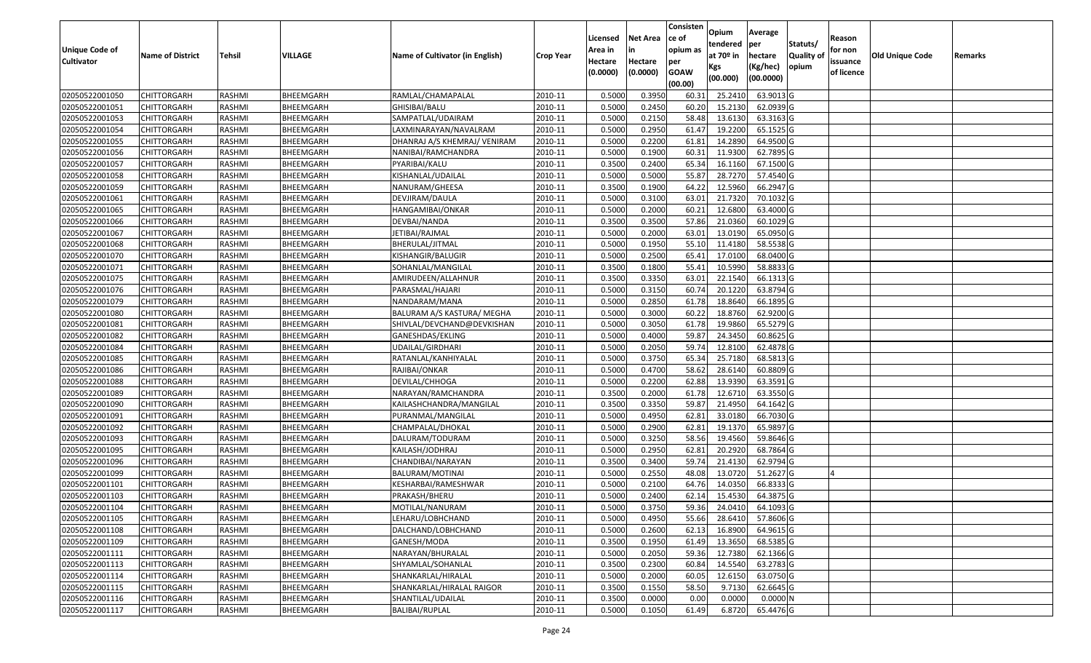| <b>Unique Code of</b><br><b>Cultivator</b> | <b>Name of District</b> | <b>Tehsil</b> | VILLAGE          | Name of Cultivator (in English) | <b>Crop Year</b> | Licensed<br>Area in<br>Hectare<br>(0.0000) | <b>Net Area</b><br>in<br>Hectare<br>(0.0000) | Consisten<br>ce of<br>opium as<br>per<br><b>GOAW</b><br>(00.00) | Opium<br>tendered<br>at $70°$ in<br>Kgs<br>(00.000) | Average<br>per<br>hectare<br>(Kg/hec)<br>(00.0000) | Statuts/<br>Quality of<br>opium | Reason<br>for non<br>issuance<br>of licence | <b>Old Unique Code</b> | Remarks |
|--------------------------------------------|-------------------------|---------------|------------------|---------------------------------|------------------|--------------------------------------------|----------------------------------------------|-----------------------------------------------------------------|-----------------------------------------------------|----------------------------------------------------|---------------------------------|---------------------------------------------|------------------------|---------|
| 02050522001050                             | <b>CHITTORGARH</b>      | RASHMI        | BHEEMGARH        | RAMLAL/CHAMAPALAL               | 2010-11          | 0.5000                                     | 0.3950                                       | 60.3                                                            | 25.241                                              | 63.9013 G                                          |                                 |                                             |                        |         |
| 02050522001051                             | CHITTORGARH             | RASHMI        | BHEEMGARH        | GHISIBAI/BALU                   | 2010-11          | 0.5000                                     | 0.2450                                       | 60.20                                                           | 15.2130                                             | 62.0939 G                                          |                                 |                                             |                        |         |
| 02050522001053                             | CHITTORGARH             | RASHMI        | BHEEMGARH        | SAMPATLAL/UDAIRAM               | 2010-11          | 0.5000                                     | 0.2150                                       | 58.48                                                           | 13.6130                                             | 63.3163 G                                          |                                 |                                             |                        |         |
| 02050522001054                             | <b>CHITTORGARH</b>      | RASHMI        | BHEEMGARH        | LAXMINARAYAN/NAVALRAM           | 2010-11          | 0.5000                                     | 0.2950                                       | 61.47                                                           | 19.2200                                             | 65.1525 G                                          |                                 |                                             |                        |         |
| 02050522001055                             | <b>CHITTORGARH</b>      | RASHMI        | BHEEMGARH        | DHANRAJ A/S KHEMRAJ/ VENIRAM    | 2010-11          | 0.5000                                     | 0.2200                                       | 61.81                                                           | 14.2890                                             | 64.9500 G                                          |                                 |                                             |                        |         |
| 02050522001056                             | <b>CHITTORGARH</b>      | RASHMI        | BHEEMGARH        | NANIBAI/RAMCHANDRA              | 2010-11          | 0.5000                                     | 0.1900                                       | 60.3                                                            | 11.9300                                             | 62.7895 G                                          |                                 |                                             |                        |         |
| 02050522001057                             | <b>CHITTORGARH</b>      | RASHMI        | BHEEMGARH        | PYARIBAI/KALU                   | 2010-11          | 0.3500                                     | 0.2400                                       | 65.34                                                           | 16.1160                                             | 67.1500 G                                          |                                 |                                             |                        |         |
| 02050522001058                             | <b>CHITTORGARH</b>      | RASHMI        | BHEEMGARH        | KISHANLAL/UDAILAL               | 2010-11          | 0.5000                                     | 0.5000                                       | 55.87                                                           | 28.7270                                             | 57.4540 G                                          |                                 |                                             |                        |         |
| 02050522001059                             | <b>CHITTORGARH</b>      | RASHMI        | BHEEMGARH        | NANURAM/GHEESA                  | 2010-11          | 0.3500                                     | 0.1900                                       | 64.22                                                           | 12.5960                                             | 66.2947 G                                          |                                 |                                             |                        |         |
| 02050522001061                             | CHITTORGARH             | RASHMI        | BHEEMGARH        | DEVJIRAM/DAULA                  | 2010-11          | 0.5000                                     | 0.3100                                       | 63.01                                                           | 21.7320                                             | 70.1032 G                                          |                                 |                                             |                        |         |
| 02050522001065                             | <b>CHITTORGARH</b>      | RASHMI        | BHEEMGARH        | HANGAMIBAI/ONKAR                | 2010-11          | 0.5000                                     | 0.2000                                       | 60.21                                                           | 12.6800                                             | 63.4000 G                                          |                                 |                                             |                        |         |
| 02050522001066                             | CHITTORGARH             | RASHMI        | BHEEMGARH        | DEVBAI/NANDA                    | 2010-11          | 0.3500                                     | 0.3500                                       | 57.86                                                           | 21.0360                                             | 60.1029 G                                          |                                 |                                             |                        |         |
| 02050522001067                             | CHITTORGARH             | RASHMI        | BHEEMGARH        | JETIBAI/RAJMAL                  | 2010-11          | 0.5000                                     | 0.2000                                       | 63.01                                                           | 13.0190                                             | 65.0950 G                                          |                                 |                                             |                        |         |
| 02050522001068                             | CHITTORGARH             | RASHMI        | BHEEMGARH        | BHERULAL/JITMAL                 | 2010-11          | 0.5000                                     | 0.1950                                       | 55.10                                                           | 11.4180                                             | 58.5538 G                                          |                                 |                                             |                        |         |
| 02050522001070                             | CHITTORGARH             | RASHMI        | BHEEMGARH        | KISHANGIR/BALUGIR               | 2010-11          | 0.5000                                     | 0.2500                                       | 65.4                                                            | 17.0100                                             | 68.0400G                                           |                                 |                                             |                        |         |
| 02050522001071                             | CHITTORGARH             | RASHMI        | BHEEMGARH        | SOHANLAL/MANGILAL               | 2010-11          | 0.3500                                     | 0.1800                                       | 55.4                                                            | 10.5990                                             | 58.8833 G                                          |                                 |                                             |                        |         |
| 02050522001075                             | CHITTORGARH             | RASHMI        | BHEEMGARH        | AMIRUDEEN/ALLAHNUR              | 2010-11          | 0.3500                                     | 0.3350                                       | 63.01                                                           | 22.1540                                             | 66.1313 G                                          |                                 |                                             |                        |         |
| 02050522001076                             | CHITTORGARH             | RASHMI        | BHEEMGARH        | PARASMAL/HAJARI                 | 2010-11          | 0.5000                                     | 0.3150                                       | 60.74                                                           | 20.122                                              | 63.8794 G                                          |                                 |                                             |                        |         |
| 02050522001079                             | CHITTORGARH             | RASHMI        | BHEEMGARH        | NANDARAM/MANA                   | 2010-11          | 0.5000                                     | 0.2850                                       | 61.78                                                           | 18.8640                                             | 66.1895 G                                          |                                 |                                             |                        |         |
| 02050522001080                             | CHITTORGARH             | RASHMI        | BHEEMGARH        | BALURAM A/S KASTURA/ MEGHA      | 2010-11          | 0.5000                                     | 0.3000                                       | 60.22                                                           | 18.8760                                             | 62.9200 G                                          |                                 |                                             |                        |         |
| 02050522001081                             | <b>CHITTORGARH</b>      | RASHMI        | <b>BHEEMGARH</b> | SHIVLAL/DEVCHAND@DEVKISHAN      | 2010-11          | 0.5000                                     | 0.3050                                       | 61.78                                                           | 19.9860                                             | 65.5279 G                                          |                                 |                                             |                        |         |
| 02050522001082                             | CHITTORGARH             | RASHMI        | BHEEMGARH        | GANESHDAS/EKLING                | 2010-11          | 0.5000                                     | 0.4000                                       | 59.87                                                           | 24.3450                                             | 60.8625 G                                          |                                 |                                             |                        |         |
| 02050522001084                             | CHITTORGARH             | RASHMI        | BHEEMGARH        | UDAILAL/GIRDHARI                | 2010-11          | 0.5000                                     | 0.2050                                       | 59.74                                                           | 12.8100                                             | 62.4878 G                                          |                                 |                                             |                        |         |
| 02050522001085                             | CHITTORGARH             | RASHMI        | BHEEMGARH        | RATANLAL/KANHIYALAL             | 2010-11          | 0.5000                                     | 0.3750                                       | 65.34                                                           | 25.7180                                             | 68.5813 G                                          |                                 |                                             |                        |         |
| 02050522001086                             | CHITTORGARH             | RASHMI        | BHEEMGARH        | RAJIBAI/ONKAR                   | 2010-11          | 0.5000                                     | 0.4700                                       | 58.62                                                           | 28.6140                                             | 60.8809 G                                          |                                 |                                             |                        |         |
| 02050522001088                             | CHITTORGARH             | RASHMI        | BHEEMGARH        | DEVILAL/CHHOGA                  | 2010-11          | 0.5000                                     | 0.2200                                       | 62.88                                                           | 13.9390                                             | 63.3591 G                                          |                                 |                                             |                        |         |
| 02050522001089                             | CHITTORGARH             | RASHMI        | BHEEMGARH        | NARAYAN/RAMCHANDRA              | 2010-11          | 0.3500                                     | 0.2000                                       | 61.78                                                           | 12.6710                                             | 63.3550 G                                          |                                 |                                             |                        |         |
| 02050522001090                             | CHITTORGARH             | RASHMI        | BHEEMGARH        | KAILASHCHANDRA/MANGILAL         | 2010-11          | 0.3500                                     | 0.3350                                       | 59.87                                                           | 21.4950                                             | 64.1642 G                                          |                                 |                                             |                        |         |
| 02050522001091                             | <b>CHITTORGARH</b>      | RASHMI        | BHEEMGARH        | PURANMAL/MANGILAL               | 2010-11          | 0.5000                                     | 0.4950                                       | 62.81                                                           | 33.0180                                             | 66.7030 G                                          |                                 |                                             |                        |         |
| 02050522001092                             | <b>CHITTORGARH</b>      | RASHMI        | BHEEMGARH        | CHAMPALAL/DHOKAL                | 2010-11          | 0.5000                                     | 0.2900                                       | 62.81                                                           | 19.1370                                             | 65.9897 G                                          |                                 |                                             |                        |         |
| 02050522001093                             | <b>CHITTORGARH</b>      | RASHMI        | BHEEMGARH        | DALURAM/TODURAM                 | 2010-11          | 0.5000                                     | 0.3250                                       | 58.56                                                           | 19.4560                                             | 59.8646 G                                          |                                 |                                             |                        |         |
| 02050522001095                             | CHITTORGARH             | RASHMI        | BHEEMGARH        | KAILASH/JODHRAJ                 | 2010-11          | 0.5000                                     | 0.2950                                       | 62.8                                                            | 20.2920                                             | 68.7864 G                                          |                                 |                                             |                        |         |
| 02050522001096                             | CHITTORGARH             | RASHMI        | BHEEMGARH        | CHANDIBAI/NARAYAN               | 2010-11          | 0.3500                                     | 0.3400                                       | 59.74                                                           | 21.4130                                             | 62.9794 G                                          |                                 |                                             |                        |         |
| 02050522001099                             | <b>CHITTORGARH</b>      | RASHMI        | BHEEMGARH        | BALURAM/MOTINAI                 | 2010-11          | 0.5000                                     | 0.2550                                       | 48.08                                                           | 13.0720                                             | 51.2627 G                                          |                                 |                                             |                        |         |
| 02050522001101                             | CHITTORGARH             | RASHMI        | BHEEMGARH        | KESHARBAI/RAMESHWAR             | 2010-11          | 0.500                                      | 0.2100                                       | 64.76                                                           | 14.0350                                             | 66.8333 G                                          |                                 |                                             |                        |         |
| 02050522001103                             | CHITTORGARH             | RASHMI        | BHEEMGARH        | PRAKASH/BHERU                   | 2010-11          | 0.5000                                     | 0.2400                                       | 62.14                                                           | 15.4530                                             | 64.3875 G                                          |                                 |                                             |                        |         |
| 02050522001104                             | <b>CHITTORGARH</b>      | RASHMI        | BHEEMGARH        | MOTILAL/NANURAM                 | 2010-11          | 0.5000                                     | 0.3750                                       | 59.36                                                           | 24.0410                                             | 64.1093 G                                          |                                 |                                             |                        |         |
| 02050522001105                             | <b>CHITTORGARH</b>      | RASHMI        | BHEEMGARH        | LEHARU/LOBHCHAND                | 2010-11          | 0.5000                                     | 0.4950                                       | 55.66                                                           | 28.6410                                             | 57.8606 G                                          |                                 |                                             |                        |         |
| 02050522001108                             | <b>CHITTORGARH</b>      | RASHMI        | BHEEMGARH        | DALCHAND/LOBHCHAND              | 2010-11          | 0.5000                                     | 0.2600                                       | 62.13                                                           | 16.8900                                             | 64.9615 G                                          |                                 |                                             |                        |         |
| 02050522001109                             | <b>CHITTORGARH</b>      | RASHMI        | BHEEMGARH        | GANESH/MODA                     | 2010-11          | 0.3500                                     | 0.1950                                       | 61.49                                                           | 13.3650                                             | 68.5385 G                                          |                                 |                                             |                        |         |
| 02050522001111                             | <b>CHITTORGARH</b>      | RASHMI        | BHEEMGARH        | NARAYAN/BHURALAL                | 2010-11          | 0.5000                                     | 0.2050                                       | 59.36                                                           | 12.7380                                             | 62.1366 G                                          |                                 |                                             |                        |         |
| 02050522001113                             | <b>CHITTORGARH</b>      | RASHMI        | BHEEMGARH        | SHYAMLAL/SOHANLAL               | 2010-11          | 0.3500                                     | 0.2300                                       | 60.84                                                           | 14.5540                                             | 63.2783 G                                          |                                 |                                             |                        |         |
| 02050522001114                             | <b>CHITTORGARH</b>      | RASHMI        | BHEEMGARH        | SHANKARLAL/HIRALAL              | 2010-11          | 0.5000                                     | 0.2000                                       | 60.05                                                           | 12.6150                                             | 63.0750 G                                          |                                 |                                             |                        |         |
| 02050522001115                             | <b>CHITTORGARH</b>      | RASHMI        | BHEEMGARH        | SHANKARLAL/HIRALAL RAIGOR       | 2010-11          | 0.3500                                     | 0.1550                                       | 58.50                                                           | 9.7130                                              | 62.6645 G                                          |                                 |                                             |                        |         |
| 02050522001116                             | <b>CHITTORGARH</b>      | RASHMI        | BHEEMGARH        | SHANTILAL/UDAILAL               | 2010-11          | 0.3500                                     | 0.0000                                       | 0.00                                                            | 0.0000                                              | $0.0000$ N                                         |                                 |                                             |                        |         |
| 02050522001117                             | <b>CHITTORGARH</b>      | RASHMI        | BHEEMGARH        | <b>BALIBAI/RUPLAL</b>           | 2010-11          | 0.5000                                     | 0.1050                                       | 61.49                                                           | 6.8720                                              | 65.4476 G                                          |                                 |                                             |                        |         |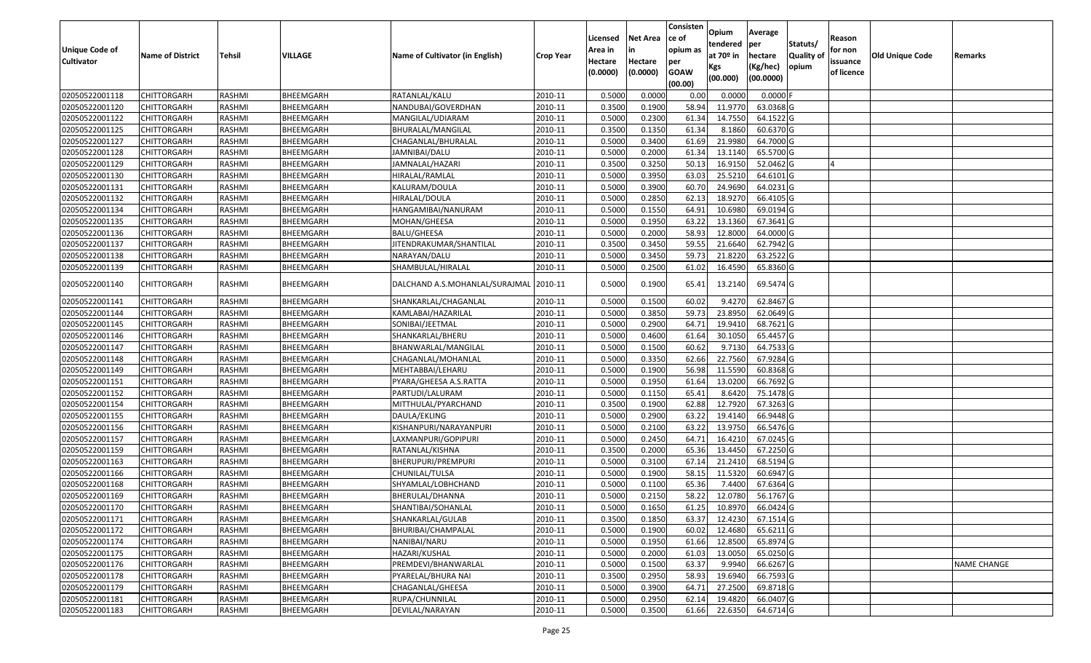|                       |                         |               |           |                                 |                  |                     |                 | Consisten         | Opium         | Average   |                  |                   |                 |                    |
|-----------------------|-------------------------|---------------|-----------|---------------------------------|------------------|---------------------|-----------------|-------------------|---------------|-----------|------------------|-------------------|-----------------|--------------------|
| <b>Unique Code of</b> |                         |               |           |                                 |                  | Licensed<br>Area in | <b>Net Area</b> | ce of<br>opium as | tendered      | per       | Statuts/         | Reason<br>for non |                 |                    |
| <b>Cultivator</b>     | <b>Name of District</b> | <b>Tehsil</b> | VILLAGE   | Name of Cultivator (in English) | <b>Crop Year</b> | Hectare             | Hectare         | per               | at $70°$ in   | hectare   | <b>Quality o</b> | issuance          | Old Unique Code | Remarks            |
|                       |                         |               |           |                                 |                  | (0.0000)            | (0.0000)        | <b>GOAW</b>       | Kgs           | (Kg/hec)  | opium            | of licence        |                 |                    |
|                       |                         |               |           |                                 |                  |                     |                 | (00.00)           | (00.000)      | (00.0000) |                  |                   |                 |                    |
| 02050522001118        | CHITTORGARH             | RASHMI        | BHEEMGARH | RATANLAL/KALU                   | 2010-11          | 0.5000              | 0.0000          | 0.00              | 0.0000        | 0.0000F   |                  |                   |                 |                    |
| 02050522001120        | CHITTORGARH             | RASHMI        | BHEEMGARH | NANDUBAI/GOVERDHAN              | 2010-11          | 0.3500              | 0.1900          | 58.94             | 11.9770       | 63.0368 G |                  |                   |                 |                    |
| 02050522001122        | CHITTORGARH             | RASHMI        | BHEEMGARH | MANGILAL/UDIARAM                | 2010-11          | 0.5000              | 0.2300          | 61.34             | 14.7550       | 64.1522 G |                  |                   |                 |                    |
| 02050522001125        | <b>CHITTORGARH</b>      | RASHMI        | BHEEMGARH | BHURALAL/MANGILAL               | 2010-11          | 0.3500              | 0.1350          | 61.34             | 8.1860        | 60.6370 G |                  |                   |                 |                    |
| 02050522001127        | CHITTORGARH             | RASHMI        | BHEEMGARH | CHAGANLAL/BHURALAL              | 2010-11          | 0.5000              | 0.3400          | 61.69             | 21.9980       | 64.7000 G |                  |                   |                 |                    |
| 02050522001128        | CHITTORGARH             | RASHMI        | BHEEMGARH | JAMNIBAI/DALU                   | 2010-11          | 0.5000              | 0.2000          | 61.34             | 13.1140       | 65.5700 G |                  |                   |                 |                    |
| 02050522001129        | CHITTORGARH             | RASHMI        | BHEEMGARH | JAMNALAL/HAZARI                 | 2010-11          | 0.3500              | 0.3250          | 50.1              | 16.915        | 52.0462G  |                  |                   |                 |                    |
| 02050522001130        | <b>CHITTORGARH</b>      | <b>RASHMI</b> | BHEEMGARH | HIRALAL/RAMLAL                  | 2010-11          | 0.5000              | 0.3950          | 63.03             | 25.5210       | 64.6101G  |                  |                   |                 |                    |
| 02050522001131        | <b>CHITTORGARH</b>      | RASHMI        | BHEEMGARH | KALURAM/DOULA                   | 2010-11          | 0.5000              | 0.3900          | 60.7              | 24.9690       | 64.0231 G |                  |                   |                 |                    |
| 02050522001132        | CHITTORGARH             | RASHMI        | BHEEMGARH | HIRALAL/DOULA                   | 2010-11          | 0.5000              | 0.2850          | 62.13             | 18.9270       | 66.4105 G |                  |                   |                 |                    |
| 02050522001134        | CHITTORGARH             | RASHMI        | BHEEMGARH | HANGAMIBAI/NANURAM              | 2010-11          | 0.5000              | 0.1550          | 64.91             | 10.6980       | 69.0194 G |                  |                   |                 |                    |
| 02050522001135        | <b>CHITTORGARH</b>      | RASHMI        | BHEEMGARH | MOHAN/GHEESA                    | 2010-11          | 0.5000              | 0.1950          | 63.22             | 13.1360       | 67.3641 G |                  |                   |                 |                    |
| 02050522001136        | <b>CHITTORGARH</b>      | RASHMI        | BHEEMGARH | <b>BALU/GHEESA</b>              | 2010-11          | 0.5000              | 0.2000          | 58.93             | 12.8000       | 64.0000G  |                  |                   |                 |                    |
| 02050522001137        | <b>CHITTORGARH</b>      | RASHMI        | BHEEMGARH | IITENDRAKUMAR/SHANTILAL         | 2010-11          | 0.3500              | 0.3450          | 59.55             | 21.6640       | 62.7942 G |                  |                   |                 |                    |
| 02050522001138        | <b>CHITTORGARH</b>      | RASHMI        | BHEEMGARH | NARAYAN/DALU                    | 2010-11          | 0.5000              | 0.3450          | 59.73             | 21.8220       | 63.2522 G |                  |                   |                 |                    |
| 02050522001139        | <b>CHITTORGARH</b>      | RASHMI        | BHEEMGARH | SHAMBULAL/HIRALAL               | 2010-11          | 0.5000              | 0.2500          | 61.02             | 16.4590       | 65.8360 G |                  |                   |                 |                    |
| 02050522001140        | CHITTORGARH             | RASHMI        | BHEEMGARH | DALCHAND A.S.MOHANLAL/SURAJMAL  | 2010-11          | 0.5000              | 0.1900          | 65.41             | 13.2140       | 69.5474 G |                  |                   |                 |                    |
| 02050522001141        | CHITTORGARH             | RASHMI        | BHEEMGARH | SHANKARLAL/CHAGANLAL            | 2010-11          | 0.500               | 0.1500          | 60.02             | 9.4270        | 62.8467 G |                  |                   |                 |                    |
| 02050522001144        | CHITTORGARH             | RASHMI        | BHEEMGARH | KAMLABAI/HAZARILAL              | 2010-11          | 0.5000              | 0.3850          | 59.73             | 23.8950       | 62.0649 G |                  |                   |                 |                    |
| 02050522001145        | CHITTORGARH             | RASHMI        | BHEEMGARH | SONIBAI/JEETMAL                 | 2010-11          | 0.5000              | 0.2900          | 64.7              | 19.9410       | 68.7621G  |                  |                   |                 |                    |
| 02050522001146        | CHITTORGARH             | RASHMI        | BHEEMGARH | SHANKARLAL/BHERU                | 2010-11          | 0.5000              | 0.4600          | 61.64             | 30.105        | 65.4457 G |                  |                   |                 |                    |
| 02050522001147        | CHITTORGARH             | RASHMI        | BHEEMGARH | BHANWARLAL/MANGILAL             | 2010-11          | 0.5000              | 0.1500          | 60.62             | 9.7130        | 64.7533 G |                  |                   |                 |                    |
| 02050522001148        | CHITTORGARH             | RASHMI        | BHEEMGARH | CHAGANLAL/MOHANLAL              | 2010-11          | 0.5000              | 0.3350          | 62.66             | 22.7560       | 67.9284 G |                  |                   |                 |                    |
| 02050522001149        | CHITTORGARH             | RASHMI        | BHEEMGARH | MEHTABBAI/LEHARU                | 2010-11          | 0.5000              | 0.1900          | 56.98             | 11.5590       | 60.8368 G |                  |                   |                 |                    |
| 02050522001151        | CHITTORGARH             | RASHMI        | BHEEMGARH | PYARA/GHEESA A.S.RATTA          | 2010-11          | 0.5000              | 0.1950          | 61.64             | 13.0200       | 66.7692 G |                  |                   |                 |                    |
| 02050522001152        | CHITTORGARH             | RASHMI        | BHEEMGARH | PARTUDI/LALURAM                 | 2010-11          | 0.5000              | 0.1150          | 65.41             | 8.6420        | 75.1478 G |                  |                   |                 |                    |
| 02050522001154        | CHITTORGARH             | RASHMI        | BHEEMGARH | MITTHULAL/PYARCHAND             | 2010-11          | 0.3500              | 0.1900          | 62.88             | 12.7920       | 67.3263 G |                  |                   |                 |                    |
| 02050522001155        | <b>CHITTORGARH</b>      | <b>RASHMI</b> | BHEEMGARH | DAULA/EKLING                    | 2010-11          | 0.5000              | 0.2900          | 63.22             | 19.4140       | 66.9448 G |                  |                   |                 |                    |
| 02050522001156        | CHITTORGARH             | RASHMI        | BHEEMGARH | KISHANPURI/NARAYANPURI          | 2010-11          | 0.5000              | 0.2100          | 63.22             | 13.975        | 66.5476 G |                  |                   |                 |                    |
| 02050522001157        | CHITTORGARH             | RASHMI        | BHEEMGARH | LAXMANPURI/GOPIPURI             | 2010-11          | 0.5000              | 0.2450          | 64.7              | 16.4210       | 67.0245 G |                  |                   |                 |                    |
| 02050522001159        | CHITTORGARH             | RASHMI        | BHEEMGARH | RATANLAL/KISHNA                 | 2010-11          | 0.3500              | 0.2000          | 65.36             | 13.4450       | 67.2250 G |                  |                   |                 |                    |
| 02050522001163        | <b>CHITTORGARH</b>      | RASHMI        | BHEEMGARH | BHERUPURI/PREMPURI              | 2010-11          | 0.5000              | 0.3100          | 67.14             | 21.2410       | 68.5194 G |                  |                   |                 |                    |
| 02050522001166        | <b>CHITTORGARH</b>      | RASHMI        | BHEEMGARH | CHUNILAL/TULSA                  | 2010-11          | 0.5000              | 0.1900          | 58.15             | 11.5320       | 60.6947 G |                  |                   |                 |                    |
| 02050522001168        | CHITTORGARH             | RASHMI        | BHEEMGARH | SHYAMLAL/LOBHCHAND              | 2010-11          | 0.500               | 0.1100          | 65.36             | 7.4400        | 67.6364 G |                  |                   |                 |                    |
| 02050522001169        | CHITTORGARH             | RASHMI        | BHEEMGARH | BHERULAL/DHANNA                 | 2010-11          | 0.5000              | 0.2150          | 58.22             | 12.0780       | 56.1767 G |                  |                   |                 |                    |
| 02050522001170        | <b>CHITTORGARH</b>      | RASHMI        | BHEEMGARH | SHANTIBAI/SOHANLAL              | 2010-11          | 0.5000              | 0.1650          |                   | 61.25 10.8970 | 66.0424 G |                  |                   |                 |                    |
| 02050522001171        | <b>CHITTORGARH</b>      | RASHMI        | BHEEMGARH | SHANKARLAL/GULAB                | 2010-11          | 0.3500              | 0.1850          | 63.37             | 12.4230       | 67.1514 G |                  |                   |                 |                    |
| 02050522001172        | <b>CHITTORGARH</b>      | RASHMI        | BHEEMGARH | BHURIBAI/CHAMPALAL              | 2010-11          | 0.5000              | 0.1900          | 60.02             | 12.4680       | 65.6211 G |                  |                   |                 |                    |
| 02050522001174        | <b>CHITTORGARH</b>      | RASHMI        | BHEEMGARH | NANIBAI/NARU                    | 2010-11          | 0.5000              | 0.1950          | 61.66             | 12.8500       | 65.8974 G |                  |                   |                 |                    |
| 02050522001175        | <b>CHITTORGARH</b>      | RASHMI        | BHEEMGARH | HAZARI/KUSHAL                   | 2010-11          | 0.5000              | 0.2000          | 61.03             | 13.0050       | 65.0250 G |                  |                   |                 |                    |
| 02050522001176        | <b>CHITTORGARH</b>      | RASHMI        | BHEEMGARH | PREMDEVI/BHANWARLAL             | 2010-11          | 0.5000              | 0.1500          | 63.37             | 9.9940        | 66.6267 G |                  |                   |                 | <b>NAME CHANGE</b> |
| 02050522001178        | <b>CHITTORGARH</b>      | RASHMI        | BHEEMGARH | PYARELAL/BHURA NAI              | 2010-11          | 0.3500              | 0.2950          | 58.93             | 19.6940       | 66.7593 G |                  |                   |                 |                    |
| 02050522001179        | <b>CHITTORGARH</b>      | RASHMI        | BHEEMGARH | CHAGANLAL/GHEESA                | 2010-11          | 0.5000              | 0.3900          | 64.71             | 27.2500       | 69.8718 G |                  |                   |                 |                    |
| 02050522001181        | <b>CHITTORGARH</b>      | RASHMI        | BHEEMGARH | RUPA/CHUNNILAL                  | 2010-11          | 0.5000              | 0.2950          | 62.14             | 19.4820       | 66.0407 G |                  |                   |                 |                    |
| 02050522001183        | <b>CHITTORGARH</b>      | RASHMI        | BHEEMGARH | DEVILAL/NARAYAN                 | 2010-11          | 0.5000              | 0.3500          | 61.66             | 22.6350       | 64.6714 G |                  |                   |                 |                    |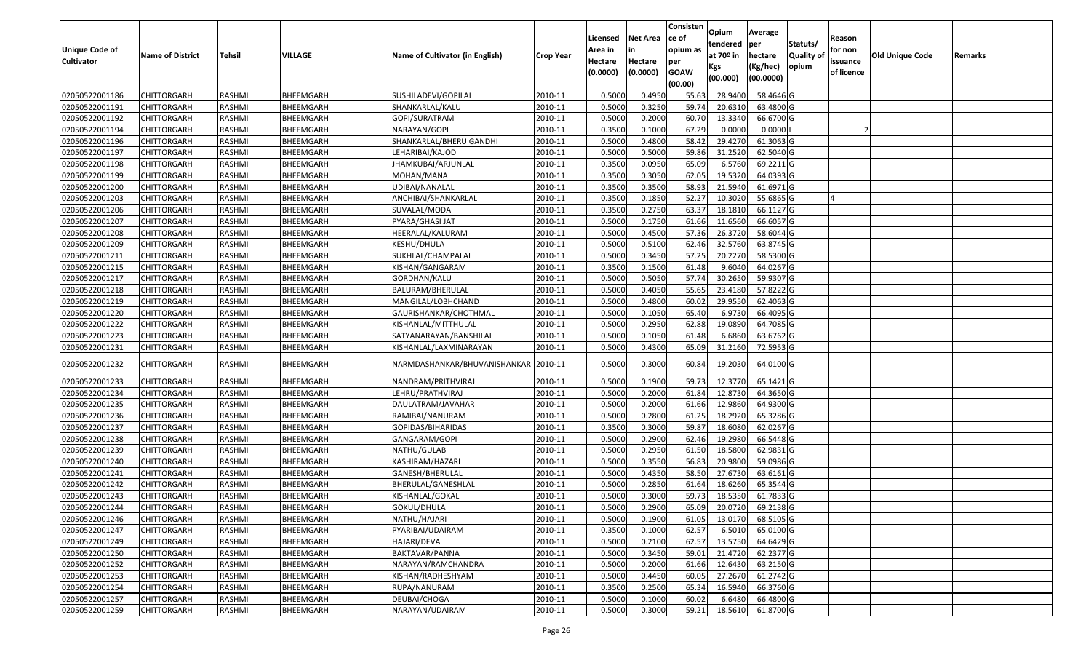|                       |                         |               |           |                                      |                  | Licensed | <b>Net Area</b> | Consisten<br>ce of     | Opium                   | Average        | Statuts/         | Reason     |                        |         |
|-----------------------|-------------------------|---------------|-----------|--------------------------------------|------------------|----------|-----------------|------------------------|-------------------------|----------------|------------------|------------|------------------------|---------|
| <b>Unique Code of</b> | <b>Name of District</b> | <b>Tehsil</b> | VILLAGE   | Name of Cultivator (in English)      | <b>Crop Year</b> | Area in  |                 | opium as               | tendered<br>at $70°$ in | per<br>hectare | <b>Quality o</b> | for non    | <b>Old Unique Code</b> | Remarks |
| <b>Cultivator</b>     |                         |               |           |                                      |                  | Hectare  | Hectare         | per                    | Kgs                     | (Kg/hec)       | opium            | issuance   |                        |         |
|                       |                         |               |           |                                      |                  | (0.0000) | (0.0000)        | <b>GOAW</b><br>(00.00) | (00.000)                | (00.0000)      |                  | of licence |                        |         |
| 02050522001186        | CHITTORGARH             | RASHMI        | BHEEMGARH | SUSHILADEVI/GOPILAL                  | 2010-11          | 0.5000   | 0.4950          | 55.63                  | 28.9400                 | 58.4646 G      |                  |            |                        |         |
| 02050522001191        | CHITTORGARH             | RASHMI        | BHEEMGARH | SHANKARLAL/KALU                      | 2010-11          | 0.5000   | 0.3250          | 59.74                  | 20.6310                 | 63.4800 G      |                  |            |                        |         |
| 02050522001192        | CHITTORGARH             | RASHMI        | BHEEMGARH | GOPI/SURATRAM                        | 2010-11          | 0.5000   | 0.2000          | 60.70                  | 13.3340                 | 66.6700 G      |                  |            |                        |         |
| 02050522001194        | <b>CHITTORGARH</b>      | RASHMI        | BHEEMGARH | NARAYAN/GOPI                         | 2010-11          | 0.3500   | 0.1000          | 67.29                  | 0.0000                  | 0.0000         |                  |            |                        |         |
| 02050522001196        | CHITTORGARH             | RASHMI        | BHEEMGARH | SHANKARLAL/BHERU GANDHI              | 2010-11          | 0.5000   | 0.4800          | 58.42                  | 29.4270                 | 61.3063 G      |                  |            |                        |         |
| 02050522001197        | CHITTORGARH             | RASHMI        | BHEEMGARH | LEHARIBAI/KAJOD                      | 2010-11          | 0.5000   | 0.5000          | 59.86                  | 31.2520                 | 62.5040 G      |                  |            |                        |         |
| 02050522001198        | CHITTORGARH             | RASHMI        | BHEEMGARH | IHAMKUBAI/ARJUNLAL                   | 2010-11          | 0.3500   | 0.0950          | 65.09                  | 6.5760                  | 69.2211 G      |                  |            |                        |         |
| 02050522001199        | <b>CHITTORGARH</b>      | <b>RASHMI</b> | BHEEMGARH | MOHAN/MANA                           | 2010-11          | 0.3500   | 0.3050          | 62.05                  | 19.5320                 | 64.0393 G      |                  |            |                        |         |
| 02050522001200        | CHITTORGARH             | RASHMI        | BHEEMGARH | UDIBAI/NANALAL                       | 2010-11          | 0.3500   | 0.3500          | 58.93                  | 21.5940                 | 61.6971 G      |                  |            |                        |         |
| 02050522001203        | CHITTORGARH             | RASHMI        | BHEEMGARH | ANCHIBAI/SHANKARLAL                  | 2010-11          | 0.3500   | 0.1850          | 52.27                  | 10.3020                 | 55.6865 G      |                  |            |                        |         |
| 02050522001206        | CHITTORGARH             | RASHMI        | BHEEMGARH | SUVALAL/MODA                         | 2010-11          | 0.3500   | 0.2750          | 63.37                  | 18.1810                 | 66.1127 G      |                  |            |                        |         |
| 02050522001207        | CHITTORGARH             | RASHMI        | BHEEMGARH | PYARA/GHASI JAT                      | 2010-11          | 0.5000   | 0.1750          | 61.66                  | 11.6560                 | 66.6057 G      |                  |            |                        |         |
| 02050522001208        | <b>CHITTORGARH</b>      | RASHMI        | BHEEMGARH | HEERALAL/KALURAM                     | 2010-11          | 0.5000   | 0.4500          | 57.36                  | 26.3720                 | 58.6044 G      |                  |            |                        |         |
| 02050522001209        | <b>CHITTORGARH</b>      | RASHMI        | BHEEMGARH | KESHU/DHULA                          | 2010-11          | 0.5000   | 0.5100          | 62.46                  | 32.5760                 | 63.8745 G      |                  |            |                        |         |
| 02050522001211        | CHITTORGARH             | RASHMI        | BHEEMGARH | SUKHLAL/CHAMPALAL                    | 2010-11          | 0.5000   | 0.3450          | 57.25                  | 20.2270                 | 58.5300 G      |                  |            |                        |         |
| 02050522001215        | <b>CHITTORGARH</b>      | RASHMI        | BHEEMGARH | KISHAN/GANGARAM                      | 2010-11          | 0.3500   | 0.1500          | 61.48                  | 9.6040                  | 64.0267 G      |                  |            |                        |         |
| 02050522001217        | CHITTORGARH             | RASHMI        | BHEEMGARH | GORDHAN/KALU                         | 2010-11          | 0.5000   | 0.5050          | 57.74                  | 30.2650                 | 59.9307 G      |                  |            |                        |         |
| 02050522001218        | CHITTORGARH             | RASHMI        | BHEEMGARH | BALURAM/BHERULAL                     | 2010-11          | 0.5000   | 0.4050          | 55.65                  | 23.4180                 | 57.8222 G      |                  |            |                        |         |
| 02050522001219        | CHITTORGARH             | RASHMI        | BHEEMGARH | MANGILAL/LOBHCHAND                   | 2010-11          | 0.5000   | 0.4800          | 60.02                  | 29.9550                 | 62.4063 G      |                  |            |                        |         |
| 02050522001220        | CHITTORGARH             | RASHMI        | BHEEMGARH | GAURISHANKAR/CHOTHMAL                | 2010-11          | 0.5000   | 0.1050          | 65.40                  | 6.9730                  | 66.4095 G      |                  |            |                        |         |
| 02050522001222        | CHITTORGARH             | RASHMI        | BHEEMGARH | KISHANLAL/MITTHULAL                  | 2010-11          | 0.5000   | 0.2950          | 62.88                  | 19.0890                 | 64.7085 G      |                  |            |                        |         |
| 02050522001223        | CHITTORGARH             | RASHMI        | BHEEMGARH | SATYANARAYAN/BANSHILAL               | 2010-11          | 0.500    | 0.1050          | 61.48                  | 6.6860                  | 63.6762 G      |                  |            |                        |         |
| 02050522001231        | CHITTORGARH             | RASHMI        | BHEEMGARH | KISHANLAL/LAXMINARAYAN               | 2010-11          | 0.5000   | 0.4300          | 65.09                  | 31.2160                 | 72.5953 G      |                  |            |                        |         |
| 02050522001232        | CHITTORGARH             | RASHMI        | BHEEMGARH | NARMDASHANKAR/BHUVANISHANKAR 2010-11 |                  | 0.5000   | 0.3000          | 60.84                  | 19.2030                 | 64.0100 G      |                  |            |                        |         |
| 02050522001233        | CHITTORGARH             | RASHMI        | BHEEMGARH | NANDRAM/PRITHVIRAJ                   | 2010-11          | 0.5000   | 0.1900          | 59.73                  | 12.3770                 | 65.1421G       |                  |            |                        |         |
| 02050522001234        | CHITTORGARH             | RASHMI        | BHEEMGARH | LEHRU/PRATHVIRAJ                     | 2010-11          | 0.5000   | 0.2000          | 61.84                  | 12.8730                 | 64.3650 G      |                  |            |                        |         |
| 02050522001235        | CHITTORGARH             | RASHMI        | BHEEMGARH | DAULATRAM/JAVAHAR                    | 2010-11          | 0.5000   | 0.2000          | 61.66                  | 12.9860                 | 64.9300 G      |                  |            |                        |         |
| 02050522001236        | CHITTORGARH             | <b>RASHMI</b> | BHEEMGARH | RAMIBAI/NANURAM                      | 2010-11          | 0.5000   | 0.2800          | 61.25                  | 18.2920                 | 65.3286 G      |                  |            |                        |         |
| 02050522001237        | CHITTORGARH             | RASHMI        | BHEEMGARH | GOPIDAS/BIHARIDAS                    | 2010-11          | 0.3500   | 0.3000          | 59.87                  | 18.6080                 | 62.0267 G      |                  |            |                        |         |
| 02050522001238        | CHITTORGARH             | RASHMI        | BHEEMGARH | GANGARAM/GOPI                        | 2010-11          | 0.5000   | 0.2900          | 62.46                  | 19.2980                 | 66.5448 G      |                  |            |                        |         |
| 02050522001239        | CHITTORGARH             | RASHMI        | BHEEMGARH | NATHU/GULAB                          | 2010-11          | 0.5000   | 0.2950          | 61.50                  | 18.5800                 | 62.9831G       |                  |            |                        |         |
| 02050522001240        | CHITTORGARH             | RASHMI        | BHEEMGARH | KASHIRAM/HAZARI                      | 2010-11          | 0.5000   | 0.3550          | 56.83                  | 20.9800                 | 59.0986 G      |                  |            |                        |         |
| 02050522001241        | <b>CHITTORGARH</b>      | RASHMI        | BHEEMGARH | GANESH/BHERULAL                      | 2010-11          | 0.5000   | 0.4350          | 58.50                  | 27.6730                 | 63.6161 G      |                  |            |                        |         |
| 02050522001242        | CHITTORGARH             | RASHMI        | BHEEMGARH | BHERULAL/GANESHLAL                   | 2010-11          | 0.500    | 0.2850          | 61.64                  | 18.6260                 | 65.3544 G      |                  |            |                        |         |
| 02050522001243        | CHITTORGARH             | RASHMI        | BHEEMGARH | KISHANLAL/GOKAL                      | 2010-11          | 0.5000   | 0.3000          | 59.73                  | 18.5350                 | 61.7833 G      |                  |            |                        |         |
| 02050522001244        | <b>CHITTORGARH</b>      | RASHMI        | BHEEMGARH | GOKUL/DHULA                          | 2010-11          | 0.5000   | 0.2900          | 65.09                  | 20.0720                 | 69.2138 G      |                  |            |                        |         |
| 02050522001246        | <b>CHITTORGARH</b>      | RASHMI        | BHEEMGARH | NATHU/HAJARI                         | 2010-11          | 0.5000   | 0.1900          | 61.05                  | 13.0170                 | 68.5105 G      |                  |            |                        |         |
| 02050522001247        | <b>CHITTORGARH</b>      | RASHMI        | BHEEMGARH | PYARIBAI/UDAIRAM                     | 2010-11          | 0.3500   | 0.1000          | 62.57                  | 6.5010                  | 65.0100 G      |                  |            |                        |         |
| 02050522001249        | <b>CHITTORGARH</b>      | RASHMI        | BHEEMGARH | HAJARI/DEVA                          | 2010-11          | 0.5000   | 0.2100          | 62.57                  | 13.5750                 | 64.6429 G      |                  |            |                        |         |
| 02050522001250        | CHITTORGARH             | RASHMI        | BHEEMGARH | BAKTAVAR/PANNA                       | 2010-11          | 0.5000   | 0.3450          | 59.01                  | 21.4720                 | 62.2377 G      |                  |            |                        |         |
| 02050522001252        | <b>CHITTORGARH</b>      | RASHMI        | BHEEMGARH | NARAYAN/RAMCHANDRA                   | 2010-11          | 0.5000   | 0.2000          | 61.66                  | 12.6430                 | 63.2150 G      |                  |            |                        |         |
| 02050522001253        | <b>CHITTORGARH</b>      | RASHMI        | BHEEMGARH | KISHAN/RADHESHYAM                    | 2010-11          | 0.5000   | 0.4450          | 60.05                  | 27.2670                 | 61.2742 G      |                  |            |                        |         |
| 02050522001254        | CHITTORGARH             | RASHMI        | BHEEMGARH | RUPA/NANURAM                         | 2010-11          | 0.3500   | 0.2500          | 65.34                  | 16.5940                 | 66.3760 G      |                  |            |                        |         |
| 02050522001257        | CHITTORGARH             | RASHMI        | BHEEMGARH | DEUBAI/CHOGA                         | 2010-11          | 0.5000   | 0.1000          | 60.02                  | 6.6480                  | 66.4800 G      |                  |            |                        |         |
| 02050522001259        | <b>CHITTORGARH</b>      | RASHMI        | BHEEMGARH | NARAYAN/UDAIRAM                      | 2010-11          | 0.5000   | 0.3000          | 59.21                  | 18.5610                 | 61.8700 G      |                  |            |                        |         |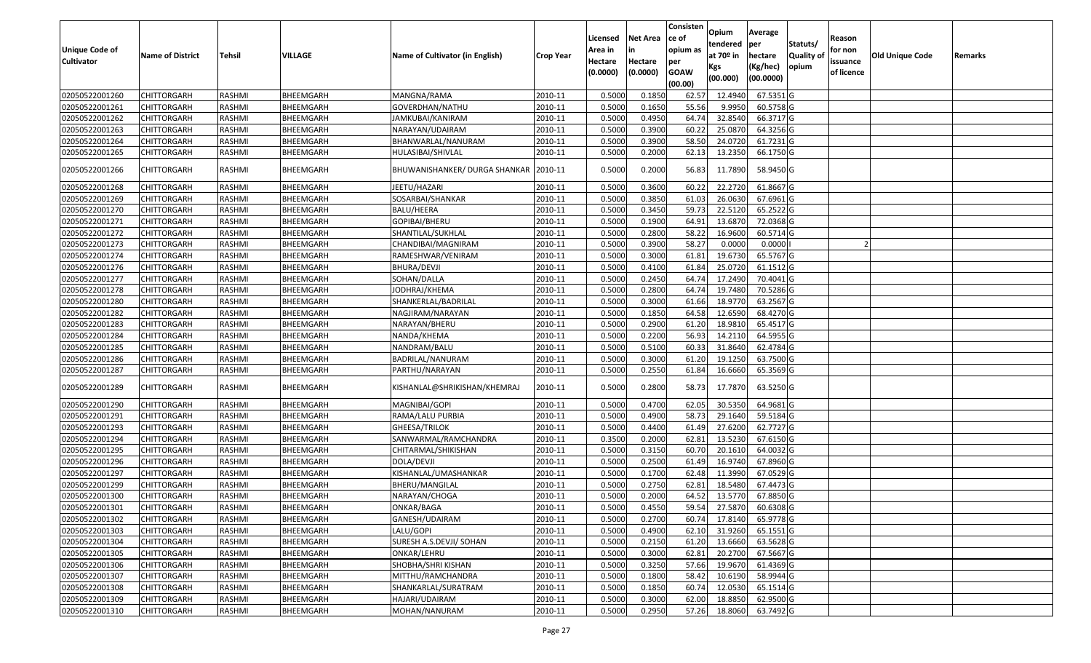| <b>Unique Code of</b><br><b>Cultivator</b> | <b>Name of District</b> | <b>Tehsil</b> | VILLAGE          | Name of Cultivator (in English) | <b>Crop Year</b> | Licensed<br>Area in<br>Hectare<br>(0.0000) | <b>Net Area</b><br>in<br>Hectare<br>(0.0000) | Consisten<br>ce of<br>opium as<br>per<br><b>GOAW</b><br>(00.00) | Opium<br>tendered<br>at $70°$ in<br>Kgs<br>(00.000) | Average<br>per<br>hectare<br>(Kg/hec)<br>(00.0000) | Statuts/<br>Quality of<br>opium | Reason<br>for non<br>issuance<br>of licence | <b>Old Unique Code</b> | Remarks |
|--------------------------------------------|-------------------------|---------------|------------------|---------------------------------|------------------|--------------------------------------------|----------------------------------------------|-----------------------------------------------------------------|-----------------------------------------------------|----------------------------------------------------|---------------------------------|---------------------------------------------|------------------------|---------|
| 02050522001260                             | <b>CHITTORGARH</b>      | RASHMI        | BHEEMGARH        | MANGNA/RAMA                     | 2010-11          | 0.5000                                     | 0.1850                                       | 62.57                                                           | 12.4940                                             | 67.5351 G                                          |                                 |                                             |                        |         |
| 02050522001261                             | CHITTORGARH             | RASHMI        | BHEEMGARH        | GOVERDHAN/NATHU                 | 2010-11          | 0.5000                                     | 0.1650                                       | 55.56                                                           | 9.9950                                              | 60.5758 G                                          |                                 |                                             |                        |         |
| 02050522001262                             | CHITTORGARH             | RASHMI        | BHEEMGARH        | JAMKUBAI/KANIRAM                | 2010-11          | 0.5000                                     | 0.4950                                       | 64.74                                                           | 32.8540                                             | 66.3717 G                                          |                                 |                                             |                        |         |
| 02050522001263                             | <b>CHITTORGARH</b>      | RASHMI        | BHEEMGARH        | NARAYAN/UDAIRAM                 | 2010-11          | 0.5000                                     | 0.3900                                       | 60.22                                                           | 25.0870                                             | 64.3256 G                                          |                                 |                                             |                        |         |
| 02050522001264                             | <b>CHITTORGARH</b>      | RASHMI        | BHEEMGARH        | BHANWARLAL/NANURAM              | 2010-11          | 0.5000                                     | 0.3900                                       | 58.50                                                           | 24.0720                                             | 61.7231 G                                          |                                 |                                             |                        |         |
| 02050522001265                             | CHITTORGARH             | RASHMI        | BHEEMGARH        | HULASIBAI/SHIVLAL               | 2010-11          | 0.5000                                     | 0.2000                                       | 62.13                                                           | 13.2350                                             | 66.1750 G                                          |                                 |                                             |                        |         |
| 02050522001266                             | CHITTORGARH             | RASHMI        | BHEEMGARH        | BHUWANISHANKER/ DURGA SHANKAR   | 2010-11          | 0.5000                                     | 0.2000                                       | 56.83                                                           | 11.7890                                             | 58.9450 G                                          |                                 |                                             |                        |         |
| 02050522001268                             | <b>CHITTORGARH</b>      | RASHMI        | BHEEMGARH        | JEETU/HAZARI                    | 2010-11          | 0.5000                                     | 0.3600                                       | 60.22                                                           | 22.272                                              | 61.8667 G                                          |                                 |                                             |                        |         |
| 02050522001269                             | CHITTORGARH             | RASHMI        | BHEEMGARH        | SOSARBAI/SHANKAR                | 2010-11          | 0.500                                      | 0.3850                                       | 61.03                                                           | 26.0630                                             | 67.6961G                                           |                                 |                                             |                        |         |
| 02050522001270                             | CHITTORGARH             | RASHMI        | BHEEMGARH        | BALU/HEERA                      | 2010-11          | 0.5000                                     | 0.3450                                       | 59.73                                                           | 22.5120                                             | 65.2522 G                                          |                                 |                                             |                        |         |
| 02050522001271                             | CHITTORGARH             | RASHMI        | BHEEMGARH        | GOPIBAI/BHERU                   | 2010-11          | 0.5000                                     | 0.1900                                       | 64.91                                                           | 13.6870                                             | 72.0368G                                           |                                 |                                             |                        |         |
| 02050522001272                             | CHITTORGARH             | RASHMI        | BHEEMGARH        | SHANTILAL/SUKHLAL               | 2010-11          | 0.5000                                     | 0.2800                                       | 58.22                                                           | 16.9600                                             | 60.5714 G                                          |                                 |                                             |                        |         |
| 02050522001273                             | CHITTORGARH             | RASHMI        | BHEEMGARH        | CHANDIBAI/MAGNIRAM              | 2010-11          | 0.5000                                     | 0.3900                                       | 58.27                                                           | 0.0000                                              | 0.0000                                             |                                 |                                             |                        |         |
| 02050522001274                             | CHITTORGARH             | RASHMI        | BHEEMGARH        | RAMESHWAR/VENIRAM               | 2010-11          | 0.5000                                     | 0.3000                                       | 61.81                                                           | 19.6730                                             | 65.5767 G                                          |                                 |                                             |                        |         |
| 02050522001276                             | <b>CHITTORGARH</b>      | RASHMI        | BHEEMGARH        | BHURA/DEVJI                     | 2010-11          | 0.5000                                     | 0.4100                                       | 61.84                                                           | 25.0720                                             | $61.1512$ G                                        |                                 |                                             |                        |         |
| 02050522001277                             | CHITTORGARH             | RASHMI        | BHEEMGARH        | SOHAN/DALLA                     | 2010-11          | 0.5000                                     | 0.2450                                       | 64.7                                                            | 17.2490                                             | 70.4041G                                           |                                 |                                             |                        |         |
| 02050522001278                             | CHITTORGARH             | RASHMI        | BHEEMGARH        | JODHRAJ/KHEMA                   | 2010-11          | 0.5000                                     | 0.2800                                       | 64.74                                                           | 19.7480                                             | 70.5286 G                                          |                                 |                                             |                        |         |
| 02050522001280                             | CHITTORGARH             | RASHMI        | <b>BHEEMGARH</b> | SHANKERLAL/BADRILAL             | 2010-11          | 0.5000                                     | 0.3000                                       | 61.66                                                           | 18.9770                                             | 63.2567 G                                          |                                 |                                             |                        |         |
| 02050522001282                             | CHITTORGARH             | RASHMI        | BHEEMGARH        | NAGJIRAM/NARAYAN                | 2010-11          | 0.5000                                     | 0.1850                                       | 64.58                                                           | 12.6590                                             | 68.4270 G                                          |                                 |                                             |                        |         |
| 02050522001283                             | CHITTORGARH             | RASHMI        | <b>BHEEMGARH</b> | NARAYAN/BHERU                   | 2010-11          | 0.5000                                     | 0.2900                                       | 61.20                                                           | 18.981                                              | 65.4517 G                                          |                                 |                                             |                        |         |
| 02050522001284                             | CHITTORGARH             | RASHMI        | BHEEMGARH        | NANDA/KHEMA                     | 2010-11          | 0.5000                                     | 0.2200                                       | 56.93                                                           | 14.2110                                             | 64.5955 G                                          |                                 |                                             |                        |         |
| 02050522001285                             | CHITTORGARH             | RASHMI        | BHEEMGARH        | NANDRAM/BALU                    | 2010-11          | 0.5000                                     | 0.5100                                       | 60.3                                                            | 31.8640                                             | 62.4784 G                                          |                                 |                                             |                        |         |
| 02050522001286                             | CHITTORGARH             | RASHMI        | BHEEMGARH        | BADRILAL/NANURAM                | 2010-11          | 0.5000                                     | 0.3000                                       | 61.20                                                           | 19.1250                                             | 63.7500 G                                          |                                 |                                             |                        |         |
| 02050522001287                             | CHITTORGARH             | RASHMI        | BHEEMGARH        | PARTHU/NARAYAN                  | 2010-11          | 0.5000                                     | 0.2550                                       | 61.84                                                           | 16.6660                                             | 65.3569 G                                          |                                 |                                             |                        |         |
| 02050522001289                             | CHITTORGARH             | RASHMI        | BHEEMGARH        | KISHANLAL@SHRIKISHAN/KHEMRAJ    | 2010-11          | 0.5000                                     | 0.2800                                       | 58.73                                                           | 17.7870                                             | 63.5250 G                                          |                                 |                                             |                        |         |
| 02050522001290                             | <b>CHITTORGARH</b>      | RASHMI        | BHEEMGARH        | MAGNIBAI/GOPI                   | 2010-11          | 0.5000                                     | 0.4700                                       | 62.05                                                           | 30.5350                                             | 64.9681 G                                          |                                 |                                             |                        |         |
| 02050522001291                             | <b>CHITTORGARH</b>      | RASHMI        | BHEEMGARH        | RAMA/LALU PURBIA                | 2010-11          | 0.5000                                     | 0.4900                                       | 58.73                                                           | 29.1640                                             | 59.5184 G                                          |                                 |                                             |                        |         |
| 02050522001293                             | <b>CHITTORGARH</b>      | RASHMI        | BHEEMGARH        | GHEESA/TRILOK                   | 2010-11          | 0.5000                                     | 0.4400                                       | 61.49                                                           | 27.6200                                             | 62.7727 G                                          |                                 |                                             |                        |         |
| 02050522001294                             | CHITTORGARH             | RASHMI        | BHEEMGARH        | SANWARMAL/RAMCHANDRA            | 2010-11          | 0.3500                                     | 0.2000                                       | 62.8                                                            | 13.5230                                             | 67.6150 G                                          |                                 |                                             |                        |         |
| 02050522001295                             | <b>CHITTORGARH</b>      | RASHMI        | BHEEMGARH        | CHITARMAL/SHIKISHAN             | 2010-11          | 0.5000                                     | 0.3150                                       | 60.7                                                            | 20.1610                                             | 64.0032 G                                          |                                 |                                             |                        |         |
| 02050522001296                             | CHITTORGARH             | RASHMI        | BHEEMGARH        | DOLA/DEVJI                      | 2010-11          | 0.5000                                     | 0.2500                                       | 61.49                                                           | 16.974                                              | 67.8960 G                                          |                                 |                                             |                        |         |
| 02050522001297                             | CHITTORGARH             | RASHMI        | BHEEMGARH        | KISHANLAL/UMASHANKAR            | 2010-11          | 0.5000                                     | 0.1700                                       | 62.48                                                           | 11.3990                                             | 67.0529 G                                          |                                 |                                             |                        |         |
| 02050522001299                             | CHITTORGARH             | RASHMI        | BHEEMGARH        | BHERU/MANGILAL                  | 2010-11          | 0.500                                      | 0.2750                                       | 62.8                                                            | 18.5480                                             | 67.4473 G                                          |                                 |                                             |                        |         |
| 02050522001300                             | CHITTORGARH             | RASHMI        | BHEEMGARH        | NARAYAN/CHOGA                   | 2010-11          | 0.500                                      | 0.2000                                       | 64.52                                                           | 13.5770                                             | 67.8850 G                                          |                                 |                                             |                        |         |
| 02050522001301                             | <b>CHITTORGARH</b>      | RASHMI        | BHEEMGARH        | ONKAR/BAGA                      | 2010-11          | 0.5000                                     | 0.4550                                       | 59.54                                                           | 27.5870                                             | 60.6308 G                                          |                                 |                                             |                        |         |
| 02050522001302                             | <b>CHITTORGARH</b>      | RASHMI        | BHEEMGARH        | GANESH/UDAIRAM                  | 2010-11          | 0.5000                                     | 0.2700                                       | 60.74                                                           | 17.8140                                             | 65.9778 G                                          |                                 |                                             |                        |         |
| 02050522001303                             | <b>CHITTORGARH</b>      | RASHMI        | BHEEMGARH        | LALU/GOPI                       | 2010-11          | 0.5000                                     | 0.4900                                       | 62.10                                                           | 31.9260                                             | 65.1551 G                                          |                                 |                                             |                        |         |
| 02050522001304                             | <b>CHITTORGARH</b>      | RASHMI        | BHEEMGARH        | SURESH A.S.DEVJI/ SOHAN         | 2010-11          | 0.5000                                     | 0.2150                                       | 61.20                                                           | 13.6660                                             | 63.5628 G                                          |                                 |                                             |                        |         |
| 02050522001305                             | <b>CHITTORGARH</b>      | RASHMI        | BHEEMGARH        | ONKAR/LEHRU                     | 2010-11          | 0.5000                                     | 0.3000                                       | 62.81                                                           | 20.2700                                             | 67.5667 G                                          |                                 |                                             |                        |         |
| 02050522001306                             | <b>CHITTORGARH</b>      | RASHMI        | BHEEMGARH        | SHOBHA/SHRI KISHAN              | 2010-11          | 0.5000                                     | 0.3250                                       | 57.66                                                           | 19.9670                                             | 61.4369 G                                          |                                 |                                             |                        |         |
| 02050522001307                             | <b>CHITTORGARH</b>      | RASHMI        | BHEEMGARH        | MITTHU/RAMCHANDRA               | 2010-11          | 0.5000                                     | 0.1800                                       | 58.42                                                           | 10.6190                                             | 58.9944 G                                          |                                 |                                             |                        |         |
| 02050522001308                             | <b>CHITTORGARH</b>      | RASHMI        | BHEEMGARH        | SHANKARLAL/SURATRAM             | 2010-11          | 0.5000                                     | 0.1850                                       | 60.74                                                           | 12.0530                                             | 65.1514 G                                          |                                 |                                             |                        |         |
| 02050522001309                             | CHITTORGARH             | RASHMI        | BHEEMGARH        | HAJARI/UDAIRAM                  | 2010-11          | 0.5000                                     | 0.3000                                       | 62.00                                                           | 18.8850                                             | 62.9500 G                                          |                                 |                                             |                        |         |
| 02050522001310                             | CHITTORGARH             | RASHMI        | BHEEMGARH        | MOHAN/NANURAM                   | 2010-11          | 0.5000                                     | 0.2950                                       | 57.26                                                           | 18.8060                                             | 63.7492 G                                          |                                 |                                             |                        |         |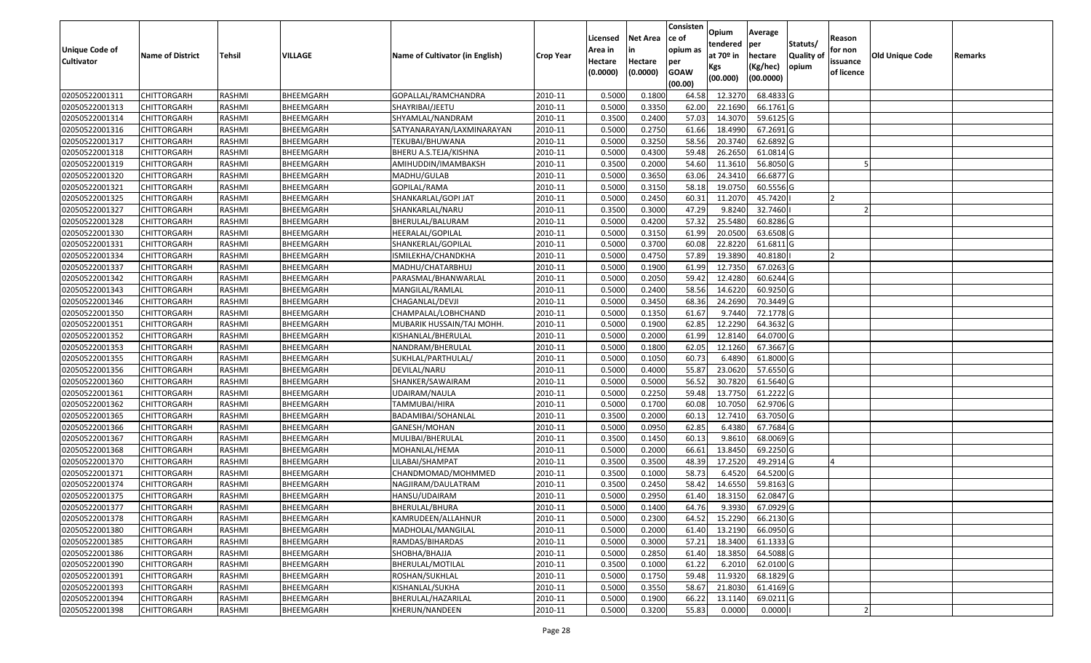|                       |                                   |               |                               |                                 |                  |          |                 | Consisten   | Opium       | Average     |                  |            |                 |         |
|-----------------------|-----------------------------------|---------------|-------------------------------|---------------------------------|------------------|----------|-----------------|-------------|-------------|-------------|------------------|------------|-----------------|---------|
|                       |                                   |               |                               |                                 |                  | Licensed | <b>Net Area</b> | ce of       | tendered    | per         | Statuts/         | Reason     |                 |         |
| <b>Unique Code of</b> | <b>Name of District</b>           | <b>Tehsil</b> | VILLAGE                       | Name of Cultivator (in English) | <b>Crop Year</b> | Area in  | in              | opium as    | at $70°$ in | hectare     | <b>Quality o</b> | for non    | Old Unique Code | Remarks |
| <b>Cultivator</b>     |                                   |               |                               |                                 |                  | Hectare  | Hectare         | per         | Kgs         | (Kg/hec)    | opium            | issuance   |                 |         |
|                       |                                   |               |                               |                                 |                  | (0.0000) | (0.0000)        | <b>GOAW</b> | (00.000)    | (00.0000)   |                  | of licence |                 |         |
|                       |                                   |               |                               |                                 |                  |          |                 | (00.00)     |             |             |                  |            |                 |         |
| 02050522001311        | CHITTORGARH                       | RASHMI        | BHEEMGARH                     | GOPALLAL/RAMCHANDRA             | 2010-11          | 0.5000   | 0.1800          | 64.58       | 12.3270     | 68.4833 G   |                  |            |                 |         |
| 02050522001313        | CHITTORGARH                       | RASHMI        | BHEEMGARH                     | SHAYRIBAI/JEETU                 | 2010-11          | 0.5000   | 0.3350          | 62.00       | 22.1690     | 66.1761G    |                  |            |                 |         |
| 02050522001314        | CHITTORGARH<br><b>CHITTORGARH</b> | RASHMI        | BHEEMGARH                     | SHYAMLAL/NANDRAM                | 2010-11          | 0.3500   | 0.2400          | 57.03       | 14.3070     | 59.6125 G   |                  |            |                 |         |
| 02050522001316        |                                   | RASHMI        | BHEEMGARH                     | SATYANARAYAN/LAXMINARAYAN       | 2010-11          | 0.5000   | 0.2750          | 61.66       | 18.4990     | 67.2691G    |                  |            |                 |         |
| 02050522001317        | CHITTORGARH                       | RASHMI        | BHEEMGARH<br><b>BHEEMGARH</b> | TEKUBAI/BHUWANA                 | 2010-11          | 0.5000   | 0.3250          | 58.56       | 20.374      | 62.6892 G   |                  |            |                 |         |
| 02050522001318        | CHITTORGARH                       | RASHMI        |                               | BHERU A.S.TEJA/KISHNA           | 2010-11          | 0.5000   | 0.4300          | 59.48       | 26.2650     | 61.0814 G   |                  |            |                 |         |
| 02050522001319        | CHITTORGARH                       | RASHMI        | BHEEMGARH                     | AMIHUDDIN/IMAMBAKSH             | 2010-11          | 0.3500   | 0.2000          | 54.60       | 11.3610     | 56.8050 G   |                  |            |                 |         |
| 02050522001320        | CHITTORGARH                       | <b>RASHMI</b> | BHEEMGARH                     | MADHU/GULAB                     | 2010-11          | 0.5000   | 0.3650          | 63.06       | 24.3410     | 66.6877 G   |                  |            |                 |         |
| 02050522001321        | CHITTORGARH                       | RASHMI        | BHEEMGARH                     | GOPILAL/RAMA                    | 2010-11          | 0.5000   | 0.3150          | 58.18       | 19.075      | 60.5556 G   |                  |            |                 |         |
| 02050522001325        | CHITTORGARH                       | RASHMI        | BHEEMGARH                     | SHANKARLAL/GOPI JAT             | 2010-11          | 0.5000   | 0.2450          | 60.3        | 11.2070     | 45.7420     |                  |            |                 |         |
| 02050522001327        | CHITTORGARH                       | RASHMI        | BHEEMGARH                     | SHANKARLAL/NARU                 | 2010-11          | 0.3500   | 0.3000          | 47.29       | 9.8240      | 32.7460     |                  |            |                 |         |
| 02050522001328        | CHITTORGARH                       | RASHMI        | BHEEMGARH                     | BHERULAL/BALURAM                | 2010-11          | 0.5000   | 0.4200          | 57.32       | 25.5480     | 60.8286 G   |                  |            |                 |         |
| 02050522001330        | <b>CHITTORGARH</b>                | RASHMI        | BHEEMGARH                     | HEERALAL/GOPILAL                | 2010-11          | 0.5000   | 0.3150          | 61.99       | 20.0500     | 63.6508 G   |                  |            |                 |         |
| 02050522001331        | <b>CHITTORGARH</b>                | RASHMI        | BHEEMGARH                     | SHANKERLAL/GOPILAL              | 2010-11          | 0.5000   | 0.3700          | 60.08       | 22.8220     | $61.6811$ G |                  |            |                 |         |
| 02050522001334        | CHITTORGARH                       | RASHMI        | BHEEMGARH                     | ISMILEKHA/CHANDKHA              | 2010-11          | 0.5000   | 0.4750          | 57.89       | 19.3890     | 40.8180     |                  |            |                 |         |
| 02050522001337        | <b>CHITTORGARH</b>                | RASHMI        | BHEEMGARH                     | MADHU/CHATARBHUJ                | 2010-11          | 0.5000   | 0.1900          | 61.99       | 12.7350     | 67.0263 G   |                  |            |                 |         |
| 02050522001342        | CHITTORGARH                       | RASHMI        | BHEEMGARH                     | PARASMAL/BHANWARLAL             | 2010-11          | 0.5000   | 0.2050          | 59.42       | 12.4280     | 60.6244 G   |                  |            |                 |         |
| 02050522001343        | CHITTORGARH                       | RASHMI        | BHEEMGARH                     | MANGILAL/RAMLAL                 | 2010-11          | 0.5000   | 0.2400          | 58.56       | 14.6220     | 60.9250 G   |                  |            |                 |         |
| 02050522001346        | CHITTORGARH                       | RASHMI        | BHEEMGARH                     | CHAGANLAL/DEVJI                 | 2010-11          | 0.5000   | 0.3450          | 68.36       | 24.2690     | 70.3449 G   |                  |            |                 |         |
| 02050522001350        | CHITTORGARH                       | RASHMI        | BHEEMGARH                     | CHAMPALAL/LOBHCHAND             | 2010-11          | 0.5000   | 0.1350          | 61.67       | 9.7440      | 72.1778 G   |                  |            |                 |         |
| 02050522001351        | CHITTORGARH                       | RASHMI        | BHEEMGARH                     | MUBARIK HUSSAIN/TAJ MOHH.       | 2010-11          | 0.5000   | 0.1900          | 62.85       | 12.2290     | 64.3632 G   |                  |            |                 |         |
| 02050522001352        | CHITTORGARH                       | RASHMI        | BHEEMGARH                     | KISHANLAL/BHERULAL              | 2010-11          | 0.500    | 0.2000          | 61.99       | 12.8140     | 64.0700 G   |                  |            |                 |         |
| 02050522001353        | CHITTORGARH                       | RASHMI        | BHEEMGARH                     | NANDRAM/BHERULAL                | 2010-11          | 0.5000   | 0.1800          | 62.05       | 12.1260     | 67.3667 G   |                  |            |                 |         |
| 02050522001355        | <b>CHITTORGARH</b>                | RASHMI        | BHEEMGARH                     | SUKHLAL/PARTHULAL/              | 2010-11          | 0.5000   | 0.1050          | 60.73       | 6.4890      | 61.8000 G   |                  |            |                 |         |
| 02050522001356        | CHITTORGARH                       | RASHMI        | BHEEMGARH                     | DEVILAL/NARU                    | 2010-11          | 0.5000   | 0.4000          | 55.87       | 23.0620     | 57.6550 G   |                  |            |                 |         |
| 02050522001360        | CHITTORGARH                       | RASHMI        | BHEEMGARH                     | SHANKER/SAWAIRAM                | 2010-11          | 0.5000   | 0.5000          | 56.52       | 30.7820     | 61.5640 G   |                  |            |                 |         |
| 02050522001361        | CHITTORGARH                       | RASHMI        | BHEEMGARH                     | UDAIRAM/NAULA                   | 2010-11          | 0.5000   | 0.2250          | 59.48       | 13.7750     | $61.2222$ G |                  |            |                 |         |
| 02050522001362        | CHITTORGARH                       | RASHMI        | BHEEMGARH                     | TAMMUBAI/HIRA                   | 2010-11          | 0.5000   | 0.1700          | 60.08       | 10.705      | 62.9706 G   |                  |            |                 |         |
| 02050522001365        | CHITTORGARH                       | RASHMI        | BHEEMGARH                     | BADAMIBAI/SOHANLAL              | 2010-11          | 0.3500   | 0.2000          | 60.13       | 12.7410     | 63.7050 G   |                  |            |                 |         |
| 02050522001366        | CHITTORGARH                       | RASHMI        | BHEEMGARH                     | GANESH/MOHAN                    | 2010-11          | 0.5000   | 0.0950          | 62.85       | 6.4380      | $67.7684$ G |                  |            |                 |         |
| 02050522001367        | CHITTORGARH                       | RASHMI        | BHEEMGARH                     | MULIBAI/BHERULAL                | 2010-11          | 0.3500   | 0.1450          | 60.1        | 9.861       | 68.0069 G   |                  |            |                 |         |
| 02050522001368        | CHITTORGARH                       | RASHMI        | BHEEMGARH                     | MOHANLAL/HEMA                   | 2010-11          | 0.5000   | 0.2000          | 66.6        | 13.845      | 69.2250 G   |                  |            |                 |         |
| 02050522001370        | CHITTORGARH                       | <b>RASHMI</b> | BHEEMGARH                     | LILABAI/SHAMPAT                 | 2010-11          | 0.3500   | 0.3500          | 48.39       | 17.2520     | 49.2914 G   |                  |            |                 |         |
| 02050522001371        | <b>CHITTORGARH</b>                | RASHMI        | BHEEMGARH                     | CHANDMOMAD/MOHMMED              | 2010-11          | 0.3500   | 0.1000          | 58.73       | 6.4520      | 64.5200 G   |                  |            |                 |         |
| 02050522001374        | CHITTORGARH                       | RASHMI        | BHEEMGARH                     | NAGJIRAM/DAULATRAM              | 2010-11          | 0.350    | 0.2450          | 58.42       | 14.6550     | 59.8163 G   |                  |            |                 |         |
| 02050522001375        | CHITTORGARH                       | RASHMI        | BHEEMGARH                     | HANSU/UDAIRAM                   | 2010-11          | 0.5000   | 0.2950          | 61.40       | 18.3150     | 62.0847 G   |                  |            |                 |         |
| 02050522001377        | <b>CHITTORGARH</b>                | RASHMI        | BHEEMGARH                     | BHERULAL/BHURA                  | 2010-11          | 0.5000   | 0.1400          | 64.76       | 9.3930      | 67.0929 G   |                  |            |                 |         |
| 02050522001378        | <b>CHITTORGARH</b>                | RASHMI        | BHEEMGARH                     | KAMRUDEEN/ALLAHNUR              | 2010-11          | 0.5000   | 0.2300          | 64.52       | 15.2290     | 66.2130 G   |                  |            |                 |         |
| 02050522001380        | <b>CHITTORGARH</b>                | RASHMI        | BHEEMGARH                     | MADHOLAL/MANGILAL               | 2010-11          | 0.5000   | 0.2000          | 61.40       | 13.2190     | 66.0950 G   |                  |            |                 |         |
| 02050522001385        | <b>CHITTORGARH</b>                | RASHMI        | BHEEMGARH                     | RAMDAS/BIHARDAS                 | 2010-11          | 0.5000   | 0.3000          | 57.21       | 18.3400     | 61.1333 G   |                  |            |                 |         |
| 02050522001386        | CHITTORGARH                       | RASHMI        | BHEEMGARH                     | <b>SHOBHA/BHAJJA</b>            | 2010-11          | 0.5000   | 0.2850          | 61.40       | 18.3850     | 64.5088 G   |                  |            |                 |         |
| 02050522001390        | <b>CHITTORGARH</b>                | RASHMI        | BHEEMGARH                     | BHERULAL/MOTILAL                | 2010-11          | 0.3500   | 0.1000          | 61.22       | 6.2010      | 62.0100 G   |                  |            |                 |         |
| 02050522001391        | <b>CHITTORGARH</b>                | RASHMI        | BHEEMGARH                     | ROSHAN/SUKHLAL                  | 2010-11          | 0.5000   | 0.1750          | 59.48       | 11.9320     | 68.1829 G   |                  |            |                 |         |
| 02050522001393        | <b>CHITTORGARH</b>                | RASHMI        | BHEEMGARH                     | KISHANLAL/SUKHA                 | 2010-11          | 0.5000   | 0.3550          | 58.67       | 21.8030     | 61.4169 G   |                  |            |                 |         |
| 02050522001394        | <b>CHITTORGARH</b>                | RASHMI        | BHEEMGARH                     | BHERULAL/HAZARILAL              | 2010-11          | 0.5000   | 0.1900          | 66.22       | 13.1140     | 69.0211G    |                  |            |                 |         |
| 02050522001398        | <b>CHITTORGARH</b>                | RASHMI        | BHEEMGARH                     | KHERUN/NANDEEN                  | 2010-11          | 0.5000   | 0.3200          | 55.83       | 0.0000      | 0.0000      |                  |            |                 |         |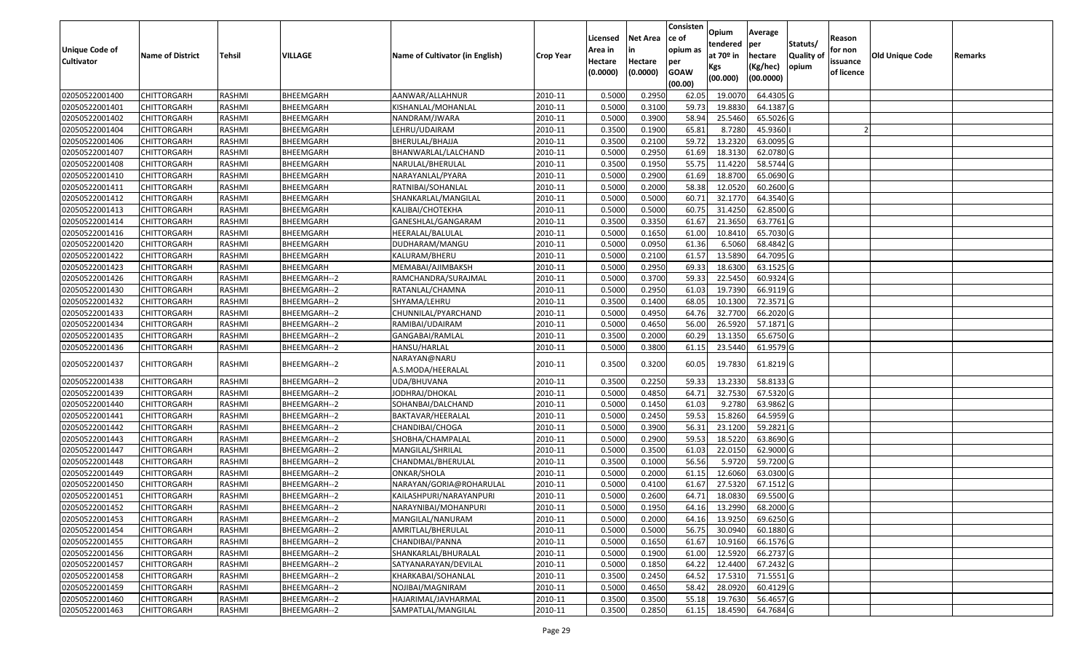|                       |                         |               |                  |                                 |                  |                     |                     | Consisten          | Opium         | Average   |                  |                        |                 |         |
|-----------------------|-------------------------|---------------|------------------|---------------------------------|------------------|---------------------|---------------------|--------------------|---------------|-----------|------------------|------------------------|-----------------|---------|
|                       |                         |               |                  |                                 |                  | Licensed            | <b>Net Area</b>     | ce of              | tendered      | per       | Statuts/         | Reason                 |                 |         |
| <b>Unique Code of</b> | <b>Name of District</b> | <b>Tehsil</b> | VILLAGE          | Name of Cultivator (in English) | <b>Crop Year</b> | Area in             | in                  | opium as           | at $70°$ in   | hectare   | <b>Quality o</b> | for non                | Old Unique Code | Remarks |
| <b>Cultivator</b>     |                         |               |                  |                                 |                  | Hectare<br>(0.0000) | Hectare<br>(0.0000) | per<br><b>GOAW</b> | Kgs           | (Kg/hec)  | opium            | issuance<br>of licence |                 |         |
|                       |                         |               |                  |                                 |                  |                     |                     | (00.00)            | (00.000)      | (00.0000) |                  |                        |                 |         |
| 02050522001400        | CHITTORGARH             | RASHMI        | BHEEMGARH        | AANWAR/ALLAHNUR                 | 2010-11          | 0.5000              | 0.2950              | 62.05              | 19.007        | 64.4305 G |                  |                        |                 |         |
| 02050522001401        | CHITTORGARH             | RASHMI        | BHEEMGARH        | KISHANLAL/MOHANLAL              | 2010-11          | 0.5000              | 0.3100              | 59.73              | 19.8830       | 64.1387 G |                  |                        |                 |         |
| 02050522001402        | CHITTORGARH             | RASHMI        | BHEEMGARH        | NANDRAM/JWARA                   | 2010-11          | 0.5000              | 0.3900              | 58.94              | 25.5460       | 65.5026 G |                  |                        |                 |         |
| 02050522001404        | <b>CHITTORGARH</b>      | RASHMI        | BHEEMGARH        | LEHRU/UDAIRAM                   | 2010-11          | 0.3500              | 0.1900              | 65.81              | 8.7280        | 45.9360   |                  |                        |                 |         |
| 02050522001406        | CHITTORGARH             | RASHMI        | BHEEMGARH        | BHERULAL/BHAJJA                 | 2010-11          | 0.3500              | 0.2100              | 59.72              | 13.2320       | 63.0095 G |                  |                        |                 |         |
| 02050522001407        | CHITTORGARH             | RASHMI        | <b>BHEEMGARH</b> | BHANWARLAL/LALCHAND             | 2010-11          | 0.5000              | 0.2950              | 61.69              | 18.3130       | 62.0780 G |                  |                        |                 |         |
| 02050522001408        | CHITTORGARH             | RASHMI        | BHEEMGARH        | NARULAL/BHERULAL                | 2010-11          | 0.3500              | 0.1950              | 55.75              | 11.4220       | 58.5744 G |                  |                        |                 |         |
| 02050522001410        | <b>CHITTORGARH</b>      | <b>RASHMI</b> | BHEEMGARH        | NARAYANLAL/PYARA                | 2010-11          | 0.5000              | 0.2900              | 61.69              | 18.8700       | 65.0690G  |                  |                        |                 |         |
| 02050522001411        | CHITTORGARH             | RASHMI        | BHEEMGARH        | RATNIBAI/SOHANLAL               | 2010-11          | 0.5000              | 0.2000              | 58.38              | 12.0520       | 60.2600 G |                  |                        |                 |         |
| 02050522001412        | CHITTORGARH             | RASHMI        | BHEEMGARH        | SHANKARLAL/MANGILAL             | 2010-11          | 0.5000              | 0.5000              | 60.7               | 32.1770       | 64.3540 G |                  |                        |                 |         |
| 02050522001413        | CHITTORGARH             | RASHMI        | BHEEMGARH        | KALIBAI/CHOTEKHA                | 2010-11          | 0.5000              | 0.5000              | 60.75              | 31.4250       | 62.8500 G |                  |                        |                 |         |
| 02050522001414        | CHITTORGARH             | RASHMI        | BHEEMGARH        | GANESHLAL/GANGARAM              | 2010-11          | 0.3500              | 0.3350              | 61.67              | 21.3650       | 63.7761G  |                  |                        |                 |         |
| 02050522001416        | <b>CHITTORGARH</b>      | RASHMI        | BHEEMGARH        | HEERALAL/BALULAL                | 2010-11          | 0.5000              | 0.1650              | 61.00              | 10.8410       | 65.7030 G |                  |                        |                 |         |
| 02050522001420        | CHITTORGARH             | RASHMI        | BHEEMGARH        | DUDHARAM/MANGU                  | 2010-11          | 0.5000              | 0.0950              | 61.36              | 6.5060        | 68.4842 G |                  |                        |                 |         |
| 02050522001422        | <b>CHITTORGARH</b>      | RASHMI        | BHEEMGARH        | KALURAM/BHERU                   | 2010-11          | 0.5000              | 0.2100              | 61.57              | 13.5890       | 64.7095 G |                  |                        |                 |         |
| 02050522001423        | <b>CHITTORGARH</b>      | RASHMI        | BHEEMGARH        | MEMABAI/AJIMBAKSH               | 2010-11          | 0.5000              | 0.2950              | 69.33              | 18.6300       | 63.1525 G |                  |                        |                 |         |
| 02050522001426        | <b>CHITTORGARH</b>      | RASHMI        | BHEEMGARH--2     | RAMCHANDRA/SURAJMAL             | 2010-11          | 0.5000              | 0.3700              | 59.33              | 22.5450       | 60.9324 G |                  |                        |                 |         |
| 02050522001430        | CHITTORGARH             | RASHMI        | BHEEMGARH--2     | RATANLAL/CHAMNA                 | 2010-11          | 0.5000              | 0.2950              | 61.03              | 19.7390       | 66.9119 G |                  |                        |                 |         |
| 02050522001432        | CHITTORGARH             | RASHMI        | BHEEMGARH--2     | SHYAMA/LEHRU                    | 2010-11          | 0.3500              | 0.1400              | 68.05              | 10.1300       | 72.3571G  |                  |                        |                 |         |
| 02050522001433        | CHITTORGARH             | RASHMI        | BHEEMGARH--2     | CHUNNILAL/PYARCHAND             | 2010-11          | 0.5000              | 0.4950              | 64.76              | 32.7700       | 66.2020 G |                  |                        |                 |         |
| 02050522001434        | CHITTORGARH             | RASHMI        | BHEEMGARH--2     | RAMIBAI/UDAIRAM                 | 2010-11          | 0.5000              | 0.4650              | 56.00              | 26.5920       | 57.1871 G |                  |                        |                 |         |
| 02050522001435        | CHITTORGARH             | RASHMI        | BHEEMGARH--2     | GANGABAI/RAMLAL                 | 2010-11          | 0.3500              | 0.2000              | 60.29              | 13.135        | 65.6750 G |                  |                        |                 |         |
| 02050522001436        | CHITTORGARH             | RASHMI        | BHEEMGARH--2     | HANSU/HARLAL                    | 2010-11          | 0.5000              | 0.3800              | 61.15              | 23.5440       | 61.9579 G |                  |                        |                 |         |
| 02050522001437        | CHITTORGARH             | RASHMI        | BHEEMGARH--2     | NARAYAN@NARU                    | 2010-11          | 0.3500              | 0.3200              | 60.05              | 19.7830       | 61.8219 G |                  |                        |                 |         |
|                       |                         |               |                  | A.S.MODA/HEERALAL               |                  |                     |                     |                    |               |           |                  |                        |                 |         |
| 02050522001438        | CHITTORGARH             | RASHMI        | BHEEMGARH--2     | UDA/BHUVANA                     | 2010-11          | 0.3500              | 0.2250              | 59.33              | 13.2330       | 58.8133 G |                  |                        |                 |         |
| 02050522001439        | CHITTORGARH             | RASHMI        | BHEEMGARH--2     | IODHRAJ/DHOKAL                  | 2010-11          | 0.5000              | 0.4850              | 64.7               | 32.7530       | 67.5320 G |                  |                        |                 |         |
| 02050522001440        | CHITTORGARH             | RASHMI        | BHEEMGARH--2     | SOHANBAI/DALCHAND               | 2010-11          | 0.5000              | 0.1450              | 61.03              | 9.2780        | 63.9862 G |                  |                        |                 |         |
| 02050522001441        | CHITTORGARH             | <b>RASHMI</b> | BHEEMGARH--2     | BAKTAVAR/HEERALAL               | 2010-11          | 0.5000              | 0.2450              | 59.53              | 15.8260       | 64.5959 G |                  |                        |                 |         |
| 02050522001442        | CHITTORGARH             | RASHMI        | BHEEMGARH--2     | CHANDIBAI/CHOGA                 | 2010-11          | 0.5000              | 0.3900              | 56.3               | 23.1200       | 59.2821 G |                  |                        |                 |         |
| 02050522001443        | CHITTORGARH             | RASHMI        | BHEEMGARH--2     | SHOBHA/CHAMPALAL                | 2010-11          | 0.5000              | 0.2900              | 59.53              | 18.5220       | 63.8690 G |                  |                        |                 |         |
| 02050522001447        | CHITTORGARH             | RASHMI        | BHEEMGARH--2     | MANGILAL/SHRILAL                | 2010-11          | 0.5000              | 0.3500              | 61.03              | 22.0150       | 62.9000 G |                  |                        |                 |         |
| 02050522001448        | CHITTORGARH             | RASHMI        | BHEEMGARH--2     | CHANDMAL/BHERULAL               | 2010-11          | 0.3500              | 0.1000              | 56.56              | 5.9720        | 59.7200 G |                  |                        |                 |         |
| 02050522001449        | <b>CHITTORGARH</b>      | RASHMI        | BHEEMGARH--2     | ONKAR/SHOLA                     | 2010-11          | 0.5000              | 0.2000              | 61.15              | 12.6060       | 63.0300 G |                  |                        |                 |         |
| 02050522001450        | CHITTORGARH             | RASHMI        | BHEEMGARH--2     | NARAYAN/GORIA@ROHARULAL         | 2010-11          | 0.500               | 0.4100              | 61.67              | 27.5320       | 67.1512 G |                  |                        |                 |         |
| 02050522001451        | CHITTORGARH             | RASHMI        | BHEEMGARH--2     | KAILASHPURI/NARAYANPURI         | 2010-11          | 0.5000              | 0.2600              | 64.71              | 18.0830       | 69.5500 G |                  |                        |                 |         |
| 02050522001452        | <b>CHITTORGARH</b>      | RASHMI        | BHEEMGARH--2     | NARAYNIBAI/MOHANPURI            | 2010-11          | 0.5000              | 0.1950              |                    | 64.16 13.2990 | 68.2000 G |                  |                        |                 |         |
| 02050522001453        | <b>CHITTORGARH</b>      | RASHMI        | BHEEMGARH--2     | MANGILAL/NANURAM                | 2010-11          | 0.5000              | 0.2000              | 64.16              | 13.9250       | 69.6250 G |                  |                        |                 |         |
| 02050522001454        | <b>CHITTORGARH</b>      | RASHMI        | BHEEMGARH--2     | AMRITLAL/BHERULAL               | 2010-11          | 0.5000              | 0.5000              | 56.75              | 30.0940       | 60.1880 G |                  |                        |                 |         |
| 02050522001455        | <b>CHITTORGARH</b>      | RASHMI        | BHEEMGARH--2     | CHANDIBAI/PANNA                 | 2010-11          | 0.5000              | 0.1650              | 61.67              | 10.9160       | 66.1576 G |                  |                        |                 |         |
| 02050522001456        | <b>CHITTORGARH</b>      | RASHMI        | BHEEMGARH--2     | SHANKARLAL/BHURALAL             | 2010-11          | 0.5000              | 0.1900              | 61.00              | 12.5920       | 66.2737 G |                  |                        |                 |         |
| 02050522001457        | <b>CHITTORGARH</b>      | RASHMI        | BHEEMGARH--2     | SATYANARAYAN/DEVILAL            | 2010-11          | 0.5000              | 0.1850              | 64.22              | 12.4400       | 67.2432 G |                  |                        |                 |         |
| 02050522001458        | <b>CHITTORGARH</b>      | RASHMI        | BHEEMGARH--2     | KHARKABAI/SOHANLAL              | 2010-11          | 0.3500              | 0.2450              | 64.52              | 17.5310       | 71.5551 G |                  |                        |                 |         |
| 02050522001459        | CHITTORGARH             | RASHMI        | BHEEMGARH--2     | NOJIBAI/MAGNIRAM                | 2010-11          | 0.5000              | 0.4650              | 58.42              | 28.0920       | 60.4129 G |                  |                        |                 |         |
| 02050522001460        | <b>CHITTORGARH</b>      | RASHMI        | BHEEMGARH--2     | HAJARIMAL/JAVHARMAL             | 2010-11          | 0.3500              | 0.3500              | 55.18              | 19.7630       | 56.4657 G |                  |                        |                 |         |
| 02050522001463        | <b>CHITTORGARH</b>      | RASHMI        | BHEEMGARH--2     | SAMPATLAL/MANGILAL              | 2010-11          | 0.3500              | 0.2850              | 61.15              | 18.4590       | 64.7684 G |                  |                        |                 |         |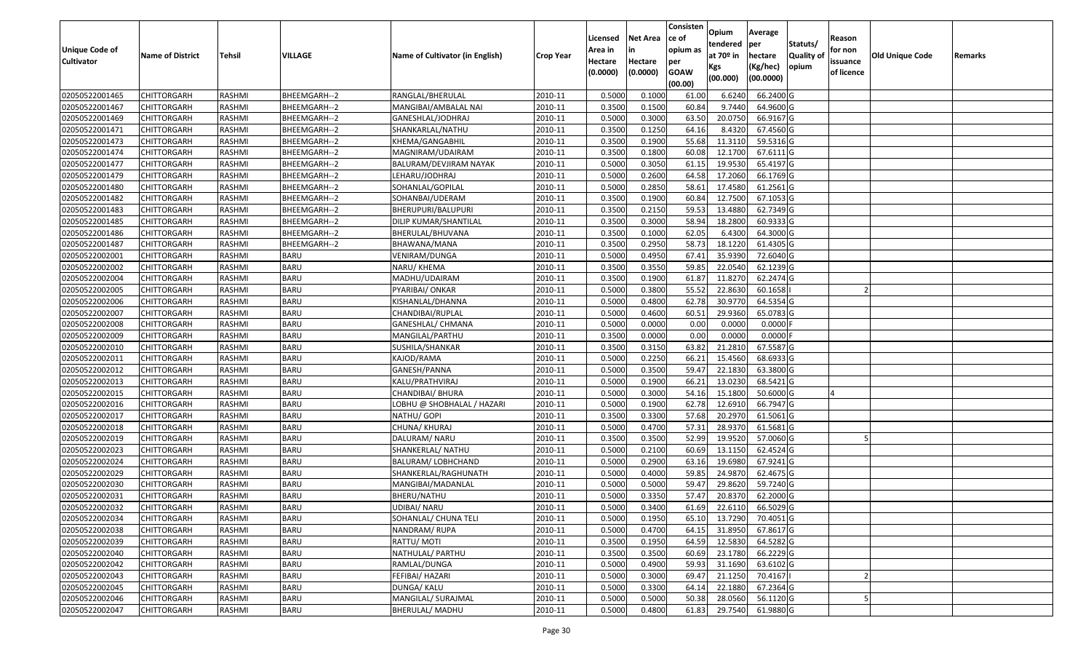|                       |                         |               |              |                                 |                  |          |                 | Consisten   |                         |                       |                  |            |                 |         |
|-----------------------|-------------------------|---------------|--------------|---------------------------------|------------------|----------|-----------------|-------------|-------------------------|-----------------------|------------------|------------|-----------------|---------|
|                       |                         |               |              |                                 |                  | Licensed | <b>Net Area</b> | ce of       | Opium                   | Average               |                  | Reason     |                 |         |
| <b>Unique Code of</b> |                         |               |              |                                 |                  | Area in  | in              | opium as    | tendered<br>at $70°$ in | per                   | Statuts/         | for non    |                 |         |
| <b>Cultivator</b>     | <b>Name of District</b> | <b>Tehsil</b> | VILLAGE      | Name of Cultivator (in English) | <b>Crop Year</b> | Hectare  | Hectare         | per         |                         | hectare               | <b>Quality o</b> | issuance   | Old Unique Code | Remarks |
|                       |                         |               |              |                                 |                  | (0.0000) | (0.0000)        | <b>GOAW</b> | Kgs<br>(00.000)         | (Kg/hec)<br>(00.0000) | opium            | of licence |                 |         |
|                       |                         |               |              |                                 |                  |          |                 | (00.00)     |                         |                       |                  |            |                 |         |
| 02050522001465        | CHITTORGARH             | RASHMI        | BHEEMGARH--2 | RANGLAL/BHERULAL                | 2010-11          | 0.5000   | 0.1000          | 61.00       | 6.6240                  | 66.2400 G             |                  |            |                 |         |
| 02050522001467        | CHITTORGARH             | RASHMI        | BHEEMGARH--2 | MANGIBAI/AMBALAL NAI            | 2010-11          | 0.3500   | 0.1500          | 60.84       | 9.7440                  | 64.9600 G             |                  |            |                 |         |
| 02050522001469        | CHITTORGARH             | RASHMI        | BHEEMGARH--2 | GANESHLAL/JODHRAJ               | 2010-11          | 0.5000   | 0.3000          | 63.50       | 20.0750                 | 66.9167 G             |                  |            |                 |         |
| 02050522001471        | <b>CHITTORGARH</b>      | RASHMI        | BHEEMGARH--2 | SHANKARLAL/NATHU                | 2010-11          | 0.3500   | 0.1250          | 64.16       | 8.4320                  | 67.4560 G             |                  |            |                 |         |
| 02050522001473        | CHITTORGARH             | RASHMI        | BHEEMGARH--2 | KHEMA/GANGABHIL                 | 2010-11          | 0.3500   | 0.1900          | 55.68       | 11.3110                 | 59.5316 G             |                  |            |                 |         |
| 02050522001474        | CHITTORGARH             | RASHMI        | BHEEMGARH--2 | MAGNIRAM/UDAIRAM                | 2010-11          | 0.3500   | 0.1800          | 60.08       | 12.1700                 | 67.6111G              |                  |            |                 |         |
| 02050522001477        | CHITTORGARH             | RASHMI        | BHEEMGARH--2 | BALURAM/DEVJIRAM NAYAK          | 2010-11          | 0.5000   | 0.3050          | 61.15       | 19.9530                 | 65.4197 G             |                  |            |                 |         |
| 02050522001479        | CHITTORGARH             | <b>RASHMI</b> | BHEEMGARH--2 | LEHARU/JODHRAJ                  | 2010-11          | 0.5000   | 0.2600          | 64.58       | 17.2060                 | 66.1769 G             |                  |            |                 |         |
| 02050522001480        | CHITTORGARH             | RASHMI        | BHEEMGARH--2 | SOHANLAL/GOPILAL                | 2010-11          | 0.5000   | 0.2850          | 58.6        | 17.4580                 | 61.2561 G             |                  |            |                 |         |
| 02050522001482        | CHITTORGARH             | RASHMI        | BHEEMGARH--2 | SOHANBAI/UDERAM                 | 2010-11          | 0.3500   | 0.1900          | 60.84       | 12.7500                 | 67.1053 G             |                  |            |                 |         |
| 02050522001483        | CHITTORGARH             | RASHMI        | BHEEMGARH--2 | BHERUPURI/BALUPURI              | 2010-11          | 0.3500   | 0.2150          | 59.53       | 13.4880                 | 62.7349 G             |                  |            |                 |         |
| 02050522001485        | CHITTORGARH             | RASHMI        | BHEEMGARH--2 | DILIP KUMAR/SHANTILAL           | 2010-11          | 0.3500   | 0.3000          | 58.94       | 18.2800                 | 60.9333 G             |                  |            |                 |         |
| 02050522001486        | <b>CHITTORGARH</b>      | RASHMI        | BHEEMGARH--2 | BHERULAL/BHUVANA                | 2010-11          | 0.3500   | 0.1000          | 62.05       | 6.4300                  | 64.3000 G             |                  |            |                 |         |
| 02050522001487        | CHITTORGARH             | RASHMI        | BHEEMGARH--2 | BHAWANA/MANA                    | 2010-11          | 0.3500   | 0.2950          | 58.73       | 18.1220                 | 61.4305 G             |                  |            |                 |         |
| 02050522002001        | <b>CHITTORGARH</b>      | RASHMI        | <b>BARU</b>  | VENIRAM/DUNGA                   | 2010-11          | 0.5000   | 0.4950          | 67.41       | 35.9390                 | 72.6040 G             |                  |            |                 |         |
| 02050522002002        | CHITTORGARH             | RASHMI        | <b>BARU</b>  | NARU/ KHEMA                     | 2010-11          | 0.3500   | 0.3550          | 59.85       | 22.0540                 | 62.1239 G             |                  |            |                 |         |
| 02050522002004        | CHITTORGARH             | RASHMI        | <b>BARU</b>  | MADHU/UDAIRAM                   | 2010-11          | 0.3500   | 0.1900          | 61.87       | 11.8270                 | 62.2474 G             |                  |            |                 |         |
| 02050522002005        | CHITTORGARH             | RASHMI        | <b>BARU</b>  | PYARIBAI/ ONKAR                 | 2010-11          | 0.5000   | 0.3800          | 55.52       | 22.8630                 | 60.1658               |                  |            |                 |         |
| 02050522002006        | CHITTORGARH             | RASHMI        | <b>BARU</b>  | KISHANLAL/DHANNA                | 2010-11          | 0.5000   | 0.4800          | 62.78       | 30.9770                 | 64.5354 G             |                  |            |                 |         |
| 02050522002007        | CHITTORGARH             | RASHMI        | <b>BARU</b>  | CHANDIBAI/RUPLAL                | 2010-11          | 0.5000   | 0.4600          | 60.5        | 29.9360                 | 65.0783 G             |                  |            |                 |         |
| 02050522002008        | CHITTORGARH             | RASHMI        | <b>BARU</b>  | GANESHLAL/ CHMANA               | 2010-11          | 0.5000   | 0.0000          | 0.00        | 0.0000                  | $0.0000$ F            |                  |            |                 |         |
| 02050522002009        | CHITTORGARH             | RASHMI        | <b>BARU</b>  | MANGILAL/PARTHU                 | 2010-11          | 0.3500   | 0.0000          | 0.00        | 0.0000                  | 0.0000                |                  |            |                 |         |
| 02050522002010        | CHITTORGARH             | RASHMI        | <b>BARU</b>  | SUSHILA/SHANKAR                 | 2010-11          | 0.3500   | 0.3150          | 63.82       | 21.2810                 | 67.5587 G             |                  |            |                 |         |
| 02050522002011        | <b>CHITTORGARH</b>      | RASHMI        | <b>BARU</b>  | KAJOD/RAMA                      | 2010-11          | 0.5000   | 0.2250          | 66.2        | 15.4560                 | 68.6933 G             |                  |            |                 |         |
| 02050522002012        | CHITTORGARH             | RASHMI        | <b>BARU</b>  | GANESH/PANNA                    | 2010-11          | 0.5000   | 0.3500          | 59.47       | 22.1830                 | 63.3800 G             |                  |            |                 |         |
| 02050522002013        | CHITTORGARH             | RASHMI        | <b>BARU</b>  | KALU/PRATHVIRAJ                 | 2010-11          | 0.5000   | 0.1900          | 66.2        | 13.0230                 | 68.5421G              |                  |            |                 |         |
| 02050522002015        | CHITTORGARH             | RASHMI        | <b>BARU</b>  | CHANDIBAI/ BHURA                | 2010-11          | 0.5000   | 0.3000          | 54.16       | 15.1800                 | 50.6000 G             |                  |            |                 |         |
| 02050522002016        | CHITTORGARH             | RASHMI        | <b>BARU</b>  | LOBHU @ SHOBHALAL / HAZARI      | 2010-11          | 0.5000   | 0.1900          | 62.78       | 12.691                  | 66.7947 G             |                  |            |                 |         |
| 02050522002017        | CHITTORGARH             | RASHMI        | <b>BARU</b>  | NATHU/ GOPI                     | 2010-11          | 0.3500   | 0.3300          | 57.68       | 20.2970                 | 61.5061 G             |                  |            |                 |         |
| 02050522002018        | CHITTORGARH             | RASHMI        | <b>BARU</b>  | CHUNA/ KHURAJ                   | 2010-11          | 0.5000   | 0.4700          | 57.31       | 28.9370                 | 61.5681 G             |                  |            |                 |         |
| 02050522002019        | CHITTORGARH             | RASHMI        | <b>BARU</b>  | DALURAM/ NARU                   | 2010-11          | 0.3500   | 0.3500          | 52.99       | 19.9520                 | 57.0060 G             |                  |            |                 |         |
| 02050522002023        | CHITTORGARH             | RASHMI        | <b>BARU</b>  | SHANKERLAL/ NATHU               | 2010-11          | 0.5000   | 0.2100          | 60.69       | 13.1150                 | 62.4524 G             |                  |            |                 |         |
| 02050522002024        | CHITTORGARH             | <b>RASHMI</b> | <b>BARU</b>  | BALURAM/ LOBHCHAND              | 2010-11          | 0.5000   | 0.2900          | 63.16       | 19.6980                 | 67.9241 G             |                  |            |                 |         |
| 02050522002029        | <b>CHITTORGARH</b>      | RASHMI        | <b>BARU</b>  | SHANKERLAL/RAGHUNATH            | 2010-11          | 0.5000   | 0.4000          | 59.85       | 24.9870                 | 62.4675 G             |                  |            |                 |         |
| 02050522002030        | CHITTORGARH             | RASHMI        | <b>BARU</b>  | MANGIBAI/MADANLAL               | 2010-11          | 0.500    | 0.5000          | 59.4        | 29.8620                 | 59.7240 G             |                  |            |                 |         |
| 02050522002031        | CHITTORGARH             | RASHMI        | <b>BARU</b>  | BHERU/NATHU                     | 2010-11          | 0.5000   | 0.3350          | 57.47       | 20.8370                 | 62.2000 G             |                  |            |                 |         |
| 02050522002032        | <b>CHITTORGARH</b>      | RASHMI        | <b>BARU</b>  | UDIBAI/ NARU                    | 2010-11          | 0.5000   | 0.3400          |             | 61.69 22.6110           | 66.5029 G             |                  |            |                 |         |
| 02050522002034        | <b>CHITTORGARH</b>      | RASHMI        | <b>BARU</b>  | SOHANLAL/ CHUNA TELI            | 2010-11          | 0.5000   | 0.1950          | 65.10       | 13.7290                 | 70.4051 G             |                  |            |                 |         |
| 02050522002038        | <b>CHITTORGARH</b>      | RASHMI        | <b>BARU</b>  | NANDRAM/RUPA                    | 2010-11          | 0.5000   | 0.4700          | 64.15       | 31.8950                 | 67.8617 G             |                  |            |                 |         |
| 02050522002039        | <b>CHITTORGARH</b>      | RASHMI        | <b>BARU</b>  | RATTU/MOTI                      | 2010-11          | 0.3500   | 0.1950          | 64.59       | 12.5830                 | 64.5282 G             |                  |            |                 |         |
| 02050522002040        | CHITTORGARH             | RASHMI        | <b>BARU</b>  | NATHULAL/ PARTHU                | 2010-11          | 0.3500   | 0.3500          | 60.69       | 23.1780                 | 66.2229 G             |                  |            |                 |         |
| 02050522002042        | <b>CHITTORGARH</b>      | RASHMI        | <b>BARU</b>  | RAMLAL/DUNGA                    | 2010-11          | 0.5000   | 0.4900          | 59.93       | 31.1690                 | 63.6102 G             |                  |            |                 |         |
| 02050522002043        | <b>CHITTORGARH</b>      | RASHMI        | <b>BARU</b>  | FEFIBAI/ HAZARI                 | 2010-11          | 0.5000   | 0.3000          | 69.47       | 21.1250                 | 70.4167               |                  |            |                 |         |
| 02050522002045        | <b>CHITTORGARH</b>      | RASHMI        | <b>BARU</b>  | DUNGA/ KALU                     | 2010-11          | 0.5000   | 0.3300          | 64.14       | 22.1880                 | 67.2364 G             |                  |            |                 |         |
| 02050522002046        | <b>CHITTORGARH</b>      | RASHMI        | <b>BARU</b>  | MANGILAL/ SURAJMAL              | 2010-11          | 0.5000   | 0.5000          | 50.38       | 28.0560                 | 56.1120 G             |                  |            |                 |         |
| 02050522002047        | <b>CHITTORGARH</b>      | RASHMI        | <b>BARU</b>  | BHERULAL/ MADHU                 | 2010-11          | 0.5000   | 0.4800          | 61.83       | 29.7540                 | 61.9880 G             |                  |            |                 |         |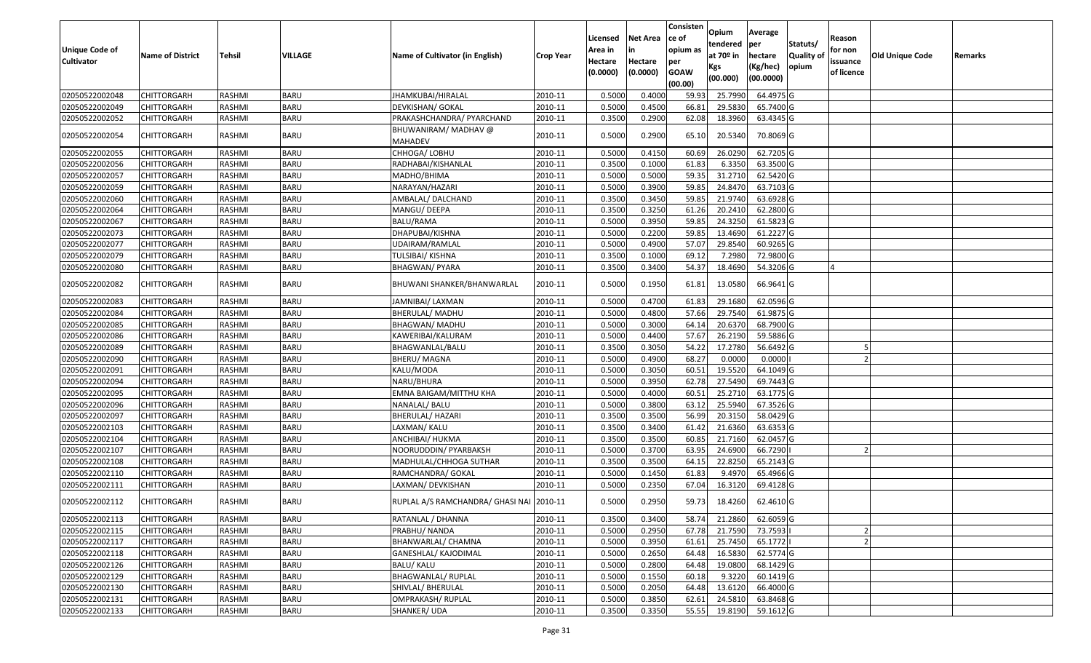| Unique Code of<br>Cultivator | <b>Name of District</b> | Tehsil        | <b>VILLAGE</b> | Name of Cultivator (in English)          | <b>Crop Year</b> | Licensed<br>Area in<br>Hectare<br>(0.0000) | Net Area<br>Hectare<br>(0.0000) | Consisten<br>ce of<br>opium as<br>per<br><b>GOAW</b><br>(00.00) | <b>Opium</b><br>tendered<br>at 70º in<br>Kgs<br>(00.000) | Average<br>per<br>hectare<br>(Kg/hec)<br>(00.0000) | Statuts/<br>Quality of<br>opium | Reason<br>for non<br>issuance<br>of licence | Old Unique Code | Remarks |
|------------------------------|-------------------------|---------------|----------------|------------------------------------------|------------------|--------------------------------------------|---------------------------------|-----------------------------------------------------------------|----------------------------------------------------------|----------------------------------------------------|---------------------------------|---------------------------------------------|-----------------|---------|
| 02050522002048               | <b>CHITTORGARH</b>      | RASHMI        | <b>BARU</b>    | JHAMKUBAI/HIRALAL                        | 2010-11          | 0.5000                                     | 0.4000                          | 59.93                                                           | 25.7990                                                  | 64.4975 G                                          |                                 |                                             |                 |         |
| 02050522002049               | CHITTORGARH             | RASHMI        | <b>BARU</b>    | <b>DEVKISHAN/ GOKAL</b>                  | 2010-11          | 0.5000                                     | 0.4500                          | 66.81                                                           | 29.5830                                                  | 65.7400 G                                          |                                 |                                             |                 |         |
| 02050522002052               | CHITTORGARH             | RASHMI        | <b>BARU</b>    | PRAKASHCHANDRA/ PYARCHAND                | 2010-11          | 0.3500                                     | 0.2900                          | 62.08                                                           | 18.3960                                                  | 63.4345 G                                          |                                 |                                             |                 |         |
| 02050522002054               | CHITTORGARH             | RASHMI        | <b>BARU</b>    | BHUWANIRAM/ MADHAV @<br><b>MAHADEV</b>   | 2010-11          | 0.5000                                     | 0.2900                          | 65.10                                                           | 20.5340                                                  | 70.8069 G                                          |                                 |                                             |                 |         |
| 02050522002055               | CHITTORGARH             | RASHMI        | <b>BARU</b>    | CHHOGA/ LOBHU                            | 2010-11          | 0.5000                                     | 0.4150                          | 60.69                                                           | 26.0290                                                  | 62.7205 G                                          |                                 |                                             |                 |         |
| 02050522002056               | CHITTORGARH             | RASHMI        | <b>BARU</b>    | RADHABAI/KISHANLAL                       | 2010-11          | 0.3500                                     | 0.1000                          | 61.83                                                           | 6.3350                                                   | 63.3500 G                                          |                                 |                                             |                 |         |
| 02050522002057               | CHITTORGARH             | RASHMI        | <b>BARU</b>    | МАДНО/ВНІМА                              | 2010-11          | 0.5000                                     | 0.5000                          | 59.35                                                           | 31.2710                                                  | 62.5420 G                                          |                                 |                                             |                 |         |
| 02050522002059               | CHITTORGARH             | RASHMI        | <b>BARU</b>    | NARAYAN/HAZARI                           | 2010-11          | 0.5000                                     | 0.3900                          | 59.85                                                           | 24.8470                                                  | 63.7103 G                                          |                                 |                                             |                 |         |
| 02050522002060               | <b>CHITTORGARH</b>      | RASHMI        | <b>BARU</b>    | AMBALAL/ DALCHAND                        | 2010-11          | 0.3500                                     | 0.3450                          | 59.85                                                           | 21.9740                                                  | 63.6928 G                                          |                                 |                                             |                 |         |
| 02050522002064               | <b>CHITTORGARH</b>      | RASHMI        | <b>BARU</b>    | MANGU/DEEPA                              | 2010-11          | 0.3500                                     | 0.3250                          | 61.26                                                           | 20.2410                                                  | 62.2800 G                                          |                                 |                                             |                 |         |
| 02050522002067               | CHITTORGARH             | RASHMI        | <b>BARU</b>    | <b>BALU/RAMA</b>                         | 2010-11          | 0.5000                                     | 0.3950                          | 59.85                                                           | 24.3250                                                  | 61.5823 G                                          |                                 |                                             |                 |         |
| 02050522002073               | <b>CHITTORGARH</b>      | RASHMI        | <b>BARU</b>    | DHAPUBAI/KISHNA                          | 2010-11          | 0.5000                                     | 0.2200                          | 59.85                                                           | 13.4690                                                  | 61.2227 G                                          |                                 |                                             |                 |         |
| 02050522002077               | <b>CHITTORGARH</b>      | RASHMI        | <b>BARU</b>    | UDAIRAM/RAMLAL                           | 2010-11          | 0.5000                                     | 0.4900                          | 57.07                                                           | 29.8540                                                  | 60.9265 G                                          |                                 |                                             |                 |         |
| 02050522002079               | <b>CHITTORGARH</b>      | RASHMI        | <b>BARU</b>    | TULSIBAI/ KISHNA                         | 2010-11          | 0.3500                                     | 0.1000                          | 69.12                                                           | 7.2980                                                   | 72.9800 G                                          |                                 |                                             |                 |         |
| 02050522002080               | <b>CHITTORGARH</b>      | RASHMI        | <b>BARU</b>    | <b>BHAGWAN/ PYARA</b>                    | 2010-11          | 0.3500                                     | 0.3400                          | 54.37                                                           | 18.4690                                                  | 54.3206 G                                          |                                 |                                             |                 |         |
| 02050522002082               | <b>CHITTORGARH</b>      | RASHMI        | <b>BARU</b>    | BHUWANI SHANKER/BHANWARLAL               | 2010-11          | 0.5000                                     | 0.1950                          | 61.81                                                           | 13.0580                                                  | 66.9641 G                                          |                                 |                                             |                 |         |
| 02050522002083               | CHITTORGARH             | RASHMI        | <b>BARU</b>    | JAMNIBAI/ LAXMAN                         | 2010-11          | 0.5000                                     | 0.4700                          | 61.83                                                           | 29.1680                                                  | 62.0596 G                                          |                                 |                                             |                 |         |
| 02050522002084               | CHITTORGARH             | RASHMI        | <b>BARU</b>    | <b>BHERULAL/ MADHU</b>                   | 2010-11          | 0.5000                                     | 0.4800                          | 57.66                                                           | 29.7540                                                  | 61.9875 G                                          |                                 |                                             |                 |         |
| 02050522002085               | <b>CHITTORGARH</b>      | RASHMI        | <b>BARU</b>    | <b>BHAGWAN/ MADHU</b>                    | 2010-11          | 0.5000                                     | 0.3000                          | 64.14                                                           | 20.6370                                                  | 68.7900 G                                          |                                 |                                             |                 |         |
| 02050522002086               | <b>CHITTORGARH</b>      | RASHMI        | <b>BARU</b>    | KAWERIBAI/KALURAM                        | 2010-11          | 0.5000                                     | 0.4400                          | 57.67                                                           | 26.2190                                                  | 59.5886 G                                          |                                 |                                             |                 |         |
| 02050522002089               | <b>CHITTORGARH</b>      | RASHMI        | <b>BARU</b>    | <b>BHAGWANLAL/BALU</b>                   | 2010-11          | 0.3500                                     | 0.3050                          | 54.22                                                           | 17.2780                                                  | 56.6492 G                                          |                                 |                                             |                 |         |
| 02050522002090               | CHITTORGARH             | RASHMI        | <b>BARU</b>    | <b>BHERU/ MAGNA</b>                      | 2010-11          | 0.5000                                     | 0.4900                          | 68.27                                                           | 0.0000                                                   | 0.0000                                             |                                 |                                             |                 |         |
| 02050522002091               | <b>CHITTORGARH</b>      | RASHMI        | <b>BARU</b>    | KALU/MODA                                | 2010-11          | 0.5000                                     | 0.3050                          | 60.51                                                           | 19.5520                                                  | 64.1049 G                                          |                                 |                                             |                 |         |
| 02050522002094               | CHITTORGARH             | RASHMI        | <b>BARU</b>    | NARU/BHURA                               | 2010-11          | 0.5000                                     | 0.3950                          | 62.78                                                           | 27.5490                                                  | 69.7443 G                                          |                                 |                                             |                 |         |
| 02050522002095               | CHITTORGARH             | RASHMI        | <b>BARU</b>    | EMNA BAIGAM/MITTHU KHA                   | 2010-11          | 0.5000                                     | 0.4000                          | 60.51                                                           | 25.2710                                                  | 63.1775 G                                          |                                 |                                             |                 |         |
| 02050522002096               | CHITTORGARH             | RASHMI        | <b>BARU</b>    | NANALAL/BALU                             | 2010-11          | 0.5000                                     | 0.3800                          | 63.12                                                           | 25.5940                                                  | 67.3526 G                                          |                                 |                                             |                 |         |
| 02050522002097               | CHITTORGARH             | RASHMI        | <b>BARU</b>    | <b>BHERULAL/ HAZARI</b>                  | 2010-11          | 0.3500                                     | 0.3500                          | 56.99                                                           | 20.3150                                                  | 58.0429 G                                          |                                 |                                             |                 |         |
| 02050522002103               | <b>CHITTORGARH</b>      | RASHMI        | <b>BARU</b>    | LAXMAN/ KALU                             | 2010-11          | 0.3500                                     | 0.3400                          | 61.42                                                           | 21.6360                                                  | 63.6353 G                                          |                                 |                                             |                 |         |
| 02050522002104               | CHITTORGARH             | RASHMI        | <b>BARU</b>    | ANCHIBAI/ HUKMA                          | 2010-11          | 0.3500                                     | 0.3500                          | 60.85                                                           | 21.7160                                                  | 62.0457 G                                          |                                 |                                             |                 |         |
| 02050522002107               | <b>CHITTORGARH</b>      | RASHMI        | <b>BARU</b>    | NOORUDDDIN/ PYARBAKSH                    | 2010-11          | 0.5000                                     | 0.3700                          | 63.95                                                           | 24.6900                                                  | 66.7290                                            |                                 |                                             |                 |         |
| 02050522002108               | <b>CHITTORGARH</b>      | RASHMI        | <b>BARU</b>    | MADHULAL/CHHOGA SUTHAR                   | 2010-11          | 0.3500                                     | 0.3500                          | 64.15                                                           | 22.8250                                                  | 65.2143 G                                          |                                 |                                             |                 |         |
| 02050522002110               | <b>CHITTORGARH</b>      | <b>RASHMI</b> | <b>BARU</b>    | RAMCHANDRA/ GOKAL                        | 2010-11          | 0.5000                                     | 0.1450                          | 61.83                                                           | 9.4970                                                   | 65.4966 G                                          |                                 |                                             |                 |         |
| 02050522002111               | <b>CHITTORGARH</b>      | RASHMI        | <b>BARU</b>    | LAXMAN/ DEVKISHAN                        | 2010-11          | 0.5000                                     | 0.2350                          | 67.04                                                           | 16.3120                                                  | 69.4128 G                                          |                                 |                                             |                 |         |
| 02050522002112               | CHITTORGARH             | RASHMI        | <b>BARU</b>    | RUPLAL A/S RAMCHANDRA/ GHASI NAI 2010-11 |                  | 0.5000                                     | 0.2950                          | 59.73                                                           | 18.4260                                                  | 62.4610 G                                          |                                 |                                             |                 |         |
| 02050522002113               | <b>CHITTORGARH</b>      | RASHMI        | <b>BARU</b>    | RATANLAL / DHANNA                        | 2010-11          | 0.3500                                     | 0.3400                          | 58.74                                                           | 21.2860                                                  | 62.6059 G                                          |                                 |                                             |                 |         |
| 02050522002115               | <b>CHITTORGARH</b>      | RASHMI        | <b>BARU</b>    | PRABHU/ NANDA                            | 2010-11          | 0.5000                                     | 0.2950                          | 67.78                                                           | 21.7590                                                  | 73.7593                                            |                                 |                                             |                 |         |
| 02050522002117               | <b>CHITTORGARH</b>      | RASHMI        | <b>BARU</b>    | BHANWARLAL/ CHAMNA                       | 2010-11          | 0.5000                                     | 0.3950                          | 61.61                                                           | 25.7450                                                  | 65.1772                                            |                                 |                                             |                 |         |
| 02050522002118               | <b>CHITTORGARH</b>      | RASHMI        | <b>BARU</b>    | GANESHLAL/ KAJODIMAL                     | 2010-11          | 0.5000                                     | 0.2650                          | 64.48                                                           | 16.5830                                                  | 62.5774 G                                          |                                 |                                             |                 |         |
| 02050522002126               | <b>CHITTORGARH</b>      | RASHMI        | <b>BARU</b>    | <b>BALU/ KALU</b>                        | 2010-11          | 0.5000                                     | 0.2800                          | 64.48                                                           | 19.0800                                                  | 68.1429 G                                          |                                 |                                             |                 |         |
| 02050522002129               | <b>CHITTORGARH</b>      | RASHMI        | <b>BARU</b>    | <b>BHAGWANLAL/ RUPLAL</b>                | 2010-11          | 0.5000                                     | 0.1550                          | 60.18                                                           | 9.3220                                                   | $60.1419$ G                                        |                                 |                                             |                 |         |
| 02050522002130               | <b>CHITTORGARH</b>      | RASHMI        | <b>BARU</b>    | SHIVLAL/ BHERULAL                        | 2010-11          | 0.5000                                     | 0.2050                          | 64.48                                                           | 13.6120                                                  | 66.4000 G                                          |                                 |                                             |                 |         |
| 02050522002131               | <b>CHITTORGARH</b>      | RASHMI        | <b>BARU</b>    | OMPRAKASH/RUPLAL                         | 2010-11          | 0.5000                                     | 0.3850                          | 62.61                                                           | 24.5810                                                  | 63.8468 G                                          |                                 |                                             |                 |         |
| 02050522002133               | <b>CHITTORGARH</b>      | RASHMI        | <b>BARU</b>    | SHANKER/ UDA                             | 2010-11          | 0.3500                                     | 0.3350                          | 55.55                                                           | 19.8190                                                  | 59.1612 G                                          |                                 |                                             |                 |         |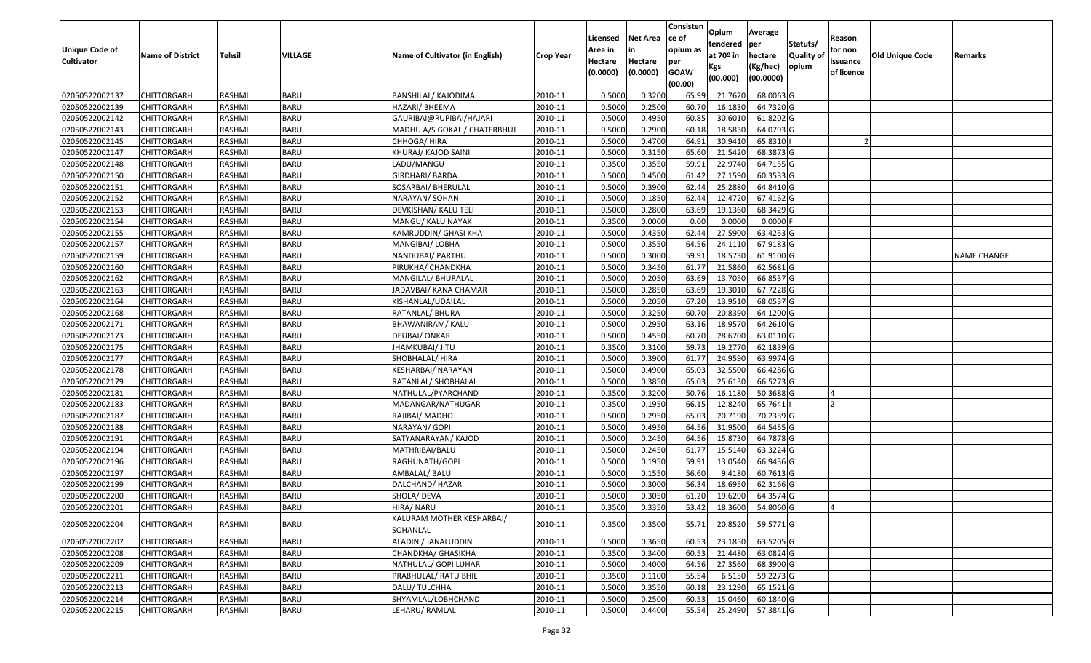|                   |                         |               |             |                                 |                       | Licensed | <b>Net Area</b> | Consisten<br>ce of | Opium       | Average           |                  | Reason     |                 |                    |
|-------------------|-------------------------|---------------|-------------|---------------------------------|-----------------------|----------|-----------------|--------------------|-------------|-------------------|------------------|------------|-----------------|--------------------|
| Unique Code of    |                         |               |             |                                 |                       | Area in  |                 | opium as           | tendered    | per               | Statuts/         | for non    |                 |                    |
| <b>Cultivator</b> | <b>Name of District</b> | <b>Tehsil</b> | VILLAGE     | Name of Cultivator (in English) | <b>Crop Year</b>      | Hectare  | Hectare         | per                | at $70°$ in | hectare           | <b>Quality o</b> | issuance   | Old Unique Code | Remarks            |
|                   |                         |               |             |                                 |                       | (0.0000) | (0.0000)        | <b>GOAW</b>        | Kgs         | (Kg/hec)          | opium            | of licence |                 |                    |
|                   |                         |               |             |                                 |                       |          |                 | (00.00)            | (00.000)    | (00.0000)         |                  |            |                 |                    |
| 02050522002137    | CHITTORGARH             | RASHMI        | <b>BARU</b> | <b>BANSHILAL/ KAJODIMAL</b>     | 2010-11               | 0.5000   | 0.3200          | 65.99              | 21.7620     | 68.0063 G         |                  |            |                 |                    |
| 02050522002139    | CHITTORGARH             | RASHMI        | <b>BARU</b> | HAZARI/ BHEEMA                  | 2010-11               | 0.5000   | 0.2500          | 60.70              | 16.1830     | 64.7320 G         |                  |            |                 |                    |
| 02050522002142    | CHITTORGARH             | RASHMI        | <b>BARU</b> | GAURIBAI@RUPIBAI/HAJARI         | 2010-11               | 0.5000   | 0.4950          | 60.85              | 30.6010     | 61.8202 G         |                  |            |                 |                    |
| 02050522002143    | <b>CHITTORGARH</b>      | RASHMI        | <b>BARU</b> | MADHU A/S GOKAL / CHATERBHUJ    | 2010-11               | 0.5000   | 0.2900          | 60.18              | 18.5830     | 64.0793 G         |                  |            |                 |                    |
| 02050522002145    | CHITTORGARH             | RASHMI        | <b>BARU</b> | CHHOGA/ HIRA                    | 2010-11               | 0.5000   | 0.4700          | 64.91              | 30.9410     | 65.8310           |                  |            |                 |                    |
| 02050522002147    | <b>CHITTORGARH</b>      | RASHMI        | <b>BARU</b> | KHURAJ/ KAJOD SAINI             | 2010-11               | 0.5000   | 0.3150          | 65.60              | 21.5420     | 68.3873 G         |                  |            |                 |                    |
| 02050522002148    | CHITTORGARH             | RASHMI        | <b>BARU</b> | LADU/MANGU                      | 2010-11               | 0.3500   | 0.3550          | 59.9               | 22.9740     | 64.7155 G         |                  |            |                 |                    |
| 02050522002150    | <b>CHITTORGARH</b>      | <b>RASHMI</b> | <b>BARU</b> | GIRDHARI/ BARDA                 | 2010-11               | 0.5000   | 0.4500          | 61.42              | 27.1590     | 60.3533 G         |                  |            |                 |                    |
| 02050522002151    | CHITTORGARH             | RASHMI        | <b>BARU</b> | SOSARBAI/ BHERULAL              | 2010-11               | 0.5000   | 0.3900          | 62.44              | 25.2880     | 64.8410 G         |                  |            |                 |                    |
| 02050522002152    | <b>CHITTORGARH</b>      | RASHMI        | <b>BARU</b> | NARAYAN/ SOHAN                  | 2010-11               | 0.5000   | 0.1850          | 62.44              | 12.4720     | 67.4162G          |                  |            |                 |                    |
| 02050522002153    | CHITTORGARH             | RASHMI        | <b>BARU</b> | DEVKISHAN/ KALU TELI            | 2010-11               | 0.5000   | 0.2800          | 63.69              | 19.1360     | 68.3429 G         |                  |            |                 |                    |
| 02050522002154    | <b>CHITTORGARH</b>      | RASHMI        | <b>BARU</b> | MANGU/ KALU NAYAK               | 2010-11               | 0.3500   | 0.0000          | 0.00               | 0.0000      | $0.0000$ F        |                  |            |                 |                    |
| 02050522002155    | <b>CHITTORGARH</b>      | RASHMI        | <b>BARU</b> | KAMRUDDIN/ GHASI KHA            | 2010-11               | 0.5000   | 0.4350          | 62.44              | 27.5900     | 63.4253 G         |                  |            |                 |                    |
| 02050522002157    | <b>CHITTORGARH</b>      | RASHMI        | <b>BARU</b> | MANGIBAI/ LOBHA                 | 2010-11               | 0.5000   | 0.3550          | 64.56              | 24.1110     | 67.9183 G         |                  |            |                 |                    |
| 02050522002159    | <b>CHITTORGARH</b>      | RASHMI        | <b>BARU</b> | NANDUBAI/ PARTHU                | 2010-11               | 0.5000   | 0.3000          | 59.91              | 18.5730     | 61.9100G          |                  |            |                 | <b>NAME CHANGE</b> |
| 02050522002160    | <b>CHITTORGARH</b>      | RASHMI        | <b>BARU</b> | PIRUKHA/ CHANDKHA               | 2010-11               | 0.5000   | 0.3450          | 61.77              | 21.5860     | 62.5681 G         |                  |            |                 |                    |
| 02050522002162    | CHITTORGARH             | RASHMI        | <b>BARU</b> | MANGILAL/ BHURALAL              | 2010-11               | 0.5000   | 0.2050          | 63.69              | 13.7050     | 66.8537 G         |                  |            |                 |                    |
| 02050522002163    | CHITTORGARH             | RASHMI        | <b>BARU</b> | JADAVBAI/ KANA CHAMAR           | 2010-11               | 0.5000   | 0.2850          | 63.69              | 19.3010     | 67.7228 G         |                  |            |                 |                    |
| 02050522002164    | CHITTORGARH             | RASHMI        | <b>BARU</b> | KISHANLAL/UDAILAL               | 2010-11               | 0.5000   | 0.2050          | 67.20              | 13.9510     | 68.0537 G         |                  |            |                 |                    |
| 02050522002168    | CHITTORGARH             | RASHMI        | <b>BARU</b> | RATANLAL/ BHURA                 | 2010-11               | 0.5000   | 0.3250          | 60.70              | 20.8390     | 64.1200 G         |                  |            |                 |                    |
| 02050522002171    | CHITTORGARH             | RASHMI        | <b>BARU</b> | BHAWANIRAM/KALU                 | 2010-11               | 0.5000   | 0.2950          | 63.16              | 18.9570     | 64.2610 G         |                  |            |                 |                    |
| 02050522002173    | CHITTORGARH             | RASHMI        | <b>BARU</b> | DEUBAI/ ONKAR                   | 2010-11               | 0.5000   | 0.4550          | 60.70              | 28.6700     | 63.0110G          |                  |            |                 |                    |
| 02050522002175    | CHITTORGARH             | RASHMI        | <b>BARU</b> | JHAMKUBAI/ JITU                 | 2010-11               | 0.3500   | 0.3100          | 59.73              | 19.2770     | 62.1839 G         |                  |            |                 |                    |
| 02050522002177    | CHITTORGARH             | RASHMI        | <b>BARU</b> | SHOBHALAL/ HIRA                 | 2010-11               | 0.5000   | 0.3900          | 61.7               | 24.9590     | 63.9974 G         |                  |            |                 |                    |
| 02050522002178    | <b>CHITTORGARH</b>      | RASHMI        | <b>BARU</b> | KESHARBAI/NARAYAN               | 2010-11               | 0.5000   | 0.4900          | 65.03              | 32.5500     | 66.4286 G         |                  |            |                 |                    |
| 02050522002179    | CHITTORGARH             | RASHMI        | <b>BARU</b> | RATANLAL/ SHOBHALAL             | 2010-11               | 0.5000   | 0.3850          | 65.03              | 25.6130     | 66.5273 G         |                  |            |                 |                    |
| 02050522002181    | CHITTORGARH             | RASHMI        | <b>BARU</b> | NATHULAL/PYARCHAND              | 2010-11               | 0.3500   | 0.3200          | 50.76              | 16.1180     | 50.3688G          |                  |            |                 |                    |
| 02050522002183    | CHITTORGARH             | RASHMI        | <b>BARU</b> | MADANGAR/NATHUGAR               | 2010-11               | 0.3500   | 0.1950          | 66.15              | 12.8240     | 65.7641           |                  |            |                 |                    |
| 02050522002187    | CHITTORGARH             | RASHMI        | <b>BARU</b> | RAJIBAI/ MADHO                  | 2010-11               | 0.5000   | 0.2950          | 65.03              | 20.7190     | 70.2339 G         |                  |            |                 |                    |
| 02050522002188    | <b>CHITTORGARH</b>      | RASHMI        | <b>BARU</b> | NARAYAN/ GOPI                   | 2010-11               | 0.5000   | 0.4950          | 64.56              | 31.9500     | 64.5455 G         |                  |            |                 |                    |
| 02050522002191    | CHITTORGARH             | RASHMI        | <b>BARU</b> | SATYANARAYAN/ KAJOD             | 2010-11               | 0.5000   | 0.2450          | 64.56              | 15.8730     | 64.7878 G         |                  |            |                 |                    |
| 02050522002194    | CHITTORGARH             | RASHMI        | <b>BARU</b> | MATHRIBAI/BALU                  | 2010-11               | 0.5000   | 0.2450          | 61.77              | 15.5140     | 63.3224 G         |                  |            |                 |                    |
| 02050522002196    | CHITTORGARH             | <b>RASHMI</b> | <b>BARU</b> | RAGHUNATH/GOPI                  | 2010-11               | 0.5000   | 0.1950          | 59.91              | 13.0540     | 66.9436 G         |                  |            |                 |                    |
| 02050522002197    | CHITTORGARH             | RASHMI        | <b>BARU</b> | AMBALAL/ BALU                   | 2010-11               | 0.5000   | 0.1550          | 56.60              | 9.418       | 60.7613G          |                  |            |                 |                    |
| 02050522002199    | CHITTORGARH             | RASHMI        | <b>BARU</b> | DALCHAND/ HAZARI                | 2010-11               | 0.500    | 0.3000          | 56.34              | 18.695      | 62.3166 G         |                  |            |                 |                    |
| 02050522002200    | CHITTORGARH             | RASHMI        | <b>BARU</b> | SHOLA/ DEVA                     | 2010-11               | 0.5000   | 0.3050          | 61.20              | 19.6290     | 64.3574 G         |                  |            |                 |                    |
| 02050522002201    | <b>CHITTORGARH</b>      | RASHMI        | <b>BARU</b> | HIRA/ NARU                      | $\overline{2010}$ -11 | 0.3500   | 0.3350          | 53.42              |             | 18.3600 54.8060 G |                  |            |                 |                    |
| 02050522002204    | <b>CHITTORGARH</b>      | RASHMI        | <b>BARU</b> | KALURAM MOTHER KESHARBAI/       | 2010-11               | 0.3500   | 0.3500          | 55.71              | 20.8520     | 59.5771 G         |                  |            |                 |                    |
|                   |                         |               |             | SOHANLAL                        |                       |          |                 |                    |             |                   |                  |            |                 |                    |
| 02050522002207    | <b>CHITTORGARH</b>      | RASHMI        | <b>BARU</b> | ALADIN / JANALUDDIN             | 2010-11               | 0.5000   | 0.3650          | 60.53              | 23.1850     | 63.5205 G         |                  |            |                 |                    |
| 02050522002208    | <b>CHITTORGARH</b>      | RASHMI        | <b>BARU</b> | CHANDKHA/ GHASIKHA              | 2010-11               | 0.3500   | 0.3400          | 60.53              | 21.4480     | 63.0824 G         |                  |            |                 |                    |
| 02050522002209    | <b>CHITTORGARH</b>      | RASHMI        | <b>BARU</b> | NATHULAL/ GOPI LUHAR            | 2010-11               | 0.5000   | 0.4000          | 64.56              | 27.3560     | 68.3900 G         |                  |            |                 |                    |
| 02050522002211    | <b>CHITTORGARH</b>      | RASHMI        | <b>BARU</b> | PRABHULAL/ RATU BHIL            | 2010-11               | 0.3500   | 0.1100          | 55.54              | 6.5150      | 59.2273 G         |                  |            |                 |                    |
| 02050522002213    | <b>CHITTORGARH</b>      | RASHMI        | <b>BARU</b> | DALU/TULCHHA                    | 2010-11               | 0.5000   | 0.3550          | 60.18              | 23.1290     | 65.1521 G         |                  |            |                 |                    |
| 02050522002214    | <b>CHITTORGARH</b>      | RASHMI        | <b>BARU</b> | SHYAMLAL/LOBHCHAND              | 2010-11               | 0.5000   | 0.2500          | 60.53              | 15.0460     | 60.1840 G         |                  |            |                 |                    |
| 02050522002215    | <b>CHITTORGARH</b>      | RASHMI        | <b>BARU</b> | LEHARU/RAMLAL                   | 2010-11               | 0.5000   | 0.4400          | 55.54              | 25.2490     | 57.3841 G         |                  |            |                 |                    |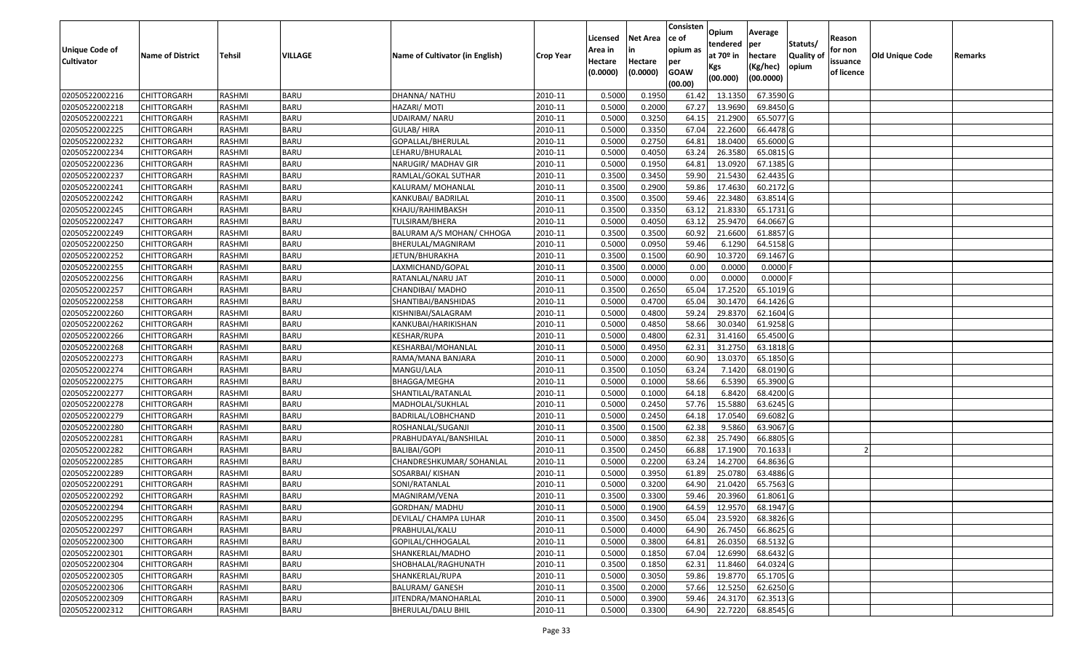| Unique Code of<br><b>Cultivator</b> | <b>Name of District</b> | <b>Tehsil</b> | VILLAGE     | Name of Cultivator (in English) | <b>Crop Year</b> | Licensed<br>Area in<br>Hectare<br>(0.0000) | <b>Net Area</b><br>in<br>Hectare<br>(0.0000) | Consisten<br>ce of<br>opium as<br>per<br><b>GOAW</b><br>(00.00) | Opium<br>tendered<br>at $70°$ in<br>Kgs<br>(00.000) | Average<br>per<br>hectare<br>(Kg/hec)<br>(00.0000) | Statuts/<br>Quality of<br>opium | Reason<br>for non<br>issuance<br>of licence | <b>Old Unique Code</b> | Remarks |
|-------------------------------------|-------------------------|---------------|-------------|---------------------------------|------------------|--------------------------------------------|----------------------------------------------|-----------------------------------------------------------------|-----------------------------------------------------|----------------------------------------------------|---------------------------------|---------------------------------------------|------------------------|---------|
| 02050522002216                      | CHITTORGARH             | RASHMI        | <b>BARU</b> | DHANNA/ NATHU                   | 2010-11          | 0.5000                                     | 0.195                                        | 61.42                                                           | 13.135                                              | 67.3590 G                                          |                                 |                                             |                        |         |
| 02050522002218                      | CHITTORGARH             | RASHMI        | <b>BARU</b> | HAZARI/ MOTI                    | 2010-11          | 0.5000                                     | 0.2000                                       | 67.27                                                           | 13.9690                                             | 69.8450 G                                          |                                 |                                             |                        |         |
| 02050522002221                      | CHITTORGARH             | RASHMI        | <b>BARU</b> | UDAIRAM/NARU                    | 2010-11          | 0.5000                                     | 0.3250                                       | 64.15                                                           | 21.2900                                             | 65.5077 G                                          |                                 |                                             |                        |         |
| 02050522002225                      | CHITTORGARH             | RASHMI        | <b>BARU</b> | GULAB/HIRA                      | 2010-11          | 0.5000                                     | 0.3350                                       | 67.04                                                           | 22.2600                                             | 66.4478 G                                          |                                 |                                             |                        |         |
| 02050522002232                      | CHITTORGARH             | RASHMI        | <b>BARU</b> | GOPALLAL/BHERULAL               | 2010-11          | 0.5000                                     | 0.2750                                       | 64.81                                                           | 18.0400                                             | 65.6000G                                           |                                 |                                             |                        |         |
| 02050522002234                      | CHITTORGARH             | RASHMI        | <b>BARU</b> | LEHARU/BHURALAL                 | 2010-11          | 0.5000                                     | 0.4050                                       | 63.24                                                           | 26.3580                                             | 65.0815G                                           |                                 |                                             |                        |         |
| 02050522002236                      | CHITTORGARH             | RASHMI        | <b>BARU</b> | NARUGIR/ MADHAV GIR             | 2010-11          | 0.5000                                     | 0.1950                                       | 64.8                                                            | 13.0920                                             | 67.1385 G                                          |                                 |                                             |                        |         |
| 02050522002237                      | CHITTORGARH             | RASHMI        | <b>BARU</b> | RAMLAL/GOKAL SUTHAR             | 2010-11          | 0.3500                                     | 0.3450                                       | 59.90                                                           | 21.5430                                             | 62.4435 G                                          |                                 |                                             |                        |         |
| 02050522002241                      | CHITTORGARH             | RASHMI        | <b>BARU</b> | KALURAM/ MOHANLAL               | 2010-11          | 0.3500                                     | 0.2900                                       | 59.86                                                           | 17.4630                                             | 60.2172 G                                          |                                 |                                             |                        |         |
| 02050522002242                      | CHITTORGARH             | RASHMI        | <b>BARU</b> | KANKUBAI/ BADRILAL              | 2010-11          | 0.3500                                     | 0.3500                                       | 59.46                                                           | 22.3480                                             | 63.8514 G                                          |                                 |                                             |                        |         |
| 02050522002245                      | CHITTORGARH             | RASHMI        | <b>BARU</b> | KHAJU/RAHIMBAKSH                | 2010-11          | 0.3500                                     | 0.3350                                       | 63.12                                                           | 21.8330                                             | 65.1731 G                                          |                                 |                                             |                        |         |
| 02050522002247                      | <b>CHITTORGARH</b>      | RASHMI        | <b>BARU</b> | TULSIRAM/BHERA                  | 2010-11          | 0.5000                                     | 0.4050                                       | 63.12                                                           | 25.9470                                             | 64.0667 G                                          |                                 |                                             |                        |         |
| 02050522002249                      | CHITTORGARH             | RASHMI        | <b>BARU</b> | BALURAM A/S MOHAN/ CHHOGA       | 2010-11          | 0.3500                                     | 0.3500                                       | 60.92                                                           | 21.6600                                             | 61.8857 G                                          |                                 |                                             |                        |         |
| 02050522002250                      | CHITTORGARH             | RASHMI        | <b>BARU</b> | BHERULAL/MAGNIRAM               | 2010-11          | 0.5000                                     | 0.0950                                       | 59.46                                                           | 6.1290                                              | 64.5158 G                                          |                                 |                                             |                        |         |
| 02050522002252                      | CHITTORGARH             | RASHMI        | <b>BARU</b> | IETUN/BHURAKHA                  | 2010-11          | 0.3500                                     | 0.1500                                       | 60.90                                                           | 10.3720                                             | 69.1467 G                                          |                                 |                                             |                        |         |
| 02050522002255                      | <b>CHITTORGARH</b>      | RASHMI        | <b>BARU</b> | LAXMICHAND/GOPAL                | 2010-11          | 0.3500                                     | 0.0000                                       | 0.00                                                            | 0.0000                                              | $0.0000$ F                                         |                                 |                                             |                        |         |
| 02050522002256                      | <b>CHITTORGARH</b>      | RASHMI        | <b>BARU</b> | RATANLAL/NARU JAT               | 2010-11          | 0.5000                                     | 0.0000                                       | 0.00                                                            | 0.0000                                              | $0.0000$ F                                         |                                 |                                             |                        |         |
| 02050522002257                      | <b>CHITTORGARH</b>      | RASHMI        | <b>BARU</b> | CHANDIBAI/MADHO                 | 2010-11          | 0.350                                      | 0.2650                                       | 65.04                                                           | 17.2520                                             | 65.1019 G                                          |                                 |                                             |                        |         |
| 02050522002258                      | CHITTORGARH             | RASHMI        | <b>BARU</b> | SHANTIBAI/BANSHIDAS             | 2010-11          | 0.5000                                     | 0.4700                                       | 65.04                                                           | 30.1470                                             | 64.1426 G                                          |                                 |                                             |                        |         |
| 02050522002260                      | <b>CHITTORGARH</b>      | RASHMI        | <b>BARU</b> | KISHNIBAI/SALAGRAM              | 2010-11          | 0.5000                                     | 0.4800                                       | 59.24                                                           | 29.8370                                             | 62.1604 G                                          |                                 |                                             |                        |         |
| 02050522002262                      | <b>CHITTORGARH</b>      | RASHMI        | <b>BARU</b> | KANKUBAI/HARIKISHAN             | 2010-11          | 0.5000                                     | 0.4850                                       | 58.66                                                           | 30.0340                                             | 61.9258 G                                          |                                 |                                             |                        |         |
| 02050522002266                      | <b>CHITTORGARH</b>      | RASHMI        | <b>BARU</b> | KESHAR/RUPA                     | 2010-11          | 0.5000                                     | 0.4800                                       | 62.31                                                           | 31.4160                                             | 65.4500 G                                          |                                 |                                             |                        |         |
| 02050522002268                      | <b>CHITTORGARH</b>      | RASHMI        | <b>BARU</b> | KESHARBAI/MOHANLAL              | 2010-11          | 0.5000                                     | 0.4950                                       | 62.31                                                           | 31.2750                                             | 63.1818 G                                          |                                 |                                             |                        |         |
| 02050522002273                      | CHITTORGARH             | RASHMI        | <b>BARU</b> | RAMA/MANA BANJARA               | 2010-11          | 0.5000                                     | 0.2000                                       | 60.90                                                           | 13.0370                                             | 65.1850 G                                          |                                 |                                             |                        |         |
| 02050522002274                      | CHITTORGARH             | RASHMI        | <b>BARU</b> | MANGU/LALA                      | 2010-11          | 0.3500                                     | 0.1050                                       | 63.24                                                           | 7.1420                                              | 68.0190 G                                          |                                 |                                             |                        |         |
| 02050522002275                      | CHITTORGARH             | RASHMI        | <b>BARU</b> | BHAGGA/MEGHA                    | 2010-11          | 0.5000                                     | 0.1000                                       | 58.66                                                           | 6.5390                                              | 65.3900 G                                          |                                 |                                             |                        |         |
| 02050522002277                      | CHITTORGARH             | RASHMI        | <b>BARU</b> | SHANTILAL/RATANLAL              | 2010-11          | 0.5000                                     | 0.1000                                       | 64.18                                                           | 6.8420                                              | 68.4200 G                                          |                                 |                                             |                        |         |
| 02050522002278                      | CHITTORGARH             | RASHMI        | <b>BARU</b> | MADHOLAL/SUKHLAL                | 2010-11          | 0.5000                                     | 0.2450                                       | 57.76                                                           | 15.5880                                             | 63.6245 G                                          |                                 |                                             |                        |         |
| 02050522002279                      | CHITTORGARH             | RASHMI        | <b>BARU</b> | BADRILAL/LOBHCHAND              | 2010-11          | 0.5000                                     | 0.2450                                       | 64.18                                                           | 17.0540                                             | 69.6082 G                                          |                                 |                                             |                        |         |
| 02050522002280                      | CHITTORGARH             | RASHMI        | <b>BARU</b> | ROSHANLAL/SUGANJI               | 2010-11          | 0.3500                                     | 0.1500                                       | 62.38                                                           | 9.5860                                              | 63.9067 G                                          |                                 |                                             |                        |         |
| 02050522002281                      | <b>CHITTORGARH</b>      | RASHMI        | <b>BARU</b> | PRABHUDAYAL/BANSHILAL           | 2010-11          | 0.5000                                     | 0.3850                                       | 62.38                                                           | 25.7490                                             | 66.8805 G                                          |                                 |                                             |                        |         |
| 02050522002282                      | CHITTORGARH             | RASHMI        | <b>BARU</b> | BALIBAI/GOPI                    | 2010-11          | 0.3500                                     | 0.2450                                       | 66.88                                                           | 17.1900                                             | 70.1633                                            |                                 |                                             |                        |         |
| 02050522002285                      | CHITTORGARH             | RASHMI        | <b>BARU</b> | CHANDRESHKUMAR/ SOHANLAL        | 2010-11          | 0.5000                                     | 0.2200                                       | 63.24                                                           | 14.2700                                             | 64.8636 G                                          |                                 |                                             |                        |         |
| 02050522002289                      | CHITTORGARH             | RASHMI        | <b>BARU</b> | SOSARBAI/ KISHAN                | 2010-11          | 0.5000                                     | 0.3950                                       | 61.89                                                           | 25.0780                                             | 63.4886 G                                          |                                 |                                             |                        |         |
| 02050522002291                      | CHITTORGARH             | RASHMI        | <b>BARU</b> | SONI/RATANLAL                   | 2010-11          | 0.5000                                     | 0.3200                                       | 64.90                                                           | 21.0420                                             | 65.7563 G                                          |                                 |                                             |                        |         |
| 02050522002292                      | CHITTORGARH             | RASHMI        | <b>BARU</b> | MAGNIRAM/VENA                   | 2010-11          | 0.3500                                     | 0.3300                                       | 59.46                                                           | 20.3960                                             | 61.8061G                                           |                                 |                                             |                        |         |
| 02050522002294                      | <b>CHITTORGARH</b>      | RASHMI        | <b>BARU</b> | GORDHAN/ MADHU                  | 2010-11          | 0.5000                                     | 0.1900                                       | 64.59                                                           | 12.9570                                             | 68.1947 G                                          |                                 |                                             |                        |         |
| 02050522002295                      | <b>CHITTORGARH</b>      | RASHMI        | <b>BARU</b> | DEVILAL/ CHAMPA LUHAR           | 2010-11          | 0.3500                                     | 0.3450                                       | 65.04                                                           | 23.5920                                             | 68.3826 G                                          |                                 |                                             |                        |         |
| 02050522002297                      | <b>CHITTORGARH</b>      | RASHMI        | <b>BARU</b> | PRABHULAL/KALU                  | 2010-11          | 0.5000                                     | 0.4000                                       | 64.90                                                           | 26.7450                                             | 66.8625 G                                          |                                 |                                             |                        |         |
| 02050522002300                      | <b>CHITTORGARH</b>      | RASHMI        | <b>BARU</b> | GOPILAL/CHHOGALAL               | 2010-11          | 0.5000                                     | 0.3800                                       | 64.81                                                           | 26.0350                                             | 68.5132 G                                          |                                 |                                             |                        |         |
| 02050522002301                      | <b>CHITTORGARH</b>      | RASHMI        | <b>BARU</b> | SHANKERLAL/MADHO                | 2010-11          | 0.5000                                     | 0.1850                                       | 67.04                                                           | 12.6990                                             | 68.6432 G                                          |                                 |                                             |                        |         |
| 02050522002304                      | CHITTORGARH             | RASHMI        | <b>BARU</b> | SHOBHALAL/RAGHUNATH             | 2010-11          | 0.3500                                     | 0.1850                                       | 62.31                                                           | 11.8460                                             | 64.0324 G                                          |                                 |                                             |                        |         |
| 02050522002305                      | <b>CHITTORGARH</b>      | RASHMI        | <b>BARU</b> | SHANKERLAL/RUPA                 | 2010-11          | 0.5000                                     | 0.3050                                       | 59.86                                                           | 19.8770                                             | 65.1705 G                                          |                                 |                                             |                        |         |
| 02050522002306                      | <b>CHITTORGARH</b>      | RASHMI        | <b>BARU</b> | BALURAM/ GANESH                 | 2010-11          | 0.3500                                     | 0.2000                                       | 57.66                                                           | 12.5250                                             | 62.6250 G                                          |                                 |                                             |                        |         |
| 02050522002309                      | <b>CHITTORGARH</b>      | RASHMI        | <b>BARU</b> | JITENDRA/MANOHARLAL             | 2010-11          | 0.5000                                     | 0.3900                                       | 59.46                                                           | 24.3170                                             | 62.3513 G                                          |                                 |                                             |                        |         |
| 02050522002312                      | <b>CHITTORGARH</b>      | RASHMI        | <b>BARU</b> | <b>BHERULAL/DALU BHIL</b>       | 2010-11          | 0.5000                                     | 0.3300                                       | 64.90                                                           | 22.7220                                             | 68.8545 G                                          |                                 |                                             |                        |         |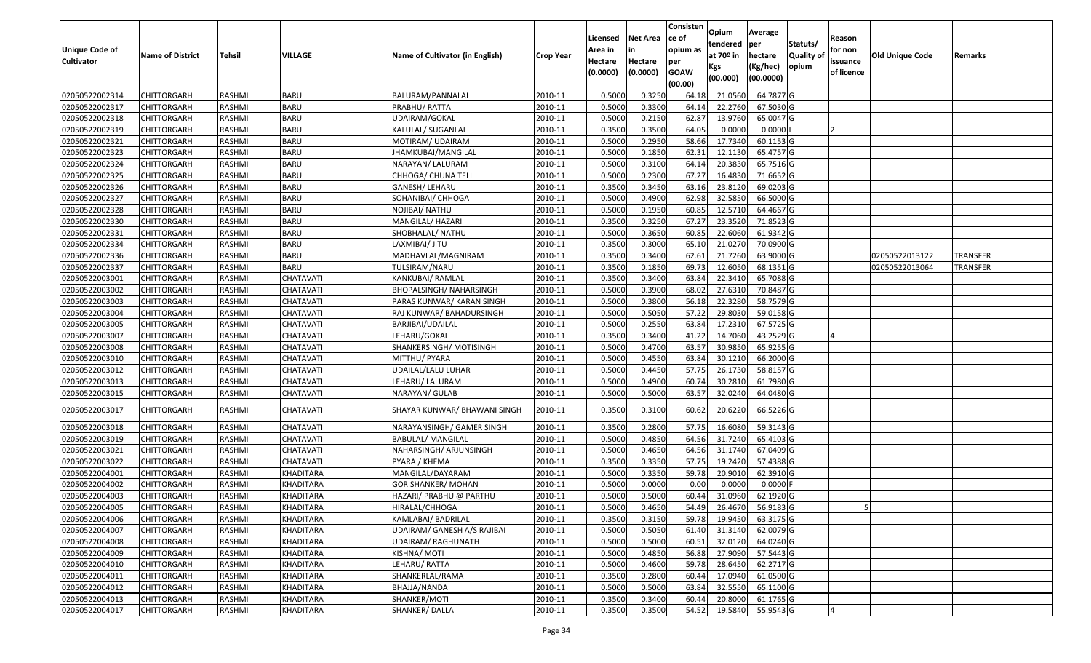|                       |                         |               |                  |                                 |                  |          |                 | Consisten              | Opium         | Average    |                  |            |                        |                 |
|-----------------------|-------------------------|---------------|------------------|---------------------------------|------------------|----------|-----------------|------------------------|---------------|------------|------------------|------------|------------------------|-----------------|
|                       |                         |               |                  |                                 |                  | Licensed | <b>Net Area</b> | ce of                  | tendered      | per        | Statuts/         | Reason     |                        |                 |
| <b>Unique Code of</b> | <b>Name of District</b> | <b>Tehsil</b> | VILLAGE          | Name of Cultivator (in English) | <b>Crop Year</b> | Area in  |                 | opium as               | at $70°$ in   | hectare    | <b>Quality o</b> | for non    | <b>Old Unique Code</b> | Remarks         |
| <b>Cultivator</b>     |                         |               |                  |                                 |                  | Hectare  | Hectare         | per                    | Kgs           | (Kg/hec)   | opium            | issuance   |                        |                 |
|                       |                         |               |                  |                                 |                  | (0.0000) | (0.0000)        | <b>GOAW</b><br>(00.00) | (00.000)      | (00.0000)  |                  | of licence |                        |                 |
| 02050522002314        | CHITTORGARH             | RASHMI        | <b>BARU</b>      | BALURAM/PANNALAL                | 2010-11          | 0.5000   | 0.3250          | 64.18                  | 21.0560       | 64.7877 G  |                  |            |                        |                 |
| 02050522002317        | CHITTORGARH             | RASHMI        | <b>BARU</b>      | PRABHU/ RATTA                   | 2010-11          | 0.5000   | 0.3300          | 64.14                  | 22.2760       | 67.5030 G  |                  |            |                        |                 |
| 02050522002318        | CHITTORGARH             | RASHMI        | <b>BARU</b>      | JDAIRAM/GOKAL                   | 2010-11          | 0.5000   | 0.2150          | 62.87                  | 13.9760       | 65.0047 G  |                  |            |                        |                 |
| 02050522002319        | CHITTORGARH             | RASHMI        | <b>BARU</b>      | KALULAL/ SUGANLAL               | 2010-11          | 0.3500   | 0.3500          | 64.05                  | 0.0000        | 0.0000     |                  |            |                        |                 |
| 02050522002321        | CHITTORGARH             | RASHMI        | <b>BARU</b>      | MOTIRAM/ UDAIRAM                | 2010-11          | 0.5000   | 0.2950          | 58.66                  | 17.7340       | 60.1153 G  |                  |            |                        |                 |
| 02050522002323        | CHITTORGARH             | RASHMI        | <b>BARU</b>      | JHAMKUBAI/MANGILAL              | 2010-11          | 0.5000   | 0.1850          | 62.3                   | 12.1130       | 65.4757 G  |                  |            |                        |                 |
| 02050522002324        | CHITTORGARH             | RASHMI        | BARU             | NARAYAN/ LALURAM                | 2010-11          | 0.5000   | 0.3100          | 64.1                   | 20.3830       | 65.7516 G  |                  |            |                        |                 |
| 02050522002325        | CHITTORGARH             | <b>RASHMI</b> | <b>BARU</b>      | CHHOGA/ CHUNA TELI              | 2010-11          | 0.5000   | 0.2300          | 67.27                  | 16.4830       | 71.6652 G  |                  |            |                        |                 |
| 02050522002326        | <b>CHITTORGARH</b>      | RASHMI        | <b>BARU</b>      | GANESH/ LEHARU                  | 2010-11          | 0.3500   | 0.3450          | 63.16                  | 23.8120       | 69.0203 G  |                  |            |                        |                 |
| 02050522002327        | CHITTORGARH             | RASHMI        | <b>BARU</b>      | SOHANIBAI/ CHHOGA               | 2010-11          | 0.5000   | 0.4900          | 62.98                  | 32.5850       | 66.5000 G  |                  |            |                        |                 |
| 02050522002328        | CHITTORGARH             | RASHMI        | <b>BARU</b>      | NOJIBAI/ NATHU                  | 2010-11          | 0.5000   | 0.1950          | 60.85                  | 12.5710       | 64.4667 G  |                  |            |                        |                 |
| 02050522002330        | CHITTORGARH             | RASHMI        | <b>BARU</b>      | MANGILAL/ HAZARI                | 2010-11          | 0.3500   | 0.3250          | 67.27                  | 23.3520       | 71.8523 G  |                  |            |                        |                 |
| 02050522002331        | <b>CHITTORGARH</b>      | RASHMI        | <b>BARU</b>      | SHOBHALAL/ NATHU                | 2010-11          | 0.5000   | 0.3650          | 60.85                  | 22.6060       | 61.9342 G  |                  |            |                        |                 |
| 02050522002334        | <b>CHITTORGARH</b>      | RASHMI        | <b>BARU</b>      | LAXMIBAI/ JITU                  | 2010-11          | 0.3500   | 0.3000          | 65.10                  | 21.0270       | 70.0900 G  |                  |            |                        |                 |
| 02050522002336        | CHITTORGARH             | RASHMI        | <b>BARU</b>      | MADHAVLAL/MAGNIRAM              | 2010-11          | 0.3500   | 0.3400          | 62.61                  | 21.7260       | 63.9000 G  |                  |            | 02050522013122         | <b>TRANSFER</b> |
| 02050522002337        | <b>CHITTORGARH</b>      | RASHMI        | <b>BARU</b>      | TULSIRAM/NARU                   | 2010-11          | 0.3500   | 0.1850          | 69.73                  | 12.6050       | 68.1351 G  |                  |            | 02050522013064         | TRANSFER        |
| 02050522003001        | <b>CHITTORGARH</b>      | RASHMI        | CHATAVATI        | KANKUBAI/ RAMLAL                | 2010-11          | 0.3500   | 0.3400          | 63.84                  | 22.3410       | 65.7088 G  |                  |            |                        |                 |
| 02050522003002        | CHITTORGARH             | RASHMI        | CHATAVATI        | BHOPALSINGH/ NAHARSINGH         | 2010-11          | 0.5000   | 0.3900          | 68.02                  | 27.6310       | 70.8487 G  |                  |            |                        |                 |
| 02050522003003        | CHITTORGARH             | RASHMI        | CHATAVATI        | PARAS KUNWAR/KARAN SINGH        | 2010-11          | 0.5000   | 0.3800          | 56.18                  | 22.3280       | 58.7579 G  |                  |            |                        |                 |
| 02050522003004        | CHITTORGARH             | RASHMI        | CHATAVATI        | RAJ KUNWAR/ BAHADURSINGH        | 2010-11          | 0.5000   | 0.5050          | 57.22                  | 29.8030       | 59.0158 G  |                  |            |                        |                 |
| 02050522003005        | CHITTORGARH             | RASHMI        | CHATAVATI        | BARJIBAI/UDAILAL                | 2010-11          | 0.5000   | 0.2550          | 63.84                  | 17.2310       | 67.5725 G  |                  |            |                        |                 |
| 02050522003007        | CHITTORGARH             | RASHMI        | CHATAVATI        | LEHARU/GOKAL                    | 2010-11          | 0.3500   | 0.3400          | 41.22                  | 14.7060       | 43.2529 G  |                  |            |                        |                 |
| 02050522003008        | CHITTORGARH             | RASHMI        | CHATAVATI        | SHANKERSINGH/ MOTISINGH         | 2010-11          | 0.5000   | 0.4700          | 63.57                  | 30.9850       | 65.9255 G  |                  |            |                        |                 |
| 02050522003010        | CHITTORGARH             | RASHMI        | CHATAVATI        | MITTHU/ PYARA                   | 2010-11          | 0.5000   | 0.4550          | 63.84                  | 30.121        | 66.2000 G  |                  |            |                        |                 |
| 02050522003012        | CHITTORGARH             | RASHMI        | CHATAVATI        | UDAILAL/LALU LUHAR              | 2010-11          | 0.5000   | 0.4450          | 57.75                  | 26.1730       | 58.8157 G  |                  |            |                        |                 |
| 02050522003013        | CHITTORGARH             | RASHMI        | CHATAVATI        | LEHARU/ LALURAM                 | 2010-11          | 0.5000   | 0.4900          | 60.7                   | 30.281        | 61.7980 G  |                  |            |                        |                 |
| 02050522003015        | CHITTORGARH             | RASHMI        | CHATAVATI        | NARAYAN/ GULAB                  | 2010-11          | 0.5000   | 0.5000          | 63.57                  | 32.0240       | 64.0480 G  |                  |            |                        |                 |
| 02050522003017        | CHITTORGARH             | RASHMI        | CHATAVATI        | SHAYAR KUNWAR/ BHAWANI SINGH    | 2010-11          | 0.3500   | 0.3100          | 60.62                  | 20.6220       | 66.5226 G  |                  |            |                        |                 |
| 02050522003018        | <b>CHITTORGARH</b>      | RASHMI        | CHATAVATI        | NARAYANSINGH/ GAMER SINGH       | 2010-11          | 0.350    | 0.2800          | 57.75                  | 16.6080       | 59.3143 G  |                  |            |                        |                 |
| 02050522003019        | CHITTORGARH             | RASHMI        | CHATAVATI        | <b>BABULAL/ MANGILAL</b>        | 2010-11          | 0.5000   | 0.4850          | 64.56                  | 31.7240       | 65.4103 G  |                  |            |                        |                 |
| 02050522003021        | CHITTORGARH             | RASHMI        | CHATAVATI        | NAHARSINGH/ ARJUNSINGH          | 2010-11          | 0.5000   | 0.4650          | 64.56                  | 31.1740       | 67.0409 G  |                  |            |                        |                 |
| 02050522003022        | CHITTORGARH             | RASHMI        | CHATAVATI        | PYARA / KHEMA                   | 2010-11          | 0.3500   | 0.3350          | 57.75                  | 19.2420       | 57.4388 G  |                  |            |                        |                 |
| 02050522004001        | <b>CHITTORGARH</b>      | RASHMI        | <b>KHADITARA</b> | MANGILAL/DAYARAM                | 2010-11          | 0.5000   | 0.3350          | 59.78                  | 20.9010       | 62.3910 G  |                  |            |                        |                 |
| 02050522004002        | CHITTORGARH             | RASHMI        | KHADITARA        | GORISHANKER/ MOHAN              | 2010-11          | 0.500    | 0.0000          | 0.00                   | 0.0000        | $0.0000$ F |                  |            |                        |                 |
| 02050522004003        | CHITTORGARH             | RASHMI        | KHADITARA        | HAZARI/ PRABHU @ PARTHU         | 2010-11          | 0.5000   | 0.5000          | 60.44                  | 31.0960       | 62.1920 G  |                  |            |                        |                 |
| 02050522004005        | <b>CHITTORGARH</b>      | RASHMI        | KHADITARA        | HIRALAL/CHHOGA                  | 2010-11          | 0.5000   | 0.4650          |                        | 54.49 26.4670 | 56.9183 G  |                  |            |                        |                 |
| 02050522004006        | <b>CHITTORGARH</b>      | RASHMI        | <b>KHADITARA</b> | KAMLABAI/ BADRILAL              | 2010-11          | 0.3500   | 0.3150          | 59.78                  | 19.9450       | 63.3175 G  |                  |            |                        |                 |
| 02050522004007        | <b>CHITTORGARH</b>      | RASHMI        | <b>KHADITARA</b> | UDAIRAM/ GANESH A/S RAJIBAI     | 2010-11          | 0.5000   | 0.5050          | 61.40                  | 31.3140       | 62.0079 G  |                  |            |                        |                 |
| 02050522004008        | <b>CHITTORGARH</b>      | RASHMI        | <b>KHADITARA</b> | UDAIRAM/ RAGHUNATH              | 2010-11          | 0.5000   | 0.5000          | 60.51                  | 32.0120       | 64.0240 G  |                  |            |                        |                 |
| 02050522004009        | CHITTORGARH             | RASHMI        | <b>KHADITARA</b> | KISHNA/ MOTI                    | 2010-11          | 0.5000   | 0.4850          | 56.88                  | 27.9090       | 57.5443 G  |                  |            |                        |                 |
| 02050522004010        | <b>CHITTORGARH</b>      | RASHMI        | <b>KHADITARA</b> | LEHARU/RATTA                    | 2010-11          | 0.5000   | 0.4600          | 59.78                  | 28.6450       | 62.2717 G  |                  |            |                        |                 |
| 02050522004011        | <b>CHITTORGARH</b>      | RASHMI        | KHADITARA        | SHANKERLAL/RAMA                 | 2010-11          | 0.3500   | 0.2800          | 60.44                  | 17.0940       | 61.0500 G  |                  |            |                        |                 |
| 02050522004012        | CHITTORGARH             | RASHMI        | KHADITARA        | BHAJJA/NANDA                    | 2010-11          | 0.5000   | 0.5000          | 63.84                  | 32.5550       | 65.1100 G  |                  |            |                        |                 |
| 02050522004013        | CHITTORGARH             | RASHMI        | KHADITARA        | SHANKER/MOTI                    | 2010-11          | 0.3500   | 0.3400          | 60.44                  | 20.8000       | 61.1765 G  |                  |            |                        |                 |
| 02050522004017        | <b>CHITTORGARH</b>      | RASHMI        | <b>KHADITARA</b> | SHANKER/DALLA                   | 2010-11          | 0.3500   | 0.3500          | 54.52                  | 19.5840       | 55.9543 G  |                  |            |                        |                 |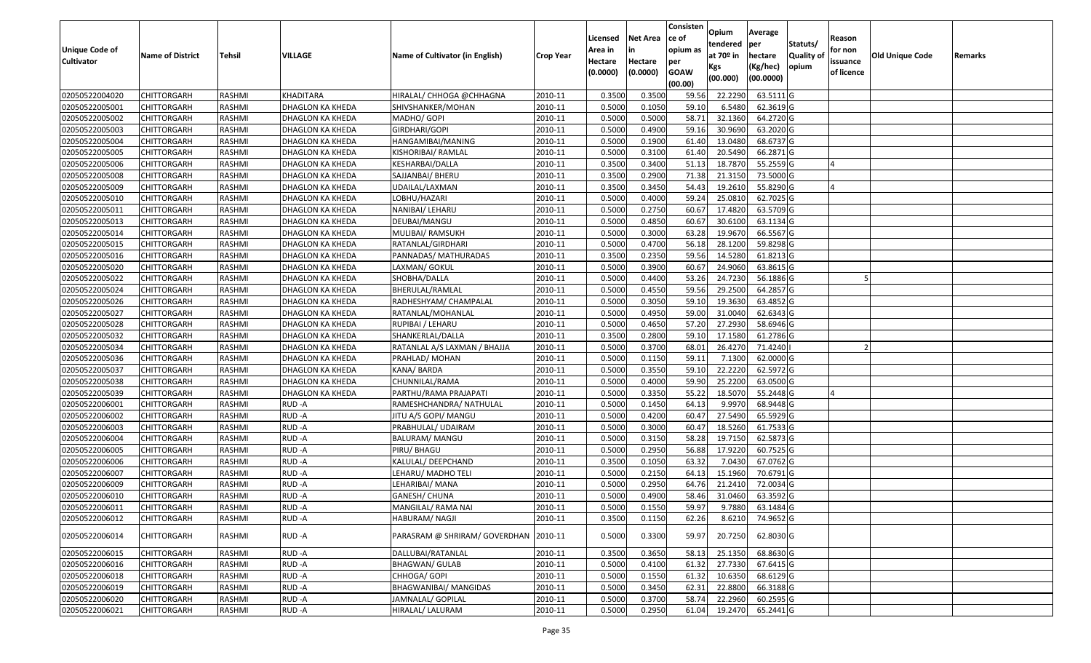|                   |                         |               |                  |                                 |                  | Licensed | <b>Net Area</b> | Consisten<br>ce of | Opium           | Average               |                  | Reason     |                 |         |
|-------------------|-------------------------|---------------|------------------|---------------------------------|------------------|----------|-----------------|--------------------|-----------------|-----------------------|------------------|------------|-----------------|---------|
| Unique Code of    |                         |               |                  |                                 |                  | Area in  | in              | opium as           | tendered        | per                   | Statuts/         | for non    |                 |         |
| <b>Cultivator</b> | <b>Name of District</b> | <b>Tehsil</b> | VILLAGE          | Name of Cultivator (in English) | <b>Crop Year</b> | Hectare  | Hectare         | per                | at $70°$ in     | hectare               | <b>Quality o</b> | issuance   | Old Unique Code | Remarks |
|                   |                         |               |                  |                                 |                  | (0.0000) | (0.0000)        | <b>GOAW</b>        | Kgs<br>(00.000) | (Kg/hec)<br>(00.0000) | opium            | of licence |                 |         |
|                   |                         |               |                  |                                 |                  |          |                 | (00.00)            |                 |                       |                  |            |                 |         |
| 02050522004020    | CHITTORGARH             | RASHMI        | KHADITARA        | HIRALAL/ CHHOGA @CHHAGNA        | 2010-11          | 0.3500   | 0.3500          | 59.56              | 22.2290         | 63.5111G              |                  |            |                 |         |
| 02050522005001    | CHITTORGARH             | RASHMI        | DHAGLON KA KHEDA | SHIVSHANKER/MOHAN               | 2010-11          | 0.5000   | 0.1050          | 59.10              | 6.5480          | 62.3619 G             |                  |            |                 |         |
| 02050522005002    | CHITTORGARH             | RASHMI        | DHAGLON KA KHEDA | MADHO/ GOPI                     | 2010-11          | 0.5000   | 0.5000          | 58.71              | 32.1360         | 64.2720 G             |                  |            |                 |         |
| 02050522005003    | <b>CHITTORGARH</b>      | RASHMI        | DHAGLON KA KHEDA | GIRDHARI/GOPI                   | 2010-11          | 0.5000   | 0.4900          | 59.16              | 30.9690         | 63.2020 G             |                  |            |                 |         |
| 02050522005004    | CHITTORGARH             | RASHMI        | DHAGLON KA KHEDA | HANGAMIBAI/MANING               | 2010-11          | 0.5000   | 0.1900          | 61.40              | 13.0480         | 68.6737 G             |                  |            |                 |         |
| 02050522005005    | CHITTORGARH             | RASHMI        | DHAGLON KA KHEDA | KISHORIBAI/ RAMLAL              | 2010-11          | 0.5000   | 0.3100          | 61.40              | 20.5490         | 66.2871 G             |                  |            |                 |         |
| 02050522005006    | CHITTORGARH             | RASHMI        | DHAGLON KA KHEDA | KESHARBAI/DALLA                 | 2010-11          | 0.3500   | 0.3400          | 51.13              | 18.7870         | 55.2559 G             |                  |            |                 |         |
| 02050522005008    | CHITTORGARH             | <b>RASHMI</b> | DHAGLON KA KHEDA | SAJJANBAI/ BHERU                | 2010-11          | 0.3500   | 0.2900          | 71.38              | 21.3150         | 73.5000 G             |                  |            |                 |         |
| 02050522005009    | <b>CHITTORGARH</b>      | RASHMI        | DHAGLON KA KHEDA | UDAILAL/LAXMAN                  | 2010-11          | 0.3500   | 0.3450          | 54.43              | 19.2610         | 55.8290 G             |                  |            |                 |         |
| 02050522005010    | CHITTORGARH             | RASHMI        | DHAGLON KA KHEDA | LOBHU/HAZARI                    | 2010-11          | 0.5000   | 0.4000          | 59.24              | 25.0810         | 62.7025 G             |                  |            |                 |         |
| 02050522005011    | CHITTORGARH             | RASHMI        | DHAGLON KA KHEDA | NANIBAI/ LEHARU                 | 2010-11          | 0.5000   | 0.2750          | 60.67              | 17.4820         | 63.5709 G             |                  |            |                 |         |
| 02050522005013    | <b>CHITTORGARH</b>      | RASHMI        | DHAGLON KA KHEDA | DEUBAI/MANGU                    | 2010-11          | 0.5000   | 0.4850          | 60.67              | 30.6100         | 63.1134 G             |                  |            |                 |         |
| 02050522005014    | <b>CHITTORGARH</b>      | RASHMI        | DHAGLON KA KHEDA | MULIBAI/ RAMSUKH                | 2010-11          | 0.5000   | 0.3000          | 63.28              | 19.9670         | 66.5567 G             |                  |            |                 |         |
| 02050522005015    | <b>CHITTORGARH</b>      | RASHMI        | DHAGLON KA KHEDA | RATANLAL/GIRDHARI               | 2010-11          | 0.5000   | 0.4700          | 56.18              | 28.1200         | 59.8298 G             |                  |            |                 |         |
| 02050522005016    | <b>CHITTORGARH</b>      | RASHMI        | DHAGLON KA KHEDA | PANNADAS/ MATHURADAS            | 2010-11          | 0.3500   | 0.2350          | 59.56              | 14.5280         | 61.8213 G             |                  |            |                 |         |
| 02050522005020    | <b>CHITTORGARH</b>      | RASHMI        | DHAGLON KA KHEDA | LAXMAN/ GOKUL                   | 2010-11          | 0.5000   | 0.3900          | 60.67              | 24.9060         | 63.8615 G             |                  |            |                 |         |
| 02050522005022    | <b>CHITTORGARH</b>      | RASHMI        | DHAGLON KA KHEDA | SHOBHA/DALLA                    | 2010-11          | 0.5000   | 0.4400          | 53.26              | 24.7230         | 56.1886 G             |                  |            |                 |         |
| 02050522005024    | CHITTORGARH             | RASHMI        | DHAGLON KA KHEDA | BHERULAL/RAMLAL                 | 2010-11          | 0.5000   | 0.4550          | 59.56              | 29.2500         | 64.2857 G             |                  |            |                 |         |
| 02050522005026    | CHITTORGARH             | RASHMI        | DHAGLON KA KHEDA | RADHESHYAM/ CHAMPALAL           | 2010-11          | 0.5000   | 0.3050          | 59.10              | 19.3630         | 63.4852 G             |                  |            |                 |         |
| 02050522005027    | CHITTORGARH             | RASHMI        | DHAGLON KA KHEDA | RATANLAL/MOHANLAL               | 2010-11          | 0.5000   | 0.4950          | 59.00              | 31.0040         | 62.6343 G             |                  |            |                 |         |
| 02050522005028    | CHITTORGARH             | RASHMI        | DHAGLON KA KHEDA | RUPIBAI / LEHARU                | 2010-11          | 0.5000   | 0.4650          | 57.20              | 27.2930         | 58.6946 G             |                  |            |                 |         |
| 02050522005032    | CHITTORGARH             | RASHMI        | DHAGLON KA KHEDA | SHANKERLAL/DALLA                | 2010-11          | 0.3500   | 0.2800          | 59.1               | 17.1580         | 61.2786 G             |                  |            |                 |         |
| 02050522005034    | CHITTORGARH             | RASHMI        | DHAGLON KA KHEDA | RATANLAL A/S LAXMAN / BHAJJA    | 2010-11          | 0.5000   | 0.3700          | 68.01              | 26.4270         | 71.4240               |                  |            |                 |         |
| 02050522005036    | <b>CHITTORGARH</b>      | RASHMI        | DHAGLON KA KHEDA | PRAHLAD/ MOHAN                  | 2010-11          | 0.5000   | 0.1150          | 59.1               | 7.1300          | 62.0000 G             |                  |            |                 |         |
| 02050522005037    | CHITTORGARH             | RASHMI        | DHAGLON KA KHEDA | KANA/BARDA                      | 2010-11          | 0.5000   | 0.3550          | 59.10              | 22.2220         | 62.5972 G             |                  |            |                 |         |
| 02050522005038    | CHITTORGARH             | RASHMI        | DHAGLON KA KHEDA | CHUNNILAL/RAMA                  | 2010-11          | 0.5000   | 0.4000          | 59.90              | 25.2200         | 63.0500G              |                  |            |                 |         |
| 02050522005039    | CHITTORGARH             | RASHMI        | DHAGLON KA KHEDA | PARTHU/RAMA PRAJAPATI           | 2010-11          | 0.5000   | 0.3350          | 55.22              | 18.5070         | 55.2448 G             |                  |            |                 |         |
| 02050522006001    | CHITTORGARH             | RASHMI        | RUD-A            | RAMESHCHANDRA/ NATHULAL         | 2010-11          | 0.5000   | 0.1450          | 64.13              | 9.9970          | 68.9448 G             |                  |            |                 |         |
| 02050522006002    | CHITTORGARH             | RASHMI        | RUD-A            | JITU A/S GOPI/ MANGU            | 2010-11          | 0.5000   | 0.4200          | 60.47              | 27.5490         | 65.5929 G             |                  |            |                 |         |
| 02050522006003    | CHITTORGARH             | RASHMI        | RUD-A            | PRABHULAL/ UDAIRAM              | 2010-11          | 0.5000   | 0.3000          | 60.47              | 18.5260         | 61.7533 G             |                  |            |                 |         |
| 02050522006004    | CHITTORGARH             | RASHMI        | RUD-A            | BALURAM/ MANGU                  | 2010-11          | 0.5000   | 0.3150          | 58.28              | 19.715          | 62.5873 G             |                  |            |                 |         |
| 02050522006005    | CHITTORGARH             | RASHMI        | RUD-A            | PIRU/BHAGU                      | 2010-11          | 0.5000   | 0.2950          | 56.88              | 17.9220         | 60.7525 G             |                  |            |                 |         |
| 02050522006006    | CHITTORGARH             | <b>RASHMI</b> | RUD-A            | KALULAL/ DEEPCHAND              | 2010-11          | 0.3500   | 0.1050          | 63.32              | 7.0430          | 67.0762G              |                  |            |                 |         |
| 02050522006007    | <b>CHITTORGARH</b>      | RASHMI        | RUD-A            | LEHARU/ MADHO TELI              | 2010-11          | 0.5000   | 0.2150          | 64.13              | 15.1960         | 70.6791 G             |                  |            |                 |         |
| 02050522006009    | CHITTORGARH             | RASHMI        | RUD-A            | LEHARIBAI/ MANA                 | 2010-11          | 0.500    | 0.2950          | 64.76              | 21.2410         | 72.0034 G             |                  |            |                 |         |
| 02050522006010    | CHITTORGARH             | RASHMI        | RUD-A            | GANESH/ CHUNA                   | 2010-11          | 0.5000   | 0.4900          | 58.46              | 31.0460         | 63.3592 G             |                  |            |                 |         |
| 02050522006011    | <b>CHITTORGARH</b>      | RASHMI        | RUD-A            | MANGILAL/ RAMA NAI              | 2010-11          | 0.5000   | 0.1550          | 59.97              | 9.7880          | 63.1484 G             |                  |            |                 |         |
| 02050522006012    | <b>CHITTORGARH</b>      | RASHMI        | RUD-A            | HABURAM/ NAGJI                  | 2010-11          | 0.3500   | 0.1150          | 62.26              | 8.6210          | 74.9652 G             |                  |            |                 |         |
| 02050522006014    | CHITTORGARH             | RASHMI        | RUD-A            | PARASRAM @ SHRIRAM/ GOVERDHAN   | 2010-11          | 0.5000   | 0.3300          | 59.97              | 20.7250         | 62.8030 G             |                  |            |                 |         |
| 02050522006015    | <b>CHITTORGARH</b>      | RASHMI        | RUD-A            | DALLUBAI/RATANLAL               | 2010-11          | 0.3500   | 0.3650          | 58.13              | 25.1350         | 68.8630 G             |                  |            |                 |         |
| 02050522006016    | <b>CHITTORGARH</b>      | RASHMI        | RUD-A            | <b>BHAGWAN/ GULAB</b>           | 2010-11          | 0.5000   | 0.4100          | 61.32              | 27.7330         | 67.6415 G             |                  |            |                 |         |
| 02050522006018    | <b>CHITTORGARH</b>      | RASHMI        | RUD-A            | CHHOGA/ GOPI                    | 2010-11          | 0.5000   | 0.1550          | 61.32              | 10.6350         | 68.6129 G             |                  |            |                 |         |
| 02050522006019    | <b>CHITTORGARH</b>      | RASHMI        | RUD-A            | BHAGWANIBAI/ MANGIDAS           | 2010-11          | 0.5000   | 0.3450          | 62.31              | 22.8800         | 66.3188 G             |                  |            |                 |         |
| 02050522006020    | CHITTORGARH             | RASHMI        | RUD-A            | JAMNALAL/ GOPILAL               | 2010-11          | 0.5000   | 0.3700          | 58.74              | 22.2960         | 60.2595 G             |                  |            |                 |         |
| 02050522006021    | <b>CHITTORGARH</b>      | RASHMI        | RUD-A            | HIRALAL/ LALURAM                | 2010-11          | 0.5000   | 0.2950          | 61.04              | 19.2470         | 65.2441 G             |                  |            |                 |         |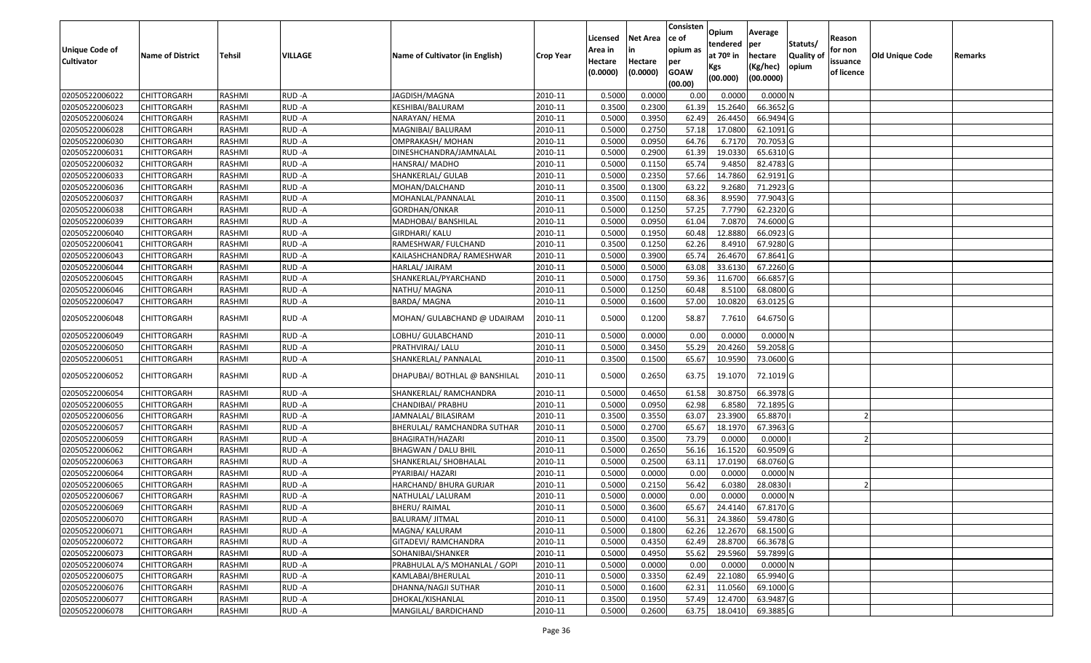| <b>Unique Code of</b> |                         |               |                |                                 |                  | Licensed<br>Area in | <b>Net Area</b>     | Consisten<br>ce of<br>opium as | Opium<br>tendered              | Average<br>per                   | Statuts/           | Reason<br>for non      |                        |         |
|-----------------------|-------------------------|---------------|----------------|---------------------------------|------------------|---------------------|---------------------|--------------------------------|--------------------------------|----------------------------------|--------------------|------------------------|------------------------|---------|
| <b>Cultivator</b>     | <b>Name of District</b> | <b>Tehsil</b> | <b>VILLAGE</b> | Name of Cultivator (in English) | <b>Crop Year</b> | Hectare<br>(0.0000) | Hectare<br>(0.0000) | per<br><b>GOAW</b><br>(00.00)  | at $70°$ in<br>Kgs<br>(00.000) | hectare<br>(Kg/hec)<br>(00.0000) | Quality o<br>opium | issuance<br>of licence | <b>Old Unique Code</b> | Remarks |
| 02050522006022        | CHITTORGARH             | RASHMI        | RUD-A          | JAGDISH/MAGNA                   | 2010-11          | 0.5000              | 0.0000              | 0.00                           | 0.0000                         | 0.0000N                          |                    |                        |                        |         |
| 02050522006023        | CHITTORGARH             | RASHMI        | RUD-A          | KESHIBAI/BALURAM                | 2010-11          | 0.3500              | 0.2300              | 61.39                          | 15.2640                        | 66.3652 G                        |                    |                        |                        |         |
| 02050522006024        | CHITTORGARH             | RASHMI        | RUD-A          | NARAYAN/ HEMA                   | 2010-11          | 0.5000              | 0.3950              | 62.49                          | 26.4450                        | 66.9494 G                        |                    |                        |                        |         |
| 02050522006028        | CHITTORGARH             | RASHMI        | RUD-A          | MAGNIBAI/ BALURAM               | 2010-11          | 0.5000              | 0.2750              | 57.18                          | 17.0800                        | 62.1091G                         |                    |                        |                        |         |
| 02050522006030        | CHITTORGARH             | RASHMI        | RUD-A          | OMPRAKASH/ MOHAN                | 2010-11          | 0.5000              | 0.0950              | 64.76                          | 6.7170                         | 70.7053 G                        |                    |                        |                        |         |
| 02050522006031        | CHITTORGARH             | RASHMI        | RUD-A          | DINESHCHANDRA/JAMNALAL          | 2010-11          | 0.5000              | 0.2900              | 61.39                          | 19.0330                        | 65.6310 G                        |                    |                        |                        |         |
| 02050522006032        | CHITTORGARH             | RASHMI        | RUD-A          | HANSRAJ/ MADHO                  | 2010-11          | 0.5000              | 0.1150              | 65.74                          | 9.4850                         | 82.4783 G                        |                    |                        |                        |         |
| 02050522006033        | <b>CHITTORGARH</b>      | <b>RASHMI</b> | RUD-A          | SHANKERLAL/ GULAB               | 2010-11          | 0.5000              | 0.2350              | 57.66                          | 14.7860                        | 62.9191G                         |                    |                        |                        |         |
| 02050522006036        | <b>CHITTORGARH</b>      | RASHMI        | RUD-A          | MOHAN/DALCHAND                  | 2010-11          | 0.3500              | 0.1300              | 63.22                          | 9.2680                         | 71.2923 G                        |                    |                        |                        |         |
| 02050522006037        | CHITTORGARH             | RASHMI        | RUD-A          | MOHANLAL/PANNALAL               | 2010-11          | 0.3500              | 0.1150              | 68.36                          | 8.9590                         | 77.9043 G                        |                    |                        |                        |         |
| 02050522006038        | CHITTORGARH             | RASHMI        | RUD-A          | GORDHAN/ONKAR                   | 2010-11          | 0.5000              | 0.1250              | 57.25                          | 7.7790                         | 62.2320 G                        |                    |                        |                        |         |
| 02050522006039        | CHITTORGARH             | RASHMI        | RUD-A          | MADHOBAI/ BANSHILAL             | 2010-11          | 0.5000              | 0.0950              | 61.04                          | 7.0870                         | 74.6000 G                        |                    |                        |                        |         |
| 02050522006040        | <b>CHITTORGARH</b>      | RASHMI        | RUD-A          | GIRDHARI/ KALU                  | 2010-11          | 0.5000              | 0.1950              | 60.48                          | 12.8880                        | 66.0923 G                        |                    |                        |                        |         |
| 02050522006041        | <b>CHITTORGARH</b>      | RASHMI        | RUD-A          | RAMESHWAR/ FULCHAND             | 2010-11          | 0.3500              | 0.1250              | 62.26                          | 8.491                          | 67.9280 G                        |                    |                        |                        |         |
| 02050522006043        | CHITTORGARH             | RASHMI        | RUD-A          | KAILASHCHANDRA/ RAMESHWAR       | 2010-11          | 0.5000              | 0.3900              | 65.74                          | 26.4670                        | 67.8641 G                        |                    |                        |                        |         |
| 02050522006044        | <b>CHITTORGARH</b>      | RASHMI        | RUD-A          | HARLAL/ JAIRAM                  | 2010-11          | 0.5000              | 0.5000              | 63.08                          | 33.6130                        | 67.2260 G                        |                    |                        |                        |         |
| 02050522006045        | CHITTORGARH             | RASHMI        | RUD-A          | SHANKERLAL/PYARCHAND            | 2010-11          | 0.5000              | 0.1750              | 59.36                          | 11.6700                        | 66.6857 G                        |                    |                        |                        |         |
| 02050522006046        | CHITTORGARH             | RASHMI        | RUD-A          | NATHU/ MAGNA                    | 2010-11          | 0.5000              | 0.1250              | 60.48                          | 8.5100                         | 68.0800 G                        |                    |                        |                        |         |
| 02050522006047        | CHITTORGARH             | RASHMI        | RUD-A          | BARDA/ MAGNA                    | 2010-11          | 0.5000              | 0.1600              | 57.00                          | 10.0820                        | 63.0125 G                        |                    |                        |                        |         |
| 02050522006048        | CHITTORGARH             | RASHMI        | RUD-A          | MOHAN/ GULABCHAND @ UDAIRAM     | 2010-11          | 0.5000              | 0.1200              | 58.87                          | 7.7610                         | 64.6750 G                        |                    |                        |                        |         |
| 02050522006049        | CHITTORGARH             | RASHMI        | RUD-A          | LOBHU/ GULABCHAND               | 2010-11          | 0.5000              | 0.0000              | 0.00                           | 0.0000                         | 0.0000N                          |                    |                        |                        |         |
| 02050522006050        | CHITTORGARH             | RASHMI        | RUD-A          | PRATHVIRAJ/ LALU                | 2010-11          | 0.5000              | 0.3450              | 55.29                          | 20.4260                        | 59.2058 G                        |                    |                        |                        |         |
| 02050522006051        | CHITTORGARH             | RASHMI        | RUD-A          | SHANKERLAL/ PANNALAL            | 2010-11          | 0.3500              | 0.1500              | 65.67                          | 10.9590                        | 73.0600G                         |                    |                        |                        |         |
| 02050522006052        | CHITTORGARH             | RASHMI        | RUD-A          | DHAPUBAI/ BOTHLAL @ BANSHILAL   | 2010-11          | 0.5000              | 0.2650              | 63.75                          | 19.1070                        | 72.1019 G                        |                    |                        |                        |         |
| 02050522006054        | CHITTORGARH             | RASHMI        | RUD-A          | SHANKERLAL/ RAMCHANDRA          | 2010-11          | 0.500               | 0.4650              | 61.58                          | 30.8750                        | 66.3978 G                        |                    |                        |                        |         |
| 02050522006055        | CHITTORGARH             | RASHMI        | RUD-A          | CHANDIBAI/ PRABHU               | 2010-11          | 0.5000              | 0.0950              | 62.98                          | 6.8580                         | 72.1895 G                        |                    |                        |                        |         |
| 02050522006056        | CHITTORGARH             | RASHMI        | RUD-A          | JAMNALAL/ BILASIRAM             | 2010-11          | 0.3500              | 0.3550              | 63.07                          | 23.3900                        | 65.8870                          |                    |                        |                        |         |
| 02050522006057        | CHITTORGARH             | RASHMI        | RUD-A          | BHERULAL/ RAMCHANDRA SUTHAR     | 2010-11          | 0.5000              | 0.2700              | 65.67                          | 18.1970                        | 67.3963 G                        |                    |                        |                        |         |
| 02050522006059        | CHITTORGARH             | RASHMI        | RUD-A          | BHAGIRATH/HAZARI                | 2010-11          | 0.3500              | 0.3500              | 73.79                          | 0.0000                         | 0.0000                           |                    |                        |                        |         |
| 02050522006062        | CHITTORGARH             | RASHMI        | RUD-A          | <b>BHAGWAN / DALU BHIL</b>      | 2010-11          | 0.5000              | 0.2650              | 56.16                          | 16.1520                        | 60.9509 G                        |                    |                        |                        |         |
| 02050522006063        | CHITTORGARH             | RASHMI        | RUD-A          | SHANKERLAL/ SHOBHALAL           | 2010-11          | 0.5000              | 0.2500              | 63.1                           | 17.0190                        | 68.0760 G                        |                    |                        |                        |         |
| 02050522006064        | <b>CHITTORGARH</b>      | RASHMI        | RUD-A          | PYARIBAI/ HAZARI                | 2010-11          | 0.5000              | 0.0000              | 0.00                           | 0.0000                         | $0.0000$ N                       |                    |                        |                        |         |
| 02050522006065        | CHITTORGARH             | RASHMI        | RUD-A          | HARCHAND/ BHURA GURJAR          | 2010-11          | 0.500               | 0.2150              | 56.42                          | 6.0380                         | 28.0830                          |                    |                        |                        |         |
| 02050522006067        | CHITTORGARH             | RASHMI        | RUD-A          | NATHULAL/ LALURAM               | 2010-11          | 0.5000              | 0.0000              | 0.00                           | 0.0000                         | $0.0000$ N                       |                    |                        |                        |         |
| 02050522006069        | <b>CHITTORGARH</b>      | RASHMI        | RUD-A          | <b>BHERU/ RAIMAL</b>            | 2010-11          | 0.5000              | 0.3600              | 65.67                          | 24.4140                        | 67.8170 G                        |                    |                        |                        |         |
| 02050522006070        | <b>CHITTORGARH</b>      | RASHMI        | RUD-A          | <b>BALURAM/ JITMAL</b>          | 2010-11          | 0.5000              | 0.4100              | 56.31                          | 24.3860                        | 59.4780 G                        |                    |                        |                        |         |
| 02050522006071        | <b>CHITTORGARH</b>      | RASHMI        | RUD-A          | MAGNA/ KALURAM                  | 2010-11          | 0.5000              | 0.1800              | 62.26                          | 12.2670                        | 68.1500 G                        |                    |                        |                        |         |
| 02050522006072        | <b>CHITTORGARH</b>      | RASHMI        | RUD-A          | GITADEVI/ RAMCHANDRA            | 2010-11          | 0.5000              | 0.4350              | 62.49                          | 28.8700                        | 66.3678 G                        |                    |                        |                        |         |
| 02050522006073        | <b>CHITTORGARH</b>      | RASHMI        | RUD-A          | SOHANIBAI/SHANKER               | 2010-11          | 0.5000              | 0.4950              | 55.62                          | 29.5960                        | 59.7899 G                        |                    |                        |                        |         |
| 02050522006074        | <b>CHITTORGARH</b>      | RASHMI        | RUD-A          | PRABHULAL A/S MOHANLAL / GOPI   | 2010-11          | 0.5000              | 0.0000              | 0.00                           | 0.0000                         | 0.0000N                          |                    |                        |                        |         |
| 02050522006075        | <b>CHITTORGARH</b>      | RASHMI        | RUD-A          | KAMLABAI/BHERULAL               | 2010-11          | 0.5000              | 0.3350              | 62.49                          | 22.1080                        | 65.9940 G                        |                    |                        |                        |         |
| 02050522006076        | <b>CHITTORGARH</b>      | RASHMI        | RUD-A          | DHANNA/NAGJI SUTHAR             | 2010-11          | 0.5000              | 0.1600              | 62.31                          | 11.0560                        | 69.1000 G                        |                    |                        |                        |         |
| 02050522006077        | <b>CHITTORGARH</b>      | RASHMI        | RUD-A          | DHOKAL/KISHANLAL                | 2010-11          | 0.3500              | 0.1950              | 57.49                          | 12.4700                        | 63.9487 G                        |                    |                        |                        |         |
| 02050522006078        | <b>CHITTORGARH</b>      | RASHMI        | RUD-A          | MANGILAL/ BARDICHAND            | 2010-11          | 0.5000              | 0.2600              | 63.75                          | 18.0410                        | 69.3885 G                        |                    |                        |                        |         |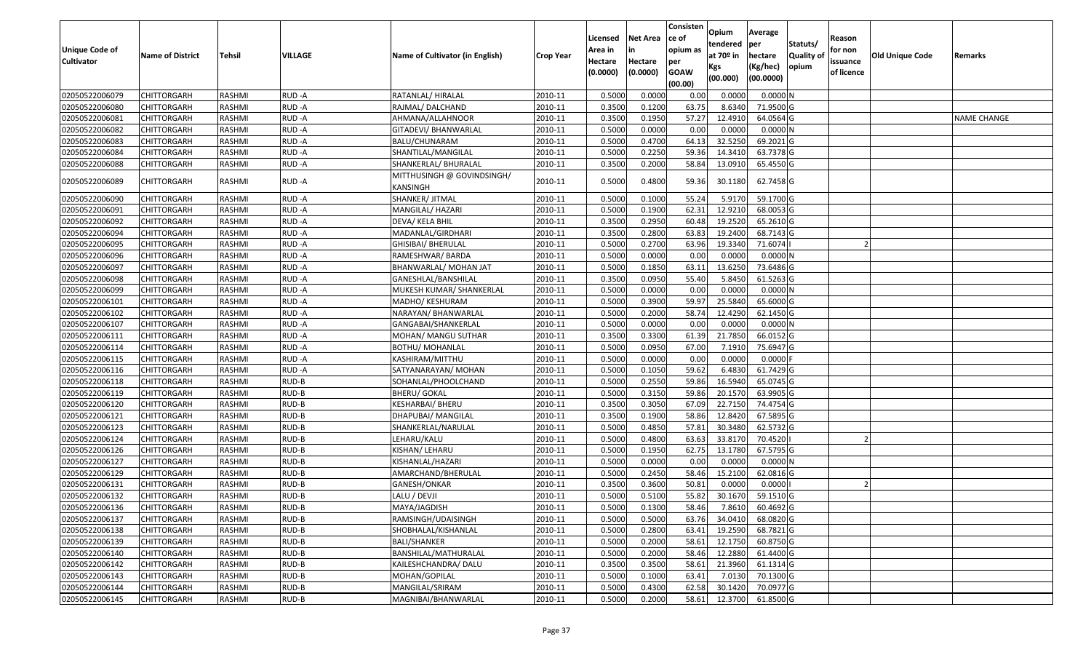| Unique Code of<br>Cultivator | <b>Name of District</b> | Tehsil        | <b>VILLAGE</b> | Name of Cultivator (in English)        | <b>Crop Year</b> | Licensed<br>Area in<br>Hectare<br>(0.0000) | <b>Net Area</b><br>Hectare<br>(0.0000) | Consisten<br>ce of<br>opium as<br>per<br><b>GOAW</b><br>(00.00) | Opium<br>tendered<br>at $70°$ in<br><b>Kgs</b><br>(00.000) | Average<br>per<br>hectare<br>(Kg/hec)<br>(00.0000) | Statuts/<br>Quality of<br>opium | Reason<br>for non<br>issuance<br>of licence | <b>Old Unique Code</b> | Remarks            |
|------------------------------|-------------------------|---------------|----------------|----------------------------------------|------------------|--------------------------------------------|----------------------------------------|-----------------------------------------------------------------|------------------------------------------------------------|----------------------------------------------------|---------------------------------|---------------------------------------------|------------------------|--------------------|
| 02050522006079               | <b>CHITTORGARH</b>      | <b>RASHMI</b> | RUD-A          | RATANLAL/ HIRALAL                      | 2010-11          | 0.5000                                     | 0.000                                  | 0.00                                                            | 0.0000                                                     | 0.0000N                                            |                                 |                                             |                        |                    |
| 02050522006080               | <b>CHITTORGARH</b>      | <b>RASHMI</b> | RUD-A          | RAJMAL/ DALCHAND                       | 2010-11          | 0.3500                                     | 0.1200                                 | 63.75                                                           | 8.6340                                                     | 71.9500 G                                          |                                 |                                             |                        |                    |
| 02050522006081               | <b>CHITTORGARH</b>      | RASHMI        | RUD-A          | AHMANA/ALLAHNOOR                       | 2010-11          | 0.3500                                     | 0.1950                                 | 57.27                                                           | 12.4910                                                    | 64.0564 G                                          |                                 |                                             |                        | <b>NAME CHANGE</b> |
| 02050522006082               | <b>CHITTORGARH</b>      | <b>RASHMI</b> | RUD-A          | GITADEVI/ BHANWARLAL                   | 2010-11          | 0.5000                                     | 0.0000                                 | 0.00                                                            | 0.0000                                                     | 0.0000N                                            |                                 |                                             |                        |                    |
| 02050522006083               | <b>CHITTORGARH</b>      | RASHMI        | RUD-A          | BALU/CHUNARAM                          | 2010-11          | 0.5000                                     | 0.4700                                 | 64.13                                                           | 32.5250                                                    | 69.2021 G                                          |                                 |                                             |                        |                    |
| 02050522006084               | <b>CHITTORGARH</b>      | RASHMI        | RUD-A          | SHANTILAL/MANGILAL                     | 2010-11          | 0.500                                      | 0.2250                                 | 59.36                                                           | 14.3410                                                    | 63.7378 G                                          |                                 |                                             |                        |                    |
| 02050522006088               | <b>CHITTORGARH</b>      | RASHMI        | RUD-A          | SHANKERLAL/ BHURALAL                   | 2010-11          | 0.3500                                     | 0.2000                                 | 58.84                                                           | 13.0910                                                    | 65.4550 G                                          |                                 |                                             |                        |                    |
| 02050522006089               | <b>CHITTORGARH</b>      | RASHMI        | RUD-A          | MITTHUSINGH @ GOVINDSINGH/<br>KANSINGH | 2010-11          | 0.5000                                     | 0.4800                                 | 59.36                                                           | 30.1180                                                    | 62.7458 G                                          |                                 |                                             |                        |                    |
| 02050522006090               | <b>CHITTORGARH</b>      | <b>RASHMI</b> | RUD-A          | SHANKER/ JITMAL                        | 2010-11          | 0.500                                      | 0.1000                                 | 55.24                                                           | 5.9170                                                     | 59.1700 G                                          |                                 |                                             |                        |                    |
| 02050522006091               | <b>CHITTORGARH</b>      | RASHMI        | RUD-A          | MANGILAL/ HAZARI                       | 2010-11          | 0.5000                                     | 0.1900                                 | 62.31                                                           | 12.9210                                                    | 68.0053 G                                          |                                 |                                             |                        |                    |
| 02050522006092               | <b>CHITTORGARH</b>      | <b>RASHMI</b> | RUD-A          | DEVA/ KELA BHIL                        | 2010-11          | 0.3500                                     | 0.2950                                 | 60.48                                                           | 19.2520                                                    | 65.2610 G                                          |                                 |                                             |                        |                    |
| 02050522006094               | <b>CHITTORGARH</b>      | RASHMI        | RUD-A          | MADANLAL/GIRDHARI                      | 2010-11          | 0.3500                                     | 0.2800                                 | 63.83                                                           | 19.2400                                                    | 68.7143 G                                          |                                 |                                             |                        |                    |
| 02050522006095               | <b>CHITTORGARH</b>      | RASHMI        | RUD-A          | <b>GHISIBAI/ BHERULAL</b>              | 2010-11          | 0.5000                                     | 0.2700                                 | 63.96                                                           | 19.3340                                                    | 71.6074                                            |                                 |                                             |                        |                    |
| 02050522006096               | <b>CHITTORGARH</b>      | RASHMI        | RUD-A          | RAMESHWAR/ BARDA                       | 2010-11          | 0.5000                                     | 0.0000                                 | 0.00                                                            | 0.0000                                                     | 0.0000N                                            |                                 |                                             |                        |                    |
| 02050522006097               | <b>CHITTORGARH</b>      | RASHMI        | RUD-A          | BHANWARLAL/ MOHAN JAT                  | 2010-11          | 0.5000                                     | 0.1850                                 | 63.11                                                           | 13.6250                                                    | 73.6486 G                                          |                                 |                                             |                        |                    |
| 02050522006098               | <b>CHITTORGARH</b>      | <b>RASHMI</b> | RUD-A          | GANESHLAL/BANSHILAI                    | 2010-11          | 0.3500                                     | 0.0950                                 | 55.40                                                           | 5.8450                                                     | 61.5263 G                                          |                                 |                                             |                        |                    |
| 02050522006099               | <b>CHITTORGARH</b>      | RASHMI        | RUD-A          | MUKESH KUMAR/ SHANKERLAL               | 2010-11          | 0.5000                                     | 0.0000                                 | 0.00                                                            | 0.0000                                                     | 0.0000N                                            |                                 |                                             |                        |                    |
| 02050522006101               | <b>CHITTORGARH</b>      | RASHMI        | RUD-A          | MADHO/ KESHURAM                        | 2010-11          | 0.5000                                     | 0.3900                                 | 59.97                                                           | 25.5840                                                    | 65.6000 G                                          |                                 |                                             |                        |                    |
| 02050522006102               | <b>CHITTORGARH</b>      | RASHMI        | RUD-A          | NARAYAN/ BHANWARLAL                    | 2010-11          | 0.5000                                     | 0.2000                                 | 58.74                                                           | 12.4290                                                    | 62.1450 G                                          |                                 |                                             |                        |                    |
| 02050522006107               | <b>CHITTORGARH</b>      | <b>RASHMI</b> | RUD-A          | GANGABAI/SHANKERLAL                    | 2010-11          | 0.5000                                     | 0.0000                                 | 0.00                                                            | 0.0000                                                     | 0.0000N                                            |                                 |                                             |                        |                    |
| 02050522006111               | <b>CHITTORGARH</b>      | RASHMI        | RUD-A          | MOHAN/ MANGU SUTHAR                    | 2010-11          | 0.3500                                     | 0.3300                                 | 61.39                                                           | 21.7850                                                    | 66.0152 G                                          |                                 |                                             |                        |                    |
| 02050522006114               | <b>CHITTORGARH</b>      | RASHMI        | RUD-A          | <b>BOTHU/ MOHANLAL</b>                 | 2010-11          | 0.5000                                     | 0.0950                                 | 67.00                                                           | 7.1910                                                     | 75.6947 G                                          |                                 |                                             |                        |                    |
| 02050522006115               | <b>CHITTORGARH</b>      | RASHMI        | RUD-A          | KASHIRAM/MITTHU                        | 2010-11          | 0.5000                                     | 0.0000                                 | 0.00                                                            | 0.0000                                                     | $0.0000$ F                                         |                                 |                                             |                        |                    |
| 02050522006116               | <b>CHITTORGARH</b>      | <b>RASHMI</b> | RUD-A          | SATYANARAYAN/ MOHAN                    | 2010-11          | 0.5000                                     | 0.1050                                 | 59.62                                                           | 6.4830                                                     | 61.7429 G                                          |                                 |                                             |                        |                    |
| 02050522006118               | <b>CHITTORGARH</b>      | <b>RASHMI</b> | RUD-B          | SOHANLAL/PHOOLCHAND                    | 2010-11          | 0.5000                                     | 0.2550                                 | 59.86                                                           | 16.5940                                                    | 65.0745 G                                          |                                 |                                             |                        |                    |
| 02050522006119               | <b>CHITTORGARH</b>      | RASHMI        | RUD-B          | <b>BHERU/ GOKAL</b>                    | 2010-11          | 0.5000                                     | 0.3150                                 | 59.86                                                           | 20.1570                                                    | 63.9905 G                                          |                                 |                                             |                        |                    |
| 02050522006120               | CHITTORGARH             | RASHMI        | RUD-B          | <b>KESHARBAI/ BHERU</b>                | 2010-11          | 0.3500                                     | 0.3050                                 | 67.09                                                           | 22.7150                                                    | 74.4754 G                                          |                                 |                                             |                        |                    |
| 02050522006121               | CHITTORGARH             | RASHMI        | RUD-B          | DHAPUBAI/ MANGILAL                     | 2010-11          | 0.3500                                     | 0.1900                                 | 58.86                                                           | 12.8420                                                    | 67.5895 G                                          |                                 |                                             |                        |                    |
| 02050522006123               | <b>CHITTORGARH</b>      | RASHMI        | RUD-B          | SHANKERLAL/NARULAL                     | 2010-11          | 0.5000                                     | 0.4850                                 | 57.81                                                           | 30.3480                                                    | 62.5732 G                                          |                                 |                                             |                        |                    |
| 02050522006124               | <b>CHITTORGARH</b>      | RASHMI        | RUD-B          | LEHARU/KALU                            | 2010-11          | 0.5000                                     | 0.4800                                 | 63.63                                                           | 33.8170                                                    | 70.4520                                            |                                 |                                             |                        |                    |
| 02050522006126               | <b>CHITTORGARH</b>      | RASHMI        | RUD-B          | KISHAN/ LEHARU                         | 2010-11          | 0.5000                                     | 0.1950                                 | 62.75                                                           | 13.1780                                                    | 67.5795 G                                          |                                 |                                             |                        |                    |
| 02050522006127               | <b>CHITTORGARH</b>      | <b>RASHMI</b> | RUD-B          | KISHANLAL/HAZARI                       | 2010-11          | 0.5000                                     | 0.0000                                 | 0.00                                                            | 0.0000                                                     | 0.0000N                                            |                                 |                                             |                        |                    |
| 02050522006129               | <b>CHITTORGARH</b>      | RASHMI        | RUD-B          | AMARCHAND/BHERULAL                     | 2010-11          | 0.5000                                     | 0.2450                                 | 58.46                                                           | 15.2100                                                    | 62.0816 G                                          |                                 |                                             |                        |                    |
| 02050522006131               | <b>CHITTORGARH</b>      | <b>RASHMI</b> | RUD-B          | GANESH/ONKAR                           | 2010-11          | 0.350                                      | 0.3600                                 | 50.81                                                           | 0.0000                                                     | 0.0000                                             |                                 |                                             |                        |                    |
| 02050522006132               | <b>CHITTORGARH</b>      | RASHMI        | RUD-B          | LALU / DEVJI                           | 2010-11          | 0.5000                                     | 0.5100                                 | 55.82                                                           | 30.1670                                                    | 59.1510 G                                          |                                 |                                             |                        |                    |
| 02050522006136               | <b>CHITTORGARH</b>      | RASHMI        | RUD-B          | MAYA/JAGDISH                           | 2010-11          | 0.5000                                     | 0.1300                                 | 58.46                                                           | 7.8610                                                     | 60.4692 G                                          |                                 |                                             |                        |                    |
| 02050522006137               | <b>CHITTORGARH</b>      | RASHMI        | RUD-B          | RAMSINGH/UDAISINGH                     | 2010-11          | 0.5000                                     | 0.5000                                 | 63.76                                                           | 34.0410                                                    | 68.0820 G                                          |                                 |                                             |                        |                    |
| 02050522006138               | <b>CHITTORGARH</b>      | RASHMI        | RUD-B          | SHOBHALAL/KISHANLAL                    | 2010-11          | 0.5000                                     | 0.2800                                 | 63.41                                                           | 19.2590                                                    | 68.7821 G                                          |                                 |                                             |                        |                    |
| 02050522006139               | <b>CHITTORGARH</b>      | RASHMI        | RUD-B          | <b>BALI/SHANKER</b>                    | 2010-11          | 0.5000                                     | 0.2000                                 | 58.61                                                           | 12.1750                                                    | 60.8750 G                                          |                                 |                                             |                        |                    |
| 02050522006140               | <b>CHITTORGARH</b>      | RASHMI        | RUD-B          | BANSHILAL/MATHURALAL                   | 2010-11          | 0.5000                                     | 0.2000                                 | 58.46                                                           | 12.2880                                                    | 61.4400 G                                          |                                 |                                             |                        |                    |
| 02050522006142               | <b>CHITTORGARH</b>      | RASHMI        | RUD-B          | KAILESHCHANDRA/ DALU                   | 2010-11          | 0.3500                                     | 0.3500                                 | 58.61                                                           | 21.3960                                                    | 61.1314 G                                          |                                 |                                             |                        |                    |
| 02050522006143               | <b>CHITTORGARH</b>      | RASHMI        | RUD-B          | MOHAN/GOPILAL                          | 2010-11          | 0.5000                                     | 0.1000                                 | 63.41                                                           | 7.0130                                                     | 70.1300 G                                          |                                 |                                             |                        |                    |
| 02050522006144               | <b>CHITTORGARH</b>      | RASHMI        | RUD-B          | MANGILAL/SRIRAM                        | 2010-11          | 0.5000                                     | 0.4300                                 | 62.58                                                           | 30.1420                                                    | 70.0977 G                                          |                                 |                                             |                        |                    |
| 02050522006145               | <b>CHITTORGARH</b>      | RASHMI        | RUD-B          | MAGNIBAI/BHANWARLAL                    | 2010-11          | 0.5000                                     | 0.2000                                 | 58.61                                                           | 12.3700                                                    | 61.8500 G                                          |                                 |                                             |                        |                    |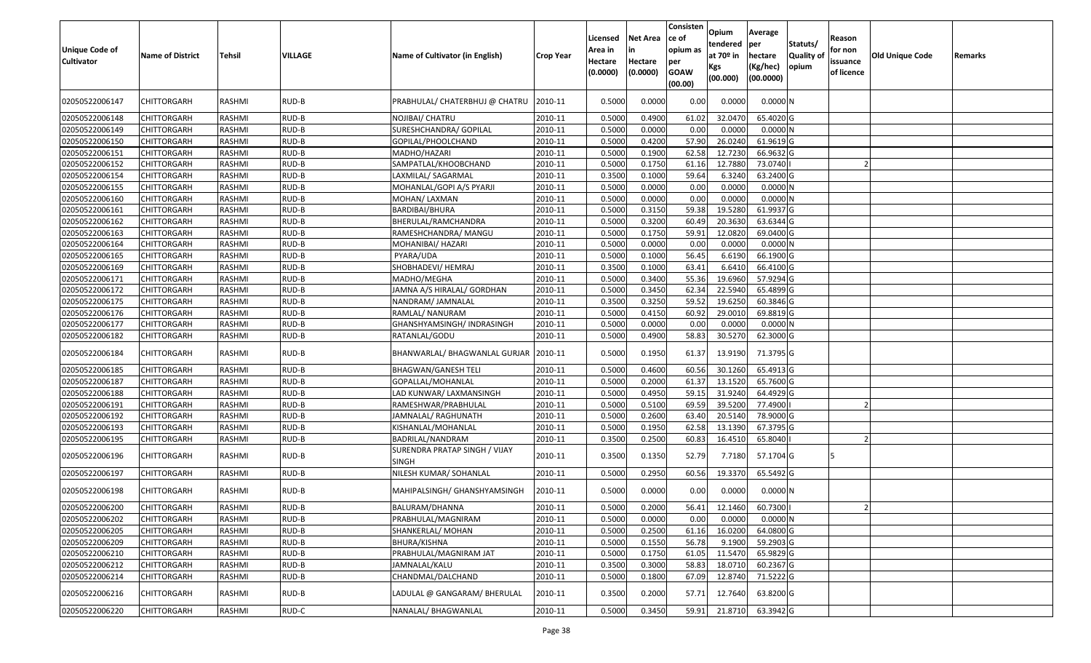| <b>Unique Code of</b><br><b>Cultivator</b> | <b>Name of District</b> | <b>Tehsil</b> | VILLAGE | Name of Cultivator (in English)               | <b>Crop Year</b> | Licensed<br>Area in<br>Hectare<br>(0.0000) | <b>Net Area</b><br>in<br>Hectare<br>(0.0000) | Consisten<br>ce of<br>opium as<br>per<br><b>GOAW</b><br>(00.00) | Opium<br>tendered<br>at $70°$ in<br>Kgs<br>(00.000) | Average<br>per<br>hectare<br>(Kg/hec)<br>(00.0000) | Statuts/<br>Quality of<br>opium | Reason<br>for non<br>issuance<br>of licence | <b>Old Unique Code</b> | Remarks |
|--------------------------------------------|-------------------------|---------------|---------|-----------------------------------------------|------------------|--------------------------------------------|----------------------------------------------|-----------------------------------------------------------------|-----------------------------------------------------|----------------------------------------------------|---------------------------------|---------------------------------------------|------------------------|---------|
| 02050522006147                             | CHITTORGARH             | RASHMI        | RUD-B   | PRABHULAL/ CHATERBHUJ @ CHATRU                | 2010-11          | 0.5000                                     | 0.0000                                       | 0.00                                                            | 0.0000                                              | $0.0000$ N                                         |                                 |                                             |                        |         |
| 02050522006148                             | CHITTORGARH             | RASHMI        | RUD-B   | NOJIBAI/ CHATRU                               | 2010-11          | 0.5000                                     | 0.4900                                       | 61.02                                                           | 32.0470                                             | 65.4020 G                                          |                                 |                                             |                        |         |
| 02050522006149                             | <b>CHITTORGARH</b>      | RASHMI        | RUD-B   | SURESHCHANDRA/ GOPILAL                        | 2010-11          | 0.5000                                     | 0.0000                                       | 0.00                                                            | 0.0000                                              | 0.0000N                                            |                                 |                                             |                        |         |
| 02050522006150                             | <b>CHITTORGARH</b>      | RASHMI        | RUD-B   | GOPILAL/PHOOLCHAND                            | 2010-11          | 0.5000                                     | 0.4200                                       | 57.90                                                           | 26.0240                                             | 61.9619 G                                          |                                 |                                             |                        |         |
| 02050522006151                             | <b>CHITTORGARH</b>      | RASHMI        | RUD-B   | MADHO/HAZARI                                  | 2010-11          | 0.5000                                     | 0.1900                                       | 62.58                                                           | 12.7230                                             | 66.9632 G                                          |                                 |                                             |                        |         |
| 02050522006152                             | CHITTORGARH             | RASHMI        | RUD-B   | SAMPATLAL/KHOOBCHAND                          | 2010-11          | 0.5000                                     | 0.1750                                       | 61.16                                                           | 12.7880                                             | 73.0740                                            |                                 |                                             |                        |         |
| 02050522006154                             | CHITTORGARH             | RASHMI        | RUD-B   | LAXMILAL/ SAGARMAL                            | 2010-11          | 0.3500                                     | 0.1000                                       | 59.64                                                           | 6.3240                                              | 63.2400 G                                          |                                 |                                             |                        |         |
| 02050522006155                             | CHITTORGARH             | RASHMI        | RUD-B   | MOHANLAL/GOPI A/S PYARJI                      | 2010-11          | 0.5000                                     | 0.0000                                       | 0.00                                                            | 0.0000                                              | 0.0000N                                            |                                 |                                             |                        |         |
| 02050522006160                             | CHITTORGARH             | RASHMI        | RUD-B   | MOHAN/ LAXMAN                                 | 2010-11          | 0.5000                                     | 0.0000                                       | 0.00                                                            | 0.0000                                              | 0.0000N                                            |                                 |                                             |                        |         |
| 02050522006161                             | CHITTORGARH             | RASHMI        | RUD-B   | BARDIBAI/BHURA                                | 2010-11          | 0.5000                                     | 0.3150                                       | 59.38                                                           | 19.5280                                             | 61.9937 G                                          |                                 |                                             |                        |         |
| 02050522006162                             | CHITTORGARH             | RASHMI        | RUD-B   | BHERULAL/RAMCHANDRA                           | 2010-11          | 0.5000                                     | 0.3200                                       | 60.49                                                           | 20.3630                                             | 63.6344 G                                          |                                 |                                             |                        |         |
| 02050522006163                             | <b>CHITTORGARH</b>      | RASHMI        | RUD-B   | RAMESHCHANDRA/ MANGU                          | 2010-11          | 0.5000                                     | 0.1750                                       | 59.91                                                           | 12.0820                                             | 69.0400 G                                          |                                 |                                             |                        |         |
| 02050522006164                             | CHITTORGARH             | RASHMI        | RUD-B   | MOHANIBAI/ HAZARI                             | 2010-11          | 0.5000                                     | 0.0000                                       | 0.00                                                            | 0.0000                                              | 0.0000N                                            |                                 |                                             |                        |         |
| 02050522006165                             | CHITTORGARH             | RASHMI        | RUD-B   | PYARA/UDA                                     | 2010-11          | 0.5000                                     | 0.1000                                       | 56.45                                                           | 6.6190                                              | 66.1900 G                                          |                                 |                                             |                        |         |
| 02050522006169                             | CHITTORGARH             | RASHMI        | RUD-B   | SHOBHADEVI/ HEMRAJ                            | 2010-11          | 0.3500                                     | 0.1000                                       | 63.41                                                           | 6.6410                                              | 66.4100G                                           |                                 |                                             |                        |         |
| 02050522006171                             | CHITTORGARH             | RASHMI        | RUD-B   | MADHO/MEGHA                                   | 2010-11          | 0.5000                                     | 0.3400                                       | 55.36                                                           | 19.6960                                             | 57.9294 G                                          |                                 |                                             |                        |         |
| 02050522006172                             | CHITTORGARH             | RASHMI        | RUD-B   | JAMNA A/S HIRALAL/ GORDHAN                    | 2010-11          | 0.5000                                     | 0.3450                                       | 62.34                                                           | 22.5940                                             | 65.4899 G                                          |                                 |                                             |                        |         |
| 02050522006175                             | <b>CHITTORGARH</b>      | RASHMI        | RUD-B   | NANDRAM/ JAMNALAL                             | 2010-11          | 0.3500                                     | 0.3250                                       | 59.52                                                           | 19.6250                                             | 60.3846 G                                          |                                 |                                             |                        |         |
| 02050522006176                             | CHITTORGARH             | RASHMI        | RUD-B   | RAMLAL/ NANURAM                               | 2010-11          | 0.5000                                     | 0.4150                                       | 60.92                                                           | 29.0010                                             | 69.8819 G                                          |                                 |                                             |                        |         |
| 02050522006177                             | CHITTORGARH             | RASHMI        | RUD-B   | GHANSHYAMSINGH/ INDRASINGH                    | 2010-11          | 0.5000                                     | 0.0000                                       | 0.00                                                            | 0.0000                                              | 0.0000N                                            |                                 |                                             |                        |         |
| 02050522006182                             | CHITTORGARH             | RASHMI        | RUD-B   | RATANLAL/GODU                                 | 2010-11          | 0.5000                                     | 0.4900                                       | 58.83                                                           | 30.5270                                             | 62.3000G                                           |                                 |                                             |                        |         |
| 02050522006184                             | CHITTORGARH             | RASHMI        | RUD-B   | BHANWARLAL/ BHAGWANLAL GURJAR                 | 2010-11          | 0.5000                                     | 0.1950                                       | 61.37                                                           | 13.9190                                             | 71.3795 G                                          |                                 |                                             |                        |         |
| 02050522006185                             | <b>CHITTORGARH</b>      | RASHMI        | RUD-B   | BHAGWAN/GANESH TELI                           | 2010-11          | 0.5000                                     | 0.4600                                       | 60.56                                                           | 30.1260                                             | 65.4913 G                                          |                                 |                                             |                        |         |
| 02050522006187                             | <b>CHITTORGARH</b>      | RASHMI        | RUD-B   | GOPALLAL/MOHANLAL                             | 2010-11          | 0.5000                                     | 0.2000                                       | 61.37                                                           | 13.1520                                             | 65.7600 G                                          |                                 |                                             |                        |         |
| 02050522006188                             | <b>CHITTORGARH</b>      | RASHMI        | RUD-B   | LAD KUNWAR/ LAXMANSINGH                       | 2010-11          | 0.500                                      | 0.4950                                       | 59.15                                                           | 31.9240                                             | 64.4929 G                                          |                                 |                                             |                        |         |
| 02050522006191                             | CHITTORGARH             | RASHMI        | RUD-B   | RAMESHWAR/PRABHULAL                           | 2010-11          | 0.5000                                     | 0.5100                                       | 69.59                                                           | 39.5200                                             | 77.4900                                            |                                 |                                             |                        |         |
| 02050522006192                             | CHITTORGARH             | RASHMI        | RUD-B   | JAMNALAL/ RAGHUNATH                           | 2010-11          | 0.5000                                     | 0.2600                                       | 63.40                                                           | 20.5140                                             | 78.9000 G                                          |                                 |                                             |                        |         |
| 02050522006193                             | CHITTORGARH             | RASHMI        | RUD-B   | KISHANLAL/MOHANLAL                            | 2010-11          | 0.5000                                     | 0.1950                                       | 62.58                                                           | 13.1390                                             | 67.3795 G                                          |                                 |                                             |                        |         |
| 02050522006195                             | CHITTORGARH             | RASHMI        | RUD-B   | BADRILAL/NANDRAM                              | 2010-11          | 0.3500                                     | 0.2500                                       | 60.83                                                           | 16.4510                                             | 65.8040                                            |                                 |                                             |                        |         |
| 02050522006196                             | CHITTORGARH             | RASHMI        | RUD-B   | SURENDRA PRATAP SINGH / VIJAY<br><b>SINGH</b> | 2010-11          | 0.3500                                     | 0.1350                                       | 52.79                                                           | 7.7180                                              | 57.1704 G                                          |                                 |                                             |                        |         |
| 02050522006197                             | CHITTORGARH             | RASHMI        | RUD-B   | NILESH KUMAR/ SOHANLAL                        | 2010-11          | 0.5000                                     | 0.2950                                       | 60.56                                                           | 19.3370                                             | 65.5492 G                                          |                                 |                                             |                        |         |
| 02050522006198                             | CHITTORGARH             | RASHMI        | RUD-B   | MAHIPALSINGH/ GHANSHYAMSINGH                  | 2010-11          | 0.5000                                     | 0.0000                                       | 0.00                                                            | 0.0000                                              | $0.0000$ N                                         |                                 |                                             |                        |         |
| 02050522006200                             | <b>CHITTORGARH</b>      | RASHMI        | RUD-B   | BALURAM/DHANNA                                | 2010-11          | 0.5000                                     | 0.2000                                       | 56.41                                                           | 12.1460                                             | 60.7300                                            |                                 | 2                                           |                        |         |
| 02050522006202                             | <b>CHITTORGARH</b>      | RASHMI        | RUD-B   | PRABHULAL/MAGNIRAM                            | 2010-11          | 0.5000                                     | 0.0000                                       | 0.00                                                            | 0.0000                                              | 0.0000N                                            |                                 |                                             |                        |         |
| 02050522006205                             | <b>CHITTORGARH</b>      | RASHMI        | RUD-B   | SHANKERLAL/ MOHAN                             | 2010-11          | 0.5000                                     | 0.2500                                       | 61.16                                                           | 16.0200                                             | 64.0800 G                                          |                                 |                                             |                        |         |
| 02050522006209                             | <b>CHITTORGARH</b>      | RASHMI        | RUD-B   | BHURA/KISHNA                                  | 2010-11          | 0.5000                                     | 0.1550                                       | 56.78                                                           | 9.1900                                              | 59.2903 G                                          |                                 |                                             |                        |         |
| 02050522006210                             | CHITTORGARH             | RASHMI        | RUD-B   | PRABHULAL/MAGNIRAM JAT                        | 2010-11          | 0.5000                                     | 0.1750                                       | 61.05                                                           | 11.5470                                             | 65.9829 G                                          |                                 |                                             |                        |         |
| 02050522006212                             | <b>CHITTORGARH</b>      | RASHMI        | RUD-B   | JAMNALAL/KALU                                 | 2010-11          | 0.3500                                     | 0.3000                                       | 58.83                                                           | 18.0710                                             | 60.2367 G                                          |                                 |                                             |                        |         |
| 02050522006214                             | <b>CHITTORGARH</b>      | RASHMI        | RUD-B   | CHANDMAL/DALCHAND                             | 2010-11          | 0.5000                                     | 0.1800                                       | 67.09                                                           | 12.8740                                             | 71.5222 G                                          |                                 |                                             |                        |         |
| 02050522006216                             | CHITTORGARH             | RASHMI        | RUD-B   | LADULAL @ GANGARAM/ BHERULAL                  | 2010-11          | 0.3500                                     | 0.2000                                       | 57.71                                                           | 12.7640                                             | 63.8200 G                                          |                                 |                                             |                        |         |
| 02050522006220                             | <b>CHITTORGARH</b>      | RASHMI        | RUD-C   | NANALAL/ BHAGWANLAL                           | 2010-11          | 0.5000                                     | 0.3450                                       |                                                                 | 59.91 21.8710                                       | 63.3942 G                                          |                                 |                                             |                        |         |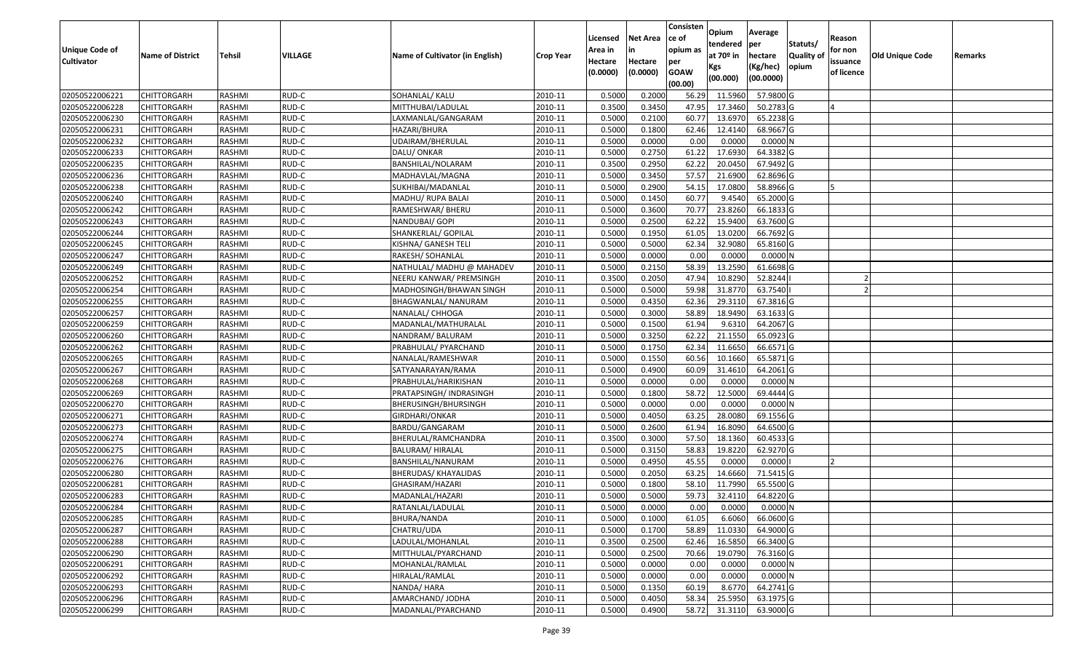|                   |                         |               |         |                                 |                  | Licensed | <b>Net Area</b> | Consisten<br>ce of | Opium       | Average     |                  | Reason     |                 |         |
|-------------------|-------------------------|---------------|---------|---------------------------------|------------------|----------|-----------------|--------------------|-------------|-------------|------------------|------------|-----------------|---------|
| Unique Code of    |                         |               |         |                                 |                  | Area in  | in              | opium as           | tendered    | per         | Statuts/         | for non    |                 |         |
| <b>Cultivator</b> | <b>Name of District</b> | <b>Tehsil</b> | VILLAGE | Name of Cultivator (in English) | <b>Crop Year</b> | Hectare  | Hectare         | per                | at $70°$ in | hectare     | <b>Quality o</b> | issuance   | Old Unique Code | Remarks |
|                   |                         |               |         |                                 |                  | (0.0000) | (0.0000)        | <b>GOAW</b>        | Kgs         | (Kg/hec)    | opium            | of licence |                 |         |
|                   |                         |               |         |                                 |                  |          |                 | (00.00)            | (00.000)    | (00.0000)   |                  |            |                 |         |
| 02050522006221    | CHITTORGARH             | RASHMI        | RUD-C   | SOHANLAL/ KALU                  | 2010-11          | 0.5000   | 0.2000          | 56.29              | 11.5960     | 57.9800 G   |                  |            |                 |         |
| 02050522006228    | CHITTORGARH             | RASHMI        | RUD-C   | MITTHUBAI/LADULAL               | 2010-11          | 0.3500   | 0.3450          | 47.95              | 17.3460     | 50.2783 G   |                  |            |                 |         |
| 02050522006230    | CHITTORGARH             | RASHMI        | RUD-C   | LAXMANLAL/GANGARAM              | 2010-11          | 0.5000   | 0.2100          | 60.77              | 13.6970     | 65.2238 G   |                  |            |                 |         |
| 02050522006231    | <b>CHITTORGARH</b>      | RASHMI        | RUD-C   | HAZARI/BHURA                    | 2010-11          | 0.5000   | 0.1800          | 62.46              | 12.4140     | 68.9667 G   |                  |            |                 |         |
| 02050522006232    | CHITTORGARH             | RASHMI        | RUD-C   | UDAIRAM/BHERULAL                | 2010-11          | 0.5000   | 0.0000          | 0.00               | 0.0000      | 0.0000N     |                  |            |                 |         |
| 02050522006233    | CHITTORGARH             | RASHMI        | RUD-C   | DALU/ ONKAR                     | 2010-11          | 0.5000   | 0.2750          | 61.22              | 17.6930     | 64.3382 G   |                  |            |                 |         |
| 02050522006235    | CHITTORGARH             | RASHMI        | RUD-C   | BANSHILAL/NOLARAM               | 2010-11          | 0.3500   | 0.2950          | 62.22              | 20.0450     | 67.9492 G   |                  |            |                 |         |
| 02050522006236    | CHITTORGARH             | <b>RASHMI</b> | RUD-C   | MADHAVLAL/MAGNA                 | 2010-11          | 0.5000   | 0.3450          | 57.57              | 21.6900     | 62.8696 G   |                  |            |                 |         |
| 02050522006238    | CHITTORGARH             | RASHMI        | RUD-C   | SUKHIBAI/MADANLAL               | 2010-11          | 0.5000   | 0.2900          | 54.15              | 17.0800     | 58.8966 G   |                  |            |                 |         |
| 02050522006240    | CHITTORGARH             | RASHMI        | RUD-C   | MADHU/ RUPA BALAI               | 2010-11          | 0.5000   | 0.1450          | 60.77              | 9.4540      | 65.2000 G   |                  |            |                 |         |
| 02050522006242    | CHITTORGARH             | RASHMI        | RUD-C   | RAMESHWAR/ BHERU                | 2010-11          | 0.5000   | 0.3600          | 70.77              | 23.8260     | 66.1833 G   |                  |            |                 |         |
| 02050522006243    | <b>CHITTORGARH</b>      | RASHMI        | RUD-C   | NANDUBAI/ GOPI                  | 2010-11          | 0.5000   | 0.2500          | 62.22              | 15.9400     | 63.7600 G   |                  |            |                 |         |
| 02050522006244    | <b>CHITTORGARH</b>      | RASHMI        | RUD-C   | SHANKERLAL/ GOPILAL             | 2010-11          | 0.5000   | 0.1950          | 61.05              | 13.0200     | 66.7692 G   |                  |            |                 |         |
| 02050522006245    | CHITTORGARH             | RASHMI        | RUD-C   | KISHNA/ GANESH TELI             | 2010-11          | 0.5000   | 0.5000          | 62.34              | 32.9080     | 65.8160 G   |                  |            |                 |         |
| 02050522006247    | CHITTORGARH             | RASHMI        | RUD-C   | RAKESH/ SOHANLAL                | 2010-11          | 0.5000   | 0.0000          | 0.00               | 0.0000      | 0.0000N     |                  |            |                 |         |
| 02050522006249    | CHITTORGARH             | RASHMI        | RUD-C   | NATHULAL/ MADHU @ MAHADEV       | 2010-11          | 0.5000   | 0.2150          | 58.39              | 13.2590     | 61.6698 G   |                  |            |                 |         |
| 02050522006252    | CHITTORGARH             | RASHMI        | RUD-C   | NEERU KANWAR/ PREMSINGH         | 2010-11          | 0.3500   | 0.2050          | 47.94              | 10.8290     | 52.8244     |                  |            |                 |         |
| 02050522006254    | CHITTORGARH             | RASHMI        | RUD-C   | MADHOSINGH/BHAWAN SINGH         | 2010-11          | 0.5000   | 0.5000          | 59.98              | 31.8770     | 63.7540     |                  |            |                 |         |
| 02050522006255    | CHITTORGARH             | RASHMI        | RUD-C   | BHAGWANLAL/ NANURAM             | 2010-11          | 0.5000   | 0.4350          | 62.36              | 29.3110     | 67.3816 G   |                  |            |                 |         |
| 02050522006257    | CHITTORGARH             | RASHMI        | RUD-C   | NANALAL/ CHHOGA                 | 2010-11          | 0.5000   | 0.3000          | 58.89              | 18.9490     | 63.1633 G   |                  |            |                 |         |
| 02050522006259    | CHITTORGARH             | RASHMI        | RUD-C   | MADANLAL/MATHURALAL             | 2010-11          | 0.5000   | 0.1500          | 61.94              | 9.6310      | 64.2067 G   |                  |            |                 |         |
| 02050522006260    | CHITTORGARH             | RASHMI        | RUD-C   | NANDRAM/BALURAM                 | 2010-11          | 0.5000   | 0.3250          | 62.22              | 21.155      | 65.0923 G   |                  |            |                 |         |
| 02050522006262    | CHITTORGARH             | RASHMI        | RUD-C   | PRABHULAL/ PYARCHAND            | 2010-11          | 0.5000   | 0.1750          | 62.34              | 11.6650     | 66.6571 G   |                  |            |                 |         |
| 02050522006265    | CHITTORGARH             | RASHMI        | RUD-C   | NANALAL/RAMESHWAR               | 2010-11          | 0.5000   | 0.1550          | 60.56              | 10.1660     | 65.5871 G   |                  |            |                 |         |
| 02050522006267    | <b>CHITTORGARH</b>      | RASHMI        | RUD-C   | SATYANARAYAN/RAMA               | 2010-11          | 0.5000   | 0.4900          | 60.09              | 31.4610     | 64.2061 G   |                  |            |                 |         |
| 02050522006268    | CHITTORGARH             | RASHMI        | RUD-C   | PRABHULAL/HARIKISHAN            | 2010-11          | 0.5000   | 0.0000          | 0.00               | 0.0000      | 0.0000N     |                  |            |                 |         |
| 02050522006269    | CHITTORGARH             | RASHMI        | RUD-C   | PRATAPSINGH/ INDRASINGH         | 2010-11          | 0.5000   | 0.1800          | 58.72              | 12.5000     | 69.4444 G   |                  |            |                 |         |
| 02050522006270    | CHITTORGARH             | RASHMI        | RUD-C   | BHERUSINGH/BHURSINGH            | 2010-11          | 0.5000   | 0.0000          | 0.00               | 0.0000      | 0.0000N     |                  |            |                 |         |
| 02050522006271    | CHITTORGARH             | RASHMI        | RUD-C   | GIRDHARI/ONKAR                  | 2010-11          | 0.5000   | 0.4050          | 63.25              | 28.0080     | 69.1556 G   |                  |            |                 |         |
| 02050522006273    | CHITTORGARH             | RASHMI        | RUD-C   | BARDU/GANGARAM                  | 2010-11          | 0.5000   | 0.2600          | 61.94              | 16.8090     | $64.6500$ G |                  |            |                 |         |
| 02050522006274    | CHITTORGARH             | RASHMI        | RUD-C   | BHERULAL/RAMCHANDRA             | 2010-11          | 0.3500   | 0.3000          | 57.50              | 18.1360     | 60.4533 G   |                  |            |                 |         |
| 02050522006275    | CHITTORGARH             | RASHMI        | RUD-C   | BALURAM/ HIRALAL                | 2010-11          | 0.5000   | 0.3150          | 58.83              | 19.8220     | 62.9270 G   |                  |            |                 |         |
| 02050522006276    | CHITTORGARH             | <b>RASHMI</b> | RUD-C   | BANSHILAL/NANURAM               | 2010-11          | 0.5000   | 0.4950          | 45.55              | 0.0000      | 0.0000      |                  |            |                 |         |
| 02050522006280    | CHITTORGARH             | RASHMI        | RUD-C   | BHERUDAS/ KHAYALIDAS            | 2010-11          | 0.5000   | 0.2050          | 63.25              | 14.6660     | 71.5415 G   |                  |            |                 |         |
| 02050522006281    | CHITTORGARH             | RASHMI        | RUD-C   | GHASIRAM/HAZARI                 | 2010-11          | 0.500    | 0.1800          | 58.1               | 11.7990     | 65.5500 G   |                  |            |                 |         |
| 02050522006283    | CHITTORGARH             | RASHMI        | RUD-C   | MADANLAL/HAZARI                 | 2010-11          | 0.5000   | 0.5000          | 59.73              | 32.4110     | 64.8220 G   |                  |            |                 |         |
| 02050522006284    | <b>CHITTORGARH</b>      | RASHMI        | RUD-C   | RATANLAL/LADULAL                | 2010-11          | 0.5000   | 0.0000          | 0.00               | 0.0000      | 0.0000N     |                  |            |                 |         |
| 02050522006285    | <b>CHITTORGARH</b>      | RASHMI        | RUD-C   | BHURA/NANDA                     | 2010-11          | 0.5000   | 0.1000          | 61.05              | 6.6060      | 66.0600 G   |                  |            |                 |         |
| 02050522006287    | <b>CHITTORGARH</b>      | RASHMI        | RUD-C   | CHATRU/UDA                      | 2010-11          | 0.5000   | 0.1700          | 58.89              | 11.0330     | 64.9000 G   |                  |            |                 |         |
| 02050522006288    | <b>CHITTORGARH</b>      | RASHMI        | RUD-C   | LADULAL/MOHANLAL                | 2010-11          | 0.3500   | 0.2500          | 62.46              | 16.5850     | 66.3400 G   |                  |            |                 |         |
| 02050522006290    | <b>CHITTORGARH</b>      | RASHMI        | RUD-C   | MITTHULAL/PYARCHAND             | 2010-11          | 0.5000   | 0.2500          | 70.66              | 19.0790     | 76.3160 G   |                  |            |                 |         |
| 02050522006291    | <b>CHITTORGARH</b>      | RASHMI        | RUD-C   | MOHANLAL/RAMLAL                 | 2010-11          | 0.5000   | 0.0000          | 0.00               | 0.0000      | 0.0000N     |                  |            |                 |         |
| 02050522006292    | <b>CHITTORGARH</b>      | RASHMI        | RUD-C   | HIRALAL/RAMLAL                  | 2010-11          | 0.5000   | 0.0000          | 0.00               | 0.0000      | 0.0000N     |                  |            |                 |         |
| 02050522006293    | <b>CHITTORGARH</b>      | RASHMI        | RUD-C   | NANDA/ HARA                     | 2010-11          | 0.5000   | 0.1350          | 60.19              | 8.6770      | 64.2741 G   |                  |            |                 |         |
| 02050522006296    | <b>CHITTORGARH</b>      | RASHMI        | RUD-C   | AMARCHAND/ JODHA                | 2010-11          | 0.5000   | 0.4050          | 58.34              | 25.5950     | 63.1975 G   |                  |            |                 |         |
| 02050522006299    | <b>CHITTORGARH</b>      | RASHMI        | RUD-C   | MADANLAL/PYARCHAND              | 2010-11          | 0.5000   | 0.4900          | 58.72              | 31.3110     | 63.9000 G   |                  |            |                 |         |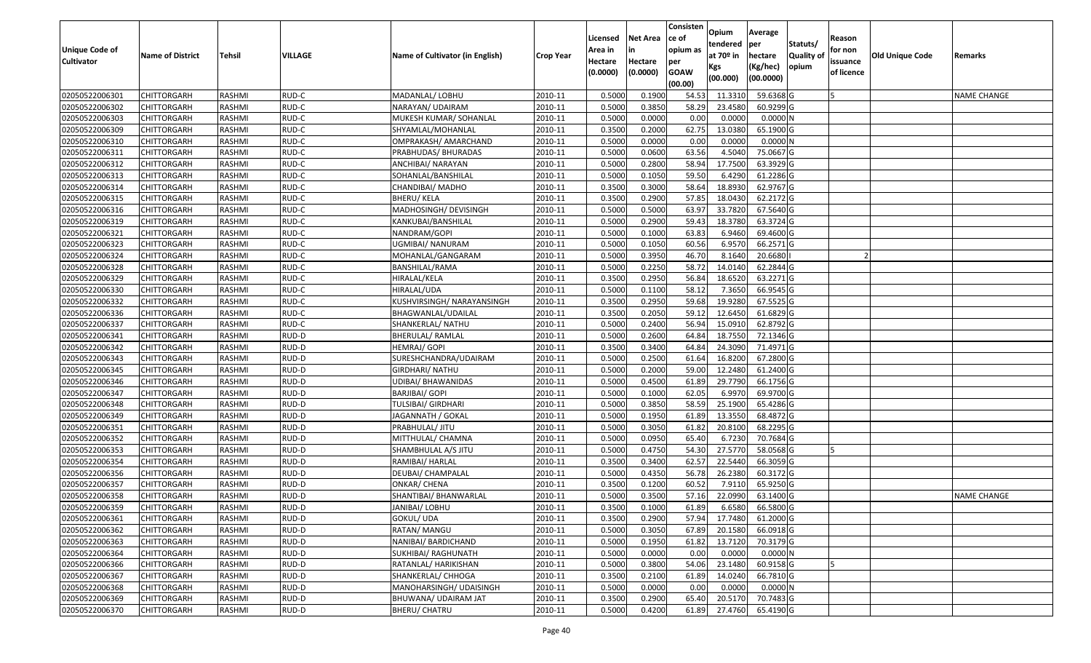|                   |                         |               |         |                                 |                  | Licensed | <b>Net Area</b> | Consisten<br>ce of | Opium           | Average               |                  | Reason     |                        |                    |
|-------------------|-------------------------|---------------|---------|---------------------------------|------------------|----------|-----------------|--------------------|-----------------|-----------------------|------------------|------------|------------------------|--------------------|
| Unique Code of    |                         |               |         |                                 |                  | Area in  | in              | opium as           | tendered        | per                   | Statuts/         | for non    |                        |                    |
| <b>Cultivator</b> | <b>Name of District</b> | <b>Tehsil</b> | VILLAGE | Name of Cultivator (in English) | <b>Crop Year</b> | Hectare  | Hectare         | per                | at $70°$ in     | hectare               | <b>Quality o</b> | issuance   | <b>Old Unique Code</b> | Remarks            |
|                   |                         |               |         |                                 |                  | (0.0000) | (0.0000)        | <b>GOAW</b>        | Kgs<br>(00.000) | (Kg/hec)<br>(00.0000) | opium            | of licence |                        |                    |
|                   |                         |               |         |                                 |                  |          |                 | (00.00)            |                 |                       |                  |            |                        |                    |
| 02050522006301    | <b>CHITTORGARH</b>      | RASHMI        | RUD-C   | MADANLAL/ LOBHU                 | 2010-11          | 0.5000   | 0.1900          | 54.53              | 11.331          | 59.6368 G             |                  |            |                        | <b>NAME CHANGE</b> |
| 02050522006302    | CHITTORGARH             | RASHMI        | RUD-C   | NARAYAN/ UDAIRAM                | 2010-11          | 0.5000   | 0.3850          | 58.29              | 23.4580         | 60.9299 G             |                  |            |                        |                    |
| 02050522006303    | CHITTORGARH             | RASHMI        | RUD-C   | MUKESH KUMAR/ SOHANLAL          | 2010-11          | 0.5000   | 0.0000          | 0.00               | 0.0000          | 0.0000N               |                  |            |                        |                    |
| 02050522006309    | <b>CHITTORGARH</b>      | RASHMI        | RUD-C   | SHYAMLAL/MOHANLAL               | 2010-11          | 0.3500   | 0.2000          | 62.75              | 13.0380         | 65.1900 G             |                  |            |                        |                    |
| 02050522006310    | CHITTORGARH             | RASHMI        | RUD-C   | OMPRAKASH/ AMARCHAND            | 2010-11          | 0.5000   | 0.0000          | 0.00               | 0.0000          | 0.0000N               |                  |            |                        |                    |
| 02050522006311    | <b>CHITTORGARH</b>      | RASHMI        | RUD-C   | PRABHUDAS/ BHURADAS             | 2010-11          | 0.5000   | 0.0600          | 63.56              | 4.5040          | 75.0667 G             |                  |            |                        |                    |
| 02050522006312    | CHITTORGARH             | RASHMI        | RUD-C   | ANCHIBAI/ NARAYAN               | 2010-11          | 0.5000   | 0.2800          | 58.94              | 17.7500         | 63.3929 G             |                  |            |                        |                    |
| 02050522006313    | <b>CHITTORGARH</b>      | <b>RASHMI</b> | RUD-C   | SOHANLAL/BANSHILAL              | 2010-11          | 0.5000   | 0.1050          | 59.50              | 6.4290          | 61.2286 G             |                  |            |                        |                    |
| 02050522006314    | CHITTORGARH             | RASHMI        | RUD-C   | CHANDIBAI/ MADHO                | 2010-11          | 0.3500   | 0.3000          | 58.64              | 18.8930         | 62.9767 G             |                  |            |                        |                    |
| 02050522006315    | <b>CHITTORGARH</b>      | RASHMI        | RUD-C   | <b>BHERU/ KELA</b>              | 2010-11          | 0.3500   | 0.2900          | 57.85              | 18.0430         | 62.2172 G             |                  |            |                        |                    |
| 02050522006316    | CHITTORGARH             | RASHMI        | RUD-C   | MADHOSINGH/ DEVISINGH           | 2010-11          | 0.5000   | 0.5000          | 63.97              | 33.7820         | 67.5640 G             |                  |            |                        |                    |
| 02050522006319    | <b>CHITTORGARH</b>      | RASHMI        | RUD-C   | KANKUBAI/BANSHILAL              | 2010-11          | 0.5000   | 0.2900          | 59.43              | 18.3780         | 63.3724 G             |                  |            |                        |                    |
| 02050522006321    | <b>CHITTORGARH</b>      | RASHMI        | RUD-C   | NANDRAM/GOPI                    | 2010-11          | 0.5000   | 0.1000          | 63.83              | 6.9460          | 69.4600 G             |                  |            |                        |                    |
| 02050522006323    | <b>CHITTORGARH</b>      | RASHMI        | RUD-C   | UGMIBAI/ NANURAM                | 2010-11          | 0.5000   | 0.1050          | 60.56              | 6.9570          | 66.2571 G             |                  |            |                        |                    |
| 02050522006324    | <b>CHITTORGARH</b>      | RASHMI        | RUD-C   | MOHANLAL/GANGARAM               | 2010-11          | 0.5000   | 0.3950          | 46.70              | 8.1640          | 20.6680               |                  |            |                        |                    |
| 02050522006328    | CHITTORGARH             | RASHMI        | RUD-C   | BANSHILAL/RAMA                  | 2010-11          | 0.5000   | 0.2250          | 58.72              | 14.0140         | 62.2844 G             |                  |            |                        |                    |
| 02050522006329    | CHITTORGARH             | RASHMI        | RUD-C   | HIRALAL/KELA                    | 2010-11          | 0.3500   | 0.2950          | 56.84              | 18.6520         | 63.2271 G             |                  |            |                        |                    |
| 02050522006330    | CHITTORGARH             | RASHMI        | RUD-C   | HIRALAL/UDA                     | 2010-11          | 0.5000   | 0.1100          | 58.12              | 7.3650          | 66.9545 G             |                  |            |                        |                    |
| 02050522006332    | CHITTORGARH             | RASHMI        | RUD-C   | KUSHVIRSINGH/ NARAYANSINGH      | 2010-11          | 0.3500   | 0.2950          | 59.68              | 19.9280         | 67.5525 G             |                  |            |                        |                    |
| 02050522006336    | CHITTORGARH             | RASHMI        | RUD-C   | BHAGWANLAL/UDAILAL              | 2010-11          | 0.3500   | 0.2050          | 59.1               | 12.6450         | 61.6829 G             |                  |            |                        |                    |
| 02050522006337    | CHITTORGARH             | RASHMI        | RUD-C   | SHANKERLAL/ NATHU               | 2010-11          | 0.5000   | 0.2400          | 56.94              | 15.091          | 62.8792 G             |                  |            |                        |                    |
| 02050522006341    | CHITTORGARH             | RASHMI        | RUD-D   | BHERULAL/RAMLAL                 | 2010-11          | 0.5000   | 0.2600          | 64.84              | 18.755          | 72.1346 G             |                  |            |                        |                    |
| 02050522006342    | CHITTORGARH             | RASHMI        | RUD-D   | HEMRAJ/ GOPI                    | 2010-11          | 0.3500   | 0.3400          | 64.84              | 24.3090         | 71.4971G              |                  |            |                        |                    |
| 02050522006343    | CHITTORGARH             | RASHMI        | RUD-D   | SURESHCHANDRA/UDAIRAM           | 2010-11          | 0.5000   | 0.2500          | 61.64              | 16.8200         | 67.2800 G             |                  |            |                        |                    |
| 02050522006345    | CHITTORGARH             | RASHMI        | RUD-D   | GIRDHARI/ NATHU                 | 2010-11          | 0.5000   | 0.2000          | 59.00              | 12.2480         | 61.2400 G             |                  |            |                        |                    |
| 02050522006346    | CHITTORGARH             | <b>RASHMI</b> | RUD-D   | UDIBAI/ BHAWANIDAS              | 2010-11          | 0.5000   | 0.4500          | 61.89              | 29.7790         | 66.1756 G             |                  |            |                        |                    |
| 02050522006347    | <b>CHITTORGARH</b>      | RASHMI        | RUD-D   | BARJIBAI/ GOPI                  | 2010-11          | 0.5000   | 0.1000          | 62.05              | 6.9970          | 69.9700 G             |                  |            |                        |                    |
| 02050522006348    | CHITTORGARH             | RASHMI        | RUD-D   | TULSIBAI/ GIRDHARI              | 2010-11          | 0.5000   | 0.3850          | 58.59              | 25.1900         | 65.4286 G             |                  |            |                        |                    |
| 02050522006349    | CHITTORGARH             | RASHMI        | RUD-D   | JAGANNATH / GOKAL               | 2010-11          | 0.5000   | 0.1950          | 61.89              | 13.3550         | 68.4872 G             |                  |            |                        |                    |
| 02050522006351    | <b>CHITTORGARH</b>      | RASHMI        | RUD-D   | PRABHULAL/ JITU                 | 2010-11          | 0.5000   | 0.3050          | 61.82              | 20.8100         | 68.2295 G             |                  |            |                        |                    |
| 02050522006352    | <b>CHITTORGARH</b>      | RASHMI        | RUD-D   | MITTHULAL/ CHAMNA               | 2010-11          | 0.5000   | 0.0950          | 65.40              | 6.7230          | 70.7684 G             |                  |            |                        |                    |
| 02050522006353    | CHITTORGARH             | RASHMI        | RUD-D   | SHAMBHULAL A/S JITU             | 2010-11          | 0.5000   | 0.4750          | 54.30              | 27.5770         | 58.0568 G             |                  |            |                        |                    |
| 02050522006354    | CHITTORGARH             | <b>RASHMI</b> | RUD-D   | RAMIBAI/ HARLAL                 | 2010-11          | 0.3500   | 0.3400          | 62.57              | 22.5440         | 66.3059 G             |                  |            |                        |                    |
| 02050522006356    | CHITTORGARH             | RASHMI        | RUD-D   | DEUBAI/ CHAMPALAL               | 2010-11          | 0.5000   | 0.4350          | 56.78              | 26.2380         | 60.3172G              |                  |            |                        |                    |
| 02050522006357    | CHITTORGARH             | RASHMI        | RUD-D   | ONKAR/ CHENA                    | 2010-11          | 0.3500   | 0.1200          | 60.52              | 7.9110          | 65.9250 G             |                  |            |                        |                    |
| 02050522006358    | CHITTORGARH             | RASHMI        | RUD-D   | SHANTIBAI/ BHANWARLAL           | 2010-11          | 0.5000   | 0.3500          | 57.16              | 22.0990         | 63.1400 G             |                  |            |                        | <b>NAME CHANGE</b> |
| 02050522006359    | <b>CHITTORGARH</b>      | RASHMI        | RUD-D   | JANIBAI/ LOBHU                  | 2010-11          | 0.3500   | 0.1000          | 61.89              | 6.6580          | 66.5800 G             |                  |            |                        |                    |
| 02050522006361    | <b>CHITTORGARH</b>      | RASHMI        | RUD-D   | GOKUL/ UDA                      | 2010-11          | 0.3500   | 0.2900          | 57.94              | 17.7480         | 61.2000 G             |                  |            |                        |                    |
| 02050522006362    | <b>CHITTORGARH</b>      | RASHMI        | RUD-D   | RATAN/ MANGU                    | 2010-11          | 0.5000   | 0.3050          | 67.89              | 20.1580         | 66.0918 G             |                  |            |                        |                    |
| 02050522006363    | <b>CHITTORGARH</b>      | RASHMI        | RUD-D   | NANIBAI/ BARDICHAND             | 2010-11          | 0.5000   | 0.1950          | 61.82              | 13.7120         | 70.3179 G             |                  |            |                        |                    |
| 02050522006364    | CHITTORGARH             | RASHMI        | RUD-D   | SUKHIBAI/ RAGHUNATH             | 2010-11          | 0.5000   | 0.0000          | 0.00               | 0.0000          | 0.0000N               |                  |            |                        |                    |
| 02050522006366    | <b>CHITTORGARH</b>      | RASHMI        | RUD-D   | RATANLAL/ HARIKISHAN            | 2010-11          | 0.5000   | 0.3800          | 54.06              | 23.1480         | 60.9158 G             |                  |            |                        |                    |
| 02050522006367    | <b>CHITTORGARH</b>      | RASHMI        | RUD-D   | SHANKERLAL/ CHHOGA              | 2010-11          | 0.3500   | 0.2100          | 61.89              | 14.0240         | 66.7810 G             |                  |            |                        |                    |
| 02050522006368    | CHITTORGARH             | RASHMI        | RUD-D   | MANOHARSINGH/ UDAISINGH         | 2010-11          | 0.5000   | 0.0000          | 0.00               | 0.0000          | $0.0000$ N            |                  |            |                        |                    |
| 02050522006369    | <b>CHITTORGARH</b>      | RASHMI        | RUD-D   | BHUWANA/ UDAIRAM JAT            | 2010-11          | 0.3500   | 0.2900          | 65.40              | 20.5170         | 70.7483 G             |                  |            |                        |                    |
| 02050522006370    | <b>CHITTORGARH</b>      | RASHMI        | RUD-D   | <b>BHERU/ CHATRU</b>            | 2010-11          | 0.5000   | 0.4200          | 61.89              | 27.4760         | 65.4190 G             |                  |            |                        |                    |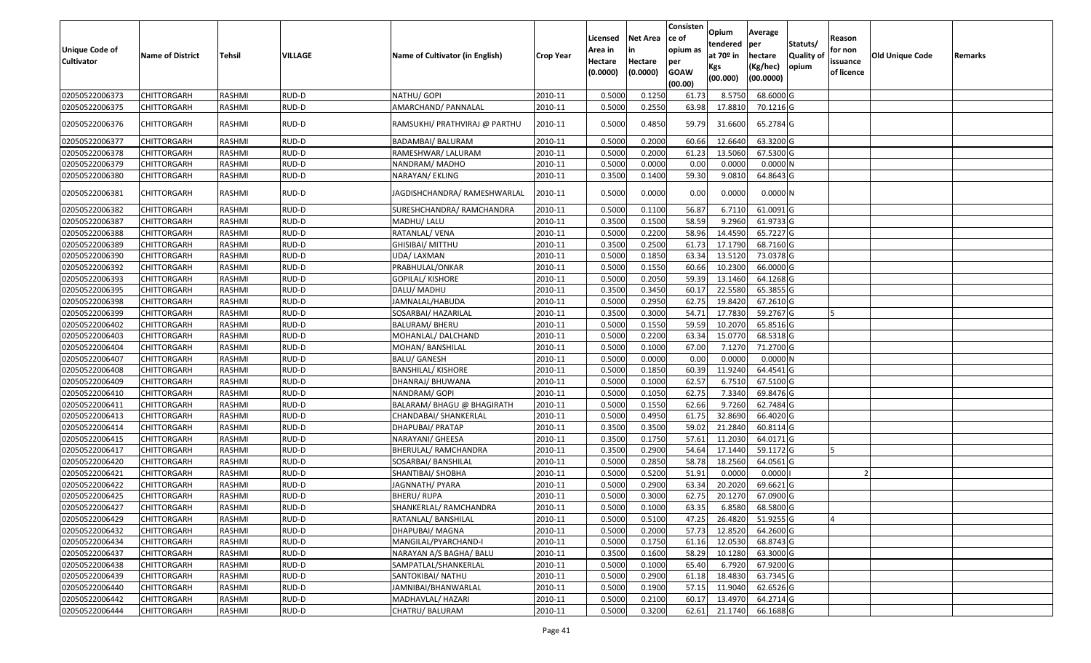| 02050522006373<br>RASHMI<br>NATHU/ GOPI<br>0.5000<br>0.1250<br>8.5750<br>68.6000 G<br><b>CHITTORGARH</b><br>RUD-D<br>2010-11<br>61.73<br>02050522006375<br>0.5000<br>0.2550<br>63.98<br>17.8810<br>CHITTORGARH<br>RASHMI<br>RUD-D<br>AMARCHAND/ PANNALAL<br>2010-11<br>70.1216 G<br>RASHMI<br>RUD-D<br>2010-11<br>0.5000<br>0.4850<br>59.79<br>31.6600<br>65.2784 G<br>02050522006376<br>CHITTORGARH<br>RAMSUKHI/ PRATHVIRAJ @ PARTHU<br>02050522006377<br><b>CHITTORGARH</b><br>RASHMI<br>RUD-D<br>2010-11<br>0.5000<br>0.2000<br>60.66<br>12.6640<br>63.3200 G<br>BADAMBAI/ BALURAM<br>02050522006378<br>RASHMI<br>RUD-D<br>0.5000<br>0.2000<br>13.5060<br>67.5300 G<br>CHITTORGARH<br>RAMESHWAR/ LALURAM<br>2010-11<br>61.23<br>0.5000<br>0.0000<br>0.00<br>0.0000<br>02050522006379<br>RASHMI<br>RUD-D<br>2010-11<br>$0.0000$ N<br>CHITTORGARH<br>NANDRAM/ MADHO<br>02050522006380<br><b>RASHMI</b><br>RUD-D<br>NARAYAN/ EKLING<br>2010-11<br>0.3500<br>0.1400<br>59.30<br>9.0810<br>64.8643 G<br>CHITTORGARH<br>02050522006381<br>CHITTORGARH<br>RASHMI<br>RUD-D<br>JAGDISHCHANDRA/RAMESHWARLAL<br>2010-11<br>0.5000<br>0.0000<br>0.00<br>0.0000<br>$0.0000$ N<br>56.87<br>RUD-D<br>0.5000<br>0.1100<br>6.7110<br>61.0091G<br>02050522006382<br>CHITTORGARH<br>RASHMI<br>SURESHCHANDRA/ RAMCHANDRA<br>2010-11<br>58.59<br>02050522006387<br>RASHMI<br>RUD-D<br>2010-11<br>0.3500<br>0.1500<br>9.2960<br>61.9733 G<br>CHITTORGARH<br>MADHU/ LALU<br>0.2200<br>65.7227 G<br>02050522006388<br>RUD-D<br>0.5000<br>58.96<br>14.4590<br>CHITTORGARH<br>RASHMI<br>RATANLAL/ VENA<br>2010-11<br>02050522006389<br>RUD-D<br>0.3500<br>0.2500<br>17.1790<br>68.7160 G<br>CHITTORGARH<br>RASHMI<br><b>GHISIBAI/ MITTHU</b><br>2010-11<br>61.73<br>02050522006390<br>RUD-D<br>0.5000<br>0.1850<br>63.34<br>13.5120<br>73.0378 G<br>CHITTORGARH<br>RASHMI<br>UDA/ LAXMAN<br>2010-11<br>0.5000<br>0.1550<br>60.66<br>RASHMI<br>RUD-D<br>10.2300<br>66.0000 G<br>02050522006392<br>CHITTORGARH<br>PRABHULAL/ONKAR<br>2010-11<br>0.5000<br>0.2050<br>59.39<br>13.1460<br>02050522006393<br>RASHMI<br>RUD-D<br>64.1268 G<br>CHITTORGARH<br><b>GOPILAL/ KISHORE</b><br>2010-11<br>02050522006395<br>RASHMI<br>RUD-D<br>DALU/ MADHU<br>0.3500<br>0.3450<br>60.17<br>22.5580<br>65.3855 G<br>CHITTORGARH<br>2010-11<br>0.5000<br>0.2950<br>02050522006398<br>RUD-D<br>62.75<br>19.8420<br>67.2610 G<br>CHITTORGARH<br>RASHMI<br>JAMNALAL/HABUDA<br>2010-11<br>54.71<br>RASHMI<br>RUD-D<br>0.3500<br>0.3000<br>17.7830<br>59.2767 G<br>02050522006399<br>CHITTORGARH<br>SOSARBAI/ HAZARILAL<br>2010-11<br>0.5000<br>0.1550<br>59.59<br>10.2070<br>02050522006402<br><b>CHITTORGARH</b><br>RASHMI<br>RUD-D<br>2010-11<br>65.8516 G<br><b>BALURAM/ BHERU</b><br>02050522006403<br>RASHMI<br>RUD-D<br>0.5000<br>0.2200<br>63.34<br>15.0770<br>68.5318 G<br>CHITTORGARH<br>MOHANLAL/DALCHAND<br>2010-11<br>02050522006404<br>RUD-D<br>0.5000<br>0.1000<br>7.1270<br>71.2700 G<br>CHITTORGARH<br>RASHMI<br>MOHAN/ BANSHILAL<br>2010-11<br>67.00<br>RUD-D<br>0.5000<br>0.0000<br>0.00<br>0.0000<br>0.0000N<br>02050522006407<br>CHITTORGARH<br>RASHMI<br><b>BALU/ GANESH</b><br>2010-11<br>02050522006408<br>RASHMI<br>RUD-D<br>2010-11<br>0.5000<br>0.1850<br>60.39<br>11.9240<br>64.4541 G<br>CHITTORGARH<br><b>BANSHILAL/ KISHORE</b><br>02050522006409<br><b>RASHMI</b><br>RUD-D<br>2010-11<br>0.5000<br>0.1000<br>62.57<br>6.7510<br>67.5100 G<br>CHITTORGARH<br>DHANRAJ/ BHUWANA<br>0.5000<br>02050522006410<br>RASHMI<br>RUD-D<br>NANDRAM/ GOPI<br>2010-11<br>0.1050<br>62.75<br>7.3340<br>69.8476 G<br>CHITTORGARH<br>62.66<br>RUD-D<br>0.5000<br>0.1550<br>9.7260<br>62.7484 G<br>02050522006411<br>RASHMI<br>BALARAM/ BHAGU @ BHAGIRATH<br>2010-11<br>CHITTORGARH<br>0.4950<br>32.8690<br>02050522006413<br><b>CHITTORGARH</b><br><b>RASHMI</b><br>RUD-D<br>CHANDABAI/ SHANKERLAL<br>2010-11<br>0.5000<br>61.75<br>66.4020 G<br>02050522006414<br>RASHMI<br>RUD-D<br>0.3500<br>0.3500<br>59.02<br>21.2840<br>60.8114 G<br>CHITTORGARH<br>DHAPUBAI/ PRATAP<br>2010-11<br>02050522006415<br>RASHMI<br>RUD-D<br>2010-11<br>0.3500<br>0.1750<br>57.61<br>11.2030<br>64.0171 G<br><b>CHITTORGARH</b><br>NARAYANI/ GHEESA<br>0.3500<br>0.2900<br>02050522006417<br>RUD-D<br>54.64<br>17.1440<br>59.1172 G<br>CHITTORGARH<br>RASHMI<br>BHERULAL/ RAMCHANDRA<br>2010-11<br>15<br>0.2850<br>58.78<br>18.2560<br>02050522006420<br><b>RASHMI</b><br>RUD-D<br>2010-11<br>0.5000<br>64.0561 G<br><b>CHITTORGARH</b><br>SOSARBAI/ BANSHILAL<br>02050522006421<br>RASHMI<br>RUD-D<br>0.5000<br>0.5200<br>51.91<br>0.0000<br>0.0000<br><b>CHITTORGARH</b><br>SHANTIBAI/ SHOBHA<br>2010-11<br>02050522006422<br>RASHMI<br>RUD-D<br>0.5000<br>0.2900<br>CHITTORGARH<br>JAGNNATH/ PYARA<br>2010-11<br>63.34<br>20.2020<br>69.6621 G<br>RUD-D<br>0.5000<br>0.3000<br>62.75<br>20.1270<br>67.0900 G<br>02050522006425<br>RASHMI<br>2010-11<br><b>CHITTORGARH</b><br>BHERU/ RUPA<br>02050522006427<br>RASHMI<br>RUD-D<br>2010-11<br>0.5000<br>0.1000<br>68.5800 G<br><b>CHITTORGARH</b><br>SHANKERLAL/ RAMCHANDRA<br>63.35<br>6.8580<br>0.5000<br>0.5100<br>47.25<br>26.4820<br>51.9255 G<br>02050522006429<br>RASHMI<br>RUD-D<br>RATANLAL/ BANSHILAL<br>2010-11<br><b>CHITTORGARH</b><br>02050522006432<br>RASHMI<br>RUD-D<br>DHAPUBAI/ MAGNA<br>2010-11<br>0.5000<br>0.2000<br>57.73<br>12.8520<br>64.2600 G<br><b>CHITTORGARH</b><br>02050522006434<br>RASHMI<br>RUD-D<br>0.5000<br>0.1750<br>12.0530<br>68.8743 G<br><b>CHITTORGARH</b><br>MANGILAL/PYARCHAND-I<br>2010-11<br>61.16<br>58.29<br>02050522006437<br>RASHMI<br>RUD-D<br>2010-11<br>0.3500<br>0.1600<br>10.1280<br>63.3000 G<br><b>CHITTORGARH</b><br>NARAYAN A/S BAGHA/ BALU<br>0.1000<br>6.7920<br>67.9200 G<br>02050522006438<br><b>CHITTORGARH</b><br>RASHMI<br>RUD-D<br>2010-11<br>0.5000<br>65.40<br>SAMPATLAL/SHANKERLAL<br>02050522006439<br>RUD-D<br>0.2900<br>63.7345 G<br><b>CHITTORGARH</b><br>RASHMI<br>SANTOKIBAI/ NATHU<br>2010-11<br>0.5000<br>61.18<br>18.4830<br>62.6526 G<br>02050522006440<br>RUD-D<br>JAMNIBAI/BHANWARLAL<br>0.5000<br>0.1900<br>57.15<br>11.9040<br><b>CHITTORGARH</b><br>RASHMI<br>2010-11<br>RASHMI<br>RUD-D<br>0.5000<br>0.2100<br>64.2714 G<br>02050522006442<br><b>CHITTORGARH</b><br>MADHAVLAL/ HAZARI<br>2010-11<br>60.17<br>13.4970<br>02050522006444<br>0.3200<br>62.61 21.1740 66.1688 G<br><b>CHITTORGARH</b><br>RASHMI<br>RUD-D<br>CHATRU/ BALURAM<br>2010-11<br>0.5000 | <b>Unique Code of</b><br><b>Cultivator</b> | <b>Name of District</b> | Tehsil | VILLAGE | Name of Cultivator (in English) | <b>Crop Year</b> | Licensed<br>Area in<br>Hectare<br>(0.0000) | Net Area<br>in<br>Hectare<br>(0.0000) | Consisten<br>ce of<br>opium as<br>per<br><b>GOAW</b><br>(00.00) | Opium<br>tendered<br>at 70º in<br>Kgs<br>(00.000) | Average<br>per<br>hectare<br>(Kg/hec)<br>(00.0000) | Statuts/<br><b>Quality of</b><br>opium | Reason<br>for non<br>issuance<br>of licence | <b>Old Unique Code</b> | Remarks |
|-----------------------------------------------------------------------------------------------------------------------------------------------------------------------------------------------------------------------------------------------------------------------------------------------------------------------------------------------------------------------------------------------------------------------------------------------------------------------------------------------------------------------------------------------------------------------------------------------------------------------------------------------------------------------------------------------------------------------------------------------------------------------------------------------------------------------------------------------------------------------------------------------------------------------------------------------------------------------------------------------------------------------------------------------------------------------------------------------------------------------------------------------------------------------------------------------------------------------------------------------------------------------------------------------------------------------------------------------------------------------------------------------------------------------------------------------------------------------------------------------------------------------------------------------------------------------------------------------------------------------------------------------------------------------------------------------------------------------------------------------------------------------------------------------------------------------------------------------------------------------------------------------------------------------------------------------------------------------------------------------------------------------------------------------------------------------------------------------------------------------------------------------------------------------------------------------------------------------------------------------------------------------------------------------------------------------------------------------------------------------------------------------------------------------------------------------------------------------------------------------------------------------------------------------------------------------------------------------------------------------------------------------------------------------------------------------------------------------------------------------------------------------------------------------------------------------------------------------------------------------------------------------------------------------------------------------------------------------------------------------------------------------------------------------------------------------------------------------------------------------------------------------------------------------------------------------------------------------------------------------------------------------------------------------------------------------------------------------------------------------------------------------------------------------------------------------------------------------------------------------------------------------------------------------------------------------------------------------------------------------------------------------------------------------------------------------------------------------------------------------------------------------------------------------------------------------------------------------------------------------------------------------------------------------------------------------------------------------------------------------------------------------------------------------------------------------------------------------------------------------------------------------------------------------------------------------------------------------------------------------------------------------------------------------------------------------------------------------------------------------------------------------------------------------------------------------------------------------------------------------------------------------------------------------------------------------------------------------------------------------------------------------------------------------------------------------------------------------------------------------------------------------------------------------------------------------------------------------------------------------------------------------------------------------------------------------------------------------------------------------------------------------------------------------------------------------------------------------------------------------------------------------------------------------------------------------------------------------------------------------------------------------------------------------------------------------------------------------------------------------------------------------------------------------------------------------------------------------------------------------------------------------------------------------------------------------------------------------------------------------------------------------------------------------------------------------------------------------------------------------------------------------------------------------------------------------------------------------------------------------------------------------------------------------------------------------------------------------------------------------------------------------------------------------------------------------------------------------------------------------------------------------------------------------------------------------------------------------------------------------------------------------------------------------------------------------------------------------------------------------------------------------------------------------------------------------------------|--------------------------------------------|-------------------------|--------|---------|---------------------------------|------------------|--------------------------------------------|---------------------------------------|-----------------------------------------------------------------|---------------------------------------------------|----------------------------------------------------|----------------------------------------|---------------------------------------------|------------------------|---------|
|                                                                                                                                                                                                                                                                                                                                                                                                                                                                                                                                                                                                                                                                                                                                                                                                                                                                                                                                                                                                                                                                                                                                                                                                                                                                                                                                                                                                                                                                                                                                                                                                                                                                                                                                                                                                                                                                                                                                                                                                                                                                                                                                                                                                                                                                                                                                                                                                                                                                                                                                                                                                                                                                                                                                                                                                                                                                                                                                                                                                                                                                                                                                                                                                                                                                                                                                                                                                                                                                                                                                                                                                                                                                                                                                                                                                                                                                                                                                                                                                                                                                                                                                                                                                                                                                                                                                                                                                                                                                                                                                                                                                                                                                                                                                                                                                                                                                                                                                                                                                                                                                                                                                                                                                                                                                                                                                                                                                                                                                                                                                                                                                                                                                                                                                                                                                                                                                                                                                                                                                                                                                                                                                                                                                                                                                                                                                                                                                                                                           |                                            |                         |        |         |                                 |                  |                                            |                                       |                                                                 |                                                   |                                                    |                                        |                                             |                        |         |
|                                                                                                                                                                                                                                                                                                                                                                                                                                                                                                                                                                                                                                                                                                                                                                                                                                                                                                                                                                                                                                                                                                                                                                                                                                                                                                                                                                                                                                                                                                                                                                                                                                                                                                                                                                                                                                                                                                                                                                                                                                                                                                                                                                                                                                                                                                                                                                                                                                                                                                                                                                                                                                                                                                                                                                                                                                                                                                                                                                                                                                                                                                                                                                                                                                                                                                                                                                                                                                                                                                                                                                                                                                                                                                                                                                                                                                                                                                                                                                                                                                                                                                                                                                                                                                                                                                                                                                                                                                                                                                                                                                                                                                                                                                                                                                                                                                                                                                                                                                                                                                                                                                                                                                                                                                                                                                                                                                                                                                                                                                                                                                                                                                                                                                                                                                                                                                                                                                                                                                                                                                                                                                                                                                                                                                                                                                                                                                                                                                                           |                                            |                         |        |         |                                 |                  |                                            |                                       |                                                                 |                                                   |                                                    |                                        |                                             |                        |         |
|                                                                                                                                                                                                                                                                                                                                                                                                                                                                                                                                                                                                                                                                                                                                                                                                                                                                                                                                                                                                                                                                                                                                                                                                                                                                                                                                                                                                                                                                                                                                                                                                                                                                                                                                                                                                                                                                                                                                                                                                                                                                                                                                                                                                                                                                                                                                                                                                                                                                                                                                                                                                                                                                                                                                                                                                                                                                                                                                                                                                                                                                                                                                                                                                                                                                                                                                                                                                                                                                                                                                                                                                                                                                                                                                                                                                                                                                                                                                                                                                                                                                                                                                                                                                                                                                                                                                                                                                                                                                                                                                                                                                                                                                                                                                                                                                                                                                                                                                                                                                                                                                                                                                                                                                                                                                                                                                                                                                                                                                                                                                                                                                                                                                                                                                                                                                                                                                                                                                                                                                                                                                                                                                                                                                                                                                                                                                                                                                                                                           |                                            |                         |        |         |                                 |                  |                                            |                                       |                                                                 |                                                   |                                                    |                                        |                                             |                        |         |
|                                                                                                                                                                                                                                                                                                                                                                                                                                                                                                                                                                                                                                                                                                                                                                                                                                                                                                                                                                                                                                                                                                                                                                                                                                                                                                                                                                                                                                                                                                                                                                                                                                                                                                                                                                                                                                                                                                                                                                                                                                                                                                                                                                                                                                                                                                                                                                                                                                                                                                                                                                                                                                                                                                                                                                                                                                                                                                                                                                                                                                                                                                                                                                                                                                                                                                                                                                                                                                                                                                                                                                                                                                                                                                                                                                                                                                                                                                                                                                                                                                                                                                                                                                                                                                                                                                                                                                                                                                                                                                                                                                                                                                                                                                                                                                                                                                                                                                                                                                                                                                                                                                                                                                                                                                                                                                                                                                                                                                                                                                                                                                                                                                                                                                                                                                                                                                                                                                                                                                                                                                                                                                                                                                                                                                                                                                                                                                                                                                                           |                                            |                         |        |         |                                 |                  |                                            |                                       |                                                                 |                                                   |                                                    |                                        |                                             |                        |         |
|                                                                                                                                                                                                                                                                                                                                                                                                                                                                                                                                                                                                                                                                                                                                                                                                                                                                                                                                                                                                                                                                                                                                                                                                                                                                                                                                                                                                                                                                                                                                                                                                                                                                                                                                                                                                                                                                                                                                                                                                                                                                                                                                                                                                                                                                                                                                                                                                                                                                                                                                                                                                                                                                                                                                                                                                                                                                                                                                                                                                                                                                                                                                                                                                                                                                                                                                                                                                                                                                                                                                                                                                                                                                                                                                                                                                                                                                                                                                                                                                                                                                                                                                                                                                                                                                                                                                                                                                                                                                                                                                                                                                                                                                                                                                                                                                                                                                                                                                                                                                                                                                                                                                                                                                                                                                                                                                                                                                                                                                                                                                                                                                                                                                                                                                                                                                                                                                                                                                                                                                                                                                                                                                                                                                                                                                                                                                                                                                                                                           |                                            |                         |        |         |                                 |                  |                                            |                                       |                                                                 |                                                   |                                                    |                                        |                                             |                        |         |
|                                                                                                                                                                                                                                                                                                                                                                                                                                                                                                                                                                                                                                                                                                                                                                                                                                                                                                                                                                                                                                                                                                                                                                                                                                                                                                                                                                                                                                                                                                                                                                                                                                                                                                                                                                                                                                                                                                                                                                                                                                                                                                                                                                                                                                                                                                                                                                                                                                                                                                                                                                                                                                                                                                                                                                                                                                                                                                                                                                                                                                                                                                                                                                                                                                                                                                                                                                                                                                                                                                                                                                                                                                                                                                                                                                                                                                                                                                                                                                                                                                                                                                                                                                                                                                                                                                                                                                                                                                                                                                                                                                                                                                                                                                                                                                                                                                                                                                                                                                                                                                                                                                                                                                                                                                                                                                                                                                                                                                                                                                                                                                                                                                                                                                                                                                                                                                                                                                                                                                                                                                                                                                                                                                                                                                                                                                                                                                                                                                                           |                                            |                         |        |         |                                 |                  |                                            |                                       |                                                                 |                                                   |                                                    |                                        |                                             |                        |         |
|                                                                                                                                                                                                                                                                                                                                                                                                                                                                                                                                                                                                                                                                                                                                                                                                                                                                                                                                                                                                                                                                                                                                                                                                                                                                                                                                                                                                                                                                                                                                                                                                                                                                                                                                                                                                                                                                                                                                                                                                                                                                                                                                                                                                                                                                                                                                                                                                                                                                                                                                                                                                                                                                                                                                                                                                                                                                                                                                                                                                                                                                                                                                                                                                                                                                                                                                                                                                                                                                                                                                                                                                                                                                                                                                                                                                                                                                                                                                                                                                                                                                                                                                                                                                                                                                                                                                                                                                                                                                                                                                                                                                                                                                                                                                                                                                                                                                                                                                                                                                                                                                                                                                                                                                                                                                                                                                                                                                                                                                                                                                                                                                                                                                                                                                                                                                                                                                                                                                                                                                                                                                                                                                                                                                                                                                                                                                                                                                                                                           |                                            |                         |        |         |                                 |                  |                                            |                                       |                                                                 |                                                   |                                                    |                                        |                                             |                        |         |
|                                                                                                                                                                                                                                                                                                                                                                                                                                                                                                                                                                                                                                                                                                                                                                                                                                                                                                                                                                                                                                                                                                                                                                                                                                                                                                                                                                                                                                                                                                                                                                                                                                                                                                                                                                                                                                                                                                                                                                                                                                                                                                                                                                                                                                                                                                                                                                                                                                                                                                                                                                                                                                                                                                                                                                                                                                                                                                                                                                                                                                                                                                                                                                                                                                                                                                                                                                                                                                                                                                                                                                                                                                                                                                                                                                                                                                                                                                                                                                                                                                                                                                                                                                                                                                                                                                                                                                                                                                                                                                                                                                                                                                                                                                                                                                                                                                                                                                                                                                                                                                                                                                                                                                                                                                                                                                                                                                                                                                                                                                                                                                                                                                                                                                                                                                                                                                                                                                                                                                                                                                                                                                                                                                                                                                                                                                                                                                                                                                                           |                                            |                         |        |         |                                 |                  |                                            |                                       |                                                                 |                                                   |                                                    |                                        |                                             |                        |         |
|                                                                                                                                                                                                                                                                                                                                                                                                                                                                                                                                                                                                                                                                                                                                                                                                                                                                                                                                                                                                                                                                                                                                                                                                                                                                                                                                                                                                                                                                                                                                                                                                                                                                                                                                                                                                                                                                                                                                                                                                                                                                                                                                                                                                                                                                                                                                                                                                                                                                                                                                                                                                                                                                                                                                                                                                                                                                                                                                                                                                                                                                                                                                                                                                                                                                                                                                                                                                                                                                                                                                                                                                                                                                                                                                                                                                                                                                                                                                                                                                                                                                                                                                                                                                                                                                                                                                                                                                                                                                                                                                                                                                                                                                                                                                                                                                                                                                                                                                                                                                                                                                                                                                                                                                                                                                                                                                                                                                                                                                                                                                                                                                                                                                                                                                                                                                                                                                                                                                                                                                                                                                                                                                                                                                                                                                                                                                                                                                                                                           |                                            |                         |        |         |                                 |                  |                                            |                                       |                                                                 |                                                   |                                                    |                                        |                                             |                        |         |
|                                                                                                                                                                                                                                                                                                                                                                                                                                                                                                                                                                                                                                                                                                                                                                                                                                                                                                                                                                                                                                                                                                                                                                                                                                                                                                                                                                                                                                                                                                                                                                                                                                                                                                                                                                                                                                                                                                                                                                                                                                                                                                                                                                                                                                                                                                                                                                                                                                                                                                                                                                                                                                                                                                                                                                                                                                                                                                                                                                                                                                                                                                                                                                                                                                                                                                                                                                                                                                                                                                                                                                                                                                                                                                                                                                                                                                                                                                                                                                                                                                                                                                                                                                                                                                                                                                                                                                                                                                                                                                                                                                                                                                                                                                                                                                                                                                                                                                                                                                                                                                                                                                                                                                                                                                                                                                                                                                                                                                                                                                                                                                                                                                                                                                                                                                                                                                                                                                                                                                                                                                                                                                                                                                                                                                                                                                                                                                                                                                                           |                                            |                         |        |         |                                 |                  |                                            |                                       |                                                                 |                                                   |                                                    |                                        |                                             |                        |         |
|                                                                                                                                                                                                                                                                                                                                                                                                                                                                                                                                                                                                                                                                                                                                                                                                                                                                                                                                                                                                                                                                                                                                                                                                                                                                                                                                                                                                                                                                                                                                                                                                                                                                                                                                                                                                                                                                                                                                                                                                                                                                                                                                                                                                                                                                                                                                                                                                                                                                                                                                                                                                                                                                                                                                                                                                                                                                                                                                                                                                                                                                                                                                                                                                                                                                                                                                                                                                                                                                                                                                                                                                                                                                                                                                                                                                                                                                                                                                                                                                                                                                                                                                                                                                                                                                                                                                                                                                                                                                                                                                                                                                                                                                                                                                                                                                                                                                                                                                                                                                                                                                                                                                                                                                                                                                                                                                                                                                                                                                                                                                                                                                                                                                                                                                                                                                                                                                                                                                                                                                                                                                                                                                                                                                                                                                                                                                                                                                                                                           |                                            |                         |        |         |                                 |                  |                                            |                                       |                                                                 |                                                   |                                                    |                                        |                                             |                        |         |
|                                                                                                                                                                                                                                                                                                                                                                                                                                                                                                                                                                                                                                                                                                                                                                                                                                                                                                                                                                                                                                                                                                                                                                                                                                                                                                                                                                                                                                                                                                                                                                                                                                                                                                                                                                                                                                                                                                                                                                                                                                                                                                                                                                                                                                                                                                                                                                                                                                                                                                                                                                                                                                                                                                                                                                                                                                                                                                                                                                                                                                                                                                                                                                                                                                                                                                                                                                                                                                                                                                                                                                                                                                                                                                                                                                                                                                                                                                                                                                                                                                                                                                                                                                                                                                                                                                                                                                                                                                                                                                                                                                                                                                                                                                                                                                                                                                                                                                                                                                                                                                                                                                                                                                                                                                                                                                                                                                                                                                                                                                                                                                                                                                                                                                                                                                                                                                                                                                                                                                                                                                                                                                                                                                                                                                                                                                                                                                                                                                                           |                                            |                         |        |         |                                 |                  |                                            |                                       |                                                                 |                                                   |                                                    |                                        |                                             |                        |         |
|                                                                                                                                                                                                                                                                                                                                                                                                                                                                                                                                                                                                                                                                                                                                                                                                                                                                                                                                                                                                                                                                                                                                                                                                                                                                                                                                                                                                                                                                                                                                                                                                                                                                                                                                                                                                                                                                                                                                                                                                                                                                                                                                                                                                                                                                                                                                                                                                                                                                                                                                                                                                                                                                                                                                                                                                                                                                                                                                                                                                                                                                                                                                                                                                                                                                                                                                                                                                                                                                                                                                                                                                                                                                                                                                                                                                                                                                                                                                                                                                                                                                                                                                                                                                                                                                                                                                                                                                                                                                                                                                                                                                                                                                                                                                                                                                                                                                                                                                                                                                                                                                                                                                                                                                                                                                                                                                                                                                                                                                                                                                                                                                                                                                                                                                                                                                                                                                                                                                                                                                                                                                                                                                                                                                                                                                                                                                                                                                                                                           |                                            |                         |        |         |                                 |                  |                                            |                                       |                                                                 |                                                   |                                                    |                                        |                                             |                        |         |
|                                                                                                                                                                                                                                                                                                                                                                                                                                                                                                                                                                                                                                                                                                                                                                                                                                                                                                                                                                                                                                                                                                                                                                                                                                                                                                                                                                                                                                                                                                                                                                                                                                                                                                                                                                                                                                                                                                                                                                                                                                                                                                                                                                                                                                                                                                                                                                                                                                                                                                                                                                                                                                                                                                                                                                                                                                                                                                                                                                                                                                                                                                                                                                                                                                                                                                                                                                                                                                                                                                                                                                                                                                                                                                                                                                                                                                                                                                                                                                                                                                                                                                                                                                                                                                                                                                                                                                                                                                                                                                                                                                                                                                                                                                                                                                                                                                                                                                                                                                                                                                                                                                                                                                                                                                                                                                                                                                                                                                                                                                                                                                                                                                                                                                                                                                                                                                                                                                                                                                                                                                                                                                                                                                                                                                                                                                                                                                                                                                                           |                                            |                         |        |         |                                 |                  |                                            |                                       |                                                                 |                                                   |                                                    |                                        |                                             |                        |         |
|                                                                                                                                                                                                                                                                                                                                                                                                                                                                                                                                                                                                                                                                                                                                                                                                                                                                                                                                                                                                                                                                                                                                                                                                                                                                                                                                                                                                                                                                                                                                                                                                                                                                                                                                                                                                                                                                                                                                                                                                                                                                                                                                                                                                                                                                                                                                                                                                                                                                                                                                                                                                                                                                                                                                                                                                                                                                                                                                                                                                                                                                                                                                                                                                                                                                                                                                                                                                                                                                                                                                                                                                                                                                                                                                                                                                                                                                                                                                                                                                                                                                                                                                                                                                                                                                                                                                                                                                                                                                                                                                                                                                                                                                                                                                                                                                                                                                                                                                                                                                                                                                                                                                                                                                                                                                                                                                                                                                                                                                                                                                                                                                                                                                                                                                                                                                                                                                                                                                                                                                                                                                                                                                                                                                                                                                                                                                                                                                                                                           |                                            |                         |        |         |                                 |                  |                                            |                                       |                                                                 |                                                   |                                                    |                                        |                                             |                        |         |
|                                                                                                                                                                                                                                                                                                                                                                                                                                                                                                                                                                                                                                                                                                                                                                                                                                                                                                                                                                                                                                                                                                                                                                                                                                                                                                                                                                                                                                                                                                                                                                                                                                                                                                                                                                                                                                                                                                                                                                                                                                                                                                                                                                                                                                                                                                                                                                                                                                                                                                                                                                                                                                                                                                                                                                                                                                                                                                                                                                                                                                                                                                                                                                                                                                                                                                                                                                                                                                                                                                                                                                                                                                                                                                                                                                                                                                                                                                                                                                                                                                                                                                                                                                                                                                                                                                                                                                                                                                                                                                                                                                                                                                                                                                                                                                                                                                                                                                                                                                                                                                                                                                                                                                                                                                                                                                                                                                                                                                                                                                                                                                                                                                                                                                                                                                                                                                                                                                                                                                                                                                                                                                                                                                                                                                                                                                                                                                                                                                                           |                                            |                         |        |         |                                 |                  |                                            |                                       |                                                                 |                                                   |                                                    |                                        |                                             |                        |         |
|                                                                                                                                                                                                                                                                                                                                                                                                                                                                                                                                                                                                                                                                                                                                                                                                                                                                                                                                                                                                                                                                                                                                                                                                                                                                                                                                                                                                                                                                                                                                                                                                                                                                                                                                                                                                                                                                                                                                                                                                                                                                                                                                                                                                                                                                                                                                                                                                                                                                                                                                                                                                                                                                                                                                                                                                                                                                                                                                                                                                                                                                                                                                                                                                                                                                                                                                                                                                                                                                                                                                                                                                                                                                                                                                                                                                                                                                                                                                                                                                                                                                                                                                                                                                                                                                                                                                                                                                                                                                                                                                                                                                                                                                                                                                                                                                                                                                                                                                                                                                                                                                                                                                                                                                                                                                                                                                                                                                                                                                                                                                                                                                                                                                                                                                                                                                                                                                                                                                                                                                                                                                                                                                                                                                                                                                                                                                                                                                                                                           |                                            |                         |        |         |                                 |                  |                                            |                                       |                                                                 |                                                   |                                                    |                                        |                                             |                        |         |
|                                                                                                                                                                                                                                                                                                                                                                                                                                                                                                                                                                                                                                                                                                                                                                                                                                                                                                                                                                                                                                                                                                                                                                                                                                                                                                                                                                                                                                                                                                                                                                                                                                                                                                                                                                                                                                                                                                                                                                                                                                                                                                                                                                                                                                                                                                                                                                                                                                                                                                                                                                                                                                                                                                                                                                                                                                                                                                                                                                                                                                                                                                                                                                                                                                                                                                                                                                                                                                                                                                                                                                                                                                                                                                                                                                                                                                                                                                                                                                                                                                                                                                                                                                                                                                                                                                                                                                                                                                                                                                                                                                                                                                                                                                                                                                                                                                                                                                                                                                                                                                                                                                                                                                                                                                                                                                                                                                                                                                                                                                                                                                                                                                                                                                                                                                                                                                                                                                                                                                                                                                                                                                                                                                                                                                                                                                                                                                                                                                                           |                                            |                         |        |         |                                 |                  |                                            |                                       |                                                                 |                                                   |                                                    |                                        |                                             |                        |         |
|                                                                                                                                                                                                                                                                                                                                                                                                                                                                                                                                                                                                                                                                                                                                                                                                                                                                                                                                                                                                                                                                                                                                                                                                                                                                                                                                                                                                                                                                                                                                                                                                                                                                                                                                                                                                                                                                                                                                                                                                                                                                                                                                                                                                                                                                                                                                                                                                                                                                                                                                                                                                                                                                                                                                                                                                                                                                                                                                                                                                                                                                                                                                                                                                                                                                                                                                                                                                                                                                                                                                                                                                                                                                                                                                                                                                                                                                                                                                                                                                                                                                                                                                                                                                                                                                                                                                                                                                                                                                                                                                                                                                                                                                                                                                                                                                                                                                                                                                                                                                                                                                                                                                                                                                                                                                                                                                                                                                                                                                                                                                                                                                                                                                                                                                                                                                                                                                                                                                                                                                                                                                                                                                                                                                                                                                                                                                                                                                                                                           |                                            |                         |        |         |                                 |                  |                                            |                                       |                                                                 |                                                   |                                                    |                                        |                                             |                        |         |
|                                                                                                                                                                                                                                                                                                                                                                                                                                                                                                                                                                                                                                                                                                                                                                                                                                                                                                                                                                                                                                                                                                                                                                                                                                                                                                                                                                                                                                                                                                                                                                                                                                                                                                                                                                                                                                                                                                                                                                                                                                                                                                                                                                                                                                                                                                                                                                                                                                                                                                                                                                                                                                                                                                                                                                                                                                                                                                                                                                                                                                                                                                                                                                                                                                                                                                                                                                                                                                                                                                                                                                                                                                                                                                                                                                                                                                                                                                                                                                                                                                                                                                                                                                                                                                                                                                                                                                                                                                                                                                                                                                                                                                                                                                                                                                                                                                                                                                                                                                                                                                                                                                                                                                                                                                                                                                                                                                                                                                                                                                                                                                                                                                                                                                                                                                                                                                                                                                                                                                                                                                                                                                                                                                                                                                                                                                                                                                                                                                                           |                                            |                         |        |         |                                 |                  |                                            |                                       |                                                                 |                                                   |                                                    |                                        |                                             |                        |         |
|                                                                                                                                                                                                                                                                                                                                                                                                                                                                                                                                                                                                                                                                                                                                                                                                                                                                                                                                                                                                                                                                                                                                                                                                                                                                                                                                                                                                                                                                                                                                                                                                                                                                                                                                                                                                                                                                                                                                                                                                                                                                                                                                                                                                                                                                                                                                                                                                                                                                                                                                                                                                                                                                                                                                                                                                                                                                                                                                                                                                                                                                                                                                                                                                                                                                                                                                                                                                                                                                                                                                                                                                                                                                                                                                                                                                                                                                                                                                                                                                                                                                                                                                                                                                                                                                                                                                                                                                                                                                                                                                                                                                                                                                                                                                                                                                                                                                                                                                                                                                                                                                                                                                                                                                                                                                                                                                                                                                                                                                                                                                                                                                                                                                                                                                                                                                                                                                                                                                                                                                                                                                                                                                                                                                                                                                                                                                                                                                                                                           |                                            |                         |        |         |                                 |                  |                                            |                                       |                                                                 |                                                   |                                                    |                                        |                                             |                        |         |
|                                                                                                                                                                                                                                                                                                                                                                                                                                                                                                                                                                                                                                                                                                                                                                                                                                                                                                                                                                                                                                                                                                                                                                                                                                                                                                                                                                                                                                                                                                                                                                                                                                                                                                                                                                                                                                                                                                                                                                                                                                                                                                                                                                                                                                                                                                                                                                                                                                                                                                                                                                                                                                                                                                                                                                                                                                                                                                                                                                                                                                                                                                                                                                                                                                                                                                                                                                                                                                                                                                                                                                                                                                                                                                                                                                                                                                                                                                                                                                                                                                                                                                                                                                                                                                                                                                                                                                                                                                                                                                                                                                                                                                                                                                                                                                                                                                                                                                                                                                                                                                                                                                                                                                                                                                                                                                                                                                                                                                                                                                                                                                                                                                                                                                                                                                                                                                                                                                                                                                                                                                                                                                                                                                                                                                                                                                                                                                                                                                                           |                                            |                         |        |         |                                 |                  |                                            |                                       |                                                                 |                                                   |                                                    |                                        |                                             |                        |         |
|                                                                                                                                                                                                                                                                                                                                                                                                                                                                                                                                                                                                                                                                                                                                                                                                                                                                                                                                                                                                                                                                                                                                                                                                                                                                                                                                                                                                                                                                                                                                                                                                                                                                                                                                                                                                                                                                                                                                                                                                                                                                                                                                                                                                                                                                                                                                                                                                                                                                                                                                                                                                                                                                                                                                                                                                                                                                                                                                                                                                                                                                                                                                                                                                                                                                                                                                                                                                                                                                                                                                                                                                                                                                                                                                                                                                                                                                                                                                                                                                                                                                                                                                                                                                                                                                                                                                                                                                                                                                                                                                                                                                                                                                                                                                                                                                                                                                                                                                                                                                                                                                                                                                                                                                                                                                                                                                                                                                                                                                                                                                                                                                                                                                                                                                                                                                                                                                                                                                                                                                                                                                                                                                                                                                                                                                                                                                                                                                                                                           |                                            |                         |        |         |                                 |                  |                                            |                                       |                                                                 |                                                   |                                                    |                                        |                                             |                        |         |
|                                                                                                                                                                                                                                                                                                                                                                                                                                                                                                                                                                                                                                                                                                                                                                                                                                                                                                                                                                                                                                                                                                                                                                                                                                                                                                                                                                                                                                                                                                                                                                                                                                                                                                                                                                                                                                                                                                                                                                                                                                                                                                                                                                                                                                                                                                                                                                                                                                                                                                                                                                                                                                                                                                                                                                                                                                                                                                                                                                                                                                                                                                                                                                                                                                                                                                                                                                                                                                                                                                                                                                                                                                                                                                                                                                                                                                                                                                                                                                                                                                                                                                                                                                                                                                                                                                                                                                                                                                                                                                                                                                                                                                                                                                                                                                                                                                                                                                                                                                                                                                                                                                                                                                                                                                                                                                                                                                                                                                                                                                                                                                                                                                                                                                                                                                                                                                                                                                                                                                                                                                                                                                                                                                                                                                                                                                                                                                                                                                                           |                                            |                         |        |         |                                 |                  |                                            |                                       |                                                                 |                                                   |                                                    |                                        |                                             |                        |         |
|                                                                                                                                                                                                                                                                                                                                                                                                                                                                                                                                                                                                                                                                                                                                                                                                                                                                                                                                                                                                                                                                                                                                                                                                                                                                                                                                                                                                                                                                                                                                                                                                                                                                                                                                                                                                                                                                                                                                                                                                                                                                                                                                                                                                                                                                                                                                                                                                                                                                                                                                                                                                                                                                                                                                                                                                                                                                                                                                                                                                                                                                                                                                                                                                                                                                                                                                                                                                                                                                                                                                                                                                                                                                                                                                                                                                                                                                                                                                                                                                                                                                                                                                                                                                                                                                                                                                                                                                                                                                                                                                                                                                                                                                                                                                                                                                                                                                                                                                                                                                                                                                                                                                                                                                                                                                                                                                                                                                                                                                                                                                                                                                                                                                                                                                                                                                                                                                                                                                                                                                                                                                                                                                                                                                                                                                                                                                                                                                                                                           |                                            |                         |        |         |                                 |                  |                                            |                                       |                                                                 |                                                   |                                                    |                                        |                                             |                        |         |
|                                                                                                                                                                                                                                                                                                                                                                                                                                                                                                                                                                                                                                                                                                                                                                                                                                                                                                                                                                                                                                                                                                                                                                                                                                                                                                                                                                                                                                                                                                                                                                                                                                                                                                                                                                                                                                                                                                                                                                                                                                                                                                                                                                                                                                                                                                                                                                                                                                                                                                                                                                                                                                                                                                                                                                                                                                                                                                                                                                                                                                                                                                                                                                                                                                                                                                                                                                                                                                                                                                                                                                                                                                                                                                                                                                                                                                                                                                                                                                                                                                                                                                                                                                                                                                                                                                                                                                                                                                                                                                                                                                                                                                                                                                                                                                                                                                                                                                                                                                                                                                                                                                                                                                                                                                                                                                                                                                                                                                                                                                                                                                                                                                                                                                                                                                                                                                                                                                                                                                                                                                                                                                                                                                                                                                                                                                                                                                                                                                                           |                                            |                         |        |         |                                 |                  |                                            |                                       |                                                                 |                                                   |                                                    |                                        |                                             |                        |         |
|                                                                                                                                                                                                                                                                                                                                                                                                                                                                                                                                                                                                                                                                                                                                                                                                                                                                                                                                                                                                                                                                                                                                                                                                                                                                                                                                                                                                                                                                                                                                                                                                                                                                                                                                                                                                                                                                                                                                                                                                                                                                                                                                                                                                                                                                                                                                                                                                                                                                                                                                                                                                                                                                                                                                                                                                                                                                                                                                                                                                                                                                                                                                                                                                                                                                                                                                                                                                                                                                                                                                                                                                                                                                                                                                                                                                                                                                                                                                                                                                                                                                                                                                                                                                                                                                                                                                                                                                                                                                                                                                                                                                                                                                                                                                                                                                                                                                                                                                                                                                                                                                                                                                                                                                                                                                                                                                                                                                                                                                                                                                                                                                                                                                                                                                                                                                                                                                                                                                                                                                                                                                                                                                                                                                                                                                                                                                                                                                                                                           |                                            |                         |        |         |                                 |                  |                                            |                                       |                                                                 |                                                   |                                                    |                                        |                                             |                        |         |
|                                                                                                                                                                                                                                                                                                                                                                                                                                                                                                                                                                                                                                                                                                                                                                                                                                                                                                                                                                                                                                                                                                                                                                                                                                                                                                                                                                                                                                                                                                                                                                                                                                                                                                                                                                                                                                                                                                                                                                                                                                                                                                                                                                                                                                                                                                                                                                                                                                                                                                                                                                                                                                                                                                                                                                                                                                                                                                                                                                                                                                                                                                                                                                                                                                                                                                                                                                                                                                                                                                                                                                                                                                                                                                                                                                                                                                                                                                                                                                                                                                                                                                                                                                                                                                                                                                                                                                                                                                                                                                                                                                                                                                                                                                                                                                                                                                                                                                                                                                                                                                                                                                                                                                                                                                                                                                                                                                                                                                                                                                                                                                                                                                                                                                                                                                                                                                                                                                                                                                                                                                                                                                                                                                                                                                                                                                                                                                                                                                                           |                                            |                         |        |         |                                 |                  |                                            |                                       |                                                                 |                                                   |                                                    |                                        |                                             |                        |         |
|                                                                                                                                                                                                                                                                                                                                                                                                                                                                                                                                                                                                                                                                                                                                                                                                                                                                                                                                                                                                                                                                                                                                                                                                                                                                                                                                                                                                                                                                                                                                                                                                                                                                                                                                                                                                                                                                                                                                                                                                                                                                                                                                                                                                                                                                                                                                                                                                                                                                                                                                                                                                                                                                                                                                                                                                                                                                                                                                                                                                                                                                                                                                                                                                                                                                                                                                                                                                                                                                                                                                                                                                                                                                                                                                                                                                                                                                                                                                                                                                                                                                                                                                                                                                                                                                                                                                                                                                                                                                                                                                                                                                                                                                                                                                                                                                                                                                                                                                                                                                                                                                                                                                                                                                                                                                                                                                                                                                                                                                                                                                                                                                                                                                                                                                                                                                                                                                                                                                                                                                                                                                                                                                                                                                                                                                                                                                                                                                                                                           |                                            |                         |        |         |                                 |                  |                                            |                                       |                                                                 |                                                   |                                                    |                                        |                                             |                        |         |
|                                                                                                                                                                                                                                                                                                                                                                                                                                                                                                                                                                                                                                                                                                                                                                                                                                                                                                                                                                                                                                                                                                                                                                                                                                                                                                                                                                                                                                                                                                                                                                                                                                                                                                                                                                                                                                                                                                                                                                                                                                                                                                                                                                                                                                                                                                                                                                                                                                                                                                                                                                                                                                                                                                                                                                                                                                                                                                                                                                                                                                                                                                                                                                                                                                                                                                                                                                                                                                                                                                                                                                                                                                                                                                                                                                                                                                                                                                                                                                                                                                                                                                                                                                                                                                                                                                                                                                                                                                                                                                                                                                                                                                                                                                                                                                                                                                                                                                                                                                                                                                                                                                                                                                                                                                                                                                                                                                                                                                                                                                                                                                                                                                                                                                                                                                                                                                                                                                                                                                                                                                                                                                                                                                                                                                                                                                                                                                                                                                                           |                                            |                         |        |         |                                 |                  |                                            |                                       |                                                                 |                                                   |                                                    |                                        |                                             |                        |         |
|                                                                                                                                                                                                                                                                                                                                                                                                                                                                                                                                                                                                                                                                                                                                                                                                                                                                                                                                                                                                                                                                                                                                                                                                                                                                                                                                                                                                                                                                                                                                                                                                                                                                                                                                                                                                                                                                                                                                                                                                                                                                                                                                                                                                                                                                                                                                                                                                                                                                                                                                                                                                                                                                                                                                                                                                                                                                                                                                                                                                                                                                                                                                                                                                                                                                                                                                                                                                                                                                                                                                                                                                                                                                                                                                                                                                                                                                                                                                                                                                                                                                                                                                                                                                                                                                                                                                                                                                                                                                                                                                                                                                                                                                                                                                                                                                                                                                                                                                                                                                                                                                                                                                                                                                                                                                                                                                                                                                                                                                                                                                                                                                                                                                                                                                                                                                                                                                                                                                                                                                                                                                                                                                                                                                                                                                                                                                                                                                                                                           |                                            |                         |        |         |                                 |                  |                                            |                                       |                                                                 |                                                   |                                                    |                                        |                                             |                        |         |
|                                                                                                                                                                                                                                                                                                                                                                                                                                                                                                                                                                                                                                                                                                                                                                                                                                                                                                                                                                                                                                                                                                                                                                                                                                                                                                                                                                                                                                                                                                                                                                                                                                                                                                                                                                                                                                                                                                                                                                                                                                                                                                                                                                                                                                                                                                                                                                                                                                                                                                                                                                                                                                                                                                                                                                                                                                                                                                                                                                                                                                                                                                                                                                                                                                                                                                                                                                                                                                                                                                                                                                                                                                                                                                                                                                                                                                                                                                                                                                                                                                                                                                                                                                                                                                                                                                                                                                                                                                                                                                                                                                                                                                                                                                                                                                                                                                                                                                                                                                                                                                                                                                                                                                                                                                                                                                                                                                                                                                                                                                                                                                                                                                                                                                                                                                                                                                                                                                                                                                                                                                                                                                                                                                                                                                                                                                                                                                                                                                                           |                                            |                         |        |         |                                 |                  |                                            |                                       |                                                                 |                                                   |                                                    |                                        |                                             |                        |         |
|                                                                                                                                                                                                                                                                                                                                                                                                                                                                                                                                                                                                                                                                                                                                                                                                                                                                                                                                                                                                                                                                                                                                                                                                                                                                                                                                                                                                                                                                                                                                                                                                                                                                                                                                                                                                                                                                                                                                                                                                                                                                                                                                                                                                                                                                                                                                                                                                                                                                                                                                                                                                                                                                                                                                                                                                                                                                                                                                                                                                                                                                                                                                                                                                                                                                                                                                                                                                                                                                                                                                                                                                                                                                                                                                                                                                                                                                                                                                                                                                                                                                                                                                                                                                                                                                                                                                                                                                                                                                                                                                                                                                                                                                                                                                                                                                                                                                                                                                                                                                                                                                                                                                                                                                                                                                                                                                                                                                                                                                                                                                                                                                                                                                                                                                                                                                                                                                                                                                                                                                                                                                                                                                                                                                                                                                                                                                                                                                                                                           |                                            |                         |        |         |                                 |                  |                                            |                                       |                                                                 |                                                   |                                                    |                                        |                                             |                        |         |
|                                                                                                                                                                                                                                                                                                                                                                                                                                                                                                                                                                                                                                                                                                                                                                                                                                                                                                                                                                                                                                                                                                                                                                                                                                                                                                                                                                                                                                                                                                                                                                                                                                                                                                                                                                                                                                                                                                                                                                                                                                                                                                                                                                                                                                                                                                                                                                                                                                                                                                                                                                                                                                                                                                                                                                                                                                                                                                                                                                                                                                                                                                                                                                                                                                                                                                                                                                                                                                                                                                                                                                                                                                                                                                                                                                                                                                                                                                                                                                                                                                                                                                                                                                                                                                                                                                                                                                                                                                                                                                                                                                                                                                                                                                                                                                                                                                                                                                                                                                                                                                                                                                                                                                                                                                                                                                                                                                                                                                                                                                                                                                                                                                                                                                                                                                                                                                                                                                                                                                                                                                                                                                                                                                                                                                                                                                                                                                                                                                                           |                                            |                         |        |         |                                 |                  |                                            |                                       |                                                                 |                                                   |                                                    |                                        |                                             |                        |         |
|                                                                                                                                                                                                                                                                                                                                                                                                                                                                                                                                                                                                                                                                                                                                                                                                                                                                                                                                                                                                                                                                                                                                                                                                                                                                                                                                                                                                                                                                                                                                                                                                                                                                                                                                                                                                                                                                                                                                                                                                                                                                                                                                                                                                                                                                                                                                                                                                                                                                                                                                                                                                                                                                                                                                                                                                                                                                                                                                                                                                                                                                                                                                                                                                                                                                                                                                                                                                                                                                                                                                                                                                                                                                                                                                                                                                                                                                                                                                                                                                                                                                                                                                                                                                                                                                                                                                                                                                                                                                                                                                                                                                                                                                                                                                                                                                                                                                                                                                                                                                                                                                                                                                                                                                                                                                                                                                                                                                                                                                                                                                                                                                                                                                                                                                                                                                                                                                                                                                                                                                                                                                                                                                                                                                                                                                                                                                                                                                                                                           |                                            |                         |        |         |                                 |                  |                                            |                                       |                                                                 |                                                   |                                                    |                                        |                                             |                        |         |
|                                                                                                                                                                                                                                                                                                                                                                                                                                                                                                                                                                                                                                                                                                                                                                                                                                                                                                                                                                                                                                                                                                                                                                                                                                                                                                                                                                                                                                                                                                                                                                                                                                                                                                                                                                                                                                                                                                                                                                                                                                                                                                                                                                                                                                                                                                                                                                                                                                                                                                                                                                                                                                                                                                                                                                                                                                                                                                                                                                                                                                                                                                                                                                                                                                                                                                                                                                                                                                                                                                                                                                                                                                                                                                                                                                                                                                                                                                                                                                                                                                                                                                                                                                                                                                                                                                                                                                                                                                                                                                                                                                                                                                                                                                                                                                                                                                                                                                                                                                                                                                                                                                                                                                                                                                                                                                                                                                                                                                                                                                                                                                                                                                                                                                                                                                                                                                                                                                                                                                                                                                                                                                                                                                                                                                                                                                                                                                                                                                                           |                                            |                         |        |         |                                 |                  |                                            |                                       |                                                                 |                                                   |                                                    |                                        |                                             |                        |         |
|                                                                                                                                                                                                                                                                                                                                                                                                                                                                                                                                                                                                                                                                                                                                                                                                                                                                                                                                                                                                                                                                                                                                                                                                                                                                                                                                                                                                                                                                                                                                                                                                                                                                                                                                                                                                                                                                                                                                                                                                                                                                                                                                                                                                                                                                                                                                                                                                                                                                                                                                                                                                                                                                                                                                                                                                                                                                                                                                                                                                                                                                                                                                                                                                                                                                                                                                                                                                                                                                                                                                                                                                                                                                                                                                                                                                                                                                                                                                                                                                                                                                                                                                                                                                                                                                                                                                                                                                                                                                                                                                                                                                                                                                                                                                                                                                                                                                                                                                                                                                                                                                                                                                                                                                                                                                                                                                                                                                                                                                                                                                                                                                                                                                                                                                                                                                                                                                                                                                                                                                                                                                                                                                                                                                                                                                                                                                                                                                                                                           |                                            |                         |        |         |                                 |                  |                                            |                                       |                                                                 |                                                   |                                                    |                                        |                                             |                        |         |
|                                                                                                                                                                                                                                                                                                                                                                                                                                                                                                                                                                                                                                                                                                                                                                                                                                                                                                                                                                                                                                                                                                                                                                                                                                                                                                                                                                                                                                                                                                                                                                                                                                                                                                                                                                                                                                                                                                                                                                                                                                                                                                                                                                                                                                                                                                                                                                                                                                                                                                                                                                                                                                                                                                                                                                                                                                                                                                                                                                                                                                                                                                                                                                                                                                                                                                                                                                                                                                                                                                                                                                                                                                                                                                                                                                                                                                                                                                                                                                                                                                                                                                                                                                                                                                                                                                                                                                                                                                                                                                                                                                                                                                                                                                                                                                                                                                                                                                                                                                                                                                                                                                                                                                                                                                                                                                                                                                                                                                                                                                                                                                                                                                                                                                                                                                                                                                                                                                                                                                                                                                                                                                                                                                                                                                                                                                                                                                                                                                                           |                                            |                         |        |         |                                 |                  |                                            |                                       |                                                                 |                                                   |                                                    |                                        |                                             |                        |         |
|                                                                                                                                                                                                                                                                                                                                                                                                                                                                                                                                                                                                                                                                                                                                                                                                                                                                                                                                                                                                                                                                                                                                                                                                                                                                                                                                                                                                                                                                                                                                                                                                                                                                                                                                                                                                                                                                                                                                                                                                                                                                                                                                                                                                                                                                                                                                                                                                                                                                                                                                                                                                                                                                                                                                                                                                                                                                                                                                                                                                                                                                                                                                                                                                                                                                                                                                                                                                                                                                                                                                                                                                                                                                                                                                                                                                                                                                                                                                                                                                                                                                                                                                                                                                                                                                                                                                                                                                                                                                                                                                                                                                                                                                                                                                                                                                                                                                                                                                                                                                                                                                                                                                                                                                                                                                                                                                                                                                                                                                                                                                                                                                                                                                                                                                                                                                                                                                                                                                                                                                                                                                                                                                                                                                                                                                                                                                                                                                                                                           |                                            |                         |        |         |                                 |                  |                                            |                                       |                                                                 |                                                   |                                                    |                                        |                                             |                        |         |
|                                                                                                                                                                                                                                                                                                                                                                                                                                                                                                                                                                                                                                                                                                                                                                                                                                                                                                                                                                                                                                                                                                                                                                                                                                                                                                                                                                                                                                                                                                                                                                                                                                                                                                                                                                                                                                                                                                                                                                                                                                                                                                                                                                                                                                                                                                                                                                                                                                                                                                                                                                                                                                                                                                                                                                                                                                                                                                                                                                                                                                                                                                                                                                                                                                                                                                                                                                                                                                                                                                                                                                                                                                                                                                                                                                                                                                                                                                                                                                                                                                                                                                                                                                                                                                                                                                                                                                                                                                                                                                                                                                                                                                                                                                                                                                                                                                                                                                                                                                                                                                                                                                                                                                                                                                                                                                                                                                                                                                                                                                                                                                                                                                                                                                                                                                                                                                                                                                                                                                                                                                                                                                                                                                                                                                                                                                                                                                                                                                                           |                                            |                         |        |         |                                 |                  |                                            |                                       |                                                                 |                                                   |                                                    |                                        |                                             |                        |         |
|                                                                                                                                                                                                                                                                                                                                                                                                                                                                                                                                                                                                                                                                                                                                                                                                                                                                                                                                                                                                                                                                                                                                                                                                                                                                                                                                                                                                                                                                                                                                                                                                                                                                                                                                                                                                                                                                                                                                                                                                                                                                                                                                                                                                                                                                                                                                                                                                                                                                                                                                                                                                                                                                                                                                                                                                                                                                                                                                                                                                                                                                                                                                                                                                                                                                                                                                                                                                                                                                                                                                                                                                                                                                                                                                                                                                                                                                                                                                                                                                                                                                                                                                                                                                                                                                                                                                                                                                                                                                                                                                                                                                                                                                                                                                                                                                                                                                                                                                                                                                                                                                                                                                                                                                                                                                                                                                                                                                                                                                                                                                                                                                                                                                                                                                                                                                                                                                                                                                                                                                                                                                                                                                                                                                                                                                                                                                                                                                                                                           |                                            |                         |        |         |                                 |                  |                                            |                                       |                                                                 |                                                   |                                                    |                                        |                                             |                        |         |
|                                                                                                                                                                                                                                                                                                                                                                                                                                                                                                                                                                                                                                                                                                                                                                                                                                                                                                                                                                                                                                                                                                                                                                                                                                                                                                                                                                                                                                                                                                                                                                                                                                                                                                                                                                                                                                                                                                                                                                                                                                                                                                                                                                                                                                                                                                                                                                                                                                                                                                                                                                                                                                                                                                                                                                                                                                                                                                                                                                                                                                                                                                                                                                                                                                                                                                                                                                                                                                                                                                                                                                                                                                                                                                                                                                                                                                                                                                                                                                                                                                                                                                                                                                                                                                                                                                                                                                                                                                                                                                                                                                                                                                                                                                                                                                                                                                                                                                                                                                                                                                                                                                                                                                                                                                                                                                                                                                                                                                                                                                                                                                                                                                                                                                                                                                                                                                                                                                                                                                                                                                                                                                                                                                                                                                                                                                                                                                                                                                                           |                                            |                         |        |         |                                 |                  |                                            |                                       |                                                                 |                                                   |                                                    |                                        |                                             |                        |         |
|                                                                                                                                                                                                                                                                                                                                                                                                                                                                                                                                                                                                                                                                                                                                                                                                                                                                                                                                                                                                                                                                                                                                                                                                                                                                                                                                                                                                                                                                                                                                                                                                                                                                                                                                                                                                                                                                                                                                                                                                                                                                                                                                                                                                                                                                                                                                                                                                                                                                                                                                                                                                                                                                                                                                                                                                                                                                                                                                                                                                                                                                                                                                                                                                                                                                                                                                                                                                                                                                                                                                                                                                                                                                                                                                                                                                                                                                                                                                                                                                                                                                                                                                                                                                                                                                                                                                                                                                                                                                                                                                                                                                                                                                                                                                                                                                                                                                                                                                                                                                                                                                                                                                                                                                                                                                                                                                                                                                                                                                                                                                                                                                                                                                                                                                                                                                                                                                                                                                                                                                                                                                                                                                                                                                                                                                                                                                                                                                                                                           |                                            |                         |        |         |                                 |                  |                                            |                                       |                                                                 |                                                   |                                                    |                                        |                                             |                        |         |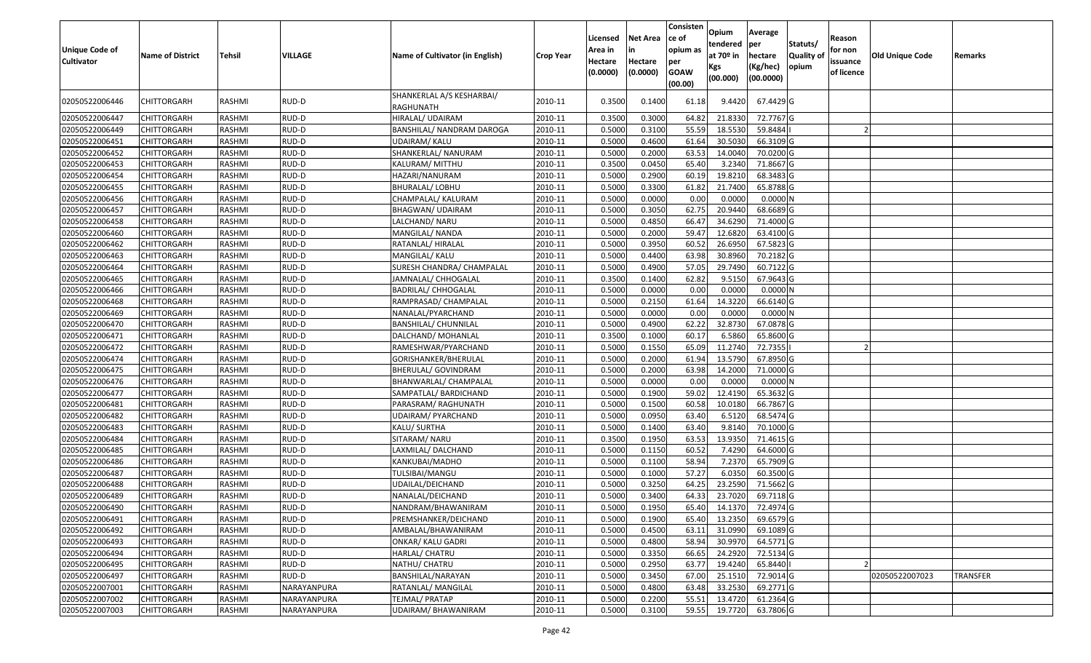| <b>Unique Code of</b><br><b>Cultivator</b> | <b>Name of District</b> | <b>Tehsil</b> | VILLAGE     | Name of Cultivator (in English)        | <b>Crop Year</b> | Licensed<br>Area in<br>Hectare<br>(0.0000) | <b>Net Area</b><br>in<br>Hectare<br>(0.0000) | Consisten<br>ce of<br>opium as<br>per<br><b>GOAW</b><br>(00.00) | Opium<br>tendered<br>at $70°$ in<br>Kgs<br>(00.000) | Average<br>per<br>hectare<br>(Kg/hec)<br>(00.0000) | Statuts/<br><b>Quality o</b><br>opium | Reason<br>for non<br>issuance<br>of licence | Old Unique Code | Remarks         |
|--------------------------------------------|-------------------------|---------------|-------------|----------------------------------------|------------------|--------------------------------------------|----------------------------------------------|-----------------------------------------------------------------|-----------------------------------------------------|----------------------------------------------------|---------------------------------------|---------------------------------------------|-----------------|-----------------|
| 02050522006446                             | CHITTORGARH             | RASHMI        | RUD-D       | SHANKERLAL A/S KESHARBAI/<br>RAGHUNATH | 2010-11          | 0.3500                                     | 0.1400                                       | 61.18                                                           | 9.4420                                              | 67.4429 G                                          |                                       |                                             |                 |                 |
| 02050522006447                             | CHITTORGARH             | RASHMI        | RUD-D       | HIRALAL/ UDAIRAM                       | 2010-11          | 0.3500                                     | 0.3000                                       | 64.82                                                           | 21.8330                                             | 72.7767 G                                          |                                       |                                             |                 |                 |
| 02050522006449                             | CHITTORGARH             | RASHMI        | RUD-D       | BANSHILAL/ NANDRAM DAROGA              | 2010-11          | 0.5000                                     | 0.3100                                       | 55.59                                                           | 18.5530                                             | 59.8484                                            |                                       |                                             |                 |                 |
| 02050522006451                             | CHITTORGARH             | RASHMI        | RUD-D       | UDAIRAM/ KALU                          | 2010-11          | 0.5000                                     | 0.4600                                       | 61.64                                                           | 30.5030                                             | 66.3109 G                                          |                                       |                                             |                 |                 |
| 02050522006452                             | CHITTORGARH             | RASHMI        | RUD-D       | SHANKERLAL/ NANURAM                    | 2010-11          | 0.5000                                     | 0.2000                                       | 63.53                                                           | 14.0040                                             | 70.0200G                                           |                                       |                                             |                 |                 |
| 02050522006453                             | CHITTORGARH             | RASHMI        | RUD-D       | KALURAM/ MITTHU                        | 2010-11          | 0.3500                                     | 0.0450                                       | 65.40                                                           | 3.2340                                              | 71.8667 G                                          |                                       |                                             |                 |                 |
| 02050522006454                             | CHITTORGARH             | <b>RASHMI</b> | RUD-D       | HAZARI/NANURAM                         | 2010-11          | 0.5000                                     | 0.2900                                       | 60.19                                                           | 19.8210                                             | 68.3483 G                                          |                                       |                                             |                 |                 |
| 02050522006455                             | <b>CHITTORGARH</b>      | RASHMI        | RUD-D       | <b>BHURALAL/ LOBHU</b>                 | 2010-11          | 0.5000                                     | 0.3300                                       | 61.82                                                           | 21.7400                                             | 65.8788 G                                          |                                       |                                             |                 |                 |
| 02050522006456                             | CHITTORGARH             | RASHMI        | RUD-D       | CHAMPALAL/ KALURAM                     | 2010-11          | 0.5000                                     | 0.0000                                       | 0.00                                                            | 0.0000                                              | 0.0000N                                            |                                       |                                             |                 |                 |
| 02050522006457                             | <b>CHITTORGARH</b>      | RASHMI        | RUD-D       | BHAGWAN/ UDAIRAM                       | 2010-11          | 0.5000                                     | 0.3050                                       | 62.75                                                           | 20.9440                                             | 68.6689 G                                          |                                       |                                             |                 |                 |
| 02050522006458                             | CHITTORGARH             | RASHMI        | RUD-D       | LALCHAND/ NARU                         | 2010-11          | 0.5000                                     | 0.4850                                       | 66.47                                                           | 34.6290                                             | 71.4000G                                           |                                       |                                             |                 |                 |
| 02050522006460                             | <b>CHITTORGARH</b>      | RASHMI        | RUD-D       | MANGILAL/ NANDA                        | 2010-11          | 0.5000                                     | 0.2000                                       | 59.47                                                           | 12.6820                                             | 63.4100 G                                          |                                       |                                             |                 |                 |
| 02050522006462                             | CHITTORGARH             | RASHMI        | RUD-D       | RATANLAL/ HIRALAL                      | 2010-11          | 0.5000                                     | 0.3950                                       | 60.52                                                           | 26.695                                              | 67.5823 G                                          |                                       |                                             |                 |                 |
| 02050522006463                             | CHITTORGARH             | RASHMI        | RUD-D       | MANGILAL/ KALU                         | 2010-11          | 0.5000                                     | 0.4400                                       | 63.98                                                           | 30.8960                                             | 70.2182G                                           |                                       |                                             |                 |                 |
| 02050522006464                             | CHITTORGARH             | RASHMI        | RUD-D       | SURESH CHANDRA/ CHAMPALAL              | 2010-11          | 0.5000                                     | 0.4900                                       | 57.05                                                           | 29.7490                                             | 60.7122 G                                          |                                       |                                             |                 |                 |
| 02050522006465                             | CHITTORGARH             | RASHMI        | RUD-D       | JAMNALAL/ CHHOGALAL                    | 2010-11          | 0.3500                                     | 0.1400                                       | 62.82                                                           | 9.5150                                              | 67.9643 G                                          |                                       |                                             |                 |                 |
| 02050522006466                             | CHITTORGARH             | RASHMI        | RUD-D       | <b>BADRILAL/ CHHOGALAL</b>             | 2010-11          | 0.500                                      | 0.0000                                       | 0.00                                                            | 0.0000                                              | 0.0000N                                            |                                       |                                             |                 |                 |
| 02050522006468                             | CHITTORGARH             | RASHMI        | RUD-D       | RAMPRASAD/ CHAMPALAL                   | 2010-11          | 0.5000                                     | 0.2150                                       | 61.64                                                           | 14.3220                                             | 66.6140 G                                          |                                       |                                             |                 |                 |
| 02050522006469                             | CHITTORGARH             | RASHMI        | RUD-D       | NANALAL/PYARCHAND                      | 2010-11          | 0.5000                                     | 0.0000                                       | 0.00                                                            | 0.0000                                              | 0.0000N                                            |                                       |                                             |                 |                 |
| 02050522006470                             | CHITTORGARH             | RASHMI        | RUD-D       | <b>BANSHILAL/ CHUNNILAL</b>            | 2010-11          | 0.5000                                     | 0.4900                                       | 62.22                                                           | 32.8730                                             | 67.0878 G                                          |                                       |                                             |                 |                 |
| 02050522006471                             | CHITTORGARH             | RASHMI        | RUD-D       | DALCHAND/ MOHANLAL                     | 2010-11          | 0.3500                                     | 0.1000                                       | 60.1                                                            | 6.5860                                              | 65.8600 G                                          |                                       |                                             |                 |                 |
| 02050522006472                             | CHITTORGARH             | RASHMI        | RUD-D       | RAMESHWAR/PYARCHAND                    | 2010-11          | 0.5000                                     | 0.1550                                       | 65.09                                                           | 11.2740                                             | 72.7355                                            |                                       |                                             |                 |                 |
| 02050522006474                             | CHITTORGARH             | RASHMI        | RUD-D       | GORISHANKER/BHERULAL                   | 2010-11          | 0.5000                                     | 0.2000                                       | 61.94                                                           | 13.5790                                             | 67.8950 G                                          |                                       |                                             |                 |                 |
| 02050522006475                             | CHITTORGARH             | RASHMI        | RUD-D       | BHERULAL/ GOVINDRAM                    | 2010-11          | 0.5000                                     | 0.2000                                       | 63.98                                                           | 14.2000                                             | 71.0000G                                           |                                       |                                             |                 |                 |
| 02050522006476                             | CHITTORGARH             | RASHMI        | RUD-D       | BHANWARLAL/ CHAMPALAL                  | 2010-11          | 0.5000                                     | 0.0000                                       | 0.00                                                            | 0.0000                                              | 0.0000N                                            |                                       |                                             |                 |                 |
| 02050522006477                             | CHITTORGARH             | RASHMI        | RUD-D       | SAMPATLAL/ BARDICHAND                  | 2010-11          | 0.5000                                     | 0.1900                                       | 59.02                                                           | 12.4190                                             | 65.3632 G                                          |                                       |                                             |                 |                 |
| 02050522006481                             | CHITTORGARH             | RASHMI        | RUD-D       | PARASRAM/ RAGHUNATH                    | 2010-11          | 0.5000                                     | 0.1500                                       | 60.58                                                           | 10.0180                                             | 66.7867 G                                          |                                       |                                             |                 |                 |
| 02050522006482                             | CHITTORGARH             | <b>RASHMI</b> | RUD-D       | JDAIRAM/ PYARCHAND                     | 2010-11          | 0.5000                                     | 0.0950                                       | 63.40                                                           | 6.5120                                              | 68.5474 G                                          |                                       |                                             |                 |                 |
| 02050522006483                             | CHITTORGARH             | RASHMI        | RUD-D       | KALU/ SURTHA                           | 2010-11          | 0.5000                                     | 0.1400                                       | 63.40                                                           | 9.8140                                              | 70.1000G                                           |                                       |                                             |                 |                 |
| 02050522006484                             | CHITTORGARH             | RASHMI        | RUD-D       | SITARAM/ NARU                          | 2010-11          | 0.3500                                     | 0.1950                                       | 63.53                                                           | 13.9350                                             | 71.4615 G                                          |                                       |                                             |                 |                 |
| 02050522006485                             | CHITTORGARH             | RASHMI        | RUD-D       | LAXMILAL/ DALCHAND                     | 2010-11          | 0.5000                                     | 0.1150                                       | 60.52                                                           | 7.4290                                              | 64.6000 G                                          |                                       |                                             |                 |                 |
| 02050522006486                             | CHITTORGARH             | RASHMI        | RUD-D       | KANKUBAI/MADHO                         | 2010-11          | 0.5000                                     | 0.1100                                       | 58.94                                                           | 7.2370                                              | 65.7909 G                                          |                                       |                                             |                 |                 |
| 02050522006487                             | <b>CHITTORGARH</b>      | RASHMI        | RUD-D       | TULSIBAI/MANGU                         | 2010-11          | 0.5000                                     | 0.1000                                       | 57.27                                                           | 6.0350                                              | 60.3500 G                                          |                                       |                                             |                 |                 |
| 02050522006488                             | CHITTORGARH             | RASHMI        | RUD-D       | UDAILAL/DEICHAND                       | 2010-11          | 0.500                                      | 0.3250                                       | 64.25                                                           | 23.2590                                             | 71.5662 G                                          |                                       |                                             |                 |                 |
| 02050522006489                             | CHITTORGARH             | RASHMI        | RUD-D       | NANALAL/DEICHAND                       | 2010-11          | 0.5000                                     | 0.3400                                       | 64.33                                                           | 23.7020                                             | 69.7118G                                           |                                       |                                             |                 |                 |
| 02050522006490                             | <b>CHITTORGARH</b>      | RASHMI        | RUD-D       | NANDRAM/BHAWANIRAM                     | 2010-11          | 0.5000                                     | 0.1950                                       |                                                                 | 65.40 14.1370                                       | 72.4974 G                                          |                                       |                                             |                 |                 |
| 02050522006491                             | <b>CHITTORGARH</b>      | RASHMI        | RUD-D       | PREMSHANKER/DEICHAND                   | 2010-11          | 0.5000                                     | 0.1900                                       | 65.40                                                           | 13.2350                                             | 69.6579 G                                          |                                       |                                             |                 |                 |
| 02050522006492                             | <b>CHITTORGARH</b>      | RASHMI        | RUD-D       | AMBALAL/BHAWANIRAM                     | 2010-11          | 0.5000                                     | 0.4500                                       | 63.11                                                           | 31.0990                                             | 69.1089 G                                          |                                       |                                             |                 |                 |
| 02050522006493                             | <b>CHITTORGARH</b>      | RASHMI        | RUD-D       | ONKAR/ KALU GADRI                      | 2010-11          | 0.5000                                     | 0.4800                                       | 58.94                                                           | 30.9970                                             | 64.5771 G                                          |                                       |                                             |                 |                 |
| 02050522006494                             | <b>CHITTORGARH</b>      | RASHMI        | RUD-D       | HARLAL/ CHATRU                         | 2010-11          | 0.5000                                     | 0.3350                                       | 66.65                                                           | 24.2920                                             | 72.5134 G                                          |                                       |                                             |                 |                 |
| 02050522006495                             | <b>CHITTORGARH</b>      | RASHMI        | RUD-D       | NATHU/ CHATRU                          | 2010-11          | 0.5000                                     | 0.2950                                       | 63.77                                                           | 19.4240                                             | 65.8440                                            |                                       |                                             |                 |                 |
| 02050522006497                             | <b>CHITTORGARH</b>      | RASHMI        | RUD-D       | BANSHILAL/NARAYAN                      | 2010-11          | 0.5000                                     | 0.3450                                       | 67.00                                                           | 25.1510                                             | 72.9014 G                                          |                                       |                                             | 02050522007023  | <b>TRANSFER</b> |
| 02050522007001                             | CHITTORGARH             | RASHMI        | NARAYANPURA | RATANLAL/ MANGILAL                     | 2010-11          | 0.5000                                     | 0.4800                                       | 63.48                                                           | 33.2530                                             | 69.2771 G                                          |                                       |                                             |                 |                 |
| 02050522007002                             | CHITTORGARH             | RASHMI        | NARAYANPURA | TEJMAL/ PRATAP                         | 2010-11          | 0.5000                                     | 0.2200                                       | 55.51                                                           | 13.4720                                             | 61.2364 G                                          |                                       |                                             |                 |                 |
| 02050522007003                             | <b>CHITTORGARH</b>      | RASHMI        | NARAYANPURA | UDAIRAM/ BHAWANIRAM                    | 2010-11          | 0.5000                                     | 0.3100                                       | 59.55                                                           | 19.7720                                             | 63.7806 G                                          |                                       |                                             |                 |                 |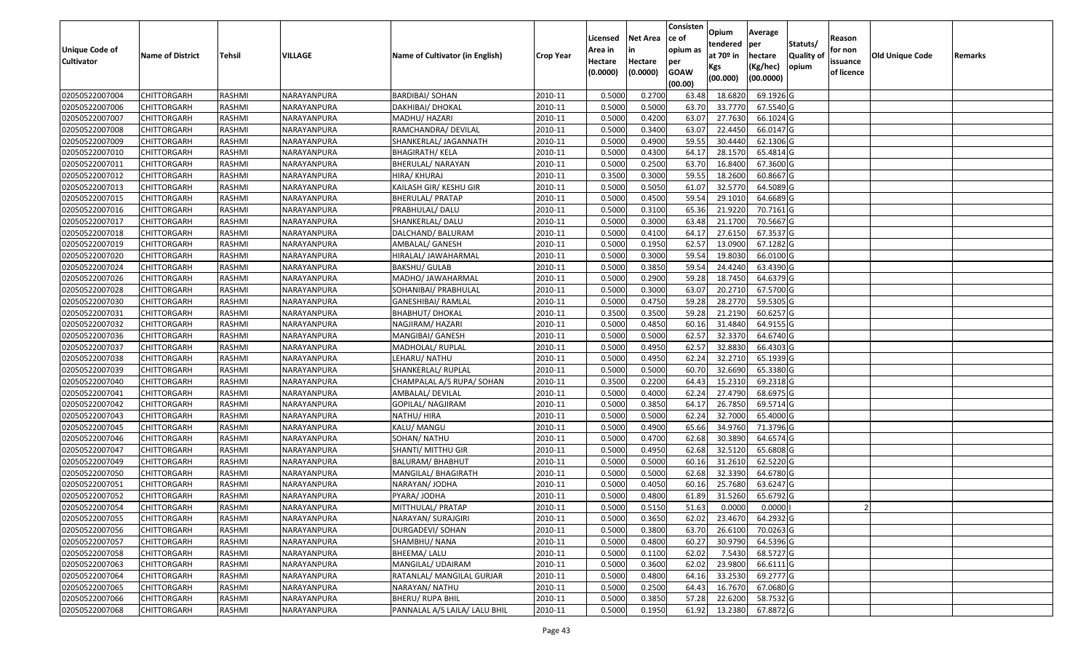|                       |                         |               |                |                                 |                  |          |                 | Consisten   | Opium                   | Average        |                  |            |                 |         |
|-----------------------|-------------------------|---------------|----------------|---------------------------------|------------------|----------|-----------------|-------------|-------------------------|----------------|------------------|------------|-----------------|---------|
|                       |                         |               |                |                                 |                  | Licensed | <b>Net Area</b> | ce of       |                         |                | Statuts/         | Reason     |                 |         |
| <b>Unique Code of</b> | <b>Name of District</b> | <b>Tehsil</b> | <b>VILLAGE</b> | Name of Cultivator (in English) |                  | Area in  | in              | opium as    | tendered<br>at $70°$ in | per<br>hectare | <b>Quality o</b> | for non    | Old Unique Code | Remarks |
| <b>Cultivator</b>     |                         |               |                |                                 | <b>Crop Year</b> | Hectare  | Hectare         | per         | Kgs                     | (Kg/hec)       | opium            | issuance   |                 |         |
|                       |                         |               |                |                                 |                  | (0.0000) | (0.0000)        | <b>GOAW</b> | (00.000)                | (00.0000)      |                  | of licence |                 |         |
|                       |                         |               |                |                                 |                  |          |                 | (00.00)     |                         |                |                  |            |                 |         |
| 02050522007004        | CHITTORGARH             | RASHMI        | NARAYANPURA    | <b>BARDIBAI/ SOHAN</b>          | 2010-11          | 0.5000   | 0.2700          | 63.48       | 18.6820                 | 69.1926 G      |                  |            |                 |         |
| 02050522007006        | CHITTORGARH             | RASHMI        | NARAYANPURA    | DAKHIBAI/ DHOKAL                | 2010-11          | 0.5000   | 0.5000          | 63.70       | 33.7770                 | 67.5540 G      |                  |            |                 |         |
| 02050522007007        | CHITTORGARH             | RASHMI        | NARAYANPURA    | MADHU/ HAZARI                   | 2010-11          | 0.5000   | 0.4200          | 63.07       | 27.7630                 | 66.1024 G      |                  |            |                 |         |
| 02050522007008        | <b>CHITTORGARH</b>      | RASHMI        | NARAYANPURA    | RAMCHANDRA/ DEVILAL             | 2010-11          | 0.5000   | 0.3400          | 63.07       | 22.4450                 | 66.0147 G      |                  |            |                 |         |
| 02050522007009        | CHITTORGARH             | RASHMI        | NARAYANPURA    | SHANKERLAL/ JAGANNATH           | 2010-11          | 0.5000   | 0.4900          | 59.5        | 30.4440                 | 62.1306 G      |                  |            |                 |         |
| 02050522007010        | CHITTORGARH             | RASHMI        | NARAYANPURA    | BHAGIRATH/ KELA                 | 2010-11          | 0.5000   | 0.4300          | 64.17       | 28.1570                 | 65.4814 G      |                  |            |                 |         |
| 02050522007011        | CHITTORGARH             | RASHMI        | NARAYANPURA    | BHERULAL/ NARAYAN               | 2010-11          | 0.5000   | 0.2500          | 63.7        | 16.8400                 | 67.3600 G      |                  |            |                 |         |
| 02050522007012        | <b>CHITTORGARH</b>      | <b>RASHMI</b> | NARAYANPURA    | HIRA/ KHURAJ                    | 2010-11          | 0.3500   | 0.3000          | 59.55       | 18.2600                 | 60.8667 G      |                  |            |                 |         |
| 02050522007013        | CHITTORGARH             | RASHMI        | NARAYANPURA    | KAILASH GIR/ KESHU GIR          | 2010-11          | 0.5000   | 0.5050          | 61.07       | 32.5770                 | 64.5089 G      |                  |            |                 |         |
| 02050522007015        | CHITTORGARH             | RASHMI        | NARAYANPURA    | BHERULAL/ PRATAP                | 2010-11          | 0.5000   | 0.4500          | 59.54       | 29.1010                 | 64.6689 G      |                  |            |                 |         |
| 02050522007016        | CHITTORGARH             | RASHMI        | NARAYANPURA    | PRABHULAL/ DALU                 | 2010-11          | 0.5000   | 0.3100          | 65.36       | 21.9220                 | 70.7161G       |                  |            |                 |         |
| 02050522007017        | CHITTORGARH             | RASHMI        | NARAYANPURA    | SHANKERLAL/DALU                 | 2010-11          | 0.5000   | 0.3000          | 63.48       | 21.1700                 | 70.5667 G      |                  |            |                 |         |
| 02050522007018        | <b>CHITTORGARH</b>      | RASHMI        | NARAYANPURA    | DALCHAND/ BALURAM               | 2010-11          | 0.5000   | 0.4100          | 64.17       | 27.6150                 | 67.3537 G      |                  |            |                 |         |
| 02050522007019        | CHITTORGARH             | RASHMI        | NARAYANPURA    | AMBALAL/ GANESH                 | 2010-11          | 0.5000   | 0.1950          | 62.57       | 13.0900                 | 67.1282 G      |                  |            |                 |         |
| 02050522007020        | CHITTORGARH             | RASHMI        | NARAYANPURA    | HIRALAL/ JAWAHARMAL             | 2010-11          | 0.5000   | 0.3000          | 59.54       | 19.8030                 | 66.0100 G      |                  |            |                 |         |
| 02050522007024        | CHITTORGARH             | RASHMI        | NARAYANPURA    | <b>BAKSHU/ GULAB</b>            | 2010-11          | 0.5000   | 0.3850          | 59.54       | 24.4240                 | 63.4390 G      |                  |            |                 |         |
| 02050522007026        | CHITTORGARH             | RASHMI        | NARAYANPURA    | MADHO/ JAWAHARMAL               | 2010-11          | 0.5000   | 0.2900          | 59.28       | 18.7450                 | 64.6379 G      |                  |            |                 |         |
| 02050522007028        | CHITTORGARH             | RASHMI        | NARAYANPURA    | SOHANIBAI/ PRABHULAL            | 2010-11          | 0.5000   | 0.3000          | 63.07       | 20.2710                 | 67.5700 G      |                  |            |                 |         |
| 02050522007030        | CHITTORGARH             | RASHMI        | NARAYANPURA    | GANESHIBAI/ RAMLAL              | 2010-11          | 0.5000   | 0.4750          | 59.28       | 28.2770                 | 59.5305 G      |                  |            |                 |         |
| 02050522007031        | CHITTORGARH             | RASHMI        | NARAYANPURA    | <b>BHABHUT/ DHOKAL</b>          | 2010-11          | 0.3500   | 0.3500          | 59.28       | 21.2190                 | 60.6257 G      |                  |            |                 |         |
| 02050522007032        | CHITTORGARH             | RASHMI        | NARAYANPURA    | NAGJIRAM/HAZARI                 | 2010-11          | 0.5000   | 0.4850          | 60.16       | 31.4840                 | 64.9155 G      |                  |            |                 |         |
| 02050522007036        | CHITTORGARH             | RASHMI        | NARAYANPURA    | MANGIBAI/ GANESH                | 2010-11          | 0.5000   | 0.5000          | 62.57       | 32.337                  | 64.6740 G      |                  |            |                 |         |
| 02050522007037        | CHITTORGARH             | RASHMI        | NARAYANPURA    | MADHOLAL/ RUPLAL                | 2010-11          | 0.5000   | 0.4950          | 62.57       | 32.8830                 | 66.4303 G      |                  |            |                 |         |
| 02050522007038        | CHITTORGARH             | RASHMI        | NARAYANPURA    | LEHARU/ NATHU                   | 2010-11          | 0.5000   | 0.4950          | 62.2        | 32.2710                 | 65.1939 G      |                  |            |                 |         |
| 02050522007039        | <b>CHITTORGARH</b>      | RASHMI        | NARAYANPURA    | SHANKERLAL/ RUPLAL              | 2010-11          | 0.5000   | 0.5000          | 60.70       | 32.6690                 | 65.3380 G      |                  |            |                 |         |
| 02050522007040        | CHITTORGARH             | RASHMI        | NARAYANPURA    | CHAMPALAL A/S RUPA/ SOHAN       | 2010-11          | 0.3500   | 0.2200          | 64.43       | 15.2310                 | 69.2318 G      |                  |            |                 |         |
| 02050522007041        | CHITTORGARH             | RASHMI        | NARAYANPURA    | AMBALAL/ DEVILAL                | 2010-11          | 0.5000   | 0.4000          | 62.24       | 27.4790                 | 68.6975 G      |                  |            |                 |         |
| 02050522007042        | CHITTORGARH             | RASHMI        | NARAYANPURA    | GOPILAL/ NAGJIRAM               | 2010-11          | 0.5000   | 0.3850          | 64.17       | 26.7850                 | 69.5714 G      |                  |            |                 |         |
| 02050522007043        | CHITTORGARH             | RASHMI        | NARAYANPURA    | NATHU/ HIRA                     | 2010-11          | 0.5000   | 0.5000          | 62.24       | 32.7000                 | 65.4000 G      |                  |            |                 |         |
| 02050522007045        | CHITTORGARH             | RASHMI        | NARAYANPURA    | KALU/ MANGU                     | 2010-11          | 0.5000   | 0.4900          | 65.66       | 34.9760                 | 71.3796 G      |                  |            |                 |         |
| 02050522007046        | CHITTORGARH             | RASHMI        | NARAYANPURA    | SOHAN/ NATHU                    | 2010-11          | 0.5000   | 0.4700          | 62.68       | 30.3890                 | 64.6574 G      |                  |            |                 |         |
| 02050522007047        | CHITTORGARH             | RASHMI        | NARAYANPURA    | SHANTI/ MITTHU GIR              | 2010-11          | 0.5000   | 0.4950          | 62.68       | 32.5120                 | 65.6808 G      |                  |            |                 |         |
| 02050522007049        | CHITTORGARH             | RASHMI        | NARAYANPURA    | <b>BALURAM/ BHABHUT</b>         | 2010-11          | 0.5000   | 0.5000          | 60.16       | 31.2610                 | 62.5220 G      |                  |            |                 |         |
| 02050522007050        | CHITTORGARH             | RASHMI        | NARAYANPURA    | MANGILAL/ BHAGIRATH             | 2010-11          | 0.5000   | 0.5000          | 62.68       | 32.3390                 | 64.6780 G      |                  |            |                 |         |
| 02050522007051        | CHITTORGARH             | RASHMI        | NARAYANPURA    | NARAYAN/ JODHA                  | 2010-11          | 0.5000   | 0.4050          | 60.1        | 25.7680                 | 63.6247 G      |                  |            |                 |         |
| 02050522007052        | CHITTORGARH             | RASHMI        | NARAYANPURA    | PYARA/ JODHA                    | 2010-11          | 0.5000   | 0.4800          | 61.89       | 31.5260                 | 65.6792 G      |                  |            |                 |         |
| 02050522007054        | <b>CHITTORGARH</b>      | RASHMI        | NARAYANPURA    | MITTHULAL/ PRATAP               | 2010-11          | 0.5000   | 0.5150          | 51.63       | 0.0000                  | 0.00001        |                  |            |                 |         |
| 02050522007055        | <b>CHITTORGARH</b>      | RASHMI        | NARAYANPURA    | NARAYAN/ SURAJGIRI              | 2010-11          | 0.5000   | 0.3650          | 62.02       | 23.4670                 | 64.2932 G      |                  |            |                 |         |
| 02050522007056        | <b>CHITTORGARH</b>      | RASHMI        | NARAYANPURA    | DURGADEVI/ SOHAN                | 2010-11          | 0.5000   | 0.3800          | 63.70       | 26.6100                 | 70.0263 G      |                  |            |                 |         |
| 02050522007057        | <b>CHITTORGARH</b>      | RASHMI        | NARAYANPURA    | SHAMBHU/ NANA                   | 2010-11          | 0.5000   | 0.4800          | 60.27       | 30.9790                 | 64.5396 G      |                  |            |                 |         |
| 02050522007058        | CHITTORGARH             | RASHMI        | NARAYANPURA    | BHEEMA/ LALU                    | 2010-11          | 0.5000   | 0.1100          | 62.02       | 7.5430                  | 68.5727 G      |                  |            |                 |         |
| 02050522007063        | <b>CHITTORGARH</b>      | RASHMI        | NARAYANPURA    | MANGILAL/ UDAIRAM               | 2010-11          | 0.5000   | 0.3600          | 62.02       | 23.9800                 | 66.6111 G      |                  |            |                 |         |
| 02050522007064        | <b>CHITTORGARH</b>      | RASHMI        | NARAYANPURA    | RATANLAL/ MANGILAL GURJAR       | 2010-11          | 0.5000   | 0.4800          | 64.16       | 33.2530                 | 69.2777 G      |                  |            |                 |         |
| 02050522007065        | <b>CHITTORGARH</b>      | RASHMI        | NARAYANPURA    | NARAYAN/ NATHU                  | 2010-11          | 0.5000   | 0.2500          | 64.43       | 16.7670                 | 67.0680 G      |                  |            |                 |         |
| 02050522007066        | CHITTORGARH             | RASHMI        | NARAYANPURA    | BHERU/ RUPA BHIL                | 2010-11          | 0.5000   | 0.3850          | 57.28       | 22.6200                 | 58.7532 G      |                  |            |                 |         |
| 02050522007068        | <b>CHITTORGARH</b>      | RASHMI        | NARAYANPURA    | PANNALAL A/S LAILA/ LALU BHIL   | 2010-11          | 0.5000   | 0.1950          | 61.92       | 13.2380                 | 67.8872 G      |                  |            |                 |         |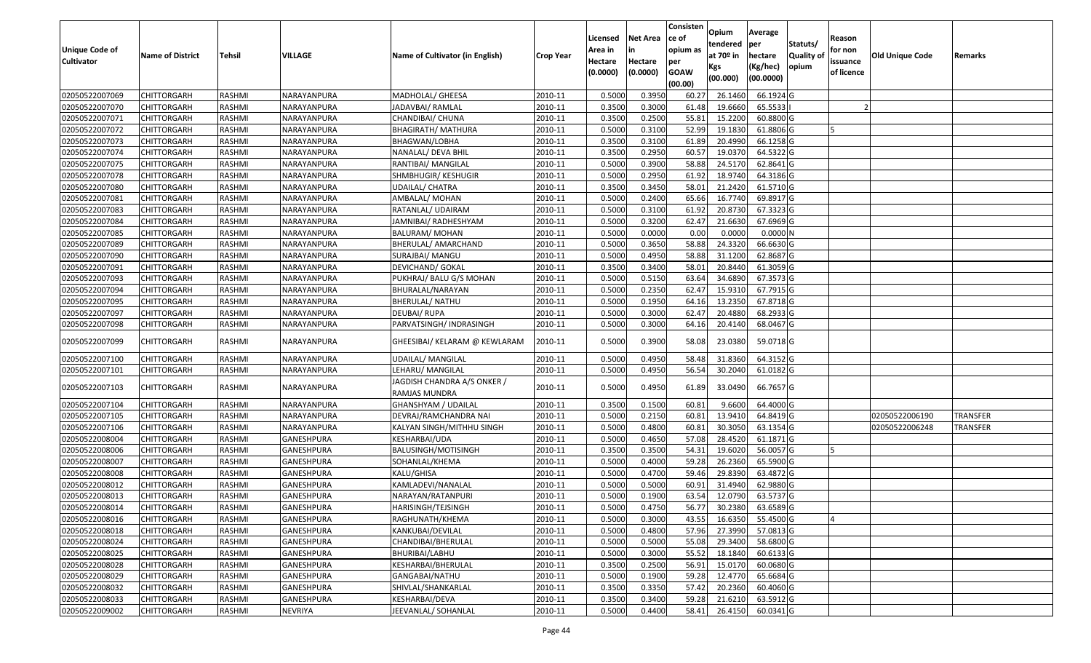|                                            |                         |               |                   |                                              |                  |                     |                     | Consisten          | Opium       | Average   |                  |                        |                        |                 |
|--------------------------------------------|-------------------------|---------------|-------------------|----------------------------------------------|------------------|---------------------|---------------------|--------------------|-------------|-----------|------------------|------------------------|------------------------|-----------------|
|                                            |                         |               |                   |                                              |                  | Licensed            | <b>Net Area</b>     | ce of              | tendered    | per       | Statuts/         | Reason                 |                        |                 |
| <b>Unique Code of</b><br><b>Cultivator</b> | <b>Name of District</b> | <b>Tehsil</b> | VILLAGE           | Name of Cultivator (in English)              | <b>Crop Year</b> | Area in             | in                  | opium as           | at $70°$ in | hectare   | <b>Quality o</b> | for non                | <b>Old Unique Code</b> | Remarks         |
|                                            |                         |               |                   |                                              |                  | Hectare<br>(0.0000) | Hectare<br>(0.0000) | per<br><b>GOAW</b> | Kgs         | (Kg/hec)  | opium            | issuance<br>of licence |                        |                 |
|                                            |                         |               |                   |                                              |                  |                     |                     | (00.00)            | (00.000)    | (00.0000) |                  |                        |                        |                 |
| 02050522007069                             | CHITTORGARH             | RASHMI        | NARAYANPURA       | MADHOLAL/ GHEESA                             | 2010-11          | 0.5000              | 0.3950              | 60.27              | 26.1460     | 66.1924 G |                  |                        |                        |                 |
| 02050522007070                             | CHITTORGARH             | RASHMI        | NARAYANPURA       | JADAVBAI/ RAMLAL                             | 2010-11          | 0.3500              | 0.3000              | 61.48              | 19.6660     | 65.5533   |                  |                        |                        |                 |
| 02050522007071                             | CHITTORGARH             | RASHMI        | NARAYANPURA       | CHANDIBAI/ CHUNA                             | 2010-11          | 0.3500              | 0.2500              | 55.81              | 15.2200     | 60.8800 G |                  |                        |                        |                 |
| 02050522007072                             | <b>CHITTORGARH</b>      | RASHMI        | NARAYANPURA       | <b>BHAGIRATH/ MATHURA</b>                    | 2010-11          | 0.5000              | 0.3100              | 52.99              | 19.1830     | 61.8806 G |                  |                        |                        |                 |
| 02050522007073                             | CHITTORGARH             | RASHMI        | NARAYANPURA       | BHAGWAN/LOBHA                                | 2010-11          | 0.3500              | 0.3100              | 61.89              | 20.4990     | 66.1258 G |                  |                        |                        |                 |
| 02050522007074                             | CHITTORGARH             | RASHMI        | NARAYANPURA       | NANALAL/ DEVA BHIL                           | 2010-11          | 0.3500              | 0.2950              | 60.5               | 19.037      | 64.5322 G |                  |                        |                        |                 |
| 02050522007075                             | CHITTORGARH             | RASHMI        | NARAYANPURA       | RANTIBAI/ MANGILAL                           | 2010-11          | 0.5000              | 0.3900              | 58.88              | 24.5170     | 62.8641 G |                  |                        |                        |                 |
| 02050522007078                             | <b>CHITTORGARH</b>      | RASHMI        | NARAYANPURA       | SHMBHUGIR/ KESHUGIR                          | 2010-11          | 0.5000              | 0.2950              | 61.92              | 18.9740     | 64.3186 G |                  |                        |                        |                 |
| 02050522007080                             | CHITTORGARH             | RASHMI        | NARAYANPURA       | UDAILAL/ CHATRA                              | 2010-11          | 0.3500              | 0.3450              | 58.01              | 21.2420     | 61.5710 G |                  |                        |                        |                 |
| 02050522007081                             | CHITTORGARH             | RASHMI        | NARAYANPURA       | AMBALAL/ MOHAN                               | 2010-11          | 0.5000              | 0.2400              | 65.66              | 16.7740     | 69.8917 G |                  |                        |                        |                 |
| 02050522007083                             | CHITTORGARH             | RASHMI        | NARAYANPURA       | RATANLAL/ UDAIRAM                            | 2010-11          | 0.5000              | 0.3100              | 61.92              | 20.8730     | 67.3323 G |                  |                        |                        |                 |
| 02050522007084                             | CHITTORGARH             | RASHMI        | NARAYANPURA       | JAMNIBAI/ RADHESHYAM                         | 2010-11          | 0.5000              | 0.3200              | 62.47              | 21.6630     | 67.6969 G |                  |                        |                        |                 |
| 02050522007085                             | <b>CHITTORGARH</b>      | RASHMI        | NARAYANPURA       | <b>BALURAM/MOHAN</b>                         | 2010-11          | 0.5000              | 0.0000              | 0.00               | 0.0000      | 0.0000N   |                  |                        |                        |                 |
| 02050522007089                             | CHITTORGARH             | RASHMI        | NARAYANPURA       | BHERULAL/ AMARCHAND                          | 2010-11          | 0.5000              | 0.3650              | 58.88              | 24.3320     | 66.6630 G |                  |                        |                        |                 |
| 02050522007090                             | CHITTORGARH             | RASHMI        | NARAYANPURA       | SURAJBAI/ MANGU                              | 2010-11          | 0.5000              | 0.4950              | 58.88              | 31.1200     | 62.8687G  |                  |                        |                        |                 |
| 02050522007091                             | <b>CHITTORGARH</b>      | RASHMI        | NARAYANPURA       | DEVICHAND/ GOKAL                             | 2010-11          | 0.3500              | 0.3400              | 58.01              | 20.8440     | 61.3059 G |                  |                        |                        |                 |
| 02050522007093                             | CHITTORGARH             | RASHMI        | NARAYANPURA       | PUKHRAJ/ BALU G/S MOHAN                      | 2010-11          | 0.5000              | 0.5150              | 63.64              | 34.6890     | 67.3573 G |                  |                        |                        |                 |
| 02050522007094                             | CHITTORGARH             | RASHMI        | NARAYANPURA       | BHURALAL/NARAYAN                             | 2010-11          | 0.5000              | 0.2350              | 62.47              | 15.931      | 67.7915 G |                  |                        |                        |                 |
| 02050522007095                             | CHITTORGARH             | RASHMI        | NARAYANPURA       | <b>BHERULAL/ NATHU</b>                       | 2010-11          | 0.5000              | 0.1950              | 64.16              | 13.235      | 67.8718 G |                  |                        |                        |                 |
| 02050522007097                             | CHITTORGARH             | RASHMI        | NARAYANPURA       | DEUBAI/ RUPA                                 | 2010-11          | 0.5000              | 0.3000              | 62.4               | 20.4880     | 68.2933 G |                  |                        |                        |                 |
| 02050522007098                             | CHITTORGARH             | RASHMI        | NARAYANPURA       | PARVATSINGH/ INDRASINGH                      | 2010-11          | 0.5000              | 0.3000              | 64.16              | 20.4140     | 68.0467 G |                  |                        |                        |                 |
| 02050522007099                             | CHITTORGARH             | RASHMI        | NARAYANPURA       | GHEESIBAI/ KELARAM @ KEWLARAM                | 2010-11          | 0.5000              | 0.3900              | 58.08              | 23.0380     | 59.0718 G |                  |                        |                        |                 |
| 02050522007100                             | CHITTORGARH             | RASHMI        | NARAYANPURA       | UDAILAL/ MANGILAL                            | 2010-11          | 0.5000              | 0.4950              | 58.48              | 31.8360     | 64.3152 G |                  |                        |                        |                 |
| 02050522007101                             | CHITTORGARH             | RASHMI        | NARAYANPURA       | LEHARU/ MANGILAL                             | 2010-11          | 0.5000              | 0.4950              | 56.54              | 30.2040     | 61.0182G  |                  |                        |                        |                 |
| 02050522007103                             | CHITTORGARH             | RASHMI        | NARAYANPURA       | JAGDISH CHANDRA A/S ONKER /<br>RAMJAS MUNDRA | 2010-11          | 0.5000              | 0.4950              | 61.89              | 33.0490     | 66.7657 G |                  |                        |                        |                 |
| 02050522007104                             | <b>CHITTORGARH</b>      | RASHMI        | NARAYANPURA       | GHANSHYAM / UDAILAL                          | 2010-11          | 0.3500              | 0.1500              | 60.8               | 9.6600      | 64.4000 G |                  |                        |                        |                 |
| 02050522007105                             | CHITTORGARH             | RASHMI        | NARAYANPURA       | DEVRAJ/RAMCHANDRA NAI                        | 2010-11          | 0.5000              | 0.2150              | 60.81              | 13.9410     | 64.8419 G |                  |                        | 02050522006190         | <b>TRANSFER</b> |
| 02050522007106                             | CHITTORGARH             | RASHMI        | NARAYANPURA       | KALYAN SINGH/MITHHU SINGH                    | 2010-11          | 0.5000              | 0.4800              | 60.8               | 30.3050     | 63.1354 G |                  |                        | 02050522006248         | <b>TRANSFER</b> |
| 02050522008004                             | CHITTORGARH             | RASHMI        | GANESHPURA        | KESHARBAI/UDA                                | 2010-11          | 0.5000              | 0.4650              | 57.08              | 28.4520     | 61.1871 G |                  |                        |                        |                 |
| 02050522008006                             | <b>CHITTORGARH</b>      | RASHMI        | GANESHPURA        | BALUSINGH/MOTISINGH                          | 2010-11          | 0.3500              | 0.3500              | 54.31              | 19.6020     | 56.0057 G |                  |                        |                        |                 |
| 02050522008007                             | <b>CHITTORGARH</b>      | RASHMI        | GANESHPURA        | SOHANLAL/KHEMA                               | 2010-11          | 0.5000              | 0.4000              | 59.28              | 26.2360     | 65.5900 G |                  |                        |                        |                 |
| 02050522008008                             | <b>CHITTORGARH</b>      | RASHMI        | GANESHPURA        | KALU/GHISA                                   | 2010-11          | 0.5000              | 0.4700              | 59.46              | 29.8390     | 63.4872 G |                  |                        |                        |                 |
| 02050522008012                             | CHITTORGARH             | RASHMI        | GANESHPURA        | KAMLADEVI/NANALAL                            | 2010-11          | 0.500               | 0.5000              | 60.91              | 31.4940     | 62.9880 G |                  |                        |                        |                 |
| 02050522008013                             | CHITTORGARH             | RASHMI        | GANESHPURA        | NARAYAN/RATANPURI                            | 2010-11          | 0.5000              | 0.1900              | 63.54              | 12.0790     | 63.5737 G |                  |                        |                        |                 |
| 02050522008014                             | <b>CHITTORGARH</b>      | RASHMI        | GANESHPURA        | HARISINGH/TEJSINGH                           | 2010-11          | 0.5000              | 0.4750              | 56.77              | 30.2380     | 63.6589 G |                  |                        |                        |                 |
| 02050522008016                             | <b>CHITTORGARH</b>      | RASHMI        | <b>GANESHPURA</b> | RAGHUNATH/KHEMA                              | 2010-11          | 0.5000              | 0.3000              | 43.55              | 16.6350     | 55.4500 G |                  |                        |                        |                 |
| 02050522008018                             | <b>CHITTORGARH</b>      | RASHMI        | GANESHPURA        | KANKUBAI/DEVILAL                             | 2010-11          | 0.5000              | 0.4800              | 57.96              | 27.3990     | 57.0813 G |                  |                        |                        |                 |
| 02050522008024                             | <b>CHITTORGARH</b>      | RASHMI        | <b>GANESHPURA</b> | CHANDIBAI/BHERULAL                           | 2010-11          | 0.5000              | 0.5000              | 55.08              | 29.3400     | 58.6800 G |                  |                        |                        |                 |
| 02050522008025                             | <b>CHITTORGARH</b>      | RASHMI        | GANESHPURA        | BHURIBAI/LABHU                               | 2010-11          | 0.5000              | 0.3000              | 55.52              | 18.1840     | 60.6133 G |                  |                        |                        |                 |
| 02050522008028                             | <b>CHITTORGARH</b>      | RASHMI        | <b>GANESHPURA</b> | KESHARBAI/BHERULAL                           | 2010-11          | 0.3500              | 0.2500              | 56.91              | 15.0170     | 60.0680 G |                  |                        |                        |                 |
| 02050522008029                             | <b>CHITTORGARH</b>      | RASHMI        | <b>GANESHPURA</b> | GANGABAI/NATHU                               | 2010-11          | 0.5000              | 0.1900              | 59.28              | 12.4770     | 65.6684 G |                  |                        |                        |                 |
| 02050522008032                             | <b>CHITTORGARH</b>      | RASHMI        | <b>GANESHPURA</b> | SHIVLAL/SHANKARLAL                           | 2010-11          | 0.3500              | 0.3350              | 57.42              | 20.2360     | 60.4060 G |                  |                        |                        |                 |
| 02050522008033                             | <b>CHITTORGARH</b>      | RASHMI        | GANESHPURA        | KESHARBAI/DEVA                               | 2010-11          | 0.3500              | 0.3400              | 59.28              | 21.6210     | 63.5912 G |                  |                        |                        |                 |
| 02050522009002                             | <b>CHITTORGARH</b>      | RASHMI        | <b>NEVRIYA</b>    | JEEVANLAL/ SOHANLAL                          | 2010-11          | 0.5000              | 0.4400              | 58.41              | 26.4150     | 60.0341 G |                  |                        |                        |                 |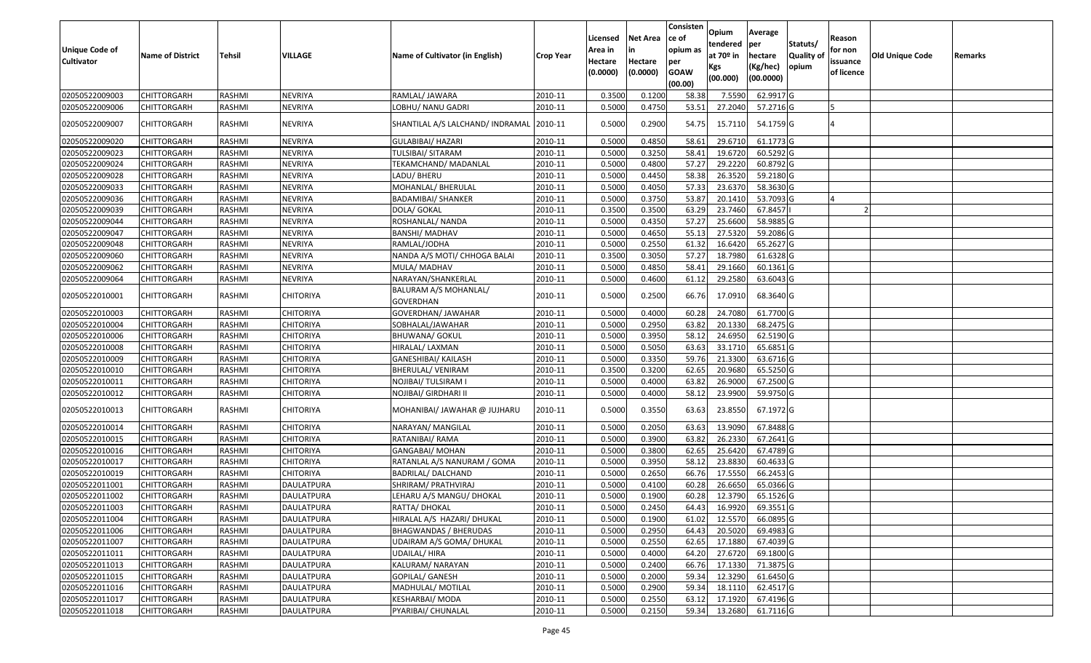| <b>Unique Code of</b><br><b>Cultivator</b> | <b>Name of District</b> | Tehsil        | VILLAGE           | Name of Cultivator (in English)           | <b>Crop Year</b> | Licensed<br>Area in<br>Hectare<br>(0.0000) | Net Area<br>Hectare<br>(0.0000) | Consisten<br>ce of<br>opium as<br>per<br><b>GOAW</b><br>(00.00) | Opium<br>tendered<br>at 70 <sup>o</sup> in<br>Kgs<br>(00.000) | Average<br>per<br>hectare<br>(Kg/hec)<br>(00.0000) | Statuts/<br><b>Quality of</b><br>opium | Reason<br>for non<br>issuance<br>of licence | <b>Old Unique Code</b> | Remarks |
|--------------------------------------------|-------------------------|---------------|-------------------|-------------------------------------------|------------------|--------------------------------------------|---------------------------------|-----------------------------------------------------------------|---------------------------------------------------------------|----------------------------------------------------|----------------------------------------|---------------------------------------------|------------------------|---------|
| 02050522009003                             | <b>CHITTORGARH</b>      | RASHMI        | NEVRIYA           | RAMLAL/ JAWARA                            | 2010-11          | 0.3500                                     | 0.1200                          | 58.38                                                           | 7.5590                                                        | 62.9917 G                                          |                                        |                                             |                        |         |
| 02050522009006                             | CHITTORGARH             | RASHMI        | <b>NEVRIYA</b>    | LOBHU/ NANU GADRI                         | 2010-11          | 0.5000                                     | 0.4750                          | 53.51                                                           | 27.2040                                                       | 57.2716 G                                          |                                        |                                             |                        |         |
| 02050522009007                             | CHITTORGARH             | RASHMI        | NEVRIYA           | SHANTILAL A/S LALCHAND/ INDRAMAL 2010-11  |                  | 0.5000                                     | 0.2900                          | 54.75                                                           | 15.7110                                                       | 54.1759 G                                          |                                        |                                             |                        |         |
| 02050522009020                             | <b>CHITTORGARH</b>      | <b>RASHMI</b> | NEVRIYA           | <b>GULABIBAI/ HAZARI</b>                  | 2010-11          | 0.5000                                     | 0.4850                          | 58.61                                                           | 29.6710                                                       | 61.1773 G                                          |                                        |                                             |                        |         |
| 02050522009023                             | CHITTORGARH             | RASHMI        | NEVRIYA           | TULSIBAI/ SITARAM                         | 2010-11          | 0.5000                                     | 0.3250                          | 58.41                                                           | 19.6720                                                       | 60.5292 G                                          |                                        |                                             |                        |         |
| 02050522009024                             | CHITTORGARH             | RASHMI        | NEVRIYA           | TEKAMCHAND/ MADANLAL                      | 2010-11          | 0.5000                                     | 0.4800                          | 57.27                                                           | 29.2220                                                       | 60.8792 G                                          |                                        |                                             |                        |         |
| 02050522009028                             | <b>CHITTORGARH</b>      | <b>RASHMI</b> | NEVRIYA           | LADU/ BHERU                               | 2010-11          | 0.5000                                     | 0.4450                          | 58.38                                                           | 26.3520                                                       | 59.2180 G                                          |                                        |                                             |                        |         |
| 02050522009033                             | <b>CHITTORGARH</b>      | RASHMI        | <b>NEVRIYA</b>    | MOHANLAL/ BHERULAL                        | 2010-11          | 0.5000                                     | 0.4050                          | 57.33                                                           | 23.6370                                                       | 58.3630 G                                          |                                        |                                             |                        |         |
| 02050522009036                             | CHITTORGARH             | RASHMI        | NEVRIYA           | <b>BADAMIBAI/ SHANKER</b>                 | 2010-11          | 0.5000                                     | 0.3750                          | 53.87                                                           | 20.1410                                                       | 53.7093 G                                          |                                        |                                             |                        |         |
| 02050522009039                             | CHITTORGARH             | RASHMI        | <b>NEVRIYA</b>    | DOLA/ GOKAL                               | 2010-11          | 0.3500                                     | 0.3500                          | 63.29                                                           | 23.7460                                                       | 67.8457                                            |                                        |                                             |                        |         |
| 02050522009044                             | <b>CHITTORGARH</b>      | <b>RASHMI</b> | <b>NEVRIYA</b>    | ROSHANLAL/ NANDA                          | 2010-11          | 0.5000                                     | 0.4350                          | 57.2                                                            | 25.6600                                                       | 58.9885 G                                          |                                        |                                             |                        |         |
| 02050522009047                             | <b>CHITTORGARH</b>      | RASHMI        | <b>NEVRIYA</b>    | <b>BANSHI/ MADHAV</b>                     | 2010-11          | 0.5000                                     | 0.4650                          | 55.13                                                           | 27.5320                                                       | 59.2086 G                                          |                                        |                                             |                        |         |
| 02050522009048                             | CHITTORGARH             | RASHMI        | <b>NEVRIYA</b>    | RAMLAL/JODHA                              | 2010-11          | 0.5000                                     | 0.2550                          | 61.32                                                           | 16.6420                                                       | 65.2627 G                                          |                                        |                                             |                        |         |
| 02050522009060                             | CHITTORGARH             | RASHMI        | NEVRIYA           | NANDA A/S MOTI/ CHHOGA BALAI              | 2010-11          | 0.3500                                     | 0.3050                          | 57.27                                                           | 18.7980                                                       | 61.6328 G                                          |                                        |                                             |                        |         |
| 02050522009062                             | CHITTORGARH             | RASHMI        | NEVRIYA           | MULA/ MADHAV                              | 2010-11          | 0.5000                                     | 0.4850                          | 58.4                                                            | 29.1660                                                       | 60.1361 G                                          |                                        |                                             |                        |         |
| 02050522009064                             | CHITTORGARH             | RASHMI        | <b>NEVRIYA</b>    | NARAYAN/SHANKERLAL                        | 2010-11          | 0.5000                                     | 0.4600                          | 61.12                                                           | 29.2580                                                       | 63.6043 G                                          |                                        |                                             |                        |         |
| 02050522010001                             | CHITTORGARH             | RASHMI        | CHITORIYA         | BALURAM A/S MOHANLAL/<br><b>GOVERDHAN</b> | 2010-11          | 0.5000                                     | 0.2500                          | 66.76                                                           | 17.0910                                                       | 68.3640 G                                          |                                        |                                             |                        |         |
| 02050522010003                             | <b>CHITTORGARH</b>      | RASHMI        | CHITORIYA         | GOVERDHAN/ JAWAHAR                        | 2010-11          | 0.5000                                     | 0.4000                          | 60.28                                                           | 24.7080                                                       | 61.7700 G                                          |                                        |                                             |                        |         |
| 02050522010004                             | CHITTORGARH             | RASHMI        | <b>CHITORIYA</b>  | SOBHALAL/JAWAHAR                          | 2010-11          | 0.5000                                     | 0.2950                          | 63.82                                                           | 20.1330                                                       | 68.2475 G                                          |                                        |                                             |                        |         |
| 02050522010006                             | CHITTORGARH             | RASHMI        | CHITORIYA         | <b>BHUWANA/ GOKUL</b>                     | 2010-11          | 0.5000                                     | 0.3950                          | 58.12                                                           | 24.6950                                                       | 62.5190 G                                          |                                        |                                             |                        |         |
| 02050522010008                             | CHITTORGARH             | RASHMI        | CHITORIYA         | HIRALAL/ LAXMAN                           | 2010-11          | 0.5000                                     | 0.5050                          | 63.63                                                           | 33.1710                                                       | 65.6851 G                                          |                                        |                                             |                        |         |
| 02050522010009                             | CHITTORGARH             | RASHMI        | CHITORIYA         | GANESHIBAI/ KAILASH                       | 2010-11          | 0.5000                                     | 0.3350                          | 59.76                                                           | 21.3300                                                       | 63.6716 G                                          |                                        |                                             |                        |         |
| 02050522010010                             | CHITTORGARH             | RASHMI        | <b>CHITORIYA</b>  | BHERULAL/ VENIRAM                         | 2010-11          | 0.3500                                     | 0.3200                          | 62.65                                                           | 20.9680                                                       | 65.5250 G                                          |                                        |                                             |                        |         |
| 02050522010011                             | CHITTORGARH             | RASHMI        | CHITORIYA         | NOJIBAI/ TULSIRAM I                       | 2010-11          | 0.5000                                     | 0.4000                          | 63.82                                                           | 26.9000                                                       | 67.2500 G                                          |                                        |                                             |                        |         |
| 02050522010012                             | CHITTORGARH             | RASHMI        | CHITORIYA         | NOJIBAI/ GIRDHARI II                      | 2010-11          | 0.5000                                     | 0.4000                          | 58.12                                                           | 23.9900                                                       | 59.9750 G                                          |                                        |                                             |                        |         |
| 02050522010013                             | CHITTORGARH             | RASHMI        | CHITORIYA         | MOHANIBAI/ JAWAHAR @ JUJHARU              | 2010-11          | 0.5000                                     | 0.3550                          | 63.63                                                           | 23.8550                                                       | 67.1972 G                                          |                                        |                                             |                        |         |
| 02050522010014                             | <b>CHITTORGARH</b>      | RASHMI        | <b>CHITORIYA</b>  | NARAYAN/ MANGILAL                         | 2010-11          | 0.5000                                     | 0.2050                          | 63.63                                                           | 13.9090                                                       | 67.8488 G                                          |                                        |                                             |                        |         |
| 02050522010015                             | CHITTORGARH             | RASHMI        | CHITORIYA         | RATANIBAI/ RAMA                           | 2010-11          | 0.5000                                     | 0.3900                          | 63.82                                                           | 26.2330                                                       | 67.2641 G                                          |                                        |                                             |                        |         |
| 02050522010016                             | CHITTORGARH             | RASHMI        | CHITORIYA         | GANGABAI/ MOHAN                           | 2010-11          | 0.5000                                     | 0.3800                          | 62.65                                                           | 25.6420                                                       | 67.4789 G                                          |                                        |                                             |                        |         |
| 02050522010017                             | <b>CHITTORGARH</b>      | RASHMI        | CHITORIYA         | RATANLAL A/S NANURAM / GOMA               | 2010-11          | 0.5000                                     | 0.3950                          | 58.12                                                           | 23.8830                                                       | 60.4633 G                                          |                                        |                                             |                        |         |
| 02050522010019                             | <b>CHITTORGARH</b>      | RASHMI        | <b>CHITORIYA</b>  | <b>BADRILAL/ DALCHAND</b>                 | 2010-11          | 0.5000                                     | 0.2650                          | 66.76                                                           | 17.5550                                                       | 66.2453 G                                          |                                        |                                             |                        |         |
| 02050522011001                             | CHITTORGARH             | RASHMI        | DAULATPURA        | SHRIRAM/ PRATHVIRAJ                       | 2010-11          | 0.5000                                     | 0.4100                          | 60.28                                                           | 26.6650                                                       | 65.0366 G                                          |                                        |                                             |                        |         |
| 02050522011002                             | <b>CHITTORGARH</b>      | RASHMI        | <b>DAULATPURA</b> | LEHARU A/S MANGU/ DHOKAL                  | 2010-11          | 0.5000                                     | 0.1900                          | 60.28                                                           | 12.3790                                                       | 65.1526 G                                          |                                        |                                             |                        |         |
| 02050522011003                             | <b>CHITTORGARH</b>      | RASHMI        | DAULATPURA        | RATTA/ DHOKAL                             | 2010-11          | 0.5000                                     | 0.2450                          | 64.43                                                           | 16.9920                                                       | 69.3551 G                                          |                                        |                                             |                        |         |
| 02050522011004                             | <b>CHITTORGARH</b>      | RASHMI        | <b>DAULATPURA</b> | HIRALAL A/S HAZARI/ DHUKAL                | 2010-11          | 0.5000                                     | 0.1900                          | 61.02                                                           | 12.5570                                                       | 66.0895 G                                          |                                        |                                             |                        |         |
| 02050522011006                             | <b>CHITTORGARH</b>      | RASHMI        | DAULATPURA        | <b>BHAGWANDAS / BHERUDAS</b>              | 2010-11          | 0.5000                                     | 0.2950                          | 64.43                                                           | 20.5020                                                       | 69.4983 G                                          |                                        |                                             |                        |         |
| 02050522011007                             | <b>CHITTORGARH</b>      | RASHMI        | <b>DAULATPURA</b> | UDAIRAM A/S GOMA/ DHUKAL                  | 2010-11          | 0.5000                                     | 0.2550                          | 62.65                                                           | 17.1880                                                       | 67.4039 G                                          |                                        |                                             |                        |         |
| 02050522011011                             | <b>CHITTORGARH</b>      | RASHMI        | <b>DAULATPURA</b> | UDAILAL/HIRA                              | 2010-11          | 0.5000                                     | 0.4000                          | 64.20                                                           | 27.6720                                                       | 69.1800 G                                          |                                        |                                             |                        |         |
| 02050522011013                             | <b>CHITTORGARH</b>      | RASHMI        | <b>DAULATPURA</b> | KALURAM/ NARAYAN                          | 2010-11          | 0.5000                                     | 0.2400                          | 66.76                                                           | 17.1330                                                       | 71.3875 G                                          |                                        |                                             |                        |         |
| 02050522011015                             | <b>CHITTORGARH</b>      | RASHMI        | DAULATPURA        | GOPILAL/ GANESH                           | 2010-11          | 0.5000                                     | 0.2000                          | 59.34                                                           | 12.3290                                                       | 61.6450 G                                          |                                        |                                             |                        |         |
| 02050522011016                             | <b>CHITTORGARH</b>      | RASHMI        | <b>DAULATPURA</b> | MADHULAL/ MOTILAL                         | 2010-11          | 0.5000                                     | 0.2900                          | 59.34                                                           | 18.1110                                                       | 62.4517 G                                          |                                        |                                             |                        |         |
| 02050522011017                             | <b>CHITTORGARH</b>      | RASHMI        | DAULATPURA        | KESHARBAI/ MODA                           | 2010-11          | 0.5000                                     | 0.2550                          | 63.12                                                           | 17.1920                                                       | 67.4196 G                                          |                                        |                                             |                        |         |
| 02050522011018                             | <b>CHITTORGARH</b>      | RASHMI        | DAULATPURA        | PYARIBAI/ CHUNALAL                        | 2010-11          | 0.5000                                     | 0.2150                          | 59.34                                                           |                                                               | 13.2680 61.7116 G                                  |                                        |                                             |                        |         |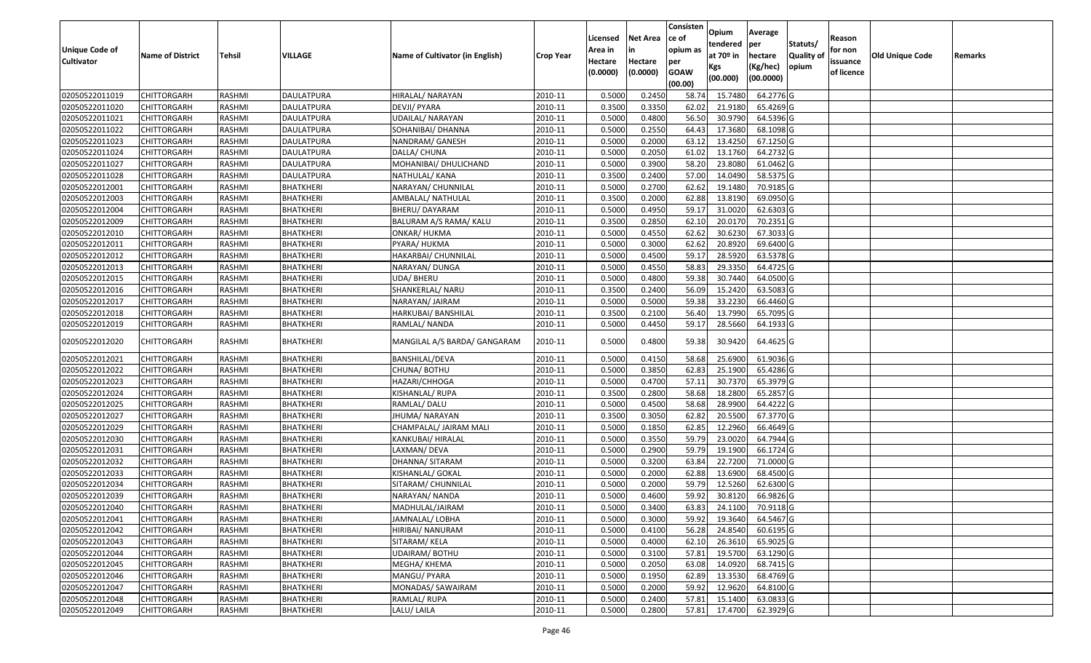| <b>Unique Code of</b> | <b>Name of District</b> | Tehsil        | VILLAGE           | Name of Cultivator (in English) | <b>Crop Year</b> | Licensed<br>Area in | <b>Net Area</b><br>in | Consisten<br>lce of<br>opium as | Opium<br>tendered<br>at 70º in | Average<br>per<br>hectare | Statuts/<br><b>Quality o</b> | Reason<br>for non      | Old Unique Code | Remarks |
|-----------------------|-------------------------|---------------|-------------------|---------------------------------|------------------|---------------------|-----------------------|---------------------------------|--------------------------------|---------------------------|------------------------------|------------------------|-----------------|---------|
| <b>Cultivator</b>     |                         |               |                   |                                 |                  | Hectare<br>(0.0000) | Hectare<br>(0.0000)   | per<br><b>GOAW</b><br>(00.00)   | Kgs<br>(00.000)                | (Kg/hec)<br>(00.0000)     | opium                        | issuance<br>of licence |                 |         |
| 02050522011019        | <b>CHITTORGARH</b>      | RASHMI        | <b>DAULATPURA</b> | HIRALAL/ NARAYAN                | 2010-11          | 0.5000              | 0.2450                | 58.74                           | 15.7480                        | 64.2776 G                 |                              |                        |                 |         |
| 02050522011020        | <b>CHITTORGARH</b>      | RASHMI        | <b>DAULATPURA</b> | DEVJI/ PYARA                    | 2010-11          | 0.3500              | 0.3350                | 62.02                           | 21.9180                        | 65.4269 G                 |                              |                        |                 |         |
| 02050522011021        | <b>CHITTORGARH</b>      | RASHMI        | DAULATPURA        | UDAILAL/NARAYAN                 | 2010-11          | 0.5000              | 0.4800                | 56.50                           | 30.9790                        | 64.5396 G                 |                              |                        |                 |         |
| 02050522011022        | <b>CHITTORGARH</b>      | <b>RASHMI</b> | <b>DAULATPURA</b> | SOHANIBAI/ DHANNA               | 2010-11          | 0.5000              | 0.2550                | 64.43                           | 17.3680                        | 68.1098 G                 |                              |                        |                 |         |
| 02050522011023        | <b>CHITTORGARH</b>      | RASHMI        | <b>DAULATPURA</b> | NANDRAM/ GANESH                 | 2010-11          | 0.5000              | 0.2000                | 63.12                           | 13.4250                        | 67.1250 G                 |                              |                        |                 |         |
| 02050522011024        | <b>CHITTORGARH</b>      | RASHMI        | DAULATPURA        | DALLA/ CHUNA                    | 2010-11          | 0.5000              | 0.2050                | 61.02                           | 13.1760                        | 64.2732 G                 |                              |                        |                 |         |
| 02050522011027        | CHITTORGARH             | RASHMI        | DAULATPURA        | MOHANIBAI/ DHULICHAND           | 2010-11          | 0.5000              | 0.3900                | 58.20                           | 23.8080                        | 61.0462 G                 |                              |                        |                 |         |
| 02050522011028        | <b>CHITTORGARH</b>      | <b>RASHMI</b> | DAULATPURA        | NATHULAL/ KANA                  | 2010-11          | 0.3500              | 0.2400                | 57.00                           | 14.0490                        | 58.5375 G                 |                              |                        |                 |         |
| 02050522012001        | <b>CHITTORGARH</b>      | <b>RASHMI</b> | <b>BHATKHERI</b>  | NARAYAN/ CHUNNILAL              | 2010-11          | 0.5000              | 0.2700                | 62.62                           | 19.1480                        | 70.9185 G                 |                              |                        |                 |         |
| 02050522012003        | <b>CHITTORGARH</b>      | RASHMI        | <b>BHATKHERI</b>  | AMBALAL/ NATHULAL               | 2010-11          | 0.3500              | 0.2000                | 62.88                           | 13.8190                        | 69.0950 G                 |                              |                        |                 |         |
| 02050522012004        | <b>CHITTORGARH</b>      | RASHMI        | <b>BHATKHERI</b>  | BHERU/DAYARAM                   | 2010-11          | 0.5000              | 0.4950                | 59.17                           | 31.0020                        | 62.6303 G                 |                              |                        |                 |         |
| 02050522012009        | <b>CHITTORGARH</b>      | RASHMI        | <b>BHATKHERI</b>  | BALURAM A/S RAMA/ KALU          | 2010-11          | 0.3500              | 0.2850                | 62.10                           | 20.0170                        | 70.2351 G                 |                              |                        |                 |         |
| 02050522012010        | <b>CHITTORGARH</b>      | RASHMI        | <b>BHATKHERI</b>  | ONKAR/ HUKMA                    | 2010-11          | 0.5000              | 0.4550                | 62.62                           | 30.6230                        | 67.3033 G                 |                              |                        |                 |         |
| 02050522012011        | <b>CHITTORGARH</b>      | RASHMI        | BHATKHERI         | PYARA/ HUKMA                    | 2010-11          | 0.5000              | 0.3000                | 62.62                           | 20.8920                        | 69.6400 G                 |                              |                        |                 |         |
| 02050522012012        | CHITTORGARH             | RASHMI        | <b>BHATKHERI</b>  | HAKARBAI/ CHUNNILAL             | 2010-11          | 0.5000              | 0.4500                | 59.17                           | 28.5920                        | 63.5378 G                 |                              |                        |                 |         |
| 02050522012013        | <b>CHITTORGARH</b>      | <b>RASHMI</b> | <b>BHATKHERI</b>  | NARAYAN/ DUNGA                  | 2010-11          | 0.5000              | 0.4550                | 58.83                           | 29.3350                        | 64.4725 G                 |                              |                        |                 |         |
| 02050522012015        | <b>CHITTORGARH</b>      | <b>RASHMI</b> | <b>BHATKHERI</b>  | UDA/ BHERU                      | 2010-11          | 0.5000              | 0.4800                | 59.38                           | 30.7440                        | 64.0500 G                 |                              |                        |                 |         |
| 02050522012016        | <b>CHITTORGARH</b>      | RASHMI        | BHATKHERI         | SHANKERLAL/ NARU                | 2010-11          | 0.3500              | 0.2400                | 56.09                           | 15.2420                        | 63.5083 G                 |                              |                        |                 |         |
| 02050522012017        | <b>CHITTORGARH</b>      | RASHMI        | <b>BHATKHERI</b>  | NARAYAN/ JAIRAM                 | 2010-11          | 0.5000              | 0.5000                | 59.38                           | 33.2230                        | 66.4460 G                 |                              |                        |                 |         |
| 02050522012018        | <b>CHITTORGARH</b>      | RASHMI        | <b>BHATKHERI</b>  | HARKUBAI/ BANSHILAL             | 2010-11          | 0.3500              | 0.2100                | 56.40                           | 13.7990                        | 65.7095 G                 |                              |                        |                 |         |
| 02050522012019        | <b>CHITTORGARH</b>      | RASHMI        | <b>BHATKHERI</b>  | RAMLAL/ NANDA                   | 2010-11          | 0.5000              | 0.4450                | 59.17                           | 28.5660                        | 64.1933 G                 |                              |                        |                 |         |
| 02050522012020        | <b>CHITTORGARH</b>      | RASHMI        | BHATKHERI         | MANGILAL A/S BARDA/ GANGARAM    | 2010-11          | 0.5000              | 0.4800                | 59.38                           | 30.9420                        | 64.4625 G                 |                              |                        |                 |         |
| 02050522012021        | <b>CHITTORGARH</b>      | RASHMI        | <b>BHATKHERI</b>  | BANSHILAL/DEVA                  | 2010-11          | 0.5000              | 0.4150                | 58.68                           | 25.6900                        | 61.9036 G                 |                              |                        |                 |         |
| 02050522012022        | <b>CHITTORGARH</b>      | RASHMI        | <b>BHATKHERI</b>  | CHUNA/ BOTHU                    | 2010-11          | 0.5000              | 0.3850                | 62.83                           | 25.1900                        | 65.4286 G                 |                              |                        |                 |         |
| 02050522012023        | <b>CHITTORGARH</b>      | RASHMI        | <b>BHATKHERI</b>  | HAZARI/CHHOGA                   | 2010-11          | 0.5000              | 0.4700                | 57.11                           | 30.7370                        | 65.3979 G                 |                              |                        |                 |         |
| 02050522012024        | <b>CHITTORGARH</b>      | RASHMI        | <b>BHATKHERI</b>  | KISHANLAL/ RUPA                 | 2010-11          | 0.3500              | 0.2800                | 58.68                           | 18.2800                        | 65.2857 G                 |                              |                        |                 |         |
| 02050522012025        | <b>CHITTORGARH</b>      | RASHMI        | <b>BHATKHERI</b>  | RAMLAL/ DALU                    | 2010-11          | 0.5000              | 0.4500                | 58.68                           | 28.9900                        | 64.4222 G                 |                              |                        |                 |         |
| 02050522012027        | <b>CHITTORGARH</b>      | <b>RASHMI</b> | <b>BHATKHERI</b>  | JHUMA/ NARAYAN                  | 2010-11          | 0.3500              | 0.3050                | 62.82                           | 20.5500                        | 67.3770 G                 |                              |                        |                 |         |
| 02050522012029        | <b>CHITTORGARH</b>      | RASHMI        | <b>BHATKHERI</b>  | CHAMPALAL/ JAIRAM MALI          | 2010-11          | 0.5000              | 0.1850                | 62.85                           | 12.2960                        | 66.4649 G                 |                              |                        |                 |         |
| 02050522012030        | <b>CHITTORGARH</b>      | RASHMI        | <b>BHATKHERI</b>  | KANKUBAI/ HIRALAL               | 2010-11          | 0.5000              | 0.3550                | 59.79                           | 23.0020                        | 64.7944 G                 |                              |                        |                 |         |
| 02050522012031        | CHITTORGARH             | RASHMI        | BHATKHERI         | LAXMAN/ DEVA                    | 2010-11          | 0.5000              | 0.2900                | 59.79                           | 19.1900                        | 66.1724 G                 |                              |                        |                 |         |
| 02050522012032        | <b>CHITTORGARH</b>      | RASHMI        | <b>BHATKHERI</b>  | DHANNA/ SITARAM                 | 2010-11          | 0.5000              | 0.3200                | 63.84                           | 22.7200                        | 71.0000 G                 |                              |                        |                 |         |
| 02050522012033        | <b>CHITTORGARH</b>      | RASHMI        | <b>BHATKHERI</b>  | KISHANLAL/ GOKAL                | 2010-11          | 0.5000              | 0.2000                | 62.88                           | 13.6900                        | 68.4500 G                 |                              |                        |                 |         |
| 02050522012034        | <b>CHITTORGARH</b>      | RASHMI        | BHATKHERI         | SITARAM/ CHUNNILAL              | 2010-11          | 0.5000              | 0.2000                | 59.79                           | 12.5260                        | 62.6300 G                 |                              |                        |                 |         |
| 02050522012039        | <b>CHITTORGARH</b>      | RASHMI        | <b>BHATKHERI</b>  | NARAYAN/ NANDA                  | 2010-11          | 0.5000              | 0.4600                | 59.92                           | 30.8120                        | 66.9826 G                 |                              |                        |                 |         |
| 02050522012040        | <b>CHITTORGARH</b>      | RASHMI        | BHATKHERI         | MADHULAL/JAIRAM                 | 2010-11          | 0.5000              | 0.3400                |                                 | 63.83 24.1100                  | 70.9118 G                 |                              |                        |                 |         |
| 02050522012041        | <b>CHITTORGARH</b>      | RASHMI        | <b>BHATKHERI</b>  | JAMNALAL/ LOBHA                 | 2010-11          | 0.5000              | 0.3000                | 59.92                           | 19.3640                        | 64.5467 G                 |                              |                        |                 |         |
| 02050522012042        | <b>CHITTORGARH</b>      | RASHMI        | <b>BHATKHERI</b>  | HIRIBAI/ NANURAM                | 2010-11          | 0.5000              | 0.4100                | 56.28                           | 24.8540                        | 60.6195 G                 |                              |                        |                 |         |
| 02050522012043        | <b>CHITTORGARH</b>      | RASHMI        | <b>BHATKHERI</b>  | SITARAM/KELA                    | 2010-11          | 0.5000              | 0.4000                | 62.10                           | 26.3610                        | 65.9025 G                 |                              |                        |                 |         |
| 02050522012044        | <b>CHITTORGARH</b>      | RASHMI        | <b>BHATKHERI</b>  | UDAIRAM/ BOTHU                  | 2010-11          | 0.5000              | 0.3100                | 57.81                           | 19.5700                        | 63.1290 G                 |                              |                        |                 |         |
| 02050522012045        | <b>CHITTORGARH</b>      | RASHMI        | <b>BHATKHERI</b>  | MEGHA/ KHEMA                    | 2010-11          | 0.5000              | 0.2050                | 63.08                           | 14.0920                        | 68.7415 G                 |                              |                        |                 |         |
| 02050522012046        | <b>CHITTORGARH</b>      | RASHMI        | <b>BHATKHERI</b>  | MANGU/ PYARA                    | 2010-11          | 0.5000              | 0.1950                | 62.89                           | 13.3530                        | 68.4769 G                 |                              |                        |                 |         |
| 02050522012047        | <b>CHITTORGARH</b>      | RASHMI        | <b>BHATKHERI</b>  | MONADAS/ SAWAIRAM               | 2010-11          | 0.5000              | 0.2000                | 59.92                           | 12.9620                        | 64.8100 G                 |                              |                        |                 |         |
| 02050522012048        | <b>CHITTORGARH</b>      | RASHMI        | <b>BHATKHERI</b>  | RAMLAL/RUPA                     | 2010-11          | 0.5000              | 0.2400                | 57.81                           | 15.1400                        | 63.0833 G                 |                              |                        |                 |         |
| 02050522012049        | <b>CHITTORGARH</b>      | RASHMI        | <b>BHATKHERI</b>  | LALU/ LAILA                     | 2010-11          | 0.5000              | 0.2800                | 57.81                           | 17.4700                        | 62.3929 G                 |                              |                        |                 |         |
|                       |                         |               |                   |                                 |                  |                     |                       |                                 |                                |                           |                              |                        |                 |         |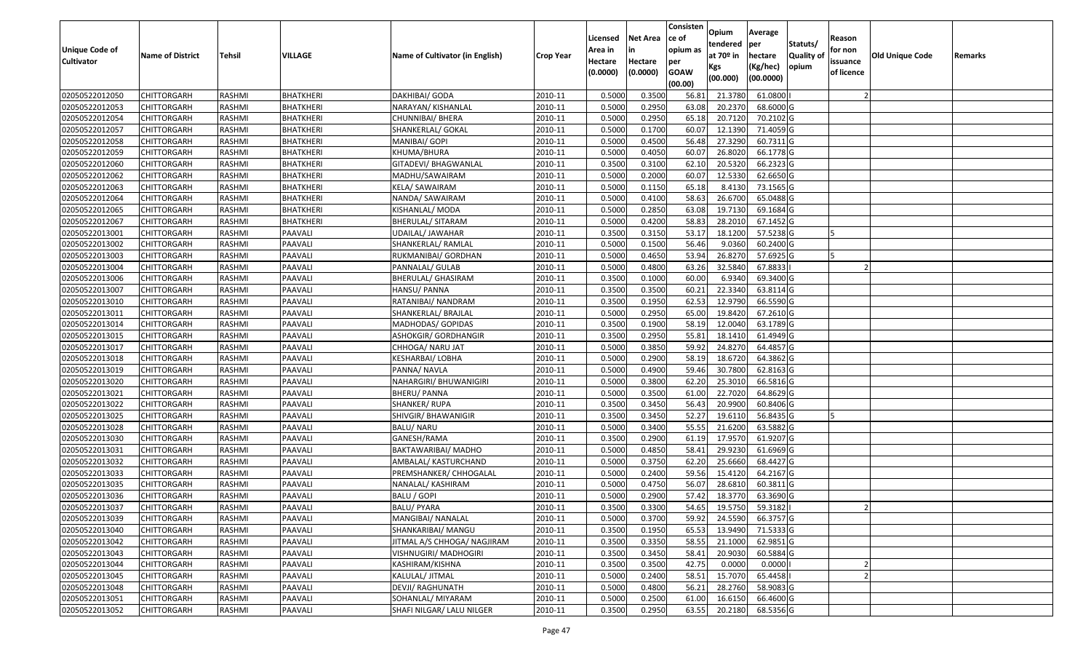|                                     |                         |               |                  |                                 |                  |                    |                       | Consisten<br>ce of | Opium         | Average   |                  |                   |                        |         |
|-------------------------------------|-------------------------|---------------|------------------|---------------------------------|------------------|--------------------|-----------------------|--------------------|---------------|-----------|------------------|-------------------|------------------------|---------|
|                                     |                         |               |                  |                                 |                  | Licensed           | <b>Net Area</b><br>in | opium as           | tendered      | per       | Statuts/         | Reason<br>for non |                        |         |
| Unique Code of<br><b>Cultivator</b> | <b>Name of District</b> | <b>Tehsil</b> | VILLAGE          | Name of Cultivator (in English) | <b>Crop Year</b> | Area in<br>Hectare | Hectare               |                    | at $70°$ in   | hectare   | <b>Quality o</b> | issuance          | <b>Old Unique Code</b> | Remarks |
|                                     |                         |               |                  |                                 |                  | (0.0000)           | (0.0000)              | per<br><b>GOAW</b> | Kgs           | (Kg/hec)  | opium            | of licence        |                        |         |
|                                     |                         |               |                  |                                 |                  |                    |                       | (00.00)            | (00.000)      | (00.0000) |                  |                   |                        |         |
| 02050522012050                      | CHITTORGARH             | RASHMI        | <b>BHATKHERI</b> | DAKHIBAI/ GODA                  | 2010-11          | 0.5000             | 0.3500                | 56.81              | 21.378        | 61.0800   |                  |                   |                        |         |
| 02050522012053                      | CHITTORGARH             | RASHMI        | <b>BHATKHERI</b> | NARAYAN/ KISHANLAL              | 2010-11          | 0.5000             | 0.2950                | 63.08              | 20.2370       | 68.6000 G |                  |                   |                        |         |
| 02050522012054                      | CHITTORGARH             | RASHMI        | BHATKHERI        | CHUNNIBAI/ BHERA                | 2010-11          | 0.5000             | 0.2950                | 65.18              | 20.7120       | 70.2102G  |                  |                   |                        |         |
| 02050522012057                      | <b>CHITTORGARH</b>      | RASHMI        | <b>BHATKHERI</b> | SHANKERLAL/ GOKAL               | 2010-11          | 0.5000             | 0.1700                | 60.07              | 12.1390       | 71.4059 G |                  |                   |                        |         |
| 02050522012058                      | CHITTORGARH             | RASHMI        | BHATKHERI        | MANIBAI/ GOPI                   | 2010-11          | 0.5000             | 0.4500                | 56.48              | 27.3290       | 60.7311 G |                  |                   |                        |         |
| 02050522012059                      | <b>CHITTORGARH</b>      | RASHMI        | <b>BHATKHERI</b> | KHUMA/BHURA                     | 2010-11          | 0.5000             | 0.4050                | 60.07              | 26.8020       | 66.1778 G |                  |                   |                        |         |
| 02050522012060                      | CHITTORGARH             | RASHMI        | BHATKHERI        | GITADEVI/ BHAGWANLAL            | 2010-11          | 0.3500             | 0.3100                | 62.10              | 20.5320       | 66.2323 G |                  |                   |                        |         |
| 02050522012062                      | CHITTORGARH             | <b>RASHMI</b> | <b>BHATKHERI</b> | MADHU/SAWAIRAM                  | 2010-11          | 0.5000             | 0.2000                | 60.07              | 12.5330       | 62.6650 G |                  |                   |                        |         |
| 02050522012063                      | CHITTORGARH             | RASHMI        | <b>BHATKHERI</b> | <b>KELA/ SAWAIRAM</b>           | 2010-11          | 0.5000             | 0.1150                | 65.18              | 8.4130        | 73.1565 G |                  |                   |                        |         |
| 02050522012064                      | CHITTORGARH             | RASHMI        | <b>BHATKHERI</b> | NANDA/ SAWAIRAM                 | 2010-11          | 0.5000             | 0.4100                | 58.63              | 26.6700       | 65.0488 G |                  |                   |                        |         |
| 02050522012065                      | CHITTORGARH             | RASHMI        | <b>BHATKHERI</b> | KISHANLAL/ MODA                 | 2010-11          | 0.5000             | 0.2850                | 63.08              | 19.7130       | 69.1684 G |                  |                   |                        |         |
| 02050522012067                      | <b>CHITTORGARH</b>      | RASHMI        | <b>BHATKHERI</b> | <b>BHERULAL/ SITARAM</b>        | 2010-11          | 0.5000             | 0.4200                | 58.83              | 28.2010       | 67.1452 G |                  |                   |                        |         |
| 02050522013001                      | <b>CHITTORGARH</b>      | RASHMI        | PAAVALI          | UDAILAL/ JAWAHAR                | 2010-11          | 0.3500             | 0.3150                | 53.17              | 18.1200       | 57.5238 G |                  |                   |                        |         |
| 02050522013002                      | <b>CHITTORGARH</b>      | RASHMI        | PAAVALI          | SHANKERLAL/ RAMLAL              | 2010-11          | 0.5000             | 0.1500                | 56.46              | 9.0360        | 60.2400 G |                  |                   |                        |         |
| 02050522013003                      | <b>CHITTORGARH</b>      | RASHMI        | PAAVALI          | RUKMANIBAI/ GORDHAN             | 2010-11          | 0.5000             | 0.4650                | 53.94              | 26.8270       | 57.6925 G |                  |                   |                        |         |
| 02050522013004                      | CHITTORGARH             | RASHMI        | PAAVALI          | PANNALAL/ GULAB                 | 2010-11          | 0.5000             | 0.4800                | 63.26              | 32.5840       | 67.8833   |                  |                   |                        |         |
| 02050522013006                      | CHITTORGARH             | RASHMI        | PAAVALI          | BHERULAL/ GHASIRAM              | 2010-11          | 0.3500             | 0.1000                | 60.00              | 6.9340        | 69.3400 G |                  |                   |                        |         |
| 02050522013007                      | CHITTORGARH             | RASHMI        | PAAVALI          | HANSU/ PANNA                    | 2010-11          | 0.3500             | 0.3500                | 60.21              | 22.3340       | 63.8114 G |                  |                   |                        |         |
| 02050522013010                      | CHITTORGARH             | RASHMI        | PAAVALI          | RATANIBAI/ NANDRAM              | 2010-11          | 0.3500             | 0.1950                | 62.53              | 12.9790       | 66.5590 G |                  |                   |                        |         |
| 02050522013011                      | CHITTORGARH             | RASHMI        | PAAVALI          | SHANKERLAL/ BRAJLAL             | 2010-11          | 0.5000             | 0.2950                | 65.00              | 19.8420       | 67.2610 G |                  |                   |                        |         |
| 02050522013014                      | CHITTORGARH             | RASHMI        | PAAVALI          | MADHODAS/ GOPIDAS               | 2010-11          | 0.3500             | 0.1900                | 58.19              | 12.0040       | 63.1789 G |                  |                   |                        |         |
| 02050522013015                      | CHITTORGARH             | RASHMI        | PAAVALI          | ASHOKGIR/ GORDHANGIR            | 2010-11          | 0.3500             | 0.2950                | 55.8               | 18.141        | 61.4949 G |                  |                   |                        |         |
| 02050522013017                      | CHITTORGARH             | RASHMI        | PAAVALI          | CHHOGA/ NARU JAT                | 2010-11          | 0.5000             | 0.3850                | 59.92              | 24.8270       | 64.4857 G |                  |                   |                        |         |
| 02050522013018                      | <b>CHITTORGARH</b>      | RASHMI        | PAAVALI          | KESHARBAI/ LOBHA                | 2010-11          | 0.5000             | 0.2900                | 58.19              | 18.6720       | 64.3862 G |                  |                   |                        |         |
| 02050522013019                      | <b>CHITTORGARH</b>      | RASHMI        | PAAVALI          | PANNA/ NAVLA                    | 2010-11          | 0.5000             | 0.4900                | 59.46              | 30.7800       | 62.8163 G |                  |                   |                        |         |
| 02050522013020                      | CHITTORGARH             | RASHMI        | PAAVALI          | NAHARGIRI/ BHUWANIGIRI          | 2010-11          | 0.5000             | 0.3800                | 62.20              | 25.3010       | 66.5816 G |                  |                   |                        |         |
| 02050522013021                      | CHITTORGARH             | RASHMI        | PAAVALI          | BHERU/ PANNA                    | 2010-11          | 0.5000             | 0.3500                | 61.00              | 22.7020       | 64.8629 G |                  |                   |                        |         |
| 02050522013022                      | CHITTORGARH             | RASHMI        | PAAVALI          | SHANKER/RUPA                    | 2010-11          | 0.3500             | 0.3450                | 56.43              | 20.9900       | 60.8406 G |                  |                   |                        |         |
| 02050522013025                      | CHITTORGARH             | RASHMI        | PAAVALI          | SHIVGIR/ BHAWANIGIR             | 2010-11          | 0.3500             | 0.3450                | 52.27              | 19.6110       | 56.8435 G |                  |                   |                        |         |
| 02050522013028                      | CHITTORGARH             | RASHMI        | PAAVALI          | <b>BALU/ NARU</b>               | 2010-11          | 0.5000             | 0.3400                | 55.55              | 21.6200       | 63.5882 G |                  |                   |                        |         |
| 02050522013030                      | CHITTORGARH             | RASHMI        | PAAVALI          | GANESH/RAMA                     | 2010-11          | 0.3500             | 0.2900                | 61.19              | 17.957        | 61.9207 G |                  |                   |                        |         |
| 02050522013031                      | CHITTORGARH             | RASHMI        | PAAVALI          | BAKTAWARIBAI/ MADHO             | 2010-11          | 0.5000             | 0.4850                | 58.4               | 29.9230       | 61.6969 G |                  |                   |                        |         |
| 02050522013032                      | CHITTORGARH             | <b>RASHMI</b> | PAAVALI          | AMBALAL/KASTURCHAND             | 2010-11          | 0.5000             | 0.3750                | 62.20              | 25.6660       | 68.4427 G |                  |                   |                        |         |
| 02050522013033                      | CHITTORGARH             | RASHMI        | PAAVALI          | PREMSHANKER/ CHHOGALAL          | 2010-11          | 0.5000             | 0.2400                | 59.56              | 15.4120       | 64.2167 G |                  |                   |                        |         |
| 02050522013035                      | CHITTORGARH             | RASHMI        | PAAVALI          | NANALAL/ KASHIRAM               | 2010-11          | 0.500              | 0.4750                | 56.07              | 28.681        | 60.3811G  |                  |                   |                        |         |
| 02050522013036                      | CHITTORGARH             | RASHMI        | PAAVALI          | BALU / GOPI                     | 2010-11          | 0.5000             | 0.2900                | 57.42              | 18.3770       | 63.3690 G |                  |                   |                        |         |
| 02050522013037                      | <b>CHITTORGARH</b>      | RASHMI        | PAAVALI          | <b>BALU/ PYARA</b>              | 2010-11          | 0.3500             | 0.3300                |                    | 54.65 19.5750 | 59.3182   |                  |                   |                        |         |
| 02050522013039                      | <b>CHITTORGARH</b>      | RASHMI        | PAAVALI          | MANGIBAI/ NANALAL               | 2010-11          | 0.5000             | 0.3700                | 59.92              | 24.5590       | 66.3757 G |                  |                   |                        |         |
| 02050522013040                      | <b>CHITTORGARH</b>      | RASHMI        | PAAVALI          | SHANKARIBAI/ MANGU              | 2010-11          | 0.3500             | 0.1950                | 65.53              | 13.9490       | 71.5333 G |                  |                   |                        |         |
| 02050522013042                      | <b>CHITTORGARH</b>      | RASHMI        | PAAVALI          | JITMAL A/S CHHOGA/ NAGJIRAM     | 2010-11          | 0.3500             | 0.3350                | 58.55              | 21.1000       | 62.9851 G |                  |                   |                        |         |
| 02050522013043                      | CHITTORGARH             | RASHMI        | PAAVALI          | VISHNUGIRI/ MADHOGIRI           | 2010-11          | 0.3500             | 0.3450                | 58.41              | 20.9030       | 60.5884 G |                  |                   |                        |         |
| 02050522013044                      | <b>CHITTORGARH</b>      | RASHMI        | PAAVALI          | KASHIRAM/KISHNA                 | 2010-11          | 0.3500             | 0.3500                | 42.75              | 0.0000        | 0.0000    |                  |                   |                        |         |
| 02050522013045                      | <b>CHITTORGARH</b>      | RASHMI        | PAAVALI          | KALULAL/ JITMAL                 | 2010-11          | 0.5000             | 0.2400                | 58.51              | 15.7070       | 65.4458   |                  |                   |                        |         |
| 02050522013048                      | CHITTORGARH             | RASHMI        | PAAVALI          | DEVJI/ RAGHUNATH                | 2010-11          | 0.5000             | 0.4800                | 56.21              | 28.2760       | 58.9083 G |                  |                   |                        |         |
| 02050522013051                      | <b>CHITTORGARH</b>      | RASHMI        | PAAVALI          | SOHANLAL/ MIYARAM               | 2010-11          | 0.5000             | 0.2500                | 61.00              | 16.6150       | 66.4600 G |                  |                   |                        |         |
| 02050522013052                      | <b>CHITTORGARH</b>      | RASHMI        | PAAVALI          | SHAFI NILGAR/ LALU NILGER       | 2010-11          | 0.3500             | 0.2950                | 63.55              | 20.2180       | 68.5356 G |                  |                   |                        |         |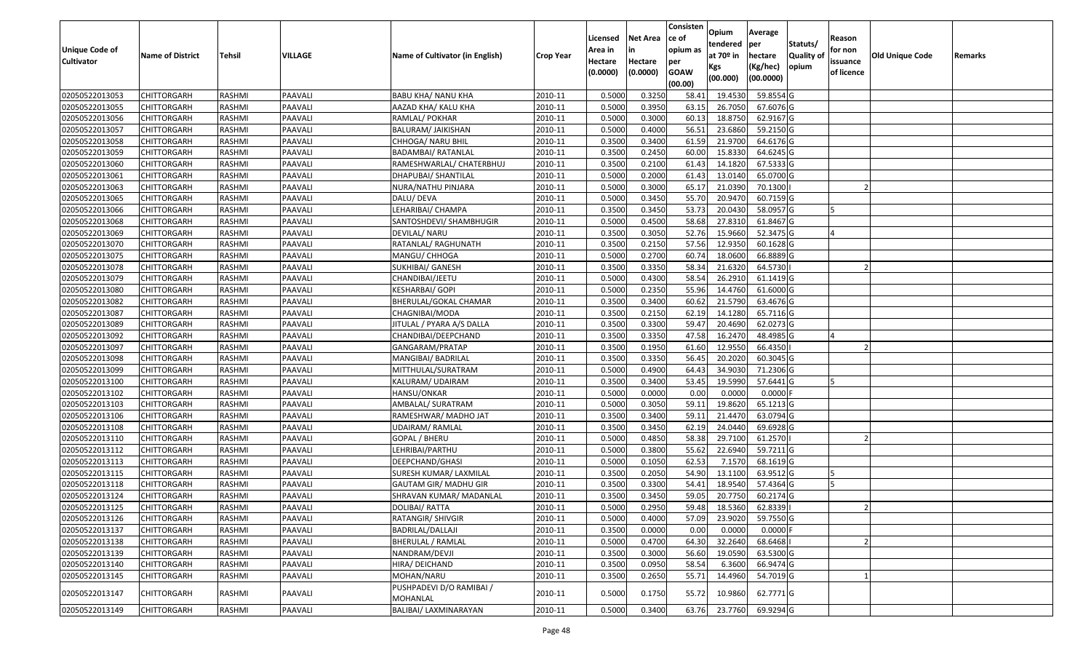| <b>Unique Code of</b> | <b>Name of District</b> | Tehsil        | VILLAGE | Name of Cultivator (in English)   | <b>Crop Year</b> | Licensed<br>Area in | <b>Net Area</b><br>in | Consisten<br>ce of<br>opium as | Opium<br>tendered<br>at $70°$ in | Average<br>per<br>hectare | Statuts/<br>Quality o | Reason<br>for non      | Old Unique Code | Remarks |
|-----------------------|-------------------------|---------------|---------|-----------------------------------|------------------|---------------------|-----------------------|--------------------------------|----------------------------------|---------------------------|-----------------------|------------------------|-----------------|---------|
| <b>Cultivator</b>     |                         |               |         |                                   |                  | Hectare<br>(0.0000) | Hectare<br>(0.0000)   | per<br><b>GOAW</b><br>(00.00)  | Kgs<br>(00.000)                  | (Kg/hec)<br>(00.0000)     | opium                 | issuance<br>of licence |                 |         |
| 02050522013053        | <b>CHITTORGARH</b>      | RASHMI        | PAAVALI | <b>BABU KHA/ NANU KHA</b>         | 2010-11          | 0.5000              | 0.3250                | 58.41                          | 19.4530                          | 59.8554 G                 |                       |                        |                 |         |
| 02050522013055        | <b>CHITTORGARH</b>      | RASHMI        | PAAVALI | AAZAD KHA/ KALU KHA               | 2010-11          | 0.5000              | 0.3950                | 63.15                          | 26.7050                          | 67.6076 G                 |                       |                        |                 |         |
| 02050522013056        | <b>CHITTORGARH</b>      | RASHMI        | PAAVALI | RAMLAL/ POKHAR                    | 2010-11          | 0.5000              | 0.3000                | 60.13                          | 18.8750                          | 62.9167 G                 |                       |                        |                 |         |
| 02050522013057        | <b>CHITTORGARH</b>      | <b>RASHMI</b> | PAAVALI | <b>BALURAM/ JAIKISHAN</b>         | 2010-11          | 0.5000              | 0.4000                | 56.51                          | 23.6860                          | 59.2150 G                 |                       |                        |                 |         |
| 02050522013058        | <b>CHITTORGARH</b>      | RASHMI        | PAAVALI | CHHOGA/ NARU BHIL                 | 2010-11          | 0.3500              | 0.3400                | 61.59                          | 21.9700                          | 64.6176 G                 |                       |                        |                 |         |
| 02050522013059        | <b>CHITTORGARH</b>      | RASHMI        | PAAVALI | BADAMBAI/ RATANLAL                | 2010-11          | 0.3500              | 0.2450                | 60.00                          | 15.8330                          | 64.6245 G                 |                       |                        |                 |         |
| 02050522013060        | CHITTORGARH             | RASHMI        | PAAVALI | RAMESHWARLAL/ CHATERBHUJ          | 2010-11          | 0.3500              | 0.2100                | 61.43                          | 14.1820                          | 67.5333 G                 |                       |                        |                 |         |
| 02050522013061        | <b>CHITTORGARH</b>      | <b>RASHMI</b> | PAAVALI | DHAPUBAI/ SHANTILAL               | 2010-11          | 0.5000              | 0.2000                | 61.43                          | 13.0140                          | 65.0700 G                 |                       |                        |                 |         |
| 02050522013063        | <b>CHITTORGARH</b>      | <b>RASHMI</b> | PAAVALI | NURA/NATHU PINJARA                | 2010-11          | 0.5000              | 0.3000                | 65.17                          | 21.0390                          | 70.1300                   |                       |                        |                 |         |
| 02050522013065        | <b>CHITTORGARH</b>      | RASHMI        | PAAVALI | DALU/ DEVA                        | 2010-11          | 0.5000              | 0.3450                | 55.70                          | 20.9470                          | 60.7159 G                 |                       |                        |                 |         |
| 02050522013066        | <b>CHITTORGARH</b>      | RASHMI        | PAAVALI | LEHARIBAI/ CHAMPA                 | 2010-11          | 0.3500              | 0.3450                | 53.73                          | 20.0430                          | 58.0957 G                 |                       |                        |                 |         |
| 02050522013068        | <b>CHITTORGARH</b>      | RASHMI        | PAAVALI | SANTOSHDEVI/ SHAMBHUGIR           | 2010-11          | 0.5000              | 0.4500                | 58.68                          | 27.8310                          | 61.8467 G                 |                       |                        |                 |         |
| 02050522013069        | <b>CHITTORGARH</b>      | RASHMI        | PAAVALI | DEVILAL/ NARU                     | 2010-11          | 0.3500              | 0.3050                | 52.76                          | 15.9660                          | 52.3475 G                 |                       |                        |                 |         |
| 02050522013070        | <b>CHITTORGARH</b>      | RASHMI        | PAAVALI | RATANLAL/ RAGHUNATH               | 2010-11          | 0.3500              | 0.2150                | 57.56                          | 12.9350                          | 60.1628 G                 |                       |                        |                 |         |
| 02050522013075        | <b>CHITTORGARH</b>      | RASHMI        | PAAVALI | MANGU/ CHHOGA                     | 2010-11          | 0.5000              | 0.2700                | 60.74                          | 18.0600                          | 66.8889 G                 |                       |                        |                 |         |
| 02050522013078        | <b>CHITTORGARH</b>      | <b>RASHMI</b> | PAAVALI | SUKHIBAI/ GANESH                  | 2010-11          | 0.3500              | 0.3350                | 58.34                          | 21.6320                          | 64.5730                   |                       |                        |                 |         |
| 02050522013079        | <b>CHITTORGARH</b>      | <b>RASHMI</b> | PAAVALI | CHANDIBAI/JEETU                   | 2010-11          | 0.5000              | 0.4300                | 58.54                          | 26.2910                          | 61.1419 G                 |                       |                        |                 |         |
| 02050522013080        | <b>CHITTORGARH</b>      | <b>RASHMI</b> | PAAVALI | KESHARBAI/ GOPI                   | 2010-11          | 0.5000              | 0.2350                | 55.96                          | 14.4760                          | 61.6000 G                 |                       |                        |                 |         |
| 02050522013082        | <b>CHITTORGARH</b>      | RASHMI        | PAAVALI | BHERULAL/GOKAL CHAMAR             | 2010-11          | 0.3500              | 0.3400                | 60.62                          | 21.5790                          | 63.4676 G                 |                       |                        |                 |         |
| 02050522013087        | <b>CHITTORGARH</b>      | RASHMI        | PAAVALI | CHAGNIBAI/MODA                    | 2010-11          | 0.3500              | 0.2150                | 62.19                          | 14.1280                          | 65.7116 G                 |                       |                        |                 |         |
| 02050522013089        | <b>CHITTORGARH</b>      | RASHMI        | PAAVALI | <b>JITULAL / PYARA A/S DALLA</b>  | 2010-11          | 0.3500              | 0.3300                | 59.47                          | 20.4690                          | 62.0273 G                 |                       |                        |                 |         |
| 02050522013092        | CHITTORGARH             | RASHMI        | PAAVALI | CHANDIBAI/DEEPCHAND               | 2010-11          | 0.3500              | 0.3350                | 47.58                          | 16.2470                          | 48.4985 G                 |                       |                        |                 |         |
| 02050522013097        | CHITTORGARH             | RASHMI        | PAAVALI | GANGARAM/PRATAP                   | 2010-11          | 0.3500              | 0.1950                | 61.60                          | 12.9550                          | 66.4350                   |                       |                        |                 |         |
| 02050522013098        | <b>CHITTORGARH</b>      | RASHMI        | PAAVALI | MANGIBAI/ BADRILAL                | 2010-11          | 0.3500              | 0.3350                | 56.45                          | 20.2020                          | 60.3045 G                 |                       |                        |                 |         |
| 02050522013099        | <b>CHITTORGARH</b>      | RASHMI        | PAAVALI | MITTHULAL/SURATRAM                | 2010-11          | 0.5000              | 0.4900                | 64.43                          | 34.9030                          | 71.2306 G                 |                       |                        |                 |         |
| 02050522013100        | <b>CHITTORGARH</b>      | RASHMI        | PAAVALI | KALURAM/ UDAIRAM                  | 2010-11          | 0.3500              | 0.3400                | 53.45                          | 19.5990                          | 57.6441 G                 |                       |                        |                 |         |
| 02050522013102        | <b>CHITTORGARH</b>      | RASHMI        | PAAVALI | HANSU/ONKAR                       | 2010-11          | 0.5000              | 0.0000                | 0.00                           | 0.0000                           | 0.0000                    |                       |                        |                 |         |
| 02050522013103        | <b>CHITTORGARH</b>      | RASHMI        | PAAVALI | AMBALAL/ SURATRAM                 | 2010-11          | 0.5000              | 0.3050                | 59.1                           | 19.8620                          | 65.1213 G                 |                       |                        |                 |         |
| 02050522013106        | <b>CHITTORGARH</b>      | <b>RASHMI</b> | PAAVALI | RAMESHWAR/ MADHO JAT              | 2010-11          | 0.3500              | 0.3400                | 59.13                          | 21.4470                          | 63.0794 G                 |                       |                        |                 |         |
| 02050522013108        | <b>CHITTORGARH</b>      | RASHMI        | PAAVALI | <b>UDAIRAM/ RAMLAL</b>            | 2010-11          | 0.3500              | 0.3450                | 62.19                          | 24.0440                          | 69.6928 G                 |                       |                        |                 |         |
| 02050522013110        | <b>CHITTORGARH</b>      | RASHMI        | PAAVALI | GOPAL / BHERU                     | 2010-11          | 0.5000              | 0.4850                | 58.38                          | 29.7100                          | 61.2570                   |                       |                        |                 |         |
| 02050522013112        | <b>CHITTORGARH</b>      | RASHMI        | PAAVALI | LEHRIBAI/PARTHU                   | 2010-11          | 0.5000              | 0.3800                | 55.62                          | 22.6940                          | 59.7211 G                 |                       |                        |                 |         |
| 02050522013113        | <b>CHITTORGARH</b>      | <b>RASHMI</b> | PAAVALI | DEEPCHAND/GHASI                   | 2010-11          | 0.5000              | 0.1050                | 62.53                          | 7.1570                           | 68.1619 G                 |                       |                        |                 |         |
| 02050522013115        | <b>CHITTORGARH</b>      | <b>RASHMI</b> | PAAVALI | SURESH KUMAR/ LAXMILAL            | 2010-11          | 0.3500              | 0.2050                | 54.90                          | 13.1100                          | 63.9512 G                 |                       |                        |                 |         |
| 02050522013118        | <b>CHITTORGARH</b>      | RASHMI        | PAAVALI | GAUTAM GIR/ MADHU GIR             | 2010-11          | 0.3500              | 0.3300                | 54.41                          | 18.9540                          | 57.4364 G                 |                       |                        |                 |         |
| 02050522013124        | <b>CHITTORGARH</b>      | RASHMI        | PAAVALI | SHRAVAN KUMAR/ MADANLAL           | 2010-11          | 0.3500              | 0.3450                | 59.05                          | 20.7750                          | 60.2174 G                 |                       |                        |                 |         |
| 02050522013125        | CHITTORGARH             | RASHMI        | PAAVALI | <b>DOLIBAI/ RATTA</b>             | 2010-11          | 0.5000              | 0.2950                | 59.48                          | 18.5360                          | 62.8339                   |                       |                        |                 |         |
| 02050522013126        | <b>CHITTORGARH</b>      | RASHMI        | PAAVALI | RATANGIR/ SHIVGIR                 | 2010-11          | 0.5000              | 0.4000                | 57.09                          | 23.9020                          | 59.7550 G                 |                       |                        |                 |         |
| 02050522013137        | <b>CHITTORGARH</b>      | RASHMI        | PAAVALI | BADRILAL/DALLAJI                  | 2010-11          | 0.3500              | 0.0000                | 0.00                           | 0.0000                           | 0.0000                    |                       |                        |                 |         |
| 02050522013138        | <b>CHITTORGARH</b>      | RASHMI        | PAAVALI | <b>BHERULAL / RAMLAL</b>          | 2010-11          | 0.5000              | 0.4700                | 64.30                          | 32.2640                          | 68.6468                   |                       |                        |                 |         |
| 02050522013139        | <b>CHITTORGARH</b>      | RASHMI        | PAAVALI | NANDRAM/DEVJI                     | 2010-11          | 0.3500              | 0.3000                | 56.60                          | 19.0590                          | 63.5300 G                 |                       |                        |                 |         |
| 02050522013140        | <b>CHITTORGARH</b>      | RASHMI        | PAAVALI | HIRA/ DEICHAND                    | 2010-11          | 0.3500              | 0.0950                | 58.54                          | 6.3600                           | 66.9474 G                 |                       |                        |                 |         |
| 02050522013145        | <b>CHITTORGARH</b>      | RASHMI        | PAAVALI | MOHAN/NARU                        | 2010-11          | 0.3500              | 0.2650                | 55.71                          | 14.4960                          | 54.7019 G                 |                       |                        |                 |         |
| 02050522013147        | <b>CHITTORGARH</b>      | RASHMI        | PAAVALI | PUSHPADEVI D/O RAMIBAI /          | 2010-11          | 0.5000              | 0.1750                | 55.72                          | 10.9860                          | 62.7771 G                 |                       |                        |                 |         |
| 02050522013149        | <b>CHITTORGARH</b>      | RASHMI        | PAAVALI | MOHANLAL<br>BALIBAI/ LAXMINARAYAN | 2010-11          | 0.5000              | 0.3400                | 63.76                          | 23.7760                          | 69.9294 G                 |                       |                        |                 |         |
|                       |                         |               |         |                                   |                  |                     |                       |                                |                                  |                           |                       |                        |                 |         |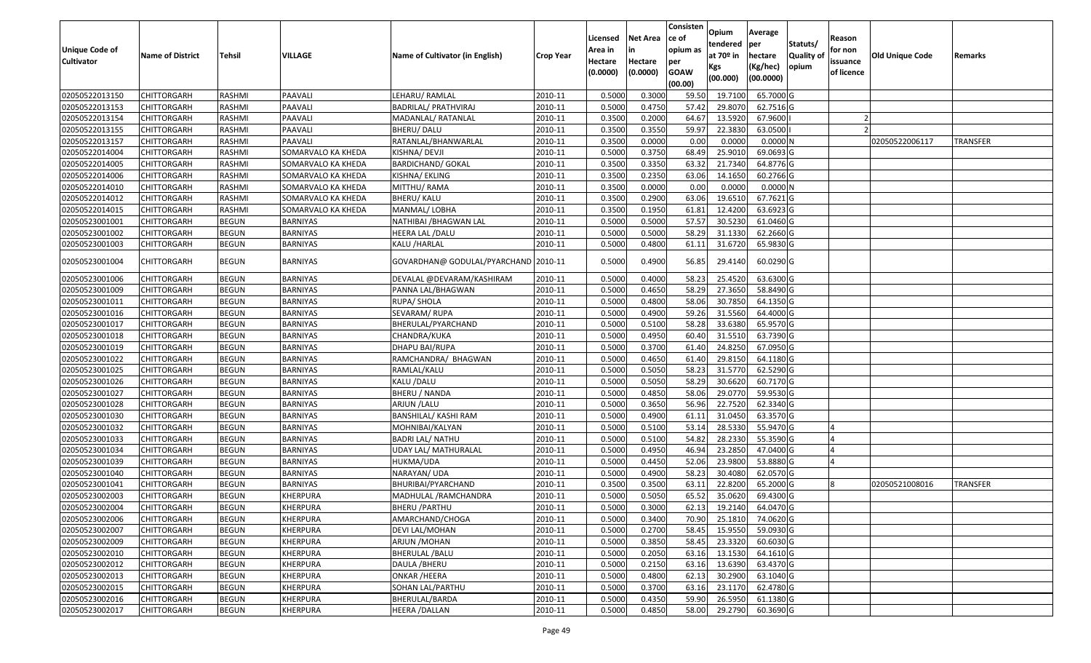|                       |                         |               |                    |                                      |                  | Licensed | <b>Net Area</b> | Consisten<br>ce of | Opium           | Average               |                           | Reason     |                 |          |
|-----------------------|-------------------------|---------------|--------------------|--------------------------------------|------------------|----------|-----------------|--------------------|-----------------|-----------------------|---------------------------|------------|-----------------|----------|
| <b>Unique Code of</b> |                         |               |                    |                                      |                  | Area in  |                 | opium as           | tendered        | per                   | Statuts/                  | for non    |                 |          |
| <b>Cultivator</b>     | <b>Name of District</b> | <b>Tehsil</b> | VILLAGE            | Name of Cultivator (in English)      | <b>Crop Year</b> | Hectare  | Hectare         | per                | at $70°$ in     | hectare               | <b>Quality o</b><br>opium | issuance   | Old Unique Code | Remarks  |
|                       |                         |               |                    |                                      |                  | (0.0000) | (0.0000)        | <b>GOAW</b>        | Kgs<br>(00.000) | (Kg/hec)<br>(00.0000) |                           | of licence |                 |          |
|                       |                         |               |                    |                                      |                  |          |                 | (00.00)            |                 |                       |                           |            |                 |          |
| 02050522013150        | CHITTORGARH             | RASHMI        | PAAVALI            | LEHARU/RAMLAL                        | 2010-11          | 0.5000   | 0.3000          | 59.50              | 19.7100         | 65.7000 G             |                           |            |                 |          |
| 02050522013153        | CHITTORGARH             | RASHMI        | PAAVALI            | BADRILAL/ PRATHVIRAJ                 | 2010-11          | 0.5000   | 0.4750          | 57.42              | 29.8070         | 62.7516 G             |                           |            |                 |          |
| 02050522013154        | CHITTORGARH             | RASHMI        | PAAVALI            | MADANLAL/ RATANLAL                   | 2010-11          | 0.3500   | 0.2000          | 64.67              | 13.5920         | 67.9600               |                           |            |                 |          |
| 02050522013155        | CHITTORGARH             | RASHMI        | PAAVALI            | BHERU/DALU                           | 2010-11          | 0.3500   | 0.3550          | 59.97              | 22.3830         | 63.0500               |                           |            |                 |          |
| 02050522013157        | CHITTORGARH             | RASHMI        | PAAVALI            | RATANLAL/BHANWARLAL                  | 2010-11          | 0.3500   | 0.0000          | 0.00               | 0.0000          | 0.0000N               |                           |            | 02050522006117  | TRANSFER |
| 02050522014004        | CHITTORGARH             | RASHMI        | SOMARVALO KA KHEDA | KISHNA/ DEVJI                        | 2010-11          | 0.5000   | 0.3750          | 68.49              | 25.9010         | 69.0693 G             |                           |            |                 |          |
| 02050522014005        | CHITTORGARH             | RASHMI        | SOMARVALO KA KHEDA | BARDICHAND/ GOKAL                    | 2010-11          | 0.3500   | 0.3350          | 63.32              | 21.7340         | 64.8776 G             |                           |            |                 |          |
| 02050522014006        | <b>CHITTORGARH</b>      | <b>RASHMI</b> | SOMARVALO KA KHEDA | KISHNA/ EKLING                       | 2010-11          | 0.3500   | 0.2350          | 63.06              | 14.1650         | 60.2766 G             |                           |            |                 |          |
| 02050522014010        | CHITTORGARH             | RASHMI        | SOMARVALO KA KHEDA | MITTHU/RAMA                          | 2010-11          | 0.3500   | 0.0000          | 0.00               | 0.0000          | 0.0000N               |                           |            |                 |          |
| 02050522014012        | CHITTORGARH             | RASHMI        | SOMARVALO KA KHEDA | BHERU/ KALU                          | 2010-11          | 0.3500   | 0.2900          | 63.06              | 19.6510         | 67.7621 G             |                           |            |                 |          |
| 02050522014015        | CHITTORGARH             | RASHMI        | SOMARVALO KA KHEDA | MANMAL/LOBHA                         | 2010-11          | 0.3500   | 0.1950          | 61.81              | 12.4200         | 63.6923 G             |                           |            |                 |          |
| 02050523001001        | <b>CHITTORGARH</b>      | <b>BEGUN</b>  | BARNIYAS           | NATHIBAI / BHAGWAN LAL               | 2010-11          | 0.5000   | 0.5000          | 57.57              | 30.5230         | 61.0460 G             |                           |            |                 |          |
| 02050523001002        | <b>CHITTORGARH</b>      | <b>BEGUN</b>  | BARNIYAS           | HEERA LAL /DALU                      | 2010-11          | 0.5000   | 0.5000          | 58.29              | 31.1330         | 62.2660 G             |                           |            |                 |          |
| 02050523001003        | CHITTORGARH             | <b>BEGUN</b>  | BARNIYAS           | KALU /HARLAL                         | 2010-11          | 0.5000   | 0.4800          | 61.1               | 31.6720         | 65.9830 G             |                           |            |                 |          |
| 02050523001004        | CHITTORGARH             | <b>BEGUN</b>  | BARNIYAS           | GOVARDHAN@ GODULAL/PYARCHAND 2010-11 |                  | 0.5000   | 0.4900          | 56.85              | 29.4140         | 60.0290 G             |                           |            |                 |          |
| 02050523001006        | CHITTORGARH             | <b>BEGUN</b>  | <b>BARNIYAS</b>    | DEVALAL @DEVARAM/KASHIRAM            | 2010-11          | 0.5000   | 0.4000          | 58.23              | 25.4520         | 63.6300 G             |                           |            |                 |          |
| 02050523001009        | CHITTORGARH             | <b>BEGUN</b>  | <b>BARNIYAS</b>    | PANNA LAL/BHAGWAN                    | 2010-11          | 0.500    | 0.4650          | 58.29              | 27.365          | 58.8490 G             |                           |            |                 |          |
| 02050523001011        | CHITTORGARH             | <b>BEGUN</b>  | BARNIYAS           | RUPA/ SHOLA                          | 2010-11          | 0.5000   | 0.4800          | 58.06              | 30.7850         | 64.1350 G             |                           |            |                 |          |
| 02050523001016        | CHITTORGARH             | <b>BEGUN</b>  | BARNIYAS           | SEVARAM/RUPA                         | 2010-11          | 0.5000   | 0.4900          | 59.26              | 31.5560         | 64.4000 G             |                           |            |                 |          |
| 02050523001017        | CHITTORGARH             | <b>BEGUN</b>  | BARNIYAS           | BHERULAL/PYARCHAND                   | 2010-11          | 0.5000   | 0.5100          | 58.28              | 33.6380         | 65.9570 G             |                           |            |                 |          |
| 02050523001018        | CHITTORGARH             | <b>BEGUN</b>  | <b>BARNIYAS</b>    | CHANDRA/KUKA                         | 2010-11          | 0.5000   | 0.4950          | 60.40              | 31.5510         | 63.7390 G             |                           |            |                 |          |
| 02050523001019        | CHITTORGARH             | <b>BEGUN</b>  | <b>BARNIYAS</b>    | DHAPU BAI/RUPA                       | 2010-11          | 0.5000   | 0.3700          | 61.40              | 24.8250         | 67.0950 G             |                           |            |                 |          |
| 02050523001022        | CHITTORGARH             | <b>BEGUN</b>  | BARNIYAS           | RAMCHANDRA/ BHAGWAN                  | 2010-11          | 0.5000   | 0.4650          | 61.40              | 29.8150         | 64.1180 G             |                           |            |                 |          |
| 02050523001025        | CHITTORGARH             | <b>BEGUN</b>  | <b>BARNIYAS</b>    | RAMLAL/KALU                          | 2010-11          | 0.5000   | 0.5050          | 58.23              | 31.5770         | 62.5290 G             |                           |            |                 |          |
| 02050523001026        | CHITTORGARH             | <b>BEGUN</b>  | BARNIYAS           | KALU /DALU                           | 2010-11          | 0.5000   | 0.5050          | 58.29              | 30.6620         | 60.7170 G             |                           |            |                 |          |
| 02050523001027        | CHITTORGARH             | <b>BEGUN</b>  | <b>BARNIYAS</b>    | BHERU / NANDA                        | 2010-11          | 0.5000   | 0.4850          | 58.06              | 29.0770         | 59.9530 G             |                           |            |                 |          |
| 02050523001028        | CHITTORGARH             | <b>BEGUN</b>  | BARNIYAS           | ARJUN / LALU                         | 2010-11          | 0.5000   | 0.3650          | 56.96              | 22.7520         | 62.3340 G             |                           |            |                 |          |
| 02050523001030        | <b>CHITTORGARH</b>      | <b>BEGUN</b>  | <b>BARNIYAS</b>    | BANSHILAL/ KASHI RAM                 | 2010-11          | 0.5000   | 0.4900          | 61.11              | 31.0450         | 63.3570 G             |                           |            |                 |          |
| 02050523001032        | CHITTORGARH             | <b>BEGUN</b>  | BARNIYAS           | MOHNIBAI/KALYAN                      | 2010-11          | 0.5000   | 0.5100          | 53.14              | 28.5330         | 55.9470 G             |                           |            |                 |          |
| 02050523001033        | CHITTORGARH             | <b>BEGUN</b>  | BARNIYAS           | BADRI LAL/ NATHU                     | 2010-11          | 0.5000   | 0.5100          | 54.82              | 28.2330         | 55.3590 G             |                           |            |                 |          |
| 02050523001034        | CHITTORGARH             | <b>BEGUN</b>  | BARNIYAS           | JDAY LAL/ MATHURALAL                 | 2010-11          | 0.5000   | 0.4950          | 46.94              | 23.2850         | 47.0400 G             |                           |            |                 |          |
| 02050523001039        | CHITTORGARH             | <b>BEGUN</b>  | <b>BARNIYAS</b>    | HUKMA/UDA                            | 2010-11          | 0.5000   | 0.4450          | 52.06              | 23.9800         | 53.8880 G             |                           |            |                 |          |
| 02050523001040        | <b>CHITTORGARH</b>      | <b>BEGUN</b>  | <b>BARNIYAS</b>    | NARAYAN/ UDA                         | 2010-11          | 0.5000   | 0.4900          | 58.23              | 30.4080         | 62.0570 G             |                           |            |                 |          |
| 02050523001041        | CHITTORGARH             | <b>BEGUN</b>  | BARNIYAS           | BHURIBAI/PYARCHAND                   | 2010-11          | 0.350    | 0.3500          | 63.1               | 22.8200         | 65.2000 G             |                           |            | 02050521008016  | TRANSFER |
| 02050523002003        | CHITTORGARH             | <b>BEGUN</b>  | KHERPURA           | MADHULAL /RAMCHANDRA                 | 2010-11          | 0.5000   | 0.5050          | 65.52              | 35.0620         | 69.4300 G             |                           |            |                 |          |
| 02050523002004        | <b>CHITTORGARH</b>      | <b>BEGUN</b>  | KHERPURA           | <b>BHERU / PARTHU</b>                | 2010-11          | 0.5000   | 0.3000          |                    | 62.13 19.2140   | 64.0470 G             |                           |            |                 |          |
| 02050523002006        | <b>CHITTORGARH</b>      | <b>BEGUN</b>  | KHERPURA           | AMARCHAND/CHOGA                      | 2010-11          | 0.5000   | 0.3400          | 70.90              | 25.1810         | 74.0620 G             |                           |            |                 |          |
| 02050523002007        | <b>CHITTORGARH</b>      | <b>BEGUN</b>  | KHERPURA           | DEVI LAL/MOHAN                       | 2010-11          | 0.5000   | 0.2700          | 58.45              | 15.9550         | 59.0930 G             |                           |            |                 |          |
| 02050523002009        | <b>CHITTORGARH</b>      | <b>BEGUN</b>  | KHERPURA           | ARJUN / MOHAN                        | 2010-11          | 0.5000   | 0.3850          | 58.45              | 23.3320         | 60.6030 G             |                           |            |                 |          |
| 02050523002010        | <b>CHITTORGARH</b>      | <b>BEGUN</b>  | KHERPURA           | BHERULAL / BALU                      | 2010-11          | 0.5000   | 0.2050          | 63.16              | 13.1530         | 64.1610 G             |                           |            |                 |          |
| 02050523002012        | <b>CHITTORGARH</b>      | <b>BEGUN</b>  | KHERPURA           | DAULA / BHERU                        | 2010-11          | 0.5000   | 0.2150          | 63.16              | 13.6390         | 63.4370 G             |                           |            |                 |          |
| 02050523002013        | <b>CHITTORGARH</b>      | <b>BEGUN</b>  | KHERPURA           | ONKAR /HEERA                         | 2010-11          | 0.5000   | 0.4800          | 62.13              | 30.2900         | 63.1040 G             |                           |            |                 |          |
| 02050523002015        | <b>CHITTORGARH</b>      | <b>BEGUN</b>  | KHERPURA           | SOHAN LAL/PARTHU                     | 2010-11          | 0.5000   | 0.3700          | 63.16              | 23.1170         | 62.4780 G             |                           |            |                 |          |
| 02050523002016        | <b>CHITTORGARH</b>      | <b>BEGUN</b>  | KHERPURA           | BHERULAL/BARDA                       | 2010-11          | 0.5000   | 0.4350          | 59.90              | 26.5950         | 61.1380 G             |                           |            |                 |          |
| 02050523002017        | <b>CHITTORGARH</b>      | <b>BEGUN</b>  | KHERPURA           | <b>HEERA /DALLAN</b>                 | 2010-11          | 0.5000   | 0.4850          | 58.00              | 29.2790         | $60.3690$ G           |                           |            |                 |          |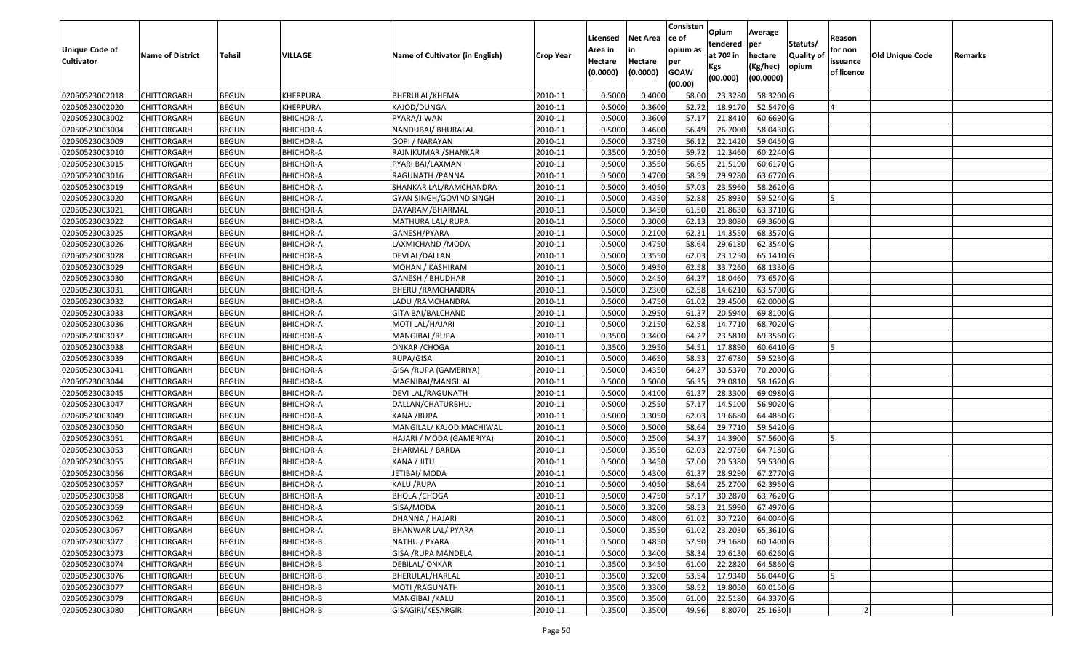|                   |                         |               |                  |                                 |                  |          |                 | Consisten              | Opium         | Average   |                  |            |                 |         |
|-------------------|-------------------------|---------------|------------------|---------------------------------|------------------|----------|-----------------|------------------------|---------------|-----------|------------------|------------|-----------------|---------|
|                   |                         |               |                  |                                 |                  | Licensed | <b>Net Area</b> | ce of                  | tendered      | per       | Statuts/         | Reason     |                 |         |
| Unique Code of    | <b>Name of District</b> | <b>Tehsil</b> | VILLAGE          | Name of Cultivator (in English) | <b>Crop Year</b> | Area in  |                 | opium as               | at $70°$ in   | hectare   | <b>Quality o</b> | for non    | Old Unique Code | Remarks |
| <b>Cultivator</b> |                         |               |                  |                                 |                  | Hectare  | Hectare         | per                    | Kgs           | (Kg/hec)  | opium            | issuance   |                 |         |
|                   |                         |               |                  |                                 |                  | (0.0000) | (0.0000)        | <b>GOAW</b><br>(00.00) | (00.000)      | (00.0000) |                  | of licence |                 |         |
| 02050523002018    | CHITTORGARH             | <b>BEGUN</b>  | KHERPURA         | BHERULAL/KHEMA                  | 2010-11          | 0.5000   | 0.4000          | 58.00                  | 23.3280       | 58.3200 G |                  |            |                 |         |
| 02050523002020    | CHITTORGARH             | <b>BEGUN</b>  | KHERPURA         | KAJOD/DUNGA                     | 2010-11          | 0.5000   | 0.3600          | 52.72                  | 18.9170       | 52.5470 G |                  |            |                 |         |
| 02050523003002    | CHITTORGARH             | <b>BEGUN</b>  | <b>BHICHOR-A</b> | PYARA/JIWAN                     | 2010-11          | 0.5000   | 0.3600          | 57.1                   | 21.841        | 60.6690 G |                  |            |                 |         |
| 02050523003004    | <b>CHITTORGARH</b>      | <b>BEGUN</b>  | <b>BHICHOR-A</b> | NANDUBAI/ BHURALAL              | 2010-11          | 0.5000   | 0.4600          | 56.49                  | 26.7000       | 58.0430 G |                  |            |                 |         |
| 02050523003009    | CHITTORGARH             | <b>BEGUN</b>  | <b>BHICHOR-A</b> | GOPI / NARAYAN                  | 2010-11          | 0.5000   | 0.3750          | 56.12                  | 22.1420       | 59.0450 G |                  |            |                 |         |
| 02050523003010    | CHITTORGARH             | <b>BEGUN</b>  | <b>BHICHOR-A</b> | RAJNIKUMAR /SHANKAR             | 2010-11          | 0.3500   | 0.2050          | 59.72                  | 12.3460       | 60.2240 G |                  |            |                 |         |
| 02050523003015    | CHITTORGARH             | <b>BEGUN</b>  | <b>BHICHOR-A</b> | PYARI BAI/LAXMAN                | 2010-11          | 0.5000   | 0.3550          | 56.65                  | 21.5190       | 60.6170 G |                  |            |                 |         |
| 02050523003016    | CHITTORGARH             | <b>BEGUN</b>  | <b>BHICHOR-A</b> | RAGUNATH /PANNA                 | 2010-11          | 0.5000   | 0.4700          | 58.59                  | 29.9280       | 63.6770 G |                  |            |                 |         |
| 02050523003019    | CHITTORGARH             | <b>BEGUN</b>  | <b>BHICHOR-A</b> | SHANKAR LAL/RAMCHANDRA          | 2010-11          | 0.5000   | 0.4050          | 57.03                  | 23.5960       | 58.2620 G |                  |            |                 |         |
| 02050523003020    | CHITTORGARH             | <b>BEGUN</b>  | <b>BHICHOR-A</b> | GYAN SINGH/GOVIND SINGH         | 2010-11          | 0.5000   | 0.4350          | 52.88                  | 25.8930       | 59.5240 G |                  |            |                 |         |
| 02050523003021    | CHITTORGARH             | <b>BEGUN</b>  | <b>BHICHOR-A</b> | DAYARAM/BHARMAL                 | 2010-11          | 0.5000   | 0.3450          | 61.50                  | 21.8630       | 63.3710 G |                  |            |                 |         |
| 02050523003022    | <b>CHITTORGARH</b>      | <b>BEGUN</b>  | <b>BHICHOR-A</b> | MATHURA LAL/ RUPA               | 2010-11          | 0.5000   | 0.3000          | 62.13                  | 20.8080       | 69.3600 G |                  |            |                 |         |
| 02050523003025    | <b>CHITTORGARH</b>      | <b>BEGUN</b>  | <b>BHICHOR-A</b> | GANESH/PYARA                    | 2010-11          | 0.5000   | 0.2100          | 62.31                  | 14.3550       | 68.3570 G |                  |            |                 |         |
| 02050523003026    | <b>CHITTORGARH</b>      | <b>BEGUN</b>  | <b>BHICHOR-A</b> | LAXMICHAND /MODA                | 2010-11          | 0.5000   | 0.4750          | 58.64                  | 29.6180       | 62.3540 G |                  |            |                 |         |
| 02050523003028    | CHITTORGARH             | <b>BEGUN</b>  | <b>BHICHOR-A</b> | DEVLAL/DALLAN                   | 2010-11          | 0.5000   | 0.3550          | 62.03                  | 23.1250       | 65.1410 G |                  |            |                 |         |
| 02050523003029    | CHITTORGARH             | <b>BEGUN</b>  | <b>BHICHOR-A</b> | MOHAN / KASHIRAM                | 2010-11          | 0.5000   | 0.4950          | 62.58                  | 33.7260       | 68.1330 G |                  |            |                 |         |
| 02050523003030    | CHITTORGARH             | <b>BEGUN</b>  | <b>BHICHOR-A</b> | GANESH / BHUDHAR                | 2010-11          | 0.5000   | 0.2450          | 64.27                  | 18.0460       | 73.6570 G |                  |            |                 |         |
| 02050523003031    | CHITTORGARH             | <b>BEGUN</b>  | <b>BHICHOR-A</b> | <b>BHERU / RAMCHANDRA</b>       | 2010-11          | 0.5000   | 0.2300          | 62.58                  | 14.6210       | 63.5700 G |                  |            |                 |         |
| 02050523003032    | CHITTORGARH             | <b>BEGUN</b>  | <b>BHICHOR-A</b> | LADU /RAMCHANDRA                | 2010-11          | 0.5000   | 0.4750          | 61.02                  | 29.4500       | 62.0000G  |                  |            |                 |         |
| 02050523003033    | CHITTORGARH             | <b>BEGUN</b>  | <b>BHICHOR-A</b> | <b>GITA BAI/BALCHAND</b>        | 2010-11          | 0.5000   | 0.2950          | 61.37                  | 20.5940       | 69.8100 G |                  |            |                 |         |
| 02050523003036    | CHITTORGARH             | <b>BEGUN</b>  | <b>BHICHOR-A</b> | MOTI LAL/HAJARI                 | 2010-11          | 0.5000   | 0.2150          | 62.58                  | 14.7710       | 68.7020G  |                  |            |                 |         |
| 02050523003037    | CHITTORGARH             | <b>BEGUN</b>  | <b>BHICHOR-A</b> | MANGIBAI / RUPA                 | 2010-11          | 0.3500   | 0.3400          | 64.27                  | 23.581        | 69.3560 G |                  |            |                 |         |
| 02050523003038    | CHITTORGARH             | <b>BEGUN</b>  | <b>BHICHOR-A</b> | ONKAR / CHOGA                   | 2010-11          | 0.3500   | 0.2950          | 54.51                  | 17.8890       | 60.6410 G |                  |            |                 |         |
| 02050523003039    | CHITTORGARH             | <b>BEGUN</b>  | <b>BHICHOR-A</b> | RUPA/GISA                       | 2010-11          | 0.5000   | 0.4650          | 58.5                   | 27.6780       | 59.5230 G |                  |            |                 |         |
| 02050523003041    | CHITTORGARH             | <b>BEGUN</b>  | <b>BHICHOR-A</b> | GISA /RUPA (GAMERIYA)           | 2010-11          | 0.5000   | 0.4350          | 64.27                  | 30.5370       | 70.2000 G |                  |            |                 |         |
| 02050523003044    | CHITTORGARH             | <b>BEGUN</b>  | <b>BHICHOR-A</b> | MAGNIBAI/MANGILAL               | 2010-11          | 0.5000   | 0.5000          | 56.35                  | 29.081        | 58.1620 G |                  |            |                 |         |
| 02050523003045    | CHITTORGARH             | <b>BEGUN</b>  | <b>BHICHOR-A</b> | DEVI LAL/RAGUNATH               | 2010-11          | 0.5000   | 0.4100          | 61.37                  | 28.3300       | 69.0980 G |                  |            |                 |         |
| 02050523003047    | CHITTORGARH             | <b>BEGUN</b>  | <b>BHICHOR-A</b> | DALLAN/CHATURBHUJ               | 2010-11          | 0.5000   | 0.2550          | 57.17                  | 14.5100       | 56.9020 G |                  |            |                 |         |
| 02050523003049    | CHITTORGARH             | <b>BEGUN</b>  | <b>BHICHOR-A</b> | <b>KANA /RUPA</b>               | 2010-11          | 0.5000   | 0.3050          | 62.03                  | 19.6680       | 64.4850 G |                  |            |                 |         |
| 02050523003050    | CHITTORGARH             | <b>BEGUN</b>  | <b>BHICHOR-A</b> | MANGILAL/ KAJOD MACHIWAL        | 2010-11          | 0.5000   | 0.5000          | 58.64                  | 29.7710       | 59.5420 G |                  |            |                 |         |
| 02050523003051    | CHITTORGARH             | <b>BEGUN</b>  | <b>BHICHOR-A</b> | HAJARI / MODA (GAMERIYA)        | 2010-11          | 0.5000   | 0.2500          | 54.37                  | 14.3900       | 57.5600 G |                  |            |                 |         |
| 02050523003053    | CHITTORGARH             | <b>BEGUN</b>  | <b>BHICHOR-A</b> | BHARMAL / BARDA                 | 2010-11          | 0.5000   | 0.3550          | 62.03                  | 22.9750       | 64.7180 G |                  |            |                 |         |
| 02050523003055    | CHITTORGARH             | <b>BEGUN</b>  | <b>BHICHOR-A</b> | KANA / JITU                     | 2010-11          | 0.5000   | 0.3450          | 57.00                  | 20.5380       | 59.5300 G |                  |            |                 |         |
| 02050523003056    | CHITTORGARH             | <b>BEGUN</b>  | <b>BHICHOR-A</b> | JETIBAI/ MODA                   | 2010-11          | 0.5000   | 0.4300          | 61.37                  | 28.9290       | 67.2770 G |                  |            |                 |         |
| 02050523003057    | CHITTORGARH             | <b>BEGUN</b>  | <b>BHICHOR-A</b> | KALU /RUPA                      | 2010-11          | 0.500    | 0.4050          | 58.64                  | 25.2700       | 62.3950 G |                  |            |                 |         |
| 02050523003058    | CHITTORGARH             | <b>BEGUN</b>  | <b>BHICHOR-A</b> | <b>BHOLA / CHOGA</b>            | 2010-11          | 0.5000   | 0.4750          | 57.17                  | 30.2870       | 63.7620G  |                  |            |                 |         |
| 02050523003059    | <b>CHITTORGARH</b>      | <b>BEGUN</b>  | BHICHOR-A        | GISA/MODA                       | 2010-11          | 0.5000   | 0.3200          |                        | 58.53 21.5990 | 67.4970 G |                  |            |                 |         |
| 02050523003062    | <b>CHITTORGARH</b>      | <b>BEGUN</b>  | <b>BHICHOR-A</b> | DHANNA / HAJARI                 | 2010-11          | 0.5000   | 0.4800          | 61.02                  | 30.7220       | 64.0040 G |                  |            |                 |         |
| 02050523003067    | <b>CHITTORGARH</b>      | <b>BEGUN</b>  | <b>BHICHOR-A</b> | BHANWAR LAL/ PYARA              | 2010-11          | 0.5000   | 0.3550          | 61.02                  | 23.2030       | 65.3610 G |                  |            |                 |         |
| 02050523003072    | <b>CHITTORGARH</b>      | <b>BEGUN</b>  | <b>BHICHOR-B</b> | NATHU / PYARA                   | 2010-11          | 0.5000   | 0.4850          | 57.90                  | 29.1680       | 60.1400 G |                  |            |                 |         |
| 02050523003073    | CHITTORGARH             | <b>BEGUN</b>  | <b>BHICHOR-B</b> | GISA / RUPA MANDELA             | 2010-11          | 0.5000   | 0.3400          | 58.34                  | 20.6130       | 60.6260 G |                  |            |                 |         |
| 02050523003074    | <b>CHITTORGARH</b>      | <b>BEGUN</b>  | <b>BHICHOR-B</b> | DEBILAL/ ONKAR                  | 2010-11          | 0.3500   | 0.3450          | 61.00                  | 22.2820       | 64.5860 G |                  |            |                 |         |
| 02050523003076    | <b>CHITTORGARH</b>      | <b>BEGUN</b>  | <b>BHICHOR-B</b> | BHERULAL/HARLAL                 | 2010-11          | 0.3500   | 0.3200          | 53.54                  | 17.9340       | 56.0440 G |                  |            |                 |         |
| 02050523003077    | <b>CHITTORGARH</b>      | <b>BEGUN</b>  | <b>BHICHOR-B</b> | MOTI / RAGUNATH                 | 2010-11          | 0.3500   | 0.3300          | 58.52                  | 19.8050       | 60.0150 G |                  |            |                 |         |
| 02050523003079    | CHITTORGARH             | <b>BEGUN</b>  | BHICHOR-B        | MANGIBAI / KALU                 | 2010-11          | 0.3500   | 0.3500          | 61.00                  | 22.5180       | 64.3370 G |                  |            |                 |         |
| 02050523003080    | <b>CHITTORGARH</b>      | <b>BEGUN</b>  | <b>BHICHOR-B</b> | GISAGIRI/KESARGIRI              | 2010-11          | 0.3500   | 0.3500          | 49.96                  | 8.8070        | 25.1630   |                  |            |                 |         |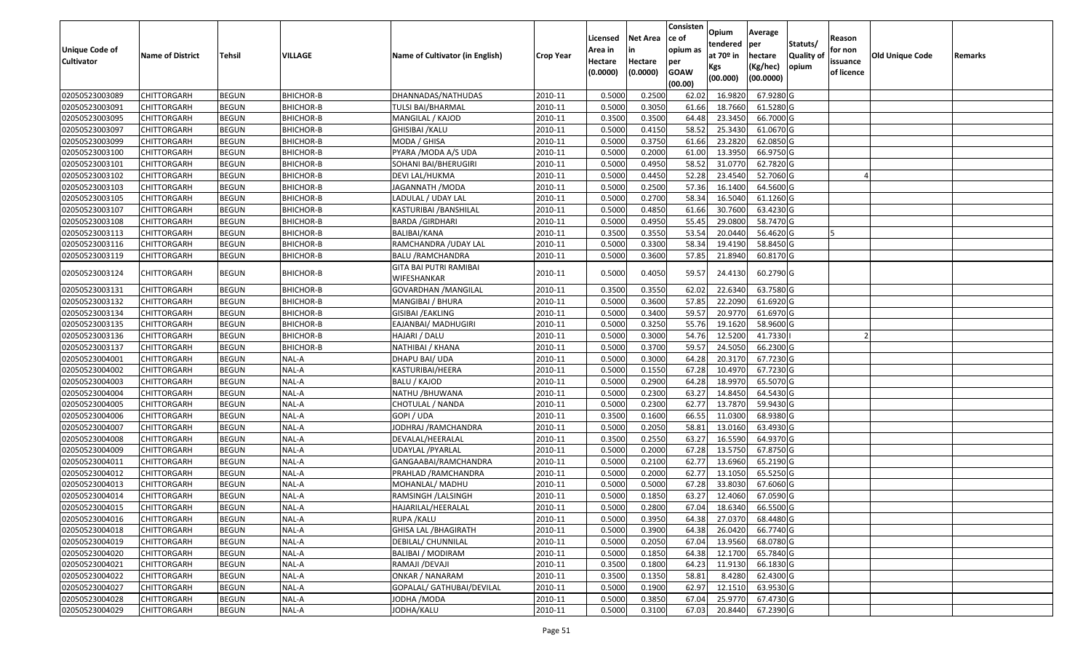|                       |                         |               |                  |                                 |                  | Licensed | <b>Net Area</b> | Consisten<br>ce of | Opium       | Average     |                  | Reason     |                        |         |
|-----------------------|-------------------------|---------------|------------------|---------------------------------|------------------|----------|-----------------|--------------------|-------------|-------------|------------------|------------|------------------------|---------|
| <b>Unique Code of</b> |                         |               |                  |                                 |                  | Area in  |                 | opium as           | tendered    | per         | Statuts/         | for non    |                        |         |
| <b>Cultivator</b>     | <b>Name of District</b> | <b>Tehsil</b> | VILLAGE          | Name of Cultivator (in English) | <b>Crop Year</b> | Hectare  | Hectare         | per                | at $70°$ in | hectare     | <b>Quality o</b> | issuance   | <b>Old Unique Code</b> | Remarks |
|                       |                         |               |                  |                                 |                  | (0.0000) | (0.0000)        | <b>GOAW</b>        | Kgs         | (Kg/hec)    | opium            | of licence |                        |         |
|                       |                         |               |                  |                                 |                  |          |                 | (00.00)            | (00.000)    | (00.0000)   |                  |            |                        |         |
| 02050523003089        | CHITTORGARH             | <b>BEGUN</b>  | BHICHOR-B        | DHANNADAS/NATHUDAS              | 2010-11          | 0.5000   | 0.2500          | 62.02              | 16.9820     | 67.9280 G   |                  |            |                        |         |
| 02050523003091        | CHITTORGARH             | <b>BEGUN</b>  | <b>BHICHOR-B</b> | TULSI BAI/BHARMAL               | 2010-11          | 0.5000   | 0.3050          | 61.66              | 18.7660     | 61.5280 G   |                  |            |                        |         |
| 02050523003095        | CHITTORGARH             | <b>BEGUN</b>  | <b>BHICHOR-B</b> | MANGILAL / KAJOD                | 2010-11          | 0.3500   | 0.3500          | 64.48              | 23.3450     | 66.7000 G   |                  |            |                        |         |
| 02050523003097        | <b>CHITTORGARH</b>      | <b>BEGUN</b>  | <b>BHICHOR-B</b> | <b>GHISIBAI / KALU</b>          | 2010-11          | 0.5000   | 0.4150          | 58.52              | 25.3430     | 61.0670 G   |                  |            |                        |         |
| 02050523003099        | CHITTORGARH             | <b>BEGUN</b>  | BHICHOR-B        | MODA / GHISA                    | 2010-11          | 0.5000   | 0.3750          | 61.66              | 23.282      | 62.0850 G   |                  |            |                        |         |
| 02050523003100        | CHITTORGARH             | <b>BEGUN</b>  | BHICHOR-B        | PYARA / MODA A/S UDA            | 2010-11          | 0.5000   | 0.2000          | 61.00              | 13.3950     | 66.9750 G   |                  |            |                        |         |
| 02050523003101        | CHITTORGARH             | <b>BEGUN</b>  | <b>BHICHOR-B</b> | SOHANI BAI/BHERUGIRI            | 2010-11          | 0.5000   | 0.4950          | 58.52              | 31.077      | 62.7820 G   |                  |            |                        |         |
| 02050523003102        | CHITTORGARH             | <b>BEGUN</b>  | BHICHOR-B        | DEVI LAL/HUKMA                  | 2010-11          | 0.5000   | 0.4450          | 52.28              | 23.4540     | 52.7060 G   |                  |            |                        |         |
| 02050523003103        | CHITTORGARH             | <b>BEGUN</b>  | BHICHOR-B        | JAGANNATH / MODA                | 2010-11          | 0.5000   | 0.2500          | 57.36              | 16.1400     | 64.5600 G   |                  |            |                        |         |
| 02050523003105        | CHITTORGARH             | <b>BEGUN</b>  | BHICHOR-B        | LADULAL / UDAY LAL              | 2010-11          | 0.5000   | 0.2700          | 58.34              | 16.5040     | 61.1260 G   |                  |            |                        |         |
| 02050523003107        | CHITTORGARH             | <b>BEGUN</b>  | <b>BHICHOR-B</b> | KASTURIBAI / BANSHILAL          | 2010-11          | 0.5000   | 0.4850          | 61.66              | 30.7600     | 63.4230 G   |                  |            |                        |         |
| 02050523003108        | CHITTORGARH             | <b>BEGUN</b>  | BHICHOR-B        | <b>BARDA / GIRDHARI</b>         | 2010-11          | 0.5000   | 0.4950          | 55.45              | 29.0800     | 58.7470 G   |                  |            |                        |         |
| 02050523003113        | <b>CHITTORGARH</b>      | <b>BEGUN</b>  | <b>BHICHOR-B</b> | <b>BALIBAI/KANA</b>             | 2010-11          | 0.3500   | 0.3550          | 53.54              | 20.0440     | 56.4620 G   |                  |            |                        |         |
| 02050523003116        | CHITTORGARH             | <b>BEGUN</b>  | <b>BHICHOR-B</b> | RAMCHANDRA / UDAY LAL           | 2010-11          | 0.5000   | 0.3300          | 58.34              | 19.4190     | 58.8450 G   |                  |            |                        |         |
| 02050523003119        | CHITTORGARH             | <b>BEGUN</b>  | <b>BHICHOR-B</b> | BALU /RAMCHANDRA                | 2010-11          | 0.5000   | 0.3600          | 57.85              | 21.8940     | 60.8170 G   |                  |            |                        |         |
| 02050523003124        | CHITTORGARH             | <b>BEGUN</b>  | <b>BHICHOR-B</b> | GITA BAI PUTRI RAMIBAI          | 2010-11          | 0.5000   | 0.4050          | 59.57              | 24.4130     | 60.2790 G   |                  |            |                        |         |
|                       |                         |               |                  | WIFESHANKAR                     |                  |          |                 |                    |             |             |                  |            |                        |         |
| 02050523003131        | CHITTORGARH             | <b>BEGUN</b>  | <b>BHICHOR-B</b> | GOVARDHAN /MANGILAL             | 2010-11          | 0.350    | 0.3550          | 62.02              | 22.6340     | 63.7580 G   |                  |            |                        |         |
| 02050523003132        | CHITTORGARH             | <b>BEGUN</b>  | <b>BHICHOR-B</b> | MANGIBAI / BHURA                | 2010-11          | 0.5000   | 0.3600          | 57.85              | 22.2090     | 61.6920 G   |                  |            |                        |         |
| 02050523003134        | CHITTORGARH             | <b>BEGUN</b>  | BHICHOR-B        | GISIBAI /EAKLING                | 2010-11          | 0.5000   | 0.3400          | 59.57              | 20.9770     | 61.6970 G   |                  |            |                        |         |
| 02050523003135        | CHITTORGARH             | <b>BEGUN</b>  | <b>BHICHOR-B</b> | EAJANBAI/ MADHUGIRI             | 2010-11          | 0.5000   | 0.3250          | 55.76              | 19.1620     | 58.9600 G   |                  |            |                        |         |
| 02050523003136        | CHITTORGARH             | <b>BEGUN</b>  | <b>BHICHOR-B</b> | HAJARI / DALU                   | 2010-11          | 0.5000   | 0.3000          | 54.76              | 12.5200     | 41.7330     |                  |            |                        |         |
| 02050523003137        | CHITTORGARH             | <b>BEGUN</b>  | <b>BHICHOR-B</b> | NATHIBAI / KHANA                | 2010-11          | 0.5000   | 0.3700          | 59.57              | 24.5050     | 66.2300 G   |                  |            |                        |         |
| 02050523004001        | CHITTORGARH             | <b>BEGUN</b>  | NAL-A            | DHAPU BAI/ UDA                  | 2010-11          | 0.5000   | 0.3000          | 64.28              | 20.3170     | 67.7230 G   |                  |            |                        |         |
| 02050523004002        | CHITTORGARH             | <b>BEGUN</b>  | NAL-A            | KASTURIBAI/HEERA                | 2010-11          | 0.5000   | 0.1550          | 67.28              | 10.4970     | 67.7230 G   |                  |            |                        |         |
| 02050523004003        | CHITTORGARH             | <b>BEGUN</b>  | NAL-A            | BALU / KAJOD                    | 2010-11          | 0.5000   | 0.2900          | 64.28              | 18.9970     | 65.5070 G   |                  |            |                        |         |
| 02050523004004        | CHITTORGARH             | <b>BEGUN</b>  | NAL-A            | NATHU /BHUWANA                  | 2010-11          | 0.5000   | 0.2300          | 63.27              | 14.8450     | 64.5430 G   |                  |            |                        |         |
| 02050523004005        | CHITTORGARH             | <b>BEGUN</b>  | NAL-A            | CHOTULAL / NANDA                | 2010-11          | 0.5000   | 0.2300          | 62.77              | 13.7870     | 59.9430 G   |                  |            |                        |         |
| 02050523004006        | CHITTORGARH             | <b>BEGUN</b>  | NAL-A            | GOPI / UDA                      | 2010-11          | 0.3500   | 0.1600          | 66.55              | 11.0300     | 68.9380 G   |                  |            |                        |         |
| 02050523004007        | CHITTORGARH             | <b>BEGUN</b>  | NAL-A            | JODHRAJ / RAMCHANDRA            | 2010-11          | 0.5000   | 0.2050          | 58.81              | 13.0160     | 63.4930 G   |                  |            |                        |         |
| 02050523004008        | CHITTORGARH             | <b>BEGUN</b>  | NAL-A            | DEVALAL/HEERALAL                | 2010-11          | 0.3500   | 0.2550          | 63.27              | 16.5590     | 64.9370 G   |                  |            |                        |         |
| 02050523004009        | CHITTORGARH             | <b>BEGUN</b>  | NAL-A            | JDAYLAL /PYARLAL                | 2010-11          | 0.5000   | 0.2000          | 67.28              | 13.575      | 67.8750 G   |                  |            |                        |         |
| 02050523004011        | CHITTORGARH             | <b>BEGUN</b>  | NAL-A            | GANGAABAI/RAMCHANDRA            | 2010-11          | 0.5000   | 0.2100          | 62.77              | 13.6960     | 65.2190 G   |                  |            |                        |         |
| 02050523004012        | <b>CHITTORGARH</b>      | <b>BEGUN</b>  | NAL-A            | PRAHLAD / RAMCHANDRA            | 2010-11          | 0.5000   | 0.2000          | 62.77              | 13.1050     | 65.5250 G   |                  |            |                        |         |
| 02050523004013        | CHITTORGARH             | <b>BEGUN</b>  | NAL-A            | MOHANLAL/ MADHU                 | 2010-11          | 0.500    | 0.5000          | 67.28              | 33.8030     | 67.6060 G   |                  |            |                        |         |
| 02050523004014        | CHITTORGARH             | <b>BEGUN</b>  | NAL-A            | RAMSINGH /LALSINGH              | 2010-11          | 0.5000   | 0.1850          | 63.27              | 12.4060     | 67.0590 G   |                  |            |                        |         |
| 02050523004015        | <b>CHITTORGARH</b>      | <b>BEGUN</b>  | NAL-A            | HAJARILAL/HEERALAL              | 2010-11          | 0.5000   | 0.2800          | 67.04              | 18.6340     | 66.5500 G   |                  |            |                        |         |
| 02050523004016        | <b>CHITTORGARH</b>      | <b>BEGUN</b>  | NAL-A            | RUPA / KALU                     | 2010-11          | 0.5000   | 0.3950          | 64.38              | 27.0370     | 68.4480 G   |                  |            |                        |         |
| 02050523004018        | <b>CHITTORGARH</b>      | <b>BEGUN</b>  | NAL-A            | <b>GHISA LAL /BHAGIRATH</b>     | 2010-11          | 0.5000   | 0.3900          | 64.38              | 26.0420     | 66.7740 G   |                  |            |                        |         |
| 02050523004019        | <b>CHITTORGARH</b>      | <b>BEGUN</b>  | NAL-A            | DEBILAL/ CHUNNILAL              | 2010-11          | 0.5000   | 0.2050          | 67.04              | 13.9560     | 68.0780 G   |                  |            |                        |         |
| 02050523004020        | <b>CHITTORGARH</b>      | <b>BEGUN</b>  | NAL-A            | BALIBAI / MODIRAM               | 2010-11          | 0.5000   | 0.1850          | 64.38              | 12.1700     | 65.7840 G   |                  |            |                        |         |
| 02050523004021        | <b>CHITTORGARH</b>      | <b>BEGUN</b>  | NAL-A            | RAMAJI / DEVAJI                 | 2010-11          | 0.3500   | 0.1800          | 64.23              | 11.9130     | 66.1830 G   |                  |            |                        |         |
| 02050523004022        | <b>CHITTORGARH</b>      | <b>BEGUN</b>  | NAL-A            | ONKAR / NANARAM                 | 2010-11          | 0.3500   | 0.1350          | 58.81              | 8.4280      | 62.4300 G   |                  |            |                        |         |
| 02050523004027        | CHITTORGARH             | <b>BEGUN</b>  | NAL-A            | GOPALAL/ GATHUBAI/DEVILAL       | 2010-11          | 0.5000   | 0.1900          | 62.97              | 12.1510     | 63.9530 G   |                  |            |                        |         |
| 02050523004028        | <b>CHITTORGARH</b>      | <b>BEGUN</b>  | NAL-A            | JODHA /MODA                     | 2010-11          | 0.5000   | 0.3850          | 67.04              | 25.9770     | 67.4730 G   |                  |            |                        |         |
| 02050523004029        | <b>CHITTORGARH</b>      | <b>BEGUN</b>  | NAL-A            | JODHA/KALU                      | 2010-11          | 0.5000   | 0.3100          | 67.03              | 20.8440     | $67.2390$ G |                  |            |                        |         |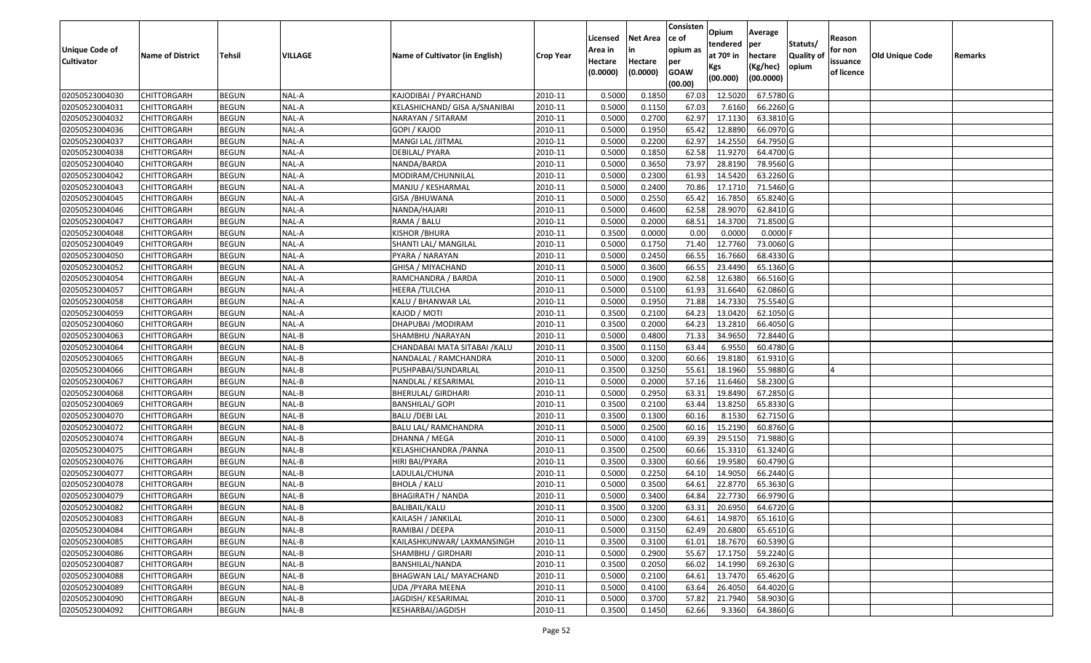| Unique Code of<br>Cultivator | <b>Name of District</b> | Tehsil       | <b>VILLAGE</b> | Name of Cultivator (in English) | <b>Crop Year</b> | Licensed<br>Area in<br>Hectare<br>(0.0000) | Net Area<br>Hectare<br>(0.0000) | Consisten<br>ce of<br>opium as<br>per<br><b>GOAW</b><br>(00.00) | Opium<br>tendered<br>at 70º in<br>Kgs<br>(00.000) | Average<br> per<br>hectare<br>(Kg/hec)<br>(00.0000) | Statuts/<br>Quality of<br>opium | Reason<br>for non<br>issuance<br>of licence | Old Unique Code | Remarks |
|------------------------------|-------------------------|--------------|----------------|---------------------------------|------------------|--------------------------------------------|---------------------------------|-----------------------------------------------------------------|---------------------------------------------------|-----------------------------------------------------|---------------------------------|---------------------------------------------|-----------------|---------|
| 02050523004030               | <b>CHITTORGARH</b>      | <b>BEGUN</b> | NAL-A          | KAJODIBAI / PYARCHAND           | 2010-11          | 0.5000                                     | 0.1850                          | 67.03                                                           | 12.5020                                           | 67.5780 G                                           |                                 |                                             |                 |         |
| 02050523004031               | <b>CHITTORGARH</b>      | <b>BEGUN</b> | NAL-A          | KELASHICHAND/ GISA A/SNANIBAI   | 2010-11          | 0.5000                                     | 0.1150                          | 67.03                                                           | 7.6160                                            | 66.2260 G                                           |                                 |                                             |                 |         |
| 02050523004032               | CHITTORGARH             | <b>BEGUN</b> | NAL-A          | NARAYAN / SITARAM               | 2010-11          | 0.5000                                     | 0.2700                          | 62.97                                                           | 17.1130                                           | 63.3810 G                                           |                                 |                                             |                 |         |
| 02050523004036               | <b>CHITTORGARH</b>      | <b>BEGUN</b> | NAL-A          | GOPI / KAJOD                    | 2010-11          | 0.5000                                     | 0.1950                          | 65.42                                                           | 12.8890                                           | 66.0970 G                                           |                                 |                                             |                 |         |
| 02050523004037               | <b>CHITTORGARH</b>      | <b>BEGUN</b> | NAL-A          | MANGI LAL /JITMAL               | 2010-11          | 0.5000                                     | 0.2200                          | 62.97                                                           | 14.2550                                           | 64.7950 G                                           |                                 |                                             |                 |         |
| 02050523004038               | <b>CHITTORGARH</b>      | <b>BEGUN</b> | NAL-A          | DEBILAL/ PYARA                  | 2010-11          | 0.5000                                     | 0.1850                          | 62.58                                                           | 11.9270                                           | 64.4700 G                                           |                                 |                                             |                 |         |
| 02050523004040               | CHITTORGARH             | <b>BEGUN</b> | NAL-A          | NANDA/BARDA                     | 2010-11          | 0.5000                                     | 0.3650                          | 73.97                                                           | 28.8190                                           | 78.9560 G                                           |                                 |                                             |                 |         |
| 02050523004042               | CHITTORGARH             | <b>BEGUN</b> | NAL-A          | MODIRAM/CHUNNILAL               | 2010-11          | 0.5000                                     | 0.2300                          | 61.93                                                           | 14.5420                                           | 63.2260 G                                           |                                 |                                             |                 |         |
| 02050523004043               | CHITTORGARH             | <b>BEGUN</b> | NAL-A          | MANJU / KESHARMAL               | 2010-11          | 0.5000                                     | 0.2400                          | 70.86                                                           | 17.1710                                           | 71.5460 G                                           |                                 |                                             |                 |         |
| 02050523004045               | CHITTORGARH             | <b>BEGUN</b> | NAL-A          | <b>GISA / BHUWANA</b>           | 2010-11          | 0.5000                                     | 0.2550                          | 65.42                                                           | 16.7850                                           | 65.8240 G                                           |                                 |                                             |                 |         |
| 02050523004046               | <b>CHITTORGARH</b>      | <b>BEGUN</b> | NAL-A          | NANDA/HAJARI                    | 2010-11          | 0.5000                                     | 0.4600                          | 62.58                                                           | 28.9070                                           | 62.8410 G                                           |                                 |                                             |                 |         |
| 02050523004047               | <b>CHITTORGARH</b>      | <b>BEGUN</b> | NAL-A          | RAMA / BALU                     | 2010-11          | 0.5000                                     | 0.2000                          | 68.51                                                           | 14.3700                                           | 71.8500 G                                           |                                 |                                             |                 |         |
| 02050523004048               | <b>CHITTORGARH</b>      | <b>BEGUN</b> | <b>NAL-A</b>   | <b>KISHOR / BHURA</b>           | 2010-11          | 0.3500                                     | 0.0000                          | 0.00                                                            | 0.0000                                            | 0.0000                                              |                                 |                                             |                 |         |
| 02050523004049               | <b>CHITTORGARH</b>      | <b>BEGUN</b> | NAL-A          | SHANTI LAL/ MANGILAL            | 2010-11          | 0.5000                                     | 0.1750                          | 71.40                                                           | 12.7760                                           | 73.0060 G                                           |                                 |                                             |                 |         |
| 02050523004050               | <b>CHITTORGARH</b>      | <b>BEGUN</b> | NAL-A          | PYARA / NARAYAN                 | 2010-11          | 0.5000                                     | 0.2450                          | 66.55                                                           | 16.7660                                           | 68.4330 G                                           |                                 |                                             |                 |         |
| 02050523004052               | <b>CHITTORGARH</b>      | <b>BEGUN</b> | NAL-A          | GHISA / MIYACHAND               | 2010-11          | 0.5000                                     | 0.3600                          | 66.55                                                           | 23.4490                                           | 65.1360 G                                           |                                 |                                             |                 |         |
| 02050523004054               | <b>CHITTORGARH</b>      | <b>BEGUN</b> | NAL-A          | RAMCHANDRA / BARDA              | 2010-11          | 0.5000                                     | 0.1900                          | 62.58                                                           | 12.6380                                           | 66.5160 G                                           |                                 |                                             |                 |         |
| 02050523004057               | <b>CHITTORGARH</b>      | <b>BEGUN</b> | NAL-A          | <b>HEERA /TULCHA</b>            | 2010-11          | 0.5000                                     | 0.5100                          | 61.93                                                           | 31.6640                                           | 62.0860 G                                           |                                 |                                             |                 |         |
| 02050523004058               | CHITTORGARH             | <b>BEGUN</b> | NAL-A          | KALU / BHANWAR LAL              | 2010-11          | 0.5000                                     | 0.1950                          | 71.88                                                           | 14.7330                                           | 75.5540 G                                           |                                 |                                             |                 |         |
| 02050523004059               | CHITTORGARH             | <b>BEGUN</b> | NAL-A          | KAJOD / MOTI                    | 2010-11          | 0.3500                                     | 0.2100                          | 64.23                                                           | 13.0420                                           | 62.1050 G                                           |                                 |                                             |                 |         |
| 02050523004060               | <b>CHITTORGARH</b>      | <b>BEGUN</b> | <b>NAL-A</b>   | DHAPUBAI / MODIRAM              | 2010-11          | 0.3500                                     | 0.2000                          | 64.23                                                           | 13.2810                                           | 66.4050 G                                           |                                 |                                             |                 |         |
| 02050523004063               | CHITTORGARH             | <b>BEGUN</b> | NAL-B          | SHAMBHU / NARAYAN               | 2010-11          | 0.5000                                     | 0.4800                          | 71.33                                                           | 34.9650                                           | 72.8440 G                                           |                                 |                                             |                 |         |
| 02050523004064               | CHITTORGARH             | <b>BEGUN</b> | NAL-B          | CHANDABAI MATA SITABAI / KALU   | 2010-11          | 0.3500                                     | 0.1150                          | 63.44                                                           | 6.9550                                            | 60.4780 G                                           |                                 |                                             |                 |         |
| 02050523004065               | CHITTORGARH             | <b>BEGUN</b> | NAL-B          | NANDALAL / RAMCHANDRA           | 2010-11          | 0.5000                                     | 0.3200                          | 60.66                                                           | 19.8180                                           | 61.9310 G                                           |                                 |                                             |                 |         |
| 02050523004066               | <b>CHITTORGARH</b>      | <b>BEGUN</b> | NAL-B          | PUSHPABAI/SUNDARLAL             | 2010-11          | 0.3500                                     | 0.3250                          | 55.61                                                           | 18.1960                                           | 55.9880 G                                           |                                 |                                             |                 |         |
| 02050523004067               | <b>CHITTORGARH</b>      | <b>BEGUN</b> | NAL-B          | NANDLAL / KESARIMAL             | 2010-11          | 0.5000                                     | 0.2000                          | 57.16                                                           | 11.6460                                           | 58.2300 G                                           |                                 |                                             |                 |         |
| 02050523004068               | <b>CHITTORGARH</b>      | <b>BEGUN</b> | NAL-B          | <b>BHERULAL/ GIRDHARI</b>       | 2010-11          | 0.5000                                     | 0.2950                          | 63.31                                                           | 19.8490                                           | 67.2850 G                                           |                                 |                                             |                 |         |
| 02050523004069               | CHITTORGARH             | <b>BEGUN</b> | NAL-B          | <b>BANSHILAL/ GOPI</b>          | 2010-11          | 0.3500                                     | 0.2100                          | 63.44                                                           | 13.8250                                           | 65.8330 G                                           |                                 |                                             |                 |         |
| 02050523004070               | <b>CHITTORGARH</b>      | <b>BEGUN</b> | NAL-B          | <b>BALU /DEBI LAL</b>           | 2010-11          | 0.3500                                     | 0.1300                          | 60.16                                                           | 8.1530                                            | 62.7150 G                                           |                                 |                                             |                 |         |
| 02050523004072               | CHITTORGARH             | <b>BEGUN</b> | NAL-B          | <b>BALU LAL/ RAMCHANDRA</b>     | 2010-11          | 0.5000                                     | 0.2500                          | 60.16                                                           | 15.2190                                           | 60.8760 G                                           |                                 |                                             |                 |         |
| 02050523004074               | CHITTORGARH             | <b>BEGUN</b> | NAL-B          | DHANNA / MEGA                   | 2010-11          | 0.5000                                     | 0.4100                          | 69.39                                                           | 29.5150                                           | 71.9880 G                                           |                                 |                                             |                 |         |
| 02050523004075               | CHITTORGARH             | <b>BEGUN</b> | NAL-B          | KELASHICHANDRA / PANNA          | 2010-11          | 0.3500                                     | 0.2500                          | 60.66                                                           | 15.3310                                           | 61.3240 G                                           |                                 |                                             |                 |         |
| 02050523004076               | CHITTORGARH             | <b>BEGUN</b> | NAL-B          | HIRI BAI/PYARA                  | 2010-11          | 0.3500                                     | 0.3300                          | 60.66                                                           | 19.9580                                           | 60.4790 G                                           |                                 |                                             |                 |         |
| 02050523004077               | CHITTORGARH             | <b>BEGUN</b> | NAL-B          | LADULAL/CHUNA                   | 2010-11          | 0.5000                                     | 0.2250                          | 64.10                                                           | 14.9050                                           | 66.2440 G                                           |                                 |                                             |                 |         |
| 02050523004078               | CHITTORGARH             | <b>BEGUN</b> | NAL-B          | <b>BHOLA / KALU</b>             | 2010-11          | 0.5000                                     | 0.3500                          | 64.61                                                           | 22.8770                                           | 65.3630 G                                           |                                 |                                             |                 |         |
| 02050523004079               | <b>CHITTORGARH</b>      | <b>BEGUN</b> | NAL-B          | <b>BHAGIRATH / NANDA</b>        | 2010-11          | 0.5000                                     | 0.3400                          | 64.84                                                           | 22.7730                                           | 66.9790 G                                           |                                 |                                             |                 |         |
| 02050523004082               | <b>CHITTORGARH</b>      | <b>BEGUN</b> | NAL-B          | BALIBAIL/KALU                   | 2010-11          | 0.3500                                     | 0.3200                          | 63.31                                                           | 20.6950                                           | 64.6720 G                                           |                                 |                                             |                 |         |
| 02050523004083               | <b>CHITTORGARH</b>      | <b>BEGUN</b> | NAL-B          | KAILASH / JANKILAL              | 2010-11          | 0.5000                                     | 0.2300                          | 64.61                                                           | 14.9870                                           | 65.1610 G                                           |                                 |                                             |                 |         |
| 02050523004084               | <b>CHITTORGARH</b>      | <b>BEGUN</b> | NAL-B          | RAMIBAI / DEEPA                 | 2010-11          | 0.5000                                     | 0.3150                          | 62.49                                                           | 20.6800                                           | 65.6510 G                                           |                                 |                                             |                 |         |
| 02050523004085               | <b>CHITTORGARH</b>      | <b>BEGUN</b> | NAL-B          | KAILASHKUNWAR/ LAXMANSINGH      | 2010-11          | 0.3500                                     | 0.3100                          | 61.01                                                           | 18.7670                                           | 60.5390 G                                           |                                 |                                             |                 |         |
| 02050523004086               | <b>CHITTORGARH</b>      | <b>BEGUN</b> | NAL-B          | SHAMBHU / GIRDHARI              | 2010-11          | 0.5000                                     | 0.2900                          | 55.67                                                           | 17.1750                                           | 59.2240 G                                           |                                 |                                             |                 |         |
| 02050523004087               | <b>CHITTORGARH</b>      | <b>BEGUN</b> | NAL-B          | BANSHILAL/NANDA                 | 2010-11          | 0.3500                                     | 0.2050                          | 66.02                                                           | 14.1990                                           | 69.2630 G                                           |                                 |                                             |                 |         |
| 02050523004088               | <b>CHITTORGARH</b>      | <b>BEGUN</b> | NAL-B          | <b>BHAGWAN LAL/ MAYACHAND</b>   | 2010-11          | 0.5000                                     | 0.2100                          | 64.61                                                           | 13.7470                                           | 65.4620 G                                           |                                 |                                             |                 |         |
| 02050523004089               | <b>CHITTORGARH</b>      | <b>BEGUN</b> | NAL-B          | UDA / PYARA MEENA               | 2010-11          | 0.5000                                     | 0.4100                          | 63.64                                                           | 26.4050                                           | 64.4020 G                                           |                                 |                                             |                 |         |
| 02050523004090               | <b>CHITTORGARH</b>      | <b>BEGUN</b> | $NAL-B$        | JAGDISH/ KESARIMAL              | 2010-11          | 0.5000                                     | 0.3700                          | 57.82                                                           | 21.7940                                           | 58.9030 G                                           |                                 |                                             |                 |         |
| 02050523004092               | <b>CHITTORGARH</b>      | <b>BEGUN</b> | NAL-B          | KESHARBAI/JAGDISH               | 2010-11          | 0.3500                                     | 0.1450                          | 62.66                                                           | 9.3360                                            | 64.3860 G                                           |                                 |                                             |                 |         |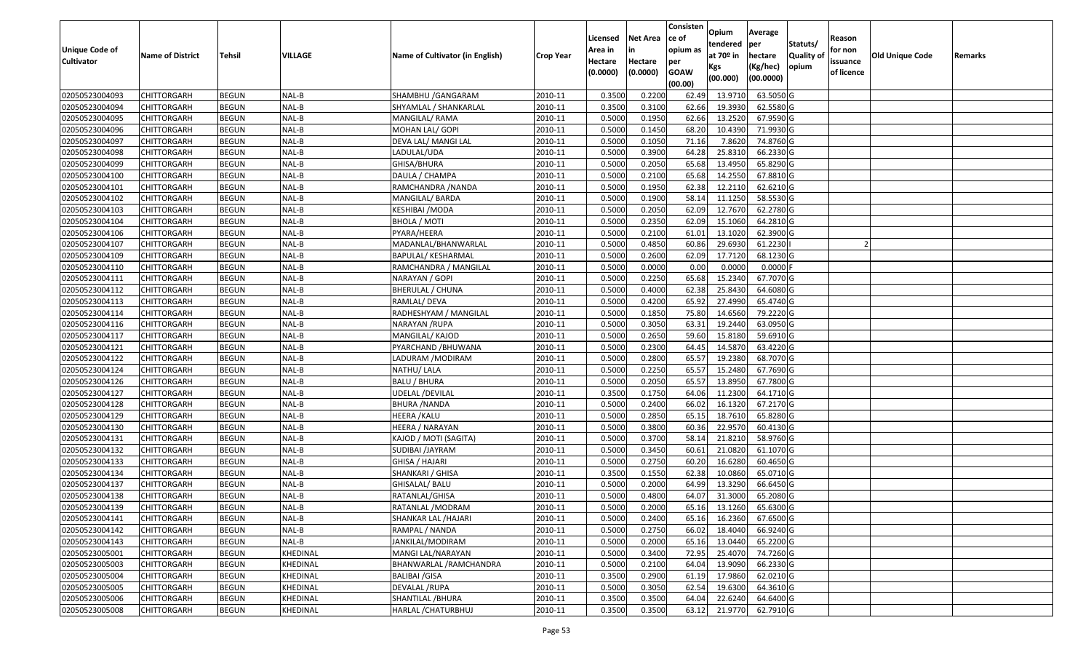|                       |                         |               |                 |                                 |                  |                     |                     | Consisten          | Opium         | Average     |                  |                        |                 |         |
|-----------------------|-------------------------|---------------|-----------------|---------------------------------|------------------|---------------------|---------------------|--------------------|---------------|-------------|------------------|------------------------|-----------------|---------|
|                       |                         |               |                 |                                 |                  | Licensed            | <b>Net Area</b>     | ce of              | tendered      | per         | Statuts/         | Reason                 |                 |         |
| <b>Unique Code of</b> | <b>Name of District</b> | <b>Tehsil</b> | VILLAGE         | Name of Cultivator (in English) | <b>Crop Year</b> | Area in             |                     | opium as           | at $70°$ in   | hectare     | <b>Quality o</b> | for non                | Old Unique Code | Remarks |
| <b>Cultivator</b>     |                         |               |                 |                                 |                  | Hectare<br>(0.0000) | Hectare<br>(0.0000) | per<br><b>GOAW</b> | Kgs           | (Kg/hec)    | opium            | issuance<br>of licence |                 |         |
|                       |                         |               |                 |                                 |                  |                     |                     | (00.00)            | (00.000)      | (00.0000)   |                  |                        |                 |         |
| 02050523004093        | CHITTORGARH             | <b>BEGUN</b>  | NAL-B           | SHAMBHU / GANGARAM              | 2010-11          | 0.3500              | 0.2200              | 62.49              | 13.971        | 63.5050 G   |                  |                        |                 |         |
| 02050523004094        | CHITTORGARH             | <b>BEGUN</b>  | NAL-B           | SHYAMLAL / SHANKARLAL           | 2010-11          | 0.3500              | 0.3100              | 62.66              | 19.3930       | 62.5580 G   |                  |                        |                 |         |
| 02050523004095        | CHITTORGARH             | <b>BEGUN</b>  | NAL-B           | MANGILAL/ RAMA                  | 2010-11          | 0.5000              | 0.1950              | 62.66              | 13.2520       | 67.9590 G   |                  |                        |                 |         |
| 02050523004096        | <b>CHITTORGARH</b>      | <b>BEGUN</b>  | NAL-B           | MOHAN LAL/ GOPI                 | 2010-11          | 0.5000              | 0.1450              | 68.20              | 10.4390       | 71.9930 G   |                  |                        |                 |         |
| 02050523004097        | CHITTORGARH             | <b>BEGUN</b>  | NAL-B           | DEVA LAL/ MANGI LAL             | 2010-11          | 0.5000              | 0.1050              | 71.16              | 7.8620        | 74.8760 G   |                  |                        |                 |         |
| 02050523004098        | CHITTORGARH             | <b>BEGUN</b>  | NAL-B           | LADULAL/UDA                     | 2010-11          | 0.5000              | 0.3900              | 64.28              | 25.8310       | $66.2330$ G |                  |                        |                 |         |
| 02050523004099        | CHITTORGARH             | <b>BEGUN</b>  | NAL-B           | GHISA/BHURA                     | 2010-11          | 0.5000              | 0.2050              | 65.68              | 13.495        | 65.8290 G   |                  |                        |                 |         |
| 02050523004100        | <b>CHITTORGARH</b>      | <b>BEGUN</b>  | NAL-B           | DAULA / CHAMPA                  | 2010-11          | 0.5000              | 0.2100              | 65.68              | 14.2550       | 67.8810 G   |                  |                        |                 |         |
| 02050523004101        | CHITTORGARH             | <b>BEGUN</b>  | NAL-B           | RAMCHANDRA / NANDA              | 2010-11          | 0.5000              | 0.1950              | 62.38              | 12.2110       | 62.6210 G   |                  |                        |                 |         |
| 02050523004102        | CHITTORGARH             | <b>BEGUN</b>  | NAL-B           | MANGILAL/ BARDA                 | 2010-11          | 0.5000              | 0.1900              | 58.1               | 11.1250       | 58.5530 G   |                  |                        |                 |         |
| 02050523004103        | CHITTORGARH             | <b>BEGUN</b>  | NAL-B           | KESHIBAI /MODA                  | 2010-11          | 0.5000              | 0.2050              | 62.09              | 12.7670       | 62.2780 G   |                  |                        |                 |         |
| 02050523004104        | CHITTORGARH             | <b>BEGUN</b>  | NAL-B           | <b>BHOLA / MOTI</b>             | 2010-11          | 0.5000              | 0.2350              | 62.09              | 15.1060       | 64.2810 G   |                  |                        |                 |         |
| 02050523004106        | <b>CHITTORGARH</b>      | <b>BEGUN</b>  | NAL-B           | PYARA/HEERA                     | 2010-11          | 0.5000              | 0.2100              | 61.01              | 13.1020       | 62.3900 G   |                  |                        |                 |         |
| 02050523004107        | CHITTORGARH             | <b>BEGUN</b>  | NAL-B           | MADANLAL/BHANWARLAL             | 2010-11          | 0.5000              | 0.4850              | 60.86              | 29.6930       | 61.2230     |                  |                        |                 |         |
| 02050523004109        | <b>CHITTORGARH</b>      | <b>BEGUN</b>  | NAL-B           | BAPULAL/ KESHARMAL              | 2010-11          | 0.5000              | 0.2600              | 62.09              | 17.7120       | 68.1230 G   |                  |                        |                 |         |
| 02050523004110        | CHITTORGARH             | <b>BEGUN</b>  | NAL-B           | RAMCHANDRA / MANGILAL           | 2010-11          | 0.5000              | 0.0000              | 0.00               | 0.0000        | $0.0000$ F  |                  |                        |                 |         |
| 02050523004111        | CHITTORGARH             | <b>BEGUN</b>  | NAL-B           | NARAYAN / GOPI                  | 2010-11          | 0.5000              | 0.2250              | 65.68              | 15.2340       | 67.7070 G   |                  |                        |                 |         |
| 02050523004112        | CHITTORGARH             | <b>BEGUN</b>  | NAL-B           | BHERULAL / CHUNA                | 2010-11          | 0.5000              | 0.4000              | 62.38              | 25.8430       | 64.6080 G   |                  |                        |                 |         |
| 02050523004113        | CHITTORGARH             | <b>BEGUN</b>  | NAL-B           | RAMLAL/DEVA                     | 2010-11          | 0.5000              | 0.4200              | 65.92              | 27.4990       | 65.4740 G   |                  |                        |                 |         |
| 02050523004114        | CHITTORGARH             | <b>BEGUN</b>  | NAL-B           | RADHESHYAM / MANGILAL           | 2010-11          | 0.5000              | 0.1850              | 75.80              | 14.6560       | 79.2220G    |                  |                        |                 |         |
| 02050523004116        | CHITTORGARH             | <b>BEGUN</b>  | NAL-B           | NARAYAN /RUPA                   | 2010-11          | 0.5000              | 0.3050              | 63.3               | 19.2440       | 63.0950 G   |                  |                        |                 |         |
| 02050523004117        | CHITTORGARH             | <b>BEGUN</b>  | NAL-B           | MANGILAL/ KAJOD                 | 2010-11          | 0.500               | 0.2650              | 59.60              | 15.8180       | 59.6910G    |                  |                        |                 |         |
| 02050523004121        | CHITTORGARH             | <b>BEGUN</b>  | NAL-B           | PYARCHAND /BHUWANA              | 2010-11          | 0.5000              | 0.2300              | 64.45              | 14.5870       | 63.4220 G   |                  |                        |                 |         |
| 02050523004122        | CHITTORGARH             | <b>BEGUN</b>  | NAL-B           | LADURAM /MODIRAM                | 2010-11          | 0.5000              | 0.2800              | 65.5               | 19.2380       | 68.7070 G   |                  |                        |                 |         |
| 02050523004124        | <b>CHITTORGARH</b>      | <b>BEGUN</b>  | NAL-B           | NATHU/ LALA                     | 2010-11          | 0.5000              | 0.2250              | 65.57              | 15.2480       | 67.7690 G   |                  |                        |                 |         |
| 02050523004126        | CHITTORGARH             | <b>BEGUN</b>  | NAL-B           | <b>BALU / BHURA</b>             | 2010-11          | 0.5000              | 0.2050              | 65.57              | 13.8950       | 67.7800 G   |                  |                        |                 |         |
| 02050523004127        | CHITTORGARH             | <b>BEGUN</b>  | NAL-B           | UDELAL /DEVILAL                 | 2010-11          | 0.3500              | 0.1750              | 64.06              | 11.2300       | 64.1710 G   |                  |                        |                 |         |
| 02050523004128        | CHITTORGARH             | <b>BEGUN</b>  | NAL-B           | BHURA /NANDA                    | 2010-11          | 0.5000              | 0.2400              | 66.02              | 16.1320       | 67.2170 G   |                  |                        |                 |         |
| 02050523004129        | CHITTORGARH             | <b>BEGUN</b>  | NAL-B           | HEERA /KALU                     | 2010-11          | 0.5000              | 0.2850              | 65.15              | 18.7610       | 65.8280 G   |                  |                        |                 |         |
| 02050523004130        | CHITTORGARH             | <b>BEGUN</b>  | NAL-B           | HEERA / NARAYAN                 | 2010-11          | 0.5000              | 0.3800              | 60.36              | 22.9570       | 60.4130 G   |                  |                        |                 |         |
| 02050523004131        | CHITTORGARH             | <b>BEGUN</b>  | NAL-B           | KAJOD / MOTI (SAGITA)           | 2010-11          | 0.5000              | 0.3700              | 58.1               | 21.8210       | 58.9760 G   |                  |                        |                 |         |
| 02050523004132        | CHITTORGARH             | <b>BEGUN</b>  | NAL-B           | SUDIBAI /JAYRAM                 | 2010-11          | 0.5000              | 0.3450              | 60.6               | 21.0820       | 61.1070 G   |                  |                        |                 |         |
| 02050523004133        | CHITTORGARH             | <b>BEGUN</b>  | NAL-B           | GHISA / HAJARI                  | 2010-11          | 0.5000              | 0.2750              | 60.20              | 16.6280       | 60.4650G    |                  |                        |                 |         |
| 02050523004134        | CHITTORGARH             | <b>BEGUN</b>  | NAL-B           | SHANKARI / GHISA                | 2010-11          | 0.3500              | 0.1550              | 62.38              | 10.0860       | 65.0710 G   |                  |                        |                 |         |
| 02050523004137        | CHITTORGARH             | <b>BEGUN</b>  | NAL-B           | GHISALAL/ BALU                  | 2010-11          | 0.500               | 0.2000              | 64.99              | 13.3290       | 66.6450 G   |                  |                        |                 |         |
| 02050523004138        | CHITTORGARH             | <b>BEGUN</b>  | NAL-B           | RATANLAL/GHISA                  | 2010-11          | 0.5000              | 0.4800              | 64.07              | 31.3000       | 65.2080 G   |                  |                        |                 |         |
| 02050523004139        | <b>CHITTORGARH</b>      | <b>BEGUN</b>  | NAL-B           | RATANLAL / MODRAM               | 2010-11          | 0.5000              | 0.2000              |                    | 65.16 13.1260 | 65.6300 G   |                  |                        |                 |         |
| 02050523004141        | <b>CHITTORGARH</b>      | <b>BEGUN</b>  | NAL-B           | SHANKAR LAL /HAJARI             | 2010-11          | 0.5000              | 0.2400              | 65.16              | 16.2360       | 67.6500 G   |                  |                        |                 |         |
| 02050523004142        | <b>CHITTORGARH</b>      | <b>BEGUN</b>  | NAL-B           | RAMPAL / NANDA                  | 2010-11          | 0.5000              | 0.2750              | 66.02              | 18.4040       | 66.9240 G   |                  |                        |                 |         |
| 02050523004143        | <b>CHITTORGARH</b>      | <b>BEGUN</b>  | NAL-B           | JANKILAL/MODIRAM                | 2010-11          | 0.5000              | 0.2000              | 65.16              | 13.0440       | 65.2200 G   |                  |                        |                 |         |
| 02050523005001        | <b>CHITTORGARH</b>      | <b>BEGUN</b>  | KHEDINAL        | MANGI LAL/NARAYAN               | 2010-11          | 0.5000              | 0.3400              | 72.95              | 25.4070       | 74.7260 G   |                  |                        |                 |         |
| 02050523005003        | <b>CHITTORGARH</b>      | <b>BEGUN</b>  | <b>KHEDINAL</b> | BHANWARLAL /RAMCHANDRA          | 2010-11          | 0.5000              | 0.2100              | 64.04              | 13.9090       | 66.2330 G   |                  |                        |                 |         |
| 02050523005004        | <b>CHITTORGARH</b>      | <b>BEGUN</b>  | KHEDINAL        | <b>BALIBAI /GISA</b>            | 2010-11          | 0.3500              | 0.2900              | 61.19              | 17.9860       | 62.0210 G   |                  |                        |                 |         |
| 02050523005005        | <b>CHITTORGARH</b>      | <b>BEGUN</b>  | KHEDINAL        | DEVALAL /RUPA                   | 2010-11          | 0.5000              | 0.3050              | 62.54              | 19.6300       | 64.3610 G   |                  |                        |                 |         |
| 02050523005006        | <b>CHITTORGARH</b>      | <b>BEGUN</b>  | KHEDINAL        | SHANTILAL / BHURA               | 2010-11          | 0.3500              | 0.3500              | 64.04              | 22.6240       | 64.6400 G   |                  |                        |                 |         |
| 02050523005008        | <b>CHITTORGARH</b>      | <b>BEGUN</b>  | KHEDINAL        | HARLAL / CHATURBHUJ             | 2010-11          | 0.3500              | 0.3500              | 63.12              | 21.9770       | 62.7910 G   |                  |                        |                 |         |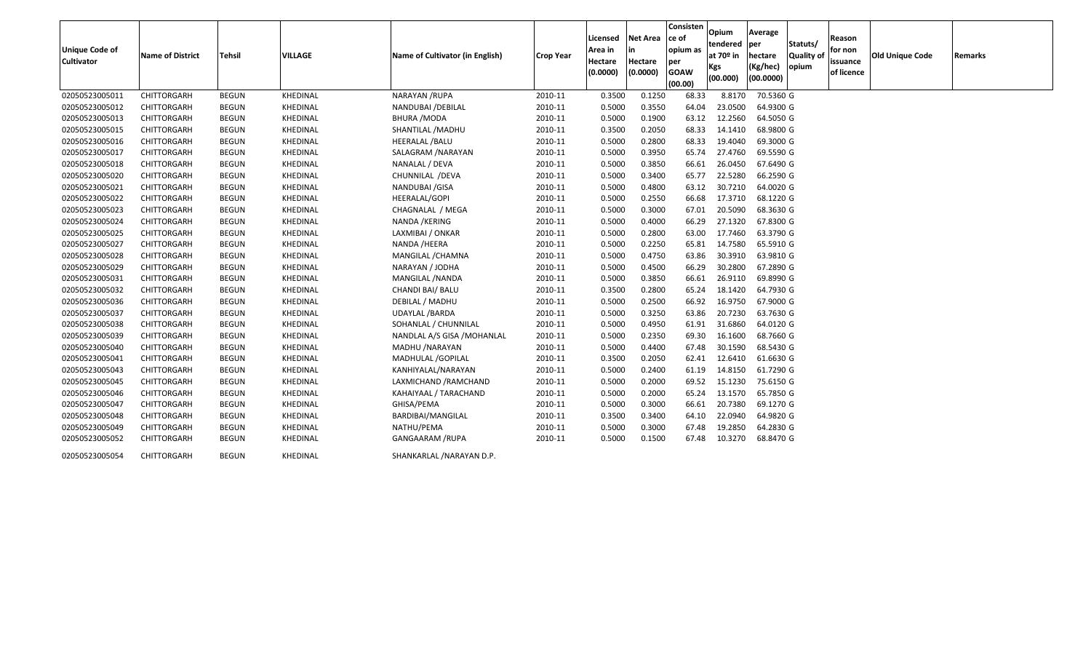| <b>Unique Code of</b><br><b>Cultivator</b> | <b>Name of District</b> | <b>Tehsil</b> | VILLAGE         | Name of Cultivator (in English) | <b>Crop Year</b> | Licensed<br>Area in<br>Hectare<br>(0.0000) | <b>Net Area</b><br>in<br>Hectare<br>(0.0000) | Consisten<br>ce of<br>opium as<br>per<br><b>GOAW</b><br>(00.00) | Opium<br>tendered<br>at 70° in<br>Kgs<br>(00.000) | Average<br>per<br>hectare<br>(Kg/hec)<br>(00.0000) | Statuts/<br><b>Quality of</b><br>opium | Reason<br>for non<br>issuance<br>of licence | <b>Old Unique Code</b> | Remarks |
|--------------------------------------------|-------------------------|---------------|-----------------|---------------------------------|------------------|--------------------------------------------|----------------------------------------------|-----------------------------------------------------------------|---------------------------------------------------|----------------------------------------------------|----------------------------------------|---------------------------------------------|------------------------|---------|
| 02050523005011                             | CHITTORGARH             | <b>BEGUN</b>  | KHEDINAL        | NARAYAN /RUPA                   | 2010-11          | 0.3500                                     | 0.1250                                       | 68.33                                                           | 8.8170                                            | 70.5360 G                                          |                                        |                                             |                        |         |
| 02050523005012                             | CHITTORGARH             | <b>BEGUN</b>  | KHEDINAL        | NANDUBAI / DEBILAL              | 2010-11          | 0.5000                                     | 0.3550                                       | 64.04                                                           | 23.0500                                           | 64.9300 G                                          |                                        |                                             |                        |         |
| 02050523005013                             | CHITTORGARH             | <b>BEGUN</b>  | KHEDINAL        | <b>BHURA /MODA</b>              | 2010-11          | 0.5000                                     | 0.1900                                       | 63.12                                                           | 12.2560                                           | 64.5050 G                                          |                                        |                                             |                        |         |
| 02050523005015                             | CHITTORGARH             | <b>BEGUN</b>  | KHEDINAL        | SHANTILAL / MADHU               | 2010-11          | 0.3500                                     | 0.2050                                       | 68.33                                                           | 14.1410                                           | 68.9800 G                                          |                                        |                                             |                        |         |
| 02050523005016                             | CHITTORGARH             | <b>BEGUN</b>  | KHEDINAL        | <b>HEERALAL /BALU</b>           | 2010-11          | 0.5000                                     | 0.2800                                       | 68.33                                                           | 19.4040                                           | 69.3000 G                                          |                                        |                                             |                        |         |
| 02050523005017                             | CHITTORGARH             | <b>BEGUN</b>  | KHEDINAL        | SALAGRAM / NARAYAN              | 2010-11          | 0.5000                                     | 0.3950                                       | 65.74                                                           | 27.4760                                           | 69.5590 G                                          |                                        |                                             |                        |         |
| 02050523005018                             | CHITTORGARH             | <b>BEGUN</b>  | KHEDINAL        | NANALAL / DEVA                  | 2010-11          | 0.5000                                     | 0.3850                                       | 66.61                                                           | 26.0450                                           | 67.6490 G                                          |                                        |                                             |                        |         |
| 02050523005020                             | CHITTORGARH             | <b>BEGUN</b>  | KHEDINAL        | CHUNNILAL /DEVA                 | 2010-11          | 0.5000                                     | 0.3400                                       | 65.77                                                           | 22.5280                                           | 66.2590 G                                          |                                        |                                             |                        |         |
| 02050523005021                             | CHITTORGARH             | <b>BEGUN</b>  | KHEDINAL        | NANDUBAI / GISA                 | 2010-11          | 0.5000                                     | 0.4800                                       | 63.12                                                           | 30.7210                                           | 64.0020 G                                          |                                        |                                             |                        |         |
| 02050523005022                             | CHITTORGARH             | <b>BEGUN</b>  | KHEDINAL        | <b>HEERALAL/GOPI</b>            | 2010-11          | 0.5000                                     | 0.2550                                       | 66.68                                                           | 17.3710                                           | 68.1220 G                                          |                                        |                                             |                        |         |
| 02050523005023                             | CHITTORGARH             | <b>BEGUN</b>  | KHEDINAL        | CHAGNALAL / MEGA                | 2010-11          | 0.5000                                     | 0.3000                                       | 67.01                                                           | 20.5090                                           | 68.3630 G                                          |                                        |                                             |                        |         |
| 02050523005024                             | CHITTORGARH             | <b>BEGUN</b>  | KHEDINAL        | NANDA / KERING                  | 2010-11          | 0.5000                                     | 0.4000                                       | 66.29                                                           | 27.1320                                           | 67.8300 G                                          |                                        |                                             |                        |         |
| 02050523005025                             | CHITTORGARH             | <b>BEGUN</b>  | KHEDINAL        | LAXMIBAI / ONKAR                | 2010-11          | 0.5000                                     | 0.2800                                       | 63.00                                                           | 17.7460                                           | 63.3790 G                                          |                                        |                                             |                        |         |
| 02050523005027                             | CHITTORGARH             | <b>BEGUN</b>  | KHEDINAL        | NANDA /HEERA                    | 2010-11          | 0.5000                                     | 0.2250                                       | 65.81                                                           | 14.7580                                           | 65.5910 G                                          |                                        |                                             |                        |         |
| 02050523005028                             | CHITTORGARH             | <b>BEGUN</b>  | KHEDINAL        | MANGILAL / CHAMNA               | 2010-11          | 0.5000                                     | 0.4750                                       | 63.86                                                           | 30.3910                                           | 63.9810 G                                          |                                        |                                             |                        |         |
| 02050523005029                             | CHITTORGARH             | <b>BEGUN</b>  | KHEDINAL        | NARAYAN / JODHA                 | 2010-11          | 0.5000                                     | 0.4500                                       | 66.29                                                           | 30.2800                                           | 67.2890 G                                          |                                        |                                             |                        |         |
| 02050523005031                             | CHITTORGARH             | <b>BEGUN</b>  | KHEDINAL        | MANGILAL / NANDA                | 2010-11          | 0.5000                                     | 0.3850                                       | 66.61                                                           | 26.9110                                           | 69.8990 G                                          |                                        |                                             |                        |         |
| 02050523005032                             | CHITTORGARH             | <b>BEGUN</b>  | KHEDINAL        | CHANDI BAI/ BALU                | 2010-11          | 0.3500                                     | 0.2800                                       | 65.24                                                           | 18.1420                                           | 64.7930 G                                          |                                        |                                             |                        |         |
| 02050523005036                             | CHITTORGARH             | <b>BEGUN</b>  | KHEDINAL        | DEBILAL / MADHU                 | 2010-11          | 0.5000                                     | 0.2500                                       | 66.92                                                           | 16.9750                                           | 67.9000 G                                          |                                        |                                             |                        |         |
| 02050523005037                             | CHITTORGARH             | <b>BEGUN</b>  | KHEDINAL        | UDAYLAL / BARDA                 | 2010-11          | 0.5000                                     | 0.3250                                       | 63.86                                                           | 20.7230                                           | 63.7630 G                                          |                                        |                                             |                        |         |
| 02050523005038                             | CHITTORGARH             | <b>BEGUN</b>  | KHEDINAL        | SOHANLAL / CHUNNILAL            | 2010-11          | 0.5000                                     | 0.4950                                       | 61.91                                                           | 31.6860                                           | 64.0120 G                                          |                                        |                                             |                        |         |
| 02050523005039                             | CHITTORGARH             | <b>BEGUN</b>  | KHEDINAL        | NANDLAL A/S GISA / MOHANLAL     | 2010-11          | 0.5000                                     | 0.2350                                       | 69.30                                                           | 16.1600                                           | 68.7660 G                                          |                                        |                                             |                        |         |
| 02050523005040                             | CHITTORGARH             | <b>BEGUN</b>  | KHEDINAL        | MADHU / NARAYAN                 | 2010-11          | 0.5000                                     | 0.4400                                       | 67.48                                                           | 30.1590                                           | 68.5430 G                                          |                                        |                                             |                        |         |
| 02050523005041                             | CHITTORGARH             | <b>BEGUN</b>  | KHEDINAL        | MADHULAL / GOPILAL              | 2010-11          | 0.3500                                     | 0.2050                                       | 62.41                                                           | 12.6410                                           | 61.6630 G                                          |                                        |                                             |                        |         |
| 02050523005043                             | CHITTORGARH             | <b>BEGUN</b>  | KHEDINAL        | KANHIYALAL/NARAYAN              | 2010-11          | 0.5000                                     | 0.2400                                       | 61.19                                                           | 14.8150                                           | 61.7290 G                                          |                                        |                                             |                        |         |
| 02050523005045                             | CHITTORGARH             | <b>BEGUN</b>  | KHEDINAL        | LAXMICHAND / RAMCHAND           | 2010-11          | 0.5000                                     | 0.2000                                       | 69.52                                                           | 15.1230                                           | 75.6150 G                                          |                                        |                                             |                        |         |
| 02050523005046                             | CHITTORGARH             | <b>BEGUN</b>  | KHEDINAL        | KAHAIYAAL / TARACHAND           | 2010-11          | 0.5000                                     | 0.2000                                       | 65.24                                                           | 13.1570                                           | 65.7850 G                                          |                                        |                                             |                        |         |
| 02050523005047                             | CHITTORGARH             | <b>BEGUN</b>  | KHEDINAL        | GHISA/PEMA                      | 2010-11          | 0.5000                                     | 0.3000                                       | 66.61                                                           | 20.7380                                           | 69.1270 G                                          |                                        |                                             |                        |         |
| 02050523005048                             | CHITTORGARH             | <b>BEGUN</b>  | KHEDINAL        | BARDIBAI/MANGILAL               | 2010-11          | 0.3500                                     | 0.3400                                       | 64.10                                                           | 22.0940                                           | 64.9820 G                                          |                                        |                                             |                        |         |
| 02050523005049                             | CHITTORGARH             | <b>BEGUN</b>  | KHEDINAL        | NATHU/PEMA                      | 2010-11          | 0.5000                                     | 0.3000                                       | 67.48                                                           | 19.2850                                           | 64.2830 G                                          |                                        |                                             |                        |         |
| 02050523005052                             | CHITTORGARH             | <b>BEGUN</b>  | KHEDINAL        | GANGAARAM /RUPA                 | 2010-11          | 0.5000                                     | 0.1500                                       | 67.48                                                           | 10.3270                                           | 68.8470 G                                          |                                        |                                             |                        |         |
| 02050523005054                             | <b>CHITTORGARH</b>      | <b>BEGUN</b>  | <b>KHEDINAL</b> | SHANKARLAL / NARAYAN D.P.       |                  |                                            |                                              |                                                                 |                                                   |                                                    |                                        |                                             |                        |         |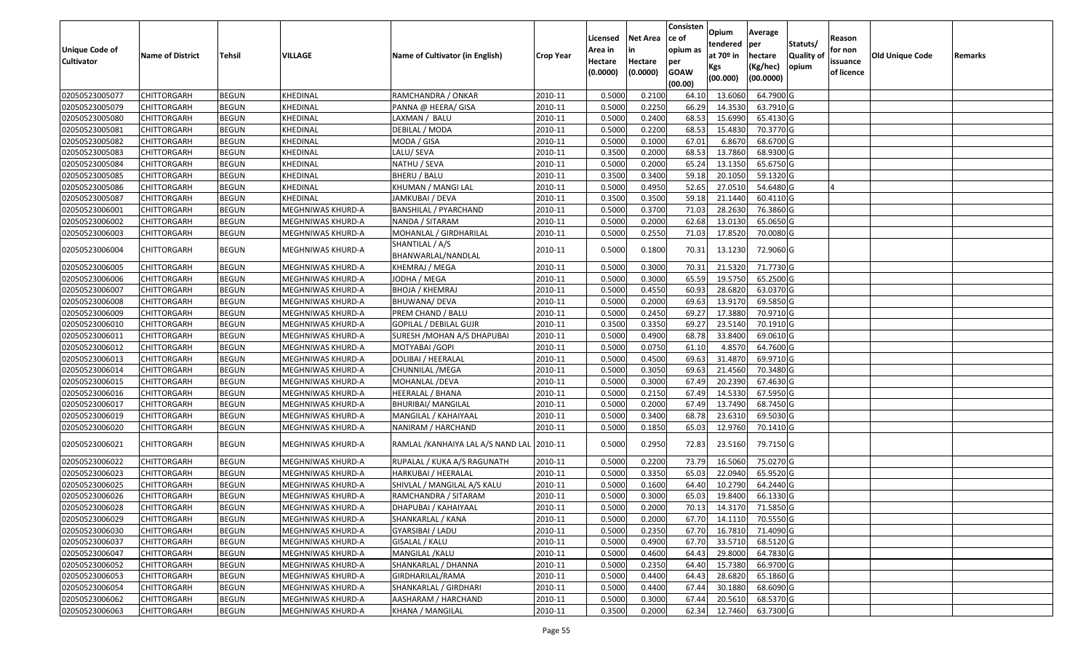|                       |                         |              |                   |                                            |                  | Licensed | <b>Net Area</b> | Consisten<br>ce of | Opium<br>tendered | Average<br>per | Statuts/  | Reason     |                        |         |
|-----------------------|-------------------------|--------------|-------------------|--------------------------------------------|------------------|----------|-----------------|--------------------|-------------------|----------------|-----------|------------|------------------------|---------|
| <b>Unique Code of</b> | <b>Name of District</b> | Tehsil       | VILLAGE           | Name of Cultivator (in English)            | <b>Crop Year</b> | Area in  |                 | opium as           | at $70°$ in       | hectare        | Quality o | for non    | <b>Old Unique Code</b> | Remarks |
| <b>Cultivator</b>     |                         |              |                   |                                            |                  | Hectare  | Hectare         | per                | Kgs               | (Kg/hec)       | opium     | issuance   |                        |         |
|                       |                         |              |                   |                                            |                  | (0.0000) | (0.0000)        | <b>GOAW</b>        | (00.000)          | (00.0000)      |           | of licence |                        |         |
| 02050523005077        | CHITTORGARH             | <b>BEGUN</b> | KHEDINAL          | RAMCHANDRA / ONKAR                         | 2010-11          | 0.5000   | 0.2100          | (00.00)<br>64.10   | 13.6060           | 64.7900 G      |           |            |                        |         |
| 02050523005079        | CHITTORGARH             | <b>BEGUN</b> | KHEDINAL          | PANNA @ HEERA/ GISA                        | 2010-11          | 0.5000   | 0.2250          | 66.29              | 14.3530           | 63.7910 G      |           |            |                        |         |
| 02050523005080        | CHITTORGARH             | <b>BEGUN</b> | KHEDINAL          | LAXMAN / BALU                              | 2010-11          | 0.5000   | 0.2400          | 68.53              | 15.6990           | 65.4130 G      |           |            |                        |         |
| 02050523005081        | CHITTORGARH             | <b>BEGUN</b> | KHEDINAL          | DEBILAL / MODA                             | 2010-11          | 0.5000   | 0.2200          | 68.53              | 15.4830           | 70.3770 G      |           |            |                        |         |
| 02050523005082        | CHITTORGARH             | <b>BEGUN</b> | KHEDINAL          | MODA / GISA                                | 2010-11          | 0.5000   | 0.1000          | 67.01              | 6.8670            | 68.6700 G      |           |            |                        |         |
| 02050523005083        | CHITTORGARH             | <b>BEGUN</b> | KHEDINAL          | LALU/ SEVA                                 | 2010-11          | 0.3500   | 0.2000          | 68.53              | 13.7860           | 68.9300 G      |           |            |                        |         |
| 02050523005084        | CHITTORGARH             | <b>BEGUN</b> | KHEDINAL          | NATHU / SEVA                               | 2010-11          | 0.5000   | 0.2000          | 65.24              | 13.135            | 65.6750 G      |           |            |                        |         |
| 02050523005085        | <b>CHITTORGARH</b>      | <b>BEGUN</b> | KHEDINAL          | BHERU / BALU                               | 2010-11          | 0.3500   | 0.3400          | 59.18              | 20.1050           | 59.1320 G      |           |            |                        |         |
| 02050523005086        | <b>CHITTORGARH</b>      | <b>BEGUN</b> | KHEDINAL          | KHUMAN / MANGI LAL                         | 2010-11          | 0.5000   | 0.4950          | 52.65              | 27.0510           | 54.6480 G      |           |            |                        |         |
| 02050523005087        | CHITTORGARH             | <b>BEGUN</b> | KHEDINAL          | JAMKUBAI / DEVA                            | 2010-11          | 0.3500   | 0.3500          | 59.18              | 21.1440           | 60.4110 G      |           |            |                        |         |
| 02050523006001        | CHITTORGARH             | <b>BEGUN</b> | MEGHNIWAS KHURD-A | <b>BANSHILAL / PYARCHAND</b>               | 2010-11          | 0.5000   | 0.3700          | 71.03              | 28.2630           | 76.3860 G      |           |            |                        |         |
| 02050523006002        | CHITTORGARH             | <b>BEGUN</b> | MEGHNIWAS KHURD-A | NANDA / SITARAM                            | 2010-11          | 0.5000   | 0.2000          | 62.68              | 13.0130           | 65.0650 G      |           |            |                        |         |
| 02050523006003        | <b>CHITTORGARH</b>      | <b>BEGUN</b> | MEGHNIWAS KHURD-A | MOHANLAL / GIRDHARILAL                     | 2010-11          | 0.5000   | 0.2550          | 71.03              | 17.8520           | 70.0080G       |           |            |                        |         |
|                       |                         |              |                   | SHANTILAL / A/S                            |                  |          |                 |                    |                   |                |           |            |                        |         |
| 02050523006004        | CHITTORGARH             | <b>BEGUN</b> | MEGHNIWAS KHURD-A | BHANWARLAL/NANDLAL                         | 2010-11          | 0.5000   | 0.1800          | 70.31              | 13.1230           | 72.9060 G      |           |            |                        |         |
| 02050523006005        | <b>CHITTORGARH</b>      | <b>BEGUN</b> | MEGHNIWAS KHURD-A | KHEMRAJ / MEGA                             | 2010-11          | 0.5000   | 0.3000          | 70.3               | 21.5320           | 71.7730 G      |           |            |                        |         |
| 02050523006006        | CHITTORGARH             | <b>BEGUN</b> | MEGHNIWAS KHURD-A | JODHA / MEGA                               | 2010-11          | 0.5000   | 0.3000          | 65.59              | 19.575            | 65.2500 G      |           |            |                        |         |
| 02050523006007        | CHITTORGARH             | <b>BEGUN</b> | MEGHNIWAS KHURD-A | <b>BHOJA / KHEMRAJ</b>                     | 2010-11          | 0.5000   | 0.4550          | 60.93              | 28.6820           | 63.0370 G      |           |            |                        |         |
| 02050523006008        | CHITTORGARH             | <b>BEGUN</b> | MEGHNIWAS KHURD-A | BHUWANA/ DEVA                              | 2010-11          | 0.5000   | 0.2000          | 69.63              | 13.9170           | 69.5850 G      |           |            |                        |         |
| 02050523006009        | CHITTORGARH             | <b>BEGUN</b> | MEGHNIWAS KHURD-A | PREM CHAND / BALU                          | 2010-11          | 0.5000   | 0.2450          | 69.27              | 17.3880           | 70.9710 G      |           |            |                        |         |
| 02050523006010        | CHITTORGARH             | <b>BEGUN</b> | MEGHNIWAS KHURD-A | GOPILAL / DEBILAL GUJR                     | 2010-11          | 0.3500   | 0.3350          | 69.27              | 23.5140           | 70.1910 G      |           |            |                        |         |
| 02050523006011        | CHITTORGARH             | <b>BEGUN</b> | MEGHNIWAS KHURD-A | SURESH / MOHAN A/S DHAPUBAI                | 2010-11          | 0.5000   | 0.4900          | 68.78              | 33.8400           | 69.0610 G      |           |            |                        |         |
| 02050523006012        | CHITTORGARH             | <b>BEGUN</b> | MEGHNIWAS KHURD-A | MOTYABAI / GOPI                            | 2010-11          | 0.5000   | 0.0750          | 61.10              | 4.8570            | 64.7600 G      |           |            |                        |         |
| 02050523006013        | CHITTORGARH             | <b>BEGUN</b> | MEGHNIWAS KHURD-A | DOLIBAI / HEERALAL                         | 2010-11          | 0.5000   | 0.4500          | 69.63              | 31.4870           | 69.9710 G      |           |            |                        |         |
| 02050523006014        | CHITTORGARH             | <b>BEGUN</b> | MEGHNIWAS KHURD-A | CHUNNILAL / MEGA                           | 2010-11          | 0.5000   | 0.3050          | 69.63              | 21.4560           | 70.3480 G      |           |            |                        |         |
| 02050523006015        | CHITTORGARH             | <b>BEGUN</b> | MEGHNIWAS KHURD-A | MOHANLAL / DEVA                            | 2010-11          | 0.5000   | 0.3000          | 67.49              | 20.2390           | 67.4630 G      |           |            |                        |         |
| 02050523006016        | CHITTORGARH             | <b>BEGUN</b> | MEGHNIWAS KHURD-A | HEERALAL / BHANA                           | 2010-11          | 0.5000   | 0.2150          | 67.49              | 14.5330           | 67.5950 G      |           |            |                        |         |
| 02050523006017        | CHITTORGARH             | <b>BEGUN</b> | MEGHNIWAS KHURD-A | BHURIBAI/ MANGILAL                         | 2010-11          | 0.5000   | 0.2000          | 67.49              | 13.7490           | 68.7450 G      |           |            |                        |         |
| 02050523006019        | CHITTORGARH             | <b>BEGUN</b> | MEGHNIWAS KHURD-A | MANGILAL / KAHAIYAAL                       | 2010-11          | 0.5000   | 0.3400          | 68.78              | 23.6310           | 69.5030 G      |           |            |                        |         |
| 02050523006020        | CHITTORGARH             | <b>BEGUN</b> | MEGHNIWAS KHURD-A | NANIRAM / HARCHAND                         | 2010-11          | 0.5000   | 0.1850          | 65.03              | 12.9760           | 70.1410 G      |           |            |                        |         |
| 02050523006021        | CHITTORGARH             | <b>BEGUN</b> | MEGHNIWAS KHURD-A | RAMLAL / KANHAIYA LAL A/S NAND LAL 2010-11 |                  | 0.5000   | 0.2950          | 72.83              | 23.5160           | 79.7150 G      |           |            |                        |         |
| 02050523006022        | CHITTORGARH             | <b>BEGUN</b> | MEGHNIWAS KHURD-A | RUPALAL / KUKA A/S RAGUNATH                | 2010-11          | 0.5000   | 0.2200          | 73.79              | 16.5060           | 75.0270 G      |           |            |                        |         |
| 02050523006023        | <b>CHITTORGARH</b>      | <b>BEGUN</b> | MEGHNIWAS KHURD-A | HARKUBAI / HEERALAL                        | 2010-11          | 0.5000   | 0.3350          | 65.03              | 22.0940           | 65.9520 G      |           |            |                        |         |
| 02050523006025        | CHITTORGARH             | <b>BEGUN</b> | MEGHNIWAS KHURD-A | SHIVLAL / MANGILAL A/S KALU                | 2010-11          | 0.5000   | 0.1600          | 64.40              | 10.2790           | 64.2440 G      |           |            |                        |         |
| 02050523006026        | CHITTORGARH             | <b>BEGUN</b> | MEGHNIWAS KHURD-A | RAMCHANDRA / SITARAM                       | 2010-11          | 0.5000   | 0.3000          | 65.03              | 19.8400           | 66.1330 G      |           |            |                        |         |
| 02050523006028        | <b>CHITTORGARH</b>      | <b>BEGUN</b> | MEGHNIWAS KHURD-A | DHAPUBAI / KAHAIYAAL                       | 2010-11          | 0.5000   | 0.2000          |                    | 70.13 14.3170     | 71.5850 G      |           |            |                        |         |
| 02050523006029        | <b>CHITTORGARH</b>      | <b>BEGUN</b> | MEGHNIWAS KHURD-A | SHANKARLAL / KANA                          | 2010-11          | 0.5000   | 0.2000          | 67.70              | 14.1110           | 70.5550 G      |           |            |                        |         |
| 02050523006030        | <b>CHITTORGARH</b>      | <b>BEGUN</b> | MEGHNIWAS KHURD-A | GYARSIBAI / LADU                           | 2010-11          | 0.5000   | 0.2350          | 67.70              | 16.7810           | 71.4090 G      |           |            |                        |         |
| 02050523006037        | <b>CHITTORGARH</b>      | <b>BEGUN</b> | MEGHNIWAS KHURD-A | GISALAL / KALU                             | 2010-11          | 0.5000   | 0.4900          | 67.70              | 33.5710           | 68.5120 G      |           |            |                        |         |
| 02050523006047        | <b>CHITTORGARH</b>      | <b>BEGUN</b> | MEGHNIWAS KHURD-A | MANGILAL / KALU                            | 2010-11          | 0.5000   | 0.4600          | 64.43              | 29.8000           | 64.7830 G      |           |            |                        |         |
| 02050523006052        | <b>CHITTORGARH</b>      | <b>BEGUN</b> | MEGHNIWAS KHURD-A | SHANKARLAL / DHANNA                        | 2010-11          | 0.5000   | 0.2350          | 64.40              | 15.7380           | 66.9700 G      |           |            |                        |         |
| 02050523006053        | <b>CHITTORGARH</b>      | <b>BEGUN</b> | MEGHNIWAS KHURD-A | GIRDHARILAL/RAMA                           | 2010-11          | 0.5000   | 0.4400          | 64.43              | 28.6820           | 65.1860 G      |           |            |                        |         |
| 02050523006054        | <b>CHITTORGARH</b>      | <b>BEGUN</b> | MEGHNIWAS KHURD-A | SHANKARLAL / GIRDHARI                      | 2010-11          | 0.5000   | 0.4400          | 67.44              | 30.1880           | 68.6090 G      |           |            |                        |         |
| 02050523006062        | <b>CHITTORGARH</b>      | <b>BEGUN</b> | MEGHNIWAS KHURD-A | AASHARAM / HARCHAND                        | 2010-11          | 0.5000   | 0.3000          | 67.44              | 20.5610           | 68.5370 G      |           |            |                        |         |
| 02050523006063        | <b>CHITTORGARH</b>      | <b>BEGUN</b> | MEGHNIWAS KHURD-A | <b>KHANA / MANGILAL</b>                    | 2010-11          | 0.3500   | 0.2000          | 62.34              | 12.7460           | 63.7300 G      |           |            |                        |         |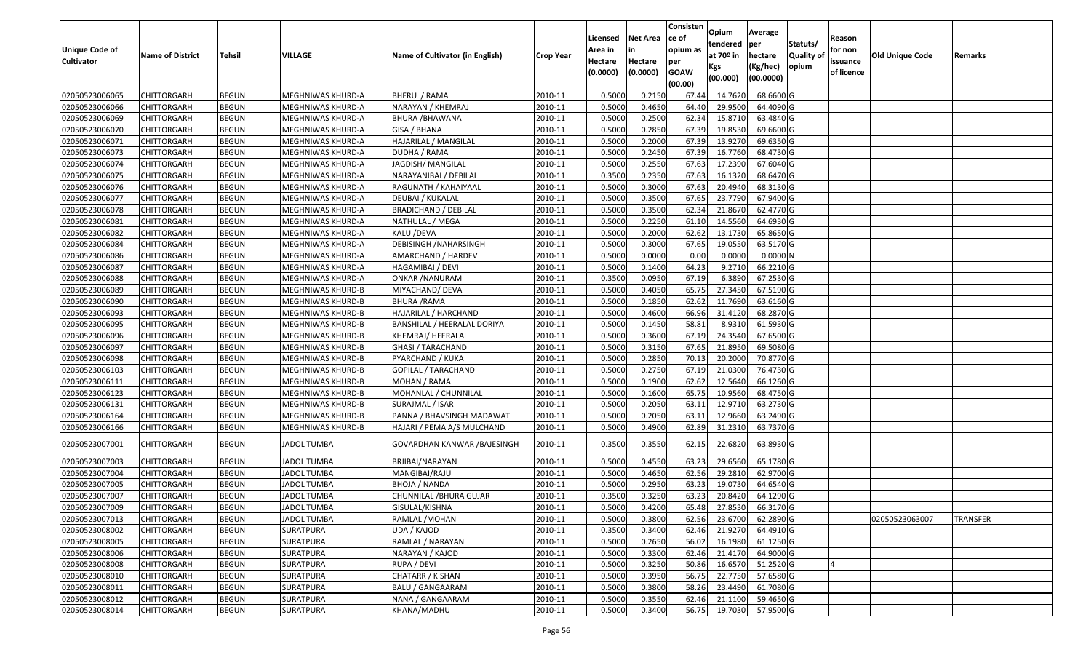| <b>Unique Code of</b><br><b>Cultivator</b> | <b>Name of District</b> | <b>Tehsil</b> | VILLAGE            | Name of Cultivator (in English) | <b>Crop Year</b> | Licensed<br>Area in<br>Hectare<br>(0.0000) | <b>Net Area</b><br>in<br>Hectare<br>(0.0000) | Consisten<br>ce of<br>opium as<br>per<br><b>GOAW</b><br>(00.00) | Opium<br>tendered<br>at $70°$ in<br>Kgs<br>(00.000) | Average<br>per<br>hectare<br>(Kg/hec)<br>(00.0000) | Statuts/<br>Quality of<br>opium | Reason<br>for non<br>issuance<br>of licence | <b>Old Unique Code</b> | Remarks         |
|--------------------------------------------|-------------------------|---------------|--------------------|---------------------------------|------------------|--------------------------------------------|----------------------------------------------|-----------------------------------------------------------------|-----------------------------------------------------|----------------------------------------------------|---------------------------------|---------------------------------------------|------------------------|-----------------|
| 02050523006065                             | <b>CHITTORGARH</b>      | <b>BEGUN</b>  | MEGHNIWAS KHURD-A  | BHERU / RAMA                    | 2010-11          | 0.5000                                     | 0.2150                                       | 67.44                                                           | 14.7620                                             | 68.6600 G                                          |                                 |                                             |                        |                 |
| 02050523006066                             | CHITTORGARH             | <b>BEGUN</b>  | MEGHNIWAS KHURD-A  | NARAYAN / KHEMRAJ               | 2010-11          | 0.5000                                     | 0.4650                                       | 64.40                                                           | 29.9500                                             | 64.4090 G                                          |                                 |                                             |                        |                 |
| 02050523006069                             | CHITTORGARH             | <b>BEGUN</b>  | MEGHNIWAS KHURD-A  | BHURA /BHAWANA                  | 2010-11          | 0.5000                                     | 0.2500                                       | 62.34                                                           | 15.8710                                             | 63.4840 G                                          |                                 |                                             |                        |                 |
| 02050523006070                             | <b>CHITTORGARH</b>      | <b>BEGUN</b>  | MEGHNIWAS KHURD-A  | GISA / BHANA                    | 2010-11          | 0.5000                                     | 0.2850                                       | 67.39                                                           | 19.8530                                             | 69.6600 G                                          |                                 |                                             |                        |                 |
| 02050523006071                             | <b>CHITTORGARH</b>      | <b>BEGUN</b>  | MEGHNIWAS KHURD-A  | HAJARILAL / MANGILAL            | 2010-11          | 0.5000                                     | 0.2000                                       | 67.39                                                           | 13.9270                                             | 69.6350 G                                          |                                 |                                             |                        |                 |
| 02050523006073                             | <b>CHITTORGARH</b>      | <b>BEGUN</b>  | MEGHNIWAS KHURD-A  | DUDHA / RAMA                    | 2010-11          | 0.5000                                     | 0.2450                                       | 67.39                                                           | 16.7760                                             | 68.4730 G                                          |                                 |                                             |                        |                 |
| 02050523006074                             | CHITTORGARH             | <b>BEGUN</b>  | MEGHNIWAS KHURD-A  | JAGDISH/MANGILAL                | 2010-11          | 0.5000                                     | 0.2550                                       | 67.63                                                           | 17.2390                                             | 67.6040 G                                          |                                 |                                             |                        |                 |
| 02050523006075                             | <b>CHITTORGARH</b>      | <b>BEGUN</b>  | MEGHNIWAS KHURD-A  | NARAYANIBAI / DEBILAL           | 2010-11          | 0.3500                                     | 0.2350                                       | 67.63                                                           | 16.1320                                             | 68.6470 G                                          |                                 |                                             |                        |                 |
| 02050523006076                             | <b>CHITTORGARH</b>      | <b>BEGUN</b>  | MEGHNIWAS KHURD-A  | RAGUNATH / KAHAIYAAL            | 2010-11          | 0.5000                                     | 0.3000                                       | 67.63                                                           | 20.4940                                             | 68.3130 G                                          |                                 |                                             |                        |                 |
| 02050523006077                             | CHITTORGARH             | <b>BEGUN</b>  | MEGHNIWAS KHURD-A  | DEUBAI / KUKALAL                | 2010-11          | 0.5000                                     | 0.3500                                       | 67.65                                                           | 23.7790                                             | 67.9400 G                                          |                                 |                                             |                        |                 |
| 02050523006078                             | CHITTORGARH             | <b>BEGUN</b>  | MEGHNIWAS KHURD-A  | <b>BRADICHAND / DEBILAL</b>     | 2010-11          | 0.5000                                     | 0.3500                                       | 62.34                                                           | 21.8670                                             | 62.4770 G                                          |                                 |                                             |                        |                 |
| 02050523006081                             | CHITTORGARH             | <b>BEGUN</b>  | MEGHNIWAS KHURD-A  | NATHULAL / MEGA                 | 2010-11          | 0.5000                                     | 0.2250                                       | 61.10                                                           | 14.5560                                             | 64.6930 G                                          |                                 |                                             |                        |                 |
| 02050523006082                             | CHITTORGARH             | <b>BEGUN</b>  | MEGHNIWAS KHURD-A  | KALU /DEVA                      | 2010-11          | 0.5000                                     | 0.2000                                       | 62.62                                                           | 13.1730                                             | 65.8650 G                                          |                                 |                                             |                        |                 |
| 02050523006084                             | CHITTORGARH             | <b>BEGUN</b>  | MEGHNIWAS KHURD-A  | DEBISINGH / NAHARSINGH          | 2010-11          | 0.5000                                     | 0.3000                                       | 67.65                                                           | 19.0550                                             | 63.5170 G                                          |                                 |                                             |                        |                 |
| 02050523006086                             | CHITTORGARH             | <b>BEGUN</b>  | MEGHNIWAS KHURD-A  | AMARCHAND / HARDEV              | 2010-11          | 0.5000                                     | 0.0000                                       | 0.00                                                            | 0.0000                                              | 0.0000N                                            |                                 |                                             |                        |                 |
| 02050523006087                             | CHITTORGARH             | <b>BEGUN</b>  | MEGHNIWAS KHURD-A  | HAGAMIBAI / DEVI                | 2010-11          | 0.5000                                     | 0.1400                                       | 64.23                                                           | 9.2710                                              | 66.2210 G                                          |                                 |                                             |                        |                 |
| 02050523006088                             | CHITTORGARH             | <b>BEGUN</b>  | MEGHNIWAS KHURD-A  | <b>ONKAR / NANURAM</b>          | 2010-11          | 0.3500                                     | 0.0950                                       | 67.19                                                           | 6.3890                                              | 67.2530 G                                          |                                 |                                             |                        |                 |
| 02050523006089                             | CHITTORGARH             | <b>BEGUN</b>  | MEGHNIWAS KHURD-B  | MIYACHAND/ DEVA                 | 2010-11          | 0.5000                                     | 0.4050                                       | 65.75                                                           | 27.3450                                             | 67.5190 G                                          |                                 |                                             |                        |                 |
| 02050523006090                             | CHITTORGARH             | <b>BEGUN</b>  | MEGHNIWAS KHURD-B  | BHURA /RAMA                     | 2010-11          | 0.5000                                     | 0.1850                                       | 62.62                                                           | 11.7690                                             | 63.6160 G                                          |                                 |                                             |                        |                 |
| 02050523006093                             | CHITTORGARH             | <b>BEGUN</b>  | MEGHNIWAS KHURD-B  | HAJARILAL / HARCHAND            | 2010-11          | 0.5000                                     | 0.4600                                       | 66.96                                                           | 31.4120                                             | 68.2870 G                                          |                                 |                                             |                        |                 |
| 02050523006095                             | <b>CHITTORGARH</b>      | <b>BEGUN</b>  | MEGHNIWAS KHURD-B  | BANSHILAL / HEERALAL DORIYA     | 2010-11          | 0.5000                                     | 0.1450                                       | 58.81                                                           | 8.9310                                              | 61.5930 G                                          |                                 |                                             |                        |                 |
| 02050523006096                             | CHITTORGARH             | <b>BEGUN</b>  | MEGHNIWAS KHURD-B  | KHEMRAJ/ HEERALAL               | 2010-11          | 0.5000                                     | 0.3600                                       | 67.19                                                           | 24.3540                                             | 67.6500 G                                          |                                 |                                             |                        |                 |
| 02050523006097                             | CHITTORGARH             | <b>BEGUN</b>  | MEGHNIWAS KHURD-B  | <b>GHASI / TARACHAND</b>        | 2010-11          | 0.5000                                     | 0.3150                                       | 67.65                                                           | 21.8950                                             | 69.5080 G                                          |                                 |                                             |                        |                 |
| 02050523006098                             | CHITTORGARH             | <b>BEGUN</b>  | MEGHNIWAS KHURD-B  | PYARCHAND / KUKA                | 2010-11          | 0.5000                                     | 0.2850                                       | 70.13                                                           | 20.2000                                             | 70.8770 G                                          |                                 |                                             |                        |                 |
| 02050523006103                             | <b>CHITTORGARH</b>      | <b>BEGUN</b>  | MEGHNIWAS KHURD-B  | GOPILAL / TARACHAND             | 2010-11          | 0.5000                                     | 0.2750                                       | 67.19                                                           | 21.0300                                             | 76.4730 G                                          |                                 |                                             |                        |                 |
| 02050523006111                             | CHITTORGARH             | <b>BEGUN</b>  | MEGHNIWAS KHURD-B  | MOHAN / RAMA                    | 2010-11          | 0.5000                                     | 0.1900                                       | 62.62                                                           | 12.5640                                             | 66.1260 G                                          |                                 |                                             |                        |                 |
| 02050523006123                             | CHITTORGARH             | <b>BEGUN</b>  | MEGHNIWAS KHURD-B  | MOHANLAL / CHUNNILAL            | 2010-11          | 0.5000                                     | 0.1600                                       | 65.75                                                           | 10.9560                                             | 68.4750 G                                          |                                 |                                             |                        |                 |
| 02050523006131                             | CHITTORGARH             | <b>BEGUN</b>  | MEGHNIWAS KHURD-B  | SURAJMAL / ISAR                 | 2010-11          | 0.5000                                     | 0.2050                                       | 63.1                                                            | 12.9710                                             | 63.2730 G                                          |                                 |                                             |                        |                 |
| 02050523006164                             | <b>CHITTORGARH</b>      | <b>BEGUN</b>  | MEGHNIWAS KHURD-B  | PANNA / BHAVSINGH MADAWAT       | 2010-11          | 0.5000                                     | 0.2050                                       | 63.1                                                            | 12.9660                                             | 63.2490 G                                          |                                 |                                             |                        |                 |
| 02050523006166                             | <b>CHITTORGARH</b>      | <b>BEGUN</b>  | MEGHNIWAS KHURD-B  | HAJARI / PEMA A/S MULCHAND      | 2010-11          | 0.5000                                     | 0.4900                                       | 62.89                                                           | 31.2310                                             | 63.7370 G                                          |                                 |                                             |                        |                 |
| 02050523007001                             | CHITTORGARH             | <b>BEGUN</b>  | <b>JADOL TUMBA</b> | GOVARDHAN KANWAR / BAJESINGH    | 2010-11          | 0.3500                                     | 0.3550                                       | 62.15                                                           | 22.6820                                             | 63.8930 G                                          |                                 |                                             |                        |                 |
| 02050523007003                             | CHITTORGARH             | <b>BEGUN</b>  | <b>JADOL TUMBA</b> | BRJIBAI/NARAYAN                 | 2010-11          | 0.5000                                     | 0.4550                                       | 63.23                                                           | 29.6560                                             | 65.1780 G                                          |                                 |                                             |                        |                 |
| 02050523007004                             | CHITTORGARH             | <b>BEGUN</b>  | JADOL TUMBA        | MANGIBAI/RAJU                   | 2010-11          | 0.5000                                     | 0.4650                                       | 62.56                                                           | 29.2810                                             | 62.9700 G                                          |                                 |                                             |                        |                 |
| 02050523007005                             | CHITTORGARH             | <b>BEGUN</b>  | <b>JADOL TUMBA</b> | BHOJA / NANDA                   | 2010-11          | 0.500                                      | 0.2950                                       | 63.23                                                           | 19.0730                                             | 64.6540 G                                          |                                 |                                             |                        |                 |
| 02050523007007                             | CHITTORGARH             | <b>BEGUN</b>  | <b>JADOL TUMBA</b> | CHUNNILAL /BHURA GUJAR          | 2010-11          | 0.3500                                     | 0.3250                                       | 63.23                                                           | 20.8420                                             | 64.1290 G                                          |                                 |                                             |                        |                 |
| 02050523007009                             | <b>CHITTORGARH</b>      | <b>BEGUN</b>  | <b>JADOL TUMBA</b> | GISULAL/KISHNA                  | 2010-11          | 0.5000                                     | 0.4200                                       | 65.48                                                           | 27.8530                                             | 66.3170G                                           |                                 |                                             |                        |                 |
| 02050523007013                             | <b>CHITTORGARH</b>      | <b>BEGUN</b>  | <b>JADOL TUMBA</b> | RAMLAL / MOHAN                  | 2010-11          | 0.5000                                     | 0.3800                                       | 62.56                                                           | 23.6700                                             | 62.2890 G                                          |                                 |                                             | 02050523063007         | <b>TRANSFER</b> |
| 02050523008002                             | <b>CHITTORGARH</b>      | <b>BEGUN</b>  | SURATPURA          | UDA / KAJOD                     | 2010-11          | 0.3500                                     | 0.3400                                       | 62.46                                                           | 21.9270                                             | 64.4910 G                                          |                                 |                                             |                        |                 |
| 02050523008005                             | <b>CHITTORGARH</b>      | <b>BEGUN</b>  | <b>SURATPURA</b>   | RAMLAL / NARAYAN                | 2010-11          | 0.5000                                     | 0.2650                                       | 56.02                                                           | 16.1980                                             | 61.1250 G                                          |                                 |                                             |                        |                 |
| 02050523008006                             | <b>CHITTORGARH</b>      | <b>BEGUN</b>  | <b>SURATPURA</b>   | NARAYAN / KAJOD                 | 2010-11          | 0.5000                                     | 0.3300                                       | 62.46                                                           | 21.4170                                             | 64.9000 G                                          |                                 |                                             |                        |                 |
| 02050523008008                             | <b>CHITTORGARH</b>      | <b>BEGUN</b>  | <b>SURATPURA</b>   | RUPA / DEVI                     | 2010-11          | 0.5000                                     | 0.3250                                       | 50.86                                                           | 16.6570                                             | 51.2520 G                                          |                                 |                                             |                        |                 |
| 02050523008010                             | <b>CHITTORGARH</b>      | <b>BEGUN</b>  | <b>SURATPURA</b>   | CHATARR / KISHAN                | 2010-11          | 0.5000                                     | 0.3950                                       | 56.75                                                           | 22.7750                                             | 57.6580 G                                          |                                 |                                             |                        |                 |
| 02050523008011                             | <b>CHITTORGARH</b>      | <b>BEGUN</b>  | <b>SURATPURA</b>   | <b>BALU / GANGAARAM</b>         | 2010-11          | 0.5000                                     | 0.3800                                       | 58.26                                                           | 23.4490                                             | 61.7080 G                                          |                                 |                                             |                        |                 |
| 02050523008012                             | CHITTORGARH             | <b>BEGUN</b>  | SURATPURA          | NANA / GANGAARAM                | 2010-11          | 0.5000                                     | 0.3550                                       | 62.46                                                           | 21.1100                                             | 59.4650 G                                          |                                 |                                             |                        |                 |
| 02050523008014                             | <b>CHITTORGARH</b>      | <b>BEGUN</b>  | SURATPURA          | KHANA/MADHU                     | 2010-11          | 0.5000                                     | 0.3400                                       | 56.75                                                           | 19.7030                                             | 57.9500 G                                          |                                 |                                             |                        |                 |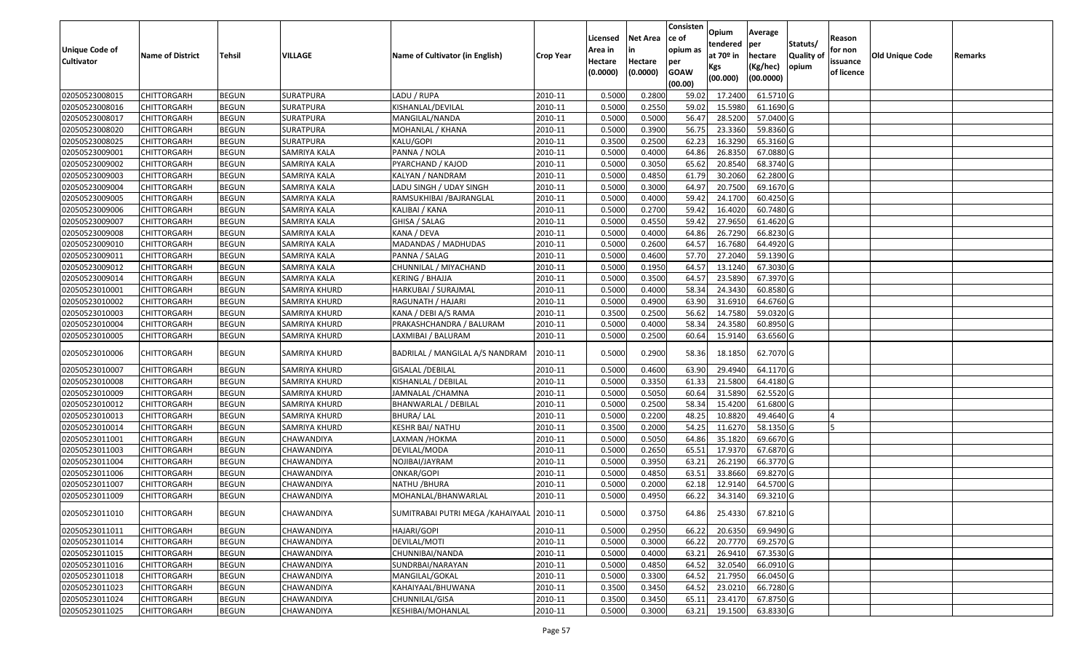|                                  |                            |                              |                               |                                           |                    | Licensed         | <b>Net Area</b>  | Consisten<br>ce of | Opium<br>tendered  | Average<br>per         | Statuts/         | Reason     |                        |         |
|----------------------------------|----------------------------|------------------------------|-------------------------------|-------------------------------------------|--------------------|------------------|------------------|--------------------|--------------------|------------------------|------------------|------------|------------------------|---------|
| <b>Unique Code of</b>            | <b>Name of District</b>    | <b>Tehsil</b>                | VILLAGE                       | Name of Cultivator (in English)           | <b>Crop Year</b>   | Area in          |                  | opium as           | at $70°$ in        | hectare                | <b>Quality o</b> | for non    | <b>Old Unique Code</b> | Remarks |
| <b>Cultivator</b>                |                            |                              |                               |                                           |                    | Hectare          | Hectare          | per                | Kgs                | (Kg/hec)               | opium            | issuance   |                        |         |
|                                  |                            |                              |                               |                                           |                    | (0.0000)         | (0.0000)         | <b>GOAW</b>        | (00.000)           | (00.0000)              |                  | of licence |                        |         |
|                                  |                            |                              |                               |                                           |                    |                  |                  | (00.00)            |                    |                        |                  |            |                        |         |
| 02050523008015                   | CHITTORGARH                | <b>BEGUN</b>                 | <b>SURATPURA</b>              | LADU / RUPA                               | 2010-11            | 0.5000           | 0.2800           | 59.02              | 17.2400            | 61.5710G               |                  |            |                        |         |
| 02050523008016                   | CHITTORGARH                | <b>BEGUN</b>                 | SURATPURA                     | KISHANLAL/DEVILAL                         | 2010-11            | 0.5000<br>0.5000 | 0.2550<br>0.5000 | 59.02<br>56.47     | 15.5980<br>28.5200 | 61.1690 G<br>57.0400 G |                  |            |                        |         |
| 02050523008017<br>02050523008020 | CHITTORGARH                | <b>BEGUN</b><br><b>BEGUN</b> | SURATPURA<br><b>SURATPURA</b> | MANGILAL/NANDA<br>MOHANLAL / KHANA        | 2010-11<br>2010-11 | 0.5000           | 0.3900           | 56.75              | 23.3360            | 59.8360 G              |                  |            |                        |         |
| 02050523008025                   | CHITTORGARH<br>CHITTORGARH | <b>BEGUN</b>                 | SURATPURA                     | KALU/GOPI                                 | 2010-11            | 0.3500           | 0.2500           | 62.23              | 16.3290            | 65.3160 G              |                  |            |                        |         |
| 02050523009001                   | CHITTORGARH                | <b>BEGUN</b>                 | SAMRIYA KALA                  | PANNA / NOLA                              | 2010-11            | 0.5000           | 0.4000           | 64.86              | 26.8350            | 67.0880 G              |                  |            |                        |         |
| 02050523009002                   |                            | <b>BEGUN</b>                 | SAMRIYA KALA                  |                                           | 2010-11            | 0.5000           | 0.3050           | 65.62              | 20.8540            | 68.3740 G              |                  |            |                        |         |
|                                  | CHITTORGARH<br>CHITTORGARH | <b>BEGUN</b>                 | <b>SAMRIYA KALA</b>           | PYARCHAND / KAJOD                         | 2010-11            | 0.5000           | 0.4850           | 61.79              | 30.2060            | 62.2800 G              |                  |            |                        |         |
| 02050523009003                   |                            |                              |                               | KALYAN / NANDRAM                          |                    |                  | 0.3000           |                    |                    | 69.1670 G              |                  |            |                        |         |
| 02050523009004                   | <b>CHITTORGARH</b>         | <b>BEGUN</b>                 | SAMRIYA KALA                  | LADU SINGH / UDAY SINGH                   | 2010-11            | 0.5000           |                  | 64.97              | 20.7500            |                        |                  |            |                        |         |
| 02050523009005                   | CHITTORGARH                | <b>BEGUN</b>                 | SAMRIYA KALA                  | RAMSUKHIBAI / BAJRANGLAL                  | 2010-11            | 0.5000           | 0.4000           | 59.42              | 24.1700            | 60.4250 G              |                  |            |                        |         |
| 02050523009006                   | CHITTORGARH                | <b>BEGUN</b>                 | SAMRIYA KALA                  | KALIBAI / KANA                            | 2010-11            | 0.5000           | 0.2700           | 59.42              | 16.4020            | 60.7480 G              |                  |            |                        |         |
| 02050523009007                   | CHITTORGARH                | <b>BEGUN</b>                 | SAMRIYA KALA                  | GHISA / SALAG                             | 2010-11            | 0.5000           | 0.4550           | 59.42              | 27.9650            | 61.4620 G              |                  |            |                        |         |
| 02050523009008                   | <b>CHITTORGARH</b>         | <b>BEGUN</b>                 | SAMRIYA KALA                  | KANA / DEVA                               | 2010-11            | 0.5000           | 0.4000           | 64.86              | 26.7290            | 66.8230 G              |                  |            |                        |         |
| 02050523009010                   | <b>CHITTORGARH</b>         | <b>BEGUN</b>                 | SAMRIYA KALA                  | MADANDAS / MADHUDAS                       | 2010-11            | 0.5000           | 0.2600           | 64.57              | 16.7680            | 64.4920 G              |                  |            |                        |         |
| 02050523009011                   | CHITTORGARH                | <b>BEGUN</b>                 | SAMRIYA KALA                  | PANNA / SALAG                             | 2010-11            | 0.5000           | 0.4600           | 57.70              | 27.2040            | 59.1390 G              |                  |            |                        |         |
| 02050523009012                   | <b>CHITTORGARH</b>         | <b>BEGUN</b>                 | SAMRIYA KALA                  | CHUNNILAL / MIYACHAND                     | 2010-11            | 0.5000           | 0.1950           | 64.57              | 13.1240            | 67.3030 G              |                  |            |                        |         |
| 02050523009014                   | <b>CHITTORGARH</b>         | <b>BEGUN</b>                 | SAMRIYA KALA                  | <b>KERING / BHAJJA</b>                    | 2010-11            | 0.5000           | 0.3500           | 64.57              | 23.5890            | 67.3970 G              |                  |            |                        |         |
| 02050523010001                   | CHITTORGARH                | <b>BEGUN</b>                 | SAMRIYA KHURD                 | HARKUBAI / SURAJMAL                       | 2010-11            | 0.5000           | 0.4000           | 58.34              | 24.3430            | 60.8580 G              |                  |            |                        |         |
| 02050523010002                   | CHITTORGARH                | <b>BEGUN</b>                 | SAMRIYA KHURD                 | RAGUNATH / HAJARI                         | 2010-11            | 0.5000           | 0.4900           | 63.90              | 31.691             | 64.6760 G              |                  |            |                        |         |
| 02050523010003                   | CHITTORGARH                | <b>BEGUN</b>                 | SAMRIYA KHURD                 | KANA / DEBI A/S RAMA                      | 2010-11            | 0.3500           | 0.2500           | 56.62              | 14.7580            | 59.0320 G              |                  |            |                        |         |
| 02050523010004                   | CHITTORGARH                | <b>BEGUN</b>                 | SAMRIYA KHURD                 | PRAKASHCHANDRA / BALURAM                  | 2010-11            | 0.5000           | 0.4000           | 58.34              | 24.3580            | 60.8950 G              |                  |            |                        |         |
| 02050523010005                   | CHITTORGARH                | <b>BEGUN</b>                 | SAMRIYA KHURD                 | LAXMIBAI / BALURAM                        | 2010-11            | 0.5000           | 0.2500           | 60.64              | 15.9140            | 63.6560 G              |                  |            |                        |         |
| 02050523010006                   | CHITTORGARH                | <b>BEGUN</b>                 | SAMRIYA KHURD                 | BADRILAL / MANGILAL A/S NANDRAM           | 2010-11            | 0.5000           | 0.2900           | 58.36              | 18.1850            | 62.7070 G              |                  |            |                        |         |
| 02050523010007                   | CHITTORGARH                | <b>BEGUN</b>                 | <b>SAMRIYA KHURD</b>          | <b>GISALAL / DEBILAL</b>                  | 2010-11            | 0.5000           | 0.4600           | 63.90              | 29.4940            | 64.1170 G              |                  |            |                        |         |
| 02050523010008                   | CHITTORGARH                | <b>BEGUN</b>                 | SAMRIYA KHURD                 | KISHANLAL / DEBILAL                       | 2010-11            | 0.5000           | 0.3350           | 61.33              | 21.5800            | 64.4180 G              |                  |            |                        |         |
| 02050523010009                   | CHITTORGARH                | <b>BEGUN</b>                 | SAMRIYA KHURD                 | JAMNALAL /CHAMNA                          | 2010-11            | 0.5000           | 0.5050           | 60.64              | 31.5890            | 62.5520 G              |                  |            |                        |         |
| 02050523010012                   | CHITTORGARH                | <b>BEGUN</b>                 | SAMRIYA KHURD                 | BHANWARLAL / DEBILAL                      | 2010-11            | 0.5000           | 0.2500           | 58.34              | 15.4200            | 61.6800 G              |                  |            |                        |         |
| 02050523010013                   | <b>CHITTORGARH</b>         | <b>BEGUN</b>                 | SAMRIYA KHURD                 | <b>BHURA/LAL</b>                          | 2010-11            | 0.5000           | 0.2200           | 48.25              | 10.8820            | 49.4640 G              |                  |            |                        |         |
| 02050523010014                   | CHITTORGARH                | <b>BEGUN</b>                 | SAMRIYA KHURD                 | <b>KESHR BAI/ NATHU</b>                   | 2010-11            | 0.3500           | 0.2000           | 54.25              | 11.6270            | 58.1350 G              |                  |            |                        |         |
| 02050523011001                   | CHITTORGARH                | <b>BEGUN</b>                 | CHAWANDIYA                    | LAXMAN /HOKMA                             | 2010-11            | 0.5000           | 0.5050           | 64.86              | 35.1820            | 69.6670 G              |                  |            |                        |         |
| 02050523011003                   | CHITTORGARH                | <b>BEGUN</b>                 | CHAWANDIYA                    | DEVILAL/MODA                              | 2010-11            | 0.5000           | 0.2650           | 65.5               | 17.9370            | 67.6870 G              |                  |            |                        |         |
| 02050523011004                   | <b>CHITTORGARH</b>         | <b>BEGUN</b>                 | CHAWANDIYA                    | NOJIBAI/JAYRAM                            | 2010-11            | 0.5000           | 0.3950           | 63.21              | 26.2190            | 66.3770 G              |                  |            |                        |         |
| 02050523011006                   | <b>CHITTORGARH</b>         | <b>BEGUN</b>                 | CHAWANDIYA                    | ONKAR/GOPI                                | 2010-11            | 0.5000           | 0.4850           | 63.51              | 33.8660            | 69.8270 G              |                  |            |                        |         |
| 02050523011007                   | CHITTORGARH                | <b>BEGUN</b>                 | CHAWANDIYA                    | NATHU / BHURA                             | 2010-11            | 0.500            | 0.2000           | 62.18              | 12.914             | 64.5700 G              |                  |            |                        |         |
| 02050523011009                   | CHITTORGARH                | <b>BEGUN</b>                 | CHAWANDIYA                    | MOHANLAL/BHANWARLAL                       | 2010-11            | 0.5000           | 0.4950           | 66.22              | 34.3140            | 69.3210 G              |                  |            |                        |         |
| 02050523011010                   | <b>CHITTORGARH</b>         | <b>BEGUN</b>                 | CHAWANDIYA                    | SUMITRABAI PUTRI MEGA / KAHAIYAAL 2010-11 |                    | 0.5000           | 0.3750           | 64.86              | 25.4330            | 67.8210 G              |                  |            |                        |         |
| 02050523011011                   | <b>CHITTORGARH</b>         | <b>BEGUN</b>                 | CHAWANDIYA                    | HAJARI/GOPI                               | 2010-11            | 0.5000           | 0.2950           | 66.22              | 20.6350            | 69.9490 G              |                  |            |                        |         |
| 02050523011014                   | <b>CHITTORGARH</b>         | <b>BEGUN</b>                 | CHAWANDIYA                    | DEVILAL/MOTI                              | 2010-11            | 0.5000           | 0.3000           | 66.22              | 20.7770            | 69.2570 G              |                  |            |                        |         |
| 02050523011015                   | CHITTORGARH                | <b>BEGUN</b>                 | CHAWANDIYA                    | CHUNNIBAI/NANDA                           | 2010-11            | 0.5000           | 0.4000           | 63.21              | 26.9410            | 67.3530 G              |                  |            |                        |         |
| 02050523011016                   | <b>CHITTORGARH</b>         | <b>BEGUN</b>                 | CHAWANDIYA                    | SUNDRBAI/NARAYAN                          | 2010-11            | 0.5000           | 0.4850           | 64.52              | 32.0540            | 66.0910 G              |                  |            |                        |         |
| 02050523011018                   | <b>CHITTORGARH</b>         | <b>BEGUN</b>                 | CHAWANDIYA                    | MANGILAL/GOKAL                            | 2010-11            | 0.5000           | 0.3300           | 64.52              | 21.7950            | 66.0450 G              |                  |            |                        |         |
| 02050523011023                   | <b>CHITTORGARH</b>         | <b>BEGUN</b>                 | CHAWANDIYA                    | KAHAIYAAL/BHUWANA                         | 2010-11            | 0.3500           | 0.3450           | 64.52              | 23.0210            | 66.7280 G              |                  |            |                        |         |
| 02050523011024                   | <b>CHITTORGARH</b>         | <b>BEGUN</b>                 | CHAWANDIYA                    | CHUNNILAL/GISA                            | 2010-11            | 0.3500           | 0.3450           | 65.1               | 23.4170            | 67.8750 G              |                  |            |                        |         |
| 02050523011025                   | <b>CHITTORGARH</b>         | <b>BEGUN</b>                 | CHAWANDIYA                    | KESHIBAI/MOHANLAL                         | 2010-11            | 0.5000           | 0.3000           | 63.21              | 19.1500            | 63.8330 G              |                  |            |                        |         |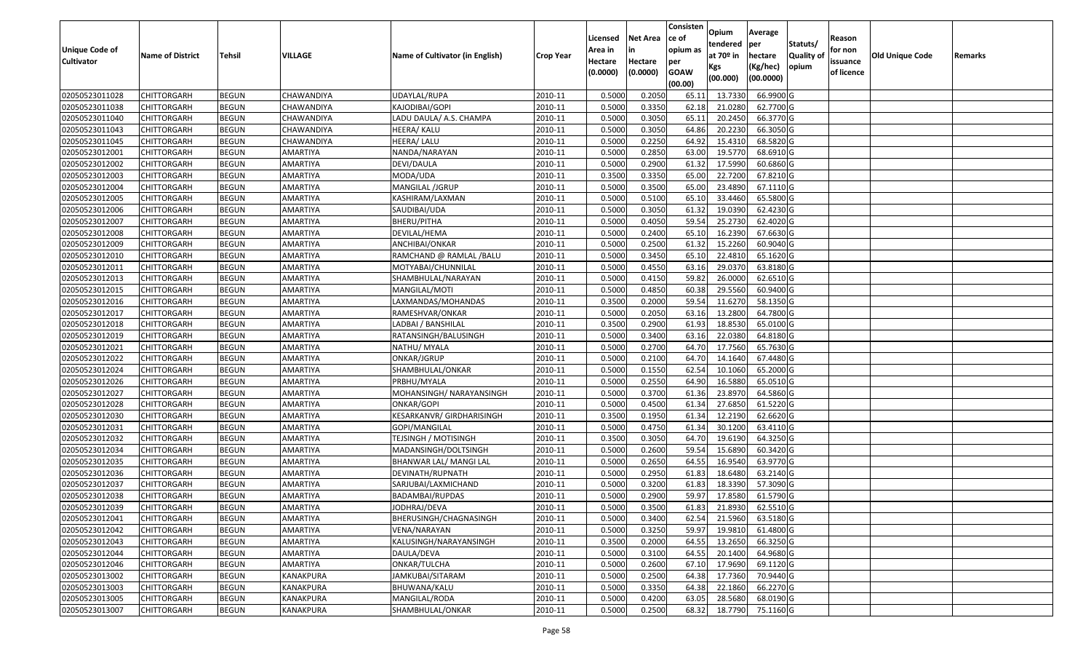|                       |                         |               |                 |                                 |                  |          |                 | Consisten   | Opium         | Average   |                  |            |                 |         |
|-----------------------|-------------------------|---------------|-----------------|---------------------------------|------------------|----------|-----------------|-------------|---------------|-----------|------------------|------------|-----------------|---------|
|                       |                         |               |                 |                                 |                  | Licensed | <b>Net Area</b> | ce of       | tendered      | per       | Statuts/         | Reason     |                 |         |
| <b>Unique Code of</b> | <b>Name of District</b> | <b>Tehsil</b> | VILLAGE         | Name of Cultivator (in English) | <b>Crop Year</b> | Area in  |                 | opium as    | at $70°$ in   | hectare   | <b>Quality o</b> | for non    | Old Unique Code | Remarks |
| <b>Cultivator</b>     |                         |               |                 |                                 |                  | Hectare  | Hectare         | per         | Kgs           | (Kg/hec)  | opium            | issuance   |                 |         |
|                       |                         |               |                 |                                 |                  | (0.0000) | (0.0000)        | <b>GOAW</b> | (00.000)      | (00.0000) |                  | of licence |                 |         |
|                       |                         |               |                 |                                 |                  |          |                 | (00.00)     |               |           |                  |            |                 |         |
| 02050523011028        | CHITTORGARH             | <b>BEGUN</b>  | CHAWANDIYA      | UDAYLAL/RUPA                    | 2010-11          | 0.5000   | 0.2050          | 65.1        | 13.7330       | 66.9900 G |                  |            |                 |         |
| 02050523011038        | CHITTORGARH             | <b>BEGUN</b>  | CHAWANDIYA      | KAJODIBAI/GOPI                  | 2010-11          | 0.5000   | 0.3350          | 62.18       | 21.0280       | 62.7700 G |                  |            |                 |         |
| 02050523011040        | CHITTORGARH             | <b>BEGUN</b>  | CHAWANDIYA      | LADU DAULA/ A.S. CHAMPA         | 2010-11          | 0.5000   | 0.3050          | 65.1        | 20.2450       | 66.3770 G |                  |            |                 |         |
| 02050523011043        | CHITTORGARH             | <b>BEGUN</b>  | CHAWANDIYA      | HEERA/ KALU                     | 2010-11          | 0.5000   | 0.3050          | 64.86       | 20.2230       | 66.3050 G |                  |            |                 |         |
| 02050523011045        | CHITTORGARH             | <b>BEGUN</b>  | CHAWANDIYA      | HEERA/ LALU                     | 2010-11          | 0.5000   | 0.2250          | 64.92       | 15.431        | 68.5820 G |                  |            |                 |         |
| 02050523012001        | CHITTORGARH             | <b>BEGUN</b>  | AMARTIYA        | NANDA/NARAYAN                   | 2010-11          | 0.5000   | 0.2850          | 63.00       | 19.5770       | 68.6910 G |                  |            |                 |         |
| 02050523012002        | CHITTORGARH             | <b>BEGUN</b>  | AMARTIYA        | DEVI/DAULA                      | 2010-11          | 0.5000   | 0.2900          | 61.32       | 17.5990       | 60.6860 G |                  |            |                 |         |
| 02050523012003        | <b>CHITTORGARH</b>      | <b>BEGUN</b>  | AMARTIYA        | MODA/UDA                        | 2010-11          | 0.3500   | 0.3350          | 65.00       | 22.7200       | 67.8210G  |                  |            |                 |         |
| 02050523012004        | CHITTORGARH             | <b>BEGUN</b>  | AMARTIYA        | MANGILAL /JGRUP                 | 2010-11          | 0.5000   | 0.3500          | 65.00       | 23.4890       | 67.1110G  |                  |            |                 |         |
| 02050523012005        | CHITTORGARH             | <b>BEGUN</b>  | AMARTIYA        | KASHIRAM/LAXMAN                 | 2010-11          | 0.5000   | 0.5100          | 65.10       | 33.4460       | 65.5800 G |                  |            |                 |         |
| 02050523012006        | CHITTORGARH             | <b>BEGUN</b>  | AMARTIYA        | SAUDIBAI/UDA                    | 2010-11          | 0.5000   | 0.3050          | 61.32       | 19.0390       | 62.4230 G |                  |            |                 |         |
| 02050523012007        | CHITTORGARH             | <b>BEGUN</b>  | AMARTIYA        | BHERU/PITHA                     | 2010-11          | 0.5000   | 0.4050          | 59.54       | 25.2730       | 62.4020 G |                  |            |                 |         |
| 02050523012008        | <b>CHITTORGARH</b>      | <b>BEGUN</b>  | AMARTIYA        | DEVILAL/HEMA                    | 2010-11          | 0.5000   | 0.2400          | 65.10       | 16.2390       | 67.6630 G |                  |            |                 |         |
| 02050523012009        | CHITTORGARH             | <b>BEGUN</b>  | AMARTIYA        | ANCHIBAI/ONKAR                  | 2010-11          | 0.5000   | 0.2500          | 61.32       | 15.2260       | 60.9040 G |                  |            |                 |         |
| 02050523012010        | CHITTORGARH             | <b>BEGUN</b>  | AMARTIYA        | RAMCHAND @ RAMLAL /BALU         | 2010-11          | 0.5000   | 0.3450          | 65.10       | 22.4810       | 65.1620 G |                  |            |                 |         |
| 02050523012011        | CHITTORGARH             | <b>BEGUN</b>  | AMARTIYA        | MOTYABAI/CHUNNILAL              | 2010-11          | 0.5000   | 0.4550          | 63.16       | 29.0370       | 63.8180 G |                  |            |                 |         |
| 02050523012013        | CHITTORGARH             | <b>BEGUN</b>  | AMARTIYA        | SHAMBHULAL/NARAYAN              | 2010-11          | 0.5000   | 0.4150          | 59.82       | 26.0000       | 62.6510 G |                  |            |                 |         |
| 02050523012015        | CHITTORGARH             | <b>BEGUN</b>  | AMARTIYA        | MANGILAL/MOTI                   | 2010-11          | 0.5000   | 0.4850          | 60.38       | 29.5560       | 60.9400 G |                  |            |                 |         |
| 02050523012016        | CHITTORGARH             | <b>BEGUN</b>  | AMARTIYA        | LAXMANDAS/MOHANDAS              | 2010-11          | 0.3500   | 0.2000          | 59.54       | 11.6270       | 58.1350 G |                  |            |                 |         |
| 02050523012017        | CHITTORGARH             | <b>BEGUN</b>  | AMARTIYA        | RAMESHVAR/ONKAR                 | 2010-11          | 0.5000   | 0.2050          | 63.16       | 13.2800       | 64.7800 G |                  |            |                 |         |
| 02050523012018        | CHITTORGARH             | <b>BEGUN</b>  | AMARTIYA        | LADBAI / BANSHILAI              | 2010-11          | 0.3500   | 0.2900          | 61.93       | 18.8530       | 65.0100G  |                  |            |                 |         |
| 02050523012019        | CHITTORGARH             | <b>BEGUN</b>  | AMARTIYA        | RATANSINGH/BALUSINGH            | 2010-11          | 0.5000   | 0.3400          | 63.16       | 22.038        | 64.8180 G |                  |            |                 |         |
| 02050523012021        | CHITTORGARH             | <b>BEGUN</b>  | AMARTIYA        | NATHU/ MYALA                    | 2010-11          | 0.5000   | 0.2700          | 64.70       | 17.7560       | 65.7630 G |                  |            |                 |         |
| 02050523012022        | CHITTORGARH             | <b>BEGUN</b>  | AMARTIYA        | ONKAR/JGRUP                     | 2010-11          | 0.5000   | 0.2100          | 64.70       | 14.1640       | 67.4480 G |                  |            |                 |         |
| 02050523012024        | CHITTORGARH             | <b>BEGUN</b>  | <b>AMARTIYA</b> | SHAMBHULAL/ONKAR                | 2010-11          | 0.5000   | 0.1550          | 62.54       | 10.1060       | 65.2000 G |                  |            |                 |         |
| 02050523012026        | CHITTORGARH             | <b>BEGUN</b>  | AMARTIYA        | PRBHU/MYALA                     | 2010-11          | 0.5000   | 0.2550          | 64.90       | 16.5880       | 65.0510 G |                  |            |                 |         |
| 02050523012027        | CHITTORGARH             | <b>BEGUN</b>  | AMARTIYA        | MOHANSINGH/ NARAYANSINGH        | 2010-11          | 0.5000   | 0.3700          | 61.36       | 23.8970       | 64.5860 G |                  |            |                 |         |
| 02050523012028        | CHITTORGARH             | <b>BEGUN</b>  | AMARTIYA        | ONKAR/GOPI                      | 2010-11          | 0.5000   | 0.4500          | 61.34       | 27.6850       | 61.5220 G |                  |            |                 |         |
| 02050523012030        | CHITTORGARH             | <b>BEGUN</b>  | AMARTIYA        | KESARKANVR/ GIRDHARISINGH       | 2010-11          | 0.3500   | 0.1950          | 61.34       | 12.2190       | 62.6620 G |                  |            |                 |         |
| 02050523012031        | CHITTORGARH             | <b>BEGUN</b>  | AMARTIYA        | GOPI/MANGILAL                   | 2010-11          | 0.5000   | 0.4750          | 61.34       | 30.1200       | 63.4110G  |                  |            |                 |         |
| 02050523012032        | CHITTORGARH             | <b>BEGUN</b>  | AMARTIYA        | TEJSINGH / MOTISINGH            | 2010-11          | 0.3500   | 0.3050          | 64.7        | 19.6190       | 64.3250 G |                  |            |                 |         |
| 02050523012034        | CHITTORGARH             | <b>BEGUN</b>  | AMARTIYA        | MADANSINGH/DOLTSINGH            | 2010-11          | 0.5000   | 0.2600          | 59.5        | 15.6890       | 60.3420 G |                  |            |                 |         |
| 02050523012035        | CHITTORGARH             | <b>BEGUN</b>  | AMARTIYA        | BHANWAR LAL/ MANGI LAL          | 2010-11          | 0.5000   | 0.2650          | 64.5        | 16.9540       | 63.9770 G |                  |            |                 |         |
| 02050523012036        | CHITTORGARH             | <b>BEGUN</b>  | AMARTIYA        | DEVINATH/RUPNATH                | 2010-11          | 0.5000   | 0.2950          | 61.83       | 18.6480       | 63.2140 G |                  |            |                 |         |
| 02050523012037        | CHITTORGARH             | <b>BEGUN</b>  | AMARTIYA        | SARJUBAI/LAXMICHAND             | 2010-11          | 0.500    | 0.3200          | 61.83       | 18.3390       | 57.3090 G |                  |            |                 |         |
| 02050523012038        | CHITTORGARH             | <b>BEGUN</b>  | AMARTIYA        | BADAMBAI/RUPDAS                 | 2010-11          | 0.5000   | 0.2900          | 59.97       | 17.8580       | 61.5790 G |                  |            |                 |         |
| 02050523012039        | <b>CHITTORGARH</b>      | <b>BEGUN</b>  | AMARTIYA        | JODHRAJ/DEVA                    | 2010-11          | 0.5000   | 0.3500          |             | 61.83 21.8930 | 62.5510 G |                  |            |                 |         |
| 02050523012041        | <b>CHITTORGARH</b>      | <b>BEGUN</b>  | AMARTIYA        | BHERUSINGH/CHAGNASINGH          | 2010-11          | 0.5000   | 0.3400          | 62.54       | 21.5960       | 63.5180 G |                  |            |                 |         |
| 02050523012042        | <b>CHITTORGARH</b>      | <b>BEGUN</b>  | AMARTIYA        | VENA/NARAYAN                    | 2010-11          | 0.5000   | 0.3250          | 59.97       | 19.9810       | 61.4800 G |                  |            |                 |         |
| 02050523012043        | <b>CHITTORGARH</b>      | <b>BEGUN</b>  | AMARTIYA        | KALUSINGH/NARAYANSINGH          | 2010-11          | 0.3500   | 0.2000          | 64.55       | 13.2650       | 66.3250 G |                  |            |                 |         |
| 02050523012044        | CHITTORGARH             | <b>BEGUN</b>  | AMARTIYA        | DAULA/DEVA                      | 2010-11          | 0.5000   | 0.3100          | 64.55       | 20.1400       | 64.9680 G |                  |            |                 |         |
| 02050523012046        | <b>CHITTORGARH</b>      | <b>BEGUN</b>  | <b>AMARTIYA</b> | ONKAR/TULCHA                    | 2010-11          | 0.5000   | 0.2600          | 67.10       | 17.9690       | 69.1120 G |                  |            |                 |         |
| 02050523013002        | <b>CHITTORGARH</b>      | <b>BEGUN</b>  | KANAKPURA       | JAMKUBAI/SITARAM                | 2010-11          | 0.5000   | 0.2500          | 64.38       | 17.7360       | 70.9440 G |                  |            |                 |         |
| 02050523013003        | <b>CHITTORGARH</b>      | <b>BEGUN</b>  | KANAKPURA       | BHUWANA/KALU                    | 2010-11          | 0.5000   | 0.3350          | 64.38       | 22.1860       | 66.2270 G |                  |            |                 |         |
| 02050523013005        | <b>CHITTORGARH</b>      | <b>BEGUN</b>  | KANAKPURA       | MANGILAL/RODA                   | 2010-11          | 0.5000   | 0.4200          | 63.05       | 28.5680       | 68.0190 G |                  |            |                 |         |
| 02050523013007        | <b>CHITTORGARH</b>      | <b>BEGUN</b>  | KANAKPURA       | SHAMBHULAL/ONKAR                | 2010-11          | 0.5000   | 0.2500          | 68.32       | 18.7790       | 75.1160 G |                  |            |                 |         |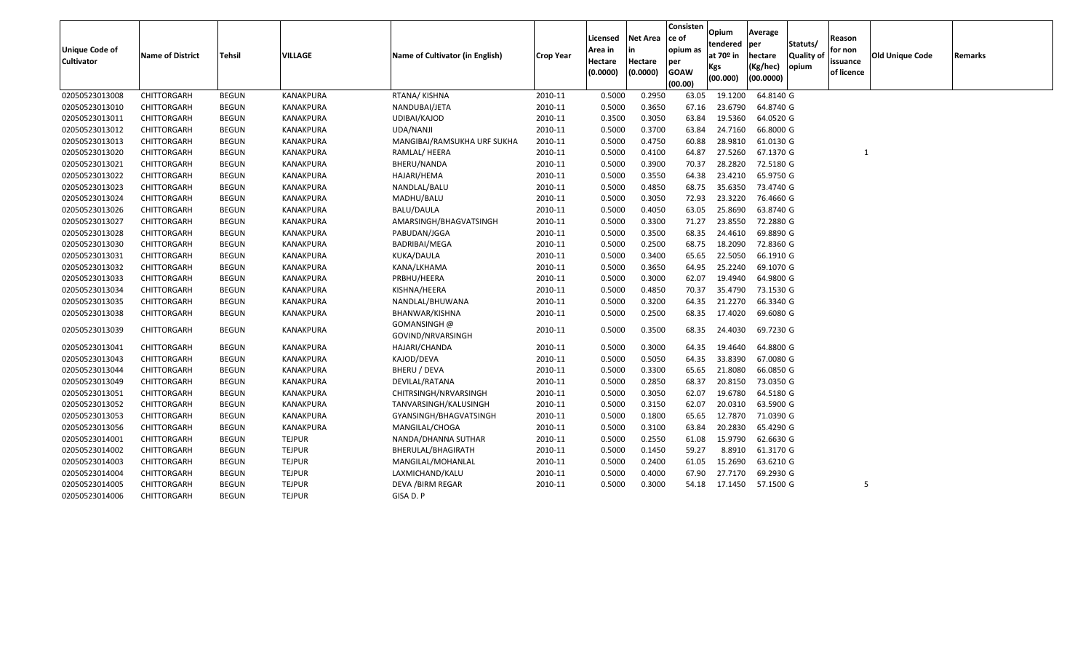| Unique Code of<br>Cultivator | <b>Name of District</b> | <b>Tehsil</b> | <b>VILLAGE</b>   | Name of Cultivator (in English)   | <b>Crop Year</b> | Licensed<br>Area in<br>Hectare<br>(0.0000) | <b>Net Area</b><br>in<br>Hectare<br>(0.0000) | Consisten<br>ce of<br>opium as<br>per<br><b>GOAW</b><br>(00.00) | <b>Opium</b><br>tendered<br>at 70º in<br>Kgs<br>(00.000) | Average<br> per<br>hectare<br>(Kg/hec)<br>(00.0000) | Statuts/<br>Quality of<br>opium | Reason<br>for non<br>issuance<br>of licence | <b>Old Unique Code</b> | <b>Remarks</b> |
|------------------------------|-------------------------|---------------|------------------|-----------------------------------|------------------|--------------------------------------------|----------------------------------------------|-----------------------------------------------------------------|----------------------------------------------------------|-----------------------------------------------------|---------------------------------|---------------------------------------------|------------------------|----------------|
| 02050523013008               | CHITTORGARH             | <b>BEGUN</b>  | <b>KANAKPURA</b> | RTANA/KISHNA                      | 2010-11          | 0.5000                                     | 0.2950                                       | 63.05                                                           | 19.1200                                                  | 64.8140 G                                           |                                 |                                             |                        |                |
| 02050523013010               | CHITTORGARH             | <b>BEGUN</b>  | <b>KANAKPURA</b> | NANDUBAI/JETA                     | 2010-11          | 0.5000                                     | 0.3650                                       | 67.16                                                           | 23.6790                                                  | 64.8740 G                                           |                                 |                                             |                        |                |
| 02050523013011               | CHITTORGARH             | <b>BEGUN</b>  | KANAKPURA        | UDIBAI/KAJOD                      | 2010-11          | 0.3500                                     | 0.3050                                       | 63.84                                                           | 19.5360                                                  | 64.0520 G                                           |                                 |                                             |                        |                |
| 02050523013012               | CHITTORGARH             | <b>BEGUN</b>  | <b>KANAKPURA</b> | UDA/NANJI                         | 2010-11          | 0.5000                                     | 0.3700                                       | 63.84                                                           | 24.7160                                                  | 66.8000 G                                           |                                 |                                             |                        |                |
| 02050523013013               | CHITTORGARH             | <b>BEGUN</b>  | KANAKPURA        | MANGIBAI/RAMSUKHA URF SUKHA       | 2010-11          | 0.5000                                     | 0.4750                                       | 60.88                                                           | 28.9810                                                  | 61.0130 G                                           |                                 |                                             |                        |                |
| 02050523013020               | CHITTORGARH             | BEGUN         | KANAKPURA        | RAMLAL/ HEERA                     | 2010-11          | 0.5000                                     | 0.4100                                       | 64.87                                                           | 27.5260                                                  | 67.1370 G                                           |                                 | 1                                           |                        |                |
| 02050523013021               | CHITTORGARH             | BEGUN         | <b>KANAKPURA</b> | BHERU/NANDA                       | 2010-11          | 0.5000                                     | 0.3900                                       | 70.37                                                           | 28.2820                                                  | 72.5180 G                                           |                                 |                                             |                        |                |
| 02050523013022               | CHITTORGARH             | <b>BEGUN</b>  | KANAKPURA        | HAJARI/HEMA                       | 2010-11          | 0.5000                                     | 0.3550                                       | 64.38                                                           | 23.4210                                                  | 65.9750 G                                           |                                 |                                             |                        |                |
| 02050523013023               | CHITTORGARH             | <b>BEGUN</b>  | KANAKPURA        | NANDLAL/BALU                      | 2010-11          | 0.5000                                     | 0.4850                                       | 68.75                                                           | 35.6350                                                  | 73.4740 G                                           |                                 |                                             |                        |                |
| 02050523013024               | CHITTORGARH             | <b>BEGUN</b>  | KANAKPURA        | MADHU/BALU                        | 2010-11          | 0.5000                                     | 0.3050                                       | 72.93                                                           | 23.3220                                                  | 76.4660 G                                           |                                 |                                             |                        |                |
| 02050523013026               | CHITTORGARH             | <b>BEGUN</b>  | <b>KANAKPURA</b> | <b>BALU/DAULA</b>                 | 2010-11          | 0.5000                                     | 0.4050                                       | 63.05                                                           | 25.8690                                                  | 63.8740 G                                           |                                 |                                             |                        |                |
| 02050523013027               | CHITTORGARH             | <b>BEGUN</b>  | KANAKPURA        | AMARSINGH/BHAGVATSINGH            | 2010-11          | 0.5000                                     | 0.3300                                       | 71.27                                                           | 23.8550                                                  | 72.2880 G                                           |                                 |                                             |                        |                |
| 02050523013028               | CHITTORGARH             | <b>BEGUN</b>  | KANAKPURA        | PABUDAN/JGGA                      | 2010-11          | 0.5000                                     | 0.3500                                       | 68.35                                                           | 24.4610                                                  | 69.8890 G                                           |                                 |                                             |                        |                |
| 02050523013030               | CHITTORGARH             | <b>BEGUN</b>  | KANAKPURA        | <b>BADRIBAI/MEGA</b>              | 2010-11          | 0.5000                                     | 0.2500                                       | 68.75                                                           | 18.2090                                                  | 72.8360 G                                           |                                 |                                             |                        |                |
| 02050523013031               | CHITTORGARH             | <b>BEGUN</b>  | KANAKPURA        | KUKA/DAULA                        | 2010-11          | 0.5000                                     | 0.3400                                       | 65.65                                                           | 22.5050                                                  | 66.1910 G                                           |                                 |                                             |                        |                |
| 02050523013032               | CHITTORGARH             | <b>BEGUN</b>  | KANAKPURA        | KANA/LKHAMA                       | 2010-11          | 0.5000                                     | 0.3650                                       | 64.95                                                           | 25.2240                                                  | 69.1070 G                                           |                                 |                                             |                        |                |
| 02050523013033               | CHITTORGARH             | BEGUN         | KANAKPURA        | PRBHU/HEERA                       | 2010-11          | 0.5000                                     | 0.3000                                       | 62.07                                                           | 19.4940                                                  | 64.9800 G                                           |                                 |                                             |                        |                |
| 02050523013034               | CHITTORGARH             | <b>BEGUN</b>  | KANAKPURA        | KISHNA/HEERA                      | 2010-11          | 0.5000                                     | 0.4850                                       | 70.37                                                           | 35.4790                                                  | 73.1530 G                                           |                                 |                                             |                        |                |
| 02050523013035               | CHITTORGARH             | <b>BEGUN</b>  | KANAKPURA        | NANDLAL/BHUWANA                   | 2010-11          | 0.5000                                     | 0.3200                                       | 64.35                                                           | 21.2270                                                  | 66.3340 G                                           |                                 |                                             |                        |                |
| 02050523013038               | CHITTORGARH             | BEGUN         | KANAKPURA        | BHANWAR/KISHNA                    | 2010-11          | 0.5000                                     | 0.2500                                       | 68.35                                                           | 17.4020                                                  | 69.6080 G                                           |                                 |                                             |                        |                |
| 02050523013039               | CHITTORGARH             | <b>BEGUN</b>  | KANAKPURA        | GOMANSINGH @<br>GOVIND/NRVARSINGH | 2010-11          | 0.5000                                     | 0.3500                                       | 68.35                                                           | 24.4030                                                  | 69.7230 G                                           |                                 |                                             |                        |                |
| 02050523013041               | CHITTORGARH             | <b>BEGUN</b>  | KANAKPURA        | HAJARI/CHANDA                     | 2010-11          | 0.5000                                     | 0.3000                                       | 64.35                                                           | 19.4640                                                  | 64.8800 G                                           |                                 |                                             |                        |                |
| 02050523013043               | CHITTORGARH             | <b>BEGUN</b>  | <b>KANAKPURA</b> | KAJOD/DEVA                        | 2010-11          | 0.5000                                     | 0.5050                                       | 64.35                                                           | 33.8390                                                  | 67.0080 G                                           |                                 |                                             |                        |                |
| 02050523013044               | CHITTORGARH             | <b>BEGUN</b>  | <b>KANAKPURA</b> | <b>BHERU / DEVA</b>               | 2010-11          | 0.5000                                     | 0.3300                                       | 65.65                                                           | 21.8080                                                  | 66.0850 G                                           |                                 |                                             |                        |                |
| 02050523013049               | CHITTORGARH             | <b>BEGUN</b>  | KANAKPURA        | DEVILAL/RATANA                    | 2010-11          | 0.5000                                     | 0.2850                                       | 68.37                                                           | 20.8150                                                  | 73.0350 G                                           |                                 |                                             |                        |                |
| 02050523013051               | CHITTORGARH             | <b>BEGUN</b>  | <b>KANAKPURA</b> | CHITRSINGH/NRVARSINGH             | 2010-11          | 0.5000                                     | 0.3050                                       | 62.07                                                           | 19.6780                                                  | 64.5180 G                                           |                                 |                                             |                        |                |
| 02050523013052               | CHITTORGARH             | <b>BEGUN</b>  | KANAKPURA        | TANVARSINGH/KALUSINGH             | 2010-11          | 0.5000                                     | 0.3150                                       | 62.07                                                           | 20.0310                                                  | 63.5900 G                                           |                                 |                                             |                        |                |
| 02050523013053               | CHITTORGARH             | <b>BEGUN</b>  | KANAKPURA        | GYANSINGH/BHAGVATSINGH            | 2010-11          | 0.5000                                     | 0.1800                                       | 65.65                                                           | 12.7870                                                  | 71.0390 G                                           |                                 |                                             |                        |                |
| 02050523013056               | CHITTORGARH             | BEGUN         | KANAKPURA        | MANGILAL/CHOGA                    | 2010-11          | 0.5000                                     | 0.3100                                       | 63.84                                                           | 20.2830                                                  | 65.4290 G                                           |                                 |                                             |                        |                |
| 02050523014001               | CHITTORGARH             | <b>BEGUN</b>  | <b>TEJPUR</b>    | NANDA/DHANNA SUTHAR               | 2010-11          | 0.5000                                     | 0.2550                                       | 61.08                                                           | 15.9790                                                  | 62.6630 G                                           |                                 |                                             |                        |                |
| 02050523014002               | CHITTORGARH             | <b>BEGUN</b>  | <b>TEJPUR</b>    | BHERULAL/BHAGIRATH                | 2010-11          | 0.5000                                     | 0.1450                                       | 59.27                                                           | 8.8910                                                   | 61.3170 G                                           |                                 |                                             |                        |                |
| 02050523014003               | CHITTORGARH             | <b>BEGUN</b>  | <b>TEJPUR</b>    | MANGILAL/MOHANLAL                 | 2010-11          | 0.5000                                     | 0.2400                                       | 61.05                                                           | 15.2690                                                  | 63.6210 G                                           |                                 |                                             |                        |                |
| 02050523014004               | CHITTORGARH             | <b>BEGUN</b>  | <b>TEJPUR</b>    | LAXMICHAND/KALU                   | 2010-11          | 0.5000                                     | 0.4000                                       | 67.90                                                           | 27.7170                                                  | 69.2930 G                                           |                                 |                                             |                        |                |
| 02050523014005               | CHITTORGARH             | <b>BEGUN</b>  | <b>TEJPUR</b>    | DEVA / BIRM REGAR                 | 2010-11          | 0.5000                                     | 0.3000                                       | 54.18                                                           | 17.1450                                                  | 57.1500 G                                           |                                 | 5                                           |                        |                |
| 02050523014006               | CHITTORGARH             | <b>BEGUN</b>  | <b>TEJPUR</b>    | GISA D. P                         |                  |                                            |                                              |                                                                 |                                                          |                                                     |                                 |                                             |                        |                |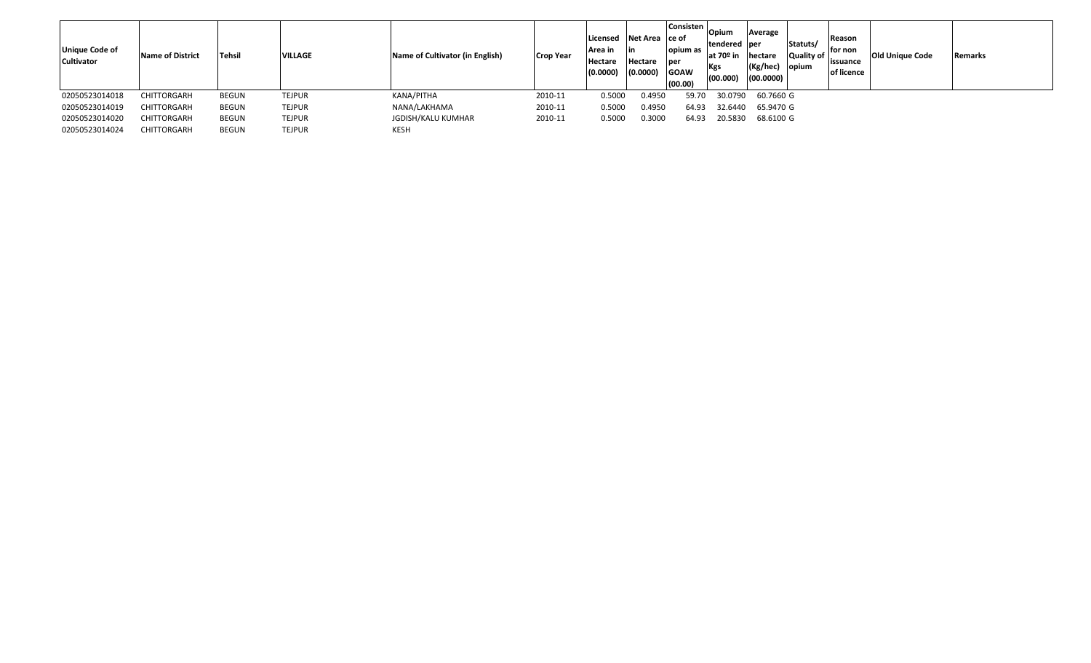| <b>Unique Code of</b><br><b>Cultivator</b> | <b>Name of District</b> | Tehsil       | <b>VILLAGE</b> | Name of Cultivator (in English) | <b>Crop Year</b> | Licensed<br>Area in<br>Hectare<br>(0.0000) | Net Area Ice of<br>Hectare<br>(0.0000 | <b>Consisten</b><br>opium as<br>per<br><b>GOAW</b><br>(00.00) | Opium<br> tendered  per<br>at 70º in<br>Kgs<br>(00.000) | Average<br>hectare<br>$(Kg/$ hec $)$<br>(00.0000) | Statuts/<br>Quality of<br>opium | Reason<br>for non<br>issuance<br>of licence | <b>Old Unique Code</b> | Remarks |
|--------------------------------------------|-------------------------|--------------|----------------|---------------------------------|------------------|--------------------------------------------|---------------------------------------|---------------------------------------------------------------|---------------------------------------------------------|---------------------------------------------------|---------------------------------|---------------------------------------------|------------------------|---------|
| 02050523014018                             | CHITTORGARH             | BEGUN        | TEJPUR         | KANA/PITHA                      | 2010-11          | 0.5000                                     | 0.4950                                | 59.70                                                         | 30.0790                                                 | 60.7660 G                                         |                                 |                                             |                        |         |
| 02050523014019                             | CHITTORGARH             | <b>BEGUN</b> | <b>TEJPUR</b>  | NANA/LAKHAMA                    | 2010-11          | 0.5000                                     | 0.4950                                | 64.93                                                         | 32.6440                                                 | 65.9470 G                                         |                                 |                                             |                        |         |
| 02050523014020                             | CHITTORGARH             | <b>BEGUN</b> | <b>TEJPUR</b>  | JGDISH/KALU KUMHAR              | 2010-11          | 0.5000                                     | 0.3000                                | 64.93                                                         | 20.5830                                                 | 68.6100 G                                         |                                 |                                             |                        |         |
| 02050523014024                             | CHITTORGARH             | BEGUN        | <b>TEJPUR</b>  | <b>KESH</b>                     |                  |                                            |                                       |                                                               |                                                         |                                                   |                                 |                                             |                        |         |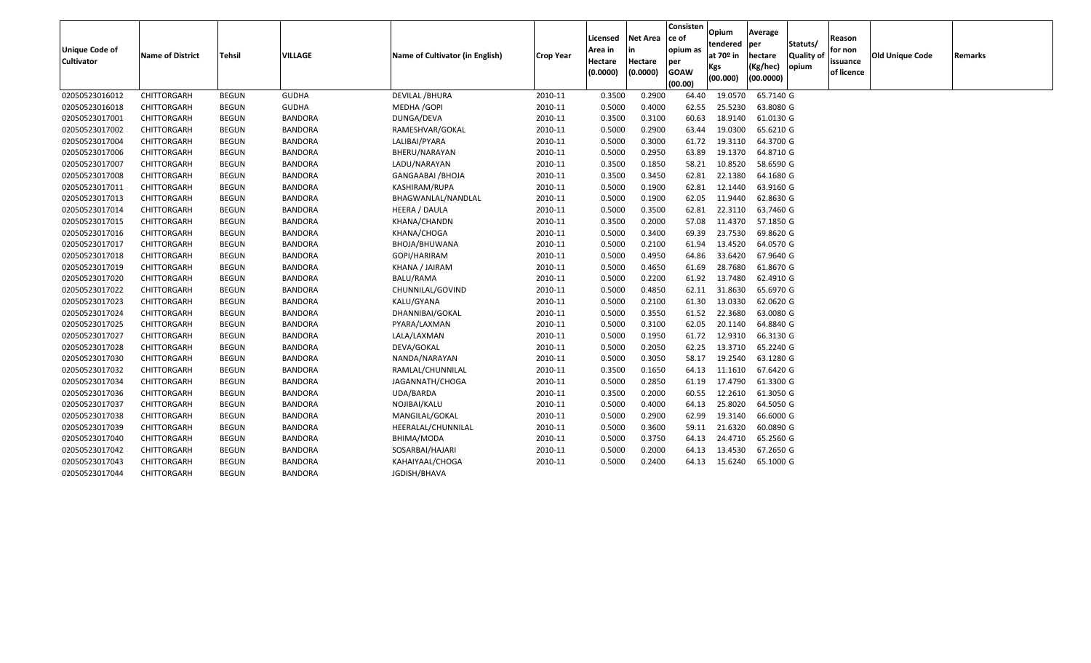| <b>Unique Code of</b><br><b>Cultivator</b> | <b>Name of District</b> | <b>Tehsil</b> | <b>VILLAGE</b> | Name of Cultivator (in English) | Crop Year | Licensed<br>Area in<br>Hectare<br>(0.0000) | <b>Net Area</b><br><b>Hectare</b><br>(0.0000) | Consisten<br>ce of<br>opium as<br>per<br><b>GOAW</b><br>(00.00) | Opium<br>tendered<br>at 70º in<br><b>Kgs</b><br>(00.000) | Average<br><b>per</b><br>hectare<br>(Kg/hec)<br>(00.0000) | Statuts/<br>Quality of<br>opium | <b>Reason</b><br>for non<br>issuance<br>of licence | Old Unique Code | <b>Remarks</b> |
|--------------------------------------------|-------------------------|---------------|----------------|---------------------------------|-----------|--------------------------------------------|-----------------------------------------------|-----------------------------------------------------------------|----------------------------------------------------------|-----------------------------------------------------------|---------------------------------|----------------------------------------------------|-----------------|----------------|
| 02050523016012                             | CHITTORGARH             | <b>BEGUN</b>  | <b>GUDHA</b>   | <b>DEVILAL /BHURA</b>           | 2010-11   | 0.3500                                     | 0.2900                                        | 64.40                                                           | 19.0570                                                  | 65.7140 G                                                 |                                 |                                                    |                 |                |
| 02050523016018                             | CHITTORGARH             | <b>BEGUN</b>  | <b>GUDHA</b>   | <b>MEDHA /GOPI</b>              | 2010-11   | 0.5000                                     | 0.4000                                        | 62.55                                                           | 25.5230                                                  | 63.8080 G                                                 |                                 |                                                    |                 |                |
| 02050523017001                             | CHITTORGARH             | <b>BEGUN</b>  | <b>BANDORA</b> | DUNGA/DEVA                      | 2010-11   | 0.3500                                     | 0.3100                                        | 60.63                                                           | 18.9140                                                  | 61.0130 G                                                 |                                 |                                                    |                 |                |
| 02050523017002                             | CHITTORGARH             | <b>BEGUN</b>  | <b>BANDORA</b> | RAMESHVAR/GOKAL                 | 2010-11   | 0.5000                                     | 0.2900                                        | 63.44                                                           | 19.0300                                                  | 65.6210 G                                                 |                                 |                                                    |                 |                |
| 02050523017004                             | CHITTORGARH             | <b>BEGUN</b>  | <b>BANDORA</b> | LALIBAI/PYARA                   | 2010-11   | 0.5000                                     | 0.3000                                        | 61.72                                                           | 19.3110                                                  | 64.3700 G                                                 |                                 |                                                    |                 |                |
| 02050523017006                             | CHITTORGARH             | <b>BEGUN</b>  | <b>BANDORA</b> | BHERU/NARAYAN                   | 2010-11   | 0.5000                                     | 0.2950                                        | 63.89                                                           | 19.1370                                                  | 64.8710 G                                                 |                                 |                                                    |                 |                |
| 02050523017007                             | <b>CHITTORGARH</b>      | <b>BEGUN</b>  | <b>BANDORA</b> | LADU/NARAYAN                    | 2010-11   | 0.3500                                     | 0.1850                                        | 58.21                                                           | 10.8520                                                  | 58.6590 G                                                 |                                 |                                                    |                 |                |
| 02050523017008                             | CHITTORGARH             | <b>BEGUN</b>  | <b>BANDORA</b> | GANGAABAI / BHOJA               | 2010-11   | 0.3500                                     | 0.3450                                        | 62.81                                                           | 22.1380                                                  | 64.1680 G                                                 |                                 |                                                    |                 |                |
| 02050523017011                             | CHITTORGARH             | BEGUN         | <b>BANDORA</b> | KASHIRAM/RUPA                   | 2010-11   | 0.5000                                     | 0.1900                                        | 62.81                                                           | 12.1440                                                  | 63.9160 G                                                 |                                 |                                                    |                 |                |
| 02050523017013                             | CHITTORGARH             | <b>BEGUN</b>  | <b>BANDORA</b> | BHAGWANLAL/NANDLAL              | 2010-11   | 0.5000                                     | 0.1900                                        | 62.05                                                           | 11.9440                                                  | 62.8630 G                                                 |                                 |                                                    |                 |                |
| 02050523017014                             | CHITTORGARH             | <b>BEGUN</b>  | <b>BANDORA</b> | <b>HEERA / DAULA</b>            | 2010-11   | 0.5000                                     | 0.3500                                        | 62.81                                                           | 22.3110                                                  | 63.7460 G                                                 |                                 |                                                    |                 |                |
| 02050523017015                             | CHITTORGARH             | <b>BEGUN</b>  | <b>BANDORA</b> | KHANA/CHANDN                    | 2010-11   | 0.3500                                     | 0.2000                                        | 57.08                                                           | 11.4370                                                  | 57.1850 G                                                 |                                 |                                                    |                 |                |
| 02050523017016                             | <b>CHITTORGARH</b>      | <b>BEGUN</b>  | <b>BANDORA</b> | KHANA/CHOGA                     | 2010-11   | 0.5000                                     | 0.3400                                        | 69.39                                                           | 23.7530                                                  | 69.8620 G                                                 |                                 |                                                    |                 |                |
| 02050523017017                             | CHITTORGARH             | BEGUN         | <b>BANDORA</b> | BHOJA/BHUWANA                   | 2010-11   | 0.5000                                     | 0.2100                                        | 61.94                                                           | 13.4520                                                  | 64.0570 G                                                 |                                 |                                                    |                 |                |
| 02050523017018                             | CHITTORGARH             | <b>BEGUN</b>  | <b>BANDORA</b> | GOPI/HARIRAM                    | 2010-11   | 0.5000                                     | 0.4950                                        | 64.86                                                           | 33.6420                                                  | 67.9640 G                                                 |                                 |                                                    |                 |                |
| 02050523017019                             | CHITTORGARH             | <b>BEGUN</b>  | <b>BANDORA</b> | KHANA / JAIRAM                  | 2010-11   | 0.5000                                     | 0.4650                                        | 61.69                                                           | 28.7680                                                  | 61.8670 G                                                 |                                 |                                                    |                 |                |
| 02050523017020                             | CHITTORGARH             | <b>BEGUN</b>  | <b>BANDORA</b> | BALU/RAMA                       | 2010-11   | 0.5000                                     | 0.2200                                        | 61.92                                                           | 13.7480                                                  | 62.4910 G                                                 |                                 |                                                    |                 |                |
| 02050523017022                             | CHITTORGARH             | <b>BEGUN</b>  | <b>BANDORA</b> | CHUNNILAL/GOVIND                | 2010-11   | 0.5000                                     | 0.4850                                        | 62.11                                                           | 31.8630                                                  | 65.6970 G                                                 |                                 |                                                    |                 |                |
| 02050523017023                             | CHITTORGARH             | <b>BEGUN</b>  | <b>BANDORA</b> | KALU/GYANA                      | 2010-11   | 0.5000                                     | 0.2100                                        | 61.30                                                           | 13.0330                                                  | 62.0620 G                                                 |                                 |                                                    |                 |                |
| 02050523017024                             | CHITTORGARH             | <b>BEGUN</b>  | <b>BANDORA</b> | DHANNIBAI/GOKAL                 | 2010-11   | 0.5000                                     | 0.3550                                        | 61.52                                                           | 22.3680                                                  | 63.0080 G                                                 |                                 |                                                    |                 |                |
| 02050523017025                             | CHITTORGARH             | <b>BEGUN</b>  | <b>BANDORA</b> | PYARA/LAXMAN                    | 2010-11   | 0.5000                                     | 0.3100                                        | 62.05                                                           | 20.1140                                                  | 64.8840 G                                                 |                                 |                                                    |                 |                |
| 02050523017027                             | CHITTORGARH             | <b>BEGUN</b>  | <b>BANDORA</b> | LALA/LAXMAN                     | 2010-11   | 0.5000                                     | 0.1950                                        | 61.72                                                           | 12.9310                                                  | 66.3130 G                                                 |                                 |                                                    |                 |                |
| 02050523017028                             | CHITTORGARH             | <b>BEGUN</b>  | <b>BANDORA</b> | DEVA/GOKAL                      | 2010-11   | 0.5000                                     | 0.2050                                        | 62.25                                                           | 13.3710                                                  | 65.2240 G                                                 |                                 |                                                    |                 |                |
| 02050523017030                             | CHITTORGARH             | <b>BEGUN</b>  | <b>BANDORA</b> | NANDA/NARAYAN                   | 2010-11   | 0.5000                                     | 0.3050                                        | 58.17                                                           | 19.2540                                                  | 63.1280 G                                                 |                                 |                                                    |                 |                |
| 02050523017032                             | CHITTORGARH             | <b>BEGUN</b>  | <b>BANDORA</b> | RAMLAL/CHUNNILAL                | 2010-11   | 0.3500                                     | 0.1650                                        | 64.13                                                           | 11.1610                                                  | 67.6420 G                                                 |                                 |                                                    |                 |                |
| 02050523017034                             | CHITTORGARH             | <b>BEGUN</b>  | <b>BANDORA</b> | JAGANNATH/CHOGA                 | 2010-11   | 0.5000                                     | 0.2850                                        | 61.19                                                           | 17.4790                                                  | 61.3300 G                                                 |                                 |                                                    |                 |                |
| 02050523017036                             | <b>CHITTORGARH</b>      | <b>BEGUN</b>  | <b>BANDORA</b> | UDA/BARDA                       | 2010-11   | 0.3500                                     | 0.2000                                        | 60.55                                                           | 12.2610                                                  | 61.3050 G                                                 |                                 |                                                    |                 |                |
| 02050523017037                             | CHITTORGARH             | <b>BEGUN</b>  | <b>BANDORA</b> | NOJIBAI/KALU                    | 2010-11   | 0.5000                                     | 0.4000                                        | 64.13                                                           | 25.8020                                                  | 64.5050 G                                                 |                                 |                                                    |                 |                |
| 02050523017038                             | CHITTORGARH             | <b>BEGUN</b>  | <b>BANDORA</b> | MANGILAL/GOKAL                  | 2010-11   | 0.5000                                     | 0.2900                                        | 62.99                                                           | 19.3140                                                  | 66.6000 G                                                 |                                 |                                                    |                 |                |
| 02050523017039                             | CHITTORGARH             | <b>BEGUN</b>  | <b>BANDORA</b> | HEERALAL/CHUNNILAL              | 2010-11   | 0.5000                                     | 0.3600                                        | 59.11                                                           | 21.6320                                                  | 60.0890 G                                                 |                                 |                                                    |                 |                |
| 02050523017040                             | CHITTORGARH             | <b>BEGUN</b>  | <b>BANDORA</b> | BHIMA/MODA                      | 2010-11   | 0.5000                                     | 0.3750                                        | 64.13                                                           | 24.4710                                                  | 65.2560 G                                                 |                                 |                                                    |                 |                |
| 02050523017042                             | CHITTORGARH             | <b>BEGUN</b>  | <b>BANDORA</b> | SOSARBAI/HAJARI                 | 2010-11   | 0.5000                                     | 0.2000                                        | 64.13                                                           | 13.4530                                                  | 67.2650 G                                                 |                                 |                                                    |                 |                |
| 02050523017043                             | CHITTORGARH             | <b>BEGUN</b>  | <b>BANDORA</b> | KAHAIYAAL/CHOGA                 | 2010-11   | 0.5000                                     | 0.2400                                        | 64.13                                                           | 15.6240                                                  | 65.1000 G                                                 |                                 |                                                    |                 |                |
| 02050523017044                             | <b>CHITTORGARH</b>      | <b>BEGUN</b>  | <b>BANDORA</b> | JGDISH/BHAVA                    |           |                                            |                                               |                                                                 |                                                          |                                                           |                                 |                                                    |                 |                |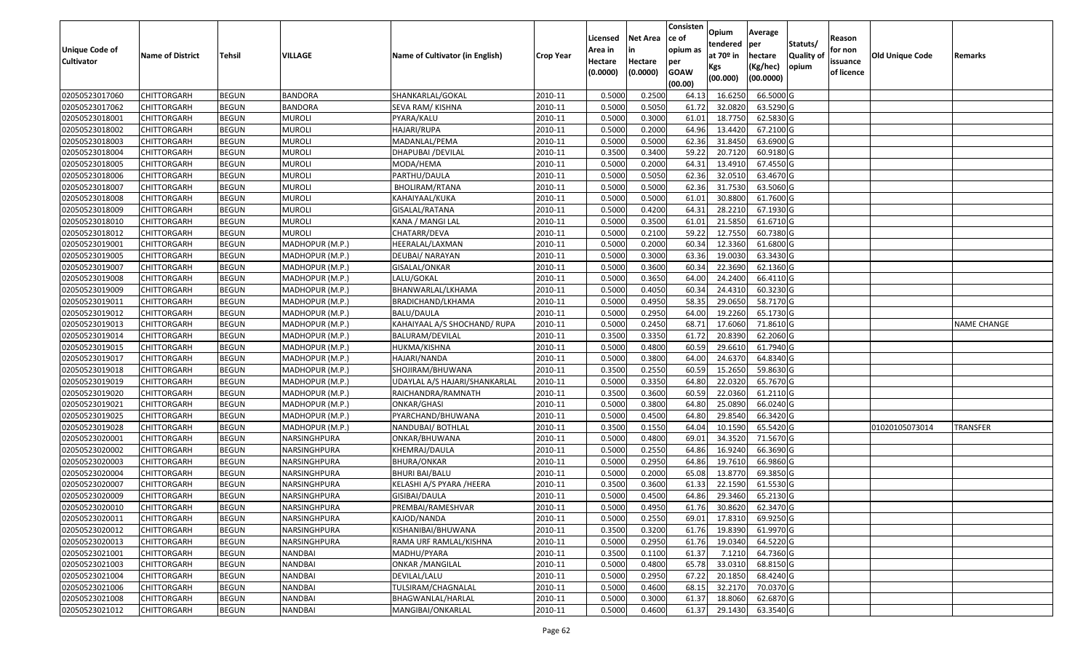|                       |                         |               |                 |                                 |                  |          |                 | Consisten        | Opium         | Average     |                  |            |                 |                    |
|-----------------------|-------------------------|---------------|-----------------|---------------------------------|------------------|----------|-----------------|------------------|---------------|-------------|------------------|------------|-----------------|--------------------|
|                       |                         |               |                 |                                 |                  | Licensed | <b>Net Area</b> | ce of            | tendered      | per         | Statuts/         | Reason     |                 |                    |
| <b>Unique Code of</b> | <b>Name of District</b> | <b>Tehsil</b> | VILLAGE         | Name of Cultivator (in English) | <b>Crop Year</b> | Area in  |                 | opium as         | at $70°$ in   | hectare     | <b>Quality o</b> | for non    | Old Unique Code | Remarks            |
| <b>Cultivator</b>     |                         |               |                 |                                 |                  | Hectare  | Hectare         | per              | Kgs           | (Kg/hec)    | opium            | issuance   |                 |                    |
|                       |                         |               |                 |                                 |                  | (0.0000) | (0.0000)        | <b>GOAW</b>      | (00.000)      | (00.0000)   |                  | of licence |                 |                    |
| 02050523017060        | CHITTORGARH             | <b>BEGUN</b>  | <b>BANDORA</b>  | SHANKARLAL/GOKAL                | 2010-11          | 0.5000   | 0.2500          | (00.00)<br>64.13 | 16.625        | 66.5000G    |                  |            |                 |                    |
| 02050523017062        | CHITTORGARH             | <b>BEGUN</b>  | <b>BANDORA</b>  | SEVA RAM/ KISHNA                | 2010-11          | 0.5000   | 0.5050          | 61.72            | 32.0820       | 63.5290 G   |                  |            |                 |                    |
| 02050523018001        | CHITTORGARH             | <b>BEGUN</b>  | <b>MUROLI</b>   | PYARA/KALU                      | 2010-11          | 0.5000   | 0.3000          | 61.01            | 18.7750       | 62.5830 G   |                  |            |                 |                    |
| 02050523018002        | <b>CHITTORGARH</b>      | <b>BEGUN</b>  | <b>MUROLI</b>   | HAJARI/RUPA                     | 2010-11          | 0.5000   | 0.2000          | 64.96            | 13.4420       | 67.2100G    |                  |            |                 |                    |
| 02050523018003        | CHITTORGARH             | <b>BEGUN</b>  | <b>MUROLI</b>   | MADANLAL/PEMA                   | 2010-11          | 0.5000   | 0.5000          | 62.36            | 31.845        | 63.6900 G   |                  |            |                 |                    |
| 02050523018004        | CHITTORGARH             | <b>BEGUN</b>  | <b>MUROLI</b>   | DHAPUBAI /DEVILAL               | 2010-11          | 0.3500   | 0.3400          | 59.22            | 20.7120       | 60.9180 G   |                  |            |                 |                    |
| 02050523018005        | CHITTORGARH             | <b>BEGUN</b>  | <b>MUROLI</b>   | MODA/HEMA                       | 2010-11          | 0.5000   | 0.2000          | 64.3             | 13.491        | 67.4550 G   |                  |            |                 |                    |
| 02050523018006        | CHITTORGARH             | <b>BEGUN</b>  | <b>MUROLI</b>   | PARTHU/DAULA                    | 2010-11          | 0.5000   | 0.5050          | 62.36            | 32.0510       | 63.4670 G   |                  |            |                 |                    |
| 02050523018007        | <b>CHITTORGARH</b>      | <b>BEGUN</b>  | <b>MUROLI</b>   | <b>BHOLIRAM/RTANA</b>           | 2010-11          | 0.5000   | 0.5000          | 62.36            | 31.7530       | 63.5060 G   |                  |            |                 |                    |
| 02050523018008        | CHITTORGARH             | <b>BEGUN</b>  | <b>MUROLI</b>   | KAHAIYAAL/KUKA                  | 2010-11          | 0.5000   | 0.5000          | 61.01            | 30.8800       | 61.7600 G   |                  |            |                 |                    |
| 02050523018009        | CHITTORGARH             | <b>BEGUN</b>  | <b>MUROLI</b>   | GISALAL/RATANA                  | 2010-11          | 0.5000   | 0.4200          | 64.31            | 28.2210       | 67.1930 G   |                  |            |                 |                    |
| 02050523018010        | <b>CHITTORGARH</b>      | <b>BEGUN</b>  | <b>MUROLI</b>   | KANA / MANGI LAL                | 2010-11          | 0.5000   | 0.3500          | 61.01            | 21.5850       | 61.6710 G   |                  |            |                 |                    |
| 02050523018012        | <b>CHITTORGARH</b>      | <b>BEGUN</b>  | <b>MUROLI</b>   | CHATARR/DEVA                    | 2010-11          | 0.5000   | 0.2100          | 59.22            | 12.7550       | 60.7380 G   |                  |            |                 |                    |
| 02050523019001        | <b>CHITTORGARH</b>      | <b>BEGUN</b>  | MADHOPUR (M.P.) | HEERALAL/LAXMAN                 | 2010-11          | 0.5000   | 0.2000          | 60.34            | 12.3360       | 61.6800 G   |                  |            |                 |                    |
| 02050523019005        | CHITTORGARH             | <b>BEGUN</b>  | MADHOPUR (M.P.) | DEUBAI/ NARAYAN                 | 2010-11          | 0.5000   | 0.3000          | 63.36            | 19.0030       | 63.3430 G   |                  |            |                 |                    |
| 02050523019007        | <b>CHITTORGARH</b>      | <b>BEGUN</b>  | MADHOPUR (M.P.) | GISALAL/ONKAR                   | 2010-11          | 0.5000   | 0.3600          | 60.34            | 22.3690       | 62.1360 G   |                  |            |                 |                    |
| 02050523019008        | <b>CHITTORGARH</b>      | <b>BEGUN</b>  | MADHOPUR (M.P.) | LALU/GOKAL                      | 2010-11          | 0.5000   | 0.3650          | 64.00            | 24.2400       | 66.4110G    |                  |            |                 |                    |
| 02050523019009        | CHITTORGARH             | <b>BEGUN</b>  | MADHOPUR (M.P.) | BHANWARLAL/LKHAMA               | 2010-11          | 0.5000   | 0.4050          | 60.34            | 24.4310       | 60.3230 G   |                  |            |                 |                    |
| 02050523019011        | CHITTORGARH             | <b>BEGUN</b>  | MADHOPUR (M.P.) | BRADICHAND/LKHAMA               | 2010-11          | 0.5000   | 0.4950          | 58.35            | 29.0650       | 58.7170 G   |                  |            |                 |                    |
| 02050523019012        | CHITTORGARH             | <b>BEGUN</b>  | MADHOPUR (M.P.) | BALU/DAULA                      | 2010-11          | 0.5000   | 0.2950          | 64.00            | 19.2260       | 65.1730 G   |                  |            |                 |                    |
| 02050523019013        | CHITTORGARH             | <b>BEGUN</b>  | MADHOPUR (M.P.) | KAHAIYAAL A/S SHOCHAND/ RUPA    | 2010-11          | 0.5000   | 0.2450          | 68.7             | 17.6060       | 71.8610 G   |                  |            |                 | <b>NAME CHANGE</b> |
| 02050523019014        | CHITTORGARH             | <b>BEGUN</b>  | MADHOPUR (M.P.) | BALURAM/DEVILAL                 | 2010-11          | 0.3500   | 0.3350          | 61.72            | 20.839        | 62.2060 G   |                  |            |                 |                    |
| 02050523019015        | CHITTORGARH             | <b>BEGUN</b>  | MADHOPUR (M.P.) | HUKMA/KISHNA                    | 2010-11          | 0.5000   | 0.4800          | 60.59            | 29.6610       | 61.7940 G   |                  |            |                 |                    |
| 02050523019017        | CHITTORGARH             | <b>BEGUN</b>  | MADHOPUR (M.P.) | HAJARI/NANDA                    | 2010-11          | 0.5000   | 0.3800          | 64.00            | 24.6370       | 64.8340 G   |                  |            |                 |                    |
| 02050523019018        | CHITTORGARH             | <b>BEGUN</b>  | MADHOPUR (M.P.) | SHOJIRAM/BHUWANA                | 2010-11          | 0.3500   | 0.2550          | 60.59            | 15.2650       | 59.8630 G   |                  |            |                 |                    |
| 02050523019019        | CHITTORGARH             | <b>BEGUN</b>  | MADHOPUR (M.P.) | UDAYLAL A/S HAJARI/SHANKARLAL   | 2010-11          | 0.5000   | 0.3350          | 64.80            | 22.0320       | 65.7670 G   |                  |            |                 |                    |
| 02050523019020        | CHITTORGARH             | <b>BEGUN</b>  | MADHOPUR (M.P.) | RAICHANDRA/RAMNATH              | 2010-11          | 0.3500   | 0.3600          | 60.59            | 22.0360       | $61.2110$ G |                  |            |                 |                    |
| 02050523019021        | CHITTORGARH             | <b>BEGUN</b>  | MADHOPUR (M.P.) | ONKAR/GHASI                     | 2010-11          | 0.5000   | 0.3800          | 64.80            | 25.0890       | 66.0240 G   |                  |            |                 |                    |
| 02050523019025        | CHITTORGARH             | <b>BEGUN</b>  | MADHOPUR (M.P.) | PYARCHAND/BHUWANA               | 2010-11          | 0.5000   | 0.4500          | 64.80            | 29.8540       | 66.3420 G   |                  |            |                 |                    |
| 02050523019028        | CHITTORGARH             | <b>BEGUN</b>  | MADHOPUR (M.P.) | NANDUBAI/ BOTHLAL               | 2010-11          | 0.3500   | 0.1550          | 64.04            | 10.1590       | 65.5420 G   |                  |            | 01020105073014  | TRANSFER           |
| 02050523020001        | CHITTORGARH             | <b>BEGUN</b>  | NARSINGHPURA    | ONKAR/BHUWANA                   | 2010-11          | 0.5000   | 0.4800          | 69.0             | 34.352        | 71.5670 G   |                  |            |                 |                    |
| 02050523020002        | CHITTORGARH             | <b>BEGUN</b>  | NARSINGHPURA    | KHEMRAJ/DAULA                   | 2010-11          | 0.5000   | 0.2550          | 64.86            | 16.9240       | 66.3690 G   |                  |            |                 |                    |
| 02050523020003        | CHITTORGARH             | <b>BEGUN</b>  | NARSINGHPURA    | <b>BHURA/ONKAR</b>              | 2010-11          | 0.5000   | 0.2950          | 64.86            | 19.7610       | 66.9860 G   |                  |            |                 |                    |
| 02050523020004        | <b>CHITTORGARH</b>      | <b>BEGUN</b>  | NARSINGHPURA    | <b>BHURI BAI/BALU</b>           | 2010-11          | 0.5000   | 0.2000          | 65.08            | 13.8770       | 69.3850 G   |                  |            |                 |                    |
| 02050523020007        | CHITTORGARH             | <b>BEGUN</b>  | NARSINGHPURA    | KELASHI A/S PYARA /HEERA        | 2010-11          | 0.350    | 0.3600          | 61.33            | 22.1590       | 61.5530 G   |                  |            |                 |                    |
| 02050523020009        | CHITTORGARH             | <b>BEGUN</b>  | NARSINGHPURA    | GISIBAI/DAULA                   | 2010-11          | 0.5000   | 0.4500          | 64.86            | 29.3460       | 65.2130 G   |                  |            |                 |                    |
| 02050523020010        | <b>CHITTORGARH</b>      | <b>BEGUN</b>  | NARSINGHPURA    | PREMBAI/RAMESHVAR               | 2010-11          | 0.5000   | 0.4950          |                  | 61.76 30.8620 | 62.3470 G   |                  |            |                 |                    |
| 02050523020011        | <b>CHITTORGARH</b>      | <b>BEGUN</b>  | NARSINGHPURA    | KAJOD/NANDA                     | 2010-11          | 0.5000   | 0.2550          | 69.01            | 17.8310       | 69.9250 G   |                  |            |                 |                    |
| 02050523020012        | <b>CHITTORGARH</b>      | <b>BEGUN</b>  | NARSINGHPURA    | KISHANIBAI/BHUWANA              | 2010-11          | 0.3500   | 0.3200          | 61.76            | 19.8390       | 61.9970 G   |                  |            |                 |                    |
| 02050523020013        | <b>CHITTORGARH</b>      | <b>BEGUN</b>  | NARSINGHPURA    | RAMA URF RAMLAL/KISHNA          | 2010-11          | 0.5000   | 0.2950          | 61.76            | 19.0340       | 64.5220 G   |                  |            |                 |                    |
| 02050523021001        | <b>CHITTORGARH</b>      | <b>BEGUN</b>  | <b>NANDBAI</b>  | MADHU/PYARA                     | 2010-11          | 0.3500   | 0.1100          | 61.37            | 7.1210        | 64.7360 G   |                  |            |                 |                    |
| 02050523021003        | <b>CHITTORGARH</b>      | <b>BEGUN</b>  | <b>NANDBAI</b>  | <b>ONKAR /MANGILAL</b>          | 2010-11          | 0.5000   | 0.4800          | 65.78            | 33.0310       | 68.8150 G   |                  |            |                 |                    |
| 02050523021004        | <b>CHITTORGARH</b>      | <b>BEGUN</b>  | NANDBAI         | DEVILAL/LALU                    | 2010-11          | 0.5000   | 0.2950          | 67.22            | 20.1850       | 68.4240 G   |                  |            |                 |                    |
| 02050523021006        | CHITTORGARH             | <b>BEGUN</b>  | NANDBAI         | TULSIRAM/CHAGNALAL              | 2010-11          | 0.5000   | 0.4600          | 68.15            | 32.2170       | 70.0370 G   |                  |            |                 |                    |
| 02050523021008        | <b>CHITTORGARH</b>      | <b>BEGUN</b>  | NANDBAI         | BHAGWANLAL/HARLAL               | 2010-11          | 0.5000   | 0.3000          | 61.37            | 18.8060       | 62.6870 G   |                  |            |                 |                    |
| 02050523021012        | <b>CHITTORGARH</b>      | <b>BEGUN</b>  | NANDBAI         | MANGIBAI/ONKARLAL               | 2010-11          | 0.5000   | 0.4600          | 61.37            | 29.1430       | 63.3540 G   |                  |            |                 |                    |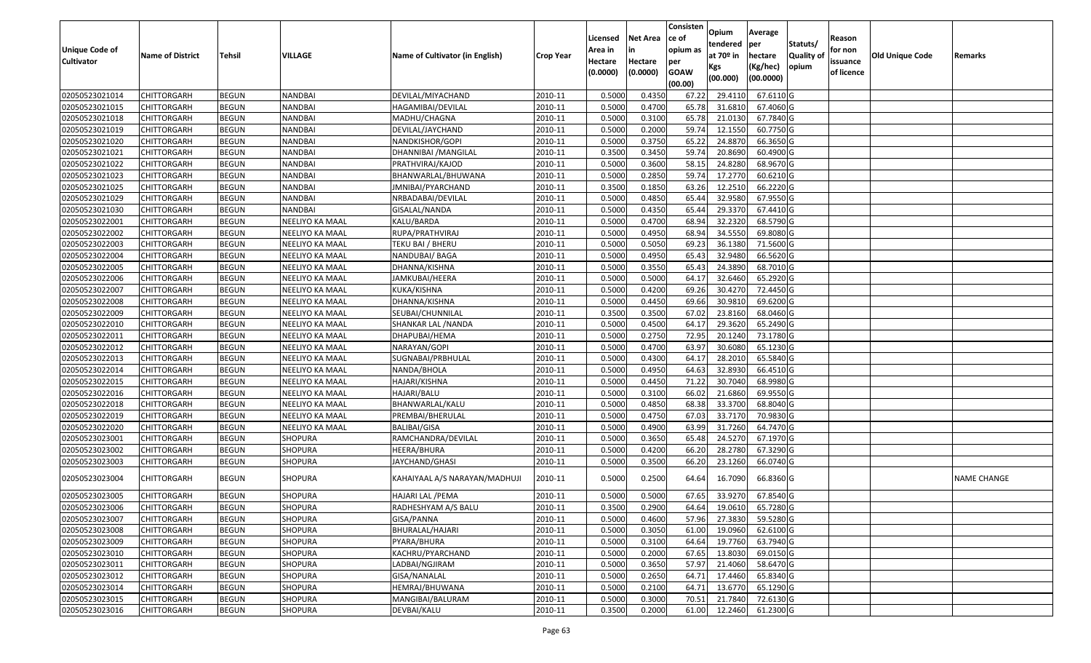| <b>Unique Code of</b><br><b>Cultivator</b> | <b>Name of District</b> | Tehsil       | VILLAGE         | Name of Cultivator (in English) | <b>Crop Year</b> | Licensed<br>Area in<br>Hectare | <b>Net Area</b><br>in<br>Hectare | Consisten<br>ce of<br>opium as<br>per | Opium<br>tendered<br>at $70°$ in | Average<br>per<br>hectare | Statuts/<br>Quality o | Reason<br>for non<br>issuance | Old Unique Code | Remarks            |
|--------------------------------------------|-------------------------|--------------|-----------------|---------------------------------|------------------|--------------------------------|----------------------------------|---------------------------------------|----------------------------------|---------------------------|-----------------------|-------------------------------|-----------------|--------------------|
|                                            |                         |              |                 |                                 |                  | (0.0000)                       | (0.0000)                         | <b>GOAW</b><br>(00.00)                | Kgs<br>(00.000)                  | (Kg/hec)<br>(00.0000)     | opium                 | of licence                    |                 |                    |
| 02050523021014                             | <b>CHITTORGARH</b>      | <b>BEGUN</b> | <b>NANDBAI</b>  | DEVILAL/MIYACHAND               | 2010-11          | 0.5000                         | 0.4350                           | 67.22                                 | 29.4110                          | 67.6110 G                 |                       |                               |                 |                    |
| 02050523021015                             | <b>CHITTORGARH</b>      | <b>BEGUN</b> | NANDBAI         | HAGAMIBAI/DEVILAL               | 2010-11          | 0.5000                         | 0.4700                           | 65.78                                 | 31.6810                          | 67.4060 G                 |                       |                               |                 |                    |
| 02050523021018                             | <b>CHITTORGARH</b>      | <b>BEGUN</b> | NANDBAI         | MADHU/CHAGNA                    | 2010-11          | 0.5000                         | 0.3100                           | 65.78                                 | 21.0130                          | 67.7840 G                 |                       |                               |                 |                    |
| 02050523021019                             | <b>CHITTORGARH</b>      | <b>BEGUN</b> | <b>NANDBAI</b>  | DEVILAL/JAYCHAND                | 2010-11          | 0.5000                         | 0.2000                           | 59.74                                 | 12.1550                          | 60.7750 G                 |                       |                               |                 |                    |
| 02050523021020                             | <b>CHITTORGARH</b>      | <b>BEGUN</b> | <b>NANDBAI</b>  | NANDKISHOR/GOPI                 | 2010-11          | 0.5000                         | 0.3750                           | 65.22                                 | 24.8870                          | 66.3650 G                 |                       |                               |                 |                    |
| 02050523021021                             | <b>CHITTORGARH</b>      | <b>BEGUN</b> | NANDBAI         | DHANNIBAI /MANGILAL             | 2010-11          | 0.3500                         | 0.3450                           | 59.74                                 | 20.8690                          | 60.4900 G                 |                       |                               |                 |                    |
| 02050523021022                             | CHITTORGARH             | <b>BEGUN</b> | NANDBAI         | PRATHVIRAJ/KAJOD                | 2010-11          | 0.5000                         | 0.3600                           | 58.15                                 | 24.8280                          | 68.9670 G                 |                       |                               |                 |                    |
| 02050523021023                             | <b>CHITTORGARH</b>      | <b>BEGUN</b> | <b>NANDBAI</b>  | BHANWARLAL/BHUWANA              | 2010-11          | 0.5000                         | 0.2850                           | 59.74                                 | 17.2770                          | 60.6210 G                 |                       |                               |                 |                    |
| 02050523021025                             | <b>CHITTORGARH</b>      | <b>BEGUN</b> | <b>NANDBAI</b>  | JMNIBAI/PYARCHAND               | 2010-11          | 0.3500                         | 0.1850                           | 63.26                                 | 12.2510                          | 66.2220 G                 |                       |                               |                 |                    |
| 02050523021029                             | <b>CHITTORGARH</b>      | <b>BEGUN</b> | NANDBAI         | NRBADABAI/DEVILAL               | 2010-11          | 0.5000                         | 0.4850                           | 65.44                                 | 32.9580                          | 67.9550 G                 |                       |                               |                 |                    |
| 02050523021030                             | <b>CHITTORGARH</b>      | <b>BEGUN</b> | <b>NANDBAI</b>  | GISALAL/NANDA                   | 2010-11          | 0.5000                         | 0.4350                           | 65.44                                 | 29.3370                          | 67.4410 G                 |                       |                               |                 |                    |
| 02050523022001                             | <b>CHITTORGARH</b>      | <b>BEGUN</b> | NEELIYO KA MAAL | KALU/BARDA                      | 2010-11          | 0.5000                         | 0.4700                           | 68.94                                 | 32.2320                          | 68.5790 G                 |                       |                               |                 |                    |
| 02050523022002                             | <b>CHITTORGARH</b>      | <b>BEGUN</b> | NEELIYO KA MAAL | RUPA/PRATHVIRAJ                 | 2010-11          | 0.5000                         | 0.4950                           | 68.94                                 | 34.5550                          | 69.8080 G                 |                       |                               |                 |                    |
| 02050523022003                             | <b>CHITTORGARH</b>      | <b>BEGUN</b> | NEELIYO KA MAAL | TEKU BAI / BHERU                | 2010-11          | 0.5000                         | 0.5050                           | 69.23                                 | 36.1380                          | 71.5600 G                 |                       |                               |                 |                    |
| 02050523022004                             | CHITTORGARH             | <b>BEGUN</b> | NEELIYO KA MAAL | NANDUBAI/ BAGA                  | 2010-11          | 0.5000                         | 0.4950                           | 65.43                                 | 32.9480                          | 66.5620 G                 |                       |                               |                 |                    |
| 02050523022005                             | <b>CHITTORGARH</b>      | <b>BEGUN</b> | NEELIYO KA MAAL | DHANNA/KISHNA                   | 2010-11          | 0.5000                         | 0.3550                           | 65.43                                 | 24.3890                          | 68.7010 G                 |                       |                               |                 |                    |
| 02050523022006                             | <b>CHITTORGARH</b>      | <b>BEGUN</b> | NEELIYO KA MAAL | JAMKUBAI/HEERA                  | 2010-11          | 0.5000                         | 0.5000                           | 64.17                                 | 32.6460                          | 65.2920 G                 |                       |                               |                 |                    |
| 02050523022007                             | <b>CHITTORGARH</b>      | <b>BEGUN</b> | NEELIYO KA MAAL | KUKA/KISHNA                     | 2010-11          | 0.5000                         | 0.4200                           | 69.26                                 | 30.4270                          | 72.4450 G                 |                       |                               |                 |                    |
| 02050523022008                             | <b>CHITTORGARH</b>      | <b>BEGUN</b> | NEELIYO KA MAAL | DHANNA/KISHNA                   | 2010-11          | 0.5000                         | 0.4450                           | 69.66                                 | 30.9810                          | 69.6200 G                 |                       |                               |                 |                    |
| 02050523022009                             | <b>CHITTORGARH</b>      | <b>BEGUN</b> | NEELIYO KA MAAL | SEUBAI/CHUNNILAL                | 2010-11          | 0.3500                         | 0.3500                           | 67.02                                 | 23.8160                          | 68.0460 G                 |                       |                               |                 |                    |
| 02050523022010                             | <b>CHITTORGARH</b>      | <b>BEGUN</b> | NEELIYO KA MAAL | SHANKAR LAL / NANDA             | 2010-11          | 0.5000                         | 0.4500                           | 64.17                                 | 29.3620                          | 65.2490 G                 |                       |                               |                 |                    |
| 02050523022011                             | <b>CHITTORGARH</b>      | <b>BEGUN</b> | NEELIYO KA MAAL | DHAPUBAI/HEMA                   | 2010-11          | 0.5000                         | 0.2750                           | 72.95                                 | 20.1240                          | 73.1780 G                 |                       |                               |                 |                    |
| 02050523022012                             | <b>CHITTORGARH</b>      | <b>BEGUN</b> | NEELIYO KA MAAL | NARAYAN/GOPI                    | 2010-11          | 0.5000                         | 0.4700                           | 63.97                                 | 30.6080                          | 65.1230 G                 |                       |                               |                 |                    |
| 02050523022013                             | <b>CHITTORGARH</b>      | <b>BEGUN</b> | NEELIYO KA MAAL | SUGNABAI/PRBHULAL               | 2010-11          | 0.5000                         | 0.4300                           | 64.17                                 | 28.2010                          | 65.5840 G                 |                       |                               |                 |                    |
| 02050523022014                             | <b>CHITTORGARH</b>      | <b>BEGUN</b> | NEELIYO KA MAAL | NANDA/BHOLA                     | 2010-11          | 0.5000                         | 0.4950                           | 64.63                                 | 32.8930                          | 66.4510 G                 |                       |                               |                 |                    |
| 02050523022015                             | <b>CHITTORGARH</b>      | <b>BEGUN</b> | NEELIYO KA MAAL | HAJARI/KISHNA                   | 2010-11          | 0.5000                         | 0.4450                           | 71.22                                 | 30.7040                          | 68.9980 G                 |                       |                               |                 |                    |
| 02050523022016                             | <b>CHITTORGARH</b>      | <b>BEGUN</b> | NEELIYO KA MAAL | HAJARI/BALU                     | 2010-11          | 0.5000                         | 0.3100                           | 66.02                                 | 21.6860                          | 69.9550 G                 |                       |                               |                 |                    |
| 02050523022018                             | <b>CHITTORGARH</b>      | <b>BEGUN</b> | NEELIYO KA MAAL | BHANWARLAL/KALU                 | 2010-11          | 0.5000                         | 0.4850                           | 68.38                                 | 33.3700                          | 68.8040 G                 |                       |                               |                 |                    |
| 02050523022019                             | <b>CHITTORGARH</b>      | <b>BEGUN</b> | NEELIYO KA MAAL | PREMBAI/BHERULAL                | 2010-11          | 0.5000                         | 0.4750                           | 67.03                                 | 33.7170                          | 70.9830 G                 |                       |                               |                 |                    |
| 02050523022020                             | <b>CHITTORGARH</b>      | <b>BEGUN</b> | NEELIYO KA MAAL | <b>BALIBAI/GISA</b>             | 2010-11          | 0.5000                         | 0.4900                           | 63.99                                 | 31.7260                          | 64.7470 G                 |                       |                               |                 |                    |
| 02050523023001                             | <b>CHITTORGARH</b>      | <b>BEGUN</b> | SHOPURA         | RAMCHANDRA/DEVILAL              | 2010-11          | 0.5000                         | 0.3650                           | 65.48                                 | 24.5270                          | 67.1970 G                 |                       |                               |                 |                    |
| 02050523023002                             | CHITTORGARH             | <b>BEGUN</b> | SHOPURA         | HEERA/BHURA                     | 2010-11          | 0.5000                         | 0.4200                           | 66.20                                 | 28.2780                          | 67.3290 G                 |                       |                               |                 |                    |
| 02050523023003                             | <b>CHITTORGARH</b>      | <b>BEGUN</b> | SHOPURA         | JAYCHAND/GHASI                  | 2010-11          | 0.5000                         | 0.3500                           | 66.20                                 | 23.1260                          | 66.0740 G                 |                       |                               |                 |                    |
| 02050523023004                             | <b>CHITTORGARH</b>      | <b>BEGUN</b> | SHOPURA         | KAHAIYAAL A/S NARAYAN/MADHUJI   | 2010-11          | 0.5000                         | 0.2500                           | 64.64                                 | 16.7090                          | 66.8360 G                 |                       |                               |                 | <b>NAME CHANGE</b> |
| 02050523023005                             | <b>CHITTORGARH</b>      | <b>BEGUN</b> | <b>SHOPURA</b>  | HAJARI LAL /PEMA                | 2010-11          | 0.5000                         | 0.5000                           | 67.65                                 | 33.9270                          | 67.8540 G                 |                       |                               |                 |                    |
| 02050523023006                             | <b>CHITTORGARH</b>      | <b>BEGUN</b> | <b>SHOPURA</b>  | RADHESHYAM A/S BALU             | 2010-11          | 0.3500                         | 0.2900                           |                                       | 64.64 19.0610                    | 65.7280 G                 |                       |                               |                 |                    |
| 02050523023007                             | <b>CHITTORGARH</b>      | <b>BEGUN</b> | <b>SHOPURA</b>  | GISA/PANNA                      | 2010-11          | 0.5000                         | 0.4600                           | 57.96                                 | 27.3830                          | 59.5280 G                 |                       |                               |                 |                    |
| 02050523023008                             | <b>CHITTORGARH</b>      | <b>BEGUN</b> | <b>SHOPURA</b>  | BHURALAL/HAJARI                 | 2010-11          | 0.5000                         | 0.3050                           | 61.00                                 | 19.0960                          | 62.6100G                  |                       |                               |                 |                    |
| 02050523023009                             | <b>CHITTORGARH</b>      | <b>BEGUN</b> | SHOPURA         | PYARA/BHURA                     | 2010-11          | 0.5000                         | 0.3100                           | 64.64                                 | 19.7760                          | 63.7940 G                 |                       |                               |                 |                    |
| 02050523023010                             | <b>CHITTORGARH</b>      | <b>BEGUN</b> | <b>SHOPURA</b>  | KACHRU/PYARCHAND                | 2010-11          | 0.5000                         | 0.2000                           | 67.65                                 | 13.8030                          | 69.0150 G                 |                       |                               |                 |                    |
| 02050523023011                             | <b>CHITTORGARH</b>      | <b>BEGUN</b> | <b>SHOPURA</b>  | LADBAI/NGJIRAM                  | 2010-11          | 0.5000                         | 0.3650                           | 57.97                                 | 21.4060                          | 58.6470 G                 |                       |                               |                 |                    |
| 02050523023012                             | <b>CHITTORGARH</b>      | <b>BEGUN</b> | <b>SHOPURA</b>  | GISA/NANALAL                    | 2010-11          | 0.5000                         | 0.2650                           | 64.71                                 | 17.4460                          | 65.8340 G                 |                       |                               |                 |                    |
| 02050523023014                             | <b>CHITTORGARH</b>      | <b>BEGUN</b> | SHOPURA         | HEMRAJ/BHUWANA                  | 2010-11          | 0.5000                         | 0.2100                           | 64.71                                 | 13.6770                          | 65.1290 G                 |                       |                               |                 |                    |
| 02050523023015                             | <b>CHITTORGARH</b>      | <b>BEGUN</b> | SHOPURA         | MANGIBAI/BALURAM                | 2010-11          | 0.5000                         | 0.3000                           | 70.51                                 | 21.7840                          | 72.6130 G                 |                       |                               |                 |                    |
| 02050523023016                             | <b>CHITTORGARH</b>      | <b>BEGUN</b> | SHOPURA         | DEVBAI/KALU                     | 2010-11          | 0.3500                         | 0.2000                           | 61.00                                 | 12.2460                          | 61.2300 G                 |                       |                               |                 |                    |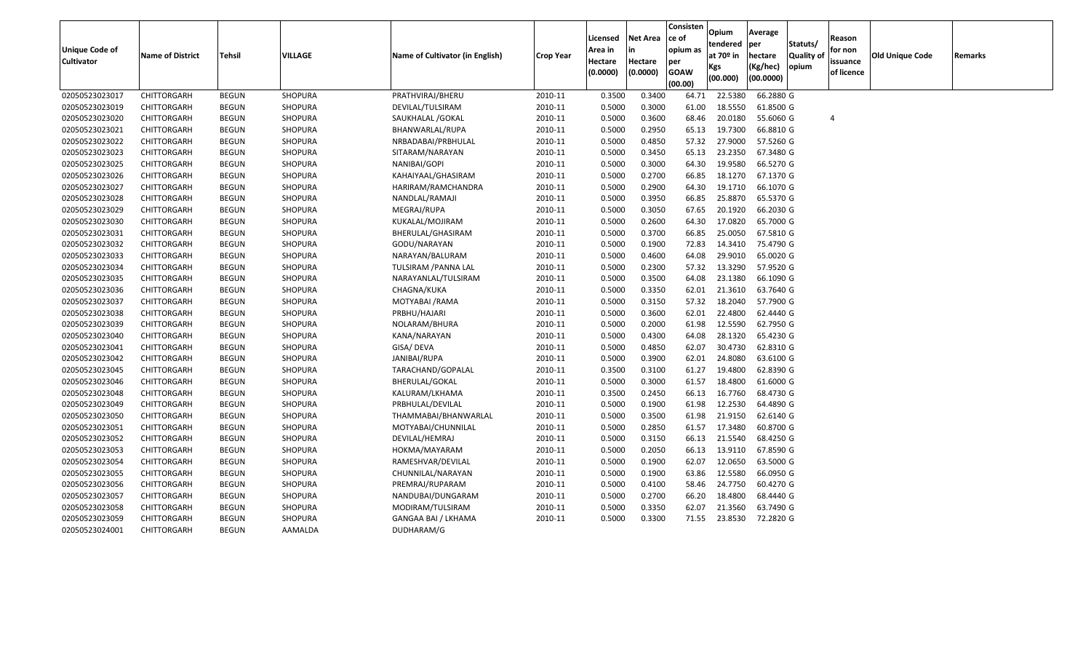| <b>Unique Code of</b><br><b>Cultivator</b> | <b>Name of District</b> | <b>Tehsil</b> | VILLAGE        | Name of Cultivator (in English) | <b>Crop Year</b> | Licensed<br>Area in<br>Hectare<br>(0.0000) | Net Area<br>in<br>Hectare<br>(0.0000) | Consisten<br>ce of<br>opium as<br>per<br><b>GOAW</b><br>(00.00) | Opium<br>tendered<br>at 70 <sup>o</sup> in<br>Kgs<br>(00.000) | Average<br>per<br>hectare<br>(Kg/hec)<br>(00.0000) | Statuts/<br>Quality of<br>opium | Reason<br>for non<br>issuance<br>of licence | Old Unique Code | Remarks |
|--------------------------------------------|-------------------------|---------------|----------------|---------------------------------|------------------|--------------------------------------------|---------------------------------------|-----------------------------------------------------------------|---------------------------------------------------------------|----------------------------------------------------|---------------------------------|---------------------------------------------|-----------------|---------|
| 02050523023017                             | CHITTORGARH             | <b>BEGUN</b>  | SHOPURA        | PRATHVIRAJ/BHERU                | 2010-11          | 0.3500                                     | 0.3400                                |                                                                 | 64.71 22.5380                                                 | 66.2880 G                                          |                                 |                                             |                 |         |
| 02050523023019                             | CHITTORGARH             | <b>BEGUN</b>  | SHOPURA        | DEVILAL/TULSIRAM                | 2010-11          | 0.5000                                     | 0.3000                                | 61.00                                                           | 18.5550                                                       | 61.8500 G                                          |                                 |                                             |                 |         |
| 02050523023020                             | CHITTORGARH             | <b>BEGUN</b>  | SHOPURA        | SAUKHALAL / GOKAL               | 2010-11          | 0.5000                                     | 0.3600                                | 68.46                                                           | 20.0180                                                       | 55.6060 G                                          |                                 | 4                                           |                 |         |
| 02050523023021                             | CHITTORGARH             | <b>BEGUN</b>  | SHOPURA        | BHANWARLAL/RUPA                 | 2010-11          | 0.5000                                     | 0.2950                                | 65.13                                                           | 19.7300                                                       | 66.8810 G                                          |                                 |                                             |                 |         |
| 02050523023022                             | CHITTORGARH             | <b>BEGUN</b>  | SHOPURA        | NRBADABAI/PRBHULAL              | 2010-11          | 0.5000                                     | 0.4850                                | 57.32                                                           | 27.9000                                                       | 57.5260 G                                          |                                 |                                             |                 |         |
| 02050523023023                             | CHITTORGARH             | <b>BEGUN</b>  | SHOPURA        | SITARAM/NARAYAN                 | 2010-11          | 0.5000                                     | 0.3450                                | 65.13                                                           | 23.2350                                                       | 67.3480 G                                          |                                 |                                             |                 |         |
| 02050523023025                             | CHITTORGARH             | <b>BEGUN</b>  | SHOPURA        | NANIBAI/GOPI                    | 2010-11          | 0.5000                                     | 0.3000                                | 64.30                                                           | 19.9580                                                       | 66.5270 G                                          |                                 |                                             |                 |         |
| 02050523023026                             | CHITTORGARH             | <b>BEGUN</b>  | SHOPURA        | KAHAIYAAL/GHASIRAM              | 2010-11          | 0.5000                                     | 0.2700                                | 66.85                                                           | 18.1270                                                       | 67.1370 G                                          |                                 |                                             |                 |         |
| 02050523023027                             | CHITTORGARH             | <b>BEGUN</b>  | SHOPURA        | HARIRAM/RAMCHANDRA              | 2010-11          | 0.5000                                     | 0.2900                                | 64.30                                                           | 19.1710                                                       | 66.1070 G                                          |                                 |                                             |                 |         |
| 02050523023028                             | CHITTORGARH             | <b>BEGUN</b>  | SHOPURA        | NANDLAL/RAMAJI                  | 2010-11          | 0.5000                                     | 0.3950                                | 66.85                                                           | 25.8870                                                       | 65.5370 G                                          |                                 |                                             |                 |         |
| 02050523023029                             | CHITTORGARH             | <b>BEGUN</b>  | SHOPURA        | MEGRAJ/RUPA                     | 2010-11          | 0.5000                                     | 0.3050                                | 67.65                                                           | 20.1920                                                       | 66.2030 G                                          |                                 |                                             |                 |         |
| 02050523023030                             | CHITTORGARH             | <b>BEGUN</b>  | <b>SHOPURA</b> | KUKALAL/MOJIRAM                 | 2010-11          | 0.5000                                     | 0.2600                                | 64.30                                                           | 17.0820                                                       | 65.7000 G                                          |                                 |                                             |                 |         |
| 02050523023031                             | CHITTORGARH             | <b>BEGUN</b>  | SHOPURA        | BHERULAL/GHASIRAM               | 2010-11          | 0.5000                                     | 0.3700                                | 66.85                                                           | 25.0050                                                       | 67.5810 G                                          |                                 |                                             |                 |         |
| 02050523023032                             | CHITTORGARH             | <b>BEGUN</b>  | SHOPURA        | GODU/NARAYAN                    | 2010-11          | 0.5000                                     | 0.1900                                | 72.83                                                           | 14.3410                                                       | 75.4790 G                                          |                                 |                                             |                 |         |
| 02050523023033                             | CHITTORGARH             | <b>BEGUN</b>  | <b>SHOPURA</b> | NARAYAN/BALURAM                 | 2010-11          | 0.5000                                     | 0.4600                                | 64.08                                                           | 29.9010                                                       | 65.0020 G                                          |                                 |                                             |                 |         |
| 02050523023034                             | <b>CHITTORGARH</b>      | <b>BEGUN</b>  | SHOPURA        | TULSIRAM / PANNA LAL            | 2010-11          | 0.5000                                     | 0.2300                                | 57.32                                                           | 13.3290                                                       | 57.9520 G                                          |                                 |                                             |                 |         |
| 02050523023035                             | CHITTORGARH             | <b>BEGUN</b>  | SHOPURA        | NARAYANLAL/TULSIRAM             | 2010-11          | 0.5000                                     | 0.3500                                | 64.08                                                           | 23.1380                                                       | 66.1090 G                                          |                                 |                                             |                 |         |
| 02050523023036                             | CHITTORGARH             | <b>BEGUN</b>  | SHOPURA        | CHAGNA/KUKA                     | 2010-11          | 0.5000                                     | 0.3350                                | 62.01                                                           | 21.3610                                                       | 63.7640 G                                          |                                 |                                             |                 |         |
| 02050523023037                             | <b>CHITTORGARH</b>      | <b>BEGUN</b>  | SHOPURA        | MOTYABAI / RAMA                 | 2010-11          | 0.5000                                     | 0.3150                                | 57.32                                                           | 18.2040                                                       | 57.7900 G                                          |                                 |                                             |                 |         |
| 02050523023038                             | CHITTORGARH             | <b>BEGUN</b>  | SHOPURA        | PRBHU/HAJARI                    | 2010-11          | 0.5000                                     | 0.3600                                | 62.01                                                           | 22.4800                                                       | 62.4440 G                                          |                                 |                                             |                 |         |
| 02050523023039                             | CHITTORGARH             | <b>BEGUN</b>  | SHOPURA        | NOLARAM/BHURA                   | 2010-11          | 0.5000                                     | 0.2000                                | 61.98                                                           | 12.5590                                                       | 62.7950 G                                          |                                 |                                             |                 |         |
| 02050523023040                             | CHITTORGARH             | <b>BEGUN</b>  | SHOPURA        | KANA/NARAYAN                    | 2010-11          | 0.5000                                     | 0.4300                                | 64.08                                                           | 28.1320                                                       | 65.4230 G                                          |                                 |                                             |                 |         |
| 02050523023041                             | CHITTORGARH             | <b>BEGUN</b>  | SHOPURA        | GISA/ DEVA                      | 2010-11          | 0.5000                                     | 0.4850                                | 62.07                                                           | 30.4730                                                       | 62.8310 G                                          |                                 |                                             |                 |         |
| 02050523023042                             | CHITTORGARH             | <b>BEGUN</b>  | SHOPURA        | JANIBAI/RUPA                    | 2010-11          | 0.5000                                     | 0.3900                                | 62.01                                                           | 24.8080                                                       | 63.6100 G                                          |                                 |                                             |                 |         |
| 02050523023045                             | CHITTORGARH             | <b>BEGUN</b>  | SHOPURA        | TARACHAND/GOPALAL               | 2010-11          | 0.3500                                     | 0.3100                                | 61.27                                                           | 19.4800                                                       | 62.8390 G                                          |                                 |                                             |                 |         |
| 02050523023046                             | CHITTORGARH             | <b>BEGUN</b>  | SHOPURA        | BHERULAL/GOKAL                  | 2010-11          | 0.5000                                     | 0.3000                                | 61.57                                                           | 18.4800                                                       | 61.6000 G                                          |                                 |                                             |                 |         |
| 02050523023048                             | CHITTORGARH             | <b>BEGUN</b>  | <b>SHOPURA</b> | KALURAM/LKHAMA                  | 2010-11          | 0.3500                                     | 0.2450                                | 66.13                                                           | 16.7760                                                       | 68.4730 G                                          |                                 |                                             |                 |         |
| 02050523023049                             | CHITTORGARH             | <b>BEGUN</b>  | SHOPURA        | PRBHULAL/DEVILAL                | 2010-11          | 0.5000                                     | 0.1900                                | 61.98                                                           | 12.2530                                                       | 64.4890 G                                          |                                 |                                             |                 |         |
| 02050523023050                             | CHITTORGARH             | <b>BEGUN</b>  | <b>SHOPURA</b> | THAMMABAI/BHANWARLAL            | 2010-11          | 0.5000                                     | 0.3500                                | 61.98                                                           | 21.9150                                                       | 62.6140 G                                          |                                 |                                             |                 |         |
| 02050523023051                             | CHITTORGARH             | <b>BEGUN</b>  | SHOPURA        | MOTYABAI/CHUNNILAL              | 2010-11          | 0.5000                                     | 0.2850                                | 61.57                                                           | 17.3480                                                       | 60.8700 G                                          |                                 |                                             |                 |         |
| 02050523023052                             | <b>CHITTORGARH</b>      | <b>BEGUN</b>  | SHOPURA        | DEVILAL/HEMRAJ                  | 2010-11          | 0.5000                                     | 0.3150                                | 66.13                                                           | 21.5540                                                       | 68.4250 G                                          |                                 |                                             |                 |         |
| 02050523023053                             | CHITTORGARH             | <b>BEGUN</b>  | SHOPURA        | HOKMA/MAYARAM                   | 2010-11          | 0.5000                                     | 0.2050                                | 66.13                                                           | 13.9110                                                       | 67.8590 G                                          |                                 |                                             |                 |         |
| 02050523023054                             | CHITTORGARH             | <b>BEGUN</b>  | SHOPURA        | RAMESHVAR/DEVILAL               | 2010-11          | 0.5000                                     | 0.1900                                | 62.07                                                           | 12.0650                                                       | 63.5000 G                                          |                                 |                                             |                 |         |
| 02050523023055                             | CHITTORGARH             | <b>BEGUN</b>  | SHOPURA        | CHUNNILAL/NARAYAN               | 2010-11          | 0.5000                                     | 0.1900                                | 63.86                                                           | 12.5580                                                       | 66.0950 G                                          |                                 |                                             |                 |         |
| 02050523023056                             | CHITTORGARH             | <b>BEGUN</b>  | SHOPURA        | PREMRAJ/RUPARAM                 | 2010-11          | 0.5000                                     | 0.4100                                | 58.46                                                           | 24.7750                                                       | 60.4270 G                                          |                                 |                                             |                 |         |
| 02050523023057                             | CHITTORGARH             | <b>BEGUN</b>  | SHOPURA        | NANDUBAI/DUNGARAM               | 2010-11          | 0.5000                                     | 0.2700                                | 66.20                                                           | 18.4800                                                       | 68.4440 G                                          |                                 |                                             |                 |         |
| 02050523023058                             | CHITTORGARH             | <b>BEGUN</b>  | SHOPURA        | MODIRAM/TULSIRAM                | 2010-11          | 0.5000                                     | 0.3350                                | 62.07                                                           | 21.3560                                                       | 63.7490 G                                          |                                 |                                             |                 |         |
| 02050523023059                             | CHITTORGARH             | <b>BEGUN</b>  | <b>SHOPURA</b> | GANGAA BAI / LKHAMA             | 2010-11          | 0.5000                                     | 0.3300                                | 71.55                                                           | 23.8530                                                       | 72.2820 G                                          |                                 |                                             |                 |         |
| 02050523024001                             | CHITTORGARH             | <b>BEGUN</b>  | <b>AAMALDA</b> | DUDHARAM/G                      |                  |                                            |                                       |                                                                 |                                                               |                                                    |                                 |                                             |                 |         |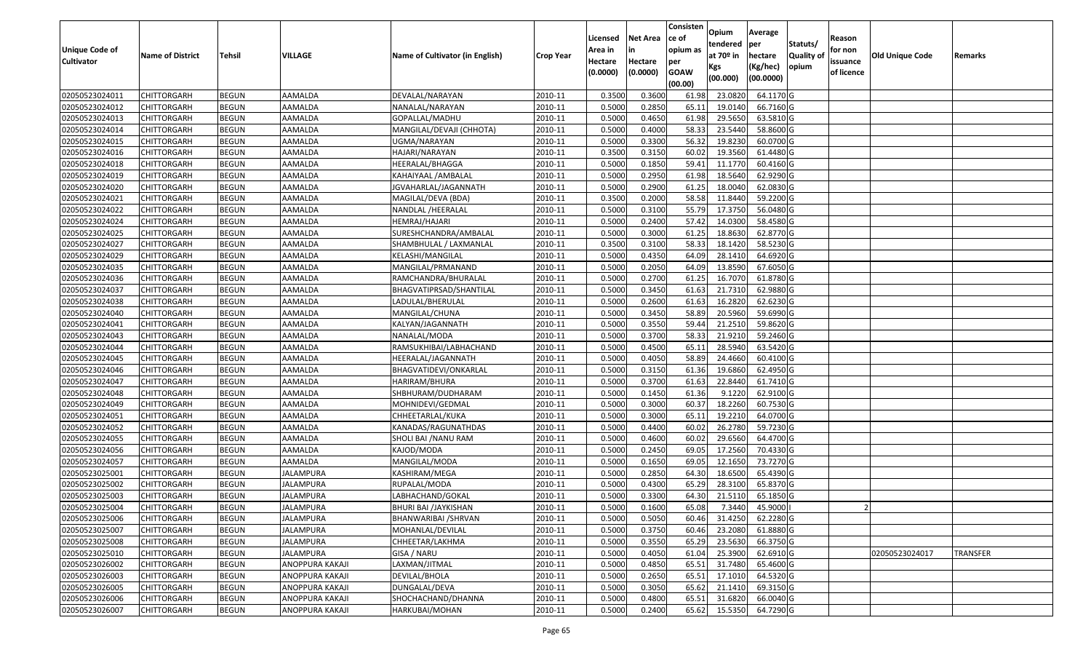| <b>Unique Code of</b><br><b>Cultivator</b> | <b>Name of District</b> | <b>Tehsil</b> | VILLAGE          | Name of Cultivator (in English) | <b>Crop Year</b> | Licensed<br>Area in<br>Hectare<br>(0.0000) | <b>Net Area</b><br>in<br>Hectare<br>(0.0000) | Consisten<br>ce of<br>opium as<br>per<br><b>GOAW</b> | Opium<br>tendered<br>at $70°$ in<br>Kgs<br>(00.000) | Average<br>per<br>hectare<br>(Kg/hec)<br>(00.0000) | Statuts/<br>Quality of<br>opium | Reason<br>for non<br>issuance<br>of licence | <b>Old Unique Code</b> | Remarks         |
|--------------------------------------------|-------------------------|---------------|------------------|---------------------------------|------------------|--------------------------------------------|----------------------------------------------|------------------------------------------------------|-----------------------------------------------------|----------------------------------------------------|---------------------------------|---------------------------------------------|------------------------|-----------------|
|                                            |                         |               |                  |                                 |                  |                                            |                                              | (00.00)                                              |                                                     |                                                    |                                 |                                             |                        |                 |
| 02050523024011                             | <b>CHITTORGARH</b>      | <b>BEGUN</b>  | AAMALDA          | DEVALAL/NARAYAN                 | 2010-11          | 0.3500                                     | 0.3600                                       | 61.98                                                | 23.082                                              | 64.1170 G                                          |                                 |                                             |                        |                 |
| 02050523024012                             | CHITTORGARH             | <b>BEGUN</b>  | AAMALDA          | NANALAL/NARAYAN                 | 2010-11          | 0.5000                                     | 0.2850                                       | 65.1                                                 | 19.0140                                             | 66.7160 G                                          |                                 |                                             |                        |                 |
| 02050523024013                             | CHITTORGARH             | <b>BEGUN</b>  | AAMALDA          | GOPALLAL/MADHU                  | 2010-11          | 0.5000                                     | 0.4650                                       | 61.98                                                | 29.5650                                             | 63.5810 G                                          |                                 |                                             |                        |                 |
| 02050523024014                             | <b>CHITTORGARH</b>      | <b>BEGUN</b>  | AAMALDA          | MANGILAL/DEVAJI (CHHOTA)        | 2010-11          | 0.5000                                     | 0.4000                                       | 58.33                                                | 23.5440                                             | 58.8600 G                                          |                                 |                                             |                        |                 |
| 02050523024015                             | <b>CHITTORGARH</b>      | <b>BEGUN</b>  | AAMALDA          | UGMA/NARAYAN                    | 2010-11          | 0.5000                                     | 0.3300                                       | 56.32                                                | 19.8230                                             | 60.0700 G                                          |                                 |                                             |                        |                 |
| 02050523024016                             | CHITTORGARH             | <b>BEGUN</b>  | AAMALDA          | HAJARI/NARAYAN                  | 2010-11          | 0.350                                      | 0.3150                                       | 60.02                                                | 19.3560                                             | 61.4480 G                                          |                                 |                                             |                        |                 |
| 02050523024018                             | <b>CHITTORGARH</b>      | <b>BEGUN</b>  | AAMALDA          | HEERALAL/BHAGGA                 | 2010-11          | 0.5000                                     | 0.1850                                       | 59.41                                                | 11.1770                                             | 60.4160 G                                          |                                 |                                             |                        |                 |
| 02050523024019                             | CHITTORGARH             | <b>BEGUN</b>  | AAMALDA          | KAHAIYAAL / AMBALAL             | 2010-11          | 0.5000                                     | 0.2950                                       | 61.98                                                | 18.5640                                             | 62.9290 G                                          |                                 |                                             |                        |                 |
| 02050523024020                             | CHITTORGARH             | <b>BEGUN</b>  | AAMALDA          | JGVAHARLAL/JAGANNATH            | 2010-11          | 0.5000                                     | 0.2900                                       | 61.25                                                | 18.0040                                             | 62.0830 G                                          |                                 |                                             |                        |                 |
| 02050523024021                             | CHITTORGARH             | <b>BEGUN</b>  | AAMALDA          | MAGILAL/DEVA (BDA)              | 2010-11          | 0.350                                      | 0.2000                                       | 58.58                                                | 11.8440                                             | 59.2200 G                                          |                                 |                                             |                        |                 |
| 02050523024022                             | <b>CHITTORGARH</b>      | <b>BEGUN</b>  | AAMALDA          | NANDLAL /HEERALAL               | 2010-11          | 0.5000                                     | 0.3100                                       | 55.79                                                | 17.3750                                             | 56.0480 G                                          |                                 |                                             |                        |                 |
| 02050523024024                             | CHITTORGARH             | <b>BEGUN</b>  | AAMALDA          | HEMRAJ/HAJARI                   | 2010-11          | 0.5000                                     | 0.2400                                       | 57.42                                                | 14.0300                                             | 58.4580 G                                          |                                 |                                             |                        |                 |
| 02050523024025                             | CHITTORGARH             | <b>BEGUN</b>  | AAMALDA          | SURESHCHANDRA/AMBALAL           | 2010-11          | 0.5000                                     | 0.3000                                       | 61.25                                                | 18.8630                                             | 62.8770 G                                          |                                 |                                             |                        |                 |
| 02050523024027                             | CHITTORGARH             | <b>BEGUN</b>  | AAMALDA          | SHAMBHULAL / LAXMANLAL          | 2010-11          | 0.3500                                     | 0.3100                                       | 58.33                                                | 18.1420                                             | 58.5230 G                                          |                                 |                                             |                        |                 |
| 02050523024029                             | CHITTORGARH             | <b>BEGUN</b>  | AAMALDA          | KELASHI/MANGILAL                | 2010-11          | 0.500                                      | 0.4350                                       | 64.09                                                | 28.1410                                             | 64.6920 G                                          |                                 |                                             |                        |                 |
| 02050523024035                             | CHITTORGARH             | <b>BEGUN</b>  | AAMALDA          | MANGILAL/PRMANAND               | 2010-11          | 0.5000                                     | 0.2050                                       | 64.09                                                | 13.8590                                             | 67.6050 G                                          |                                 |                                             |                        |                 |
| 02050523024036                             | CHITTORGARH             | <b>BEGUN</b>  | AAMALDA          | RAMCHANDRA/BHURALAL             | 2010-11          | 0.5000                                     | 0.2700                                       | 61.25                                                | 16.7070                                             | 61.8780 G                                          |                                 |                                             |                        |                 |
| 02050523024037                             | CHITTORGARH             | <b>BEGUN</b>  | AAMALDA          | BHAGVATIPRSAD/SHANTILAL         | 2010-11          | 0.5000                                     | 0.3450                                       | 61.63                                                | 21.731                                              | 62.9880 G                                          |                                 |                                             |                        |                 |
| 02050523024038                             | <b>CHITTORGARH</b>      | <b>BEGUN</b>  | AAMALDA          | LADULAL/BHERULAL                | 2010-11          | 0.5000                                     | 0.2600                                       | 61.63                                                | 16.2820                                             | 62.6230 G                                          |                                 |                                             |                        |                 |
| 02050523024040                             | CHITTORGARH             | <b>BEGUN</b>  | AAMALDA          | MANGILAL/CHUNA                  | 2010-11          | 0.5000                                     | 0.3450                                       | 58.89                                                | 20.5960                                             | 59.6990 G                                          |                                 |                                             |                        |                 |
| 02050523024041                             | <b>CHITTORGARH</b>      | <b>BEGUN</b>  | AAMALDA          | KALYAN/JAGANNATH                | 2010-11          | 0.5000                                     | 0.3550                                       | 59.44                                                | 21.2510                                             | 59.8620 G                                          |                                 |                                             |                        |                 |
| 02050523024043                             | CHITTORGARH             | <b>BEGUN</b>  | AAMALDA          | NANALAL/MODA                    | 2010-11          | 0.5000                                     | 0.3700                                       | 58.33                                                | 21.9210                                             | 59.2460 G                                          |                                 |                                             |                        |                 |
| 02050523024044                             | CHITTORGARH             | <b>BEGUN</b>  | AAMALDA          | RAMSUKHIBAI/LABHACHAND          | 2010-11          | 0.5000                                     | 0.4500                                       | 65.1                                                 | 28.5940                                             | 63.5420 G                                          |                                 |                                             |                        |                 |
| 02050523024045                             | CHITTORGARH             | <b>BEGUN</b>  | AAMALDA          | HEERALAL/JAGANNATH              | 2010-11          | 0.5000                                     | 0.4050                                       | 58.89                                                | 24.4660                                             | 60.4100G                                           |                                 |                                             |                        |                 |
| 02050523024046                             | CHITTORGARH             | <b>BEGUN</b>  | AAMALDA          | BHAGVATIDEVI/ONKARLAL           | 2010-11          | 0.5000                                     | 0.3150                                       | 61.36                                                | 19.6860                                             | 62.4950 G                                          |                                 |                                             |                        |                 |
| 02050523024047                             | CHITTORGARH             | <b>BEGUN</b>  | AAMALDA          | HARIRAM/BHURA                   | 2010-11          | 0.5000                                     | 0.3700                                       | 61.63                                                | 22.8440                                             | 61.7410 G                                          |                                 |                                             |                        |                 |
| 02050523024048                             | CHITTORGARH             | <b>BEGUN</b>  | AAMALDA          | SHBHURAM/DUDHARAM               | 2010-11          | 0.5000                                     | 0.1450                                       | 61.36                                                | 9.122                                               | 62.9100 G                                          |                                 |                                             |                        |                 |
| 02050523024049                             | CHITTORGARH             | <b>BEGUN</b>  | AAMALDA          | MOHNIDEVI/GEDMAL                | 2010-11          | 0.5000                                     | 0.3000                                       | 60.37                                                | 18.2260                                             | 60.7530 G                                          |                                 |                                             |                        |                 |
| 02050523024051                             | <b>CHITTORGARH</b>      | <b>BEGUN</b>  | AAMALDA          | CHHEETARLAL/KUKA                | 2010-11          | 0.5000                                     | 0.3000                                       | 65.11                                                | 19.2210                                             | 64.0700 G                                          |                                 |                                             |                        |                 |
| 02050523024052                             | <b>CHITTORGARH</b>      | <b>BEGUN</b>  | AAMALDA          | KANADAS/RAGUNATHDAS             | 2010-11          | 0.5000                                     | 0.4400                                       | 60.02                                                | 26.2780                                             | 59.7230 G                                          |                                 |                                             |                        |                 |
| 02050523024055                             | CHITTORGARH             | <b>BEGUN</b>  | AAMALDA          | SHOLI BAI /NANU RAM             | 2010-11          | 0.5000                                     | 0.4600                                       | 60.02                                                | 29.6560                                             | 64.4700 G                                          |                                 |                                             |                        |                 |
| 02050523024056                             | CHITTORGARH             | <b>BEGUN</b>  | AAMALDA          | KAJOD/MODA                      | 2010-11          | 0.5000                                     | 0.2450                                       | 69.05                                                | 17.2560                                             | 70.4330 G                                          |                                 |                                             |                        |                 |
| 02050523024057                             | CHITTORGARH             | <b>BEGUN</b>  | AAMALDA          | MANGILAL/MODA                   | 2010-11          | 0.5000                                     | 0.1650                                       | 69.05                                                | 12.1650                                             | 73.7270 G                                          |                                 |                                             |                        |                 |
| 02050523025001                             | CHITTORGARH             | <b>BEGUN</b>  | <b>JALAMPURA</b> | KASHIRAM/MEGA                   | 2010-11          | 0.5000                                     | 0.2850                                       | 64.30                                                | 18.6500                                             | 65.4390 G                                          |                                 |                                             |                        |                 |
| 02050523025002                             | CHITTORGARH             | <b>BEGUN</b>  | JALAMPURA        | RUPALAL/MODA                    | 2010-11          | 0.500                                      | 0.4300                                       | 65.29                                                | 28.3100                                             | 65.8370 G                                          |                                 |                                             |                        |                 |
| 02050523025003                             | CHITTORGARH             | <b>BEGUN</b>  | JALAMPURA        | LABHACHAND/GOKAL                | 2010-11          | 0.5000                                     | 0.3300                                       | 64.30                                                | 21.5110                                             | 65.1850 G                                          |                                 |                                             |                        |                 |
| 02050523025004                             | <b>CHITTORGARH</b>      | <b>BEGUN</b>  | JALAMPURA        | <b>BHURI BAI /JAYKISHAN</b>     | $2010 - 11$      | 0.5000                                     | 0.1600                                       | 65.08                                                | 7.3440                                              | 45.9000                                            |                                 |                                             |                        |                 |
| 02050523025006                             | <b>CHITTORGARH</b>      | <b>BEGUN</b>  | JALAMPURA        | BHANWARIBAI / SHRVAN            | 2010-11          | 0.5000                                     | 0.5050                                       | 60.46                                                | 31.4250                                             | 62.2280 G                                          |                                 |                                             |                        |                 |
| 02050523025007                             | <b>CHITTORGARH</b>      | <b>BEGUN</b>  | JALAMPURA        | MOHANLAL/DEVILAL                | 2010-11          | 0.5000                                     | 0.3750                                       | 60.46                                                | 23.2080                                             | 61.8880 G                                          |                                 |                                             |                        |                 |
| 02050523025008                             | <b>CHITTORGARH</b>      | <b>BEGUN</b>  | JALAMPURA        | CHHEETAR/LAKHMA                 | 2010-11          | 0.5000                                     | 0.3550                                       | 65.29                                                | 23.5630                                             | 66.3750 G                                          |                                 |                                             |                        |                 |
| 02050523025010                             | <b>CHITTORGARH</b>      | <b>BEGUN</b>  | <b>JALAMPURA</b> | GISA / NARU                     | 2010-11          | 0.5000                                     | 0.4050                                       | 61.04                                                | 25.3900                                             | $62.6910$ G                                        |                                 |                                             | 02050523024017         | <b>TRANSFER</b> |
| 02050523026002                             | <b>CHITTORGARH</b>      | <b>BEGUN</b>  | ANOPPURA KAKAJI  | LAXMAN/JITMAL                   | 2010-11          | 0.5000                                     | 0.4850                                       | 65.51                                                | 31.7480                                             | 65.4600 G                                          |                                 |                                             |                        |                 |
| 02050523026003                             | <b>CHITTORGARH</b>      | <b>BEGUN</b>  | ANOPPURA KAKAJI  | DEVILAL/BHOLA                   | 2010-11          | 0.5000                                     | 0.2650                                       | 65.5                                                 | 17.1010                                             | 64.5320 G                                          |                                 |                                             |                        |                 |
| 02050523026005                             | <b>CHITTORGARH</b>      | <b>BEGUN</b>  | ANOPPURA KAKAJI  | DUNGALAL/DEVA                   | 2010-11          | 0.5000                                     | 0.3050                                       | 65.62                                                | 21.1410                                             | 69.3150 G                                          |                                 |                                             |                        |                 |
| 02050523026006                             | <b>CHITTORGARH</b>      | <b>BEGUN</b>  | ANOPPURA KAKAJI  | SHOCHACHAND/DHANNA              | 2010-11          | 0.5000                                     | 0.4800                                       | 65.51                                                | 31.6820                                             | 66.0040 G                                          |                                 |                                             |                        |                 |
| 02050523026007                             | <b>CHITTORGARH</b>      | <b>BEGUN</b>  | ANOPPURA KAKAJI  | HARKUBAI/MOHAN                  | 2010-11          | 0.5000                                     | 0.2400                                       | 65.62                                                | 15.5350                                             | 64.7290 G                                          |                                 |                                             |                        |                 |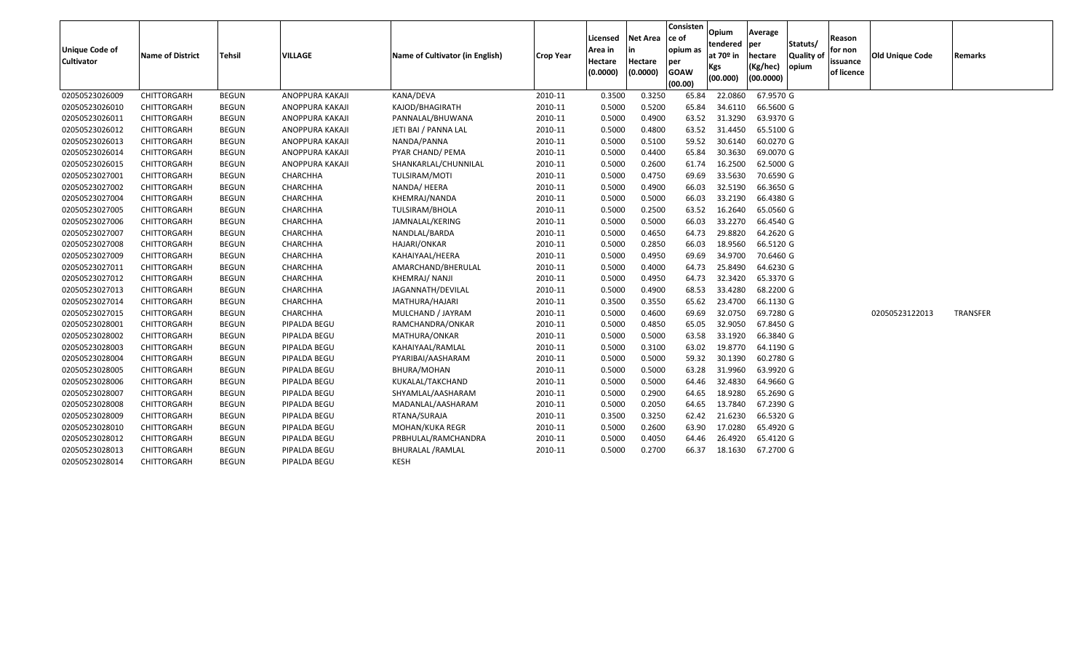| <b>Unique Code of</b><br><b>Cultivator</b> | <b>Name of District</b> | <b>Tehsil</b> | <b>VILLAGE</b>  | Name of Cultivator (in English) | <b>Crop Year</b> | Licensed<br>Area in<br>Hectare<br>(0.0000) | Net Area<br>in<br>Hectare<br>(0.0000) | Consisten<br>ce of<br>opium as<br>per<br><b>GOAW</b><br>(00.00) | Opium<br>tendered  per<br>at 70 <sup>o</sup> in<br><b>Kgs</b><br>(00.000) | Average<br>hectare<br>(Kg/hec)<br>(00.0000) | Statuts/<br>Quality of<br>opium | Reason<br>for non<br>issuance<br>of licence | Old Unique Code | <b>Remarks</b>  |
|--------------------------------------------|-------------------------|---------------|-----------------|---------------------------------|------------------|--------------------------------------------|---------------------------------------|-----------------------------------------------------------------|---------------------------------------------------------------------------|---------------------------------------------|---------------------------------|---------------------------------------------|-----------------|-----------------|
| 02050523026009                             | CHITTORGARH             | <b>BEGUN</b>  | ANOPPURA KAKAJI | KANA/DEVA                       | 2010-11          | 0.3500                                     | 0.3250                                | 65.84                                                           | 22.0860                                                                   | 67.9570 G                                   |                                 |                                             |                 |                 |
| 02050523026010                             | CHITTORGARH             | <b>BEGUN</b>  | ANOPPURA KAKAJI | KAJOD/BHAGIRATH                 | 2010-11          | 0.5000                                     | 0.5200                                | 65.84                                                           | 34.6110                                                                   | 66.5600 G                                   |                                 |                                             |                 |                 |
| 02050523026011                             | CHITTORGARH             | <b>BEGUN</b>  | ANOPPURA KAKAJI | PANNALAL/BHUWANA                | 2010-11          | 0.5000                                     | 0.4900                                | 63.52                                                           | 31.3290                                                                   | 63.9370 G                                   |                                 |                                             |                 |                 |
| 02050523026012                             | CHITTORGARH             | <b>BEGUN</b>  | ANOPPURA KAKAJI | JETI BAI / PANNA LAL            | 2010-11          | 0.5000                                     | 0.4800                                | 63.52                                                           | 31.4450                                                                   | 65.5100 G                                   |                                 |                                             |                 |                 |
| 02050523026013                             | CHITTORGARH             | <b>BEGUN</b>  | ANOPPURA KAKAJI | NANDA/PANNA                     | 2010-11          | 0.5000                                     | 0.5100                                | 59.52                                                           | 30.6140                                                                   | 60.0270 G                                   |                                 |                                             |                 |                 |
| 02050523026014                             | CHITTORGARH             | <b>BEGUN</b>  | ANOPPURA KAKAJI | PYAR CHAND/ PEMA                | 2010-11          | 0.5000                                     | 0.4400                                | 65.84                                                           | 30.3630                                                                   | 69.0070 G                                   |                                 |                                             |                 |                 |
| 02050523026015                             | CHITTORGARH             | <b>BEGUN</b>  | ANOPPURA KAKAJI | SHANKARLAL/CHUNNILAL            | 2010-11          | 0.5000                                     | 0.2600                                | 61.74                                                           | 16.2500                                                                   | 62.5000 G                                   |                                 |                                             |                 |                 |
| 02050523027001                             | CHITTORGARH             | <b>BEGUN</b>  | <b>CHARCHHA</b> | TULSIRAM/MOTI                   | 2010-11          | 0.5000                                     | 0.4750                                | 69.69                                                           | 33.5630                                                                   | 70.6590 G                                   |                                 |                                             |                 |                 |
| 02050523027002                             | CHITTORGARH             | <b>BEGUN</b>  | <b>CHARCHHA</b> | NANDA/ HEERA                    | 2010-11          | 0.5000                                     | 0.4900                                | 66.03                                                           | 32.5190                                                                   | 66.3650 G                                   |                                 |                                             |                 |                 |
| 02050523027004                             | CHITTORGARH             | <b>BEGUN</b>  | CHARCHHA        | KHEMRAJ/NANDA                   | 2010-11          | 0.5000                                     | 0.5000                                | 66.03                                                           | 33.2190                                                                   | 66.4380 G                                   |                                 |                                             |                 |                 |
| 02050523027005                             | <b>CHITTORGARH</b>      | <b>BEGUN</b>  | <b>CHARCHHA</b> | TULSIRAM/BHOLA                  | 2010-11          | 0.5000                                     | 0.2500                                | 63.52                                                           | 16.2640                                                                   | 65.0560 G                                   |                                 |                                             |                 |                 |
| 02050523027006                             | CHITTORGARH             | <b>BEGUN</b>  | <b>CHARCHHA</b> | JAMNALAL/KERING                 | 2010-11          | 0.5000                                     | 0.5000                                | 66.03                                                           | 33.2270                                                                   | 66.4540 G                                   |                                 |                                             |                 |                 |
| 02050523027007                             | CHITTORGARH             | <b>BEGUN</b>  | CHARCHHA        | NANDLAL/BARDA                   | 2010-11          | 0.5000                                     | 0.4650                                | 64.73                                                           | 29.8820                                                                   | 64.2620 G                                   |                                 |                                             |                 |                 |
| 02050523027008                             | CHITTORGARH             | <b>BEGUN</b>  | <b>CHARCHHA</b> | <b>HAJARI/ONKAR</b>             | 2010-11          | 0.5000                                     | 0.2850                                | 66.03                                                           | 18.9560                                                                   | 66.5120 G                                   |                                 |                                             |                 |                 |
| 02050523027009                             | CHITTORGARH             | <b>BEGUN</b>  | <b>CHARCHHA</b> | KAHAIYAAL/HEERA                 | 2010-11          | 0.5000                                     | 0.4950                                | 69.69                                                           | 34.9700                                                                   | 70.6460 G                                   |                                 |                                             |                 |                 |
| 02050523027011                             | CHITTORGARH             | <b>BEGUN</b>  | CHARCHHA        | AMARCHAND/BHERULAL              | 2010-11          | 0.5000                                     | 0.4000                                | 64.73                                                           | 25.8490                                                                   | 64.6230 G                                   |                                 |                                             |                 |                 |
| 02050523027012                             | CHITTORGARH             | <b>BEGUN</b>  | CHARCHHA        | KHEMRAJ/ NANJI                  | 2010-11          | 0.5000                                     | 0.4950                                | 64.73                                                           | 32.3420                                                                   | 65.3370 G                                   |                                 |                                             |                 |                 |
| 02050523027013                             | CHITTORGARH             | BEGUN         | CHARCHHA        | JAGANNATH/DEVILAL               | 2010-11          | 0.5000                                     | 0.4900                                | 68.53                                                           | 33.4280                                                                   | 68.2200 G                                   |                                 |                                             |                 |                 |
| 02050523027014                             | CHITTORGARH             | <b>BEGUN</b>  | <b>CHARCHHA</b> | MATHURA/HAJARI                  | 2010-11          | 0.3500                                     | 0.3550                                | 65.62                                                           | 23.4700                                                                   | 66.1130 G                                   |                                 |                                             |                 |                 |
| 02050523027015                             | CHITTORGARH             | <b>BEGUN</b>  | CHARCHHA        | MULCHAND / JAYRAM               | 2010-11          | 0.5000                                     | 0.4600                                | 69.69                                                           | 32.0750                                                                   | 69.7280 G                                   |                                 |                                             | 02050523122013  | <b>TRANSFER</b> |
| 02050523028001                             | CHITTORGARH             | <b>BEGUN</b>  | PIPALDA BEGU    | RAMCHANDRA/ONKAR                | 2010-11          | 0.5000                                     | 0.4850                                | 65.05                                                           | 32.9050                                                                   | 67.8450 G                                   |                                 |                                             |                 |                 |
| 02050523028002                             | CHITTORGARH             | <b>BEGUN</b>  | PIPALDA BEGU    | MATHURA/ONKAR                   | 2010-11          | 0.5000                                     | 0.5000                                | 63.58                                                           | 33.1920                                                                   | 66.3840 G                                   |                                 |                                             |                 |                 |
| 02050523028003                             | CHITTORGARH             | <b>BEGUN</b>  | PIPALDA BEGU    | KAHAIYAAL/RAMLAL                | 2010-11          | 0.5000                                     | 0.3100                                | 63.02                                                           | 19.8770                                                                   | 64.1190 G                                   |                                 |                                             |                 |                 |
| 02050523028004                             | CHITTORGARH             | <b>BEGUN</b>  | PIPALDA BEGU    | PYARIBAI/AASHARAM               | 2010-11          | 0.5000                                     | 0.5000                                | 59.32                                                           | 30.1390                                                                   | 60.2780 G                                   |                                 |                                             |                 |                 |
| 02050523028005                             | <b>CHITTORGARH</b>      | BEGUN         | PIPALDA BEGU    | BHURA/MOHAN                     | 2010-11          | 0.5000                                     | 0.5000                                | 63.28                                                           | 31.9960                                                                   | 63.9920 G                                   |                                 |                                             |                 |                 |
| 02050523028006                             | CHITTORGARH             | <b>BEGUN</b>  | PIPALDA BEGU    | KUKALAL/TAKCHAND                | 2010-11          | 0.5000                                     | 0.5000                                | 64.46                                                           | 32.4830                                                                   | 64.9660 G                                   |                                 |                                             |                 |                 |
| 02050523028007                             | CHITTORGARH             | <b>BEGUN</b>  | PIPALDA BEGU    | SHYAMLAL/AASHARAM               | 2010-11          | 0.5000                                     | 0.2900                                | 64.65                                                           | 18.9280                                                                   | 65.2690 G                                   |                                 |                                             |                 |                 |
| 02050523028008                             | CHITTORGARH             | <b>BEGUN</b>  | PIPALDA BEGU    | MADANLAL/AASHARAM               | 2010-11          | 0.5000                                     | 0.2050                                | 64.65                                                           | 13.7840                                                                   | 67.2390 G                                   |                                 |                                             |                 |                 |
| 02050523028009                             | CHITTORGARH             | <b>BEGUN</b>  | PIPALDA BEGU    | RTANA/SURAJA                    | 2010-11          | 0.3500                                     | 0.3250                                | 62.42                                                           | 21.6230                                                                   | 66.5320 G                                   |                                 |                                             |                 |                 |
| 02050523028010                             | CHITTORGARH             | <b>BEGUN</b>  | PIPALDA BEGU    | MOHAN/KUKA REGR                 | 2010-11          | 0.5000                                     | 0.2600                                | 63.90                                                           | 17.0280                                                                   | 65.4920 G                                   |                                 |                                             |                 |                 |
| 02050523028012                             | CHITTORGARH             | <b>BEGUN</b>  | PIPALDA BEGU    | PRBHULAL/RAMCHANDRA             | 2010-11          | 0.5000                                     | 0.4050                                | 64.46                                                           | 26.4920                                                                   | 65.4120 G                                   |                                 |                                             |                 |                 |
| 02050523028013                             | CHITTORGARH             | <b>BEGUN</b>  | PIPALDA BEGU    | <b>BHURALAL /RAMLAL</b>         | 2010-11          | 0.5000                                     | 0.2700                                | 66.37                                                           | 18.1630                                                                   | 67.2700 G                                   |                                 |                                             |                 |                 |
| 02050523028014                             | <b>CHITTORGARH</b>      | <b>BEGUN</b>  | PIPALDA BEGU    | KESH                            |                  |                                            |                                       |                                                                 |                                                                           |                                             |                                 |                                             |                 |                 |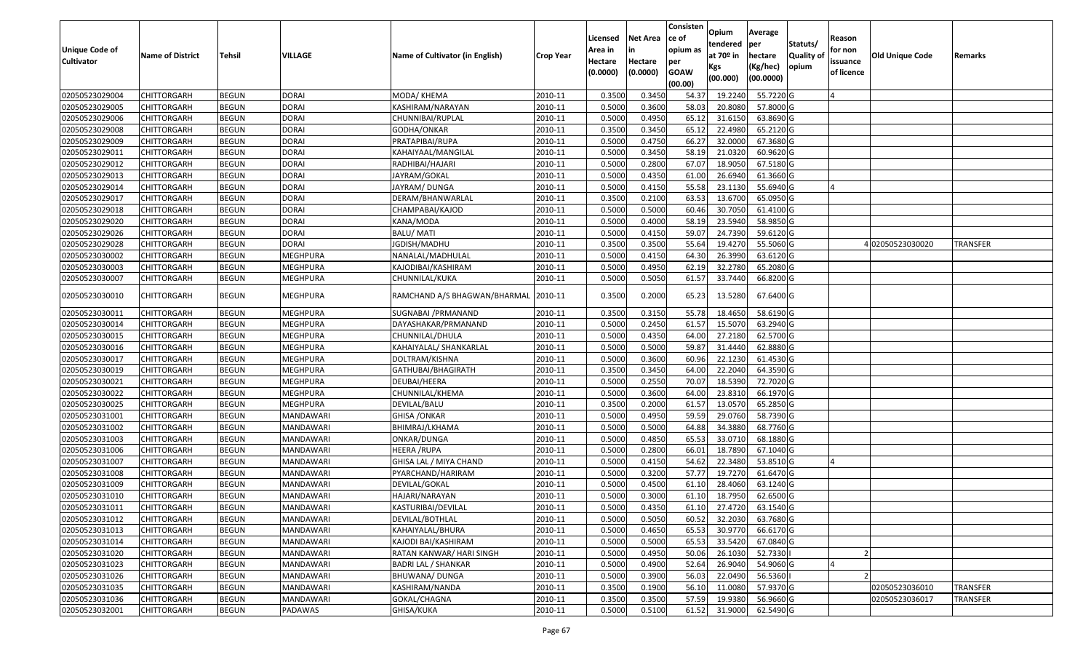| Unique Code of<br><b>Cultivator</b> | <b>Name of District</b> | <b>Tehsil</b> | VILLAGE          | Name of Cultivator (in English) | <b>Crop Year</b> | Licensed<br>Area in<br>Hectare<br>(0.0000) | <b>Net Area</b><br>in<br>Hectare<br>(0.0000) | Consisten<br>ce of<br>opium as<br>per<br><b>GOAW</b><br>(00.00) | Opium<br>tendered<br>at $70°$ in<br>Kgs<br>(00.000) | Average<br>per<br>hectare<br>(Kg/hec)<br>(00.0000) | Statuts/<br>Quality of<br>opium | Reason<br>for non<br>issuance<br>of licence | <b>Old Unique Code</b> | Remarks         |
|-------------------------------------|-------------------------|---------------|------------------|---------------------------------|------------------|--------------------------------------------|----------------------------------------------|-----------------------------------------------------------------|-----------------------------------------------------|----------------------------------------------------|---------------------------------|---------------------------------------------|------------------------|-----------------|
| 02050523029004                      | CHITTORGARH             | <b>BEGUN</b>  | <b>DORAI</b>     | MODA/ KHEMA                     | 2010-11          | 0.3500                                     | 0.3450                                       | 54.37                                                           | 19.224                                              | 55.7220 G                                          |                                 |                                             |                        |                 |
| 02050523029005                      | CHITTORGARH             | <b>BEGUN</b>  | <b>DORAI</b>     | KASHIRAM/NARAYAN                | 2010-11          | 0.5000                                     | 0.3600                                       | 58.03                                                           | 20.8080                                             | 57.8000 G                                          |                                 |                                             |                        |                 |
| 02050523029006                      | CHITTORGARH             | <b>BEGUN</b>  | <b>DORAI</b>     | CHUNNIBAI/RUPLAL                | 2010-11          | 0.5000                                     | 0.4950                                       | 65.12                                                           | 31.6150                                             | 63.8690 G                                          |                                 |                                             |                        |                 |
| 02050523029008                      | CHITTORGARH             | <b>BEGUN</b>  | <b>DORAI</b>     | GODHA/ONKAR                     | 2010-11          | 0.3500                                     | 0.3450                                       | 65.12                                                           | 22.4980                                             | 65.2120 G                                          |                                 |                                             |                        |                 |
| 02050523029009                      | CHITTORGARH             | <b>BEGUN</b>  | <b>DORAI</b>     | PRATAPIBAI/RUPA                 | 2010-11          | 0.5000                                     | 0.4750                                       | 66.27                                                           | 32.000                                              | 67.3680 G                                          |                                 |                                             |                        |                 |
| 02050523029011                      | CHITTORGARH             | <b>BEGUN</b>  | <b>DORAI</b>     | KAHAIYAAL/MANGILAL              | 2010-11          | 0.5000                                     | 0.3450                                       | 58.19                                                           | 21.0320                                             | 60.9620 G                                          |                                 |                                             |                        |                 |
| 02050523029012                      | CHITTORGARH             | <b>BEGUN</b>  | <b>DORAI</b>     | RADHIBAI/HAJARI                 | 2010-11          | 0.5000                                     | 0.2800                                       | 67.07                                                           | 18.9050                                             | 67.5180 G                                          |                                 |                                             |                        |                 |
| 02050523029013                      | CHITTORGARH             | <b>BEGUN</b>  | <b>DORAI</b>     | JAYRAM/GOKAL                    | 2010-11          | 0.5000                                     | 0.4350                                       | 61.00                                                           | 26.694                                              | 61.3660 G                                          |                                 |                                             |                        |                 |
| 02050523029014                      | CHITTORGARH             | <b>BEGUN</b>  | <b>DORAI</b>     | JAYRAM/DUNGA                    | 2010-11          | 0.5000                                     | 0.4150                                       | 55.58                                                           | 23.1130                                             | 55.6940 G                                          |                                 |                                             |                        |                 |
| 02050523029017                      | CHITTORGARH             | <b>BEGUN</b>  | <b>DORAI</b>     | DERAM/BHANWARLAL                | 2010-11          | 0.3500                                     | 0.2100                                       | 63.53                                                           | 13.6700                                             | 65.0950 G                                          |                                 |                                             |                        |                 |
| 02050523029018                      | CHITTORGARH             | <b>BEGUN</b>  | <b>DORAI</b>     | CHAMPABAI/KAJOD                 | 2010-11          | 0.5000                                     | 0.5000                                       | 60.46                                                           | 30.7050                                             | 61.4100G                                           |                                 |                                             |                        |                 |
| 02050523029020                      | <b>CHITTORGARH</b>      | <b>BEGUN</b>  | <b>DORAI</b>     | KANA/MODA                       | 2010-11          | 0.5000                                     | 0.4000                                       | 58.19                                                           | 23.5940                                             | 58.9850 G                                          |                                 |                                             |                        |                 |
| 02050523029026                      | CHITTORGARH             | <b>BEGUN</b>  | <b>DORAI</b>     | <b>BALU/MATI</b>                | 2010-11          | 0.5000                                     | 0.4150                                       | 59.07                                                           | 24.7390                                             | 59.6120 G                                          |                                 |                                             |                        |                 |
| 02050523029028                      | CHITTORGARH             | <b>BEGUN</b>  | <b>DORAI</b>     | JGDISH/MADHU                    | 2010-11          | 0.3500                                     | 0.3500                                       | 55.64                                                           | 19.4270                                             | 55.5060 G                                          |                                 |                                             | 402050523030020        | TRANSFER        |
| 02050523030002                      | CHITTORGARH             | <b>BEGUN</b>  | MEGHPURA         | NANALAL/MADHULAL                | 2010-11          | 0.5000                                     | 0.4150                                       | 64.30                                                           | 26.3990                                             | 63.6120 G                                          |                                 |                                             |                        |                 |
| 02050523030003                      | CHITTORGARH             | <b>BEGUN</b>  | <b>MEGHPURA</b>  | KAJODIBAI/KASHIRAM              | 2010-11          | 0.5000                                     | 0.4950                                       | 62.19                                                           | 32.2780                                             | 65.2080 G                                          |                                 |                                             |                        |                 |
| 02050523030007                      | CHITTORGARH             | <b>BEGUN</b>  | <b>MEGHPURA</b>  | CHUNNILAL/KUKA                  | 2010-11          | 0.5000                                     | 0.5050                                       | 61.57                                                           | 33.7440                                             | 66.8200 G                                          |                                 |                                             |                        |                 |
| 02050523030010                      | CHITTORGARH             | <b>BEGUN</b>  | MEGHPURA         | RAMCHAND A/S BHAGWAN/BHARMAL    | 2010-11          | 0.3500                                     | 0.2000                                       | 65.23                                                           | 13.5280                                             | 67.6400 G                                          |                                 |                                             |                        |                 |
| 02050523030011                      | <b>CHITTORGARH</b>      | <b>BEGUN</b>  | MEGHPURA         | SUGNABAI / PRMANAND             | 2010-11          | 0.3500                                     | 0.3150                                       | 55.78                                                           | 18.4650                                             | 58.6190G                                           |                                 |                                             |                        |                 |
| 02050523030014                      | CHITTORGARH             | <b>BEGUN</b>  | <b>MEGHPURA</b>  | DAYASHAKAR/PRMANAND             | 2010-11          | 0.5000                                     | 0.2450                                       | 61.57                                                           | 15.5070                                             | 63.2940 G                                          |                                 |                                             |                        |                 |
| 02050523030015                      | CHITTORGARH             | <b>BEGUN</b>  | <b>MEGHPURA</b>  | CHUNNILAL/DHULA                 | 2010-11          | 0.5000                                     | 0.4350                                       | 64.00                                                           | 27.2180                                             | 62.5700 G                                          |                                 |                                             |                        |                 |
| 02050523030016                      | CHITTORGARH             | <b>BEGUN</b>  | MEGHPURA         | KAHAIYALAL/ SHANKARLAL          | 2010-11          | 0.5000                                     | 0.5000                                       | 59.87                                                           | 31.4440                                             | 62.8880 G                                          |                                 |                                             |                        |                 |
| 02050523030017                      | CHITTORGARH             | <b>BEGUN</b>  | MEGHPURA         | DOLTRAM/KISHNA                  | 2010-11          | 0.5000                                     | 0.3600                                       | 60.96                                                           | 22.123                                              | 61.4530 G                                          |                                 |                                             |                        |                 |
| 02050523030019                      | CHITTORGARH             | <b>BEGUN</b>  | <b>MEGHPURA</b>  | GATHUBAI/BHAGIRATH              | 2010-11          | 0.3500                                     | 0.3450                                       | 64.00                                                           | 22.2040                                             | 64.3590 G                                          |                                 |                                             |                        |                 |
| 02050523030021                      | CHITTORGARH             | <b>BEGUN</b>  | MEGHPURA         | DEUBAI/HEERA                    | 2010-11          | 0.5000                                     | 0.2550                                       | 70.07                                                           | 18.5390                                             | 72.7020 G                                          |                                 |                                             |                        |                 |
| 02050523030022                      | CHITTORGARH             | <b>BEGUN</b>  | MEGHPURA         | CHUNNILAL/KHEMA                 | 2010-11          | 0.5000                                     | 0.3600                                       | 64.00                                                           | 23.8310                                             | 66.1970 G                                          |                                 |                                             |                        |                 |
| 02050523030025                      | CHITTORGARH             | <b>BEGUN</b>  | MEGHPURA         | DEVILAL/BALU                    | 2010-11          | 0.3500                                     | 0.2000                                       | 61.57                                                           | 13.0570                                             | 65.2850 G                                          |                                 |                                             |                        |                 |
| 02050523031001                      | CHITTORGARH             | <b>BEGUN</b>  | <b>MANDAWARI</b> | <b>GHISA / ONKAR</b>            | 2010-11          | 0.5000                                     | 0.4950                                       | 59.59                                                           | 29.0760                                             | 58.7390 G                                          |                                 |                                             |                        |                 |
| 02050523031002                      | CHITTORGARH             | <b>BEGUN</b>  | MANDAWARI        | BHIMRAJ/LKHAMA                  | 2010-11          | 0.5000                                     | 0.5000                                       | 64.88                                                           | 34.3880                                             | 68.7760 G                                          |                                 |                                             |                        |                 |
| 02050523031003                      | CHITTORGARH             | <b>BEGUN</b>  | <b>MANDAWARI</b> | ONKAR/DUNGA                     | 2010-11          | 0.5000                                     | 0.4850                                       | 65.53                                                           | 33.0710                                             | 68.1880 G                                          |                                 |                                             |                        |                 |
| 02050523031006                      | CHITTORGARH             | <b>BEGUN</b>  | MANDAWARI        | HEERA /RUPA                     | 2010-11          | 0.5000                                     | 0.2800                                       | 66.01                                                           | 18.7890                                             | 67.1040 G                                          |                                 |                                             |                        |                 |
| 02050523031007                      | CHITTORGARH             | <b>BEGUN</b>  | <b>MANDAWARI</b> | GHISA LAL / MIYA CHAND          | 2010-11          | 0.5000                                     | 0.4150                                       | 54.62                                                           | 22.3480                                             | 53.8510G                                           |                                 |                                             |                        |                 |
| 02050523031008                      | CHITTORGARH             | <b>BEGUN</b>  | MANDAWARI        | PYARCHAND/HARIRAM               | 2010-11          | 0.5000                                     | 0.3200                                       | 57.77                                                           | 19.7270                                             | 61.6470 G                                          |                                 |                                             |                        |                 |
| 02050523031009                      | CHITTORGARH             | <b>BEGUN</b>  | MANDAWARI        | DEVILAL/GOKAL                   | 2010-11          | 0.500                                      | 0.4500                                       | 61.10                                                           | 28.4060                                             | 63.1240 G                                          |                                 |                                             |                        |                 |
| 02050523031010                      | CHITTORGARH             | <b>BEGUN</b>  | MANDAWARI        | HAJARI/NARAYAN                  | 2010-11          | 0.5000                                     | 0.3000                                       | 61.10                                                           | 18.7950                                             | 62.6500 G                                          |                                 |                                             |                        |                 |
| 02050523031011                      | <b>CHITTORGARH</b>      | <b>BEGUN</b>  | MANDAWARI        | KASTURIBAI/DEVILAL              | 2010-11          | 0.5000                                     | 0.4350                                       | 61.10                                                           | 27.4720                                             | 63.1540 G                                          |                                 |                                             |                        |                 |
| 02050523031012                      | <b>CHITTORGARH</b>      | <b>BEGUN</b>  | MANDAWARI        | DEVILAL/BOTHLAL                 | 2010-11          | 0.5000                                     | 0.5050                                       | 60.52                                                           | 32.2030                                             | 63.7680 G                                          |                                 |                                             |                        |                 |
| 02050523031013                      | <b>CHITTORGARH</b>      | <b>BEGUN</b>  | MANDAWARI        | KAHAIYALAL/BHURA                | 2010-11          | 0.5000                                     | 0.4650                                       | 65.53                                                           | 30.9770                                             | 66.6170 G                                          |                                 |                                             |                        |                 |
| 02050523031014                      | <b>CHITTORGARH</b>      | <b>BEGUN</b>  | MANDAWARI        | KAJODI BAI/KASHIRAM             | 2010-11          | 0.5000                                     | 0.5000                                       | 65.53                                                           | 33.5420                                             | 67.0840 G                                          |                                 |                                             |                        |                 |
| 02050523031020                      | CHITTORGARH             | <b>BEGUN</b>  | MANDAWARI        | RATAN KANWAR/ HARI SINGH        | 2010-11          | 0.5000                                     | 0.4950                                       | 50.06                                                           | 26.1030                                             | 52.7330                                            |                                 |                                             |                        |                 |
| 02050523031023                      | <b>CHITTORGARH</b>      | <b>BEGUN</b>  | <b>MANDAWARI</b> | <b>BADRI LAL / SHANKAR</b>      | 2010-11          | 0.5000                                     | 0.4900                                       | 52.64                                                           | 26.9040                                             | 54.9060 G                                          |                                 |                                             |                        |                 |
| 02050523031026                      | <b>CHITTORGARH</b>      | <b>BEGUN</b>  | MANDAWARI        | <b>BHUWANA/ DUNGA</b>           | 2010-11          | 0.5000                                     | 0.3900                                       | 56.03                                                           | 22.0490                                             | 56.5360                                            |                                 |                                             |                        |                 |
| 02050523031035                      | <b>CHITTORGARH</b>      | <b>BEGUN</b>  | MANDAWARI        | KASHIRAM/NANDA                  | 2010-11          | 0.3500                                     | 0.1900                                       | 56.10                                                           | 11.0080                                             | 57.9370 G                                          |                                 |                                             | 02050523036010         | <b>TRANSFER</b> |
| 02050523031036                      | <b>CHITTORGARH</b>      | <b>BEGUN</b>  | MANDAWARI        | GOKAL/CHAGNA                    | 2010-11          | 0.3500                                     | 0.3500                                       | 57.59                                                           | 19.9380                                             | 56.9660 G                                          |                                 |                                             | 02050523036017         | <b>TRANSFER</b> |
| 02050523032001                      | <b>CHITTORGARH</b>      | <b>BEGUN</b>  | PADAWAS          | GHISA/KUKA                      | 2010-11          | 0.5000                                     | 0.5100                                       | 61.52                                                           | 31.9000                                             | 62.5490 G                                          |                                 |                                             |                        |                 |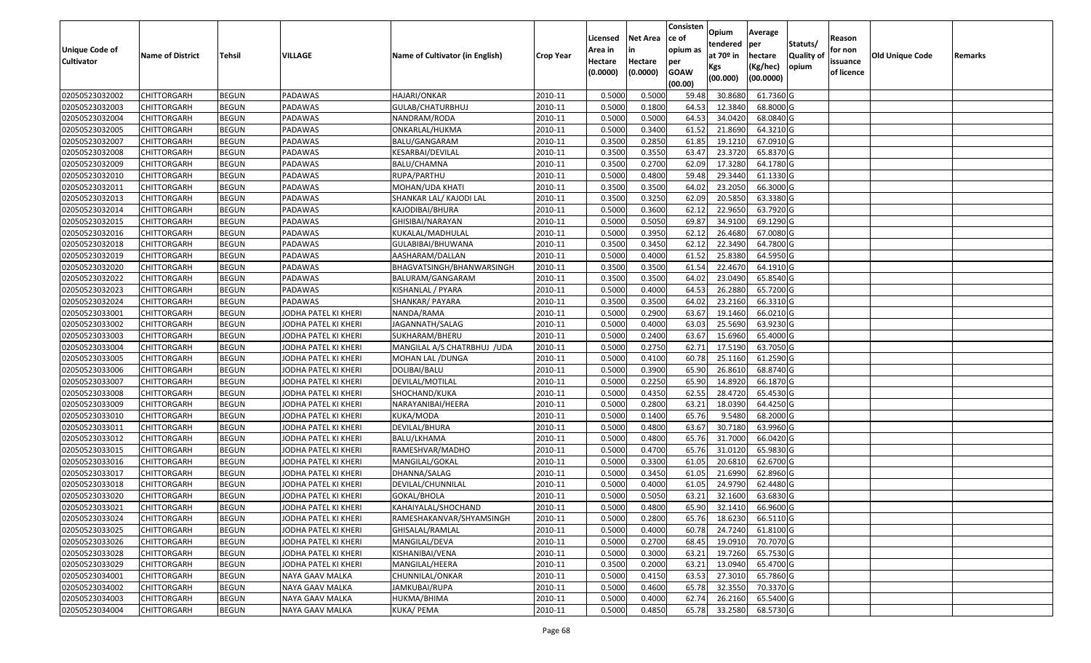| <b>Unique Code of</b> |                         |              |                      |                                 |                  | Licensed<br>Area in | <b>Net Area</b><br>in | Consisten<br>ce of<br>opium as | Opium<br>tendered            | Average<br>per                   | Statuts/            | Reason<br>for non      |                 |         |
|-----------------------|-------------------------|--------------|----------------------|---------------------------------|------------------|---------------------|-----------------------|--------------------------------|------------------------------|----------------------------------|---------------------|------------------------|-----------------|---------|
| <b>Cultivator</b>     | <b>Name of District</b> | Tehsil       | VILLAGE              | Name of Cultivator (in English) | <b>Crop Year</b> | Hectare<br>(0.0000) | Hectare<br>(0.0000)   | per<br><b>GOAW</b><br>(00.00)  | at 70º in<br>Kgs<br>(00.000) | hectare<br>(Kg/hec)<br>(00.0000) | Quality of<br>opium | issuance<br>of licence | Old Unique Code | Remarks |
| 02050523032002        | <b>CHITTORGARH</b>      | <b>BEGUN</b> | PADAWAS              | HAJARI/ONKAR                    | 2010-11          | 0.5000              | 0.5000                | 59.48                          | 30.8680                      | 61.7360 G                        |                     |                        |                 |         |
| 02050523032003        | <b>CHITTORGARH</b>      | <b>BEGUN</b> | PADAWAS              | GULAB/CHATURBHUJ                | 2010-11          | 0.5000              | 0.1800                | 64.53                          | 12.3840                      | 68.8000 G                        |                     |                        |                 |         |
| 02050523032004        | <b>CHITTORGARH</b>      | <b>BEGUN</b> | PADAWAS              | NANDRAM/RODA                    | 2010-11          | 0.5000              | 0.5000                | 64.53                          | 34.0420                      | 68.0840 G                        |                     |                        |                 |         |
| 02050523032005        | <b>CHITTORGARH</b>      | <b>BEGUN</b> | PADAWAS              | ONKARLAL/HUKMA                  | 2010-11          | 0.5000              | 0.3400                | 61.52                          | 21.8690                      | 64.3210 G                        |                     |                        |                 |         |
| 02050523032007        | <b>CHITTORGARH</b>      | <b>BEGUN</b> | PADAWAS              | BALU/GANGARAM                   | 2010-11          | 0.3500              | 0.2850                | 61.8                           | 19.1210                      | 67.0910 G                        |                     |                        |                 |         |
| 02050523032008        | <b>CHITTORGARH</b>      | <b>BEGUN</b> | PADAWAS              | KESARBAI/DEVILAL                | 2010-11          | 0.3500              | 0.3550                | 63.47                          | 23.3720                      | 65.8370 G                        |                     |                        |                 |         |
| 02050523032009        | CHITTORGARH             | <b>BEGUN</b> | PADAWAS              | BALU/CHAMNA                     | 2010-11          | 0.3500              | 0.2700                | 62.09                          | 17.3280                      | 64.1780 G                        |                     |                        |                 |         |
| 02050523032010        | <b>CHITTORGARH</b>      | <b>BEGUN</b> | PADAWAS              | RUPA/PARTHU                     | 2010-11          | 0.5000              | 0.4800                | 59.48                          | 29.3440                      | 61.1330 G                        |                     |                        |                 |         |
| 02050523032011        | <b>CHITTORGARH</b>      | <b>BEGUN</b> | PADAWAS              | MOHAN/UDA KHATI                 | 2010-11          | 0.3500              | 0.3500                | 64.02                          | 23.2050                      | 66.3000 G                        |                     |                        |                 |         |
| 02050523032013        | <b>CHITTORGARH</b>      | <b>BEGUN</b> | PADAWAS              | SHANKAR LAL/ KAJODI LAL         | 2010-11          | 0.3500              | 0.3250                | 62.09                          | 20.5850                      | 63.3380 G                        |                     |                        |                 |         |
| 02050523032014        | <b>CHITTORGARH</b>      | <b>BEGUN</b> | PADAWAS              | KAJODIBAI/BHURA                 | 2010-11          | 0.5000              | 0.3600                | 62.12                          | 22.9650                      | 63.7920 G                        |                     |                        |                 |         |
| 02050523032015        | <b>CHITTORGARH</b>      | <b>BEGUN</b> | PADAWAS              | GHISIBAI/NARAYAN                | 2010-11          | 0.5000              | 0.5050                | 69.87                          | 34.9100                      | 69.1290 G                        |                     |                        |                 |         |
| 02050523032016        | <b>CHITTORGARH</b>      | <b>BEGUN</b> | PADAWAS              | KUKALAL/MADHULAL                | 2010-11          | 0.5000              | 0.3950                | 62.12                          | 26.4680                      | 67.0080 G                        |                     |                        |                 |         |
| 02050523032018        | <b>CHITTORGARH</b>      | <b>BEGUN</b> | PADAWAS              | GULABIBAI/BHUWANA               | 2010-11          | 0.3500              | 0.3450                | 62.12                          | 22.3490                      | 64.7800 G                        |                     |                        |                 |         |
| 02050523032019        | <b>CHITTORGARH</b>      | <b>BEGUN</b> | PADAWAS              | AASHARAM/DALLAN                 | 2010-11          | 0.5000              | 0.4000                | 61.52                          | 25.8380                      | 64.5950 G                        |                     |                        |                 |         |
| 02050523032020        | <b>CHITTORGARH</b>      | <b>BEGUN</b> | PADAWAS              | BHAGVATSINGH/BHANWARSINGH       | 2010-11          | 0.3500              | 0.3500                | 61.54                          | 22.4670                      | 64.1910 G                        |                     |                        |                 |         |
| 02050523032022        | <b>CHITTORGARH</b>      | <b>BEGUN</b> | PADAWAS              | BALURAM/GANGARAM                | 2010-11          | 0.3500              | 0.3500                | 64.02                          | 23.0490                      | 65.8540 G                        |                     |                        |                 |         |
| 02050523032023        | <b>CHITTORGARH</b>      | <b>BEGUN</b> | PADAWAS              | KISHANLAL / PYARA               | 2010-11          | 0.5000              | 0.4000                | 64.53                          | 26.2880                      | 65.7200 G                        |                     |                        |                 |         |
| 02050523032024        | <b>CHITTORGARH</b>      | <b>BEGUN</b> | PADAWAS              | SHANKAR/ PAYARA                 | 2010-11          | 0.3500              | 0.3500                | 64.02                          | 23.2160                      | 66.3310 G                        |                     |                        |                 |         |
| 02050523033001        | <b>CHITTORGARH</b>      | <b>BEGUN</b> | JODHA PATEL KI KHERI | NANDA/RAMA                      | 2010-11          | 0.5000              | 0.2900                | 63.67                          | 19.1460                      | 66.0210 G                        |                     |                        |                 |         |
| 02050523033002        | <b>CHITTORGARH</b>      | <b>BEGUN</b> | JODHA PATEL KI KHERI | JAGANNATH/SALAG                 | 2010-11          | 0.5000              | 0.4000                | 63.03                          | 25.5690                      | 63.9230 G                        |                     |                        |                 |         |
| 02050523033003        | <b>CHITTORGARH</b>      | <b>BEGUN</b> | JODHA PATEL KI KHERI | SUKHARAM/BHERU                  | 2010-11          | 0.5000              | 0.2400                | 63.67                          | 15.6960                      | 65.4000 G                        |                     |                        |                 |         |
| 02050523033004        | <b>CHITTORGARH</b>      | <b>BEGUN</b> | JODHA PATEL KI KHERI | MANGILAL A/S CHATRBHUJ /UDA     | 2010-11          | 0.5000              | 0.2750                | 62.72                          | 17.5190                      | 63.7050 G                        |                     |                        |                 |         |
| 02050523033005        | <b>CHITTORGARH</b>      | <b>BEGUN</b> | JODHA PATEL KI KHERI | MOHAN LAL /DUNGA                | 2010-11          | 0.5000              | 0.4100                | 60.78                          | 25.1160                      | 61.2590 G                        |                     |                        |                 |         |
| 02050523033006        | <b>CHITTORGARH</b>      | <b>BEGUN</b> | JODHA PATEL KI KHERI | DOLIBAI/BALU                    | 2010-11          | 0.5000              | 0.3900                | 65.90                          | 26.8610                      | 68.8740 G                        |                     |                        |                 |         |
| 02050523033007        | <b>CHITTORGARH</b>      | <b>BEGUN</b> | JODHA PATEL KI KHERI | DEVILAL/MOTILAL                 | 2010-11          | 0.5000              | 0.2250                | 65.90                          | 14.8920                      | 66.1870 G                        |                     |                        |                 |         |
| 02050523033008        | <b>CHITTORGARH</b>      | <b>BEGUN</b> | JODHA PATEL KI KHERI | SHOCHAND/KUKA                   | 2010-11          | 0.5000              | 0.4350                | 62.55                          | 28.4720                      | 65.4530 G                        |                     |                        |                 |         |
| 02050523033009        | <b>CHITTORGARH</b>      | <b>BEGUN</b> | JODHA PATEL KI KHERI | NARAYANIBAI/HEERA               | 2010-11          | 0.5000              | 0.2800                | 63.21                          | 18.0390                      | 64.4250 G                        |                     |                        |                 |         |
| 02050523033010        | <b>CHITTORGARH</b>      | <b>BEGUN</b> | JODHA PATEL KI KHERI | KUKA/MODA                       | 2010-11          | 0.5000              | 0.1400                | 65.76                          | 9.5480                       | 68.2000 G                        |                     |                        |                 |         |
| 02050523033011        | <b>CHITTORGARH</b>      | <b>BEGUN</b> | JODHA PATEL KI KHERI | DEVILAL/BHURA                   | 2010-11          | 0.5000              | 0.4800                | 63.67                          | 30.7180                      | 63.9960 G                        |                     |                        |                 |         |
| 02050523033012        | <b>CHITTORGARH</b>      | <b>BEGUN</b> | JODHA PATEL KI KHERI | BALU/LKHAMA                     | 2010-11          | 0.5000              | 0.4800                | 65.76                          | 31.7000                      | 66.0420 G                        |                     |                        |                 |         |
| 02050523033015        | CHITTORGARH             | <b>BEGUN</b> | JODHA PATEL KI KHERI | RAMESHVAR/MADHO                 | 2010-11          | 0.5000              | 0.4700                | 65.76                          | 31.0120                      | 65.9830 G                        |                     |                        |                 |         |
| 02050523033016        | <b>CHITTORGARH</b>      | <b>BEGUN</b> | JODHA PATEL KI KHERI | MANGILAL/GOKAL                  | 2010-11          | 0.5000              | 0.3300                | 61.05                          | 20.6810                      | 62.6700 G                        |                     |                        |                 |         |
| 02050523033017        | <b>CHITTORGARH</b>      | <b>BEGUN</b> | JODHA PATEL KI KHERI | DHANNA/SALAG                    | 2010-11          | 0.5000              | 0.3450                | 61.05                          | 21.6990                      | 62.8960 G                        |                     |                        |                 |         |
| 02050523033018        | <b>CHITTORGARH</b>      | <b>BEGUN</b> | JODHA PATEL KI KHERI | DEVILAL/CHUNNILAL               | 2010-11          | 0.5000              | 0.4000                | 61.0                           | 24.9790                      | 62.4480 G                        |                     |                        |                 |         |
| 02050523033020        | <b>CHITTORGARH</b>      | <b>BEGUN</b> | JODHA PATEL KI KHERI | GOKAL/BHOLA                     | 2010-11          | 0.5000              | 0.5050                | 63.21                          | 32.1600                      | 63.6830 G                        |                     |                        |                 |         |
| 02050523033021        | <b>CHITTORGARH</b>      | <b>BEGUN</b> | JODHA PATEL KI KHERI | KAHAIYALAL/SHOCHAND             | 2010-11          | 0.5000              | 0.4800                |                                | 65.90 32.1410                | 66.9600 G                        |                     |                        |                 |         |
| 02050523033024        | <b>CHITTORGARH</b>      | <b>BEGUN</b> | JODHA PATEL KI KHERI | RAMESHAKANVAR/SHYAMSINGH        | 2010-11          | 0.5000              | 0.2800                | 65.76                          | 18.6230                      | 66.5110 G                        |                     |                        |                 |         |
| 02050523033025        | CHITTORGARH             | <b>BEGUN</b> | JODHA PATEL KI KHERI | GHISALAL/RAMLAL                 | 2010-11          | 0.5000              | 0.4000                | 60.78                          | 24.7240                      | 61.8100 G                        |                     |                        |                 |         |
| 02050523033026        | <b>CHITTORGARH</b>      | <b>BEGUN</b> | JODHA PATEL KI KHERI | MANGILAL/DEVA                   | 2010-11          | 0.5000              | 0.2700                | 68.45                          | 19.0910                      | 70.7070 G                        |                     |                        |                 |         |
| 02050523033028        | <b>CHITTORGARH</b>      | <b>BEGUN</b> | JODHA PATEL KI KHERI | KISHANIBAI/VENA                 | 2010-11          | 0.5000              | 0.3000                | 63.21                          | 19.7260                      | 65.7530 G                        |                     |                        |                 |         |
| 02050523033029        | <b>CHITTORGARH</b>      | <b>BEGUN</b> | JODHA PATEL KI KHERI | MANGILAL/HEERA                  | 2010-11          | 0.3500              | 0.2000                | 63.21                          | 13.0940                      | 65.4700 G                        |                     |                        |                 |         |
| 02050523034001        | <b>CHITTORGARH</b>      | <b>BEGUN</b> | NAYA GAAV MALKA      | CHUNNILAL/ONKAR                 | 2010-11          | 0.5000              | 0.4150                | 63.53                          | 27.3010                      | 65.7860 G                        |                     |                        |                 |         |
| 02050523034002        | <b>CHITTORGARH</b>      | <b>BEGUN</b> | NAYA GAAV MALKA      | JAMKUBAI/RUPA                   | 2010-11          | 0.5000              | 0.4600                | 65.78                          | 32.3550                      | 70.3370 G                        |                     |                        |                 |         |
| 02050523034003        | <b>CHITTORGARH</b>      | <b>BEGUN</b> | NAYA GAAV MALKA      | HUKMA/BHIMA                     | 2010-11          | 0.5000              | 0.4000                | 62.74                          | 26.2160                      | 65.5400 G                        |                     |                        |                 |         |
| 02050523034004        | <b>CHITTORGARH</b>      | <b>BEGUN</b> | NAYA GAAV MALKA      | KUKA/ PEMA                      | 2010-11          | 0.5000              | 0.4850                | 65.78                          | 33.2580                      | 68.5730 G                        |                     |                        |                 |         |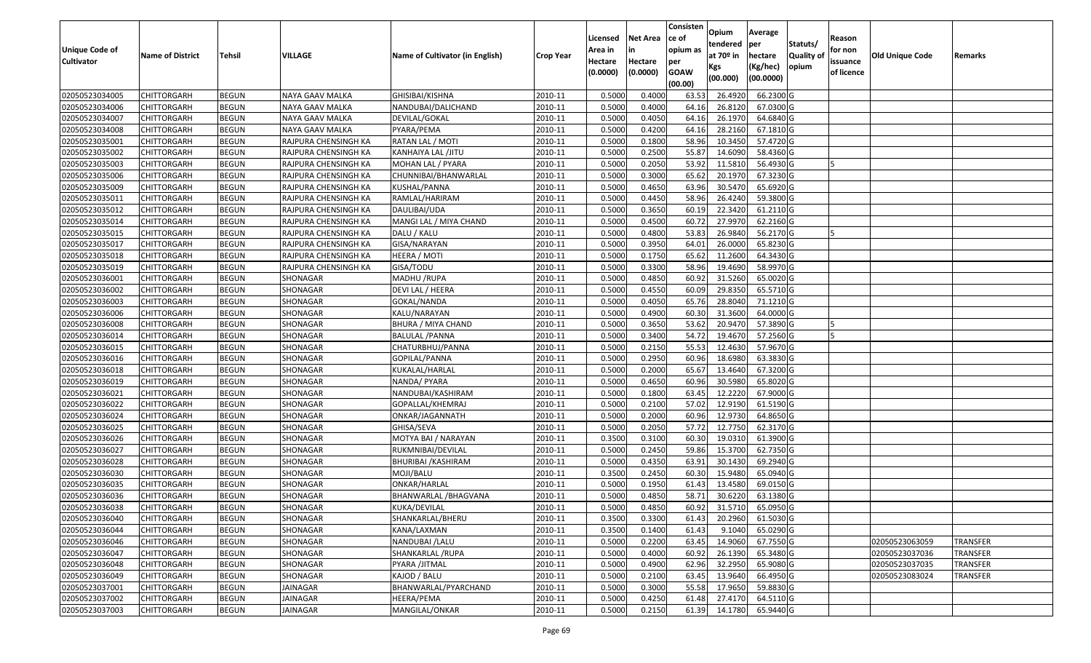|                   |                         |               |                      |                                 |                  |          |                 | Consisten   | Opium         | Average   |                  |            |                 |                 |
|-------------------|-------------------------|---------------|----------------------|---------------------------------|------------------|----------|-----------------|-------------|---------------|-----------|------------------|------------|-----------------|-----------------|
|                   |                         |               |                      |                                 |                  | Licensed | <b>Net Area</b> | lce of      | tendered      | per       | Statuts/         | Reason     |                 |                 |
| Unique Code of    | <b>Name of District</b> | <b>Tehsil</b> | VILLAGE              | Name of Cultivator (in English) | <b>Crop Year</b> | Area in  |                 | opium as    | at $70°$ in   | hectare   | <b>Quality o</b> | for non    | Old Unique Code | Remarks         |
| <b>Cultivator</b> |                         |               |                      |                                 |                  | Hectare  | Hectare         | per         | Kgs           | (Kg/hec)  | opium            | issuance   |                 |                 |
|                   |                         |               |                      |                                 |                  | (0.0000) | (0.0000)        | <b>GOAW</b> | (00.000)      | (00.0000) |                  | of licence |                 |                 |
|                   |                         |               |                      |                                 |                  |          |                 | (00.00)     |               |           |                  |            |                 |                 |
| 02050523034005    | CHITTORGARH             | <b>BEGUN</b>  | NAYA GAAV MALKA      | GHISIBAI/KISHNA                 | 2010-11          | 0.5000   | 0.4000          | 63.53       | 26.4920       | 66.2300 G |                  |            |                 |                 |
| 02050523034006    | CHITTORGARH             | <b>BEGUN</b>  | NAYA GAAV MALKA      | NANDUBAI/DALICHAND              | 2010-11          | 0.5000   | 0.4000          | 64.16       | 26.8120       | 67.0300 G |                  |            |                 |                 |
| 02050523034007    | CHITTORGARH             | <b>BEGUN</b>  | NAYA GAAV MALKA      | DEVILAL/GOKAL                   | 2010-11          | 0.5000   | 0.4050          | 64.1        | 26.1970       | 64.6840 G |                  |            |                 |                 |
| 02050523034008    | CHITTORGARH             | <b>BEGUN</b>  | NAYA GAAV MALKA      | PYARA/PEMA                      | 2010-11          | 0.5000   | 0.4200          | 64.16       | 28.2160       | 67.1810 G |                  |            |                 |                 |
| 02050523035001    | CHITTORGARH             | <b>BEGUN</b>  | RAJPURA CHENSINGH KA | RATAN LAL / MOTI                | 2010-11          | 0.5000   | 0.1800          | 58.96       | 10.345        | 57.4720 G |                  |            |                 |                 |
| 02050523035002    | CHITTORGARH             | <b>BEGUN</b>  | RAJPURA CHENSINGH KA | KANHAIYA LAL /JITU              | 2010-11          | 0.5000   | 0.2500          | 55.87       | 14.6090       | 58.4360 G |                  |            |                 |                 |
| 02050523035003    | CHITTORGARH             | <b>BEGUN</b>  | RAJPURA CHENSINGH KA | MOHAN LAL / PYARA               | 2010-11          | 0.5000   | 0.2050          | 53.92       | 11.581        | 56.4930 G |                  |            |                 |                 |
| 02050523035006    | CHITTORGARH             | <b>BEGUN</b>  | RAJPURA CHENSINGH KA | CHUNNIBAI/BHANWARLAL            | 2010-11          | 0.5000   | 0.3000          | 65.62       | 20.1970       | 67.3230 G |                  |            |                 |                 |
| 02050523035009    | CHITTORGARH             | <b>BEGUN</b>  | RAJPURA CHENSINGH KA | KUSHAL/PANNA                    | 2010-11          | 0.5000   | 0.4650          | 63.96       | 30.5470       | 65.6920 G |                  |            |                 |                 |
| 02050523035011    | CHITTORGARH             | <b>BEGUN</b>  | RAJPURA CHENSINGH KA | RAMLAL/HARIRAM                  | 2010-11          | 0.5000   | 0.4450          | 58.96       | 26.4240       | 59.3800 G |                  |            |                 |                 |
| 02050523035012    | CHITTORGARH             | <b>BEGUN</b>  | RAJPURA CHENSINGH KA | DAULIBAI/UDA                    | 2010-11          | 0.5000   | 0.3650          | 60.19       | 22.3420       | 61.2110 G |                  |            |                 |                 |
| 02050523035014    | CHITTORGARH             | <b>BEGUN</b>  | RAJPURA CHENSINGH KA | MANGI LAL / MIYA CHAND          | 2010-11          | 0.5000   | 0.4500          | 60.72       | 27.9970       | 62.2160 G |                  |            |                 |                 |
| 02050523035015    | <b>CHITTORGARH</b>      | <b>BEGUN</b>  | RAJPURA CHENSINGH KA | DALU / KALU                     | 2010-11          | 0.5000   | 0.4800          | 53.83       | 26.9840       | 56.2170 G |                  |            |                 |                 |
| 02050523035017    | CHITTORGARH             | <b>BEGUN</b>  | RAJPURA CHENSINGH KA | GISA/NARAYAN                    | 2010-11          | 0.5000   | 0.3950          | 64.01       | 26.0000       | 65.8230 G |                  |            |                 |                 |
| 02050523035018    | CHITTORGARH             | <b>BEGUN</b>  | RAJPURA CHENSINGH KA | HEERA / MOTI                    | 2010-11          | 0.5000   | 0.1750          | 65.62       | 11.2600       | 64.3430 G |                  |            |                 |                 |
| 02050523035019    | <b>CHITTORGARH</b>      | <b>BEGUN</b>  | RAJPURA CHENSINGH KA | GISA/TODU                       | 2010-11          | 0.5000   | 0.3300          | 58.96       | 19.4690       | 58.9970 G |                  |            |                 |                 |
| 02050523036001    | CHITTORGARH             | <b>BEGUN</b>  | SHONAGAR             | MADHU /RUPA                     | 2010-11          | 0.5000   | 0.4850          | 60.92       | 31.5260       | 65.0020G  |                  |            |                 |                 |
| 02050523036002    | CHITTORGARH             | <b>BEGUN</b>  | SHONAGAR             | DEVI LAL / HEERA                | 2010-11          | 0.5000   | 0.4550          | 60.09       | 29.8350       | 65.5710 G |                  |            |                 |                 |
| 02050523036003    | CHITTORGARH             | <b>BEGUN</b>  | SHONAGAR             | GOKAL/NANDA                     | 2010-11          | 0.5000   | 0.4050          | 65.76       | 28.8040       | 71.1210 G |                  |            |                 |                 |
| 02050523036006    | CHITTORGARH             | <b>BEGUN</b>  | SHONAGAR             | KALU/NARAYAN                    | 2010-11          | 0.5000   | 0.4900          | 60.30       | 31.3600       | 64.0000G  |                  |            |                 |                 |
| 02050523036008    | CHITTORGARH             | <b>BEGUN</b>  | SHONAGAR             | BHURA / MIYA CHAND              | 2010-11          | 0.5000   | 0.3650          | 53.62       | 20.9470       | 57.3890 G |                  |            |                 |                 |
| 02050523036014    | CHITTORGARH             | <b>BEGUN</b>  | SHONAGAR             | <b>BALULAL / PANNA</b>          | 2010-11          | 0.500    | 0.3400          | 54.72       | 19.467        | 57.2560 G |                  |            |                 |                 |
| 02050523036015    | CHITTORGARH             | <b>BEGUN</b>  | SHONAGAR             | CHATURBHUJ/PANNA                | 2010-11          | 0.5000   | 0.2150          | 55.53       | 12.4630       | 57.9670 G |                  |            |                 |                 |
| 02050523036016    | CHITTORGARH             | <b>BEGUN</b>  | SHONAGAR             | GOPILAL/PANNA                   | 2010-11          | 0.5000   | 0.2950          | 60.96       | 18.6980       | 63.3830 G |                  |            |                 |                 |
| 02050523036018    | CHITTORGARH             | <b>BEGUN</b>  | SHONAGAR             | KUKALAL/HARLAL                  | 2010-11          | 0.5000   | 0.2000          | 65.67       | 13.4640       | 67.3200 G |                  |            |                 |                 |
| 02050523036019    | CHITTORGARH             | <b>BEGUN</b>  | SHONAGAR             | NANDA/ PYARA                    | 2010-11          | 0.5000   | 0.4650          | 60.96       | 30.5980       | 65.8020 G |                  |            |                 |                 |
| 02050523036021    | CHITTORGARH             | <b>BEGUN</b>  | SHONAGAR             | NANDUBAI/KASHIRAM               | 2010-11          | 0.5000   | 0.1800          | 63.45       | 12.2220       | 67.9000 G |                  |            |                 |                 |
| 02050523036022    | CHITTORGARH             | <b>BEGUN</b>  | SHONAGAR             | GOPALLAL/KHEMRAJ                | 2010-11          | 0.5000   | 0.2100          | 57.02       | 12.9190       | 61.5190 G |                  |            |                 |                 |
| 02050523036024    | CHITTORGARH             | <b>BEGUN</b>  | SHONAGAR             | ONKAR/JAGANNATH                 | 2010-11          | 0.5000   | 0.2000          | 60.96       | 12.9730       | 64.8650 G |                  |            |                 |                 |
| 02050523036025    | CHITTORGARH             | <b>BEGUN</b>  | SHONAGAR             | GHISA/SEVA                      | 2010-11          | 0.5000   | 0.2050          | 57.72       | 12.775        | 62.3170 G |                  |            |                 |                 |
| 02050523036026    | CHITTORGARH             | <b>BEGUN</b>  | SHONAGAR             | MOTYA BAI / NARAYAN             | 2010-11          | 0.3500   | 0.3100          | 60.3        | 19.031        | 61.3900 G |                  |            |                 |                 |
| 02050523036027    | CHITTORGARH             | <b>BEGUN</b>  | SHONAGAR             | RUKMNIBAI/DEVILAL               | 2010-11          | 0.5000   | 0.2450          | 59.86       | 15.3700       | 62.7350 G |                  |            |                 |                 |
| 02050523036028    | CHITTORGARH             | <b>BEGUN</b>  | SHONAGAR             | BHURIBAI /KASHIRAM              | 2010-11          | 0.5000   | 0.4350          | 63.91       | 30.1430       | 69.2940 G |                  |            |                 |                 |
| 02050523036030    | CHITTORGARH             | <b>BEGUN</b>  | SHONAGAR             | MOJI/BALU                       | 2010-11          | 0.3500   | 0.2450          | 60.3        | 15.9480       | 65.0940 G |                  |            |                 |                 |
| 02050523036035    | CHITTORGARH             | <b>BEGUN</b>  | SHONAGAR             | ONKAR/HARLAL                    | 2010-11          | 0.500    | 0.1950          | 61.43       | 13.4580       | 69.0150 G |                  |            |                 |                 |
| 02050523036036    | CHITTORGARH             | <b>BEGUN</b>  | SHONAGAR             | BHANWARLAL /BHAGVANA            | 2010-11          | 0.5000   | 0.4850          | 58.7        | 30.6220       | 63.1380 G |                  |            |                 |                 |
| 02050523036038    | <b>CHITTORGARH</b>      | <b>BEGUN</b>  | SHONAGAR             | KUKA/DEVILAL                    | 2010-11          | 0.5000   | 0.4850          |             | 60.92 31.5710 | 65.0950G  |                  |            |                 |                 |
| 02050523036040    | <b>CHITTORGARH</b>      | <b>BEGUN</b>  | SHONAGAR             | SHANKARLAL/BHERU                | 2010-11          | 0.3500   | 0.3300          | 61.43       | 20.2960       | 61.5030 G |                  |            |                 |                 |
| 02050523036044    | <b>CHITTORGARH</b>      | <b>BEGUN</b>  | SHONAGAR             | KANA/LAXMAN                     | 2010-11          | 0.3500   | 0.1400          | 61.43       | 9.1040        | 65.0290 G |                  |            |                 |                 |
| 02050523036046    | <b>CHITTORGARH</b>      | <b>BEGUN</b>  | SHONAGAR             | NANDUBAI / LALU                 | 2010-11          | 0.5000   | 0.2200          | 63.45       | 14.9060       | 67.7550 G |                  |            | 02050523063059  | <b>TRANSFER</b> |
| 02050523036047    | <b>CHITTORGARH</b>      | <b>BEGUN</b>  | SHONAGAR             | SHANKARLAL /RUPA                | 2010-11          | 0.5000   | 0.4000          | 60.92       | 26.1390       | 65.3480 G |                  |            | 02050523037036  | <b>TRANSFER</b> |
| 02050523036048    | <b>CHITTORGARH</b>      | <b>BEGUN</b>  | SHONAGAR             | PYARA /JITMAL                   | 2010-11          | 0.5000   | 0.4900          | 62.96       | 32.2950       | 65.9080 G |                  |            | 02050523037035  | <b>TRANSFER</b> |
| 02050523036049    | <b>CHITTORGARH</b>      | <b>BEGUN</b>  | SHONAGAR             | KAJOD / BALU                    | 2010-11          | 0.5000   | 0.2100          | 63.45       | 13.9640       | 66.4950 G |                  |            | 02050523083024  | <b>TRANSFER</b> |
| 02050523037001    | <b>CHITTORGARH</b>      | <b>BEGUN</b>  | JAINAGAR             | BHANWARLAL/PYARCHAND            | 2010-11          | 0.5000   | 0.3000          | 55.58       | 17.9650       | 59.8830 G |                  |            |                 |                 |
| 02050523037002    | <b>CHITTORGARH</b>      | <b>BEGUN</b>  | JAINAGAR             | HEERA/PEMA                      | 2010-11          | 0.5000   | 0.4250          | 61.48       | 27.4170       | 64.5110 G |                  |            |                 |                 |
| 02050523037003    | <b>CHITTORGARH</b>      | <b>BEGUN</b>  | JAINAGAR             | MANGILAL/ONKAR                  | 2010-11          | 0.5000   | 0.2150          | 61.39       | 14.1780       | 65.9440 G |                  |            |                 |                 |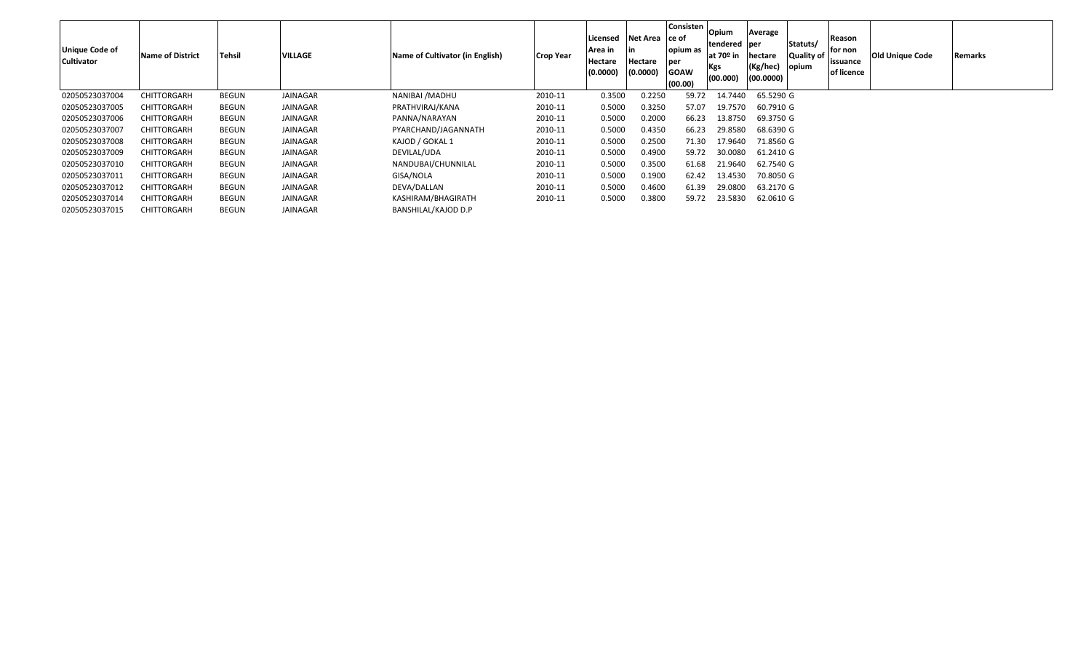| <b>Unique Code of</b><br><b>Cultivator</b> | <b>Name of District</b> | <b>Tehsil</b> | <b>VILLAGE</b>  | Name of Cultivator (in English) | <b>Crop Year</b> | Licensed<br>Area in<br>Hectare<br>(0.0000) | <b>Net Area</b><br>Hectare<br>(0.0000) | Consisten<br>ce of<br>opium as<br>per<br><b>GOAW</b><br>(00.00) | Opium<br>tendered  per<br> at 70º in<br><b>Kgs</b><br>(00.000) | Average<br>hectare<br>(Kg/hec)<br>(00.0000) | Statuts/<br>Quality of<br>opium | Reason<br>for non<br>issuance<br>of licence | <b>Old Unique Code</b> | <b>Remarks</b> |
|--------------------------------------------|-------------------------|---------------|-----------------|---------------------------------|------------------|--------------------------------------------|----------------------------------------|-----------------------------------------------------------------|----------------------------------------------------------------|---------------------------------------------|---------------------------------|---------------------------------------------|------------------------|----------------|
| 02050523037004                             | <b>CHITTORGARH</b>      | <b>BEGUN</b>  | JAINAGAR        | NANIBAI / MADHU                 | 2010-11          | 0.3500                                     | 0.2250                                 | 59.72                                                           | 14.7440                                                        | 65.5290 G                                   |                                 |                                             |                        |                |
| 02050523037005                             | <b>CHITTORGARH</b>      | <b>BEGUN</b>  | <b>JAINAGAR</b> | PRATHVIRAJ/KANA                 | 2010-11          | 0.5000                                     | 0.3250                                 | 57.07                                                           | 19.7570                                                        | 60.7910 G                                   |                                 |                                             |                        |                |
| 02050523037006                             | <b>CHITTORGARH</b>      | <b>BEGUN</b>  | <b>JAINAGAR</b> | PANNA/NARAYAN                   | 2010-11          | 0.5000                                     | 0.2000                                 | 66.23                                                           | 13.8750                                                        | 69.3750 G                                   |                                 |                                             |                        |                |
| 02050523037007                             | <b>CHITTORGARH</b>      | BEGUN         | <b>JAINAGAR</b> | PYARCHAND/JAGANNATH             | 2010-11          | 0.5000                                     | 0.4350                                 | 66.23                                                           | 29.8580                                                        | 68.6390 G                                   |                                 |                                             |                        |                |
| 02050523037008                             | <b>CHITTORGARH</b>      | <b>BEGUN</b>  | JAINAGAR        | KAJOD / GOKAL 1                 | 2010-11          | 0.5000                                     | 0.2500                                 | 71.30                                                           | 17.9640                                                        | 71.8560 G                                   |                                 |                                             |                        |                |
| 02050523037009                             | <b>CHITTORGARH</b>      | <b>BEGUN</b>  | JAINAGAR        | DEVILAL/UDA                     | 2010-11          | 0.5000                                     | 0.4900                                 | 59.72                                                           | 30.0080                                                        | 61.2410 G                                   |                                 |                                             |                        |                |
| 02050523037010                             | <b>CHITTORGARH</b>      | <b>BEGUN</b>  | JAINAGAR        | NANDUBAI/CHUNNILAL              | 2010-11          | 0.5000                                     | 0.3500                                 | 61.68                                                           | 21.9640                                                        | 62.7540 G                                   |                                 |                                             |                        |                |
| 02050523037011                             | CHITTORGARH             | <b>BEGUN</b>  | <b>JAINAGAR</b> | GISA/NOLA                       | 2010-11          | 0.5000                                     | 0.1900                                 | 62.42                                                           | 13.4530                                                        | 70.8050 G                                   |                                 |                                             |                        |                |
| 02050523037012                             | <b>CHITTORGARH</b>      | BEGUN         | <b>JAINAGAR</b> | DEVA/DALLAN                     | 2010-11          | 0.5000                                     | 0.4600                                 | 61.39                                                           | 29.0800                                                        | 63.2170 G                                   |                                 |                                             |                        |                |
| 02050523037014                             | CHITTORGARH             | <b>BEGUN</b>  | <b>JAINAGAR</b> | KASHIRAM/BHAGIRATH              | 2010-11          | 0.5000                                     | 0.3800                                 | 59.72                                                           | 23.5830                                                        | 62.0610 G                                   |                                 |                                             |                        |                |
| 02050523037015                             | <b>CHITTORGARH</b>      | <b>BEGUN</b>  | <b>JAINAGAR</b> | BANSHILAL/KAJOD D.P             |                  |                                            |                                        |                                                                 |                                                                |                                             |                                 |                                             |                        |                |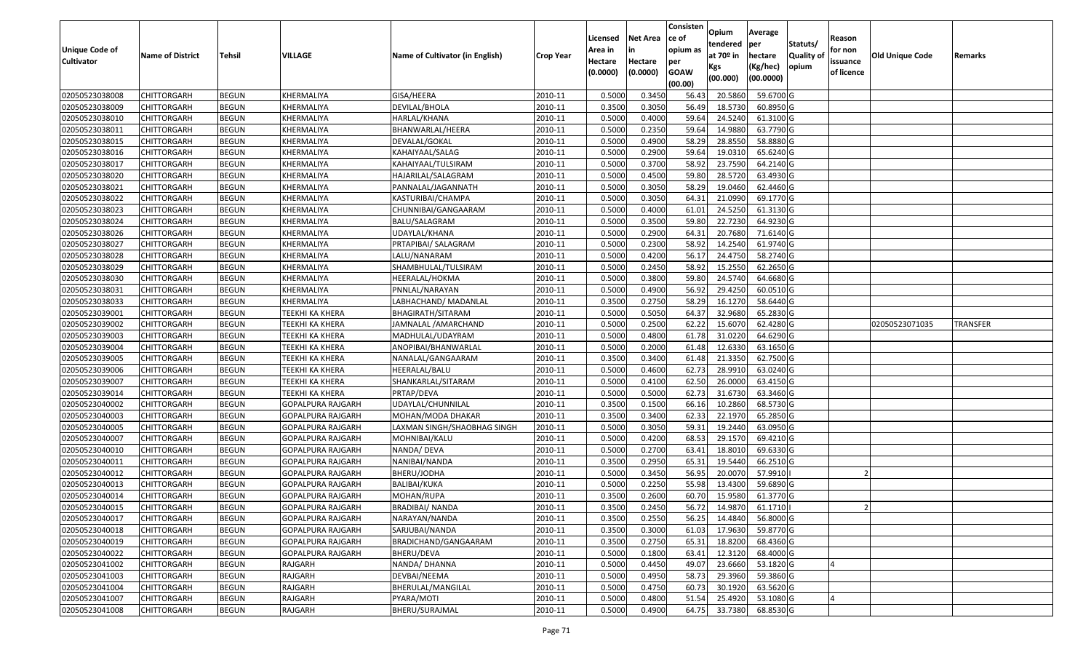|                       |                         |               |                          |                                 |                  |          |                 | Consisten        | Opium         | Average   |                  |            |                        |                 |
|-----------------------|-------------------------|---------------|--------------------------|---------------------------------|------------------|----------|-----------------|------------------|---------------|-----------|------------------|------------|------------------------|-----------------|
|                       |                         |               |                          |                                 |                  | Licensed | <b>Net Area</b> | ce of            | tendered      | per       | Statuts/         | Reason     |                        |                 |
| <b>Unique Code of</b> | <b>Name of District</b> | <b>Tehsil</b> | VILLAGE                  | Name of Cultivator (in English) | <b>Crop Year</b> | Area in  |                 | opium as         | at $70°$ in   | hectare   | <b>Quality o</b> | for non    | <b>Old Unique Code</b> | Remarks         |
| <b>Cultivator</b>     |                         |               |                          |                                 |                  | Hectare  | Hectare         | per              | Kgs           | (Kg/hec)  | opium            | issuance   |                        |                 |
|                       |                         |               |                          |                                 |                  | (0.0000) | (0.0000)        | <b>GOAW</b>      | (00.000)      | (00.0000) |                  | of licence |                        |                 |
| 02050523038008        | CHITTORGARH             | <b>BEGUN</b>  | KHERMALIYA               | GISA/HEERA                      | 2010-11          | 0.5000   | 0.3450          | (00.00)<br>56.43 | 20.5860       | 59.6700 G |                  |            |                        |                 |
| 02050523038009        | CHITTORGARH             | <b>BEGUN</b>  | KHERMALIYA               | DEVILAL/BHOLA                   | 2010-11          | 0.3500   | 0.3050          | 56.49            | 18.5730       | 60.8950 G |                  |            |                        |                 |
| 02050523038010        | CHITTORGARH             | <b>BEGUN</b>  | KHERMALIYA               | HARLAL/KHANA                    | 2010-11          | 0.5000   | 0.4000          | 59.64            | 24.5240       | 61.3100 G |                  |            |                        |                 |
| 02050523038011        | CHITTORGARH             | <b>BEGUN</b>  | KHERMALIYA               | BHANWARLAL/HEERA                | 2010-11          | 0.5000   | 0.2350          | 59.64            | 14.9880       | 63.7790 G |                  |            |                        |                 |
| 02050523038015        | CHITTORGARH             | <b>BEGUN</b>  | KHERMALIYA               | DEVALAL/GOKAL                   | 2010-11          | 0.5000   | 0.4900          | 58.29            | 28.855        | 58.8880 G |                  |            |                        |                 |
| 02050523038016        | CHITTORGARH             | <b>BEGUN</b>  | KHERMALIYA               | KAHAIYAAL/SALAG                 | 2010-11          | 0.5000   | 0.2900          | 59.64            | 19.031        | 65.6240 G |                  |            |                        |                 |
| 02050523038017        | CHITTORGARH             | <b>BEGUN</b>  | KHERMALIYA               | KAHAIYAAL/TULSIRAM              | 2010-11          | 0.5000   | 0.3700          | 58.92            | 23.7590       | 64.2140 G |                  |            |                        |                 |
| 02050523038020        | <b>CHITTORGARH</b>      | <b>BEGUN</b>  | KHERMALIYA               | HAJARILAL/SALAGRAM              | 2010-11          | 0.5000   | 0.4500          | 59.80            | 28.5720       | 63.4930 G |                  |            |                        |                 |
| 02050523038021        | <b>CHITTORGARH</b>      | <b>BEGUN</b>  | KHERMALIYA               | PANNALAL/JAGANNATH              | 2010-11          | 0.5000   | 0.3050          | 58.29            | 19.0460       | 62.4460 G |                  |            |                        |                 |
| 02050523038022        | CHITTORGARH             | <b>BEGUN</b>  | KHERMALIYA               | KASTURIBAI/CHAMPA               | 2010-11          | 0.5000   | 0.3050          | 64.3             | 21.0990       | 69.1770 G |                  |            |                        |                 |
| 02050523038023        | CHITTORGARH             | <b>BEGUN</b>  | KHERMALIYA               | CHUNNIBAI/GANGAARAM             | 2010-11          | 0.5000   | 0.4000          | 61.01            | 24.5250       | 61.3130 G |                  |            |                        |                 |
| 02050523038024        | CHITTORGARH             | <b>BEGUN</b>  | KHERMALIYA               | BALU/SALAGRAM                   | 2010-11          | 0.5000   | 0.3500          | 59.80            | 22.7230       | 64.9230 G |                  |            |                        |                 |
| 02050523038026        | <b>CHITTORGARH</b>      | <b>BEGUN</b>  | KHERMALIYA               | UDAYLAL/KHANA                   | 2010-11          | 0.5000   | 0.2900          | 64.31            | 20.7680       | 71.6140 G |                  |            |                        |                 |
| 02050523038027        | <b>CHITTORGARH</b>      | <b>BEGUN</b>  | KHERMALIYA               | PRTAPIBAI/ SALAGRAM             | 2010-11          | 0.5000   | 0.2300          | 58.92            | 14.2540       | 61.9740 G |                  |            |                        |                 |
| 02050523038028        | CHITTORGARH             | <b>BEGUN</b>  | KHERMALIYA               | LALU/NANARAM                    | 2010-11          | 0.5000   | 0.4200          | 56.17            | 24.4750       | 58.2740 G |                  |            |                        |                 |
| 02050523038029        | <b>CHITTORGARH</b>      | <b>BEGUN</b>  | KHERMALIYA               | SHAMBHULAL/TULSIRAM             | 2010-11          | 0.5000   | 0.2450          | 58.92            | 15.2550       | 62.2650 G |                  |            |                        |                 |
| 02050523038030        | <b>CHITTORGARH</b>      | <b>BEGUN</b>  | KHERMALIYA               | HEERALAL/HOKMA                  | 2010-11          | 0.5000   | 0.3800          | 59.80            | 24.5740       | 64.6680 G |                  |            |                        |                 |
| 02050523038031        | CHITTORGARH             | <b>BEGUN</b>  | KHERMALIYA               | PNNLAL/NARAYAN                  | 2010-11          | 0.5000   | 0.4900          | 56.92            | 29.4250       | 60.0510G  |                  |            |                        |                 |
| 02050523038033        | CHITTORGARH             | <b>BEGUN</b>  | KHERMALIYA               | LABHACHAND/ MADANLAL            | 2010-11          | 0.3500   | 0.2750          | 58.29            | 16.1270       | 58.6440 G |                  |            |                        |                 |
| 02050523039001        | CHITTORGARH             | <b>BEGUN</b>  | TEEKHI KA KHERA          | BHAGIRATH/SITARAM               | 2010-11          | 0.5000   | 0.5050          | 64.37            | 32.9680       | 65.2830 G |                  |            |                        |                 |
| 02050523039002        | CHITTORGARH             | <b>BEGUN</b>  | <b>TEEKHI KA KHERA</b>   | JAMNALAL /AMARCHAND             | 2010-11          | 0.5000   | 0.2500          | 62.22            | 15.6070       | 62.4280 G |                  |            | 02050523071035         | <b>TRANSFER</b> |
| 02050523039003        | CHITTORGARH             | <b>BEGUN</b>  | TEEKHI KA KHERA          | MADHULAL/UDAYRAM                | 2010-11          | 0.5000   | 0.4800          | 61.78            | 31.022        | 64.6290 G |                  |            |                        |                 |
| 02050523039004        | CHITTORGARH             | <b>BEGUN</b>  | TEEKHI KA KHERA          | ANOPIBAI/BHANWARLAL             | 2010-11          | 0.5000   | 0.2000          | 61.48            | 12.6330       | 63.1650 G |                  |            |                        |                 |
| 02050523039005        | CHITTORGARH             | <b>BEGUN</b>  | <b>TEEKHI KA KHERA</b>   | NANALAL/GANGAARAM               | 2010-11          | 0.3500   | 0.3400          | 61.48            | 21.3350       | 62.7500 G |                  |            |                        |                 |
| 02050523039006        | CHITTORGARH             | <b>BEGUN</b>  | <b>TEEKHI KA KHERA</b>   | HEERALAL/BALU                   | 2010-11          | 0.5000   | 0.4600          | 62.73            | 28.9910       | 63.0240 G |                  |            |                        |                 |
| 02050523039007        | CHITTORGARH             | <b>BEGUN</b>  | TEEKHI KA KHERA          | SHANKARLAL/SITARAM              | 2010-11          | 0.5000   | 0.4100          | 62.50            | 26.0000       | 63.4150 G |                  |            |                        |                 |
| 02050523039014        | CHITTORGARH             | <b>BEGUN</b>  | TEEKHI KA KHERA          | PRTAP/DEVA                      | 2010-11          | 0.5000   | 0.5000          | 62.73            | 31.6730       | 63.3460 G |                  |            |                        |                 |
| 02050523040002        | CHITTORGARH             | <b>BEGUN</b>  | GOPALPURA RAJGARH        | UDAYLAL/CHUNNILAL               | 2010-11          | 0.3500   | 0.1500          | 66.16            | 10.2860       | 68.5730 G |                  |            |                        |                 |
| 02050523040003        | CHITTORGARH             | <b>BEGUN</b>  | GOPALPURA RAJGARH        | MOHAN/MODA DHAKAR               | 2010-11          | 0.3500   | 0.3400          | 62.33            | 22.1970       | 65.2850 G |                  |            |                        |                 |
| 02050523040005        | CHITTORGARH             | <b>BEGUN</b>  | GOPALPURA RAJGARH        | LAXMAN SINGH/SHAOBHAG SINGH     | 2010-11          | 0.5000   | 0.3050          | 59.3             | 19.2440       | 63.0950 G |                  |            |                        |                 |
| 02050523040007        | CHITTORGARH             | <b>BEGUN</b>  | GOPALPURA RAJGARH        | MOHNIBAI/KALU                   | 2010-11          | 0.5000   | 0.4200          | 68.53            | 29.1570       | 69.4210 G |                  |            |                        |                 |
| 02050523040010        | CHITTORGARH             | <b>BEGUN</b>  | GOPALPURA RAJGARH        | NANDA/ DEVA                     | 2010-11          | 0.5000   | 0.2700          | 63.4             | 18.801        | 69.6330 G |                  |            |                        |                 |
| 02050523040011        | CHITTORGARH             | <b>BEGUN</b>  | GOPALPURA RAJGARH        | NANIBAI/NANDA                   | 2010-11          | 0.3500   | 0.2950          | 65.3             | 19.5440       | 66.2510 G |                  |            |                        |                 |
| 02050523040012        | <b>CHITTORGARH</b>      | <b>BEGUN</b>  | GOPALPURA RAJGARH        | BHERU/JODHA                     | 2010-11          | 0.5000   | 0.3450          | 56.95            | 20.007        | 57.9910   |                  |            |                        |                 |
| 02050523040013        | CHITTORGARH             | <b>BEGUN</b>  | GOPALPURA RAJGARH        | <b>BALIBAI/KUKA</b>             | 2010-11          | 0.5000   | 0.2250          | 55.98            | 13.4300       | 59.6890 G |                  |            |                        |                 |
| 02050523040014        | CHITTORGARH             | <b>BEGUN</b>  | GOPALPURA RAJGARH        | MOHAN/RUPA                      | 2010-11          | 0.3500   | 0.2600          | 60.7             | 15.9580       | 61.3770 G |                  |            |                        |                 |
| 02050523040015        | <b>CHITTORGARH</b>      | <b>BEGUN</b>  | GOPALPURA RAJGARH        | <b>BRADIBAI/ NANDA</b>          | 2010-11          | 0.3500   | 0.2450          |                  | 56.72 14.9870 | 61.1710   |                  |            |                        |                 |
| 02050523040017        | <b>CHITTORGARH</b>      | <b>BEGUN</b>  | <b>GOPALPURA RAJGARH</b> | NARAYAN/NANDA                   | 2010-11          | 0.3500   | 0.2550          | 56.25            | 14.4840       | 56.8000 G |                  |            |                        |                 |
| 02050523040018        | <b>CHITTORGARH</b>      | <b>BEGUN</b>  | GOPALPURA RAJGARH        | SARJUBAI/NANDA                  | 2010-11          | 0.3500   | 0.3000          | 61.03            | 17.9630       | 59.8770 G |                  |            |                        |                 |
| 02050523040019        | <b>CHITTORGARH</b>      | <b>BEGUN</b>  | GOPALPURA RAJGARH        | BRADICHAND/GANGAARAM            | 2010-11          | 0.3500   | 0.2750          | 65.31            | 18.8200       | 68.4360 G |                  |            |                        |                 |
| 02050523040022        | CHITTORGARH             | <b>BEGUN</b>  | GOPALPURA RAJGARH        | BHERU/DEVA                      | 2010-11          | 0.5000   | 0.1800          | 63.41            | 12.3120       | 68.4000 G |                  |            |                        |                 |
| 02050523041002        | <b>CHITTORGARH</b>      | <b>BEGUN</b>  | RAJGARH                  | NANDA/ DHANNA                   | 2010-11          | 0.5000   | 0.4450          | 49.07            | 23.6660       | 53.1820 G |                  |            |                        |                 |
| 02050523041003        | <b>CHITTORGARH</b>      | <b>BEGUN</b>  | RAJGARH                  | DEVBAI/NEEMA                    | 2010-11          | 0.5000   | 0.4950          | 58.73            | 29.3960       | 59.3860 G |                  |            |                        |                 |
| 02050523041004        | CHITTORGARH             | <b>BEGUN</b>  | RAJGARH                  | BHERULAL/MANGILAL               | 2010-11          | 0.5000   | 0.4750          | 60.73            | 30.1920       | 63.5620 G |                  |            |                        |                 |
| 02050523041007        | <b>CHITTORGARH</b>      | <b>BEGUN</b>  | RAJGARH                  | PYARA/MOTI                      | 2010-11          | 0.5000   | 0.4800          | 51.54            | 25.4920       | 53.1080 G |                  |            |                        |                 |
| 02050523041008        | <b>CHITTORGARH</b>      | <b>BEGUN</b>  | RAJGARH                  | BHERU/SURAJMAL                  | 2010-11          | 0.5000   | 0.4900          | 64.75            | 33.7380       | 68.8530 G |                  |            |                        |                 |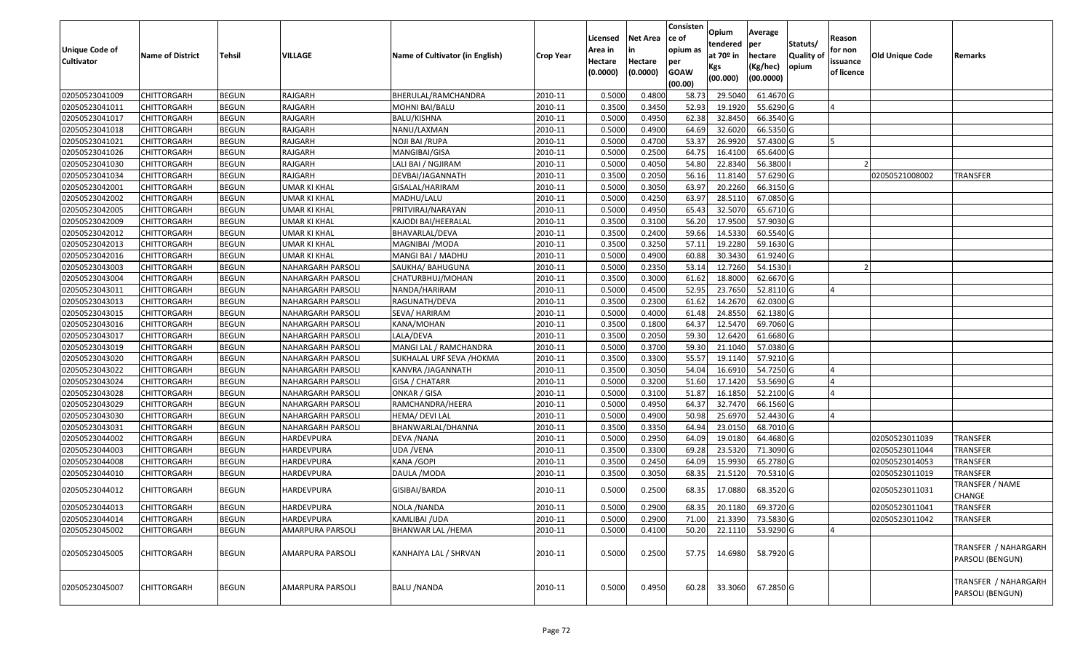| <b>Unique Code of</b><br><b>Cultivator</b> | <b>Name of District</b> | <b>Tehsil</b> | VILLAGE                  | Name of Cultivator (in English) | <b>Crop Year</b> | Licensed<br>Area in<br>Hectare<br>(0.0000) | <b>Net Area</b><br>in<br>Hectare<br>(0.0000) | Consisten<br>ce of<br>opium as<br>per<br><b>GOAW</b><br>(00.00) | Opium<br>tendered<br>at 70º in<br>Kgs<br>(00.000) | Average<br><b>per</b><br>hectare<br>(Kg/hec)<br>(00.0000) | Statuts/<br><b>Quality of</b><br>opium | Reason<br>for non<br>issuance<br>of licence | <b>Old Unique Code</b> | Remarks                                  |
|--------------------------------------------|-------------------------|---------------|--------------------------|---------------------------------|------------------|--------------------------------------------|----------------------------------------------|-----------------------------------------------------------------|---------------------------------------------------|-----------------------------------------------------------|----------------------------------------|---------------------------------------------|------------------------|------------------------------------------|
| 02050523041009                             | <b>CHITTORGARH</b>      | <b>BEGUN</b>  | RAJGARH                  | BHERULAL/RAMCHANDRA             | 2010-11          | 0.5000                                     | 0.4800                                       | 58.73                                                           | 29.5040                                           | 61.4670 G                                                 |                                        |                                             |                        |                                          |
| 02050523041011                             | <b>CHITTORGARH</b>      | <b>BEGUN</b>  | RAJGARH                  | MOHNI BAI/BALU                  | 2010-11          | 0.3500                                     | 0.3450                                       | 52.93                                                           | 19.1920                                           | 55.6290 G                                                 |                                        |                                             |                        |                                          |
| 02050523041017                             | <b>CHITTORGARH</b>      | <b>BEGUN</b>  | RAJGARH                  | BALU/KISHNA                     | 2010-11          | 0.5000                                     | 0.4950                                       | 62.38                                                           | 32.8450                                           | 66.3540 G                                                 |                                        |                                             |                        |                                          |
| 02050523041018                             | <b>CHITTORGARH</b>      | <b>BEGUN</b>  | RAJGARH                  | NANU/LAXMAN                     | 2010-11          | 0.5000                                     | 0.4900                                       | 64.69                                                           | 32.6020                                           | 66.5350 G                                                 |                                        |                                             |                        |                                          |
| 02050523041021                             | <b>CHITTORGARH</b>      | <b>BEGUN</b>  | RAJGARH                  | NOJI BAI / RUPA                 | 2010-11          | 0.5000                                     | 0.4700                                       | 53.37                                                           | 26.9920                                           | 57.4300 G                                                 |                                        | 15                                          |                        |                                          |
| 02050523041026                             | <b>CHITTORGARH</b>      | <b>BEGUN</b>  | RAJGARH                  | MANGIBAI/GISA                   | 2010-11          | 0.5000                                     | 0.2500                                       | 64.75                                                           | 16.4100                                           | 65.6400 G                                                 |                                        |                                             |                        |                                          |
| 02050523041030                             | <b>CHITTORGARH</b>      | <b>BEGUN</b>  | RAJGARH                  | LALI BAI / NGJIRAM              | 2010-11          | 0.5000                                     | 0.4050                                       | 54.80                                                           | 22.8340                                           | 56.3800                                                   |                                        |                                             |                        |                                          |
| 02050523041034                             | <b>CHITTORGARH</b>      | <b>BEGUN</b>  | RAJGARH                  | DEVBAI/JAGANNATH                | 2010-11          | 0.3500                                     | 0.2050                                       | 56.16                                                           | 11.8140                                           | 57.6290 G                                                 |                                        |                                             | 02050521008002         | <b>TRANSFER</b>                          |
| 02050523042001                             | <b>CHITTORGARH</b>      | <b>BEGUN</b>  | UMAR KI KHAL             | GISALAL/HARIRAM                 | 2010-11          | 0.5000                                     | 0.3050                                       | 63.97                                                           | 20.2260                                           | 66.3150 G                                                 |                                        |                                             |                        |                                          |
| 02050523042002                             | <b>CHITTORGARH</b>      | <b>BEGUN</b>  | <b>UMAR KI KHAL</b>      | MADHU/LALU                      | 2010-11          | 0.5000                                     | 0.4250                                       | 63.97                                                           | 28.5110                                           | 67.0850 G                                                 |                                        |                                             |                        |                                          |
| 02050523042005                             | <b>CHITTORGARH</b>      | <b>BEGUN</b>  | UMAR KI KHAL             | PRITVIRAJ/NARAYAN               | 2010-11          | 0.5000                                     | 0.4950                                       | 65.43                                                           | 32.5070                                           | 65.6710 G                                                 |                                        |                                             |                        |                                          |
| 02050523042009                             | <b>CHITTORGARH</b>      | <b>BEGUN</b>  | UMAR KI KHAL             | KAJODI BAI/HEERALAL             | 2010-11          | 0.3500                                     | 0.3100                                       | 56.20                                                           | 17.9500                                           | 57.9030 G                                                 |                                        |                                             |                        |                                          |
| 02050523042012                             | <b>CHITTORGARH</b>      | <b>BEGUN</b>  | <b>UMAR KI KHAL</b>      | BHAVARLAL/DEVA                  | 2010-11          | 0.3500                                     | 0.2400                                       | 59.66                                                           | 14.5330                                           | 60.5540 G                                                 |                                        |                                             |                        |                                          |
| 02050523042013                             | <b>CHITTORGARH</b>      | <b>BEGUN</b>  | UMAR KI KHAL             | MAGNIBAI / MODA                 | 2010-11          | 0.3500                                     | 0.3250                                       | 57.11                                                           | 19.2280                                           | 59.1630 G                                                 |                                        |                                             |                        |                                          |
| 02050523042016                             | <b>CHITTORGARH</b>      | <b>BEGUN</b>  | UMAR KI KHAL             | MANGI BAI / MADHU               | 2010-11          | 0.5000                                     | 0.4900                                       | 60.88                                                           | 30.3430                                           | 61.9240 G                                                 |                                        |                                             |                        |                                          |
| 02050523043003                             | <b>CHITTORGARH</b>      | <b>BEGUN</b>  | NAHARGARH PARSOLI        | SAUKHA/ BAHUGUNA                | 2010-11          | 0.5000                                     | 0.2350                                       | 53.1                                                            | 12.7260                                           | 54.1530                                                   |                                        |                                             |                        |                                          |
| 02050523043004                             | <b>CHITTORGARH</b>      | <b>BEGUN</b>  | NAHARGARH PARSOLI        | CHATURBHUJ/MOHAN                | 2010-11          | 0.3500                                     | 0.3000                                       | 61.62                                                           | 18.8000                                           | 62.6670 G                                                 |                                        |                                             |                        |                                          |
| 02050523043011                             | <b>CHITTORGARH</b>      | <b>BEGUN</b>  | NAHARGARH PARSOLI        | NANDA/HARIRAM                   | 2010-11          | 0.5000                                     | 0.4500                                       | 52.95                                                           | 23.7650                                           | 52.8110 G                                                 |                                        | IΔ                                          |                        |                                          |
| 02050523043013                             | <b>CHITTORGARH</b>      | <b>BEGUN</b>  | NAHARGARH PARSOLI        | RAGUNATH/DEVA                   | 2010-11          | 0.3500                                     | 0.2300                                       | 61.62                                                           | 14.2670                                           | 62.0300 G                                                 |                                        |                                             |                        |                                          |
| 02050523043015                             | <b>CHITTORGARH</b>      | <b>BEGUN</b>  | NAHARGARH PARSOLI        | SEVA/ HARIRAM                   | 2010-11          | 0.5000                                     | 0.4000                                       | 61.48                                                           | 24.8550                                           | 62.1380 G                                                 |                                        |                                             |                        |                                          |
| 02050523043016                             | <b>CHITTORGARH</b>      | <b>BEGUN</b>  | NAHARGARH PARSOLI        | KANA/MOHAN                      | 2010-11          | 0.3500                                     | 0.1800                                       | 64.37                                                           | 12.5470                                           | 69.7060 G                                                 |                                        |                                             |                        |                                          |
| 02050523043017                             | <b>CHITTORGARH</b>      | <b>BEGUN</b>  | NAHARGARH PARSOLI        | LALA/DEVA                       | 2010-11          | 0.3500                                     | 0.2050                                       | 59.30                                                           | 12.6420                                           | 61.6680 G                                                 |                                        |                                             |                        |                                          |
| 02050523043019                             | <b>CHITTORGARH</b>      | <b>BEGUN</b>  | NAHARGARH PARSOLI        | MANGI LAL / RAMCHANDRA          | 2010-11          | 0.5000                                     | 0.3700                                       | 59.30                                                           | 21.1040                                           | 57.0380 G                                                 |                                        |                                             |                        |                                          |
| 02050523043020                             | <b>CHITTORGARH</b>      | <b>BEGUN</b>  | NAHARGARH PARSOLI        | SUKHALAL URF SEVA /HOKMA        | 2010-11          | 0.3500                                     | 0.3300                                       | 55.57                                                           | 19.1140                                           | 57.9210 G                                                 |                                        |                                             |                        |                                          |
| 02050523043022                             | <b>CHITTORGARH</b>      | <b>BEGUN</b>  | <b>NAHARGARH PARSOLI</b> | KANVRA / JAGANNATH              | 2010-11          | 0.3500                                     | 0.3050                                       | 54.04                                                           | 16.6910                                           | 54.7250 G                                                 |                                        |                                             |                        |                                          |
| 02050523043024                             | <b>CHITTORGARH</b>      | <b>BEGUN</b>  | NAHARGARH PARSOLI        | GISA / CHATARR                  | 2010-11          | 0.5000                                     | 0.3200                                       | 51.60                                                           | 17.1420                                           | 53.5690 G                                                 |                                        |                                             |                        |                                          |
| 02050523043028                             | <b>CHITTORGARH</b>      | <b>BEGUN</b>  | NAHARGARH PARSOLI        | ONKAR / GISA                    | 2010-11          | 0.5000                                     | 0.3100                                       | 51.87                                                           | 16.1850                                           | 52.2100 G                                                 |                                        |                                             |                        |                                          |
| 02050523043029                             | <b>CHITTORGARH</b>      | <b>BEGUN</b>  | NAHARGARH PARSOLI        | RAMCHANDRA/HEERA                | 2010-11          | 0.5000                                     | 0.4950                                       | 64.37                                                           | 32.7470                                           | 66.1560 G                                                 |                                        |                                             |                        |                                          |
| 02050523043030                             | <b>CHITTORGARH</b>      | <b>BEGUN</b>  | <b>NAHARGARH PARSOLI</b> | HEMA/ DEVI LAL                  | 2010-11          | 0.5000                                     | 0.4900                                       | 50.98                                                           | 25.6970                                           | 52.4430 G                                                 |                                        |                                             |                        |                                          |
| 02050523043031                             | <b>CHITTORGARH</b>      | <b>BEGUN</b>  | NAHARGARH PARSOLI        | BHANWARLAL/DHANNA               | 2010-11          | 0.3500                                     | 0.3350                                       | 64.94                                                           | 23.0150                                           | 68.7010 G                                                 |                                        |                                             |                        |                                          |
| 02050523044002                             | <b>CHITTORGARH</b>      | <b>BEGUN</b>  | HARDEVPURA               | DEVA / NANA                     | 2010-11          | 0.5000                                     | 0.2950                                       | 64.09                                                           | 19.0180                                           | 64.4680 G                                                 |                                        |                                             | 02050523011039         | <b>TRANSFER</b>                          |
| 02050523044003                             | <b>CHITTORGARH</b>      | <b>BEGUN</b>  | HARDEVPURA               | UDA /VENA                       | 2010-11          | 0.3500                                     | 0.3300                                       | 69.28                                                           | 23.5320                                           | 71.3090 G                                                 |                                        |                                             | 02050523011044         | TRANSFER                                 |
| 02050523044008                             | <b>CHITTORGARH</b>      | <b>BEGUN</b>  | HARDEVPURA               | KANA / GOPI                     | 2010-11          | 0.3500                                     | 0.2450                                       | 64.09                                                           | 15.9930                                           | 65.2780 G                                                 |                                        |                                             | 02050523014053         | <b>TRANSFER</b>                          |
| 02050523044010                             | <b>CHITTORGARH</b>      | <b>BEGUN</b>  | HARDEVPURA               | DAULA / MODA                    | 2010-11          | 0.3500                                     | 0.3050                                       | 68.35                                                           | 21.5120                                           | 70.5310 G                                                 |                                        |                                             | 02050523011019         | <b>TRANSFER</b>                          |
| 02050523044012                             | <b>CHITTORGARH</b>      | <b>BEGUN</b>  | HARDEVPURA               | GISIBAI/BARDA                   | 2010-11          | 0.5000                                     | 0.2500                                       | 68.35                                                           | 17.0880                                           | 68.3520 G                                                 |                                        |                                             | 02050523011031         | TRANSFER / NAME<br>CHANGE                |
| 02050523044013                             | CHITTORGARH             | <b>BEGUN</b>  | <b>HARDEVPURA</b>        | NOLA / NANDA                    | 2010-11          | 0.5000                                     | 0.2900                                       | 68.35                                                           |                                                   | 20.1180 69.3720 G                                         |                                        |                                             | 02050523011041         | <b>TRANSFER</b>                          |
| 02050523044014                             | <b>CHITTORGARH</b>      | <b>BEGUN</b>  | HARDEVPURA               | KAMLIBAI /UDA                   | 2010-11          | 0.5000                                     | 0.2900                                       | 71.00                                                           | 21.3390                                           | 73.5830 G                                                 |                                        |                                             | 02050523011042         | <b>TRANSFER</b>                          |
| 02050523045002                             | <b>CHITTORGARH</b>      | <b>BEGUN</b>  | AMARPURA PARSOLI         | <b>BHANWAR LAL /HEMA</b>        | 2010-11          | 0.5000                                     | 0.4100                                       | 50.20                                                           | 22.1110                                           | 53.9290 G                                                 |                                        | IΔ                                          |                        |                                          |
| 02050523045005                             | <b>CHITTORGARH</b>      | <b>BEGUN</b>  | AMARPURA PARSOLI         | KANHAIYA LAL / SHRVAN           | 2010-11          | 0.5000                                     | 0.2500                                       | 57.75                                                           | 14.6980                                           | 58.7920 G                                                 |                                        |                                             |                        | TRANSFER / NAHARGARH<br>PARSOLI (BENGUN) |
| 02050523045007                             | <b>CHITTORGARH</b>      | <b>BEGUN</b>  | AMARPURA PARSOLI         | <b>BALU /NANDA</b>              | 2010-11          | 0.5000                                     | 0.4950                                       | 60.28                                                           | 33.3060                                           | 67.2850 G                                                 |                                        |                                             |                        | TRANSFER / NAHARGARH<br>PARSOLI (BENGUN) |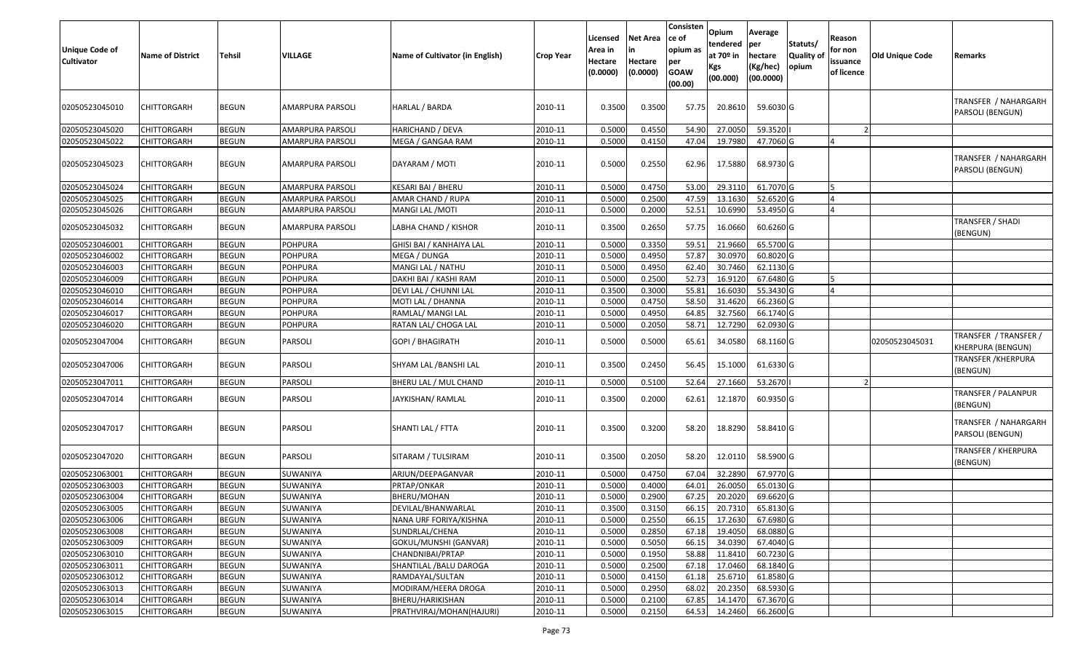| <b>Unique Code of</b><br>Cultivator | <b>Name of District</b> | Tehsil       | <b>VILLAGE</b>   | Name of Cultivator (in English) | <b>Crop Year</b> | Licensed<br>Area in<br>Hectare<br>(0.0000) | Net Area<br>Hectare<br>(0.0000) | Consisten<br>ce of<br>opium as<br>per<br><b>GOAW</b><br>(00.00) | Opium<br>tendered<br>at 70º in<br>Kgs<br>(00.000) | Average<br>per<br>hectare<br>(Kg/hec)<br>(00.0000) | Statuts/<br>Quality of<br>opium | Reason<br>for non<br>issuance<br>of licence | Old Unique Code | Remarks                                           |
|-------------------------------------|-------------------------|--------------|------------------|---------------------------------|------------------|--------------------------------------------|---------------------------------|-----------------------------------------------------------------|---------------------------------------------------|----------------------------------------------------|---------------------------------|---------------------------------------------|-----------------|---------------------------------------------------|
| 02050523045010                      | <b>CHITTORGARH</b>      | <b>BEGUN</b> | AMARPURA PARSOLI | HARLAL / BARDA                  | 2010-11          | 0.3500                                     | 0.3500                          | 57.75                                                           | 20.8610                                           | 59.6030 G                                          |                                 |                                             |                 | TRANSFER / NAHARGARH<br>PARSOLI (BENGUN)          |
| 02050523045020                      | <b>CHITTORGARH</b>      | <b>BEGUN</b> | AMARPURA PARSOLI | HARICHAND / DEVA                | 2010-11          | 0.5000                                     | 0.4550                          | 54.90                                                           | 27.0050                                           | 59.3520                                            |                                 |                                             |                 |                                                   |
| 02050523045022                      | CHITTORGARH             | <b>BEGUN</b> | AMARPURA PARSOLI | MEGA / GANGAA RAM               | 2010-11          | 0.5000                                     | 0.4150                          | 47.04                                                           | 19.7980                                           | 47.7060 G                                          |                                 |                                             |                 |                                                   |
| 02050523045023                      | <b>CHITTORGARH</b>      | <b>BEGUN</b> | AMARPURA PARSOLI | DAYARAM / MOTI                  | 2010-11          | 0.5000                                     | 0.2550                          | 62.96                                                           | 17.5880                                           | 68.9730 G                                          |                                 |                                             |                 | TRANSFER / NAHARGARH<br>PARSOLI (BENGUN)          |
| 02050523045024                      | <b>CHITTORGARH</b>      | <b>BEGUN</b> | AMARPURA PARSOLI | <b>KESARI BAI / BHERU</b>       | 2010-11          | 0.5000                                     | 0.4750                          | 53.00                                                           | 29.3110                                           | 61.7070 G                                          |                                 |                                             |                 |                                                   |
| 02050523045025                      | <b>CHITTORGARH</b>      | <b>BEGUN</b> | AMARPURA PARSOLI | AMAR CHAND / RUPA               | 2010-11          | 0.5000                                     | 0.2500                          | 47.59                                                           | 13.1630                                           | 52.6520 G                                          |                                 |                                             |                 |                                                   |
| 02050523045026                      | <b>CHITTORGARH</b>      | <b>BEGUN</b> | AMARPURA PARSOLI | MANGI LAL / MOTI                | 2010-11          | 0.5000                                     | 0.2000                          | 52.51                                                           | 10.6990                                           | 53.4950 G                                          |                                 |                                             |                 |                                                   |
| 02050523045032                      | CHITTORGARH             | <b>BEGUN</b> | AMARPURA PARSOLI | LABHA CHAND / KISHOR            | 2010-11          | 0.3500                                     | 0.2650                          | 57.75                                                           | 16.0660                                           | 60.6260 G                                          |                                 |                                             |                 | TRANSFER / SHADI<br>(BENGUN)                      |
| 02050523046001                      | CHITTORGARH             | <b>BEGUN</b> | <b>POHPURA</b>   | GHISI BAI / KANHAIYA LAL        | 2010-11          | 0.5000                                     | 0.3350                          | 59.51                                                           | 21.9660                                           | 65.5700 G                                          |                                 |                                             |                 |                                                   |
| 02050523046002                      | CHITTORGARH             | <b>BEGUN</b> | <b>POHPURA</b>   | MEGA / DUNGA                    | 2010-11          | 0.5000                                     | 0.4950                          | 57.87                                                           | 30.0970                                           | 60.8020 G                                          |                                 |                                             |                 |                                                   |
| 02050523046003                      | <b>CHITTORGARH</b>      | <b>BEGUN</b> | <b>POHPURA</b>   | MANGI LAL / NATHU               | 2010-11          | 0.5000                                     | 0.4950                          | 62.40                                                           | 30.7460                                           | 62.1130 G                                          |                                 |                                             |                 |                                                   |
| 02050523046009                      | <b>CHITTORGARH</b>      | <b>BEGUN</b> | <b>POHPURA</b>   | DAKHI BAI / KASHI RAM           | 2010-11          | 0.5000                                     | 0.2500                          | 52.73                                                           | 16.9120                                           | 67.6480 G                                          |                                 |                                             |                 |                                                   |
| 02050523046010                      | <b>CHITTORGARH</b>      | <b>BEGUN</b> | <b>POHPURA</b>   | DEVI LAL / CHUNNI LAL           | 2010-11          | 0.3500                                     | 0.3000                          | 55.81                                                           | 16.6030                                           | 55.3430 G                                          |                                 |                                             |                 |                                                   |
| 02050523046014                      | <b>CHITTORGARH</b>      | <b>BEGUN</b> | <b>POHPURA</b>   | MOTI LAL / DHANNA               | 2010-11          | 0.5000                                     | 0.4750                          | 58.50                                                           | 31.4620                                           | 66.2360 G                                          |                                 |                                             |                 |                                                   |
| 02050523046017                      | <b>CHITTORGARH</b>      | <b>BEGUN</b> | <b>POHPURA</b>   | RAMLAL/ MANGI LAL               | 2010-11          | 0.5000                                     | 0.4950                          | 64.85                                                           | 32.7560                                           | 66.1740 G                                          |                                 |                                             |                 |                                                   |
| 02050523046020                      | <b>CHITTORGARH</b>      | <b>BEGUN</b> | <b>POHPURA</b>   | RATAN LAL/ CHOGA LAL            | 2010-11          | 0.5000                                     | 0.2050                          | 58.71                                                           | 12.7290                                           | 62.0930 G                                          |                                 |                                             |                 |                                                   |
| 02050523047004                      | <b>CHITTORGARH</b>      | <b>BEGUN</b> | PARSOLI          | <b>GOPI / BHAGIRATH</b>         | 2010-11          | 0.5000                                     | 0.5000                          | 65.61                                                           | 34.0580                                           | 68.1160 G                                          |                                 |                                             | 02050523045031  | TRANSFER / TRANSFER /<br><b>KHERPURA (BENGUN)</b> |
| 02050523047006                      | CHITTORGARH             | <b>BEGUN</b> | PARSOLI          | SHYAM LAL / BANSHI LAL          | 2010-11          | 0.3500                                     | 0.2450                          | 56.45                                                           | 15.1000                                           | 61.6330 G                                          |                                 |                                             |                 | TRANSFER / KHERPURA<br>(BENGUN)                   |
| 02050523047011                      | <b>CHITTORGARH</b>      | <b>BEGUN</b> | PARSOLI          | BHERU LAL / MUL CHAND           | 2010-11          | 0.5000                                     | 0.5100                          | 52.64                                                           | 27.1660                                           | 53.2670                                            |                                 |                                             |                 |                                                   |
| 02050523047014                      | CHITTORGARH             | <b>BEGUN</b> | PARSOLI          | JAYKISHAN/ RAMLAL               | 2010-11          | 0.3500                                     | 0.2000                          | 62.61                                                           | 12.1870                                           | 60.9350 G                                          |                                 |                                             |                 | TRANSFER / PALANPUR<br>(BENGUN)                   |
| 02050523047017                      | <b>CHITTORGARH</b>      | <b>BEGUN</b> | PARSOLI          | SHANTI LAL / FTTA               | 2010-11          | 0.3500                                     | 0.3200                          | 58.20                                                           | 18.8290                                           | 58.8410 G                                          |                                 |                                             |                 | TRANSFER / NAHARGARH<br>PARSOLI (BENGUN)          |
| 02050523047020                      | CHITTORGARH             | <b>BEGUN</b> | PARSOLI          | SITARAM / TULSIRAM              | 2010-11          | 0.3500                                     | 0.2050                          | 58.20                                                           | 12.0110                                           | 58.5900 G                                          |                                 |                                             |                 | TRANSFER / KHERPURA<br>(BENGUN)                   |
| 02050523063001                      | <b>CHITTORGARH</b>      | <b>BEGUN</b> | SUWANIYA         | ARJUN/DEEPAGANVAR               | 2010-11          | 0.5000                                     | 0.4750                          | 67.04                                                           | 32.2890                                           | 67.9770 G                                          |                                 |                                             |                 |                                                   |
| 02050523063003                      | CHITTORGARH             | <b>BEGUN</b> | SUWANIYA         | PRTAP/ONKAR                     | 2010-11          | 0.5000                                     | 0.4000                          | 64.01                                                           | 26.0050                                           | 65.0130 G                                          |                                 |                                             |                 |                                                   |
| 02050523063004                      | <b>CHITTORGARH</b>      | <b>BEGUN</b> | SUWANIYA         | BHERU/MOHAN                     | 2010-11          | 0.5000                                     | 0.2900                          | 67.25                                                           | 20.2020                                           | 69.6620 G                                          |                                 |                                             |                 |                                                   |
| 02050523063005                      | CHITTORGARH             | <b>BEGUN</b> | SUWANIYA         | DEVILAL/BHANWARLAL              | 2010-11          | 0.3500                                     | 0.3150                          | 66.15                                                           | 20.7310                                           | 65.8130 G                                          |                                 |                                             |                 |                                                   |
| 02050523063006                      | <b>CHITTORGARH</b>      | <b>BEGUN</b> | SUWANIYA         | NANA URF FORIYA/KISHNA          | 2010-11          | 0.5000                                     | 0.2550                          | 66.15                                                           | 17.2630                                           | 67.6980 G                                          |                                 |                                             |                 |                                                   |
| 02050523063008                      | <b>CHITTORGARH</b>      | <b>BEGUN</b> | SUWANIYA         | SUNDRLAL/CHENA                  | 2010-11          | 0.5000                                     | 0.2850                          | 67.18                                                           | 19.4050                                           | 68.0880 G                                          |                                 |                                             |                 |                                                   |
| 02050523063009                      | <b>CHITTORGARH</b>      | <b>BEGUN</b> | SUWANIYA         | GOKUL/MUNSHI (GANVAR)           | 2010-11          | 0.5000                                     | 0.5050                          | 66.15                                                           | 34.0390                                           | 67.4040 G                                          |                                 |                                             |                 |                                                   |
| 02050523063010                      | <b>CHITTORGARH</b>      | <b>BEGUN</b> | SUWANIYA         | CHANDNIBAI/PRTAP                | 2010-11          | 0.5000                                     | 0.1950                          | 58.88                                                           | 11.8410                                           | 60.7230 G                                          |                                 |                                             |                 |                                                   |
| 02050523063011                      | <b>CHITTORGARH</b>      | <b>BEGUN</b> | SUWANIYA         | SHANTILAL / BALU DAROGA         | 2010-11          | 0.5000                                     | 0.2500                          | 67.18                                                           | 17.0460                                           | 68.1840 G                                          |                                 |                                             |                 |                                                   |
| 02050523063012                      | <b>CHITTORGARH</b>      | <b>BEGUN</b> | SUWANIYA         | RAMDAYAL/SULTAN                 | 2010-11          | 0.5000                                     | 0.4150                          | 61.18                                                           | 25.6710                                           | 61.8580 G                                          |                                 |                                             |                 |                                                   |
| 02050523063013                      | <b>CHITTORGARH</b>      | <b>BEGUN</b> | SUWANIYA         | MODIRAM/HEERA DROGA             | 2010-11          | 0.5000                                     | 0.2950                          | 68.02                                                           | 20.2350                                           | 68.5930 G                                          |                                 |                                             |                 |                                                   |
| 02050523063014                      | <b>CHITTORGARH</b>      | <b>BEGUN</b> | SUWANIYA         | BHERU/HARIKISHAN                | 2010-11          | 0.5000                                     | 0.2100                          | 67.85                                                           | 14.1470                                           | 67.3670 G                                          |                                 |                                             |                 |                                                   |
| 02050523063015                      | <b>CHITTORGARH</b>      | <b>BEGUN</b> | SUWANIYA         | PRATHVIRAJ/MOHAN(HAJURI)        | 2010-11          | 0.5000                                     | 0.2150                          | 64.53                                                           | 14.2460                                           | 66.2600 G                                          |                                 |                                             |                 |                                                   |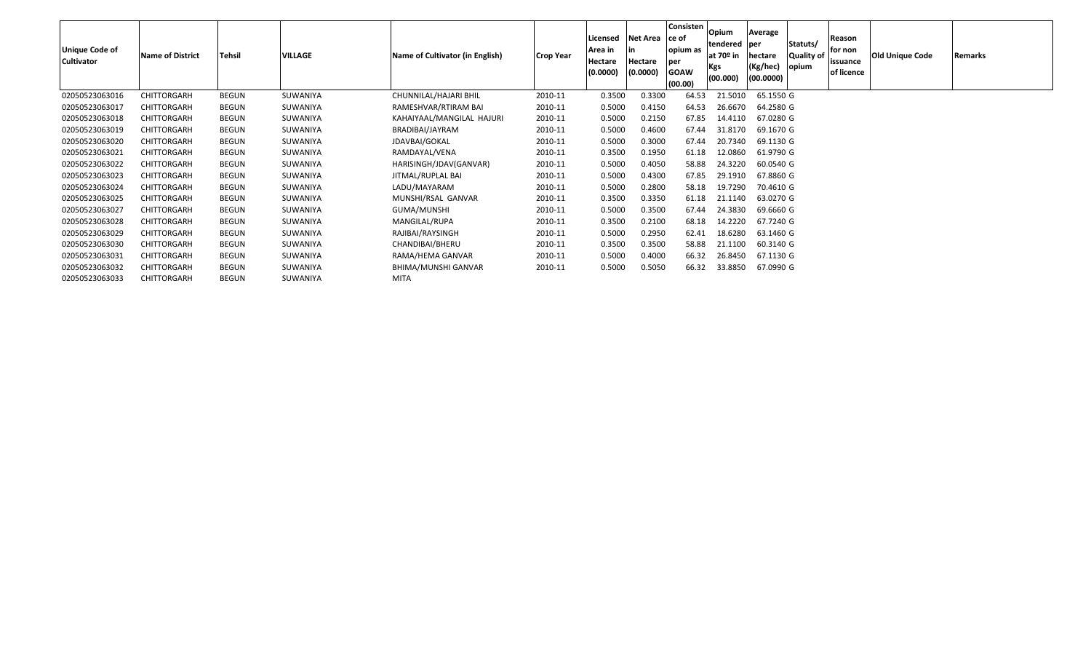| <b>Unique Code of</b><br><b>Cultivator</b> | Name of District   | Tehsil       | <b>VILLAGE</b> | Name of Cultivator (in English) | <b>Crop Year</b> | Licensed<br>Area in<br>Hectare<br>(0.0000) | Net Area<br>Hectare<br>(0.0000) | Consisten<br>ce of<br>opium as<br>per<br><b>GOAW</b><br>(00.00) | Opium<br>tendered per<br>at 70º in<br>Kgs<br>(00.000) | Average<br>hectare<br>(Kg/hec)<br>(00.0000) | Statuts/<br><b>Quality of</b><br>opium | Reason<br>for non<br>issuance<br>of licence | <b>Old Unique Code</b> | Remarks |
|--------------------------------------------|--------------------|--------------|----------------|---------------------------------|------------------|--------------------------------------------|---------------------------------|-----------------------------------------------------------------|-------------------------------------------------------|---------------------------------------------|----------------------------------------|---------------------------------------------|------------------------|---------|
| 02050523063016                             | CHITTORGARH        | <b>BEGUN</b> | SUWANIYA       | CHUNNILAL/HAJARI BHIL           | 2010-11          | 0.3500                                     | 0.3300                          | 64.53                                                           | 21.5010                                               | 65.1550 G                                   |                                        |                                             |                        |         |
| 02050523063017                             | CHITTORGARH        | <b>BEGUN</b> | SUWANIYA       | RAMESHVAR/RTIRAM BAI            | 2010-11          | 0.5000                                     | 0.4150                          | 64.53                                                           | 26.6670                                               | 64.2580 G                                   |                                        |                                             |                        |         |
| 02050523063018                             | <b>CHITTORGARH</b> | <b>BEGUN</b> | SUWANIYA       | KAHAIYAAL/MANGILAL HAJURI       | 2010-11          | 0.5000                                     | 0.2150                          | 67.85                                                           | 14.4110                                               | 67.0280 G                                   |                                        |                                             |                        |         |
| 02050523063019                             | <b>CHITTORGARH</b> | <b>BEGUN</b> | SUWANIYA       | BRADIBAI/JAYRAM                 | 2010-11          | 0.5000                                     | 0.4600                          | 67.44                                                           | 31.8170                                               | 69.1670 G                                   |                                        |                                             |                        |         |
| 02050523063020                             | CHITTORGARH        | <b>BEGUN</b> | SUWANIYA       | JDAVBAI/GOKAL                   | 2010-11          | 0.5000                                     | 0.3000                          | 67.44                                                           | 20.7340                                               | 69.1130 G                                   |                                        |                                             |                        |         |
| 02050523063021                             | CHITTORGARH        | <b>BEGUN</b> | SUWANIYA       | RAMDAYAL/VENA                   | 2010-11          | 0.3500                                     | 0.1950                          | 61.18                                                           | 12.0860                                               | 61.9790 G                                   |                                        |                                             |                        |         |
| 02050523063022                             | CHITTORGARH        | <b>BEGUN</b> | SUWANIYA       | HARISINGH/JDAV(GANVAR)          | 2010-11          | 0.5000                                     | 0.4050                          | 58.88                                                           | 24.3220                                               | 60.0540 G                                   |                                        |                                             |                        |         |
| 02050523063023                             | CHITTORGARH        | <b>BEGUN</b> | SUWANIYA       | JITMAL/RUPLAL BAI               | 2010-11          | 0.5000                                     | 0.4300                          | 67.85                                                           | 29.1910                                               | 67.8860 G                                   |                                        |                                             |                        |         |
| 02050523063024                             | CHITTORGARH        | <b>BEGUN</b> | SUWANIYA       | LADU/MAYARAM                    | 2010-11          | 0.5000                                     | 0.2800                          | 58.18                                                           | 19.7290                                               | 70.4610 G                                   |                                        |                                             |                        |         |
| 02050523063025                             | CHITTORGARH        | <b>BEGUN</b> | SUWANIYA       | MUNSHI/RSAL GANVAR              | 2010-11          | 0.3500                                     | 0.3350                          | 61.18                                                           | 21.1140                                               | 63.0270 G                                   |                                        |                                             |                        |         |
| 02050523063027                             | <b>CHITTORGARH</b> | <b>BEGUN</b> | SUWANIYA       | GUMA/MUNSHI                     | 2010-11          | 0.5000                                     | 0.3500                          | 67.44                                                           | 24.3830                                               | 69.6660 G                                   |                                        |                                             |                        |         |
| 02050523063028                             | CHITTORGARH        | <b>BEGUN</b> | SUWANIYA       | MANGILAL/RUPA                   | 2010-11          | 0.3500                                     | 0.2100                          | 68.18                                                           | 14.2220                                               | 67.7240 G                                   |                                        |                                             |                        |         |
| 02050523063029                             | CHITTORGARH        | <b>BEGUN</b> | SUWANIYA       | RAJIBAI/RAYSINGH                | 2010-11          | 0.5000                                     | 0.2950                          | 62.41                                                           | 18.6280                                               | 63.1460 G                                   |                                        |                                             |                        |         |
| 02050523063030                             | CHITTORGARH        | <b>BEGUN</b> | SUWANIYA       | CHANDIBAI/BHERU                 | 2010-11          | 0.3500                                     | 0.3500                          | 58.88                                                           | 21.1100                                               | 60.3140 G                                   |                                        |                                             |                        |         |
| 02050523063031                             | CHITTORGARH        | <b>BEGUN</b> | SUWANIYA       | RAMA/HEMA GANVAR                | 2010-11          | 0.5000                                     | 0.4000                          | 66.32                                                           | 26.8450                                               | 67.1130 G                                   |                                        |                                             |                        |         |
| 02050523063032                             | <b>CHITTORGARH</b> | <b>BEGUN</b> | SUWANIYA       | BHIMA/MUNSHI GANVAR             | 2010-11          | 0.5000                                     | 0.5050                          | 66.32                                                           | 33.8850                                               | 67.0990 G                                   |                                        |                                             |                        |         |
| 02050523063033                             | CHITTORGARH        | <b>BEGUN</b> | SUWANIYA       | <b>MITA</b>                     |                  |                                            |                                 |                                                                 |                                                       |                                             |                                        |                                             |                        |         |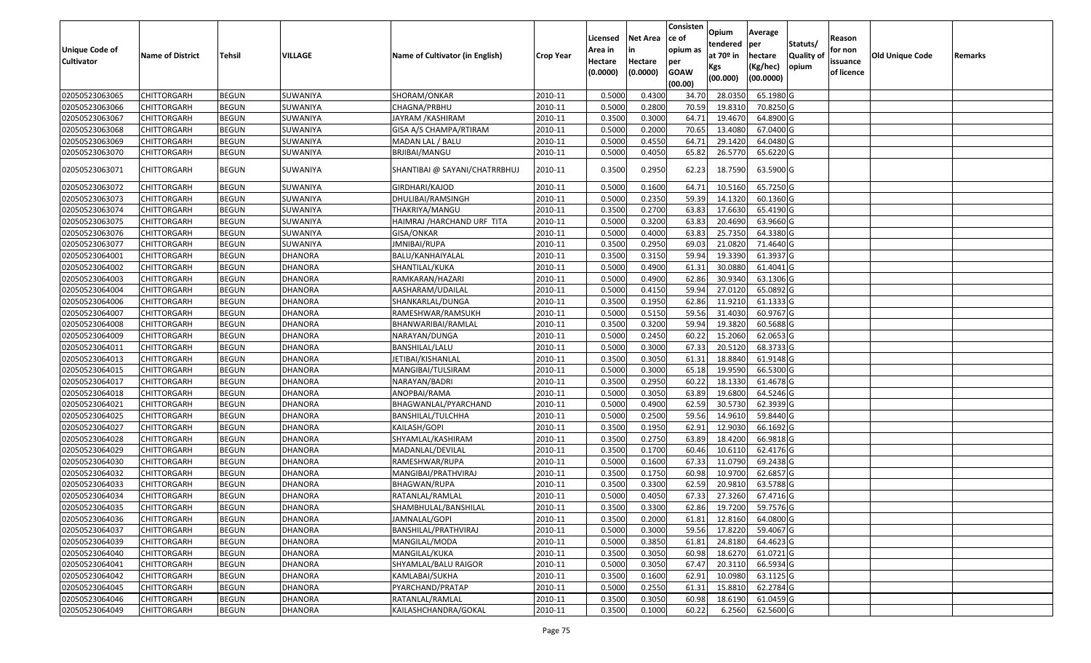| Unique Code of<br>Cultivator | <b>Name of District</b> | Tehsil       | <b>VILLAGE</b> | <b>Name of Cultivator (in English)</b> | <b>Crop Year</b> | Licensed<br>Area in<br>Hectare<br>(0.0000) | Net Area<br>Hectare<br>(0.0000) | Consisten<br>ce of<br>opium as<br>per<br><b>GOAW</b><br>(00.00) | <b>Opium</b><br>tendered<br>at 70º in<br>Kgs<br>(00.000) | Average<br>per<br>hectare<br>(Kg/hec)<br>(00.0000) | Statuts/<br>Quality of<br>opium | Reason<br>for non<br>issuance<br>of licence | Old Unique Code | Remarks |
|------------------------------|-------------------------|--------------|----------------|----------------------------------------|------------------|--------------------------------------------|---------------------------------|-----------------------------------------------------------------|----------------------------------------------------------|----------------------------------------------------|---------------------------------|---------------------------------------------|-----------------|---------|
| 02050523063065               | <b>CHITTORGARH</b>      | <b>BEGUN</b> | SUWANIYA       | SHORAM/ONKAR                           | 2010-11          | 0.5000                                     | 0.4300                          | 34.70                                                           | 28.0350                                                  | 65.1980 G                                          |                                 |                                             |                 |         |
| 02050523063066               | CHITTORGARH             | <b>BEGUN</b> | SUWANIYA       | CHAGNA/PRBHU                           | 2010-11          | 0.5000                                     | 0.2800                          | 70.59                                                           | 19.8310                                                  | 70.8250 G                                          |                                 |                                             |                 |         |
| 02050523063067               | CHITTORGARH             | <b>BEGUN</b> | SUWANIYA       | JAYRAM /KASHIRAM                       | 2010-11          | 0.3500                                     | 0.3000                          | 64.71                                                           | 19.4670                                                  | 64.8900 G                                          |                                 |                                             |                 |         |
| 02050523063068               | <b>CHITTORGARH</b>      | <b>BEGUN</b> | SUWANIYA       | GISA A/S CHAMPA/RTIRAM                 | 2010-11          | 0.5000                                     | 0.2000                          | 70.65                                                           | 13.4080                                                  | 67.0400 G                                          |                                 |                                             |                 |         |
| 02050523063069               | CHITTORGARH             | <b>BEGUN</b> | SUWANIYA       | MADAN LAL / BALU                       | 2010-11          | 0.5000                                     | 0.4550                          | 64.71                                                           | 29.1420                                                  | 64.0480 G                                          |                                 |                                             |                 |         |
| 02050523063070               | <b>CHITTORGARH</b>      | <b>BEGUN</b> | SUWANIYA       | BRJIBAI/MANGU                          | 2010-11          | 0.5000                                     | 0.4050                          | 65.82                                                           | 26.5770                                                  | 65.6220 G                                          |                                 |                                             |                 |         |
| 02050523063071               | CHITTORGARH             | <b>BEGUN</b> | SUWANIYA       | SHANTIBAI @ SAYANI/CHATRRBHUJ          | 2010-11          | 0.3500                                     | 0.2950                          | 62.23                                                           | 18.7590                                                  | 63.5900 G                                          |                                 |                                             |                 |         |
| 02050523063072               | <b>CHITTORGARH</b>      | <b>BEGUN</b> | SUWANIYA       | GIRDHARI/KAJOD                         | 2010-11          | 0.5000                                     | 0.1600                          | 64.71                                                           | 10.5160                                                  | 65.7250 G                                          |                                 |                                             |                 |         |
| 02050523063073               | <b>CHITTORGARH</b>      | <b>BEGUN</b> | SUWANIYA       | DHULIBAI/RAMSINGH                      | 2010-11          | 0.5000                                     | 0.2350                          | 59.39                                                           | 14.1320                                                  | 60.1360 G                                          |                                 |                                             |                 |         |
| 02050523063074               | CHITTORGARH             | <b>BEGUN</b> | SUWANIYA       | THAKRIYA/MANGU                         | 2010-11          | 0.3500                                     | 0.2700                          | 63.83                                                           | 17.6630                                                  | 65.4190 G                                          |                                 |                                             |                 |         |
| 02050523063075               | CHITTORGARH             | <b>BEGUN</b> | SUWANIYA       | HAIMRAJ /HARCHAND URF TITA             | 2010-11          | 0.5000                                     | 0.3200                          | 63.83                                                           | 20.4690                                                  | 63.9660 G                                          |                                 |                                             |                 |         |
| 02050523063076               | <b>CHITTORGARH</b>      | <b>BEGUN</b> | SUWANIYA       | GISA/ONKAR                             | 2010-11          | 0.5000                                     | 0.4000                          | 63.83                                                           | 25.7350                                                  | 64.3380 G                                          |                                 |                                             |                 |         |
| 02050523063077               | <b>CHITTORGARH</b>      | <b>BEGUN</b> | SUWANIYA       | JMNIBAI/RUPA                           | 2010-11          | 0.3500                                     | 0.2950                          | 69.03                                                           | 21.0820                                                  | 71.4640 G                                          |                                 |                                             |                 |         |
| 02050523064001               | CHITTORGARH             | <b>BEGUN</b> | <b>DHANORA</b> | BALU/KANHAIYALAL                       | 2010-11          | 0.3500                                     | 0.3150                          | 59.94                                                           | 19.3390                                                  | 61.3937 G                                          |                                 |                                             |                 |         |
| 02050523064002               | <b>CHITTORGARH</b>      | <b>BEGUN</b> | <b>DHANORA</b> | SHANTILAL/KUKA                         | 2010-11          | 0.5000                                     | 0.4900                          | 61.31                                                           | 30.0880                                                  | 61.4041 G                                          |                                 |                                             |                 |         |
| 02050523064003               | CHITTORGARH             | <b>BEGUN</b> | <b>DHANORA</b> | RAMKARAN/HAZARI                        | 2010-11          | 0.5000                                     | 0.4900                          | 62.86                                                           | 30.9340                                                  | 63.1306 G                                          |                                 |                                             |                 |         |
| 02050523064004               | CHITTORGARH             | <b>BEGUN</b> | <b>DHANORA</b> | AASHARAM/UDAILAL                       | 2010-11          | 0.5000                                     | 0.4150                          | 59.94                                                           | 27.0120                                                  | 65.0892 G                                          |                                 |                                             |                 |         |
| 02050523064006               | CHITTORGARH             | <b>BEGUN</b> | <b>DHANORA</b> | SHANKARLAL/DUNGA                       | 2010-11          | 0.3500                                     | 0.1950                          | 62.86                                                           | 11.9210                                                  | 61.1333 G                                          |                                 |                                             |                 |         |
| 02050523064007               | CHITTORGARH             | <b>BEGUN</b> | <b>DHANORA</b> | RAMESHWAR/RAMSUKH                      | 2010-11          | 0.5000                                     | 0.5150                          | 59.56                                                           | 31.4030                                                  | 60.9767 G                                          |                                 |                                             |                 |         |
| 02050523064008               | <b>CHITTORGARH</b>      | <b>BEGUN</b> | <b>DHANORA</b> | BHANWARIBAI/RAMLAL                     | 2010-11          | 0.3500                                     | 0.3200                          | 59.94                                                           | 19.3820                                                  | 60.5688 G                                          |                                 |                                             |                 |         |
| 02050523064009               | CHITTORGARH             | <b>BEGUN</b> | <b>DHANORA</b> | NARAYAN/DUNGA                          | 2010-11          | 0.5000                                     | 0.2450                          | 60.22                                                           | 15.2060                                                  | 62.0653 G                                          |                                 |                                             |                 |         |
| 02050523064011               | <b>CHITTORGARH</b>      | <b>BEGUN</b> | <b>DHANORA</b> | <b>BANSHILAL/LALU</b>                  | 2010-11          | 0.5000                                     | 0.3000                          | 67.33                                                           | 20.5120                                                  | 68.3733 G                                          |                                 |                                             |                 |         |
| 02050523064013               | CHITTORGARH             | <b>BEGUN</b> | <b>DHANORA</b> | JETIBAI/KISHANLAL                      | 2010-11          | 0.3500                                     | 0.3050                          | 61.31                                                           | 18.8840                                                  | 61.9148 G                                          |                                 |                                             |                 |         |
| 02050523064015               | <b>CHITTORGARH</b>      | <b>BEGUN</b> | <b>DHANORA</b> | MANGIBAI/TULSIRAM                      | 2010-11          | 0.5000                                     | 0.3000                          | 65.18                                                           | 19.9590                                                  | 66.5300 G                                          |                                 |                                             |                 |         |
| 02050523064017               | <b>CHITTORGARH</b>      | <b>BEGUN</b> | <b>DHANORA</b> | NARAYAN/BADRI                          | 2010-11          | 0.3500                                     | 0.2950                          | 60.22                                                           | 18.1330                                                  | 61.4678 G                                          |                                 |                                             |                 |         |
| 02050523064018               | CHITTORGARH             | <b>BEGUN</b> | <b>DHANORA</b> | ANOPBAI/RAMA                           | 2010-11          | 0.5000                                     | 0.3050                          | 63.89                                                           | 19.6800                                                  | 64.5246 G                                          |                                 |                                             |                 |         |
| 02050523064021               | CHITTORGARH             | <b>BEGUN</b> | <b>DHANORA</b> | BHAGWANLAL/PYARCHAND                   | 2010-11          | 0.5000                                     | 0.4900                          | 62.59                                                           | 30.5730                                                  | 62.3939 G                                          |                                 |                                             |                 |         |
| 02050523064025               | CHITTORGARH             | <b>BEGUN</b> | <b>DHANORA</b> | <b>BANSHILAL/TULCHHA</b>               | 2010-11          | 0.5000                                     | 0.2500                          | 59.56                                                           | 14.9610                                                  | 59.8440 G                                          |                                 |                                             |                 |         |
| 02050523064027               | CHITTORGARH             | <b>BEGUN</b> | <b>DHANORA</b> | KAILASH/GOPI                           | 2010-11          | 0.3500                                     | 0.1950                          | 62.91                                                           | 12.9030                                                  | 66.1692 G                                          |                                 |                                             |                 |         |
| 02050523064028               | CHITTORGARH             | <b>BEGUN</b> | <b>DHANORA</b> | SHYAMLAL/KASHIRAM                      | 2010-11          | 0.3500                                     | 0.2750                          | 63.89                                                           | 18.4200                                                  | 66.9818 G                                          |                                 |                                             |                 |         |
| 02050523064029               | CHITTORGARH             | <b>BEGUN</b> | <b>DHANORA</b> | MADANLAL/DEVILAL                       | 2010-11          | 0.3500                                     | 0.1700                          | 60.46                                                           | 10.6110                                                  | 62.4176 G                                          |                                 |                                             |                 |         |
| 02050523064030               | CHITTORGARH             | <b>BEGUN</b> | <b>DHANORA</b> | RAMESHWAR/RUPA                         | 2010-11          | 0.5000                                     | 0.1600                          | 67.33                                                           | 11.0790                                                  | 69.2438 G                                          |                                 |                                             |                 |         |
| 02050523064032               | <b>CHITTORGARH</b>      | <b>BEGUN</b> | <b>DHANORA</b> | MANGIBAI/PRATHVIRAJ                    | 2010-11          | 0.3500                                     | 0.1750                          | 60.98                                                           | 10.9700                                                  | 62.6857 G                                          |                                 |                                             |                 |         |
| 02050523064033               | CHITTORGARH             | <b>BEGUN</b> | <b>DHANORA</b> | BHAGWAN/RUPA                           | 2010-11          | 0.3500                                     | 0.3300                          | 62.59                                                           | 20.9810                                                  | 63.5788 G                                          |                                 |                                             |                 |         |
| 02050523064034               | CHITTORGARH             | <b>BEGUN</b> | <b>DHANORA</b> | RATANLAL/RAMLAL                        | 2010-11          | 0.5000                                     | 0.4050                          | 67.33                                                           | 27.3260                                                  | 67.4716 G                                          |                                 |                                             |                 |         |
| 02050523064035               | <b>CHITTORGARH</b>      | <b>BEGUN</b> | <b>DHANORA</b> | SHAMBHULAL/BANSHILAL                   | 2010-11          | 0.3500                                     | 0.3300                          | 62.86                                                           | 19.7200                                                  | 59.7576 G                                          |                                 |                                             |                 |         |
| 02050523064036               | <b>CHITTORGARH</b>      | <b>BEGUN</b> | <b>DHANORA</b> | JAMNALAL/GOPI                          | 2010-11          | 0.3500                                     | 0.2000                          | 61.81                                                           | 12.8160                                                  | 64.0800 G                                          |                                 |                                             |                 |         |
| 02050523064037               | <b>CHITTORGARH</b>      | <b>BEGUN</b> | <b>DHANORA</b> | BANSHILAL/PRATHVIRAJ                   | 2010-11          | 0.5000                                     | 0.3000                          | 59.56                                                           | 17.8220                                                  | 59.4067 G                                          |                                 |                                             |                 |         |
| 02050523064039               | <b>CHITTORGARH</b>      | <b>BEGUN</b> | <b>DHANORA</b> | MANGILAL/MODA                          | 2010-11          | 0.5000                                     | 0.3850                          | 61.81                                                           | 24.8180                                                  | 64.4623 G                                          |                                 |                                             |                 |         |
| 02050523064040               | <b>CHITTORGARH</b>      | <b>BEGUN</b> | <b>DHANORA</b> | MANGILAL/KUKA                          | 2010-11          | 0.3500                                     | 0.3050                          | 60.98                                                           | 18.6270                                                  | 61.0721 G                                          |                                 |                                             |                 |         |
| 02050523064041               | <b>CHITTORGARH</b>      | <b>BEGUN</b> | <b>DHANORA</b> | SHYAMLAL/BALU RAIGOR                   | 2010-11          | 0.5000                                     | 0.3050                          | 67.47                                                           | 20.3110                                                  | 66.5934 G                                          |                                 |                                             |                 |         |
| 02050523064042               | <b>CHITTORGARH</b>      | <b>BEGUN</b> | <b>DHANORA</b> | KAMLABAI/SUKHA                         | 2010-11          | 0.3500                                     | 0.1600                          | 62.91                                                           | 10.0980                                                  | 63.1125 G                                          |                                 |                                             |                 |         |
| 02050523064045               | <b>CHITTORGARH</b>      | <b>BEGUN</b> | <b>DHANORA</b> | PYARCHAND/PRATAP                       | 2010-11          | 0.5000                                     | 0.2550                          | 61.31                                                           | 15.8810                                                  | 62.2784 G                                          |                                 |                                             |                 |         |
| 02050523064046               | <b>CHITTORGARH</b>      | <b>BEGUN</b> | <b>DHANORA</b> | RATANLAL/RAMLAL                        | 2010-11          | 0.3500                                     | 0.3050                          | 60.98                                                           | 18.6190                                                  | 61.0459 G                                          |                                 |                                             |                 |         |
| 02050523064049               | <b>CHITTORGARH</b>      | <b>BEGUN</b> | <b>DHANORA</b> | KAILASHCHANDRA/GOKAL                   | 2010-11          | 0.3500                                     | 0.1000                          | 60.22                                                           | 6.2560                                                   | 62.5600 G                                          |                                 |                                             |                 |         |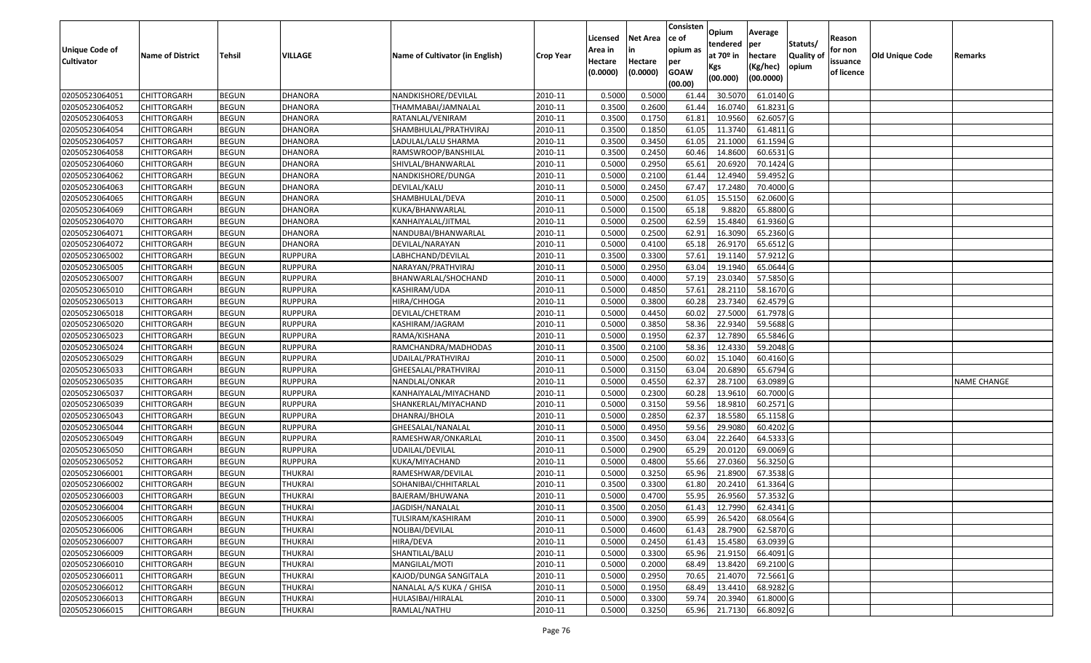|                       |                         |               |                |                                 |                  |          |                 | Consisten   | Opium         | Average     |                  |            |                 |                    |
|-----------------------|-------------------------|---------------|----------------|---------------------------------|------------------|----------|-----------------|-------------|---------------|-------------|------------------|------------|-----------------|--------------------|
|                       |                         |               |                |                                 |                  | Licensed | <b>Net Area</b> | ce of       | tendered      | per         | Statuts/         | Reason     |                 |                    |
| <b>Unique Code of</b> | <b>Name of District</b> | <b>Tehsil</b> | VILLAGE        | Name of Cultivator (in English) | <b>Crop Year</b> | Area in  |                 | opium as    | at $70°$ in   | hectare     | <b>Quality o</b> | for non    | Old Unique Code | Remarks            |
| <b>Cultivator</b>     |                         |               |                |                                 |                  | Hectare  | Hectare         | per         | Kgs           | (Kg/hec)    | opium            | issuance   |                 |                    |
|                       |                         |               |                |                                 |                  | (0.0000) | (0.0000)        | <b>GOAW</b> | (00.000)      | (00.0000)   |                  | of licence |                 |                    |
|                       |                         |               |                |                                 |                  |          |                 | (00.00)     |               |             |                  |            |                 |                    |
| 02050523064051        | CHITTORGARH             | <b>BEGUN</b>  | <b>DHANORA</b> | NANDKISHORE/DEVILAL             | 2010-11          | 0.5000   | 0.5000          | 61.44       | 30.5070       | 61.0140 G   |                  |            |                 |                    |
| 02050523064052        | CHITTORGARH             | <b>BEGUN</b>  | <b>DHANORA</b> | THAMMABAI/JAMNALAL              | 2010-11          | 0.3500   | 0.2600          | 61.44       | 16.0740       | $61.8231$ G |                  |            |                 |                    |
| 02050523064053        | CHITTORGARH             | <b>BEGUN</b>  | <b>DHANORA</b> | RATANLAL/VENIRAM                | 2010-11          | 0.3500   | 0.1750          | 61.8        | 10.9560       | 62.6057 G   |                  |            |                 |                    |
| 02050523064054        | <b>CHITTORGARH</b>      | <b>BEGUN</b>  | <b>DHANORA</b> | SHAMBHULAL/PRATHVIRAJ           | 2010-11          | 0.3500   | 0.1850          | 61.05       | 11.3740       | $61.4811$ G |                  |            |                 |                    |
| 02050523064057        | CHITTORGARH             | <b>BEGUN</b>  | <b>DHANORA</b> | LADULAL/LALU SHARMA             | 2010-11          | 0.3500   | 0.3450          | 61.0        | 21.100        | 61.1594 G   |                  |            |                 |                    |
| 02050523064058        | CHITTORGARH             | <b>BEGUN</b>  | <b>DHANORA</b> | RAMSWROOP/BANSHILAL             | 2010-11          | 0.3500   | 0.2450          | 60.46       | 14.8600       | 60.6531 G   |                  |            |                 |                    |
| 02050523064060        | CHITTORGARH             | <b>BEGUN</b>  | <b>DHANORA</b> | SHIVLAL/BHANWARLAL              | 2010-11          | 0.5000   | 0.2950          | 65.6        | 20.6920       | 70.1424 G   |                  |            |                 |                    |
| 02050523064062        | CHITTORGARH             | <b>BEGUN</b>  | <b>DHANORA</b> | NANDKISHORE/DUNGA               | 2010-11          | 0.5000   | 0.2100          | 61.44       | 12.4940       | 59.4952G    |                  |            |                 |                    |
| 02050523064063        | CHITTORGARH             | <b>BEGUN</b>  | <b>DHANORA</b> | DEVILAL/KALU                    | 2010-11          | 0.5000   | 0.2450          | 67.47       | 17.2480       | 70.4000 G   |                  |            |                 |                    |
| 02050523064065        | CHITTORGARH             | <b>BEGUN</b>  | DHANORA        | SHAMBHULAL/DEVA                 | 2010-11          | 0.5000   | 0.2500          | 61.05       | 15.5150       | 62.0600 G   |                  |            |                 |                    |
| 02050523064069        | CHITTORGARH             | <b>BEGUN</b>  | <b>DHANORA</b> | KUKA/BHANWARLAL                 | 2010-11          | 0.5000   | 0.1500          | 65.18       | 9.8820        | 65.8800 G   |                  |            |                 |                    |
| 02050523064070        | CHITTORGARH             | <b>BEGUN</b>  | DHANORA        | KANHAIYALAL/JITMAL              | 2010-11          | 0.5000   | 0.2500          | 62.59       | 15.4840       | 61.9360 G   |                  |            |                 |                    |
| 02050523064071        | <b>CHITTORGARH</b>      | <b>BEGUN</b>  | <b>DHANORA</b> | NANDUBAI/BHANWARLAL             | 2010-11          | 0.5000   | 0.2500          | 62.91       | 16.3090       | 65.2360 G   |                  |            |                 |                    |
| 02050523064072        | CHITTORGARH             | <b>BEGUN</b>  | <b>DHANORA</b> | DEVILAL/NARAYAN                 | 2010-11          | 0.5000   | 0.4100          | 65.18       | 26.9170       | 65.6512G    |                  |            |                 |                    |
| 02050523065002        | CHITTORGARH             | <b>BEGUN</b>  | <b>RUPPURA</b> | LABHCHAND/DEVILAL               | 2010-11          | 0.3500   | 0.3300          | 57.6        | 19.1140       | 57.9212 G   |                  |            |                 |                    |
| 02050523065005        | CHITTORGARH             | <b>BEGUN</b>  | <b>RUPPURA</b> | NARAYAN/PRATHVIRAJ              | 2010-11          | 0.5000   | 0.2950          | 63.04       | 19.1940       | 65.0644 G   |                  |            |                 |                    |
| 02050523065007        | CHITTORGARH             | <b>BEGUN</b>  | <b>RUPPURA</b> | BHANWARLAL/SHOCHAND             | 2010-11          | 0.5000   | 0.4000          | 57.19       | 23.0340       | 57.5850 G   |                  |            |                 |                    |
| 02050523065010        | CHITTORGARH             | <b>BEGUN</b>  | <b>RUPPURA</b> | KASHIRAM/UDA                    | 2010-11          | 0.5000   | 0.4850          | 57.61       | 28.2110       | 58.1670 G   |                  |            |                 |                    |
| 02050523065013        | CHITTORGARH             | <b>BEGUN</b>  | <b>RUPPURA</b> | HIRA/CHHOGA                     | 2010-11          | 0.500    | 0.3800          | 60.28       | 23.7340       | 62.4579 G   |                  |            |                 |                    |
| 02050523065018        | CHITTORGARH             | <b>BEGUN</b>  | <b>RUPPURA</b> | DEVILAL/CHETRAM                 | 2010-11          | 0.5000   | 0.4450          | 60.02       | 27.5000       | 61.7978 G   |                  |            |                 |                    |
| 02050523065020        | CHITTORGARH             | <b>BEGUN</b>  | <b>RUPPURA</b> | KASHIRAM/JAGRAM                 | 2010-11          | 0.5000   | 0.3850          | 58.36       | 22.9340       | 59.5688G    |                  |            |                 |                    |
| 02050523065023        | CHITTORGARH             | <b>BEGUN</b>  | <b>RUPPURA</b> | RAMA/KISHANA                    | 2010-11          | 0.5000   | 0.1950          | 62.37       | 12.789        | 65.5846 G   |                  |            |                 |                    |
| 02050523065024        | CHITTORGARH             | <b>BEGUN</b>  | <b>RUPPURA</b> | RAMCHANDRA/MADHODAS             | 2010-11          | 0.3500   | 0.2100          | 58.36       | 12.4330       | 59.2048 G   |                  |            |                 |                    |
| 02050523065029        | CHITTORGARH             | <b>BEGUN</b>  | <b>RUPPURA</b> | JDAILAL/PRATHVIRAJ              | 2010-11          | 0.5000   | 0.2500          | 60.02       | 15.1040       | 60.4160 G   |                  |            |                 |                    |
| 02050523065033        | CHITTORGARH             | <b>BEGUN</b>  | <b>RUPPURA</b> | GHEESALAL/PRATHVIRAJ            | 2010-11          | 0.5000   | 0.3150          | 63.04       | 20.6890       | 65.6794 G   |                  |            |                 |                    |
| 02050523065035        | CHITTORGARH             | <b>BEGUN</b>  | <b>RUPPURA</b> | NANDLAL/ONKAR                   | 2010-11          | 0.5000   | 0.4550          | 62.37       | 28.7100       | 63.0989 G   |                  |            |                 | <b>NAME CHANGE</b> |
| 02050523065037        | CHITTORGARH             | <b>BEGUN</b>  | <b>RUPPURA</b> | KANHAIYALAL/MIYACHAND           | 2010-11          | 0.5000   | 0.2300          | 60.28       | 13.9610       | 60.7000 G   |                  |            |                 |                    |
| 02050523065039        | CHITTORGARH             | <b>BEGUN</b>  | <b>RUPPURA</b> | SHANKERLAL/MIYACHAND            | 2010-11          | 0.5000   | 0.3150          | 59.56       | 18.981        | 60.2571 G   |                  |            |                 |                    |
| 02050523065043        | CHITTORGARH             | <b>BEGUN</b>  | <b>RUPPURA</b> | DHANRAJ/BHOLA                   | 2010-11          | 0.5000   | 0.2850          | 62.37       | 18.5580       | 65.1158 G   |                  |            |                 |                    |
| 02050523065044        | CHITTORGARH             | <b>BEGUN</b>  | <b>RUPPURA</b> | GHEESALAL/NANALAL               | 2010-11          | 0.5000   | 0.4950          | 59.56       | 29.9080       | 60.4202 G   |                  |            |                 |                    |
| 02050523065049        | CHITTORGARH             | <b>BEGUN</b>  | <b>RUPPURA</b> | RAMESHWAR/ONKARLAL              | 2010-11          | 0.3500   | 0.3450          | 63.04       | 22.2640       | 64.5333 G   |                  |            |                 |                    |
| 02050523065050        | CHITTORGARH             | <b>BEGUN</b>  | <b>RUPPURA</b> | JDAILAL/DEVILAL                 | 2010-11          | 0.5000   | 0.2900          | 65.29       | 20.0120       | 69.0069 G   |                  |            |                 |                    |
| 02050523065052        | CHITTORGARH             | <b>BEGUN</b>  | <b>RUPPURA</b> | KUKA/MIYACHAND                  | 2010-11          | 0.5000   | 0.4800          | 55.66       | 27.0360       | 56.3250 G   |                  |            |                 |                    |
| 02050523066001        | CHITTORGARH             | <b>BEGUN</b>  | <b>THUKRAI</b> | RAMESHWAR/DEVILAL               | 2010-11          | 0.5000   | 0.3250          | 65.96       | 21.8900       | 67.3538 G   |                  |            |                 |                    |
| 02050523066002        | CHITTORGARH             | <b>BEGUN</b>  | <b>THUKRAI</b> | SOHANIBAI/CHHITARLAL            | 2010-11          | 0.350    | 0.3300          | 61.80       | 20.2410       | 61.3364 G   |                  |            |                 |                    |
| 02050523066003        | CHITTORGARH             | <b>BEGUN</b>  | <b>THUKRAI</b> | BAJERAM/BHUWANA                 | 2010-11          | 0.5000   | 0.4700          | 55.95       | 26.9560       | 57.3532 G   |                  |            |                 |                    |
| 02050523066004        | <b>CHITTORGARH</b>      | <b>BEGUN</b>  | THUKRAI        | JAGDISH/NANALAL                 | 2010-11          | 0.3500   | 0.2050          |             | 61.43 12.7990 | 62.4341 G   |                  |            |                 |                    |
| 02050523066005        | <b>CHITTORGARH</b>      | <b>BEGUN</b>  | <b>THUKRAI</b> | TULSIRAM/KASHIRAM               | 2010-11          | 0.5000   | 0.3900          | 65.99       | 26.5420       | 68.0564 G   |                  |            |                 |                    |
| 02050523066006        | <b>CHITTORGARH</b>      | <b>BEGUN</b>  | <b>THUKRAI</b> | NOLIBAI/DEVILAL                 | 2010-11          | 0.5000   | 0.4600          | 61.43       | 28.7900       | 62.5870 G   |                  |            |                 |                    |
| 02050523066007        | <b>CHITTORGARH</b>      | <b>BEGUN</b>  | THUKRAI        | HIRA/DEVA                       | 2010-11          | 0.5000   | 0.2450          | 61.43       | 15.4580       | 63.0939 G   |                  |            |                 |                    |
| 02050523066009        | <b>CHITTORGARH</b>      | <b>BEGUN</b>  | <b>THUKRAI</b> | SHANTILAL/BALU                  | 2010-11          | 0.5000   | 0.3300          | 65.96       | 21.9150       | 66.4091 G   |                  |            |                 |                    |
| 02050523066010        | <b>CHITTORGARH</b>      | <b>BEGUN</b>  | <b>THUKRAI</b> | MANGILAL/MOTI                   | 2010-11          | 0.5000   | 0.2000          | 68.49       | 13.8420       | 69.2100 G   |                  |            |                 |                    |
| 02050523066011        | <b>CHITTORGARH</b>      | <b>BEGUN</b>  | <b>THUKRAI</b> | KAJOD/DUNGA SANGITALA           | 2010-11          | 0.5000   | 0.2950          | 70.65       | 21.4070       | 72.5661 G   |                  |            |                 |                    |
| 02050523066012        | CHITTORGARH             | <b>BEGUN</b>  | <b>THUKRAI</b> | NANALAL A/S KUKA / GHISA        | 2010-11          | 0.5000   | 0.1950          | 68.49       | 13.4410       | 68.9282 G   |                  |            |                 |                    |
| 02050523066013        | CHITTORGARH             | <b>BEGUN</b>  | <b>THUKRAI</b> | HULASIBAI/HIRALAL               | 2010-11          | 0.5000   | 0.3300          | 59.74       | 20.3940       | 61.8000 G   |                  |            |                 |                    |
| 02050523066015        | <b>CHITTORGARH</b>      | <b>BEGUN</b>  | <b>THUKRAI</b> | RAMLAL/NATHU                    | 2010-11          | 0.5000   | 0.3250          | 65.96       | 21.7130       | 66.8092 G   |                  |            |                 |                    |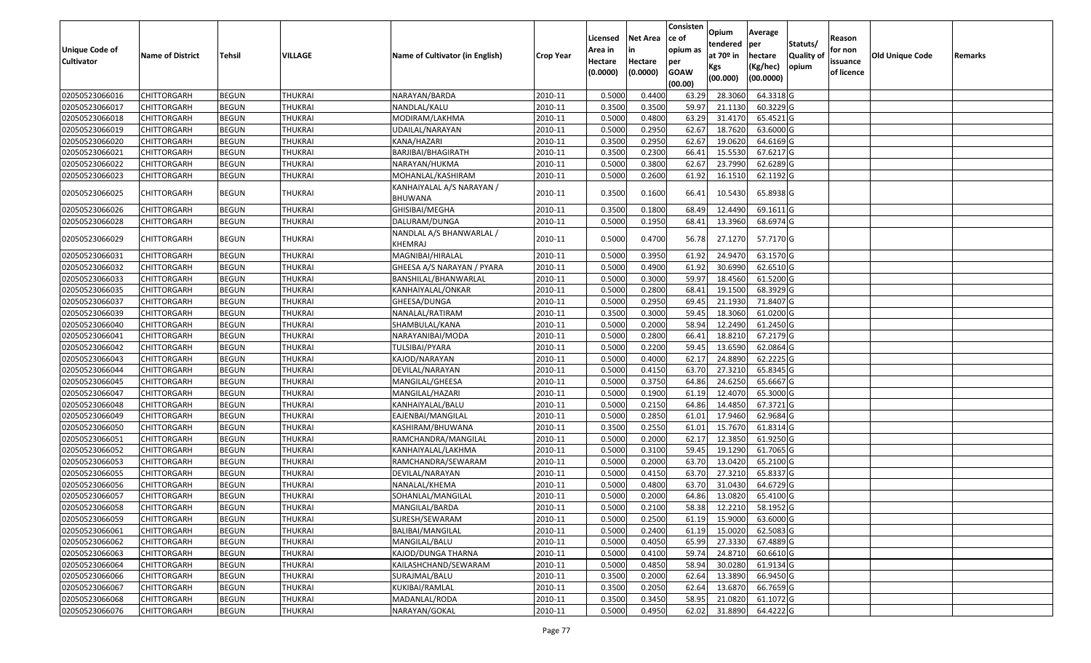|                                     |                         |               |                |                                      |                  |                    |                 | Consisten          | Opium       | Average                  |                  |                     |                 |         |
|-------------------------------------|-------------------------|---------------|----------------|--------------------------------------|------------------|--------------------|-----------------|--------------------|-------------|--------------------------|------------------|---------------------|-----------------|---------|
|                                     |                         |               |                |                                      |                  | Licensed           | <b>Net Area</b> | ce of              | tendered    | per                      | Statuts/         | Reason              |                 |         |
| Unique Code of<br><b>Cultivator</b> | <b>Name of District</b> | <b>Tehsil</b> | <b>VILLAGE</b> | Name of Cultivator (in English)      | <b>Crop Year</b> | Area in<br>Hectare | in<br>Hectare   | opium as           | at $70°$ in | hectare                  | <b>Quality o</b> | for non<br>issuance | Old Unique Code | Remarks |
|                                     |                         |               |                |                                      |                  | (0.0000)           | (0.0000)        | per<br><b>GOAW</b> | Kgs         | (Kg/hec)                 | opium            | of licence          |                 |         |
|                                     |                         |               |                |                                      |                  |                    |                 | (00.00)            | (00.000)    | (00.0000)                |                  |                     |                 |         |
| 02050523066016                      | CHITTORGARH             | <b>BEGUN</b>  | <b>THUKRAI</b> | NARAYAN/BARDA                        | 2010-11          | 0.5000             | 0.4400          | 63.29              | 28.3060     | 64.3318 G                |                  |                     |                 |         |
| 02050523066017                      | CHITTORGARH             | <b>BEGUN</b>  | <b>THUKRAI</b> | NANDLAL/KALU                         | 2010-11          | 0.3500             | 0.3500          | 59.97              | 21.1130     | 60.3229 G                |                  |                     |                 |         |
| 02050523066018                      | CHITTORGARH             | <b>BEGUN</b>  | <b>THUKRAI</b> | MODIRAM/LAKHMA                       | 2010-11          | 0.5000             | 0.4800          | 63.29              | 31.4170     | 65.4521G                 |                  |                     |                 |         |
| 02050523066019                      | <b>CHITTORGARH</b>      | <b>BEGUN</b>  | <b>THUKRAI</b> | JDAILAL/NARAYAN                      | 2010-11          | 0.5000             | 0.2950          | 62.67              | 18.7620     | 63.6000G                 |                  |                     |                 |         |
| 02050523066020                      | CHITTORGARH             | <b>BEGUN</b>  | <b>THUKRAI</b> | KANA/HAZARI                          | 2010-11          | 0.3500             | 0.2950          | 62.67              | 19.0620     | 64.6169 G                |                  |                     |                 |         |
| 02050523066021                      | CHITTORGARH             | <b>BEGUN</b>  | <b>THUKRAI</b> | BARJIBAI/BHAGIRATH                   | 2010-11          | 0.3500             | 0.2300          | 66.41              | 15.5530     | 67.6217 G                |                  |                     |                 |         |
| 02050523066022                      | CHITTORGARH             | <b>BEGUN</b>  | THUKRAI        | NARAYAN/HUKMA                        | 2010-11          | 0.5000             | 0.3800          | 62.67              | 23.7990     | 62.6289 G                |                  |                     |                 |         |
| 02050523066023                      | CHITTORGARH             | <b>BEGUN</b>  | <b>THUKRAI</b> | MOHANLAL/KASHIRAM                    | 2010-11          | 0.5000             | 0.2600          | 61.92              | 16.1510     | 62.1192 G                |                  |                     |                 |         |
| 02050523066025                      | CHITTORGARH             | <b>BEGUN</b>  | <b>THUKRAI</b> | KANHAIYALAL A/S NARAYAN /<br>BHUWANA | 2010-11          | 0.3500             | 0.1600          | 66.41              | 10.5430     | 65.8938 G                |                  |                     |                 |         |
| 02050523066026                      | <b>CHITTORGARH</b>      | <b>BEGUN</b>  | THUKRAI        | GHISIBAI/MEGHA                       | 2010-11          | 0.3500             | 0.1800          | 68.49              | 12.4490     | 69.1611G                 |                  |                     |                 |         |
| 02050523066028                      | CHITTORGARH             | <b>BEGUN</b>  | THUKRAI        | DALURAM/DUNGA                        | 2010-11          | 0.5000             | 0.1950          | 68.41              | 13.3960     | 68.6974 G                |                  |                     |                 |         |
| 02050523066029                      | CHITTORGARH             | <b>BEGUN</b>  | THUKRAI        | NANDLAL A/S BHANWARLAL /<br>KHEMRAJ  | 2010-11          | 0.5000             | 0.4700          | 56.78              | 27.1270     | 57.7170 G                |                  |                     |                 |         |
| 02050523066031                      | CHITTORGARH             | <b>BEGUN</b>  | <b>THUKRAI</b> | MAGNIBAI/HIRALAL                     | 2010-11          | 0.500              | 0.3950          | 61.92              | 24.9470     | 63.1570 G                |                  |                     |                 |         |
| 02050523066032                      | CHITTORGARH             | <b>BEGUN</b>  | <b>THUKRAI</b> | GHEESA A/S NARAYAN / PYARA           | 2010-11          | 0.5000             | 0.4900          | 61.92              | 30.6990     | 62.6510 G                |                  |                     |                 |         |
| 02050523066033                      | CHITTORGARH             | <b>BEGUN</b>  | <b>THUKRAI</b> | BANSHILAL/BHANWARLAL                 | 2010-11          | 0.5000             | 0.3000          | 59.97              | 18.4560     | 61.5200 G                |                  |                     |                 |         |
| 02050523066035                      | CHITTORGARH             | <b>BEGUN</b>  | <b>THUKRAI</b> | KANHAIYALAL/ONKAR                    | 2010-11          | 0.500              | 0.2800          | 68.41              | 19.1500     | 68.3929 G                |                  |                     |                 |         |
| 02050523066037                      | CHITTORGARH             | <b>BEGUN</b>  | <b>THUKRAI</b> | GHEESA/DUNGA                         | 2010-11          | 0.5000             | 0.2950          | 69.45              | 21.1930     | 71.8407 G                |                  |                     |                 |         |
| 02050523066039                      | CHITTORGARH             | <b>BEGUN</b>  | <b>THUKRAI</b> | NANALAL/RATIRAM                      | 2010-11          | 0.3500             | 0.3000          | 59.45              | 18.3060     | 61.0200G                 |                  |                     |                 |         |
| 02050523066040                      | CHITTORGARH             | <b>BEGUN</b>  | <b>THUKRAI</b> | SHAMBULAL/KANA                       | 2010-11          | 0.5000             | 0.2000          | 58.94              | 12.2490     | 61.2450G                 |                  |                     |                 |         |
| 02050523066041                      | CHITTORGARH             | <b>BEGUN</b>  | <b>THUKRAI</b> | NARAYANIBAI/MODA                     | 2010-11          | 0.5000             | 0.2800          | 66.41              | 18.8210     | 67.2179 G                |                  |                     |                 |         |
| 02050523066042                      | CHITTORGARH             | <b>BEGUN</b>  | <b>THUKRAI</b> | TULSIBAI/PYARA                       | 2010-11          | 0.5000             | 0.2200          | 59.45              | 13.6590     | 62.0864 G                |                  |                     |                 |         |
| 02050523066043                      | CHITTORGARH             | <b>BEGUN</b>  | <b>THUKRAI</b> | KAJOD/NARAYAN                        | 2010-11          | 0.5000             | 0.4000          | 62.1               | 24.8890     | 62.2225 G                |                  |                     |                 |         |
| 02050523066044                      | CHITTORGARH             | <b>BEGUN</b>  | <b>THUKRAI</b> | DEVILAL/NARAYAN                      | 2010-11          | 0.5000             | 0.4150          | 63.70              | 27.3210     | 65.8345 G                |                  |                     |                 |         |
| 02050523066045                      | CHITTORGARH             | <b>BEGUN</b>  | <b>THUKRAI</b> | MANGILAL/GHEESA                      | 2010-11          | 0.5000             | 0.3750          | 64.86              | 24.6250     | 65.6667 G                |                  |                     |                 |         |
| 02050523066047                      | CHITTORGARH             | <b>BEGUN</b>  | <b>THUKRAI</b> | MANGILAL/HAZARI                      | 2010-11          | 0.5000             | 0.1900          | 61.19              | 12.407      | 65.3000G                 |                  |                     |                 |         |
| 02050523066048                      | CHITTORGARH             | <b>BEGUN</b>  | <b>THUKRAI</b> | KANHAIYALAL/BALU                     | 2010-11          | 0.5000             | 0.2150          | 64.86              | 14.4850     | 67.3721 G                |                  |                     |                 |         |
| 02050523066049                      | CHITTORGARH             | <b>BEGUN</b>  | <b>THUKRAI</b> | EAJENBAI/MANGILAL                    | 2010-11          | 0.5000             | 0.2850          | 61.01              | 17.9460     | 62.9684 G                |                  |                     |                 |         |
| 02050523066050                      | CHITTORGARH             | <b>BEGUN</b>  | <b>THUKRAI</b> | KASHIRAM/BHUWANA                     | 2010-11          | 0.3500             | 0.2550          | 61.01              | 15.7670     | 61.8314 G                |                  |                     |                 |         |
| 02050523066051                      | CHITTORGARH             | <b>BEGUN</b>  | <b>THUKRAI</b> | RAMCHANDRA/MANGILAL                  | 2010-11          | 0.5000             | 0.2000          | 62.17              | 12.3850     | 61.9250 G                |                  |                     |                 |         |
| 02050523066052                      | CHITTORGARH             | <b>BEGUN</b>  | <b>THUKRAI</b> | KANHAIYALAL/LAKHMA                   | 2010-11          | 0.5000             | 0.3100          | 59.45              | 19.1290     | 61.7065 G                |                  |                     |                 |         |
| 02050523066053                      | CHITTORGARH             | <b>BEGUN</b>  | <b>THUKRAI</b> | RAMCHANDRA/SEWARAM                   | 2010-11          | 0.5000             | 0.2000          | 63.70              | 13.0420     | 65.2100 G                |                  |                     |                 |         |
| 02050523066055                      | <b>CHITTORGARH</b>      | <b>BEGUN</b>  | <b>THUKRAI</b> | DEVILAL/NARAYAN                      | 2010-11          | 0.5000             | 0.4150          | 63.70              | 27.3210     | 65.8337 G                |                  |                     |                 |         |
| 02050523066056                      | CHITTORGARH             | <b>BEGUN</b>  | <b>THUKRAI</b> | NANALAL/KHEMA                        | 2010-11          | 0.500              | 0.4800          | 63.70              | 31.0430     | 64.6729 G                |                  |                     |                 |         |
| 02050523066057                      | CHITTORGARH             | <b>BEGUN</b>  | <b>THUKRAI</b> | SOHANLAL/MANGILAL                    | 2010-11          | 0.5000             | 0.2000          | 64.86              | 13.0820     | 65.4100 G                |                  |                     |                 |         |
| 02050523066058                      | <b>CHITTORGARH</b>      | <b>BEGUN</b>  | <b>THUKRAI</b> | MANGILAL/BARDA                       | 2010-11          | 0.5000             | 0.2100          | 58.38              | 12.2210     | 58.1952 G                |                  |                     |                 |         |
| 02050523066059                      | <b>CHITTORGARH</b>      | <b>BEGUN</b>  | <b>THUKRAI</b> | SURESH/SEWARAM                       | 2010-11          | 0.5000             | 0.2500          | 61.19              | 15.9000     | 63.6000 G                |                  |                     |                 |         |
| 02050523066061                      | <b>CHITTORGARH</b>      | <b>BEGUN</b>  | <b>THUKRAI</b> | BALIBAI/MANGILAL                     | 2010-11          | 0.5000             | 0.2400          | 61.19              | 15.0020     | 62.5083 G                |                  |                     |                 |         |
| 02050523066062                      | <b>CHITTORGARH</b>      | <b>BEGUN</b>  | <b>THUKRAI</b> | MANGILAL/BALU                        | 2010-11          | 0.5000             | 0.4050          | 65.99              | 27.3330     | 67.4889 G                |                  |                     |                 |         |
| 02050523066063                      | CHITTORGARH             | <b>BEGUN</b>  | <b>THUKRAI</b> | KAJOD/DUNGA THARNA                   | 2010-11          | 0.5000             | 0.4100          | 59.74              | 24.8710     | 60.6610 G                |                  |                     |                 |         |
| 02050523066064                      | <b>CHITTORGARH</b>      | <b>BEGUN</b>  | <b>THUKRAI</b> | KAILASHCHAND/SEWARAM                 | 2010-11          | 0.5000             | 0.4850          | 58.94              | 30.0280     | 61.9134 G                |                  |                     |                 |         |
| 02050523066066                      | <b>CHITTORGARH</b>      | <b>BEGUN</b>  | <b>THUKRAI</b> | SURAJMAL/BALU                        | 2010-11          | 0.3500             | 0.2000          | 62.64              | 13.3890     | 66.9450 G<br>$66.7659$ G |                  |                     |                 |         |
| 02050523066067                      | <b>CHITTORGARH</b>      | <b>BEGUN</b>  | THUKRAI        | KUKIBAI/RAMLAL                       | 2010-11          | 0.3500             | 0.2050          | 62.64              | 13.6870     |                          |                  |                     |                 |         |
| 02050523066068                      | <b>CHITTORGARH</b>      | <b>BEGUN</b>  | <b>THUKRAI</b> | MADANLAL/RODA                        | 2010-11          | 0.3500             | 0.3450          | 58.95              | 21.0820     | 61.1072 G                |                  |                     |                 |         |
| 02050523066076                      | <b>CHITTORGARH</b>      | <b>BEGUN</b>  | <b>THUKRAI</b> | NARAYAN/GOKAL                        | 2010-11          | 0.5000             | 0.4950          | 62.02              | 31.8890     | 64.4222 G                |                  |                     |                 |         |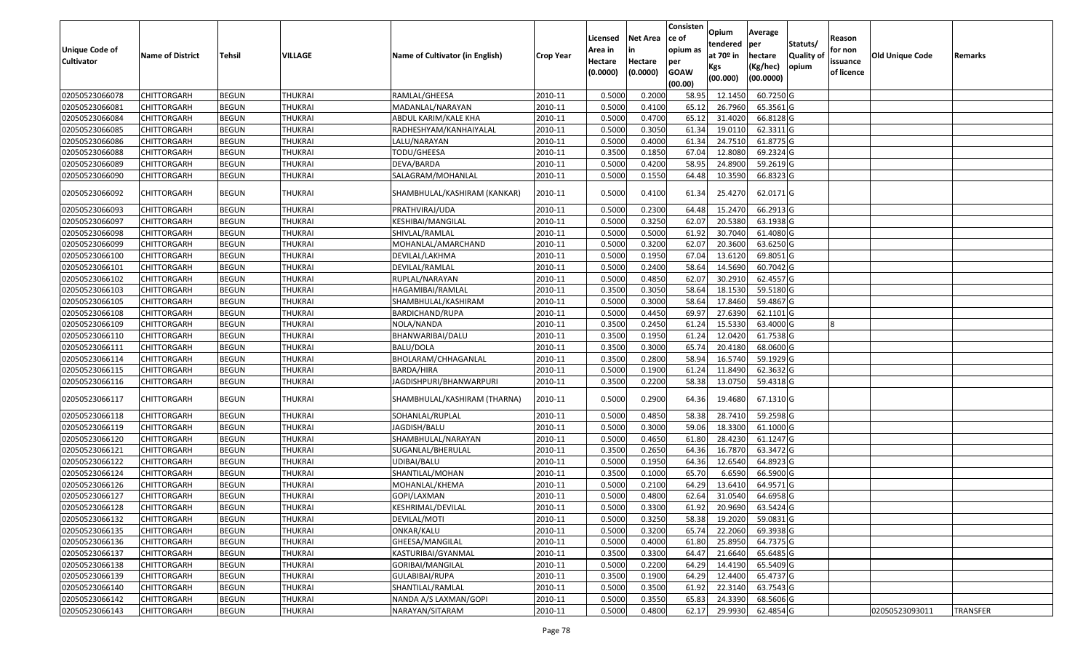|                                            |                         |               |                |                                 |                  |                    |                 | Consisten          | Opium       | Average     |                  |                     |                        |                 |
|--------------------------------------------|-------------------------|---------------|----------------|---------------------------------|------------------|--------------------|-----------------|--------------------|-------------|-------------|------------------|---------------------|------------------------|-----------------|
|                                            |                         |               |                |                                 |                  | Licensed           | <b>Net Area</b> | ce of              | tendered    | per         | Statuts/         | Reason              |                        |                 |
| <b>Unique Code of</b><br><b>Cultivator</b> | <b>Name of District</b> | <b>Tehsil</b> | VILLAGE        | Name of Cultivator (in English) | <b>Crop Year</b> | Area in<br>Hectare | Hectare         | opium as           | at $70°$ in | hectare     | <b>Quality o</b> | for non<br>issuance | <b>Old Unique Code</b> | Remarks         |
|                                            |                         |               |                |                                 |                  | (0.0000)           | (0.0000)        | per<br><b>GOAW</b> | Kgs         | (Kg/hec)    | opium            | of licence          |                        |                 |
|                                            |                         |               |                |                                 |                  |                    |                 | (00.00)            | (00.000)    | (00.0000)   |                  |                     |                        |                 |
| 02050523066078                             | CHITTORGARH             | <b>BEGUN</b>  | <b>THUKRAI</b> | RAMLAL/GHEESA                   | 2010-11          | 0.5000             | 0.2000          | 58.95              | 12.145      | 60.7250 G   |                  |                     |                        |                 |
| 02050523066081                             | CHITTORGARH             | <b>BEGUN</b>  | <b>THUKRAI</b> | MADANLAL/NARAYAN                | 2010-11          | 0.5000             | 0.4100          | 65.12              | 26.7960     | 65.3561G    |                  |                     |                        |                 |
| 02050523066084                             | CHITTORGARH             | <b>BEGUN</b>  | <b>THUKRAI</b> | ABDUL KARIM/KALE KHA            | 2010-11          | 0.5000             | 0.4700          | 65.12              | 31.4020     | 66.8128 G   |                  |                     |                        |                 |
| 02050523066085                             | CHITTORGARH             | <b>BEGUN</b>  | <b>THUKRAI</b> | RADHESHYAM/KANHAIYALAL          | 2010-11          | 0.5000             | 0.3050          | 61.34              | 19.0110     | 62.3311 G   |                  |                     |                        |                 |
| 02050523066086                             | CHITTORGARH             | <b>BEGUN</b>  | <b>THUKRAI</b> | LALU/NARAYAN                    | 2010-11          | 0.5000             | 0.4000          | 61.34              | 24.7510     | 61.8775 G   |                  |                     |                        |                 |
| 02050523066088                             | CHITTORGARH             | <b>BEGUN</b>  | THUKRAI        | TODU/GHEESA                     | 2010-11          | 0.3500             | 0.1850          | 67.04              | 12.8080     | 69.2324 G   |                  |                     |                        |                 |
| 02050523066089                             | CHITTORGARH             | <b>BEGUN</b>  | THUKRAI        | DEVA/BARDA                      | 2010-11          | 0.5000             | 0.4200          | 58.95              | 24.8900     | 59.2619 G   |                  |                     |                        |                 |
| 02050523066090                             | CHITTORGARH             | <b>BEGUN</b>  | <b>THUKRAI</b> | SALAGRAM/MOHANLAL               | 2010-11          | 0.5000             | 0.1550          | 64.48              | 10.3590     | 66.8323 G   |                  |                     |                        |                 |
| 02050523066092                             | CHITTORGARH             | <b>BEGUN</b>  | <b>THUKRAI</b> | SHAMBHULAL/KASHIRAM (KANKAR)    | 2010-11          | 0.5000             | 0.4100          | 61.34              | 25.4270     | 62.0171 G   |                  |                     |                        |                 |
| 02050523066093                             | <b>CHITTORGARH</b>      | <b>BEGUN</b>  | THUKRAI        | PRATHVIRAJ/UDA                  | 2010-11          | 0.5000             | 0.2300          | 64.48              | 15.2470     | 66.2913 G   |                  |                     |                        |                 |
| 02050523066097                             | CHITTORGARH             | <b>BEGUN</b>  | <b>THUKRAI</b> | KESHIBAI/MANGILAL               | 2010-11          | 0.5000             | 0.3250          | 62.07              | 20.5380     | 63.1938 G   |                  |                     |                        |                 |
| 02050523066098                             | <b>CHITTORGARH</b>      | <b>BEGUN</b>  | <b>THUKRAI</b> | SHIVLAL/RAMLAL                  | 2010-11          | 0.5000             | 0.5000          | 61.92              | 30.7040     | 61.4080 G   |                  |                     |                        |                 |
| 02050523066099                             | CHITTORGARH             | <b>BEGUN</b>  | <b>THUKRAI</b> | MOHANLAL/AMARCHAND              | 2010-11          | 0.5000             | 0.3200          | 62.07              | 20.3600     | 63.6250 G   |                  |                     |                        |                 |
| 02050523066100                             | CHITTORGARH             | <b>BEGUN</b>  | THUKRAI        | DEVILAL/LAKHMA                  | 2010-11          | 0.5000             | 0.1950          | 67.04              | 13.6120     | 69.8051G    |                  |                     |                        |                 |
| 02050523066101                             | CHITTORGARH             | <b>BEGUN</b>  | <b>THUKRAI</b> | DEVILAL/RAMLAL                  | 2010-11          | 0.5000             | 0.2400          | 58.64              | 14.5690     | 60.7042 G   |                  |                     |                        |                 |
| 02050523066102                             | CHITTORGARH             | <b>BEGUN</b>  | <b>THUKRAI</b> | RUPLAL/NARAYAN                  | 2010-11          | 0.5000             | 0.4850          | 62.07              | 30.2910     | 62.4557 G   |                  |                     |                        |                 |
| 02050523066103                             | CHITTORGARH             | <b>BEGUN</b>  | <b>THUKRAI</b> | HAGAMIBAI/RAMLAL                | 2010-11          | 0.3500             | 0.3050          | 58.64              | 18.1530     | 59.5180 G   |                  |                     |                        |                 |
| 02050523066105                             | CHITTORGARH             | <b>BEGUN</b>  | <b>THUKRAI</b> | SHAMBHULAL/KASHIRAM             | 2010-11          | 0.5000             | 0.3000          | 58.64              | 17.8460     | 59.4867 G   |                  |                     |                        |                 |
| 02050523066108                             | CHITTORGARH             | <b>BEGUN</b>  | <b>THUKRAI</b> | BARDICHAND/RUPA                 | 2010-11          | 0.5000             | 0.4450          | 69.97              | 27.6390     | $62.1101$ G |                  |                     |                        |                 |
| 02050523066109                             | CHITTORGARH             | <b>BEGUN</b>  | <b>THUKRAI</b> | NOLA/NANDA                      | 2010-11          | 0.3500             | 0.2450          | 61.24              | 15.5330     | 63.4000 G   |                  |                     |                        |                 |
| 02050523066110                             | CHITTORGARH             | <b>BEGUN</b>  | <b>THUKRAI</b> | BHANWARIBAI/DALU                | 2010-11          | 0.3500             | 0.1950          | 61.24              | 12.0420     | 61.7538 G   |                  |                     |                        |                 |
| 02050523066111                             | CHITTORGARH             | <b>BEGUN</b>  | <b>THUKRAI</b> | BALU/DOLA                       | 2010-11          | 0.3500             | 0.3000          | 65.7               | 20.4180     | 68.0600 G   |                  |                     |                        |                 |
| 02050523066114                             | CHITTORGARH             | <b>BEGUN</b>  | <b>THUKRAI</b> | BHOLARAM/CHHAGANLAL             | 2010-11          | 0.3500             | 0.2800          | 58.94              | 16.5740     | 59.1929 G   |                  |                     |                        |                 |
| 02050523066115                             | CHITTORGARH             | <b>BEGUN</b>  | <b>THUKRAI</b> | BARDA/HIRA                      | 2010-11          | 0.5000             | 0.1900          | 61.24              | 11.8490     | 62.3632 G   |                  |                     |                        |                 |
| 02050523066116                             | CHITTORGARH             | <b>BEGUN</b>  | <b>THUKRAI</b> | JAGDISHPURI/BHANWARPURI         | 2010-11          | 0.3500             | 0.2200          | 58.38              | 13.075      | 59.4318 G   |                  |                     |                        |                 |
| 02050523066117                             | CHITTORGARH             | <b>BEGUN</b>  | THUKRAI        | SHAMBHULAL/KASHIRAM (THARNA)    | 2010-11          | 0.5000             | 0.2900          | 64.36              | 19.4680     | 67.1310 G   |                  |                     |                        |                 |
| 02050523066118                             | <b>CHITTORGARH</b>      | <b>BEGUN</b>  | <b>THUKRAI</b> | SOHANLAL/RUPLAL                 | 2010-11          | 0.5000             | 0.4850          | 58.38              | 28.7410     | 59.2598 G   |                  |                     |                        |                 |
| 02050523066119                             | CHITTORGARH             | <b>BEGUN</b>  | <b>THUKRAI</b> | JAGDISH/BALU                    | 2010-11          | 0.5000             | 0.3000          | 59.06              | 18.3300     | 61.1000 G   |                  |                     |                        |                 |
| 02050523066120                             | CHITTORGARH             | <b>BEGUN</b>  | <b>THUKRAI</b> | SHAMBHULAL/NARAYAN              | 2010-11          | 0.5000             | 0.4650          | 61.80              | 28.4230     | 61.1247 G   |                  |                     |                        |                 |
| 02050523066121                             | CHITTORGARH             | <b>BEGUN</b>  | <b>THUKRAI</b> | SUGANLAL/BHERULAL               | 2010-11          | 0.3500             | 0.2650          | 64.36              | 16.7870     | 63.3472 G   |                  |                     |                        |                 |
| 02050523066122                             | CHITTORGARH             | <b>BEGUN</b>  | <b>THUKRAI</b> | UDIBAI/BALU                     | 2010-11          | 0.5000             | 0.1950          | 64.36              | 12.6540     | 64.8923 G   |                  |                     |                        |                 |
| 02050523066124                             | <b>CHITTORGARH</b>      | <b>BEGUN</b>  | <b>THUKRAI</b> | SHANTILAL/MOHAN                 | 2010-11          | 0.3500             | 0.1000          | 65.70              | 6.6590      | 66.5900 G   |                  |                     |                        |                 |
| 02050523066126                             | CHITTORGARH             | <b>BEGUN</b>  | THUKRAI        | MOHANLAL/KHEMA                  | 2010-11          | 0.500              | 0.2100          | 64.29              | 13.6410     | 64.9571 G   |                  |                     |                        |                 |
| 02050523066127                             | CHITTORGARH             | <b>BEGUN</b>  | <b>THUKRAI</b> | GOPI/LAXMAN                     | 2010-11          | 0.5000             | 0.4800          | 62.64              | 31.0540     | 64.6958 G   |                  |                     |                        |                 |
| 02050523066128                             | <b>CHITTORGARH</b>      | <b>BEGUN</b>  | <b>THUKRAI</b> | KESHRIMAL/DEVILAL               | 2010-11          | 0.5000             | 0.3300          | 61.92              | 20.9690     | 63.5424 G   |                  |                     |                        |                 |
| 02050523066132                             | <b>CHITTORGARH</b>      | <b>BEGUN</b>  | THUKRAI        | DEVILAL/MOTI                    | 2010-11          | 0.5000             | 0.3250          | 58.38              | 19.2020     | 59.0831 G   |                  |                     |                        |                 |
| 02050523066135                             | <b>CHITTORGARH</b>      | <b>BEGUN</b>  | <b>THUKRAI</b> | ONKAR/KALU                      | 2010-11          | 0.5000             | 0.3200          | 65.74              | 22.2060     | 69.3938 G   |                  |                     |                        |                 |
| 02050523066136                             | <b>CHITTORGARH</b>      | <b>BEGUN</b>  | <b>THUKRAI</b> | GHEESA/MANGILAL                 | 2010-11          | 0.5000             | 0.4000          | 61.80              | 25.8950     | 64.7375 G   |                  |                     |                        |                 |
| 02050523066137                             | <b>CHITTORGARH</b>      | <b>BEGUN</b>  | <b>THUKRAI</b> | KASTURIBAI/GYANMAL              | 2010-11          | 0.3500             | 0.3300          | 64.47              | 21.6640     | $65.6485$ G |                  |                     |                        |                 |
| 02050523066138                             | <b>CHITTORGARH</b>      | <b>BEGUN</b>  | <b>THUKRAI</b> | GORIBAI/MANGILAL                | 2010-11          | 0.5000             | 0.2200          | 64.29              | 14.4190     | 65.5409 G   |                  |                     |                        |                 |
| 02050523066139                             | <b>CHITTORGARH</b>      | <b>BEGUN</b>  | <b>THUKRAI</b> | GULABIBAI/RUPA                  | 2010-11          | 0.3500             | 0.1900          | 64.29              | 12.4400     | 65.4737 G   |                  |                     |                        |                 |
| 02050523066140                             | <b>CHITTORGARH</b>      | <b>BEGUN</b>  | <b>THUKRAI</b> | SHANTILAL/RAMLAL                | 2010-11          | 0.5000             | 0.3500          | 61.92              | 22.3140     | 63.7543 G   |                  |                     |                        |                 |
| 02050523066142                             | <b>CHITTORGARH</b>      | <b>BEGUN</b>  | <b>THUKRAI</b> | NANDA A/S LAXMAN/GOPI           | 2010-11          | 0.5000             | 0.3550          | 65.83              | 24.3390     | 68.5606 G   |                  |                     |                        |                 |
| 02050523066143                             | <b>CHITTORGARH</b>      | <b>BEGUN</b>  | <b>THUKRAI</b> | NARAYAN/SITARAM                 | 2010-11          | 0.5000             | 0.4800          | 62.17              | 29.9930     | 62.4854 G   |                  |                     | 02050523093011         | <b>TRANSFER</b> |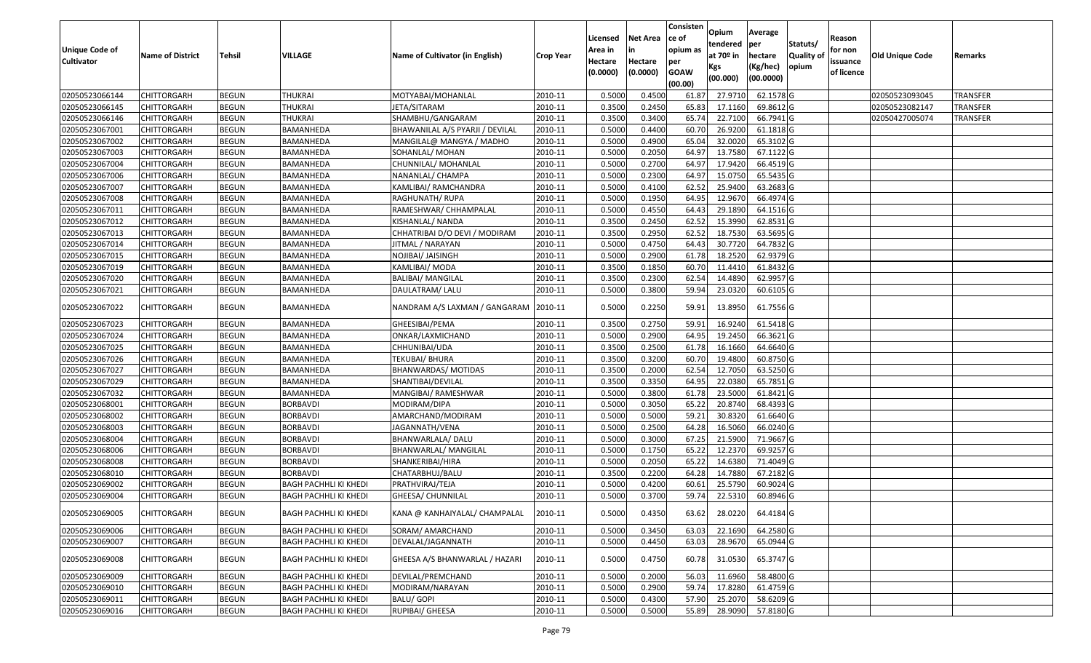| <b>Unique Code of</b> |                         |               |                              |                                 |                  | Licensed<br>Area in | <b>Net Area</b>     | Consisten<br>ce of<br>opium as | Opium<br>tendered              | Average<br>per                   | Statuts/                  | Reason<br>for non      |                        |                 |
|-----------------------|-------------------------|---------------|------------------------------|---------------------------------|------------------|---------------------|---------------------|--------------------------------|--------------------------------|----------------------------------|---------------------------|------------------------|------------------------|-----------------|
| <b>Cultivator</b>     | <b>Name of District</b> | <b>Tehsil</b> | VILLAGE                      | Name of Cultivator (in English) | <b>Crop Year</b> | Hectare<br>(0.0000) | Hectare<br>(0.0000) | per<br><b>GOAW</b><br>(00.00)  | at $70°$ in<br>Kgs<br>(00.000) | hectare<br>(Kg/hec)<br>(00.0000) | <b>Quality o</b><br>opium | issuance<br>of licence | <b>Old Unique Code</b> | Remarks         |
| 02050523066144        | CHITTORGARH             | <b>BEGUN</b>  | <b>THUKRAI</b>               | MOTYABAI/MOHANLAL               | 2010-11          | 0.5000              | 0.4500              | 61.87                          | 27.9710                        | 62.1578 G                        |                           |                        | 02050523093045         | <b>TRANSFER</b> |
| 02050523066145        | CHITTORGARH             | <b>BEGUN</b>  | <b>THUKRAI</b>               | JETA/SITARAM                    | 2010-11          | 0.3500              | 0.2450              | 65.83                          | 17.1160                        | 69.8612 G                        |                           |                        | 02050523082147         | <b>TRANSFER</b> |
| 02050523066146        | CHITTORGARH             | <b>BEGUN</b>  | THUKRAI                      | SHAMBHU/GANGARAM                | 2010-11          | 0.3500              | 0.3400              | 65.74                          | 22.7100                        | 66.7941 G                        |                           |                        | 02050427005074         | TRANSFER        |
| 02050523067001        | CHITTORGARH             | <b>BEGUN</b>  | BAMANHEDA                    | BHAWANILAL A/S PYARJI / DEVILAL | 2010-11          | 0.5000              | 0.4400              | 60.70                          | 26.9200                        | 61.1818 G                        |                           |                        |                        |                 |
| 02050523067002        | CHITTORGARH             | <b>BEGUN</b>  | BAMANHEDA                    | MANGILAL@ MANGYA / MADHO        | 2010-11          | 0.5000              | 0.4900              | 65.04                          | 32.002                         | 65.3102 G                        |                           |                        |                        |                 |
| 02050523067003        | CHITTORGARH             | <b>BEGUN</b>  | BAMANHEDA                    | SOHANLAL/ MOHAN                 | 2010-11          | 0.5000              | 0.2050              | 64.97                          | 13.7580                        | 67.1122 G                        |                           |                        |                        |                 |
| 02050523067004        | CHITTORGARH             | <b>BEGUN</b>  | BAMANHEDA                    | CHUNNILAL/ MOHANLAL             | 2010-11          | 0.5000              | 0.2700              | 64.97                          | 17.9420                        | 66.4519 G                        |                           |                        |                        |                 |
| 02050523067006        | <b>CHITTORGARH</b>      | <b>BEGUN</b>  | BAMANHEDA                    | NANANLAL/ CHAMPA                | 2010-11          | 0.5000              | 0.2300              | 64.97                          | 15.075                         | 65.5435 G                        |                           |                        |                        |                 |
| 02050523067007        | <b>CHITTORGARH</b>      | <b>BEGUN</b>  | BAMANHEDA                    | KAMLIBAI/ RAMCHANDRA            | 2010-11          | 0.5000              | 0.4100              | 62.52                          | 25.9400                        | 63.2683 G                        |                           |                        |                        |                 |
| 02050523067008        | CHITTORGARH             | <b>BEGUN</b>  | BAMANHEDA                    | RAGHUNATH/RUPA                  | 2010-11          | 0.5000              | 0.1950              | 64.95                          | 12.967                         | 66.4974 G                        |                           |                        |                        |                 |
| 02050523067011        | CHITTORGARH             | <b>BEGUN</b>  | BAMANHEDA                    | RAMESHWAR/ CHHAMPALAL           | 2010-11          | 0.5000              | 0.4550              | 64.43                          | 29.1890                        | 64.1516 G                        |                           |                        |                        |                 |
| 02050523067012        | <b>CHITTORGARH</b>      | <b>BEGUN</b>  | BAMANHEDA                    | KISHANLAL/ NANDA                | 2010-11          | 0.3500              | 0.2450              | 62.52                          | 15.3990                        | 62.8531G                         |                           |                        |                        |                 |
| 02050523067013        | <b>CHITTORGARH</b>      | <b>BEGUN</b>  | BAMANHEDA                    | CHHATRIBAI D/O DEVI / MODIRAM   | 2010-11          | 0.3500              | 0.2950              | 62.52                          | 18.7530                        | 63.5695 G                        |                           |                        |                        |                 |
| 02050523067014        | <b>CHITTORGARH</b>      | <b>BEGUN</b>  | BAMANHEDA                    | JITMAL / NARAYAN                | 2010-11          | 0.5000              | 0.4750              | 64.43                          | 30.7720                        | 64.7832 G                        |                           |                        |                        |                 |
| 02050523067015        | CHITTORGARH             | <b>BEGUN</b>  | BAMANHEDA                    | NOJIBAI/ JAISINGH               | 2010-11          | 0.5000              | 0.2900              | 61.78                          | 18.2520                        | 62.9379 G                        |                           |                        |                        |                 |
| 02050523067019        | <b>CHITTORGARH</b>      | <b>BEGUN</b>  | BAMANHEDA                    | KAMLIBAI/ MODA                  | 2010-11          | 0.3500              | 0.1850              | 60.70                          | 11.4410                        | 61.8432 G                        |                           |                        |                        |                 |
| 02050523067020        | CHITTORGARH             | <b>BEGUN</b>  | BAMANHEDA                    | <b>BALIBAI/ MANGILAL</b>        | 2010-11          | 0.3500              | 0.2300              | 62.54                          | 14.4890                        | 62.9957 G                        |                           |                        |                        |                 |
| 02050523067021        | CHITTORGARH             | <b>BEGUN</b>  | BAMANHEDA                    | DAULATRAM/ LALU                 | 2010-11          | 0.5000              | 0.3800              | 59.94                          | 23.0320                        | 60.6105 G                        |                           |                        |                        |                 |
| 02050523067022        | CHITTORGARH             | <b>BEGUN</b>  | BAMANHEDA                    | NANDRAM A/S LAXMAN / GANGARAM   | 2010-11          | 0.5000              | 0.2250              | 59.91                          | 13.8950                        | 61.7556 G                        |                           |                        |                        |                 |
| 02050523067023        | CHITTORGARH             | <b>BEGUN</b>  | BAMANHEDA                    | GHEESIBAI/PEMA                  | 2010-11          | 0.3500              | 0.2750              | 59.91                          | 16.9240                        | 61.5418 G                        |                           |                        |                        |                 |
| 02050523067024        | CHITTORGARH             | <b>BEGUN</b>  | BAMANHEDA                    | ONKAR/LAXMICHAND                | 2010-11          | 0.5000              | 0.2900              | 64.95                          | 19.2450                        | 66.3621 G                        |                           |                        |                        |                 |
| 02050523067025        | CHITTORGARH             | <b>BEGUN</b>  | BAMANHEDA                    | CHHUNIBAI/UDA                   | 2010-11          | 0.3500              | 0.2500              | 61.78                          | 16.1660                        | 64.6640 G                        |                           |                        |                        |                 |
| 02050523067026        | CHITTORGARH             | <b>BEGUN</b>  | BAMANHEDA                    | TEKUBAI/ BHURA                  | 2010-11          | 0.3500              | 0.3200              | 60.70                          | 19.4800                        | 60.8750 G                        |                           |                        |                        |                 |
| 02050523067027        | CHITTORGARH             | <b>BEGUN</b>  | BAMANHEDA                    | BHANWARDAS/ MOTIDAS             | 2010-11          | 0.3500              | 0.2000              | 62.54                          | 12.7050                        | 63.5250 G                        |                           |                        |                        |                 |
| 02050523067029        | CHITTORGARH             | <b>BEGUN</b>  | BAMANHEDA                    | SHANTIBAI/DEVILAL               | 2010-11          | 0.3500              | 0.3350              | 64.95                          | 22.0380                        | 65.7851 G                        |                           |                        |                        |                 |
| 02050523067032        | CHITTORGARH             | <b>BEGUN</b>  | BAMANHEDA                    | MANGIBAI/ RAMESHWAR             | 2010-11          | 0.5000              | 0.3800              | 61.78                          | 23.5000                        | 61.8421 G                        |                           |                        |                        |                 |
| 02050523068001        | CHITTORGARH             | <b>BEGUN</b>  | <b>BORBAVDI</b>              | MODIRAM/DIPA                    | 2010-11          | 0.5000              | 0.3050              | 65.22                          | 20.8740                        | 68.4393 G                        |                           |                        |                        |                 |
| 02050523068002        | <b>CHITTORGARH</b>      | <b>BEGUN</b>  | <b>BORBAVDI</b>              | AMARCHAND/MODIRAM               | 2010-11          | 0.5000              | 0.5000              | 59.2                           | 30.8320                        | 61.6640 G                        |                           |                        |                        |                 |
| 02050523068003        | CHITTORGARH             | <b>BEGUN</b>  | <b>BORBAVDI</b>              | JAGANNATH/VENA                  | 2010-11          | 0.5000              | 0.2500              | 64.28                          | 16.5060                        | 66.0240 G                        |                           |                        |                        |                 |
| 02050523068004        | CHITTORGARH             | <b>BEGUN</b>  | <b>BORBAVDI</b>              | BHANWARLALA/ DALU               | 2010-11          | 0.5000              | 0.3000              | 67.25                          | 21.5900                        | 71.9667 G                        |                           |                        |                        |                 |
| 02050523068006        | CHITTORGARH             | <b>BEGUN</b>  | <b>BORBAVDI</b>              | BHANWARLAL/ MANGILAL            | 2010-11          | 0.5000              | 0.1750              | 65.22                          | 12.2370                        | 69.9257 G                        |                           |                        |                        |                 |
| 02050523068008        | CHITTORGARH             | <b>BEGUN</b>  | <b>BORBAVDI</b>              | SHANKERIBAI/HIRA                | 2010-11          | 0.5000              | 0.2050              | 65.22                          | 14.6380                        | 71.4049 G                        |                           |                        |                        |                 |
| 02050523068010        | <b>CHITTORGARH</b>      | <b>BEGUN</b>  | <b>BORBAVDI</b>              | CHATARBHUJ/BALU                 | 2010-11          | 0.3500              | 0.2200              | 64.28                          | 14.7880                        | 67.2182 G                        |                           |                        |                        |                 |
| 02050523069002        | CHITTORGARH             | <b>BEGUN</b>  | <b>BAGH PACHHLI KI KHEDI</b> | PRATHVIRAJ/TEJA                 | 2010-11          | 0.500               | 0.4200              | 60.6                           | 25.5790                        | 60.9024 G                        |                           |                        |                        |                 |
| 02050523069004        | CHITTORGARH             | <b>BEGUN</b>  | BAGH PACHHLI KI KHEDI        | GHEESA/ CHUNNILAL               | 2010-11          | 0.5000              | 0.3700              | 59.74                          | 22.5310                        | 60.8946 G                        |                           |                        |                        |                 |
| 02050523069005        | <b>CHITTORGARH</b>      | <b>BEGUN</b>  | <b>BAGH PACHHLI KI KHEDI</b> | KANA @ KANHAIYALAL/ CHAMPALAL   | 2010-11          | 0.5000              | 0.4350              | 63.62                          | 28.0220                        | 64.4184 G                        |                           |                        |                        |                 |
| 02050523069006        | <b>CHITTORGARH</b>      | <b>BEGUN</b>  | <b>BAGH PACHHLI KI KHEDI</b> | SORAM/ AMARCHAND                | 2010-11          | 0.5000              | 0.3450              | 63.03                          | 22.1690                        | 64.2580 G                        |                           |                        |                        |                 |
| 02050523069007        | <b>CHITTORGARH</b>      | <b>BEGUN</b>  | <b>BAGH PACHHLI KI KHEDI</b> | DEVALAL/JAGANNATH               | 2010-11          | 0.5000              | 0.4450              | 63.03                          | 28.9670                        | 65.0944 G                        |                           |                        |                        |                 |
| 02050523069008        | CHITTORGARH             | <b>BEGUN</b>  | <b>BAGH PACHHLI KI KHEDI</b> | GHEESA A/S BHANWARLAL / HAZARI  | 2010-11          | 0.5000              | 0.4750              | 60.78                          | 31.0530                        | 65.3747 G                        |                           |                        |                        |                 |
| 02050523069009        | <b>CHITTORGARH</b>      | <b>BEGUN</b>  | <b>BAGH PACHHLI KI KHEDI</b> | DEVILAL/PREMCHAND               | 2010-11          | 0.5000              | 0.2000              | 56.03                          | 11.6960                        | 58.4800 G                        |                           |                        |                        |                 |
| 02050523069010        | <b>CHITTORGARH</b>      | <b>BEGUN</b>  | <b>BAGH PACHHLI KI KHEDI</b> | MODIRAM/NARAYAN                 | 2010-11          | 0.5000              | 0.2900              | 59.74                          | 17.8280                        | 61.4759 G                        |                           |                        |                        |                 |
| 02050523069011        | <b>CHITTORGARH</b>      | <b>BEGUN</b>  | BAGH PACHHLI KI KHEDI        | BALU/ GOPI                      | 2010-11          | 0.5000              | 0.4300              | 57.90                          | 25.2070                        | 58.6209 G                        |                           |                        |                        |                 |
| 02050523069016        | CHITTORGARH             | <b>BEGUN</b>  | <b>BAGH PACHHLI KI KHEDI</b> | RUPIBAI/ GHEESA                 | 2010-11          | 0.5000              | 0.5000              | 55.89                          | 28.9090                        | 57.8180 G                        |                           |                        |                        |                 |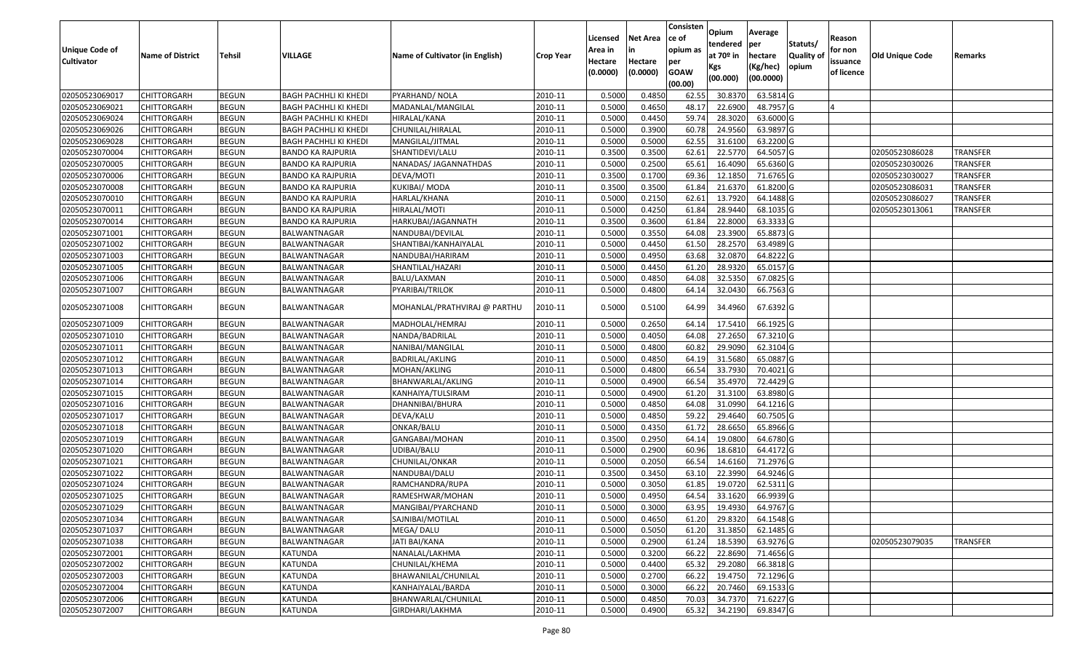| <b>Unique Code of</b><br><b>Cultivator</b> | <b>Name of District</b> | <b>Tehsil</b> | VILLAGE                      | Name of Cultivator (in English) | <b>Crop Year</b> | Licensed<br>Area in<br>Hectare<br>(0.0000) | <b>Net Area</b><br>in<br>Hectare<br>(0.0000) | Consisten<br>ce of<br>opium as<br>per<br><b>GOAW</b><br>(00.00) | Opium<br>tendered<br>at $70°$ in<br>Kgs<br>(00.000) | Average<br>per<br>hectare<br>(Kg/hec)<br>(00.0000) | Statuts/<br>Quality of<br>opium | Reason<br>for non<br>issuance<br>of licence | <b>Old Unique Code</b> | Remarks         |
|--------------------------------------------|-------------------------|---------------|------------------------------|---------------------------------|------------------|--------------------------------------------|----------------------------------------------|-----------------------------------------------------------------|-----------------------------------------------------|----------------------------------------------------|---------------------------------|---------------------------------------------|------------------------|-----------------|
| 02050523069017                             | <b>CHITTORGARH</b>      | <b>BEGUN</b>  | <b>BAGH PACHHLI KI KHEDI</b> | PYARHAND/ NOLA                  | 2010-11          | 0.5000                                     | 0.4850                                       | 62.55                                                           | 30.837                                              | 63.5814 G                                          |                                 |                                             |                        |                 |
| 02050523069021                             | CHITTORGARH             | <b>BEGUN</b>  | <b>BAGH PACHHLI KI KHEDI</b> | MADANLAL/MANGILAL               | 2010-11          | 0.5000                                     | 0.4650                                       | 48.1                                                            | 22.6900                                             | 48.7957 G                                          |                                 |                                             |                        |                 |
| 02050523069024                             | CHITTORGARH             | <b>BEGUN</b>  | BAGH PACHHLI KI KHEDI        | HIRALAL/KANA                    | 2010-11          | 0.5000                                     | 0.4450                                       | 59.74                                                           | 28.3020                                             | 63.6000 G                                          |                                 |                                             |                        |                 |
| 02050523069026                             | <b>CHITTORGARH</b>      | <b>BEGUN</b>  | <b>BAGH PACHHLI KI KHEDI</b> | CHUNILAL/HIRALAL                | 2010-11          | 0.5000                                     | 0.3900                                       | 60.78                                                           | 24.9560                                             | 63.9897 G                                          |                                 |                                             |                        |                 |
| 02050523069028                             | <b>CHITTORGARH</b>      | <b>BEGUN</b>  | <b>BAGH PACHHLI KI KHEDI</b> | MANGILAL/JITMAL                 | 2010-11          | 0.5000                                     | 0.5000                                       | 62.55                                                           | 31.6100                                             | 63.2200 G                                          |                                 |                                             |                        |                 |
| 02050523070004                             | CHITTORGARH             | <b>BEGUN</b>  | <b>BANDO KA RAJPURIA</b>     | SHANTIDEVI/LALU                 | 2010-11          | 0.350                                      | 0.3500                                       | 62.6                                                            | 22.5770                                             | 64.5057 G                                          |                                 |                                             | 02050523086028         | TRANSFER        |
| 02050523070005                             | CHITTORGARH             | <b>BEGUN</b>  | <b>BANDO KA RAJPURIA</b>     | NANADAS/ JAGANNATHDAS           | 2010-11          | 0.5000                                     | 0.2500                                       | 65.61                                                           | 16.4090                                             | 65.6360 G                                          |                                 |                                             | 02050523030026         | <b>TRANSFER</b> |
| 02050523070006                             | <b>CHITTORGARH</b>      | <b>BEGUN</b>  | <b>BANDO KA RAJPURIA</b>     | DEVA/MOTI                       | 2010-11          | 0.3500                                     | 0.1700                                       | 69.36                                                           | 12.185                                              | 71.6765 G                                          |                                 |                                             | 02050523030027         | <b>TRANSFER</b> |
| 02050523070008                             | <b>CHITTORGARH</b>      | <b>BEGUN</b>  | <b>BANDO KA RAJPURIA</b>     | <b>KUKIBAI/ MODA</b>            | 2010-11          | 0.3500                                     | 0.3500                                       | 61.84                                                           | 21.6370                                             | 61.8200 G                                          |                                 |                                             | 02050523086031         | <b>TRANSFER</b> |
| 02050523070010                             | CHITTORGARH             | <b>BEGUN</b>  | <b>BANDO KA RAJPURIA</b>     | HARLAL/KHANA                    | 2010-11          | 0.5000                                     | 0.2150                                       | 62.6                                                            | 13.7920                                             | 64.1488 G                                          |                                 |                                             | 02050523086027         | <b>TRANSFER</b> |
| 02050523070011                             | <b>CHITTORGARH</b>      | <b>BEGUN</b>  | <b>BANDO KA RAJPURIA</b>     | HIRALAL/MOTI                    | 2010-11          | 0.5000                                     | 0.4250                                       | 61.84                                                           | 28.9440                                             | 68.1035 G                                          |                                 |                                             | 02050523013061         | <b>TRANSFER</b> |
| 02050523070014                             | CHITTORGARH             | <b>BEGUN</b>  | <b>BANDO KA RAJPURIA</b>     | HARKUBAI/JAGANNATH              | 2010-11          | 0.3500                                     | 0.3600                                       | 61.84                                                           | 22.8000                                             | 63.3333 G                                          |                                 |                                             |                        |                 |
| 02050523071001                             | CHITTORGARH             | <b>BEGUN</b>  | BALWANTNAGAR                 | NANDUBAI/DEVILAL                | 2010-11          | 0.5000                                     | 0.3550                                       | 64.08                                                           | 23.3900                                             | 65.8873 G                                          |                                 |                                             |                        |                 |
| 02050523071002                             | CHITTORGARH             | <b>BEGUN</b>  | BALWANTNAGAR                 | SHANTIBAI/KANHAIYALAL           | 2010-11          | 0.5000                                     | 0.4450                                       | 61.50                                                           | 28.2570                                             | 63.4989 G                                          |                                 |                                             |                        |                 |
| 02050523071003                             | CHITTORGARH             | <b>BEGUN</b>  | BALWANTNAGAR                 | NANDUBAI/HARIRAM                | 2010-11          | 0.5000                                     | 0.4950                                       | 63.68                                                           | 32.0870                                             | 64.8222 G                                          |                                 |                                             |                        |                 |
| 02050523071005                             | CHITTORGARH             | <b>BEGUN</b>  | BALWANTNAGAR                 | SHANTILAL/HAZARI                | 2010-11          | 0.5000                                     | 0.4450                                       | 61.20                                                           | 28.932                                              | 65.0157 G                                          |                                 |                                             |                        |                 |
| 02050523071006                             | CHITTORGARH             | <b>BEGUN</b>  | BALWANTNAGAR                 | BALU/LAXMAN                     | 2010-11          | 0.5000                                     | 0.4850                                       | 64.08                                                           | 32.5350                                             | 67.0825 G                                          |                                 |                                             |                        |                 |
| 02050523071007                             | CHITTORGARH             | <b>BEGUN</b>  | BALWANTNAGAR                 | PYARIBAI/TRILOK                 | 2010-11          | 0.5000                                     | 0.4800                                       | 64.14                                                           | 32.043                                              | 66.7563 G                                          |                                 |                                             |                        |                 |
| 02050523071008                             | CHITTORGARH             | <b>BEGUN</b>  | BALWANTNAGAR                 | MOHANLAL/PRATHVIRAJ @ PARTHU    | 2010-11          | 0.5000                                     | 0.5100                                       | 64.99                                                           | 34.4960                                             | 67.6392 G                                          |                                 |                                             |                        |                 |
| 02050523071009                             | CHITTORGARH             | <b>BEGUN</b>  | BALWANTNAGAR                 | MADHOLAL/HEMRAJ                 | 2010-11          | 0.500                                      | 0.2650                                       | 64.1                                                            | 17.541                                              | 66.1925 G                                          |                                 |                                             |                        |                 |
| 02050523071010                             | CHITTORGARH             | <b>BEGUN</b>  | BALWANTNAGAR                 | NANDA/BADRILAL                  | 2010-11          | 0.5000                                     | 0.4050                                       | 64.08                                                           | 27.2650                                             | 67.3210 G                                          |                                 |                                             |                        |                 |
| 02050523071011                             | CHITTORGARH             | <b>BEGUN</b>  | BALWANTNAGAR                 | NANIBAI/MANGILAL                | 2010-11          | 0.5000                                     | 0.4800                                       | 60.8                                                            | 29.9090                                             | 62.3104 G                                          |                                 |                                             |                        |                 |
| 02050523071012                             | CHITTORGARH             | <b>BEGUN</b>  | BALWANTNAGAR                 | BADRILAL/AKLING                 | 2010-11          | 0.5000                                     | 0.4850                                       | 64.19                                                           | 31.5680                                             | 65.0887 G                                          |                                 |                                             |                        |                 |
| 02050523071013                             | CHITTORGARH             | <b>BEGUN</b>  | BALWANTNAGAR                 | MOHAN/AKLING                    | 2010-11          | 0.5000                                     | 0.4800                                       | 66.54                                                           | 33.7930                                             | 70.4021 G                                          |                                 |                                             |                        |                 |
| 02050523071014                             | CHITTORGARH             | <b>BEGUN</b>  | BALWANTNAGAR                 | BHANWARLAL/AKLING               | 2010-11          | 0.5000                                     | 0.4900                                       | 66.54                                                           | 35.4970                                             | 72.4429 G                                          |                                 |                                             |                        |                 |
| 02050523071015                             | <b>CHITTORGARH</b>      | <b>BEGUN</b>  | BALWANTNAGAR                 | KANHAIYA/TULSIRAM               | 2010-11          | 0.5000                                     | 0.4900                                       | 61.20                                                           | 31.3100                                             | 63.8980 G                                          |                                 |                                             |                        |                 |
| 02050523071016                             | <b>CHITTORGARH</b>      | <b>BEGUN</b>  | BALWANTNAGAR                 | DHANNIBAI/BHURA                 | 2010-11          | 0.5000                                     | 0.4850                                       | 64.08                                                           | 31.0990                                             | 64.1216 G                                          |                                 |                                             |                        |                 |
| 02050523071017                             | <b>CHITTORGARH</b>      | <b>BEGUN</b>  | BALWANTNAGAR                 | DEVA/KALU                       | 2010-11          | 0.5000                                     | 0.4850                                       | 59.22                                                           | 29.4640                                             | 60.7505 G                                          |                                 |                                             |                        |                 |
| 02050523071018                             | <b>CHITTORGARH</b>      | <b>BEGUN</b>  | BALWANTNAGAR                 | ONKAR/BALU                      | 2010-11          | 0.5000                                     | 0.4350                                       | 61.72                                                           | 28.6650                                             | 65.8966 G                                          |                                 |                                             |                        |                 |
| 02050523071019                             | <b>CHITTORGARH</b>      | <b>BEGUN</b>  | BALWANTNAGAR                 | GANGABAI/MOHAN                  | 2010-11          | 0.3500                                     | 0.2950                                       | 64.1                                                            | 19.0800                                             | 64.6780 G                                          |                                 |                                             |                        |                 |
| 02050523071020                             | CHITTORGARH             | <b>BEGUN</b>  | BALWANTNAGAR                 | UDIBAI/BALU                     | 2010-11          | 0.5000                                     | 0.2900                                       | 60.96                                                           | 18.6810                                             | 64.4172 G                                          |                                 |                                             |                        |                 |
| 02050523071021                             | CHITTORGARH             | <b>BEGUN</b>  | BALWANTNAGAR                 | CHUNILAL/ONKAR                  | 2010-11          | 0.5000                                     | 0.2050                                       | 66.54                                                           | 14.6160                                             | 71.2976 G                                          |                                 |                                             |                        |                 |
| 02050523071022                             | <b>CHITTORGARH</b>      | <b>BEGUN</b>  | BALWANTNAGAR                 | NANDUBAI/DALU                   | 2010-11          | 0.3500                                     | 0.3450                                       | 63.10                                                           | 22.3990                                             | 64.9246 G                                          |                                 |                                             |                        |                 |
| 02050523071024                             | CHITTORGARH             | <b>BEGUN</b>  | BALWANTNAGAR                 | RAMCHANDRA/RUPA                 | 2010-11          | 0.500                                      | 0.3050                                       | 61.85                                                           | 19.0720                                             | 62.5311 G                                          |                                 |                                             |                        |                 |
| 02050523071025                             | CHITTORGARH             | <b>BEGUN</b>  | BALWANTNAGAR                 | RAMESHWAR/MOHAN                 | 2010-11          | 0.500                                      | 0.4950                                       | 64.54                                                           | 33.1620                                             | 66.9939 G                                          |                                 |                                             |                        |                 |
| 02050523071029                             | <b>CHITTORGARH</b>      | <b>BEGUN</b>  | BALWANTNAGAR                 | MANGIBAI/PYARCHAND              | 2010-11          | 0.5000                                     | 0.3000                                       | 63.95                                                           | 19.4930                                             | 64.9767 G                                          |                                 |                                             |                        |                 |
| 02050523071034                             | <b>CHITTORGARH</b>      | <b>BEGUN</b>  | <b>BALWANTNAGAR</b>          | SAJNIBAI/MOTILAL                | 2010-11          | 0.5000                                     | 0.4650                                       | 61.20                                                           | 29.8320                                             | 64.1548 G                                          |                                 |                                             |                        |                 |
| 02050523071037                             | <b>CHITTORGARH</b>      | <b>BEGUN</b>  | BALWANTNAGAR                 | MEGA/DALU                       | 2010-11          | 0.5000                                     | 0.5050                                       | 61.20                                                           | 31.3850                                             | 62.1485 G                                          |                                 |                                             |                        |                 |
| 02050523071038                             | <b>CHITTORGARH</b>      | <b>BEGUN</b>  | BALWANTNAGAR                 | JATI BAI/KANA                   | 2010-11          | 0.5000                                     | 0.2900                                       | 61.24                                                           | 18.5390                                             | $63.9276$ G                                        |                                 |                                             | 02050523079035         | <b>TRANSFER</b> |
| 02050523072001                             | <b>CHITTORGARH</b>      | <b>BEGUN</b>  | KATUNDA                      | NANALAL/LAKHMA                  | 2010-11          | 0.5000                                     | 0.3200                                       | 66.22                                                           | 22.8690                                             | 71.4656 G                                          |                                 |                                             |                        |                 |
| 02050523072002                             | <b>CHITTORGARH</b>      | <b>BEGUN</b>  | <b>KATUNDA</b>               | CHUNILAL/KHEMA                  | 2010-11          | 0.5000                                     | 0.4400                                       | 65.32                                                           | 29.2080                                             | 66.3818 G                                          |                                 |                                             |                        |                 |
| 02050523072003                             | <b>CHITTORGARH</b>      | <b>BEGUN</b>  | <b>KATUNDA</b>               | BHAWANILAL/CHUNILAL             | 2010-11          | 0.5000                                     | 0.2700                                       | 66.22                                                           | 19.4750                                             | 72.1296 G                                          |                                 |                                             |                        |                 |
| 02050523072004                             | <b>CHITTORGARH</b>      | <b>BEGUN</b>  | KATUNDA                      | KANHAIYALAL/BARDA               | 2010-11          | 0.5000                                     | 0.3000                                       | 66.22                                                           | 20.7460                                             | 69.1533 G                                          |                                 |                                             |                        |                 |
| 02050523072006                             | CHITTORGARH             | <b>BEGUN</b>  | KATUNDA                      | BHANWARLAL/CHUNILAL             | 2010-11          | 0.5000                                     | 0.4850                                       | 70.03                                                           | 34.7370                                             | 71.6227 G                                          |                                 |                                             |                        |                 |
| 02050523072007                             | <b>CHITTORGARH</b>      | <b>BEGUN</b>  | KATUNDA                      | GIRDHARI/LAKHMA                 | 2010-11          | 0.5000                                     | 0.4900                                       | 65.32                                                           | 34.2190                                             | 69.8347 G                                          |                                 |                                             |                        |                 |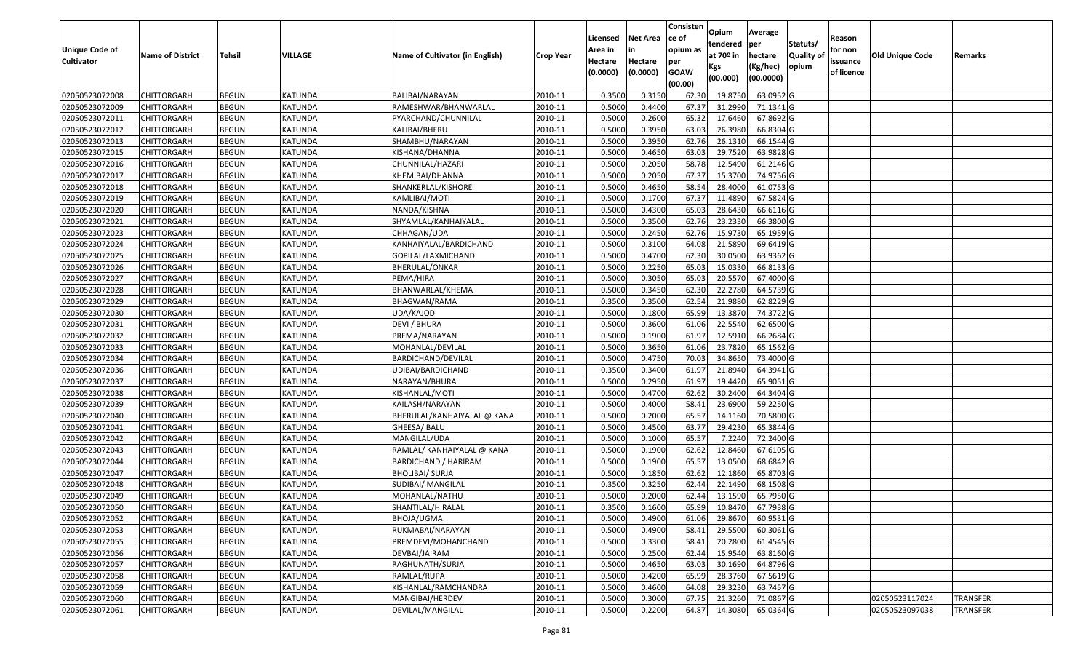|                                  |                            |                              |                    |                                   |                    | Licensed         | <b>Net Area</b>  | Consisten<br>ce of | Opium              | Average               |                  | Reason     |                 |                 |
|----------------------------------|----------------------------|------------------------------|--------------------|-----------------------------------|--------------------|------------------|------------------|--------------------|--------------------|-----------------------|------------------|------------|-----------------|-----------------|
| <b>Unique Code of</b>            |                            |                              |                    |                                   |                    | Area in          |                  | opium as           | tendered           | per                   | Statuts/         | for non    |                 |                 |
| <b>Cultivator</b>                | <b>Name of District</b>    | <b>Tehsil</b>                | VILLAGE            | Name of Cultivator (in English)   | <b>Crop Year</b>   | Hectare          | Hectare          | per                | at $70°$ in        | hectare               | <b>Quality o</b> | issuance   | Old Unique Code | Remarks         |
|                                  |                            |                              |                    |                                   |                    | (0.0000)         | (0.0000)         | <b>GOAW</b>        | Kgs                | (Kg/hec)              | opium            | of licence |                 |                 |
|                                  |                            |                              |                    |                                   |                    |                  |                  | (00.00)            | (00.000)           | (00.0000)             |                  |            |                 |                 |
| 02050523072008                   | CHITTORGARH                | <b>BEGUN</b>                 | KATUNDA            | BALIBAI/NARAYAN                   | 2010-11            | 0.3500           | 0.3150           | 62.30              | 19.875             | 63.0952 G             |                  |            |                 |                 |
| 02050523072009                   | CHITTORGARH                | <b>BEGUN</b>                 | KATUNDA            | RAMESHWAR/BHANWARLAL              | 2010-11            | 0.5000           | 0.4400           | 67.37              | 31.2990            | 71.1341 G             |                  |            |                 |                 |
| 02050523072011                   | CHITTORGARH                | <b>BEGUN</b>                 | KATUNDA            | PYARCHAND/CHUNNILAL               | 2010-11            | 0.5000           | 0.2600           | 65.32              | 17.6460            | 67.8692 G             |                  |            |                 |                 |
| 02050523072012                   | <b>CHITTORGARH</b>         | <b>BEGUN</b>                 | <b>KATUNDA</b>     | KALIBAI/BHERU                     | 2010-11            | 0.5000           | 0.3950           | 63.03              | 26.3980            | 66.8304 G             |                  |            |                 |                 |
| 02050523072013                   | CHITTORGARH                | <b>BEGUN</b>                 | <b>KATUNDA</b>     | SHAMBHU/NARAYAN                   | 2010-11            | 0.5000           | 0.3950           | 62.76              | 26.131             | 66.1544 G             |                  |            |                 |                 |
| 02050523072015                   | CHITTORGARH                | <b>BEGUN</b>                 | <b>KATUNDA</b>     | KISHANA/DHANNA                    | 2010-11            | 0.5000           | 0.4650           | 63.03              | 29.7520            | 63.9828 G             |                  |            |                 |                 |
| 02050523072016                   | CHITTORGARH                | <b>BEGUN</b>                 | <b>KATUNDA</b>     | CHUNNILAL/HAZARI                  | 2010-11            | 0.5000           | 0.2050           | 58.78              | 12.5490            | 61.2146 G             |                  |            |                 |                 |
| 02050523072017                   | CHITTORGARH                | <b>BEGUN</b>                 | <b>KATUNDA</b>     | KHEMIBAI/DHANNA                   | 2010-11            | 0.5000           | 0.2050           | 67.37              | 15.3700            | 74.9756 G             |                  |            |                 |                 |
| 02050523072018                   | CHITTORGARH                | <b>BEGUN</b>                 | <b>KATUNDA</b>     | SHANKERLAL/KISHORE                | 2010-11            | 0.5000           | 0.4650           | 58.54              | 28.4000            | 61.0753 G             |                  |            |                 |                 |
| 02050523072019                   | CHITTORGARH                | <b>BEGUN</b>                 | <b>KATUNDA</b>     | KAMLIBAI/MOTI                     | 2010-11            | 0.5000           | 0.1700           | 67.37              | 11.4890            | 67.5824 G             |                  |            |                 |                 |
| 02050523072020                   | CHITTORGARH                | <b>BEGUN</b>                 | <b>KATUNDA</b>     | NANDA/KISHNA                      | 2010-11            | 0.5000           | 0.4300           | 65.03              | 28.6430            | 66.6116 G             |                  |            |                 |                 |
| 02050523072021                   | CHITTORGARH                | <b>BEGUN</b>                 | KATUNDA            | SHYAMLAL/KANHAIYALAL              | 2010-11            | 0.5000           | 0.3500           | 62.76              | 23.2330            | 66.3800 G             |                  |            |                 |                 |
| 02050523072023                   | <b>CHITTORGARH</b>         | <b>BEGUN</b>                 | <b>KATUNDA</b>     | CHHAGAN/UDA                       | 2010-11            | 0.5000           | 0.2450           | 62.76              | 15.9730            | 65.1959 G             |                  |            |                 |                 |
| 02050523072024                   | <b>CHITTORGARH</b>         | <b>BEGUN</b>                 | KATUNDA            | KANHAIYALAL/BARDICHAND            | 2010-11            | 0.5000           | 0.3100           | 64.08              | 21.5890            | 69.6419 G             |                  |            |                 |                 |
| 02050523072025                   | CHITTORGARH                | <b>BEGUN</b>                 | KATUNDA            | GOPILAL/LAXMICHAND                | 2010-11            | 0.5000           | 0.4700           | 62.30              | 30.0500            | 63.9362 G             |                  |            |                 |                 |
| 02050523072026                   | <b>CHITTORGARH</b>         | <b>BEGUN</b>                 | KATUNDA            | BHERULAL/ONKAR                    | 2010-11            | 0.5000           | 0.2250           | 65.03              | 15.0330            | 66.8133 G             |                  |            |                 |                 |
| 02050523072027                   | CHITTORGARH                | <b>BEGUN</b>                 | KATUNDA            | PEMA/HIRA                         | 2010-11            | 0.5000           | 0.3050           | 65.03              | 20.5570            | 67.4000 G             |                  |            |                 |                 |
| 02050523072028                   | CHITTORGARH                | <b>BEGUN</b>                 | KATUNDA            | BHANWARLAL/KHEMA                  | 2010-11            | 0.5000           | 0.3450           | 62.30              | 22.2780            | 64.5739 G             |                  |            |                 |                 |
| 02050523072029                   | CHITTORGARH                | <b>BEGUN</b>                 | KATUNDA            | BHAGWAN/RAMA                      | 2010-11            | 0.3500           | 0.3500           | 62.54              | 21.9880            | 62.8229 G             |                  |            |                 |                 |
| 02050523072030                   | CHITTORGARH                | <b>BEGUN</b>                 | <b>KATUNDA</b>     | UDA/KAJOD                         | 2010-11            | 0.5000           | 0.1800           | 65.99              | 13.3870            | 74.3722 G             |                  |            |                 |                 |
| 02050523072031                   | CHITTORGARH                | <b>BEGUN</b>                 | <b>KATUNDA</b>     | DEVI / BHURA                      | 2010-11            | 0.5000           | 0.3600           | 61.06              | 22.5540            | 62.6500G              |                  |            |                 |                 |
| 02050523072032                   | CHITTORGARH                | <b>BEGUN</b>                 | KATUNDA            | PREMA/NARAYAN                     | 2010-11            | 0.500            | 0.1900           | 61.97              | 12.591             | 66.2684 G             |                  |            |                 |                 |
| 02050523072033                   | CHITTORGARH                | <b>BEGUN</b>                 | KATUNDA            | MOHANLAL/DEVILAL                  | 2010-11            | 0.5000           | 0.3650           | 61.06              | 23.7820            | 65.1562 G             |                  |            |                 |                 |
| 02050523072034                   | CHITTORGARH                | <b>BEGUN</b>                 | KATUNDA            | BARDICHAND/DEVILAL                | 2010-11            | 0.5000           | 0.4750<br>0.3400 | 70.03              | 34.865             | 73.4000 G             |                  |            |                 |                 |
| 02050523072036                   | CHITTORGARH                | <b>BEGUN</b>                 | <b>KATUNDA</b>     | UDIBAI/BARDICHAND                 | 2010-11            | 0.3500           |                  | 61.97              | 21.894             | 64.3941 G             |                  |            |                 |                 |
| 02050523072037<br>02050523072038 | CHITTORGARH                | <b>BEGUN</b><br><b>BEGUN</b> | KATUNDA            | NARAYAN/BHURA                     | 2010-11            | 0.5000<br>0.5000 | 0.2950<br>0.4700 | 61.97<br>62.62     | 19.4420<br>30.2400 | 65.9051G<br>64.3404 G |                  |            |                 |                 |
| 02050523072039                   | CHITTORGARH<br>CHITTORGARH | <b>BEGUN</b>                 | KATUNDA<br>KATUNDA | KISHANLAL/MOTI<br>KAILASH/NARAYAN | 2010-11<br>2010-11 | 0.5000           | 0.4000           | 58.41              | 23.6900            | 59.2250 G             |                  |            |                 |                 |
| 02050523072040                   | CHITTORGARH                | <b>BEGUN</b>                 | <b>KATUNDA</b>     | BHERULAL/KANHAIYALAL @ KANA       | 2010-11            | 0.5000           | 0.2000           | 65.57              | 14.1160            | 70.5800 G             |                  |            |                 |                 |
| 02050523072041                   | CHITTORGARH                | <b>BEGUN</b>                 | <b>KATUNDA</b>     | GHEESA/ BALU                      | 2010-11            | 0.5000           | 0.4500           | 63.77              | 29.4230            | 65.3844 G             |                  |            |                 |                 |
| 02050523072042                   | CHITTORGARH                | <b>BEGUN</b>                 | <b>KATUNDA</b>     | MANGILAL/UDA                      | 2010-11            | 0.5000           | 0.1000           | 65.57              | 7.2240             | 72.2400 G             |                  |            |                 |                 |
| 02050523072043                   | CHITTORGARH                | <b>BEGUN</b>                 | <b>KATUNDA</b>     | RAMLAL/ KANHAIYALAL @ KANA        | 2010-11            | 0.5000           | 0.1900           | 62.62              | 12.8460            | 67.6105 G             |                  |            |                 |                 |
| 02050523072044                   | CHITTORGARH                | <b>BEGUN</b>                 | <b>KATUNDA</b>     | BARDICHAND / HARIRAM              | 2010-11            | 0.5000           | 0.1900           | 65.57              | 13.0500            | 68.6842 G             |                  |            |                 |                 |
| 02050523072047                   | CHITTORGARH                | <b>BEGUN</b>                 | <b>KATUNDA</b>     | <b>BHOLIBAI/ SURJA</b>            | 2010-11            | 0.5000           | 0.1850           | 62.62              | 12.1860            | 65.8703 G             |                  |            |                 |                 |
| 02050523072048                   | CHITTORGARH                | <b>BEGUN</b>                 | <b>KATUNDA</b>     | SUDIBAI/ MANGILAL                 | 2010-11            | 0.350            | 0.3250           | 62.44              | 22.1490            | 68.1508 G             |                  |            |                 |                 |
| 02050523072049                   | CHITTORGARH                | <b>BEGUN</b>                 | KATUNDA            | MOHANLAL/NATHU                    | 2010-11            | 0.5000           | 0.2000           | 62.44              | 13.1590            | 65.7950 G             |                  |            |                 |                 |
| 02050523072050                   | <b>CHITTORGARH</b>         | <b>BEGUN</b>                 | <b>KATUNDA</b>     | SHANTILAL/HIRALAL                 | 2010-11            | 0.3500           | 0.1600           | 65.99              | 10.8470            | 67.7938 G             |                  |            |                 |                 |
| 02050523072052                   | <b>CHITTORGARH</b>         | <b>BEGUN</b>                 | KATUNDA            | BHOJA/UGMA                        | 2010-11            | 0.5000           | 0.4900           | 61.06              | 29.8670            | 60.9531 G             |                  |            |                 |                 |
| 02050523072053                   | <b>CHITTORGARH</b>         | <b>BEGUN</b>                 | KATUNDA            | RUKMABAI/NARAYAN                  | 2010-11            | 0.5000           | 0.4900           | 58.41              | 29.5500            | 60.3061 G             |                  |            |                 |                 |
| 02050523072055                   | <b>CHITTORGARH</b>         | <b>BEGUN</b>                 | KATUNDA            | PREMDEVI/MOHANCHAND               | 2010-11            | 0.5000           | 0.3300           | 58.41              | 20.2800            | 61.4545 G             |                  |            |                 |                 |
| 02050523072056                   | CHITTORGARH                | <b>BEGUN</b>                 | KATUNDA            | DEVBAI/JAIRAM                     | 2010-11            | 0.5000           | 0.2500           | 62.44              | 15.9540            | 63.8160 G             |                  |            |                 |                 |
| 02050523072057                   | <b>CHITTORGARH</b>         | <b>BEGUN</b>                 | <b>KATUNDA</b>     | RAGHUNATH/SURJA                   | 2010-11            | 0.5000           | 0.4650           | 63.03              | 30.1690            | 64.8796 G             |                  |            |                 |                 |
| 02050523072058                   | <b>CHITTORGARH</b>         | <b>BEGUN</b>                 | <b>KATUNDA</b>     | RAMLAL/RUPA                       | 2010-11            | 0.5000           | 0.4200           | 65.99              | 28.3760            | 67.5619 G             |                  |            |                 |                 |
| 02050523072059                   | <b>CHITTORGARH</b>         | <b>BEGUN</b>                 | KATUNDA            | KISHANLAL/RAMCHANDRA              | 2010-11            | 0.5000           | 0.4600           | 64.08              | 29.3230            | 63.7457 G             |                  |            |                 |                 |
| 02050523072060                   | <b>CHITTORGARH</b>         | <b>BEGUN</b>                 | KATUNDA            | MANGIBAI/HERDEV                   | 2010-11            | 0.5000           | 0.3000           | 67.75              | 21.3260            | 71.0867 G             |                  |            | 02050523117024  | <b>TRANSFER</b> |
| 02050523072061                   | <b>CHITTORGARH</b>         | <b>BEGUN</b>                 | KATUNDA            | DEVILAL/MANGILAL                  | 2010-11            | 0.5000           | 0.2200           | 64.87              | 14.3080            | 65.0364 G             |                  |            | 02050523097038  | <b>TRANSFER</b> |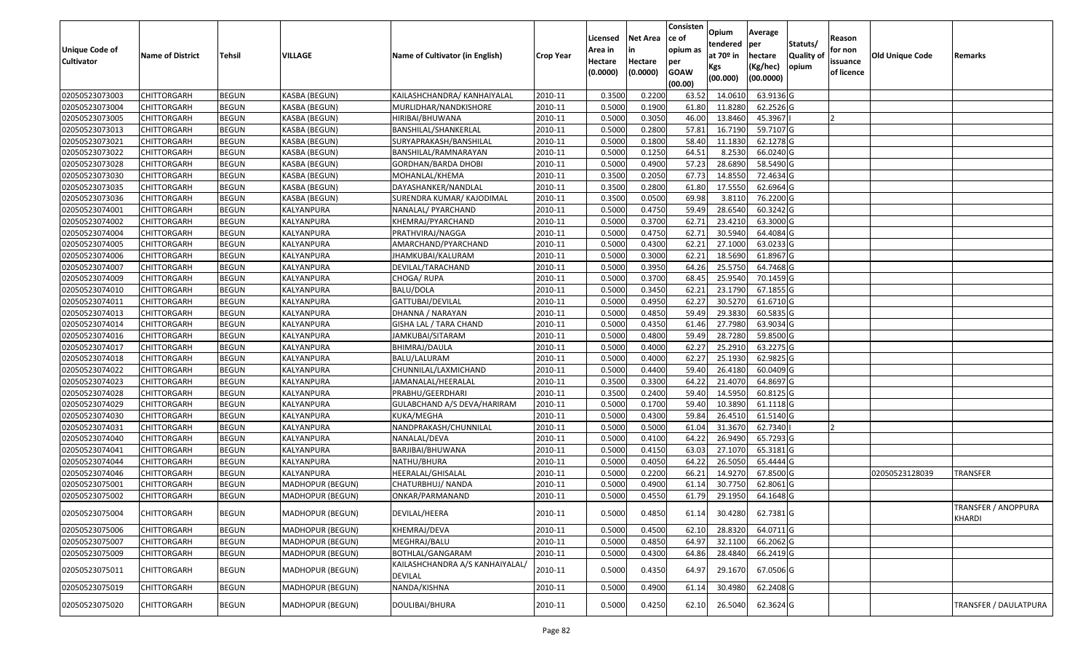| <b>Unique Code of</b><br><b>Cultivator</b> | <b>Name of District</b> | Tehsil       | <b>VILLAGE</b>          | Name of Cultivator (in English)                   | <b>Crop Year</b> | Licensed<br>Area in<br>Hectare<br>(0.0000) | <b>Net Area</b><br>Hectare<br>(0.0000) | Consisten<br>ce of<br>opium as<br>per<br><b>GOAW</b><br>(00.00) | Opium<br>tendered<br>at $70°$ in<br><b>Kgs</b><br>(00.000) | Average<br>per<br>hectare<br>(Kg/hec)<br>(00.0000) | Statuts/<br><b>Quality of</b><br>opium | Reason<br>for non<br>issuance<br>of licence | <b>Old Unique Code</b> | Remarks                              |
|--------------------------------------------|-------------------------|--------------|-------------------------|---------------------------------------------------|------------------|--------------------------------------------|----------------------------------------|-----------------------------------------------------------------|------------------------------------------------------------|----------------------------------------------------|----------------------------------------|---------------------------------------------|------------------------|--------------------------------------|
| 02050523073003                             | CHITTORGARH             | <b>BEGUN</b> | <b>KASBA (BEGUN)</b>    | KAILASHCHANDRA/ KANHAIYALAL                       | 2010-11          | 0.3500                                     | 0.2200                                 | 63.52                                                           | 14.061                                                     | 63.9136 G                                          |                                        |                                             |                        |                                      |
| 02050523073004                             | CHITTORGARH             | <b>BEGUN</b> | KASBA (BEGUN)           | MURLIDHAR/NANDKISHORE                             | 2010-11          | 0.5000                                     | 0.1900                                 | 61.80                                                           | 11.8280                                                    | 62.2526 G                                          |                                        |                                             |                        |                                      |
| 02050523073005                             | CHITTORGARH             | <b>BEGUN</b> | KASBA (BEGUN)           | HIRIBAI/BHUWANA                                   | 2010-11          | 0.5000                                     | 0.3050                                 | 46.00                                                           | 13.8460                                                    | 45.3967                                            |                                        |                                             |                        |                                      |
| 02050523073013                             | CHITTORGARH             | <b>BEGUN</b> | KASBA (BEGUN)           | <b>BANSHILAL/SHANKERLAL</b>                       | 2010-11          | 0.5000                                     | 0.2800                                 | 57.81                                                           | 16.7190                                                    | 59.7107 G                                          |                                        |                                             |                        |                                      |
| 02050523073021                             | CHITTORGARH             | <b>BEGUN</b> | KASBA (BEGUN)           | SURYAPRAKASH/BANSHILAL                            | 2010-11          | 0.5000                                     | 0.1800                                 | 58.40                                                           | 11.1830                                                    | 62.1278 G                                          |                                        |                                             |                        |                                      |
| 02050523073022                             | CHITTORGARH             | <b>BEGUN</b> | KASBA (BEGUN)           | BANSHILAL/RAMNARAYAN                              | 2010-11          | 0.5000                                     | 0.1250                                 | 64.51                                                           | 8.2530                                                     | 66.0240 G                                          |                                        |                                             |                        |                                      |
| 02050523073028                             | CHITTORGARH             | <b>BEGUN</b> | KASBA (BEGUN)           | GORDHAN/BARDA DHOBI                               | 2010-11          | 0.5000                                     | 0.4900                                 | 57.23                                                           | 28.6890                                                    | 58.5490 G                                          |                                        |                                             |                        |                                      |
| 02050523073030                             | CHITTORGARH             | <b>BEGUN</b> | <b>KASBA (BEGUN)</b>    | MOHANLAL/KHEMA                                    | 2010-11          | 0.3500                                     | 0.2050                                 | 67.73                                                           | 14.8550                                                    | 72.4634 G                                          |                                        |                                             |                        |                                      |
| 02050523073035                             | CHITTORGARH             | <b>BEGUN</b> | KASBA (BEGUN)           | DAYASHANKER/NANDLAL                               | 2010-11          | 0.3500                                     | 0.2800                                 | 61.80                                                           | 17.5550                                                    | 62.6964 G                                          |                                        |                                             |                        |                                      |
| 02050523073036                             | CHITTORGARH             | <b>BEGUN</b> | KASBA (BEGUN)           | SURENDRA KUMAR/ KAJODIMAL                         | 2010-11          | 0.3500                                     | 0.0500                                 | 69.98                                                           | 3.8110                                                     | 76.2200 G                                          |                                        |                                             |                        |                                      |
| 02050523074001                             | CHITTORGARH             | <b>BEGUN</b> | KALYANPURA              | NANALAL/ PYARCHAND                                | 2010-11          | 0.5000                                     | 0.4750                                 | 59.49                                                           | 28.6540                                                    | 60.3242 G                                          |                                        |                                             |                        |                                      |
| 02050523074002                             | CHITTORGARH             | <b>BEGUN</b> | KALYANPURA              | KHEMRAJ/PYARCHAND                                 | 2010-11          | 0.5000                                     | 0.3700                                 | 62.71                                                           | 23.4210                                                    | 63.3000 G                                          |                                        |                                             |                        |                                      |
| 02050523074004                             | CHITTORGARH             | <b>BEGUN</b> | <b>KALYANPURA</b>       | PRATHVIRAJ/NAGGA                                  | 2010-11          | 0.5000                                     | 0.4750                                 | 62.71                                                           | 30.5940                                                    | 64.4084 G                                          |                                        |                                             |                        |                                      |
| 02050523074005                             | CHITTORGARH             | <b>BEGUN</b> | KALYANPURA              | AMARCHAND/PYARCHAND                               | 2010-11          | 0.5000                                     | 0.4300                                 | 62.21                                                           | 27.1000                                                    | 63.0233 G                                          |                                        |                                             |                        |                                      |
| 02050523074006                             | CHITTORGARH             | <b>BEGUN</b> | KALYANPURA              | JHAMKUBAI/KALURAM                                 | 2010-11          | 0.5000                                     | 0.3000                                 | 62.21                                                           | 18.5690                                                    | 61.8967 G                                          |                                        |                                             |                        |                                      |
| 02050523074007                             | CHITTORGARH             | <b>BEGUN</b> | KALYANPURA              | DEVILAL/TARACHAND                                 | 2010-11          | 0.5000                                     | 0.3950                                 | 64.26                                                           | 25.5750                                                    | 64.7468 G                                          |                                        |                                             |                        |                                      |
| 02050523074009                             | CHITTORGARH             | <b>BEGUN</b> | <b>KALYANPURA</b>       | CHOGA/RUPA                                        | 2010-11          | 0.5000                                     | 0.3700                                 | 68.45                                                           | 25.9540                                                    | 70.1459 G                                          |                                        |                                             |                        |                                      |
| 02050523074010                             | CHITTORGARH             | <b>BEGUN</b> | KALYANPURA              | <b>BALU/DOLA</b>                                  | 2010-11          | 0.5000                                     | 0.3450                                 | 62.21                                                           | 23.1790                                                    | 67.1855 G                                          |                                        |                                             |                        |                                      |
| 02050523074011                             | CHITTORGARH             | <b>BEGUN</b> | KALYANPURA              | GATTUBAI/DEVILAL                                  | 2010-11          | 0.5000                                     | 0.4950                                 | 62.27                                                           | 30.5270                                                    | 61.6710 G                                          |                                        |                                             |                        |                                      |
| 02050523074013                             | CHITTORGARH             | <b>BEGUN</b> | KALYANPURA              | DHANNA / NARAYAN                                  | 2010-11          | 0.5000                                     | 0.4850                                 | 59.49                                                           | 29.3830                                                    | 60.5835 G                                          |                                        |                                             |                        |                                      |
| 02050523074014                             | CHITTORGARH             | <b>BEGUN</b> | <b>KALYANPURA</b>       | GISHA LAL / TARA CHAND                            | 2010-11          | 0.5000                                     | 0.4350                                 | 61.46                                                           | 27.7980                                                    | 63.9034 G                                          |                                        |                                             |                        |                                      |
| 02050523074016                             | CHITTORGARH             | <b>BEGUN</b> | KALYANPURA              | JAMKUBAI/SITARAM                                  | 2010-11          | 0.5000                                     | 0.4800                                 | 59.49                                                           | 28.7280                                                    | 59.8500 G                                          |                                        |                                             |                        |                                      |
| 02050523074017                             | CHITTORGARH             | <b>BEGUN</b> | KALYANPURA              | BHIMRAJ/DAULA                                     | 2010-11          | 0.5000                                     | 0.4000                                 | 62.27                                                           | 25.2910                                                    | 63.2275 G                                          |                                        |                                             |                        |                                      |
| 02050523074018                             | CHITTORGARH             | <b>BEGUN</b> | KALYANPURA              | BALU/LALURAM                                      | 2010-11          | 0.5000                                     | 0.4000                                 | 62.27                                                           | 25.1930                                                    | 62.9825 G                                          |                                        |                                             |                        |                                      |
| 02050523074022                             | CHITTORGARH             | <b>BEGUN</b> | KALYANPURA              | CHUNNILAL/LAXMICHAND                              | 2010-11          | 0.5000                                     | 0.4400                                 | 59.40                                                           | 26.4180                                                    | 60.0409 G                                          |                                        |                                             |                        |                                      |
| 02050523074023                             | CHITTORGARH             | <b>BEGUN</b> | KALYANPURA              | JAMANALAL/HEERALAL                                | 2010-11          | 0.3500                                     | 0.3300                                 | 64.22                                                           | 21.4070                                                    | 64.8697 G                                          |                                        |                                             |                        |                                      |
| 02050523074028                             | CHITTORGARH             | <b>BEGUN</b> | KALYANPURA              | PRABHU/GEERDHARI                                  | 2010-11          | 0.3500                                     | 0.2400                                 | 59.40                                                           | 14.5950                                                    | 60.8125 G                                          |                                        |                                             |                        |                                      |
| 02050523074029                             | CHITTORGARH             | <b>BEGUN</b> | KALYANPURA              | GULABCHAND A/S DEVA/HARIRAM                       | 2010-11          | 0.5000                                     | 0.1700                                 | 59.40                                                           | 10.3890                                                    | 61.1118 G                                          |                                        |                                             |                        |                                      |
| 02050523074030                             | CHITTORGARH             | <b>BEGUN</b> | KALYANPURA              | KUKA/MEGHA                                        | 2010-11          | 0.5000                                     | 0.4300                                 | 59.84                                                           | 26.4510                                                    | 61.5140 G                                          |                                        |                                             |                        |                                      |
| 02050523074031                             | <b>CHITTORGARH</b>      | <b>BEGUN</b> | KALYANPURA              | NANDPRAKASH/CHUNNILAL                             | 2010-11          | 0.5000                                     | 0.5000                                 | 61.04                                                           | 31.3670                                                    | 62.7340                                            |                                        |                                             |                        |                                      |
| 02050523074040                             | CHITTORGARH             | <b>BEGUN</b> | KALYANPURA              | NANALAL/DEVA                                      | 2010-11          | 0.5000                                     | 0.4100                                 | 64.22                                                           | 26.9490                                                    | 65.7293 G                                          |                                        |                                             |                        |                                      |
| 02050523074041                             | CHITTORGARH             | <b>BEGUN</b> | KALYANPURA              | BARJIBAI/BHUWANA                                  | 2010-11          | 0.5000                                     | 0.4150                                 | 63.03                                                           | 27.1070                                                    | 65.3181 G                                          |                                        |                                             |                        |                                      |
| 02050523074044                             | CHITTORGARH             | <b>BEGUN</b> | KALYANPURA              | NATHU/BHURA                                       | 2010-11          | 0.5000                                     | 0.4050                                 | 64.22                                                           | 26.5050                                                    | 65.4444 G                                          |                                        |                                             |                        |                                      |
| 02050523074046                             | CHITTORGARH             | <b>BEGUN</b> | KALYANPURA              | HEERALAL/GHISALAL                                 | 2010-11          | 0.5000                                     | 0.2200                                 | 66.21                                                           | 14.9270                                                    | 67.8500 G                                          |                                        |                                             | 02050523128039         | <b>TRANSFER</b>                      |
| 02050523075001                             | CHITTORGARH             | <b>BEGUN</b> | <b>MADHOPUR (BEGUN)</b> | CHATURBHUJ/ NANDA                                 | 2010-11          | 0.500                                      | 0.4900                                 | 61.14                                                           | 30.7750                                                    | 62.8061 G                                          |                                        |                                             |                        |                                      |
| 02050523075002                             | CHITTORGARH             | <b>BEGUN</b> | <b>MADHOPUR (BEGUN)</b> | ONKAR/PARMANAND                                   | 2010-11          | 0.5000                                     | 0.4550                                 | 61.79                                                           | 29.1950                                                    | 64.1648 G                                          |                                        |                                             |                        |                                      |
| 02050523075004                             | <b>CHITTORGARH</b>      | <b>BEGUN</b> | MADHOPUR (BEGUN)        | DEVILAL/HEERA                                     | 2010-11          | 0.5000                                     | 0.4850                                 | 61.14                                                           | 30.4280                                                    | 62.7381 G                                          |                                        |                                             |                        | TRANSFER / ANOPPURA<br><b>KHARDI</b> |
| 02050523075006                             | CHITTORGARH             | <b>BEGUN</b> | MADHOPUR (BEGUN)        | KHEMRAJ/DEVA                                      | 2010-11          | 0.5000                                     | 0.4500                                 | 62.10                                                           | 28.8320                                                    | 64.0711 G                                          |                                        |                                             |                        |                                      |
| 02050523075007                             | CHITTORGARH             | <b>BEGUN</b> | MADHOPUR (BEGUN)        | MEGHRAJ/BALU                                      | 2010-11          | 0.5000                                     | 0.4850                                 | 64.97                                                           | 32.1100                                                    | 66.2062 G                                          |                                        |                                             |                        |                                      |
| 02050523075009                             | CHITTORGARH             | <b>BEGUN</b> | MADHOPUR (BEGUN)        | BOTHLAL/GANGARAM                                  | 2010-11          | 0.5000                                     | 0.4300                                 | 64.86                                                           | 28.4840                                                    | 66.2419 G                                          |                                        |                                             |                        |                                      |
| 02050523075011                             | CHITTORGARH             | <b>BEGUN</b> | MADHOPUR (BEGUN)        | KAILASHCHANDRA A/S KANHAIYALAL/<br><b>DEVILAL</b> | 2010-11          | 0.5000                                     | 0.4350                                 | 64.97                                                           | 29.1670                                                    | 67.0506 G                                          |                                        |                                             |                        |                                      |
| 02050523075019                             | CHITTORGARH             | <b>BEGUN</b> | MADHOPUR (BEGUN)        | NANDA/KISHNA                                      | 2010-11          | 0.5000                                     | 0.4900                                 | 61.14                                                           | 30.4980                                                    | $62.2408$ G                                        |                                        |                                             |                        |                                      |
| 02050523075020                             | CHITTORGARH             | <b>BEGUN</b> | MADHOPUR (BEGUN)        | DOULIBAI/BHURA                                    | 2010-11          | 0.5000                                     | 0.4250                                 | 62.10                                                           | 26.5040                                                    | 62.3624 G                                          |                                        |                                             |                        | TRANSFER / DAULATPURA                |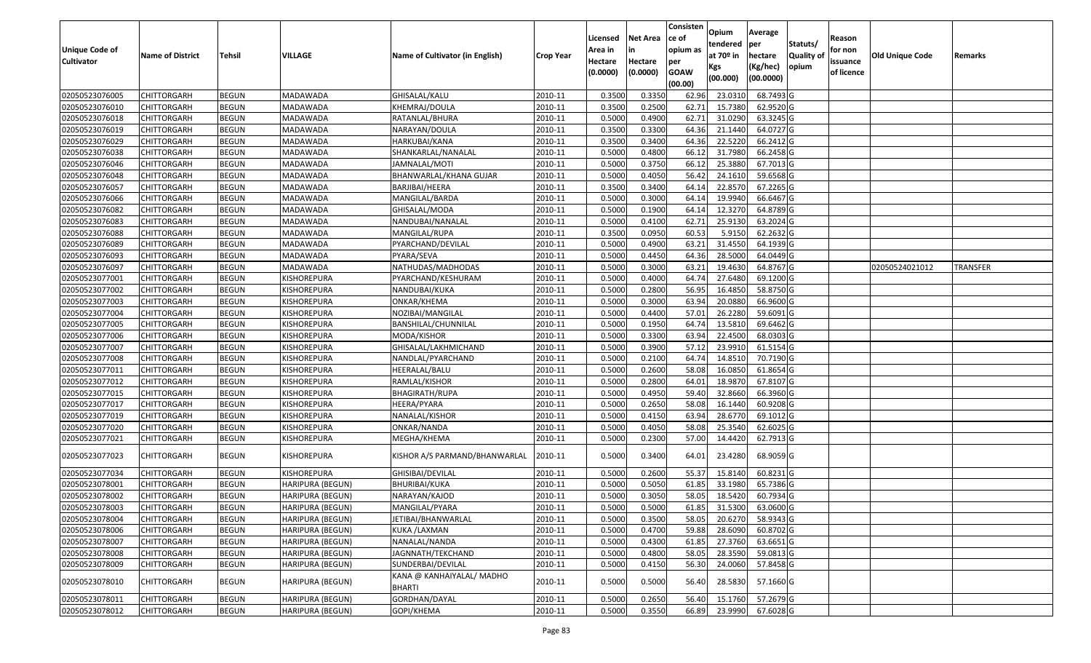| <b>Unique Code of</b><br><b>Cultivator</b> | <b>Name of District</b> | Tehsil       | VILLAGE                 | Name of Cultivator (in English)            | <b>Crop Year</b> | Licensed<br>Area in<br>Hectare<br>(0.0000) | <b>Net Area</b><br>in<br>Hectare<br>(0.0000) | Consisten<br>ce of<br>opium as<br>per<br><b>GOAW</b><br>(00.00) | Opium<br>tendered<br>at 70º in<br>Kgs<br>(00.000) | Average<br>per<br>hectare<br>(Kg/hec)<br>(00.0000) | Statuts/<br><b>Quality of</b><br>opium | Reason<br>for non<br>issuance<br>of licence | <b>Old Unique Code</b> | Remarks         |
|--------------------------------------------|-------------------------|--------------|-------------------------|--------------------------------------------|------------------|--------------------------------------------|----------------------------------------------|-----------------------------------------------------------------|---------------------------------------------------|----------------------------------------------------|----------------------------------------|---------------------------------------------|------------------------|-----------------|
| 02050523076005                             | <b>CHITTORGARH</b>      | <b>BEGUN</b> | MADAWADA                | GHISALAL/KALU                              | 2010-11          | 0.3500                                     | 0.3350                                       | 62.96                                                           | 23.0310                                           | 68.7493 G                                          |                                        |                                             |                        |                 |
| 02050523076010                             | CHITTORGARH             | <b>BEGUN</b> | MADAWADA                | KHEMRAJ/DOULA                              | 2010-11          | 0.3500                                     | 0.2500                                       | 62.72                                                           | 15.7380                                           | 62.9520 G                                          |                                        |                                             |                        |                 |
| 02050523076018                             | CHITTORGARH             | <b>BEGUN</b> | MADAWADA                | RATANLAL/BHURA                             | 2010-11          | 0.5000                                     | 0.4900                                       | 62.72                                                           | 31.0290                                           | 63.3245 G                                          |                                        |                                             |                        |                 |
| 02050523076019                             | <b>CHITTORGARH</b>      | <b>BEGUN</b> | MADAWADA                | NARAYAN/DOULA                              | 2010-11          | 0.3500                                     | 0.3300                                       | 64.36                                                           | 21.1440                                           | 64.0727 G                                          |                                        |                                             |                        |                 |
| 02050523076029                             | <b>CHITTORGARH</b>      | <b>BEGUN</b> | MADAWADA                | HARKUBAI/KANA                              | 2010-11          | 0.3500                                     | 0.3400                                       | 64.36                                                           | 22.5220                                           | 66.2412 G                                          |                                        |                                             |                        |                 |
| 02050523076038                             | <b>CHITTORGARH</b>      | <b>BEGUN</b> | MADAWADA                | SHANKARLAL/NANALAL                         | 2010-11          | 0.5000                                     | 0.4800                                       | 66.12                                                           | 31.7980                                           | 66.2458 G                                          |                                        |                                             |                        |                 |
| 02050523076046                             | <b>CHITTORGARH</b>      | <b>BEGUN</b> | MADAWADA                | JAMNALAL/MOTI                              | 2010-11          | 0.5000                                     | 0.3750                                       | 66.12                                                           | 25.3880                                           | 67.7013 G                                          |                                        |                                             |                        |                 |
| 02050523076048                             | <b>CHITTORGARH</b>      | <b>BEGUN</b> | MADAWADA                | BHANWARLAL/KHANA GUJAR                     | 2010-11          | 0.5000                                     | 0.4050                                       | 56.42                                                           | 24.1610                                           | 59.6568 G                                          |                                        |                                             |                        |                 |
| 02050523076057                             | <b>CHITTORGARH</b>      | <b>BEGUN</b> | MADAWADA                | BARJIBAI/HEERA                             | 2010-11          | 0.3500                                     | 0.3400                                       | 64.14                                                           | 22.8570                                           | 67.2265 G                                          |                                        |                                             |                        |                 |
| 02050523076066                             | <b>CHITTORGARH</b>      | <b>BEGUN</b> | MADAWADA                | MANGILAL/BARDA                             | 2010-11          | 0.5000                                     | 0.3000                                       | 64.1                                                            | 19.9940                                           | 66.6467 G                                          |                                        |                                             |                        |                 |
| 02050523076082                             | <b>CHITTORGARH</b>      | <b>BEGUN</b> | MADAWADA                | GHISALAL/MODA                              | 2010-11          | 0.5000                                     | 0.1900                                       | 64.1                                                            | 12.3270                                           | 64.8789 G                                          |                                        |                                             |                        |                 |
| 02050523076083                             | <b>CHITTORGARH</b>      | <b>BEGUN</b> | MADAWADA                | NANDUBAI/NANALAL                           | 2010-11          | 0.5000                                     | 0.4100                                       | 62.72                                                           | 25.9130                                           | 63.2024 G                                          |                                        |                                             |                        |                 |
| 02050523076088                             | <b>CHITTORGARH</b>      | <b>BEGUN</b> | MADAWADA                | MANGILAL/RUPA                              | 2010-11          | 0.3500                                     | 0.0950                                       | 60.53                                                           | 5.9150                                            | 62.2632 G                                          |                                        |                                             |                        |                 |
| 02050523076089                             | <b>CHITTORGARH</b>      | <b>BEGUN</b> | MADAWADA                | PYARCHAND/DEVILAL                          | 2010-11          | 0.5000                                     | 0.4900                                       | 63.21                                                           | 31.4550                                           | 64.1939 G                                          |                                        |                                             |                        |                 |
| 02050523076093                             | <b>CHITTORGARH</b>      | <b>BEGUN</b> | MADAWADA                | PYARA/SEVA                                 | 2010-11          | 0.5000                                     | 0.4450                                       | 64.36                                                           | 28.5000                                           | 64.0449 G                                          |                                        |                                             |                        |                 |
| 02050523076097                             | <b>CHITTORGARH</b>      | <b>BEGUN</b> | MADAWADA                | NATHUDAS/MADHODAS                          | 2010-11          | 0.5000                                     | 0.3000                                       | 63.2                                                            | 19.4630                                           | 64.8767 G                                          |                                        |                                             | 02050524021012         | <b>TRANSFER</b> |
| 02050523077001                             | <b>CHITTORGARH</b>      | <b>BEGUN</b> | KISHOREPURA             | PYARCHAND/KESHURAM                         | 2010-11          | 0.5000                                     | 0.4000                                       | 64.74                                                           | 27.6480                                           | 69.1200 G                                          |                                        |                                             |                        |                 |
| 02050523077002                             | <b>CHITTORGARH</b>      | <b>BEGUN</b> | KISHOREPURA             | NANDUBAI/KUKA                              | 2010-11          | 0.5000                                     | 0.2800                                       | 56.95                                                           | 16.4850                                           | 58.8750 G                                          |                                        |                                             |                        |                 |
| 02050523077003                             | <b>CHITTORGARH</b>      | <b>BEGUN</b> | KISHOREPURA             | ONKAR/KHEMA                                | 2010-11          | 0.5000                                     | 0.3000                                       | 63.94                                                           | 20.0880                                           | 66.9600 G                                          |                                        |                                             |                        |                 |
| 02050523077004                             | CHITTORGARH             | <b>BEGUN</b> | KISHOREPURA             | NOZIBAI/MANGILAL                           | 2010-11          | 0.5000                                     | 0.4400                                       | 57.01                                                           | 26.2280                                           | 59.6091 G                                          |                                        |                                             |                        |                 |
| 02050523077005                             | <b>CHITTORGARH</b>      | <b>BEGUN</b> | KISHOREPURA             | BANSHILAL/CHUNNILAL                        | 2010-11          | 0.5000                                     | 0.1950                                       | 64.74                                                           | 13.5810                                           | 69.6462 G                                          |                                        |                                             |                        |                 |
| 02050523077006                             | <b>CHITTORGARH</b>      | <b>BEGUN</b> | KISHOREPURA             | MODA/KISHOR                                | 2010-11          | 0.5000                                     | 0.3300                                       | 63.94                                                           | 22.4500                                           | 68.0303 G                                          |                                        |                                             |                        |                 |
| 02050523077007                             | <b>CHITTORGARH</b>      | <b>BEGUN</b> | KISHOREPURA             | GHISALAL/LAKHMICHAND                       | 2010-11          | 0.5000                                     | 0.3900                                       | 57.12                                                           | 23.9910                                           | 61.5154 G                                          |                                        |                                             |                        |                 |
| 02050523077008                             | <b>CHITTORGARH</b>      | <b>BEGUN</b> | KISHOREPURA             | NANDLAL/PYARCHAND                          | 2010-11          | 0.5000                                     | 0.2100                                       | 64.74                                                           | 14.8510                                           | 70.7190 G                                          |                                        |                                             |                        |                 |
| 02050523077011                             | <b>CHITTORGARH</b>      | <b>BEGUN</b> | KISHOREPURA             | HEERALAL/BALU                              | 2010-11          | 0.5000                                     | 0.2600                                       | 58.08                                                           | 16.0850                                           | 61.8654 G                                          |                                        |                                             |                        |                 |
| 02050523077012                             | CHITTORGARH             | <b>BEGUN</b> | KISHOREPURA             | RAMLAL/KISHOR                              | 2010-11          | 0.5000                                     | 0.2800                                       | 64.01                                                           | 18.9870                                           | 67.8107 G                                          |                                        |                                             |                        |                 |
| 02050523077015                             | <b>CHITTORGARH</b>      | <b>BEGUN</b> | KISHOREPURA             | <b>BHAGIRATH/RUPA</b>                      | 2010-11          | 0.5000                                     | 0.4950                                       | 59.40                                                           | 32.8660                                           | 66.3960 G                                          |                                        |                                             |                        |                 |
| 02050523077017                             | CHITTORGARH             | <b>BEGUN</b> | KISHOREPURA             | HEERA/PYARA                                | 2010-11          | 0.5000                                     | 0.2650                                       | 58.08                                                           | 16.1440                                           | 60.9208 G                                          |                                        |                                             |                        |                 |
| 02050523077019                             | <b>CHITTORGARH</b>      | <b>BEGUN</b> | KISHOREPURA             | NANALAL/KISHOR                             | 2010-11          | 0.5000                                     | 0.4150                                       | 63.94                                                           | 28.6770                                           | 69.1012 G                                          |                                        |                                             |                        |                 |
| 02050523077020                             | <b>CHITTORGARH</b>      | <b>BEGUN</b> | <b>KISHOREPURA</b>      | ONKAR/NANDA                                | 2010-11          | 0.5000                                     | 0.4050                                       | 58.08                                                           | 25.3540                                           | 62.6025 G                                          |                                        |                                             |                        |                 |
| 02050523077021                             | CHITTORGARH             | <b>BEGUN</b> | KISHOREPURA             | MEGHA/KHEMA                                | 2010-11          | 0.5000                                     | 0.2300                                       | 57.00                                                           | 14.4420                                           | 62.7913 G                                          |                                        |                                             |                        |                 |
| 02050523077023                             | <b>CHITTORGARH</b>      | <b>BEGUN</b> | KISHOREPURA             | KISHOR A/S PARMAND/BHANWARLAL              | 2010-11          | 0.5000                                     | 0.3400                                       | 64.01                                                           | 23.4280                                           | 68.9059 G                                          |                                        |                                             |                        |                 |
| 02050523077034                             | <b>CHITTORGARH</b>      | <b>BEGUN</b> | KISHOREPURA             | GHISIBAI/DEVILAL                           | 2010-11          | 0.5000                                     | 0.2600                                       | 55.37                                                           | 15.8140                                           | 60.8231 G                                          |                                        |                                             |                        |                 |
| 02050523078001                             | CHITTORGARH             | <b>BEGUN</b> | HARIPURA (BEGUN)        | BHURIBAI/KUKA                              | 2010-11          | 0.500                                      | 0.5050                                       | 61.85                                                           | 33.1980                                           | 65.7386 G                                          |                                        |                                             |                        |                 |
| 02050523078002                             | <b>CHITTORGARH</b>      | <b>BEGUN</b> | HARIPURA (BEGUN)        | NARAYAN/KAJOD                              | 2010-11          | 0.5000                                     | 0.3050                                       | 58.05                                                           | 18.5420                                           | 60.7934 G                                          |                                        |                                             |                        |                 |
| 02050523078003                             | <b>CHITTORGARH</b>      | <b>BEGUN</b> | HARIPURA (BEGUN)        | MANGILAL/PYARA                             | 2010-11          | 0.5000                                     | 0.5000                                       | 61.85                                                           | 31.5300                                           | 63.0600 G                                          |                                        |                                             |                        |                 |
| 02050523078004                             | <b>CHITTORGARH</b>      | <b>BEGUN</b> | HARIPURA (BEGUN)        | JETIBAI/BHANWARLAL                         | 2010-11          | 0.5000                                     | 0.3500                                       | 58.05                                                           | 20.6270                                           | 58.9343 G                                          |                                        |                                             |                        |                 |
| 02050523078006                             | <b>CHITTORGARH</b>      | <b>BEGUN</b> | <b>HARIPURA (BEGUN)</b> | KUKA /LAXMAN                               | 2010-11          | 0.5000                                     | 0.4700                                       | 59.88                                                           | 28.6090                                           | 60.8702 G                                          |                                        |                                             |                        |                 |
| 02050523078007                             | <b>CHITTORGARH</b>      | <b>BEGUN</b> | HARIPURA (BEGUN)        | NANALAL/NANDA                              | 2010-11          | 0.5000                                     | 0.4300                                       | 61.85                                                           | 27.3760                                           | 63.6651 G                                          |                                        |                                             |                        |                 |
| 02050523078008                             | <b>CHITTORGARH</b>      | <b>BEGUN</b> | HARIPURA (BEGUN)        | JAGNNATH/TEKCHAND                          | 2010-11          | 0.5000                                     | 0.4800                                       | 58.05                                                           | 28.3590                                           | 59.0813 G                                          |                                        |                                             |                        |                 |
| 02050523078009                             | <b>CHITTORGARH</b>      | <b>BEGUN</b> | <b>HARIPURA (BEGUN)</b> | SUNDERBAI/DEVILAL                          | 2010-11          | 0.5000                                     | 0.4150                                       | 56.30                                                           | 24.0060                                           | 57.8458 G                                          |                                        |                                             |                        |                 |
| 02050523078010                             | <b>CHITTORGARH</b>      | <b>BEGUN</b> | HARIPURA (BEGUN)        | KANA @ KANHAIYALAL/ MADHO<br><b>BHARTI</b> | 2010-11          | 0.5000                                     | 0.5000                                       | 56.40                                                           | 28.5830                                           | 57.1660 G                                          |                                        |                                             |                        |                 |
| 02050523078011                             | <b>CHITTORGARH</b>      | <b>BEGUN</b> | HARIPURA (BEGUN)        | GORDHAN/DAYAL                              | 2010-11          | 0.5000                                     | 0.2650                                       | 56.40                                                           | 15.1760                                           | 57.2679 G                                          |                                        |                                             |                        |                 |
| 02050523078012                             | <b>CHITTORGARH</b>      | <b>BEGUN</b> | HARIPURA (BEGUN)        | GOPI/KHEMA                                 | 2010-11          | 0.5000                                     | 0.3550                                       | 66.89                                                           | 23.9990                                           | 67.6028 G                                          |                                        |                                             |                        |                 |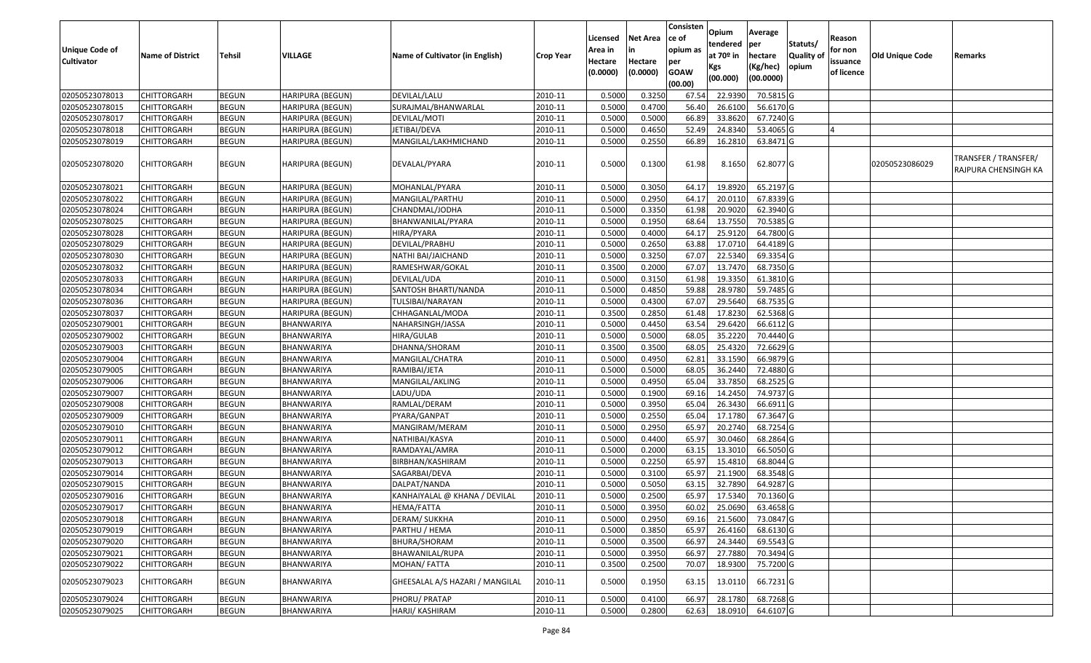| <b>Unique Code of</b><br><b>Cultivator</b> | <b>Name of District</b> | <b>Tehsil</b> | VILLAGE                 | Name of Cultivator (in English) | <b>Crop Year</b> | Licensed<br>Area in<br>Hectare<br>(0.0000) | <b>Net Area</b><br>in<br>Hectare<br>(0.0000) | Consisten<br>ce of<br>opium as<br>per<br><b>GOAW</b><br>(00.00) | Opium<br>tendered<br>at $70°$ in<br>Kgs<br>(00.000) | Average<br>per<br>hectare<br>(Kg/hec)<br>(00.0000) | Statuts/<br>Quality of<br>opium | Reason<br>for non<br>issuance<br>of licence | <b>Old Unique Code</b> | Remarks                                      |
|--------------------------------------------|-------------------------|---------------|-------------------------|---------------------------------|------------------|--------------------------------------------|----------------------------------------------|-----------------------------------------------------------------|-----------------------------------------------------|----------------------------------------------------|---------------------------------|---------------------------------------------|------------------------|----------------------------------------------|
| 02050523078013                             | <b>CHITTORGARH</b>      | <b>BEGUN</b>  | HARIPURA (BEGUN)        | DEVILAL/LALU                    | 2010-11          | 0.5000                                     | 0.3250                                       | 67.54                                                           | 22.9390                                             | 70.5815 G                                          |                                 |                                             |                        |                                              |
| 02050523078015                             | CHITTORGARH             | <b>BEGUN</b>  | HARIPURA (BEGUN)        | SURAJMAL/BHANWARLAL             | 2010-11          | 0.5000                                     | 0.4700                                       | 56.40                                                           | 26.6100                                             | 56.6170 G                                          |                                 |                                             |                        |                                              |
| 02050523078017                             | CHITTORGARH             | <b>BEGUN</b>  | HARIPURA (BEGUN)        | DEVILAL/MOTI                    | 2010-11          | 0.5000                                     | 0.5000                                       | 66.89                                                           | 33.8620                                             | 67.7240 G                                          |                                 |                                             |                        |                                              |
| 02050523078018                             | CHITTORGARH             | <b>BEGUN</b>  | HARIPURA (BEGUN)        | JETIBAI/DEVA                    | 2010-11          | 0.5000                                     | 0.4650                                       | 52.49                                                           | 24.8340                                             | 53.4065 G                                          |                                 |                                             |                        |                                              |
| 02050523078019                             | CHITTORGARH             | <b>BEGUN</b>  | HARIPURA (BEGUN)        | MANGILAL/LAKHMICHAND            | 2010-11          | 0.5000                                     | 0.2550                                       | 66.89                                                           | 16.2810                                             | 63.8471 G                                          |                                 |                                             |                        |                                              |
| 02050523078020                             | CHITTORGARH             | <b>BEGUN</b>  | HARIPURA (BEGUN)        | DEVALAL/PYARA                   | 2010-11          | 0.5000                                     | 0.1300                                       | 61.98                                                           | 8.1650                                              | 62.8077 G                                          |                                 |                                             | 02050523086029         | TRANSFER / TRANSFER/<br>RAJPURA CHENSINGH KA |
| 02050523078021                             | CHITTORGARH             | <b>BEGUN</b>  | HARIPURA (BEGUN)        | MOHANLAL/PYARA                  | 2010-11          | 0.5000                                     | 0.3050                                       | 64.17                                                           | 19.8920                                             | 65.2197 G                                          |                                 |                                             |                        |                                              |
| 02050523078022                             | CHITTORGARH             | <b>BEGUN</b>  | HARIPURA (BEGUN)        | MANGILAL/PARTHU                 | 2010-11          | 0.500                                      | 0.2950                                       | 64.17                                                           | 20.011                                              | 67.8339 G                                          |                                 |                                             |                        |                                              |
| 02050523078024                             | CHITTORGARH             | <b>BEGUN</b>  | HARIPURA (BEGUN)        | CHANDMAL/JODHA                  | 2010-11          | 0.5000                                     | 0.3350                                       | 61.98                                                           | 20.9020                                             | 62.3940 G                                          |                                 |                                             |                        |                                              |
| 02050523078025                             | CHITTORGARH             | <b>BEGUN</b>  | HARIPURA (BEGUN)        | BHANWANILAL/PYARA               | 2010-11          | 0.5000                                     | 0.1950                                       | 68.64                                                           | 13.755                                              | 70.5385 G                                          |                                 |                                             |                        |                                              |
| 02050523078028                             | CHITTORGARH             | <b>BEGUN</b>  | <b>HARIPURA (BEGUN)</b> | HIRA/PYARA                      | 2010-11          | 0.5000                                     | 0.4000                                       | 64.17                                                           | 25.9120                                             | 64.7800 G                                          |                                 |                                             |                        |                                              |
| 02050523078029                             | CHITTORGARH             | <b>BEGUN</b>  | HARIPURA (BEGUN)        | DEVILAL/PRABHU                  | 2010-11          | 0.5000                                     | 0.2650                                       | 63.88                                                           | 17.0710                                             | 64.4189 G                                          |                                 |                                             |                        |                                              |
| 02050523078030                             | CHITTORGARH             | <b>BEGUN</b>  | HARIPURA (BEGUN)        | NATHI BAI/JAICHAND              | 2010-11          | 0.5000                                     | 0.3250                                       | 67.07                                                           | 22.5340                                             | 69.3354 G                                          |                                 |                                             |                        |                                              |
| 02050523078032                             | CHITTORGARH             | <b>BEGUN</b>  | <b>HARIPURA (BEGUN)</b> | RAMESHWAR/GOKAL                 | 2010-11          | 0.3500                                     | 0.2000                                       | 67.07                                                           | 13.7470                                             | 68.7350 G                                          |                                 |                                             |                        |                                              |
| 02050523078033                             | CHITTORGARH             | <b>BEGUN</b>  | <b>HARIPURA (BEGUN)</b> | DEVILAL/UDA                     | 2010-11          | 0.5000                                     | 0.3150                                       | 61.98                                                           | 19.3350                                             | 61.3810 G                                          |                                 |                                             |                        |                                              |
| 02050523078034                             | CHITTORGARH             | <b>BEGUN</b>  | HARIPURA (BEGUN)        | SANTOSH BHARTI/NANDA            | 2010-11          | 0.5000                                     | 0.4850                                       | 59.88                                                           | 28.9780                                             | 59.7485 G                                          |                                 |                                             |                        |                                              |
| 02050523078036                             | CHITTORGARH             | <b>BEGUN</b>  | HARIPURA (BEGUN)        | TULSIBAI/NARAYAN                | 2010-11          | 0.5000                                     | 0.4300                                       | 67.07                                                           | 29.5640                                             | 68.7535 G                                          |                                 |                                             |                        |                                              |
| 02050523078037                             | CHITTORGARH             | <b>BEGUN</b>  | HARIPURA (BEGUN)        | CHHAGANLAL/MODA                 | 2010-11          | 0.3500                                     | 0.2850                                       | 61.48                                                           | 17.8230                                             | 62.5368 G                                          |                                 |                                             |                        |                                              |
| 02050523079001                             | <b>CHITTORGARH</b>      | <b>BEGUN</b>  | BHANWARIYA              | NAHARSINGH/JASSA                | 2010-11          | 0.5000                                     | 0.4450                                       | 63.54                                                           | 29.6420                                             | 66.6112 G                                          |                                 |                                             |                        |                                              |
| 02050523079002                             | CHITTORGARH             | <b>BEGUN</b>  | BHANWARIYA              | HIRA/GULAB                      | 2010-11          | 0.5000                                     | 0.5000                                       | 68.05                                                           | 35.2220                                             | 70.4440 G                                          |                                 |                                             |                        |                                              |
| 02050523079003                             | CHITTORGARH             | <b>BEGUN</b>  | BHANWARIYA              | DHANNA/SHORAM                   | 2010-11          | 0.3500                                     | 0.3500                                       | 68.0                                                            | 25.4320                                             | 72.6629 G                                          |                                 |                                             |                        |                                              |
| 02050523079004                             | CHITTORGARH             | <b>BEGUN</b>  | BHANWARIYA              | MANGILAL/CHATRA                 | 2010-11          | 0.5000                                     | 0.4950                                       | 62.81                                                           | 33.1590                                             | 66.9879 G                                          |                                 |                                             |                        |                                              |
| 02050523079005                             | CHITTORGARH             | <b>BEGUN</b>  | BHANWARIYA              | RAMIBAI/JETA                    | 2010-11          | 0.5000                                     | 0.5000                                       | 68.05                                                           | 36.2440                                             | 72.4880 G                                          |                                 |                                             |                        |                                              |
| 02050523079006                             | CHITTORGARH             | <b>BEGUN</b>  | BHANWARIYA              | MANGILAL/AKLING                 | 2010-11          | 0.5000                                     | 0.4950                                       | 65.04                                                           | 33.785                                              | 68.2525 G                                          |                                 |                                             |                        |                                              |
| 02050523079007                             | CHITTORGARH             | <b>BEGUN</b>  | BHANWARIYA              | LADU/UDA                        | 2010-11          | 0.5000                                     | 0.1900                                       | 69.16                                                           | 14.2450                                             | 74.9737 G                                          |                                 |                                             |                        |                                              |
| 02050523079008                             | <b>CHITTORGARH</b>      | <b>BEGUN</b>  | BHANWARIYA              | RAMLAL/DERAM                    | 2010-11          | 0.5000                                     | 0.3950                                       | 65.04                                                           | 26.3430                                             | 66.6911 G                                          |                                 |                                             |                        |                                              |
| 02050523079009                             | <b>CHITTORGARH</b>      | <b>BEGUN</b>  | BHANWARIYA              | PYARA/GANPAT                    | 2010-11          | 0.5000                                     | 0.2550                                       | 65.04                                                           | 17.1780                                             | 67.3647 G                                          |                                 |                                             |                        |                                              |
| 02050523079010                             | <b>CHITTORGARH</b>      | <b>BEGUN</b>  | BHANWARIYA              | MANGIRAM/MERAM                  | 2010-11          | 0.5000                                     | 0.2950                                       | 65.97                                                           | 20.2740                                             | 68.7254 G                                          |                                 |                                             |                        |                                              |
| 02050523079011                             | <b>CHITTORGARH</b>      | <b>BEGUN</b>  | BHANWARIYA              | NATHIBAI/KASYA                  | 2010-11          | 0.5000                                     | 0.4400                                       | 65.97                                                           | 30.0460                                             | 68.2864 G                                          |                                 |                                             |                        |                                              |
| 02050523079012                             | CHITTORGARH             | <b>BEGUN</b>  | BHANWARIYA              | RAMDAYAL/AMRA                   | 2010-11          | 0.5000                                     | 0.2000                                       | 63.15                                                           | 13.3010                                             | 66.5050 G                                          |                                 |                                             |                        |                                              |
| 02050523079013                             | CHITTORGARH             | <b>BEGUN</b>  | BHANWARIYA              | BIRBHAN/KASHIRAM                | 2010-11          | 0.5000                                     | 0.2250                                       | 65.97                                                           | 15.4810                                             | 68.8044 G                                          |                                 |                                             |                        |                                              |
| 02050523079014                             | <b>CHITTORGARH</b>      | <b>BEGUN</b>  | BHANWARIYA              | SAGARBAI/DEVA                   | 2010-11          | 0.5000                                     | 0.3100                                       | 65.97                                                           | 21.1900                                             | 68.3548 G                                          |                                 |                                             |                        |                                              |
| 02050523079015                             | CHITTORGARH             | <b>BEGUN</b>  | BHANWARIYA              | DALPAT/NANDA                    | 2010-11          | 0.500                                      | 0.5050                                       | 63.15                                                           | 32.789                                              | 64.9287 G                                          |                                 |                                             |                        |                                              |
| 02050523079016                             | CHITTORGARH             | <b>BEGUN</b>  | BHANWARIYA              | KANHAIYALAL @ KHANA / DEVILAL   | 2010-11          | 0.500                                      | 0.2500                                       | 65.97                                                           | 17.5340                                             | 70.1360 G                                          |                                 |                                             |                        |                                              |
| 02050523079017                             | <b>CHITTORGARH</b>      | <b>BEGUN</b>  | BHANWARIYA              | HEMA/FATTA                      | 2010-11          | 0.5000                                     | 0.3950                                       | 60.02                                                           | 25.0690                                             | 63.4658 G                                          |                                 |                                             |                        |                                              |
| 02050523079018                             | <b>CHITTORGARH</b>      | <b>BEGUN</b>  | BHANWARIYA              | DERAM/ SUKKHA                   | 2010-11          | 0.5000                                     | 0.2950                                       | 69.16                                                           | 21.5600                                             | 73.0847 G                                          |                                 |                                             |                        |                                              |
| 02050523079019                             | <b>CHITTORGARH</b>      | <b>BEGUN</b>  | BHANWARIYA              | PARTHU / HEMA                   | 2010-11          | 0.5000                                     | 0.3850                                       | 65.97                                                           | 26.4160                                             | 68.6130 G                                          |                                 |                                             |                        |                                              |
| 02050523079020                             | <b>CHITTORGARH</b>      | <b>BEGUN</b>  | BHANWARIYA              | BHURA/SHORAM                    | 2010-11          | 0.5000                                     | 0.3500                                       | 66.97                                                           | 24.3440                                             | 69.5543 G                                          |                                 |                                             |                        |                                              |
| 02050523079021                             | CHITTORGARH             | <b>BEGUN</b>  | BHANWARIYA              | BHAWANILAL/RUPA                 | 2010-11          | 0.5000                                     | 0.3950                                       | 66.97                                                           | 27.7880                                             | 70.3494 G                                          |                                 |                                             |                        |                                              |
| 02050523079022                             | <b>CHITTORGARH</b>      | <b>BEGUN</b>  | BHANWARIYA              | MOHAN/FATTA                     | 2010-11          | 0.3500                                     | 0.2500                                       | 70.07                                                           | 18.9300                                             | 75.7200 G                                          |                                 |                                             |                        |                                              |
| 02050523079023                             | <b>CHITTORGARH</b>      | <b>BEGUN</b>  | BHANWARIYA              | GHEESALAL A/S HAZARI / MANGILAL | 2010-11          | 0.5000                                     | 0.1950                                       | 63.15                                                           | 13.0110                                             | 66.7231 G                                          |                                 |                                             |                        |                                              |
| 02050523079024                             | CHITTORGARH             | <b>BEGUN</b>  | BHANWARIYA              | PHORU/ PRATAP                   | 2010-11          | 0.5000                                     | 0.4100                                       | 66.97                                                           | 28.1780                                             | 68.7268 G                                          |                                 |                                             |                        |                                              |
| 02050523079025                             | CHITTORGARH             | <b>BEGUN</b>  | BHANWARIYA              | HARJI/ KASHIRAM                 | 2010-11          | 0.5000                                     | 0.2800                                       | 62.63                                                           | 18.0910                                             | 64.6107 G                                          |                                 |                                             |                        |                                              |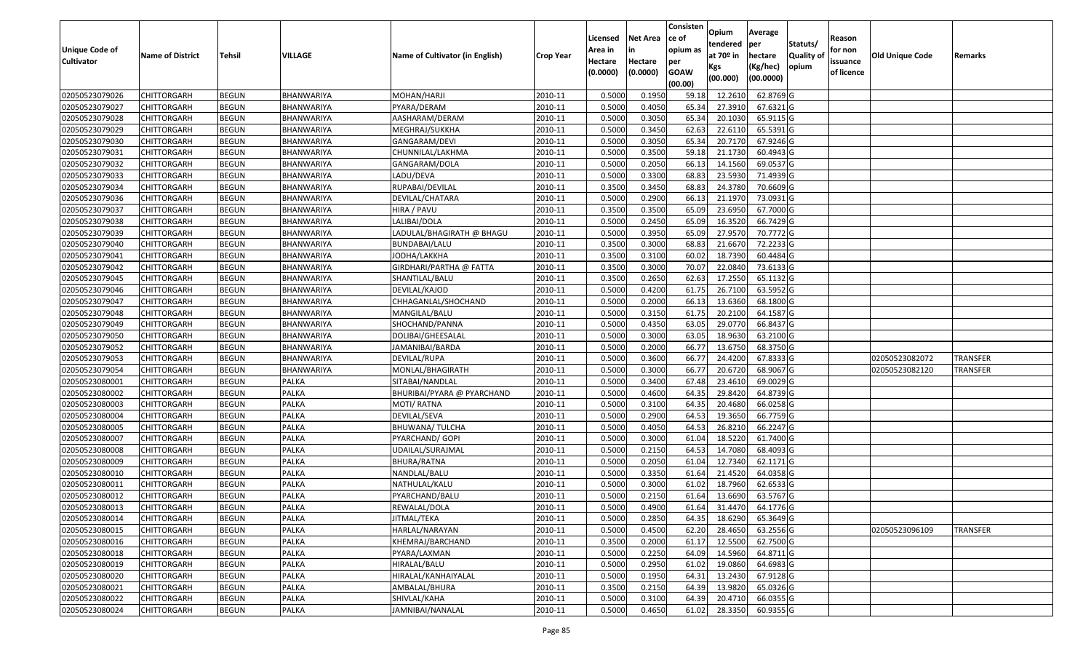|                       |                         |               |                   |                                 |                  |          |                 | Consisten   | Opium                   | Average               |                  |            |                 |                 |
|-----------------------|-------------------------|---------------|-------------------|---------------------------------|------------------|----------|-----------------|-------------|-------------------------|-----------------------|------------------|------------|-----------------|-----------------|
|                       |                         |               |                   |                                 |                  | Licensed | <b>Net Area</b> | ce of       |                         |                       |                  | Reason     |                 |                 |
| <b>Unique Code of</b> |                         |               | <b>VILLAGE</b>    |                                 |                  | Area in  |                 | opium as    | tendered<br>at $70°$ in | per                   | Statuts/         | for non    |                 |                 |
| <b>Cultivator</b>     | <b>Name of District</b> | <b>Tehsil</b> |                   | Name of Cultivator (in English) | <b>Crop Year</b> | Hectare  | Hectare         | per         |                         | hectare               | <b>Quality o</b> | issuance   | Old Unique Code | Remarks         |
|                       |                         |               |                   |                                 |                  | (0.0000) | (0.0000)        | <b>GOAW</b> | Kgs<br>(00.000)         | (Kg/hec)<br>(00.0000) | opium            | of licence |                 |                 |
|                       |                         |               |                   |                                 |                  |          |                 | (00.00)     |                         |                       |                  |            |                 |                 |
| 02050523079026        | CHITTORGARH             | <b>BEGUN</b>  | BHANWARIYA        | MOHAN/HARJI                     | 2010-11          | 0.5000   | 0.1950          | 59.18       | 12.261                  | 62.8769 G             |                  |            |                 |                 |
| 02050523079027        | CHITTORGARH             | <b>BEGUN</b>  | BHANWARIYA        | PYARA/DERAM                     | 2010-11          | 0.5000   | 0.4050          | 65.34       | 27.3910                 | 67.6321G              |                  |            |                 |                 |
| 02050523079028        | CHITTORGARH             | <b>BEGUN</b>  | BHANWARIYA        | AASHARAM/DERAM                  | 2010-11          | 0.5000   | 0.3050          | 65.34       | 20.1030                 | 65.9115 G             |                  |            |                 |                 |
| 02050523079029        | <b>CHITTORGARH</b>      | <b>BEGUN</b>  | <b>BHANWARIYA</b> | MEGHRAJ/SUKKHA                  | 2010-11          | 0.5000   | 0.3450          | 62.63       | 22.6110                 | 65.5391 G             |                  |            |                 |                 |
| 02050523079030        | CHITTORGARH             | <b>BEGUN</b>  | BHANWARIYA        | GANGARAM/DEVI                   | 2010-11          | 0.5000   | 0.3050          | 65.34       | 20.7170                 | 67.9246 G             |                  |            |                 |                 |
| 02050523079031        | CHITTORGARH             | <b>BEGUN</b>  | BHANWARIYA        | CHUNNILAL/LAKHMA                | 2010-11          | 0.5000   | 0.3500          | 59.18       | 21.1730                 | 60.4943 G             |                  |            |                 |                 |
| 02050523079032        | CHITTORGARH             | <b>BEGUN</b>  | BHANWARIYA        | GANGARAM/DOLA                   | 2010-11          | 0.5000   | 0.2050          | 66.1        | 14.1560                 | 69.0537 G             |                  |            |                 |                 |
| 02050523079033        | CHITTORGARH             | <b>BEGUN</b>  | BHANWARIYA        | LADU/DEVA                       | 2010-11          | 0.5000   | 0.3300          | 68.83       | 23.5930                 | 71.4939 G             |                  |            |                 |                 |
| 02050523079034        | CHITTORGARH             | <b>BEGUN</b>  | BHANWARIYA        | RUPABAI/DEVILAL                 | 2010-11          | 0.3500   | 0.3450          | 68.83       | 24.378                  | 70.6609 G             |                  |            |                 |                 |
| 02050523079036        | CHITTORGARH             | <b>BEGUN</b>  | BHANWARIYA        | DEVILAL/CHATARA                 | 2010-11          | 0.5000   | 0.2900          | 66.13       | 21.1970                 | 73.0931 G             |                  |            |                 |                 |
| 02050523079037        | CHITTORGARH             | <b>BEGUN</b>  | BHANWARIYA        | HIRA / PAVU                     | 2010-11          | 0.3500   | 0.3500          | 65.09       | 23.6950                 | 67.7000 G             |                  |            |                 |                 |
| 02050523079038        | CHITTORGARH             | <b>BEGUN</b>  | BHANWARIYA        | LALIBAI/DOLA                    | 2010-11          | 0.5000   | 0.2450          | 65.09       | 16.3520                 | 66.7429 G             |                  |            |                 |                 |
| 02050523079039        | <b>CHITTORGARH</b>      | <b>BEGUN</b>  | BHANWARIYA        | LADULAL/BHAGIRATH @ BHAGU       | 2010-11          | 0.5000   | 0.3950          | 65.09       | 27.9570                 | 70.7772 G             |                  |            |                 |                 |
| 02050523079040        | CHITTORGARH             | <b>BEGUN</b>  | BHANWARIYA        | BUNDABAI/LALU                   | 2010-11          | 0.3500   | 0.3000          | 68.83       | 21.6670                 | 72.2233 G             |                  |            |                 |                 |
| 02050523079041        | CHITTORGARH             | <b>BEGUN</b>  | BHANWARIYA        | JODHA/LAKKHA                    | 2010-11          | 0.3500   | 0.3100          | 60.02       | 18.7390                 | 60.4484 G             |                  |            |                 |                 |
| 02050523079042        | CHITTORGARH             | <b>BEGUN</b>  | BHANWARIYA        | GIRDHARI/PARTHA @ FATTA         | 2010-11          | 0.3500   | 0.3000          | 70.07       | 22.0840                 | 73.6133 G             |                  |            |                 |                 |
| 02050523079045        | CHITTORGARH             | <b>BEGUN</b>  | BHANWARIYA        | SHANTILAL/BALU                  | 2010-11          | 0.3500   | 0.2650          | 62.63       | 17.2550                 | 65.1132 G             |                  |            |                 |                 |
| 02050523079046        | CHITTORGARH             | <b>BEGUN</b>  | BHANWARIYA        | DEVILAL/KAJOD                   | 2010-11          | 0.5000   | 0.4200          | 61.75       | 26.7100                 | 63.5952 G             |                  |            |                 |                 |
| 02050523079047        | CHITTORGARH             | <b>BEGUN</b>  | BHANWARIYA        | CHHAGANLAL/SHOCHAND             | 2010-11          | 0.500    | 0.2000          | 66.13       | 13.6360                 | 68.1800 G             |                  |            |                 |                 |
| 02050523079048        | CHITTORGARH             | <b>BEGUN</b>  | BHANWARIYA        | MANGILAL/BALU                   | 2010-11          | 0.5000   | 0.3150          | 61.75       | 20.2100                 | 64.1587 G             |                  |            |                 |                 |
| 02050523079049        | CHITTORGARH             | <b>BEGUN</b>  | BHANWARIYA        | SHOCHAND/PANNA                  | 2010-11          | 0.5000   | 0.4350          | 63.05       | 29.0770                 | 66.8437 G             |                  |            |                 |                 |
| 02050523079050        | CHITTORGARH             | <b>BEGUN</b>  | BHANWARIYA        | DOLIBAI/GHEESALAL               | 2010-11          | 0.500    | 0.3000          | 63.05       | 18.9630                 | 63.2100 G             |                  |            |                 |                 |
| 02050523079052        | CHITTORGARH             | <b>BEGUN</b>  | BHANWARIYA        | JAMANIBAI/BARDA                 | 2010-11          | 0.5000   | 0.2000          | 66.77       | 13.6750                 | 68.3750 G             |                  |            |                 |                 |
| 02050523079053        | CHITTORGARH             | <b>BEGUN</b>  | BHANWARIYA        | DEVILAL/RUPA                    | 2010-11          | 0.5000   | 0.3600          | 66.7        | 24.4200                 | 67.8333 G             |                  |            | 02050523082072  | <b>TRANSFER</b> |
| 02050523079054        | CHITTORGARH             | <b>BEGUN</b>  | BHANWARIYA        | MONLAL/BHAGIRATH                | 2010-11          | 0.5000   | 0.3000          | 66.77       | 20.6720                 | 68.9067 G             |                  |            | 02050523082120  | <b>TRANSFER</b> |
| 02050523080001        | CHITTORGARH             | <b>BEGUN</b>  | PALKA             | SITABAI/NANDLAL                 | 2010-11          | 0.5000   | 0.3400          | 67.48       | 23.4610                 | 69.0029 G             |                  |            |                 |                 |
| 02050523080002        | CHITTORGARH             | <b>BEGUN</b>  | PALKA             | BHURIBAI/PYARA @ PYARCHAND      | 2010-11          | 0.5000   | 0.4600          | 64.35       | 29.8420                 | 64.8739 G             |                  |            |                 |                 |
| 02050523080003        | CHITTORGARH             | <b>BEGUN</b>  | PALKA             | MOTI/ RATNA                     | 2010-11          | 0.5000   | 0.3100          | 64.35       | 20.4680                 | 66.0258 G             |                  |            |                 |                 |
| 02050523080004        | CHITTORGARH             | <b>BEGUN</b>  | <b>PALKA</b>      | DEVILAL/SEVA                    | 2010-11          | 0.5000   | 0.2900          | 64.53       | 19.3650                 | 66.7759 G             |                  |            |                 |                 |
| 02050523080005        | CHITTORGARH             | <b>BEGUN</b>  | <b>PALKA</b>      | BHUWANA/ TULCHA                 | 2010-11          | 0.5000   | 0.4050          | 64.53       | 26.8210                 | 66.2247 G             |                  |            |                 |                 |
| 02050523080007        | CHITTORGARH             | <b>BEGUN</b>  | PALKA             | PYARCHAND/ GOPI                 | 2010-11          | 0.5000   | 0.3000          | 61.04       | 18.5220                 | 61.7400 G             |                  |            |                 |                 |
| 02050523080008        | CHITTORGARH             | <b>BEGUN</b>  | PALKA             | JDAILAL/SURAJMAL                | 2010-11          | 0.5000   | 0.2150          | 64.53       | 14.7080                 | 68.4093 G             |                  |            |                 |                 |
| 02050523080009        | CHITTORGARH             | <b>BEGUN</b>  | PALKA             | BHURA/RATNA                     | 2010-11          | 0.5000   | 0.2050          | 61.04       | 12.7340                 | 62.1171G              |                  |            |                 |                 |
| 02050523080010        | CHITTORGARH             | <b>BEGUN</b>  | PALKA             | NANDLAL/BALU                    | 2010-11          | 0.5000   | 0.3350          | 61.64       | 21.4520                 | 64.0358 G             |                  |            |                 |                 |
| 02050523080011        | CHITTORGARH             | <b>BEGUN</b>  | <b>PALKA</b>      | NATHULAL/KALU                   | 2010-11          | 0.500    | 0.3000          | 61.02       | 18.7960                 | 62.6533 G             |                  |            |                 |                 |
| 02050523080012        | CHITTORGARH             | <b>BEGUN</b>  | <b>PALKA</b>      | PYARCHAND/BALU                  | 2010-11          | 0.5000   | 0.2150          | 61.64       | 13.6690                 | 63.5767 G             |                  |            |                 |                 |
| 02050523080013        | <b>CHITTORGARH</b>      | <b>BEGUN</b>  | PALKA             | REWALAL/DOLA                    | 2010-11          | 0.5000   | 0.4900          |             | 61.64 31.4470           | 64.1776 G             |                  |            |                 |                 |
| 02050523080014        | <b>CHITTORGARH</b>      | <b>BEGUN</b>  | PALKA             | JITMAL/TEKA                     | 2010-11          | 0.5000   | 0.2850          | 64.35       | 18.6290                 | 65.3649 G             |                  |            |                 |                 |
| 02050523080015        | <b>CHITTORGARH</b>      | <b>BEGUN</b>  | <b>PALKA</b>      | HARLAL/NARAYAN                  | 2010-11          | 0.5000   | 0.4500          | 62.20       | 28.4650                 | 63.2556 G             |                  |            | 02050523096109  | <b>TRANSFER</b> |
| 02050523080016        | <b>CHITTORGARH</b>      | <b>BEGUN</b>  | <b>PALKA</b>      | KHEMRAJ/BARCHAND                | 2010-11          | 0.3500   | 0.2000          | 61.17       | 12.5500                 | 62.7500 G             |                  |            |                 |                 |
| 02050523080018        | <b>CHITTORGARH</b>      | <b>BEGUN</b>  | <b>PALKA</b>      | PYARA/LAXMAN                    | 2010-11          | 0.5000   | 0.2250          | 64.09       | 14.5960                 | 64.8711 G             |                  |            |                 |                 |
| 02050523080019        | <b>CHITTORGARH</b>      | <b>BEGUN</b>  | <b>PALKA</b>      | HIRALAL/BALU                    | 2010-11          | 0.5000   | 0.2950          | 61.02       | 19.0860                 | 64.6983 G             |                  |            |                 |                 |
| 02050523080020        | <b>CHITTORGARH</b>      | <b>BEGUN</b>  | <b>PALKA</b>      | HIRALAL/KANHAIYALAL             | 2010-11          | 0.5000   | 0.1950          | 64.31       | 13.2430                 | 67.9128 G             |                  |            |                 |                 |
| 02050523080021        | CHITTORGARH             | <b>BEGUN</b>  | <b>PALKA</b>      | AMBALAL/BHURA                   | 2010-11          | 0.3500   | 0.2150          | 64.39       | 13.9820                 | 65.0326 G             |                  |            |                 |                 |
| 02050523080022        | CHITTORGARH             | <b>BEGUN</b>  | PALKA             | SHIVLAL/KAHA                    | 2010-11          | 0.5000   | 0.3100          | 64.39       | 20.4710                 | 66.0355 G             |                  |            |                 |                 |
| 02050523080024        | <b>CHITTORGARH</b>      | <b>BEGUN</b>  | PALKA             | JAMNIBAI/NANALAL                | 2010-11          | 0.5000   | 0.4650          | 61.02       | 28.3350                 | 60.9355 G             |                  |            |                 |                 |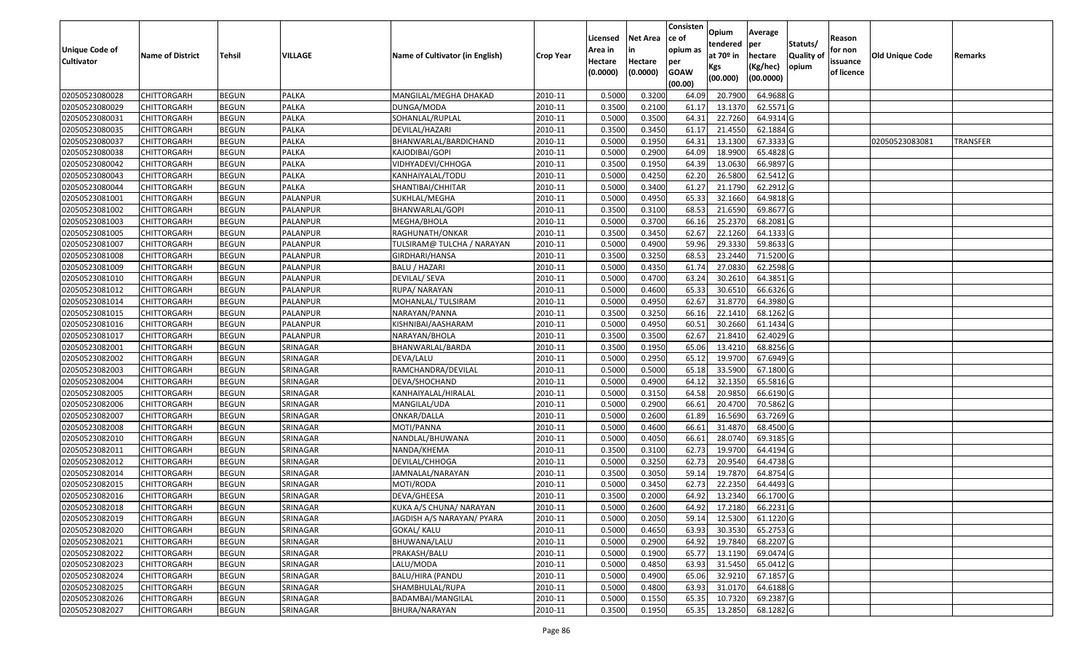| Unique Code of<br><b>Cultivator</b> | <b>Name of District</b> | Tehsil       | VILLAGE      | Name of Cultivator (in English) | <b>Crop Year</b> | Licensed<br>Area in<br>Hectare | Net Area<br>in<br>Hectare | Consisten<br>ce of<br>opium as<br>per | Opium<br>tendered<br>at 70º in | Average<br>per<br>hectare | Statuts/<br><b>Quality of</b> | Reason<br>for non<br>issuance | <b>Old Unique Code</b> | Remarks  |
|-------------------------------------|-------------------------|--------------|--------------|---------------------------------|------------------|--------------------------------|---------------------------|---------------------------------------|--------------------------------|---------------------------|-------------------------------|-------------------------------|------------------------|----------|
|                                     |                         |              |              |                                 |                  | (0.0000)                       | (0.0000)                  | <b>GOAW</b><br>(00.00)                | Kgs<br>(00.000)                | (Kg/hec)<br>(00.0000)     | opium                         | of licence                    |                        |          |
| 02050523080028                      | <b>CHITTORGARH</b>      | <b>BEGUN</b> | <b>PALKA</b> | MANGILAL/MEGHA DHAKAD           | 2010-11          | 0.5000                         | 0.3200                    | 64.09                                 | 20.7900                        | 64.9688 G                 |                               |                               |                        |          |
| 02050523080029                      | CHITTORGARH             | <b>BEGUN</b> | <b>PALKA</b> | DUNGA/MODA                      | 2010-11          | 0.3500                         | 0.2100                    | 61.17                                 | 13.1370                        | 62.5571 G                 |                               |                               |                        |          |
| 02050523080031                      | CHITTORGARH             | <b>BEGUN</b> | <b>PALKA</b> | SOHANLAL/RUPLAL                 | 2010-11          | 0.5000                         | 0.3500                    | 64.31                                 | 22.7260                        | 64.9314 G                 |                               |                               |                        |          |
| 02050523080035                      | CHITTORGARH             | <b>BEGUN</b> | PALKA        | DEVILAL/HAZARI                  | 2010-11          | 0.3500                         | 0.3450                    | 61.17                                 | 21.4550                        | 62.1884 G                 |                               |                               |                        |          |
| 02050523080037                      | CHITTORGARH             | <b>BEGUN</b> | <b>PALKA</b> | BHANWARLAL/BARDICHAND           | 2010-11          | 0.5000                         | 0.1950                    | 64.31                                 | 13.1300                        | 67.3333 G                 |                               |                               | 02050523083081         | TRANSFER |
| 02050523080038                      | CHITTORGARH             | <b>BEGUN</b> | <b>PALKA</b> | KAJODIBAI/GOPI                  | 2010-11          | 0.5000                         | 0.2900                    | 64.09                                 | 18.9900                        | 65.4828 G                 |                               |                               |                        |          |
| 02050523080042                      | CHITTORGARH             | <b>BEGUN</b> | PALKA        | VIDHYADEVI/CHHOGA               | 2010-11          | 0.3500                         | 0.1950                    | 64.39                                 | 13.0630                        | 66.9897 G                 |                               |                               |                        |          |
| 02050523080043                      | <b>CHITTORGARH</b>      | <b>BEGUN</b> | PALKA        | KANHAIYALAL/TODU                | 2010-11          | 0.5000                         | 0.4250                    | 62.20                                 | 26.5800                        | 62.5412 G                 |                               |                               |                        |          |
| 02050523080044                      | CHITTORGARH             | <b>BEGUN</b> | <b>PALKA</b> | SHANTIBAI/CHHITAR               | 2010-11          | 0.5000                         | 0.3400                    | 61.27                                 | 21.1790                        | 62.2912 G                 |                               |                               |                        |          |
| 02050523081001                      | CHITTORGARH             | <b>BEGUN</b> | PALANPUR     | SUKHLAL/MEGHA                   | 2010-11          | 0.5000                         | 0.4950                    | 65.33                                 | 32.1660                        | 64.9818 G                 |                               |                               |                        |          |
| 02050523081002                      | CHITTORGARH             | <b>BEGUN</b> | PALANPUR     | BHANWARLAL/GOPI                 | 2010-11          | 0.3500                         | 0.3100                    | 68.53                                 | 21.6590                        | 69.8677 G                 |                               |                               |                        |          |
| 02050523081003                      | <b>CHITTORGARH</b>      | <b>BEGUN</b> | PALANPUR     | MEGHA/BHOLA                     | 2010-11          | 0.5000                         | 0.3700                    | 66.16                                 | 25.2370                        | 68.2081 G                 |                               |                               |                        |          |
| 02050523081005                      | <b>CHITTORGARH</b>      | <b>BEGUN</b> | PALANPUR     | RAGHUNATH/ONKAR                 | 2010-11          | 0.3500                         | 0.3450                    | 62.67                                 | 22.1260                        | 64.1333 G                 |                               |                               |                        |          |
| 02050523081007                      | <b>CHITTORGARH</b>      | <b>BEGUN</b> | PALANPUR     | TULSIRAM@ TULCHA / NARAYAN      | 2010-11          | 0.5000                         | 0.4900                    | 59.96                                 | 29.3330                        | 59.8633 G                 |                               |                               |                        |          |
| 02050523081008                      | CHITTORGARH             | <b>BEGUN</b> | PALANPUR     | GIRDHARI/HANSA                  | 2010-11          | 0.3500                         | 0.3250                    | 68.53                                 | 23.2440                        | 71.5200 G                 |                               |                               |                        |          |
| 02050523081009                      | <b>CHITTORGARH</b>      | <b>BEGUN</b> | PALANPUR     | <b>BALU / HAZARI</b>            | 2010-11          | 0.5000                         | 0.4350                    | 61.74                                 | 27.0830                        | 62.2598 G                 |                               |                               |                        |          |
| 02050523081010                      | <b>CHITTORGARH</b>      | <b>BEGUN</b> | PALANPUR     | DEVILAL/ SEVA                   | 2010-11          | 0.5000                         | 0.4700                    | 63.24                                 | 30.2610                        | 64.3851 G                 |                               |                               |                        |          |
| 02050523081012                      | CHITTORGARH             | <b>BEGUN</b> | PALANPUR     | RUPA/ NARAYAN                   | 2010-11          | 0.5000                         | 0.4600                    | 65.33                                 | 30.6510                        | 66.6326 G                 |                               |                               |                        |          |
| 02050523081014                      | CHITTORGARH             | <b>BEGUN</b> | PALANPUR     | MOHANLAL/ TULSIRAM              | 2010-11          | 0.5000                         | 0.4950                    | 62.67                                 | 31.8770                        | 64.3980 G                 |                               |                               |                        |          |
| 02050523081015                      | CHITTORGARH             | <b>BEGUN</b> | PALANPUR     | NARAYAN/PANNA                   | 2010-11          | 0.3500                         | 0.3250                    | 66.16                                 | 22.1410                        | 68.1262 G                 |                               |                               |                        |          |
| 02050523081016                      | CHITTORGARH             | <b>BEGUN</b> | PALANPUR     | KISHNIBAI/AASHARAM              | 2010-11          | 0.5000                         | 0.4950                    | 60.51                                 | 30.2660                        | 61.1434 G                 |                               |                               |                        |          |
| 02050523081017                      | CHITTORGARH             | <b>BEGUN</b> | PALANPUR     | NARAYAN/BHOLA                   | 2010-11          | 0.3500                         | 0.3500                    | 62.67                                 | 21.8410                        | 62.4029 G                 |                               |                               |                        |          |
| 02050523082001                      | CHITTORGARH             | <b>BEGUN</b> | SRINAGAR     | BHANWARLAL/BARDA                | 2010-11          | 0.3500                         | 0.1950                    | 65.06                                 | 13.4210                        | 68.8256 G                 |                               |                               |                        |          |
| 02050523082002                      | CHITTORGARH             | <b>BEGUN</b> | SRINAGAR     | DEVA/LALU                       | 2010-11          | 0.5000                         | 0.2950                    | 65.12                                 | 19.9700                        | 67.6949 G                 |                               |                               |                        |          |
| 02050523082003                      | CHITTORGARH             | <b>BEGUN</b> | SRINAGAR     | RAMCHANDRA/DEVILAL              | 2010-11          | 0.5000                         | 0.5000                    | 65.18                                 | 33.5900                        | 67.1800 G                 |                               |                               |                        |          |
| 02050523082004                      | CHITTORGARH             | <b>BEGUN</b> | SRINAGAR     | DEVA/SHOCHAND                   | 2010-11          | 0.5000                         | 0.4900                    | 64.12                                 | 32.1350                        | 65.5816 G                 |                               |                               |                        |          |
| 02050523082005                      | CHITTORGARH             | <b>BEGUN</b> | SRINAGAR     | KANHAIYALAL/HIRALAL             | 2010-11          | 0.5000                         | 0.3150                    | 64.58                                 | 20.9850                        | 66.6190 G                 |                               |                               |                        |          |
| 02050523082006                      | CHITTORGARH             | <b>BEGUN</b> | SRINAGAR     | MANGILAL/UDA                    | 2010-11          | 0.5000                         | 0.2900                    | 66.61                                 | 20.4700                        | 70.5862 G                 |                               |                               |                        |          |
| 02050523082007                      | CHITTORGARH             | <b>BEGUN</b> | SRINAGAR     | ONKAR/DALLA                     | 2010-11          | 0.5000                         | 0.2600                    | 61.89                                 | 16.5690                        | 63.7269 G                 |                               |                               |                        |          |
| 02050523082008                      | CHITTORGARH             | <b>BEGUN</b> | SRINAGAR     | MOTI/PANNA                      | 2010-11          | 0.5000                         | 0.4600                    | 66.61                                 | 31.4870                        | 68.4500 G                 |                               |                               |                        |          |
| 02050523082010                      | CHITTORGARH             | <b>BEGUN</b> | SRINAGAR     | NANDLAL/BHUWANA                 | 2010-11          | 0.5000                         | 0.4050                    | 66.61                                 | 28.0740                        | 69.3185 G                 |                               |                               |                        |          |
| 02050523082011                      | CHITTORGARH             | <b>BEGUN</b> | SRINAGAR     | NANDA/KHEMA                     | 2010-11          | 0.3500                         | 0.3100                    | 62.73                                 | 19.9700                        | 64.4194 G                 |                               |                               |                        |          |
| 02050523082012                      | CHITTORGARH             | <b>BEGUN</b> | SRINAGAR     | DEVILAL/CHHOGA                  | 2010-11          | 0.5000                         | 0.3250                    | 62.73                                 | 20.9540                        | 64.4738 G                 |                               |                               |                        |          |
| 02050523082014                      | CHITTORGARH             | <b>BEGUN</b> | SRINAGAR     | JAMNALAL/NARAYAN                | 2010-11          | 0.3500                         | 0.3050                    | 59.14                                 | 19.7870                        | 64.8754 G                 |                               |                               |                        |          |
| 02050523082015                      | CHITTORGARH             | <b>BEGUN</b> | SRINAGAR     | MOTI/RODA                       | 2010-11          | 0.5000                         | 0.3450                    | 62.73                                 | 22.2350                        | 64.4493 G                 |                               |                               |                        |          |
| 02050523082016                      | CHITTORGARH             | <b>BEGUN</b> | SRINAGAR     | DEVA/GHEESA                     | 2010-11          | 0.3500                         | 0.2000                    | 64.92                                 | 13.2340                        | 66.1700 G                 |                               |                               |                        |          |
| 02050523082018                      | <b>CHITTORGARH</b>      | <b>BEGUN</b> | SRINAGAR     | KUKA A/S CHUNA/ NARAYAN         | 2010-11          | 0.5000                         | 0.2600                    | 64.92                                 |                                | 17.2180 66.2231 G         |                               |                               |                        |          |
| 02050523082019                      | <b>CHITTORGARH</b>      | <b>BEGUN</b> | SRINAGAR     | JAGDISH A/S NARAYAN/ PYARA      | 2010-11          | 0.5000                         | 0.2050                    | 59.14                                 | 12.5300                        | 61.1220 G                 |                               |                               |                        |          |
| 02050523082020                      | <b>CHITTORGARH</b>      | <b>BEGUN</b> | SRINAGAR     | <b>GOKAL/ KALU</b>              | 2010-11          | 0.5000                         | 0.4650                    | 63.93                                 | 30.3530                        | 65.2753 G                 |                               |                               |                        |          |
| 02050523082021                      | <b>CHITTORGARH</b>      | <b>BEGUN</b> | SRINAGAR     | BHUWANA/LALU                    | 2010-11          | 0.5000                         | 0.2900                    | 64.92                                 | 19.7840                        | 68.2207 G                 |                               |                               |                        |          |
| 02050523082022                      | <b>CHITTORGARH</b>      | <b>BEGUN</b> | SRINAGAR     | PRAKASH/BALU                    | 2010-11          | 0.5000                         | 0.1900                    | 65.77                                 | 13.1190                        | 69.0474 G                 |                               |                               |                        |          |
| 02050523082023                      | <b>CHITTORGARH</b>      | <b>BEGUN</b> | SRINAGAR     | LALU/MODA                       | 2010-11          | 0.5000                         | 0.4850                    | 63.93                                 | 31.5450                        | 65.0412 G                 |                               |                               |                        |          |
| 02050523082024                      | <b>CHITTORGARH</b>      | <b>BEGUN</b> | SRINAGAR     | BALU/HIRA (PANDU                | 2010-11          | 0.5000                         | 0.4900                    | 65.06                                 | 32.9210                        | 67.1857 G                 |                               |                               |                        |          |
| 02050523082025                      | <b>CHITTORGARH</b>      | <b>BEGUN</b> | SRINAGAR     | SHAMBHULAL/RUPA                 | 2010-11          | 0.5000                         | 0.4800                    | 63.93                                 | 31.0170                        | 64.6188 G                 |                               |                               |                        |          |
| 02050523082026                      | <b>CHITTORGARH</b>      | <b>BEGUN</b> | SRINAGAR     | BADAMBAI/MANGILAL               | 2010-11          | 0.5000                         | 0.1550                    | 65.35                                 | 10.7320                        | 69.2387 G                 |                               |                               |                        |          |
| 02050523082027                      | <b>CHITTORGARH</b>      | <b>BEGUN</b> | SRINAGAR     | BHURA/NARAYAN                   | 2010-11          | 0.3500                         | 0.1950                    | 65.35                                 | 13.2850                        | 68.1282 G                 |                               |                               |                        |          |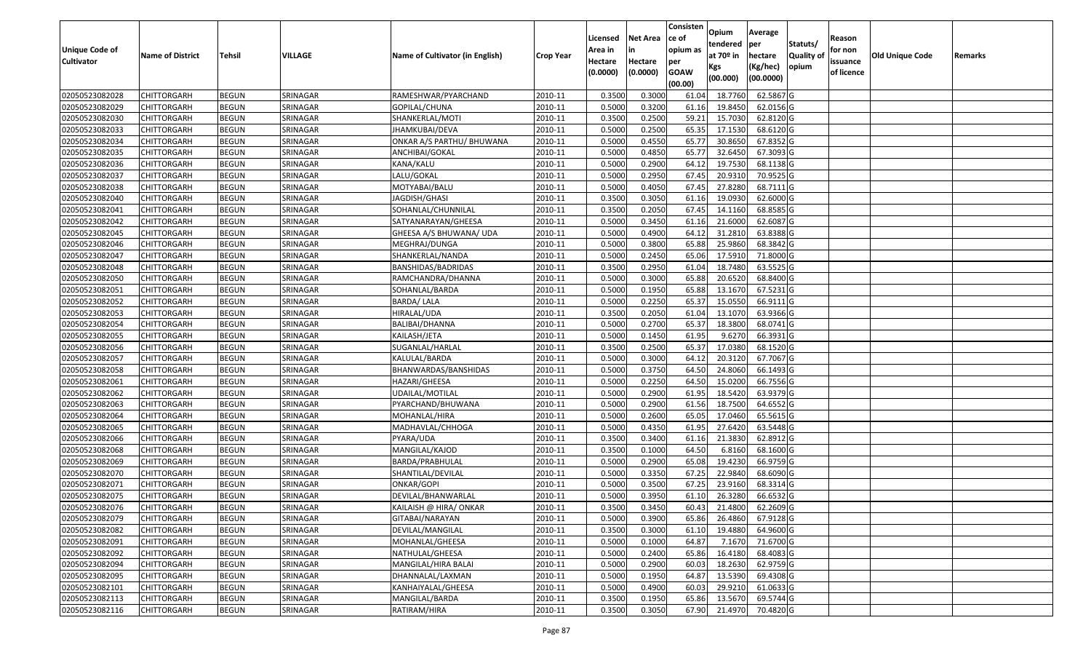|                   |                         |               |          |                                 |                  |          |                 | Consisten   | Opium         | Average   |                  |            |                 |         |
|-------------------|-------------------------|---------------|----------|---------------------------------|------------------|----------|-----------------|-------------|---------------|-----------|------------------|------------|-----------------|---------|
|                   |                         |               |          |                                 |                  | Licensed | <b>Net Area</b> | lce of      | tendered      | per       | Statuts/         | Reason     |                 |         |
| Unique Code of    | <b>Name of District</b> | <b>Tehsil</b> | VILLAGE  | Name of Cultivator (in English) | <b>Crop Year</b> | Area in  |                 | opium as    | at $70°$ in   | hectare   | <b>Quality o</b> | for non    | Old Unique Code | Remarks |
| <b>Cultivator</b> |                         |               |          |                                 |                  | Hectare  | Hectare         | per         | Kgs           | (Kg/hec)  | opium            | issuance   |                 |         |
|                   |                         |               |          |                                 |                  | (0.0000) | (0.0000)        | <b>GOAW</b> | (00.000)      | (00.0000) |                  | of licence |                 |         |
|                   |                         |               |          |                                 |                  |          |                 | (00.00)     |               |           |                  |            |                 |         |
| 02050523082028    | CHITTORGARH             | <b>BEGUN</b>  | SRINAGAR | RAMESHWAR/PYARCHAND             | 2010-11          | 0.3500   | 0.3000          | 61.04       | 18.7760       | 62.5867 G |                  |            |                 |         |
| 02050523082029    | CHITTORGARH             | <b>BEGUN</b>  | SRINAGAR | GOPILAL/CHUNA                   | 2010-11          | 0.5000   | 0.3200          | 61.16       | 19.8450       | 62.0156 G |                  |            |                 |         |
| 02050523082030    | CHITTORGARH             | <b>BEGUN</b>  | SRINAGAR | SHANKERLAL/MOTI                 | 2010-11          | 0.3500   | 0.2500          | 59.2        | 15.7030       | 62.8120 G |                  |            |                 |         |
| 02050523082033    | <b>CHITTORGARH</b>      | <b>BEGUN</b>  | SRINAGAR | JHAMKUBAI/DEVA                  | 2010-11          | 0.5000   | 0.2500          | 65.35       | 17.1530       | 68.6120G  |                  |            |                 |         |
| 02050523082034    | CHITTORGARH             | <b>BEGUN</b>  | SRINAGAR | ONKAR A/S PARTHU/ BHUWANA       | 2010-11          | 0.5000   | 0.4550          | 65.77       | 30.865        | 67.8352 G |                  |            |                 |         |
| 02050523082035    | CHITTORGARH             | <b>BEGUN</b>  | SRINAGAR | ANCHIBAI/GOKAL                  | 2010-11          | 0.5000   | 0.4850          | 65.77       | 32.6450       | 67.3093 G |                  |            |                 |         |
| 02050523082036    | CHITTORGARH             | <b>BEGUN</b>  | SRINAGAR | KANA/KALU                       | 2010-11          | 0.5000   | 0.2900          | 64.1        | 19.7530       | 68.1138 G |                  |            |                 |         |
| 02050523082037    | CHITTORGARH             | <b>BEGUN</b>  | SRINAGAR | LALU/GOKAL                      | 2010-11          | 0.5000   | 0.2950          | 67.45       | 20.931        | 70.9525 G |                  |            |                 |         |
| 02050523082038    | CHITTORGARH             | <b>BEGUN</b>  | SRINAGAR | MOTYABAI/BALU                   | 2010-11          | 0.5000   | 0.4050          | 67.45       | 27.8280       | 68.7111G  |                  |            |                 |         |
| 02050523082040    | CHITTORGARH             | <b>BEGUN</b>  | SRINAGAR | JAGDISH/GHASI                   | 2010-11          | 0.3500   | 0.3050          | 61.1        | 19.093        | 62.6000 G |                  |            |                 |         |
| 02050523082041    | CHITTORGARH             | <b>BEGUN</b>  | SRINAGAR | SOHANLAL/CHUNNILAL              | 2010-11          | 0.3500   | 0.2050          | 67.45       | 14.1160       | 68.8585 G |                  |            |                 |         |
| 02050523082042    | CHITTORGARH             | <b>BEGUN</b>  | SRINAGAR | SATYANARAYAN/GHEESA             | 2010-11          | 0.5000   | 0.3450          | 61.16       | 21.6000       | 62.6087 G |                  |            |                 |         |
| 02050523082045    | <b>CHITTORGARH</b>      | <b>BEGUN</b>  | SRINAGAR | GHEESA A/S BHUWANA/ UDA         | 2010-11          | 0.5000   | 0.4900          | 64.12       | 31.2810       | 63.8388 G |                  |            |                 |         |
| 02050523082046    | CHITTORGARH             | <b>BEGUN</b>  | SRINAGAR | MEGHRAJ/DUNGA                   | 2010-11          | 0.5000   | 0.3800          | 65.88       | 25.9860       | 68.3842 G |                  |            |                 |         |
| 02050523082047    | CHITTORGARH             | <b>BEGUN</b>  | SRINAGAR | SHANKERLAL/NANDA                | 2010-11          | 0.5000   | 0.2450          | 65.06       | 17.5910       | 71.8000G  |                  |            |                 |         |
| 02050523082048    | CHITTORGARH             | <b>BEGUN</b>  | SRINAGAR | BANSHIDAS/BADRIDAS              | 2010-11          | 0.3500   | 0.2950          | 61.04       | 18.7480       | 63.5525 G |                  |            |                 |         |
| 02050523082050    | CHITTORGARH             | <b>BEGUN</b>  | SRINAGAR | RAMCHANDRA/DHANNA               | 2010-11          | 0.5000   | 0.3000          | 65.88       | 20.6520       | 68.8400 G |                  |            |                 |         |
| 02050523082051    | CHITTORGARH             | <b>BEGUN</b>  | SRINAGAR | SOHANLAL/BARDA                  | 2010-11          | 0.5000   | 0.1950          | 65.88       | 13.1670       | 67.5231 G |                  |            |                 |         |
| 02050523082052    | CHITTORGARH             | <b>BEGUN</b>  | SRINAGAR | <b>BARDA/LALA</b>               | 2010-11          | 0.5000   | 0.2250          | 65.37       | 15.0550       | 66.9111G  |                  |            |                 |         |
| 02050523082053    | CHITTORGARH             | <b>BEGUN</b>  | SRINAGAR | HIRALAL/UDA                     | 2010-11          | 0.3500   | 0.2050          | 61.04       | 13.1070       | 63.9366 G |                  |            |                 |         |
| 02050523082054    | CHITTORGARH             | <b>BEGUN</b>  | SRINAGAR | BALIBAI/DHANNA                  | 2010-11          | 0.5000   | 0.2700          | 65.37       | 18.3800       | 68.0741 G |                  |            |                 |         |
| 02050523082055    | CHITTORGARH             | <b>BEGUN</b>  | SRINAGAR | KAILASH/JETA                    | 2010-11          | 0.500    | 0.1450          | 61.95       | 9.6270        | 66.3931 G |                  |            |                 |         |
| 02050523082056    | CHITTORGARH             | <b>BEGUN</b>  | SRINAGAR | SUGANLAL/HARLAL                 | 2010-11          | 0.3500   | 0.2500          | 65.37       | 17.0380       | 68.1520 G |                  |            |                 |         |
| 02050523082057    | CHITTORGARH             | <b>BEGUN</b>  | SRINAGAR | KALULAL/BARDA                   | 2010-11          | 0.5000   | 0.3000          | 64.1        | 20.3120       | 67.7067 G |                  |            |                 |         |
| 02050523082058    | CHITTORGARH             | <b>BEGUN</b>  | SRINAGAR | BHANWARDAS/BANSHIDAS            | 2010-11          | 0.5000   | 0.3750          | 64.50       | 24.8060       | 66.1493 G |                  |            |                 |         |
| 02050523082061    | CHITTORGARH             | <b>BEGUN</b>  | SRINAGAR | HAZARI/GHEESA                   | 2010-11          | 0.5000   | 0.2250          | 64.50       | 15.0200       | 66.7556 G |                  |            |                 |         |
| 02050523082062    | CHITTORGARH             | <b>BEGUN</b>  | SRINAGAR | UDAILAL/MOTILAL                 | 2010-11          | 0.5000   | 0.2900          | 61.95       | 18.5420       | 63.9379 G |                  |            |                 |         |
| 02050523082063    | CHITTORGARH             | <b>BEGUN</b>  | SRINAGAR | PYARCHAND/BHUWANA               | 2010-11          | 0.5000   | 0.2900          | 61.56       | 18.7500       | 64.6552 G |                  |            |                 |         |
| 02050523082064    | CHITTORGARH             | <b>BEGUN</b>  | SRINAGAR | MOHANLAL/HIRA                   | 2010-11          | 0.5000   | 0.2600          | 65.05       | 17.0460       | 65.5615 G |                  |            |                 |         |
| 02050523082065    | CHITTORGARH             | <b>BEGUN</b>  | SRINAGAR | MADHAVLAL/CHHOGA                | 2010-11          | 0.5000   | 0.4350          | 61.95       | 27.6420       | 63.5448 G |                  |            |                 |         |
| 02050523082066    | CHITTORGARH             | <b>BEGUN</b>  | SRINAGAR | PYARA/UDA                       | 2010-11          | 0.3500   | 0.3400          | 61.1        | 21.3830       | 62.8912 G |                  |            |                 |         |
| 02050523082068    | CHITTORGARH             | <b>BEGUN</b>  | SRINAGAR | MANGILAL/KAJOD                  | 2010-11          | 0.3500   | 0.1000          | 64.50       | 6.8160        | 68.1600 G |                  |            |                 |         |
| 02050523082069    | CHITTORGARH             | <b>BEGUN</b>  | SRINAGAR | BARDA/PRABHULAL                 | 2010-11          | 0.5000   | 0.2900          | 65.08       | 19.4230       | 66.9759 G |                  |            |                 |         |
| 02050523082070    | CHITTORGARH             | <b>BEGUN</b>  | SRINAGAR | SHANTILAL/DEVILAL               | 2010-11          | 0.5000   | 0.3350          | 67.25       | 22.9840       | 68.6090 G |                  |            |                 |         |
| 02050523082071    | CHITTORGARH             | <b>BEGUN</b>  | SRINAGAR | ONKAR/GOPI                      | 2010-11          | 0.500    | 0.3500          | 67.25       | 23.9160       | 68.3314 G |                  |            |                 |         |
| 02050523082075    | CHITTORGARH             | <b>BEGUN</b>  | SRINAGAR | DEVILAL/BHANWARLAL              | 2010-11          | 0.5000   | 0.3950          | 61.10       | 26.3280       | 66.6532 G |                  |            |                 |         |
| 02050523082076    | <b>CHITTORGARH</b>      | <b>BEGUN</b>  | SRINAGAR | KAILAISH @ HIRA/ ONKAR          | 2010-11          | 0.3500   | 0.3450          |             | 60.43 21.4800 | 62.2609 G |                  |            |                 |         |
| 02050523082079    | <b>CHITTORGARH</b>      | <b>BEGUN</b>  | SRINAGAR | GITABAI/NARAYAN                 | 2010-11          | 0.5000   | 0.3900          | 65.86       | 26.4860       | 67.9128 G |                  |            |                 |         |
| 02050523082082    | <b>CHITTORGARH</b>      | <b>BEGUN</b>  | SRINAGAR | DEVILAL/MANGILAL                | 2010-11          | 0.3500   | 0.3000          | 61.10       | 19.4880       | 64.9600 G |                  |            |                 |         |
| 02050523082091    | <b>CHITTORGARH</b>      | <b>BEGUN</b>  | SRINAGAR | MOHANLAL/GHEESA                 | 2010-11          | 0.5000   | 0.1000          | 64.87       | 7.1670        | 71.6700 G |                  |            |                 |         |
| 02050523082092    | <b>CHITTORGARH</b>      | <b>BEGUN</b>  | SRINAGAR | NATHULAL/GHEESA                 | 2010-11          | 0.5000   | 0.2400          | 65.86       | 16.4180       | 68.4083 G |                  |            |                 |         |
| 02050523082094    | <b>CHITTORGARH</b>      | <b>BEGUN</b>  | SRINAGAR | MANGILAL/HIRA BALAI             | 2010-11          | 0.5000   | 0.2900          | 60.03       | 18.2630       | 62.9759 G |                  |            |                 |         |
| 02050523082095    | <b>CHITTORGARH</b>      | <b>BEGUN</b>  | SRINAGAR | DHANNALAL/LAXMAN                | 2010-11          | 0.5000   | 0.1950          | 64.87       | 13.5390       | 69.4308 G |                  |            |                 |         |
| 02050523082101    | <b>CHITTORGARH</b>      | <b>BEGUN</b>  | SRINAGAR | KANHAIYALAL/GHEESA              | 2010-11          | 0.5000   | 0.4900          | 60.03       | 29.9210       | 61.0633 G |                  |            |                 |         |
| 02050523082113    | <b>CHITTORGARH</b>      | <b>BEGUN</b>  | SRINAGAR | MANGILAL/BARDA                  | 2010-11          | 0.3500   | 0.1950          | 65.86       | 13.5670       | 69.5744 G |                  |            |                 |         |
| 02050523082116    | <b>CHITTORGARH</b>      | <b>BEGUN</b>  | SRINAGAR | RATIRAM/HIRA                    | 2010-11          | 0.3500   | 0.3050          | 67.90       | 21.4970       | 70.4820 G |                  |            |                 |         |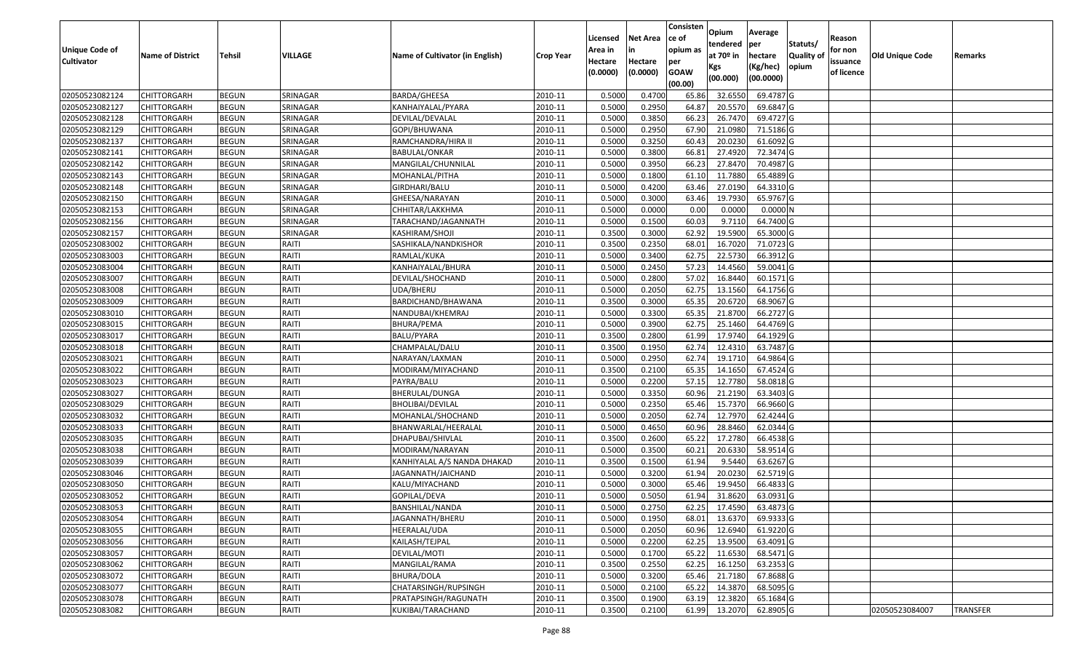|                       |                         |               |          |                                 |                  |                     |                     | Consisten          | Opium         | Average   |                  |                        |                 |                 |
|-----------------------|-------------------------|---------------|----------|---------------------------------|------------------|---------------------|---------------------|--------------------|---------------|-----------|------------------|------------------------|-----------------|-----------------|
|                       |                         |               |          |                                 |                  | Licensed            | <b>Net Area</b>     | ce of              | tendered      | per       | Statuts/         | Reason                 |                 |                 |
| <b>Unique Code of</b> | <b>Name of District</b> | <b>Tehsil</b> | VILLAGE  | Name of Cultivator (in English) | <b>Crop Year</b> | Area in             |                     | opium as           | at $70°$ in   | hectare   | <b>Quality o</b> | for non                | Old Unique Code | Remarks         |
| <b>Cultivator</b>     |                         |               |          |                                 |                  | Hectare<br>(0.0000) | Hectare<br>(0.0000) | per<br><b>GOAW</b> | Kgs           | (Kg/hec)  | opium            | issuance<br>of licence |                 |                 |
|                       |                         |               |          |                                 |                  |                     |                     | (00.00)            | (00.000)      | (00.0000) |                  |                        |                 |                 |
| 02050523082124        | CHITTORGARH             | <b>BEGUN</b>  | SRINAGAR | BARDA/GHEESA                    | 2010-11          | 0.5000              | 0.4700              | 65.86              | 32.655        | 69.4787 G |                  |                        |                 |                 |
| 02050523082127        | CHITTORGARH             | <b>BEGUN</b>  | SRINAGAR | KANHAIYALAL/PYARA               | 2010-11          | 0.5000              | 0.2950              | 64.87              | 20.5570       | 69.6847 G |                  |                        |                 |                 |
| 02050523082128        | CHITTORGARH             | <b>BEGUN</b>  | SRINAGAR | DEVILAL/DEVALAL                 | 2010-11          | 0.5000              | 0.3850              | 66.23              | 26.7470       | 69.4727 G |                  |                        |                 |                 |
| 02050523082129        | <b>CHITTORGARH</b>      | <b>BEGUN</b>  | SRINAGAR | GOPI/BHUWANA                    | 2010-11          | 0.5000              | 0.2950              | 67.90              | 21.0980       | 71.5186 G |                  |                        |                 |                 |
| 02050523082137        | CHITTORGARH             | <b>BEGUN</b>  | SRINAGAR | RAMCHANDRA/HIRA II              | 2010-11          | 0.5000              | 0.3250              | 60.43              | 20.023        | 61.6092 G |                  |                        |                 |                 |
| 02050523082141        | CHITTORGARH             | <b>BEGUN</b>  | SRINAGAR | BABULAL/ONKAR                   | 2010-11          | 0.5000              | 0.3800              | 66.8               | 27.4920       | 72.3474 G |                  |                        |                 |                 |
| 02050523082142        | CHITTORGARH             | <b>BEGUN</b>  | SRINAGAR | MANGILAL/CHUNNILAL              | 2010-11          | 0.5000              | 0.3950              | 66.23              | 27.8470       | 70.4987 G |                  |                        |                 |                 |
| 02050523082143        | CHITTORGARH             | <b>BEGUN</b>  | SRINAGAR | MOHANLAL/PITHA                  | 2010-11          | 0.5000              | 0.1800              | 61.10              | 11.7880       | 65.4889 G |                  |                        |                 |                 |
| 02050523082148        | CHITTORGARH             | <b>BEGUN</b>  | SRINAGAR | GIRDHARI/BALU                   | 2010-11          | 0.5000              | 0.4200              | 63.46              | 27.0190       | 64.3310 G |                  |                        |                 |                 |
| 02050523082150        | CHITTORGARH             | <b>BEGUN</b>  | SRINAGAR | GHEESA/NARAYAN                  | 2010-11          | 0.5000              | 0.3000              | 63.46              | 19.7930       | 65.9767 G |                  |                        |                 |                 |
| 02050523082153        | CHITTORGARH             | <b>BEGUN</b>  | SRINAGAR | CHHITAR/LAKKHMA                 | 2010-11          | 0.5000              | 0.0000              | 0.00               | 0.0000        | 0.0000N   |                  |                        |                 |                 |
| 02050523082156        | CHITTORGARH             | <b>BEGUN</b>  | SRINAGAR | TARACHAND/JAGANNATH             | 2010-11          | 0.5000              | 0.1500              | 60.03              | 9.7110        | 64.7400 G |                  |                        |                 |                 |
| 02050523082157        | <b>CHITTORGARH</b>      | <b>BEGUN</b>  | SRINAGAR | KASHIRAM/SHOJI                  | 2010-11          | 0.3500              | 0.3000              | 62.92              | 19.5900       | 65.3000G  |                  |                        |                 |                 |
| 02050523083002        | CHITTORGARH             | <b>BEGUN</b>  | RAITI    | SASHIKALA/NANDKISHOR            | 2010-11          | 0.3500              | 0.2350              | 68.01              | 16.7020       | 71.0723G  |                  |                        |                 |                 |
| 02050523083003        | CHITTORGARH             | <b>BEGUN</b>  | RAITI    | RAMLAL/KUKA                     | 2010-11          | 0.5000              | 0.3400              | 62.75              | 22.5730       | 66.3912G  |                  |                        |                 |                 |
| 02050523083004        | CHITTORGARH             | <b>BEGUN</b>  | RAITI    | KANHAIYALAL/BHURA               | 2010-11          | 0.5000              | 0.2450              | 57.23              | 14.4560       | 59.0041G  |                  |                        |                 |                 |
| 02050523083007        | CHITTORGARH             | <b>BEGUN</b>  | RAITI    | DEVILAL/SHOCHAND                | 2010-11          | 0.5000              | 0.2800              | 57.02              | 16.8440       | 60.1571 G |                  |                        |                 |                 |
| 02050523083008        | CHITTORGARH             | <b>BEGUN</b>  | RAITI    | UDA/BHERU                       | 2010-11          | 0.5000              | 0.2050              | 62.75              | 13.1560       | 64.1756 G |                  |                        |                 |                 |
| 02050523083009        | CHITTORGARH             | <b>BEGUN</b>  | RAITI    | BARDICHAND/BHAWANA              | 2010-11          | 0.3500              | 0.3000              | 65.35              | 20.6720       | 68.9067 G |                  |                        |                 |                 |
| 02050523083010        | CHITTORGARH             | <b>BEGUN</b>  | RAITI    | NANDUBAI/KHEMRAJ                | 2010-11          | 0.5000              | 0.3300              | 65.35              | 21.8700       | 66.2727 G |                  |                        |                 |                 |
| 02050523083015        | CHITTORGARH             | <b>BEGUN</b>  | RAITI    | BHURA/PEMA                      | 2010-11          | 0.5000              | 0.3900              | 62.75              | 25.1460       | 64.4769 G |                  |                        |                 |                 |
| 02050523083017        | CHITTORGARH             | <b>BEGUN</b>  | RAITI    | BALU/PYARA                      | 2010-11          | 0.3500              | 0.2800              | 61.99              | 17.974        | 64.1929 G |                  |                        |                 |                 |
| 02050523083018        | CHITTORGARH             | <b>BEGUN</b>  | RAITI    | CHAMPALAL/DALU                  | 2010-11          | 0.3500              | 0.1950              | 62.74              | 12.4310       | 63.7487 G |                  |                        |                 |                 |
| 02050523083021        | CHITTORGARH             | <b>BEGUN</b>  | RAITI    | NARAYAN/LAXMAN                  | 2010-11          | 0.5000              | 0.2950              | 62.7               | 19.171        | 64.9864 G |                  |                        |                 |                 |
| 02050523083022        | CHITTORGARH             | <b>BEGUN</b>  | RAITI    | MODIRAM/MIYACHAND               | 2010-11          | 0.3500              | 0.2100              | 65.35              | 14.1650       | 67.4524 G |                  |                        |                 |                 |
| 02050523083023        | CHITTORGARH             | <b>BEGUN</b>  | RAITI    | PAYRA/BALU                      | 2010-11          | 0.5000              | 0.2200              | 57.15              | 12.7780       | 58.0818 G |                  |                        |                 |                 |
| 02050523083027        | CHITTORGARH             | <b>BEGUN</b>  | RAITI    | BHERULAL/DUNGA                  | 2010-11          | 0.5000              | 0.3350              | 60.96              | 21.2190       | 63.3403 G |                  |                        |                 |                 |
| 02050523083029        | CHITTORGARH             | <b>BEGUN</b>  | RAITI    | BHOLIBAI/DEVILAL                | 2010-11          | 0.5000              | 0.2350              | 65.46              | 15.7370       | 66.9660 G |                  |                        |                 |                 |
| 02050523083032        | CHITTORGARH             | <b>BEGUN</b>  | RAITI    | MOHANLAL/SHOCHAND               | 2010-11          | 0.5000              | 0.2050              | 62.74              | 12.7970       | 62.4244 G |                  |                        |                 |                 |
| 02050523083033        | CHITTORGARH             | <b>BEGUN</b>  | RAITI    | BHANWARLAL/HEERALAL             | 2010-11          | 0.5000              | 0.4650              | 60.96              | 28.8460       | 62.0344 G |                  |                        |                 |                 |
| 02050523083035        | CHITTORGARH             | <b>BEGUN</b>  | RAITI    | DHAPUBAI/SHIVLAL                | 2010-11          | 0.3500              | 0.2600              | 65.22              | 17.2780       | 66.4538 G |                  |                        |                 |                 |
| 02050523083038        | CHITTORGARH             | <b>BEGUN</b>  | RAITI    | MODIRAM/NARAYAN                 | 2010-11          | 0.5000              | 0.3500              | 60.2               | 20.6330       | 58.9514 G |                  |                        |                 |                 |
| 02050523083039        | CHITTORGARH             | <b>BEGUN</b>  | RAITI    | KANHIYALAL A/S NANDA DHAKAD     | 2010-11          | 0.3500              | 0.1500              | 61.94              | 9.5440        | 63.6267 G |                  |                        |                 |                 |
| 02050523083046        | CHITTORGARH             | <b>BEGUN</b>  | RAITI    | JAGANNATH/JAICHAND              | 2010-11          | 0.5000              | 0.3200              | 61.94              | 20.023        | 62.5719 G |                  |                        |                 |                 |
| 02050523083050        | CHITTORGARH             | <b>BEGUN</b>  | RAITI    | KALU/MIYACHAND                  | 2010-11          | 0.500               | 0.3000              | 65.46              | 19.945        | 66.4833 G |                  |                        |                 |                 |
| 02050523083052        | CHITTORGARH             | <b>BEGUN</b>  | RAITI    | GOPILAL/DEVA                    | 2010-11          | 0.5000              | 0.5050              | 61.94              | 31.8620       | 63.0931 G |                  |                        |                 |                 |
| 02050523083053        | <b>CHITTORGARH</b>      | <b>BEGUN</b>  | RAITI    | BANSHILAL/NANDA                 | 2010-11          | 0.5000              | 0.2750              |                    | 62.25 17.4590 | 63.4873 G |                  |                        |                 |                 |
| 02050523083054        | <b>CHITTORGARH</b>      | <b>BEGUN</b>  | RAITI    | JAGANNATH/BHERU                 | 2010-11          | 0.5000              | 0.1950              | 68.01              | 13.6370       | 69.9333 G |                  |                        |                 |                 |
| 02050523083055        | <b>CHITTORGARH</b>      | <b>BEGUN</b>  | RAITI    | HEERALAL/UDA                    | 2010-11          | 0.5000              | 0.2050              | 60.96              | 12.6940       | 61.9220 G |                  |                        |                 |                 |
| 02050523083056        | <b>CHITTORGARH</b>      | <b>BEGUN</b>  | RAITI    | KAILASH/TEJPAL                  | 2010-11          | 0.5000              | 0.2200              | 62.25              | 13.9500       | 63.4091 G |                  |                        |                 |                 |
| 02050523083057        | <b>CHITTORGARH</b>      | <b>BEGUN</b>  | RAITI    | DEVILAL/MOTI                    | 2010-11          | 0.5000              | 0.1700              | 65.22              | 11.6530       | 68.5471 G |                  |                        |                 |                 |
| 02050523083062        | <b>CHITTORGARH</b>      | <b>BEGUN</b>  | RAITI    | MANGILAL/RAMA                   | 2010-11          | 0.3500              | 0.2550              | 62.25              | 16.1250       | 63.2353 G |                  |                        |                 |                 |
| 02050523083072        | <b>CHITTORGARH</b>      | <b>BEGUN</b>  | RAITI    | BHURA/DOLA                      | 2010-11          | 0.5000              | 0.3200              | 65.46              | 21.7180       | 67.8688 G |                  |                        |                 |                 |
| 02050523083077        | <b>CHITTORGARH</b>      | <b>BEGUN</b>  | RAITI    | CHATARSINGH/RUPSINGH            | 2010-11          | 0.5000              | 0.2100              | 65.22              | 14.3870       | 68.5095 G |                  |                        |                 |                 |
| 02050523083078        | CHITTORGARH             | <b>BEGUN</b>  | RAITI    | PRATAPSINGH/RAGUNATH            | 2010-11          | 0.3500              | 0.1900              | 63.19              | 12.3820       | 65.1684 G |                  |                        |                 |                 |
| 02050523083082        | <b>CHITTORGARH</b>      | <b>BEGUN</b>  | RAITI    | KUKIBAI/TARACHAND               | 2010-11          | 0.3500              | 0.2100              | 61.99              | 13.2070       | 62.8905 G |                  |                        | 02050523084007  | <b>TRANSFER</b> |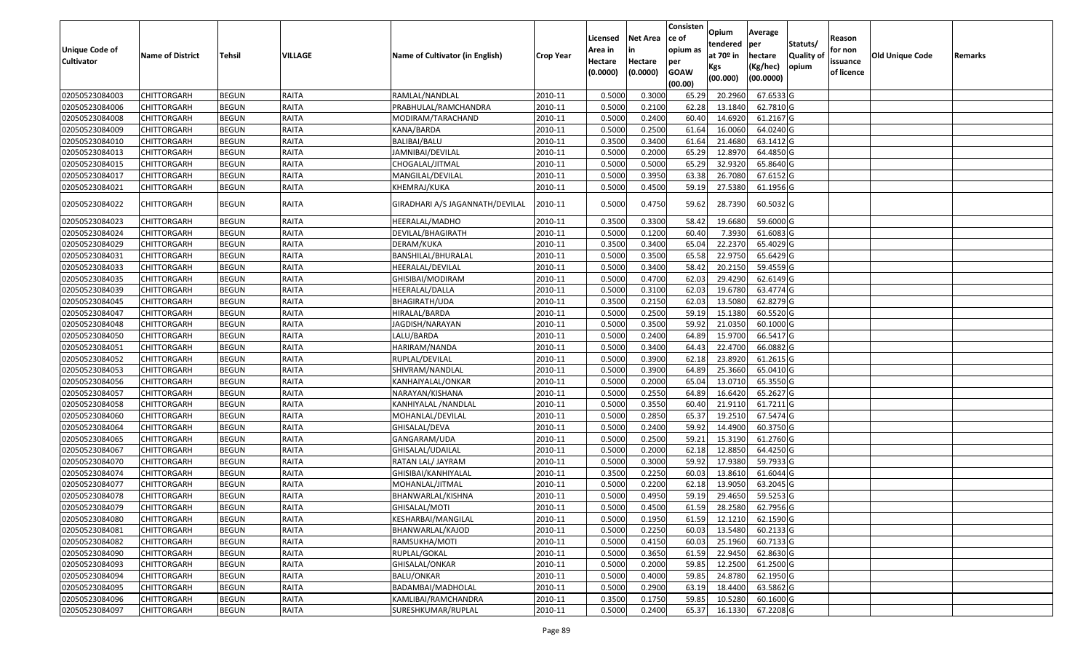|                   |                         |               |              |                                 |                  |          |                 | Consisten              | Opium       | Average     |                  |            |                 |         |
|-------------------|-------------------------|---------------|--------------|---------------------------------|------------------|----------|-----------------|------------------------|-------------|-------------|------------------|------------|-----------------|---------|
|                   |                         |               |              |                                 |                  | Licensed | <b>Net Area</b> | ce of                  | tendered    | per         | Statuts/         | Reason     |                 |         |
| Unique Code of    | <b>Name of District</b> | <b>Tehsil</b> | VILLAGE      | Name of Cultivator (in English) | <b>Crop Year</b> | Area in  |                 | opium as               | at $70°$ in | hectare     | <b>Quality o</b> | for non    | Old Unique Code | Remarks |
| <b>Cultivator</b> |                         |               |              |                                 |                  | Hectare  | Hectare         | per                    | Kgs         | (Kg/hec)    | opium            | issuance   |                 |         |
|                   |                         |               |              |                                 |                  | (0.0000) | (0.0000)        | <b>GOAW</b><br>(00.00) | (00.000)    | (00.0000)   |                  | of licence |                 |         |
| 02050523084003    | CHITTORGARH             | <b>BEGUN</b>  | RAITA        | RAMLAL/NANDLAL                  | 2010-11          | 0.5000   | 0.3000          | 65.29                  | 20.2960     | 67.6533 G   |                  |            |                 |         |
| 02050523084006    | CHITTORGARH             | <b>BEGUN</b>  | RAITA        | PRABHULAL/RAMCHANDRA            | 2010-11          | 0.5000   | 0.2100          | 62.28                  | 13.1840     | 62.7810 G   |                  |            |                 |         |
| 02050523084008    | CHITTORGARH             | <b>BEGUN</b>  | <b>RAITA</b> | MODIRAM/TARACHAND               | 2010-11          | 0.5000   | 0.2400          | 60.40                  | 14.6920     | 61.2167 G   |                  |            |                 |         |
| 02050523084009    | <b>CHITTORGARH</b>      | <b>BEGUN</b>  | RAITA        | KANA/BARDA                      | 2010-11          | 0.5000   | 0.2500          | 61.64                  | 16.0060     | 64.0240 G   |                  |            |                 |         |
| 02050523084010    | CHITTORGARH             | <b>BEGUN</b>  | RAITA        | BALIBAI/BALU                    | 2010-11          | 0.3500   | 0.3400          | 61.64                  | 21.4680     | 63.1412 G   |                  |            |                 |         |
| 02050523084013    | CHITTORGARH             | <b>BEGUN</b>  | RAITA        | JAMNIBAI/DEVILAL                | 2010-11          | 0.5000   | 0.2000          | 65.29                  | 12.897      | 64.4850 G   |                  |            |                 |         |
| 02050523084015    | CHITTORGARH             | <b>BEGUN</b>  | RAITA        | CHOGALAL/JITMAL                 | 2010-11          | 0.5000   | 0.5000          | 65.29                  | 32.9320     | 65.8640 G   |                  |            |                 |         |
| 02050523084017    | CHITTORGARH             | <b>BEGUN</b>  | RAITA        | MANGILAL/DEVILAL                | 2010-11          | 0.5000   | 0.3950          | 63.38                  | 26.7080     | 67.6152G    |                  |            |                 |         |
| 02050523084021    | CHITTORGARH             | <b>BEGUN</b>  | RAITA        | KHEMRAJ/KUKA                    | 2010-11          | 0.5000   | 0.4500          | 59.19                  | 27.5380     | 61.1956 G   |                  |            |                 |         |
|                   |                         |               |              |                                 |                  |          |                 |                        |             |             |                  |            |                 |         |
| 02050523084022    | CHITTORGARH             | <b>BEGUN</b>  | RAITA        | GIRADHARI A/S JAGANNATH/DEVILAL | 2010-11          | 0.5000   | 0.4750          | 59.62                  | 28.7390     | 60.5032 G   |                  |            |                 |         |
| 02050523084023    | CHITTORGARH             | <b>BEGUN</b>  | <b>RAITA</b> | HEERALAL/MADHO                  | 2010-11          | 0.3500   | 0.3300          | 58.42                  | 19.6680     | 59.6000 G   |                  |            |                 |         |
| 02050523084024    | CHITTORGARH             | <b>BEGUN</b>  | <b>RAITA</b> | DEVILAL/BHAGIRATH               | 2010-11          | 0.5000   | 0.1200          | 60.40                  | 7.3930      | 61.6083 G   |                  |            |                 |         |
| 02050523084029    | CHITTORGARH             | <b>BEGUN</b>  | <b>RAITA</b> | DERAM/KUKA                      | 2010-11          | 0.3500   | 0.3400          | 65.04                  | 22.2370     | 65.4029 G   |                  |            |                 |         |
| 02050523084031    | CHITTORGARH             | <b>BEGUN</b>  | <b>RAITA</b> | BANSHILAL/BHURALAL              | 2010-11          | 0.5000   | 0.3500          | 65.58                  | 22.9750     | 65.6429 G   |                  |            |                 |         |
| 02050523084033    | CHITTORGARH             | <b>BEGUN</b>  | <b>RAITA</b> | HEERALAL/DEVILAL                | 2010-11          | 0.5000   | 0.3400          | 58.42                  | 20.215      | 59.4559 G   |                  |            |                 |         |
| 02050523084035    | CHITTORGARH             | <b>BEGUN</b>  | RAITA        | GHISIBAI/MODIRAM                | 2010-11          | 0.5000   | 0.4700          | 62.03                  | 29.4290     | 62.6149 G   |                  |            |                 |         |
| 02050523084039    | CHITTORGARH             | <b>BEGUN</b>  | <b>RAITA</b> | HEERALAL/DALLA                  | 2010-11          | 0.5000   | 0.3100          | 62.03                  | 19.6780     | 63.4774 G   |                  |            |                 |         |
| 02050523084045    | CHITTORGARH             | <b>BEGUN</b>  | RAITA        | BHAGIRATH/UDA                   | 2010-11          | 0.3500   | 0.2150          | 62.03                  | 13.5080     | 62.8279 G   |                  |            |                 |         |
| 02050523084047    | CHITTORGARH             | <b>BEGUN</b>  | <b>RAITA</b> | HIRALAL/BARDA                   | 2010-11          | 0.5000   | 0.2500          | 59.19                  | 15.1380     | 60.5520 G   |                  |            |                 |         |
| 02050523084048    | CHITTORGARH             | <b>BEGUN</b>  | RAITA        | JAGDISH/NARAYAN                 | 2010-11          | 0.5000   | 0.3500          | 59.92                  | 21.0350     | 60.1000 G   |                  |            |                 |         |
| 02050523084050    | CHITTORGARH             | <b>BEGUN</b>  | RAITA        | LALU/BARDA                      | 2010-11          | 0.5000   | 0.2400          | 64.89                  | 15.9700     | 66.5417 G   |                  |            |                 |         |
| 02050523084051    | CHITTORGARH             | <b>BEGUN</b>  | RAITA        | HARIRAM/NANDA                   | 2010-11          | 0.5000   | 0.3400          | 64.43                  | 22.4700     | 66.0882G    |                  |            |                 |         |
| 02050523084052    | CHITTORGARH             | <b>BEGUN</b>  | RAITA        | RUPLAL/DEVILAL                  | 2010-11          | 0.5000   | 0.3900          | 62.18                  | 23.8920     | $61.2615$ G |                  |            |                 |         |
| 02050523084053    | CHITTORGARH             | <b>BEGUN</b>  | RAITA        | SHIVRAM/NANDLAL                 | 2010-11          | 0.5000   | 0.3900          | 64.89                  | 25.3660     | 65.0410 G   |                  |            |                 |         |
| 02050523084056    | CHITTORGARH             | <b>BEGUN</b>  | RAITA        | KANHAIYALAL/ONKAR               | 2010-11          | 0.5000   | 0.2000          | 65.04                  | 13.071      | 65.3550 G   |                  |            |                 |         |
| 02050523084057    | CHITTORGARH             | <b>BEGUN</b>  | RAITA        | NARAYAN/KISHANA                 | 2010-11          | 0.5000   | 0.2550          | 64.89                  | 16.6420     | 65.2627 G   |                  |            |                 |         |
| 02050523084058    | CHITTORGARH             | <b>BEGUN</b>  | <b>RAITA</b> | KANHIYALAL /NANDLAL             | 2010-11          | 0.5000   | 0.3550          | 60.40                  | 21.9110     | $61.7211$ G |                  |            |                 |         |
| 02050523084060    | <b>CHITTORGARH</b>      | <b>BEGUN</b>  | RAITA        | MOHANLAL/DEVILAL                | 2010-11          | 0.5000   | 0.2850          | 65.37                  | 19.2510     | 67.5474 G   |                  |            |                 |         |
| 02050523084064    | CHITTORGARH             | <b>BEGUN</b>  | <b>RAITA</b> | GHISALAL/DEVA                   | 2010-11          | 0.5000   | 0.2400          | 59.92                  | 14.4900     | 60.3750 G   |                  |            |                 |         |
| 02050523084065    | CHITTORGARH             | <b>BEGUN</b>  | RAITA        | GANGARAM/UDA                    | 2010-11          | 0.5000   | 0.2500          | 59.2                   | 15.3190     | 61.2760 G   |                  |            |                 |         |
| 02050523084067    | CHITTORGARH             | <b>BEGUN</b>  | RAITA        | GHISALAL/UDAILAL                | 2010-11          | 0.5000   | 0.2000          | 62.18                  | 12.8850     | 64.4250 G   |                  |            |                 |         |
| 02050523084070    | CHITTORGARH             | <b>BEGUN</b>  | <b>RAITA</b> | RATAN LAL/ JAYRAM               | 2010-11          | 0.5000   | 0.3000          | 59.92                  | 17.9380     | 59.7933 G   |                  |            |                 |         |
| 02050523084074    | <b>CHITTORGARH</b>      | <b>BEGUN</b>  | <b>RAITA</b> | GHISIBAI/KANHIYALAL             | 2010-11          | 0.3500   | 0.2250          | 60.03                  | 13.8610     | 61.6044 G   |                  |            |                 |         |
| 02050523084077    | CHITTORGARH             | <b>BEGUN</b>  | <b>RAITA</b> | MOHANLAL/JITMAL                 | 2010-11          | 0.500    | 0.2200          | 62.18                  | 13.9050     | 63.2045 G   |                  |            |                 |         |
| 02050523084078    | CHITTORGARH             | <b>BEGUN</b>  | RAITA        | BHANWARLAL/KISHNA               | 2010-11          | 0.5000   | 0.4950          | 59.19                  | 29.4650     | 59.5253 G   |                  |            |                 |         |
| 02050523084079    | <b>CHITTORGARH</b>      | <b>BEGUN</b>  | RAITA        | GHISALAL/MOTI                   | 2010-11          | 0.5000   | 0.4500          | 61.59                  | 28.2580     | 62.7956 G   |                  |            |                 |         |
| 02050523084080    | <b>CHITTORGARH</b>      | <b>BEGUN</b>  | RAITA        | KESHARBAI/MANGILAL              | 2010-11          | 0.5000   | 0.1950          | 61.59                  | 12.1210     | 62.1590 G   |                  |            |                 |         |
| 02050523084081    | <b>CHITTORGARH</b>      | <b>BEGUN</b>  | <b>RAITA</b> | BHANWARLAL/KAJOD                | 2010-11          | 0.5000   | 0.2250          | 60.03                  | 13.5480     | 60.2133 G   |                  |            |                 |         |
| 02050523084082    | <b>CHITTORGARH</b>      | <b>BEGUN</b>  | <b>RAITA</b> | RAMSUKHA/MOTI                   | 2010-11          | 0.5000   | 0.4150          | 60.03                  | 25.1960     | 60.7133 G   |                  |            |                 |         |
| 02050523084090    | <b>CHITTORGARH</b>      | <b>BEGUN</b>  | <b>RAITA</b> | RUPLAL/GOKAL                    | 2010-11          | 0.5000   | 0.3650          | 61.59                  | 22.9450     | 62.8630 G   |                  |            |                 |         |
| 02050523084093    | <b>CHITTORGARH</b>      | <b>BEGUN</b>  | <b>RAITA</b> | GHISALAL/ONKAR                  | 2010-11          | 0.5000   | 0.2000          | 59.85                  | 12.2500     | 61.2500 G   |                  |            |                 |         |
| 02050523084094    | <b>CHITTORGARH</b>      | <b>BEGUN</b>  | <b>RAITA</b> | BALU/ONKAR                      | 2010-11          | 0.5000   | 0.4000          | 59.85                  | 24.8780     | 62.1950 G   |                  |            |                 |         |
| 02050523084095    | CHITTORGARH             | <b>BEGUN</b>  | <b>RAITA</b> | BADAMBAI/MADHOLAL               | 2010-11          | 0.5000   | 0.2900          | 63.19                  | 18.4400     | 63.5862 G   |                  |            |                 |         |
| 02050523084096    | <b>CHITTORGARH</b>      | <b>BEGUN</b>  | <b>RAITA</b> | KAMLIBAI/RAMCHANDRA             | 2010-11          | 0.3500   | 0.1750          | 59.85                  | 10.5280     | 60.1600 G   |                  |            |                 |         |
| 02050523084097    | <b>CHITTORGARH</b>      | <b>BEGUN</b>  | RAITA        | SURESHKUMAR/RUPLAL              | 2010-11          | 0.5000   | 0.2400          | 65.37                  | 16.1330     | 67.2208 G   |                  |            |                 |         |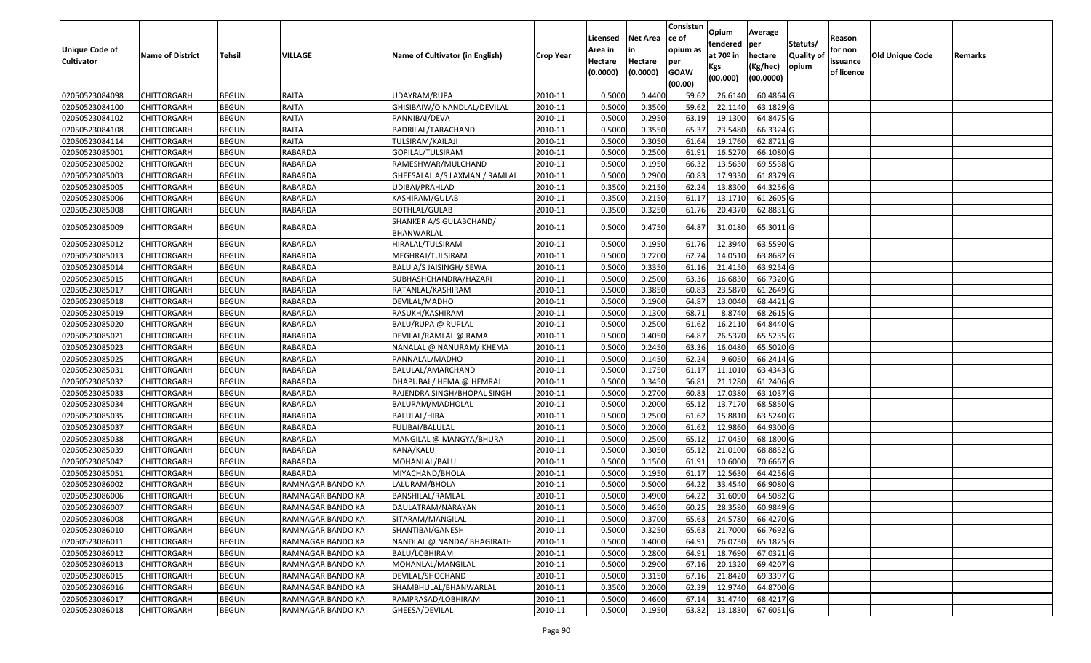|                       |                         |               |                   |                                 |                  |          |                 | Consisten   | Opium       | Average   |                  |            |                        |         |
|-----------------------|-------------------------|---------------|-------------------|---------------------------------|------------------|----------|-----------------|-------------|-------------|-----------|------------------|------------|------------------------|---------|
|                       |                         |               |                   |                                 |                  | Licensed | <b>Net Area</b> | ce of       | tendered    | per       | Statuts/         | Reason     |                        |         |
| <b>Unique Code of</b> | <b>Name of District</b> | <b>Tehsil</b> | VILLAGE           | Name of Cultivator (in English) | <b>Crop Year</b> | Area in  |                 | opium as    | at $70°$ in | hectare   | <b>Quality o</b> | for non    | <b>Old Unique Code</b> | Remarks |
| <b>Cultivator</b>     |                         |               |                   |                                 |                  | Hectare  | Hectare         | per         | Kgs         | (Kg/hec)  | opium            | issuance   |                        |         |
|                       |                         |               |                   |                                 |                  | (0.0000) | (0.0000)        | <b>GOAW</b> | (00.000)    | (00.0000) |                  | of licence |                        |         |
|                       |                         |               |                   |                                 |                  |          |                 | (00.00)     |             |           |                  |            |                        |         |
| 02050523084098        | CHITTORGARH             | <b>BEGUN</b>  | RAITA             | UDAYRAM/RUPA                    | 2010-11          | 0.5000   | 0.4400          | 59.62       | 26.6140     | 60.4864 G |                  |            |                        |         |
| 02050523084100        | CHITTORGARH             | <b>BEGUN</b>  | RAITA             | GHISIBAIW/O NANDLAL/DEVILAL     | 2010-11          | 0.5000   | 0.3500          | 59.62       | 22.1140     | 63.1829 G |                  |            |                        |         |
| 02050523084102        | CHITTORGARH             | <b>BEGUN</b>  | <b>RAITA</b>      | PANNIBAI/DEVA                   | 2010-11          | 0.5000   | 0.2950          | 63.19       | 19.1300     | 64.8475 G |                  |            |                        |         |
| 02050523084108        | CHITTORGARH             | <b>BEGUN</b>  | RAITA             | BADRILAL/TARACHAND              | 2010-11          | 0.5000   | 0.3550          | 65.37       | 23.5480     | 66.3324 G |                  |            |                        |         |
| 02050523084114        | CHITTORGARH             | <b>BEGUN</b>  | RAITA             | TULSIRAM/KAILAJI                | 2010-11          | 0.5000   | 0.3050          | 61.64       | 19.1760     | 62.8721 G |                  |            |                        |         |
| 02050523085001        | CHITTORGARH             | <b>BEGUN</b>  | RABARDA           | GOPILAL/TULSIRAM                | 2010-11          | 0.5000   | 0.2500          | 61.91       | 16.5270     | 66.1080 G |                  |            |                        |         |
| 02050523085002        | CHITTORGARH             | <b>BEGUN</b>  | RABARDA           | RAMESHWAR/MULCHAND              | 2010-11          | 0.5000   | 0.1950          | 66.32       | 13.5630     | 69.5538 G |                  |            |                        |         |
| 02050523085003        | <b>CHITTORGARH</b>      | <b>BEGUN</b>  | RABARDA           | GHEESALAL A/S LAXMAN / RAMLAL   | 2010-11          | 0.5000   | 0.2900          | 60.83       | 17.9330     | 61.8379 G |                  |            |                        |         |
| 02050523085005        | CHITTORGARH             | <b>BEGUN</b>  | RABARDA           | UDIBAI/PRAHLAD                  | 2010-11          | 0.3500   | 0.2150          | 62.24       | 13.8300     | 64.3256 G |                  |            |                        |         |
| 02050523085006        | CHITTORGARH             | <b>BEGUN</b>  | RABARDA           | KASHIRAM/GULAB                  | 2010-11          | 0.3500   | 0.2150          | 61.17       | 13.1710     | 61.2605 G |                  |            |                        |         |
| 02050523085008        | CHITTORGARH             | <b>BEGUN</b>  | RABARDA           | BOTHLAL/GULAB                   | 2010-11          | 0.3500   | 0.3250          | 61.76       | 20.4370     | 62.8831G  |                  |            |                        |         |
| 02050523085009        | CHITTORGARH             | <b>BEGUN</b>  | RABARDA           | SHANKER A/S GULABCHAND/         | 2010-11          | 0.5000   | 0.4750          | 64.87       | 31.0180     | 65.3011 G |                  |            |                        |         |
|                       |                         |               |                   | BHANWARLAL                      |                  |          |                 |             |             |           |                  |            |                        |         |
| 02050523085012        | CHITTORGARH             | <b>BEGUN</b>  | RABARDA           | HIRALAL/TULSIRAM                | 2010-11          | 0.500    | 0.1950          | 61.76       | 12.3940     | 63.5590 G |                  |            |                        |         |
| 02050523085013        | CHITTORGARH             | <b>BEGUN</b>  | RABARDA           | MEGHRAJ/TULSIRAM                | 2010-11          | 0.5000   | 0.2200          | 62.24       | 14.0510     | 63.8682G  |                  |            |                        |         |
| 02050523085014        | CHITTORGARH             | <b>BEGUN</b>  | RABARDA           | BALU A/S JAISINGH/ SEWA         | 2010-11          | 0.5000   | 0.3350          | 61.16       | 21.415      | 63.9254 G |                  |            |                        |         |
| 02050523085015        | CHITTORGARH             | <b>BEGUN</b>  | RABARDA           | SUBHASHCHANDRA/HAZARI           | 2010-11          | 0.5000   | 0.2500          | 63.36       | 16.6830     | 66.7320 G |                  |            |                        |         |
| 02050523085017        | CHITTORGARH             | <b>BEGUN</b>  | RABARDA           | RATANLAL/KASHIRAM               | 2010-11          | 0.500    | 0.3850          | 60.83       | 23.5870     | 61.2649 G |                  |            |                        |         |
| 02050523085018        | CHITTORGARH             | <b>BEGUN</b>  | RABARDA           | DEVILAL/MADHO                   | 2010-11          | 0.5000   | 0.1900          | 64.87       | 13.0040     | 68.4421 G |                  |            |                        |         |
| 02050523085019        | CHITTORGARH             | <b>BEGUN</b>  | RABARDA           | RASUKH/KASHIRAM                 | 2010-11          | 0.5000   | 0.1300          | 68.7        | 8.8740      | 68.2615 G |                  |            |                        |         |
| 02050523085020        | CHITTORGARH             | <b>BEGUN</b>  | RABARDA           | BALU/RUPA @ RUPLAL              | 2010-11          | 0.5000   | 0.2500          | 61.62       | 16.2110     | 64.8440 G |                  |            |                        |         |
| 02050523085021        | CHITTORGARH             | <b>BEGUN</b>  | RABARDA           | DEVILAL/RAMLAL @ RAMA           | 2010-11          | 0.5000   | 0.4050          | 64.87       | 26.5370     | 65.5235 G |                  |            |                        |         |
| 02050523085023        | CHITTORGARH             | <b>BEGUN</b>  | <b>RABARDA</b>    | NANALAL @ NANURAM/ KHEMA        | 2010-11          | 0.5000   | 0.2450          | 63.36       | 16.0480     | 65.5020 G |                  |            |                        |         |
| 02050523085025        | CHITTORGARH             | <b>BEGUN</b>  | RABARDA           | PANNALAL/MADHO                  | 2010-11          | 0.5000   | 0.1450          | 62.24       | 9.605       | 66.2414 G |                  |            |                        |         |
| 02050523085031        | CHITTORGARH             | <b>BEGUN</b>  | <b>RABARDA</b>    | BALULAL/AMARCHAND               | 2010-11          | 0.5000   | 0.1750          | 61.17       | 11.1010     | 63.4343 G |                  |            |                        |         |
| 02050523085032        | CHITTORGARH             | <b>BEGUN</b>  | RABARDA           | DHAPUBAI / HEMA @ HEMRAJ        | 2010-11          | 0.5000   | 0.3450          | 56.8        | 21.1280     | 61.2406 G |                  |            |                        |         |
| 02050523085033        | CHITTORGARH             | <b>BEGUN</b>  | RABARDA           | RAJENDRA SINGH/BHOPAL SINGH     | 2010-11          | 0.5000   | 0.2700          | 60.83       | 17.0380     | 63.1037 G |                  |            |                        |         |
| 02050523085034        | CHITTORGARH             | <b>BEGUN</b>  | RABARDA           | BALURAM/MADHOLAL                | 2010-11          | 0.5000   | 0.2000          | 65.12       | 13.7170     | 68.5850 G |                  |            |                        |         |
| 02050523085035        | <b>CHITTORGARH</b>      | <b>BEGUN</b>  | RABARDA           | <b>BALULAL/HIRA</b>             | 2010-11          | 0.5000   | 0.2500          | 61.62       | 15.881      | 63.5240 G |                  |            |                        |         |
| 02050523085037        | CHITTORGARH             | <b>BEGUN</b>  | RABARDA           | FULIBAI/BALULAL                 | 2010-11          | 0.5000   | 0.2000          | 61.62       | 12.9860     | 64.9300 G |                  |            |                        |         |
| 02050523085038        | CHITTORGARH             | <b>BEGUN</b>  | RABARDA           | MANGILAL @ MANGYA/BHURA         | 2010-11          | 0.5000   | 0.2500          | 65.1        | 17.045      | 68.1800 G |                  |            |                        |         |
| 02050523085039        | CHITTORGARH             | <b>BEGUN</b>  | RABARDA           | KANA/KALU                       | 2010-11          | 0.5000   | 0.3050          | 65.1        | 21.0100     | 68.8852 G |                  |            |                        |         |
| 02050523085042        | CHITTORGARH             | <b>BEGUN</b>  | RABARDA           | MOHANLAL/BALU                   | 2010-11          | 0.5000   | 0.1500          | 61.91       | 10.6000     | 70.6667 G |                  |            |                        |         |
| 02050523085051        | <b>CHITTORGARH</b>      | <b>BEGUN</b>  | RABARDA           | MIYACHAND/BHOLA                 | 2010-11          | 0.5000   | 0.1950          | 61.17       | 12.5630     | 64.4256 G |                  |            |                        |         |
| 02050523086002        | CHITTORGARH             | <b>BEGUN</b>  | RAMNAGAR BANDO KA | LALURAM/BHOLA                   | 2010-11          | 0.500    | 0.5000          | 64.22       | 33.4540     | 66.9080 G |                  |            |                        |         |
| 02050523086006        | CHITTORGARH             | <b>BEGUN</b>  | RAMNAGAR BANDO KA | BANSHILAL/RAMLAL                | 2010-11          | 0.5000   | 0.4900          | 64.22       | 31.6090     | 64.5082 G |                  |            |                        |         |
| 02050523086007        | CHITTORGARH             | <b>BEGUN</b>  | RAMNAGAR BANDO KA | DAULATRAM/NARAYAN               | 2010-11          | 0.5000   | 0.4650          | 60.25       | 28.3580     | 60.9849 G |                  |            |                        |         |
| 02050523086008        | CHITTORGARH             | <b>BEGUN</b>  | RAMNAGAR BANDO KA | SITARAM/MANGILAL                | 2010-11          | 0.5000   | 0.3700          | 65.63       | 24.5780     | 66.4270 G |                  |            |                        |         |
| 02050523086010        | <b>CHITTORGARH</b>      | <b>BEGUN</b>  | RAMNAGAR BANDO KA | SHANTIBAI/GANESH                | 2010-11          | 0.5000   | 0.3250          | 65.63       | 21.7000     | 66.7692 G |                  |            |                        |         |
| 02050523086011        | <b>CHITTORGARH</b>      | <b>BEGUN</b>  | RAMNAGAR BANDO KA | NANDLAL @ NANDA/ BHAGIRATH      | 2010-11          | 0.5000   | 0.4000          | 64.91       | 26.0730     | 65.1825 G |                  |            |                        |         |
| 02050523086012        | <b>CHITTORGARH</b>      | <b>BEGUN</b>  | RAMNAGAR BANDO KA | BALU/LOBHIRAM                   | 2010-11          | 0.5000   | 0.2800          | 64.91       | 18.7690     | 67.0321 G |                  |            |                        |         |
| 02050523086013        | <b>CHITTORGARH</b>      | <b>BEGUN</b>  | RAMNAGAR BANDO KA | MOHANLAL/MANGILAL               | 2010-11          | 0.5000   | 0.2900          | 67.16       | 20.1320     | 69.4207 G |                  |            |                        |         |
| 02050523086015        | <b>CHITTORGARH</b>      | <b>BEGUN</b>  | RAMNAGAR BANDO KA | DEVILAL/SHOCHAND                | 2010-11          | 0.5000   | 0.3150          | 67.16       | 21.8420     | 69.3397 G |                  |            |                        |         |
| 02050523086016        | CHITTORGARH             | <b>BEGUN</b>  | RAMNAGAR BANDO KA | SHAMBHULAL/BHANWARLAL           | 2010-11          | 0.3500   | 0.2000          | 62.39       | 12.9740     | 64.8700 G |                  |            |                        |         |
| 02050523086017        | <b>CHITTORGARH</b>      | <b>BEGUN</b>  | RAMNAGAR BANDO KA | RAMPRASAD/LOBHIRAM              | 2010-11          | 0.5000   | 0.4600          | 67.14       | 31.4740     | 68.4217 G |                  |            |                        |         |
| 02050523086018        | <b>CHITTORGARH</b>      | <b>BEGUN</b>  | RAMNAGAR BANDO KA | GHEESA/DEVILAL                  | 2010-11          | 0.5000   | 0.1950          | 63.82       | 13.1830     | 67.6051 G |                  |            |                        |         |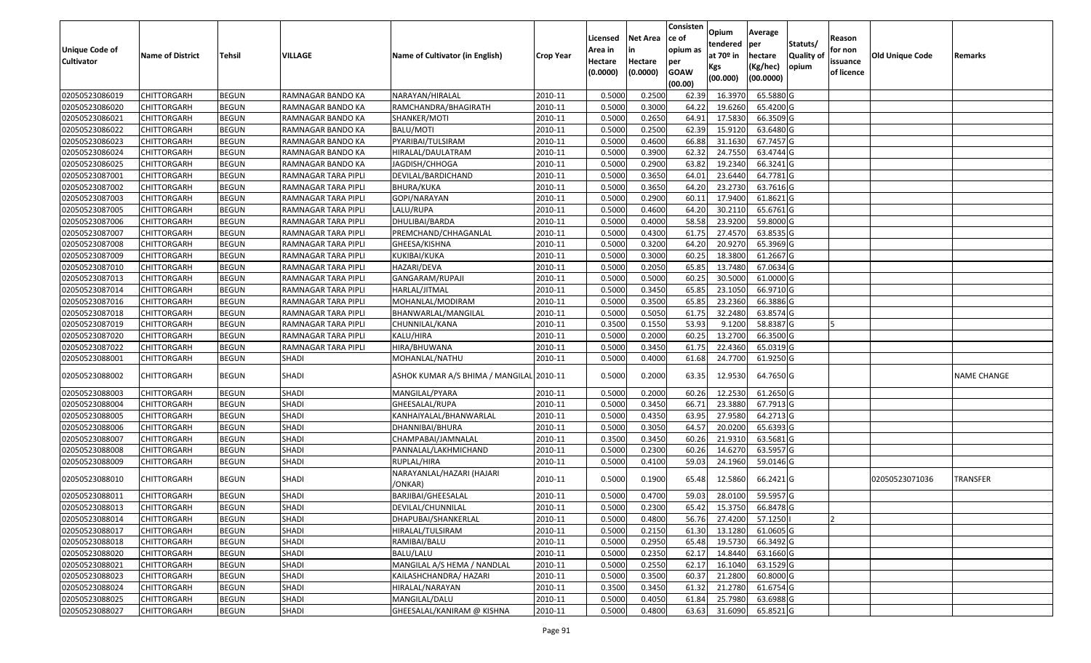| <b>Unique Code of</b><br><b>Cultivator</b> | <b>Name of District</b> | Tehsil       | VILLAGE             | Name of Cultivator (in English)          | <b>Crop Year</b> | Licensed<br>Area in<br>Hectare<br>(0.0000) | <b>Net Area</b><br>in<br>Hectare<br>(0.0000) | Consisten<br>ce of<br>opium as<br>per<br><b>GOAW</b><br>(00.00) | Opium<br>tendered<br>at $70°$ in<br>Kgs<br>(00.000) | Average<br>per<br>hectare<br>(Kg/hec)<br>(00.0000) | Statuts/<br>Quality of<br>opium | Reason<br>for non<br>issuance<br>of licence | Old Unique Code | Remarks            |
|--------------------------------------------|-------------------------|--------------|---------------------|------------------------------------------|------------------|--------------------------------------------|----------------------------------------------|-----------------------------------------------------------------|-----------------------------------------------------|----------------------------------------------------|---------------------------------|---------------------------------------------|-----------------|--------------------|
| 02050523086019                             | <b>CHITTORGARH</b>      | <b>BEGUN</b> | RAMNAGAR BANDO KA   | NARAYAN/HIRALAL                          | 2010-11          | 0.5000                                     | 0.2500                                       | 62.39                                                           | 16.3970                                             | 65.5880 G                                          |                                 |                                             |                 |                    |
| 02050523086020                             | CHITTORGARH             | <b>BEGUN</b> | RAMNAGAR BANDO KA   | RAMCHANDRA/BHAGIRATH                     | 2010-11          | 0.5000                                     | 0.3000                                       | 64.22                                                           | 19.6260                                             | 65.4200 G                                          |                                 |                                             |                 |                    |
| 02050523086021                             | CHITTORGARH             | <b>BEGUN</b> | RAMNAGAR BANDO KA   | SHANKER/MOTI                             | 2010-11          | 0.5000                                     | 0.2650                                       | 64.91                                                           | 17.5830                                             | 66.3509 G                                          |                                 |                                             |                 |                    |
| 02050523086022                             | <b>CHITTORGARH</b>      | <b>BEGUN</b> | RAMNAGAR BANDO KA   | BALU/MOTI                                | 2010-11          | 0.5000                                     | 0.2500                                       | 62.39                                                           | 15.9120                                             | 63.6480 G                                          |                                 |                                             |                 |                    |
| 02050523086023                             | <b>CHITTORGARH</b>      | <b>BEGUN</b> | RAMNAGAR BANDO KA   | PYARIBAI/TULSIRAM                        | 2010-11          | 0.5000                                     | 0.4600                                       | 66.88                                                           | 31.1630                                             | 67.7457 G                                          |                                 |                                             |                 |                    |
| 02050523086024                             | <b>CHITTORGARH</b>      | <b>BEGUN</b> | RAMNAGAR BANDO KA   | HIRALAL/DAULATRAM                        | 2010-11          | 0.5000                                     | 0.3900                                       | 62.32                                                           | 24.7550                                             | 63.4744 G                                          |                                 |                                             |                 |                    |
| 02050523086025                             | CHITTORGARH             | <b>BEGUN</b> | RAMNAGAR BANDO KA   | JAGDISH/CHHOGA                           | 2010-11          | 0.5000                                     | 0.2900                                       | 63.82                                                           | 19.2340                                             | 66.3241 G                                          |                                 |                                             |                 |                    |
| 02050523087001                             | <b>CHITTORGARH</b>      | <b>BEGUN</b> | RAMNAGAR TARA PIPLI | DEVILAL/BARDICHAND                       | 2010-11          | 0.5000                                     | 0.3650                                       | 64.01                                                           | 23.6440                                             | 64.7781 G                                          |                                 |                                             |                 |                    |
| 02050523087002                             | <b>CHITTORGARH</b>      | <b>BEGUN</b> | RAMNAGAR TARA PIPLI | <b>BHURA/KUKA</b>                        | 2010-11          | 0.5000                                     | 0.3650                                       | 64.20                                                           | 23.2730                                             | 63.7616 G                                          |                                 |                                             |                 |                    |
| 02050523087003                             | <b>CHITTORGARH</b>      | <b>BEGUN</b> | RAMNAGAR TARA PIPLI | GOPI/NARAYAN                             | 2010-11          | 0.5000                                     | 0.2900                                       | 60.1                                                            | 17.9400                                             | 61.8621 G                                          |                                 |                                             |                 |                    |
| 02050523087005                             | <b>CHITTORGARH</b>      | <b>BEGUN</b> | RAMNAGAR TARA PIPLI | LALU/RUPA                                | 2010-11          | 0.5000                                     | 0.4600                                       | 64.20                                                           | 30.2110                                             | 65.6761 G                                          |                                 |                                             |                 |                    |
| 02050523087006                             | <b>CHITTORGARH</b>      | <b>BEGUN</b> | RAMNAGAR TARA PIPLI | DHULIBAI/BARDA                           | 2010-11          | 0.5000                                     | 0.4000                                       | 58.58                                                           | 23.9200                                             | 59.8000 G                                          |                                 |                                             |                 |                    |
| 02050523087007                             | <b>CHITTORGARH</b>      | <b>BEGUN</b> | RAMNAGAR TARA PIPLI | PREMCHAND/CHHAGANLAL                     | 2010-11          | 0.5000                                     | 0.4300                                       | 61.75                                                           | 27.4570                                             | 63.8535 G                                          |                                 |                                             |                 |                    |
| 02050523087008                             | <b>CHITTORGARH</b>      | <b>BEGUN</b> | RAMNAGAR TARA PIPLI | GHEESA/KISHNA                            | 2010-11          | 0.5000                                     | 0.3200                                       | 64.20                                                           | 20.9270                                             | 65.3969 G                                          |                                 |                                             |                 |                    |
| 02050523087009                             | <b>CHITTORGARH</b>      | <b>BEGUN</b> | RAMNAGAR TARA PIPLI | KUKIBAI/KUKA                             | 2010-11          | 0.5000                                     | 0.3000                                       | 60.25                                                           | 18.3800                                             | 61.2667 G                                          |                                 |                                             |                 |                    |
| 02050523087010                             | <b>CHITTORGARH</b>      | <b>BEGUN</b> | RAMNAGAR TARA PIPLI | HAZARI/DEVA                              | 2010-11          | 0.5000                                     | 0.2050                                       | 65.85                                                           | 13.7480                                             | 67.0634 G                                          |                                 |                                             |                 |                    |
| 02050523087013                             | <b>CHITTORGARH</b>      | <b>BEGUN</b> | RAMNAGAR TARA PIPLI | GANGARAM/RUPAJI                          | 2010-11          | 0.5000                                     | 0.5000                                       | 60.25                                                           | 30.5000                                             | 61.0000 G                                          |                                 |                                             |                 |                    |
| 02050523087014                             | <b>CHITTORGARH</b>      | <b>BEGUN</b> | RAMNAGAR TARA PIPLI | HARLAL/JITMAL                            | 2010-11          | 0.5000                                     | 0.3450                                       | 65.85                                                           | 23.1050                                             | 66.9710 G                                          |                                 |                                             |                 |                    |
| 02050523087016                             | <b>CHITTORGARH</b>      | <b>BEGUN</b> | RAMNAGAR TARA PIPLI | MOHANLAL/MODIRAM                         | 2010-11          | 0.5000                                     | 0.3500                                       | 65.85                                                           | 23.2360                                             | 66.3886 G                                          |                                 |                                             |                 |                    |
| 02050523087018                             | <b>CHITTORGARH</b>      | <b>BEGUN</b> | RAMNAGAR TARA PIPLI | BHANWARLAL/MANGILAL                      | 2010-11          | 0.5000                                     | 0.5050                                       | 61.75                                                           | 32.2480                                             | 63.8574 G                                          |                                 |                                             |                 |                    |
| 02050523087019                             | <b>CHITTORGARH</b>      | <b>BEGUN</b> | RAMNAGAR TARA PIPLI | CHUNNILAL/KANA                           | 2010-11          | 0.3500                                     | 0.1550                                       | 53.93                                                           | 9.1200                                              | 58.8387 G                                          |                                 |                                             |                 |                    |
| 02050523087020                             | <b>CHITTORGARH</b>      | <b>BEGUN</b> | RAMNAGAR TARA PIPLI | KALU/HIRA                                | 2010-11          | 0.5000                                     | 0.2000                                       | 60.25                                                           | 13.2700                                             | 66.3500 G                                          |                                 |                                             |                 |                    |
| 02050523087022                             | <b>CHITTORGARH</b>      | <b>BEGUN</b> | RAMNAGAR TARA PIPLI | HIRA/BHUWANA                             | 2010-11          | 0.5000                                     | 0.3450                                       | 61.75                                                           | 22.4360                                             | 65.0319 G                                          |                                 |                                             |                 |                    |
| 02050523088001                             | <b>CHITTORGARH</b>      | <b>BEGUN</b> | <b>SHADI</b>        | MOHANLAL/NATHU                           | 2010-11          | 0.5000                                     | 0.4000                                       | 61.68                                                           | 24.7700                                             | 61.9250 G                                          |                                 |                                             |                 |                    |
| 02050523088002                             | <b>CHITTORGARH</b>      | <b>BEGUN</b> | SHADI               | ASHOK KUMAR A/S BHIMA / MANGILAL 2010-11 |                  | 0.5000                                     | 0.2000                                       | 63.35                                                           | 12.9530                                             | 64.7650 G                                          |                                 |                                             |                 | <b>NAME CHANGE</b> |
| 02050523088003                             | <b>CHITTORGARH</b>      | <b>BEGUN</b> | <b>SHADI</b>        | MANGILAL/PYARA                           | 2010-11          | 0.5000                                     | 0.2000                                       | 60.26                                                           | 12.2530                                             | 61.2650 G                                          |                                 |                                             |                 |                    |
| 02050523088004                             | <b>CHITTORGARH</b>      | <b>BEGUN</b> | <b>SHADI</b>        | GHEESALAL/RUPA                           | 2010-11          | 0.5000                                     | 0.3450                                       | 66.71                                                           | 23.3880                                             | 67.7913 G                                          |                                 |                                             |                 |                    |
| 02050523088005                             | <b>CHITTORGARH</b>      | <b>BEGUN</b> | <b>SHADI</b>        | KANHAIYALAL/BHANWARLAL                   | 2010-11          | 0.5000                                     | 0.4350                                       | 63.95                                                           | 27.9580                                             | 64.2713 G                                          |                                 |                                             |                 |                    |
| 02050523088006                             | <b>CHITTORGARH</b>      | <b>BEGUN</b> | <b>SHADI</b>        | DHANNIBAI/BHURA                          | 2010-11          | 0.5000                                     | 0.3050                                       | 64.57                                                           | 20.0200                                             | 65.6393 G                                          |                                 |                                             |                 |                    |
| 02050523088007                             | <b>CHITTORGARH</b>      | <b>BEGUN</b> | <b>SHADI</b>        | CHAMPABAI/JAMNALAL                       | 2010-11          | 0.3500                                     | 0.3450                                       | 60.26                                                           | 21.9310                                             | 63.5681 G                                          |                                 |                                             |                 |                    |
| 02050523088008                             | CHITTORGARH             | <b>BEGUN</b> | <b>SHADI</b>        | PANNALAL/LAKHMICHAND                     | 2010-11          | 0.5000                                     | 0.2300                                       | 60.26                                                           | 14.6270                                             | 63.5957 G                                          |                                 |                                             |                 |                    |
| 02050523088009                             | <b>CHITTORGARH</b>      | <b>BEGUN</b> | SHADI               | RUPLAL/HIRA                              | 2010-11          | 0.5000                                     | 0.4100                                       | 59.03                                                           | 24.1960                                             | 59.0146 G                                          |                                 |                                             |                 |                    |
| 02050523088010                             | <b>CHITTORGARH</b>      | <b>BEGUN</b> | SHADI               | NARAYANLAL/HAZARI (HAJARI<br>/ONKAR)     | 2010-11          | 0.5000                                     | 0.1900                                       | 65.48                                                           | 12.5860                                             | 66.2421 G                                          |                                 |                                             | 02050523071036  | TRANSFER           |
| 02050523088011                             | <b>CHITTORGARH</b>      | <b>BEGUN</b> | SHADI               | BARJIBAI/GHEESALAL                       | 2010-11          | 0.5000                                     | 0.4700                                       | 59.03                                                           | 28.0100                                             | 59.5957 G                                          |                                 |                                             |                 |                    |
| 02050523088013                             | <b>CHITTORGARH</b>      | <b>BEGUN</b> | <b>SHADI</b>        | DEVILAL/CHUNNILAL                        | 2010-11          | 0.5000                                     | 0.2300                                       | 65.42                                                           | 15.3750                                             | 66.8478 G                                          |                                 |                                             |                 |                    |
| 02050523088014                             | <b>CHITTORGARH</b>      | <b>BEGUN</b> | <b>SHADI</b>        | DHAPUBAI/SHANKERLAL                      | 2010-11          | 0.5000                                     | 0.4800                                       | 56.76                                                           | 27.4200                                             | 57.1250                                            |                                 |                                             |                 |                    |
| 02050523088017                             | <b>CHITTORGARH</b>      | <b>BEGUN</b> | <b>SHADI</b>        | HIRALAL/TULSIRAM                         | 2010-11          | 0.5000                                     | 0.2150                                       | 61.30                                                           | 13.1280                                             | 61.0605 G                                          |                                 |                                             |                 |                    |
| 02050523088018                             | <b>CHITTORGARH</b>      | <b>BEGUN</b> | <b>SHADI</b>        | RAMIBAI/BALU                             | 2010-11          | 0.5000                                     | 0.2950                                       | 65.48                                                           | 19.5730                                             | 66.3492 G                                          |                                 |                                             |                 |                    |
| 02050523088020                             | <b>CHITTORGARH</b>      | <b>BEGUN</b> | <b>SHADI</b>        | BALU/LALU                                | 2010-11          | 0.5000                                     | 0.2350                                       | 62.17                                                           | 14.8440                                             | 63.1660 G                                          |                                 |                                             |                 |                    |
| 02050523088021                             | <b>CHITTORGARH</b>      | <b>BEGUN</b> | <b>SHADI</b>        | MANGILAL A/S HEMA / NANDLAL              | 2010-11          | 0.5000                                     | 0.2550                                       | 62.17                                                           | 16.1040                                             | 63.1529 G                                          |                                 |                                             |                 |                    |
| 02050523088023                             | <b>CHITTORGARH</b>      | <b>BEGUN</b> | <b>SHADI</b>        | KAILASHCHANDRA/ HAZARI                   | 2010-11          | 0.5000                                     | 0.3500                                       | 60.37                                                           | 21.2800                                             | 60.8000 G                                          |                                 |                                             |                 |                    |
| 02050523088024                             | <b>CHITTORGARH</b>      | <b>BEGUN</b> | <b>SHADI</b>        | HIRALAL/NARAYAN                          | 2010-11          | 0.3500                                     | 0.3450                                       | 61.32                                                           | 21.2780                                             | 61.6754 G                                          |                                 |                                             |                 |                    |
| 02050523088025                             | <b>CHITTORGARH</b>      | <b>BEGUN</b> | <b>SHADI</b>        | MANGILAL/DALU                            | 2010-11          | 0.5000                                     | 0.4050                                       | 61.84                                                           | 25.7980                                             | 63.6988 G                                          |                                 |                                             |                 |                    |
| 02050523088027                             | <b>CHITTORGARH</b>      | <b>BEGUN</b> | SHADI               | GHEESALAL/KANIRAM @ KISHNA               | 2010-11          | 0.5000                                     | 0.4800                                       | 63.63                                                           | 31.6090                                             | 65.8521 G                                          |                                 |                                             |                 |                    |
|                                            |                         |              |                     |                                          |                  |                                            |                                              |                                                                 |                                                     |                                                    |                                 |                                             |                 |                    |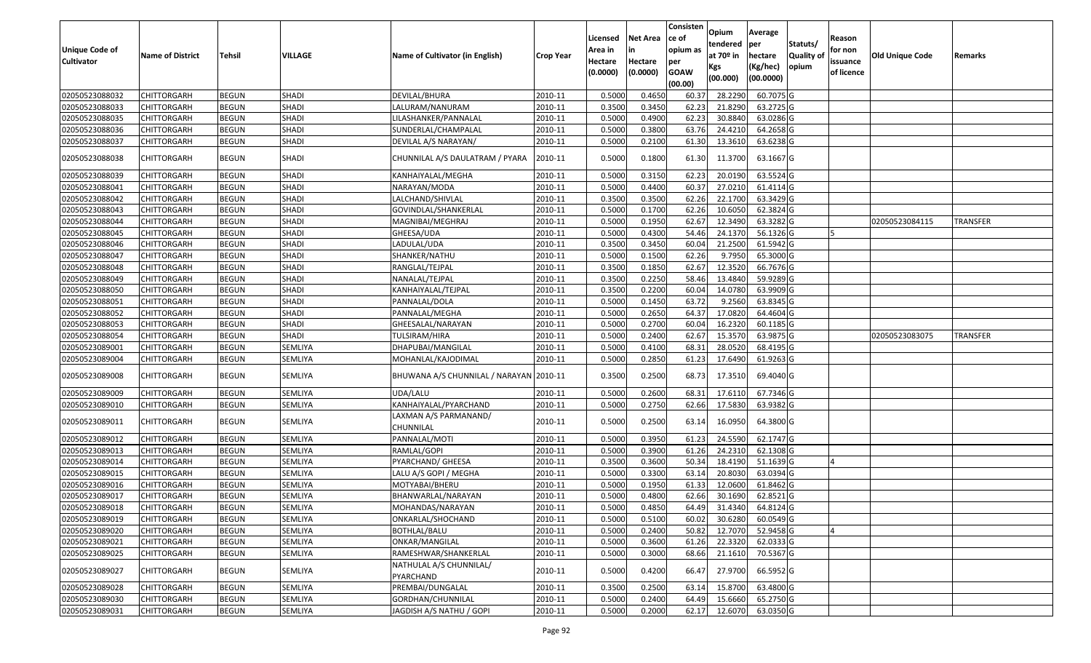| <b>Unique Code of</b><br><b>Cultivator</b> | <b>Name of District</b> | Tehsil       | VILLAGE        | Name of Cultivator (in English)         | <b>Crop Year</b> | Licensed<br>Area in<br>Hectare<br>(0.0000) | Net Area<br>in<br>Hectare<br>(0.0000) | Consisten<br>ce of<br>opium as<br>per<br><b>GOAW</b><br>(00.00) | Opium<br>tendered<br>at 70º in<br>Kgs<br>(00.000) | Average<br> per<br>hectare<br>(Kg/hec)<br>(00.0000) | Statuts/<br><b>Quality of</b><br>opium | Reason<br>for non<br>issuance<br>of licence | <b>Old Unique Code</b> | Remarks         |
|--------------------------------------------|-------------------------|--------------|----------------|-----------------------------------------|------------------|--------------------------------------------|---------------------------------------|-----------------------------------------------------------------|---------------------------------------------------|-----------------------------------------------------|----------------------------------------|---------------------------------------------|------------------------|-----------------|
| 02050523088032                             | <b>CHITTORGARH</b>      | <b>BEGUN</b> | <b>SHADI</b>   | DEVILAL/BHURA                           | 2010-11          | 0.5000                                     | 0.4650                                | 60.37                                                           | 28.2290                                           | 60.7075 G                                           |                                        |                                             |                        |                 |
| 02050523088033                             | CHITTORGARH             | <b>BEGUN</b> | <b>SHADI</b>   | LALURAM/NANURAM                         | 2010-11          | 0.3500                                     | 0.3450                                | 62.23                                                           | 21.8290                                           | 63.2725 G                                           |                                        |                                             |                        |                 |
| 02050523088035                             | CHITTORGARH             | <b>BEGUN</b> | <b>SHADI</b>   | LILASHANKER/PANNALAL                    | 2010-11          | 0.5000                                     | 0.4900                                | 62.23                                                           | 30.8840                                           | 63.0286 G                                           |                                        |                                             |                        |                 |
| 02050523088036                             | <b>CHITTORGARH</b>      | <b>BEGUN</b> | <b>SHADI</b>   | SUNDERLAL/CHAMPALAL                     | 2010-11          | 0.5000                                     | 0.3800                                | 63.76                                                           | 24.4210                                           | 64.2658 G                                           |                                        |                                             |                        |                 |
| 02050523088037                             | CHITTORGARH             | <b>BEGUN</b> | <b>SHADI</b>   | DEVILAL A/S NARAYAN/                    | 2010-11          | 0.5000                                     | 0.2100                                | 61.30                                                           | 13.3610                                           | 63.6238 G                                           |                                        |                                             |                        |                 |
| 02050523088038                             | CHITTORGARH             | <b>BEGUN</b> | SHADI          | CHUNNILAL A/S DAULATRAM / PYARA         | 2010-11          | 0.5000                                     | 0.1800                                | 61.30                                                           | 11.3700                                           | 63.1667 G                                           |                                        |                                             |                        |                 |
| 02050523088039                             | <b>CHITTORGARH</b>      | <b>BEGUN</b> | <b>SHADI</b>   | KANHAIYALAL/MEGHA                       | 2010-11          | 0.5000                                     | 0.3150                                | 62.23                                                           | 20.019                                            | 63.5524 G                                           |                                        |                                             |                        |                 |
| 02050523088041                             | CHITTORGARH             | <b>BEGUN</b> | <b>SHADI</b>   | NARAYAN/MODA                            | 2010-11          | 0.5000                                     | 0.4400                                | 60.37                                                           | 27.0210                                           | 61.4114 G                                           |                                        |                                             |                        |                 |
| 02050523088042                             | CHITTORGARH             | <b>BEGUN</b> | <b>SHADI</b>   | LALCHAND/SHIVLAL                        | 2010-11          | 0.3500                                     | 0.3500                                | 62.26                                                           | 22.1700                                           | 63.3429 G                                           |                                        |                                             |                        |                 |
| 02050523088043                             | CHITTORGARH             | <b>BEGUN</b> | <b>SHADI</b>   | GOVINDLAL/SHANKERLAL                    | 2010-11          | 0.5000                                     | 0.1700                                | 62.26                                                           | 10.6050                                           | 62.3824 G                                           |                                        |                                             |                        |                 |
| 02050523088044                             | CHITTORGARH             | <b>BEGUN</b> | <b>SHADI</b>   | MAGNIBAI/MEGHRAJ                        | 2010-11          | 0.5000                                     | 0.1950                                | 62.67                                                           | 12.3490                                           | 63.3282 G                                           |                                        |                                             | 02050523084115         | <b>TRANSFER</b> |
| 02050523088045                             | CHITTORGARH             | <b>BEGUN</b> | <b>SHADI</b>   | GHEESA/UDA                              | 2010-11          | 0.5000                                     | 0.4300                                | 54.46                                                           | 24.1370                                           | 56.1326 G                                           |                                        |                                             |                        |                 |
| 02050523088046                             | CHITTORGARH             | <b>BEGUN</b> | <b>SHADI</b>   | LADULAL/UDA                             | 2010-11          | 0.3500                                     | 0.3450                                | 60.04                                                           | 21.2500                                           | 61.5942 G                                           |                                        |                                             |                        |                 |
| 02050523088047                             | CHITTORGARH             | <b>BEGUN</b> | <b>SHADI</b>   | SHANKER/NATHU                           | 2010-11          | 0.5000                                     | 0.1500                                | 62.26                                                           | 9.7950                                            | 65.3000 G                                           |                                        |                                             |                        |                 |
| 02050523088048                             | CHITTORGARH             | <b>BEGUN</b> | <b>SHADI</b>   | RANGLAL/TEJPAL                          | 2010-11          | 0.3500                                     | 0.1850                                | 62.67                                                           | 12.3520                                           | 66.7676 G                                           |                                        |                                             |                        |                 |
| 02050523088049                             | CHITTORGARH             | <b>BEGUN</b> | <b>SHADI</b>   | NANALAL/TEJPAL                          | 2010-11          | 0.3500                                     | 0.2250                                | 58.46                                                           | 13.4840                                           | 59.9289 G                                           |                                        |                                             |                        |                 |
| 02050523088050                             | CHITTORGARH             | <b>BEGUN</b> | <b>SHADI</b>   | KANHAIYALAL/TEJPAL                      | 2010-11          | 0.3500                                     | 0.2200                                | 60.04                                                           | 14.0780                                           | 63.9909 G                                           |                                        |                                             |                        |                 |
| 02050523088051                             | CHITTORGARH             | <b>BEGUN</b> | <b>SHADI</b>   | PANNALAL/DOLA                           | 2010-11          | 0.5000                                     | 0.1450                                | 63.72                                                           | 9.2560                                            | 63.8345 G                                           |                                        |                                             |                        |                 |
| 02050523088052                             | CHITTORGARH             | <b>BEGUN</b> | <b>SHADI</b>   | PANNALAL/MEGHA                          | 2010-11          | 0.5000                                     | 0.2650                                | 64.37                                                           | 17.0820                                           | 64.4604 G                                           |                                        |                                             |                        |                 |
| 02050523088053                             | <b>CHITTORGARH</b>      | <b>BEGUN</b> | <b>SHADI</b>   | GHEESALAL/NARAYAN                       | 2010-11          | 0.5000                                     | 0.2700                                | 60.04                                                           | 16.2320                                           | 60.1185 G                                           |                                        |                                             |                        |                 |
| 02050523088054                             | CHITTORGARH             | <b>BEGUN</b> | <b>SHADI</b>   | TULSIRAM/HIRA                           | 2010-11          | 0.5000                                     | 0.2400                                | 62.67                                                           | 15.3570                                           | 63.9875 G                                           |                                        |                                             | 02050523083075         | <b>TRANSFER</b> |
| 02050523089001                             | <b>CHITTORGARH</b>      | <b>BEGUN</b> | SEMLIYA        | DHAPUBAI/MANGILAL                       | 2010-11          | 0.5000                                     | 0.4100                                | 68.31                                                           | 28.0520                                           | 68.4195 G                                           |                                        |                                             |                        |                 |
| 02050523089004                             | CHITTORGARH             | <b>BEGUN</b> | SEMLIYA        | MOHANLAL/KAJODIMAL                      | 2010-11          | 0.5000                                     | 0.2850                                | 61.23                                                           | 17.6490                                           | 61.9263 G                                           |                                        |                                             |                        |                 |
| 02050523089008                             | CHITTORGARH             | <b>BEGUN</b> | SEMLIYA        | BHUWANA A/S CHUNNILAL / NARAYAN 2010-11 |                  | 0.3500                                     | 0.2500                                | 68.73                                                           | 17.3510                                           | 69.4040 G                                           |                                        |                                             |                        |                 |
| 02050523089009                             | <b>CHITTORGARH</b>      | <b>BEGUN</b> | SEMLIYA        | UDA/LALU                                | 2010-11          | 0.5000                                     | 0.2600                                | 68.31                                                           | 17.6110                                           | 67.7346 G                                           |                                        |                                             |                        |                 |
| 02050523089010                             | CHITTORGARH             | <b>BEGUN</b> | SEMLIYA        | KANHAIYALAL/PYARCHAND                   | 2010-11          | 0.5000                                     | 0.2750                                | 62.66                                                           | 17.5830                                           | 63.9382 G                                           |                                        |                                             |                        |                 |
| 02050523089011                             | CHITTORGARH             | <b>BEGUN</b> | SEMLIYA        | LAXMAN A/S PARMANAND/<br>CHUNNILAL      | 2010-11          | 0.5000                                     | 0.2500                                | 63.14                                                           | 16.0950                                           | 64.3800 G                                           |                                        |                                             |                        |                 |
| 02050523089012                             | CHITTORGARH             | <b>BEGUN</b> | SEMLIYA        | PANNALAL/MOTI                           | 2010-11          | 0.5000                                     | 0.3950                                | 61.23                                                           | 24.5590                                           | 62.1747 G                                           |                                        |                                             |                        |                 |
| 02050523089013                             | CHITTORGARH             | <b>BEGUN</b> | SEMLIYA        | RAMLAL/GOPI                             | 2010-11          | 0.5000                                     | 0.3900                                | 61.26                                                           | 24.2310                                           | 62.1308 G                                           |                                        |                                             |                        |                 |
| 02050523089014                             | CHITTORGARH             | <b>BEGUN</b> | SEMLIYA        | PYARCHAND/ GHEESA                       | 2010-11          | 0.3500                                     | 0.3600                                | 50.34                                                           | 18.4190                                           | 51.1639 G                                           |                                        |                                             |                        |                 |
| 02050523089015                             | CHITTORGARH             | <b>BEGUN</b> | SEMLIYA        | LALU A/S GOPI / MEGHA                   | 2010-11          | 0.5000                                     | 0.3300                                | 63.1                                                            | 20.8030                                           | 63.0394 G                                           |                                        |                                             |                        |                 |
| 02050523089016                             | CHITTORGARH             | <b>BEGUN</b> | SEMLIYA        | MOTYABAI/BHERU                          | 2010-11          | 0.5000                                     | 0.1950                                | 61.33                                                           | 12.0600                                           | 61.8462 G                                           |                                        |                                             |                        |                 |
| 02050523089017                             | CHITTORGARH             | <b>BEGUN</b> | SEMLIYA        | BHANWARLAL/NARAYAN                      | 2010-11          | 0.5000                                     | 0.4800                                | 62.66                                                           | 30.1690                                           | 62.8521 G                                           |                                        |                                             |                        |                 |
| 02050523089018                             | <b>CHITTORGARH</b>      | <b>BEGUN</b> | <b>SEMLIYA</b> | MOHANDAS/NARAYAN                        | 2010-11          | 0.5000                                     | 0.4850                                | 64.49                                                           | 31.4340                                           | 64.8124 G                                           |                                        |                                             |                        |                 |
| 02050523089019                             | <b>CHITTORGARH</b>      | <b>BEGUN</b> | SEMLIYA        | ONKARLAL/SHOCHAND                       | 2010-11          | 0.5000                                     | 0.5100                                | 60.02                                                           | 30.6280                                           | 60.0549 G                                           |                                        |                                             |                        |                 |
| 02050523089020                             | <b>CHITTORGARH</b>      | <b>BEGUN</b> | SEMLIYA        | BOTHLAL/BALU                            | 2010-11          | 0.5000                                     | 0.2400                                | 50.82                                                           | 12.7070                                           | 52.9458 G                                           |                                        | $\Delta$                                    |                        |                 |
| 02050523089021                             | <b>CHITTORGARH</b>      | <b>BEGUN</b> | SEMLIYA        | ONKAR/MANGILAL                          | 2010-11          | 0.5000                                     | 0.3600                                | 61.26                                                           | 22.3320                                           | 62.0333 G                                           |                                        |                                             |                        |                 |
| 02050523089025                             | CHITTORGARH             | <b>BEGUN</b> | SEMLIYA        | RAMESHWAR/SHANKERLAL                    | 2010-11          | 0.5000                                     | 0.3000                                | 68.66                                                           | 21.1610                                           | 70.5367 G                                           |                                        |                                             |                        |                 |
| 02050523089027                             | <b>CHITTORGARH</b>      | <b>BEGUN</b> | SEMLIYA        | NATHULAL A/S CHUNNILAL/<br>PYARCHAND    | 2010-11          | 0.5000                                     | 0.4200                                | 66.47                                                           | 27.9700                                           | 66.5952 G                                           |                                        |                                             |                        |                 |
| 02050523089028                             | <b>CHITTORGARH</b>      | <b>BEGUN</b> | SEMLIYA        | PREMBAI/DUNGALAL                        | 2010-11          | 0.3500                                     | 0.2500                                | 63.14                                                           | 15.8700                                           | 63.4800 G                                           |                                        |                                             |                        |                 |
| 02050523089030                             | <b>CHITTORGARH</b>      | <b>BEGUN</b> | SEMLIYA        | GORDHAN/CHUNNILAL                       | 2010-11          | 0.5000                                     | 0.2400                                | 64.49                                                           | 15.6660                                           | 65.2750 G                                           |                                        |                                             |                        |                 |
| 02050523089031                             | CHITTORGARH             | <b>BEGUN</b> | SEMLIYA        | JAGDISH A/S NATHU / GOPI                | 2010-11          | 0.5000                                     | 0.2000                                | 62.17                                                           | 12.6070                                           | 63.0350 G                                           |                                        |                                             |                        |                 |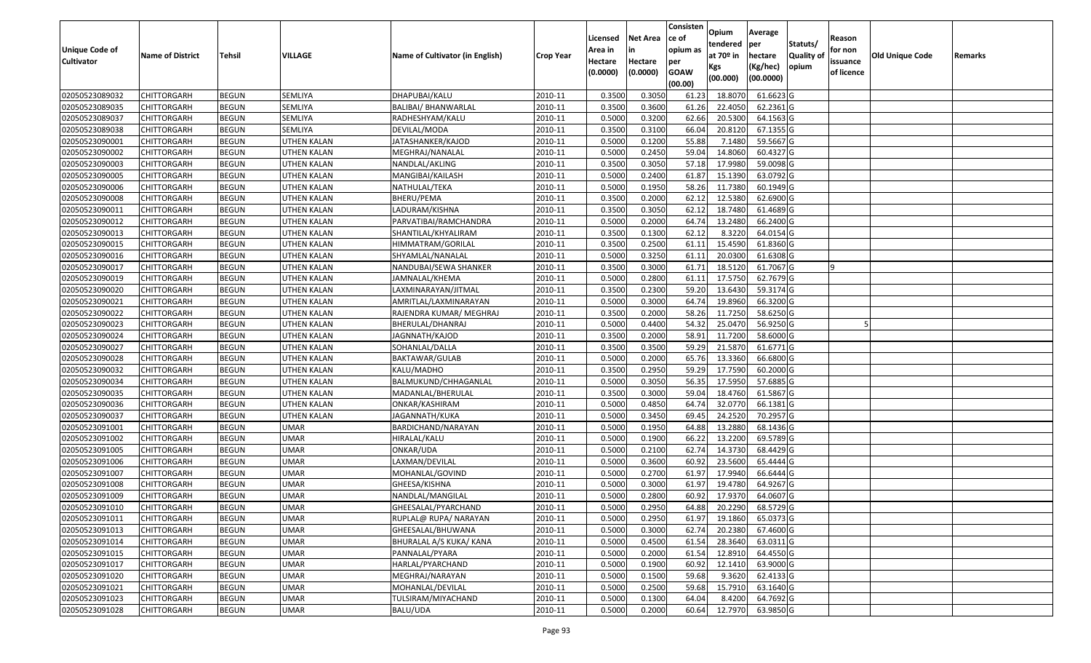|                       |                         |               |                    |                                 |                  |          |                 | Consisten   | Opium       | Average        |                  |            |                 |         |
|-----------------------|-------------------------|---------------|--------------------|---------------------------------|------------------|----------|-----------------|-------------|-------------|----------------|------------------|------------|-----------------|---------|
|                       |                         |               |                    |                                 |                  | Licensed | <b>Net Area</b> | ce of       | tendered    |                | Statuts/         | Reason     |                 |         |
| <b>Unique Code of</b> | <b>Name of District</b> | <b>Tehsil</b> | VILLAGE            | Name of Cultivator (in English) | <b>Crop Year</b> | Area in  | in              | opium as    | at $70°$ in | per<br>hectare | <b>Quality o</b> | for non    | Old Unique Code | Remarks |
| <b>Cultivator</b>     |                         |               |                    |                                 |                  | Hectare  | Hectare         | per         | Kgs         | (Kg/hec)       | opium            | issuance   |                 |         |
|                       |                         |               |                    |                                 |                  | (0.0000) | (0.0000)        | <b>GOAW</b> | (00.000)    | (00.0000)      |                  | of licence |                 |         |
|                       |                         |               |                    |                                 |                  |          |                 | (00.00)     |             |                |                  |            |                 |         |
| 02050523089032        | CHITTORGARH             | <b>BEGUN</b>  | SEMLIYA            | DHAPUBAI/KALU                   | 2010-11          | 0.3500   | 0.3050          | 61.23       | 18.807      | 61.6623 G      |                  |            |                 |         |
| 02050523089035        | CHITTORGARH             | <b>BEGUN</b>  | SEMLIYA            | BALIBAI/ BHANWARLAL             | 2010-11          | 0.3500   | 0.3600          | 61.26       | 22.4050     | $62.2361$ G    |                  |            |                 |         |
| 02050523089037        | CHITTORGARH             | <b>BEGUN</b>  | SEMLIYA            | RADHESHYAM/KALU                 | 2010-11          | 0.5000   | 0.3200          | 62.66       | 20.5300     | 64.1563 G      |                  |            |                 |         |
| 02050523089038        | <b>CHITTORGARH</b>      | <b>BEGUN</b>  | SEMLIYA            | DEVILAL/MODA                    | 2010-11          | 0.3500   | 0.3100          | 66.04       | 20.8120     | 67.1355 G      |                  |            |                 |         |
| 02050523090001        | CHITTORGARH             | <b>BEGUN</b>  | UTHEN KALAN        | JATASHANKER/KAJOD               | 2010-11          | 0.5000   | 0.1200          | 55.88       | 7.1480      | 59.5667 G      |                  |            |                 |         |
| 02050523090002        | CHITTORGARH             | <b>BEGUN</b>  | UTHEN KALAN        | MEGHRAJ/NANALAL                 | 2010-11          | 0.5000   | 0.2450          | 59.04       | 14.8060     | $60.4327$ G    |                  |            |                 |         |
| 02050523090003        | CHITTORGARH             | <b>BEGUN</b>  | UTHEN KALAN        | NANDLAL/AKLING                  | 2010-11          | 0.3500   | 0.3050          | 57.18       | 17.998      | 59.0098G       |                  |            |                 |         |
| 02050523090005        | CHITTORGARH             | <b>BEGUN</b>  | <b>UTHEN KALAN</b> | MANGIBAI/KAILASH                | 2010-11          | 0.5000   | 0.2400          | 61.87       | 15.1390     | 63.0792G       |                  |            |                 |         |
| 02050523090006        | CHITTORGARH             | <b>BEGUN</b>  | UTHEN KALAN        | NATHULAL/TEKA                   | 2010-11          | 0.5000   | 0.1950          | 58.26       | 11.7380     | 60.1949 G      |                  |            |                 |         |
| 02050523090008        | CHITTORGARH             | <b>BEGUN</b>  | UTHEN KALAN        | BHERU/PEMA                      | 2010-11          | 0.3500   | 0.2000          | 62.12       | 12.5380     | 62.6900 G      |                  |            |                 |         |
| 02050523090011        | CHITTORGARH             | <b>BEGUN</b>  | UTHEN KALAN        | LADURAM/KISHNA                  | 2010-11          | 0.3500   | 0.3050          | 62.12       | 18.7480     | 61.4689 G      |                  |            |                 |         |
| 02050523090012        | CHITTORGARH             | <b>BEGUN</b>  | <b>UTHEN KALAN</b> | PARVATIBAI/RAMCHANDRA           | 2010-11          | 0.5000   | 0.2000          | 64.74       | 13.2480     | 66.2400 G      |                  |            |                 |         |
| 02050523090013        | <b>CHITTORGARH</b>      | <b>BEGUN</b>  | UTHEN KALAN        | SHANTILAL/KHYALIRAM             | 2010-11          | 0.3500   | 0.1300          | 62.12       | 8.3220      | 64.0154 G      |                  |            |                 |         |
| 02050523090015        | CHITTORGARH             | <b>BEGUN</b>  | UTHEN KALAN        | HIMMATRAM/GORILAL               | 2010-11          | 0.3500   | 0.2500          | 61.11       | 15.4590     | 61.8360 G      |                  |            |                 |         |
| 02050523090016        | CHITTORGARH             | <b>BEGUN</b>  | UTHEN KALAN        | SHYAMLAL/NANALAL                | 2010-11          | 0.5000   | 0.3250          | 61.11       | 20.0300     | 61.6308 G      |                  |            |                 |         |
| 02050523090017        | CHITTORGARH             | <b>BEGUN</b>  | <b>UTHEN KALAN</b> | NANDUBAI/SEWA SHANKER           | 2010-11          | 0.3500   | 0.3000          | 61.71       | 18.5120     | 61.7067 G      |                  |            |                 |         |
| 02050523090019        | CHITTORGARH             | <b>BEGUN</b>  | UTHEN KALAN        | JAMNALAL/KHEMA                  | 2010-11          | 0.5000   | 0.2800          | 61.1        | 17.575      | 62.7679 G      |                  |            |                 |         |
| 02050523090020        | CHITTORGARH             | <b>BEGUN</b>  | UTHEN KALAN        | LAXMINARAYAN/JITMAL             | 2010-11          | 0.3500   | 0.2300          | 59.20       | 13.6430     | 59.3174 G      |                  |            |                 |         |
| 02050523090021        | CHITTORGARH             | <b>BEGUN</b>  | UTHEN KALAN        | AMRITLAL/LAXMINARAYAN           | 2010-11          | 0.5000   | 0.3000          | 64.7        | 19.8960     | 66.3200 G      |                  |            |                 |         |
| 02050523090022        | CHITTORGARH             | <b>BEGUN</b>  | UTHEN KALAN        | RAJENDRA KUMAR/ MEGHRAJ         | 2010-11          | 0.3500   | 0.2000          | 58.26       | 11.7250     | 58.6250 G      |                  |            |                 |         |
| 02050523090023        | CHITTORGARH             | <b>BEGUN</b>  | UTHEN KALAN        | BHERULAL/DHANRAJ                | 2010-11          | 0.5000   | 0.4400          | 54.32       | 25.0470     | 56.9250 G      |                  |            |                 |         |
| 02050523090024        | CHITTORGARH             | <b>BEGUN</b>  | UTHEN KALAN        | JAGNNATH/KAJOD                  | 2010-11          | 0.3500   | 0.2000          | 58.9        | 11.7200     | 58.6000 G      |                  |            |                 |         |
| 02050523090027        | CHITTORGARH             | <b>BEGUN</b>  | UTHEN KALAN        | SOHANLAL/DALLA                  | 2010-11          | 0.3500   | 0.3500          | 59.29       | 21.5870     | 61.6771G       |                  |            |                 |         |
| 02050523090028        | CHITTORGARH             | <b>BEGUN</b>  | UTHEN KALAN        | BAKTAWAR/GULAB                  | 2010-11          | 0.5000   | 0.2000          | 65.76       | 13.3360     | 66.6800 G      |                  |            |                 |         |
| 02050523090032        | CHITTORGARH             | <b>BEGUN</b>  | <b>UTHEN KALAN</b> | KALU/MADHO                      | 2010-11          | 0.3500   | 0.2950          | 59.29       | 17.7590     | 60.2000 G      |                  |            |                 |         |
| 02050523090034        | CHITTORGARH             | <b>BEGUN</b>  | UTHEN KALAN        | BALMUKUND/CHHAGANLAL            | 2010-11          | 0.5000   | 0.3050          | 56.35       | 17.5950     | 57.6885 G      |                  |            |                 |         |
| 02050523090035        | CHITTORGARH             | <b>BEGUN</b>  | UTHEN KALAN        | MADANLAL/BHERULAL               | 2010-11          | 0.3500   | 0.3000          | 59.04       | 18.4760     | 61.5867 G      |                  |            |                 |         |
| 02050523090036        | CHITTORGARH             | <b>BEGUN</b>  | UTHEN KALAN        | ONKAR/KASHIRAM                  | 2010-11          | 0.5000   | 0.4850          | 64.74       | 32.0770     | 66.1381G       |                  |            |                 |         |
| 02050523090037        | CHITTORGARH             | <b>BEGUN</b>  | UTHEN KALAN        | JAGANNATH/KUKA                  | 2010-11          | 0.5000   | 0.3450          | 69.45       | 24.2520     | 70.2957 G      |                  |            |                 |         |
| 02050523091001        | CHITTORGARH             | <b>BEGUN</b>  | <b>UMAR</b>        | BARDICHAND/NARAYAN              | 2010-11          | 0.5000   | 0.1950          | 64.88       | 13.2880     | 68.1436 G      |                  |            |                 |         |
| 02050523091002        | CHITTORGARH             | <b>BEGUN</b>  | <b>UMAR</b>        | HIRALAL/KALU                    | 2010-11          | 0.5000   | 0.1900          | 66.22       | 13.2200     | 69.5789 G      |                  |            |                 |         |
| 02050523091005        | CHITTORGARH             | <b>BEGUN</b>  | <b>UMAR</b>        | ONKAR/UDA                       | 2010-11          | 0.5000   | 0.2100          | 62.7        | 14.3730     | 68.4429 G      |                  |            |                 |         |
| 02050523091006        | CHITTORGARH             | <b>BEGUN</b>  | <b>UMAR</b>        | LAXMAN/DEVILAL                  | 2010-11          | 0.5000   | 0.3600          | 60.92       | 23.5600     | 65.4444 G      |                  |            |                 |         |
| 02050523091007        | CHITTORGARH             | <b>BEGUN</b>  | <b>UMAR</b>        | MOHANLAL/GOVIND                 | 2010-11          | 0.5000   | 0.2700          | 61.97       | 17.9940     | 66.6444 G      |                  |            |                 |         |
| 02050523091008        | CHITTORGARH             | <b>BEGUN</b>  | <b>UMAR</b>        | GHEESA/KISHNA                   | 2010-11          | 0.500    | 0.3000          | 61.97       | 19.4780     | 64.9267 G      |                  |            |                 |         |
| 02050523091009        | CHITTORGARH             | <b>BEGUN</b>  | <b>UMAR</b>        | NANDLAL/MANGILAL                | 2010-11          | 0.5000   | 0.2800          | 60.92       | 17.9370     | 64.0607 G      |                  |            |                 |         |
| 02050523091010        | <b>CHITTORGARH</b>      | <b>BEGUN</b>  | <b>UMAR</b>        | GHEESALAL/PYARCHAND             | 2010-11          | 0.5000   | 0.2950          | 64.88       | 20.2290     | 68.5729 G      |                  |            |                 |         |
| 02050523091011        | <b>CHITTORGARH</b>      | <b>BEGUN</b>  | <b>UMAR</b>        | RUPLAL@ RUPA/ NARAYAN           | 2010-11          | 0.5000   | 0.2950          | 61.97       | 19.1860     | 65.0373 G      |                  |            |                 |         |
| 02050523091013        | <b>CHITTORGARH</b>      | <b>BEGUN</b>  | <b>UMAR</b>        | GHEESALAL/BHUWANA               | 2010-11          | 0.5000   | 0.3000          | 62.74       | 20.2380     | 67.4600 G      |                  |            |                 |         |
| 02050523091014        | <b>CHITTORGARH</b>      | <b>BEGUN</b>  | <b>UMAR</b>        | BHURALAL A/S KUKA/ KANA         | 2010-11          | 0.5000   | 0.4500          | 61.54       | 28.3640     | 63.0311 G      |                  |            |                 |         |
| 02050523091015        | <b>CHITTORGARH</b>      | <b>BEGUN</b>  | <b>UMAR</b>        | PANNALAL/PYARA                  | 2010-11          | 0.5000   | 0.2000          | 61.54       | 12.8910     | 64.4550 G      |                  |            |                 |         |
| 02050523091017        | <b>CHITTORGARH</b>      | <b>BEGUN</b>  | <b>UMAR</b>        | HARLAL/PYARCHAND                | 2010-11          | 0.5000   | 0.1900          | 60.92       | 12.1410     | 63.9000 G      |                  |            |                 |         |
| 02050523091020        | <b>CHITTORGARH</b>      | <b>BEGUN</b>  | UMAR               | MEGHRAJ/NARAYAN                 | 2010-11          | 0.5000   | 0.1500          | 59.68       | 9.3620      | 62.4133 G      |                  |            |                 |         |
| 02050523091021        | <b>CHITTORGARH</b>      | <b>BEGUN</b>  | <b>UMAR</b>        | MOHANLAL/DEVILAL                | 2010-11          | 0.5000   | 0.2500          | 59.68       | 15.7910     | 63.1640 G      |                  |            |                 |         |
| 02050523091023        | <b>CHITTORGARH</b>      | <b>BEGUN</b>  | <b>UMAR</b>        | TULSIRAM/MIYACHAND              | 2010-11          | 0.5000   | 0.1300          | 64.04       | 8.4200      | 64.7692 G      |                  |            |                 |         |
| 02050523091028        | <b>CHITTORGARH</b>      | <b>BEGUN</b>  | <b>UMAR</b>        | BALU/UDA                        | 2010-11          | 0.5000   | 0.2000          | 60.64       | 12.7970     | 63.9850 G      |                  |            |                 |         |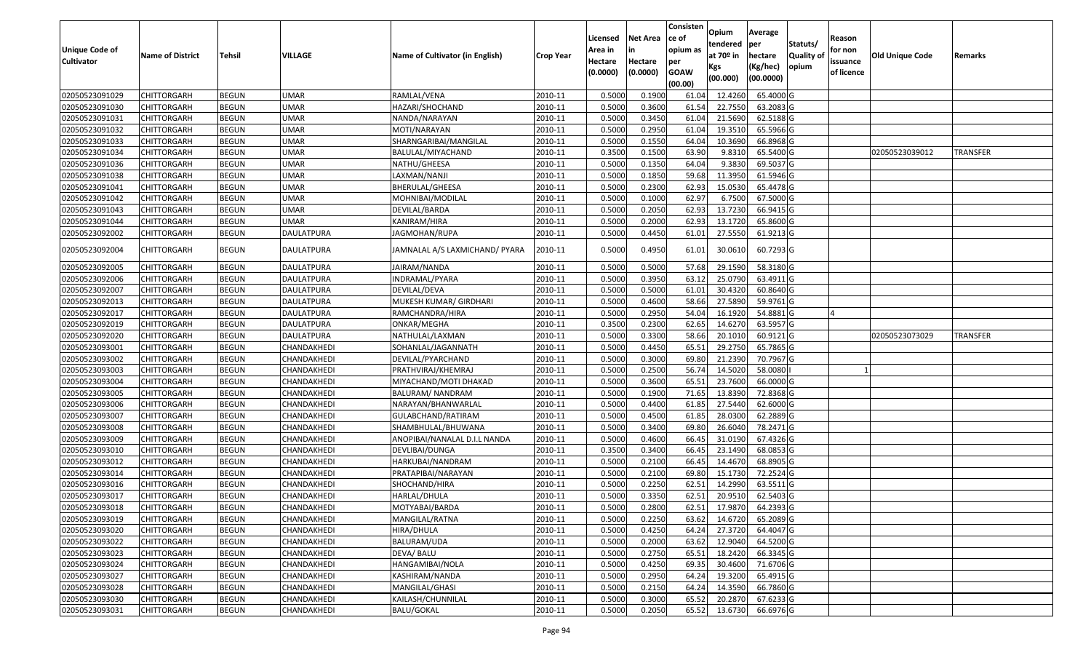|                       |                         |               |                   |                                 |                  |          |                 | Consisten              | Opium         | Average   |                  |            |                 |          |
|-----------------------|-------------------------|---------------|-------------------|---------------------------------|------------------|----------|-----------------|------------------------|---------------|-----------|------------------|------------|-----------------|----------|
|                       |                         |               |                   |                                 |                  | Licensed | <b>Net Area</b> | ce of                  | tendered      | per       | Statuts/         | Reason     |                 |          |
| <b>Unique Code of</b> | <b>Name of District</b> | <b>Tehsil</b> | VILLAGE           | Name of Cultivator (in English) | <b>Crop Year</b> | Area in  |                 | opium as               | at $70°$ in   | hectare   | <b>Quality o</b> | for non    | Old Unique Code | Remarks  |
| <b>Cultivator</b>     |                         |               |                   |                                 |                  | Hectare  | Hectare         | per                    | Kgs           | (Kg/hec)  | opium            | issuance   |                 |          |
|                       |                         |               |                   |                                 |                  | (0.0000) | (0.0000)        | <b>GOAW</b><br>(00.00) | (00.000)      | (00.0000) |                  | of licence |                 |          |
| 02050523091029        | CHITTORGARH             | <b>BEGUN</b>  | <b>UMAR</b>       | RAMLAL/VENA                     | 2010-11          | 0.5000   | 0.1900          | 61.04                  | 12.4260       | 65.4000 G |                  |            |                 |          |
| 02050523091030        | CHITTORGARH             | <b>BEGUN</b>  | <b>UMAR</b>       | HAZARI/SHOCHAND                 | 2010-11          | 0.5000   | 0.3600          | 61.54                  | 22.7550       | 63.2083 G |                  |            |                 |          |
| 02050523091031        | CHITTORGARH             | <b>BEGUN</b>  | <b>UMAR</b>       | NANDA/NARAYAN                   | 2010-11          | 0.5000   | 0.3450          | 61.04                  | 21.5690       | 62.5188 G |                  |            |                 |          |
| 02050523091032        | <b>CHITTORGARH</b>      | <b>BEGUN</b>  | <b>UMAR</b>       | MOTI/NARAYAN                    | 2010-11          | 0.5000   | 0.2950          | 61.04                  | 19.3510       | 65.5966 G |                  |            |                 |          |
| 02050523091033        | CHITTORGARH             | <b>BEGUN</b>  | <b>UMAR</b>       | SHARNGARIBAI/MANGILAL           | 2010-11          | 0.5000   | 0.1550          | 64.04                  | 10.3690       | 66.8968 G |                  |            |                 |          |
| 02050523091034        | CHITTORGARH             | <b>BEGUN</b>  | <b>UMAR</b>       | BALULAL/MIYACHAND               | 2010-11          | 0.3500   | 0.1500          | 63.90                  | 9.8310        | 65.5400 G |                  |            | 02050523039012  | TRANSFER |
| 02050523091036        | CHITTORGARH             | <b>BEGUN</b>  | <b>UMAR</b>       | NATHU/GHEESA                    | 2010-11          | 0.5000   | 0.1350          | 64.04                  | 9.3830        | 69.5037 G |                  |            |                 |          |
| 02050523091038        | CHITTORGARH             | <b>BEGUN</b>  | <b>UMAR</b>       | LAXMAN/NANJI                    | 2010-11          | 0.5000   | 0.1850          | 59.68                  | 11.3950       | 61.5946 G |                  |            |                 |          |
| 02050523091041        | CHITTORGARH             | <b>BEGUN</b>  | <b>UMAR</b>       | BHERULAL/GHEESA                 | 2010-11          | 0.5000   | 0.2300          | 62.93                  | 15.0530       | 65.4478 G |                  |            |                 |          |
| 02050523091042        | CHITTORGARH             | <b>BEGUN</b>  | <b>UMAR</b>       | MOHNIBAI/MODILAL                | 2010-11          | 0.5000   | 0.1000          | 62.97                  | 6.7500        | 67.5000 G |                  |            |                 |          |
| 02050523091043        | CHITTORGARH             | <b>BEGUN</b>  | <b>UMAR</b>       | DEVILAL/BARDA                   | 2010-11          | 0.5000   | 0.2050          | 62.93                  | 13.7230       | 66.9415 G |                  |            |                 |          |
| 02050523091044        | CHITTORGARH             | <b>BEGUN</b>  | <b>UMAR</b>       | KANIRAM/HIRA                    | 2010-11          | 0.5000   | 0.2000          | 62.93                  | 13.1720       | 65.8600 G |                  |            |                 |          |
| 02050523092002        | CHITTORGARH             | <b>BEGUN</b>  | DAULATPURA        | JAGMOHAN/RUPA                   | 2010-11          | 0.5000   | 0.4450          | 61.01                  | 27.5550       | 61.9213 G |                  |            |                 |          |
| 02050523092004        | CHITTORGARH             | <b>BEGUN</b>  | DAULATPURA        | JAMNALAL A/S LAXMICHAND/ PYARA  | 2010-11          | 0.5000   | 0.4950          | 61.01                  | 30.0610       | 60.7293 G |                  |            |                 |          |
| 02050523092005        | CHITTORGARH             | <b>BEGUN</b>  | <b>DAULATPURA</b> | JAIRAM/NANDA                    | 2010-11          | 0.5000   | 0.5000          | 57.68                  | 29.159        | 58.3180 G |                  |            |                 |          |
| 02050523092006        | CHITTORGARH             | <b>BEGUN</b>  | DAULATPURA        | INDRAMAL/PYARA                  | 2010-11          | 0.5000   | 0.3950          | 63.12                  | 25.0790       | 63.4911G  |                  |            |                 |          |
| 02050523092007        | CHITTORGARH             | <b>BEGUN</b>  | DAULATPURA        | DEVILAL/DEVA                    | 2010-11          | 0.5000   | 0.5000          | 61.01                  | 30.4320       | 60.8640 G |                  |            |                 |          |
| 02050523092013        | CHITTORGARH             | <b>BEGUN</b>  | <b>DAULATPURA</b> | MUKESH KUMAR/ GIRDHARI          | 2010-11          | 0.5000   | 0.4600          | 58.66                  | 27.5890       | 59.9761G  |                  |            |                 |          |
| 02050523092017        | CHITTORGARH             | <b>BEGUN</b>  | <b>DAULATPURA</b> | RAMCHANDRA/HIRA                 | 2010-11          | 0.5000   | 0.2950          | 54.04                  | 16.1920       | 54.8881G  |                  |            |                 |          |
| 02050523092019        | CHITTORGARH             | <b>BEGUN</b>  | DAULATPURA        | ONKAR/MEGHA                     | 2010-11          | 0.3500   | 0.2300          | 62.65                  | 14.6270       | 63.5957 G |                  |            |                 |          |
| 02050523092020        | CHITTORGARH             | <b>BEGUN</b>  | DAULATPURA        | NATHULAL/LAXMAN                 | 2010-11          | 0.5000   | 0.3300          | 58.66                  | 20.1010       | 60.9121 G |                  |            | 02050523073029  | TRANSFER |
| 02050523093001        | CHITTORGARH             | <b>BEGUN</b>  | CHANDAKHEDI       | SOHANLAL/JAGANNATH              | 2010-11          | 0.5000   | 0.4450          | 65.5                   | 29.2750       | 65.7865 G |                  |            |                 |          |
| 02050523093002        | CHITTORGARH             | <b>BEGUN</b>  | CHANDAKHEDI       | DEVILAL/PYARCHAND               | 2010-11          | 0.5000   | 0.3000          | 69.80                  | 21.2390       | 70.7967 G |                  |            |                 |          |
| 02050523093003        | CHITTORGARH             | <b>BEGUN</b>  | CHANDAKHEDI       | PRATHVIRAJ/KHEMRAJ              | 2010-11          | 0.5000   | 0.2500          | 56.7                   | 14.5020       | 58.0080   |                  |            |                 |          |
| 02050523093004        | CHITTORGARH             | <b>BEGUN</b>  | CHANDAKHEDI       | MIYACHAND/MOTI DHAKAD           | 2010-11          | 0.5000   | 0.3600          | 65.5                   | 23.7600       | 66.0000 G |                  |            |                 |          |
| 02050523093005        | CHITTORGARH             | <b>BEGUN</b>  | CHANDAKHEDI       | BALURAM/ NANDRAM                | 2010-11          | 0.5000   | 0.1900          | 71.65                  | 13.8390       | 72.8368 G |                  |            |                 |          |
| 02050523093006        | CHITTORGARH             | <b>BEGUN</b>  | CHANDAKHEDI       | NARAYAN/BHANWARLAL              | 2010-11          | 0.5000   | 0.4400          | 61.85                  | 27.5440       | 62.6000G  |                  |            |                 |          |
| 02050523093007        | CHITTORGARH             | <b>BEGUN</b>  | CHANDAKHEDI       | GULABCHAND/RATIRAM              | 2010-11          | 0.5000   | 0.4500          | 61.85                  | 28.0300       | 62.2889 G |                  |            |                 |          |
| 02050523093008        | CHITTORGARH             | <b>BEGUN</b>  | CHANDAKHEDI       | SHAMBHULAL/BHUWANA              | 2010-11          | 0.5000   | 0.3400          | 69.80                  | 26.6040       | 78.2471 G |                  |            |                 |          |
| 02050523093009        | CHITTORGARH             | <b>BEGUN</b>  | CHANDAKHEDI       | ANOPIBAI/NANALAL D.I.L NANDA    | 2010-11          | 0.5000   | 0.4600          | 66.45                  | 31.019        | 67.4326 G |                  |            |                 |          |
| 02050523093010        | CHITTORGARH             | <b>BEGUN</b>  | CHANDAKHEDI       | DEVLIBAI/DUNGA                  | 2010-11          | 0.3500   | 0.3400          | 66.45                  | 23.1490       | 68.0853 G |                  |            |                 |          |
| 02050523093012        | CHITTORGARH             | <b>BEGUN</b>  | CHANDAKHEDI       | HARKUBAI/NANDRAM                | 2010-11          | 0.5000   | 0.2100          | 66.45                  | 14.4670       | 68.8905 G |                  |            |                 |          |
| 02050523093014        | <b>CHITTORGARH</b>      | <b>BEGUN</b>  | CHANDAKHEDI       | PRATAPIBAI/NARAYAN              | 2010-11          | 0.5000   | 0.2100          | 69.80                  | 15.1730       | 72.2524 G |                  |            |                 |          |
| 02050523093016        | CHITTORGARH             | <b>BEGUN</b>  | CHANDAKHEDI       | SHOCHAND/HIRA                   | 2010-11          | 0.500    | 0.2250          | 62.5                   | 14.2990       | 63.5511 G |                  |            |                 |          |
| 02050523093017        | CHITTORGARH             | <b>BEGUN</b>  | CHANDAKHEDI       | HARLAL/DHULA                    | 2010-11          | 0.5000   | 0.3350          | 62.51                  | 20.9510       | 62.5403 G |                  |            |                 |          |
| 02050523093018        | <b>CHITTORGARH</b>      | <b>BEGUN</b>  | CHANDAKHEDI       | MOTYABAI/BARDA                  | 2010-11          | 0.5000   | 0.2800          |                        | 62.51 17.9870 | 64.2393 G |                  |            |                 |          |
| 02050523093019        | <b>CHITTORGARH</b>      | <b>BEGUN</b>  | CHANDAKHEDI       | MANGILAL/RATNA                  | 2010-11          | 0.5000   | 0.2250          | 63.62                  | 14.6720       | 65.2089 G |                  |            |                 |          |
| 02050523093020        | <b>CHITTORGARH</b>      | <b>BEGUN</b>  | CHANDAKHEDI       | HIRA/DHULA                      | 2010-11          | 0.5000   | 0.4250          | 64.24                  | 27.3720       | 64.4047 G |                  |            |                 |          |
| 02050523093022        | <b>CHITTORGARH</b>      | <b>BEGUN</b>  | CHANDAKHEDI       | BALURAM/UDA                     | 2010-11          | 0.5000   | 0.2000          | 63.62                  | 12.9040       | 64.5200 G |                  |            |                 |          |
| 02050523093023        | CHITTORGARH             | <b>BEGUN</b>  | CHANDAKHEDI       | DEVA/BALU                       | 2010-11          | 0.5000   | 0.2750          | 65.5                   | 18.2420       | 66.3345 G |                  |            |                 |          |
| 02050523093024        | <b>CHITTORGARH</b>      | <b>BEGUN</b>  | CHANDAKHEDI       | HANGAMIBAI/NOLA                 | 2010-11          | 0.5000   | 0.4250          | 69.35                  | 30.4600       | 71.6706 G |                  |            |                 |          |
| 02050523093027        | <b>CHITTORGARH</b>      | <b>BEGUN</b>  | CHANDAKHEDI       | KASHIRAM/NANDA                  | 2010-11          | 0.5000   | 0.2950          | 64.24                  | 19.3200       | 65.4915 G |                  |            |                 |          |
| 02050523093028        | CHITTORGARH             | <b>BEGUN</b>  | CHANDAKHEDI       | MANGILAL/GHASI                  | 2010-11          | 0.5000   | 0.2150          | 64.24                  | 14.3590       | 66.7860 G |                  |            |                 |          |
| 02050523093030        | <b>CHITTORGARH</b>      | <b>BEGUN</b>  | CHANDAKHEDI       | KAILASH/CHUNNILAL               | 2010-11          | 0.5000   | 0.3000          | 65.52                  | 20.2870       | 67.6233 G |                  |            |                 |          |
| 02050523093031        | <b>CHITTORGARH</b>      | <b>BEGUN</b>  | CHANDAKHEDI       | <b>BALU/GOKAL</b>               | 2010-11          | 0.5000   | 0.2050          | 65.52                  | 13.6730       | 66.6976 G |                  |            |                 |          |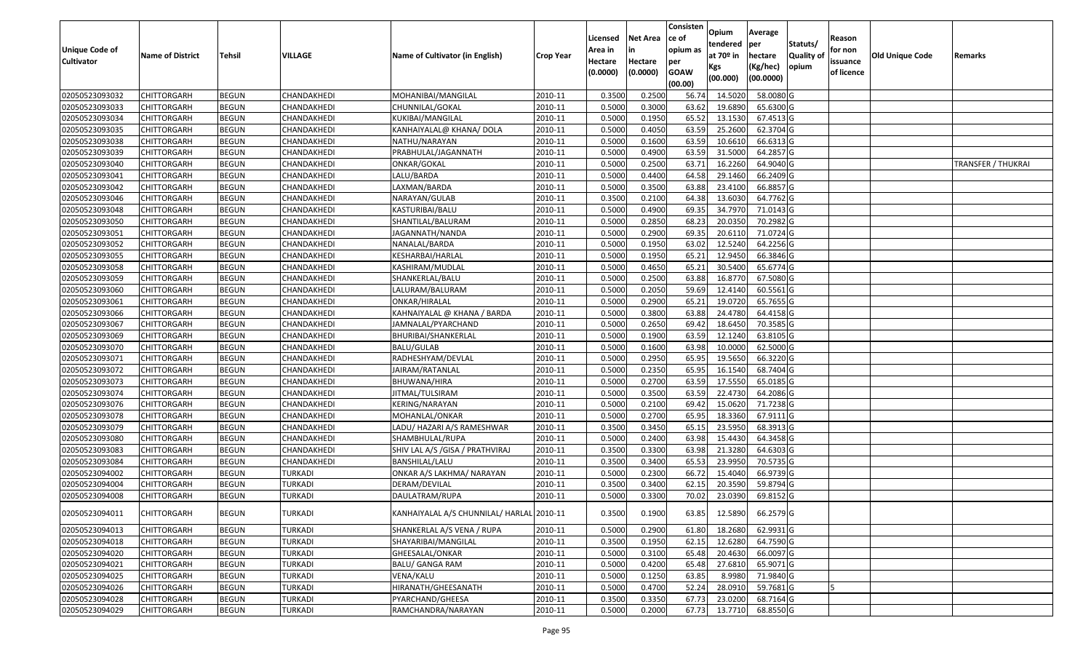|                   |                         |               |                |                                           |                  | Licensed | <b>Net Area</b> | Consisten<br>ce of     | Opium<br>tendered     | Average<br>per | Statuts/         | Reason     |                 |                    |
|-------------------|-------------------------|---------------|----------------|-------------------------------------------|------------------|----------|-----------------|------------------------|-----------------------|----------------|------------------|------------|-----------------|--------------------|
| Unique Code of    | <b>Name of District</b> | <b>Tehsil</b> | <b>VILLAGE</b> | Name of Cultivator (in English)           | <b>Crop Year</b> | Area in  |                 | opium as               | at 70 <sup>o</sup> in | hectare        | <b>Quality o</b> | for non    | Old Unique Code | Remarks            |
| <b>Cultivator</b> |                         |               |                |                                           |                  | Hectare  | Hectare         | per                    | Kgs                   | (Kg/hec)       | opium            | issuance   |                 |                    |
|                   |                         |               |                |                                           |                  | (0.0000) | (0.0000)        | <b>GOAW</b><br>(00.00) | (00.000)              | (00.0000)      |                  | of licence |                 |                    |
| 02050523093032    | CHITTORGARH             | <b>BEGUN</b>  | CHANDAKHEDI    | MOHANIBAI/MANGILAL                        | 2010-11          | 0.3500   | 0.2500          | 56.74                  | 14.5020               | 58.0080 G      |                  |            |                 |                    |
| 02050523093033    | CHITTORGARH             | <b>BEGUN</b>  | CHANDAKHEDI    | CHUNNILAL/GOKAL                           | 2010-11          | 0.5000   | 0.3000          | 63.62                  | 19.6890               | 65.6300 G      |                  |            |                 |                    |
| 02050523093034    | CHITTORGARH             | <b>BEGUN</b>  | CHANDAKHEDI    | KUKIBAI/MANGILAL                          | 2010-11          | 0.5000   | 0.1950          | 65.52                  | 13.1530               | 67.4513 G      |                  |            |                 |                    |
| 02050523093035    | <b>CHITTORGARH</b>      | <b>BEGUN</b>  | CHANDAKHEDI    | KANHAIYALAL@ KHANA/ DOLA                  | 2010-11          | 0.5000   | 0.4050          | 63.59                  | 25.2600               | 62.3704 G      |                  |            |                 |                    |
| 02050523093038    | CHITTORGARH             | <b>BEGUN</b>  | CHANDAKHEDI    | NATHU/NARAYAN                             | 2010-11          | 0.5000   | 0.1600          | 63.59                  | 10.661                | 66.6313 G      |                  |            |                 |                    |
| 02050523093039    | CHITTORGARH             | <b>BEGUN</b>  | CHANDAKHEDI    | PRABHULAL/JAGANNATH                       | 2010-11          | 0.5000   | 0.4900          | 63.59                  | 31.5000               | 64.2857 G      |                  |            |                 |                    |
| 02050523093040    | CHITTORGARH             | <b>BEGUN</b>  | CHANDAKHEDI    | ONKAR/GOKAL                               | 2010-11          | 0.5000   | 0.2500          | 63.7                   | 16.2260               | 64.9040 G      |                  |            |                 | TRANSFER / THUKRAI |
| 02050523093041    | CHITTORGARH             | <b>BEGUN</b>  | CHANDAKHEDI    | LALU/BARDA                                | 2010-11          | 0.5000   | 0.4400          | 64.58                  | 29.1460               | 66.2409 G      |                  |            |                 |                    |
| 02050523093042    | CHITTORGARH             | <b>BEGUN</b>  | CHANDAKHEDI    | LAXMAN/BARDA                              | 2010-11          | 0.5000   | 0.3500          | 63.88                  | 23.4100               | 66.8857 G      |                  |            |                 |                    |
| 02050523093046    | CHITTORGARH             | <b>BEGUN</b>  | CHANDAKHEDI    | NARAYAN/GULAB                             | 2010-11          | 0.3500   | 0.2100          | 64.38                  | 13.6030               | 64.7762 G      |                  |            |                 |                    |
| 02050523093048    | CHITTORGARH             | <b>BEGUN</b>  | CHANDAKHEDI    | KASTURIBAI/BALU                           | 2010-11          | 0.5000   | 0.4900          | 69.35                  | 34.7970               | 71.0143 G      |                  |            |                 |                    |
| 02050523093050    | <b>CHITTORGARH</b>      | <b>BEGUN</b>  | CHANDAKHEDI    | SHANTILAL/BALURAM                         | 2010-11          | 0.5000   | 0.2850          | 68.23                  | 20.035                | 70.2982 G      |                  |            |                 |                    |
| 02050523093051    | <b>CHITTORGARH</b>      | <b>BEGUN</b>  | CHANDAKHEDI    | JAGANNATH/NANDA                           | 2010-11          | 0.5000   | 0.2900          | 69.35                  | 20.6110               | 71.0724 G      |                  |            |                 |                    |
| 02050523093052    | <b>CHITTORGARH</b>      | <b>BEGUN</b>  | CHANDAKHEDI    | NANALAL/BARDA                             | 2010-11          | 0.5000   | 0.1950          | 63.02                  | 12.5240               | 64.2256 G      |                  |            |                 |                    |
| 02050523093055    | CHITTORGARH             | <b>BEGUN</b>  | CHANDAKHEDI    | KESHARBAI/HARLAL                          | 2010-11          | 0.5000   | 0.1950          | 65.21                  | 12.9450               | 66.3846 G      |                  |            |                 |                    |
| 02050523093058    | CHITTORGARH             | <b>BEGUN</b>  | CHANDAKHEDI    | KASHIRAM/MUDLAL                           | 2010-11          | 0.5000   | 0.4650          | 65.21                  | 30.5400               | 65.6774 G      |                  |            |                 |                    |
| 02050523093059    | CHITTORGARH             | <b>BEGUN</b>  | CHANDAKHEDI    | SHANKERLAL/BALU                           | 2010-11          | 0.5000   | 0.2500          | 63.88                  | 16.8770               | 67.5080 G      |                  |            |                 |                    |
| 02050523093060    | CHITTORGARH             | <b>BEGUN</b>  | CHANDAKHEDI    | LALURAM/BALURAM                           | 2010-11          | 0.5000   | 0.2050          | 59.69                  | 12.4140               | 60.5561 G      |                  |            |                 |                    |
| 02050523093061    | CHITTORGARH             | <b>BEGUN</b>  | CHANDAKHEDI    | ONKAR/HIRALAL                             | 2010-11          | 0.5000   | 0.2900          | 65.21                  | 19.0720               | 65.7655 G      |                  |            |                 |                    |
| 02050523093066    | CHITTORGARH             | <b>BEGUN</b>  | CHANDAKHEDI    | KAHNAIYALAL @ KHANA / BARDA               | 2010-11          | 0.5000   | 0.3800          | 63.88                  | 24.4780               | 64.4158 G      |                  |            |                 |                    |
| 02050523093067    | CHITTORGARH             | <b>BEGUN</b>  | CHANDAKHEDI    | JAMNALAL/PYARCHAND                        | 2010-11          | 0.5000   | 0.2650          | 69.42                  | 18.645                | 70.3585 G      |                  |            |                 |                    |
| 02050523093069    | CHITTORGARH             | <b>BEGUN</b>  | CHANDAKHEDI    | BHURIBAI/SHANKERLAL                       | 2010-11          | 0.500    | 0.1900          | 63.59                  | 12.124                | 63.8105 G      |                  |            |                 |                    |
| 02050523093070    | CHITTORGARH             | <b>BEGUN</b>  | CHANDAKHEDI    | <b>BALU/GULAB</b>                         | 2010-11          | 0.5000   | 0.1600          | 63.98                  | 10.0000               | 62.5000 G      |                  |            |                 |                    |
| 02050523093071    | CHITTORGARH             | <b>BEGUN</b>  | CHANDAKHEDI    | RADHESHYAM/DEVLAL                         | 2010-11          | 0.5000   | 0.2950          | 65.95                  | 19.5650               | 66.3220 G      |                  |            |                 |                    |
| 02050523093072    | CHITTORGARH             | <b>BEGUN</b>  | CHANDAKHEDI    | JAIRAM/RATANLAL                           | 2010-11          | 0.5000   | 0.2350          | 65.95                  | 16.1540               | 68.7404 G      |                  |            |                 |                    |
| 02050523093073    | CHITTORGARH             | <b>BEGUN</b>  | CHANDAKHEDI    | BHUWANA/HIRA                              | 2010-11          | 0.5000   | 0.2700          | 63.59                  | 17.5550               | 65.0185 G      |                  |            |                 |                    |
| 02050523093074    | CHITTORGARH             | <b>BEGUN</b>  | CHANDAKHEDI    | IITMAL/TULSIRAM                           | 2010-11          | 0.5000   | 0.3500          | 63.59                  | 22.4730               | 64.2086 G      |                  |            |                 |                    |
| 02050523093076    | CHITTORGARH             | <b>BEGUN</b>  | CHANDAKHEDI    | KERING/NARAYAN                            | 2010-11          | 0.5000   | 0.2100          | 69.42                  | 15.0620               | 71.7238 G      |                  |            |                 |                    |
| 02050523093078    | CHITTORGARH             | <b>BEGUN</b>  | CHANDAKHEDI    | MOHANLAL/ONKAR                            | 2010-11          | 0.5000   | 0.2700          | 65.95                  | 18.3360               | 67.9111 G      |                  |            |                 |                    |
| 02050523093079    | CHITTORGARH             | <b>BEGUN</b>  | CHANDAKHEDI    | LADU/ HAZARI A/S RAMESHWAR                | 2010-11          | 0.3500   | 0.3450          | 65.15                  | 23.5950               | 68.3913 G      |                  |            |                 |                    |
| 02050523093080    | CHITTORGARH             | <b>BEGUN</b>  | CHANDAKHEDI    | SHAMBHULAL/RUPA                           | 2010-11          | 0.5000   | 0.2400          | 63.98                  | 15.4430               | 64.3458 G      |                  |            |                 |                    |
| 02050523093083    | CHITTORGARH             | <b>BEGUN</b>  | CHANDAKHEDI    | SHIV LAL A/S / GISA / PRATHVIRAJ          | 2010-11          | 0.3500   | 0.3300          | 63.98                  | 21.3280               | 64.6303 G      |                  |            |                 |                    |
| 02050523093084    | CHITTORGARH             | <b>BEGUN</b>  | CHANDAKHEDI    | BANSHILAL/LALU                            | 2010-11          | 0.3500   | 0.3400          | 65.53                  | 23.9950               | 70.5735 G      |                  |            |                 |                    |
| 02050523094002    | CHITTORGARH             | <b>BEGUN</b>  | TURKADI        | ONKAR A/S LAKHMA/ NARAYAN                 | 2010-11          | 0.500    | 0.2300          | 66.72                  | 15.4040               | 66.9739 G      |                  |            |                 |                    |
| 02050523094004    | CHITTORGARH             | <b>BEGUN</b>  | <b>TURKADI</b> | DERAM/DEVILAL                             | 2010-11          | 0.350    | 0.3400          | 62.1                   | 20.3590               | 59.8794 G      |                  |            |                 |                    |
| 02050523094008    | CHITTORGARH             | <b>BEGUN</b>  | TURKADI        | DAULATRAM/RUPA                            | 2010-11          | 0.5000   | 0.3300          | 70.02                  | 23.0390               | 69.8152 G      |                  |            |                 |                    |
| 02050523094011    | <b>CHITTORGARH</b>      | <b>BEGUN</b>  | <b>TURKADI</b> | KANHAIYALAL A/S CHUNNILAL/ HARLAL 2010-11 |                  | 0.3500   | 0.1900          | 63.85                  | 12.5890               | 66.2579 G      |                  |            |                 |                    |
| 02050523094013    | <b>CHITTORGARH</b>      | <b>BEGUN</b>  | <b>TURKADI</b> | SHANKERLAL A/S VENA / RUPA                | 2010-11          | 0.5000   | 0.2900          | 61.80                  | 18.2680               | $62.9931$ G    |                  |            |                 |                    |
| 02050523094018    | <b>CHITTORGARH</b>      | <b>BEGUN</b>  | TURKADI        | SHAYARIBAI/MANGILAL                       | 2010-11          | 0.3500   | 0.1950          | 62.15                  | 12.6280               | 64.7590 G      |                  |            |                 |                    |
| 02050523094020    | CHITTORGARH             | <b>BEGUN</b>  | <b>TURKADI</b> | GHEESALAL/ONKAR                           | 2010-11          | 0.5000   | 0.3100          | 65.48                  | 20.4630               | 66.0097 G      |                  |            |                 |                    |
| 02050523094021    | <b>CHITTORGARH</b>      | <b>BEGUN</b>  | <b>TURKADI</b> | <b>BALU/ GANGA RAM</b>                    | 2010-11          | 0.5000   | 0.4200          | 65.48                  | 27.6810               | 65.9071 G      |                  |            |                 |                    |
| 02050523094025    | <b>CHITTORGARH</b>      | <b>BEGUN</b>  | <b>TURKADI</b> | VENA/KALU                                 | 2010-11          | 0.5000   | 0.1250          | 63.85                  | 8.9980                | 71.9840 G      |                  |            |                 |                    |
| 02050523094026    | CHITTORGARH             | <b>BEGUN</b>  | <b>TURKADI</b> | HIRANATH/GHEESANATH                       | 2010-11          | 0.5000   | 0.4700          | 52.24                  | 28.0910               | 59.7681G       |                  |            |                 |                    |
| 02050523094028    | <b>CHITTORGARH</b>      | <b>BEGUN</b>  | <b>TURKADI</b> | PYARCHAND/GHEESA                          | 2010-11          | 0.3500   | 0.3350          | 67.73                  | 23.0200               | 68.7164 G      |                  |            |                 |                    |
| 02050523094029    | <b>CHITTORGARH</b>      | <b>BEGUN</b>  | <b>TURKADI</b> | RAMCHANDRA/NARAYAN                        | 2010-11          | 0.5000   | 0.2000          | 67.73                  | 13.7710               | 68.8550 G      |                  |            |                 |                    |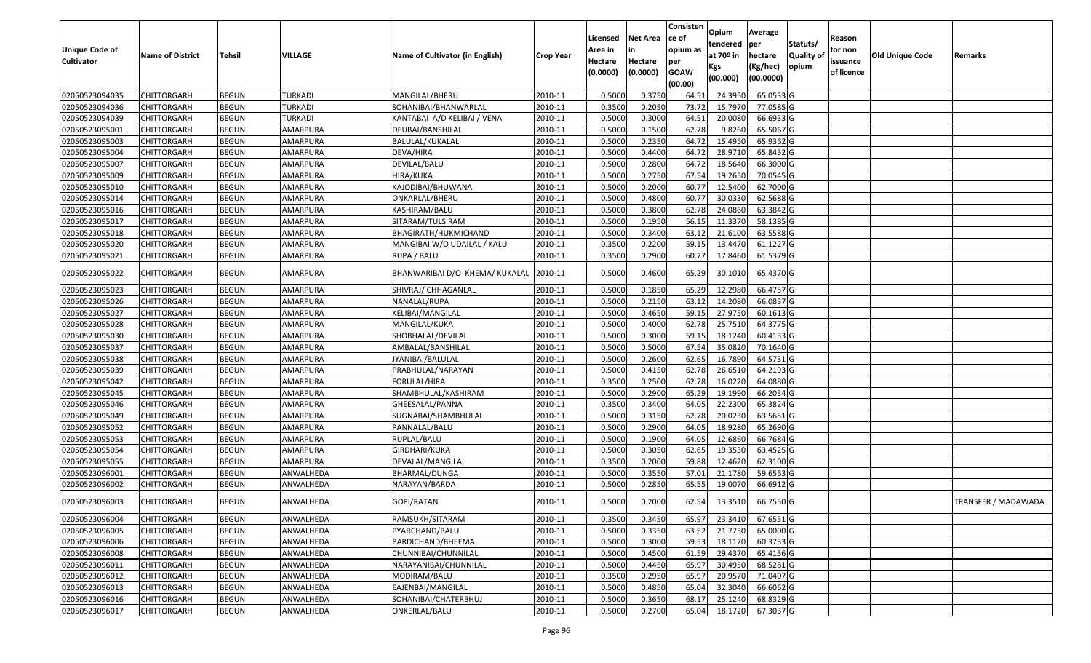| <b>Unique Code of</b> | <b>Name of District</b> | Tehsil       | VILLAGE   | Name of Cultivator (in English) | <b>Crop Year</b> | Licensed<br>Area in | <b>Net Area</b><br>in | Consisten<br>lce of<br>opium as | Opium<br>tendered<br>at $70°$ in | Average<br>per<br>hectare | Statuts/<br><b>Quality o</b> | Reason<br>for non      | Old Unique Code | Remarks             |
|-----------------------|-------------------------|--------------|-----------|---------------------------------|------------------|---------------------|-----------------------|---------------------------------|----------------------------------|---------------------------|------------------------------|------------------------|-----------------|---------------------|
| <b>Cultivator</b>     |                         |              |           |                                 |                  | Hectare<br>(0.0000) | Hectare<br>(0.0000)   | per<br><b>GOAW</b><br>(00.00)   | Kgs<br>(00.000)                  | (Kg/hec)<br>(00.0000)     | opium                        | issuance<br>of licence |                 |                     |
| 02050523094035        | <b>CHITTORGARH</b>      | <b>BEGUN</b> | TURKADI   | MANGILAL/BHERU                  | 2010-11          | 0.5000              | 0.3750                | 64.51                           | 24.3950                          | 65.0533 G                 |                              |                        |                 |                     |
| 02050523094036        | CHITTORGARH             | <b>BEGUN</b> | TURKADI   | SOHANIBAI/BHANWARLAL            | 2010-11          | 0.3500              | 0.2050                | 73.72                           | 15.7970                          | 77.0585 G                 |                              |                        |                 |                     |
| 02050523094039        | <b>CHITTORGARH</b>      | <b>BEGUN</b> | TURKADI   | KANTABAI A/D KELIBAI / VENA     | 2010-11          | 0.5000              | 0.3000                | 64.51                           | 20.0080                          | 66.6933 G                 |                              |                        |                 |                     |
| 02050523095001        | <b>CHITTORGARH</b>      | <b>BEGUN</b> | AMARPURA  | DEUBAI/BANSHILAL                | 2010-11          | 0.5000              | 0.1500                | 62.78                           | 9.8260                           | 65.5067 G                 |                              |                        |                 |                     |
| 02050523095003        | <b>CHITTORGARH</b>      | <b>BEGUN</b> | AMARPURA  | BALULAL/KUKALAL                 | 2010-11          | 0.5000              | 0.2350                | 64.72                           | 15.4950                          | 65.9362 G                 |                              |                        |                 |                     |
| 02050523095004        | <b>CHITTORGARH</b>      | <b>BEGUN</b> | AMARPURA  | DEVA/HIRA                       | 2010-11          | 0.5000              | 0.4400                | 64.72                           | 28.9710                          | 65.8432 G                 |                              |                        |                 |                     |
| 02050523095007        | CHITTORGARH             | <b>BEGUN</b> | AMARPURA  | DEVILAL/BALU                    | 2010-11          | 0.5000              | 0.2800                | 64.72                           | 18.5640                          | 66.3000 G                 |                              |                        |                 |                     |
| 02050523095009        | <b>CHITTORGARH</b>      | <b>BEGUN</b> | AMARPURA  | HIRA/KUKA                       | 2010-11          | 0.5000              | 0.2750                | 67.54                           | 19.2650                          | 70.0545 G                 |                              |                        |                 |                     |
| 02050523095010        | <b>CHITTORGARH</b>      | <b>BEGUN</b> | AMARPURA  | KAJODIBAI/BHUWANA               | 2010-11          | 0.5000              | 0.2000                | 60.77                           | 12.5400                          | 62.7000 G                 |                              |                        |                 |                     |
| 02050523095014        | <b>CHITTORGARH</b>      | <b>BEGUN</b> | AMARPURA  | ONKARLAL/BHERU                  | 2010-11          | 0.5000              | 0.4800                | 60.7                            | 30.0330                          | 62.5688 G                 |                              |                        |                 |                     |
| 02050523095016        | <b>CHITTORGARH</b>      | <b>BEGUN</b> | AMARPURA  | KASHIRAM/BALU                   | 2010-11          | 0.5000              | 0.3800                | 62.78                           | 24.0860                          | 63.3842 G                 |                              |                        |                 |                     |
| 02050523095017        | <b>CHITTORGARH</b>      | <b>BEGUN</b> | AMARPURA  | SITARAM/TULSIRAM                | 2010-11          | 0.5000              | 0.1950                | 56.15                           | 11.3370                          | 58.1385 G                 |                              |                        |                 |                     |
| 02050523095018        | <b>CHITTORGARH</b>      | <b>BEGUN</b> | AMARPURA  | BHAGIRATH/HUKMICHAND            | 2010-11          | 0.5000              | 0.3400                | 63.12                           | 21.6100                          | 63.5588 G                 |                              |                        |                 |                     |
| 02050523095020        | <b>CHITTORGARH</b>      | <b>BEGUN</b> | AMARPURA  | MANGIBAI W/O UDAILAL / KALU     | 2010-11          | 0.3500              | 0.2200                | 59.15                           | 13.4470                          | 61.1227 G                 |                              |                        |                 |                     |
| 02050523095021        | <b>CHITTORGARH</b>      | <b>BEGUN</b> | AMARPURA  | RUPA / BALU                     | 2010-11          | 0.3500              | 0.2900                | 60.77                           | 17.8460                          | 61.5379 G                 |                              |                        |                 |                     |
| 02050523095022        | <b>CHITTORGARH</b>      | <b>BEGUN</b> | AMARPURA  | BHANWARIBAI D/O KHEMA/ KUKALAL  | 2010-11          | 0.5000              | 0.4600                | 65.29                           | 30.1010                          | 65.4370 G                 |                              |                        |                 |                     |
| 02050523095023        | <b>CHITTORGARH</b>      | <b>BEGUN</b> | AMARPURA  | SHIVRAJ/ CHHAGANLAL             | 2010-11          | 0.500               | 0.1850                | 65.29                           | 12.2980                          | 66.4757 G                 |                              |                        |                 |                     |
| 02050523095026        | <b>CHITTORGARH</b>      | <b>BEGUN</b> | AMARPURA  | NANALAL/RUPA                    | 2010-11          | 0.5000              | 0.2150                | 63.12                           | 14.2080                          | 66.0837 G                 |                              |                        |                 |                     |
| 02050523095027        | <b>CHITTORGARH</b>      | <b>BEGUN</b> | AMARPURA  | KELIBAI/MANGILAL                | 2010-11          | 0.5000              | 0.4650                | 59.15                           | 27.9750                          | 60.1613 G                 |                              |                        |                 |                     |
| 02050523095028        | <b>CHITTORGARH</b>      | <b>BEGUN</b> | AMARPURA  | MANGILAL/KUKA                   | 2010-11          | 0.5000              | 0.4000                | 62.78                           | 25.7510                          | 64.3775 G                 |                              |                        |                 |                     |
| 02050523095030        | <b>CHITTORGARH</b>      | <b>BEGUN</b> | AMARPURA  | SHOBHALAL/DEVILAL               | 2010-11          | 0.5000              | 0.3000                | 59.15                           | 18.1240                          | 60.4133 G                 |                              |                        |                 |                     |
| 02050523095037        | <b>CHITTORGARH</b>      | <b>BEGUN</b> | AMARPURA  | AMBALAL/BANSHILAL               | 2010-11          | 0.5000              | 0.5000                | 67.54                           | 35.0820                          | 70.1640 G                 |                              |                        |                 |                     |
| 02050523095038        | <b>CHITTORGARH</b>      | <b>BEGUN</b> | AMARPURA  | JYANIBAI/BALULAL                | 2010-11          | 0.5000              | 0.2600                | 62.65                           | 16.7890                          | 64.5731 G                 |                              |                        |                 |                     |
| 02050523095039        | <b>CHITTORGARH</b>      | <b>BEGUN</b> | AMARPURA  | PRABHULAL/NARAYAN               | 2010-11          | 0.5000              | 0.4150                | 62.78                           | 26.6510                          | 64.2193 G                 |                              |                        |                 |                     |
| 02050523095042        | <b>CHITTORGARH</b>      | <b>BEGUN</b> | AMARPURA  | FORULAL/HIRA                    | 2010-11          | 0.3500              | 0.2500                | 62.78                           | 16.0220                          | 64.0880 G                 |                              |                        |                 |                     |
| 02050523095045        | <b>CHITTORGARH</b>      | <b>BEGUN</b> | AMARPURA  | SHAMBHULAL/KASHIRAM             | 2010-11          | 0.5000              | 0.2900                | 65.29                           | 19.1990                          | 66.2034 G                 |                              |                        |                 |                     |
| 02050523095046        | <b>CHITTORGARH</b>      | <b>BEGUN</b> | AMARPURA  | GHEESALAL/PANNA                 | 2010-11          | 0.3500              | 0.3400                | 64.05                           | 22.2300                          | 65.3824 G                 |                              |                        |                 |                     |
| 02050523095049        | <b>CHITTORGARH</b>      | <b>BEGUN</b> | AMARPURA  | SUGNABAI/SHAMBHULAL             | 2010-11          | 0.5000              | 0.3150                | 62.78                           | 20.0230                          | 63.5651 G                 |                              |                        |                 |                     |
| 02050523095052        | <b>CHITTORGARH</b>      | <b>BEGUN</b> | AMARPURA  | PANNALAL/BALU                   | 2010-11          | 0.5000              | 0.2900                | 64.05                           | 18.9280                          | 65.2690 G                 |                              |                        |                 |                     |
| 02050523095053        | <b>CHITTORGARH</b>      | <b>BEGUN</b> | AMARPURA  | RUPLAL/BALU                     | 2010-11          | 0.5000              | 0.1900                | 64.05                           | 12.6860                          | 66.7684 G                 |                              |                        |                 |                     |
| 02050523095054        | <b>CHITTORGARH</b>      | <b>BEGUN</b> | AMARPURA  | GIRDHARI/KUKA                   | 2010-11          | 0.5000              | 0.3050                | 62.65                           | 19.3530                          | 63.4525 G                 |                              |                        |                 |                     |
| 02050523095055        | <b>CHITTORGARH</b>      | <b>BEGUN</b> | AMARPURA  | DEVALAL/MANGILAL                | 2010-11          | 0.3500              | 0.2000                | 59.88                           | 12.4620                          | 62.3100 G                 |                              |                        |                 |                     |
| 02050523096001        | <b>CHITTORGARH</b>      | <b>BEGUN</b> | ANWALHEDA | BHARMAL/DUNGA                   | 2010-11          | 0.5000              | 0.3550                | 57.01                           | 21.1780                          | 59.6563 G                 |                              |                        |                 |                     |
| 02050523096002        | <b>CHITTORGARH</b>      | <b>BEGUN</b> | ANWALHEDA | NARAYAN/BARDA                   | 2010-11          | 0.5000              | 0.2850                | 65.55                           | 19.0070                          | 66.6912G                  |                              |                        |                 |                     |
| 02050523096003        | <b>CHITTORGARH</b>      | <b>BEGUN</b> | ANWALHEDA | GOPI/RATAN                      | 2010-11          | 0.5000              | 0.2000                | 62.54                           | 13.3510                          | 66.7550 G                 |                              |                        |                 | TRANSFER / MADAWADA |
| 02050523096004        | <b>CHITTORGARH</b>      | <b>BEGUN</b> | ANWALHEDA | RAMSUKH/SITARAM                 | 2010-11          | 0.3500              | 0.3450                | 65.97                           | 23.3410                          | 67.6551 G                 |                              |                        |                 |                     |
| 02050523096005        | <b>CHITTORGARH</b>      | <b>BEGUN</b> | ANWALHEDA | PYARCHAND/BALU                  | 2010-11          | 0.5000              | 0.3350                | 63.52                           | 21.7750                          | 65.0000 G                 |                              |                        |                 |                     |
| 02050523096006        | <b>CHITTORGARH</b>      | <b>BEGUN</b> | ANWALHEDA | BARDICHAND/BHEEMA               | 2010-11          | 0.5000              | 0.3000                | 59.53                           | 18.1120                          | 60.3733 G                 |                              |                        |                 |                     |
| 02050523096008        | <b>CHITTORGARH</b>      | <b>BEGUN</b> | ANWALHEDA | CHUNNIBAI/CHUNNILAL             | 2010-11          | 0.5000              | 0.4500                | 61.59                           | 29.4370                          | 65.4156 G                 |                              |                        |                 |                     |
| 02050523096011        | <b>CHITTORGARH</b>      | <b>BEGUN</b> | ANWALHEDA | NARAYANIBAI/CHUNNILAL           | 2010-11          | 0.5000              | 0.4450                | 65.97                           | 30.4950                          | 68.5281 G                 |                              |                        |                 |                     |
| 02050523096012        | <b>CHITTORGARH</b>      | <b>BEGUN</b> | ANWALHEDA | MODIRAM/BALU                    | 2010-11          | 0.3500              | 0.2950                | 65.97                           | 20.9570                          | 71.0407 G                 |                              |                        |                 |                     |
| 02050523096013        | <b>CHITTORGARH</b>      | <b>BEGUN</b> | ANWALHEDA | EAJENBAI/MANGILAL               | 2010-11          | 0.5000              | 0.4850                | 65.04                           | 32.3040                          | 66.6062 G                 |                              |                        |                 |                     |
| 02050523096016        | <b>CHITTORGARH</b>      | <b>BEGUN</b> | ANWALHEDA | SOHANIBAI/CHATERBHUJ            | 2010-11          | 0.5000              | 0.3650                | 68.17                           | 25.1240                          | 68.8329 G                 |                              |                        |                 |                     |
| 02050523096017        | <b>CHITTORGARH</b>      | <b>BEGUN</b> | ANWALHEDA | ONKERLAL/BALU                   | 2010-11          | 0.5000              | 0.2700                | 65.04                           | 18.1720                          | 67.3037 G                 |                              |                        |                 |                     |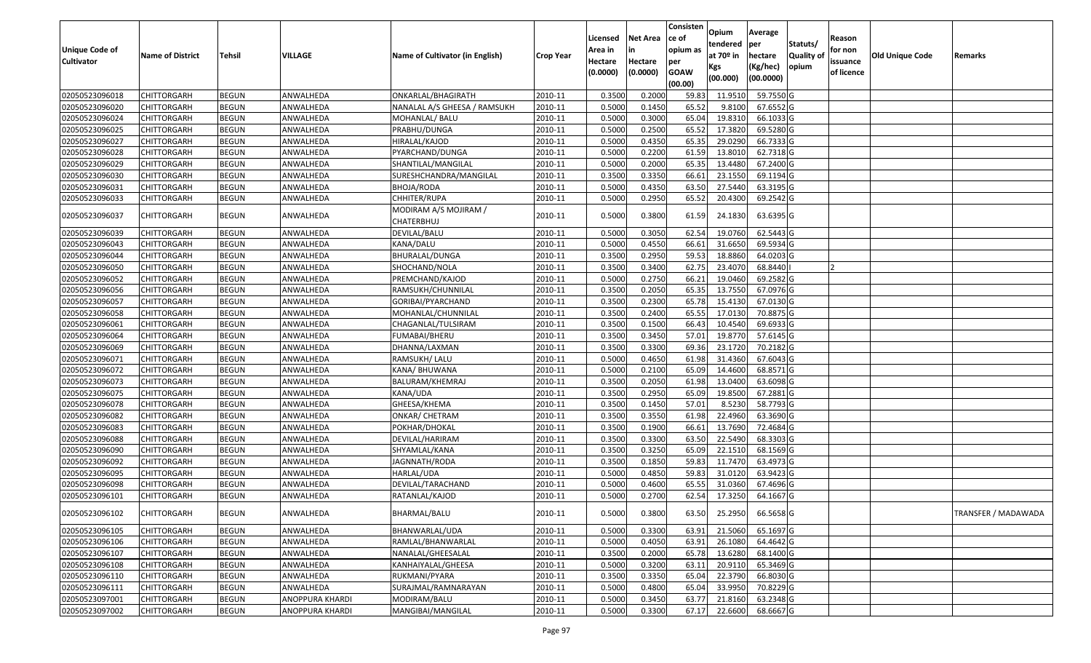| <b>Unique Code of</b> |                         |              |                 |                                            |                  | Licensed<br>Area in | <b>Net Area</b><br>in | Consisten<br>lce of<br>opium as | Opium<br>tendered            | Average<br>per                   | Statuts/                  | Reason<br>for non      |                 |                     |
|-----------------------|-------------------------|--------------|-----------------|--------------------------------------------|------------------|---------------------|-----------------------|---------------------------------|------------------------------|----------------------------------|---------------------------|------------------------|-----------------|---------------------|
| <b>Cultivator</b>     | <b>Name of District</b> | Tehsil       | VILLAGE         | Name of Cultivator (in English)            | <b>Crop Year</b> | Hectare<br>(0.0000) | Hectare<br>(0.0000)   | per<br><b>GOAW</b><br>(00.00)   | at 70º in<br>Kgs<br>(00.000) | hectare<br>(Kg/hec)<br>(00.0000) | <b>Quality o</b><br>opium | issuance<br>of licence | Old Unique Code | Remarks             |
| 02050523096018        | <b>CHITTORGARH</b>      | <b>BEGUN</b> | ANWALHEDA       | ONKARLAL/BHAGIRATH                         | 2010-11          | 0.3500              | 0.2000                | 59.83                           | 11.9510                      | 59.7550 G                        |                           |                        |                 |                     |
| 02050523096020        | <b>CHITTORGARH</b>      | <b>BEGUN</b> | ANWALHEDA       | NANALAL A/S GHEESA / RAMSUKH               | 2010-11          | 0.5000              | 0.1450                | 65.52                           | 9.8100                       | 67.6552 G                        |                           |                        |                 |                     |
| 02050523096024        | <b>CHITTORGARH</b>      | <b>BEGUN</b> | ANWALHEDA       | MOHANLAL/ BALU                             | 2010-11          | 0.5000              | 0.3000                | 65.04                           | 19.8310                      | 66.1033 G                        |                           |                        |                 |                     |
| 02050523096025        | <b>CHITTORGARH</b>      | <b>BEGUN</b> | ANWALHEDA       | PRABHU/DUNGA                               | 2010-11          | 0.5000              | 0.2500                | 65.52                           | 17.3820                      | 69.5280 G                        |                           |                        |                 |                     |
| 02050523096027        | <b>CHITTORGARH</b>      | <b>BEGUN</b> | ANWALHEDA       | HIRALAL/KAJOD                              | 2010-11          | 0.5000              | 0.4350                | 65.35                           | 29.0290                      | 66.7333 G                        |                           |                        |                 |                     |
| 02050523096028        | <b>CHITTORGARH</b>      | <b>BEGUN</b> | ANWALHEDA       | PYARCHAND/DUNGA                            | 2010-11          | 0.5000              | 0.2200                | 61.59                           | 13.8010                      | 62.7318 G                        |                           |                        |                 |                     |
| 02050523096029        | CHITTORGARH             | <b>BEGUN</b> | ANWALHEDA       | SHANTILAL/MANGILAL                         | 2010-11          | 0.5000              | 0.2000                | 65.35                           | 13.4480                      | 67.2400 G                        |                           |                        |                 |                     |
| 02050523096030        | <b>CHITTORGARH</b>      | <b>BEGUN</b> | ANWALHEDA       | SURESHCHANDRA/MANGILAL                     | 2010-11          | 0.3500              | 0.3350                | 66.61                           | 23.1550                      | 69.1194 G                        |                           |                        |                 |                     |
| 02050523096031        | CHITTORGARH             | <b>BEGUN</b> | ANWALHEDA       | BHOJA/RODA                                 | 2010-11          | 0.5000              | 0.4350                | 63.50                           | 27.5440                      | 63.3195 G                        |                           |                        |                 |                     |
| 02050523096033        | <b>CHITTORGARH</b>      | <b>BEGUN</b> | ANWALHEDA       | CHHITER/RUPA                               | 2010-11          | 0.5000              | 0.2950                | 65.52                           | 20.4300                      | 69.2542 G                        |                           |                        |                 |                     |
| 02050523096037        | CHITTORGARH             | <b>BEGUN</b> | ANWALHEDA       | MODIRAM A/S MOJIRAM /<br><b>CHATERBHUJ</b> | 2010-11          | 0.5000              | 0.3800                | 61.59                           | 24.1830                      | 63.6395 G                        |                           |                        |                 |                     |
| 02050523096039        | <b>CHITTORGARH</b>      | <b>BEGUN</b> | ANWALHEDA       | DEVILAL/BALU                               | 2010-11          | 0.5000              | 0.3050                | 62.54                           | 19.0760                      | 62.5443 G                        |                           |                        |                 |                     |
| 02050523096043        | <b>CHITTORGARH</b>      | <b>BEGUN</b> | ANWALHEDA       | KANA/DALU                                  | 2010-11          | 0.5000              | 0.4550                | 66.61                           | 31.6650                      | 69.5934 G                        |                           |                        |                 |                     |
| 02050523096044        | CHITTORGARH             | <b>BEGUN</b> | ANWALHEDA       | BHURALAL/DUNGA                             | 2010-11          | 0.3500              | 0.2950                | 59.53                           | 18.8860                      | 64.0203 G                        |                           |                        |                 |                     |
| 02050523096050        | <b>CHITTORGARH</b>      | <b>BEGUN</b> | ANWALHEDA       | SHOCHAND/NOLA                              | 2010-11          | 0.3500              | 0.3400                | 62.75                           | 23.4070                      | 68.8440                          |                           |                        |                 |                     |
| 02050523096052        | <b>CHITTORGARH</b>      | <b>BEGUN</b> | ANWALHEDA       | PREMCHAND/KAJOD                            | 2010-11          | 0.5000              | 0.2750                | 66.21                           | 19.0460                      | 69.2582 G                        |                           |                        |                 |                     |
| 02050523096056        | <b>CHITTORGARH</b>      | <b>BEGUN</b> | ANWALHEDA       | RAMSUKH/CHUNNILAL                          | 2010-11          | 0.3500              | 0.2050                | 65.35                           | 13.7550                      | 67.0976 G                        |                           |                        |                 |                     |
| 02050523096057        | <b>CHITTORGARH</b>      | <b>BEGUN</b> | ANWALHEDA       | GORIBAI/PYARCHAND                          | 2010-11          | 0.3500              | 0.2300                | 65.78                           | 15.4130                      | 67.0130 G                        |                           |                        |                 |                     |
| 02050523096058        | <b>CHITTORGARH</b>      | <b>BEGUN</b> | ANWALHEDA       | MOHANLAL/CHUNNILAL                         | 2010-11          | 0.3500              | 0.2400                | 65.55                           | 17.0130                      | 70.8875 G                        |                           |                        |                 |                     |
| 02050523096061        | <b>CHITTORGARH</b>      | <b>BEGUN</b> | ANWALHEDA       | CHAGANLAL/TULSIRAM                         | 2010-11          | 0.3500              | 0.1500                | 66.43                           | 10.4540                      | 69.6933 G                        |                           |                        |                 |                     |
| 02050523096064        | <b>CHITTORGARH</b>      | <b>BEGUN</b> | ANWALHEDA       | FUMABAI/BHERU                              | 2010-11          | 0.3500              | 0.3450                | 57.01                           | 19.8770                      | 57.6145 G                        |                           |                        |                 |                     |
| 02050523096069        | <b>CHITTORGARH</b>      | <b>BEGUN</b> | ANWALHEDA       | DHANNA/LAXMAN                              | 2010-11          | 0.3500              | 0.3300                | 69.36                           | 23.1720                      | 70.2182 G                        |                           |                        |                 |                     |
| 02050523096071        | CHITTORGARH             | <b>BEGUN</b> | ANWALHEDA       | RAMSUKH/ LALU                              | 2010-11          | 0.5000              | 0.4650                | 61.98                           | 31.4360                      | 67.6043 G                        |                           |                        |                 |                     |
| 02050523096072        | <b>CHITTORGARH</b>      | <b>BEGUN</b> | ANWALHEDA       | KANA/ BHUWANA                              | 2010-11          | 0.5000              | 0.2100                | 65.09                           | 14.4600                      | 68.8571 G                        |                           |                        |                 |                     |
| 02050523096073        | <b>CHITTORGARH</b>      | <b>BEGUN</b> | ANWALHEDA       | BALURAM/KHEMRAJ                            | 2010-11          | 0.3500              | 0.2050                | 61.98                           | 13.0400                      | 63.6098 G                        |                           |                        |                 |                     |
| 02050523096075        | <b>CHITTORGARH</b>      | <b>BEGUN</b> | ANWALHEDA       | KANA/UDA                                   | 2010-11          | 0.3500              | 0.2950                | 65.09                           | 19.8500                      | 67.2881 G                        |                           |                        |                 |                     |
| 02050523096078        | <b>CHITTORGARH</b>      | <b>BEGUN</b> | ANWALHEDA       | GHEESA/KHEMA                               | 2010-11          | 0.3500              | 0.1450                | 57.01                           | 8.5230                       | 58.7793 G                        |                           |                        |                 |                     |
| 02050523096082        | <b>CHITTORGARH</b>      | <b>BEGUN</b> | ANWALHEDA       | <b>ONKAR/ CHETRAM</b>                      | 2010-11          | 0.3500              | 0.3550                | 61.98                           | 22.4960                      | 63.3690 G                        |                           |                        |                 |                     |
| 02050523096083        | <b>CHITTORGARH</b>      | <b>BEGUN</b> | ANWALHEDA       | POKHAR/DHOKAL                              | 2010-11          | 0.3500              | 0.1900                | 66.61                           | 13.7690                      | 72.4684 G                        |                           |                        |                 |                     |
| 02050523096088        | <b>CHITTORGARH</b>      | <b>BEGUN</b> | ANWALHEDA       | DEVILAL/HARIRAM                            | 2010-11          | 0.3500              | 0.3300                | 63.50                           | 22.5490                      | 68.3303 G                        |                           |                        |                 |                     |
| 02050523096090        | CHITTORGARH             | <b>BEGUN</b> | ANWALHEDA       | SHYAMLAL/KANA                              | 2010-11          | 0.3500              | 0.3250                | 65.09                           | 22.1510                      | 68.1569 G                        |                           |                        |                 |                     |
| 02050523096092        | <b>CHITTORGARH</b>      | <b>BEGUN</b> | ANWALHEDA       | JAGNNATH/RODA                              | 2010-11          | 0.3500              | 0.1850                | 59.83                           | 11.7470                      | 63.4973 G                        |                           |                        |                 |                     |
| 02050523096095        | <b>CHITTORGARH</b>      | <b>BEGUN</b> | ANWALHEDA       | HARLAL/UDA                                 | 2010-11          | 0.5000              | 0.4850                | 59.83                           | 31.0120                      | 63.9423 G                        |                           |                        |                 |                     |
| 02050523096098        | <b>CHITTORGARH</b>      | <b>BEGUN</b> | ANWALHEDA       | DEVILAL/TARACHAND                          | 2010-11          | 0.500               | 0.4600                | 65.55                           | 31.0360                      | 67.4696 G                        |                           |                        |                 |                     |
| 02050523096101        | CHITTORGARH             | <b>BEGUN</b> | ANWALHEDA       | RATANLAL/KAJOD                             | 2010-11          | 0.5000              | 0.2700                | 62.54                           | 17.3250                      | 64.1667 G                        |                           |                        |                 |                     |
| 02050523096102        | <b>CHITTORGARH</b>      | <b>BEGUN</b> | ANWALHEDA       | BHARMAL/BALU                               | 2010-11          | 0.5000              | 0.3800                | 63.50                           | 25.2950                      | 66.5658 G                        |                           |                        |                 | TRANSFER / MADAWADA |
| 02050523096105        | <b>CHITTORGARH</b>      | <b>BEGUN</b> | ANWALHEDA       | BHANWARLAL/UDA                             | 2010-11          | 0.5000              | 0.3300                | 63.91                           | 21.5060                      | 65.1697 G                        |                           |                        |                 |                     |
| 02050523096106        | <b>CHITTORGARH</b>      | <b>BEGUN</b> | ANWALHEDA       | RAMLAL/BHANWARLAL                          | 2010-11          | 0.5000              | 0.4050                | 63.91                           | 26.1080                      | 64.4642 G                        |                           |                        |                 |                     |
| 02050523096107        | <b>CHITTORGARH</b>      | <b>BEGUN</b> | ANWALHEDA       | NANALAL/GHEESALAL                          | 2010-11          | 0.3500              | 0.2000                | 65.78                           | 13.6280                      | 68.1400 G                        |                           |                        |                 |                     |
| 02050523096108        | <b>CHITTORGARH</b>      | <b>BEGUN</b> | ANWALHEDA       | KANHAIYALAL/GHEESA                         | 2010-11          | 0.5000              | 0.3200                | 63.11                           | 20.9110                      | 65.3469 G                        |                           |                        |                 |                     |
| 02050523096110        | <b>CHITTORGARH</b>      | <b>BEGUN</b> | ANWALHEDA       | RUKMANI/PYARA                              | 2010-11          | 0.3500              | 0.3350                | 65.04                           | 22.3790                      | 66.8030 G                        |                           |                        |                 |                     |
| 02050523096111        | <b>CHITTORGARH</b>      | <b>BEGUN</b> | ANWALHEDA       | SURAJMAL/RAMNARAYAN                        | 2010-11          | 0.5000              | 0.4800                | 65.04                           | 33.9950                      | 70.8229 G                        |                           |                        |                 |                     |
| 02050523097001        | <b>CHITTORGARH</b>      | <b>BEGUN</b> | ANOPPURA KHARDI | MODIRAM/BALU                               | 2010-11          | 0.5000              | 0.3450                | 63.77                           | 21.8160                      | 63.2348 G                        |                           |                        |                 |                     |
| 02050523097002        | <b>CHITTORGARH</b>      | <b>BEGUN</b> | ANOPPURA KHARDI | MANGIBAI/MANGILAL                          | 2010-11          | 0.5000              | 0.3300                | 67.17                           | 22.6600                      | 68.6667 G                        |                           |                        |                 |                     |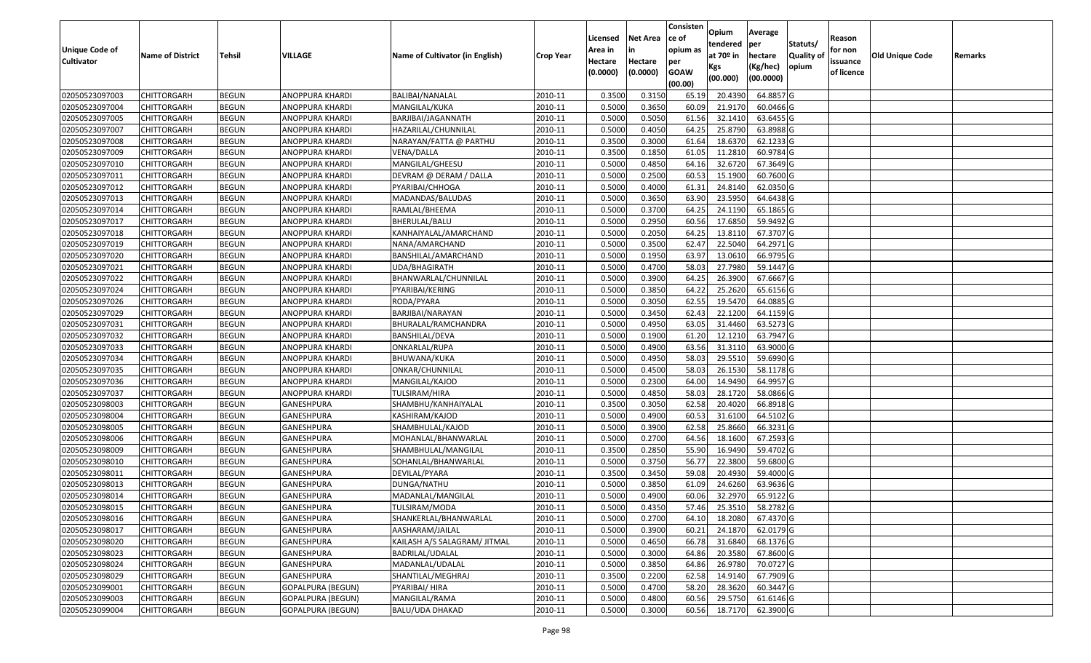|                                  |                                          |                              |                          |                                        |                    |                  |                  | Consisten              | Opium              | Average                              |                  |            |                 |         |
|----------------------------------|------------------------------------------|------------------------------|--------------------------|----------------------------------------|--------------------|------------------|------------------|------------------------|--------------------|--------------------------------------|------------------|------------|-----------------|---------|
|                                  |                                          |                              |                          |                                        |                    | Licensed         | <b>Net Area</b>  | ce of                  | tendered           | per                                  | Statuts/         | Reason     |                 |         |
| <b>Unique Code of</b>            | <b>Name of District</b>                  | <b>Tehsil</b>                | VILLAGE                  | Name of Cultivator (in English)        | <b>Crop Year</b>   | Area in          |                  | opium as               | at $70°$ in        | hectare                              | <b>Quality o</b> | for non    | Old Unique Code | Remarks |
| <b>Cultivator</b>                |                                          |                              |                          |                                        |                    | Hectare          | Hectare          | per                    | Kgs                | (Kg/hec)                             | opium            | issuance   |                 |         |
|                                  |                                          |                              |                          |                                        |                    | (0.0000)         | (0.0000)         | <b>GOAW</b><br>(00.00) | (00.000)           | (00.0000)                            |                  | of licence |                 |         |
| 02050523097003                   | CHITTORGARH                              | <b>BEGUN</b>                 | ANOPPURA KHARDI          | BALIBAI/NANALAL                        | 2010-11            | 0.3500           | 0.3150           | 65.19                  | 20.4390            | 64.8857 G                            |                  |            |                 |         |
| 02050523097004                   | CHITTORGARH                              | <b>BEGUN</b>                 | ANOPPURA KHARDI          | MANGILAL/KUKA                          | 2010-11            | 0.5000           | 0.3650           | 60.09                  | 21.9170            | 60.0466 G                            |                  |            |                 |         |
| 02050523097005                   | CHITTORGARH                              | <b>BEGUN</b>                 | ANOPPURA KHARDI          | BARJIBAI/JAGANNATH                     | 2010-11            | 0.5000           | 0.5050           | 61.56                  | 32.141             | 63.6455 G                            |                  |            |                 |         |
| 02050523097007                   | CHITTORGARH                              | <b>BEGUN</b>                 | <b>ANOPPURA KHARD</b>    | HAZARILAL/CHUNNILAL                    | 2010-11            | 0.5000           | 0.4050           | 64.25                  | 25.8790            | 63.8988 G                            |                  |            |                 |         |
| 02050523097008                   | CHITTORGARH                              | <b>BEGUN</b>                 | ANOPPURA KHARDI          | NARAYAN/FATTA @ PARTHU                 | 2010-11            | 0.3500           | 0.3000           | 61.64                  | 18.6370            | 62.1233 G                            |                  |            |                 |         |
| 02050523097009                   | CHITTORGARH                              | <b>BEGUN</b>                 | ANOPPURA KHARDI          | VENA/DALLA                             | 2010-11            | 0.3500           | 0.1850           | 61.05                  | 11.2810            | 60.9784 G                            |                  |            |                 |         |
| 02050523097010                   | CHITTORGARH                              | <b>BEGUN</b>                 | ANOPPURA KHARDI          | MANGILAL/GHEESU                        | 2010-11            | 0.5000           | 0.4850           | 64.1                   | 32.6720            | 67.3649 G                            |                  |            |                 |         |
| 02050523097011                   | <b>CHITTORGARH</b>                       | <b>BEGUN</b>                 | ANOPPURA KHARDI          | DEVRAM @ DERAM / DALLA                 | 2010-11            | 0.5000           | 0.2500           | 60.53                  | 15.1900            | 60.7600 G                            |                  |            |                 |         |
| 02050523097012                   | <b>CHITTORGARH</b>                       | <b>BEGUN</b>                 | ANOPPURA KHARDI          | PYARIBAI/CHHOGA                        | 2010-11            | 0.5000           | 0.4000           | 61.3                   | 24.8140            | 62.0350 G                            |                  |            |                 |         |
| 02050523097013                   | CHITTORGARH                              | <b>BEGUN</b>                 | ANOPPURA KHARDI          | MADANDAS/BALUDAS                       | 2010-11            | 0.5000           | 0.3650           | 63.90                  | 23.5950            | 64.6438 G                            |                  |            |                 |         |
| 02050523097014                   | CHITTORGARH                              | <b>BEGUN</b>                 | ANOPPURA KHARDI          | RAMLAL/BHEEMA                          | 2010-11            | 0.5000           | 0.3700           | 64.25                  | 24.1190            | 65.1865 G                            |                  |            |                 |         |
| 02050523097017                   | CHITTORGARH                              | <b>BEGUN</b>                 | <b>ANOPPURA KHARD</b>    | BHERULAL/BALU                          | 2010-11            | 0.5000           | 0.2950           | 60.5                   | 17.6850            | 59.9492 G                            |                  |            |                 |         |
| 02050523097018                   | <b>CHITTORGARH</b>                       | <b>BEGUN</b>                 | ANOPPURA KHARDI          | KANHAIYALAL/AMARCHAND                  | 2010-11            | 0.5000           | 0.2050           | 64.25                  | 13.8110            | 67.3707 G                            |                  |            |                 |         |
| 02050523097019                   | <b>CHITTORGARH</b>                       | <b>BEGUN</b>                 | ANOPPURA KHARDI          | NANA/AMARCHAND                         | 2010-11            | 0.5000           | 0.3500           | 62.47                  | 22.5040            | 64.2971 G                            |                  |            |                 |         |
| 02050523097020                   | CHITTORGARH                              | <b>BEGUN</b>                 | ANOPPURA KHARDI          | BANSHILAL/AMARCHAND                    | 2010-11            | 0.5000           | 0.1950           | 63.97                  | 13.0610            | 66.9795 G                            |                  |            |                 |         |
| 02050523097021                   | <b>CHITTORGARH</b>                       | <b>BEGUN</b>                 | ANOPPURA KHARDI          | UDA/BHAGIRATH                          | 2010-11            | 0.5000           | 0.4700           | 58.03                  | 27.7980            | 59.1447 G                            |                  |            |                 |         |
| 02050523097022                   | CHITTORGARH                              | <b>BEGUN</b>                 | ANOPPURA KHARDI          | BHANWARLAL/CHUNNILAL                   | 2010-11            | 0.5000           | 0.3900           | 64.25                  | 26.3900            | 67.6667 G                            |                  |            |                 |         |
| 02050523097024                   | CHITTORGARH                              | <b>BEGUN</b>                 | ANOPPURA KHARDI          | PYARIBAI/KERING                        | 2010-11            | 0.5000           | 0.3850           | 64.22                  | 25.2620            | 65.6156 G                            |                  |            |                 |         |
| 02050523097026                   | CHITTORGARH                              | <b>BEGUN</b>                 | ANOPPURA KHARDI          | RODA/PYARA                             | 2010-11            | 0.500            | 0.3050           | 62.55                  | 19.5470            | 64.0885 G                            |                  |            |                 |         |
| 02050523097029                   | CHITTORGARH                              | <b>BEGUN</b>                 | ANOPPURA KHARDI          | BARJIBAI/NARAYAN                       | 2010-11            | 0.5000           | 0.3450           | 62.43                  | 22.1200            | 64.1159 G                            |                  |            |                 |         |
| 02050523097031                   | CHITTORGARH                              | <b>BEGUN</b>                 | ANOPPURA KHARDI          | BHURALAL/RAMCHANDRA                    | 2010-11            | 0.5000           | 0.4950           | 63.05                  | 31.4460            | 63.5273 G                            |                  |            |                 |         |
| 02050523097032                   | CHITTORGARH                              | <b>BEGUN</b>                 | ANOPPURA KHARDI          | BANSHILAL/DEVA                         | 2010-11            | 0.5000           | 0.1900           | 61.20                  | 12.121             | 63.7947 G                            |                  |            |                 |         |
| 02050523097033                   | CHITTORGARH                              | <b>BEGUN</b>                 | ANOPPURA KHARDI          | ONKARLAL/RUPA                          | 2010-11            | 0.5000           | 0.4900           | 63.56                  | 31.3110            | 63.9000 G                            |                  |            |                 |         |
| 02050523097034                   | CHITTORGARH                              | <b>BEGUN</b>                 | ANOPPURA KHARDI          | BHUWANA/KUKA                           | 2010-11            | 0.5000           | 0.4950           | 58.03                  | 29.5510            | 59.6990 G                            |                  |            |                 |         |
| 02050523097035                   | CHITTORGARH                              | <b>BEGUN</b>                 | ANOPPURA KHARDI          | ONKAR/CHUNNILAL                        | 2010-11            | 0.5000           | 0.4500           | 58.03                  | 26.1530            | 58.1178 G                            |                  |            |                 |         |
| 02050523097036                   | CHITTORGARH                              | <b>BEGUN</b>                 | ANOPPURA KHARDI          | MANGILAL/KAJOD                         | 2010-11            | 0.5000           | 0.2300           | 64.00                  | 14.9490            | 64.9957 G                            |                  |            |                 |         |
| 02050523097037                   | CHITTORGARH                              | <b>BEGUN</b>                 | ANOPPURA KHARDI          | TULSIRAM/HIRA                          | 2010-11            | 0.5000           | 0.4850           | 58.03                  | 28.1720            | 58.0866 G                            |                  |            |                 |         |
| 02050523098003                   | CHITTORGARH                              | <b>BEGUN</b>                 | GANESHPURA               | SHAMBHU/KANHAIYALAL                    | 2010-11            | 0.3500           | 0.3050           | 62.58                  | 20.4020            | 66.8918 G                            |                  |            |                 |         |
| 02050523098004                   | CHITTORGARH                              | <b>BEGUN</b>                 | <b>GANESHPURA</b>        | KASHIRAM/KAJOD                         | 2010-11            | 0.5000           | 0.4900           | 60.53                  | 31.6100            | 64.5102 G                            |                  |            |                 |         |
| 02050523098005                   | CHITTORGARH                              | <b>BEGUN</b>                 | GANESHPURA               | SHAMBHULAL/KAJOD                       | 2010-11            | 0.5000           | 0.3900           | 62.58                  | 25.8660            | 66.3231 G                            |                  |            |                 |         |
| 02050523098006                   | CHITTORGARH                              | <b>BEGUN</b>                 | GANESHPURA               | MOHANLAL/BHANWARLAL                    | 2010-11            | 0.5000           | 0.2700           | 64.56                  | 18.1600            | 67.2593 G                            |                  |            |                 |         |
| 02050523098009                   | CHITTORGARH                              | <b>BEGUN</b>                 | GANESHPURA               | SHAMBHULAL/MANGILAL                    | 2010-11            | 0.3500           | 0.2850           | 55.90                  | 16.9490            | 59.4702G                             |                  |            |                 |         |
| 02050523098010                   | CHITTORGARH                              | <b>BEGUN</b>                 | GANESHPURA               | SOHANLAL/BHANWARLAL                    | 2010-11            | 0.5000           | 0.3750           | 56.77                  | 22.3800            | 59.6800 G                            |                  |            |                 |         |
| 02050523098011                   | CHITTORGARH                              | <b>BEGUN</b>                 | GANESHPURA               | DEVILAL/PYARA                          | 2010-11            | 0.3500           | 0.3450           | 59.08                  | 20.4930            | 59.4000 G                            |                  |            |                 |         |
| 02050523098013                   | CHITTORGARH                              | <b>BEGUN</b>                 | GANESHPURA               | DUNGA/NATHU                            | 2010-11            | 0.500            | 0.3850           | 61.09                  | 24.6260            | 63.9636 G                            |                  |            |                 |         |
| 02050523098014<br>02050523098015 | CHITTORGARH                              | <b>BEGUN</b><br><b>BEGUN</b> | GANESHPURA<br>GANESHPURA | MADANLAL/MANGILAL                      | 2010-11<br>2010-11 | 0.5000<br>0.5000 | 0.4900           | 60.06                  | 32.2970            | 65.9122 G<br>57.46 25.3510 58.2782 G |                  |            |                 |         |
|                                  | CHITTORGARH                              |                              |                          | TULSIRAM/MODA<br>SHANKERLAL/BHANWARLAL |                    |                  | 0.4350           |                        |                    | 67.4370 G                            |                  |            |                 |         |
| 02050523098016<br>02050523098017 | <b>CHITTORGARH</b><br><b>CHITTORGARH</b> | <b>BEGUN</b><br><b>BEGUN</b> | GANESHPURA               | AASHARAM/JAILAL                        | 2010-11<br>2010-11 | 0.5000<br>0.5000 | 0.2700<br>0.3900 | 64.10<br>60.21         | 18.2080<br>24.1870 | 62.0179 G                            |                  |            |                 |         |
| 02050523098020                   | <b>CHITTORGARH</b>                       | <b>BEGUN</b>                 | GANESHPURA<br>GANESHPURA | KAILASH A/S SALAGRAM/ JITMAL           | 2010-11            | 0.5000           | 0.4650           | 66.78                  | 31.6840            | 68.1376 G                            |                  |            |                 |         |
| 02050523098023                   | CHITTORGARH                              | <b>BEGUN</b>                 | GANESHPURA               | BADRILAL/UDALAL                        | 2010-11            | 0.5000           | 0.3000           | 64.86                  | 20.3580            | 67.8600 G                            |                  |            |                 |         |
| 02050523098024                   | <b>CHITTORGARH</b>                       | <b>BEGUN</b>                 | GANESHPURA               | MADANLAL/UDALAL                        | 2010-11            | 0.5000           | 0.3850           | 64.86                  | 26.9780            | 70.0727 G                            |                  |            |                 |         |
| 02050523098029                   | <b>CHITTORGARH</b>                       | <b>BEGUN</b>                 | GANESHPURA               | SHANTILAL/MEGHRAJ                      | 2010-11            | 0.3500           | 0.2200           | 62.58                  | 14.9140            | 67.7909 G                            |                  |            |                 |         |
| 02050523099001                   | <b>CHITTORGARH</b>                       | <b>BEGUN</b>                 | <b>GOPALPURA (BEGUN)</b> | PYARIBAI/ HIRA                         | 2010-11            | 0.5000           | 0.4700           | 58.20                  | 28.3620            | 60.3447 G                            |                  |            |                 |         |
| 02050523099003                   | <b>CHITTORGARH</b>                       | <b>BEGUN</b>                 | <b>GOPALPURA (BEGUN)</b> | MANGILAL/RAMA                          | 2010-11            | 0.5000           | 0.4800           | 60.56                  | 29.5750            | 61.6146 G                            |                  |            |                 |         |
| 02050523099004                   | <b>CHITTORGARH</b>                       | <b>BEGUN</b>                 | <b>GOPALPURA (BEGUN)</b> | BALU/UDA DHAKAD                        | 2010-11            | 0.5000           | 0.3000           | 60.56                  | 18.7170            | 62.3900 G                            |                  |            |                 |         |
|                                  |                                          |                              |                          |                                        |                    |                  |                  |                        |                    |                                      |                  |            |                 |         |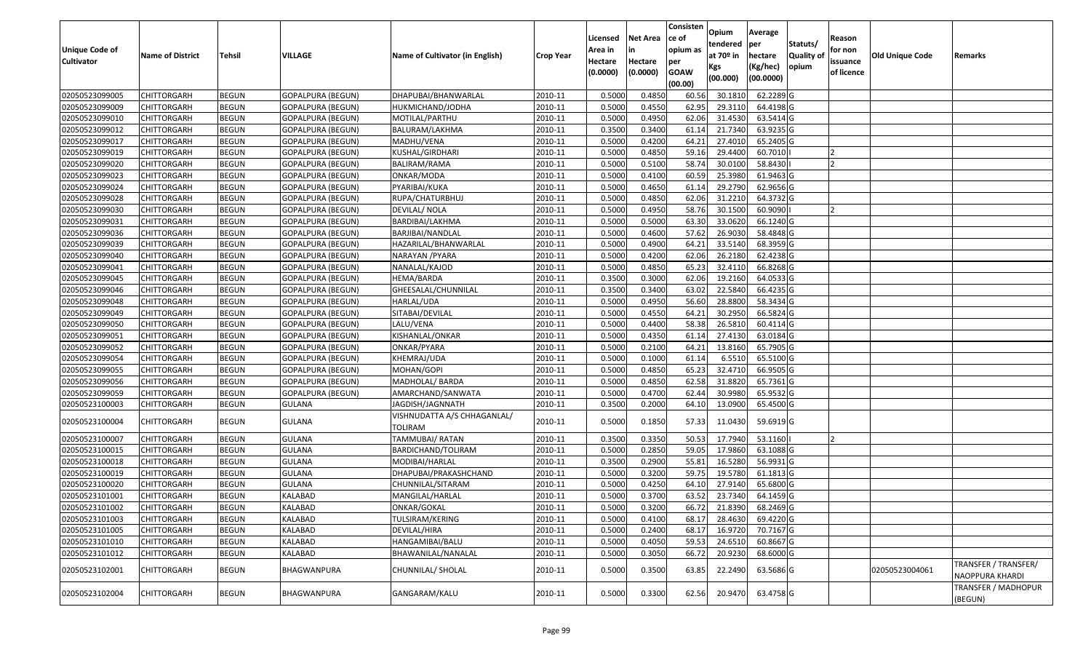| <b>Unique Code of</b><br><b>Cultivator</b> | <b>Name of District</b> | <b>Tehsil</b> | VILLAGE                  | Name of Cultivator (in English)        | <b>Crop Year</b> | Licensed<br>Area in<br>Hectare<br>(0.0000) | <b>Net Area</b><br>in<br>Hectare<br>(0.0000) | Consisten<br>ce of<br>opium as<br>per<br><b>GOAW</b><br>(00.00) | Opium<br>tendered<br>at $70°$ in<br>Kgs<br>(00.000) | Average<br>per<br>hectare<br>(Kg/hec)<br>(00.0000) | Statuts/<br>Quality of<br>opium | Reason<br>for non<br>issuance<br>of licence | <b>Old Unique Code</b> | Remarks                                 |
|--------------------------------------------|-------------------------|---------------|--------------------------|----------------------------------------|------------------|--------------------------------------------|----------------------------------------------|-----------------------------------------------------------------|-----------------------------------------------------|----------------------------------------------------|---------------------------------|---------------------------------------------|------------------------|-----------------------------------------|
| 02050523099005                             | <b>CHITTORGARH</b>      | <b>BEGUN</b>  | <b>GOPALPURA (BEGUN)</b> | DHAPUBAI/BHANWARLAL                    | 2010-11          | 0.5000                                     | 0.4850                                       | 60.56                                                           | 30.1810                                             | 62.2289 G                                          |                                 |                                             |                        |                                         |
| 02050523099009                             | CHITTORGARH             | <b>BEGUN</b>  | <b>GOPALPURA (BEGUN)</b> | HUKMICHAND/JODHA                       | 2010-11          | 0.5000                                     | 0.4550                                       | 62.95                                                           | 29.3110                                             | 64.4198 G                                          |                                 |                                             |                        |                                         |
| 02050523099010                             | CHITTORGARH             | <b>BEGUN</b>  | GOPALPURA (BEGUN)        | MOTILAL/PARTHU                         | 2010-11          | 0.5000                                     | 0.4950                                       | 62.06                                                           | 31.4530                                             | 63.5414 G                                          |                                 |                                             |                        |                                         |
| 02050523099012                             | <b>CHITTORGARH</b>      | <b>BEGUN</b>  | <b>GOPALPURA (BEGUN)</b> | BALURAM/LAKHMA                         | 2010-11          | 0.3500                                     | 0.3400                                       | 61.14                                                           | 21.7340                                             | 63.9235 G                                          |                                 |                                             |                        |                                         |
| 02050523099017                             | <b>CHITTORGARH</b>      | <b>BEGUN</b>  | <b>GOPALPURA (BEGUN)</b> | MADHU/VENA                             | 2010-11          | 0.5000                                     | 0.4200                                       | 64.21                                                           | 27.4010                                             | 65.2405 G                                          |                                 |                                             |                        |                                         |
| 02050523099019                             | <b>CHITTORGARH</b>      | <b>BEGUN</b>  | <b>GOPALPURA (BEGUN)</b> | KUSHAL/GIRDHARI                        | 2010-11          | 0.5000                                     | 0.4850                                       | 59.1                                                            | 29.4400                                             | 60.7010                                            |                                 |                                             |                        |                                         |
| 02050523099020                             | <b>CHITTORGARH</b>      | <b>BEGUN</b>  | <b>GOPALPURA (BEGUN)</b> | <b>BALIRAM/RAMA</b>                    | 2010-11          | 0.5000                                     | 0.5100                                       | 58.74                                                           | 30.0100                                             | 58.8430                                            |                                 | כו                                          |                        |                                         |
| 02050523099023                             | <b>CHITTORGARH</b>      | <b>BEGUN</b>  | <b>GOPALPURA (BEGUN)</b> | ONKAR/MODA                             | 2010-11          | 0.5000                                     | 0.4100                                       | 60.59                                                           | 25.3980                                             | 61.9463 G                                          |                                 |                                             |                        |                                         |
| 02050523099024                             | CHITTORGARH             | <b>BEGUN</b>  | <b>GOPALPURA (BEGUN)</b> | PYARIBAI/KUKA                          | 2010-11          | 0.5000                                     | 0.4650                                       | 61.14                                                           | 29.2790                                             | 62.9656 G                                          |                                 |                                             |                        |                                         |
| 02050523099028                             | CHITTORGARH             | <b>BEGUN</b>  | <b>GOPALPURA (BEGUN)</b> | RUPA/CHATURBHUJ                        | 2010-11          | 0.5000                                     | 0.4850                                       | 62.06                                                           | 31.2210                                             | 64.3732 G                                          |                                 |                                             |                        |                                         |
| 02050523099030                             | CHITTORGARH             | <b>BEGUN</b>  | <b>GOPALPURA (BEGUN)</b> | DEVILAL/ NOLA                          | 2010-11          | 0.5000                                     | 0.4950                                       | 58.76                                                           | 30.1500                                             | 60.9090                                            |                                 |                                             |                        |                                         |
| 02050523099031                             | CHITTORGARH             | <b>BEGUN</b>  | <b>GOPALPURA (BEGUN)</b> | BARDIBAI/LAKHMA                        | 2010-11          | 0.5000                                     | 0.5000                                       | 63.30                                                           | 33.0620                                             | 66.1240 G                                          |                                 |                                             |                        |                                         |
| 02050523099036                             | CHITTORGARH             | <b>BEGUN</b>  | <b>GOPALPURA (BEGUN)</b> | BARJIBAI/NANDLAL                       | 2010-11          | 0.5000                                     | 0.4600                                       | 57.62                                                           | 26.9030                                             | 58.4848 G                                          |                                 |                                             |                        |                                         |
| 02050523099039                             | CHITTORGARH             | <b>BEGUN</b>  | <b>GOPALPURA (BEGUN)</b> | HAZARILAL/BHANWARLAL                   | 2010-11          | 0.5000                                     | 0.4900                                       | 64.21                                                           | 33.5140                                             | 68.3959 G                                          |                                 |                                             |                        |                                         |
| 02050523099040                             | CHITTORGARH             | <b>BEGUN</b>  | <b>GOPALPURA (BEGUN)</b> | NARAYAN / PYARA                        | 2010-11          | 0.5000                                     | 0.4200                                       | 62.06                                                           | 26.2180                                             | 62.4238 G                                          |                                 |                                             |                        |                                         |
| 02050523099041                             | CHITTORGARH             | <b>BEGUN</b>  | <b>GOPALPURA (BEGUN)</b> | NANALAL/KAJOD                          | 2010-11          | 0.5000                                     | 0.4850                                       | 65.23                                                           | 32.4110                                             | 66.8268 G                                          |                                 |                                             |                        |                                         |
| 02050523099045                             | CHITTORGARH             | <b>BEGUN</b>  | <b>GOPALPURA (BEGUN)</b> | HEMA/BARDA                             | 2010-11          | 0.3500                                     | 0.3000                                       | 62.06                                                           | 19.2160                                             | 64.0533 G                                          |                                 |                                             |                        |                                         |
| 02050523099046                             | CHITTORGARH             | <b>BEGUN</b>  | <b>GOPALPURA (BEGUN)</b> | GHEESALAL/CHUNNILAL                    | 2010-11          | 0.3500                                     | 0.3400                                       | 63.02                                                           | 22.5840                                             | 66.4235 G                                          |                                 |                                             |                        |                                         |
| 02050523099048                             | CHITTORGARH             | <b>BEGUN</b>  | <b>GOPALPURA (BEGUN)</b> | HARLAL/UDA                             | 2010-11          | 0.5000                                     | 0.4950                                       | 56.60                                                           | 28.8800                                             | 58.3434 G                                          |                                 |                                             |                        |                                         |
| 02050523099049                             | CHITTORGARH             | <b>BEGUN</b>  | <b>GOPALPURA (BEGUN)</b> | SITABAI/DEVILAL                        | 2010-11          | 0.5000                                     | 0.4550                                       | 64.21                                                           | 30.2950                                             | 66.5824 G                                          |                                 |                                             |                        |                                         |
| 02050523099050                             | <b>CHITTORGARH</b>      | <b>BEGUN</b>  | <b>GOPALPURA (BEGUN)</b> | LALU/VENA                              | 2010-11          | 0.5000                                     | 0.4400                                       | 58.38                                                           | 26.5810                                             | 60.4114G                                           |                                 |                                             |                        |                                         |
| 02050523099051                             | CHITTORGARH             | <b>BEGUN</b>  | <b>GOPALPURA (BEGUN)</b> | KISHANLAL/ONKAR                        | 2010-11          | 0.5000                                     | 0.4350                                       | 61.14                                                           | 27.4130                                             | 63.0184 G                                          |                                 |                                             |                        |                                         |
| 02050523099052                             | CHITTORGARH             | <b>BEGUN</b>  | <b>GOPALPURA (BEGUN)</b> | ONKAR/PYARA                            | 2010-11          | 0.5000                                     | 0.2100                                       | 64.21                                                           | 13.8160                                             | 65.7905 G                                          |                                 |                                             |                        |                                         |
| 02050523099054                             | CHITTORGARH             | <b>BEGUN</b>  | <b>GOPALPURA (BEGUN)</b> | KHEMRAJ/UDA                            | 2010-11          | 0.5000                                     | 0.1000                                       | 61.14                                                           | 6.5510                                              | 65.5100G                                           |                                 |                                             |                        |                                         |
| 02050523099055                             | <b>CHITTORGARH</b>      | <b>BEGUN</b>  | <b>GOPALPURA (BEGUN)</b> | MOHAN/GOPI                             | 2010-11          | 0.5000                                     | 0.4850                                       | 65.23                                                           | 32.4710                                             | 66.9505 G                                          |                                 |                                             |                        |                                         |
| 02050523099056                             | CHITTORGARH             | <b>BEGUN</b>  | <b>GOPALPURA (BEGUN)</b> | MADHOLAL/ BARDA                        | 2010-11          | 0.5000                                     | 0.4850                                       | 62.58                                                           | 31.8820                                             | 65.7361 G                                          |                                 |                                             |                        |                                         |
| 02050523099059                             | CHITTORGARH             | <b>BEGUN</b>  | <b>GOPALPURA (BEGUN)</b> | AMARCHAND/SANWATA                      | 2010-11          | 0.5000                                     | 0.4700                                       | 62.44                                                           | 30.9980                                             | 65.9532 G                                          |                                 |                                             |                        |                                         |
| 02050523100003                             | CHITTORGARH             | <b>BEGUN</b>  | GULANA                   | JAGDISH/JAGNNATH                       | 2010-11          | 0.3500                                     | 0.2000                                       | 64.1                                                            | 13.0900                                             | 65.4500 G                                          |                                 |                                             |                        |                                         |
| 02050523100004                             | CHITTORGARH             | <b>BEGUN</b>  | <b>GULANA</b>            | VISHNUDATTA A/S CHHAGANLAL/<br>TOLIRAM | 2010-11          | 0.5000                                     | 0.1850                                       | 57.33                                                           | 11.0430                                             | 59.6919 G                                          |                                 |                                             |                        |                                         |
| 02050523100007                             | CHITTORGARH             | <b>BEGUN</b>  | <b>GULANA</b>            | TAMMUBAI/ RATAN                        | 2010-11          | 0.350                                      | 0.3350                                       | 50.53                                                           | 17.7940                                             | 53.1160                                            |                                 | 12                                          |                        |                                         |
| 02050523100015                             | CHITTORGARH             | <b>BEGUN</b>  | <b>GULANA</b>            | BARDICHAND/TOLIRAM                     | 2010-11          | 0.5000                                     | 0.2850                                       | 59.05                                                           | 17.9860                                             | 63.1088 G                                          |                                 |                                             |                        |                                         |
| 02050523100018                             | CHITTORGARH             | <b>BEGUN</b>  | <b>GULANA</b>            | MODIBAI/HARLAL                         | 2010-11          | 0.3500                                     | 0.2900                                       | 55.8                                                            | 16.5280                                             | 56.9931 G                                          |                                 |                                             |                        |                                         |
| 02050523100019                             | CHITTORGARH             | <b>BEGUN</b>  | <b>GULANA</b>            | DHAPUBAI/PRAKASHCHAND                  | 2010-11          | 0.5000                                     | 0.3200                                       | 59.75                                                           | 19.5780                                             | 61.1813 G                                          |                                 |                                             |                        |                                         |
| 02050523100020                             | CHITTORGARH             | <b>BEGUN</b>  | <b>GULANA</b>            | CHUNNILAL/SITARAM                      | 2010-11          | 0.500                                      | 0.4250                                       | 64.1                                                            | 27.9140                                             | 65.6800 G                                          |                                 |                                             |                        |                                         |
| 02050523101001                             | CHITTORGARH             | <b>BEGUN</b>  | KALABAD                  | MANGILAL/HARLAL                        | 2010-11          | 0.500                                      | 0.3700                                       | 63.52                                                           | 23.7340                                             | 64.1459 G                                          |                                 |                                             |                        |                                         |
| 02050523101002                             | <b>CHITTORGARH</b>      | <b>BEGUN</b>  | <b>KALABAD</b>           | ONKAR/GOKAL                            | 2010-11          | 0.5000                                     | 0.3200                                       | 66.72                                                           | 21.8390                                             | 68.2469 G                                          |                                 |                                             |                        |                                         |
| 02050523101003                             | <b>CHITTORGARH</b>      | <b>BEGUN</b>  | KALABAD                  | TULSIRAM/KERING                        | 2010-11          | 0.5000                                     | 0.4100                                       | 68.17                                                           | 28.4630                                             | 69.4220 G                                          |                                 |                                             |                        |                                         |
| 02050523101005                             | <b>CHITTORGARH</b>      | <b>BEGUN</b>  | KALABAD                  | DEVILAL/HIRA                           | 2010-11          | 0.5000                                     | 0.2400                                       | 68.17                                                           | 16.9720                                             | 70.7167 G                                          |                                 |                                             |                        |                                         |
| 02050523101010                             | <b>CHITTORGARH</b>      | <b>BEGUN</b>  | KALABAD                  | HANGAMIBAI/BALU                        | 2010-11          | 0.5000                                     | 0.4050                                       | 59.53                                                           | 24.6510                                             | 60.8667 G                                          |                                 |                                             |                        |                                         |
| 02050523101012                             | CHITTORGARH             | <b>BEGUN</b>  | KALABAD                  | BHAWANILAL/NANALAL                     | 2010-11          | 0.5000                                     | 0.3050                                       | 66.72                                                           | 20.9230                                             | 68.6000 G                                          |                                 |                                             |                        |                                         |
| 02050523102001                             | <b>CHITTORGARH</b>      | <b>BEGUN</b>  | BHAGWANPURA              | CHUNNILAL/ SHOLAL                      | 2010-11          | 0.5000                                     | 0.3500                                       | 63.85                                                           | 22.2490                                             | 63.5686 G                                          |                                 |                                             | 02050523004061         | TRANSFER / TRANSFER/<br>NAOPPURA KHARDI |
| 02050523102004                             | CHITTORGARH             | <b>BEGUN</b>  | BHAGWANPURA              | GANGARAM/KALU                          | 2010-11          | 0.5000                                     | 0.3300                                       | 62.56                                                           | 20.9470                                             | 63.4758 G                                          |                                 |                                             |                        | <b>TRANSFER / MADHOPUR</b><br>(BEGUN)   |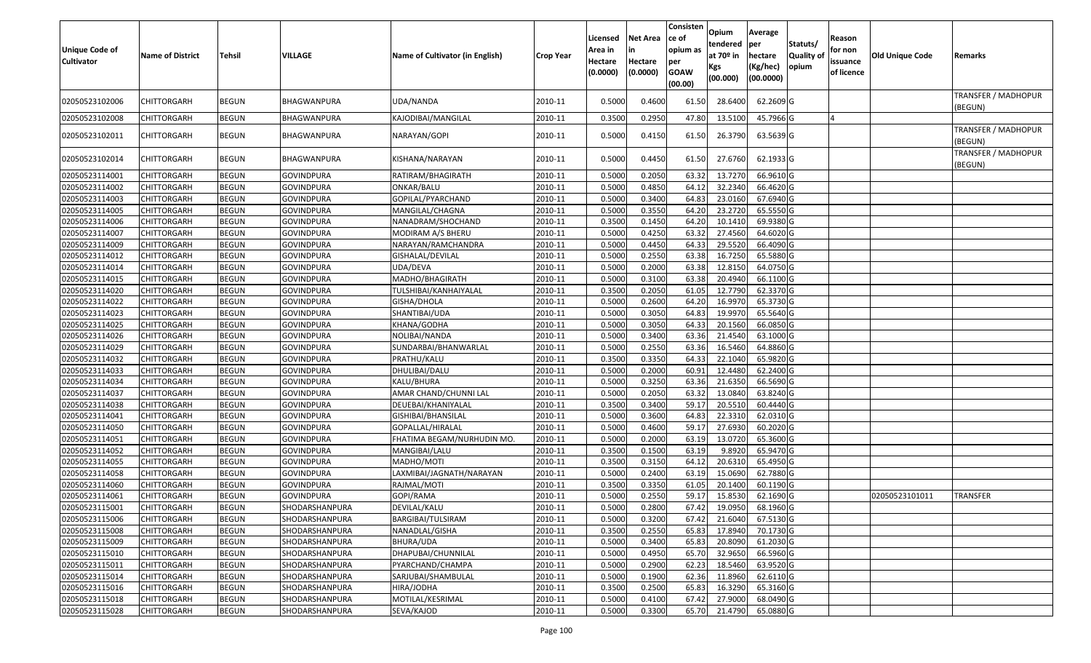| <b>Unique Code of</b><br><b>Cultivator</b> | <b>Name of District</b> | Tehsil       | VILLAGE           | Name of Cultivator (in English) | <b>Crop Year</b> | Licensed<br>Area in<br>Hectare<br>(0.0000) | <b>Net Area</b><br>Hectare<br>(0.0000) | Consisten<br>ce of<br>opium as<br>per<br><b>GOAW</b><br>(00.00) | <b>Opium</b><br><b>Itendered</b><br>at 70 <sup>o</sup> in<br>Kgs<br>(00.000) | Average<br>per<br>hectare<br>(Kg/hec)<br>(00.0000) | Statuts/<br>Quality of<br>opium | Reason<br>for non<br>issuance<br>of licence | <b>Old Unique Code</b> | Remarks                               |
|--------------------------------------------|-------------------------|--------------|-------------------|---------------------------------|------------------|--------------------------------------------|----------------------------------------|-----------------------------------------------------------------|------------------------------------------------------------------------------|----------------------------------------------------|---------------------------------|---------------------------------------------|------------------------|---------------------------------------|
| 02050523102006                             | CHITTORGARH             | <b>BEGUN</b> | BHAGWANPURA       | UDA/NANDA                       | 2010-11          | 0.5000                                     | 0.4600                                 | 61.50                                                           | 28.6400                                                                      | 62.2609 G                                          |                                 |                                             |                        | TRANSFER / MADHOPUR<br>(BEGUN)        |
| 02050523102008                             | CHITTORGARH             | <b>BEGUN</b> | BHAGWANPURA       | KAJODIBAI/MANGILAL              | 2010-11          | 0.3500                                     | 0.2950                                 | 47.80                                                           | 13.5100                                                                      | 45.7966 G                                          |                                 |                                             |                        |                                       |
| 02050523102011                             | CHITTORGARH             | <b>BEGUN</b> | BHAGWANPURA       | NARAYAN/GOPI                    | 2010-11          | 0.5000                                     | 0.4150                                 | 61.50                                                           | 26.3790                                                                      | 63.5639 G                                          |                                 |                                             |                        | <b>TRANSFER / MADHOPUR</b><br>(BEGUN) |
| 02050523102014                             | CHITTORGARH             | <b>BEGUN</b> | BHAGWANPURA       | KISHANA/NARAYAN                 | 2010-11          | 0.5000                                     | 0.4450                                 | 61.50                                                           | 27.6760                                                                      | 62.1933 G                                          |                                 |                                             |                        | TRANSFER / MADHOPUR<br>(BEGUN)        |
| 02050523114001                             | CHITTORGARH             | <b>BEGUN</b> | <b>GOVINDPURA</b> | RATIRAM/BHAGIRATH               | 2010-11          | 0.5000                                     | 0.2050                                 | 63.32                                                           | 13.7270                                                                      | 66.9610 G                                          |                                 |                                             |                        |                                       |
| 02050523114002                             | CHITTORGARH             | <b>BEGUN</b> | <b>GOVINDPURA</b> | ONKAR/BALU                      | 2010-11          | 0.5000                                     | 0.4850                                 | 64.12                                                           | 32.2340                                                                      | 66.4620 G                                          |                                 |                                             |                        |                                       |
| 02050523114003                             | CHITTORGARH             | <b>BEGUN</b> | <b>GOVINDPURA</b> | GOPILAL/PYARCHAND               | 2010-11          | 0.5000                                     | 0.3400                                 | 64.83                                                           | 23.0160                                                                      | 67.6940 G                                          |                                 |                                             |                        |                                       |
| 02050523114005                             | CHITTORGARH             | <b>BEGUN</b> | <b>GOVINDPURA</b> | MANGILAL/CHAGNA                 | 2010-11          | 0.5000                                     | 0.3550                                 | 64.20                                                           | 23.2720                                                                      | 65.5550G                                           |                                 |                                             |                        |                                       |
| 02050523114006                             | CHITTORGARH             | <b>BEGUN</b> | <b>GOVINDPURA</b> | NANADRAM/SHOCHAND               | 2010-11          | 0.3500                                     | 0.1450                                 | 64.20                                                           | 10.1410                                                                      | 69.9380 G                                          |                                 |                                             |                        |                                       |
| 02050523114007                             | CHITTORGARH             | <b>BEGUN</b> | GOVINDPURA        | MODIRAM A/S BHERU               | 2010-11          | 0.5000                                     | 0.4250                                 | 63.32                                                           | 27.4560                                                                      | 64.6020 G                                          |                                 |                                             |                        |                                       |
| 02050523114009                             | CHITTORGARH             | <b>BEGUN</b> | <b>GOVINDPURA</b> | NARAYAN/RAMCHANDRA              | 2010-11          | 0.5000                                     | 0.4450                                 | 64.33                                                           | 29.5520                                                                      | 66.4090 G                                          |                                 |                                             |                        |                                       |
| 02050523114012                             | CHITTORGARH             | <b>BEGUN</b> | <b>GOVINDPURA</b> | GISHALAL/DEVILAL                | 2010-11          | 0.5000                                     | 0.2550                                 | 63.38                                                           | 16.7250                                                                      | 65.5880 G                                          |                                 |                                             |                        |                                       |
| 02050523114014                             | CHITTORGARH             | <b>BEGUN</b> | <b>GOVINDPURA</b> | UDA/DEVA                        | 2010-11          | 0.5000                                     | 0.2000                                 | 63.38                                                           | 12.8150                                                                      | 64.0750 G                                          |                                 |                                             |                        |                                       |
| 02050523114015                             | CHITTORGARH             | <b>BEGUN</b> | <b>GOVINDPURA</b> | MADHO/BHAGIRATH                 | 2010-11          | 0.5000                                     | 0.3100                                 | 63.38                                                           | 20.4940                                                                      | 66.1100 G                                          |                                 |                                             |                        |                                       |
| 02050523114020                             | CHITTORGARH             | <b>BEGUN</b> | <b>GOVINDPURA</b> | TULSHIBAI/KANHAIYALAL           | 2010-11          | 0.3500                                     | 0.2050                                 | 61.05                                                           | 12.7790                                                                      | 62.3370 G                                          |                                 |                                             |                        |                                       |
| 02050523114022                             | CHITTORGARH             | <b>BEGUN</b> | <b>GOVINDPURA</b> | GISHA/DHOLA                     | 2010-11          | 0.5000                                     | 0.2600                                 | 64.20                                                           | 16.9970                                                                      | 65.3730 G                                          |                                 |                                             |                        |                                       |
| 02050523114023                             | CHITTORGARH             | <b>BEGUN</b> | <b>GOVINDPURA</b> | SHANTIBAI/UDA                   | 2010-11          | 0.5000                                     | 0.3050                                 | 64.83                                                           | 19.9970                                                                      | 65.5640 G                                          |                                 |                                             |                        |                                       |
| 02050523114025                             | CHITTORGARH             | <b>BEGUN</b> | <b>GOVINDPURA</b> | KHANA/GODHA                     | 2010-11          | 0.5000                                     | 0.3050                                 | 64.33                                                           | 20.1560                                                                      | 66.0850 G                                          |                                 |                                             |                        |                                       |
| 02050523114026                             | CHITTORGARH             | <b>BEGUN</b> | <b>GOVINDPURA</b> | NOLIBAI/NANDA                   | 2010-11          | 0.5000                                     | 0.3400                                 | 63.36                                                           | 21.4540                                                                      | 63.1000 G                                          |                                 |                                             |                        |                                       |
| 02050523114029                             | CHITTORGARH             | <b>BEGUN</b> | <b>GOVINDPURA</b> | SUNDARBAI/BHANWARLAL            | 2010-11          | 0.5000                                     | 0.2550                                 | 63.36                                                           | 16.5460                                                                      | 64.8860 G                                          |                                 |                                             |                        |                                       |
| 02050523114032                             | CHITTORGARH             | <b>BEGUN</b> | <b>GOVINDPURA</b> | PRATHU/KALU                     | 2010-11          | 0.3500                                     | 0.3350                                 | 64.33                                                           | 22.1040                                                                      | 65.9820 G                                          |                                 |                                             |                        |                                       |
| 02050523114033                             | CHITTORGARH             | <b>BEGUN</b> | <b>GOVINDPURA</b> | DHULIBAI/DALU                   | 2010-11          | 0.5000                                     | 0.2000                                 | 60.91                                                           | 12.4480                                                                      | 62.2400 G                                          |                                 |                                             |                        |                                       |
| 02050523114034                             | CHITTORGARH             | <b>BEGUN</b> | <b>GOVINDPURA</b> | KALU/BHURA                      | 2010-11          | 0.5000                                     | 0.3250                                 | 63.36                                                           | 21.6350                                                                      | 66.5690 G                                          |                                 |                                             |                        |                                       |
| 02050523114037                             | CHITTORGARH             | <b>BEGUN</b> | <b>GOVINDPURA</b> | AMAR CHAND/CHUNNI LAL           | 2010-11          | 0.5000                                     | 0.2050                                 | 63.32                                                           | 13.0840                                                                      | 63.8240 G                                          |                                 |                                             |                        |                                       |
| 02050523114038                             | CHITTORGARH             | <b>BEGUN</b> | GOVINDPURA        | DEUEBAI/KHANIYALAL              | 2010-11          | 0.3500                                     | 0.3400                                 | 59.17                                                           | 20.5510                                                                      | 60.4440 G                                          |                                 |                                             |                        |                                       |
| 02050523114041                             | <b>CHITTORGARH</b>      | <b>BEGUN</b> | <b>GOVINDPURA</b> | GISHIBAI/BHANSILAL              | 2010-11          | 0.5000                                     | 0.3600                                 | 64.83                                                           | 22.3310                                                                      | 62.0310 G                                          |                                 |                                             |                        |                                       |
| 02050523114050                             | <b>CHITTORGARH</b>      | <b>BEGUN</b> | <b>GOVINDPURA</b> | GOPALLAL/HIRALAL                | 2010-11          | 0.5000                                     | 0.4600                                 | 59.17                                                           | 27.6930                                                                      | 60.2020 G                                          |                                 |                                             |                        |                                       |
| 02050523114051                             | <b>CHITTORGARH</b>      | <b>BEGUN</b> | <b>GOVINDPURA</b> | FHATIMA BEGAM/NURHUDIN MO.      | 2010-11          | 0.5000                                     | 0.2000                                 | 63.19                                                           | 13.0720                                                                      | 65.3600 G                                          |                                 |                                             |                        |                                       |
| 02050523114052                             | CHITTORGARH             | <b>BEGUN</b> | <b>GOVINDPURA</b> | MANGIBAI/LALU                   | 2010-11          | 0.3500                                     | 0.1500                                 | 63.19                                                           | 9.8920                                                                       | 65.9470 G                                          |                                 |                                             |                        |                                       |
| 02050523114055                             | CHITTORGARH             | <b>BEGUN</b> | <b>GOVINDPURA</b> | MADHO/MOTI                      | 2010-11          | 0.3500                                     | 0.3150                                 | 64.12                                                           | 20.6310                                                                      | 65.4950 G                                          |                                 |                                             |                        |                                       |
| 02050523114058                             | CHITTORGARH             | <b>BEGUN</b> | <b>GOVINDPURA</b> | LAXMIBAI/JAGNATH/NARAYAN        | 2010-11          | 0.5000                                     | 0.2400                                 | 63.19                                                           | 15.0690                                                                      | 62.7880 G                                          |                                 |                                             |                        |                                       |
| 02050523114060                             | CHITTORGARH             | <b>BEGUN</b> | <b>GOVINDPURA</b> | RAJMAL/MOTI                     | 2010-11          | 0.3500                                     | 0.3350                                 | 61.05                                                           | 20.1400                                                                      | 60.1190 G                                          |                                 |                                             |                        |                                       |
| 02050523114061                             | CHITTORGARH             | <b>BEGUN</b> | <b>GOVINDPURA</b> | GOPI/RAMA                       | 2010-11          | 0.5000                                     | 0.2550                                 | 59.17                                                           | 15.8530                                                                      | 62.1690 G                                          |                                 |                                             | 02050523101011         | TRANSFER                              |
| 02050523115001                             | <b>CHITTORGARH</b>      | <b>BEGUN</b> | SHODARSHANPURA    | DEVILAL/KALU                    | 2010-11          | 0.5000                                     | 0.2800                                 |                                                                 | 67.42 19.0950                                                                | 68.1960 G                                          |                                 |                                             |                        |                                       |
| 02050523115006                             | <b>CHITTORGARH</b>      | <b>BEGUN</b> | SHODARSHANPURA    | <b>BARGIBAI/TULSIRAM</b>        | 2010-11          | 0.5000                                     | 0.3200                                 | 67.42                                                           | 21.6040                                                                      | 67.5130 G                                          |                                 |                                             |                        |                                       |
| 02050523115008                             | <b>CHITTORGARH</b>      | <b>BEGUN</b> | SHODARSHANPURA    | NANADLAL/GISHA                  | 2010-11          | 0.3500                                     | 0.2550                                 | 65.83                                                           | 17.8940                                                                      | 70.1730 G                                          |                                 |                                             |                        |                                       |
| 02050523115009                             | <b>CHITTORGARH</b>      | <b>BEGUN</b> | SHODARSHANPURA    | <b>BHURA/UDA</b>                | 2010-11          | 0.5000                                     | 0.3400                                 | 65.83                                                           | 20.8090                                                                      | 61.2030 G                                          |                                 |                                             |                        |                                       |
| 02050523115010                             | <b>CHITTORGARH</b>      | <b>BEGUN</b> | SHODARSHANPURA    | DHAPUBAI/CHUNNILAL              | 2010-11          | 0.5000                                     | 0.4950                                 | 65.70                                                           | 32.9650                                                                      | 66.5960 G                                          |                                 |                                             |                        |                                       |
| 02050523115011                             | <b>CHITTORGARH</b>      | <b>BEGUN</b> | SHODARSHANPURA    | PYARCHAND/CHAMPA                | 2010-11          | 0.5000                                     | 0.2900                                 | 62.23                                                           | 18.5460                                                                      | 63.9520 G                                          |                                 |                                             |                        |                                       |
| 02050523115014                             | <b>CHITTORGARH</b>      | <b>BEGUN</b> | SHODARSHANPURA    | SARJUBAI/SHAMBULAL              | 2010-11          | 0.5000                                     | 0.1900                                 | 62.36                                                           | 11.8960                                                                      | 62.6110 G                                          |                                 |                                             |                        |                                       |
| 02050523115016                             | <b>CHITTORGARH</b>      | <b>BEGUN</b> | SHODARSHANPURA    | HIRA/JODHA                      | 2010-11          | 0.3500                                     | 0.2500                                 | 65.83                                                           | 16.3290                                                                      | 65.3160 G                                          |                                 |                                             |                        |                                       |
| 02050523115018                             | CHITTORGARH             | <b>BEGUN</b> | SHODARSHANPURA    | MOTILAL/KESRIMAL                | 2010-11          | 0.5000                                     | 0.4100                                 | 67.42                                                           | 27.9000                                                                      | 68.0490 G                                          |                                 |                                             |                        |                                       |
| 02050523115028                             | <b>CHITTORGARH</b>      | <b>BEGUN</b> | SHODARSHANPURA    | SEVA/KAJOD                      | 2010-11          | 0.5000                                     | 0.3300                                 | 65.70                                                           | 21.4790                                                                      | 65.0880 G                                          |                                 |                                             |                        |                                       |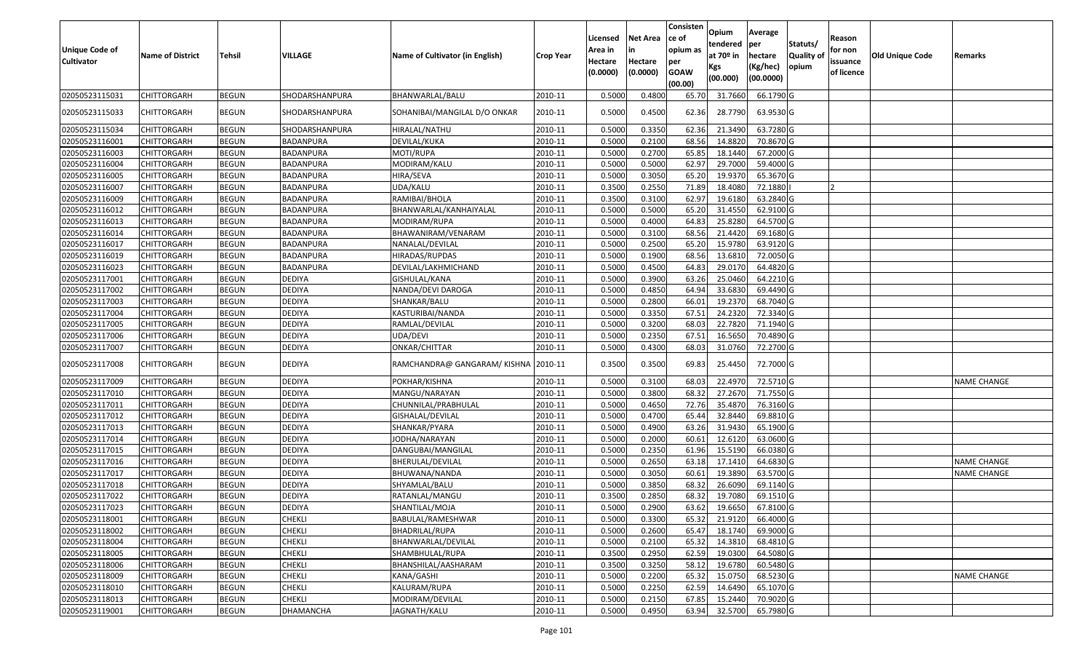| <b>Unique Code of</b> |                         |               |                  |                                       |                  | Licensed<br>Area in | <b>Net Area</b>     | Consisten<br>ce of<br>opium as | Opium<br>tendered              | Average<br>per                   | Statuts/                  | Reason<br>for non      |                        |                    |
|-----------------------|-------------------------|---------------|------------------|---------------------------------------|------------------|---------------------|---------------------|--------------------------------|--------------------------------|----------------------------------|---------------------------|------------------------|------------------------|--------------------|
| <b>Cultivator</b>     | <b>Name of District</b> | <b>Tehsil</b> | VILLAGE          | Name of Cultivator (in English)       | <b>Crop Year</b> | Hectare<br>(0.0000) | Hectare<br>(0.0000) | per<br><b>GOAW</b><br>(00.00)  | at $70°$ in<br>Kgs<br>(00.000) | hectare<br>(Kg/hec)<br>(00.0000) | <b>Quality o</b><br>opium | issuance<br>of licence | <b>Old Unique Code</b> | Remarks            |
| 02050523115031        | CHITTORGARH             | <b>BEGUN</b>  | SHODARSHANPURA   | BHANWARLAL/BALU                       | 2010-11          | 0.5000              | 0.4800              | 65.70                          | 31.7660                        | 66.1790 G                        |                           |                        |                        |                    |
| 02050523115033        | CHITTORGARH             | <b>BEGUN</b>  | SHODARSHANPURA   | SOHANIBAI/MANGILAL D/O ONKAR          | 2010-11          | 0.5000              | 0.4500              | 62.36                          | 28.7790                        | 63.9530 G                        |                           |                        |                        |                    |
| 02050523115034        | CHITTORGARH             | <b>BEGUN</b>  | SHODARSHANPURA   | HIRALAL/NATHU                         | 2010-11          | 0.500               | 0.3350              | 62.36                          | 21.3490                        | 63.7280 G                        |                           |                        |                        |                    |
| 02050523116001        | CHITTORGARH             | <b>BEGUN</b>  | BADANPURA        | DEVILAL/KUKA                          | 2010-11          | 0.5000              | 0.2100              | 68.56                          | 14.882                         | 70.8670 G                        |                           |                        |                        |                    |
| 02050523116003        | CHITTORGARH             | <b>BEGUN</b>  | BADANPURA        | MOTI/RUPA                             | 2010-11          | 0.5000              | 0.2700              | 65.85                          | 18.1440                        | 67.2000 G                        |                           |                        |                        |                    |
| 02050523116004        | CHITTORGARH             | <b>BEGUN</b>  | BADANPURA        | MODIRAM/KALU                          | 2010-11          | 0.5000              | 0.5000              | 62.97                          | 29.7000                        | 59.4000G                         |                           |                        |                        |                    |
| 02050523116005        | <b>CHITTORGARH</b>      | <b>BEGUN</b>  | <b>BADANPURA</b> | HIRA/SEVA                             | 2010-11          | 0.5000              | 0.3050              | 65.20                          | 19.9370                        | 65.3670 G                        |                           |                        |                        |                    |
| 02050523116007        | CHITTORGARH             | <b>BEGUN</b>  | BADANPURA        | UDA/KALU                              | 2010-11          | 0.3500              | 0.2550              | 71.89                          | 18.4080                        | 72.1880                          |                           |                        |                        |                    |
| 02050523116009        | CHITTORGARH             | <b>BEGUN</b>  | BADANPURA        | RAMIBAI/BHOLA                         | 2010-11          | 0.3500              | 0.3100              | 62.97                          | 19.6180                        | 63.2840 G                        |                           |                        |                        |                    |
| 02050523116012        | <b>CHITTORGARH</b>      | <b>BEGUN</b>  | BADANPURA        | BHANWARLAL/KANHAIYALAL                | 2010-11          | 0.5000              | 0.5000              | 65.20                          | 31.4550                        | 62.9100 G                        |                           |                        |                        |                    |
| 02050523116013        | CHITTORGARH             | <b>BEGUN</b>  | BADANPURA        | MODIRAM/RUPA                          | 2010-11          | 0.5000              | 0.4000              | 64.83                          | 25.8280                        | 64.5700 G                        |                           |                        |                        |                    |
| 02050523116014        | <b>CHITTORGARH</b>      | <b>BEGUN</b>  | <b>BADANPURA</b> | BHAWANIRAM/VENARAM                    | 2010-11          | 0.5000              | 0.3100              | 68.56                          | 21.4420                        | 69.1680 G                        |                           |                        |                        |                    |
| 02050523116017        | CHITTORGARH             | <b>BEGUN</b>  | BADANPURA        | NANALAL/DEVILAL                       | 2010-11          | 0.5000              | 0.2500              | 65.20                          | 15.9780                        | 63.9120 G                        |                           |                        |                        |                    |
| 02050523116019        | CHITTORGARH             | <b>BEGUN</b>  | BADANPURA        | HIRADAS/RUPDAS                        | 2010-11          | 0.5000              | 0.1900              | 68.56                          | 13.6810                        | 72.0050G                         |                           |                        |                        |                    |
| 02050523116023        | CHITTORGARH             | <b>BEGUN</b>  | BADANPURA        | DEVILAL/LAKHMICHAND                   | 2010-11          | 0.5000              | 0.4500              | 64.83                          | 29.017                         | 64.4820 G                        |                           |                        |                        |                    |
| 02050523117001        | CHITTORGARH             | <b>BEGUN</b>  | <b>DEDIYA</b>    | GISHULAL/KANA                         | 2010-11          | 0.5000              | 0.3900              | 63.26                          | 25.0460                        | 64.2210 G                        |                           |                        |                        |                    |
| 02050523117002        | CHITTORGARH             | <b>BEGUN</b>  | <b>DEDIYA</b>    | NANDA/DEVI DAROGA                     | 2010-11          | 0.500               | 0.4850              | 64.94                          | 33.6830                        | 69.4490 G                        |                           |                        |                        |                    |
| 02050523117003        | CHITTORGARH             | <b>BEGUN</b>  | <b>DEDIYA</b>    | SHANKAR/BALU                          | 2010-11          | 0.5000              | 0.2800              | 66.01                          | 19.2370                        | 68.7040 G                        |                           |                        |                        |                    |
| 02050523117004        | CHITTORGARH             | <b>BEGUN</b>  | DEDIYA           | KASTURIBAI/NANDA                      | 2010-11          | 0.5000              | 0.3350              | 67.5                           | 24.2320                        | 72.3340 G                        |                           |                        |                        |                    |
| 02050523117005        | CHITTORGARH             | <b>BEGUN</b>  | <b>DEDIYA</b>    | RAMLAL/DEVILAL                        | 2010-11          | 0.5000              | 0.3200              | 68.03                          | 22.7820                        | 71.1940 G                        |                           |                        |                        |                    |
| 02050523117006        | CHITTORGARH             | <b>BEGUN</b>  | <b>DEDIYA</b>    | UDA/DEVI                              | 2010-11          | 0.5000              | 0.2350              | 67.5                           | 16.5650                        | 70.4890 G                        |                           |                        |                        |                    |
| 02050523117007        | CHITTORGARH             | <b>BEGUN</b>  | <b>DEDIYA</b>    | ONKAR/CHITTAR                         | 2010-11          | 0.5000              | 0.4300              | 68.03                          | 31.0760                        | 72.2700 G                        |                           |                        |                        |                    |
| 02050523117008        | CHITTORGARH             | <b>BEGUN</b>  | DEDIYA           | RAMCHANDRA@ GANGARAM/ KISHNA  2010-11 |                  | 0.3500              | 0.3500              | 69.83                          | 25.4450                        | 72.7000G                         |                           |                        |                        |                    |
| 02050523117009        | CHITTORGARH             | <b>BEGUN</b>  | <b>DEDIYA</b>    | POKHAR/KISHNA                         | 2010-11          | 0.5000              | 0.3100              | 68.03                          | 22.497                         | 72.5710 G                        |                           |                        |                        | <b>NAME CHANGE</b> |
| 02050523117010        | CHITTORGARH             | <b>BEGUN</b>  | <b>DEDIYA</b>    | MANGU/NARAYAN                         | 2010-11          | 0.5000              | 0.3800              | 68.32                          | 27.2670                        | 71.7550G                         |                           |                        |                        |                    |
| 02050523117011        | CHITTORGARH             | <b>BEGUN</b>  | <b>DEDIYA</b>    | CHUNNILAL/PRABHULAL                   | 2010-11          | 0.5000              | 0.4650              | 72.76                          | 35.4870                        | 76.3160 G                        |                           |                        |                        |                    |
| 02050523117012        | CHITTORGARH             | <b>BEGUN</b>  | DEDIYA           | GISHALAL/DEVILAL                      | 2010-11          | 0.5000              | 0.4700              | 65.44                          | 32.8440                        | 69.8810 G                        |                           |                        |                        |                    |
| 02050523117013        | CHITTORGARH             | <b>BEGUN</b>  | <b>DEDIYA</b>    | SHANKAR/PYARA                         | 2010-11          | 0.5000              | 0.4900              | 63.26                          | 31.9430                        | 65.1900 G                        |                           |                        |                        |                    |
| 02050523117014        | CHITTORGARH             | <b>BEGUN</b>  | <b>DEDIYA</b>    | JODHA/NARAYAN                         | 2010-11          | 0.5000              | 0.2000              | 60.6                           | 12.6120                        | 63.0600 G                        |                           |                        |                        |                    |
| 02050523117015        | CHITTORGARH             | <b>BEGUN</b>  | <b>DEDIYA</b>    | DANGUBAI/MANGILAL                     | 2010-11          | 0.5000              | 0.2350              | 61.96                          | 15.5190                        | 66.0380 G                        |                           |                        |                        |                    |
| 02050523117016        | CHITTORGARH             | <b>BEGUN</b>  | <b>DEDIYA</b>    | BHERULAL/DEVILAL                      | 2010-11          | 0.5000              | 0.2650              | 63.18                          | 17.1410                        | 64.6830 G                        |                           |                        |                        | <b>NAME CHANGE</b> |
| 02050523117017        | <b>CHITTORGARH</b>      | <b>BEGUN</b>  | <b>DEDIYA</b>    | BHUWANA/NANDA                         | 2010-11          | 0.5000              | 0.3050              | 60.61                          | 19.3890                        | 63.5700 G                        |                           |                        |                        | <b>NAME CHANGE</b> |
| 02050523117018        | CHITTORGARH             | <b>BEGUN</b>  | <b>DEDIYA</b>    | SHYAMLAL/BALU                         | 2010-11          | 0.500               | 0.3850              | 68.32                          | 26.6090                        | 69.1140 G                        |                           |                        |                        |                    |
| 02050523117022        | CHITTORGARH             | <b>BEGUN</b>  | <b>DEDIYA</b>    | RATANLAL/MANGU                        | 2010-11          | 0.3500              | 0.2850              | 68.32                          | 19.7080                        | 69.1510G                         |                           |                        |                        |                    |
| 02050523117023        | <b>CHITTORGARH</b>      | <b>BEGUN</b>  | <b>DEDIYA</b>    | SHANTILAL/MOJA                        | 2010-11          | 0.5000              | 0.2900              | 63.62                          | 19.6650                        | 67.8100 G                        |                           |                        |                        |                    |
| 02050523118001        | <b>CHITTORGARH</b>      | <b>BEGUN</b>  | <b>CHEKLI</b>    | BABULAL/RAMESHWAR                     | 2010-11          | 0.5000              | 0.3300              | 65.32                          | 21.9120                        | 66.4000 G                        |                           |                        |                        |                    |
| 02050523118002        | <b>CHITTORGARH</b>      | <b>BEGUN</b>  | <b>CHEKLI</b>    | BHADRILAL/RUPA                        | 2010-11          | 0.5000              | 0.2600              | 65.47                          | 18.1740                        | 69.9000 G                        |                           |                        |                        |                    |
| 02050523118004        | <b>CHITTORGARH</b>      | <b>BEGUN</b>  | <b>CHEKLI</b>    | BHANWARLAL/DEVILAL                    | 2010-11          | 0.5000              | 0.2100              | 65.32                          | 14.3810                        | 68.4810 G                        |                           |                        |                        |                    |
| 02050523118005        | <b>CHITTORGARH</b>      | <b>BEGUN</b>  | CHEKLI           | SHAMBHULAL/RUPA                       | 2010-11          | 0.3500              | 0.2950              | 62.59                          | 19.0300                        | 64.5080 G                        |                           |                        |                        |                    |
| 02050523118006        | <b>CHITTORGARH</b>      | <b>BEGUN</b>  | <b>CHEKLI</b>    | BHANSHILAL/AASHARAM                   | 2010-11          | 0.3500              | 0.3250              | 58.12                          | 19.6780                        | 60.5480 G                        |                           |                        |                        |                    |
| 02050523118009        | <b>CHITTORGARH</b>      | <b>BEGUN</b>  | <b>CHEKLI</b>    | KANA/GASHI                            | 2010-11          | 0.5000              | 0.2200              | 65.32                          | 15.0750                        | 68.5230 G                        |                           |                        |                        | <b>NAME CHANGE</b> |
| 02050523118010        | <b>CHITTORGARH</b>      | <b>BEGUN</b>  | <b>CHEKLI</b>    | KALURAM/RUPA                          | 2010-11          | 0.5000              | 0.2250              | 62.59                          | 14.6490                        | 65.1070 G                        |                           |                        |                        |                    |
| 02050523118013        | <b>CHITTORGARH</b>      | <b>BEGUN</b>  | <b>CHEKLI</b>    | MODIRAM/DEVILAL                       | 2010-11          | 0.5000              | 0.2150              | 67.85                          | 15.2440                        | 70.9020 G                        |                           |                        |                        |                    |
| 02050523119001        | <b>CHITTORGARH</b>      | <b>BEGUN</b>  | <b>DHAMANCHA</b> | JAGNATH/KALU                          | 2010-11          | 0.5000              | 0.4950              | 63.94                          | 32.5700                        | 65.7980 G                        |                           |                        |                        |                    |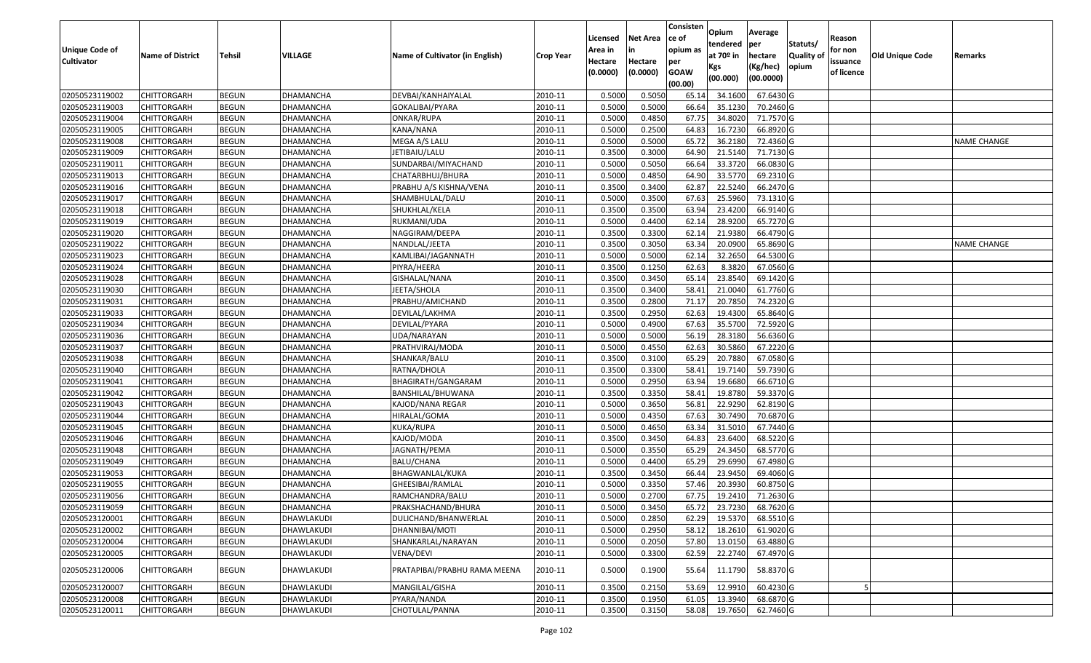|                   |                         |               |                  |                                 |                  | Licensed | <b>Net Area</b> | Consisten<br>ce of | Opium         | Average   |                  | Reason     |                        |                    |
|-------------------|-------------------------|---------------|------------------|---------------------------------|------------------|----------|-----------------|--------------------|---------------|-----------|------------------|------------|------------------------|--------------------|
| Unique Code of    |                         |               |                  |                                 |                  | Area in  | in              | opium as           | tendered      | per       | Statuts/         | for non    |                        |                    |
| <b>Cultivator</b> | <b>Name of District</b> | <b>Tehsil</b> | VILLAGE          | Name of Cultivator (in English) | <b>Crop Year</b> | Hectare  | Hectare         | per                | at $70°$ in   | hectare   | <b>Quality o</b> | issuance   | <b>Old Unique Code</b> | Remarks            |
|                   |                         |               |                  |                                 |                  | (0.0000) | (0.0000)        | <b>GOAW</b>        | Kgs           | (Kg/hec)  | opium            | of licence |                        |                    |
|                   |                         |               |                  |                                 |                  |          |                 | (00.00)            | (00.000)      | (00.0000) |                  |            |                        |                    |
| 02050523119002    | CHITTORGARH             | <b>BEGUN</b>  | DHAMANCHA        | DEVBAI/KANHAIYALAL              | 2010-11          | 0.5000   | 0.5050          | 65.14              | 34.1600       | 67.6430 G |                  |            |                        |                    |
| 02050523119003    | CHITTORGARH             | <b>BEGUN</b>  | DHAMANCHA        | GOKALIBAI/PYARA                 | 2010-11          | 0.5000   | 0.5000          | 66.64              | 35.1230       | 70.2460 G |                  |            |                        |                    |
| 02050523119004    | CHITTORGARH             | <b>BEGUN</b>  | DHAMANCHA        | ONKAR/RUPA                      | 2010-11          | 0.5000   | 0.4850          | 67.75              | 34.8020       | 71.7570 G |                  |            |                        |                    |
| 02050523119005    | <b>CHITTORGARH</b>      | <b>BEGUN</b>  | DHAMANCHA        | KANA/NANA                       | 2010-11          | 0.5000   | 0.2500          | 64.83              | 16.7230       | 66.8920G  |                  |            |                        |                    |
| 02050523119008    | CHITTORGARH             | <b>BEGUN</b>  | DHAMANCHA        | MEGA A/S LALU                   | 2010-11          | 0.5000   | 0.5000          | 65.72              | 36.2180       | 72.4360 G |                  |            |                        | <b>NAME CHANGE</b> |
| 02050523119009    | CHITTORGARH             | <b>BEGUN</b>  | <b>DHAMANCHA</b> | JETIBAIU/LALU                   | 2010-11          | 0.3500   | 0.3000          | 64.90              | 21.5140       | 71.7130 G |                  |            |                        |                    |
| 02050523119011    | CHITTORGARH             | <b>BEGUN</b>  | DHAMANCHA        | SUNDARBAI/MIYACHAND             | 2010-11          | 0.5000   | 0.5050          | 66.64              | 33.3720       | 66.0830 G |                  |            |                        |                    |
| 02050523119013    | CHITTORGARH             | <b>BEGUN</b>  | DHAMANCHA        | CHATARBHUJ/BHURA                | 2010-11          | 0.5000   | 0.4850          | 64.90              | 33.5770       | 69.2310 G |                  |            |                        |                    |
| 02050523119016    | CHITTORGARH             | <b>BEGUN</b>  | DHAMANCHA        | PRABHU A/S KISHNA/VENA          | 2010-11          | 0.3500   | 0.3400          | 62.87              | 22.5240       | 66.2470 G |                  |            |                        |                    |
| 02050523119017    | CHITTORGARH             | <b>BEGUN</b>  | DHAMANCHA        | SHAMBHULAL/DALU                 | 2010-11          | 0.5000   | 0.3500          | 67.63              | 25.5960       | 73.1310 G |                  |            |                        |                    |
| 02050523119018    | CHITTORGARH             | <b>BEGUN</b>  | DHAMANCHA        | SHUKHLAL/KELA                   | 2010-11          | 0.3500   | 0.3500          | 63.94              | 23.4200       | 66.9140 G |                  |            |                        |                    |
| 02050523119019    | CHITTORGARH             | <b>BEGUN</b>  | DHAMANCHA        | RUKMANI/UDA                     | 2010-11          | 0.5000   | 0.4400          | 62.1               | 28.9200       | 65.7270 G |                  |            |                        |                    |
| 02050523119020    | <b>CHITTORGARH</b>      | <b>BEGUN</b>  | DHAMANCHA        | NAGGIRAM/DEEPA                  | 2010-11          | 0.3500   | 0.3300          | 62.14              | 21.9380       | 66.4790 G |                  |            |                        |                    |
| 02050523119022    | CHITTORGARH             | <b>BEGUN</b>  | DHAMANCHA        | NANDLAL/JEETA                   | 2010-11          | 0.3500   | 0.3050          | 63.34              | 20.0900       | 65.8690 G |                  |            |                        | <b>NAME CHANGE</b> |
| 02050523119023    | <b>CHITTORGARH</b>      | <b>BEGUN</b>  | DHAMANCHA        | KAMLIBAI/JAGANNATH              | 2010-11          | 0.5000   | 0.5000          | 62.14              | 32.2650       | 64.5300 G |                  |            |                        |                    |
| 02050523119024    | <b>CHITTORGARH</b>      | <b>BEGUN</b>  | DHAMANCHA        | PIYRA/HEERA                     | 2010-11          | 0.3500   | 0.1250          | 62.63              | 8.3820        | 67.0560 G |                  |            |                        |                    |
| 02050523119028    | CHITTORGARH             | <b>BEGUN</b>  | DHAMANCHA        | GISHALAL/NANA                   | 2010-11          | 0.3500   | 0.3450          | 65.14              | 23.8540       | 69.1420 G |                  |            |                        |                    |
| 02050523119030    | CHITTORGARH             | <b>BEGUN</b>  | DHAMANCHA        | JEETA/SHOLA                     | 2010-11          | 0.3500   | 0.3400          | 58.4               | 21.0040       | 61.7760 G |                  |            |                        |                    |
| 02050523119031    | CHITTORGARH             | <b>BEGUN</b>  | DHAMANCHA        | PRABHU/AMICHAND                 | 2010-11          | 0.3500   | 0.2800          | 71.17              | 20.7850       | 74.2320 G |                  |            |                        |                    |
| 02050523119033    | CHITTORGARH             | <b>BEGUN</b>  | DHAMANCHA        | DEVILAL/LAKHMA                  | 2010-11          | 0.3500   | 0.2950          | 62.63              | 19.4300       | 65.8640 G |                  |            |                        |                    |
| 02050523119034    | CHITTORGARH             | <b>BEGUN</b>  | DHAMANCHA        | DEVILAL/PYARA                   | 2010-11          | 0.5000   | 0.4900          | 67.63              | 35.5700       | 72.5920 G |                  |            |                        |                    |
| 02050523119036    | CHITTORGARH             | <b>BEGUN</b>  | DHAMANCHA        | UDA/NARAYAN                     | 2010-11          | 0.5000   | 0.5000          | 56.19              | 28.3180       | 56.6360 G |                  |            |                        |                    |
| 02050523119037    | CHITTORGARH             | <b>BEGUN</b>  | DHAMANCHA        | PRATHVIRAJ/MODA                 | 2010-11          | 0.5000   | 0.4550          | 62.63              | 30.5860       | 67.2220 G |                  |            |                        |                    |
| 02050523119038    | CHITTORGARH             | <b>BEGUN</b>  | DHAMANCHA        | SHANKAR/BALU                    | 2010-11          | 0.3500   | 0.3100          | 65.29              | 20.7880       | 67.0580 G |                  |            |                        |                    |
| 02050523119040    | <b>CHITTORGARH</b>      | <b>BEGUN</b>  | DHAMANCHA        | RATNA/DHOLA                     | 2010-11          | 0.3500   | 0.3300          | 58.4               | 19.7140       | 59.7390 G |                  |            |                        |                    |
| 02050523119041    | CHITTORGARH             | <b>BEGUN</b>  | DHAMANCHA        | BHAGIRATH/GANGARAM              | 2010-11          | 0.5000   | 0.2950          | 63.94              | 19.6680       | 66.6710 G |                  |            |                        |                    |
| 02050523119042    | CHITTORGARH             | <b>BEGUN</b>  | DHAMANCHA        | BANSHILAL/BHUWANA               | 2010-11          | 0.3500   | 0.3350          | 58.4               | 19.8780       | 59.3370 G |                  |            |                        |                    |
| 02050523119043    | CHITTORGARH             | <b>BEGUN</b>  | DHAMANCHA        | KAJOD/NANA REGAR                | 2010-11          | 0.5000   | 0.3650          | 56.8               | 22.9290       | 62.8190 G |                  |            |                        |                    |
| 02050523119044    | CHITTORGARH             | <b>BEGUN</b>  | DHAMANCHA        | HIRALAL/GOMA                    | 2010-11          | 0.5000   | 0.4350          | 67.63              | 30.7490       | 70.6870 G |                  |            |                        |                    |
| 02050523119045    | CHITTORGARH             | <b>BEGUN</b>  | DHAMANCHA        | KUKA/RUPA                       | 2010-11          | 0.5000   | 0.4650          | 63.34              | 31.5010       | 67.7440 G |                  |            |                        |                    |
| 02050523119046    | CHITTORGARH             | <b>BEGUN</b>  | DHAMANCHA        | KAJOD/MODA                      | 2010-11          | 0.3500   | 0.3450          | 64.83              | 23.6400       | 68.5220 G |                  |            |                        |                    |
| 02050523119048    | CHITTORGARH             | <b>BEGUN</b>  | DHAMANCHA        | JAGNATH/PEMA                    | 2010-11          | 0.5000   | 0.3550          | 65.29              | 24.3450       | 68.5770 G |                  |            |                        |                    |
| 02050523119049    | CHITTORGARH             | <b>BEGUN</b>  | DHAMANCHA        | <b>BALU/CHANA</b>               | 2010-11          | 0.5000   | 0.4400          | 65.29              | 29.6990       | 67.4980 G |                  |            |                        |                    |
| 02050523119053    | CHITTORGARH             | <b>BEGUN</b>  | DHAMANCHA        | BHAGWANLAL/KUKA                 | 2010-11          | 0.3500   | 0.3450          | 66.44              | 23.945        | 69.4060 G |                  |            |                        |                    |
| 02050523119055    | CHITTORGARH             | <b>BEGUN</b>  | DHAMANCHA        | GHEESIBAI/RAMLAL                | 2010-11          | 0.5000   | 0.3350          | 57.46              | 20.393        | 60.8750 G |                  |            |                        |                    |
| 02050523119056    | CHITTORGARH             | <b>BEGUN</b>  | DHAMANCHA        | RAMCHANDRA/BALU                 | 2010-11          | 0.5000   | 0.2700          | 67.75              | 19.2410       | 71.2630 G |                  |            |                        |                    |
| 02050523119059    | <b>CHITTORGARH</b>      | <b>BEGUN</b>  | <b>DHAMANCHA</b> | PRAKSHACHAND/BHURA              | 2010-11          | 0.5000   | 0.3450          |                    | 65.72 23.7230 | 68.7620 G |                  |            |                        |                    |
| 02050523120001    | <b>CHITTORGARH</b>      | <b>BEGUN</b>  | DHAWLAKUDI       | DULICHAND/BHANWERLAL            | 2010-11          | 0.5000   | 0.2850          | 62.29              | 19.5370       | 68.5510 G |                  |            |                        |                    |
| 02050523120002    | <b>CHITTORGARH</b>      | <b>BEGUN</b>  | DHAWLAKUDI       | DHANNIBAI/MOTI                  | 2010-11          | 0.5000   | 0.2950          | 58.12              | 18.2610       | 61.9020 G |                  |            |                        |                    |
| 02050523120004    | <b>CHITTORGARH</b>      | <b>BEGUN</b>  | DHAWLAKUDI       | SHANKARLAL/NARAYAN              | 2010-11          | 0.5000   | 0.2050          | 57.80              | 13.0150       | 63.4880 G |                  |            |                        |                    |
| 02050523120005    | <b>CHITTORGARH</b>      | <b>BEGUN</b>  | DHAWLAKUDI       | VENA/DEVI                       | 2010-11          | 0.5000   | 0.3300          | 62.59              | 22.2740       | 67.4970 G |                  |            |                        |                    |
| 02050523120006    | <b>CHITTORGARH</b>      | <b>BEGUN</b>  | DHAWLAKUDI       | PRATAPIBAI/PRABHU RAMA MEENA    | 2010-11          | 0.5000   | 0.1900          | 55.64              | 11.1790       | 58.8370 G |                  |            |                        |                    |
| 02050523120007    | CHITTORGARH             | <b>BEGUN</b>  | DHAWLAKUDI       | MANGILAL/GISHA                  | 2010-11          | 0.3500   | 0.2150          | 53.69              | 12.9910       | 60.4230 G |                  |            |                        |                    |
| 02050523120008    | CHITTORGARH             | <b>BEGUN</b>  | DHAWLAKUDI       | PYARA/NANDA                     | 2010-11          | 0.3500   | 0.1950          | 61.05              | 13.3940       | 68.6870 G |                  |            |                        |                    |
| 02050523120011    | <b>CHITTORGARH</b>      | <b>BEGUN</b>  | DHAWLAKUDI       | CHOTULAL/PANNA                  | 2010-11          | 0.3500   | 0.3150          | 58.08              | 19.7650       | 62.7460 G |                  |            |                        |                    |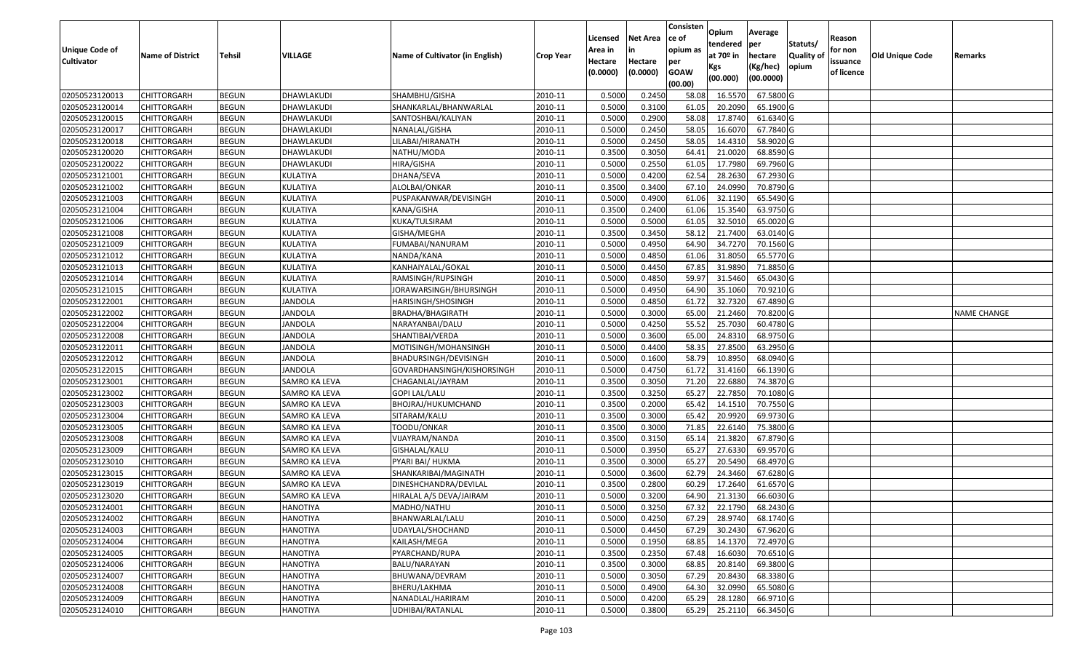|                       |                         |               |                      |                                 |                  |                     |                     | Consisten          | Opium         | Average   |           |                        |                 |                    |
|-----------------------|-------------------------|---------------|----------------------|---------------------------------|------------------|---------------------|---------------------|--------------------|---------------|-----------|-----------|------------------------|-----------------|--------------------|
|                       |                         |               |                      |                                 |                  | Licensed            | <b>Net Area</b>     | ce of              | tendered      | per       | Statuts/  | Reason                 |                 |                    |
| <b>Unique Code of</b> | <b>Name of District</b> | <b>Tehsil</b> | VILLAGE              | Name of Cultivator (in English) | <b>Crop Year</b> | Area in             |                     | opium as           | at $70°$ in   | hectare   | Quality o | for non                | Old Unique Code | Remarks            |
| <b>Cultivator</b>     |                         |               |                      |                                 |                  | Hectare<br>(0.0000) | Hectare<br>(0.0000) | per<br><b>GOAW</b> | Kgs           | (Kg/hec)  | opium     | issuance<br>of licence |                 |                    |
|                       |                         |               |                      |                                 |                  |                     |                     | (00.00)            | (00.000)      | (00.0000) |           |                        |                 |                    |
| 02050523120013        | CHITTORGARH             | <b>BEGUN</b>  | DHAWLAKUDI           | SHAMBHU/GISHA                   | 2010-11          | 0.5000              | 0.2450              | 58.08              | 16.5570       | 67.5800 G |           |                        |                 |                    |
| 02050523120014        | CHITTORGARH             | <b>BEGUN</b>  | DHAWLAKUDI           | SHANKARLAL/BHANWARLAL           | 2010-11          | 0.5000              | 0.3100              | 61.05              | 20.2090       | 65.1900 G |           |                        |                 |                    |
| 02050523120015        | CHITTORGARH             | <b>BEGUN</b>  | DHAWLAKUDI           | SANTOSHBAI/KALIYAN              | 2010-11          | 0.5000              | 0.2900              | 58.08              | 17.874        | 61.6340 G |           |                        |                 |                    |
| 02050523120017        | CHITTORGARH             | <b>BEGUN</b>  | DHAWLAKUDI           | NANALAL/GISHA                   | 2010-11          | 0.5000              | 0.2450              | 58.05              | 16.6070       | 67.7840 G |           |                        |                 |                    |
| 02050523120018        | CHITTORGARH             | <b>BEGUN</b>  | DHAWLAKUDI           | LILABAI/HIRANATH                | 2010-11          | 0.5000              | 0.2450              | 58.0               | 14.431        | 58.9020 G |           |                        |                 |                    |
| 02050523120020        | CHITTORGARH             | <b>BEGUN</b>  | DHAWLAKUDI           | NATHU/MODA                      | 2010-11          | 0.3500              | 0.3050              | 64.41              | 21.0020       | 68.8590 G |           |                        |                 |                    |
| 02050523120022        | CHITTORGARH             | <b>BEGUN</b>  | DHAWLAKUDI           | HIRA/GISHA                      | 2010-11          | 0.5000              | 0.2550              | 61.0               | 17.798        | 69.7960 G |           |                        |                 |                    |
| 02050523121001        | CHITTORGARH             | <b>BEGUN</b>  | KULATIYA             | DHANA/SEVA                      | 2010-11          | 0.5000              | 0.4200              | 62.54              | 28.2630       | 67.2930 G |           |                        |                 |                    |
| 02050523121002        | CHITTORGARH             | <b>BEGUN</b>  | KULATIYA             | ALOLBAI/ONKAR                   | 2010-11          | 0.3500              | 0.3400              | 67.10              | 24.0990       | 70.8790 G |           |                        |                 |                    |
| 02050523121003        | CHITTORGARH             | <b>BEGUN</b>  | KULATIYA             | PUSPAKANWAR/DEVISINGH           | 2010-11          | 0.5000              | 0.4900              | 61.06              | 32.1190       | 65.5490 G |           |                        |                 |                    |
| 02050523121004        | CHITTORGARH             | <b>BEGUN</b>  | KULATIYA             | KANA/GISHA                      | 2010-11          | 0.3500              | 0.2400              | 61.06              | 15.3540       | 63.9750 G |           |                        |                 |                    |
| 02050523121006        | CHITTORGARH             | <b>BEGUN</b>  | KULATIYA             | KUKA/TULSIRAM                   | 2010-11          | 0.5000              | 0.5000              | 61.05              | 32.5010       | 65.0020 G |           |                        |                 |                    |
| 02050523121008        | <b>CHITTORGARH</b>      | <b>BEGUN</b>  | KULATIYA             | GISHA/MEGHA                     | 2010-11          | 0.3500              | 0.3450              | 58.12              | 21.7400       | 63.0140G  |           |                        |                 |                    |
| 02050523121009        | <b>CHITTORGARH</b>      | <b>BEGUN</b>  | KULATIYA             | FUMABAI/NANURAM                 | 2010-11          | 0.5000              | 0.4950              | 64.90              | 34.7270       | 70.1560 G |           |                        |                 |                    |
| 02050523121012        | CHITTORGARH             | <b>BEGUN</b>  | KULATIYA             | NANDA/KANA                      | 2010-11          | 0.5000              | 0.4850              | 61.06              | 31.8050       | 65.5770 G |           |                        |                 |                    |
| 02050523121013        | <b>CHITTORGARH</b>      | <b>BEGUN</b>  | KULATIYA             | KANHAIYALAL/GOKAL               | 2010-11          | 0.5000              | 0.4450              | 67.85              | 31.9890       | 71.8850 G |           |                        |                 |                    |
| 02050523121014        | CHITTORGARH             | <b>BEGUN</b>  | KULATIYA             | RAMSINGH/RUPSINGH               | 2010-11          | 0.5000              | 0.4850              | 59.97              | 31.5460       | 65.0430 G |           |                        |                 |                    |
| 02050523121015        | CHITTORGARH             | <b>BEGUN</b>  | KULATIYA             | JORAWARSINGH/BHURSINGH          | 2010-11          | 0.5000              | 0.4950              | 64.90              | 35.1060       | 70.9210 G |           |                        |                 |                    |
| 02050523122001        | CHITTORGARH             | <b>BEGUN</b>  | JANDOLA              | HARISINGH/SHOSINGH              | 2010-11          | 0.5000              | 0.4850              | 61.72              | 32.7320       | 67.4890 G |           |                        |                 |                    |
| 02050523122002        | CHITTORGARH             | <b>BEGUN</b>  | <b>JANDOLA</b>       | BRADHA/BHAGIRATH                | 2010-11          | 0.5000              | 0.3000              | 65.00              | 21.2460       | 70.8200 G |           |                        |                 | <b>NAME CHANGE</b> |
| 02050523122004        | CHITTORGARH             | <b>BEGUN</b>  | <b>JANDOLA</b>       | NARAYANBAI/DALU                 | 2010-11          | 0.5000              | 0.4250              | 55.52              | 25.7030       | 60.4780 G |           |                        |                 |                    |
| 02050523122008        | CHITTORGARH             | <b>BEGUN</b>  | JANDOLA              | SHANTIBAI/VERDA                 | 2010-11          | 0.5000              | 0.3600              | 65.00              | 24.831        | 68.9750 G |           |                        |                 |                    |
| 02050523122011        | CHITTORGARH             | <b>BEGUN</b>  | JANDOLA              | MOTISINGH/MOHANSINGH            | 2010-11          | 0.5000              | 0.4400              | 58.35              | 27.8500       | 63.2950 G |           |                        |                 |                    |
| 02050523122012        | CHITTORGARH             | <b>BEGUN</b>  | <b>JANDOLA</b>       | BHADURSINGH/DEVISINGH           | 2010-11          | 0.5000              | 0.1600              | 58.79              | 10.895        | 68.0940 G |           |                        |                 |                    |
| 02050523122015        | CHITTORGARH             | <b>BEGUN</b>  | <b>JANDOLA</b>       | GOVARDHANSINGH/KISHORSINGH      | 2010-11          | 0.5000              | 0.4750              | 61.72              | 31.4160       | 66.1390 G |           |                        |                 |                    |
| 02050523123001        | CHITTORGARH             | <b>BEGUN</b>  | SAMRO KA LEVA        | CHAGANLAL/JAYRAM                | 2010-11          | 0.3500              | 0.3050              | 71.20              | 22.6880       | 74.3870 G |           |                        |                 |                    |
| 02050523123002        | CHITTORGARH             | <b>BEGUN</b>  | SAMRO KA LEVA        | GOPI LAL/LALU                   | 2010-11          | 0.3500              | 0.3250              | 65.27              | 22.7850       | 70.1080 G |           |                        |                 |                    |
| 02050523123003        | CHITTORGARH             | <b>BEGUN</b>  | SAMRO KA LEVA        | BHOJRAJ/HUKUMCHAND              | 2010-11          | 0.3500              | 0.2000              | 65.42              | 14.1510       | 70.7550 G |           |                        |                 |                    |
| 02050523123004        | CHITTORGARH             | <b>BEGUN</b>  | <b>SAMRO KA LEVA</b> | SITARAM/KALU                    | 2010-11          | 0.3500              | 0.3000              | 65.42              | 20.9920       | 69.9730 G |           |                        |                 |                    |
| 02050523123005        | CHITTORGARH             | <b>BEGUN</b>  | SAMRO KA LEVA        | TOODU/ONKAR                     | 2010-11          | 0.3500              | 0.3000              | 71.85              | 22.6140       | 75.3800 G |           |                        |                 |                    |
| 02050523123008        | CHITTORGARH             | <b>BEGUN</b>  | SAMRO KA LEVA        | VIJAYRAM/NANDA                  | 2010-11          | 0.3500              | 0.3150              | 65.1               | 21.3820       | 67.8790 G |           |                        |                 |                    |
| 02050523123009        | CHITTORGARH             | <b>BEGUN</b>  | SAMRO KA LEVA        | GISHALAL/KALU                   | 2010-11          | 0.5000              | 0.3950              | 65.27              | 27.6330       | 69.9570 G |           |                        |                 |                    |
| 02050523123010        | CHITTORGARH             | <b>BEGUN</b>  | SAMRO KA LEVA        | PYARI BAI/ HUKMA                | 2010-11          | 0.3500              | 0.3000              | 65.27              | 20.5490       | 68.4970 G |           |                        |                 |                    |
| 02050523123015        | CHITTORGARH             | <b>BEGUN</b>  | SAMRO KA LEVA        | SHANKARIBAI/MAGINATH            | 2010-11          | 0.5000              | 0.3600              | 62.79              | 24.3460       | 67.6280 G |           |                        |                 |                    |
| 02050523123019        | CHITTORGARH             | <b>BEGUN</b>  | SAMRO KA LEVA        | DINESHCHANDRA/DEVILAL           | 2010-11          | 0.350               | 0.2800              | 60.2               | 17.2640       | 61.6570 G |           |                        |                 |                    |
| 02050523123020        | CHITTORGARH             | <b>BEGUN</b>  | SAMRO KA LEVA        | HIRALAL A/S DEVA/JAIRAM         | 2010-11          | 0.5000              | 0.3200              | 64.90              | 21.3130       | 66.6030 G |           |                        |                 |                    |
| 02050523124001        | <b>CHITTORGARH</b>      | <b>BEGUN</b>  | <b>HANOTIYA</b>      | MADHO/NATHU                     | 2010-11          | 0.5000              | 0.3250              |                    | 67.32 22.1790 | 68.2430 G |           |                        |                 |                    |
| 02050523124002        | <b>CHITTORGARH</b>      | <b>BEGUN</b>  | <b>HANOTIYA</b>      | BHANWARLAL/LALU                 | 2010-11          | 0.5000              | 0.4250              | 67.29              | 28.9740       | 68.1740 G |           |                        |                 |                    |
| 02050523124003        | <b>CHITTORGARH</b>      | <b>BEGUN</b>  | <b>HANOTIYA</b>      | UDAYLAL/SHOCHAND                | 2010-11          | 0.5000              | 0.4450              | 67.29              | 30.2430       | 67.9620 G |           |                        |                 |                    |
| 02050523124004        | <b>CHITTORGARH</b>      | <b>BEGUN</b>  | <b>HANOTIYA</b>      | KAILASH/MEGA                    | 2010-11          | 0.5000              | 0.1950              | 68.85              | 14.1370       | 72.4970 G |           |                        |                 |                    |
| 02050523124005        | <b>CHITTORGARH</b>      | <b>BEGUN</b>  | <b>HANOTIYA</b>      | PYARCHAND/RUPA                  | 2010-11          | 0.3500              | 0.2350              | 67.48              | 16.6030       | 70.6510 G |           |                        |                 |                    |
| 02050523124006        | <b>CHITTORGARH</b>      | <b>BEGUN</b>  | <b>HANOTIYA</b>      | BALU/NARAYAN                    | 2010-11          | 0.3500              | 0.3000              | 68.85              | 20.8140       | 69.3800 G |           |                        |                 |                    |
| 02050523124007        | <b>CHITTORGARH</b>      | <b>BEGUN</b>  | <b>HANOTIYA</b>      | BHUWANA/DEVRAM                  | 2010-11          | 0.5000              | 0.3050              | 67.29              | 20.8430       | 68.3380 G |           |                        |                 |                    |
| 02050523124008        | CHITTORGARH             | <b>BEGUN</b>  | <b>HANOTIYA</b>      | BHERU/LAKHMA                    | 2010-11          | 0.5000              | 0.4900              | 64.30              | 32.0990       | 65.5080 G |           |                        |                 |                    |
| 02050523124009        | <b>CHITTORGARH</b>      | <b>BEGUN</b>  | <b>HANOTIYA</b>      | NANADLAL/HARIRAM                | 2010-11          | 0.5000              | 0.4200              | 65.29              | 28.1280       | 66.9710 G |           |                        |                 |                    |
| 02050523124010        | <b>CHITTORGARH</b>      | <b>BEGUN</b>  | <b>HANOTIYA</b>      | UDHIBAI/RATANLAL                | 2010-11          | 0.5000              | 0.3800              | 65.29              | 25.2110       | 66.3450 G |           |                        |                 |                    |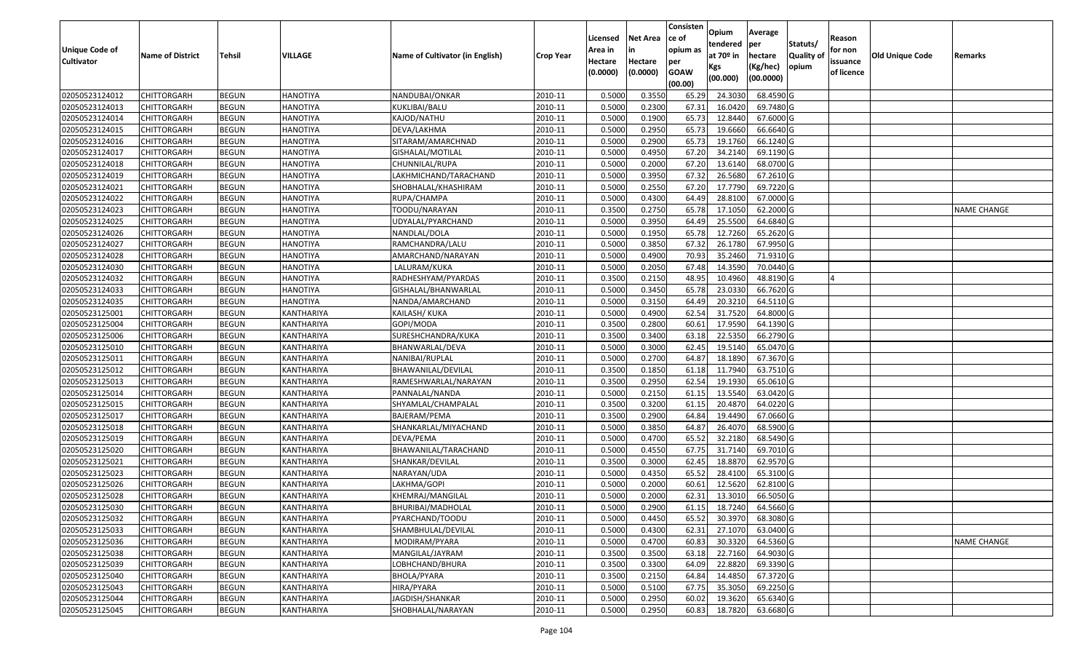|                       |                         |               |                 |                                 |                  |          |                 | Consisten              | Opium         | Average   |                  |            |                 |                    |
|-----------------------|-------------------------|---------------|-----------------|---------------------------------|------------------|----------|-----------------|------------------------|---------------|-----------|------------------|------------|-----------------|--------------------|
|                       |                         |               |                 |                                 |                  | Licensed | <b>Net Area</b> | lce of                 | tendered      | per       | Statuts/         | Reason     |                 |                    |
| <b>Unique Code of</b> | <b>Name of District</b> | <b>Tehsil</b> | VILLAGE         | Name of Cultivator (in English) | <b>Crop Year</b> | Area in  |                 | opium as               | at $70°$ in   | hectare   | <b>Quality o</b> | for non    | Old Unique Code | Remarks            |
| <b>Cultivator</b>     |                         |               |                 |                                 |                  | Hectare  | Hectare         | per                    | Kgs           | (Kg/hec)  | opium            | issuance   |                 |                    |
|                       |                         |               |                 |                                 |                  | (0.0000) | (0.0000)        | <b>GOAW</b><br>(00.00) | (00.000)      | (00.0000) |                  | of licence |                 |                    |
| 02050523124012        | CHITTORGARH             | <b>BEGUN</b>  | <b>HANOTIYA</b> | NANDUBAI/ONKAR                  | 2010-11          | 0.5000   | 0.3550          | 65.29                  | 24.303        | 68.4590 G |                  |            |                 |                    |
| 02050523124013        | CHITTORGARH             | <b>BEGUN</b>  | <b>HANOTIYA</b> | KUKLIBAI/BALU                   | 2010-11          | 0.5000   | 0.2300          | 67.3                   | 16.0420       | 69.7480 G |                  |            |                 |                    |
| 02050523124014        | CHITTORGARH             | <b>BEGUN</b>  | <b>HANOTIYA</b> | KAJOD/NATHU                     | 2010-11          | 0.5000   | 0.1900          | 65.73                  | 12.8440       | 67.6000 G |                  |            |                 |                    |
| 02050523124015        | <b>CHITTORGARH</b>      | <b>BEGUN</b>  | <b>HANOTIYA</b> | DEVA/LAKHMA                     | 2010-11          | 0.5000   | 0.2950          | 65.73                  | 19.6660       | 66.6640 G |                  |            |                 |                    |
| 02050523124016        | CHITTORGARH             | <b>BEGUN</b>  | <b>HANOTIYA</b> | SITARAM/AMARCHNAD               | 2010-11          | 0.5000   | 0.2900          | 65.73                  | 19.1760       | 66.1240 G |                  |            |                 |                    |
| 02050523124017        | CHITTORGARH             | <b>BEGUN</b>  | <b>HANOTIYA</b> | GISHALAL/MOTILAL                | 2010-11          | 0.5000   | 0.4950          | 67.20                  | 34.2140       | 69.1190 G |                  |            |                 |                    |
| 02050523124018        | CHITTORGARH             | <b>BEGUN</b>  | <b>HANOTIYA</b> | CHUNNILAL/RUPA                  | 2010-11          | 0.5000   | 0.2000          | 67.20                  | 13.6140       | 68.0700 G |                  |            |                 |                    |
| 02050523124019        | CHITTORGARH             | <b>BEGUN</b>  | <b>HANOTIYA</b> | LAKHMICHAND/TARACHAND           | 2010-11          | 0.5000   | 0.3950          | 67.32                  | 26.5680       | 67.2610 G |                  |            |                 |                    |
| 02050523124021        | CHITTORGARH             | <b>BEGUN</b>  | <b>HANOTIYA</b> | SHOBHALAL/KHASHIRAM             | 2010-11          | 0.5000   | 0.2550          | 67.20                  | 17.779        | 69.7220 G |                  |            |                 |                    |
| 02050523124022        | CHITTORGARH             | <b>BEGUN</b>  | <b>HANOTIYA</b> | RUPA/CHAMPA                     | 2010-11          | 0.5000   | 0.4300          | 64.49                  | 28.8100       | 67.0000 G |                  |            |                 |                    |
| 02050523124023        | CHITTORGARH             | <b>BEGUN</b>  | <b>HANOTIYA</b> | TOODU/NARAYAN                   | 2010-11          | 0.3500   | 0.2750          | 65.78                  | 17.1050       | 62.2000 G |                  |            |                 | <b>NAME CHANGE</b> |
| 02050523124025        | CHITTORGARH             | <b>BEGUN</b>  | <b>HANOTIYA</b> | UDYALAL/PYARCHAND               | 2010-11          | 0.5000   | 0.3950          | 64.49                  | 25.5500       | 64.6840 G |                  |            |                 |                    |
| 02050523124026        | <b>CHITTORGARH</b>      | <b>BEGUN</b>  | <b>HANOTIYA</b> | NANDLAL/DOLA                    | 2010-11          | 0.5000   | 0.1950          | 65.78                  | 12.7260       | 65.2620 G |                  |            |                 |                    |
| 02050523124027        | CHITTORGARH             | <b>BEGUN</b>  | <b>HANOTIYA</b> | RAMCHANDRA/LALU                 | 2010-11          | 0.5000   | 0.3850          | 67.32                  | 26.1780       | 67.9950 G |                  |            |                 |                    |
| 02050523124028        | CHITTORGARH             | <b>BEGUN</b>  | <b>HANOTIYA</b> | AMARCHAND/NARAYAN               | 2010-11          | 0.5000   | 0.4900          | 70.93                  | 35.2460       | 71.9310 G |                  |            |                 |                    |
| 02050523124030        | CHITTORGARH             | <b>BEGUN</b>  | <b>HANOTIYA</b> | LALURAM/KUKA                    | 2010-11          | 0.5000   | 0.2050          | 67.48                  | 14.3590       | 70.0440 G |                  |            |                 |                    |
| 02050523124032        | CHITTORGARH             | <b>BEGUN</b>  | <b>HANOTIYA</b> | RADHESHYAM/PYARDAS              | 2010-11          | 0.3500   | 0.2150          | 48.95                  | 10.4960       | 48.8190G  |                  |            |                 |                    |
| 02050523124033        | CHITTORGARH             | <b>BEGUN</b>  | <b>HANOTIYA</b> | GISHALAL/BHANWARLAL             | 2010-11          | 0.5000   | 0.3450          | 65.78                  | 23.0330       | 66.7620 G |                  |            |                 |                    |
| 02050523124035        | CHITTORGARH             | <b>BEGUN</b>  | <b>HANOTIYA</b> | NANDA/AMARCHAND                 | 2010-11          | 0.5000   | 0.3150          | 64.49                  | 20.3210       | 64.5110G  |                  |            |                 |                    |
| 02050523125001        | CHITTORGARH             | <b>BEGUN</b>  | KANTHARIYA      | KAILASH/KUKA                    | 2010-11          | 0.5000   | 0.4900          | 62.5                   | 31.7520       | 64.8000 G |                  |            |                 |                    |
| 02050523125004        | CHITTORGARH             | <b>BEGUN</b>  | KANTHARIYA      | GOPI/MODA                       | 2010-11          | 0.3500   | 0.2800          | 60.6                   | 17.9590       | 64.1390 G |                  |            |                 |                    |
| 02050523125006        | CHITTORGARH             | <b>BEGUN</b>  | KANTHARIYA      | SURESHCHANDRA/KUKA              | 2010-11          | 0.3500   | 0.3400          | 63.18                  | 22.535        | 66.2790 G |                  |            |                 |                    |
| 02050523125010        | CHITTORGARH             | <b>BEGUN</b>  | KANTHARIYA      | BHANWARLAL/DEVA                 | 2010-11          | 0.5000   | 0.3000          | 62.45                  | 19.5140       | 65.0470 G |                  |            |                 |                    |
| 02050523125011        | CHITTORGARH             | <b>BEGUN</b>  | KANTHARIYA      | NANIBAI/RUPLAL                  | 2010-11          | 0.5000   | 0.2700          | 64.87                  | 18.1890       | 67.3670 G |                  |            |                 |                    |
| 02050523125012        | CHITTORGARH             | <b>BEGUN</b>  | KANTHARIYA      | BHAWANILAL/DEVILAL              | 2010-11          | 0.3500   | 0.1850          | 61.18                  | 11.7940       | 63.7510 G |                  |            |                 |                    |
| 02050523125013        | CHITTORGARH             | <b>BEGUN</b>  | KANTHARIYA      | RAMESHWARLAL/NARAYAN            | 2010-11          | 0.3500   | 0.2950          | 62.54                  | 19.1930       | 65.0610 G |                  |            |                 |                    |
| 02050523125014        | CHITTORGARH             | <b>BEGUN</b>  | KANTHARIYA      | PANNALAL/NANDA                  | 2010-11          | 0.5000   | 0.2150          | 61.15                  | 13.5540       | 63.0420 G |                  |            |                 |                    |
| 02050523125015        | CHITTORGARH             | <b>BEGUN</b>  | KANTHARIYA      | SHYAMLAL/CHAMPALAL              | 2010-11          | 0.3500   | 0.3200          | 61.15                  | 20.4870       | 64.0220 G |                  |            |                 |                    |
| 02050523125017        | CHITTORGARH             | <b>BEGUN</b>  | KANTHARIYA      | BAJERAM/PEMA                    | 2010-11          | 0.3500   | 0.2900          | 64.84                  | 19.4490       | 67.0660 G |                  |            |                 |                    |
| 02050523125018        | CHITTORGARH             | <b>BEGUN</b>  | KANTHARIYA      | SHANKARLAL/MIYACHAND            | 2010-11          | 0.5000   | 0.3850          | 64.87                  | 26.4070       | 68.5900 G |                  |            |                 |                    |
| 02050523125019        | CHITTORGARH             | <b>BEGUN</b>  | KANTHARIYA      | DEVA/PEMA                       | 2010-11          | 0.5000   | 0.4700          | 65.52                  | 32.2180       | 68.5490 G |                  |            |                 |                    |
| 02050523125020        | CHITTORGARH             | <b>BEGUN</b>  | KANTHARIYA      | BHAWANILAL/TARACHAND            | 2010-11          | 0.5000   | 0.4550          | 67.75                  | 31.7140       | 69.7010 G |                  |            |                 |                    |
| 02050523125021        | CHITTORGARH             | <b>BEGUN</b>  | KANTHARIYA      | SHANKAR/DEVILAL                 | 2010-11          | 0.3500   | 0.3000          | 62.45                  | 18.8870       | 62.9570 G |                  |            |                 |                    |
| 02050523125023        | CHITTORGARH             | <b>BEGUN</b>  | KANTHARIYA      | NARAYAN/UDA                     | 2010-11          | 0.5000   | 0.4350          | 65.52                  | 28.4100       | 65.3100 G |                  |            |                 |                    |
| 02050523125026        | CHITTORGARH             | <b>BEGUN</b>  | KANTHARIYA      | LAKHMA/GOPI                     | 2010-11          | 0.500    | 0.2000          | 60.6                   | 12.5620       | 62.8100 G |                  |            |                 |                    |
| 02050523125028        | CHITTORGARH             | <b>BEGUN</b>  | KANTHARIYA      | KHEMRAJ/MANGILAL                | 2010-11          | 0.5000   | 0.2000          | 62.31                  | 13.3010       | 66.5050 G |                  |            |                 |                    |
| 02050523125030        | <b>CHITTORGARH</b>      | <b>BEGUN</b>  | KANTHARIYA      | BHURIBAI/MADHOLAL               | 2010-11          | 0.5000   | 0.2900          |                        | 61.15 18.7240 | 64.5660 G |                  |            |                 |                    |
| 02050523125032        | <b>CHITTORGARH</b>      | <b>BEGUN</b>  | KANTHARIYA      | PYARCHAND/TOODU                 | 2010-11          | 0.5000   | 0.4450          | 65.52                  | 30.3970       | 68.3080 G |                  |            |                 |                    |
| 02050523125033        | <b>CHITTORGARH</b>      | <b>BEGUN</b>  | KANTHARIYA      | SHAMBHULAL/DEVILAL              | 2010-11          | 0.5000   | 0.4300          | 62.31                  | 27.1070       | 63.0400 G |                  |            |                 |                    |
| 02050523125036        | <b>CHITTORGARH</b>      | <b>BEGUN</b>  | KANTHARIYA      | MODIRAM/PYARA                   | 2010-11          | 0.5000   | 0.4700          | 60.83                  | 30.3320       | 64.5360 G |                  |            |                 | <b>NAME CHANGE</b> |
| 02050523125038        | <b>CHITTORGARH</b>      | <b>BEGUN</b>  | KANTHARIYA      | MANGILAL/JAYRAM                 | 2010-11          | 0.3500   | 0.3500          | 63.18                  | 22.7160       | 64.9030 G |                  |            |                 |                    |
| 02050523125039        | <b>CHITTORGARH</b>      | <b>BEGUN</b>  | KANTHARIYA      | LOBHCHAND/BHURA                 | 2010-11          | 0.3500   | 0.3300          | 64.09                  | 22.8820       | 69.3390 G |                  |            |                 |                    |
| 02050523125040        | <b>CHITTORGARH</b>      | <b>BEGUN</b>  | KANTHARIYA      | BHOLA/PYARA                     | 2010-11          | 0.3500   | 0.2150          | 64.84                  | 14.4850       | 67.3720 G |                  |            |                 |                    |
| 02050523125043        | <b>CHITTORGARH</b>      | <b>BEGUN</b>  | KANTHARIYA      | HIRA/PYARA                      | 2010-11          | 0.5000   | 0.5100          | 67.75                  | 35.3050       | 69.2250 G |                  |            |                 |                    |
| 02050523125044        | <b>CHITTORGARH</b>      | <b>BEGUN</b>  | KANTHARIYA      | JAGDISH/SHANKAR                 | 2010-11          | 0.5000   | 0.2950          | 60.02                  | 19.3620       | 65.6340 G |                  |            |                 |                    |
| 02050523125045        | <b>CHITTORGARH</b>      | <b>BEGUN</b>  | KANTHARIYA      | SHOBHALAL/NARAYAN               | 2010-11          | 0.5000   | 0.2950          | 60.83                  | 18.7820       | 63.6680 G |                  |            |                 |                    |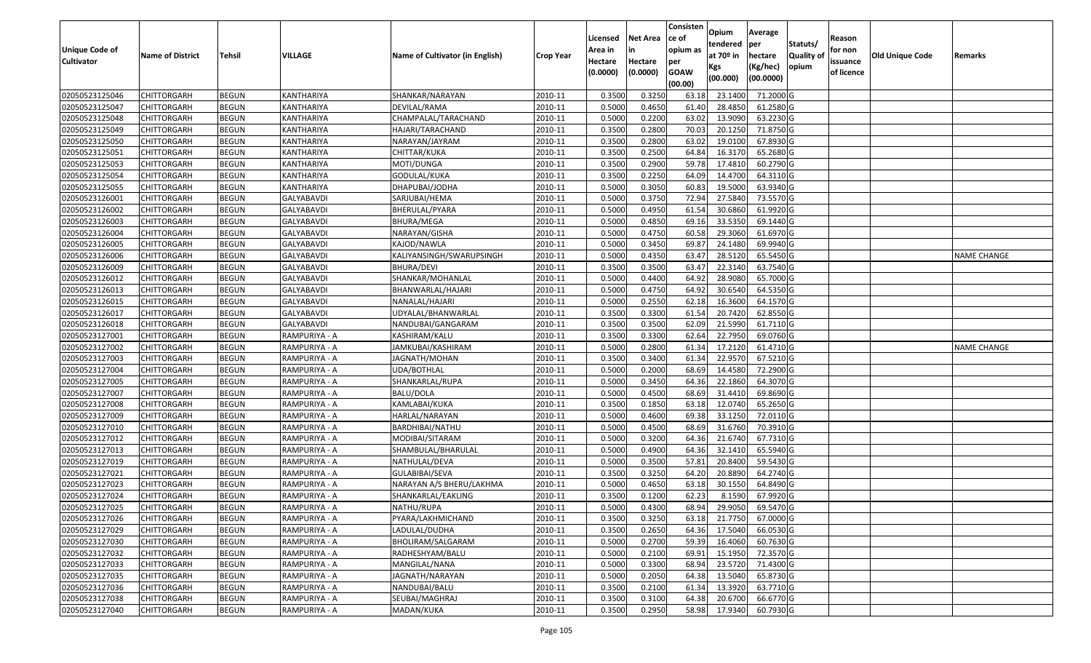|                   |                         |               |                   |                                 |                  |          |                 | Consisten              | Opium         | Average   |                  |            |                 |                    |
|-------------------|-------------------------|---------------|-------------------|---------------------------------|------------------|----------|-----------------|------------------------|---------------|-----------|------------------|------------|-----------------|--------------------|
|                   |                         |               |                   |                                 |                  | Licensed | <b>Net Area</b> | lce of                 | tendered      | per       | Statuts/         | Reason     |                 |                    |
| Unique Code of    | <b>Name of District</b> | <b>Tehsil</b> | VILLAGE           | Name of Cultivator (in English) | <b>Crop Year</b> | Area in  |                 | opium as               | at $70°$ in   | hectare   | <b>Quality o</b> | for non    | Old Unique Code | Remarks            |
| <b>Cultivator</b> |                         |               |                   |                                 |                  | Hectare  | Hectare         | per                    | Kgs           | (Kg/hec)  | opium            | issuance   |                 |                    |
|                   |                         |               |                   |                                 |                  | (0.0000) | (0.0000)        | <b>GOAW</b><br>(00.00) | (00.000)      | (00.0000) |                  | of licence |                 |                    |
| 02050523125046    | CHITTORGARH             | <b>BEGUN</b>  | KANTHARIYA        | SHANKAR/NARAYAN                 | 2010-11          | 0.3500   | 0.3250          | 63.18                  | 23.1400       | 71.2000 G |                  |            |                 |                    |
| 02050523125047    | CHITTORGARH             | <b>BEGUN</b>  | KANTHARIYA        | DEVILAL/RAMA                    | 2010-11          | 0.5000   | 0.4650          | 61.40                  | 28.4850       | 61.2580 G |                  |            |                 |                    |
| 02050523125048    | CHITTORGARH             | <b>BEGUN</b>  | KANTHARIYA        | CHAMPALAL/TARACHAND             | 2010-11          | 0.5000   | 0.2200          | 63.02                  | 13.9090       | 63.2230 G |                  |            |                 |                    |
| 02050523125049    | <b>CHITTORGARH</b>      | <b>BEGUN</b>  | KANTHARIYA        | HAJARI/TARACHAND                | 2010-11          | 0.3500   | 0.2800          | 70.03                  | 20.1250       | 71.8750 G |                  |            |                 |                    |
| 02050523125050    | CHITTORGARH             | <b>BEGUN</b>  | KANTHARIYA        | NARAYAN/JAYRAM                  | 2010-11          | 0.3500   | 0.2800          | 63.02                  | 19.0100       | 67.8930 G |                  |            |                 |                    |
| 02050523125051    | CHITTORGARH             | <b>BEGUN</b>  | <b>KANTHARIYA</b> | CHITTAR/KUKA                    | 2010-11          | 0.3500   | 0.2500          | 64.84                  | 16.3170       | 65.2680 G |                  |            |                 |                    |
| 02050523125053    | CHITTORGARH             | <b>BEGUN</b>  | KANTHARIYA        | MOTI/DUNGA                      | 2010-11          | 0.3500   | 0.2900          | 59.78                  | 17.4810       | 60.2790 G |                  |            |                 |                    |
| 02050523125054    | CHITTORGARH             | <b>BEGUN</b>  | <b>KANTHARIYA</b> | GODULAL/KUKA                    | 2010-11          | 0.3500   | 0.2250          | 64.09                  | 14.4700       | 64.3110G  |                  |            |                 |                    |
| 02050523125055    | CHITTORGARH             | <b>BEGUN</b>  | KANTHARIYA        | DHAPUBAI/JODHA                  | 2010-11          | 0.5000   | 0.3050          | 60.83                  | 19.5000       | 63.9340 G |                  |            |                 |                    |
| 02050523126001    | CHITTORGARH             | <b>BEGUN</b>  | GALYABAVDI        | SARJUBAI/HEMA                   | 2010-11          | 0.5000   | 0.3750          | 72.94                  | 27.5840       | 73.5570 G |                  |            |                 |                    |
| 02050523126002    | CHITTORGARH             | <b>BEGUN</b>  | GALYABAVDI        | BHERULAL/PYARA                  | 2010-11          | 0.5000   | 0.4950          | 61.54                  | 30.6860       | 61.9920 G |                  |            |                 |                    |
| 02050523126003    | CHITTORGARH             | <b>BEGUN</b>  | <b>GALYABAVDI</b> | BHURA/MEGA                      | 2010-11          | 0.5000   | 0.4850          | 69.16                  | 33.5350       | 69.1440 G |                  |            |                 |                    |
| 02050523126004    | <b>CHITTORGARH</b>      | <b>BEGUN</b>  | <b>GALYABAVDI</b> | NARAYAN/GISHA                   | 2010-11          | 0.5000   | 0.4750          | 60.58                  | 29.3060       | 61.6970 G |                  |            |                 |                    |
| 02050523126005    | CHITTORGARH             | <b>BEGUN</b>  | <b>GALYABAVDI</b> | KAJOD/NAWLA                     | 2010-11          | 0.5000   | 0.3450          | 69.87                  | 24.1480       | 69.9940 G |                  |            |                 |                    |
| 02050523126006    | CHITTORGARH             | <b>BEGUN</b>  | GALYABAVDI        | KALIYANSINGH/SWARUPSINGH        | 2010-11          | 0.5000   | 0.4350          | 63.47                  | 28.5120       | 65.5450 G |                  |            |                 | <b>NAME CHANGE</b> |
| 02050523126009    | CHITTORGARH             | <b>BEGUN</b>  | <b>GALYABAVDI</b> | <b>BHURA/DEVI</b>               | 2010-11          | 0.3500   | 0.3500          | 63.47                  | 22.3140       | 63.7540 G |                  |            |                 |                    |
| 02050523126012    | CHITTORGARH             | <b>BEGUN</b>  | GALYABAVDI        | SHANKAR/MOHANLAL                | 2010-11          | 0.5000   | 0.4400          | 64.92                  | 28.9080       | 65.7000G  |                  |            |                 |                    |
| 02050523126013    | CHITTORGARH             | <b>BEGUN</b>  | <b>GALYABAVDI</b> | BHANWARLAL/HAJARI               | 2010-11          | 0.5000   | 0.4750          | 64.92                  | 30.6540       | 64.5350 G |                  |            |                 |                    |
| 02050523126015    | CHITTORGARH             | <b>BEGUN</b>  | GALYABAVDI        | NANALAL/HAJARI                  | 2010-11          | 0.5000   | 0.2550          | 62.18                  | 16.3600       | 64.1570 G |                  |            |                 |                    |
| 02050523126017    | CHITTORGARH             | <b>BEGUN</b>  | GALYABAVDI        | UDYALAL/BHANWARLAL              | 2010-11          | 0.3500   | 0.3300          | 61.54                  | 20.7420       | 62.8550 G |                  |            |                 |                    |
| 02050523126018    | CHITTORGARH             | <b>BEGUN</b>  | <b>GALYABAVDI</b> | NANDUBAI/GANGARAM               | 2010-11          | 0.3500   | 0.3500          | 62.09                  | 21.5990       | 61.7110G  |                  |            |                 |                    |
| 02050523127001    | CHITTORGARH             | <b>BEGUN</b>  | RAMPURIYA - A     | KASHIRAM/KALU                   | 2010-11          | 0.3500   | 0.3300          | 62.64                  | 22.795        | 69.0760 G |                  |            |                 |                    |
| 02050523127002    | CHITTORGARH             | <b>BEGUN</b>  | RAMPURIYA - A     | JAMKUBAI/KASHIRAM               | 2010-11          | 0.5000   | 0.2800          | 61.34                  | 17.2120       | 61.4710 G |                  |            |                 | <b>NAME CHANGE</b> |
| 02050523127003    | CHITTORGARH             | <b>BEGUN</b>  | RAMPURIYA - A     | JAGNATH/MOHAN                   | 2010-11          | 0.3500   | 0.3400          | 61.34                  | 22.9570       | 67.5210 G |                  |            |                 |                    |
| 02050523127004    | CHITTORGARH             | <b>BEGUN</b>  | RAMPURIYA - A     | UDA/BOTHLAL                     | 2010-11          | 0.5000   | 0.2000          | 68.69                  | 14.4580       | 72.2900 G |                  |            |                 |                    |
| 02050523127005    | CHITTORGARH             | <b>BEGUN</b>  | RAMPURIYA - A     | SHANKARLAL/RUPA                 | 2010-11          | 0.5000   | 0.3450          | 64.36                  | 22.1860       | 64.3070 G |                  |            |                 |                    |
| 02050523127007    | CHITTORGARH             | <b>BEGUN</b>  | RAMPURIYA - A     | BALU/DOLA                       | 2010-11          | 0.5000   | 0.4500          | 68.69                  | 31.4410       | 69.8690 G |                  |            |                 |                    |
| 02050523127008    | CHITTORGARH             | <b>BEGUN</b>  | RAMPURIYA - A     | KAMLABAI/KUKA                   | 2010-11          | 0.3500   | 0.1850          | 63.18                  | 12.0740       | 65.2650 G |                  |            |                 |                    |
| 02050523127009    | CHITTORGARH             | <b>BEGUN</b>  | RAMPURIYA - A     | HARLAL/NARAYAN                  | 2010-11          | 0.5000   | 0.4600          | 69.38                  | 33.1250       | 72.0110 G |                  |            |                 |                    |
| 02050523127010    | CHITTORGARH             | <b>BEGUN</b>  | RAMPURIYA - A     | BARDHIBAI/NATHU                 | 2010-11          | 0.5000   | 0.4500          | 68.69                  | 31.6760       | 70.3910 G |                  |            |                 |                    |
| 02050523127012    | CHITTORGARH             | <b>BEGUN</b>  | RAMPURIYA - A     | MODIBAI/SITARAM                 | 2010-11          | 0.5000   | 0.3200          | 64.36                  | 21.6740       | 67.7310 G |                  |            |                 |                    |
| 02050523127013    | CHITTORGARH             | <b>BEGUN</b>  | RAMPURIYA - A     | SHAMBULAL/BHARULAL              | 2010-11          | 0.5000   | 0.4900          | 64.36                  | 32.1410       | 65.5940 G |                  |            |                 |                    |
| 02050523127019    | CHITTORGARH             | <b>BEGUN</b>  | RAMPURIYA - A     | NATHULAL/DEVA                   | 2010-11          | 0.5000   | 0.3500          | 57.8                   | 20.8400       | 59.5430 G |                  |            |                 |                    |
| 02050523127021    | CHITTORGARH             | <b>BEGUN</b>  | RAMPURIYA - A     | GULABIBAI/SEVA                  | 2010-11          | 0.3500   | 0.3250          | 64.20                  | 20.8890       | 64.2740 G |                  |            |                 |                    |
| 02050523127023    | CHITTORGARH             | <b>BEGUN</b>  | RAMPURIYA - A     | NARAYAN A/S BHERU/LAKHMA        | 2010-11          | 0.500    | 0.4650          | 63.18                  | 30.155        | 64.8490 G |                  |            |                 |                    |
| 02050523127024    | CHITTORGARH             | <b>BEGUN</b>  | RAMPURIYA - A     | SHANKARLAL/EAKLING              | 2010-11          | 0.3500   | 0.1200          | 62.23                  | 8.1590        | 67.9920G  |                  |            |                 |                    |
| 02050523127025    | <b>CHITTORGARH</b>      | <b>BEGUN</b>  | RAMPURIYA - A     | NATHU/RUPA                      | 2010-11          | 0.5000   | 0.4300          |                        | 68.94 29.9050 | 69.5470 G |                  |            |                 |                    |
| 02050523127026    | <b>CHITTORGARH</b>      | <b>BEGUN</b>  | RAMPURIYA - A     | PYARA/LAKHMICHAND               | 2010-11          | 0.3500   | 0.3250          | 63.18                  | 21.7750       | 67.0000 G |                  |            |                 |                    |
| 02050523127029    | <b>CHITTORGARH</b>      | <b>BEGUN</b>  | RAMPURIYA - A     | LADULAL/DUDHA                   | 2010-11          | 0.3500   | 0.2650          | 64.36                  | 17.5040       | 66.0530 G |                  |            |                 |                    |
| 02050523127030    | <b>CHITTORGARH</b>      | <b>BEGUN</b>  | RAMPURIYA - A     | BHOLIRAM/SALGARAM               | 2010-11          | 0.5000   | 0.2700          | 59.39                  | 16.4060       | 60.7630 G |                  |            |                 |                    |
| 02050523127032    | CHITTORGARH             | <b>BEGUN</b>  | RAMPURIYA - A     | RADHESHYAM/BALU                 | 2010-11          | 0.5000   | 0.2100          | 69.91                  | 15.1950       | 72.3570 G |                  |            |                 |                    |
| 02050523127033    | <b>CHITTORGARH</b>      | <b>BEGUN</b>  | RAMPURIYA - A     | MANGILAL/NANA                   | 2010-11          | 0.5000   | 0.3300          | 68.94                  | 23.5720       | 71.4300 G |                  |            |                 |                    |
| 02050523127035    | <b>CHITTORGARH</b>      | <b>BEGUN</b>  | RAMPURIYA - A     | JAGNATH/NARAYAN                 | 2010-11          | 0.5000   | 0.2050          | 64.38                  | 13.5040       | 65.8730 G |                  |            |                 |                    |
| 02050523127036    | <b>CHITTORGARH</b>      | <b>BEGUN</b>  | RAMPURIYA - A     | NANDUBAI/BALU                   | 2010-11          | 0.3500   | 0.2100          | 61.34                  | 13.3920       | 63.7710 G |                  |            |                 |                    |
| 02050523127038    | <b>CHITTORGARH</b>      | <b>BEGUN</b>  | RAMPURIYA - A     | SEUBAI/MAGHRAJ                  | 2010-11          | 0.3500   | 0.3100          | 64.38                  | 20.6700       | 66.6770 G |                  |            |                 |                    |
| 02050523127040    | <b>CHITTORGARH</b>      | <b>BEGUN</b>  | RAMPURIYA - A     | MADAN/KUKA                      | 2010-11          | 0.3500   | 0.2950          | 58.98                  | 17.9340       | 60.7930 G |                  |            |                 |                    |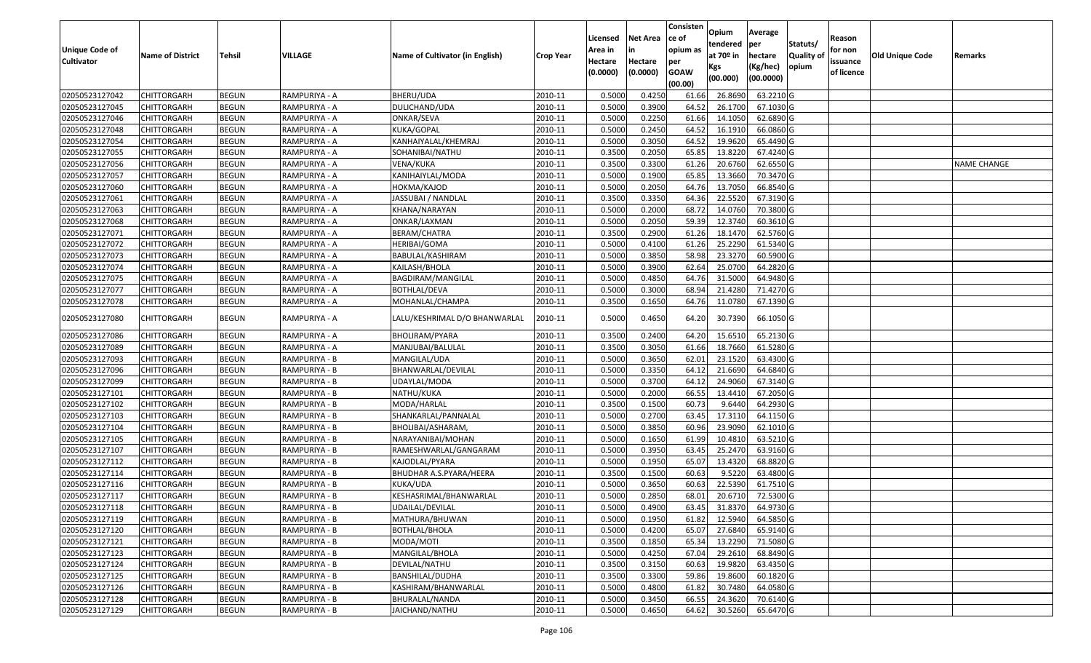|                       |                         |               |               |                                 |                  |          |                 | Consisten              | Opium         | Average   |                  |            |                        |                    |
|-----------------------|-------------------------|---------------|---------------|---------------------------------|------------------|----------|-----------------|------------------------|---------------|-----------|------------------|------------|------------------------|--------------------|
|                       |                         |               |               |                                 |                  | Licensed | <b>Net Area</b> | ce of                  | tendered      | per       | Statuts/         | Reason     |                        |                    |
| <b>Unique Code of</b> | <b>Name of District</b> | <b>Tehsil</b> | VILLAGE       | Name of Cultivator (in English) | <b>Crop Year</b> | Area in  |                 | opium as               | at $70°$ in   | hectare   | <b>Quality o</b> | for non    | <b>Old Unique Code</b> | Remarks            |
| <b>Cultivator</b>     |                         |               |               |                                 |                  | Hectare  | Hectare         | per                    | Kgs           | (Kg/hec)  | opium            | issuance   |                        |                    |
|                       |                         |               |               |                                 |                  | (0.0000) | (0.0000)        | <b>GOAW</b><br>(00.00) | (00.000)      | (00.0000) |                  | of licence |                        |                    |
| 02050523127042        | CHITTORGARH             | <b>BEGUN</b>  | RAMPURIYA - A | BHERU/UDA                       | 2010-11          | 0.5000   | 0.4250          | 61.66                  | 26.869        | 63.2210 G |                  |            |                        |                    |
| 02050523127045        | CHITTORGARH             | <b>BEGUN</b>  | RAMPURIYA - A | DULICHAND/UDA                   | 2010-11          | 0.5000   | 0.3900          | 64.52                  | 26.1700       | 67.1030 G |                  |            |                        |                    |
| 02050523127046        | CHITTORGARH             | <b>BEGUN</b>  | RAMPURIYA - A | ONKAR/SEVA                      | 2010-11          | 0.5000   | 0.2250          | 61.66                  | 14.1050       | 62.6890 G |                  |            |                        |                    |
| 02050523127048        | CHITTORGARH             | <b>BEGUN</b>  | RAMPURIYA - A | KUKA/GOPAL                      | 2010-11          | 0.5000   | 0.2450          | 64.52                  | 16.1910       | 66.0860 G |                  |            |                        |                    |
| 02050523127054        | CHITTORGARH             | <b>BEGUN</b>  | RAMPURIYA - A | KANHAIYALAL/KHEMRAJ             | 2010-11          | 0.5000   | 0.3050          | 64.52                  | 19.9620       | 65.4490 G |                  |            |                        |                    |
| 02050523127055        | CHITTORGARH             | <b>BEGUN</b>  | RAMPURIYA - A | SOHANIBAI/NATHU                 | 2010-11          | 0.3500   | 0.2050          | 65.85                  | 13.8220       | 67.4240 G |                  |            |                        |                    |
| 02050523127056        | CHITTORGARH             | <b>BEGUN</b>  | RAMPURIYA - A | VENA/KUKA                       | 2010-11          | 0.3500   | 0.3300          | 61.26                  | 20.6760       | 62.6550 G |                  |            |                        | <b>NAME CHANGE</b> |
| 02050523127057        | CHITTORGARH             | <b>BEGUN</b>  | RAMPURIYA - A | KANIHAIYLAL/MODA                | 2010-11          | 0.5000   | 0.1900          | 65.85                  | 13.3660       | 70.3470 G |                  |            |                        |                    |
| 02050523127060        | <b>CHITTORGARH</b>      | <b>BEGUN</b>  | RAMPURIYA - A | HOKMA/KAJOD                     | 2010-11          | 0.5000   | 0.2050          | 64.76                  | 13.705        | 66.8540 G |                  |            |                        |                    |
| 02050523127061        | CHITTORGARH             | <b>BEGUN</b>  | RAMPURIYA - A | JASSUBAI / NANDLAL              | 2010-11          | 0.3500   | 0.3350          | 64.36                  | 22.5520       | 67.3190 G |                  |            |                        |                    |
| 02050523127063        | CHITTORGARH             | <b>BEGUN</b>  | RAMPURIYA - A | KHANA/NARAYAN                   | 2010-11          | 0.5000   | 0.2000          | 68.72                  | 14.0760       | 70.3800 G |                  |            |                        |                    |
| 02050523127068        | <b>CHITTORGARH</b>      | <b>BEGUN</b>  | RAMPURIYA - A | ONKAR/LAXMAN                    | 2010-11          | 0.5000   | 0.2050          | 59.39                  | 12.3740       | 60.3610 G |                  |            |                        |                    |
| 02050523127071        | <b>CHITTORGARH</b>      | <b>BEGUN</b>  | RAMPURIYA - A | BERAM/CHATRA                    | 2010-11          | 0.3500   | 0.2900          | 61.26                  | 18.1470       | 62.5760 G |                  |            |                        |                    |
| 02050523127072        | <b>CHITTORGARH</b>      | <b>BEGUN</b>  | RAMPURIYA - A | HERIBAI/GOMA                    | 2010-11          | 0.5000   | 0.4100          | 61.26                  | 25.2290       | 61.5340 G |                  |            |                        |                    |
| 02050523127073        | CHITTORGARH             | <b>BEGUN</b>  | RAMPURIYA - A | BABULAL/KASHIRAM                | 2010-11          | 0.5000   | 0.3850          | 58.98                  | 23.3270       | 60.5900 G |                  |            |                        |                    |
| 02050523127074        | <b>CHITTORGARH</b>      | <b>BEGUN</b>  | RAMPURIYA - A | KAILASH/BHOLA                   | 2010-11          | 0.5000   | 0.3900          | 62.64                  | 25.0700       | 64.2820 G |                  |            |                        |                    |
| 02050523127075        | CHITTORGARH             | <b>BEGUN</b>  | RAMPURIYA - A | BAGDIRAM/MANGILAL               | 2010-11          | 0.5000   | 0.4850          | 64.76                  | 31.5000       | 64.9480 G |                  |            |                        |                    |
| 02050523127077        | CHITTORGARH             | <b>BEGUN</b>  | RAMPURIYA - A | BOTHLAL/DEVA                    | 2010-11          | 0.5000   | 0.3000          | 68.94                  | 21.4280       | 71.4270 G |                  |            |                        |                    |
| 02050523127078        | CHITTORGARH             | <b>BEGUN</b>  | RAMPURIYA - A | MOHANLAL/CHAMPA                 | 2010-11          | 0.3500   | 0.1650          | 64.76                  | 11.0780       | 67.1390 G |                  |            |                        |                    |
| 02050523127080        | CHITTORGARH             | <b>BEGUN</b>  | RAMPURIYA - A | LALU/KESHRIMAL D/O BHANWARLAL   | 2010-11          | 0.5000   | 0.4650          | 64.20                  | 30.7390       | 66.1050 G |                  |            |                        |                    |
| 02050523127086        | CHITTORGARH             | <b>BEGUN</b>  | RAMPURIYA - A | BHOLIRAM/PYARA                  | 2010-11          | 0.3500   | 0.2400          | 64.20                  | 15.651        | 65.2130 G |                  |            |                        |                    |
| 02050523127089        | CHITTORGARH             | <b>BEGUN</b>  | RAMPURIYA - A | MANJUBAI/BALULAL                | 2010-11          | 0.3500   | 0.3050          | 61.66                  | 18.7660       | 61.5280 G |                  |            |                        |                    |
| 02050523127093        | CHITTORGARH             | <b>BEGUN</b>  | RAMPURIYA - B | MANGILAL/UDA                    | 2010-11          | 0.5000   | 0.3650          | 62.01                  | 23.1520       | 63.4300 G |                  |            |                        |                    |
| 02050523127096        | CHITTORGARH             | <b>BEGUN</b>  | RAMPURIYA - B | BHANWARLAL/DEVILAL              | 2010-11          | 0.5000   | 0.3350          | 64.12                  | 21.6690       | 64.6840 G |                  |            |                        |                    |
| 02050523127099        | CHITTORGARH             | <b>BEGUN</b>  | RAMPURIYA - B | UDAYLAL/MODA                    | 2010-11          | 0.5000   | 0.3700          | 64.12                  | 24.9060       | 67.3140 G |                  |            |                        |                    |
| 02050523127101        | CHITTORGARH             | <b>BEGUN</b>  | RAMPURIYA - B | NATHU/KUKA                      | 2010-11          | 0.5000   | 0.2000          | 66.55                  | 13.4410       | 67.2050 G |                  |            |                        |                    |
| 02050523127102        | CHITTORGARH             | <b>BEGUN</b>  | RAMPURIYA - B | MODA/HARLAL                     | 2010-11          | 0.3500   | 0.1500          | 60.73                  | 9.6440        | 64.2930 G |                  |            |                        |                    |
| 02050523127103        | <b>CHITTORGARH</b>      | <b>BEGUN</b>  | RAMPURIYA - B | SHANKARLAL/PANNALAL             | 2010-11          | 0.5000   | 0.2700          | 63.45                  | 17.3110       | 64.1150 G |                  |            |                        |                    |
| 02050523127104        | CHITTORGARH             | <b>BEGUN</b>  | RAMPURIYA - B | BHOLIBAI/ASHARAM,               | 2010-11          | 0.5000   | 0.3850          | 60.96                  | 23.9090       | 62.1010G  |                  |            |                        |                    |
| 02050523127105        | CHITTORGARH             | <b>BEGUN</b>  | RAMPURIYA - B | NARAYANIBAI/MOHAN               | 2010-11          | 0.5000   | 0.1650          | 61.99                  | 10.481        | 63.5210 G |                  |            |                        |                    |
| 02050523127107        | CHITTORGARH             | <b>BEGUN</b>  | RAMPURIYA - B | RAMESHWARLAL/GANGARAM           | 2010-11          | 0.5000   | 0.3950          | 63.45                  | 25.2470       | 63.9160 G |                  |            |                        |                    |
| 02050523127112        | <b>CHITTORGARH</b>      | <b>BEGUN</b>  | RAMPURIYA - B | KAJODLAL/PYARA                  | 2010-11          | 0.5000   | 0.1950          | 65.07                  | 13.4320       | 68.8820 G |                  |            |                        |                    |
| 02050523127114        | <b>CHITTORGARH</b>      | <b>BEGUN</b>  | RAMPURIYA - B | BHUDHAR A.S.PYARA/HEERA         | 2010-11          | 0.3500   | 0.1500          | 60.63                  | 9.5220        | 63.4800 G |                  |            |                        |                    |
| 02050523127116        | CHITTORGARH             | <b>BEGUN</b>  | RAMPURIYA - B | KUKA/UDA                        | 2010-11          | 0.500    | 0.3650          | 60.63                  | 22.5390       | 61.7510 G |                  |            |                        |                    |
| 02050523127117        | CHITTORGARH             | <b>BEGUN</b>  | RAMPURIYA - B | KESHASRIMAL/BHANWARLAL          | 2010-11          | 0.5000   | 0.2850          | 68.01                  | 20.6710       | 72.5300 G |                  |            |                        |                    |
| 02050523127118        | <b>CHITTORGARH</b>      | <b>BEGUN</b>  | RAMPURIYA - B | UDAILAL/DEVILAL                 | 2010-11          | 0.5000   | 0.4900          |                        | 63.45 31.8370 | 64.9730 G |                  |            |                        |                    |
| 02050523127119        | <b>CHITTORGARH</b>      | <b>BEGUN</b>  | RAMPURIYA - B | MATHURA/BHUWAN                  | 2010-11          | 0.5000   | 0.1950          | 61.82                  | 12.5940       | 64.5850 G |                  |            |                        |                    |
| 02050523127120        | <b>CHITTORGARH</b>      | <b>BEGUN</b>  | RAMPURIYA - B | <b>BOTHLAL/BHOLA</b>            | 2010-11          | 0.5000   | 0.4200          | 65.07                  | 27.6840       | 65.9140 G |                  |            |                        |                    |
| 02050523127121        | <b>CHITTORGARH</b>      | <b>BEGUN</b>  | RAMPURIYA - B | MODA/MOTI                       | 2010-11          | 0.3500   | 0.1850          | 65.34                  | 13.2290       | 71.5080 G |                  |            |                        |                    |
| 02050523127123        | <b>CHITTORGARH</b>      | <b>BEGUN</b>  | RAMPURIYA - B | MANGILAL/BHOLA                  | 2010-11          | 0.5000   | 0.4250          | 67.04                  | 29.2610       | 68.8490 G |                  |            |                        |                    |
| 02050523127124        | <b>CHITTORGARH</b>      | <b>BEGUN</b>  | RAMPURIYA - B | DEVILAL/NATHU                   | 2010-11          | 0.3500   | 0.3150          | 60.63                  | 19.9820       | 63.4350 G |                  |            |                        |                    |
| 02050523127125        | <b>CHITTORGARH</b>      | <b>BEGUN</b>  | RAMPURIYA - B | BANSHILAL/DUDHA                 | 2010-11          | 0.3500   | 0.3300          | 59.86                  | 19.8600       | 60.1820 G |                  |            |                        |                    |
| 02050523127126        | <b>CHITTORGARH</b>      | <b>BEGUN</b>  | RAMPURIYA - B | KASHIRAM/BHANWARLAL             | 2010-11          | 0.5000   | 0.4800          | 61.82                  | 30.7480       | 64.0580 G |                  |            |                        |                    |
| 02050523127128        | <b>CHITTORGARH</b>      | <b>BEGUN</b>  | RAMPURIYA - B | BHURALAL/NANDA                  | 2010-11          | 0.5000   | 0.3450          | 66.55                  | 24.3620       | 70.6140 G |                  |            |                        |                    |
| 02050523127129        | <b>CHITTORGARH</b>      | <b>BEGUN</b>  | RAMPURIYA - B | JAICHAND/NATHU                  | 2010-11          | 0.5000   | 0.4650          | 64.62                  | 30.5260       | 65.6470 G |                  |            |                        |                    |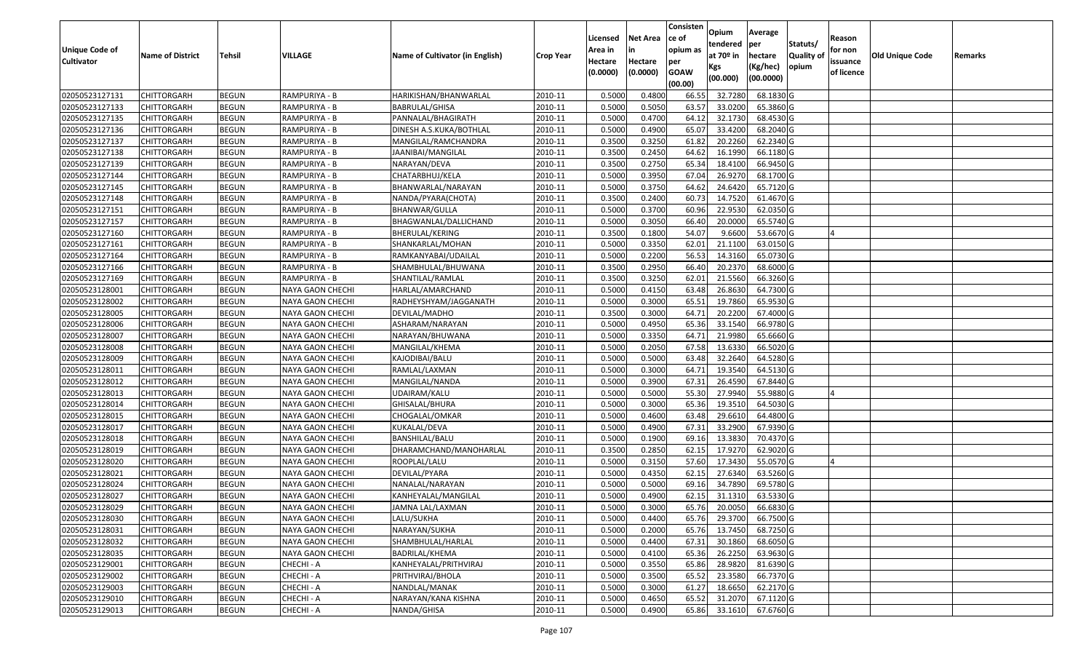|                   |                         |               |                         |                                 |                  |          |                 | Consisten   | Opium       | Average   |           |            |                 |         |
|-------------------|-------------------------|---------------|-------------------------|---------------------------------|------------------|----------|-----------------|-------------|-------------|-----------|-----------|------------|-----------------|---------|
|                   |                         |               |                         |                                 |                  | Licensed | <b>Net Area</b> | ce of       | tendered    | per       | Statuts/  | Reason     |                 |         |
| Unique Code of    | <b>Name of District</b> | <b>Tehsil</b> | VILLAGE                 | Name of Cultivator (in English) | <b>Crop Year</b> | Area in  |                 | opium as    | at $70°$ in | hectare   | Quality o | for non    | Old Unique Code | Remarks |
| <b>Cultivator</b> |                         |               |                         |                                 |                  | Hectare  | Hectare         | per         | Kgs         | (Kg/hec)  | opium     | issuance   |                 |         |
|                   |                         |               |                         |                                 |                  | (0.0000) | (0.0000)        | <b>GOAW</b> | (00.000)    | (00.0000) |           | of licence |                 |         |
|                   |                         |               |                         |                                 |                  |          |                 | (00.00)     |             |           |           |            |                 |         |
| 02050523127131    | CHITTORGARH             | <b>BEGUN</b>  | RAMPURIYA - B           | HARIKISHAN/BHANWARLAL           | 2010-11          | 0.5000   | 0.4800          | 66.55       | 32.7280     | 68.1830 G |           |            |                 |         |
| 02050523127133    | CHITTORGARH             | <b>BEGUN</b>  | RAMPURIYA - B           | BABRULAL/GHISA                  | 2010-11          | 0.5000   | 0.5050          | 63.57       | 33.0200     | 65.3860 G |           |            |                 |         |
| 02050523127135    | CHITTORGARH             | <b>BEGUN</b>  | RAMPURIYA - B           | PANNALAL/BHAGIRATH              | 2010-11          | 0.5000   | 0.4700          | 64.12       | 32.1730     | 68.4530 G |           |            |                 |         |
| 02050523127136    | CHITTORGARH             | <b>BEGUN</b>  | RAMPURIYA - B           | DINESH A.S.KUKA/BOTHLAL         | 2010-11          | 0.5000   | 0.4900          | 65.07       | 33.4200     | 68.2040 G |           |            |                 |         |
| 02050523127137    | CHITTORGARH             | <b>BEGUN</b>  | RAMPURIYA - B           | MANGILAL/RAMCHANDRA             | 2010-11          | 0.3500   | 0.3250          | 61.82       | 20.2260     | 62.2340 G |           |            |                 |         |
| 02050523127138    | CHITTORGARH             | <b>BEGUN</b>  | RAMPURIYA - B           | JAANIBAI/MANGILAL               | 2010-11          | 0.3500   | 0.2450          | 64.62       | 16.1990     | 66.1180 G |           |            |                 |         |
| 02050523127139    | CHITTORGARH             | <b>BEGUN</b>  | RAMPURIYA - B           | NARAYAN/DEVA                    | 2010-11          | 0.3500   | 0.2750          | 65.34       | 18.4100     | 66.9450 G |           |            |                 |         |
| 02050523127144    | <b>CHITTORGARH</b>      | <b>BEGUN</b>  | RAMPURIYA - B           | CHATARBHUJ/KELA                 | 2010-11          | 0.5000   | 0.3950          | 67.04       | 26.9270     | 68.1700 G |           |            |                 |         |
| 02050523127145    | CHITTORGARH             | <b>BEGUN</b>  | RAMPURIYA - B           | BHANWARLAL/NARAYAN              | 2010-11          | 0.5000   | 0.3750          | 64.62       | 24.6420     | 65.7120 G |           |            |                 |         |
| 02050523127148    | CHITTORGARH             | <b>BEGUN</b>  | RAMPURIYA - B           | NANDA/PYARA(CHOTA)              | 2010-11          | 0.3500   | 0.2400          | 60.7        | 14.7520     | 61.4670 G |           |            |                 |         |
| 02050523127151    | CHITTORGARH             | <b>BEGUN</b>  | RAMPURIYA - B           | BHANWAR/GULLA                   | 2010-11          | 0.5000   | 0.3700          | 60.96       | 22.9530     | 62.0350 G |           |            |                 |         |
| 02050523127157    | CHITTORGARH             | <b>BEGUN</b>  | RAMPURIYA - B           | BHAGWANLAL/DALLICHAND           | 2010-11          | 0.5000   | 0.3050          | 66.40       | 20.0000     | 65.5740 G |           |            |                 |         |
| 02050523127160    | <b>CHITTORGARH</b>      | <b>BEGUN</b>  | RAMPURIYA - B           | BHERULAL/KERING                 | 2010-11          | 0.3500   | 0.1800          | 54.07       | 9.6600      | 53.6670 G |           |            |                 |         |
| 02050523127161    | <b>CHITTORGARH</b>      | <b>BEGUN</b>  | RAMPURIYA - B           | SHANKARLAL/MOHAN                | 2010-11          | 0.5000   | 0.3350          | 62.01       | 21.1100     | 63.0150 G |           |            |                 |         |
| 02050523127164    | CHITTORGARH             | <b>BEGUN</b>  | RAMPURIYA - B           | RAMKANYABAI/UDAILAL             | 2010-11          | 0.5000   | 0.2200          | 56.53       | 14.3160     | 65.0730 G |           |            |                 |         |
| 02050523127166    | <b>CHITTORGARH</b>      | <b>BEGUN</b>  | RAMPURIYA - B           | SHAMBHULAL/BHUWANA              | 2010-11          | 0.3500   | 0.2950          | 66.40       | 20.2370     | 68.6000 G |           |            |                 |         |
| 02050523127169    | <b>CHITTORGARH</b>      | <b>BEGUN</b>  | RAMPURIYA - B           | SHANTILAL/RAMLAL                | 2010-11          | 0.3500   | 0.3250          | 62.01       | 21.5560     | 66.3260 G |           |            |                 |         |
| 02050523128001    | CHITTORGARH             | <b>BEGUN</b>  | NAYA GAON CHECHI        | HARLAL/AMARCHAND                | 2010-11          | 0.5000   | 0.4150          | 63.48       | 26.8630     | 64.7300 G |           |            |                 |         |
| 02050523128002    | CHITTORGARH             | <b>BEGUN</b>  | <b>NAYA GAON CHECHI</b> | RADHEYSHYAM/JAGGANATH           | 2010-11          | 0.5000   | 0.3000          | 65.5        | 19.7860     | 65.9530 G |           |            |                 |         |
| 02050523128005    | CHITTORGARH             | <b>BEGUN</b>  | NAYA GAON CHECHI        | DEVILAL/MADHO                   | 2010-11          | 0.3500   | 0.3000          | 64.71       | 20.2200     | 67.4000 G |           |            |                 |         |
| 02050523128006    | CHITTORGARH             | <b>BEGUN</b>  | <b>NAYA GAON CHECHI</b> | ASHARAM/NARAYAN                 | 2010-11          | 0.5000   | 0.4950          | 65.36       | 33.1540     | 66.9780 G |           |            |                 |         |
| 02050523128007    | CHITTORGARH             | <b>BEGUN</b>  | NAYA GAON CHECHI        | NARAYAN/BHUWANA                 | 2010-11          | 0.500    | 0.3350          | 64.7        | 21.998      | 65.6660 G |           |            |                 |         |
| 02050523128008    | CHITTORGARH             | <b>BEGUN</b>  | NAYA GAON CHECHI        | MANGILAL/KHEMA                  | 2010-11          | 0.5000   | 0.2050          | 67.58       | 13.6330     | 66.5020 G |           |            |                 |         |
| 02050523128009    | <b>CHITTORGARH</b>      | <b>BEGUN</b>  | NAYA GAON CHECHI        | KAJODIBAI/BALU                  | 2010-11          | 0.5000   | 0.5000          | 63.48       | 32.2640     | 64.5280 G |           |            |                 |         |
| 02050523128011    | CHITTORGARH             | <b>BEGUN</b>  | NAYA GAON CHECHI        | RAMLAL/LAXMAN                   | 2010-11          | 0.5000   | 0.3000          | 64.7        | 19.3540     | 64.5130 G |           |            |                 |         |
| 02050523128012    | CHITTORGARH             | <b>BEGUN</b>  | NAYA GAON CHECHI        | MANGILAL/NANDA                  | 2010-11          | 0.5000   | 0.3900          | 67.3        | 26.4590     | 67.8440 G |           |            |                 |         |
| 02050523128013    | CHITTORGARH             | <b>BEGUN</b>  | NAYA GAON CHECHI        | UDAIRAM/KALU                    | 2010-11          | 0.5000   | 0.5000          | 55.30       | 27.9940     | 55.9880 G |           |            |                 |         |
| 02050523128014    | CHITTORGARH             | <b>BEGUN</b>  | NAYA GAON CHECHI        | GHISALAL/BHURA                  | 2010-11          | 0.5000   | 0.3000          | 65.36       | 19.3510     | 64.5030 G |           |            |                 |         |
| 02050523128015    | CHITTORGARH             | <b>BEGUN</b>  | NAYA GAON CHECHI        | CHOGALAL/OMKAR                  | 2010-11          | 0.5000   | 0.4600          | 63.48       | 29.6610     | 64.4800 G |           |            |                 |         |
| 02050523128017    | CHITTORGARH             | <b>BEGUN</b>  | NAYA GAON CHECHI        | KUKALAL/DEVA                    | 2010-11          | 0.5000   | 0.4900          | 67.3        | 33.2900     | 67.9390 G |           |            |                 |         |
| 02050523128018    | CHITTORGARH             | <b>BEGUN</b>  | NAYA GAON CHECHI        | BANSHILAL/BALU                  | 2010-11          | 0.5000   | 0.1900          | 69.1        | 13.3830     | 70.4370 G |           |            |                 |         |
| 02050523128019    | CHITTORGARH             | <b>BEGUN</b>  | NAYA GAON CHECHI        | DHARAMCHAND/MANOHARLAL          | 2010-11          | 0.3500   | 0.2850          | 62.1        | 17.9270     | 62.9020 G |           |            |                 |         |
| 02050523128020    | CHITTORGARH             | <b>BEGUN</b>  | NAYA GAON CHECHI        | ROOPLAL/LALU                    | 2010-11          | 0.5000   | 0.3150          | 57.60       | 17.3430     | 55.0570G  |           |            |                 |         |
| 02050523128021    | CHITTORGARH             | <b>BEGUN</b>  | NAYA GAON CHECHI        | DEVILAL/PYARA                   | 2010-11          | 0.5000   | 0.4350          | 62.1        | 27.6340     | 63.5260 G |           |            |                 |         |
| 02050523128024    | CHITTORGARH             | <b>BEGUN</b>  | NAYA GAON CHECHI        | NANALAL/NARAYAN                 | 2010-11          | 0.500    | 0.5000          | 69.1        | 34.7890     | 69.5780 G |           |            |                 |         |
| 02050523128027    | CHITTORGARH             | <b>BEGUN</b>  | NAYA GAON CHECHI        | KANHEYALAL/MANGILAL             | 2010-11          | 0.5000   | 0.4900          | 62.15       | 31.1310     | 63.5330 G |           |            |                 |         |
| 02050523128029    | <b>CHITTORGARH</b>      | <b>BEGUN</b>  | NAYA GAON CHECHI        | JAMNA LAL/LAXMAN                | 2010-11          | 0.5000   | 0.3000          | 65.76       | 20.0050     | 66.6830 G |           |            |                 |         |
| 02050523128030    | <b>CHITTORGARH</b>      | <b>BEGUN</b>  | NAYA GAON CHECHI        | LALU/SUKHA                      | 2010-11          | 0.5000   | 0.4400          | 65.76       | 29.3700     | 66.7500 G |           |            |                 |         |
| 02050523128031    | <b>CHITTORGARH</b>      | <b>BEGUN</b>  | NAYA GAON CHECHI        | NARAYAN/SUKHA                   | 2010-11          | 0.5000   | 0.2000          | 65.76       | 13.7450     | 68.7250 G |           |            |                 |         |
| 02050523128032    | <b>CHITTORGARH</b>      | <b>BEGUN</b>  | NAYA GAON CHECHI        | SHAMBHULAL/HARLAL               | 2010-11          | 0.5000   | 0.4400          | 67.31       | 30.1860     | 68.6050 G |           |            |                 |         |
| 02050523128035    | CHITTORGARH             | <b>BEGUN</b>  | NAYA GAON CHECHI        | BADRILAL/KHEMA                  | 2010-11          | 0.5000   | 0.4100          | 65.36       | 26.2250     | 63.9630 G |           |            |                 |         |
| 02050523129001    | <b>CHITTORGARH</b>      | <b>BEGUN</b>  | CHECHI - A              | KANHEYALAL/PRITHVIRAJ           | 2010-11          | 0.5000   | 0.3550          | 65.86       | 28.9820     | 81.6390 G |           |            |                 |         |
| 02050523129002    | <b>CHITTORGARH</b>      | <b>BEGUN</b>  | CHECHI - A              | PRITHVIRAJ/BHOLA                | 2010-11          | 0.5000   | 0.3500          | 65.52       | 23.3580     | 66.7370 G |           |            |                 |         |
| 02050523129003    | <b>CHITTORGARH</b>      | <b>BEGUN</b>  | CHECHI - A              | NANDLAL/MANAK                   | 2010-11          | 0.5000   | 0.3000          | 61.27       | 18.6650     | 62.2170 G |           |            |                 |         |
| 02050523129010    | <b>CHITTORGARH</b>      | <b>BEGUN</b>  | CHECHI - A              | NARAYAN/KANA KISHNA             | 2010-11          | 0.5000   | 0.4650          | 65.52       | 31.2070     | 67.1120 G |           |            |                 |         |
| 02050523129013    | <b>CHITTORGARH</b>      | <b>BEGUN</b>  | CHECHI - A              | NANDA/GHISA                     | 2010-11          | 0.5000   | 0.4900          | 65.86       | 33.1610     | 67.6760 G |           |            |                 |         |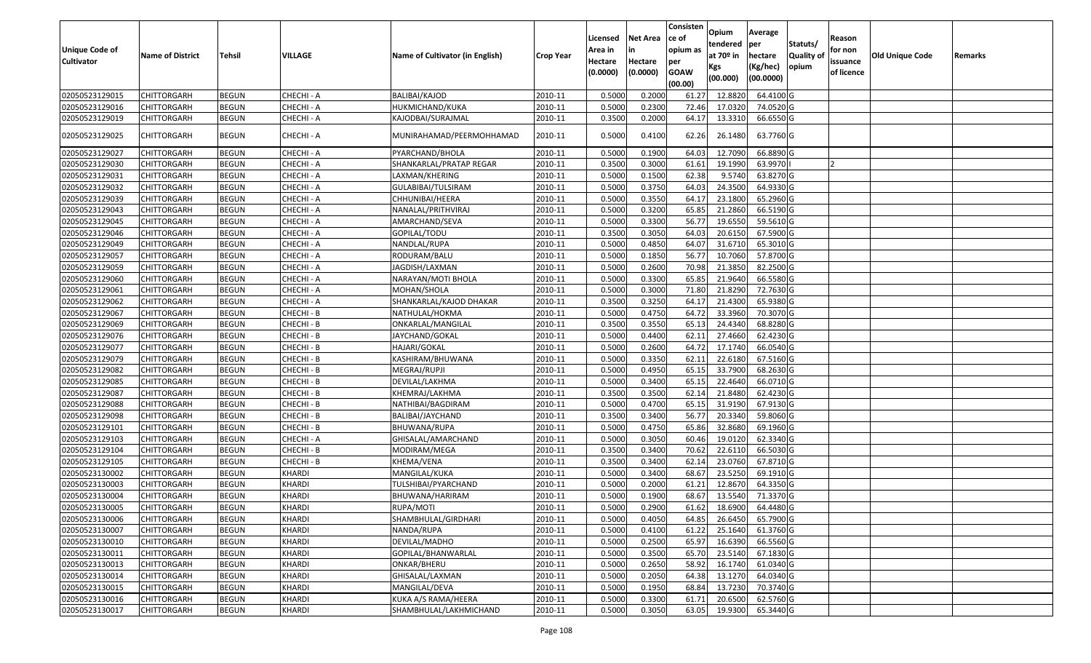|                   |                         |               |               |                                 |                  | Licensed | <b>Net Area</b> | Consisten<br>ce of | Opium         | Average   |                  | Reason     |                 |         |
|-------------------|-------------------------|---------------|---------------|---------------------------------|------------------|----------|-----------------|--------------------|---------------|-----------|------------------|------------|-----------------|---------|
| Unique Code of    |                         |               |               |                                 |                  | Area in  | in              | opium as           | tendered      | per       | Statuts/         | for non    |                 |         |
| <b>Cultivator</b> | <b>Name of District</b> | <b>Tehsil</b> | VILLAGE       | Name of Cultivator (in English) | <b>Crop Year</b> | Hectare  | Hectare         | per                | at $70°$ in   | hectare   | <b>Quality o</b> | issuance   | Old Unique Code | Remarks |
|                   |                         |               |               |                                 |                  | (0.0000) | (0.0000)        | <b>GOAW</b>        | Kgs           | (Kg/hec)  | opium            | of licence |                 |         |
|                   |                         |               |               |                                 |                  |          |                 | (00.00)            | (00.000)      | (00.0000) |                  |            |                 |         |
| 02050523129015    | CHITTORGARH             | <b>BEGUN</b>  | CHECHI - A    | BALIBAI/KAJOD                   | 2010-11          | 0.5000   | 0.2000          | 61.27              | 12.882        | 64.4100 G |                  |            |                 |         |
| 02050523129016    | CHITTORGARH             | <b>BEGUN</b>  | CHECHI - A    | HUKMICHAND/KUKA                 | 2010-11          | 0.5000   | 0.2300          | 72.46              | 17.0320       | 74.0520 G |                  |            |                 |         |
| 02050523129019    | CHITTORGARH             | <b>BEGUN</b>  | CHECHI - A    | KAJODBAI/SURAJMAL               | 2010-11          | 0.3500   | 0.2000          | 64.17              | 13.3310       | 66.6550 G |                  |            |                 |         |
| 02050523129025    | CHITTORGARH             | <b>BEGUN</b>  | CHECHI - A    | MUNIRAHAMAD/PEERMOHHAMAD        | 2010-11          | 0.5000   | 0.4100          | 62.26              | 26.1480       | 63.7760 G |                  |            |                 |         |
| 02050523129027    | CHITTORGARH             | <b>BEGUN</b>  | CHECHI - A    | PYARCHAND/BHOLA                 | 2010-11          | 0.500    | 0.1900          | 64.03              | 12.7090       | 66.8890 G |                  |            |                 |         |
| 02050523129030    | CHITTORGARH             | <b>BEGUN</b>  | CHECHI - A    | SHANKARLAL/PRATAP REGAR         | 2010-11          | 0.3500   | 0.3000          | 61.61              | 19.1990       | 63.9970   |                  |            |                 |         |
| 02050523129031    | <b>CHITTORGARH</b>      | <b>BEGUN</b>  | CHECHI - A    | LAXMAN/KHERING                  | 2010-11          | 0.5000   | 0.1500          | 62.38              | 9.5740        | 63.8270 G |                  |            |                 |         |
| 02050523129032    | CHITTORGARH             | <b>BEGUN</b>  | CHECHI - A    | GULABIBAI/TULSIRAM              | 2010-11          | 0.5000   | 0.3750          | 64.03              | 24.3500       | 64.9330 G |                  |            |                 |         |
| 02050523129039    | CHITTORGARH             | <b>BEGUN</b>  | CHECHI - A    | CHHUNIBAI/HEERA                 | 2010-11          | 0.5000   | 0.3550          | 64.17              | 23.1800       | 65.2960 G |                  |            |                 |         |
| 02050523129043    | CHITTORGARH             | <b>BEGUN</b>  | CHECHI - A    | NANALAL/PRITHVIRAJ              | 2010-11          | 0.5000   | 0.3200          | 65.85              | 21.2860       | 66.5190 G |                  |            |                 |         |
| 02050523129045    | CHITTORGARH             | <b>BEGUN</b>  | CHECHI - A    | AMARCHAND/SEVA                  | 2010-11          | 0.5000   | 0.3300          | 56.77              | 19.6550       | 59.5610 G |                  |            |                 |         |
| 02050523129046    | <b>CHITTORGARH</b>      | <b>BEGUN</b>  | CHECHI - A    | GOPILAL/TODU                    | 2010-11          | 0.3500   | 0.3050          | 64.03              | 20.6150       | 67.5900 G |                  |            |                 |         |
| 02050523129049    | CHITTORGARH             | <b>BEGUN</b>  | CHECHI - A    | NANDLAL/RUPA                    | 2010-11          | 0.5000   | 0.4850          | 64.07              | 31.6710       | 65.3010 G |                  |            |                 |         |
| 02050523129057    | CHITTORGARH             | <b>BEGUN</b>  | CHECHI - A    | RODURAM/BALU                    | 2010-11          | 0.5000   | 0.1850          | 56.7               | 10.7060       | 57.8700 G |                  |            |                 |         |
| 02050523129059    | CHITTORGARH             | <b>BEGUN</b>  | CHECHI - A    | JAGDISH/LAXMAN                  | 2010-11          | 0.5000   | 0.2600          | 70.98              | 21.385        | 82.2500 G |                  |            |                 |         |
| 02050523129060    | CHITTORGARH             | <b>BEGUN</b>  | CHECHI - A    | NARAYAN/MOTI BHOLA              | 2010-11          | 0.5000   | 0.3300          | 65.85              | 21.9640       | 66.5580 G |                  |            |                 |         |
| 02050523129061    | CHITTORGARH             | <b>BEGUN</b>  | CHECHI - A    | MOHAN/SHOLA                     | 2010-11          | 0.5000   | 0.3000          | 71.80              | 21.8290       | 72.7630 G |                  |            |                 |         |
| 02050523129062    | CHITTORGARH             | <b>BEGUN</b>  | CHECHI - A    | SHANKARLAL/KAJOD DHAKAR         | 2010-11          | 0.3500   | 0.3250          | 64.17              | 21.4300       | 65.9380 G |                  |            |                 |         |
| 02050523129067    | CHITTORGARH             | <b>BEGUN</b>  | CHECHI - B    | NATHULAL/HOKMA                  | 2010-11          | 0.5000   | 0.4750          | 64.72              | 33.3960       | 70.3070 G |                  |            |                 |         |
| 02050523129069    | CHITTORGARH             | <b>BEGUN</b>  | CHECHI - B    | ONKARLAL/MANGILAL               | 2010-11          | 0.3500   | 0.3550          | 65.13              | 24.4340       | 68.8280 G |                  |            |                 |         |
| 02050523129076    | CHITTORGARH             | <b>BEGUN</b>  | CHECHI - B    | JAYCHAND/GOKAL                  | 2010-11          | 0.5000   | 0.4400          | 62.1               | 27.4660       | 62.4230 G |                  |            |                 |         |
| 02050523129077    | CHITTORGARH             | <b>BEGUN</b>  | CHECHI - B    | HAJARI/GOKAL                    | 2010-11          | 0.5000   | 0.2600          | 64.72              | 17.1740       | 66.0540 G |                  |            |                 |         |
| 02050523129079    | CHITTORGARH             | <b>BEGUN</b>  | CHECHI - B    | KASHIRAM/BHUWANA                | 2010-11          | 0.5000   | 0.3350          | 62.1               | 22.6180       | 67.5160 G |                  |            |                 |         |
| 02050523129082    | <b>CHITTORGARH</b>      | <b>BEGUN</b>  | CHECHI - B    | MEGRAJ/RUPJI                    | 2010-11          | 0.5000   | 0.4950          | 65.15              | 33.7900       | 68.2630 G |                  |            |                 |         |
| 02050523129085    | CHITTORGARH             | <b>BEGUN</b>  | CHECHI - B    | DEVILAL/LAKHMA                  | 2010-11          | 0.5000   | 0.3400          | 65.15              | 22.4640       | 66.0710 G |                  |            |                 |         |
| 02050523129087    | CHITTORGARH             | <b>BEGUN</b>  | CHECHI - B    | KHEMRAJ/LAKHMA                  | 2010-11          | 0.3500   | 0.3500          | 62.1               | 21.8480       | 62.4230 G |                  |            |                 |         |
| 02050523129088    | CHITTORGARH             | <b>BEGUN</b>  | CHECHI - B    | NATHIBAI/BAGDIRAM               | 2010-11          | 0.5000   | 0.4700          | 65.15              | 31.9190       | 67.9130 G |                  |            |                 |         |
| 02050523129098    | <b>CHITTORGARH</b>      | <b>BEGUN</b>  | CHECHI - B    | BALIBAI/JAYCHAND                | 2010-11          | 0.3500   | 0.3400          | 56.77              | 20.3340       | 59.8060 G |                  |            |                 |         |
| 02050523129101    | CHITTORGARH             | <b>BEGUN</b>  | CHECHI - B    | BHUWANA/RUPA                    | 2010-11          | 0.5000   | 0.4750          | 65.86              | 32.8680       | 69.1960 G |                  |            |                 |         |
| 02050523129103    | CHITTORGARH             | <b>BEGUN</b>  | CHECHI - A    | GHISALAL/AMARCHAND              | 2010-11          | 0.5000   | 0.3050          | 60.46              | 19.0120       | 62.3340 G |                  |            |                 |         |
| 02050523129104    | CHITTORGARH             | <b>BEGUN</b>  | CHECHI - B    | MODIRAM/MEGA                    | 2010-11          | 0.3500   | 0.3400          | 70.62              | 22.6110       | 66.5030 G |                  |            |                 |         |
| 02050523129105    | CHITTORGARH             | <b>BEGUN</b>  | CHECHI - B    | KHEMA/VENA                      | 2010-11          | 0.3500   | 0.3400          | 62.14              | 23.0760       | 67.8710 G |                  |            |                 |         |
| 02050523130002    | <b>CHITTORGARH</b>      | <b>BEGUN</b>  | KHARDI        | MANGILAL/KUKA                   | 2010-11          | 0.5000   | 0.3400          | 68.67              | 23.5250       | 69.1910 G |                  |            |                 |         |
| 02050523130003    | CHITTORGARH             | <b>BEGUN</b>  | <b>KHARDI</b> | TULSHIBAI/PYARCHAND             | 2010-11          | 0.500    | 0.2000          | 61.21              | 12.8670       | 64.3350 G |                  |            |                 |         |
| 02050523130004    | CHITTORGARH             | <b>BEGUN</b>  | <b>KHARDI</b> | BHUWANA/HARIRAM                 | 2010-11          | 0.5000   | 0.1900          | 68.67              | 13.5540       | 71.3370 G |                  |            |                 |         |
| 02050523130005    | <b>CHITTORGARH</b>      | <b>BEGUN</b>  | <b>KHARDI</b> | RUPA/MOTI                       | 2010-11          | 0.5000   | 0.2900          |                    | 61.62 18.6900 | 64.4480 G |                  |            |                 |         |
| 02050523130006    | <b>CHITTORGARH</b>      | <b>BEGUN</b>  | <b>KHARDI</b> | SHAMBHULAL/GIRDHARI             | 2010-11          | 0.5000   | 0.4050          | 64.85              | 26.6450       | 65.7900 G |                  |            |                 |         |
| 02050523130007    | <b>CHITTORGARH</b>      | <b>BEGUN</b>  | KHARDI        | NANDA/RUPA                      | 2010-11          | 0.5000   | 0.4100          | 61.22              | 25.1640       | 61.3760 G |                  |            |                 |         |
| 02050523130010    | <b>CHITTORGARH</b>      | <b>BEGUN</b>  | KHARDI        | DEVILAL/MADHO                   | 2010-11          | 0.5000   | 0.2500          | 65.97              | 16.6390       | 66.5560 G |                  |            |                 |         |
| 02050523130011    | <b>CHITTORGARH</b>      | <b>BEGUN</b>  | <b>KHARDI</b> | GOPILAL/BHANWARLAL              | 2010-11          | 0.5000   | 0.3500          | 65.70              | 23.5140       | 67.1830 G |                  |            |                 |         |
| 02050523130013    | <b>CHITTORGARH</b>      | <b>BEGUN</b>  | <b>KHARDI</b> | ONKAR/BHERU                     | 2010-11          | 0.5000   | 0.2650          | 58.92              | 16.1740       | 61.0340 G |                  |            |                 |         |
| 02050523130014    | <b>CHITTORGARH</b>      | <b>BEGUN</b>  | <b>KHARDI</b> | GHISALAL/LAXMAN                 | 2010-11          | 0.5000   | 0.2050          | 64.38              | 13.1270       | 64.0340 G |                  |            |                 |         |
| 02050523130015    | <b>CHITTORGARH</b>      | <b>BEGUN</b>  | KHARDI        | MANGILAL/DEVA                   | 2010-11          | 0.5000   | 0.1950          | 68.84              | 13.7230       | 70.3740 G |                  |            |                 |         |
| 02050523130016    | <b>CHITTORGARH</b>      | <b>BEGUN</b>  | <b>KHARDI</b> | KUKA A/S RAMA/HEERA             | 2010-11          | 0.5000   | 0.3300          | 61.71              | 20.6500       | 62.5760 G |                  |            |                 |         |
| 02050523130017    | <b>CHITTORGARH</b>      | <b>BEGUN</b>  | <b>KHARDI</b> | SHAMBHULAL/LAKHMICHAND          | 2010-11          | 0.5000   | 0.3050          | 63.05              | 19.9300       | 65.3440 G |                  |            |                 |         |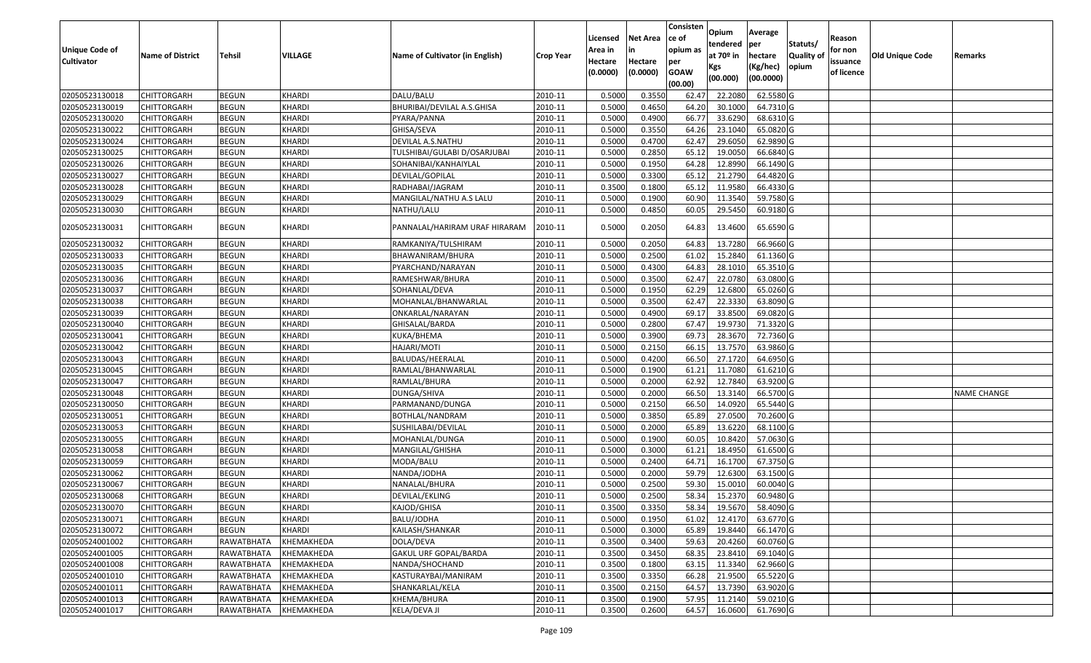|                       |                         |               |               |                                 |                  |          |                 | Consisten   |                         | Average                |                           |            |                        |                    |
|-----------------------|-------------------------|---------------|---------------|---------------------------------|------------------|----------|-----------------|-------------|-------------------------|------------------------|---------------------------|------------|------------------------|--------------------|
|                       |                         |               |               |                                 |                  | Licensed | <b>Net Area</b> | ce of       | Opium                   |                        |                           | Reason     |                        |                    |
| <b>Unique Code of</b> |                         |               | VILLAGE       |                                 |                  | Area in  |                 | opium as    | tendered<br>at $70°$ in | per                    | Statuts/                  | for non    |                        |                    |
| <b>Cultivator</b>     | <b>Name of District</b> | <b>Tehsil</b> |               | Name of Cultivator (in English) | <b>Crop Year</b> | Hectare  | Hectare         | per         |                         | hectare                | <b>Quality o</b><br>opium | issuance   | <b>Old Unique Code</b> | Remarks            |
|                       |                         |               |               |                                 |                  | (0.0000) | (0.0000)        | <b>GOAW</b> | Kgs<br>(00.000)         | (Kg/hec)<br>(00.0000)  |                           | of licence |                        |                    |
|                       |                         |               |               |                                 |                  |          |                 | (00.00)     |                         |                        |                           |            |                        |                    |
| 02050523130018        | CHITTORGARH             | <b>BEGUN</b>  | <b>KHARDI</b> | DALU/BALU                       | 2010-11          | 0.5000   | 0.3550          | 62.47       | 22.208                  | 62.5580 G              |                           |            |                        |                    |
| 02050523130019        | CHITTORGARH             | <b>BEGUN</b>  | <b>KHARDI</b> | BHURIBAI/DEVILAL A.S.GHISA      | 2010-11          | 0.5000   | 0.4650          | 64.20       | 30.1000                 | 64.7310 G              |                           |            |                        |                    |
| 02050523130020        | CHITTORGARH             | <b>BEGUN</b>  | <b>KHARDI</b> | PYARA/PANNA                     | 2010-11          | 0.5000   | 0.4900          | 66.77       | 33.6290                 | 68.6310 G              |                           |            |                        |                    |
| 02050523130022        | <b>CHITTORGARH</b>      | <b>BEGUN</b>  | <b>KHARDI</b> | GHISA/SEVA                      | 2010-11          | 0.5000   | 0.3550          | 64.26       | 23.1040                 | 65.0820G               |                           |            |                        |                    |
| 02050523130024        | CHITTORGARH             | <b>BEGUN</b>  | <b>KHARDI</b> | DEVILAL A.S.NATHU               | 2010-11          | 0.5000   | 0.4700          | 62.47       | 29.605                  | 62.9890 G              |                           |            |                        |                    |
| 02050523130025        | <b>CHITTORGARH</b>      | <b>BEGUN</b>  | <b>KHARDI</b> | TULSHIBAI/GULABI D/OSARJUBAI    | 2010-11          | 0.5000   | 0.2850          | 65.12       | 19.005                  | 66.6840 G              |                           |            |                        |                    |
| 02050523130026        | CHITTORGARH             | <b>BEGUN</b>  | <b>KHARDI</b> | SOHANIBAI/KANHAIYLAL            | 2010-11          | 0.5000   | 0.1950          | 64.28       | 12.8990                 | 66.1490 G              |                           |            |                        |                    |
| 02050523130027        | CHITTORGARH             | <b>BEGUN</b>  | <b>KHARDI</b> | DEVILAL/GOPILAL                 | 2010-11          | 0.5000   | 0.3300          | 65.12       | 21.2790                 | 64.4820 G              |                           |            |                        |                    |
| 02050523130028        | CHITTORGARH             | <b>BEGUN</b>  | <b>KHARDI</b> | RADHABAI/JAGRAM                 | 2010-11          | 0.3500   | 0.1800          | 65.1        | 11.9580                 | 66.4330 G              |                           |            |                        |                    |
| 02050523130029        | <b>CHITTORGARH</b>      | <b>BEGUN</b>  | <b>KHARDI</b> | MANGILAL/NATHU A.S LALU         | 2010-11          | 0.5000   | 0.1900          | 60.90       | 11.3540                 | 59.7580 G              |                           |            |                        |                    |
| 02050523130030        | CHITTORGARH             | <b>BEGUN</b>  | <b>KHARDI</b> | NATHU/LALU                      | 2010-11          | 0.5000   | 0.4850          | 60.05       | 29.5450                 | 60.9180 G              |                           |            |                        |                    |
| 02050523130031        | CHITTORGARH             | <b>BEGUN</b>  | <b>KHARDI</b> | PANNALAL/HARIRAM URAF HIRARAM   | 2010-11          | 0.5000   | 0.2050          | 64.83       | 13.4600                 | 65.6590 G              |                           |            |                        |                    |
| 02050523130032        | CHITTORGARH             | <b>BEGUN</b>  | KHARDI        | RAMKANIYA/TULSHIRAM             | 2010-11          | 0.500    | 0.2050          | 64.83       | 13.7280                 | 66.9660 G              |                           |            |                        |                    |
| 02050523130033        | CHITTORGARH             | <b>BEGUN</b>  | KHARDI        | BHAWANIRAM/BHURA                | 2010-11          | 0.5000   | 0.2500          | 61.02       | 15.2840                 | 61.1360 G              |                           |            |                        |                    |
| 02050523130035        | CHITTORGARH             | <b>BEGUN</b>  | KHARDI        | PYARCHAND/NARAYAN               | 2010-11          | 0.5000   | 0.4300          | 64.83       | 28.1010                 | 65.3510 G              |                           |            |                        |                    |
| 02050523130036        | CHITTORGARH             | <b>BEGUN</b>  | KHARDI        | RAMESHWAR/BHURA                 | 2010-11          | 0.5000   | 0.3500          | 62.47       | 22.0780                 | 63.0800 G              |                           |            |                        |                    |
| 02050523130037        | CHITTORGARH             | <b>BEGUN</b>  | <b>KHARDI</b> | SOHANLAL/DEVA                   | 2010-11          | 0.500    | 0.1950          | 62.29       | 12.6800                 | 65.0260 G              |                           |            |                        |                    |
| 02050523130038        | CHITTORGARH             | <b>BEGUN</b>  | KHARDI        | MOHANLAL/BHANWARLAL             | 2010-11          | 0.5000   | 0.3500          | 62.47       | 22.3330                 | 63.8090G               |                           |            |                        |                    |
| 02050523130039        | CHITTORGARH             | <b>BEGUN</b>  | KHARDI        | ONKARLAL/NARAYAN                | 2010-11          | 0.5000   | 0.4900          | 69.17       | 33.8500                 | 69.0820 G              |                           |            |                        |                    |
| 02050523130040        | CHITTORGARH             | <b>BEGUN</b>  | <b>KHARDI</b> | GHISALAL/BARDA                  | 2010-11          | 0.5000   | 0.2800          | 67.47       | 19.9730                 | 71.3320 G              |                           |            |                        |                    |
| 02050523130041        | CHITTORGARH             | <b>BEGUN</b>  | <b>KHARDI</b> | KUKA/BHEMA                      | 2010-11          | 0.5000   | 0.3900          | 69.73       | 28.3670                 | $\overline{72.7360}$ G |                           |            |                        |                    |
| 02050523130042        | CHITTORGARH             | <b>BEGUN</b>  | <b>KHARDI</b> | HAJARI/MOTI                     | 2010-11          | 0.5000   | 0.2150          | 66.15       | 13.7570                 | 63.9860 G              |                           |            |                        |                    |
| 02050523130043        | CHITTORGARH             | <b>BEGUN</b>  | <b>KHARDI</b> | BALUDAS/HEERALAL                | 2010-11          | 0.5000   | 0.4200          | 66.5        | 27.1720                 | 64.6950 G              |                           |            |                        |                    |
| 02050523130045        | <b>CHITTORGARH</b>      | <b>BEGUN</b>  | <b>KHARDI</b> | RAMLAL/BHANWARLAL               | 2010-11          | 0.5000   | 0.1900          | 61.21       | 11.7080                 | $61.6210$ G            |                           |            |                        |                    |
| 02050523130047        | CHITTORGARH             | <b>BEGUN</b>  | <b>KHARDI</b> | RAMLAL/BHURA                    | 2010-11          | 0.5000   | 0.2000          | 62.92       | 12.7840                 | 63.9200 G              |                           |            |                        |                    |
| 02050523130048        | CHITTORGARH             | <b>BEGUN</b>  | <b>KHARDI</b> | DUNGA/SHIVA                     | 2010-11          | 0.5000   | 0.2000          | 66.50       | 13.3140                 | 66.5700 G              |                           |            |                        | <b>NAME CHANGE</b> |
| 02050523130050        | CHITTORGARH             | <b>BEGUN</b>  | <b>KHARDI</b> | PARMANAND/DUNGA                 | 2010-11          | 0.5000   | 0.2150          | 66.50       | 14.0920                 | 65.5440 G              |                           |            |                        |                    |
| 02050523130051        | CHITTORGARH             | <b>BEGUN</b>  | <b>KHARDI</b> | BOTHLAL/NANDRAM                 | 2010-11          | 0.5000   | 0.3850          | 65.89       | 27.0500                 | 70.2600 G              |                           |            |                        |                    |
| 02050523130053        | CHITTORGARH             | <b>BEGUN</b>  | <b>KHARDI</b> | SUSHILABAI/DEVILAL              | 2010-11          | 0.5000   | 0.2000          | 65.89       | 13.6220                 | 68.1100 G              |                           |            |                        |                    |
| 02050523130055        | CHITTORGARH             | <b>BEGUN</b>  | <b>KHARDI</b> | MOHANLAL/DUNGA                  | 2010-11          | 0.5000   | 0.1900          | 60.05       | 10.8420                 | 57.0630 G              |                           |            |                        |                    |
| 02050523130058        | CHITTORGARH             | <b>BEGUN</b>  | <b>KHARDI</b> | MANGILAL/GHISHA                 | 2010-11          | 0.5000   | 0.3000          | 61.21       | 18.4950                 | 61.6500 G              |                           |            |                        |                    |
| 02050523130059        | <b>CHITTORGARH</b>      | <b>BEGUN</b>  | <b>KHARDI</b> | MODA/BALU                       | 2010-11          | 0.5000   | 0.2400          | 64.7        | 16.1700                 | 67.3750 G              |                           |            |                        |                    |
| 02050523130062        | <b>CHITTORGARH</b>      | <b>BEGUN</b>  | <b>KHARDI</b> | NANDA/JODHA                     | 2010-11          | 0.5000   | 0.2000          | 59.79       | 12.6300                 | 63.1500 G              |                           |            |                        |                    |
| 02050523130067        | CHITTORGARH             | <b>BEGUN</b>  | <b>KHARDI</b> | NANALAL/BHURA                   | 2010-11          | 0.500    | 0.2500          | 59.30       | 15.0010                 | 60.0040 G              |                           |            |                        |                    |
| 02050523130068        | CHITTORGARH             | <b>BEGUN</b>  | <b>KHARDI</b> | DEVILAL/EKLING                  | 2010-11          | 0.5000   | 0.2500          | 58.34       | 15.2370                 | 60.9480 G              |                           |            |                        |                    |
| 02050523130070        | <b>CHITTORGARH</b>      | <b>BEGUN</b>  | KHARDI        | KAJOD/GHISA                     | 2010-11          | 0.3500   | 0.3350          |             | 58.34 19.5670           | 58.4090G               |                           |            |                        |                    |
| 02050523130071        | <b>CHITTORGARH</b>      | <b>BEGUN</b>  | <b>KHARDI</b> | BALU/JODHA                      | 2010-11          | 0.5000   | 0.1950          | 61.02       | 12.4170                 | 63.6770 G              |                           |            |                        |                    |
| 02050523130072        | <b>CHITTORGARH</b>      | <b>BEGUN</b>  | KHARDI        | KAILASH/SHANKAR                 | 2010-11          | 0.5000   | 0.3000          | 65.89       | 19.8440                 | 66.1470 G              |                           |            |                        |                    |
| 02050524001002        | <b>CHITTORGARH</b>      | RAWATBHATA    | KHEMAKHEDA    | DOLA/DEVA                       | 2010-11          | 0.3500   | 0.3400          | 59.63       | 20.4260                 | 60.0760 G              |                           |            |                        |                    |
| 02050524001005        | <b>CHITTORGARH</b>      | RAWATBHATA    | KHEMAKHEDA    | GAKUL URF GOPAL/BARDA           | 2010-11          | 0.3500   | 0.3450          | 68.35       | 23.8410                 | 69.1040 G              |                           |            |                        |                    |
| 02050524001008        | <b>CHITTORGARH</b>      | RAWATBHATA    | KHEMAKHEDA    | NANDA/SHOCHAND                  | 2010-11          | 0.3500   | 0.1800          | 63.15       | 11.3340                 | 62.9660 G              |                           |            |                        |                    |
| 02050524001010        | <b>CHITTORGARH</b>      | RAWATBHATA    | KHEMAKHEDA    | KASTURAYBAI/MANIRAM             | 2010-11          | 0.3500   | 0.3350          | 66.28       | 21.9500                 | 65.5220 G              |                           |            |                        |                    |
| 02050524001011        | CHITTORGARH             | RAWATBHATA    | KHEMAKHEDA    | SHANKARLAL/KELA                 | 2010-11          | 0.3500   | 0.2150          | 64.57       | 13.7390                 | 63.9020 G              |                           |            |                        |                    |
| 02050524001013        | <b>CHITTORGARH</b>      | RAWATBHATA    | KHEMAKHEDA    | KHEMA/BHURA                     | 2010-11          | 0.3500   | 0.1900          | 57.95       | 11.2140                 | 59.0210 G              |                           |            |                        |                    |
| 02050524001017        | <b>CHITTORGARH</b>      | RAWATBHATA    | KHEMAKHEDA    | <b>KELA/DEVA JI</b>             | 2010-11          | 0.3500   | 0.2600          | 64.57       | 16.0600                 | 61.7690 G              |                           |            |                        |                    |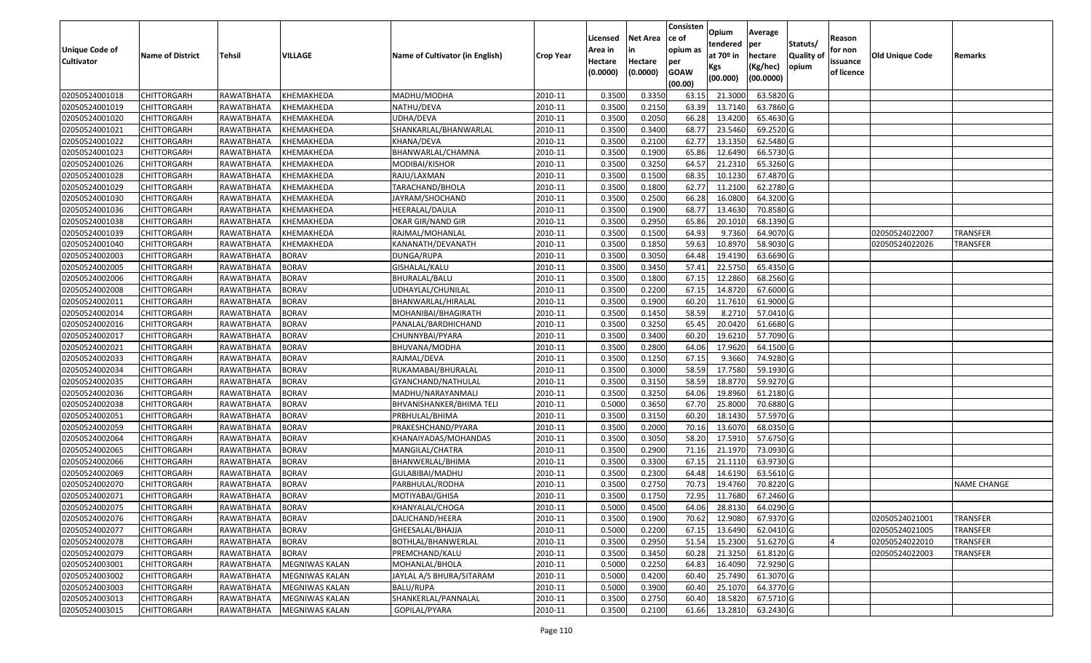|                   |                                   |               |                       |                                 |                  |          |                 | Consisten   | Opium       | Average   |                  |            |                        |                    |
|-------------------|-----------------------------------|---------------|-----------------------|---------------------------------|------------------|----------|-----------------|-------------|-------------|-----------|------------------|------------|------------------------|--------------------|
|                   |                                   |               |                       |                                 |                  | Licensed | <b>Net Area</b> | ce of       | tendered    | per       | Statuts/         | Reason     |                        |                    |
| Unique Code of    | <b>Name of District</b>           | <b>Tehsil</b> | VILLAGE               | Name of Cultivator (in English) | <b>Crop Year</b> | Area in  | in              | opium as    | at $70°$ in | hectare   | <b>Quality o</b> | for non    | <b>Old Unique Code</b> | Remarks            |
| <b>Cultivator</b> |                                   |               |                       |                                 |                  | Hectare  | Hectare         | per         | Kgs         | (Kg/hec)  | opium            | issuance   |                        |                    |
|                   |                                   |               |                       |                                 |                  | (0.0000) | (0.0000)        | <b>GOAW</b> | (00.000)    | (00.0000) |                  | of licence |                        |                    |
|                   |                                   |               |                       |                                 |                  |          |                 | (00.00)     |             |           |                  |            |                        |                    |
| 02050524001018    | CHITTORGARH                       | RAWATBHATA    | KHEMAKHEDA            | MADHU/MODHA                     | 2010-11          | 0.3500   | 0.3350          | 63.15       | 21.3000     | 63.5820 G |                  |            |                        |                    |
| 02050524001019    | CHITTORGARH                       | RAWATBHATA    | KHEMAKHEDA            | NATHU/DEVA                      | 2010-11          | 0.3500   | 0.2150          | 63.39       | 13.7140     | 63.7860 G |                  |            |                        |                    |
| 02050524001020    | CHITTORGARH<br><b>CHITTORGARH</b> | RAWATBHATA    | KHEMAKHEDA            | JDHA/DEVA                       | 2010-11          | 0.3500   | 0.2050          | 66.28       | 13.4200     | 65.4630 G |                  |            |                        |                    |
| 02050524001021    |                                   | RAWATBHATA    | KHEMAKHEDA            | SHANKARLAL/BHANWARLAL           | 2010-11          | 0.3500   | 0.3400          | 68.77       | 23.5460     | 69.2520 G |                  |            |                        |                    |
| 02050524001022    | CHITTORGARH                       | RAWATBHATA    | KHEMAKHEDA            | KHANA/DEVA                      | 2010-11          | 0.3500   | 0.2100          | 62.77       | 13.135      | 62.5480 G |                  |            |                        |                    |
| 02050524001023    | <b>CHITTORGARH</b>                | RAWATBHATA    | KHEMAKHEDA            | BHANWARLAL/CHAMNA               | 2010-11          | 0.3500   | 0.1900          | 65.86       | 12.6490     | 66.5730 G |                  |            |                        |                    |
| 02050524001026    | CHITTORGARH                       | RAWATBHATA    | KHEMAKHEDA            | MODIBAI/KISHOR                  | 2010-11          | 0.3500   | 0.3250          | 64.57       | 21.2310     | 65.3260 G |                  |            |                        |                    |
| 02050524001028    | CHITTORGARH                       | RAWATBHATA    | KHEMAKHEDA            | RAJU/LAXMAN                     | 2010-11          | 0.3500   | 0.1500          | 68.35       | 10.1230     | 67.4870 G |                  |            |                        |                    |
| 02050524001029    | CHITTORGARH                       | RAWATBHATA    | KHEMAKHEDA            | TARACHAND/BHOLA                 | 2010-11          | 0.3500   | 0.1800          | 62.77       | 11.2100     | 62.2780 G |                  |            |                        |                    |
| 02050524001030    | <b>CHITTORGARH</b>                | RAWATBHATA    | KHEMAKHEDA            | JAYRAM/SHOCHAND                 | 2010-11          | 0.3500   | 0.2500          | 66.28       | 16.0800     | 64.3200 G |                  |            |                        |                    |
| 02050524001036    | CHITTORGARH                       | RAWATBHATA    | KHEMAKHEDA            | HEERALAL/DAULA                  | 2010-11          | 0.3500   | 0.1900          | 68.77       | 13.4630     | 70.8580 G |                  |            |                        |                    |
| 02050524001038    | CHITTORGARH                       | RAWATBHATA    | KHEMAKHEDA            | OKAR GIR/NAND GIR               | 2010-11          | 0.3500   | 0.2950          | 65.86       | 20.1010     | 68.1390 G |                  |            |                        |                    |
| 02050524001039    | <b>CHITTORGARH</b>                | RAWATBHATA    | KHEMAKHEDA            | RAJMAL/MOHANLAL                 | 2010-11          | 0.3500   | 0.1500          | 64.93       | 9.7360      | 64.9070 G |                  |            | 02050524022007         | <b>TRANSFER</b>    |
| 02050524001040    | CHITTORGARH                       | RAWATBHATA    | KHEMAKHEDA            | KANANATH/DEVANATH               | 2010-11          | 0.3500   | 0.1850          | 59.63       | 10.897      | 58.9030 G |                  |            | 02050524022026         | <b>TRANSFER</b>    |
| 02050524002003    | <b>CHITTORGARH</b>                | RAWATBHATA    | <b>BORAV</b>          | DUNGA/RUPA                      | 2010-11          | 0.3500   | 0.3050          | 64.48       | 19.4190     | 63.6690 G |                  |            |                        |                    |
| 02050524002005    | <b>CHITTORGARH</b>                | RAWATBHATA    | <b>BORAV</b>          | GISHALAL/KALU                   | 2010-11          | 0.3500   | 0.3450          | 57.41       | 22.5750     | 65.4350 G |                  |            |                        |                    |
| 02050524002006    | <b>CHITTORGARH</b>                | RAWATBHATA    | <b>BORAV</b>          | BHURALAL/BALU                   | 2010-11          | 0.3500   | 0.1800          | 67.15       | 12.2860     | 68.2560 G |                  |            |                        |                    |
| 02050524002008    | CHITTORGARH                       | RAWATBHATA    | <b>BORAV</b>          | UDHAYLAL/CHUNILAL               | 2010-11          | 0.3500   | 0.2200          | 67.15       | 14.8720     | 67.6000 G |                  |            |                        |                    |
| 02050524002011    | CHITTORGARH                       | RAWATBHATA    | <b>BORAV</b>          | BHANWARLAL/HIRALAL              | 2010-11          | 0.3500   | 0.1900          | 60.20       | 11.7610     | 61.9000G  |                  |            |                        |                    |
| 02050524002014    | CHITTORGARH                       | RAWATBHATA    | <b>BORAV</b>          | MOHANIBAI/BHAGIRATH             | 2010-11          | 0.3500   | 0.1450          | 58.59       | 8.2710      | 57.0410 G |                  |            |                        |                    |
| 02050524002016    | CHITTORGARH                       | RAWATBHATA    | <b>BORAV</b>          | PANALAL/BARDHICHAND             | 2010-11          | 0.3500   | 0.3250          | 65.45       | 20.0420     | 61.6680 G |                  |            |                        |                    |
| 02050524002017    | CHITTORGARH                       | RAWATBHATA    | <b>BORAV</b>          | CHUNNYBAI/PYARA                 | 2010-11          | 0.3500   | 0.3400          | 60.20       | 19.621      | 57.7090 G |                  |            |                        |                    |
| 02050524002021    | CHITTORGARH                       | RAWATBHATA    | <b>BORAV</b>          | BHUVANA/MODHA                   | 2010-11          | 0.3500   | 0.2800          | 64.06       | 17.9620     | 64.1500 G |                  |            |                        |                    |
| 02050524002033    | <b>CHITTORGARH</b>                | RAWATBHATA    | <b>BORAV</b>          | RAJMAL/DEVA                     | 2010-11          | 0.3500   | 0.1250          | 67.15       | 9.3660      | 74.9280 G |                  |            |                        |                    |
| 02050524002034    | <b>CHITTORGARH</b>                | RAWATBHATA    | <b>BORAV</b>          | RUKAMABAI/BHURALAL              | 2010-11          | 0.3500   | 0.3000          | 58.59       | 17.7580     | 59.1930 G |                  |            |                        |                    |
| 02050524002035    | CHITTORGARH                       | RAWATBHATA    | <b>BORAV</b>          | GYANCHAND/NATHULAL              | 2010-11          | 0.3500   | 0.3150          | 58.59       | 18.8770     | 59.9270 G |                  |            |                        |                    |
| 02050524002036    | CHITTORGARH                       | RAWATBHATA    | <b>BORAV</b>          | MADHU/NARAYANMALI               | 2010-11          | 0.3500   | 0.3250          | 64.06       | 19.8960     | 61.2180 G |                  |            |                        |                    |
| 02050524002038    | CHITTORGARH                       | RAWATBHATA    | <b>BORAV</b>          | BHVANISHANKER/BHIMA TELI        | 2010-11          | 0.5000   | 0.3650          | 67.70       | 25.8000     | 70.6880 G |                  |            |                        |                    |
| 02050524002051    | <b>CHITTORGARH</b>                | RAWATBHATA    | <b>BORAV</b>          | PRBHULAL/BHIMA                  | 2010-11          | 0.3500   | 0.3150          | 60.20       | 18.1430     | 57.5970 G |                  |            |                        |                    |
| 02050524002059    | <b>CHITTORGARH</b>                | RAWATBHATA    | <b>BORAV</b>          | PRAKESHCHAND/PYARA              | 2010-11          | 0.3500   | 0.2000          | 70.1        | 13.6070     | 68.0350 G |                  |            |                        |                    |
| 02050524002064    | CHITTORGARH                       | RAWATBHATA    | <b>BORAV</b>          | KHANAIYADAS/MOHANDAS            | 2010-11          | 0.3500   | 0.3050          | 58.20       | 17.591      | 57.6750 G |                  |            |                        |                    |
| 02050524002065    | CHITTORGARH                       | RAWATBHATA    | <b>BORAV</b>          | MANGILAL/CHATRA                 | 2010-11          | 0.3500   | 0.2900          | 71.1        | 21.1970     | 73.0930 G |                  |            |                        |                    |
| 02050524002066    | CHITTORGARH                       | RAWATBHATA    | <b>BORAV</b>          | BHANWERLAL/BHIMA                | 2010-11          | 0.3500   | 0.3300          | 67.15       | 21.1110     | 63.9730 G |                  |            |                        |                    |
| 02050524002069    | <b>CHITTORGARH</b>                | RAWATBHATA    | <b>BORAV</b>          | GULABIBAI/MADHU                 | 2010-11          | 0.3500   | 0.2300          | 64.48       | 14.6190     | 63.5610 G |                  |            |                        |                    |
| 02050524002070    | CHITTORGARH                       | RAWATBHATA    | <b>BORAV</b>          | PARBHULAL/RODHA                 | 2010-11          | 0.3500   | 0.2750          | 70.73       | 19.4760     | 70.8220 G |                  |            |                        | <b>NAME CHANGE</b> |
| 02050524002071    | CHITTORGARH                       | RAWATBHATA    | <b>BORAV</b>          | MOTIYABAI/GHISA                 | 2010-11          | 0.3500   | 0.1750          | 72.95       | 11.7680     | 67.2460 G |                  |            |                        |                    |
| 02050524002075    | <b>CHITTORGARH</b>                | RAWATBHATA    | <b>BORAV</b>          | KHANYALAL/CHOGA                 | 2010-11          | 0.5000   | 0.4500          | 64.06       | 28.8130     | 64.0290 G |                  |            |                        |                    |
| 02050524002076    | CHITTORGARH                       | RAWATBHATA    | <b>BORAV</b>          | DALICHAND/HEERA                 | 2010-11          | 0.3500   | 0.1900          | 70.62       | 12.9080     | 67.9370 G |                  |            | 02050524021001         | <b>TRANSFER</b>    |
| 02050524002077    | <b>CHITTORGARH</b>                | RAWATBHATA    | <b>BORAV</b>          | GHEESALAL/BHAJJA                | 2010-11          | 0.5000   | 0.2200          | 67.15       | 13.6490     | 62.0410 G |                  |            | 02050524021005         | TRANSFER           |
| 02050524002078    | <b>CHITTORGARH</b>                | RAWATBHATA    | <b>BORAV</b>          | BOTHLAL/BHANWERLAL              | 2010-11          | 0.3500   | 0.2950          | 51.54       | 15.2300     | 51.6270 G |                  |            | 02050524022010         | <b>TRANSFER</b>    |
| 02050524002079    | CHITTORGARH                       | RAWATBHATA    | <b>BORAV</b>          | PREMCHAND/KALU                  | 2010-11          | 0.3500   | 0.3450          | 60.28       | 21.3250     | 61.8120 G |                  |            | 02050524022003         | <b>TRANSFER</b>    |
| 02050524003001    | <b>CHITTORGARH</b>                | RAWATBHATA    | <b>MEGNIWAS KALAN</b> | MOHANLAL/BHOLA                  | 2010-11          | 0.5000   | 0.2250          | 64.83       | 16.4090     | 72.9290 G |                  |            |                        |                    |
| 02050524003002    | <b>CHITTORGARH</b>                | RAWATBHATA    | MEGNIWAS KALAN        | JAYLAL A/S BHURA/SITARAM        | 2010-11          | 0.5000   | 0.4200          | 60.40       | 25.7490     | 61.3070 G |                  |            |                        |                    |
| 02050524003003    | CHITTORGARH                       | RAWATBHATA    | MEGNIWAS KALAN        | BALU/RUPA                       | 2010-11          | 0.5000   | 0.3900          | 60.40       | 25.1070     | 64.3770 G |                  |            |                        |                    |
| 02050524003013    | <b>CHITTORGARH</b>                | RAWATBHATA    | MEGNIWAS KALAN        | SHANKERLAL/PANNALAL             | 2010-11          | 0.3500   | 0.2750          | 60.40       | 18.5820     | 67.5710 G |                  |            |                        |                    |
| 02050524003015    | <b>CHITTORGARH</b>                | RAWATBHATA    | <b>MEGNIWAS KALAN</b> | GOPILAL/PYARA                   | 2010-11          | 0.3500   | 0.2100          | 61.66       | 13.2810     | 63.2430 G |                  |            |                        |                    |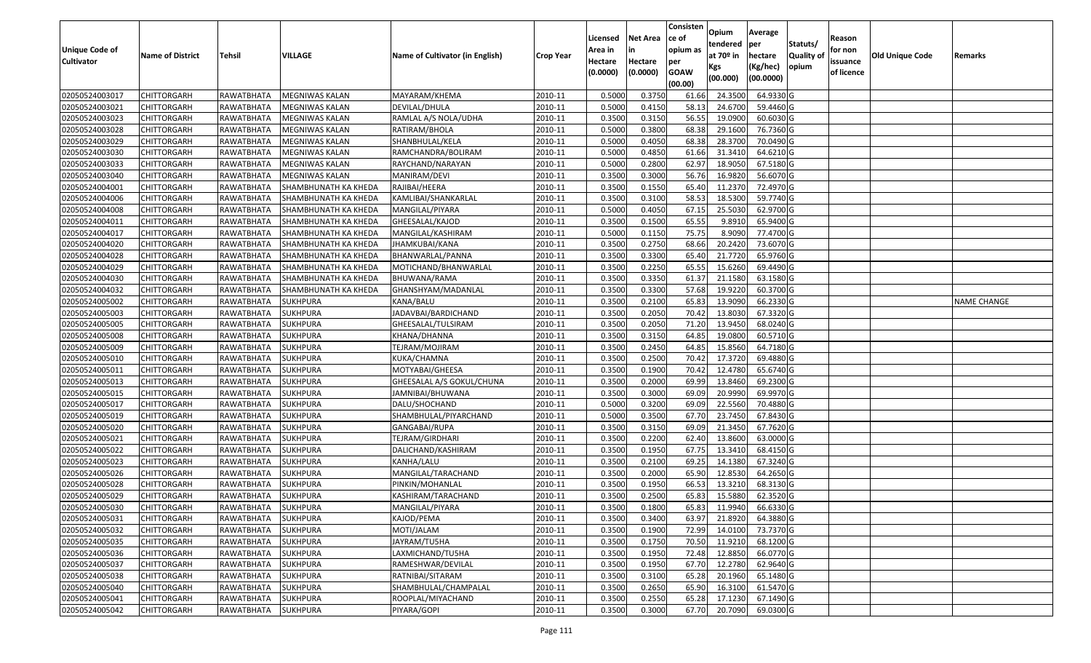| <b>Unique Code of</b><br><b>Cultivator</b> | <b>Name of District</b> | Tehsil     | VILLAGE              | Name of Cultivator (in English) | <b>Crop Year</b> | Licensed<br>Area in<br>Hectare<br>(0.0000) | <b>Net Area</b><br>in<br>Hectare<br>(0.0000) | Consisten<br>ce of<br>opium as<br>per<br><b>GOAW</b><br>(00.00) | Opium<br>tendered<br>at 70º in<br>Kgs<br>(00.000) | Average<br>per<br>hectare<br>(Kg/hec)<br>(00.0000) | Statuts/<br>Quality of<br>opium | Reason<br>for non<br>issuance<br>of licence | <b>Old Unique Code</b> | Remarks            |
|--------------------------------------------|-------------------------|------------|----------------------|---------------------------------|------------------|--------------------------------------------|----------------------------------------------|-----------------------------------------------------------------|---------------------------------------------------|----------------------------------------------------|---------------------------------|---------------------------------------------|------------------------|--------------------|
| 02050524003017                             | <b>CHITTORGARH</b>      | RAWATBHATA | MEGNIWAS KALAN       | MAYARAM/KHEMA                   | 2010-11          | 0.5000                                     | 0.3750                                       | 61.66                                                           | 24.3500                                           | 64.9330 G                                          |                                 |                                             |                        |                    |
| 02050524003021                             | CHITTORGARH             | RAWATBHATA | MEGNIWAS KALAN       | DEVILAL/DHULA                   | 2010-11          | 0.5000                                     | 0.4150                                       | 58.13                                                           | 24.6700                                           | 59.4460 G                                          |                                 |                                             |                        |                    |
| 02050524003023                             | CHITTORGARH             | RAWATBHATA | MEGNIWAS KALAN       | RAMLAL A/S NOLA/UDHA            | 2010-11          | 0.3500                                     | 0.3150                                       | 56.55                                                           | 19.0900                                           | 60.6030 G                                          |                                 |                                             |                        |                    |
| 02050524003028                             | <b>CHITTORGARH</b>      | RAWATBHATA | MEGNIWAS KALAN       | RATIRAM/BHOLA                   | 2010-11          | 0.5000                                     | 0.3800                                       | 68.38                                                           | 29.1600                                           | 76.7360 G                                          |                                 |                                             |                        |                    |
| 02050524003029                             | <b>CHITTORGARH</b>      | RAWATBHATA | MEGNIWAS KALAN       | SHANBHULAL/KELA                 | 2010-11          | 0.5000                                     | 0.4050                                       | 68.38                                                           | 28.3700                                           | 70.0490 G                                          |                                 |                                             |                        |                    |
| 02050524003030                             | <b>CHITTORGARH</b>      | RAWATBHATA | MEGNIWAS KALAN       | RAMCHANDRA/BOLIRAM              | 2010-11          | 0.5000                                     | 0.4850                                       | 61.66                                                           | 31.3410                                           | 64.6210 G                                          |                                 |                                             |                        |                    |
| 02050524003033                             | CHITTORGARH             | RAWATBHATA | MEGNIWAS KALAN       | RAYCHAND/NARAYAN                | 2010-11          | 0.5000                                     | 0.2800                                       | 62.97                                                           | 18.9050                                           | 67.5180 G                                          |                                 |                                             |                        |                    |
| 02050524003040                             | <b>CHITTORGARH</b>      | RAWATBHATA | MEGNIWAS KALAN       | MANIRAM/DEVI                    | 2010-11          | 0.3500                                     | 0.3000                                       | 56.76                                                           | 16.9820                                           | 56.6070 G                                          |                                 |                                             |                        |                    |
| 02050524004001                             | <b>CHITTORGARH</b>      | RAWATBHATA | SHAMBHUNATH KA KHEDA | RAJIBAI/HEERA                   | 2010-11          | 0.3500                                     | 0.1550                                       | 65.40                                                           | 11.2370                                           | 72.4970 G                                          |                                 |                                             |                        |                    |
| 02050524004006                             | <b>CHITTORGARH</b>      | RAWATBHATA | SHAMBHUNATH KA KHEDA | KAMLIBAI/SHANKARLAL             | 2010-11          | 0.3500                                     | 0.3100                                       | 58.53                                                           | 18.5300                                           | 59.7740 G                                          |                                 |                                             |                        |                    |
| 02050524004008                             | <b>CHITTORGARH</b>      | RAWATBHATA | SHAMBHUNATH KA KHEDA | MANGILAL/PIYARA                 | 2010-11          | 0.5000                                     | 0.4050                                       | 67.15                                                           | 25.5030                                           | 62.9700 G                                          |                                 |                                             |                        |                    |
| 02050524004011                             | <b>CHITTORGARH</b>      | RAWATBHATA | SHAMBHUNATH KA KHEDA | GHEESALAL/KAJOD                 | 2010-11          | 0.3500                                     | 0.1500                                       | 65.55                                                           | 9.8910                                            | 65.9400 G                                          |                                 |                                             |                        |                    |
| 02050524004017                             | <b>CHITTORGARH</b>      | RAWATBHATA | SHAMBHUNATH KA KHEDA | MANGILAL/KASHIRAM               | 2010-11          | 0.5000                                     | 0.1150                                       | 75.75                                                           | 8.9090                                            | 77.4700 G                                          |                                 |                                             |                        |                    |
| 02050524004020                             | <b>CHITTORGARH</b>      | RAWATBHATA | SHAMBHUNATH KA KHEDA | JHAMKUBAI/KANA                  | 2010-11          | 0.3500                                     | 0.2750                                       | 68.66                                                           | 20.2420                                           | 73.6070 G                                          |                                 |                                             |                        |                    |
| 02050524004028                             | <b>CHITTORGARH</b>      | RAWATBHATA | SHAMBHUNATH KA KHEDA | BHANWARLAL/PANNA                | 2010-11          | 0.3500                                     | 0.3300                                       | 65.40                                                           | 21.7720                                           | 65.9760 G                                          |                                 |                                             |                        |                    |
| 02050524004029                             | <b>CHITTORGARH</b>      | RAWATBHATA | SHAMBHUNATH KA KHEDA | MOTICHAND/BHANWARLAL            | 2010-11          | 0.3500                                     | 0.2250                                       | 65.55                                                           | 15.6260                                           | 69.4490 G                                          |                                 |                                             |                        |                    |
| 02050524004030                             | <b>CHITTORGARH</b>      | RAWATBHATA | SHAMBHUNATH KA KHEDA | BHUWANA/RAMA                    | 2010-11          | 0.3500                                     | 0.3350                                       | 61.37                                                           | 21.1580                                           | 63.1580 G                                          |                                 |                                             |                        |                    |
| 02050524004032                             | <b>CHITTORGARH</b>      | RAWATBHATA | SHAMBHUNATH KA KHEDA | GHANSHYAM/MADANLAL              | 2010-11          | 0.3500                                     | 0.3300                                       | 57.68                                                           | 19.9220                                           | 60.3700 G                                          |                                 |                                             |                        |                    |
| 02050524005002                             | <b>CHITTORGARH</b>      | RAWATBHATA | <b>SUKHPURA</b>      | KANA/BALU                       | 2010-11          | 0.3500                                     | 0.2100                                       | 65.83                                                           | 13.9090                                           | 66.2330 G                                          |                                 |                                             |                        | <b>NAME CHANGE</b> |
| 02050524005003                             | <b>CHITTORGARH</b>      | RAWATBHATA | <b>SUKHPURA</b>      | JADAVBAI/BARDICHAND             | 2010-11          | 0.3500                                     | 0.2050                                       | 70.42                                                           | 13.8030                                           | 67.3320 G                                          |                                 |                                             |                        |                    |
| 02050524005005                             | <b>CHITTORGARH</b>      | RAWATBHATA | <b>SUKHPURA</b>      | GHEESALAL/TULSIRAM              | 2010-11          | 0.3500                                     | 0.2050                                       | 71.20                                                           | 13.9450                                           | 68.0240 G                                          |                                 |                                             |                        |                    |
| 02050524005008                             | <b>CHITTORGARH</b>      | RAWATBHATA | <b>SUKHPURA</b>      | KHANA/DHANNA                    | 2010-11          | 0.3500                                     | 0.3150                                       | 64.85                                                           | 19.0800                                           | 60.5710 G                                          |                                 |                                             |                        |                    |
| 02050524005009                             | <b>CHITTORGARH</b>      | RAWATBHATA | <b>SUKHPURA</b>      | TEJRAM/MOJIRAM                  | 2010-11          | 0.3500                                     | 0.2450                                       | 64.85                                                           | 15.8560                                           | 64.7180 G                                          |                                 |                                             |                        |                    |
| 02050524005010                             | <b>CHITTORGARH</b>      | RAWATBHATA | <b>SUKHPURA</b>      | KUKA/CHAMNA                     | 2010-11          | 0.3500                                     | 0.2500                                       | 70.42                                                           | 17.3720                                           | 69.4880 G                                          |                                 |                                             |                        |                    |
| 02050524005011                             | <b>CHITTORGARH</b>      | RAWATBHATA | <b>SUKHPURA</b>      | MOTYABAI/GHEESA                 | 2010-11          | 0.3500                                     | 0.1900                                       | 70.42                                                           | 12.4780                                           | 65.6740 G                                          |                                 |                                             |                        |                    |
| 02050524005013                             | <b>CHITTORGARH</b>      | RAWATBHATA | <b>SUKHPURA</b>      | GHEESALAL A/S GOKUL/CHUNA       | 2010-11          | 0.3500                                     | 0.2000                                       | 69.99                                                           | 13.8460                                           | 69.2300 G                                          |                                 |                                             |                        |                    |
| 02050524005015                             | <b>CHITTORGARH</b>      | RAWATBHATA | <b>SUKHPURA</b>      | JAMNIBAI/BHUWANA                | 2010-11          | 0.3500                                     | 0.3000                                       | 69.09                                                           | 20.9990                                           | 69.9970 G                                          |                                 |                                             |                        |                    |
| 02050524005017                             | CHITTORGARH             | RAWATBHATA | <b>SUKHPURA</b>      | DALU/SHOCHAND                   | 2010-11          | 0.5000                                     | 0.3200                                       | 69.09                                                           | 22.5560                                           | 70.4880 G                                          |                                 |                                             |                        |                    |
| 02050524005019                             | <b>CHITTORGARH</b>      | RAWATBHATA | <b>SUKHPURA</b>      | SHAMBHULAL/PIYARCHAND           | 2010-11          | 0.5000                                     | 0.3500                                       | 67.70                                                           | 23.7450                                           | 67.8430 G                                          |                                 |                                             |                        |                    |
| 02050524005020                             | <b>CHITTORGARH</b>      | RAWATBHATA | <b>SUKHPURA</b>      | GANGABAI/RUPA                   | 2010-11          | 0.3500                                     | 0.3150                                       | 69.09                                                           | 21.3450                                           | 67.7620 G                                          |                                 |                                             |                        |                    |
| 02050524005021                             | <b>CHITTORGARH</b>      | RAWATBHATA | <b>SUKHPURA</b>      | TEJRAM/GIRDHARI                 | 2010-11          | 0.3500                                     | 0.2200                                       | 62.40                                                           | 13.8600                                           | 63.0000 G                                          |                                 |                                             |                        |                    |
| 02050524005022                             | <b>CHITTORGARH</b>      | RAWATBHATA | <b>SUKHPURA</b>      | DALICHAND/KASHIRAM              | 2010-11          | 0.3500                                     | 0.1950                                       | 67.75                                                           | 13.3410                                           | 68.4150 G                                          |                                 |                                             |                        |                    |
| 02050524005023                             | <b>CHITTORGARH</b>      | RAWATBHATA | <b>SUKHPURA</b>      | KANHA/LALU                      | 2010-11          | 0.3500                                     | 0.2100                                       | 69.25                                                           | 14.1380                                           | 67.3240 G                                          |                                 |                                             |                        |                    |
| 02050524005026                             | <b>CHITTORGARH</b>      | RAWATBHATA | <b>SUKHPURA</b>      | MANGILAL/TARACHAND              | 2010-11          | 0.3500                                     | 0.2000                                       | 65.90                                                           | 12.8530                                           | 64.2650 G                                          |                                 |                                             |                        |                    |
| 02050524005028                             | CHITTORGARH             | RAWATBHATA | <b>SUKHPURA</b>      | PINKIN/MOHANLAL                 | 2010-11          | 0.350                                      | 0.1950                                       | 66.53                                                           | 13.3210                                           | 68.3130 G                                          |                                 |                                             |                        |                    |
| 02050524005029                             | <b>CHITTORGARH</b>      | RAWATBHATA | <b>SUKHPURA</b>      | KASHIRAM/TARACHAND              | 2010-11          | 0.3500                                     | 0.2500                                       | 65.83                                                           | 15.5880                                           | 62.3520 G                                          |                                 |                                             |                        |                    |
| 02050524005030                             | <b>CHITTORGARH</b>      | RAWATBHATA | <b>SUKHPURA</b>      | MANGILAL/PIYARA                 | 2010-11          | 0.3500                                     | 0.1800                                       | 65.83                                                           | 11.9940                                           | 66.6330 G                                          |                                 |                                             |                        |                    |
| 02050524005031                             | <b>CHITTORGARH</b>      | RAWATBHATA | <b>SUKHPURA</b>      | KAJOD/PEMA                      | 2010-11          | 0.3500                                     | 0.3400                                       | 63.97                                                           | 21.8920                                           | 64.3880 G                                          |                                 |                                             |                        |                    |
| 02050524005032                             | <b>CHITTORGARH</b>      | RAWATBHATA | <b>SUKHPURA</b>      | MOTI/JALAM                      | 2010-11          | 0.3500                                     | 0.1900                                       | 72.99                                                           | 14.0100                                           | 73.7370 G                                          |                                 |                                             |                        |                    |
| 02050524005035                             | <b>CHITTORGARH</b>      | RAWATBHATA | <b>SUKHPURA</b>      | JAYRAM/TU5HA                    | 2010-11          | 0.3500                                     | 0.1750                                       | 70.50                                                           | 11.9210                                           | 68.1200 G                                          |                                 |                                             |                        |                    |
| 02050524005036                             | <b>CHITTORGARH</b>      | RAWATBHATA | <b>SUKHPURA</b>      | LAXMICHAND/TU5HA                | 2010-11          | 0.3500                                     | 0.1950                                       | 72.48                                                           | 12.8850                                           | 66.0770 G                                          |                                 |                                             |                        |                    |
| 02050524005037                             | <b>CHITTORGARH</b>      | RAWATBHATA | <b>SUKHPURA</b>      | RAMESHWAR/DEVILAL               | 2010-11          | 0.3500                                     | 0.1950                                       | 67.70                                                           | 12.2780                                           | 62.9640 G                                          |                                 |                                             |                        |                    |
| 02050524005038                             | <b>CHITTORGARH</b>      | RAWATBHATA | <b>SUKHPURA</b>      | RATNIBAI/SITARAM                | 2010-11          | 0.3500                                     | 0.3100                                       | 65.28                                                           | 20.1960                                           | 65.1480 G                                          |                                 |                                             |                        |                    |
| 02050524005040                             | <b>CHITTORGARH</b>      | RAWATBHATA | <b>SUKHPURA</b>      | SHAMBHULAL/CHAMPALAL            | 2010-11          | 0.3500                                     | 0.2650                                       | 65.90                                                           | 16.3100                                           | 61.5470 G                                          |                                 |                                             |                        |                    |
| 02050524005041                             | <b>CHITTORGARH</b>      | RAWATBHATA | <b>SUKHPURA</b>      | ROOPLAL/MIYACHAND               | 2010-11          | 0.3500                                     | 0.2550                                       | 65.28                                                           | 17.1230                                           | 67.1490 G                                          |                                 |                                             |                        |                    |
| 02050524005042                             | <b>CHITTORGARH</b>      | RAWATBHATA | SUKHPURA             | PIYARA/GOPI                     | 2010-11          | 0.3500                                     | 0.3000                                       | 67.70                                                           | 20.7090                                           | 69.0300 G                                          |                                 |                                             |                        |                    |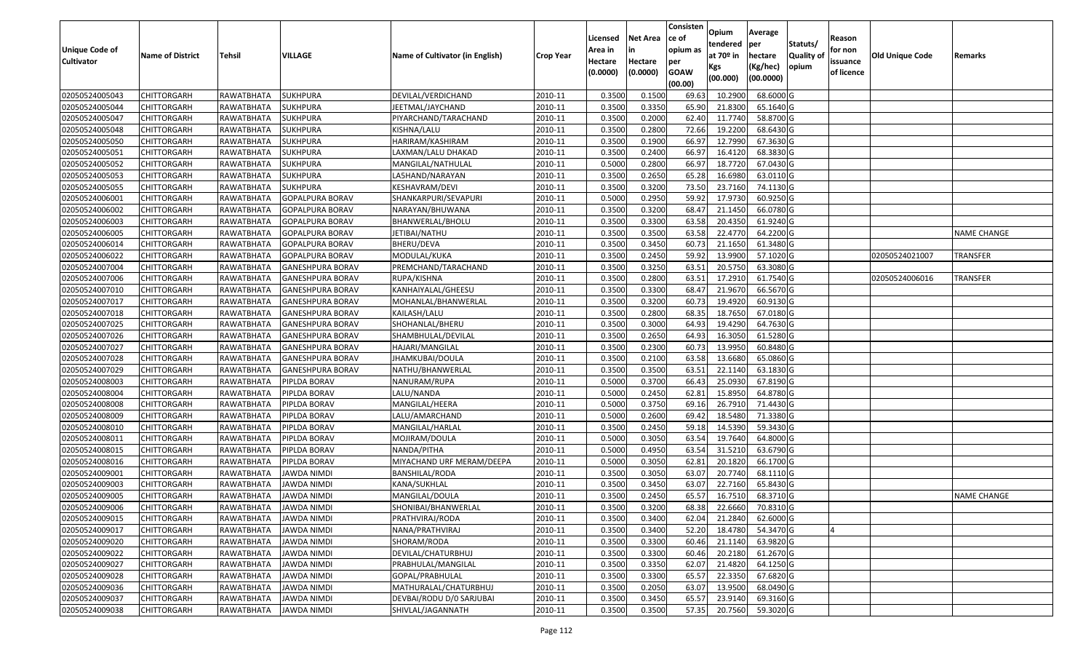| <b>Unique Code of</b> | <b>Name of District</b> | Tehsil                 | VILLAGE                 | Name of Cultivator (in English) | <b>Crop Year</b> | Licensed<br>Area in | <b>Net Area</b><br>in | Consisten<br>lce of<br>opium as | Opium<br>tendered<br>at $70°$ in | Average<br>per<br>hectare | Statuts/<br><b>Quality o</b> | Reason<br>for non      | Old Unique Code | Remarks            |
|-----------------------|-------------------------|------------------------|-------------------------|---------------------------------|------------------|---------------------|-----------------------|---------------------------------|----------------------------------|---------------------------|------------------------------|------------------------|-----------------|--------------------|
| <b>Cultivator</b>     |                         |                        |                         |                                 |                  | Hectare<br>(0.0000) | Hectare<br>(0.0000)   | per<br><b>GOAW</b><br>(00.00)   | Kgs<br>(00.000)                  | (Kg/hec)<br>(00.0000)     | opium                        | issuance<br>of licence |                 |                    |
| 02050524005043        | <b>CHITTORGARH</b>      | RAWATBHATA             | <b>SUKHPURA</b>         | DEVILAL/VERDICHAND              | 2010-11          | 0.3500              | 0.1500                | 69.63                           | 10.2900                          | 68.6000 G                 |                              |                        |                 |                    |
| 02050524005044        | <b>CHITTORGARH</b>      | RAWATBHATA             | <b>SUKHPURA</b>         | JEETMAL/JAYCHAND                | 2010-11          | 0.3500              | 0.3350                | 65.90                           | 21.8300                          | 65.1640 G                 |                              |                        |                 |                    |
| 02050524005047        | <b>CHITTORGARH</b>      | RAWATBHATA             | <b>SUKHPURA</b>         | PIYARCHAND/TARACHAND            | 2010-11          | 0.3500              | 0.2000                | 62.40                           | 11.7740                          | 58.8700 G                 |                              |                        |                 |                    |
| 02050524005048        | <b>CHITTORGARH</b>      | RAWATBHATA             | <b>SUKHPURA</b>         | KISHNA/LALU                     | 2010-11          | 0.3500              | 0.2800                | 72.66                           | 19.2200                          | 68.6430 G                 |                              |                        |                 |                    |
| 02050524005050        | <b>CHITTORGARH</b>      | RAWATBHATA             | <b>SUKHPURA</b>         | HARIRAM/KASHIRAM                | 2010-11          | 0.3500              | 0.1900                | 66.97                           | 12.7990                          | 67.3630 G                 |                              |                        |                 |                    |
| 02050524005051        | <b>CHITTORGARH</b>      | RAWATBHATA             | <b>SUKHPURA</b>         | LAXMAN/LALU DHAKAD              | 2010-11          | 0.3500              | 0.2400                | 66.97                           | 16.4120                          | 68.3830 G                 |                              |                        |                 |                    |
| 02050524005052        | CHITTORGARH             | RAWATBHATA             | <b>SUKHPURA</b>         | MANGILAL/NATHULAL               | 2010-11          | 0.5000              | 0.2800                | 66.97                           | 18.7720                          | 67.0430 G                 |                              |                        |                 |                    |
| 02050524005053        | <b>CHITTORGARH</b>      | RAWATBHATA             | <b>SUKHPURA</b>         | LA5HAND/NARAYAN                 | 2010-11          | 0.3500              | 0.2650                | 65.28                           | 16.6980                          | 63.0110 G                 |                              |                        |                 |                    |
| 02050524005055        | <b>CHITTORGARH</b>      | RAWATBHATA             | <b>SUKHPURA</b>         | KESHAVRAM/DEVI                  | 2010-11          | 0.3500              | 0.3200                | 73.50                           | 23.7160                          | 74.1130 G                 |                              |                        |                 |                    |
| 02050524006001        | <b>CHITTORGARH</b>      | RAWATBHATA             | GOPALPURA BORAV         | SHANKARPURI/SEVAPURI            | 2010-11          | 0.5000              | 0.2950                | 59.92                           | 17.9730                          | 60.9250 G                 |                              |                        |                 |                    |
| 02050524006002        | <b>CHITTORGARH</b>      | RAWATBHATA             | GOPALPURA BORAV         | NARAYAN/BHUWANA                 | 2010-11          | 0.3500              | 0.3200                | 68.47                           | 21.1450                          | 66.0780 G                 |                              |                        |                 |                    |
| 02050524006003        | <b>CHITTORGARH</b>      | RAWATBHATA             | GOPALPURA BORAV         | BHANWERLAL/BHOLU                | 2010-11          | 0.3500              | 0.3300                | 63.58                           | 20.4350                          | 61.9240 G                 |                              |                        |                 |                    |
| 02050524006005        | <b>CHITTORGARH</b>      | RAWATBHATA             | GOPALPURA BORAV         | JETIBAI/NATHU                   | 2010-11          | 0.3500              | 0.3500                | 63.58                           | 22.4770                          | 64.2200 G                 |                              |                        |                 | <b>NAME CHANGE</b> |
| 02050524006014        | <b>CHITTORGARH</b>      | RAWATBHATA             | <b>GOPALPURA BORAV</b>  | BHERU/DEVA                      | 2010-11          | 0.3500              | 0.3450                | 60.73                           | 21.1650                          | 61.3480 G                 |                              |                        |                 |                    |
| 02050524006022        | CHITTORGARH             | RAWATBHATA             | <b>GOPALPURA BORAV</b>  | MODULAL/KUKA                    | 2010-11          | 0.3500              | 0.2450                | 59.92                           | 13.9900                          | 57.1020 G                 |                              |                        | 02050524021007  | TRANSFER           |
| 02050524007004        | <b>CHITTORGARH</b>      | RAWATBHATA             | <b>GANESHPURA BORAV</b> | PREMCHAND/TARACHAND             | 2010-11          | 0.3500              | 0.3250                | 63.5                            | 20.5750                          | 63.3080 G                 |                              |                        |                 |                    |
| 02050524007006        | <b>CHITTORGARH</b>      | RAWATBHATA             | <b>GANESHPURA BORAV</b> | RUPA/KISHNA                     | 2010-11          | 0.3500              | 0.2800                | 63.5                            | 17.2910                          | 61.7540 G                 |                              |                        | 02050524006016  | <b>TRANSFER</b>    |
| 02050524007010        | <b>CHITTORGARH</b>      | RAWATBHATA             | <b>GANESHPURA BORAV</b> | KANHAIYALAL/GHEESU              | 2010-11          | 0.3500              | 0.3300                | 68.47                           | 21.9670                          | 66.5670 G                 |                              |                        |                 |                    |
| 02050524007017        | <b>CHITTORGARH</b>      | RAWATBHATA             | <b>GANESHPURA BORAV</b> | MOHANLAL/BHANWERLAL             | 2010-11          | 0.3500              | 0.3200                | 60.73                           | 19.4920                          | 60.9130 G                 |                              |                        |                 |                    |
| 02050524007018        | <b>CHITTORGARH</b>      | RAWATBHATA             | <b>GANESHPURA BORAV</b> | KAILASH/LALU                    | 2010-11          | 0.3500              | 0.2800                | 68.35                           | 18.7650                          | 67.0180 G                 |                              |                        |                 |                    |
| 02050524007025        | <b>CHITTORGARH</b>      | RAWATBHATA             | <b>GANESHPURA BORAV</b> | SHOHANLAL/BHERU                 | 2010-11          | 0.3500              | 0.3000                | 64.93                           | 19.4290                          | 64.7630 G                 |                              |                        |                 |                    |
| 02050524007026        | <b>CHITTORGARH</b>      | RAWATBHATA             | <b>GANESHPURA BORAV</b> | SHAMBHULAL/DEVILAL              | 2010-11          | 0.3500              | 0.2650                | 64.93                           | 16.3050                          | 61.5280 G                 |                              |                        |                 |                    |
| 02050524007027        | <b>CHITTORGARH</b>      | RAWATBHATA             | <b>GANESHPURA BORAV</b> | HAJARI/MANGILAL                 | 2010-11          | 0.3500              | 0.2300                | 60.7                            | 13.9950                          | 60.8480 G                 |                              |                        |                 |                    |
| 02050524007028        | <b>CHITTORGARH</b>      | RAWATBHATA             | <b>GANESHPURA BORAV</b> | JHAMKUBAI/DOULA                 | 2010-11          | 0.3500              | 0.2100                | 63.58                           | 13.6680                          | 65.0860 G                 |                              |                        |                 |                    |
| 02050524007029        | <b>CHITTORGARH</b>      | RAWATBHATA             | <b>GANESHPURA BORAV</b> | NATHU/BHANWERLAL                | 2010-11          | 0.3500              | 0.3500                | 63.5                            | 22.1140                          | 63.1830 G                 |                              |                        |                 |                    |
| 02050524008003        | <b>CHITTORGARH</b>      | RAWATBHATA             | PIPLDA BORAV            | NANURAM/RUPA                    | 2010-11          | 0.5000              | 0.3700                | 66.43                           | 25.0930                          | 67.8190 G                 |                              |                        |                 |                    |
| 02050524008004        | <b>CHITTORGARH</b>      | RAWATBHATA             | PIPLDA BORAV            | LALU/NANDA                      | 2010-11          | 0.5000              | 0.2450                | 62.8                            | 15.8950                          | 64.8780 G                 |                              |                        |                 |                    |
| 02050524008008        | <b>CHITTORGARH</b>      | RAWATBHATA             | PIPLDA BORAV            | MANGILAL/HEERA                  | 2010-11          | 0.5000              | 0.3750                | 69.16                           | 26.7910                          | 71.4430 G                 |                              |                        |                 |                    |
| 02050524008009        | <b>CHITTORGARH</b>      | RAWATBHATA             | PIPLDA BORAV            | LALU/AMARCHAND                  | 2010-11          | 0.5000              | 0.2600                | 69.42                           | 18.5480                          | 71.3380 G                 |                              |                        |                 |                    |
| 02050524008010        | <b>CHITTORGARH</b>      | RAWATBHATA             | PIPLDA BORAV            | MANGILAL/HARLAL                 | 2010-11          | 0.3500              | 0.2450                | 59.18                           | 14.5390                          | 59.3430 G                 |                              |                        |                 |                    |
| 02050524008011        | <b>CHITTORGARH</b>      | RAWATBHATA             | PIPLDA BORAV            | MOJIRAM/DOULA                   | 2010-11          | 0.5000              | 0.3050                | 63.54                           | 19.7640                          | 64.8000 G                 |                              |                        |                 |                    |
| 02050524008015        | CHITTORGARH             | RAWATBHATA             | PIPLDA BORAV            | NANDA/PITHA                     | 2010-11          | 0.5000              | 0.4950                | 63.54                           | 31.5210                          | 63.6790 G                 |                              |                        |                 |                    |
| 02050524008016        | <b>CHITTORGARH</b>      | RAWATBHATA             | PIPLDA BORAV            | MIYACHAND URF MERAM/DEEPA       | 2010-11          | 0.5000              | 0.3050                | 62.81                           | 20.1820                          | 66.1700 G                 |                              |                        |                 |                    |
| 02050524009001        | <b>CHITTORGARH</b>      | RAWATBHATA             | JAWDA NIMDI             | BANSHILAL/RODA                  | 2010-11          | 0.3500              | 0.3050                | 63.07                           | 20.7740                          | 68.1110 G                 |                              |                        |                 |                    |
| 02050524009003        | CHITTORGARH             | RAWATBHATA             | JAWDA NIMDI             | KANA/SUKHLAL                    | 2010-11          | 0.3500              | 0.3450                | 63.07                           | 22.7160                          | 65.8430 G                 |                              |                        |                 |                    |
| 02050524009005        | <b>CHITTORGARH</b>      | RAWATBHATA             | JAWDA NIMDI             | MANGILAL/DOULA                  | 2010-11          | 0.3500              | 0.2450                | 65.57                           | 16.7510                          | 68.3710 G                 |                              |                        |                 | <b>NAME CHANGE</b> |
| 02050524009006        | <b>CHITTORGARH</b>      | RAWATBHATA JAWDA NIMDI |                         | SHONIBAI/BHANWERLAL             | 2010-11          | 0.3500              | 0.3200                | 68.38                           | 22.6660                          | 70.8310 G                 |                              |                        |                 |                    |
| 02050524009015        | <b>CHITTORGARH</b>      | RAWATBHATA             | <b>JAWDA NIMDI</b>      | PRATHVIRAJ/RODA                 | 2010-11          | 0.3500              | 0.3400                | 62.04                           | 21.2840                          | 62.6000 G                 |                              |                        |                 |                    |
| 02050524009017        | CHITTORGARH             | RAWATBHATA             | JAWDA NIMDI             | NANA/PRATHVIRAJ                 | 2010-11          | 0.3500              | 0.3400                | 52.20                           | 18.4780                          | 54.3470 G                 |                              |                        |                 |                    |
| 02050524009020        | <b>CHITTORGARH</b>      | RAWATBHATA             | <b>JAWDA NIMDI</b>      | SHORAM/RODA                     | 2010-11          | 0.3500              | 0.3300                | 60.46                           | 21.1140                          | 63.9820 G                 |                              |                        |                 |                    |
| 02050524009022        | <b>CHITTORGARH</b>      | RAWATBHATA             | <b>JAWDA NIMDI</b>      | DEVILAL/CHATURBHUJ              | 2010-11          | 0.3500              | 0.3300                | 60.46                           | 20.2180                          | 61.2670 G                 |                              |                        |                 |                    |
| 02050524009027        | <b>CHITTORGARH</b>      | RAWATBHATA             | <b>JAWDA NIMDI</b>      | PRABHULAL/MANGILAL              | 2010-11          | 0.3500              | 0.3350                | 62.07                           | 21.4820                          | 64.1250 G                 |                              |                        |                 |                    |
| 02050524009028        | <b>CHITTORGARH</b>      | RAWATBHATA             | <b>JAWDA NIMDI</b>      | GOPAL/PRABHULAL                 | 2010-11          | 0.3500              | 0.3300                | 65.57                           | 22.3350                          | 67.6820 G                 |                              |                        |                 |                    |
| 02050524009036        | <b>CHITTORGARH</b>      | RAWATBHATA             | JAWDA NIMDI             | MATHURALAL/CHATURBHUJ           | 2010-11          | 0.3500              | 0.2050                | 63.07                           | 13.9500                          | 68.0490 G                 |                              |                        |                 |                    |
| 02050524009037        | <b>CHITTORGARH</b>      | RAWATBHATA             | <b>JAWDA NIMDI</b>      | DEVBAI/RODU D/0 SARJUBAI        | 2010-11          | 0.3500              | 0.3450                | 65.57                           | 23.9140                          | 69.3160 G                 |                              |                        |                 |                    |
| 02050524009038        | <b>CHITTORGARH</b>      | RAWATBHATA             | JAWDA NIMDI             | SHIVLAL/JAGANNATH               | 2010-11          | 0.3500              | 0.3500                | 57.35                           | 20.7560                          | 59.3020 G                 |                              |                        |                 |                    |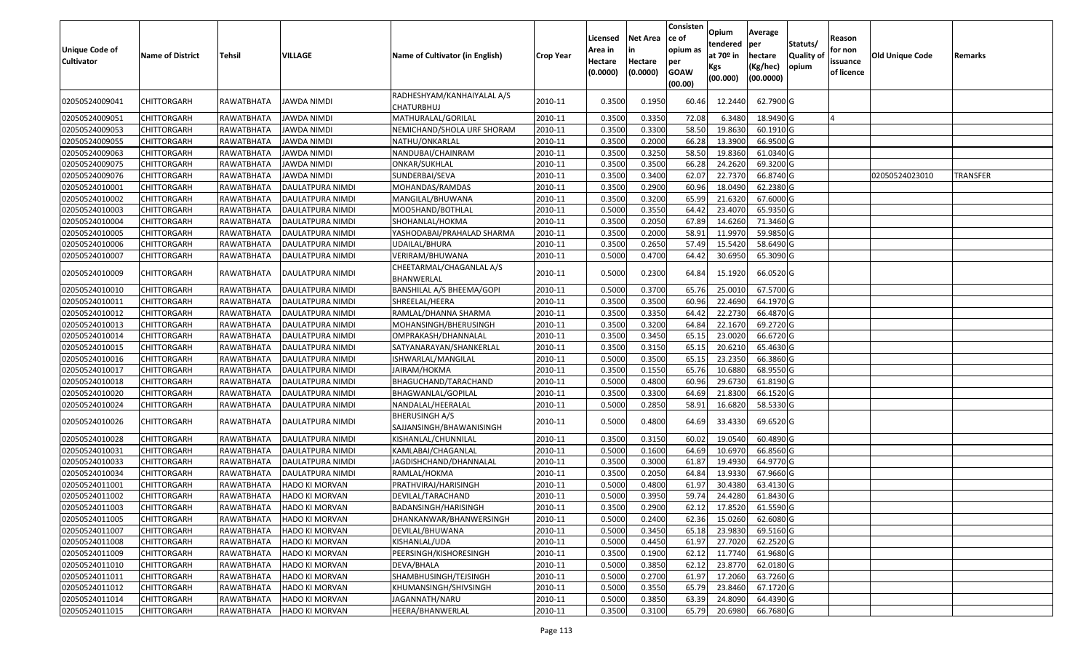| <b>Unique Code of</b><br><b>Cultivator</b> | <b>Name of District</b> | Tehsil            | VILLAGE               | Name of Cultivator (in English)                   | <b>Crop Year</b> | Licensed<br>Area in<br>Hectare<br>(0.0000) | <b>Net Area</b><br>in<br>Hectare<br>(0.0000) | Consisten<br>lce of<br>opium as<br>per<br><b>GOAW</b><br>(00.00) | Opium<br>tendered<br>at $70°$ in<br>Kgs<br>(00.000) | Average<br>per<br>hectare<br>(Kg/hec)<br>(00.0000) | Statuts/<br><b>Quality o</b><br>opium | Reason<br>for non<br>issuance<br>of licence | Old Unique Code | Remarks         |
|--------------------------------------------|-------------------------|-------------------|-----------------------|---------------------------------------------------|------------------|--------------------------------------------|----------------------------------------------|------------------------------------------------------------------|-----------------------------------------------------|----------------------------------------------------|---------------------------------------|---------------------------------------------|-----------------|-----------------|
| 02050524009041                             | CHITTORGARH             | RAWATBHATA        | JAWDA NIMDI           | RADHESHYAM/KANHAIYALAL A/S<br>CHATURBHUJ          | 2010-11          | 0.3500                                     | 0.1950                                       | 60.46                                                            | 12.2440                                             | 62.7900 G                                          |                                       |                                             |                 |                 |
| 02050524009051                             | <b>CHITTORGARH</b>      | RAWATBHATA        | JAWDA NIMDI           | MATHURALAL/GORILAL                                | 2010-11          | 0.3500                                     | 0.3350                                       | 72.08                                                            | 6.3480                                              | 18.9490 G                                          |                                       |                                             |                 |                 |
| 02050524009053                             | <b>CHITTORGARH</b>      | RAWATBHATA        | JAWDA NIMDI           | NEMICHAND/SHOLA URF SHORAM                        | 2010-11          | 0.3500                                     | 0.3300                                       | 58.50                                                            | 19.8630                                             | 60.1910 G                                          |                                       |                                             |                 |                 |
| 02050524009055                             | <b>CHITTORGARH</b>      | RAWATBHATA        | JAWDA NIMDI           | NATHU/ONKARLAL                                    | 2010-11          | 0.3500                                     | 0.2000                                       | 66.28                                                            | 13.3900                                             | 66.9500 G                                          |                                       |                                             |                 |                 |
| 02050524009063                             | <b>CHITTORGARH</b>      | RAWATBHATA        | <b>JAWDA NIMDI</b>    | NANDUBAI/CHAINRAM                                 | 2010-11          | 0.3500                                     | 0.3250                                       | 58.50                                                            | 19.8360                                             | 61.0340 G                                          |                                       |                                             |                 |                 |
| 02050524009075                             | CHITTORGARH             | RAWATBHATA        | JAWDA NIMDI           | ONKAR/SUKHLAL                                     | 2010-11          | 0.3500                                     | 0.3500                                       | 66.28                                                            | 24.2620                                             | 69.3200 G                                          |                                       |                                             |                 |                 |
| 02050524009076                             | <b>CHITTORGARH</b>      | RAWATBHATA        | JAWDA NIMDI           | SUNDERBAI/SEVA                                    | 2010-11          | 0.3500                                     | 0.3400                                       | 62.07                                                            | 22.7370                                             | 66.8740 G                                          |                                       |                                             | 02050524023010  | <b>TRANSFER</b> |
| 02050524010001                             | <b>CHITTORGARH</b>      | RAWATBHATA        | DAULATPURA NIMDI      | MOHANDAS/RAMDAS                                   | 2010-11          | 0.3500                                     | 0.2900                                       | 60.96                                                            | 18.0490                                             | 62.2380 G                                          |                                       |                                             |                 |                 |
| 02050524010002                             | <b>CHITTORGARH</b>      | RAWATBHATA        | DAULATPURA NIMDI      | MANGILAL/BHUWANA                                  | 2010-11          | 0.3500                                     | 0.3200                                       | 65.99                                                            | 21.6320                                             | 67.6000 G                                          |                                       |                                             |                 |                 |
| 02050524010003                             | <b>CHITTORGARH</b>      | RAWATBHATA        | DAULATPURA NIMDI      | MOO5HAND/BOTHLAL                                  | 2010-11          | 0.5000                                     | 0.3550                                       | 64.42                                                            | 23.4070                                             | 65.9350 G                                          |                                       |                                             |                 |                 |
| 02050524010004                             | <b>CHITTORGARH</b>      | RAWATBHATA        | DAULATPURA NIMDI      | SHOHANLAL/HOKMA                                   | 2010-11          | 0.3500                                     | 0.2050                                       | 67.89                                                            | 14.6260                                             | 71.3460 G                                          |                                       |                                             |                 |                 |
| 02050524010005                             | <b>CHITTORGARH</b>      | RAWATBHATA        | DAULATPURA NIMDI      | YASHODABAI/PRAHALAD SHARMA                        | 2010-11          | 0.3500                                     | 0.2000                                       | 58.91                                                            | 11.9970                                             | 59.9850 G                                          |                                       |                                             |                 |                 |
| 02050524010006                             | <b>CHITTORGARH</b>      | RAWATBHATA        | DAULATPURA NIMDI      | UDAILAL/BHURA                                     | 2010-11          | 0.3500                                     | 0.2650                                       | 57.49                                                            | 15.5420                                             | 58.6490 G                                          |                                       |                                             |                 |                 |
| 02050524010007                             | <b>CHITTORGARH</b>      | RAWATBHATA        | DAULATPURA NIMDI      | VERIRAM/BHUWANA                                   | 2010-11          | 0.5000                                     | 0.4700                                       | 64.42                                                            | 30.6950                                             | 65.3090 G                                          |                                       |                                             |                 |                 |
| 02050524010009                             | <b>CHITTORGARH</b>      | RAWATBHATA        | DAULATPURA NIMDI      | CHEETARMAL/CHAGANLAL A/S<br>BHANWERLAL            | 2010-11          | 0.5000                                     | 0.2300                                       | 64.84                                                            | 15.1920                                             | 66.0520 G                                          |                                       |                                             |                 |                 |
| 02050524010010                             | CHITTORGARH             | RAWATBHATA        | DAULATPURA NIMDI      | BANSHILAL A/S BHEEMA/GOPI                         | 2010-11          | 0.5000                                     | 0.3700                                       | 65.76                                                            | 25.001                                              | 67.5700 G                                          |                                       |                                             |                 |                 |
| 02050524010011                             | CHITTORGARH             | RAWATBHATA        | DAULATPURA NIMDI      | SHREELAL/HEERA                                    | 2010-11          | 0.3500                                     | 0.3500                                       | 60.96                                                            | 22.4690                                             | 64.1970 G                                          |                                       |                                             |                 |                 |
| 02050524010012                             | <b>CHITTORGARH</b>      | RAWATBHATA        | DAULATPURA NIMDI      | RAMLAL/DHANNA SHARMA                              | 2010-11          | 0.3500                                     | 0.3350                                       | 64.42                                                            | 22.2730                                             | 66.4870 G                                          |                                       |                                             |                 |                 |
| 02050524010013                             | <b>CHITTORGARH</b>      | RAWATBHATA        | DAULATPURA NIMDI      | MOHANSINGH/BHERUSINGH                             | 2010-11          | 0.3500                                     | 0.3200                                       | 64.84                                                            | 22.1670                                             | 69.2720 G                                          |                                       |                                             |                 |                 |
| 02050524010014                             | <b>CHITTORGARH</b>      | RAWATBHATA        | DAULATPURA NIMDI      | OMPRAKASH/DHANNALAL                               | 2010-11          | 0.3500                                     | 0.3450                                       | 65.15                                                            | 23.0020                                             | 66.6720 G                                          |                                       |                                             |                 |                 |
| 02050524010015                             | <b>CHITTORGARH</b>      | RAWATBHATA        | DAULATPURA NIMDI      | SATYANARAYAN/SHANKERLAL                           | 2010-11          | 0.3500                                     | 0.3150                                       | 65.15                                                            | 20.6210                                             | 65.4630 G                                          |                                       |                                             |                 |                 |
| 02050524010016                             | <b>CHITTORGARH</b>      | RAWATBHATA        | DAULATPURA NIMDI      | ISHWARLAL/MANGILAL                                | 2010-11          | 0.5000                                     | 0.3500                                       | 65.15                                                            | 23.2350                                             | 66.3860 G                                          |                                       |                                             |                 |                 |
| 02050524010017                             | <b>CHITTORGARH</b>      | RAWATBHATA        | DAULATPURA NIMDI      | JAIRAM/HOKMA                                      | 2010-11          | 0.3500                                     | 0.1550                                       | 65.76                                                            | 10.6880                                             | 68.9550 G                                          |                                       |                                             |                 |                 |
| 02050524010018                             | <b>CHITTORGARH</b>      | RAWATBHATA        | DAULATPURA NIMDI      | BHAGUCHAND/TARACHAND                              | 2010-11          | 0.5000                                     | 0.4800                                       | 60.96                                                            | 29.6730                                             | 61.8190 G                                          |                                       |                                             |                 |                 |
| 02050524010020                             | <b>CHITTORGARH</b>      | RAWATBHATA        | DAULATPURA NIMDI      | BHAGWANLAL/GOPILAL                                | 2010-11          | 0.3500                                     | 0.3300                                       | 64.69                                                            | 21.8300                                             | 66.1520 G                                          |                                       |                                             |                 |                 |
| 02050524010024                             | CHITTORGARH             | RAWATBHATA        | DAULATPURA NIMDI      | NANDALAL/HEERALAL                                 | 2010-11          | 0.5000                                     | 0.2850                                       | 58.9                                                             | 16.6820                                             | 58.5330 G                                          |                                       |                                             |                 |                 |
| 02050524010026                             | <b>CHITTORGARH</b>      | RAWATBHATA        | DAULATPURA NIMDI      | <b>BHERUSINGH A/S</b><br>SAJJANSINGH/BHAWANISINGH | 2010-11          | 0.5000                                     | 0.4800                                       | 64.69                                                            | 33.4330                                             | 69.6520 G                                          |                                       |                                             |                 |                 |
| 02050524010028                             | <b>CHITTORGARH</b>      | RAWATBHATA        | DAULATPURA NIMDI      | KISHANLAL/CHUNNILAL                               | 2010-11          | 0.3500                                     | 0.3150                                       | 60.02                                                            | 19.0540                                             | 60.4890 G                                          |                                       |                                             |                 |                 |
| 02050524010031                             | <b>CHITTORGARH</b>      | RAWATBHATA        | DAULATPURA NIMDI      | KAMLABAI/CHAGANLAL                                | 2010-11          | 0.5000                                     | 0.1600                                       | 64.69                                                            | 10.6970                                             | 66.8560 G                                          |                                       |                                             |                 |                 |
| 02050524010033                             | <b>CHITTORGARH</b>      | RAWATBHATA        | DAULATPURA NIMDI      | JAGDISHCHAND/DHANNALAL                            | 2010-11          | 0.3500                                     | 0.3000                                       | 61.87                                                            | 19.4930                                             | 64.9770 G                                          |                                       |                                             |                 |                 |
| 02050524010034                             | <b>CHITTORGARH</b>      | RAWATBHATA        | DAULATPURA NIMDI      | RAMLAL/HOKMA                                      | 2010-11          | 0.3500                                     | 0.2050                                       | 64.84                                                            | 13.9330                                             | 67.9660 G                                          |                                       |                                             |                 |                 |
| 02050524011001                             | CHITTORGARH             | RAWATBHATA        | HADO KI MORVAN        | PRATHVIRAJ/HARISINGH                              | 2010-11          | 0.500                                      | 0.4800                                       | 61.97                                                            | 30.4380                                             | 63.4130 G                                          |                                       |                                             |                 |                 |
| 02050524011002                             | <b>CHITTORGARH</b>      | RAWATBHATA        | <b>HADO KI MORVAN</b> | DEVILAL/TARACHAND                                 | 2010-11          | 0.5000                                     | 0.3950                                       | 59.74                                                            | 24.4280                                             | 61.8430 G                                          |                                       |                                             |                 |                 |
| 02050524011003                             | <b>CHITTORGARH</b>      | RAWATBHATA        | <b>HADO KI MORVAN</b> | BADANSINGH/HARISINGH                              | 2010-11          | 0.3500                                     | 0.2900                                       |                                                                  | 62.12 17.8520                                       | 61.5590 G                                          |                                       |                                             |                 |                 |
| 02050524011005                             | <b>CHITTORGARH</b>      | RAWATBHATA        | HADO KI MORVAN        | DHANKANWAR/BHANWERSINGH                           | 2010-11          | 0.5000                                     | 0.2400                                       | 62.36                                                            | 15.0260                                             | 62.6080 G                                          |                                       |                                             |                 |                 |
| 02050524011007                             | <b>CHITTORGARH</b>      | RAWATBHATA        | HADO KI MORVAN        | DEVILAL/BHUWANA                                   | 2010-11          | 0.5000                                     | 0.3450                                       | 65.18                                                            | 23.9830                                             | 69.5160 G                                          |                                       |                                             |                 |                 |
| 02050524011008                             | <b>CHITTORGARH</b>      | RAWATBHATA        | HADO KI MORVAN        | KISHANLAL/UDA                                     | 2010-11          | 0.5000                                     | 0.4450                                       | 61.97                                                            | 27.7020                                             | 62.2520 G                                          |                                       |                                             |                 |                 |
| 02050524011009                             | <b>CHITTORGARH</b>      | RAWATBHATA        | HADO KI MORVAN        | PEERSINGH/KISHORESINGH                            | 2010-11          | 0.3500                                     | 0.1900                                       | 62.12                                                            | 11.7740                                             | 61.9680 G                                          |                                       |                                             |                 |                 |
| 02050524011010                             | <b>CHITTORGARH</b>      | RAWATBHATA        | <b>HADO KI MORVAN</b> | DEVA/BHALA                                        | 2010-11          | 0.5000                                     | 0.3850                                       | 62.12                                                            | 23.8770                                             | 62.0180 G                                          |                                       |                                             |                 |                 |
| 02050524011011                             | <b>CHITTORGARH</b>      | RAWATBHATA        | HADO KI MORVAN        | SHAMBHUSINGH/TEJSINGH                             | 2010-11          | 0.5000                                     | 0.2700                                       | 61.97                                                            | 17.2060                                             | 63.7260 G                                          |                                       |                                             |                 |                 |
| 02050524011012                             | <b>CHITTORGARH</b>      | <b>RAWATBHATA</b> | <b>HADO KI MORVAN</b> | KHUMANSINGH/SHIVSINGH                             | 2010-11          | 0.5000                                     | 0.3550                                       | 65.79                                                            | 23.8460                                             | 67.1720 G                                          |                                       |                                             |                 |                 |
| 02050524011014                             | CHITTORGARH             | RAWATBHATA        | HADO KI MORVAN        | JAGANNATH/NARU                                    | 2010-11          | 0.5000                                     | 0.3850                                       | 63.39                                                            | 24.8090                                             | 64.4390 G                                          |                                       |                                             |                 |                 |
| 02050524011015                             | <b>CHITTORGARH</b>      | RAWATBHATA        | HADO KI MORVAN        | HEERA/BHANWERLAL                                  | 2010-11          | 0.3500                                     | 0.3100                                       | 65.79                                                            | 20.6980                                             | 66.7680 G                                          |                                       |                                             |                 |                 |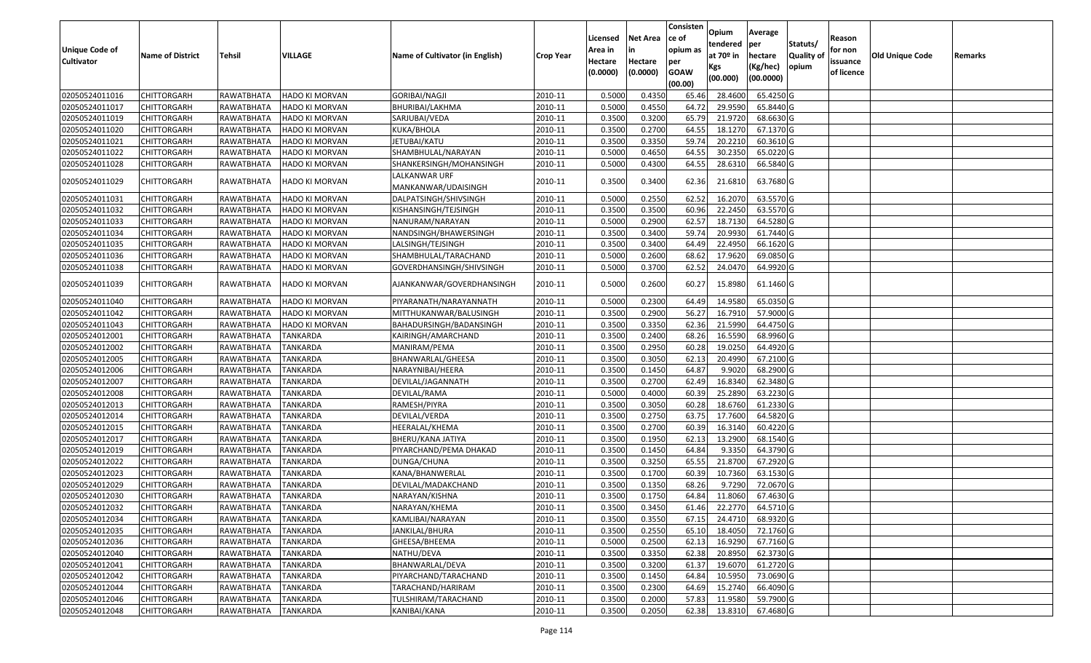| <b>Unique Code of</b><br><b>Cultivator</b> | <b>Name of District</b> | <b>Tehsil</b> | VILLAGE               | Name of Cultivator (in English)      | <b>Crop Year</b> | Licensed<br>Area in<br>Hectare<br>(0.0000) | <b>Net Area</b><br>in<br>Hectare<br>(0.0000) | Consisten<br>ce of<br>opium as<br>per<br><b>GOAW</b><br>(00.00) | Opium<br>tendered<br>at $70°$ in<br>Kgs<br>(00.000) | Average<br>per<br>hectare<br>(Kg/hec)<br>(00.0000) | Statuts/<br>Quality of<br>opium | Reason<br>for non<br>issuance<br>of licence | <b>Old Unique Code</b> | Remarks |
|--------------------------------------------|-------------------------|---------------|-----------------------|--------------------------------------|------------------|--------------------------------------------|----------------------------------------------|-----------------------------------------------------------------|-----------------------------------------------------|----------------------------------------------------|---------------------------------|---------------------------------------------|------------------------|---------|
| 02050524011016                             | <b>CHITTORGARH</b>      | RAWATBHATA    | HADO KI MORVAN        | <b>GORIBAI/NAGJI</b>                 | 2010-11          | 0.5000                                     | 0.4350                                       | 65.46                                                           | 28.4600                                             | 65.4250 G                                          |                                 |                                             |                        |         |
| 02050524011017                             | CHITTORGARH             | RAWATBHATA    | <b>HADO KI MORVAN</b> | BHURIBAI/LAKHMA                      | 2010-11          | 0.5000                                     | 0.4550                                       | 64.72                                                           | 29.9590                                             | 65.8440 G                                          |                                 |                                             |                        |         |
| 02050524011019                             | CHITTORGARH             | RAWATBHATA    | HADO KI MORVAN        | SARJUBAI/VEDA                        | 2010-11          | 0.3500                                     | 0.3200                                       | 65.79                                                           | 21.9720                                             | 68.6630 G                                          |                                 |                                             |                        |         |
| 02050524011020                             | <b>CHITTORGARH</b>      | RAWATBHATA    | HADO KI MORVAN        | KUKA/BHOLA                           | 2010-11          | 0.3500                                     | 0.2700                                       | 64.55                                                           | 18.1270                                             | 67.1370 G                                          |                                 |                                             |                        |         |
| 02050524011021                             | <b>CHITTORGARH</b>      | RAWATBHATA    | HADO KI MORVAN        | JETUBAI/KATU                         | 2010-11          | 0.3500                                     | 0.3350                                       | 59.74                                                           | 20.2210                                             | 60.3610 G                                          |                                 |                                             |                        |         |
| 02050524011022                             | CHITTORGARH             | RAWATBHATA    | HADO KI MORVAN        | SHAMBHULAL/NARAYAN                   | 2010-11          | 0.500                                      | 0.4650                                       | 64.5                                                            | 30.2350                                             | 65.0220 G                                          |                                 |                                             |                        |         |
| 02050524011028                             | CHITTORGARH             | RAWATBHATA    | <b>HADO KI MORVAN</b> | SHANKERSINGH/MOHANSINGH              | 2010-11          | 0.5000                                     | 0.4300                                       | 64.55                                                           | 28.6310                                             | 66.5840 G                                          |                                 |                                             |                        |         |
| 02050524011029                             | CHITTORGARH             | RAWATBHATA    | HADO KI MORVAN        | LALKANWAR URF<br>MANKANWAR/UDAISINGH | 2010-11          | 0.3500                                     | 0.3400                                       | 62.36                                                           | 21.6810                                             | 63.7680 G                                          |                                 |                                             |                        |         |
| 02050524011031                             | CHITTORGARH             | RAWATBHATA    | HADO KI MORVAN        | DALPATSINGH/SHIVSINGH                | 2010-11          | 0.500                                      | 0.2550                                       | 62.52                                                           | 16.2070                                             | 63.5570 G                                          |                                 |                                             |                        |         |
| 02050524011032                             | CHITTORGARH             | RAWATBHATA    | HADO KI MORVAN        | KISHANSINGH/TEJSINGH                 | 2010-11          | 0.3500                                     | 0.3500                                       | 60.96                                                           | 22.2450                                             | 63.5570 G                                          |                                 |                                             |                        |         |
| 02050524011033                             | CHITTORGARH             | RAWATBHATA    | <b>HADO KI MORVAN</b> | NANURAM/NARAYAN                      | 2010-11          | 0.5000                                     | 0.2900                                       | 62.57                                                           | 18.7130                                             | 64.5280 G                                          |                                 |                                             |                        |         |
| 02050524011034                             | CHITTORGARH             | RAWATBHATA    | <b>HADO KI MORVAN</b> | NANDSINGH/BHAWERSINGH                | 2010-11          | 0.3500                                     | 0.3400                                       | 59.74                                                           | 20.9930                                             | 61.7440 G                                          |                                 |                                             |                        |         |
| 02050524011035                             | CHITTORGARH             | RAWATBHATA    | HADO KI MORVAN        | LALSINGH/TEJSINGH                    | 2010-11          | 0.3500                                     | 0.3400                                       | 64.49                                                           | 22.4950                                             | 66.1620 G                                          |                                 |                                             |                        |         |
| 02050524011036                             | CHITTORGARH             | RAWATBHATA    | HADO KI MORVAN        | SHAMBHULAL/TARACHAND                 | 2010-11          | 0.5000                                     | 0.2600                                       | 68.62                                                           | 17.9620                                             | 69.0850 G                                          |                                 |                                             |                        |         |
| 02050524011038                             | CHITTORGARH             | RAWATBHATA    | <b>HADO KI MORVAN</b> | GOVERDHANSINGH/SHIVSINGH             | 2010-11          | 0.5000                                     | 0.3700                                       | 62.52                                                           | 24.0470                                             | 64.9920 G                                          |                                 |                                             |                        |         |
| 02050524011039                             | CHITTORGARH             | RAWATBHATA    | HADO KI MORVAN        | AJANKANWAR/GOVERDHANSINGH            | 2010-11          | 0.5000                                     | 0.2600                                       | 60.27                                                           | 15.8980                                             | 61.1460 G                                          |                                 |                                             |                        |         |
| 02050524011040                             | CHITTORGARH             | RAWATBHATA    | HADO KI MORVAN        | PIYARANATH/NARAYANNATH               | 2010-11          | 0.5000                                     | 0.2300                                       | 64.49                                                           | 14.9580                                             | 65.0350 G                                          |                                 |                                             |                        |         |
| 02050524011042                             | CHITTORGARH             | RAWATBHATA    | HADO KI MORVAN        | MITTHUKANWAR/BALUSINGH               | 2010-11          | 0.3500                                     | 0.2900                                       | 56.27                                                           | 16.791                                              | 57.9000 G                                          |                                 |                                             |                        |         |
| 02050524011043                             | CHITTORGARH             | RAWATBHATA    | HADO KI MORVAN        | BAHADURSINGH/BADANSINGH              | 2010-11          | 0.3500                                     | 0.3350                                       | 62.36                                                           | 21.5990                                             | 64.4750 G                                          |                                 |                                             |                        |         |
| 02050524012001                             | CHITTORGARH             | RAWATBHATA    | <b>TANKARDA</b>       | KAIRINGH/AMARCHAND                   | 2010-11          | 0.3500                                     | 0.2400                                       | 68.26                                                           | 16.5590                                             | 68.9960 G                                          |                                 |                                             |                        |         |
| 02050524012002                             | CHITTORGARH             | RAWATBHATA    | <b>TANKARDA</b>       | MANIRAM/PEMA                         | 2010-11          | 0.3500                                     | 0.2950                                       | 60.28                                                           | 19.0250                                             | 64.4920 G                                          |                                 |                                             |                        |         |
| 02050524012005                             | CHITTORGARH             | RAWATBHATA    | <b>TANKARDA</b>       | BHANWARLAL/GHEESA                    | 2010-11          | 0.3500                                     | 0.3050                                       | 62.13                                                           | 20.4990                                             | 67.2100 G                                          |                                 |                                             |                        |         |
| 02050524012006                             | CHITTORGARH             | RAWATBHATA    | <b>TANKARDA</b>       | NARAYNIBAI/HEERA                     | 2010-11          | 0.3500                                     | 0.1450                                       | 64.87                                                           | 9.9020                                              | 68.2900 G                                          |                                 |                                             |                        |         |
| 02050524012007                             | <b>CHITTORGARH</b>      | RAWATBHATA    | <b>TANKARDA</b>       | DEVILAL/JAGANNATH                    | 2010-11          | 0.3500                                     | 0.2700                                       | 62.49                                                           | 16.8340                                             | 62.3480 G                                          |                                 |                                             |                        |         |
| 02050524012008                             | <b>CHITTORGARH</b>      | RAWATBHATA    | <b>TANKARDA</b>       | DEVILAL/RAMA                         | 2010-11          | 0.500                                      | 0.4000                                       | 60.39                                                           | 25.2890                                             | 63.2230 G                                          |                                 |                                             |                        |         |
| 02050524012013                             | CHITTORGARH             | RAWATBHATA    | <b>TANKARDA</b>       | RAMESH/PIYRA                         | 2010-11          | 0.3500                                     | 0.3050                                       | 60.28                                                           | 18.6760                                             | 61.2330 G                                          |                                 |                                             |                        |         |
| 02050524012014                             | CHITTORGARH             | RAWATBHATA    | <b>TANKARDA</b>       | DEVILAL/VERDA                        | 2010-11          | 0.3500                                     | 0.2750                                       | 63.75                                                           | 17.7600                                             | 64.5820 G                                          |                                 |                                             |                        |         |
| 02050524012015                             | CHITTORGARH             | RAWATBHATA    | <b>TANKARDA</b>       | HEERALAL/KHEMA                       | 2010-11          | 0.3500                                     | 0.2700                                       | 60.39                                                           | 16.3140                                             | 60.4220 G                                          |                                 |                                             |                        |         |
| 02050524012017                             | CHITTORGARH             | RAWATBHATA    | <b>TANKARDA</b>       | BHERU/KANA JATIYA                    | 2010-11          | 0.3500                                     | 0.1950                                       | 62.13                                                           | 13.2900                                             | 68.1540 G                                          |                                 |                                             |                        |         |
| 02050524012019                             | CHITTORGARH             | RAWATBHATA    | <b>TANKARDA</b>       | PIYARCHAND/PEMA DHAKAD               | 2010-11          | 0.3500                                     | 0.1450                                       | 64.84                                                           | 9.3350                                              | 64.3790 G                                          |                                 |                                             |                        |         |
| 02050524012022                             | CHITTORGARH             | RAWATBHATA    | <b>TANKARDA</b>       | DUNGA/CHUNA                          | 2010-11          | 0.3500                                     | 0.3250                                       | 65.55                                                           | 21.8700                                             | 67.2920 G                                          |                                 |                                             |                        |         |
| 02050524012023                             | CHITTORGARH             | RAWATBHATA    | <b>TANKARDA</b>       | KANA/BHANWERLAL                      | 2010-11          | 0.3500                                     | 0.1700                                       | 60.39                                                           | 10.7360                                             | 63.1530 G                                          |                                 |                                             |                        |         |
| 02050524012029                             | CHITTORGARH             | RAWATBHATA    | <b>TANKARDA</b>       | DEVILAL/MADAKCHAND                   | 2010-11          | 0.3500                                     | 0.1350                                       | 68.26                                                           | 9.7290                                              | 72.0670 G                                          |                                 |                                             |                        |         |
| 02050524012030                             | CHITTORGARH             | RAWATBHATA    | <b>TANKARDA</b>       | NARAYAN/KISHNA                       | 2010-11          | 0.3500                                     | 0.1750                                       | 64.84                                                           | 11.8060                                             | 67.4630 G                                          |                                 |                                             |                        |         |
| 02050524012032                             | CHITTORGARH             | RAWATBHATA    | TANKARDA              | NARAYAN/KHEMA                        | 2010-11          | 0.3500                                     | 0.3450                                       | 61.46                                                           | 22.2770                                             | 64.5710 G                                          |                                 |                                             |                        |         |
| 02050524012034                             | <b>CHITTORGARH</b>      | RAWATBHATA    | <b>TANKARDA</b>       | KAMLIBAI/NARAYAN                     | 2010-11          | 0.3500                                     | 0.3550                                       | 67.15                                                           | 24.4710                                             | 68.9320 G                                          |                                 |                                             |                        |         |
| 02050524012035                             | <b>CHITTORGARH</b>      | RAWATBHATA    | <b>TANKARDA</b>       | JANKILAL/BHURA                       | 2010-11          | 0.3500                                     | 0.2550                                       | 65.10                                                           | 18.4050                                             | 72.1760 G                                          |                                 |                                             |                        |         |
| 02050524012036                             | <b>CHITTORGARH</b>      | RAWATBHATA    | <b>TANKARDA</b>       | GHEESA/BHEEMA                        | 2010-11          | 0.5000                                     | 0.2500                                       | 62.13                                                           | 16.9290                                             | 67.7160 G                                          |                                 |                                             |                        |         |
| 02050524012040                             | <b>CHITTORGARH</b>      | RAWATBHATA    | TANKARDA              | NATHU/DEVA                           | 2010-11          | 0.3500                                     | 0.3350                                       | 62.38                                                           | 20.8950                                             | 62.3730 G                                          |                                 |                                             |                        |         |
| 02050524012041                             | <b>CHITTORGARH</b>      | RAWATBHATA    | <b>TANKARDA</b>       | BHANWARLAL/DEVA                      | 2010-11          | 0.3500                                     | 0.3200                                       | 61.37                                                           | 19.6070                                             | 61.2720 G                                          |                                 |                                             |                        |         |
| 02050524012042                             | <b>CHITTORGARH</b>      | RAWATBHATA    | TANKARDA              | PIYARCHAND/TARACHAND                 | 2010-11          | 0.3500                                     | 0.1450                                       | 64.84                                                           | 10.5950                                             | 73.0690 G                                          |                                 |                                             |                        |         |
| 02050524012044                             | <b>CHITTORGARH</b>      | RAWATBHATA    | TANKARDA              | TARACHAND/HARIRAM                    | 2010-11          | 0.3500                                     | 0.2300                                       | 64.69                                                           | 15.2740                                             | 66.4090 G                                          |                                 |                                             |                        |         |
| 02050524012046                             | CHITTORGARH             | RAWATBHATA    | TANKARDA              | TULSHIRAM/TARACHAND                  | 2010-11          | 0.3500                                     | 0.2000                                       | 57.83                                                           | 11.9580                                             | 59.7900 G                                          |                                 |                                             |                        |         |
| 02050524012048                             | CHITTORGARH             | RAWATBHATA    | <b>TANKARDA</b>       | KANIBAI/KANA                         | 2010-11          | 0.3500                                     | 0.2050                                       | 62.38                                                           | 13.8310                                             | 67.4680 G                                          |                                 |                                             |                        |         |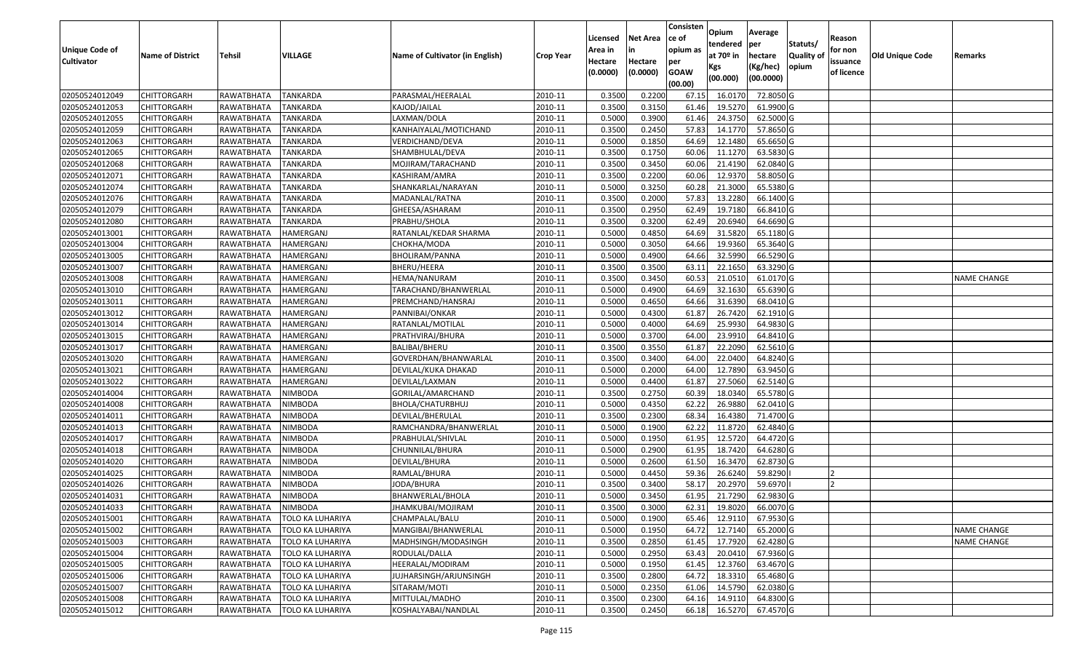|                       |                         |                    |                         |                                        |                  | Licensed | <b>Net Area</b> | Consisten<br>lce of    | Opium                   | Average        | Statuts/         | Reason     |                 |                    |
|-----------------------|-------------------------|--------------------|-------------------------|----------------------------------------|------------------|----------|-----------------|------------------------|-------------------------|----------------|------------------|------------|-----------------|--------------------|
| <b>Unique Code of</b> | <b>Name of District</b> | Tehsil             | VILLAGE                 | <b>Name of Cultivator (in English)</b> | <b>Crop Year</b> | Area in  | in              | opium as               | tendered<br>at $70°$ in | per<br>hectare | <b>Quality o</b> | for non    | Old Unique Code | Remarks            |
| <b>Cultivator</b>     |                         |                    |                         |                                        |                  | Hectare  | Hectare         | per                    | Kgs                     | (Kg/hec)       | opium            | issuance   |                 |                    |
|                       |                         |                    |                         |                                        |                  | (0.0000) | (0.0000)        | <b>GOAW</b><br>(00.00) | (00.000)                | (00.0000)      |                  | of licence |                 |                    |
| 02050524012049        | <b>CHITTORGARH</b>      | RAWATBHATA         | <b>TANKARDA</b>         | PARASMAL/HEERALAL                      | 2010-11          | 0.3500   | 0.2200          | 67.15                  | 16.0170                 | 72.8050 G      |                  |            |                 |                    |
| 02050524012053        | <b>CHITTORGARH</b>      | RAWATBHATA         | TANKARDA                | KAJOD/JAILAL                           | 2010-11          | 0.3500   | 0.3150          | 61.46                  | 19.5270                 | 61.9900 G      |                  |            |                 |                    |
| 02050524012055        | <b>CHITTORGARH</b>      | RAWATBHATA         | TANKARDA                | LAXMAN/DOLA                            | 2010-11          | 0.5000   | 0.3900          | 61.46                  | 24.3750                 | 62.5000 G      |                  |            |                 |                    |
| 02050524012059        | <b>CHITTORGARH</b>      | RAWATBHATA         | <b>TANKARDA</b>         | KANHAIYALAL/MOTICHAND                  | 2010-11          | 0.3500   | 0.2450          | 57.83                  | 14.1770                 | 57.8650 G      |                  |            |                 |                    |
| 02050524012063        | <b>CHITTORGARH</b>      | RAWATBHATA         | TANKARDA                | VERDICHAND/DEVA                        | 2010-11          | 0.5000   | 0.1850          | 64.69                  | 12.1480                 | 65.6650 G      |                  |            |                 |                    |
| 02050524012065        | <b>CHITTORGARH</b>      | RAWATBHATA         | <b>TANKARDA</b>         | SHAMBHULAL/DEVA                        | 2010-11          | 0.3500   | 0.1750          | 60.06                  | 11.1270                 | 63.5830 G      |                  |            |                 |                    |
| 02050524012068        | CHITTORGARH             | RAWATBHATA         | TANKARDA                | MOJIRAM/TARACHAND                      | 2010-11          | 0.3500   | 0.3450          | 60.06                  | 21.4190                 | 62.0840 G      |                  |            |                 |                    |
| 02050524012071        | <b>CHITTORGARH</b>      | RAWATBHATA         | <b>TANKARDA</b>         | KASHIRAM/AMRA                          | 2010-11          | 0.3500   | 0.2200          | 60.06                  | 12.9370                 | 58.8050 G      |                  |            |                 |                    |
| 02050524012074        | <b>CHITTORGARH</b>      | RAWATBHATA         | <b>TANKARDA</b>         | SHANKARLAL/NARAYAN                     | 2010-11          | 0.5000   | 0.3250          | 60.28                  | 21.3000                 | 65.5380 G      |                  |            |                 |                    |
| 02050524012076        | <b>CHITTORGARH</b>      | RAWATBHATA         | <b>TANKARDA</b>         | MADANLAL/RATNA                         | 2010-11          | 0.3500   | 0.2000          | 57.83                  | 13.2280                 | 66.1400 G      |                  |            |                 |                    |
| 02050524012079        | <b>CHITTORGARH</b>      | RAWATBHATA         | <b>TANKARDA</b>         | GHEESA/ASHARAM                         | 2010-11          | 0.3500   | 0.2950          | 62.49                  | 19.7180                 | 66.8410 G      |                  |            |                 |                    |
| 02050524012080        | <b>CHITTORGARH</b>      | RAWATBHATA         | <b>TANKARDA</b>         | PRABHU/SHOLA                           | 2010-11          | 0.3500   | 0.3200          | 62.49                  | 20.6940                 | 64.6690 G      |                  |            |                 |                    |
| 02050524013001        | <b>CHITTORGARH</b>      | RAWATBHATA         | HAMERGANJ               | RATANLAL/KEDAR SHARMA                  | 2010-11          | 0.5000   | 0.4850          | 64.69                  | 31.5820                 | 65.1180 G      |                  |            |                 |                    |
| 02050524013004        | <b>CHITTORGARH</b>      | RAWATBHATA         | <b>HAMERGANJ</b>        | СНОКНА/МОDА                            | 2010-11          | 0.5000   | 0.3050          | 64.66                  | 19.9360                 | 65.3640 G      |                  |            |                 |                    |
| 02050524013005        | CHITTORGARH             | RAWATBHATA         | HAMERGANJ               | BHOLIRAM/PANNA                         | 2010-11          | 0.5000   | 0.4900          | 64.66                  | 32.5990                 | 66.5290 G      |                  |            |                 |                    |
| 02050524013007        | <b>CHITTORGARH</b>      | RAWATBHATA         | <b>HAMERGANJ</b>        | BHERU/HEERA                            | 2010-11          | 0.3500   | 0.3500          | 63.1                   | 22.1650                 | 63.3290 G      |                  |            |                 |                    |
| 02050524013008        | <b>CHITTORGARH</b>      | RAWATBHATA         | HAMERGANJ               | HEMA/NANURAM                           | 2010-11          | 0.3500   | 0.3450          | 60.53                  | 21.0510                 | 61.0170 G      |                  |            |                 | <b>NAME CHANGE</b> |
| 02050524013010        | <b>CHITTORGARH</b>      | RAWATBHATA         | HAMERGANJ               | TARACHAND/BHANWERLAL                   | 2010-11          | 0.5000   | 0.4900          | 64.69                  | 32.1630                 | 65.6390 G      |                  |            |                 |                    |
| 02050524013011        | <b>CHITTORGARH</b>      | RAWATBHATA         | HAMERGANJ               | PREMCHAND/HANSRAJ                      | 2010-11          | 0.5000   | 0.4650          | 64.66                  | 31.6390                 | 68.0410 G      |                  |            |                 |                    |
| 02050524013012        | <b>CHITTORGARH</b>      | RAWATBHATA         | HAMERGANJ               | PANNIBAI/ONKAR                         | 2010-11          | 0.5000   | 0.4300          | 61.87                  | 26.7420                 | 62.1910 G      |                  |            |                 |                    |
| 02050524013014        | <b>CHITTORGARH</b>      | RAWATBHATA         | <b>HAMERGANJ</b>        | RATANLAL/MOTILAL                       | 2010-11          | 0.5000   | 0.4000          | 64.69                  | 25.9930                 | 64.9830 G      |                  |            |                 |                    |
| 02050524013015        | <b>CHITTORGARH</b>      | RAWATBHATA         | HAMERGANJ               | PRATHVIRAJ/BHURA                       | 2010-11          | 0.5000   | 0.3700          | 64.00                  | 23.9910                 | 64.8410 G      |                  |            |                 |                    |
| 02050524013017        | <b>CHITTORGARH</b>      | RAWATBHATA         | <b>HAMERGANJ</b>        | BALIBAI/BHERU                          | 2010-11          | 0.3500   | 0.3550          | 61.87                  | 22.2090                 | 62.5610 G      |                  |            |                 |                    |
| 02050524013020        | <b>CHITTORGARH</b>      | RAWATBHATA         | HAMERGANJ               | GOVERDHAN/BHANWARLAL                   | 2010-11          | 0.3500   | 0.3400          | 64.00                  | 22.0400                 | 64.8240 G      |                  |            |                 |                    |
| 02050524013021        | <b>CHITTORGARH</b>      | RAWATBHATA         | HAMERGANJ               | DEVILAL/KUKA DHAKAD                    | 2010-11          | 0.5000   | 0.2000          | 64.00                  | 12.7890                 | 63.9450 G      |                  |            |                 |                    |
| 02050524013022        | <b>CHITTORGARH</b>      | RAWATBHATA         | HAMERGANJ               | DEVILAL/LAXMAN                         | 2010-11          | 0.5000   | 0.4400          | 61.87                  | 27.5060                 | 62.5140 G      |                  |            |                 |                    |
| 02050524014004        | <b>CHITTORGARH</b>      | RAWATBHATA         | <b>NIMBODA</b>          | GORILAL/AMARCHAND                      | 2010-11          | 0.3500   | 0.2750          | 60.39                  | 18.0340                 | 65.5780 G      |                  |            |                 |                    |
| 02050524014008        | <b>CHITTORGARH</b>      | RAWATBHATA         | NIMBODA                 | BHOLA/CHATURBHUJ                       | 2010-11          | 0.5000   | 0.4350          | 62.22                  | 26.9880                 | 62.0410 G      |                  |            |                 |                    |
| 02050524014011        | <b>CHITTORGARH</b>      | RAWATBHATA         | <b>NIMBODA</b>          | DEVILAL/BHERULAL                       | 2010-11          | 0.3500   | 0.2300          | 68.34                  | 16.4380                 | 71.4700 G      |                  |            |                 |                    |
| 02050524014013        | <b>CHITTORGARH</b>      | RAWATBHATA         | <b>NIMBODA</b>          | RAMCHANDRA/BHANWERLAL                  | 2010-11          | 0.5000   | 0.1900          | 62.22                  | 11.8720                 | 62.4840 G      |                  |            |                 |                    |
| 02050524014017        | <b>CHITTORGARH</b>      | RAWATBHATA         | <b>NIMBODA</b>          | PRABHULAL/SHIVLAL                      | 2010-11          | 0.5000   | 0.1950          | 61.95                  | 12.5720                 | 64.4720 G      |                  |            |                 |                    |
| 02050524014018        | CHITTORGARH             | RAWATBHATA         | <b>NIMBODA</b>          | CHUNNILAL/BHURA                        | 2010-11          | 0.5000   | 0.2900          | 61.95                  | 18.7420                 | 64.6280 G      |                  |            |                 |                    |
| 02050524014020        | <b>CHITTORGARH</b>      | RAWATBHATA         | <b>NIMBODA</b>          | DEVILAL/BHURA                          | 2010-11          | 0.5000   | 0.2600          | 61.50                  | 16.3470                 | 62.8730 G      |                  |            |                 |                    |
| 02050524014025        | <b>CHITTORGARH</b>      | RAWATBHATA         | NIMBODA                 | RAMLAL/BHURA                           | 2010-11          | 0.5000   | 0.4450          | 59.36                  | 26.6240                 | 59.8290        |                  |            |                 |                    |
| 02050524014026        | CHITTORGARH             | RAWATBHATA         | <b>NIMBODA</b>          | JODA/BHURA                             | 2010-11          | 0.3500   | 0.3400          | 58.1                   | 20.2970                 | 59.6970        |                  |            |                 |                    |
| 02050524014031        | <b>CHITTORGARH</b>      | RAWATBHATA         | NIMBODA                 | BHANWERLAL/BHOLA                       | 2010-11          | 0.5000   | 0.3450          | 61.95                  | 21.7290                 | 62.9830 G      |                  |            |                 |                    |
| 02050524014033        | <b>CHITTORGARH</b>      | RAWATBHATA NIMBODA |                         | JHAMKUBAI/MOJIRAM                      | 2010-11          | 0.3500   | 0.3000          |                        | 62.31 19.8020           | 66.0070 G      |                  |            |                 |                    |
| 02050524015001        | <b>CHITTORGARH</b>      | RAWATBHATA         | <b>TOLO KA LUHARIYA</b> | CHAMPALAL/BALU                         | 2010-11          | 0.5000   | 0.1900          | 65.46                  | 12.9110                 | 67.9530 G      |                  |            |                 |                    |
| 02050524015002        | <b>CHITTORGARH</b>      | RAWATBHATA         | TOLO KA LUHARIYA        | MANGIBAI/BHANWERLAL                    | 2010-11          | 0.5000   | 0.1950          | 64.72                  | 12.7140                 | 65.2000 G      |                  |            |                 | <b>NAME CHANGE</b> |
| 02050524015003        | <b>CHITTORGARH</b>      | RAWATBHATA         | <b>TOLO KA LUHARIYA</b> | MADHSINGH/MODASINGH                    | 2010-11          | 0.3500   | 0.2850          | 61.45                  | 17.7920                 | 62.4280 G      |                  |            |                 | <b>NAME CHANGE</b> |
| 02050524015004        | <b>CHITTORGARH</b>      | RAWATBHATA         | TOLO KA LUHARIYA        | RODULAL/DALLA                          | 2010-11          | 0.5000   | 0.2950          | 63.43                  | 20.0410                 | 67.9360 G      |                  |            |                 |                    |
| 02050524015005        | <b>CHITTORGARH</b>      | RAWATBHATA         | <b>TOLO KA LUHARIYA</b> | HEERALAL/MODIRAM                       | 2010-11          | 0.5000   | 0.1950          | 61.45                  | 12.3760                 | 63.4670 G      |                  |            |                 |                    |
| 02050524015006        | <b>CHITTORGARH</b>      | RAWATBHATA         | TOLO KA LUHARIYA        | JUJHARSINGH/ARJUNSINGH                 | 2010-11          | 0.3500   | 0.2800          | 64.72                  | 18.3310                 | 65.4680 G      |                  |            |                 |                    |
| 02050524015007        | <b>CHITTORGARH</b>      | RAWATBHATA         | <b>TOLO KA LUHARIYA</b> | SITARAM/MOTI                           | 2010-11          | 0.5000   | 0.2350          | 61.06                  | 14.5790                 | 62.0380 G      |                  |            |                 |                    |
| 02050524015008        | <b>CHITTORGARH</b>      | RAWATBHATA         | TOLO KA LUHARIYA        | MITTULAL/MADHO                         | 2010-11          | 0.3500   | 0.2300          | 64.16                  | 14.9110                 | 64.8300 G      |                  |            |                 |                    |
| 02050524015012        | <b>CHITTORGARH</b>      | RAWATBHATA         | <b>TOLO KA LUHARIYA</b> | KOSHALYABAI/NANDLAL                    | 2010-11          | 0.3500   | 0.2450          | 66.18                  | 16.5270                 | 67.4570 G      |                  |            |                 |                    |
|                       |                         |                    |                         |                                        |                  |          |                 |                        |                         |                |                  |            |                 |                    |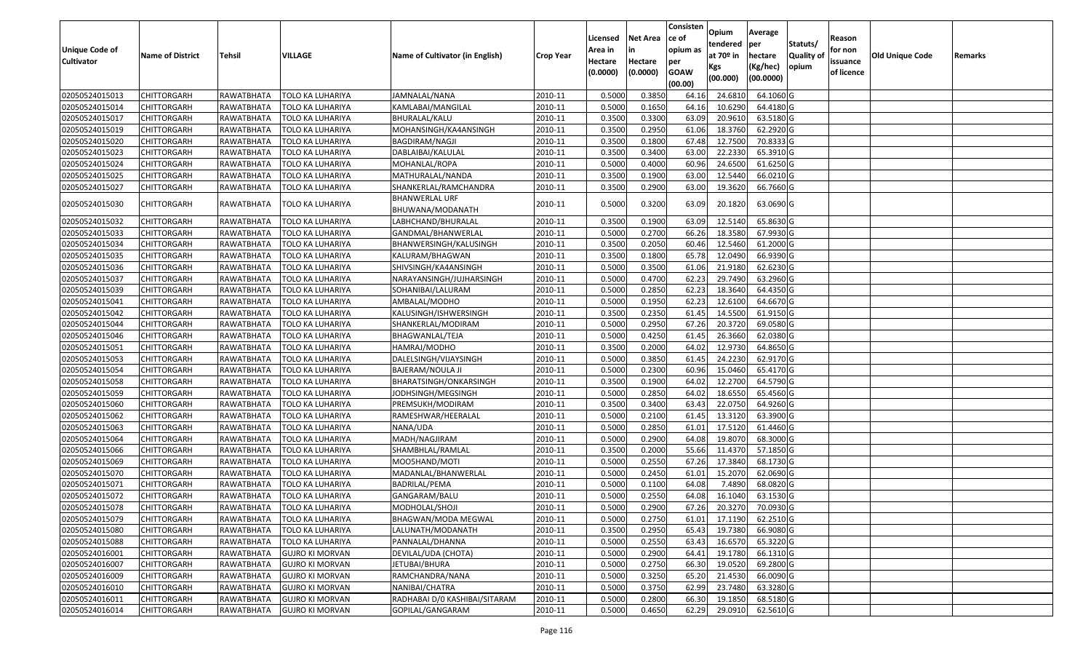|                       |                         |                   |                         |                                           |                  | Licensed | <b>Net Area</b> | Consisten<br>ce of | Opium       | Average                 |                  | Reason     |                 |         |
|-----------------------|-------------------------|-------------------|-------------------------|-------------------------------------------|------------------|----------|-----------------|--------------------|-------------|-------------------------|------------------|------------|-----------------|---------|
| <b>Unique Code of</b> |                         |                   |                         |                                           |                  | Area in  |                 | opium as           | tendered    | per                     | Statuts/         | for non    |                 |         |
| <b>Cultivator</b>     | <b>Name of District</b> | <b>Tehsil</b>     | VILLAGE                 | Name of Cultivator (in English)           | <b>Crop Year</b> | Hectare  | Hectare         | per                | at $70°$ in | hectare                 | <b>Quality o</b> | issuance   | Old Unique Code | Remarks |
|                       |                         |                   |                         |                                           |                  | (0.0000) | (0.0000)        | <b>GOAW</b>        | Kgs         | (Kg/hec)                | opium            | of licence |                 |         |
|                       |                         |                   |                         |                                           |                  |          |                 | (00.00)            | (00.000)    | (00.0000)               |                  |            |                 |         |
| 02050524015013        | CHITTORGARH             | RAWATBHATA        | TOLO KA LUHARIYA        | JAMNALAL/NANA                             | 2010-11          | 0.5000   | 0.3850          | 64.1               | 24.681      | 64.1060 G               |                  |            |                 |         |
| 02050524015014        | CHITTORGARH             | RAWATBHATA        | TOLO KA LUHARIYA        | KAMLABAI/MANGILAL                         | 2010-11          | 0.5000   | 0.1650          | 64.16              | 10.6290     | 64.4180 G               |                  |            |                 |         |
| 02050524015017        | CHITTORGARH             | RAWATBHATA        | TOLO KA LUHARIYA        | BHURALAL/KALU                             | 2010-11          | 0.3500   | 0.3300          | 63.09              | 20.9610     | 63.5180 G               |                  |            |                 |         |
| 02050524015019        | <b>CHITTORGARH</b>      | RAWATBHATA        | TOLO KA LUHARIYA        | MOHANSINGH/KA4ANSINGH                     | 2010-11          | 0.3500   | 0.2950          | 61.06              | 18.3760     | 62.2920 G               |                  |            |                 |         |
| 02050524015020        | CHITTORGARH             | RAWATBHATA        | TOLO KA LUHARIYA        | <b>BAGDIRAM/NAGJI</b>                     | 2010-11          | 0.3500   | 0.1800          | 67.48              | 12.7500     | 70.8333 G               |                  |            |                 |         |
| 02050524015023        | CHITTORGARH             | RAWATBHATA        | TOLO KA LUHARIYA        | DABLAIBAI/KALULAL                         | 2010-11          | 0.3500   | 0.3400          | 63.00              | 22.2330     | 65.3910 G               |                  |            |                 |         |
| 02050524015024        | CHITTORGARH             | RAWATBHATA        | TOLO KA LUHARIYA        | MOHANLAL/ROPA                             | 2010-11          | 0.5000   | 0.4000          | 60.96              | 24.6500     | 61.6250 G               |                  |            |                 |         |
| 02050524015025        | CHITTORGARH             | RAWATBHATA        | TOLO KA LUHARIYA        | MATHURALAL/NANDA                          | 2010-11          | 0.3500   | 0.1900          | 63.00              | 12.5440     | 66.0210 G               |                  |            |                 |         |
| 02050524015027        | CHITTORGARH             | RAWATBHATA        | TOLO KA LUHARIYA        | SHANKERLAL/RAMCHANDRA                     | 2010-11          | 0.3500   | 0.2900          | 63.00              | 19.3620     | 66.7660 G               |                  |            |                 |         |
| 02050524015030        | CHITTORGARH             | RAWATBHATA        | TOLO KA LUHARIYA        | <b>BHANWERLAL URF</b><br>BHUWANA/MODANATH | 2010-11          | 0.5000   | 0.3200          | 63.09              | 20.1820     | 63.0690 G               |                  |            |                 |         |
| 02050524015032        | <b>CHITTORGARH</b>      | RAWATBHATA        | TOLO KA LUHARIYA        | LABHCHAND/BHURALAL                        | 2010-11          | 0.3500   | 0.1900          | 63.09              | 12.5140     | 65.8630 G               |                  |            |                 |         |
| 02050524015033        | <b>CHITTORGARH</b>      | RAWATBHATA        | TOLO KA LUHARIYA        | GANDMAL/BHANWERLAL                        | 2010-11          | 0.5000   | 0.2700          | 66.26              | 18.3580     | 67.9930 G               |                  |            |                 |         |
| 02050524015034        | CHITTORGARH             | RAWATBHATA        | TOLO KA LUHARIYA        | BHANWERSINGH/KALUSINGH                    | 2010-11          | 0.3500   | 0.2050          | 60.46              | 12.5460     | 61.2000 G               |                  |            |                 |         |
| 02050524015035        | CHITTORGARH             | RAWATBHATA        | TOLO KA LUHARIYA        | KALURAM/BHAGWAN                           | 2010-11          | 0.3500   | 0.1800          | 65.78              | 12.0490     | 66.9390 G               |                  |            |                 |         |
| 02050524015036        | CHITTORGARH             | RAWATBHATA        | TOLO KA LUHARIYA        | SHIVSINGH/KA4ANSINGH                      | 2010-11          | 0.5000   | 0.3500          | 61.06              | 21.9180     | 62.6230 G               |                  |            |                 |         |
| 02050524015037        | CHITTORGARH             | RAWATBHATA        | TOLO KA LUHARIYA        | NARAYANSINGH/JUJHARSINGH                  | 2010-11          | 0.5000   | 0.4700          | 62.23              | 29.7490     | 63.2960 G               |                  |            |                 |         |
| 02050524015039        | CHITTORGARH             | RAWATBHATA        | TOLO KA LUHARIYA        | SOHANIBAI/LALURAM                         | 2010-11          | 0.5000   | 0.2850          | 62.23              | 18.3640     | 64.4350 G               |                  |            |                 |         |
| 02050524015041        | CHITTORGARH             | RAWATBHATA        | TOLO KA LUHARIYA        | AMBALAL/MODHO                             | 2010-11          | 0.500    | 0.1950          | 62.23              | 12.6100     | 64.6670 G               |                  |            |                 |         |
| 02050524015042        | CHITTORGARH             | RAWATBHATA        | TOLO KA LUHARIYA        | KALUSINGH/ISHWERSINGH                     | 2010-11          | 0.3500   | 0.2350          | 61.45              | 14.5500     | 61.9150 G               |                  |            |                 |         |
| 02050524015044        | <b>CHITTORGARH</b>      | RAWATBHATA        | TOLO KA LUHARIYA        | SHANKERLAL/MODIRAM                        | 2010-11          | 0.5000   | 0.2950          | 67.26              | 20.3720     | 69.0580 G               |                  |            |                 |         |
| 02050524015046        | <b>CHITTORGARH</b>      | RAWATBHATA        | TOLO KA LUHARIYA        | BHAGWANLAL/TEJA                           | 2010-11          | 0.5000   | 0.4250          | 61.45              | 26.3660     | 62.0380 G               |                  |            |                 |         |
| 02050524015051        | CHITTORGARH             | RAWATBHATA        | TOLO KA LUHARIYA        | HAMRAJ/MODHO                              | 2010-11          | 0.3500   | 0.2000          | 64.02              | 12.9730     | 64.8650 G               |                  |            |                 |         |
| 02050524015053        | <b>CHITTORGARH</b>      | RAWATBHATA        | TOLO KA LUHARIYA        | DALELSINGH/VIJAYSINGH                     | 2010-11          | 0.5000   | 0.3850          | 61.45              | 24.2230     | 62.9170 G               |                  |            |                 |         |
| 02050524015054        | CHITTORGARH             | RAWATBHATA        | TOLO KA LUHARIYA        | <b>BAJERAM/NOULA JI</b>                   | 2010-11          | 0.5000   | 0.2300          | 60.96              | 15.0460     | 65.4170 G               |                  |            |                 |         |
| 02050524015058        | CHITTORGARH             | RAWATBHATA        | TOLO KA LUHARIYA        | BHARATSINGH/ONKARSINGH                    | 2010-11          | 0.3500   | 0.1900          | 64.02              | 12.2700     | 64.5790 G               |                  |            |                 |         |
| 02050524015059        | CHITTORGARH             | RAWATBHATA        | TOLO KA LUHARIYA        | JODHSINGH/MEGSINGH                        | 2010-11          | 0.5000   | 0.2850          | 64.02              | 18.6550     | 65.4560 G               |                  |            |                 |         |
| 02050524015060        | CHITTORGARH             | RAWATBHATA        | TOLO KA LUHARIYA        | PREMSUKH/MODIRAM                          | 2010-11          | 0.3500   | 0.3400          | 63.43              | 22.0750     | 64.9260 G               |                  |            |                 |         |
| 02050524015062        | <b>CHITTORGARH</b>      | RAWATBHATA        | TOLO KA LUHARIYA        | RAMESHWAR/HEERALAL                        | 2010-11          | 0.5000   | 0.2100          | 61.45              | 13.3120     | 63.3900 G               |                  |            |                 |         |
| 02050524015063        | CHITTORGARH             | RAWATBHATA        | TOLO KA LUHARIYA        | NANA/UDA                                  | 2010-11          | 0.5000   | 0.2850          | 61.01              | 17.5120     | 61.4460 G               |                  |            |                 |         |
| 02050524015064        | CHITTORGARH             | RAWATBHATA        | TOLO KA LUHARIYA        | MADH/NAGJIRAM                             | 2010-11          | 0.5000   | 0.2900          | 64.08              | 19.8070     | 68.3000 G               |                  |            |                 |         |
| 02050524015066        | CHITTORGARH             | RAWATBHATA        | TOLO KA LUHARIYA        | SHAMBHLAL/RAMLAL                          | 2010-11          | 0.3500   | 0.2000          | 55.66              | 11.4370     | 57.1850 G               |                  |            |                 |         |
| 02050524015069        | <b>CHITTORGARH</b>      | RAWATBHATA        | TOLO KA LUHARIYA        | MOO5HAND/MOTI                             | 2010-11          | 0.5000   | 0.2550          | 67.26              | 17.3840     | 68.1730 G               |                  |            |                 |         |
| 02050524015070        | CHITTORGARH             | RAWATBHATA        | TOLO KA LUHARIYA        | MADANLAL/BHANWERLAL                       | 2010-11          | 0.5000   | 0.2450          | 61.01              | 15.2070     | 62.0690 G               |                  |            |                 |         |
| 02050524015071        | <b>CHITTORGARH</b>      | RAWATBHATA        | TOLO KA LUHARIYA        | BADRILAL/PEMA                             | 2010-11          | 0.500    | 0.1100          | 64.08              | 7.4890      | 68.0820 G               |                  |            |                 |         |
| 02050524015072        | <b>CHITTORGARH</b>      | <b>RAWATBHATA</b> | TOLO KA LUHARIYA        | GANGARAM/BALU                             | 2010-11          | 0.5000   | 0.2550          | 64.08              | 16.1040     | 63.1530 G               |                  |            |                 |         |
| 02050524015078        | <b>CHITTORGARH</b>      | RAWATBHATA        | <b>TOLO KA LUHARIYA</b> | MODHOLAL/SHOJI                            | 2010-11          | 0.5000   | 0.2900          |                    |             | 67.26 20.3270 70.0930 G |                  |            |                 |         |
| 02050524015079        | <b>CHITTORGARH</b>      | RAWATBHATA        | TOLO KA LUHARIYA        | BHAGWAN/MODA MEGWAL                       | 2010-11          | 0.5000   | 0.2750          | 61.01              | 17.1190     | 62.2510 G               |                  |            |                 |         |
| 02050524015080        | <b>CHITTORGARH</b>      | RAWATBHATA        | TOLO KA LUHARIYA        | LALUNATH/MODANATH                         | 2010-11          | 0.3500   | 0.2950          | 65.43              | 19.7380     | 66.9080 G               |                  |            |                 |         |
| 02050524015088        | <b>CHITTORGARH</b>      | RAWATBHATA        | TOLO KA LUHARIYA        | PANNALAL/DHANNA                           | 2010-11          | 0.5000   | 0.2550          | 63.43              | 16.6570     | 65.3220 G               |                  |            |                 |         |
| 02050524016001        | <b>CHITTORGARH</b>      | RAWATBHATA        | <b>GUJRO KI MORVAN</b>  | DEVILAL/UDA (CHOTA)                       | 2010-11          | 0.5000   | 0.2900          | 64.41              | 19.1780     | 66.1310 G               |                  |            |                 |         |
| 02050524016007        | <b>CHITTORGARH</b>      | RAWATBHATA        | <b>GUJRO KI MORVAN</b>  | JETUBAI/BHURA                             | 2010-11          | 0.5000   | 0.2750          | 66.30              | 19.0520     | 69.2800 G               |                  |            |                 |         |
| 02050524016009        | <b>CHITTORGARH</b>      | RAWATBHATA        | <b>GUJRO KI MORVAN</b>  | RAMCHANDRA/NANA                           | 2010-11          | 0.5000   | 0.3250          | 65.20              | 21.4530     | 66.0090 G               |                  |            |                 |         |
| 02050524016010        | <b>CHITTORGARH</b>      | RAWATBHATA        | <b>GUJRO KI MORVAN</b>  | NANIBAI/CHATRA                            | 2010-11          | 0.5000   | 0.3750          | 62.99              | 23.7480     | 63.3280 G               |                  |            |                 |         |
| 02050524016011        | <b>CHITTORGARH</b>      | RAWATBHATA        | <b>GUJRO KI MORVAN</b>  | RADHABAI D/0 KASHIBAI/SITARAM             | 2010-11          | 0.5000   | 0.2800          | 66.30              | 19.1850     | 68.5180 G               |                  |            |                 |         |
| 02050524016014        | <b>CHITTORGARH</b>      | RAWATBHATA        | <b>GUJRO KI MORVAN</b>  | GOPILAL/GANGARAM                          | 2010-11          | 0.5000   | 0.4650          | 62.29              | 29.0910     | 62.5610 G               |                  |            |                 |         |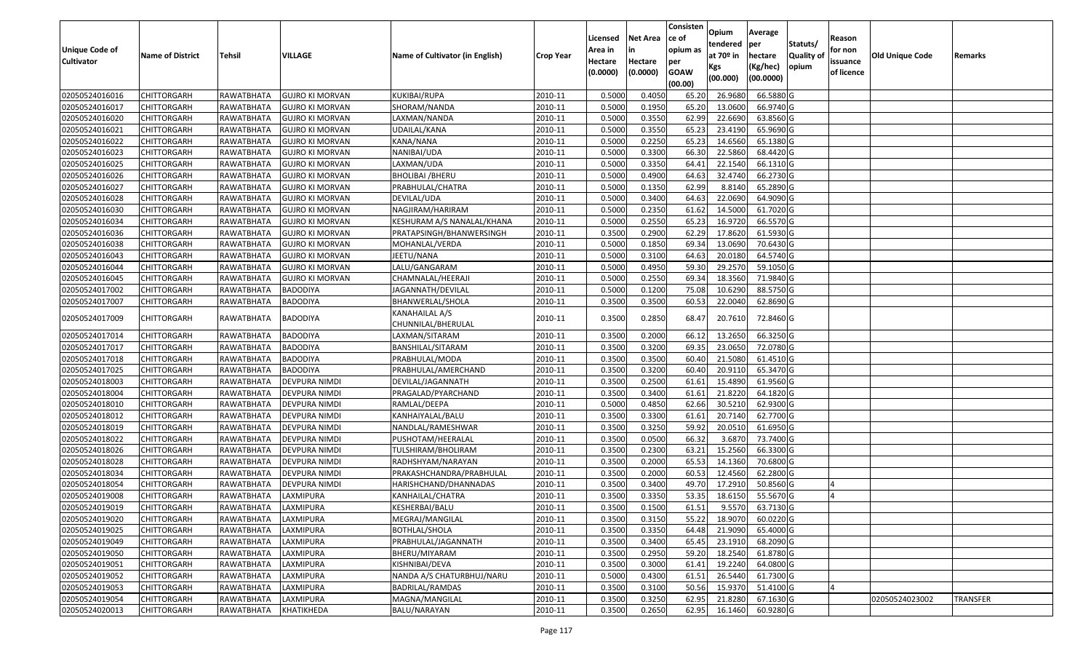|                                  |                                          |                          |                                                  |                                 |                    | Licensed         | <b>Net Area</b>  | Consisten<br>ce of | Opium<br>tendered  | Average<br>per         | Statuts/         | Reason     |                 |                 |
|----------------------------------|------------------------------------------|--------------------------|--------------------------------------------------|---------------------------------|--------------------|------------------|------------------|--------------------|--------------------|------------------------|------------------|------------|-----------------|-----------------|
| <b>Unique Code of</b>            | <b>Name of District</b>                  | <b>Tehsil</b>            | VILLAGE                                          | Name of Cultivator (in English) | <b>Crop Year</b>   | Area in          |                  | opium as           | at $70°$ in        | hectare                | <b>Quality o</b> | for non    | Old Unique Code | Remarks         |
| <b>Cultivator</b>                |                                          |                          |                                                  |                                 |                    | Hectare          | Hectare          | per                | Kgs                | (Kg/hec)               | opium            | issuance   |                 |                 |
|                                  |                                          |                          |                                                  |                                 |                    | (0.0000)         | (0.0000)         | <b>GOAW</b>        | (00.000)           | (00.0000)              |                  | of licence |                 |                 |
|                                  |                                          |                          |                                                  |                                 |                    |                  |                  | (00.00)            |                    |                        |                  |            |                 |                 |
| 02050524016016                   | CHITTORGARH                              | RAWATBHATA               | <b>GUJRO KI MORVAN</b>                           | KUKIBAI/RUPA                    | 2010-11            | 0.5000           | 0.4050           | 65.20              | 26.9680            | 66.5880 G              |                  |            |                 |                 |
| 02050524016017                   | CHITTORGARH                              | RAWATBHATA               | <b>GUJRO KI MORVAN</b>                           | SHORAM/NANDA                    | 2010-11            | 0.5000<br>0.5000 | 0.1950<br>0.3550 | 65.20<br>62.99     | 13.0600<br>22.6690 | 66.9740 G<br>63.8560 G |                  |            |                 |                 |
| 02050524016020<br>02050524016021 | <b>CHITTORGARH</b><br><b>CHITTORGARH</b> | RAWATBHATA<br>RAWATBHATA | <b>GUJRO KI MORVAN</b>                           | LAXMAN/NANDA                    | 2010-11<br>2010-11 | 0.5000           | 0.3550           | 65.23              | 23.4190            | 65.9690 G              |                  |            |                 |                 |
| 02050524016022                   | CHITTORGARH                              | RAWATBHATA               | <b>GUJRO KI MORVAN</b><br><b>GUJRO KI MORVAN</b> | UDAILAL/KANA<br>KANA/NANA       | 2010-11            | 0.5000           | 0.2250           | 65.23              | 14.6560            | 65.1380 G              |                  |            |                 |                 |
| 02050524016023                   | CHITTORGARH                              | RAWATBHATA               | <b>GUJRO KI MORVAN</b>                           | NANIBAI/UDA                     | 2010-11            | 0.5000           | 0.3300           | 66.30              | 22.5860            | 68.4420 G              |                  |            |                 |                 |
| 02050524016025                   | CHITTORGARH                              | RAWATBHATA               | <b>GUJRO KI MORVAN</b>                           | LAXMAN/UDA                      | 2010-11            | 0.5000           | 0.3350           | 64.41              | 22.1540            | 66.1310 G              |                  |            |                 |                 |
| 02050524016026                   | CHITTORGARH                              | RAWATBHATA               | <b>GUJRO KI MORVAN</b>                           | <b>BHOLIBAI / BHERU</b>         | 2010-11            | 0.5000           | 0.4900           | 64.63              | 32.4740            | 66.2730 G              |                  |            |                 |                 |
| 02050524016027                   | <b>CHITTORGARH</b>                       | RAWATBHATA               | <b>GUJRO KI MORVAN</b>                           | PRABHULAL/CHATRA                | 2010-11            | 0.5000           | 0.1350           | 62.99              | 8.8140             | 65.2890 G              |                  |            |                 |                 |
| 02050524016028                   | <b>CHITTORGARH</b>                       | RAWATBHATA               | <b>GUJRO KI MORVAN</b>                           | DEVILAL/UDA                     | 2010-11            | 0.5000           | 0.3400           | 64.63              | 22.0690            | 64.9090 G              |                  |            |                 |                 |
| 02050524016030                   | CHITTORGARH                              | RAWATBHATA               | <b>GUJRO KI MORVAN</b>                           | NAGJIRAM/HARIRAM                | 2010-11            | 0.5000           | 0.2350           | 61.62              | 14.5000            | 61.7020 G              |                  |            |                 |                 |
| 02050524016034                   | CHITTORGARH                              | RAWATBHATA               | <b>GUJRO KI MORVAN</b>                           | KESHURAM A/S NANALAL/KHANA      | 2010-11            | 0.5000           | 0.2550           | 65.23              | 16.9720            | 66.5570 G              |                  |            |                 |                 |
| 02050524016036                   | <b>CHITTORGARH</b>                       | RAWATBHATA               | <b>GUJRO KI MORVAN</b>                           | PRATAPSINGH/BHANWERSINGH        | 2010-11            | 0.3500           | 0.2900           | 62.29              | 17.8620            | 61.5930 G              |                  |            |                 |                 |
| 02050524016038                   | <b>CHITTORGARH</b>                       | RAWATBHATA               | <b>GUJRO KI MORVAN</b>                           | MOHANLAL/VERDA                  | 2010-11            | 0.5000           | 0.1850           | 69.34              | 13.0690            | 70.6430 G              |                  |            |                 |                 |
| 02050524016043                   | CHITTORGARH                              | RAWATBHATA               | <b>GUJRO KI MORVAN</b>                           | JEETU/NANA                      | 2010-11            | 0.5000           | 0.3100           | 64.63              | 20.0180            | 64.5740 G              |                  |            |                 |                 |
| 02050524016044                   | <b>CHITTORGARH</b>                       | RAWATBHATA               | <b>GUJRO KI MORVAN</b>                           | LALU/GANGARAM                   | 2010-11            | 0.5000           | 0.4950           | 59.30              | 29.2570            | 59.1050 G              |                  |            |                 |                 |
| 02050524016045                   | <b>CHITTORGARH</b>                       | RAWATBHATA               | <b>GUJRO KI MORVAN</b>                           | CHAMNALAL/HEERAJI               | 2010-11            | 0.5000           | 0.2550           | 69.34              | 18.3560            | 71.9840 G              |                  |            |                 |                 |
| 02050524017002                   | CHITTORGARH                              | RAWATBHATA               | <b>BADODIYA</b>                                  | JAGANNATH/DEVILAL               | 2010-11            | 0.5000           | 0.1200           | 75.08              | 10.6290            | 88.5750 G              |                  |            |                 |                 |
| 02050524017007                   | CHITTORGARH                              | RAWATBHATA               | BADODIYA                                         | BHANWERLAL/SHOLA                | 2010-11            | 0.3500           | 0.3500           | 60.53              | 22.0040            | 62.8690 G              |                  |            |                 |                 |
|                                  |                                          |                          |                                                  | KANAHAILAL A/S                  |                    |                  |                  |                    |                    |                        |                  |            |                 |                 |
| 02050524017009                   | CHITTORGARH                              | RAWATBHATA               | BADODIYA                                         | CHUNNILAL/BHERULAL              | 2010-11            | 0.3500           | 0.2850           | 68.47              | 20.7610            | 72.8460 G              |                  |            |                 |                 |
| 02050524017014                   | CHITTORGARH                              | RAWATBHATA               | <b>BADODIYA</b>                                  | LAXMAN/SITARAM                  | 2010-11            | 0.3500           | 0.2000           | 66.12              | 13.265             | 66.3250 G              |                  |            |                 |                 |
| 02050524017017                   | CHITTORGARH                              | RAWATBHATA               | <b>BADODIYA</b>                                  | BANSHILAL/SITARAM               | 2010-11            | 0.3500           | 0.3200           | 69.35              | 23.0650            | 72.0780 G              |                  |            |                 |                 |
| 02050524017018                   | CHITTORGARH                              | RAWATBHATA               | BADODIYA                                         | PRABHULAL/MODA                  | 2010-11            | 0.3500           | 0.3500           | 60.40              | 21.5080            | 61.4510 G              |                  |            |                 |                 |
| 02050524017025                   | CHITTORGARH                              | RAWATBHATA               | <b>BADODIYA</b>                                  | PRABHULAL/AMERCHAND             | 2010-11            | 0.3500           | 0.3200           | 60.40              | 20.9110            | 65.3470 G              |                  |            |                 |                 |
| 02050524018003                   | CHITTORGARH                              | RAWATBHATA               | DEVPURA NIMDI                                    | DEVILAL/JAGANNATH               | 2010-11            | 0.3500           | 0.2500           | 61.6               | 15.4890            | 61.9560 G              |                  |            |                 |                 |
| 02050524018004                   | CHITTORGARH                              | RAWATBHATA               | DEVPURA NIMDI                                    | PRAGALAD/PYARCHAND              | 2010-11            | 0.3500           | 0.3400           | 61.6               | 21.8220            | 64.1820 G              |                  |            |                 |                 |
| 02050524018010                   | <b>CHITTORGARH</b>                       | RAWATBHATA               | DEVPURA NIMDI                                    | RAMLAL/DEEPA                    | 2010-11            | 0.5000           | 0.4850           | 62.66              | 30.5210            | 62.9300 G              |                  |            |                 |                 |
| 02050524018012                   | CHITTORGARH                              | RAWATBHATA               | <b>DEVPURA NIMDI</b>                             | KANHAIYALAL/BALU                | 2010-11            | 0.3500           | 0.3300           | 61.61              | 20.7140            | 62.7700 G              |                  |            |                 |                 |
| 02050524018019                   | <b>CHITTORGARH</b>                       | RAWATBHATA               | DEVPURA NIMDI                                    | NANDLAL/RAMESHWAR               | 2010-11            | 0.3500           | 0.3250           | 59.92              | 20.0510            | 61.6950 G              |                  |            |                 |                 |
| 02050524018022                   | CHITTORGARH                              | RAWATBHATA               | DEVPURA NIMDI                                    | PUSHOTAM/HEERALAL               | 2010-11            | 0.3500           | 0.0500           | 66.32              | 3.6870             | 73.7400 G              |                  |            |                 |                 |
| 02050524018026                   | CHITTORGARH                              | RAWATBHATA               | DEVPURA NIMDI                                    | TULSHIRAM/BHOLIRAM              | 2010-11            | 0.3500           | 0.2300           | 63.21              | 15.2560            | 66.3300 G              |                  |            |                 |                 |
| 02050524018028                   | CHITTORGARH                              | RAWATBHATA               | DEVPURA NIMDI                                    | RADHSHYAM/NARAYAN               | 2010-11            | 0.3500           | 0.2000           | 65.53              | 14.1360            | 70.6800 G              |                  |            |                 |                 |
| 02050524018034                   | <b>CHITTORGARH</b>                       | RAWATBHATA               | DEVPURA NIMDI                                    | PRAKASHCHANDRA/PRABHULAL        | 2010-11            | 0.3500           | 0.2000           | 60.53              | 12.4560            | 62.2800 G              |                  |            |                 |                 |
| 02050524018054                   | CHITTORGARH                              | RAWATBHATA               | DEVPURA NIMDI                                    | HARISHCHAND/DHANNADAS           | 2010-11            | 0.350            | 0.3400           | 49.7               | 17.2910            | 50.8560 G              |                  |            |                 |                 |
| 02050524019008                   | CHITTORGARH                              | RAWATBHATA               | LAXMIPURA                                        | KANHAILAL/CHATRA                | 2010-11            | 0.3500           | 0.3350           | 53.35              | 18.6150            | 55.5670 G              |                  |            |                 |                 |
| 02050524019019                   | <b>CHITTORGARH</b>                       | RAWATBHATA               | LAXMIPURA                                        | KESHERBAI/BALU                  | 2010-11            | 0.3500           | 0.1500           | 61.51              | 9.5570             | 63.7130 G              |                  |            |                 |                 |
| 02050524019020                   | <b>CHITTORGARH</b>                       | RAWATBHATA               | LAXMIPURA                                        | MEGRAJ/MANGILAL                 | 2010-11            | 0.3500           | 0.3150           | 55.22              | 18.9070            | 60.0220 G              |                  |            |                 |                 |
| 02050524019025                   | <b>CHITTORGARH</b>                       | RAWATBHATA               | LAXMIPURA                                        | BOTHLAL/SHOLA                   | 2010-11            | 0.3500           | 0.3350           | 64.48              | 21.9090            | 65.4000 G              |                  |            |                 |                 |
| 02050524019049                   | <b>CHITTORGARH</b>                       | RAWATBHATA               | LAXMIPURA                                        | PRABHULAL/JAGANNATH             | 2010-11            | 0.3500           | 0.3400           | 65.45              | 23.1910            | 68.2090 G              |                  |            |                 |                 |
| 02050524019050                   | <b>CHITTORGARH</b>                       | RAWATBHATA               | LAXMIPURA                                        | BHERU/MIYARAM                   | 2010-11            | 0.3500           | 0.2950           | 59.20              | 18.2540            | 61.8780 G              |                  |            |                 |                 |
| 02050524019051                   | <b>CHITTORGARH</b>                       | RAWATBHATA               | LAXMIPURA                                        | KISHNIBAI/DEVA                  | 2010-11            | 0.3500           | 0.3000           | 61.41              | 19.2240            | 64.0800 G              |                  |            |                 |                 |
| 02050524019052                   | <b>CHITTORGARH</b>                       | RAWATBHATA               | LAXMIPURA                                        | NANDA A/S CHATURBHUJ/NARU       | 2010-11            | 0.5000           | 0.4300           | 61.5               | 26.5440            | 61.7300 G              |                  |            |                 |                 |
| 02050524019053                   | CHITTORGARH                              | RAWATBHATA               | LAXMIPURA                                        | BADRILAL/RAMDAS                 | 2010-11            | 0.3500           | 0.3100           | 50.56              | 15.9370            | 51.4100 G              |                  |            |                 |                 |
| 02050524019054                   | <b>CHITTORGARH</b>                       | RAWATBHATA               | LAXMIPURA                                        | MAGNA/MANGILAL                  | 2010-11            | 0.3500           | 0.3250           | 62.95              | 21.8280            | 67.1630 G              |                  |            | 02050524023002  | <b>TRANSFER</b> |
| 02050524020013                   | <b>CHITTORGARH</b>                       | RAWATBHATA               | KHATIKHEDA                                       | <b>BALU/NARAYAN</b>             | 2010-11            | 0.3500           | 0.2650           | 62.95              | 16.1460            | $60.9280$ G            |                  |            |                 |                 |